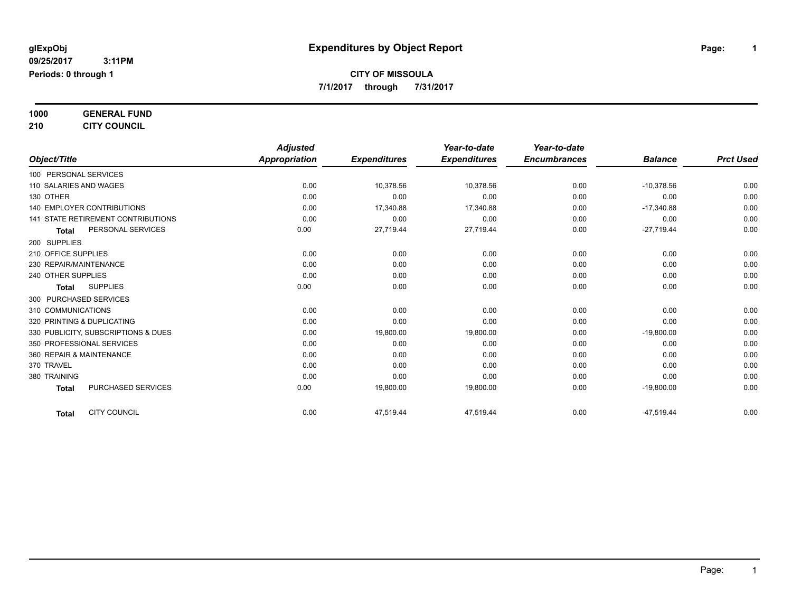#### **1000 GENERAL FUND**

### **210 CITY COUNCIL**

|                                           | <b>Adjusted</b>      |                     | Year-to-date        | Year-to-date        |                |                  |
|-------------------------------------------|----------------------|---------------------|---------------------|---------------------|----------------|------------------|
| Object/Title                              | <b>Appropriation</b> | <b>Expenditures</b> | <b>Expenditures</b> | <b>Encumbrances</b> | <b>Balance</b> | <b>Prct Used</b> |
| 100 PERSONAL SERVICES                     |                      |                     |                     |                     |                |                  |
| 110 SALARIES AND WAGES                    | 0.00                 | 10,378.56           | 10,378.56           | 0.00                | $-10,378.56$   | 0.00             |
| 130 OTHER                                 | 0.00                 | 0.00                | 0.00                | 0.00                | 0.00           | 0.00             |
| <b>140 EMPLOYER CONTRIBUTIONS</b>         | 0.00                 | 17,340.88           | 17,340.88           | 0.00                | $-17,340.88$   | 0.00             |
| <b>141 STATE RETIREMENT CONTRIBUTIONS</b> | 0.00                 | 0.00                | 0.00                | 0.00                | 0.00           | 0.00             |
| PERSONAL SERVICES<br><b>Total</b>         | 0.00                 | 27,719.44           | 27,719.44           | 0.00                | $-27,719.44$   | 0.00             |
| 200 SUPPLIES                              |                      |                     |                     |                     |                |                  |
| 210 OFFICE SUPPLIES                       | 0.00                 | 0.00                | 0.00                | 0.00                | 0.00           | 0.00             |
| 230 REPAIR/MAINTENANCE                    | 0.00                 | 0.00                | 0.00                | 0.00                | 0.00           | 0.00             |
| 240 OTHER SUPPLIES                        | 0.00                 | 0.00                | 0.00                | 0.00                | 0.00           | 0.00             |
| <b>SUPPLIES</b><br>Total                  | 0.00                 | 0.00                | 0.00                | 0.00                | 0.00           | 0.00             |
| 300 PURCHASED SERVICES                    |                      |                     |                     |                     |                |                  |
| 310 COMMUNICATIONS                        | 0.00                 | 0.00                | 0.00                | 0.00                | 0.00           | 0.00             |
| 320 PRINTING & DUPLICATING                | 0.00                 | 0.00                | 0.00                | 0.00                | 0.00           | 0.00             |
| 330 PUBLICITY, SUBSCRIPTIONS & DUES       | 0.00                 | 19,800.00           | 19,800.00           | 0.00                | $-19,800.00$   | 0.00             |
| 350 PROFESSIONAL SERVICES                 | 0.00                 | 0.00                | 0.00                | 0.00                | 0.00           | 0.00             |
| 360 REPAIR & MAINTENANCE                  | 0.00                 | 0.00                | 0.00                | 0.00                | 0.00           | 0.00             |
| 370 TRAVEL                                | 0.00                 | 0.00                | 0.00                | 0.00                | 0.00           | 0.00             |
| 380 TRAINING                              | 0.00                 | 0.00                | 0.00                | 0.00                | 0.00           | 0.00             |
| PURCHASED SERVICES<br><b>Total</b>        | 0.00                 | 19,800.00           | 19,800.00           | 0.00                | $-19,800.00$   | 0.00             |
| <b>CITY COUNCIL</b><br><b>Total</b>       | 0.00                 | 47,519.44           | 47,519.44           | 0.00                | $-47,519.44$   | 0.00             |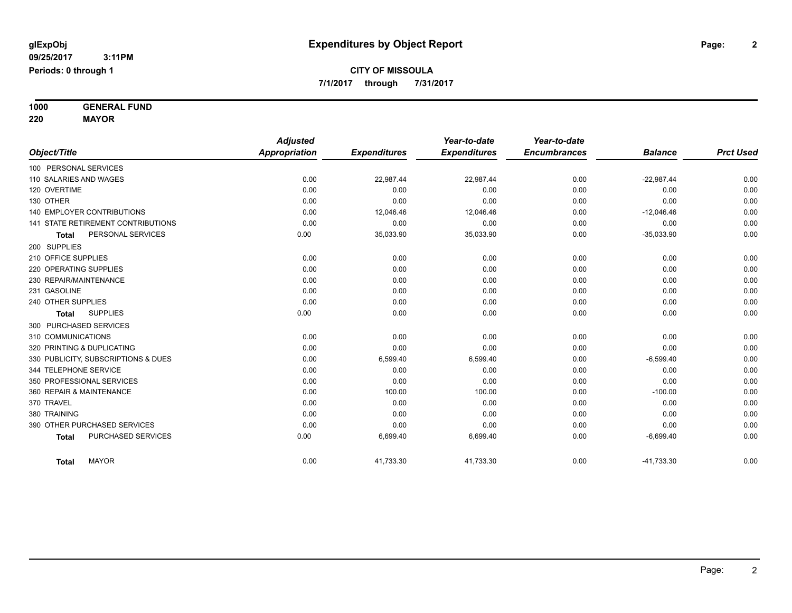**1000 GENERAL FUND**

**220 MAYOR**

|                                     | <b>Adjusted</b> |                     | Year-to-date        | Year-to-date        |                |                  |
|-------------------------------------|-----------------|---------------------|---------------------|---------------------|----------------|------------------|
| Object/Title                        | Appropriation   | <b>Expenditures</b> | <b>Expenditures</b> | <b>Encumbrances</b> | <b>Balance</b> | <b>Prct Used</b> |
| 100 PERSONAL SERVICES               |                 |                     |                     |                     |                |                  |
| 110 SALARIES AND WAGES              | 0.00            | 22,987.44           | 22,987.44           | 0.00                | $-22,987.44$   | 0.00             |
| 120 OVERTIME                        | 0.00            | 0.00                | 0.00                | 0.00                | 0.00           | 0.00             |
| 130 OTHER                           | 0.00            | 0.00                | 0.00                | 0.00                | 0.00           | 0.00             |
| <b>140 EMPLOYER CONTRIBUTIONS</b>   | 0.00            | 12,046.46           | 12,046.46           | 0.00                | $-12,046.46$   | 0.00             |
| 141 STATE RETIREMENT CONTRIBUTIONS  | 0.00            | 0.00                | 0.00                | 0.00                | 0.00           | 0.00             |
| PERSONAL SERVICES<br><b>Total</b>   | 0.00            | 35,033.90           | 35,033.90           | 0.00                | $-35,033.90$   | 0.00             |
| 200 SUPPLIES                        |                 |                     |                     |                     |                |                  |
| 210 OFFICE SUPPLIES                 | 0.00            | 0.00                | 0.00                | 0.00                | 0.00           | 0.00             |
| 220 OPERATING SUPPLIES              | 0.00            | 0.00                | 0.00                | 0.00                | 0.00           | 0.00             |
| 230 REPAIR/MAINTENANCE              | 0.00            | 0.00                | 0.00                | 0.00                | 0.00           | 0.00             |
| 231 GASOLINE                        | 0.00            | 0.00                | 0.00                | 0.00                | 0.00           | 0.00             |
| 240 OTHER SUPPLIES                  | 0.00            | 0.00                | 0.00                | 0.00                | 0.00           | 0.00             |
| <b>SUPPLIES</b><br><b>Total</b>     | 0.00            | 0.00                | 0.00                | 0.00                | 0.00           | 0.00             |
| 300 PURCHASED SERVICES              |                 |                     |                     |                     |                |                  |
| 310 COMMUNICATIONS                  | 0.00            | 0.00                | 0.00                | 0.00                | 0.00           | 0.00             |
| 320 PRINTING & DUPLICATING          | 0.00            | 0.00                | 0.00                | 0.00                | 0.00           | 0.00             |
| 330 PUBLICITY, SUBSCRIPTIONS & DUES | 0.00            | 6,599.40            | 6,599.40            | 0.00                | $-6,599.40$    | 0.00             |
| 344 TELEPHONE SERVICE               | 0.00            | 0.00                | 0.00                | 0.00                | 0.00           | 0.00             |
| 350 PROFESSIONAL SERVICES           | 0.00            | 0.00                | 0.00                | 0.00                | 0.00           | 0.00             |
| 360 REPAIR & MAINTENANCE            | 0.00            | 100.00              | 100.00              | 0.00                | $-100.00$      | 0.00             |
| 370 TRAVEL                          | 0.00            | 0.00                | 0.00                | 0.00                | 0.00           | 0.00             |
| 380 TRAINING                        | 0.00            | 0.00                | 0.00                | 0.00                | 0.00           | 0.00             |
| 390 OTHER PURCHASED SERVICES        | 0.00            | 0.00                | 0.00                | 0.00                | 0.00           | 0.00             |
| PURCHASED SERVICES<br><b>Total</b>  | 0.00            | 6,699.40            | 6,699.40            | 0.00                | $-6,699.40$    | 0.00             |
| <b>MAYOR</b><br><b>Total</b>        | 0.00            | 41,733.30           | 41,733.30           | 0.00                | $-41,733.30$   | 0.00             |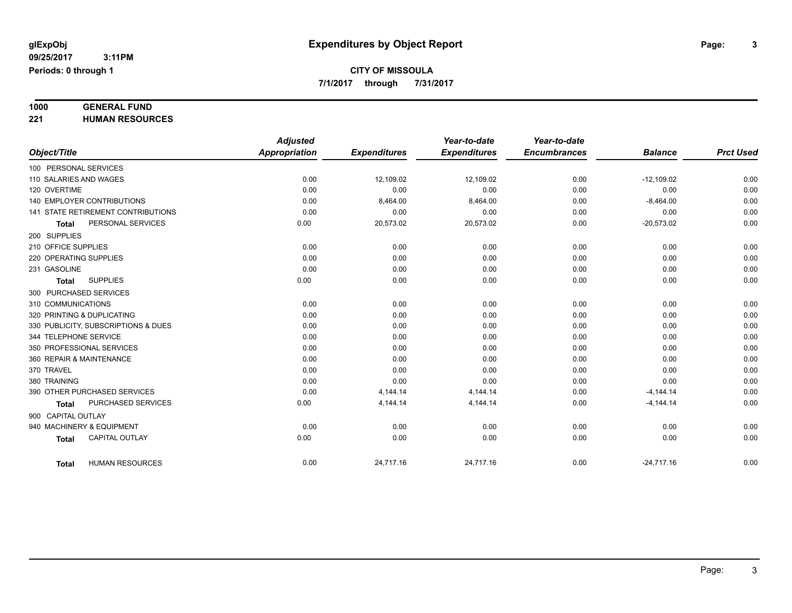**7/1/2017 through 7/31/2017**

# **1000 GENERAL FUND**

**221 HUMAN RESOURCES**

|                                           | <b>Adjusted</b> |                     | Year-to-date        | Year-to-date        |                |                  |
|-------------------------------------------|-----------------|---------------------|---------------------|---------------------|----------------|------------------|
| Object/Title                              | Appropriation   | <b>Expenditures</b> | <b>Expenditures</b> | <b>Encumbrances</b> | <b>Balance</b> | <b>Prct Used</b> |
| 100 PERSONAL SERVICES                     |                 |                     |                     |                     |                |                  |
| 110 SALARIES AND WAGES                    | 0.00            | 12,109.02           | 12,109.02           | 0.00                | $-12,109.02$   | 0.00             |
| 120 OVERTIME                              | 0.00            | 0.00                | 0.00                | 0.00                | 0.00           | 0.00             |
| <b>140 EMPLOYER CONTRIBUTIONS</b>         | 0.00            | 8,464.00            | 8,464.00            | 0.00                | $-8,464.00$    | 0.00             |
| <b>141 STATE RETIREMENT CONTRIBUTIONS</b> | 0.00            | 0.00                | 0.00                | 0.00                | 0.00           | 0.00             |
| PERSONAL SERVICES<br><b>Total</b>         | 0.00            | 20,573.02           | 20,573.02           | 0.00                | $-20,573.02$   | 0.00             |
| 200 SUPPLIES                              |                 |                     |                     |                     |                |                  |
| 210 OFFICE SUPPLIES                       | 0.00            | 0.00                | 0.00                | 0.00                | 0.00           | 0.00             |
| 220 OPERATING SUPPLIES                    | 0.00            | 0.00                | 0.00                | 0.00                | 0.00           | 0.00             |
| 231 GASOLINE                              | 0.00            | 0.00                | 0.00                | 0.00                | 0.00           | 0.00             |
| <b>SUPPLIES</b><br><b>Total</b>           | 0.00            | 0.00                | 0.00                | 0.00                | 0.00           | 0.00             |
| 300 PURCHASED SERVICES                    |                 |                     |                     |                     |                |                  |
| 310 COMMUNICATIONS                        | 0.00            | 0.00                | 0.00                | 0.00                | 0.00           | 0.00             |
| 320 PRINTING & DUPLICATING                | 0.00            | 0.00                | 0.00                | 0.00                | 0.00           | 0.00             |
| 330 PUBLICITY, SUBSCRIPTIONS & DUES       | 0.00            | 0.00                | 0.00                | 0.00                | 0.00           | 0.00             |
| 344 TELEPHONE SERVICE                     | 0.00            | 0.00                | 0.00                | 0.00                | 0.00           | 0.00             |
| 350 PROFESSIONAL SERVICES                 | 0.00            | 0.00                | 0.00                | 0.00                | 0.00           | 0.00             |
| 360 REPAIR & MAINTENANCE                  | 0.00            | 0.00                | 0.00                | 0.00                | 0.00           | 0.00             |
| 370 TRAVEL                                | 0.00            | 0.00                | 0.00                | 0.00                | 0.00           | 0.00             |
| 380 TRAINING                              | 0.00            | 0.00                | 0.00                | 0.00                | 0.00           | 0.00             |
| 390 OTHER PURCHASED SERVICES              | 0.00            | 4,144.14            | 4.144.14            | 0.00                | $-4, 144.14$   | 0.00             |
| PURCHASED SERVICES<br>Total               | 0.00            | 4,144.14            | 4,144.14            | 0.00                | $-4, 144.14$   | 0.00             |
| 900 CAPITAL OUTLAY                        |                 |                     |                     |                     |                |                  |
| 940 MACHINERY & EQUIPMENT                 | 0.00            | 0.00                | 0.00                | 0.00                | 0.00           | 0.00             |
| <b>CAPITAL OUTLAY</b><br><b>Total</b>     | 0.00            | 0.00                | 0.00                | 0.00                | 0.00           | 0.00             |
| <b>HUMAN RESOURCES</b><br>Total           | 0.00            | 24,717.16           | 24,717.16           | 0.00                | $-24,717.16$   | 0.00             |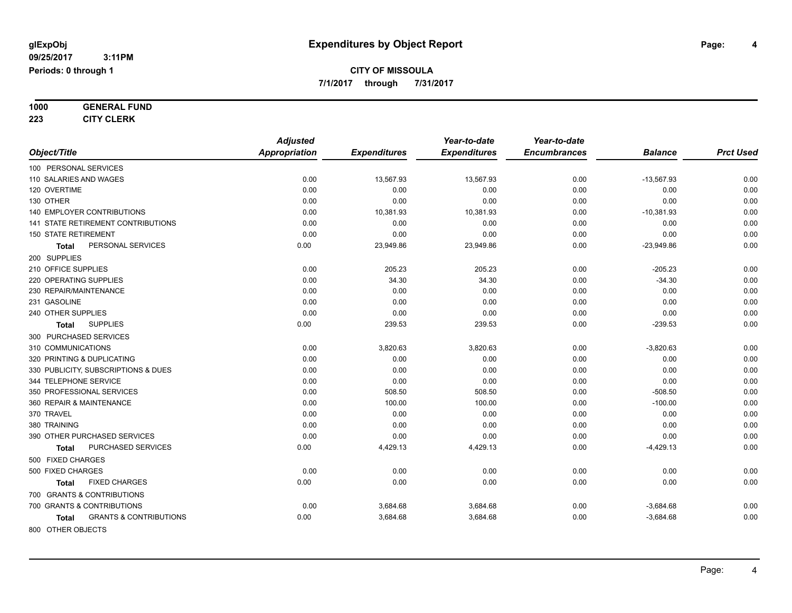**1000 GENERAL FUND**

**223 CITY CLERK**

|                                            | <b>Adjusted</b> |                     | Year-to-date        | Year-to-date        |                |                  |
|--------------------------------------------|-----------------|---------------------|---------------------|---------------------|----------------|------------------|
| Object/Title                               | Appropriation   | <b>Expenditures</b> | <b>Expenditures</b> | <b>Encumbrances</b> | <b>Balance</b> | <b>Prct Used</b> |
| 100 PERSONAL SERVICES                      |                 |                     |                     |                     |                |                  |
| 110 SALARIES AND WAGES                     | 0.00            | 13,567.93           | 13,567.93           | 0.00                | $-13,567.93$   | 0.00             |
| 120 OVERTIME                               | 0.00            | 0.00                | 0.00                | 0.00                | 0.00           | 0.00             |
| 130 OTHER                                  | 0.00            | 0.00                | 0.00                | 0.00                | 0.00           | 0.00             |
| <b>140 EMPLOYER CONTRIBUTIONS</b>          | 0.00            | 10,381.93           | 10,381.93           | 0.00                | $-10,381.93$   | 0.00             |
| 141 STATE RETIREMENT CONTRIBUTIONS         | 0.00            | 0.00                | 0.00                | 0.00                | 0.00           | 0.00             |
| <b>150 STATE RETIREMENT</b>                | 0.00            | 0.00                | 0.00                | 0.00                | 0.00           | 0.00             |
| PERSONAL SERVICES<br>Total                 | 0.00            | 23,949.86           | 23,949.86           | 0.00                | $-23,949.86$   | 0.00             |
| 200 SUPPLIES                               |                 |                     |                     |                     |                |                  |
| 210 OFFICE SUPPLIES                        | 0.00            | 205.23              | 205.23              | 0.00                | $-205.23$      | 0.00             |
| 220 OPERATING SUPPLIES                     | 0.00            | 34.30               | 34.30               | 0.00                | $-34.30$       | 0.00             |
| 230 REPAIR/MAINTENANCE                     | 0.00            | 0.00                | 0.00                | 0.00                | 0.00           | 0.00             |
| 231 GASOLINE                               | 0.00            | 0.00                | 0.00                | 0.00                | 0.00           | 0.00             |
| 240 OTHER SUPPLIES                         | 0.00            | 0.00                | 0.00                | 0.00                | 0.00           | 0.00             |
| <b>SUPPLIES</b><br><b>Total</b>            | 0.00            | 239.53              | 239.53              | 0.00                | $-239.53$      | 0.00             |
| 300 PURCHASED SERVICES                     |                 |                     |                     |                     |                |                  |
| 310 COMMUNICATIONS                         | 0.00            | 3,820.63            | 3,820.63            | 0.00                | $-3,820.63$    | 0.00             |
| 320 PRINTING & DUPLICATING                 | 0.00            | 0.00                | 0.00                | 0.00                | 0.00           | 0.00             |
| 330 PUBLICITY, SUBSCRIPTIONS & DUES        | 0.00            | 0.00                | 0.00                | 0.00                | 0.00           | 0.00             |
| 344 TELEPHONE SERVICE                      | 0.00            | 0.00                | 0.00                | 0.00                | 0.00           | 0.00             |
| 350 PROFESSIONAL SERVICES                  | 0.00            | 508.50              | 508.50              | 0.00                | $-508.50$      | 0.00             |
| 360 REPAIR & MAINTENANCE                   | 0.00            | 100.00              | 100.00              | 0.00                | $-100.00$      | 0.00             |
| 370 TRAVEL                                 | 0.00            | 0.00                | 0.00                | 0.00                | 0.00           | 0.00             |
| 380 TRAINING                               | 0.00            | 0.00                | 0.00                | 0.00                | 0.00           | 0.00             |
| 390 OTHER PURCHASED SERVICES               | 0.00            | 0.00                | 0.00                | 0.00                | 0.00           | 0.00             |
| PURCHASED SERVICES<br><b>Total</b>         | 0.00            | 4,429.13            | 4,429.13            | 0.00                | $-4,429.13$    | 0.00             |
| 500 FIXED CHARGES                          |                 |                     |                     |                     |                |                  |
| 500 FIXED CHARGES                          | 0.00            | 0.00                | 0.00                | 0.00                | 0.00           | 0.00             |
| <b>FIXED CHARGES</b><br>Total              | 0.00            | 0.00                | 0.00                | 0.00                | 0.00           | 0.00             |
| 700 GRANTS & CONTRIBUTIONS                 |                 |                     |                     |                     |                |                  |
| 700 GRANTS & CONTRIBUTIONS                 | 0.00            | 3,684.68            | 3,684.68            | 0.00                | $-3,684.68$    | 0.00             |
| <b>GRANTS &amp; CONTRIBUTIONS</b><br>Total | 0.00            | 3,684.68            | 3,684.68            | 0.00                | $-3,684.68$    | 0.00             |
| 800 OTHER OBJECTS                          |                 |                     |                     |                     |                |                  |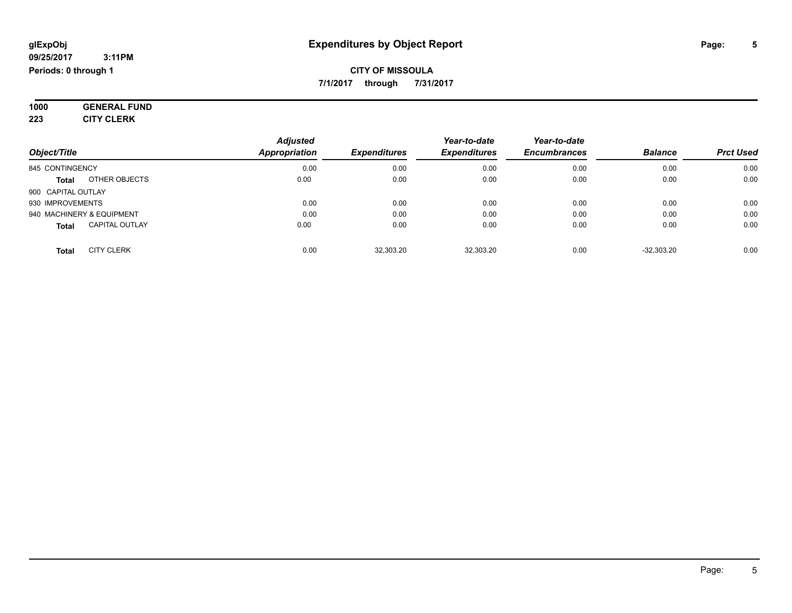**7/1/2017 through 7/31/2017**

**1000 GENERAL FUND**

**223 CITY CLERK**

|                                       | <b>Adjusted</b>      |                     | Year-to-date        | Year-to-date        |                |                  |
|---------------------------------------|----------------------|---------------------|---------------------|---------------------|----------------|------------------|
| Object/Title                          | <b>Appropriation</b> | <b>Expenditures</b> | <b>Expenditures</b> | <b>Encumbrances</b> | <b>Balance</b> | <b>Prct Used</b> |
| 845 CONTINGENCY                       | 0.00                 | 0.00                | 0.00                | 0.00                | 0.00           | 0.00             |
| OTHER OBJECTS<br><b>Total</b>         | 0.00                 | 0.00                | 0.00                | 0.00                | 0.00           | 0.00             |
| 900 CAPITAL OUTLAY                    |                      |                     |                     |                     |                |                  |
| 930 IMPROVEMENTS                      | 0.00                 | 0.00                | 0.00                | 0.00                | 0.00           | 0.00             |
| 940 MACHINERY & EQUIPMENT             | 0.00                 | 0.00                | 0.00                | 0.00                | 0.00           | 0.00             |
| <b>CAPITAL OUTLAY</b><br><b>Total</b> | 0.00                 | 0.00                | 0.00                | 0.00                | 0.00           | 0.00             |
| <b>CITY CLERK</b><br><b>Total</b>     | 0.00                 | 32,303.20           | 32,303.20           | 0.00                | $-32.303.20$   | 0.00             |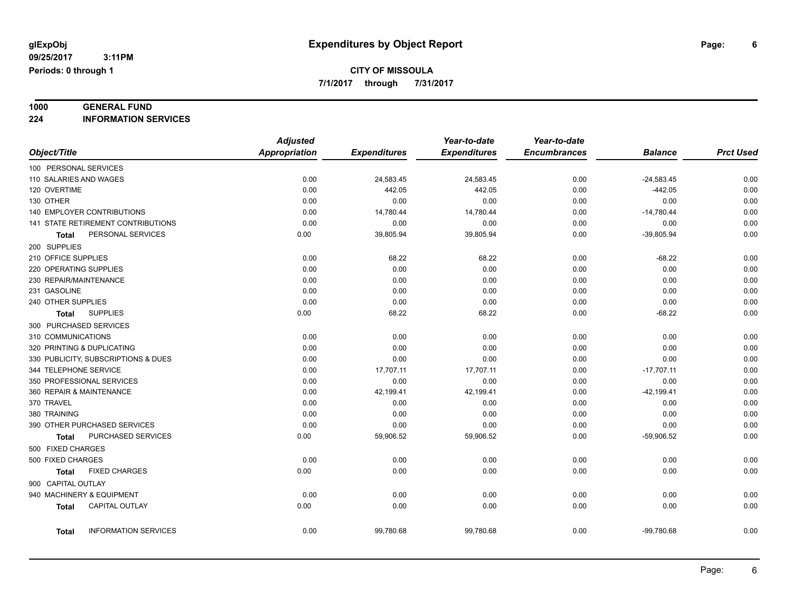**7/1/2017 through 7/31/2017**

## **1000 GENERAL FUND**

**224 INFORMATION SERVICES**

|                                      | <b>Adjusted</b>      |                     | Year-to-date        | Year-to-date        |                |                  |
|--------------------------------------|----------------------|---------------------|---------------------|---------------------|----------------|------------------|
| Object/Title                         | <b>Appropriation</b> | <b>Expenditures</b> | <b>Expenditures</b> | <b>Encumbrances</b> | <b>Balance</b> | <b>Prct Used</b> |
| 100 PERSONAL SERVICES                |                      |                     |                     |                     |                |                  |
| 110 SALARIES AND WAGES               | 0.00                 | 24,583.45           | 24,583.45           | 0.00                | $-24,583.45$   | 0.00             |
| 120 OVERTIME                         | 0.00                 | 442.05              | 442.05              | 0.00                | $-442.05$      | 0.00             |
| 130 OTHER                            | 0.00                 | 0.00                | 0.00                | 0.00                | 0.00           | 0.00             |
| 140 EMPLOYER CONTRIBUTIONS           | 0.00                 | 14,780.44           | 14,780.44           | 0.00                | $-14,780.44$   | 0.00             |
| 141 STATE RETIREMENT CONTRIBUTIONS   | 0.00                 | 0.00                | 0.00                | 0.00                | 0.00           | 0.00             |
| PERSONAL SERVICES<br>Total           | 0.00                 | 39,805.94           | 39,805.94           | 0.00                | $-39,805.94$   | 0.00             |
| 200 SUPPLIES                         |                      |                     |                     |                     |                |                  |
| 210 OFFICE SUPPLIES                  | 0.00                 | 68.22               | 68.22               | 0.00                | $-68.22$       | 0.00             |
| 220 OPERATING SUPPLIES               | 0.00                 | 0.00                | 0.00                | 0.00                | 0.00           | 0.00             |
| 230 REPAIR/MAINTENANCE               | 0.00                 | 0.00                | 0.00                | 0.00                | 0.00           | 0.00             |
| 231 GASOLINE                         | 0.00                 | 0.00                | 0.00                | 0.00                | 0.00           | 0.00             |
| 240 OTHER SUPPLIES                   | 0.00                 | 0.00                | 0.00                | 0.00                | 0.00           | 0.00             |
| <b>SUPPLIES</b><br><b>Total</b>      | 0.00                 | 68.22               | 68.22               | 0.00                | $-68.22$       | 0.00             |
| 300 PURCHASED SERVICES               |                      |                     |                     |                     |                |                  |
| 310 COMMUNICATIONS                   | 0.00                 | 0.00                | 0.00                | 0.00                | 0.00           | 0.00             |
| 320 PRINTING & DUPLICATING           | 0.00                 | 0.00                | 0.00                | 0.00                | 0.00           | 0.00             |
| 330 PUBLICITY, SUBSCRIPTIONS & DUES  | 0.00                 | 0.00                | 0.00                | 0.00                | 0.00           | 0.00             |
| 344 TELEPHONE SERVICE                | 0.00                 | 17,707.11           | 17,707.11           | 0.00                | $-17,707.11$   | 0.00             |
| 350 PROFESSIONAL SERVICES            | 0.00                 | 0.00                | 0.00                | 0.00                | 0.00           | 0.00             |
| 360 REPAIR & MAINTENANCE             | 0.00                 | 42,199.41           | 42,199.41           | 0.00                | $-42,199.41$   | 0.00             |
| 370 TRAVEL                           | 0.00                 | 0.00                | 0.00                | 0.00                | 0.00           | 0.00             |
| 380 TRAINING                         | 0.00                 | 0.00                | 0.00                | 0.00                | 0.00           | 0.00             |
| 390 OTHER PURCHASED SERVICES         | 0.00                 | 0.00                | 0.00                | 0.00                | 0.00           | 0.00             |
| PURCHASED SERVICES<br>Total          | 0.00                 | 59,906.52           | 59,906.52           | 0.00                | $-59,906.52$   | 0.00             |
| 500 FIXED CHARGES                    |                      |                     |                     |                     |                |                  |
| 500 FIXED CHARGES                    | 0.00                 | 0.00                | 0.00                | 0.00                | 0.00           | 0.00             |
| <b>FIXED CHARGES</b><br><b>Total</b> | 0.00                 | 0.00                | 0.00                | 0.00                | 0.00           | 0.00             |
| 900 CAPITAL OUTLAY                   |                      |                     |                     |                     |                |                  |
| 940 MACHINERY & EQUIPMENT            | 0.00                 | 0.00                | 0.00                | 0.00                | 0.00           | 0.00             |
| CAPITAL OUTLAY<br><b>Total</b>       | 0.00                 | 0.00                | 0.00                | 0.00                | 0.00           | 0.00             |
|                                      |                      |                     |                     |                     |                |                  |
| <b>INFORMATION SERVICES</b><br>Total | 0.00                 | 99,780.68           | 99,780.68           | 0.00                | $-99,780.68$   | 0.00             |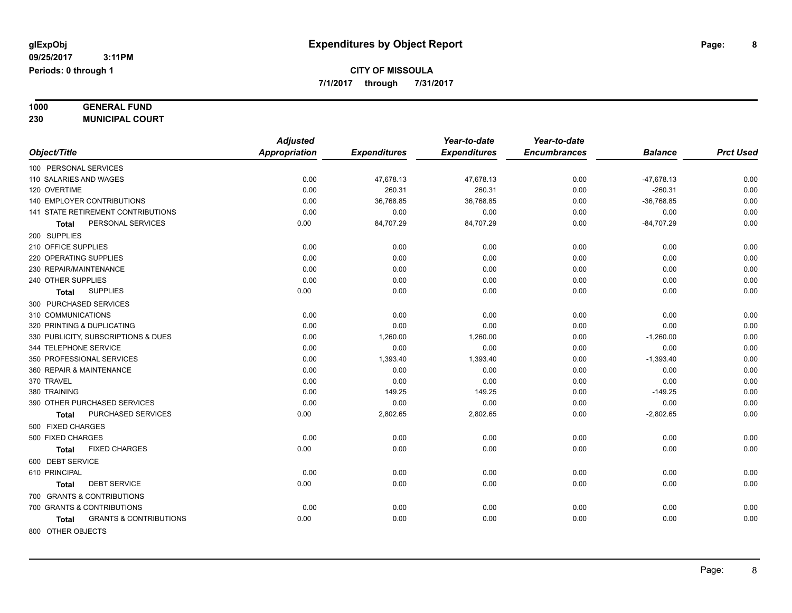**7/1/2017 through 7/31/2017**

| 1000   | <b>GENERAL FUND</b> |
|--------|---------------------|
| $\sim$ | $\mathbf{A}$        |

**230 MUNICIPAL COURT**

| <b>Appropriation</b><br><b>Expenditures</b><br><b>Expenditures</b><br><b>Encumbrances</b><br><b>Prct Used</b><br><b>Balance</b><br>100 PERSONAL SERVICES<br>0.00<br>47,678.13<br>47,678.13<br>0.00<br>$-47,678.13$<br>0.00<br>0.00<br>0.00<br>260.31<br>260.31<br>$-260.31$<br>0.00<br>0.00<br>0.00<br>36,768.85<br>36,768.85<br>0.00<br>$-36,768.85$<br>0.00<br>0.00<br>0.00<br>0.00<br>0.00<br>0.00<br>0.00<br>84,707.29<br>84,707.29<br>$-84,707.29$<br>PERSONAL SERVICES<br>0.00<br>0.00<br>Total<br>0.00<br>0.00<br>0.00<br>0.00<br>0.00<br>0.00<br>0.00<br>0.00<br>0.00<br>220 OPERATING SUPPLIES<br>0.00<br>0.00<br>0.00<br>0.00<br>0.00<br>0.00<br>0.00<br>0.00<br>0.00<br>0.00<br>0.00<br>0.00<br>0.00<br>0.00<br>0.00<br>0.00<br><b>SUPPLIES</b><br>0.00<br>0.00<br>0.00<br>0.00<br>0.00<br><b>Total</b><br>0.00<br>0.00<br>0.00<br>0.00<br>0.00<br>0.00<br>0.00<br>0.00<br>0.00<br>0.00<br>0.00<br>0.00<br>0.00<br>0.00<br>1,260.00<br>$-1,260.00$<br>1,260.00<br>0.00<br>0.00<br>0.00<br>0.00<br>0.00<br>0.00<br>0.00<br>0.00<br>0.00<br>1,393.40<br>1,393.40<br>0.00<br>$-1,393.40$<br>0.00<br>0.00<br>0.00<br>0.00<br>0.00<br>0.00<br>0.00<br>0.00<br>0.00<br>0.00<br>0.00<br>0.00<br>0.00<br>380 TRAINING<br>0.00<br>149.25<br>149.25<br>0.00<br>$-149.25$<br>0.00<br>0.00<br>0.00<br>0.00<br>0.00<br>0.00<br>0.00<br>PURCHASED SERVICES<br>0.00<br>2,802.65<br>$-2,802.65$<br>2,802.65<br>0.00<br><b>Total</b><br>0.00<br>0.00<br>0.00<br>0.00<br>0.00<br>0.00<br>0.00<br><b>FIXED CHARGES</b><br>0.00<br>0.00<br>0.00<br>0.00<br>0.00<br><b>Total</b><br>0.00<br>0.00<br>0.00<br>0.00<br>0.00<br>0.00<br>0.00<br>0.00<br><b>DEBT SERVICE</b><br>0.00<br>0.00<br>0.00<br>0.00<br><b>Total</b><br>700 GRANTS & CONTRIBUTIONS<br>700 GRANTS & CONTRIBUTIONS<br>0.00<br>0.00<br>0.00<br>0.00<br>0.00<br>0.00<br>0.00<br>0.00<br><b>GRANTS &amp; CONTRIBUTIONS</b><br>0.00<br>0.00<br>0.00<br>0.00<br>Total |                                     | <b>Adjusted</b> | Year-to-date | Year-to-date |  |
|-------------------------------------------------------------------------------------------------------------------------------------------------------------------------------------------------------------------------------------------------------------------------------------------------------------------------------------------------------------------------------------------------------------------------------------------------------------------------------------------------------------------------------------------------------------------------------------------------------------------------------------------------------------------------------------------------------------------------------------------------------------------------------------------------------------------------------------------------------------------------------------------------------------------------------------------------------------------------------------------------------------------------------------------------------------------------------------------------------------------------------------------------------------------------------------------------------------------------------------------------------------------------------------------------------------------------------------------------------------------------------------------------------------------------------------------------------------------------------------------------------------------------------------------------------------------------------------------------------------------------------------------------------------------------------------------------------------------------------------------------------------------------------------------------------------------------------------------------------------------------------------------------------------------------|-------------------------------------|-----------------|--------------|--------------|--|
|                                                                                                                                                                                                                                                                                                                                                                                                                                                                                                                                                                                                                                                                                                                                                                                                                                                                                                                                                                                                                                                                                                                                                                                                                                                                                                                                                                                                                                                                                                                                                                                                                                                                                                                                                                                                                                                                                                                         | Object/Title                        |                 |              |              |  |
|                                                                                                                                                                                                                                                                                                                                                                                                                                                                                                                                                                                                                                                                                                                                                                                                                                                                                                                                                                                                                                                                                                                                                                                                                                                                                                                                                                                                                                                                                                                                                                                                                                                                                                                                                                                                                                                                                                                         |                                     |                 |              |              |  |
|                                                                                                                                                                                                                                                                                                                                                                                                                                                                                                                                                                                                                                                                                                                                                                                                                                                                                                                                                                                                                                                                                                                                                                                                                                                                                                                                                                                                                                                                                                                                                                                                                                                                                                                                                                                                                                                                                                                         | 110 SALARIES AND WAGES              |                 |              |              |  |
|                                                                                                                                                                                                                                                                                                                                                                                                                                                                                                                                                                                                                                                                                                                                                                                                                                                                                                                                                                                                                                                                                                                                                                                                                                                                                                                                                                                                                                                                                                                                                                                                                                                                                                                                                                                                                                                                                                                         | 120 OVERTIME                        |                 |              |              |  |
|                                                                                                                                                                                                                                                                                                                                                                                                                                                                                                                                                                                                                                                                                                                                                                                                                                                                                                                                                                                                                                                                                                                                                                                                                                                                                                                                                                                                                                                                                                                                                                                                                                                                                                                                                                                                                                                                                                                         | 140 EMPLOYER CONTRIBUTIONS          |                 |              |              |  |
|                                                                                                                                                                                                                                                                                                                                                                                                                                                                                                                                                                                                                                                                                                                                                                                                                                                                                                                                                                                                                                                                                                                                                                                                                                                                                                                                                                                                                                                                                                                                                                                                                                                                                                                                                                                                                                                                                                                         | 141 STATE RETIREMENT CONTRIBUTIONS  |                 |              |              |  |
|                                                                                                                                                                                                                                                                                                                                                                                                                                                                                                                                                                                                                                                                                                                                                                                                                                                                                                                                                                                                                                                                                                                                                                                                                                                                                                                                                                                                                                                                                                                                                                                                                                                                                                                                                                                                                                                                                                                         |                                     |                 |              |              |  |
|                                                                                                                                                                                                                                                                                                                                                                                                                                                                                                                                                                                                                                                                                                                                                                                                                                                                                                                                                                                                                                                                                                                                                                                                                                                                                                                                                                                                                                                                                                                                                                                                                                                                                                                                                                                                                                                                                                                         | 200 SUPPLIES                        |                 |              |              |  |
|                                                                                                                                                                                                                                                                                                                                                                                                                                                                                                                                                                                                                                                                                                                                                                                                                                                                                                                                                                                                                                                                                                                                                                                                                                                                                                                                                                                                                                                                                                                                                                                                                                                                                                                                                                                                                                                                                                                         | 210 OFFICE SUPPLIES                 |                 |              |              |  |
|                                                                                                                                                                                                                                                                                                                                                                                                                                                                                                                                                                                                                                                                                                                                                                                                                                                                                                                                                                                                                                                                                                                                                                                                                                                                                                                                                                                                                                                                                                                                                                                                                                                                                                                                                                                                                                                                                                                         |                                     |                 |              |              |  |
|                                                                                                                                                                                                                                                                                                                                                                                                                                                                                                                                                                                                                                                                                                                                                                                                                                                                                                                                                                                                                                                                                                                                                                                                                                                                                                                                                                                                                                                                                                                                                                                                                                                                                                                                                                                                                                                                                                                         | 230 REPAIR/MAINTENANCE              |                 |              |              |  |
|                                                                                                                                                                                                                                                                                                                                                                                                                                                                                                                                                                                                                                                                                                                                                                                                                                                                                                                                                                                                                                                                                                                                                                                                                                                                                                                                                                                                                                                                                                                                                                                                                                                                                                                                                                                                                                                                                                                         | 240 OTHER SUPPLIES                  |                 |              |              |  |
|                                                                                                                                                                                                                                                                                                                                                                                                                                                                                                                                                                                                                                                                                                                                                                                                                                                                                                                                                                                                                                                                                                                                                                                                                                                                                                                                                                                                                                                                                                                                                                                                                                                                                                                                                                                                                                                                                                                         |                                     |                 |              |              |  |
|                                                                                                                                                                                                                                                                                                                                                                                                                                                                                                                                                                                                                                                                                                                                                                                                                                                                                                                                                                                                                                                                                                                                                                                                                                                                                                                                                                                                                                                                                                                                                                                                                                                                                                                                                                                                                                                                                                                         | 300 PURCHASED SERVICES              |                 |              |              |  |
|                                                                                                                                                                                                                                                                                                                                                                                                                                                                                                                                                                                                                                                                                                                                                                                                                                                                                                                                                                                                                                                                                                                                                                                                                                                                                                                                                                                                                                                                                                                                                                                                                                                                                                                                                                                                                                                                                                                         | 310 COMMUNICATIONS                  |                 |              |              |  |
|                                                                                                                                                                                                                                                                                                                                                                                                                                                                                                                                                                                                                                                                                                                                                                                                                                                                                                                                                                                                                                                                                                                                                                                                                                                                                                                                                                                                                                                                                                                                                                                                                                                                                                                                                                                                                                                                                                                         | 320 PRINTING & DUPLICATING          |                 |              |              |  |
|                                                                                                                                                                                                                                                                                                                                                                                                                                                                                                                                                                                                                                                                                                                                                                                                                                                                                                                                                                                                                                                                                                                                                                                                                                                                                                                                                                                                                                                                                                                                                                                                                                                                                                                                                                                                                                                                                                                         | 330 PUBLICITY, SUBSCRIPTIONS & DUES |                 |              |              |  |
|                                                                                                                                                                                                                                                                                                                                                                                                                                                                                                                                                                                                                                                                                                                                                                                                                                                                                                                                                                                                                                                                                                                                                                                                                                                                                                                                                                                                                                                                                                                                                                                                                                                                                                                                                                                                                                                                                                                         | 344 TELEPHONE SERVICE               |                 |              |              |  |
|                                                                                                                                                                                                                                                                                                                                                                                                                                                                                                                                                                                                                                                                                                                                                                                                                                                                                                                                                                                                                                                                                                                                                                                                                                                                                                                                                                                                                                                                                                                                                                                                                                                                                                                                                                                                                                                                                                                         | 350 PROFESSIONAL SERVICES           |                 |              |              |  |
|                                                                                                                                                                                                                                                                                                                                                                                                                                                                                                                                                                                                                                                                                                                                                                                                                                                                                                                                                                                                                                                                                                                                                                                                                                                                                                                                                                                                                                                                                                                                                                                                                                                                                                                                                                                                                                                                                                                         | 360 REPAIR & MAINTENANCE            |                 |              |              |  |
|                                                                                                                                                                                                                                                                                                                                                                                                                                                                                                                                                                                                                                                                                                                                                                                                                                                                                                                                                                                                                                                                                                                                                                                                                                                                                                                                                                                                                                                                                                                                                                                                                                                                                                                                                                                                                                                                                                                         | 370 TRAVEL                          |                 |              |              |  |
|                                                                                                                                                                                                                                                                                                                                                                                                                                                                                                                                                                                                                                                                                                                                                                                                                                                                                                                                                                                                                                                                                                                                                                                                                                                                                                                                                                                                                                                                                                                                                                                                                                                                                                                                                                                                                                                                                                                         |                                     |                 |              |              |  |
|                                                                                                                                                                                                                                                                                                                                                                                                                                                                                                                                                                                                                                                                                                                                                                                                                                                                                                                                                                                                                                                                                                                                                                                                                                                                                                                                                                                                                                                                                                                                                                                                                                                                                                                                                                                                                                                                                                                         | 390 OTHER PURCHASED SERVICES        |                 |              |              |  |
|                                                                                                                                                                                                                                                                                                                                                                                                                                                                                                                                                                                                                                                                                                                                                                                                                                                                                                                                                                                                                                                                                                                                                                                                                                                                                                                                                                                                                                                                                                                                                                                                                                                                                                                                                                                                                                                                                                                         |                                     |                 |              |              |  |
|                                                                                                                                                                                                                                                                                                                                                                                                                                                                                                                                                                                                                                                                                                                                                                                                                                                                                                                                                                                                                                                                                                                                                                                                                                                                                                                                                                                                                                                                                                                                                                                                                                                                                                                                                                                                                                                                                                                         | 500 FIXED CHARGES                   |                 |              |              |  |
|                                                                                                                                                                                                                                                                                                                                                                                                                                                                                                                                                                                                                                                                                                                                                                                                                                                                                                                                                                                                                                                                                                                                                                                                                                                                                                                                                                                                                                                                                                                                                                                                                                                                                                                                                                                                                                                                                                                         | 500 FIXED CHARGES                   |                 |              |              |  |
|                                                                                                                                                                                                                                                                                                                                                                                                                                                                                                                                                                                                                                                                                                                                                                                                                                                                                                                                                                                                                                                                                                                                                                                                                                                                                                                                                                                                                                                                                                                                                                                                                                                                                                                                                                                                                                                                                                                         |                                     |                 |              |              |  |
|                                                                                                                                                                                                                                                                                                                                                                                                                                                                                                                                                                                                                                                                                                                                                                                                                                                                                                                                                                                                                                                                                                                                                                                                                                                                                                                                                                                                                                                                                                                                                                                                                                                                                                                                                                                                                                                                                                                         | 600 DEBT SERVICE                    |                 |              |              |  |
|                                                                                                                                                                                                                                                                                                                                                                                                                                                                                                                                                                                                                                                                                                                                                                                                                                                                                                                                                                                                                                                                                                                                                                                                                                                                                                                                                                                                                                                                                                                                                                                                                                                                                                                                                                                                                                                                                                                         | 610 PRINCIPAL                       |                 |              |              |  |
|                                                                                                                                                                                                                                                                                                                                                                                                                                                                                                                                                                                                                                                                                                                                                                                                                                                                                                                                                                                                                                                                                                                                                                                                                                                                                                                                                                                                                                                                                                                                                                                                                                                                                                                                                                                                                                                                                                                         |                                     |                 |              |              |  |
|                                                                                                                                                                                                                                                                                                                                                                                                                                                                                                                                                                                                                                                                                                                                                                                                                                                                                                                                                                                                                                                                                                                                                                                                                                                                                                                                                                                                                                                                                                                                                                                                                                                                                                                                                                                                                                                                                                                         |                                     |                 |              |              |  |
|                                                                                                                                                                                                                                                                                                                                                                                                                                                                                                                                                                                                                                                                                                                                                                                                                                                                                                                                                                                                                                                                                                                                                                                                                                                                                                                                                                                                                                                                                                                                                                                                                                                                                                                                                                                                                                                                                                                         |                                     |                 |              |              |  |
|                                                                                                                                                                                                                                                                                                                                                                                                                                                                                                                                                                                                                                                                                                                                                                                                                                                                                                                                                                                                                                                                                                                                                                                                                                                                                                                                                                                                                                                                                                                                                                                                                                                                                                                                                                                                                                                                                                                         |                                     |                 |              |              |  |
|                                                                                                                                                                                                                                                                                                                                                                                                                                                                                                                                                                                                                                                                                                                                                                                                                                                                                                                                                                                                                                                                                                                                                                                                                                                                                                                                                                                                                                                                                                                                                                                                                                                                                                                                                                                                                                                                                                                         | 800 OTHER OBJECTS                   |                 |              |              |  |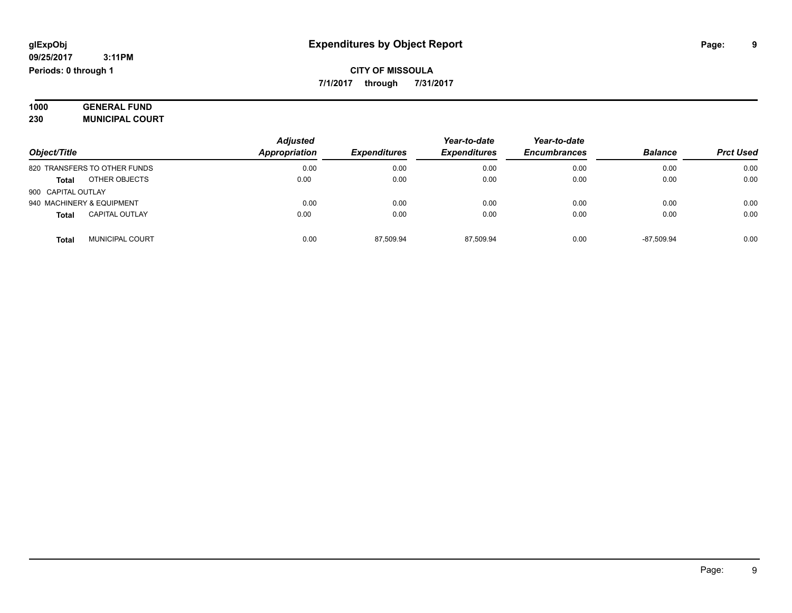| 1000 | <b>GENERAL FUND</b>    |  |
|------|------------------------|--|
| 230  | <b>MUNICIPAL COURT</b> |  |

|                                       | <b>Adjusted</b> |                     | Year-to-date        | Year-to-date        | <b>Balance</b> | <b>Prct Used</b> |
|---------------------------------------|-----------------|---------------------|---------------------|---------------------|----------------|------------------|
| Object/Title                          | Appropriation   | <b>Expenditures</b> | <b>Expenditures</b> | <b>Encumbrances</b> |                |                  |
| 820 TRANSFERS TO OTHER FUNDS          | 0.00            | 0.00                | 0.00                | 0.00                | 0.00           | 0.00             |
| OTHER OBJECTS<br><b>Total</b>         | 0.00            | 0.00                | 0.00                | 0.00                | 0.00           | 0.00             |
| 900 CAPITAL OUTLAY                    |                 |                     |                     |                     |                |                  |
| 940 MACHINERY & EQUIPMENT             | 0.00            | 0.00                | 0.00                | 0.00                | 0.00           | 0.00             |
| <b>CAPITAL OUTLAY</b><br><b>Total</b> | 0.00            | 0.00                | 0.00                | 0.00                | 0.00           | 0.00             |
| <b>MUNICIPAL COURT</b><br>Tota        | 0.00            | 87.509.94           | 87.509.94           | 0.00                | $-87.509.94$   | 0.00             |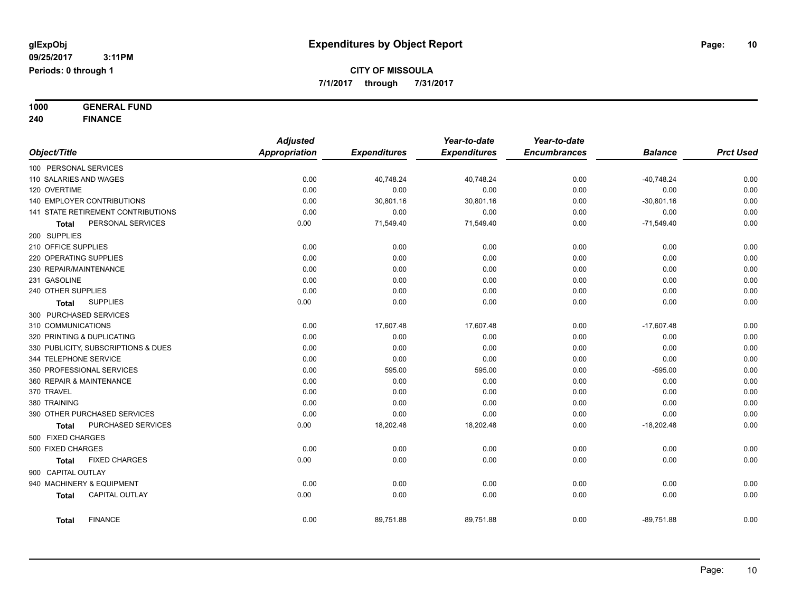**1000 GENERAL FUND**

**240 FINANCE**

|                              |                                     | <b>Adjusted</b>      |                     | Year-to-date        | Year-to-date        |                |                  |
|------------------------------|-------------------------------------|----------------------|---------------------|---------------------|---------------------|----------------|------------------|
| Object/Title                 |                                     | <b>Appropriation</b> | <b>Expenditures</b> | <b>Expenditures</b> | <b>Encumbrances</b> | <b>Balance</b> | <b>Prct Used</b> |
| 100 PERSONAL SERVICES        |                                     |                      |                     |                     |                     |                |                  |
| 110 SALARIES AND WAGES       |                                     | 0.00                 | 40,748.24           | 40,748.24           | 0.00                | $-40,748.24$   | 0.00             |
| 120 OVERTIME                 |                                     | 0.00                 | 0.00                | 0.00                | 0.00                | 0.00           | 0.00             |
| 140 EMPLOYER CONTRIBUTIONS   |                                     | 0.00                 | 30,801.16           | 30,801.16           | 0.00                | $-30,801.16$   | 0.00             |
|                              | 141 STATE RETIREMENT CONTRIBUTIONS  | 0.00                 | 0.00                | 0.00                | 0.00                | 0.00           | 0.00             |
| Total                        | PERSONAL SERVICES                   | 0.00                 | 71,549.40           | 71,549.40           | 0.00                | $-71,549.40$   | 0.00             |
| 200 SUPPLIES                 |                                     |                      |                     |                     |                     |                |                  |
| 210 OFFICE SUPPLIES          |                                     | 0.00                 | 0.00                | 0.00                | 0.00                | 0.00           | 0.00             |
| 220 OPERATING SUPPLIES       |                                     | 0.00                 | 0.00                | 0.00                | 0.00                | 0.00           | 0.00             |
| 230 REPAIR/MAINTENANCE       |                                     | 0.00                 | 0.00                | 0.00                | 0.00                | 0.00           | 0.00             |
| 231 GASOLINE                 |                                     | 0.00                 | 0.00                | 0.00                | 0.00                | 0.00           | 0.00             |
| 240 OTHER SUPPLIES           |                                     | 0.00                 | 0.00                | 0.00                | 0.00                | 0.00           | 0.00             |
| Total                        | <b>SUPPLIES</b>                     | 0.00                 | 0.00                | 0.00                | 0.00                | 0.00           | 0.00             |
| 300 PURCHASED SERVICES       |                                     |                      |                     |                     |                     |                |                  |
| 310 COMMUNICATIONS           |                                     | 0.00                 | 17,607.48           | 17,607.48           | 0.00                | $-17,607.48$   | 0.00             |
| 320 PRINTING & DUPLICATING   |                                     | 0.00                 | 0.00                | 0.00                | 0.00                | 0.00           | 0.00             |
|                              | 330 PUBLICITY, SUBSCRIPTIONS & DUES | 0.00                 | 0.00                | 0.00                | 0.00                | 0.00           | 0.00             |
| 344 TELEPHONE SERVICE        |                                     | 0.00                 | 0.00                | 0.00                | 0.00                | 0.00           | 0.00             |
| 350 PROFESSIONAL SERVICES    |                                     | 0.00                 | 595.00              | 595.00              | 0.00                | $-595.00$      | 0.00             |
| 360 REPAIR & MAINTENANCE     |                                     | 0.00                 | 0.00                | 0.00                | 0.00                | 0.00           | 0.00             |
| 370 TRAVEL                   |                                     | 0.00                 | 0.00                | 0.00                | 0.00                | 0.00           | 0.00             |
| 380 TRAINING                 |                                     | 0.00                 | 0.00                | 0.00                | 0.00                | 0.00           | 0.00             |
| 390 OTHER PURCHASED SERVICES |                                     | 0.00                 | 0.00                | 0.00                | 0.00                | 0.00           | 0.00             |
| <b>Total</b>                 | PURCHASED SERVICES                  | 0.00                 | 18,202.48           | 18,202.48           | 0.00                | $-18,202.48$   | 0.00             |
| 500 FIXED CHARGES            |                                     |                      |                     |                     |                     |                |                  |
| 500 FIXED CHARGES            |                                     | 0.00                 | 0.00                | 0.00                | 0.00                | 0.00           | 0.00             |
| <b>Total</b>                 | <b>FIXED CHARGES</b>                | 0.00                 | 0.00                | 0.00                | 0.00                | 0.00           | 0.00             |
| 900 CAPITAL OUTLAY           |                                     |                      |                     |                     |                     |                |                  |
| 940 MACHINERY & EQUIPMENT    |                                     | 0.00                 | 0.00                | 0.00                | 0.00                | 0.00           | 0.00             |
| <b>Total</b>                 | CAPITAL OUTLAY                      | 0.00                 | 0.00                | 0.00                | 0.00                | 0.00           | 0.00             |
| <b>Total</b>                 | <b>FINANCE</b>                      | 0.00                 | 89,751.88           | 89,751.88           | 0.00                | $-89,751.88$   | 0.00             |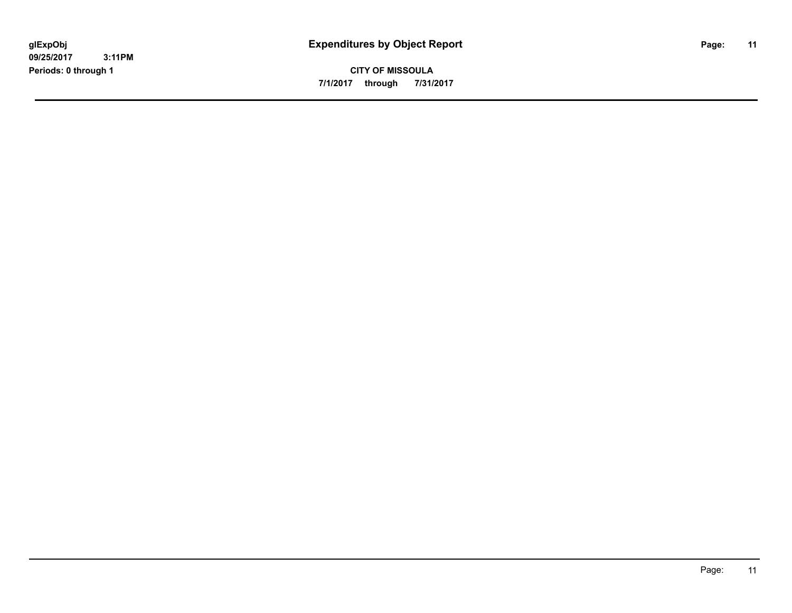**7/1/2017 through 7/31/2017**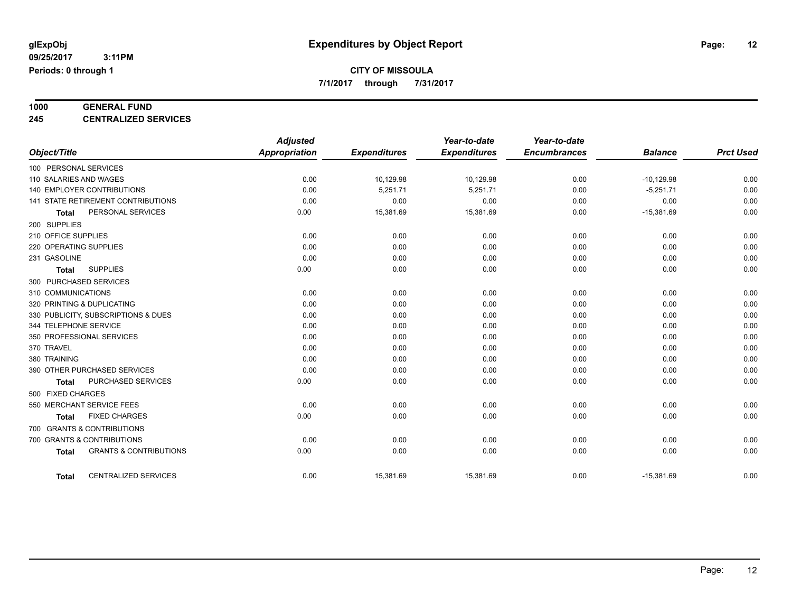**7/1/2017 through 7/31/2017**

# **1000 GENERAL FUND**

**245 CENTRALIZED SERVICES**

|                                                   | <b>Adjusted</b> |                     | Year-to-date        | Year-to-date        |                |                  |
|---------------------------------------------------|-----------------|---------------------|---------------------|---------------------|----------------|------------------|
| Object/Title                                      | Appropriation   | <b>Expenditures</b> | <b>Expenditures</b> | <b>Encumbrances</b> | <b>Balance</b> | <b>Prct Used</b> |
| 100 PERSONAL SERVICES                             |                 |                     |                     |                     |                |                  |
| 110 SALARIES AND WAGES                            | 0.00            | 10,129.98           | 10.129.98           | 0.00                | $-10,129.98$   | 0.00             |
| <b>140 EMPLOYER CONTRIBUTIONS</b>                 | 0.00            | 5,251.71            | 5,251.71            | 0.00                | $-5,251.71$    | 0.00             |
| 141 STATE RETIREMENT CONTRIBUTIONS                | 0.00            | 0.00                | 0.00                | 0.00                | 0.00           | 0.00             |
| PERSONAL SERVICES<br><b>Total</b>                 | 0.00            | 15,381.69           | 15,381.69           | 0.00                | $-15,381.69$   | 0.00             |
| 200 SUPPLIES                                      |                 |                     |                     |                     |                |                  |
| 210 OFFICE SUPPLIES                               | 0.00            | 0.00                | 0.00                | 0.00                | 0.00           | 0.00             |
| 220 OPERATING SUPPLIES                            | 0.00            | 0.00                | 0.00                | 0.00                | 0.00           | 0.00             |
| 231 GASOLINE                                      | 0.00            | 0.00                | 0.00                | 0.00                | 0.00           | 0.00             |
| <b>SUPPLIES</b><br><b>Total</b>                   | 0.00            | 0.00                | 0.00                | 0.00                | 0.00           | 0.00             |
| 300 PURCHASED SERVICES                            |                 |                     |                     |                     |                |                  |
| 310 COMMUNICATIONS                                | 0.00            | 0.00                | 0.00                | 0.00                | 0.00           | 0.00             |
| 320 PRINTING & DUPLICATING                        | 0.00            | 0.00                | 0.00                | 0.00                | 0.00           | 0.00             |
| 330 PUBLICITY, SUBSCRIPTIONS & DUES               | 0.00            | 0.00                | 0.00                | 0.00                | 0.00           | 0.00             |
| 344 TELEPHONE SERVICE                             | 0.00            | 0.00                | 0.00                | 0.00                | 0.00           | 0.00             |
| 350 PROFESSIONAL SERVICES                         | 0.00            | 0.00                | 0.00                | 0.00                | 0.00           | 0.00             |
| 370 TRAVEL                                        | 0.00            | 0.00                | 0.00                | 0.00                | 0.00           | 0.00             |
| 380 TRAINING                                      | 0.00            | 0.00                | 0.00                | 0.00                | 0.00           | 0.00             |
| 390 OTHER PURCHASED SERVICES                      | 0.00            | 0.00                | 0.00                | 0.00                | 0.00           | 0.00             |
| PURCHASED SERVICES<br><b>Total</b>                | 0.00            | 0.00                | 0.00                | 0.00                | 0.00           | 0.00             |
| 500 FIXED CHARGES                                 |                 |                     |                     |                     |                |                  |
| 550 MERCHANT SERVICE FEES                         | 0.00            | 0.00                | 0.00                | 0.00                | 0.00           | 0.00             |
| <b>FIXED CHARGES</b><br><b>Total</b>              | 0.00            | 0.00                | 0.00                | 0.00                | 0.00           | 0.00             |
| 700 GRANTS & CONTRIBUTIONS                        |                 |                     |                     |                     |                |                  |
| 700 GRANTS & CONTRIBUTIONS                        | 0.00            | 0.00                | 0.00                | 0.00                | 0.00           | 0.00             |
| <b>GRANTS &amp; CONTRIBUTIONS</b><br><b>Total</b> | 0.00            | 0.00                | 0.00                | 0.00                | 0.00           | 0.00             |
| <b>CENTRALIZED SERVICES</b><br><b>Total</b>       | 0.00            | 15,381.69           | 15,381.69           | 0.00                | $-15,381.69$   | 0.00             |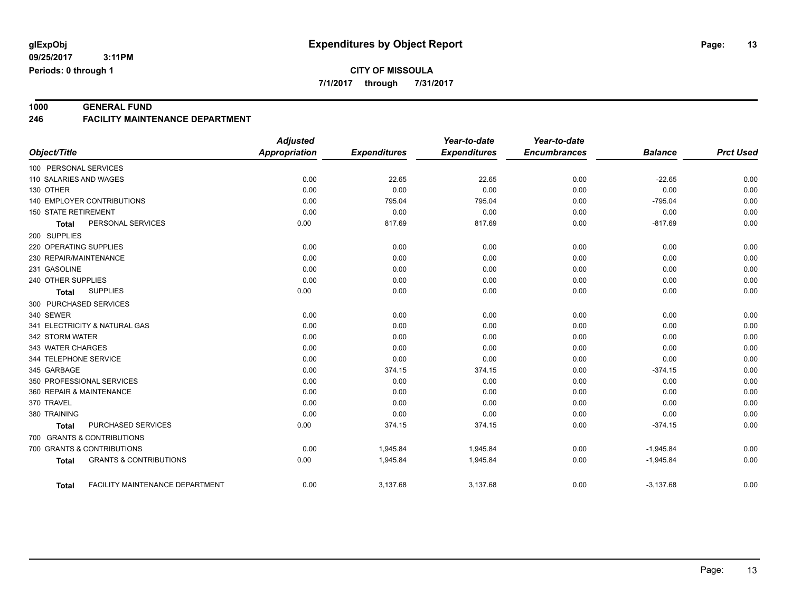**1000 GENERAL FUND 246 FACILITY MAINTENANCE DEPARTMENT**

|                                                   | <b>Adjusted</b> |                     | Year-to-date        | Year-to-date        |                |                  |
|---------------------------------------------------|-----------------|---------------------|---------------------|---------------------|----------------|------------------|
| Object/Title                                      | Appropriation   | <b>Expenditures</b> | <b>Expenditures</b> | <b>Encumbrances</b> | <b>Balance</b> | <b>Prct Used</b> |
| 100 PERSONAL SERVICES                             |                 |                     |                     |                     |                |                  |
| 110 SALARIES AND WAGES                            | 0.00            | 22.65               | 22.65               | 0.00                | $-22.65$       | 0.00             |
| 130 OTHER                                         | 0.00            | 0.00                | 0.00                | 0.00                | 0.00           | 0.00             |
| 140 EMPLOYER CONTRIBUTIONS                        | 0.00            | 795.04              | 795.04              | 0.00                | $-795.04$      | 0.00             |
| <b>150 STATE RETIREMENT</b>                       | 0.00            | 0.00                | 0.00                | 0.00                | 0.00           | 0.00             |
| PERSONAL SERVICES<br><b>Total</b>                 | 0.00            | 817.69              | 817.69              | 0.00                | $-817.69$      | 0.00             |
| 200 SUPPLIES                                      |                 |                     |                     |                     |                |                  |
| 220 OPERATING SUPPLIES                            | 0.00            | 0.00                | 0.00                | 0.00                | 0.00           | 0.00             |
| 230 REPAIR/MAINTENANCE                            | 0.00            | 0.00                | 0.00                | 0.00                | 0.00           | 0.00             |
| 231 GASOLINE                                      | 0.00            | 0.00                | 0.00                | 0.00                | 0.00           | 0.00             |
| 240 OTHER SUPPLIES                                | 0.00            | 0.00                | 0.00                | 0.00                | 0.00           | 0.00             |
| <b>SUPPLIES</b><br><b>Total</b>                   | 0.00            | 0.00                | 0.00                | 0.00                | 0.00           | 0.00             |
| 300 PURCHASED SERVICES                            |                 |                     |                     |                     |                |                  |
| 340 SEWER                                         | 0.00            | 0.00                | 0.00                | 0.00                | 0.00           | 0.00             |
| 341 ELECTRICITY & NATURAL GAS                     | 0.00            | 0.00                | 0.00                | 0.00                | 0.00           | 0.00             |
| 342 STORM WATER                                   | 0.00            | 0.00                | 0.00                | 0.00                | 0.00           | 0.00             |
| 343 WATER CHARGES                                 | 0.00            | 0.00                | 0.00                | 0.00                | 0.00           | 0.00             |
| 344 TELEPHONE SERVICE                             | 0.00            | 0.00                | 0.00                | 0.00                | 0.00           | 0.00             |
| 345 GARBAGE                                       | 0.00            | 374.15              | 374.15              | 0.00                | $-374.15$      | 0.00             |
| 350 PROFESSIONAL SERVICES                         | 0.00            | 0.00                | 0.00                | 0.00                | 0.00           | 0.00             |
| 360 REPAIR & MAINTENANCE                          | 0.00            | 0.00                | 0.00                | 0.00                | 0.00           | 0.00             |
| 370 TRAVEL                                        | 0.00            | 0.00                | 0.00                | 0.00                | 0.00           | 0.00             |
| 380 TRAINING                                      | 0.00            | 0.00                | 0.00                | 0.00                | 0.00           | 0.00             |
| PURCHASED SERVICES<br><b>Total</b>                | 0.00            | 374.15              | 374.15              | 0.00                | $-374.15$      | 0.00             |
| 700 GRANTS & CONTRIBUTIONS                        |                 |                     |                     |                     |                |                  |
| 700 GRANTS & CONTRIBUTIONS                        | 0.00            | 1,945.84            | 1.945.84            | 0.00                | $-1,945.84$    | 0.00             |
| <b>GRANTS &amp; CONTRIBUTIONS</b><br><b>Total</b> | 0.00            | 1,945.84            | 1,945.84            | 0.00                | $-1,945.84$    | 0.00             |
| FACILITY MAINTENANCE DEPARTMENT<br><b>Total</b>   | 0.00            | 3,137.68            | 3,137.68            | 0.00                | $-3,137.68$    | 0.00             |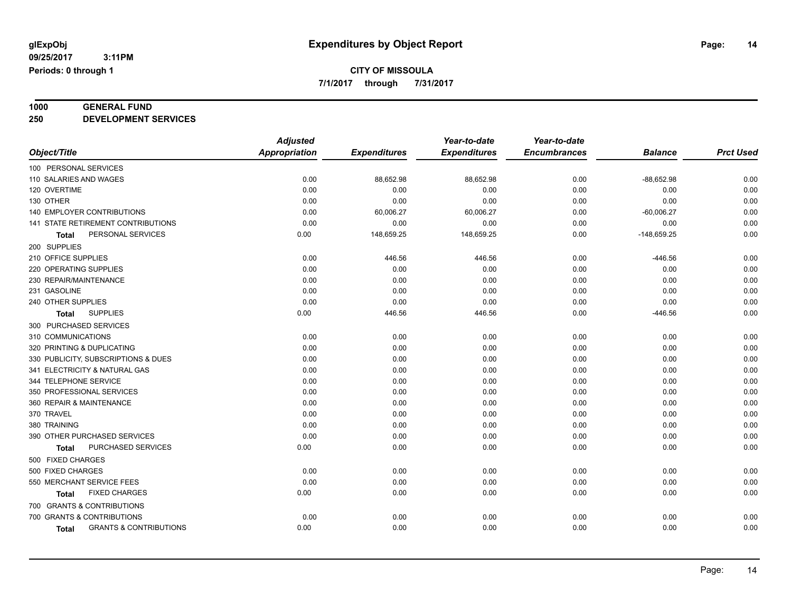**7/1/2017 through 7/31/2017**

# **1000 GENERAL FUND**

**250 DEVELOPMENT SERVICES**

|                                                   | <b>Adjusted</b>      |                     | Year-to-date        | Year-to-date        |                |                  |
|---------------------------------------------------|----------------------|---------------------|---------------------|---------------------|----------------|------------------|
| Object/Title                                      | <b>Appropriation</b> | <b>Expenditures</b> | <b>Expenditures</b> | <b>Encumbrances</b> | <b>Balance</b> | <b>Prct Used</b> |
| 100 PERSONAL SERVICES                             |                      |                     |                     |                     |                |                  |
| 110 SALARIES AND WAGES                            | 0.00                 | 88,652.98           | 88,652.98           | 0.00                | $-88,652.98$   | 0.00             |
| 120 OVERTIME                                      | 0.00                 | 0.00                | 0.00                | 0.00                | 0.00           | 0.00             |
| 130 OTHER                                         | 0.00                 | 0.00                | 0.00                | 0.00                | 0.00           | 0.00             |
| 140 EMPLOYER CONTRIBUTIONS                        | 0.00                 | 60,006.27           | 60,006.27           | 0.00                | $-60,006.27$   | 0.00             |
| 141 STATE RETIREMENT CONTRIBUTIONS                | 0.00                 | 0.00                | 0.00                | 0.00                | 0.00           | 0.00             |
| PERSONAL SERVICES<br>Total                        | 0.00                 | 148,659.25          | 148,659.25          | 0.00                | $-148,659.25$  | 0.00             |
| 200 SUPPLIES                                      |                      |                     |                     |                     |                |                  |
| 210 OFFICE SUPPLIES                               | 0.00                 | 446.56              | 446.56              | 0.00                | $-446.56$      | 0.00             |
| 220 OPERATING SUPPLIES                            | 0.00                 | 0.00                | 0.00                | 0.00                | 0.00           | 0.00             |
| 230 REPAIR/MAINTENANCE                            | 0.00                 | 0.00                | 0.00                | 0.00                | 0.00           | 0.00             |
| 231 GASOLINE                                      | 0.00                 | 0.00                | 0.00                | 0.00                | 0.00           | 0.00             |
| 240 OTHER SUPPLIES                                | 0.00                 | 0.00                | 0.00                | 0.00                | 0.00           | 0.00             |
| <b>SUPPLIES</b><br><b>Total</b>                   | 0.00                 | 446.56              | 446.56              | 0.00                | $-446.56$      | 0.00             |
| 300 PURCHASED SERVICES                            |                      |                     |                     |                     |                |                  |
| 310 COMMUNICATIONS                                | 0.00                 | 0.00                | 0.00                | 0.00                | 0.00           | 0.00             |
| 320 PRINTING & DUPLICATING                        | 0.00                 | 0.00                | 0.00                | 0.00                | 0.00           | 0.00             |
| 330 PUBLICITY, SUBSCRIPTIONS & DUES               | 0.00                 | 0.00                | 0.00                | 0.00                | 0.00           | 0.00             |
| 341 ELECTRICITY & NATURAL GAS                     | 0.00                 | 0.00                | 0.00                | 0.00                | 0.00           | 0.00             |
| 344 TELEPHONE SERVICE                             | 0.00                 | 0.00                | 0.00                | 0.00                | 0.00           | 0.00             |
| 350 PROFESSIONAL SERVICES                         | 0.00                 | 0.00                | 0.00                | 0.00                | 0.00           | 0.00             |
| 360 REPAIR & MAINTENANCE                          | 0.00                 | 0.00                | 0.00                | 0.00                | 0.00           | 0.00             |
| 370 TRAVEL                                        | 0.00                 | 0.00                | 0.00                | 0.00                | 0.00           | 0.00             |
| 380 TRAINING                                      | 0.00                 | 0.00                | 0.00                | 0.00                | 0.00           | 0.00             |
| 390 OTHER PURCHASED SERVICES                      | 0.00                 | 0.00                | 0.00                | 0.00                | 0.00           | 0.00             |
| PURCHASED SERVICES<br><b>Total</b>                | 0.00                 | 0.00                | 0.00                | 0.00                | 0.00           | 0.00             |
| 500 FIXED CHARGES                                 |                      |                     |                     |                     |                |                  |
| 500 FIXED CHARGES                                 | 0.00                 | 0.00                | 0.00                | 0.00                | 0.00           | 0.00             |
| 550 MERCHANT SERVICE FEES                         | 0.00                 | 0.00                | 0.00                | 0.00                | 0.00           | 0.00             |
| <b>FIXED CHARGES</b><br><b>Total</b>              | 0.00                 | 0.00                | 0.00                | 0.00                | 0.00           | 0.00             |
| 700 GRANTS & CONTRIBUTIONS                        |                      |                     |                     |                     |                |                  |
| 700 GRANTS & CONTRIBUTIONS                        | 0.00                 | 0.00                | 0.00                | 0.00                | 0.00           | 0.00             |
| <b>GRANTS &amp; CONTRIBUTIONS</b><br><b>Total</b> | 0.00                 | 0.00                | 0.00                | 0.00                | 0.00           | 0.00             |
|                                                   |                      |                     |                     |                     |                |                  |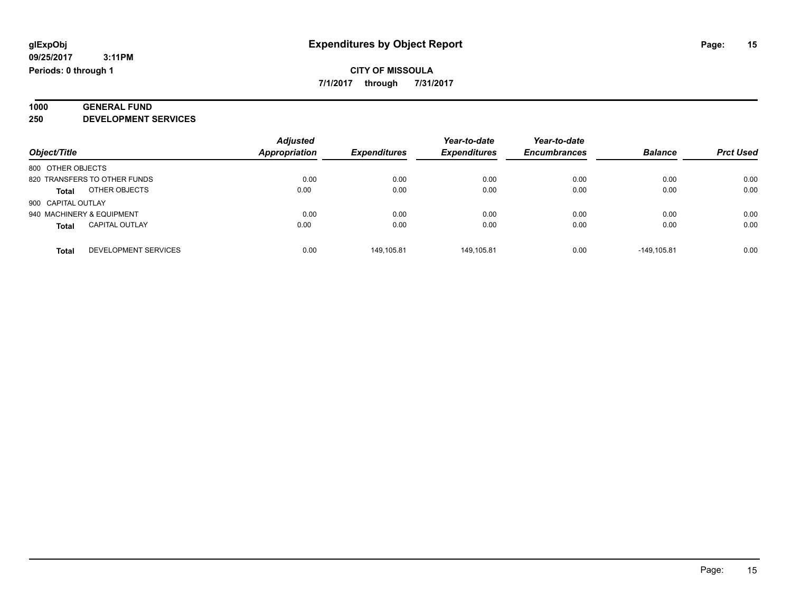**7/1/2017 through 7/31/2017**

#### **1000 GENERAL FUND 250 DEVELOPMENT SERVICES**

| Object/Title                          | <b>Adjusted</b><br><b>Appropriation</b> | <b>Expenditures</b> | Year-to-date<br><b>Expenditures</b> | Year-to-date<br><b>Encumbrances</b> | <b>Balance</b> | <b>Prct Used</b> |
|---------------------------------------|-----------------------------------------|---------------------|-------------------------------------|-------------------------------------|----------------|------------------|
| 800 OTHER OBJECTS                     |                                         |                     |                                     |                                     |                |                  |
| 820 TRANSFERS TO OTHER FUNDS          | 0.00                                    | 0.00                | 0.00                                | 0.00                                | 0.00           | 0.00             |
| OTHER OBJECTS<br><b>Total</b>         | 0.00                                    | 0.00                | 0.00                                | 0.00                                | 0.00           | 0.00             |
| 900 CAPITAL OUTLAY                    |                                         |                     |                                     |                                     |                |                  |
| 940 MACHINERY & EQUIPMENT             | 0.00                                    | 0.00                | 0.00                                | 0.00                                | 0.00           | 0.00             |
| <b>CAPITAL OUTLAY</b><br><b>Total</b> | 0.00                                    | 0.00                | 0.00                                | 0.00                                | 0.00           | 0.00             |
| DEVELOPMENT SERVICES<br><b>Total</b>  | 0.00                                    | 149.105.81          | 149.105.81                          | 0.00                                | $-149.105.81$  | 0.00             |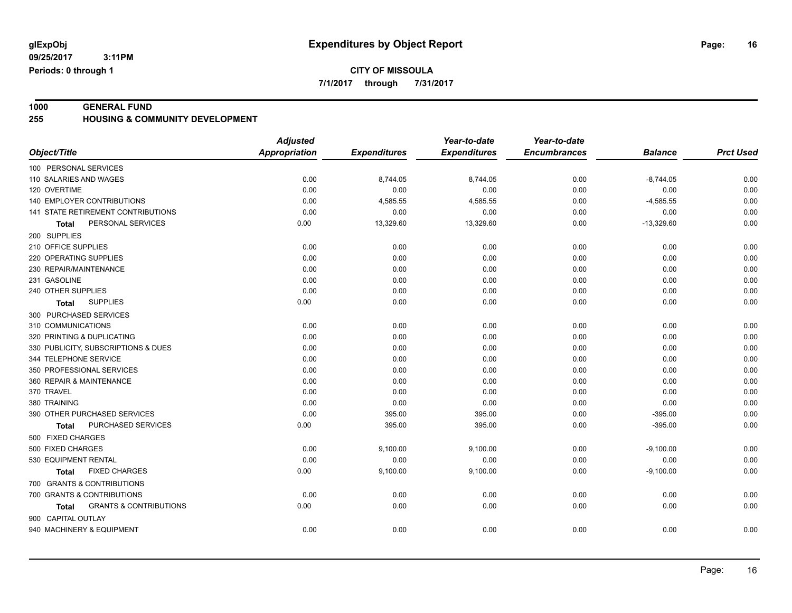**7/1/2017 through 7/31/2017**

**1000 GENERAL FUND 255 HOUSING & COMMUNITY DEVELOPMENT**

|                                                   | <b>Adjusted</b>      |                     | Year-to-date        | Year-to-date        |                |                  |
|---------------------------------------------------|----------------------|---------------------|---------------------|---------------------|----------------|------------------|
| Object/Title                                      | <b>Appropriation</b> | <b>Expenditures</b> | <b>Expenditures</b> | <b>Encumbrances</b> | <b>Balance</b> | <b>Prct Used</b> |
| 100 PERSONAL SERVICES                             |                      |                     |                     |                     |                |                  |
| 110 SALARIES AND WAGES                            | 0.00                 | 8,744.05            | 8,744.05            | 0.00                | $-8,744.05$    | 0.00             |
| 120 OVERTIME                                      | 0.00                 | 0.00                | 0.00                | 0.00                | 0.00           | 0.00             |
| 140 EMPLOYER CONTRIBUTIONS                        | 0.00                 | 4,585.55            | 4,585.55            | 0.00                | $-4,585.55$    | 0.00             |
| 141 STATE RETIREMENT CONTRIBUTIONS                | 0.00                 | 0.00                | 0.00                | 0.00                | 0.00           | 0.00             |
| PERSONAL SERVICES<br>Total                        | 0.00                 | 13,329.60           | 13,329.60           | 0.00                | $-13,329.60$   | 0.00             |
| 200 SUPPLIES                                      |                      |                     |                     |                     |                |                  |
| 210 OFFICE SUPPLIES                               | 0.00                 | 0.00                | 0.00                | 0.00                | 0.00           | 0.00             |
| 220 OPERATING SUPPLIES                            | 0.00                 | 0.00                | 0.00                | 0.00                | 0.00           | 0.00             |
| 230 REPAIR/MAINTENANCE                            | 0.00                 | 0.00                | 0.00                | 0.00                | 0.00           | 0.00             |
| 231 GASOLINE                                      | 0.00                 | 0.00                | 0.00                | 0.00                | 0.00           | 0.00             |
| 240 OTHER SUPPLIES                                | 0.00                 | 0.00                | 0.00                | 0.00                | 0.00           | 0.00             |
| <b>SUPPLIES</b><br>Total                          | 0.00                 | 0.00                | 0.00                | 0.00                | 0.00           | 0.00             |
| 300 PURCHASED SERVICES                            |                      |                     |                     |                     |                |                  |
| 310 COMMUNICATIONS                                | 0.00                 | 0.00                | 0.00                | 0.00                | 0.00           | 0.00             |
| 320 PRINTING & DUPLICATING                        | 0.00                 | 0.00                | 0.00                | 0.00                | 0.00           | 0.00             |
| 330 PUBLICITY, SUBSCRIPTIONS & DUES               | 0.00                 | 0.00                | 0.00                | 0.00                | 0.00           | 0.00             |
| 344 TELEPHONE SERVICE                             | 0.00                 | 0.00                | 0.00                | 0.00                | 0.00           | 0.00             |
| 350 PROFESSIONAL SERVICES                         | 0.00                 | 0.00                | 0.00                | 0.00                | 0.00           | 0.00             |
| 360 REPAIR & MAINTENANCE                          | 0.00                 | 0.00                | 0.00                | 0.00                | 0.00           | 0.00             |
| 370 TRAVEL                                        | 0.00                 | 0.00                | 0.00                | 0.00                | 0.00           | 0.00             |
| 380 TRAINING                                      | 0.00                 | 0.00                | 0.00                | 0.00                | 0.00           | 0.00             |
| 390 OTHER PURCHASED SERVICES                      | 0.00                 | 395.00              | 395.00              | 0.00                | $-395.00$      | 0.00             |
| PURCHASED SERVICES<br><b>Total</b>                | 0.00                 | 395.00              | 395.00              | 0.00                | $-395.00$      | 0.00             |
| 500 FIXED CHARGES                                 |                      |                     |                     |                     |                |                  |
| 500 FIXED CHARGES                                 | 0.00                 | 9,100.00            | 9,100.00            | 0.00                | $-9,100.00$    | 0.00             |
| 530 EQUIPMENT RENTAL                              | 0.00                 | 0.00                | 0.00                | 0.00                | 0.00           | 0.00             |
| <b>FIXED CHARGES</b><br><b>Total</b>              | 0.00                 | 9,100.00            | 9,100.00            | 0.00                | $-9,100.00$    | 0.00             |
| 700 GRANTS & CONTRIBUTIONS                        |                      |                     |                     |                     |                |                  |
| 700 GRANTS & CONTRIBUTIONS                        | 0.00                 | 0.00                | 0.00                | 0.00                | 0.00           | 0.00             |
| <b>GRANTS &amp; CONTRIBUTIONS</b><br><b>Total</b> | 0.00                 | 0.00                | 0.00                | 0.00                | 0.00           | 0.00             |
| 900 CAPITAL OUTLAY                                |                      |                     |                     |                     |                |                  |
| 940 MACHINERY & EQUIPMENT                         | 0.00                 | 0.00                | 0.00                | 0.00                | 0.00           | 0.00             |
|                                                   |                      |                     |                     |                     |                |                  |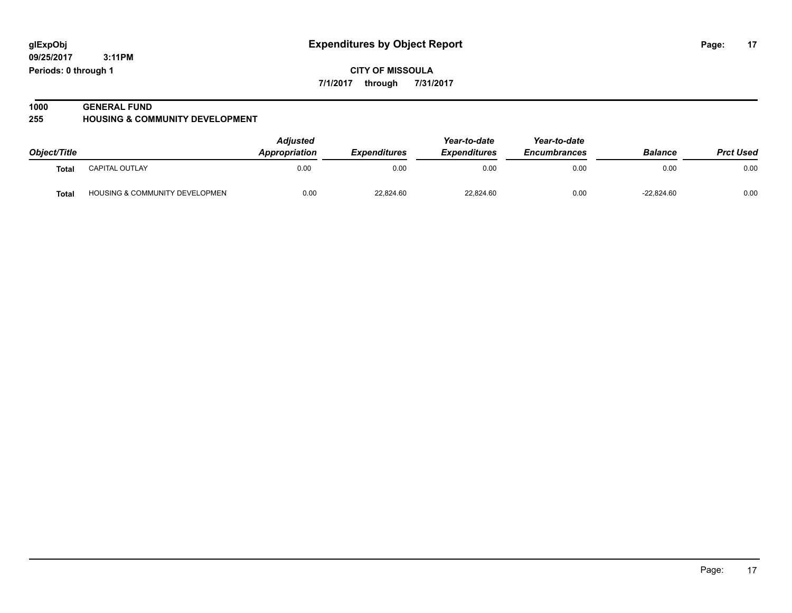**09/25/2017 3:11PM Periods: 0 through 1**

**CITY OF MISSOULA 7/1/2017 through 7/31/2017**

#### **1000 GENERAL FUND 255 HOUSING & COMMUNITY DEVELOPMENT**

|              |                                           | <b>Adjusted</b>      |                     | Year-to-date<br><b>Expenditures</b> | Year-to-date<br><b>Encumbrances</b> |                | <b>Prct Used</b> |
|--------------|-------------------------------------------|----------------------|---------------------|-------------------------------------|-------------------------------------|----------------|------------------|
| Object/Title |                                           | <b>Appropriation</b> | <b>Expenditures</b> |                                     |                                     | <b>Balance</b> |                  |
| <b>Total</b> | <b>CAPITAL OUTLAY</b>                     | 0.00                 | 0.00                | 0.00                                | 0.00                                | 0.00           | 0.00             |
| <b>Total</b> | <b>HOUSING &amp; COMMUNITY DEVELOPMEN</b> | 0.00                 | 22,824.60           | 22,824.60                           | 0.00                                | $-22.824.60$   | 0.00             |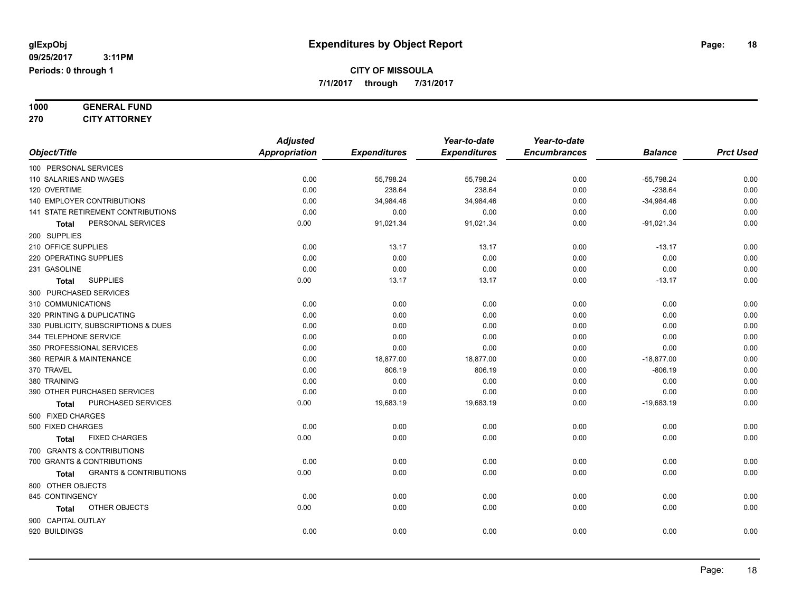**1000 GENERAL FUND**

**270 CITY ATTORNEY**

|                                            | <b>Adjusted</b>      |                     | Year-to-date        | Year-to-date        |                |                  |
|--------------------------------------------|----------------------|---------------------|---------------------|---------------------|----------------|------------------|
| Object/Title                               | <b>Appropriation</b> | <b>Expenditures</b> | <b>Expenditures</b> | <b>Encumbrances</b> | <b>Balance</b> | <b>Prct Used</b> |
| 100 PERSONAL SERVICES                      |                      |                     |                     |                     |                |                  |
| 110 SALARIES AND WAGES                     | 0.00                 | 55,798.24           | 55,798.24           | 0.00                | $-55,798.24$   | 0.00             |
| 120 OVERTIME                               | 0.00                 | 238.64              | 238.64              | 0.00                | $-238.64$      | 0.00             |
| 140 EMPLOYER CONTRIBUTIONS                 | 0.00                 | 34,984.46           | 34,984.46           | 0.00                | $-34,984.46$   | 0.00             |
| 141 STATE RETIREMENT CONTRIBUTIONS         | 0.00                 | 0.00                | 0.00                | 0.00                | 0.00           | 0.00             |
| PERSONAL SERVICES<br>Total                 | 0.00                 | 91,021.34           | 91,021.34           | 0.00                | $-91,021.34$   | 0.00             |
| 200 SUPPLIES                               |                      |                     |                     |                     |                |                  |
| 210 OFFICE SUPPLIES                        | 0.00                 | 13.17               | 13.17               | 0.00                | $-13.17$       | 0.00             |
| 220 OPERATING SUPPLIES                     | 0.00                 | 0.00                | 0.00                | 0.00                | 0.00           | 0.00             |
| 231 GASOLINE                               | 0.00                 | 0.00                | 0.00                | 0.00                | 0.00           | 0.00             |
| <b>SUPPLIES</b><br><b>Total</b>            | 0.00                 | 13.17               | 13.17               | 0.00                | $-13.17$       | 0.00             |
| 300 PURCHASED SERVICES                     |                      |                     |                     |                     |                |                  |
| 310 COMMUNICATIONS                         | 0.00                 | 0.00                | 0.00                | 0.00                | 0.00           | 0.00             |
| 320 PRINTING & DUPLICATING                 | 0.00                 | 0.00                | 0.00                | 0.00                | 0.00           | 0.00             |
| 330 PUBLICITY, SUBSCRIPTIONS & DUES        | 0.00                 | 0.00                | 0.00                | 0.00                | 0.00           | 0.00             |
| 344 TELEPHONE SERVICE                      | 0.00                 | 0.00                | 0.00                | 0.00                | 0.00           | 0.00             |
| 350 PROFESSIONAL SERVICES                  | 0.00                 | 0.00                | 0.00                | 0.00                | 0.00           | 0.00             |
| 360 REPAIR & MAINTENANCE                   | 0.00                 | 18,877.00           | 18,877.00           | 0.00                | $-18,877.00$   | 0.00             |
| 370 TRAVEL                                 | 0.00                 | 806.19              | 806.19              | 0.00                | $-806.19$      | 0.00             |
| 380 TRAINING                               | 0.00                 | 0.00                | 0.00                | 0.00                | 0.00           | 0.00             |
| 390 OTHER PURCHASED SERVICES               | 0.00                 | 0.00                | 0.00                | 0.00                | 0.00           | 0.00             |
| PURCHASED SERVICES<br><b>Total</b>         | 0.00                 | 19,683.19           | 19,683.19           | 0.00                | $-19,683.19$   | 0.00             |
| 500 FIXED CHARGES                          |                      |                     |                     |                     |                |                  |
| 500 FIXED CHARGES                          | 0.00                 | 0.00                | 0.00                | 0.00                | 0.00           | 0.00             |
| <b>FIXED CHARGES</b><br><b>Total</b>       | 0.00                 | 0.00                | 0.00                | 0.00                | 0.00           | 0.00             |
| 700 GRANTS & CONTRIBUTIONS                 |                      |                     |                     |                     |                |                  |
| 700 GRANTS & CONTRIBUTIONS                 | 0.00                 | 0.00                | 0.00                | 0.00                | 0.00           | 0.00             |
| <b>GRANTS &amp; CONTRIBUTIONS</b><br>Total | 0.00                 | 0.00                | 0.00                | 0.00                | 0.00           | 0.00             |
| 800 OTHER OBJECTS                          |                      |                     |                     |                     |                |                  |
| 845 CONTINGENCY                            | 0.00                 | 0.00                | 0.00                | 0.00                | 0.00           | 0.00             |
| OTHER OBJECTS<br>Total                     | 0.00                 | 0.00                | 0.00                | 0.00                | 0.00           | 0.00             |
| 900 CAPITAL OUTLAY                         |                      |                     |                     |                     |                |                  |
| 920 BUILDINGS                              | 0.00                 | 0.00                | 0.00                | 0.00                | 0.00           | 0.00             |
|                                            |                      |                     |                     |                     |                |                  |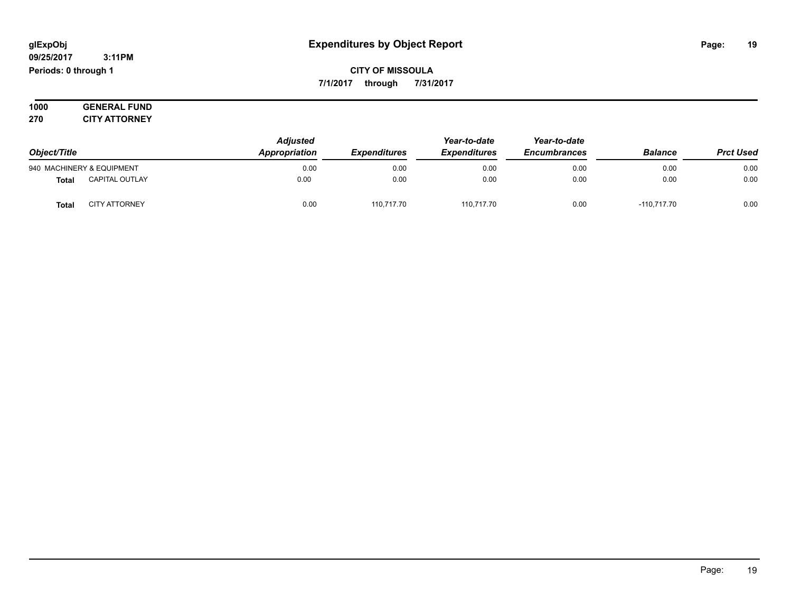**09/25/2017 3:11PM Periods: 0 through 1**

**CITY OF MISSOULA 7/1/2017 through 7/31/2017**

**1000 GENERAL FUND 270 CITY ATTORNEY**

| Object/Title |                           | <b>Adjusted</b><br>Appropriation | Year-to-date<br><b>Expenditures</b><br><b>Expenditures</b> | Year-to-date<br><b>Encumbrances</b> | <b>Balance</b> | <b>Prct Used</b> |      |
|--------------|---------------------------|----------------------------------|------------------------------------------------------------|-------------------------------------|----------------|------------------|------|
|              | 940 MACHINERY & EQUIPMENT | 0.00                             | 0.00                                                       | 0.00                                | 0.00           | 0.00             | 0.00 |
| <b>Total</b> | <b>CAPITAL OUTLAY</b>     | 0.00                             | 0.00                                                       | 0.00                                | 0.00           | 0.00             | 0.00 |
| <b>Total</b> | <b>CITY ATTORNEY</b>      | 0.00                             | 110.717.70                                                 | 110.717.70                          | 0.00           | $-110.717.70$    | 0.00 |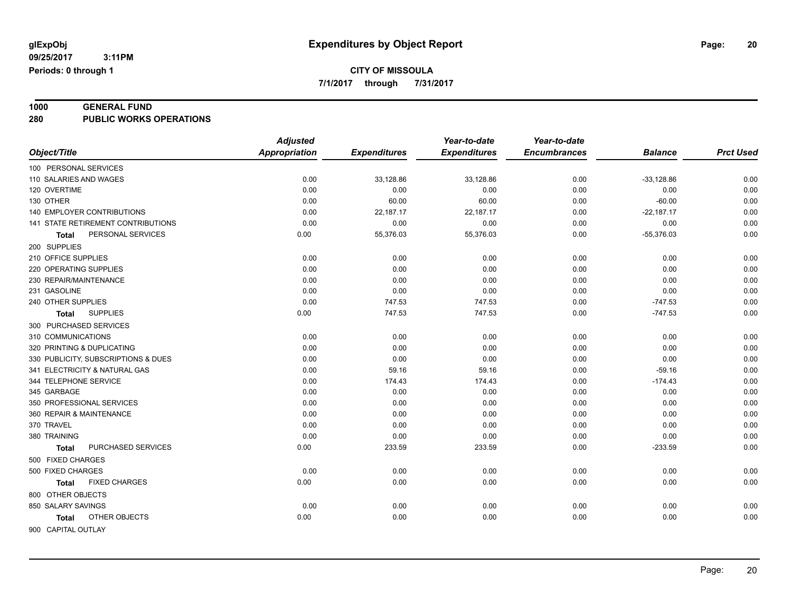**7/1/2017 through 7/31/2017**

## **1000 GENERAL FUND**

**280 PUBLIC WORKS OPERATIONS**

|                                     | <b>Adjusted</b>      |                     | Year-to-date        | Year-to-date        |                |                  |
|-------------------------------------|----------------------|---------------------|---------------------|---------------------|----------------|------------------|
| Object/Title                        | <b>Appropriation</b> | <b>Expenditures</b> | <b>Expenditures</b> | <b>Encumbrances</b> | <b>Balance</b> | <b>Prct Used</b> |
| 100 PERSONAL SERVICES               |                      |                     |                     |                     |                |                  |
| 110 SALARIES AND WAGES              | 0.00                 | 33,128.86           | 33,128.86           | 0.00                | $-33,128.86$   | 0.00             |
| 120 OVERTIME                        | 0.00                 | 0.00                | 0.00                | 0.00                | 0.00           | 0.00             |
| 130 OTHER                           | 0.00                 | 60.00               | 60.00               | 0.00                | $-60.00$       | 0.00             |
| <b>140 EMPLOYER CONTRIBUTIONS</b>   | 0.00                 | 22,187.17           | 22,187.17           | 0.00                | $-22,187.17$   | 0.00             |
| 141 STATE RETIREMENT CONTRIBUTIONS  | 0.00                 | 0.00                | 0.00                | 0.00                | 0.00           | 0.00             |
| PERSONAL SERVICES<br>Total          | 0.00                 | 55,376.03           | 55,376.03           | 0.00                | $-55,376.03$   | 0.00             |
| 200 SUPPLIES                        |                      |                     |                     |                     |                |                  |
| 210 OFFICE SUPPLIES                 | 0.00                 | 0.00                | 0.00                | 0.00                | 0.00           | 0.00             |
| 220 OPERATING SUPPLIES              | 0.00                 | 0.00                | 0.00                | 0.00                | 0.00           | 0.00             |
| 230 REPAIR/MAINTENANCE              | 0.00                 | 0.00                | 0.00                | 0.00                | 0.00           | 0.00             |
| 231 GASOLINE                        | 0.00                 | 0.00                | 0.00                | 0.00                | 0.00           | 0.00             |
| 240 OTHER SUPPLIES                  | 0.00                 | 747.53              | 747.53              | 0.00                | $-747.53$      | 0.00             |
| <b>SUPPLIES</b><br>Total            | 0.00                 | 747.53              | 747.53              | 0.00                | $-747.53$      | 0.00             |
| 300 PURCHASED SERVICES              |                      |                     |                     |                     |                |                  |
| 310 COMMUNICATIONS                  | 0.00                 | 0.00                | 0.00                | 0.00                | 0.00           | 0.00             |
| 320 PRINTING & DUPLICATING          | 0.00                 | 0.00                | 0.00                | 0.00                | 0.00           | 0.00             |
| 330 PUBLICITY, SUBSCRIPTIONS & DUES | 0.00                 | 0.00                | 0.00                | 0.00                | 0.00           | 0.00             |
| 341 ELECTRICITY & NATURAL GAS       | 0.00                 | 59.16               | 59.16               | 0.00                | $-59.16$       | 0.00             |
| 344 TELEPHONE SERVICE               | 0.00                 | 174.43              | 174.43              | 0.00                | $-174.43$      | 0.00             |
| 345 GARBAGE                         | 0.00                 | 0.00                | 0.00                | 0.00                | 0.00           | 0.00             |
| 350 PROFESSIONAL SERVICES           | 0.00                 | 0.00                | 0.00                | 0.00                | 0.00           | 0.00             |
| 360 REPAIR & MAINTENANCE            | 0.00                 | 0.00                | 0.00                | 0.00                | 0.00           | 0.00             |
| 370 TRAVEL                          | 0.00                 | 0.00                | 0.00                | 0.00                | 0.00           | 0.00             |
| 380 TRAINING                        | 0.00                 | 0.00                | 0.00                | 0.00                | 0.00           | 0.00             |
| PURCHASED SERVICES<br><b>Total</b>  | 0.00                 | 233.59              | 233.59              | 0.00                | $-233.59$      | 0.00             |
| 500 FIXED CHARGES                   |                      |                     |                     |                     |                |                  |
| 500 FIXED CHARGES                   | 0.00                 | 0.00                | 0.00                | 0.00                | 0.00           | 0.00             |
| <b>FIXED CHARGES</b><br>Total       | 0.00                 | 0.00                | 0.00                | 0.00                | 0.00           | 0.00             |
| 800 OTHER OBJECTS                   |                      |                     |                     |                     |                |                  |
| 850 SALARY SAVINGS                  | 0.00                 | 0.00                | 0.00                | 0.00                | 0.00           | 0.00             |
| OTHER OBJECTS<br>Total              | 0.00                 | 0.00                | 0.00                | 0.00                | 0.00           | 0.00             |
| 900 CAPITAL OUTLAY                  |                      |                     |                     |                     |                |                  |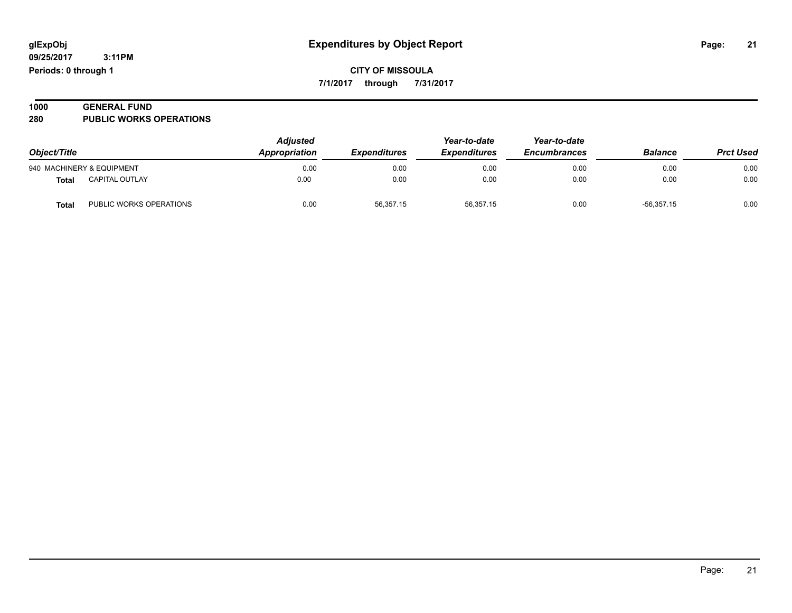**09/25/2017 3:11PM Periods: 0 through 1**

**CITY OF MISSOULA 7/1/2017 through 7/31/2017**

| 1000 | <b>GENERAL FUND</b>            |
|------|--------------------------------|
| 280  | <b>PUBLIC WORKS OPERATIONS</b> |

| Object/Title |                           | <b>Adjusted</b><br>Appropriation | Year-to-date<br><b>Expenditures</b><br><i><b>Expenditures</b></i> | Year-to-date<br><b>Encumbrances</b> | <b>Balance</b> | <b>Prct Used</b> |      |
|--------------|---------------------------|----------------------------------|-------------------------------------------------------------------|-------------------------------------|----------------|------------------|------|
|              | 940 MACHINERY & EQUIPMENT | 0.00                             | 0.00                                                              | 0.00                                | 0.00           | 0.00             | 0.00 |
| Total        | <b>CAPITAL OUTLAY</b>     | 0.00                             | 0.00                                                              | 0.00                                | 0.00           | 0.00             | 0.00 |
| <b>Total</b> | PUBLIC WORKS OPERATIONS   | 0.00                             | 56,357.15                                                         | 56.357.15                           | 0.00           | $-56.357.15$     | 0.00 |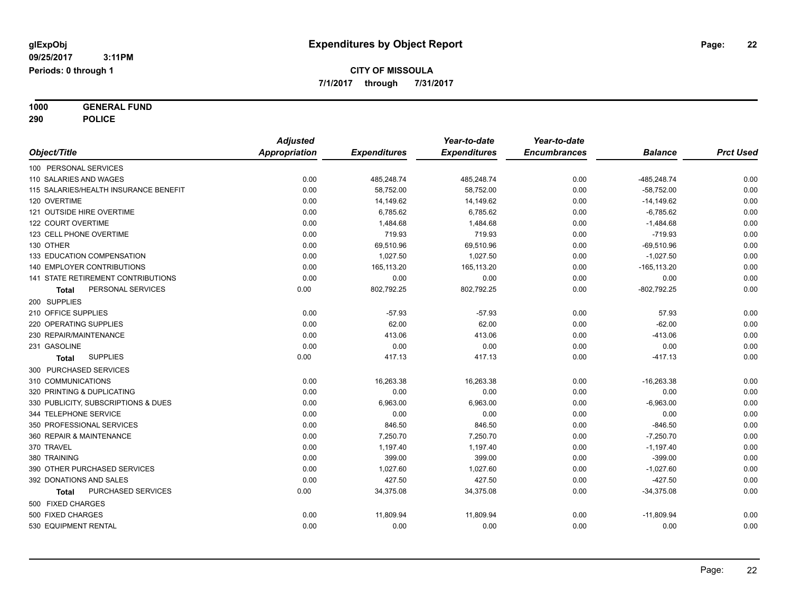**1000 GENERAL FUND 290 POLICE**

|                                       | <b>Adjusted</b> |                     | Year-to-date        | Year-to-date        |                |                  |
|---------------------------------------|-----------------|---------------------|---------------------|---------------------|----------------|------------------|
| Object/Title                          | Appropriation   | <b>Expenditures</b> | <b>Expenditures</b> | <b>Encumbrances</b> | <b>Balance</b> | <b>Prct Used</b> |
| 100 PERSONAL SERVICES                 |                 |                     |                     |                     |                |                  |
| 110 SALARIES AND WAGES                | 0.00            | 485,248.74          | 485,248.74          | 0.00                | -485,248.74    | 0.00             |
| 115 SALARIES/HEALTH INSURANCE BENEFIT | 0.00            | 58,752.00           | 58,752.00           | 0.00                | $-58,752.00$   | 0.00             |
| 120 OVERTIME                          | 0.00            | 14,149.62           | 14,149.62           | 0.00                | $-14,149.62$   | 0.00             |
| 121 OUTSIDE HIRE OVERTIME             | 0.00            | 6,785.62            | 6,785.62            | 0.00                | $-6,785.62$    | 0.00             |
| 122 COURT OVERTIME                    | 0.00            | 1,484.68            | 1,484.68            | 0.00                | $-1,484.68$    | 0.00             |
| 123 CELL PHONE OVERTIME               | 0.00            | 719.93              | 719.93              | 0.00                | $-719.93$      | 0.00             |
| 130 OTHER                             | 0.00            | 69,510.96           | 69,510.96           | 0.00                | $-69,510.96$   | 0.00             |
| 133 EDUCATION COMPENSATION            | 0.00            | 1,027.50            | 1,027.50            | 0.00                | $-1,027.50$    | 0.00             |
| <b>140 EMPLOYER CONTRIBUTIONS</b>     | 0.00            | 165,113.20          | 165,113.20          | 0.00                | $-165, 113.20$ | 0.00             |
| 141 STATE RETIREMENT CONTRIBUTIONS    | 0.00            | 0.00                | 0.00                | 0.00                | 0.00           | 0.00             |
| PERSONAL SERVICES<br>Total            | 0.00            | 802,792.25          | 802,792.25          | 0.00                | $-802,792.25$  | 0.00             |
| 200 SUPPLIES                          |                 |                     |                     |                     |                |                  |
| 210 OFFICE SUPPLIES                   | 0.00            | $-57.93$            | $-57.93$            | 0.00                | 57.93          | 0.00             |
| 220 OPERATING SUPPLIES                | 0.00            | 62.00               | 62.00               | 0.00                | $-62.00$       | 0.00             |
| 230 REPAIR/MAINTENANCE                | 0.00            | 413.06              | 413.06              | 0.00                | $-413.06$      | 0.00             |
| 231 GASOLINE                          | 0.00            | 0.00                | 0.00                | 0.00                | 0.00           | 0.00             |
| <b>SUPPLIES</b><br>Total              | 0.00            | 417.13              | 417.13              | 0.00                | $-417.13$      | 0.00             |
| 300 PURCHASED SERVICES                |                 |                     |                     |                     |                |                  |
| 310 COMMUNICATIONS                    | 0.00            | 16,263.38           | 16,263.38           | 0.00                | $-16,263.38$   | 0.00             |
| 320 PRINTING & DUPLICATING            | 0.00            | 0.00                | 0.00                | 0.00                | 0.00           | 0.00             |
| 330 PUBLICITY, SUBSCRIPTIONS & DUES   | 0.00            | 6,963.00            | 6,963.00            | 0.00                | $-6,963.00$    | 0.00             |
| 344 TELEPHONE SERVICE                 | 0.00            | 0.00                | 0.00                | 0.00                | 0.00           | 0.00             |
| 350 PROFESSIONAL SERVICES             | 0.00            | 846.50              | 846.50              | 0.00                | $-846.50$      | 0.00             |
| 360 REPAIR & MAINTENANCE              | 0.00            | 7,250.70            | 7,250.70            | 0.00                | $-7,250.70$    | 0.00             |
| 370 TRAVEL                            | 0.00            | 1,197.40            | 1,197.40            | 0.00                | $-1,197.40$    | 0.00             |
| 380 TRAINING                          | 0.00            | 399.00              | 399.00              | 0.00                | $-399.00$      | 0.00             |
| 390 OTHER PURCHASED SERVICES          | 0.00            | 1,027.60            | 1,027.60            | 0.00                | $-1,027.60$    | 0.00             |
| 392 DONATIONS AND SALES               | 0.00            | 427.50              | 427.50              | 0.00                | $-427.50$      | 0.00             |
| PURCHASED SERVICES<br>Total           | 0.00            | 34,375.08           | 34,375.08           | 0.00                | $-34,375.08$   | 0.00             |
| 500 FIXED CHARGES                     |                 |                     |                     |                     |                |                  |
| 500 FIXED CHARGES                     | 0.00            | 11,809.94           | 11,809.94           | 0.00                | $-11,809.94$   | 0.00             |
| 530 EQUIPMENT RENTAL                  | 0.00            | 0.00                | 0.00                | 0.00                | 0.00           | 0.00             |
|                                       |                 |                     |                     |                     |                |                  |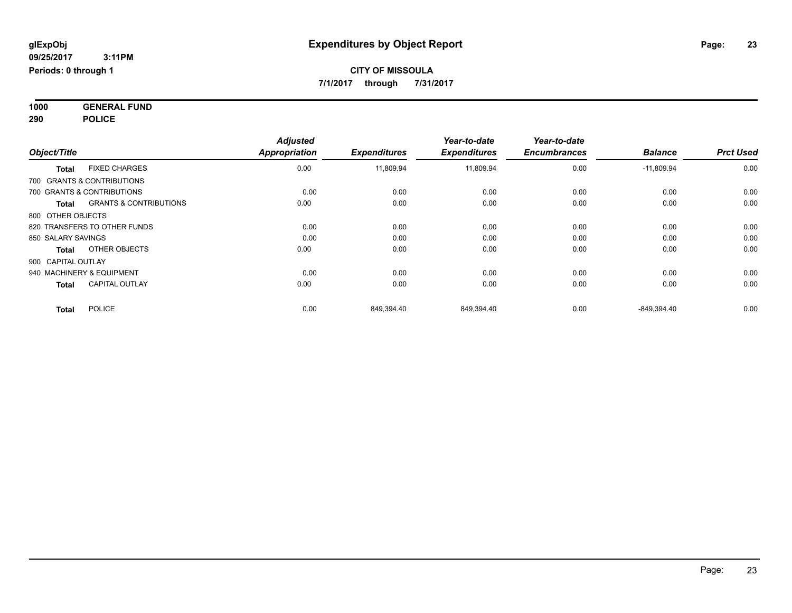**1000 GENERAL FUND 290 POLICE**

| Object/Title              |                                   | <b>Adjusted</b><br><b>Appropriation</b> | <b>Expenditures</b> | Year-to-date<br><b>Expenditures</b> | Year-to-date<br><b>Encumbrances</b> | <b>Balance</b> | <b>Prct Used</b> |
|---------------------------|-----------------------------------|-----------------------------------------|---------------------|-------------------------------------|-------------------------------------|----------------|------------------|
| <b>Total</b>              | <b>FIXED CHARGES</b>              | 0.00                                    | 11,809.94           | 11,809.94                           | 0.00                                | $-11,809.94$   | 0.00             |
|                           | 700 GRANTS & CONTRIBUTIONS        |                                         |                     |                                     |                                     |                |                  |
|                           | 700 GRANTS & CONTRIBUTIONS        | 0.00                                    | 0.00                | 0.00                                | 0.00                                | 0.00           | 0.00             |
| <b>Total</b>              | <b>GRANTS &amp; CONTRIBUTIONS</b> | 0.00                                    | 0.00                | 0.00                                | 0.00                                | 0.00           | 0.00             |
| 800 OTHER OBJECTS         |                                   |                                         |                     |                                     |                                     |                |                  |
|                           | 820 TRANSFERS TO OTHER FUNDS      | 0.00                                    | 0.00                | 0.00                                | 0.00                                | 0.00           | 0.00             |
| 850 SALARY SAVINGS        |                                   | 0.00                                    | 0.00                | 0.00                                | 0.00                                | 0.00           | 0.00             |
| <b>Total</b>              | OTHER OBJECTS                     | 0.00                                    | 0.00                | 0.00                                | 0.00                                | 0.00           | 0.00             |
| 900 CAPITAL OUTLAY        |                                   |                                         |                     |                                     |                                     |                |                  |
| 940 MACHINERY & EQUIPMENT |                                   | 0.00                                    | 0.00                | 0.00                                | 0.00                                | 0.00           | 0.00             |
| <b>Total</b>              | <b>CAPITAL OUTLAY</b>             | 0.00                                    | 0.00                | 0.00                                | 0.00                                | 0.00           | 0.00             |
| <b>Total</b>              | <b>POLICE</b>                     | 0.00                                    | 849,394.40          | 849,394.40                          | 0.00                                | -849,394.40    | 0.00             |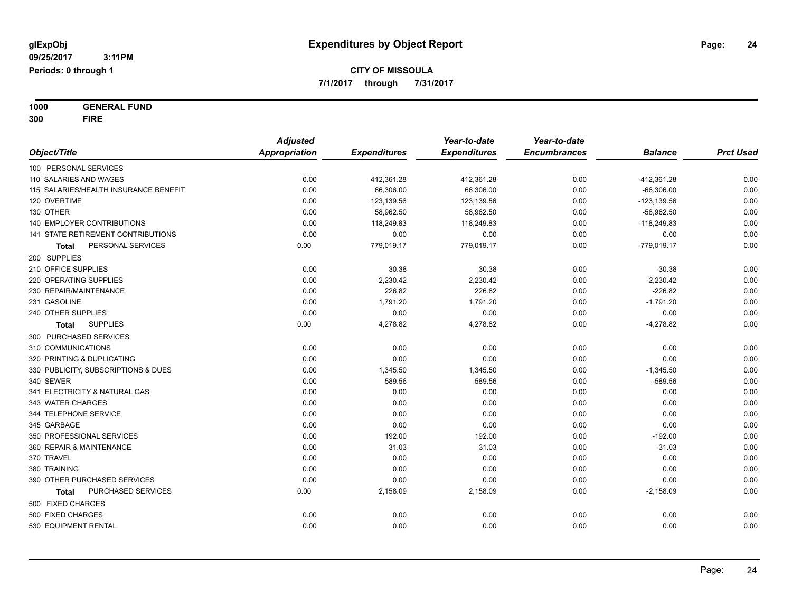**7/1/2017 through 7/31/2017**

**1000 GENERAL FUND 300 FIRE**

|                                       | <b>Adjusted</b>      |                     | Year-to-date        | Year-to-date        |                |                  |
|---------------------------------------|----------------------|---------------------|---------------------|---------------------|----------------|------------------|
| Object/Title                          | <b>Appropriation</b> | <b>Expenditures</b> | <b>Expenditures</b> | <b>Encumbrances</b> | <b>Balance</b> | <b>Prct Used</b> |
| 100 PERSONAL SERVICES                 |                      |                     |                     |                     |                |                  |
| 110 SALARIES AND WAGES                | 0.00                 | 412,361.28          | 412,361.28          | 0.00                | -412,361.28    | 0.00             |
| 115 SALARIES/HEALTH INSURANCE BENEFIT | 0.00                 | 66,306.00           | 66,306.00           | 0.00                | $-66,306.00$   | 0.00             |
| 120 OVERTIME                          | 0.00                 | 123,139.56          | 123,139.56          | 0.00                | $-123, 139.56$ | 0.00             |
| 130 OTHER                             | 0.00                 | 58,962.50           | 58,962.50           | 0.00                | $-58,962.50$   | 0.00             |
| <b>140 EMPLOYER CONTRIBUTIONS</b>     | 0.00                 | 118,249.83          | 118,249.83          | 0.00                | $-118,249.83$  | 0.00             |
| 141 STATE RETIREMENT CONTRIBUTIONS    | 0.00                 | 0.00                | 0.00                | 0.00                | 0.00           | 0.00             |
| PERSONAL SERVICES<br><b>Total</b>     | 0.00                 | 779,019.17          | 779,019.17          | 0.00                | $-779,019.17$  | 0.00             |
| 200 SUPPLIES                          |                      |                     |                     |                     |                |                  |
| 210 OFFICE SUPPLIES                   | 0.00                 | 30.38               | 30.38               | 0.00                | $-30.38$       | 0.00             |
| 220 OPERATING SUPPLIES                | 0.00                 | 2,230.42            | 2,230.42            | 0.00                | $-2,230.42$    | 0.00             |
| 230 REPAIR/MAINTENANCE                | 0.00                 | 226.82              | 226.82              | 0.00                | $-226.82$      | 0.00             |
| 231 GASOLINE                          | 0.00                 | 1,791.20            | 1,791.20            | 0.00                | $-1,791.20$    | 0.00             |
| 240 OTHER SUPPLIES                    | 0.00                 | 0.00                | 0.00                | 0.00                | 0.00           | 0.00             |
| <b>SUPPLIES</b><br>Total              | 0.00                 | 4,278.82            | 4,278.82            | 0.00                | $-4,278.82$    | 0.00             |
| 300 PURCHASED SERVICES                |                      |                     |                     |                     |                |                  |
| 310 COMMUNICATIONS                    | 0.00                 | 0.00                | 0.00                | 0.00                | 0.00           | 0.00             |
| 320 PRINTING & DUPLICATING            | 0.00                 | 0.00                | 0.00                | 0.00                | 0.00           | 0.00             |
| 330 PUBLICITY, SUBSCRIPTIONS & DUES   | 0.00                 | 1,345.50            | 1,345.50            | 0.00                | $-1,345.50$    | 0.00             |
| 340 SEWER                             | 0.00                 | 589.56              | 589.56              | 0.00                | $-589.56$      | 0.00             |
| 341 ELECTRICITY & NATURAL GAS         | 0.00                 | 0.00                | 0.00                | 0.00                | 0.00           | 0.00             |
| 343 WATER CHARGES                     | 0.00                 | 0.00                | 0.00                | 0.00                | 0.00           | 0.00             |
| 344 TELEPHONE SERVICE                 | 0.00                 | 0.00                | 0.00                | 0.00                | 0.00           | 0.00             |
| 345 GARBAGE                           | 0.00                 | 0.00                | 0.00                | 0.00                | 0.00           | 0.00             |
| 350 PROFESSIONAL SERVICES             | 0.00                 | 192.00              | 192.00              | 0.00                | $-192.00$      | 0.00             |
| 360 REPAIR & MAINTENANCE              | 0.00                 | 31.03               | 31.03               | 0.00                | $-31.03$       | 0.00             |
| 370 TRAVEL                            | 0.00                 | 0.00                | 0.00                | 0.00                | 0.00           | 0.00             |
| 380 TRAINING                          | 0.00                 | 0.00                | 0.00                | 0.00                | 0.00           | 0.00             |
| 390 OTHER PURCHASED SERVICES          | 0.00                 | 0.00                | 0.00                | 0.00                | 0.00           | 0.00             |
| PURCHASED SERVICES<br>Total           | 0.00                 | 2,158.09            | 2,158.09            | 0.00                | $-2,158.09$    | 0.00             |
| 500 FIXED CHARGES                     |                      |                     |                     |                     |                |                  |
| 500 FIXED CHARGES                     | 0.00                 | 0.00                | 0.00                | 0.00                | 0.00           | 0.00             |
| 530 EQUIPMENT RENTAL                  | 0.00                 | 0.00                | 0.00                | 0.00                | 0.00           | 0.00             |
|                                       |                      |                     |                     |                     |                |                  |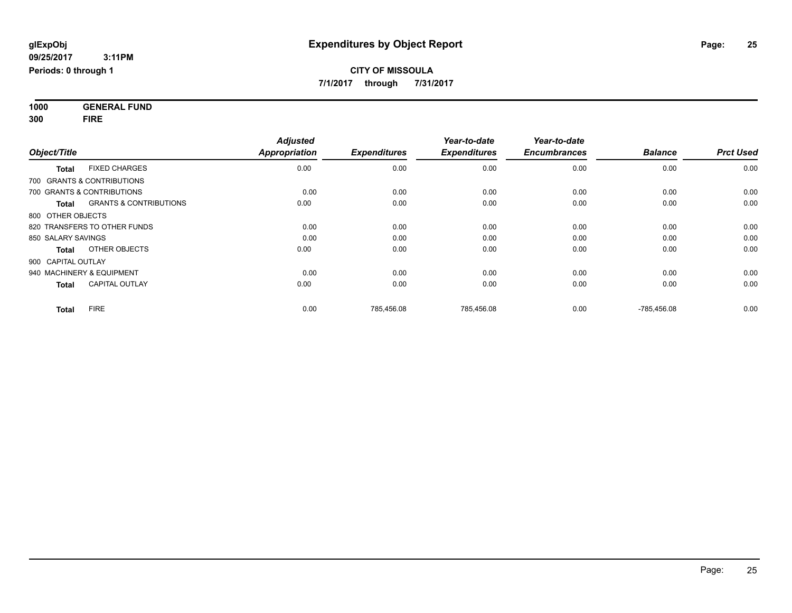**1000 GENERAL FUND 300 FIRE**

| Object/Title                                      | <b>Adjusted</b><br><b>Appropriation</b> | <b>Expenditures</b> | Year-to-date<br><b>Expenditures</b> | Year-to-date<br><b>Encumbrances</b> | <b>Balance</b> | <b>Prct Used</b> |
|---------------------------------------------------|-----------------------------------------|---------------------|-------------------------------------|-------------------------------------|----------------|------------------|
| <b>FIXED CHARGES</b><br><b>Total</b>              | 0.00                                    | 0.00                | 0.00                                | 0.00                                | 0.00           | 0.00             |
| 700 GRANTS & CONTRIBUTIONS                        |                                         |                     |                                     |                                     |                |                  |
| 700 GRANTS & CONTRIBUTIONS                        | 0.00                                    | 0.00                | 0.00                                | 0.00                                | 0.00           | 0.00             |
| <b>GRANTS &amp; CONTRIBUTIONS</b><br><b>Total</b> | 0.00                                    | 0.00                | 0.00                                | 0.00                                | 0.00           | 0.00             |
| 800 OTHER OBJECTS                                 |                                         |                     |                                     |                                     |                |                  |
| 820 TRANSFERS TO OTHER FUNDS                      | 0.00                                    | 0.00                | 0.00                                | 0.00                                | 0.00           | 0.00             |
| 850 SALARY SAVINGS                                | 0.00                                    | 0.00                | 0.00                                | 0.00                                | 0.00           | 0.00             |
| OTHER OBJECTS<br><b>Total</b>                     | 0.00                                    | 0.00                | 0.00                                | 0.00                                | 0.00           | 0.00             |
| 900 CAPITAL OUTLAY                                |                                         |                     |                                     |                                     |                |                  |
| 940 MACHINERY & EQUIPMENT                         | 0.00                                    | 0.00                | 0.00                                | 0.00                                | 0.00           | 0.00             |
| <b>CAPITAL OUTLAY</b><br><b>Total</b>             | 0.00                                    | 0.00                | 0.00                                | 0.00                                | 0.00           | 0.00             |
| <b>FIRE</b><br><b>Total</b>                       | 0.00                                    | 785,456.08          | 785,456.08                          | 0.00                                | $-785,456.08$  | 0.00             |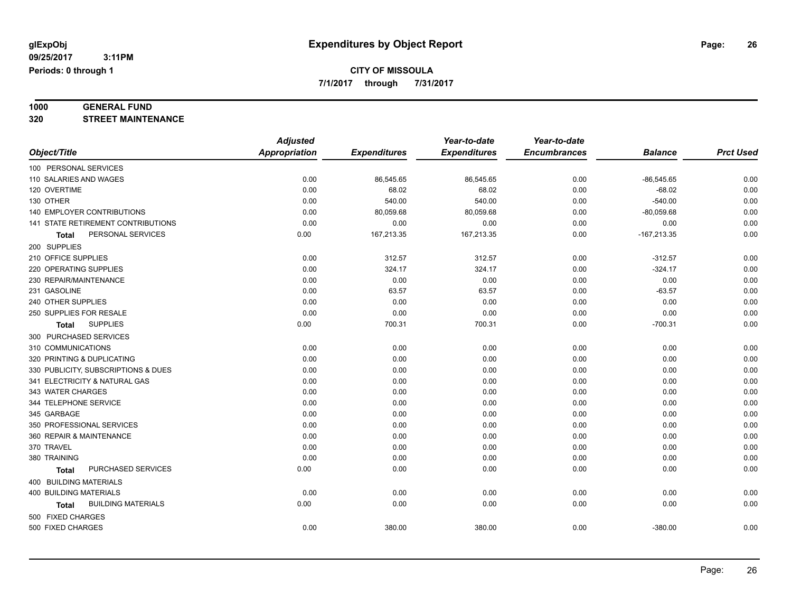**7/1/2017 through 7/31/2017**

# **1000 GENERAL FUND**

**320 STREET MAINTENANCE**

|                                           | <b>Adjusted</b>      |                     | Year-to-date        | Year-to-date        |                |                  |
|-------------------------------------------|----------------------|---------------------|---------------------|---------------------|----------------|------------------|
| Object/Title                              | <b>Appropriation</b> | <b>Expenditures</b> | <b>Expenditures</b> | <b>Encumbrances</b> | <b>Balance</b> | <b>Prct Used</b> |
| 100 PERSONAL SERVICES                     |                      |                     |                     |                     |                |                  |
| 110 SALARIES AND WAGES                    | 0.00                 | 86,545.65           | 86,545.65           | 0.00                | $-86,545.65$   | 0.00             |
| 120 OVERTIME                              | 0.00                 | 68.02               | 68.02               | 0.00                | $-68.02$       | 0.00             |
| 130 OTHER                                 | 0.00                 | 540.00              | 540.00              | 0.00                | $-540.00$      | 0.00             |
| <b>140 EMPLOYER CONTRIBUTIONS</b>         | 0.00                 | 80,059.68           | 80,059.68           | 0.00                | $-80,059.68$   | 0.00             |
| 141 STATE RETIREMENT CONTRIBUTIONS        | 0.00                 | 0.00                | 0.00                | 0.00                | 0.00           | 0.00             |
| PERSONAL SERVICES<br>Total                | 0.00                 | 167,213.35          | 167,213.35          | 0.00                | $-167,213.35$  | 0.00             |
| 200 SUPPLIES                              |                      |                     |                     |                     |                |                  |
| 210 OFFICE SUPPLIES                       | 0.00                 | 312.57              | 312.57              | 0.00                | $-312.57$      | 0.00             |
| 220 OPERATING SUPPLIES                    | 0.00                 | 324.17              | 324.17              | 0.00                | $-324.17$      | 0.00             |
| 230 REPAIR/MAINTENANCE                    | 0.00                 | 0.00                | 0.00                | 0.00                | 0.00           | 0.00             |
| 231 GASOLINE                              | 0.00                 | 63.57               | 63.57               | 0.00                | $-63.57$       | 0.00             |
| 240 OTHER SUPPLIES                        | 0.00                 | 0.00                | 0.00                | 0.00                | 0.00           | 0.00             |
| 250 SUPPLIES FOR RESALE                   | 0.00                 | 0.00                | 0.00                | 0.00                | 0.00           | 0.00             |
| <b>SUPPLIES</b><br><b>Total</b>           | 0.00                 | 700.31              | 700.31              | 0.00                | $-700.31$      | 0.00             |
| 300 PURCHASED SERVICES                    |                      |                     |                     |                     |                |                  |
| 310 COMMUNICATIONS                        | 0.00                 | 0.00                | 0.00                | 0.00                | 0.00           | 0.00             |
| 320 PRINTING & DUPLICATING                | 0.00                 | 0.00                | 0.00                | 0.00                | 0.00           | 0.00             |
| 330 PUBLICITY, SUBSCRIPTIONS & DUES       | 0.00                 | 0.00                | 0.00                | 0.00                | 0.00           | 0.00             |
| 341 ELECTRICITY & NATURAL GAS             | 0.00                 | 0.00                | 0.00                | 0.00                | 0.00           | 0.00             |
| 343 WATER CHARGES                         | 0.00                 | 0.00                | 0.00                | 0.00                | 0.00           | 0.00             |
| 344 TELEPHONE SERVICE                     | 0.00                 | 0.00                | 0.00                | 0.00                | 0.00           | 0.00             |
| 345 GARBAGE                               | 0.00                 | 0.00                | 0.00                | 0.00                | 0.00           | 0.00             |
| 350 PROFESSIONAL SERVICES                 | 0.00                 | 0.00                | 0.00                | 0.00                | 0.00           | 0.00             |
| 360 REPAIR & MAINTENANCE                  | 0.00                 | 0.00                | 0.00                | 0.00                | 0.00           | 0.00             |
| 370 TRAVEL                                | 0.00                 | 0.00                | 0.00                | 0.00                | 0.00           | 0.00             |
| 380 TRAINING                              | 0.00                 | 0.00                | 0.00                | 0.00                | 0.00           | 0.00             |
| PURCHASED SERVICES<br><b>Total</b>        | 0.00                 | 0.00                | 0.00                | 0.00                | 0.00           | 0.00             |
| 400 BUILDING MATERIALS                    |                      |                     |                     |                     |                |                  |
| <b>400 BUILDING MATERIALS</b>             | 0.00                 | 0.00                | 0.00                | 0.00                | 0.00           | 0.00             |
| <b>BUILDING MATERIALS</b><br><b>Total</b> | 0.00                 | 0.00                | 0.00                | 0.00                | 0.00           | 0.00             |
| 500 FIXED CHARGES                         |                      |                     |                     |                     |                |                  |
| 500 FIXED CHARGES                         | 0.00                 | 380.00              | 380.00              | 0.00                | $-380.00$      | 0.00             |
|                                           |                      |                     |                     |                     |                |                  |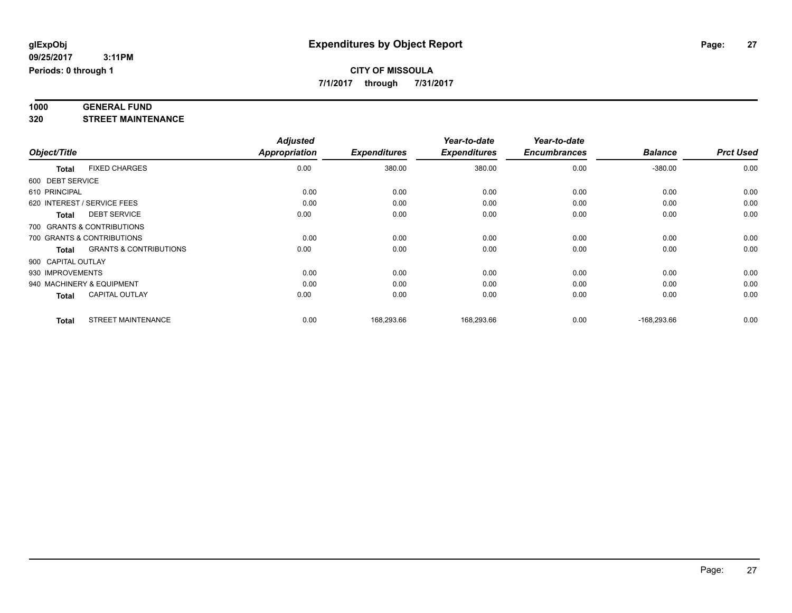**7/1/2017 through 7/31/2017**

# **1000 GENERAL FUND**

**320 STREET MAINTENANCE**

|                    |                                   | <b>Adjusted</b> |                     | Year-to-date        | Year-to-date        |                |                  |
|--------------------|-----------------------------------|-----------------|---------------------|---------------------|---------------------|----------------|------------------|
| Object/Title       |                                   | Appropriation   | <b>Expenditures</b> | <b>Expenditures</b> | <b>Encumbrances</b> | <b>Balance</b> | <b>Prct Used</b> |
| <b>Total</b>       | <b>FIXED CHARGES</b>              | 0.00            | 380.00              | 380.00              | 0.00                | $-380.00$      | 0.00             |
| 600 DEBT SERVICE   |                                   |                 |                     |                     |                     |                |                  |
| 610 PRINCIPAL      |                                   | 0.00            | 0.00                | 0.00                | 0.00                | 0.00           | 0.00             |
|                    | 620 INTEREST / SERVICE FEES       | 0.00            | 0.00                | 0.00                | 0.00                | 0.00           | 0.00             |
| <b>Total</b>       | <b>DEBT SERVICE</b>               | 0.00            | 0.00                | 0.00                | 0.00                | 0.00           | 0.00             |
|                    | 700 GRANTS & CONTRIBUTIONS        |                 |                     |                     |                     |                |                  |
|                    | 700 GRANTS & CONTRIBUTIONS        | 0.00            | 0.00                | 0.00                | 0.00                | 0.00           | 0.00             |
| Total              | <b>GRANTS &amp; CONTRIBUTIONS</b> | 0.00            | 0.00                | 0.00                | 0.00                | 0.00           | 0.00             |
| 900 CAPITAL OUTLAY |                                   |                 |                     |                     |                     |                |                  |
| 930 IMPROVEMENTS   |                                   | 0.00            | 0.00                | 0.00                | 0.00                | 0.00           | 0.00             |
|                    | 940 MACHINERY & EQUIPMENT         | 0.00            | 0.00                | 0.00                | 0.00                | 0.00           | 0.00             |
| <b>Total</b>       | <b>CAPITAL OUTLAY</b>             | 0.00            | 0.00                | 0.00                | 0.00                | 0.00           | 0.00             |
| <b>Total</b>       | <b>STREET MAINTENANCE</b>         | 0.00            | 168,293.66          | 168,293.66          | 0.00                | $-168,293.66$  | 0.00             |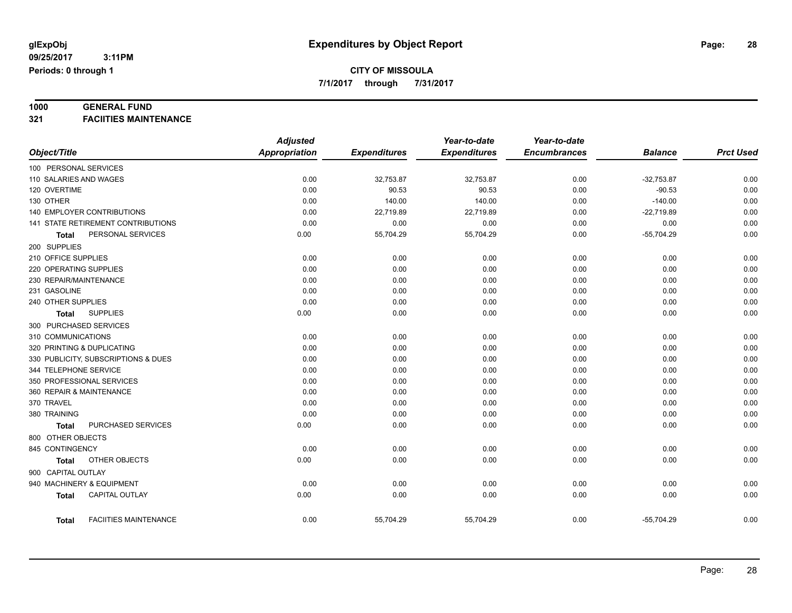**7/1/2017 through 7/31/2017**

## **1000 GENERAL FUND**

**321 FACIITIES MAINTENANCE**

|                                              | <b>Adjusted</b>      |                     | Year-to-date        | Year-to-date        |                |                  |
|----------------------------------------------|----------------------|---------------------|---------------------|---------------------|----------------|------------------|
| Object/Title                                 | <b>Appropriation</b> | <b>Expenditures</b> | <b>Expenditures</b> | <b>Encumbrances</b> | <b>Balance</b> | <b>Prct Used</b> |
| 100 PERSONAL SERVICES                        |                      |                     |                     |                     |                |                  |
| 110 SALARIES AND WAGES                       | 0.00                 | 32,753.87           | 32,753.87           | 0.00                | $-32,753.87$   | 0.00             |
| 120 OVERTIME                                 | 0.00                 | 90.53               | 90.53               | 0.00                | $-90.53$       | 0.00             |
| 130 OTHER                                    | 0.00                 | 140.00              | 140.00              | 0.00                | $-140.00$      | 0.00             |
| <b>140 EMPLOYER CONTRIBUTIONS</b>            | 0.00                 | 22,719.89           | 22,719.89           | 0.00                | $-22,719.89$   | 0.00             |
| 141 STATE RETIREMENT CONTRIBUTIONS           | 0.00                 | 0.00                | 0.00                | 0.00                | 0.00           | 0.00             |
| PERSONAL SERVICES<br><b>Total</b>            | 0.00                 | 55,704.29           | 55,704.29           | 0.00                | $-55,704.29$   | 0.00             |
| 200 SUPPLIES                                 |                      |                     |                     |                     |                |                  |
| 210 OFFICE SUPPLIES                          | 0.00                 | 0.00                | 0.00                | 0.00                | 0.00           | 0.00             |
| 220 OPERATING SUPPLIES                       | 0.00                 | 0.00                | 0.00                | 0.00                | 0.00           | 0.00             |
| 230 REPAIR/MAINTENANCE                       | 0.00                 | 0.00                | 0.00                | 0.00                | 0.00           | 0.00             |
| 231 GASOLINE                                 | 0.00                 | 0.00                | 0.00                | 0.00                | 0.00           | 0.00             |
| 240 OTHER SUPPLIES                           | 0.00                 | 0.00                | 0.00                | 0.00                | 0.00           | 0.00             |
| <b>SUPPLIES</b><br>Total                     | 0.00                 | 0.00                | 0.00                | 0.00                | 0.00           | 0.00             |
| 300 PURCHASED SERVICES                       |                      |                     |                     |                     |                |                  |
| 310 COMMUNICATIONS                           | 0.00                 | 0.00                | 0.00                | 0.00                | 0.00           | 0.00             |
| 320 PRINTING & DUPLICATING                   | 0.00                 | 0.00                | 0.00                | 0.00                | 0.00           | 0.00             |
| 330 PUBLICITY, SUBSCRIPTIONS & DUES          | 0.00                 | 0.00                | 0.00                | 0.00                | 0.00           | 0.00             |
| 344 TELEPHONE SERVICE                        | 0.00                 | 0.00                | 0.00                | 0.00                | 0.00           | 0.00             |
| 350 PROFESSIONAL SERVICES                    | 0.00                 | 0.00                | 0.00                | 0.00                | 0.00           | 0.00             |
| 360 REPAIR & MAINTENANCE                     | 0.00                 | 0.00                | 0.00                | 0.00                | 0.00           | 0.00             |
| 370 TRAVEL                                   | 0.00                 | 0.00                | 0.00                | 0.00                | 0.00           | 0.00             |
| 380 TRAINING                                 | 0.00                 | 0.00                | 0.00                | 0.00                | 0.00           | 0.00             |
| PURCHASED SERVICES<br><b>Total</b>           | 0.00                 | 0.00                | 0.00                | 0.00                | 0.00           | 0.00             |
| 800 OTHER OBJECTS                            |                      |                     |                     |                     |                |                  |
| 845 CONTINGENCY                              | 0.00                 | 0.00                | 0.00                | 0.00                | 0.00           | 0.00             |
| OTHER OBJECTS<br>Total                       | 0.00                 | 0.00                | 0.00                | 0.00                | 0.00           | 0.00             |
| 900 CAPITAL OUTLAY                           |                      |                     |                     |                     |                |                  |
| 940 MACHINERY & EQUIPMENT                    | 0.00                 | 0.00                | 0.00                | 0.00                | 0.00           | 0.00             |
| <b>CAPITAL OUTLAY</b><br><b>Total</b>        | 0.00                 | 0.00                | 0.00                | 0.00                | 0.00           | 0.00             |
|                                              |                      |                     |                     |                     |                |                  |
| <b>FACIITIES MAINTENANCE</b><br><b>Total</b> | 0.00                 | 55,704.29           | 55,704.29           | 0.00                | $-55,704.29$   | 0.00             |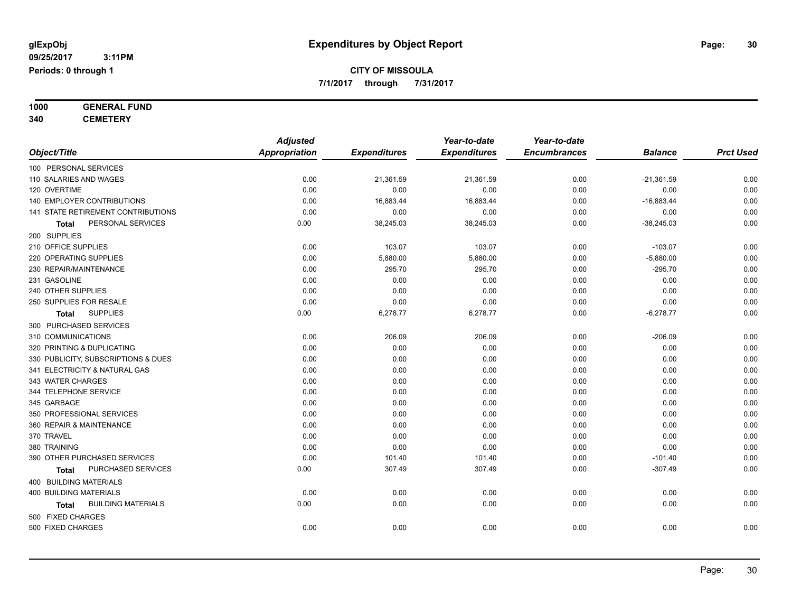**1000 GENERAL FUND**

**340 CEMETERY**

|                                     | <b>Adjusted</b>      |                     | Year-to-date        | Year-to-date        |                |                  |
|-------------------------------------|----------------------|---------------------|---------------------|---------------------|----------------|------------------|
| Object/Title                        | <b>Appropriation</b> | <b>Expenditures</b> | <b>Expenditures</b> | <b>Encumbrances</b> | <b>Balance</b> | <b>Prct Used</b> |
| 100 PERSONAL SERVICES               |                      |                     |                     |                     |                |                  |
| 110 SALARIES AND WAGES              | 0.00                 | 21,361.59           | 21,361.59           | 0.00                | $-21,361.59$   | 0.00             |
| 120 OVERTIME                        | 0.00                 | 0.00                | 0.00                | 0.00                | 0.00           | 0.00             |
| 140 EMPLOYER CONTRIBUTIONS          | 0.00                 | 16,883.44           | 16,883.44           | 0.00                | $-16,883.44$   | 0.00             |
| 141 STATE RETIREMENT CONTRIBUTIONS  | 0.00                 | 0.00                | 0.00                | 0.00                | 0.00           | 0.00             |
| PERSONAL SERVICES<br>Total          | 0.00                 | 38,245.03           | 38,245.03           | 0.00                | $-38,245.03$   | 0.00             |
| 200 SUPPLIES                        |                      |                     |                     |                     |                |                  |
| 210 OFFICE SUPPLIES                 | 0.00                 | 103.07              | 103.07              | 0.00                | $-103.07$      | 0.00             |
| 220 OPERATING SUPPLIES              | 0.00                 | 5,880.00            | 5,880.00            | 0.00                | $-5,880.00$    | 0.00             |
| 230 REPAIR/MAINTENANCE              | 0.00                 | 295.70              | 295.70              | 0.00                | $-295.70$      | 0.00             |
| 231 GASOLINE                        | 0.00                 | 0.00                | 0.00                | 0.00                | 0.00           | 0.00             |
| 240 OTHER SUPPLIES                  | 0.00                 | 0.00                | 0.00                | 0.00                | 0.00           | 0.00             |
| 250 SUPPLIES FOR RESALE             | 0.00                 | 0.00                | 0.00                | 0.00                | 0.00           | 0.00             |
| <b>SUPPLIES</b><br><b>Total</b>     | 0.00                 | 6,278.77            | 6,278.77            | 0.00                | $-6,278.77$    | 0.00             |
| 300 PURCHASED SERVICES              |                      |                     |                     |                     |                |                  |
| 310 COMMUNICATIONS                  | 0.00                 | 206.09              | 206.09              | 0.00                | $-206.09$      | 0.00             |
| 320 PRINTING & DUPLICATING          | 0.00                 | 0.00                | 0.00                | 0.00                | 0.00           | 0.00             |
| 330 PUBLICITY, SUBSCRIPTIONS & DUES | 0.00                 | 0.00                | 0.00                | 0.00                | 0.00           | 0.00             |
| 341 ELECTRICITY & NATURAL GAS       | 0.00                 | 0.00                | 0.00                | 0.00                | 0.00           | 0.00             |
| 343 WATER CHARGES                   | 0.00                 | 0.00                | 0.00                | 0.00                | 0.00           | 0.00             |
| 344 TELEPHONE SERVICE               | 0.00                 | 0.00                | 0.00                | 0.00                | 0.00           | 0.00             |
| 345 GARBAGE                         | 0.00                 | 0.00                | 0.00                | 0.00                | 0.00           | 0.00             |
| 350 PROFESSIONAL SERVICES           | 0.00                 | 0.00                | 0.00                | 0.00                | 0.00           | 0.00             |
| 360 REPAIR & MAINTENANCE            | 0.00                 | 0.00                | 0.00                | 0.00                | 0.00           | 0.00             |
| 370 TRAVEL                          | 0.00                 | 0.00                | 0.00                | 0.00                | 0.00           | 0.00             |
| 380 TRAINING                        | 0.00                 | 0.00                | 0.00                | 0.00                | 0.00           | 0.00             |
| 390 OTHER PURCHASED SERVICES        | 0.00                 | 101.40              | 101.40              | 0.00                | $-101.40$      | 0.00             |
| PURCHASED SERVICES<br>Total         | 0.00                 | 307.49              | 307.49              | 0.00                | $-307.49$      | 0.00             |
| 400 BUILDING MATERIALS              |                      |                     |                     |                     |                |                  |
| <b>400 BUILDING MATERIALS</b>       | 0.00                 | 0.00                | 0.00                | 0.00                | 0.00           | 0.00             |
| <b>BUILDING MATERIALS</b><br>Total  | 0.00                 | 0.00                | 0.00                | 0.00                | 0.00           | 0.00             |
| 500 FIXED CHARGES                   |                      |                     |                     |                     |                |                  |
| 500 FIXED CHARGES                   | 0.00                 | 0.00                | 0.00                | 0.00                | 0.00           | 0.00             |
|                                     |                      |                     |                     |                     |                |                  |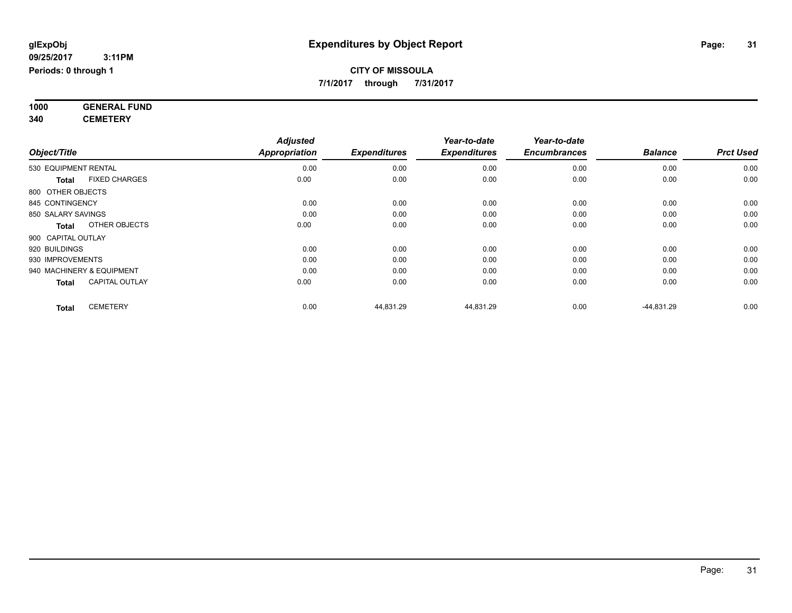**7/1/2017 through 7/31/2017**

**1000 GENERAL FUND 340 CEMETERY**

*Object/Title Adjusted Appropriation Expenditures Year-to-date Expenditures Year-to-date Encumbrances Balance Prct Used*  $0.00 \qquad \qquad 0.00 \qquad \qquad 0.00 \qquad \qquad 0.00 \qquad \qquad 0.00 \qquad \qquad 0.00 \qquad \qquad 0.00 \qquad \qquad 0.00 \qquad \qquad 0.00 \qquad \qquad 0.00 \qquad \qquad 0.00 \qquad \qquad 0.00 \qquad \qquad 0.00 \qquad \qquad 0.00 \qquad \qquad 0.00 \qquad \qquad 0.00 \qquad \qquad 0.00 \qquad \qquad 0.00 \qquad \qquad 0.00 \qquad \qquad 0.00 \qquad \qquad 0$ **Total** FIXED CHARGES 0.00 0.00 0.00 0.00 0.00 0.00 800 OTHER OBJECTS 845 CONTINGENCY 0.00 0.00 0.00 0.00 0.00 0.00 850 SALARY SAVINGS 0.00 0.00 0.00 0.00 0.00 0.00 **Total** OTHER OBJECTS 0.00 0.00 0.00 0.00 0.00 0.00 900 CAPITAL OUTLAY 920 BUILDINGS 0.00 0.00 0.00 0.00 0.00 0.00 930 IMPROVEMENTS 0.00 0.00 0.00 0.00 0.00 0.00 940 MACHINERY & EQUIPMENT 0.00 0.00 0.00 0.00 0.00 0.00 **Total** CAPITAL OUTLAY 0.00 0.00 0.00 0.00 0.00 0.00 **Total** CEMETERY 0.00 44,831.29 44,831.29 0.00 -44,831.29 0.00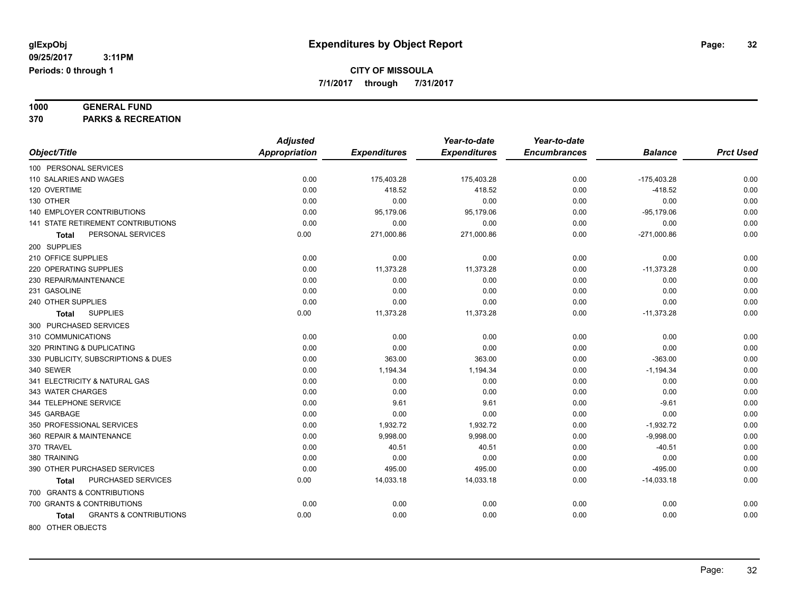**7/1/2017 through 7/31/2017**

## **1000 GENERAL FUND**

**370 PARKS & RECREATION**

|                                                   | <b>Adjusted</b>      |                     | Year-to-date        | Year-to-date        |                |                  |
|---------------------------------------------------|----------------------|---------------------|---------------------|---------------------|----------------|------------------|
| Object/Title                                      | <b>Appropriation</b> | <b>Expenditures</b> | <b>Expenditures</b> | <b>Encumbrances</b> | <b>Balance</b> | <b>Prct Used</b> |
| 100 PERSONAL SERVICES                             |                      |                     |                     |                     |                |                  |
| 110 SALARIES AND WAGES                            | 0.00                 | 175,403.28          | 175,403.28          | 0.00                | $-175,403.28$  | 0.00             |
| 120 OVERTIME                                      | 0.00                 | 418.52              | 418.52              | 0.00                | $-418.52$      | 0.00             |
| 130 OTHER                                         | 0.00                 | 0.00                | 0.00                | 0.00                | 0.00           | 0.00             |
| <b>140 EMPLOYER CONTRIBUTIONS</b>                 | 0.00                 | 95,179.06           | 95,179.06           | 0.00                | $-95,179.06$   | 0.00             |
| <b>141 STATE RETIREMENT CONTRIBUTIONS</b>         | 0.00                 | 0.00                | 0.00                | 0.00                | 0.00           | 0.00             |
| PERSONAL SERVICES<br>Total                        | 0.00                 | 271,000.86          | 271,000.86          | 0.00                | $-271,000.86$  | 0.00             |
| 200 SUPPLIES                                      |                      |                     |                     |                     |                |                  |
| 210 OFFICE SUPPLIES                               | 0.00                 | 0.00                | 0.00                | 0.00                | 0.00           | 0.00             |
| 220 OPERATING SUPPLIES                            | 0.00                 | 11,373.28           | 11,373.28           | 0.00                | $-11,373.28$   | 0.00             |
| 230 REPAIR/MAINTENANCE                            | 0.00                 | 0.00                | 0.00                | 0.00                | 0.00           | 0.00             |
| 231 GASOLINE                                      | 0.00                 | 0.00                | 0.00                | 0.00                | 0.00           | 0.00             |
| 240 OTHER SUPPLIES                                | 0.00                 | 0.00                | 0.00                | 0.00                | 0.00           | 0.00             |
| <b>SUPPLIES</b><br>Total                          | 0.00                 | 11,373.28           | 11,373.28           | 0.00                | $-11,373.28$   | 0.00             |
| 300 PURCHASED SERVICES                            |                      |                     |                     |                     |                |                  |
| 310 COMMUNICATIONS                                | 0.00                 | 0.00                | 0.00                | 0.00                | 0.00           | 0.00             |
| 320 PRINTING & DUPLICATING                        | 0.00                 | 0.00                | 0.00                | 0.00                | 0.00           | 0.00             |
| 330 PUBLICITY, SUBSCRIPTIONS & DUES               | 0.00                 | 363.00              | 363.00              | 0.00                | $-363.00$      | 0.00             |
| 340 SEWER                                         | 0.00                 | 1,194.34            | 1,194.34            | 0.00                | $-1,194.34$    | 0.00             |
| 341 ELECTRICITY & NATURAL GAS                     | 0.00                 | 0.00                | 0.00                | 0.00                | 0.00           | 0.00             |
| 343 WATER CHARGES                                 | 0.00                 | 0.00                | 0.00                | 0.00                | 0.00           | 0.00             |
| 344 TELEPHONE SERVICE                             | 0.00                 | 9.61                | 9.61                | 0.00                | $-9.61$        | 0.00             |
| 345 GARBAGE                                       | 0.00                 | 0.00                | 0.00                | 0.00                | 0.00           | 0.00             |
| 350 PROFESSIONAL SERVICES                         | 0.00                 | 1,932.72            | 1,932.72            | 0.00                | $-1,932.72$    | 0.00             |
| 360 REPAIR & MAINTENANCE                          | 0.00                 | 9,998.00            | 9,998.00            | 0.00                | $-9,998.00$    | 0.00             |
| 370 TRAVEL                                        | 0.00                 | 40.51               | 40.51               | 0.00                | $-40.51$       | 0.00             |
| 380 TRAINING                                      | 0.00                 | 0.00                | 0.00                | 0.00                | 0.00           | 0.00             |
| 390 OTHER PURCHASED SERVICES                      | 0.00                 | 495.00              | 495.00              | 0.00                | $-495.00$      | 0.00             |
| PURCHASED SERVICES<br>Total                       | 0.00                 | 14,033.18           | 14,033.18           | 0.00                | $-14,033.18$   | 0.00             |
| 700 GRANTS & CONTRIBUTIONS                        |                      |                     |                     |                     |                |                  |
| 700 GRANTS & CONTRIBUTIONS                        | 0.00                 | 0.00                | 0.00                | 0.00                | 0.00           | 0.00             |
| <b>GRANTS &amp; CONTRIBUTIONS</b><br><b>Total</b> | 0.00                 | 0.00                | 0.00                | 0.00                | 0.00           | 0.00             |
| 800 OTHER OBJECTS                                 |                      |                     |                     |                     |                |                  |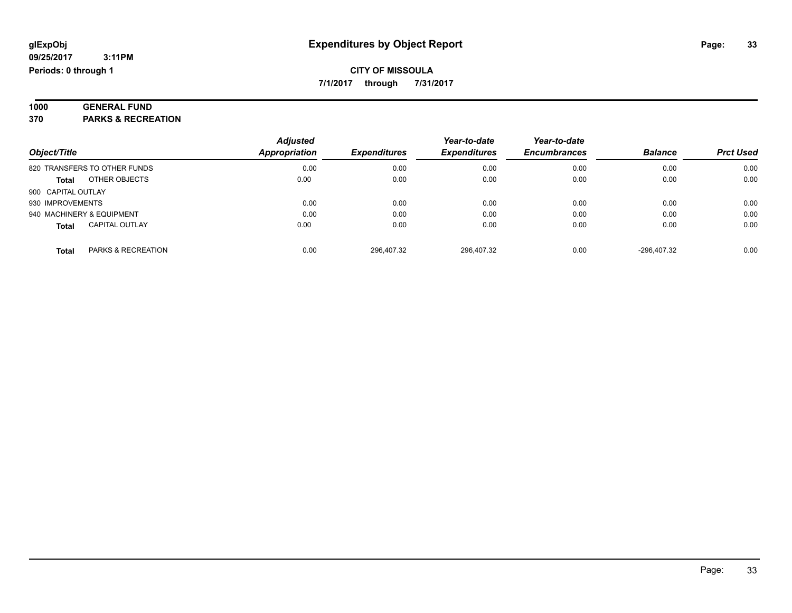**7/1/2017 through 7/31/2017**

| 1000 | <b>GENERAL FUND</b>            |  |
|------|--------------------------------|--|
| 270  | <b>DADIZO &amp; DEGDEATION</b> |  |

**370 PARKS & RECREATION**

|                                       | <b>Adjusted</b> |                     | Year-to-date        | Year-to-date        |                |                  |
|---------------------------------------|-----------------|---------------------|---------------------|---------------------|----------------|------------------|
| Object/Title                          | Appropriation   | <b>Expenditures</b> | <b>Expenditures</b> | <b>Encumbrances</b> | <b>Balance</b> | <b>Prct Used</b> |
| 820 TRANSFERS TO OTHER FUNDS          | 0.00            | 0.00                | 0.00                | 0.00                | 0.00           | 0.00             |
| OTHER OBJECTS<br><b>Total</b>         | 0.00            | 0.00                | 0.00                | 0.00                | 0.00           | 0.00             |
| 900 CAPITAL OUTLAY                    |                 |                     |                     |                     |                |                  |
| 930 IMPROVEMENTS                      | 0.00            | 0.00                | 0.00                | 0.00                | 0.00           | 0.00             |
| 940 MACHINERY & EQUIPMENT             | 0.00            | 0.00                | 0.00                | 0.00                | 0.00           | 0.00             |
| <b>CAPITAL OUTLAY</b><br><b>Total</b> | 0.00            | 0.00                | 0.00                | 0.00                | 0.00           | 0.00             |
| PARKS & RECREATION<br>Total           | 0.00            | 296.407.32          | 296.407.32          | 0.00                | -296.407.32    | 0.00             |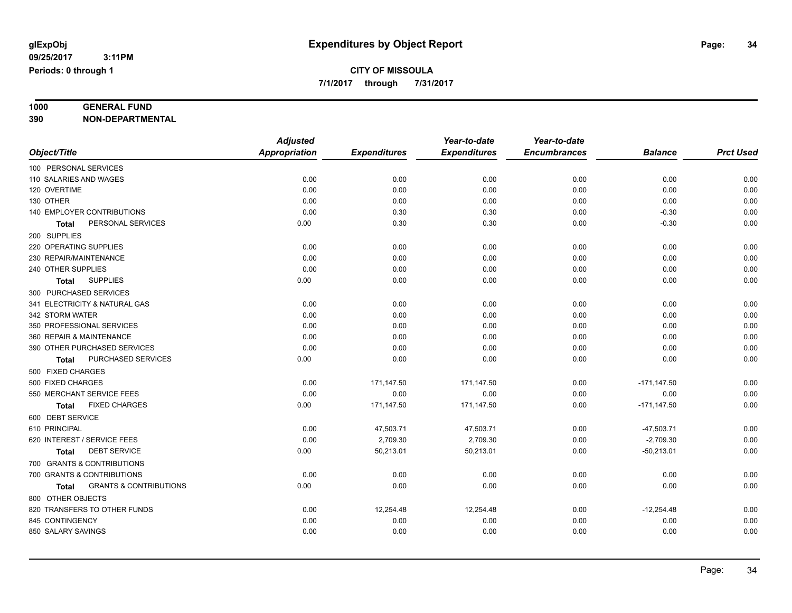**7/1/2017 through 7/31/2017**

## **1000 GENERAL FUND**

**390 NON-DEPARTMENTAL**

|                                                   | <b>Adjusted</b>      |                     | Year-to-date        | Year-to-date        |                |                  |
|---------------------------------------------------|----------------------|---------------------|---------------------|---------------------|----------------|------------------|
| Object/Title                                      | <b>Appropriation</b> | <b>Expenditures</b> | <b>Expenditures</b> | <b>Encumbrances</b> | <b>Balance</b> | <b>Prct Used</b> |
| 100 PERSONAL SERVICES                             |                      |                     |                     |                     |                |                  |
| 110 SALARIES AND WAGES                            | 0.00                 | 0.00                | 0.00                | 0.00                | 0.00           | 0.00             |
| 120 OVERTIME                                      | 0.00                 | 0.00                | 0.00                | 0.00                | 0.00           | 0.00             |
| 130 OTHER                                         | 0.00                 | 0.00                | 0.00                | 0.00                | 0.00           | 0.00             |
| 140 EMPLOYER CONTRIBUTIONS                        | 0.00                 | 0.30                | 0.30                | 0.00                | $-0.30$        | 0.00             |
| PERSONAL SERVICES<br>Total                        | 0.00                 | 0.30                | 0.30                | 0.00                | $-0.30$        | 0.00             |
| 200 SUPPLIES                                      |                      |                     |                     |                     |                |                  |
| 220 OPERATING SUPPLIES                            | 0.00                 | 0.00                | 0.00                | 0.00                | 0.00           | 0.00             |
| 230 REPAIR/MAINTENANCE                            | 0.00                 | 0.00                | 0.00                | 0.00                | 0.00           | 0.00             |
| 240 OTHER SUPPLIES                                | 0.00                 | 0.00                | 0.00                | 0.00                | 0.00           | 0.00             |
| <b>SUPPLIES</b><br><b>Total</b>                   | 0.00                 | 0.00                | 0.00                | 0.00                | 0.00           | 0.00             |
| 300 PURCHASED SERVICES                            |                      |                     |                     |                     |                |                  |
| 341 ELECTRICITY & NATURAL GAS                     | 0.00                 | 0.00                | 0.00                | 0.00                | 0.00           | 0.00             |
| 342 STORM WATER                                   | 0.00                 | 0.00                | 0.00                | 0.00                | 0.00           | 0.00             |
| 350 PROFESSIONAL SERVICES                         | 0.00                 | 0.00                | 0.00                | 0.00                | 0.00           | 0.00             |
| 360 REPAIR & MAINTENANCE                          | 0.00                 | 0.00                | 0.00                | 0.00                | 0.00           | 0.00             |
| 390 OTHER PURCHASED SERVICES                      | 0.00                 | 0.00                | 0.00                | 0.00                | 0.00           | 0.00             |
| PURCHASED SERVICES<br><b>Total</b>                | 0.00                 | 0.00                | 0.00                | 0.00                | 0.00           | 0.00             |
| 500 FIXED CHARGES                                 |                      |                     |                     |                     |                |                  |
| 500 FIXED CHARGES                                 | 0.00                 | 171,147.50          | 171,147.50          | 0.00                | $-171, 147.50$ | 0.00             |
| 550 MERCHANT SERVICE FEES                         | 0.00                 | 0.00                | 0.00                | 0.00                | 0.00           | 0.00             |
| <b>FIXED CHARGES</b><br><b>Total</b>              | 0.00                 | 171,147.50          | 171,147.50          | 0.00                | $-171, 147.50$ | 0.00             |
| 600 DEBT SERVICE                                  |                      |                     |                     |                     |                |                  |
| 610 PRINCIPAL                                     | 0.00                 | 47,503.71           | 47,503.71           | 0.00                | $-47,503.71$   | 0.00             |
| 620 INTEREST / SERVICE FEES                       | 0.00                 | 2,709.30            | 2,709.30            | 0.00                | $-2,709.30$    | 0.00             |
| <b>DEBT SERVICE</b><br><b>Total</b>               | 0.00                 | 50,213.01           | 50,213.01           | 0.00                | $-50,213.01$   | 0.00             |
| 700 GRANTS & CONTRIBUTIONS                        |                      |                     |                     |                     |                |                  |
| 700 GRANTS & CONTRIBUTIONS                        | 0.00                 | 0.00                | 0.00                | 0.00                | 0.00           | 0.00             |
| <b>GRANTS &amp; CONTRIBUTIONS</b><br><b>Total</b> | 0.00                 | 0.00                | 0.00                | 0.00                | 0.00           | 0.00             |
| 800 OTHER OBJECTS                                 |                      |                     |                     |                     |                |                  |
| 820 TRANSFERS TO OTHER FUNDS                      | 0.00                 | 12,254.48           | 12,254.48           | 0.00                | $-12,254.48$   | 0.00             |
| 845 CONTINGENCY                                   | 0.00                 | 0.00                | 0.00                | 0.00                | 0.00           | 0.00             |
| 850 SALARY SAVINGS                                | 0.00                 | 0.00                | 0.00                | 0.00                | 0.00           | 0.00             |
|                                                   |                      |                     |                     |                     |                |                  |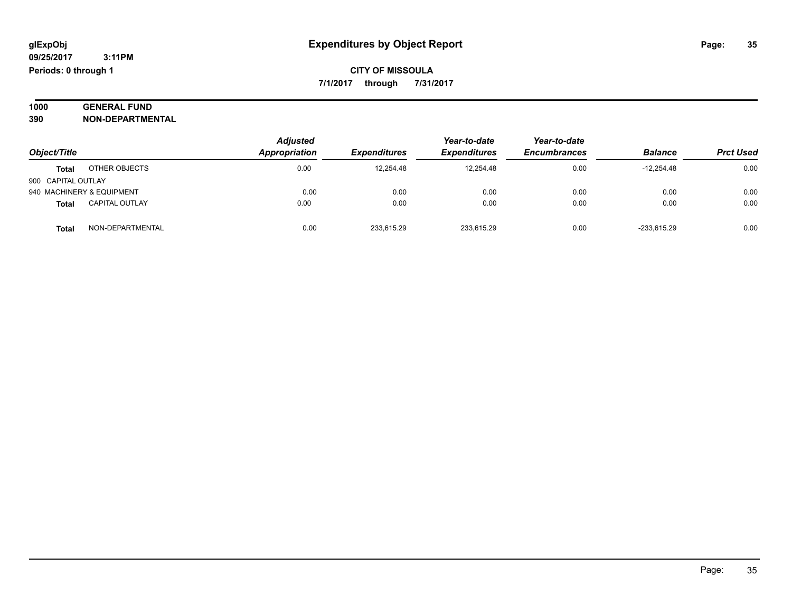| 1000 | <b>GENERAL FUND</b>     |
|------|-------------------------|
| 390  | <b>NON-DEPARTMENTAL</b> |

|                                       | <b>Adjusted</b><br>Appropriation<br><b>Expenditures</b> | Year-to-date | Year-to-date        |                     |                |                  |
|---------------------------------------|---------------------------------------------------------|--------------|---------------------|---------------------|----------------|------------------|
| Object/Title                          |                                                         |              | <b>Expenditures</b> | <b>Encumbrances</b> | <b>Balance</b> | <b>Prct Used</b> |
| OTHER OBJECTS<br><b>Total</b>         | 0.00                                                    | 12.254.48    | 12.254.48           | 0.00                | $-12.254.48$   | 0.00             |
| 900 CAPITAL OUTLAY                    |                                                         |              |                     |                     |                |                  |
| 940 MACHINERY & EQUIPMENT             | 0.00                                                    | 0.00         | 0.00                | 0.00                | 0.00           | 0.00             |
| <b>CAPITAL OUTLAY</b><br><b>Total</b> | 0.00                                                    | 0.00         | 0.00                | 0.00                | 0.00           | 0.00             |
| NON-DEPARTMENTAL<br><b>Total</b>      | 0.00                                                    | 233.615.29   | 233,615.29          | 0.00                | -233.615.29    | 0.00             |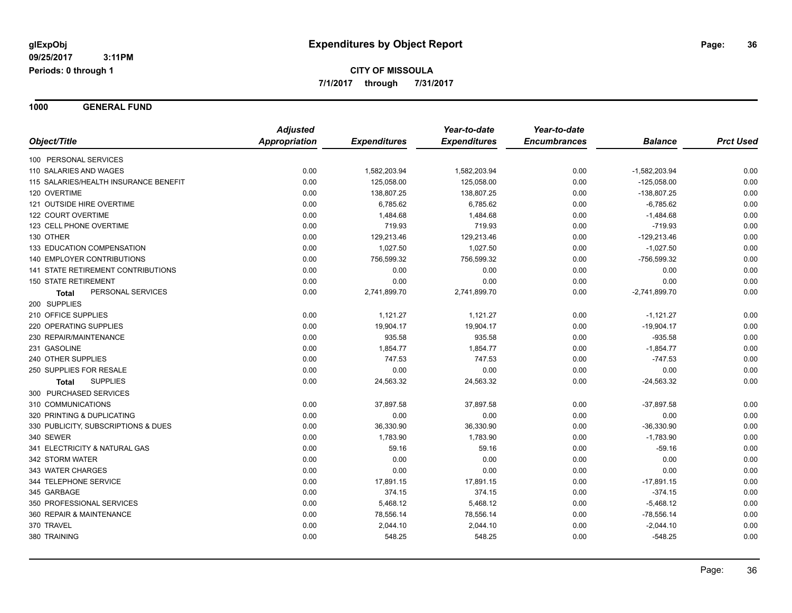**1000 GENERAL FUND**

| Object/Title                              | <b>Adjusted</b> | <b>Expenditures</b> | Year-to-date<br><b>Expenditures</b> | Year-to-date<br><b>Encumbrances</b> | <b>Balance</b>  | <b>Prct Used</b> |
|-------------------------------------------|-----------------|---------------------|-------------------------------------|-------------------------------------|-----------------|------------------|
|                                           | Appropriation   |                     |                                     |                                     |                 |                  |
| 100 PERSONAL SERVICES                     |                 |                     |                                     |                                     |                 |                  |
| 110 SALARIES AND WAGES                    | 0.00            | 1,582,203.94        | 1,582,203.94                        | 0.00                                | $-1,582,203.94$ | 0.00             |
| 115 SALARIES/HEALTH INSURANCE BENEFIT     | 0.00            | 125,058.00          | 125,058.00                          | 0.00                                | $-125,058.00$   | 0.00             |
| 120 OVERTIME                              | 0.00            | 138,807.25          | 138,807.25                          | 0.00                                | $-138,807.25$   | 0.00             |
| 121 OUTSIDE HIRE OVERTIME                 | 0.00            | 6,785.62            | 6,785.62                            | 0.00                                | $-6,785.62$     | 0.00             |
| 122 COURT OVERTIME                        | 0.00            | 1,484.68            | 1,484.68                            | 0.00                                | $-1,484.68$     | 0.00             |
| 123 CELL PHONE OVERTIME                   | 0.00            | 719.93              | 719.93                              | 0.00                                | $-719.93$       | 0.00             |
| 130 OTHER                                 | 0.00            | 129,213.46          | 129,213.46                          | 0.00                                | $-129,213.46$   | 0.00             |
| 133 EDUCATION COMPENSATION                | 0.00            | 1,027.50            | 1,027.50                            | 0.00                                | $-1,027.50$     | 0.00             |
| <b>140 EMPLOYER CONTRIBUTIONS</b>         | 0.00            | 756,599.32          | 756,599.32                          | 0.00                                | -756,599.32     | 0.00             |
| <b>141 STATE RETIREMENT CONTRIBUTIONS</b> | 0.00            | 0.00                | 0.00                                | 0.00                                | 0.00            | 0.00             |
| <b>150 STATE RETIREMENT</b>               | 0.00            | 0.00                | 0.00                                | 0.00                                | 0.00            | 0.00             |
| PERSONAL SERVICES<br><b>Total</b>         | 0.00            | 2,741,899.70        | 2,741,899.70                        | 0.00                                | $-2,741,899.70$ | 0.00             |
| 200 SUPPLIES                              |                 |                     |                                     |                                     |                 |                  |
| 210 OFFICE SUPPLIES                       | 0.00            | 1,121.27            | 1,121.27                            | 0.00                                | $-1,121.27$     | 0.00             |
| 220 OPERATING SUPPLIES                    | 0.00            | 19,904.17           | 19,904.17                           | 0.00                                | $-19,904.17$    | 0.00             |
| 230 REPAIR/MAINTENANCE                    | 0.00            | 935.58              | 935.58                              | 0.00                                | $-935.58$       | 0.00             |
| 231 GASOLINE                              | 0.00            | 1,854.77            | 1,854.77                            | 0.00                                | $-1,854.77$     | 0.00             |
| 240 OTHER SUPPLIES                        | 0.00            | 747.53              | 747.53                              | 0.00                                | $-747.53$       | 0.00             |
| 250 SUPPLIES FOR RESALE                   | 0.00            | 0.00                | 0.00                                | 0.00                                | 0.00            | 0.00             |
| <b>SUPPLIES</b><br><b>Total</b>           | 0.00            | 24,563.32           | 24,563.32                           | 0.00                                | $-24,563.32$    | 0.00             |
| 300 PURCHASED SERVICES                    |                 |                     |                                     |                                     |                 |                  |
| 310 COMMUNICATIONS                        | 0.00            | 37,897.58           | 37,897.58                           | 0.00                                | $-37,897.58$    | 0.00             |
| 320 PRINTING & DUPLICATING                | 0.00            | 0.00                | 0.00                                | 0.00                                | 0.00            | 0.00             |
| 330 PUBLICITY, SUBSCRIPTIONS & DUES       | 0.00            | 36,330.90           | 36,330.90                           | 0.00                                | $-36,330.90$    | 0.00             |
| 340 SEWER                                 | 0.00            | 1,783.90            | 1,783.90                            | 0.00                                | $-1,783.90$     | 0.00             |
| 341 ELECTRICITY & NATURAL GAS             | 0.00            | 59.16               | 59.16                               | 0.00                                | $-59.16$        | 0.00             |
| 342 STORM WATER                           | 0.00            | 0.00                | 0.00                                | 0.00                                | 0.00            | 0.00             |
| 343 WATER CHARGES                         | 0.00            | 0.00                | 0.00                                | 0.00                                | 0.00            | 0.00             |
| 344 TELEPHONE SERVICE                     | 0.00            | 17,891.15           | 17,891.15                           | 0.00                                | $-17,891.15$    | 0.00             |
| 345 GARBAGE                               | 0.00            | 374.15              | 374.15                              | 0.00                                | $-374.15$       | 0.00             |
| 350 PROFESSIONAL SERVICES                 | 0.00            | 5,468.12            | 5,468.12                            | 0.00                                | $-5,468.12$     | 0.00             |
| 360 REPAIR & MAINTENANCE                  | 0.00            | 78,556.14           | 78,556.14                           | 0.00                                | $-78,556.14$    | 0.00             |
| 370 TRAVEL                                | 0.00            | 2,044.10            | 2,044.10                            | 0.00                                | $-2,044.10$     | 0.00             |
| 380 TRAINING                              | 0.00            | 548.25              | 548.25                              | 0.00                                | $-548.25$       | 0.00             |
|                                           |                 |                     |                                     |                                     |                 |                  |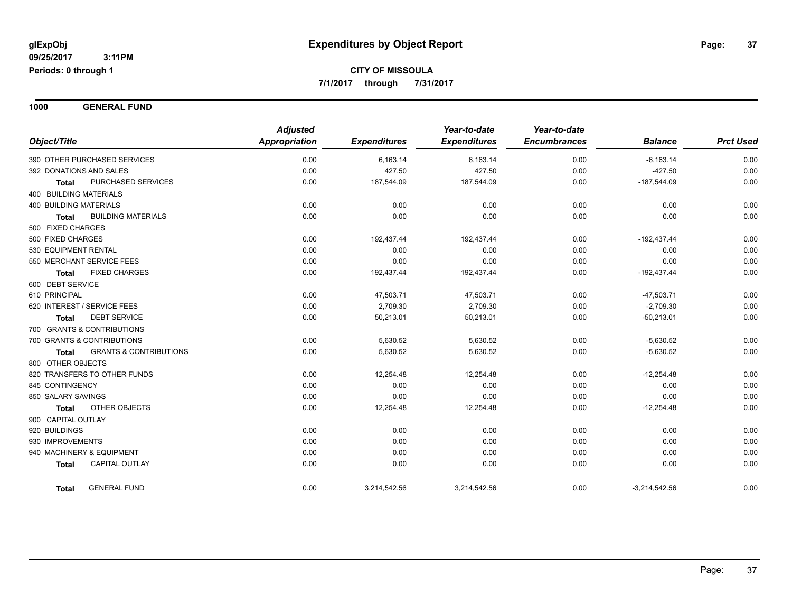**1000 GENERAL FUND**

|                                                   | <b>Adjusted</b>      |                     | Year-to-date        | Year-to-date        |                 |                  |
|---------------------------------------------------|----------------------|---------------------|---------------------|---------------------|-----------------|------------------|
| Object/Title                                      | <b>Appropriation</b> | <b>Expenditures</b> | <b>Expenditures</b> | <b>Encumbrances</b> | <b>Balance</b>  | <b>Prct Used</b> |
| 390 OTHER PURCHASED SERVICES                      | 0.00                 | 6,163.14            | 6,163.14            | 0.00                | $-6,163.14$     | 0.00             |
| 392 DONATIONS AND SALES                           | 0.00                 | 427.50              | 427.50              | 0.00                | $-427.50$       | 0.00             |
| PURCHASED SERVICES<br><b>Total</b>                | 0.00                 | 187,544.09          | 187,544.09          | 0.00                | $-187,544.09$   | 0.00             |
| 400 BUILDING MATERIALS                            |                      |                     |                     |                     |                 |                  |
| <b>400 BUILDING MATERIALS</b>                     | 0.00                 | 0.00                | 0.00                | 0.00                | 0.00            | 0.00             |
| <b>BUILDING MATERIALS</b><br><b>Total</b>         | 0.00                 | 0.00                | 0.00                | 0.00                | 0.00            | 0.00             |
| 500 FIXED CHARGES                                 |                      |                     |                     |                     |                 |                  |
| 500 FIXED CHARGES                                 | 0.00                 | 192,437.44          | 192,437.44          | 0.00                | $-192,437.44$   | 0.00             |
| 530 EQUIPMENT RENTAL                              | 0.00                 | 0.00                | 0.00                | 0.00                | 0.00            | 0.00             |
| 550 MERCHANT SERVICE FEES                         | 0.00                 | 0.00                | 0.00                | 0.00                | 0.00            | 0.00             |
| <b>FIXED CHARGES</b><br>Total                     | 0.00                 | 192,437.44          | 192,437.44          | 0.00                | $-192,437.44$   | 0.00             |
| 600 DEBT SERVICE                                  |                      |                     |                     |                     |                 |                  |
| 610 PRINCIPAL                                     | 0.00                 | 47,503.71           | 47,503.71           | 0.00                | $-47,503.71$    | 0.00             |
| 620 INTEREST / SERVICE FEES                       | 0.00                 | 2,709.30            | 2,709.30            | 0.00                | $-2,709.30$     | 0.00             |
| <b>DEBT SERVICE</b><br><b>Total</b>               | 0.00                 | 50,213.01           | 50,213.01           | 0.00                | $-50,213.01$    | 0.00             |
| 700 GRANTS & CONTRIBUTIONS                        |                      |                     |                     |                     |                 |                  |
| 700 GRANTS & CONTRIBUTIONS                        | 0.00                 | 5,630.52            | 5,630.52            | 0.00                | $-5,630.52$     | 0.00             |
| <b>GRANTS &amp; CONTRIBUTIONS</b><br><b>Total</b> | 0.00                 | 5,630.52            | 5,630.52            | 0.00                | $-5,630.52$     | 0.00             |
| 800 OTHER OBJECTS                                 |                      |                     |                     |                     |                 |                  |
| 820 TRANSFERS TO OTHER FUNDS                      | 0.00                 | 12,254.48           | 12,254.48           | 0.00                | $-12,254.48$    | 0.00             |
| 845 CONTINGENCY                                   | 0.00                 | 0.00                | 0.00                | 0.00                | 0.00            | 0.00             |
| 850 SALARY SAVINGS                                | 0.00                 | 0.00                | 0.00                | 0.00                | 0.00            | 0.00             |
| <b>OTHER OBJECTS</b><br><b>Total</b>              | 0.00                 | 12,254.48           | 12,254.48           | 0.00                | $-12,254.48$    | 0.00             |
| 900 CAPITAL OUTLAY                                |                      |                     |                     |                     |                 |                  |
| 920 BUILDINGS                                     | 0.00                 | 0.00                | 0.00                | 0.00                | 0.00            | 0.00             |
| 930 IMPROVEMENTS                                  | 0.00                 | 0.00                | 0.00                | 0.00                | 0.00            | 0.00             |
| 940 MACHINERY & EQUIPMENT                         | 0.00                 | 0.00                | 0.00                | 0.00                | 0.00            | 0.00             |
| CAPITAL OUTLAY<br><b>Total</b>                    | 0.00                 | 0.00                | 0.00                | 0.00                | 0.00            | 0.00             |
| <b>GENERAL FUND</b><br>Total                      | 0.00                 | 3,214,542.56        | 3,214,542.56        | 0.00                | $-3,214,542.56$ | 0.00             |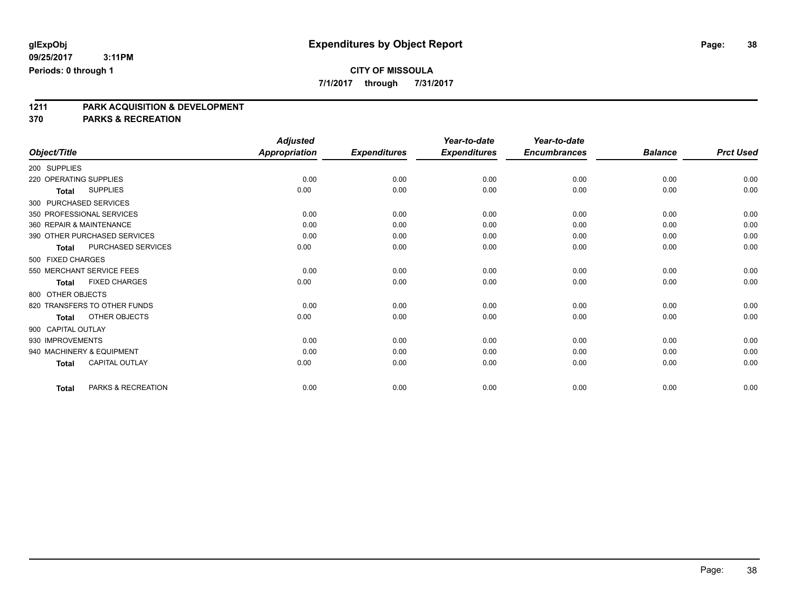**7/1/2017 through 7/31/2017**

# **1211 PARK ACQUISITION & DEVELOPMENT**

**370 PARKS & RECREATION**

|                           | <b>Adjusted</b>              |               | Year-to-date        | Year-to-date        |                     |                |                  |
|---------------------------|------------------------------|---------------|---------------------|---------------------|---------------------|----------------|------------------|
| Object/Title              |                              | Appropriation | <b>Expenditures</b> | <b>Expenditures</b> | <b>Encumbrances</b> | <b>Balance</b> | <b>Prct Used</b> |
| 200 SUPPLIES              |                              |               |                     |                     |                     |                |                  |
| 220 OPERATING SUPPLIES    |                              | 0.00          | 0.00                | 0.00                | 0.00                | 0.00           | 0.00             |
| <b>Total</b>              | <b>SUPPLIES</b>              | 0.00          | 0.00                | 0.00                | 0.00                | 0.00           | 0.00             |
| 300 PURCHASED SERVICES    |                              |               |                     |                     |                     |                |                  |
| 350 PROFESSIONAL SERVICES |                              | 0.00          | 0.00                | 0.00                | 0.00                | 0.00           | 0.00             |
| 360 REPAIR & MAINTENANCE  |                              | 0.00          | 0.00                | 0.00                | 0.00                | 0.00           | 0.00             |
|                           | 390 OTHER PURCHASED SERVICES | 0.00          | 0.00                | 0.00                | 0.00                | 0.00           | 0.00             |
| <b>Total</b>              | PURCHASED SERVICES           | 0.00          | 0.00                | 0.00                | 0.00                | 0.00           | 0.00             |
| 500 FIXED CHARGES         |                              |               |                     |                     |                     |                |                  |
| 550 MERCHANT SERVICE FEES |                              | 0.00          | 0.00                | 0.00                | 0.00                | 0.00           | 0.00             |
| <b>Total</b>              | <b>FIXED CHARGES</b>         | 0.00          | 0.00                | 0.00                | 0.00                | 0.00           | 0.00             |
| 800 OTHER OBJECTS         |                              |               |                     |                     |                     |                |                  |
|                           | 820 TRANSFERS TO OTHER FUNDS | 0.00          | 0.00                | 0.00                | 0.00                | 0.00           | 0.00             |
| <b>Total</b>              | OTHER OBJECTS                | 0.00          | 0.00                | 0.00                | 0.00                | 0.00           | 0.00             |
| 900 CAPITAL OUTLAY        |                              |               |                     |                     |                     |                |                  |
| 930 IMPROVEMENTS          |                              | 0.00          | 0.00                | 0.00                | 0.00                | 0.00           | 0.00             |
| 940 MACHINERY & EQUIPMENT |                              | 0.00          | 0.00                | 0.00                | 0.00                | 0.00           | 0.00             |
| <b>Total</b>              | <b>CAPITAL OUTLAY</b>        | 0.00          | 0.00                | 0.00                | 0.00                | 0.00           | 0.00             |
| <b>Total</b>              | PARKS & RECREATION           | 0.00          | 0.00                | 0.00                | 0.00                | 0.00           | 0.00             |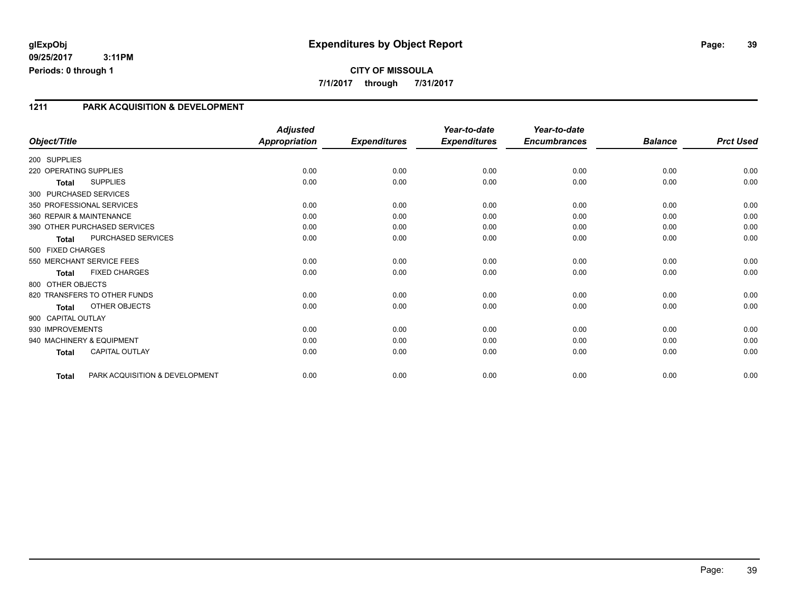### **glExpObj Expenditures by Object Report Page: 39**

**09/25/2017 3:11PM Periods: 0 through 1**

### **CITY OF MISSOULA 7/1/2017 through 7/31/2017**

#### **1211 PARK ACQUISITION & DEVELOPMENT**

|                        |                                | <b>Adjusted</b>      |                     | Year-to-date        | Year-to-date        |                |                  |
|------------------------|--------------------------------|----------------------|---------------------|---------------------|---------------------|----------------|------------------|
| Object/Title           |                                | <b>Appropriation</b> | <b>Expenditures</b> | <b>Expenditures</b> | <b>Encumbrances</b> | <b>Balance</b> | <b>Prct Used</b> |
| 200 SUPPLIES           |                                |                      |                     |                     |                     |                |                  |
| 220 OPERATING SUPPLIES |                                | 0.00                 | 0.00                | 0.00                | 0.00                | 0.00           | 0.00             |
| <b>Total</b>           | <b>SUPPLIES</b>                | 0.00                 | 0.00                | 0.00                | 0.00                | 0.00           | 0.00             |
|                        | 300 PURCHASED SERVICES         |                      |                     |                     |                     |                |                  |
|                        | 350 PROFESSIONAL SERVICES      | 0.00                 | 0.00                | 0.00                | 0.00                | 0.00           | 0.00             |
|                        | 360 REPAIR & MAINTENANCE       | 0.00                 | 0.00                | 0.00                | 0.00                | 0.00           | 0.00             |
|                        | 390 OTHER PURCHASED SERVICES   | 0.00                 | 0.00                | 0.00                | 0.00                | 0.00           | 0.00             |
| <b>Total</b>           | PURCHASED SERVICES             | 0.00                 | 0.00                | 0.00                | 0.00                | 0.00           | 0.00             |
| 500 FIXED CHARGES      |                                |                      |                     |                     |                     |                |                  |
|                        | 550 MERCHANT SERVICE FEES      | 0.00                 | 0.00                | 0.00                | 0.00                | 0.00           | 0.00             |
| <b>Total</b>           | <b>FIXED CHARGES</b>           | 0.00                 | 0.00                | 0.00                | 0.00                | 0.00           | 0.00             |
| 800 OTHER OBJECTS      |                                |                      |                     |                     |                     |                |                  |
|                        | 820 TRANSFERS TO OTHER FUNDS   | 0.00                 | 0.00                | 0.00                | 0.00                | 0.00           | 0.00             |
| <b>Total</b>           | OTHER OBJECTS                  | 0.00                 | 0.00                | 0.00                | 0.00                | 0.00           | 0.00             |
| 900 CAPITAL OUTLAY     |                                |                      |                     |                     |                     |                |                  |
| 930 IMPROVEMENTS       |                                | 0.00                 | 0.00                | 0.00                | 0.00                | 0.00           | 0.00             |
|                        | 940 MACHINERY & EQUIPMENT      | 0.00                 | 0.00                | 0.00                | 0.00                | 0.00           | 0.00             |
| <b>Total</b>           | <b>CAPITAL OUTLAY</b>          | 0.00                 | 0.00                | 0.00                | 0.00                | 0.00           | 0.00             |
| <b>Total</b>           | PARK ACQUISITION & DEVELOPMENT | 0.00                 | 0.00                | 0.00                | 0.00                | 0.00           | 0.00             |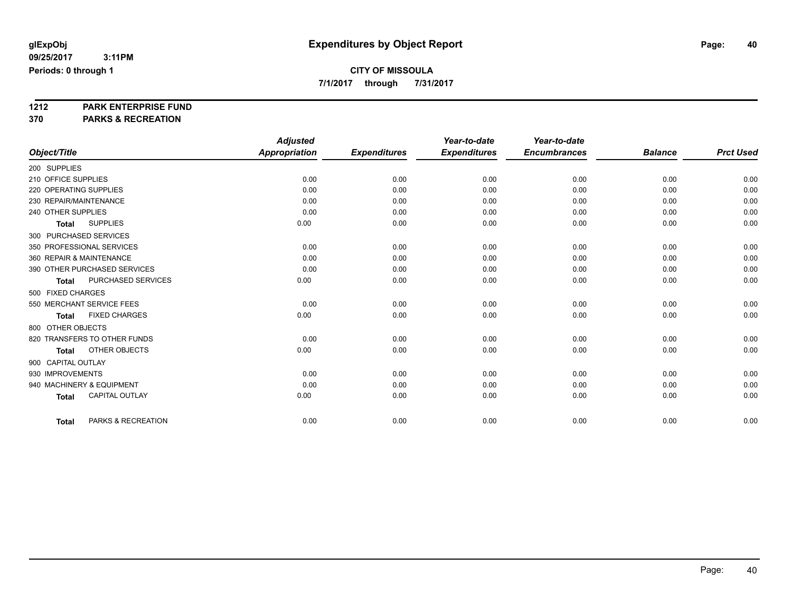**7/1/2017 through 7/31/2017**

# **1212 PARK ENTERPRISE FUND**

**370 PARKS & RECREATION**

|                                       | <b>Adjusted</b> |                     | Year-to-date        | Year-to-date        |                |                  |
|---------------------------------------|-----------------|---------------------|---------------------|---------------------|----------------|------------------|
| Object/Title                          | Appropriation   | <b>Expenditures</b> | <b>Expenditures</b> | <b>Encumbrances</b> | <b>Balance</b> | <b>Prct Used</b> |
| 200 SUPPLIES                          |                 |                     |                     |                     |                |                  |
| 210 OFFICE SUPPLIES                   | 0.00            | 0.00                | 0.00                | 0.00                | 0.00           | 0.00             |
| 220 OPERATING SUPPLIES                | 0.00            | 0.00                | 0.00                | 0.00                | 0.00           | 0.00             |
| 230 REPAIR/MAINTENANCE                | 0.00            | 0.00                | 0.00                | 0.00                | 0.00           | 0.00             |
| 240 OTHER SUPPLIES                    | 0.00            | 0.00                | 0.00                | 0.00                | 0.00           | 0.00             |
| <b>SUPPLIES</b><br><b>Total</b>       | 0.00            | 0.00                | 0.00                | 0.00                | 0.00           | 0.00             |
| 300 PURCHASED SERVICES                |                 |                     |                     |                     |                |                  |
| 350 PROFESSIONAL SERVICES             | 0.00            | 0.00                | 0.00                | 0.00                | 0.00           | 0.00             |
| 360 REPAIR & MAINTENANCE              | 0.00            | 0.00                | 0.00                | 0.00                | 0.00           | 0.00             |
| 390 OTHER PURCHASED SERVICES          | 0.00            | 0.00                | 0.00                | 0.00                | 0.00           | 0.00             |
| PURCHASED SERVICES<br><b>Total</b>    | 0.00            | 0.00                | 0.00                | 0.00                | 0.00           | 0.00             |
| 500 FIXED CHARGES                     |                 |                     |                     |                     |                |                  |
| 550 MERCHANT SERVICE FEES             | 0.00            | 0.00                | 0.00                | 0.00                | 0.00           | 0.00             |
| <b>FIXED CHARGES</b><br><b>Total</b>  | 0.00            | 0.00                | 0.00                | 0.00                | 0.00           | 0.00             |
| 800 OTHER OBJECTS                     |                 |                     |                     |                     |                |                  |
| 820 TRANSFERS TO OTHER FUNDS          | 0.00            | 0.00                | 0.00                | 0.00                | 0.00           | 0.00             |
| OTHER OBJECTS<br><b>Total</b>         | 0.00            | 0.00                | 0.00                | 0.00                | 0.00           | 0.00             |
| 900 CAPITAL OUTLAY                    |                 |                     |                     |                     |                |                  |
| 930 IMPROVEMENTS                      | 0.00            | 0.00                | 0.00                | 0.00                | 0.00           | 0.00             |
| 940 MACHINERY & EQUIPMENT             | 0.00            | 0.00                | 0.00                | 0.00                | 0.00           | 0.00             |
| <b>CAPITAL OUTLAY</b><br><b>Total</b> | 0.00            | 0.00                | 0.00                | 0.00                | 0.00           | 0.00             |
| PARKS & RECREATION<br><b>Total</b>    | 0.00            | 0.00                | 0.00                | 0.00                | 0.00           | 0.00             |
|                                       |                 |                     |                     |                     |                |                  |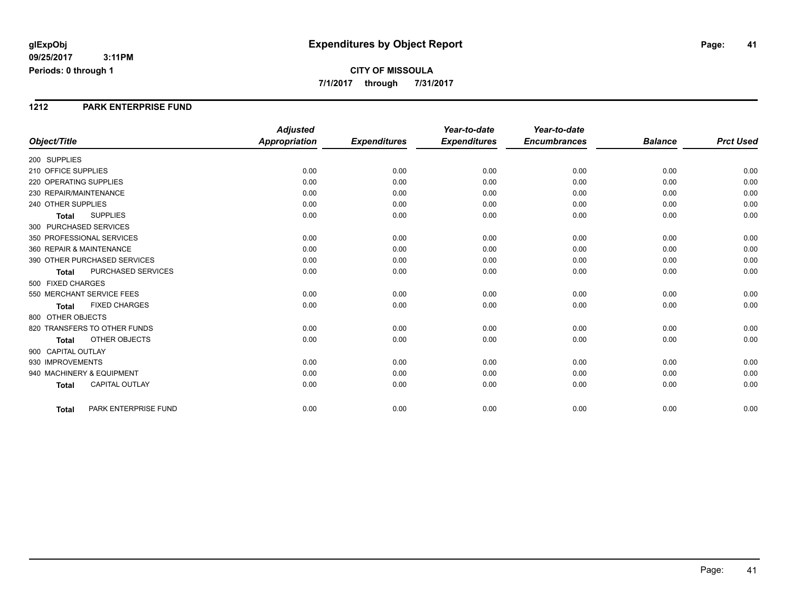#### **1212 PARK ENTERPRISE FUND**

|                                       |                      | <b>Adjusted</b> |                     | Year-to-date        | Year-to-date        |                |                  |
|---------------------------------------|----------------------|-----------------|---------------------|---------------------|---------------------|----------------|------------------|
| Object/Title                          |                      | Appropriation   | <b>Expenditures</b> | <b>Expenditures</b> | <b>Encumbrances</b> | <b>Balance</b> | <b>Prct Used</b> |
| 200 SUPPLIES                          |                      |                 |                     |                     |                     |                |                  |
| 210 OFFICE SUPPLIES                   |                      | 0.00            | 0.00                | 0.00                | 0.00                | 0.00           | 0.00             |
| 220 OPERATING SUPPLIES                |                      | 0.00            | 0.00                | 0.00                | 0.00                | 0.00           | 0.00             |
| 230 REPAIR/MAINTENANCE                |                      | 0.00            | 0.00                | 0.00                | 0.00                | 0.00           | 0.00             |
| 240 OTHER SUPPLIES                    |                      | 0.00            | 0.00                | 0.00                | 0.00                | 0.00           | 0.00             |
| <b>SUPPLIES</b><br><b>Total</b>       |                      | 0.00            | 0.00                | 0.00                | 0.00                | 0.00           | 0.00             |
| 300 PURCHASED SERVICES                |                      |                 |                     |                     |                     |                |                  |
| 350 PROFESSIONAL SERVICES             |                      | 0.00            | 0.00                | 0.00                | 0.00                | 0.00           | 0.00             |
| 360 REPAIR & MAINTENANCE              |                      | 0.00            | 0.00                | 0.00                | 0.00                | 0.00           | 0.00             |
| 390 OTHER PURCHASED SERVICES          |                      | 0.00            | 0.00                | 0.00                | 0.00                | 0.00           | 0.00             |
| <b>Total</b>                          | PURCHASED SERVICES   | 0.00            | 0.00                | 0.00                | 0.00                | 0.00           | 0.00             |
| 500 FIXED CHARGES                     |                      |                 |                     |                     |                     |                |                  |
| 550 MERCHANT SERVICE FEES             |                      | 0.00            | 0.00                | 0.00                | 0.00                | 0.00           | 0.00             |
| <b>FIXED CHARGES</b><br><b>Total</b>  |                      | 0.00            | 0.00                | 0.00                | 0.00                | 0.00           | 0.00             |
| 800 OTHER OBJECTS                     |                      |                 |                     |                     |                     |                |                  |
| 820 TRANSFERS TO OTHER FUNDS          |                      | 0.00            | 0.00                | 0.00                | 0.00                | 0.00           | 0.00             |
| <b>OTHER OBJECTS</b><br><b>Total</b>  |                      | 0.00            | 0.00                | 0.00                | 0.00                | 0.00           | 0.00             |
| 900 CAPITAL OUTLAY                    |                      |                 |                     |                     |                     |                |                  |
| 930 IMPROVEMENTS                      |                      | 0.00            | 0.00                | 0.00                | 0.00                | 0.00           | 0.00             |
| 940 MACHINERY & EQUIPMENT             |                      | 0.00            | 0.00                | 0.00                | 0.00                | 0.00           | 0.00             |
| <b>CAPITAL OUTLAY</b><br><b>Total</b> |                      | 0.00            | 0.00                | 0.00                | 0.00                | 0.00           | 0.00             |
|                                       |                      |                 |                     |                     |                     |                |                  |
| <b>Total</b>                          | PARK ENTERPRISE FUND | 0.00            | 0.00                | 0.00                | 0.00                | 0.00           | 0.00             |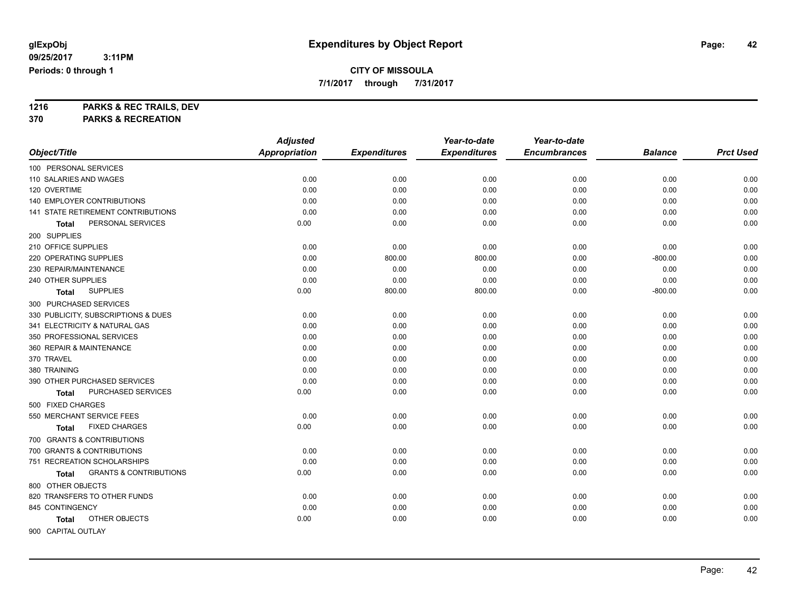**7/1/2017 through 7/31/2017**

**1216 PARKS & REC TRAILS, DEV 370 PARKS & RECREATION**

|                                                   | <b>Adjusted</b>      |                     | Year-to-date        | Year-to-date        |                |                  |
|---------------------------------------------------|----------------------|---------------------|---------------------|---------------------|----------------|------------------|
| Object/Title                                      | <b>Appropriation</b> | <b>Expenditures</b> | <b>Expenditures</b> | <b>Encumbrances</b> | <b>Balance</b> | <b>Prct Used</b> |
| 100 PERSONAL SERVICES                             |                      |                     |                     |                     |                |                  |
| 110 SALARIES AND WAGES                            | 0.00                 | 0.00                | 0.00                | 0.00                | 0.00           | 0.00             |
| 120 OVERTIME                                      | 0.00                 | 0.00                | 0.00                | 0.00                | 0.00           | 0.00             |
| 140 EMPLOYER CONTRIBUTIONS                        | 0.00                 | 0.00                | 0.00                | 0.00                | 0.00           | 0.00             |
| <b>141 STATE RETIREMENT CONTRIBUTIONS</b>         | 0.00                 | 0.00                | 0.00                | 0.00                | 0.00           | 0.00             |
| PERSONAL SERVICES<br><b>Total</b>                 | 0.00                 | 0.00                | 0.00                | 0.00                | 0.00           | 0.00             |
| 200 SUPPLIES                                      |                      |                     |                     |                     |                |                  |
| 210 OFFICE SUPPLIES                               | 0.00                 | 0.00                | 0.00                | 0.00                | 0.00           | 0.00             |
| 220 OPERATING SUPPLIES                            | 0.00                 | 800.00              | 800.00              | 0.00                | $-800.00$      | 0.00             |
| 230 REPAIR/MAINTENANCE                            | 0.00                 | 0.00                | 0.00                | 0.00                | 0.00           | 0.00             |
| 240 OTHER SUPPLIES                                | 0.00                 | 0.00                | 0.00                | 0.00                | 0.00           | 0.00             |
| <b>SUPPLIES</b><br><b>Total</b>                   | 0.00                 | 800.00              | 800.00              | 0.00                | $-800.00$      | 0.00             |
| 300 PURCHASED SERVICES                            |                      |                     |                     |                     |                |                  |
| 330 PUBLICITY, SUBSCRIPTIONS & DUES               | 0.00                 | 0.00                | 0.00                | 0.00                | 0.00           | 0.00             |
| 341 ELECTRICITY & NATURAL GAS                     | 0.00                 | 0.00                | 0.00                | 0.00                | 0.00           | 0.00             |
| 350 PROFESSIONAL SERVICES                         | 0.00                 | 0.00                | 0.00                | 0.00                | 0.00           | 0.00             |
| 360 REPAIR & MAINTENANCE                          | 0.00                 | 0.00                | 0.00                | 0.00                | 0.00           | 0.00             |
| 370 TRAVEL                                        | 0.00                 | 0.00                | 0.00                | 0.00                | 0.00           | 0.00             |
| 380 TRAINING                                      | 0.00                 | 0.00                | 0.00                | 0.00                | 0.00           | 0.00             |
| 390 OTHER PURCHASED SERVICES                      | 0.00                 | 0.00                | 0.00                | 0.00                | 0.00           | 0.00             |
| PURCHASED SERVICES<br>Total                       | 0.00                 | 0.00                | 0.00                | 0.00                | 0.00           | 0.00             |
| 500 FIXED CHARGES                                 |                      |                     |                     |                     |                |                  |
| 550 MERCHANT SERVICE FEES                         | 0.00                 | 0.00                | 0.00                | 0.00                | 0.00           | 0.00             |
| <b>FIXED CHARGES</b><br><b>Total</b>              | 0.00                 | 0.00                | 0.00                | 0.00                | 0.00           | 0.00             |
| 700 GRANTS & CONTRIBUTIONS                        |                      |                     |                     |                     |                |                  |
| 700 GRANTS & CONTRIBUTIONS                        | 0.00                 | 0.00                | 0.00                | 0.00                | 0.00           | 0.00             |
| 751 RECREATION SCHOLARSHIPS                       | 0.00                 | 0.00                | 0.00                | 0.00                | 0.00           | 0.00             |
| <b>GRANTS &amp; CONTRIBUTIONS</b><br><b>Total</b> | 0.00                 | 0.00                | 0.00                | 0.00                | 0.00           | 0.00             |
| 800 OTHER OBJECTS                                 |                      |                     |                     |                     |                |                  |
| 820 TRANSFERS TO OTHER FUNDS                      | 0.00                 | 0.00                | 0.00                | 0.00                | 0.00           | 0.00             |
| 845 CONTINGENCY                                   | 0.00                 | 0.00                | 0.00                | 0.00                | 0.00           | 0.00             |
| OTHER OBJECTS<br>Total                            | 0.00                 | 0.00                | 0.00                | 0.00                | 0.00           | 0.00             |
| 900 CAPITAL OUTLAY                                |                      |                     |                     |                     |                |                  |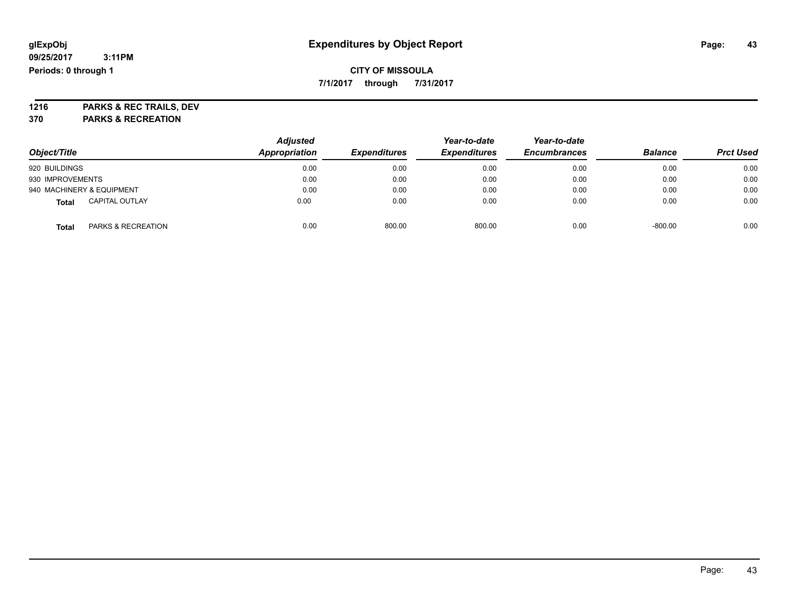# **CITY OF MISSOULA**

**7/1/2017 through 7/31/2017**

**1216 PARKS & REC TRAILS, DEV 370 PARKS & RECREATION**

| Object/Title                          | <b>Adjusted</b><br>Appropriation | <b>Expenditures</b> | Year-to-date<br><b>Expenditures</b> | Year-to-date<br><b>Encumbrances</b> | <b>Balance</b> | <b>Prct Used</b> |
|---------------------------------------|----------------------------------|---------------------|-------------------------------------|-------------------------------------|----------------|------------------|
| 920 BUILDINGS                         | 0.00                             | 0.00                | 0.00                                | 0.00                                | 0.00           | 0.00             |
| 930 IMPROVEMENTS                      | 0.00                             | 0.00                | 0.00                                | 0.00                                | 0.00           | 0.00             |
| 940 MACHINERY & EQUIPMENT             | 0.00                             | 0.00                | 0.00                                | 0.00                                | 0.00           | 0.00             |
| <b>CAPITAL OUTLAY</b><br><b>Total</b> | 0.00                             | 0.00                | 0.00                                | 0.00                                | 0.00           | 0.00             |
| PARKS & RECREATION<br><b>Total</b>    | 0.00                             | 800.00              | 800.00                              | 0.00                                | $-800.00$      | 0.00             |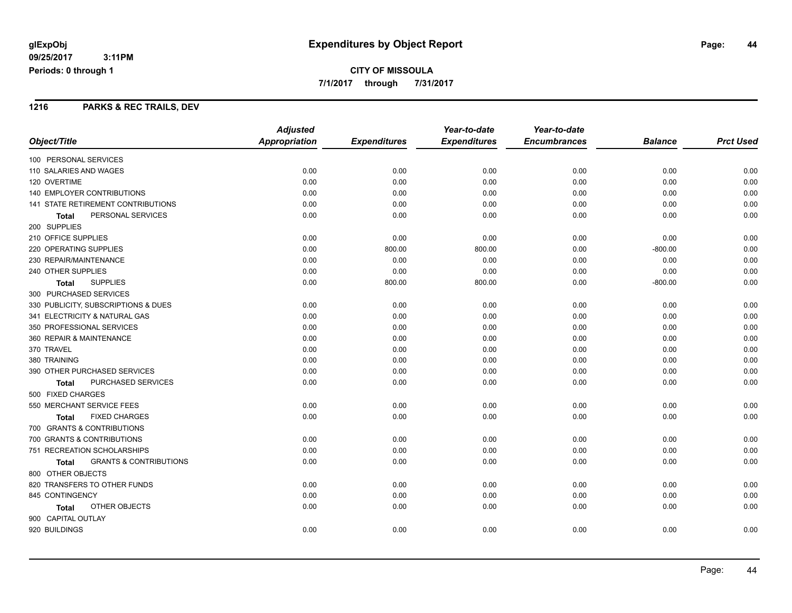### **1216 PARKS & REC TRAILS, DEV**

|                                            | <b>Adjusted</b>      |                     | Year-to-date        | Year-to-date        |                |                  |
|--------------------------------------------|----------------------|---------------------|---------------------|---------------------|----------------|------------------|
| Object/Title                               | <b>Appropriation</b> | <b>Expenditures</b> | <b>Expenditures</b> | <b>Encumbrances</b> | <b>Balance</b> | <b>Prct Used</b> |
| 100 PERSONAL SERVICES                      |                      |                     |                     |                     |                |                  |
| 110 SALARIES AND WAGES                     | 0.00                 | 0.00                | 0.00                | 0.00                | 0.00           | 0.00             |
| 120 OVERTIME                               | 0.00                 | 0.00                | 0.00                | 0.00                | 0.00           | 0.00             |
| <b>140 EMPLOYER CONTRIBUTIONS</b>          | 0.00                 | 0.00                | 0.00                | 0.00                | 0.00           | 0.00             |
| 141 STATE RETIREMENT CONTRIBUTIONS         | 0.00                 | 0.00                | 0.00                | 0.00                | 0.00           | 0.00             |
| PERSONAL SERVICES<br>Total                 | 0.00                 | 0.00                | 0.00                | 0.00                | 0.00           | 0.00             |
| 200 SUPPLIES                               |                      |                     |                     |                     |                |                  |
| 210 OFFICE SUPPLIES                        | 0.00                 | 0.00                | 0.00                | 0.00                | 0.00           | 0.00             |
| 220 OPERATING SUPPLIES                     | 0.00                 | 800.00              | 800.00              | 0.00                | $-800.00$      | 0.00             |
| 230 REPAIR/MAINTENANCE                     | 0.00                 | 0.00                | 0.00                | 0.00                | 0.00           | 0.00             |
| 240 OTHER SUPPLIES                         | 0.00                 | 0.00                | 0.00                | 0.00                | 0.00           | 0.00             |
| <b>SUPPLIES</b><br><b>Total</b>            | 0.00                 | 800.00              | 800.00              | 0.00                | $-800.00$      | 0.00             |
| 300 PURCHASED SERVICES                     |                      |                     |                     |                     |                |                  |
| 330 PUBLICITY, SUBSCRIPTIONS & DUES        | 0.00                 | 0.00                | 0.00                | 0.00                | 0.00           | 0.00             |
| 341 ELECTRICITY & NATURAL GAS              | 0.00                 | 0.00                | 0.00                | 0.00                | 0.00           | 0.00             |
| 350 PROFESSIONAL SERVICES                  | 0.00                 | 0.00                | 0.00                | 0.00                | 0.00           | 0.00             |
| 360 REPAIR & MAINTENANCE                   | 0.00                 | 0.00                | 0.00                | 0.00                | 0.00           | 0.00             |
| 370 TRAVEL                                 | 0.00                 | 0.00                | 0.00                | 0.00                | 0.00           | 0.00             |
| 380 TRAINING                               | 0.00                 | 0.00                | 0.00                | 0.00                | 0.00           | 0.00             |
| 390 OTHER PURCHASED SERVICES               | 0.00                 | 0.00                | 0.00                | 0.00                | 0.00           | 0.00             |
| PURCHASED SERVICES<br>Total                | 0.00                 | 0.00                | 0.00                | 0.00                | 0.00           | 0.00             |
| 500 FIXED CHARGES                          |                      |                     |                     |                     |                |                  |
| 550 MERCHANT SERVICE FEES                  | 0.00                 | 0.00                | 0.00                | 0.00                | 0.00           | 0.00             |
| <b>FIXED CHARGES</b><br><b>Total</b>       | 0.00                 | 0.00                | 0.00                | 0.00                | 0.00           | 0.00             |
| 700 GRANTS & CONTRIBUTIONS                 |                      |                     |                     |                     |                |                  |
| 700 GRANTS & CONTRIBUTIONS                 | 0.00                 | 0.00                | 0.00                | 0.00                | 0.00           | 0.00             |
| 751 RECREATION SCHOLARSHIPS                | 0.00                 | 0.00                | 0.00                | 0.00                | 0.00           | 0.00             |
| <b>GRANTS &amp; CONTRIBUTIONS</b><br>Total | 0.00                 | 0.00                | 0.00                | 0.00                | 0.00           | 0.00             |
| 800 OTHER OBJECTS                          |                      |                     |                     |                     |                |                  |
| 820 TRANSFERS TO OTHER FUNDS               | 0.00                 | 0.00                | 0.00                | 0.00                | 0.00           | 0.00             |
| 845 CONTINGENCY                            | 0.00                 | 0.00                | 0.00                | 0.00                | 0.00           | 0.00             |
| OTHER OBJECTS<br><b>Total</b>              | 0.00                 | 0.00                | 0.00                | 0.00                | 0.00           | 0.00             |
| 900 CAPITAL OUTLAY                         |                      |                     |                     |                     |                |                  |
| 920 BUILDINGS                              | 0.00                 | 0.00                | 0.00                | 0.00                | 0.00           | 0.00             |
|                                            |                      |                     |                     |                     |                |                  |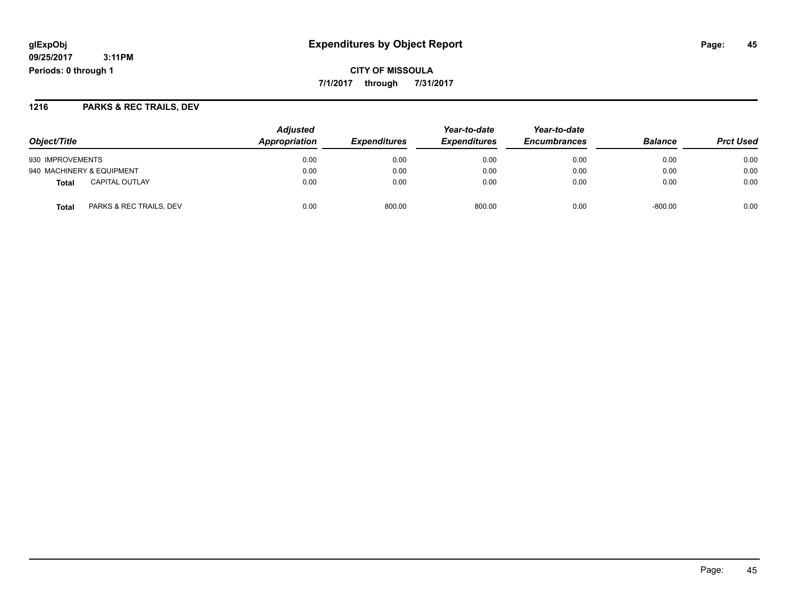**CITY OF MISSOULA 7/1/2017 through 7/31/2017**

### **1216 PARKS & REC TRAILS, DEV**

|                                         | <b>Adjusted</b> | <i><b>Expenditures</b></i> | Year-to-date<br><b>Expenditures</b> | Year-to-date        |                | <b>Prct Used</b> |
|-----------------------------------------|-----------------|----------------------------|-------------------------------------|---------------------|----------------|------------------|
| Object/Title                            | Appropriation   |                            |                                     | <b>Encumbrances</b> | <b>Balance</b> |                  |
| 930 IMPROVEMENTS                        | 0.00            | 0.00                       | 0.00                                | 0.00                | 0.00           | 0.00             |
| 940 MACHINERY & EQUIPMENT               | 0.00            | 0.00                       | 0.00                                | 0.00                | 0.00           | 0.00             |
| <b>CAPITAL OUTLAY</b><br>Total          | 0.00            | 0.00                       | 0.00                                | 0.00                | 0.00           | 0.00             |
| PARKS & REC TRAILS, DEV<br><b>Total</b> | 0.00            | 800.00                     | 800.00                              | 0.00                | $-800.00$      | 0.00             |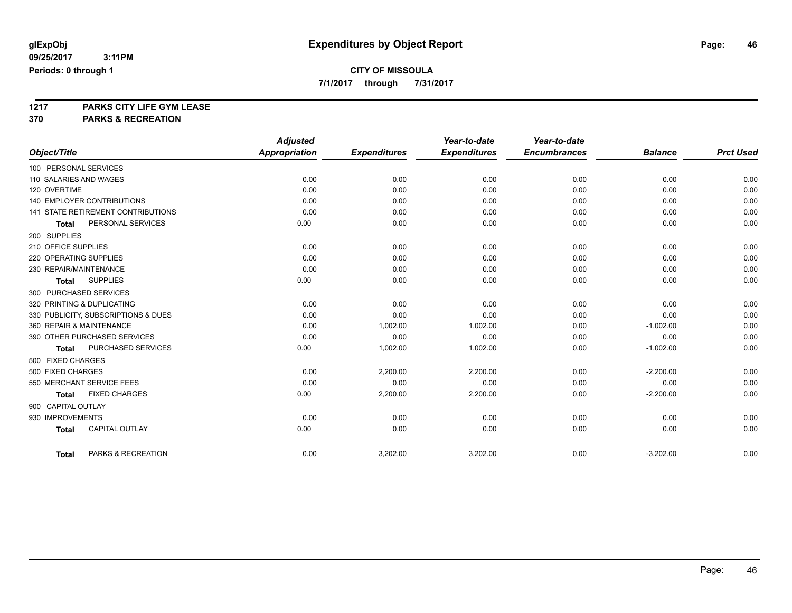**7/1/2017 through 7/31/2017**

# **1217 PARKS CITY LIFE GYM LEASE**

**370 PARKS & RECREATION**

|                                       | <b>Adjusted</b> |                     | Year-to-date        | Year-to-date        |                |                  |
|---------------------------------------|-----------------|---------------------|---------------------|---------------------|----------------|------------------|
| Object/Title                          | Appropriation   | <b>Expenditures</b> | <b>Expenditures</b> | <b>Encumbrances</b> | <b>Balance</b> | <b>Prct Used</b> |
| 100 PERSONAL SERVICES                 |                 |                     |                     |                     |                |                  |
| 110 SALARIES AND WAGES                | 0.00            | 0.00                | 0.00                | 0.00                | 0.00           | 0.00             |
| 120 OVERTIME                          | 0.00            | 0.00                | 0.00                | 0.00                | 0.00           | 0.00             |
| <b>140 EMPLOYER CONTRIBUTIONS</b>     | 0.00            | 0.00                | 0.00                | 0.00                | 0.00           | 0.00             |
| 141 STATE RETIREMENT CONTRIBUTIONS    | 0.00            | 0.00                | 0.00                | 0.00                | 0.00           | 0.00             |
| PERSONAL SERVICES<br><b>Total</b>     | 0.00            | 0.00                | 0.00                | 0.00                | 0.00           | 0.00             |
| 200 SUPPLIES                          |                 |                     |                     |                     |                |                  |
| 210 OFFICE SUPPLIES                   | 0.00            | 0.00                | 0.00                | 0.00                | 0.00           | 0.00             |
| 220 OPERATING SUPPLIES                | 0.00            | 0.00                | 0.00                | 0.00                | 0.00           | 0.00             |
| 230 REPAIR/MAINTENANCE                | 0.00            | 0.00                | 0.00                | 0.00                | 0.00           | 0.00             |
| <b>SUPPLIES</b><br><b>Total</b>       | 0.00            | 0.00                | 0.00                | 0.00                | 0.00           | 0.00             |
| 300 PURCHASED SERVICES                |                 |                     |                     |                     |                |                  |
| 320 PRINTING & DUPLICATING            | 0.00            | 0.00                | 0.00                | 0.00                | 0.00           | 0.00             |
| 330 PUBLICITY, SUBSCRIPTIONS & DUES   | 0.00            | 0.00                | 0.00                | 0.00                | 0.00           | 0.00             |
| 360 REPAIR & MAINTENANCE              | 0.00            | 1,002.00            | 1,002.00            | 0.00                | $-1,002.00$    | 0.00             |
| 390 OTHER PURCHASED SERVICES          | 0.00            | 0.00                | 0.00                | 0.00                | 0.00           | 0.00             |
| PURCHASED SERVICES<br><b>Total</b>    | 0.00            | 1,002.00            | 1,002.00            | 0.00                | $-1,002.00$    | 0.00             |
| 500 FIXED CHARGES                     |                 |                     |                     |                     |                |                  |
| 500 FIXED CHARGES                     | 0.00            | 2,200.00            | 2,200.00            | 0.00                | $-2,200.00$    | 0.00             |
| 550 MERCHANT SERVICE FEES             | 0.00            | 0.00                | 0.00                | 0.00                | 0.00           | 0.00             |
| <b>FIXED CHARGES</b><br><b>Total</b>  | 0.00            | 2,200.00            | 2,200.00            | 0.00                | $-2,200.00$    | 0.00             |
| 900 CAPITAL OUTLAY                    |                 |                     |                     |                     |                |                  |
| 930 IMPROVEMENTS                      | 0.00            | 0.00                | 0.00                | 0.00                | 0.00           | 0.00             |
| <b>CAPITAL OUTLAY</b><br><b>Total</b> | 0.00            | 0.00                | 0.00                | 0.00                | 0.00           | 0.00             |
| PARKS & RECREATION<br><b>Total</b>    | 0.00            | 3,202.00            | 3,202.00            | 0.00                | $-3,202.00$    | 0.00             |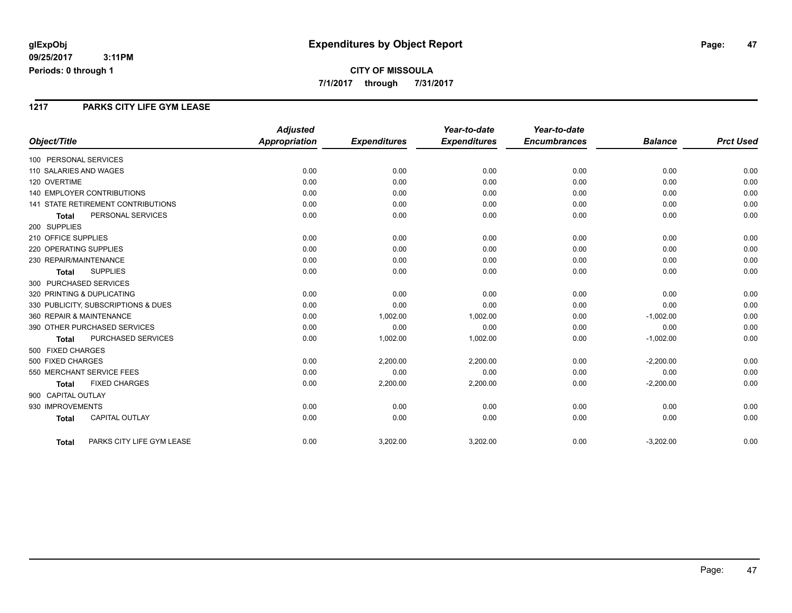#### **1217 PARKS CITY LIFE GYM LEASE**

|                                           | <b>Adjusted</b> |                     | Year-to-date        | Year-to-date<br><b>Encumbrances</b> |                |                  |
|-------------------------------------------|-----------------|---------------------|---------------------|-------------------------------------|----------------|------------------|
| Object/Title                              | Appropriation   | <b>Expenditures</b> | <b>Expenditures</b> |                                     | <b>Balance</b> | <b>Prct Used</b> |
| 100 PERSONAL SERVICES                     |                 |                     |                     |                                     |                |                  |
| 110 SALARIES AND WAGES                    | 0.00            | 0.00                | 0.00                | 0.00                                | 0.00           | 0.00             |
| 120 OVERTIME                              | 0.00            | 0.00                | 0.00                | 0.00                                | 0.00           | 0.00             |
| <b>140 EMPLOYER CONTRIBUTIONS</b>         | 0.00            | 0.00                | 0.00                | 0.00                                | 0.00           | 0.00             |
| 141 STATE RETIREMENT CONTRIBUTIONS        | 0.00            | 0.00                | 0.00                | 0.00                                | 0.00           | 0.00             |
| PERSONAL SERVICES<br><b>Total</b>         | 0.00            | 0.00                | 0.00                | 0.00                                | 0.00           | 0.00             |
| 200 SUPPLIES                              |                 |                     |                     |                                     |                |                  |
| 210 OFFICE SUPPLIES                       | 0.00            | 0.00                | 0.00                | 0.00                                | 0.00           | 0.00             |
| 220 OPERATING SUPPLIES                    | 0.00            | 0.00                | 0.00                | 0.00                                | 0.00           | 0.00             |
| 230 REPAIR/MAINTENANCE                    | 0.00            | 0.00                | 0.00                | 0.00                                | 0.00           | 0.00             |
| <b>SUPPLIES</b><br><b>Total</b>           | 0.00            | 0.00                | 0.00                | 0.00                                | 0.00           | 0.00             |
| 300 PURCHASED SERVICES                    |                 |                     |                     |                                     |                |                  |
| 320 PRINTING & DUPLICATING                | 0.00            | 0.00                | 0.00                | 0.00                                | 0.00           | 0.00             |
| 330 PUBLICITY, SUBSCRIPTIONS & DUES       | 0.00            | 0.00                | 0.00                | 0.00                                | 0.00           | 0.00             |
| 360 REPAIR & MAINTENANCE                  | 0.00            | 1,002.00            | 1,002.00            | 0.00                                | $-1,002.00$    | 0.00             |
| 390 OTHER PURCHASED SERVICES              | 0.00            | 0.00                | 0.00                | 0.00                                | 0.00           | 0.00             |
| PURCHASED SERVICES<br><b>Total</b>        | 0.00            | 1,002.00            | 1,002.00            | 0.00                                | $-1,002.00$    | 0.00             |
| 500 FIXED CHARGES                         |                 |                     |                     |                                     |                |                  |
| 500 FIXED CHARGES                         | 0.00            | 2,200.00            | 2,200.00            | 0.00                                | $-2,200.00$    | 0.00             |
| 550 MERCHANT SERVICE FEES                 | 0.00            | 0.00                | 0.00                | 0.00                                | 0.00           | 0.00             |
| <b>FIXED CHARGES</b><br><b>Total</b>      | 0.00            | 2,200.00            | 2,200.00            | 0.00                                | $-2,200.00$    | 0.00             |
| 900 CAPITAL OUTLAY                        |                 |                     |                     |                                     |                |                  |
| 930 IMPROVEMENTS                          | 0.00            | 0.00                | 0.00                | 0.00                                | 0.00           | 0.00             |
| <b>CAPITAL OUTLAY</b><br><b>Total</b>     | 0.00            | 0.00                | 0.00                | 0.00                                | 0.00           | 0.00             |
| PARKS CITY LIFE GYM LEASE<br><b>Total</b> | 0.00            | 3,202.00            | 3,202.00            | 0.00                                | $-3,202.00$    | 0.00             |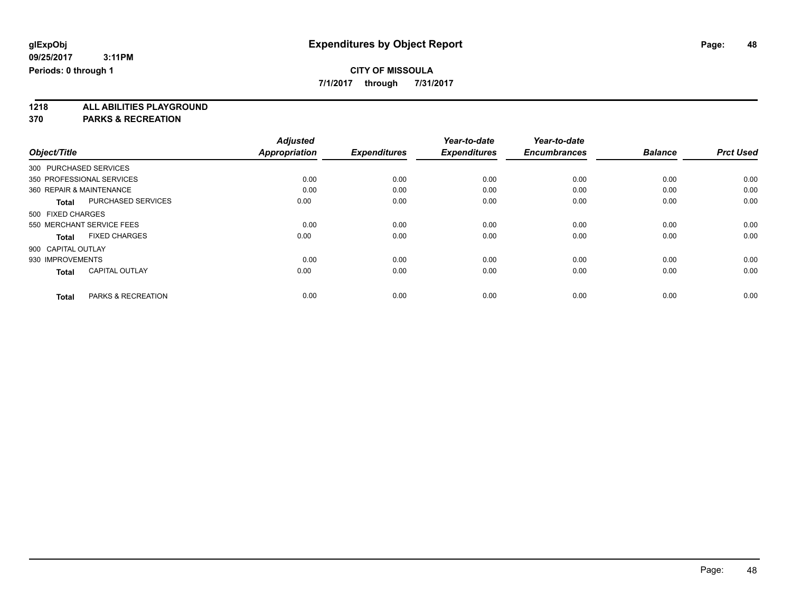**7/1/2017 through 7/31/2017**

**1218 ALL ABILITIES PLAYGROUND**

**370 PARKS & RECREATION**

|                                               | <b>Adjusted</b>      |                     | Year-to-date        | Year-to-date        |                |                  |
|-----------------------------------------------|----------------------|---------------------|---------------------|---------------------|----------------|------------------|
| Object/Title                                  | <b>Appropriation</b> | <b>Expenditures</b> | <b>Expenditures</b> | <b>Encumbrances</b> | <b>Balance</b> | <b>Prct Used</b> |
| 300 PURCHASED SERVICES                        |                      |                     |                     |                     |                |                  |
| 350 PROFESSIONAL SERVICES                     | 0.00                 | 0.00                | 0.00                | 0.00                | 0.00           | 0.00             |
| 360 REPAIR & MAINTENANCE                      | 0.00                 | 0.00                | 0.00                | 0.00                | 0.00           | 0.00             |
| <b>PURCHASED SERVICES</b><br><b>Total</b>     | 0.00                 | 0.00                | 0.00                | 0.00                | 0.00           | 0.00             |
| 500 FIXED CHARGES                             |                      |                     |                     |                     |                |                  |
| 550 MERCHANT SERVICE FEES                     | 0.00                 | 0.00                | 0.00                | 0.00                | 0.00           | 0.00             |
| <b>FIXED CHARGES</b><br><b>Total</b>          | 0.00                 | 0.00                | 0.00                | 0.00                | 0.00           | 0.00             |
| 900 CAPITAL OUTLAY                            |                      |                     |                     |                     |                |                  |
| 930 IMPROVEMENTS                              | 0.00                 | 0.00                | 0.00                | 0.00                | 0.00           | 0.00             |
| <b>CAPITAL OUTLAY</b><br><b>Total</b>         | 0.00                 | 0.00                | 0.00                | 0.00                | 0.00           | 0.00             |
|                                               |                      |                     |                     |                     |                |                  |
| <b>PARKS &amp; RECREATION</b><br><b>Total</b> | 0.00                 | 0.00                | 0.00                | 0.00                | 0.00           | 0.00             |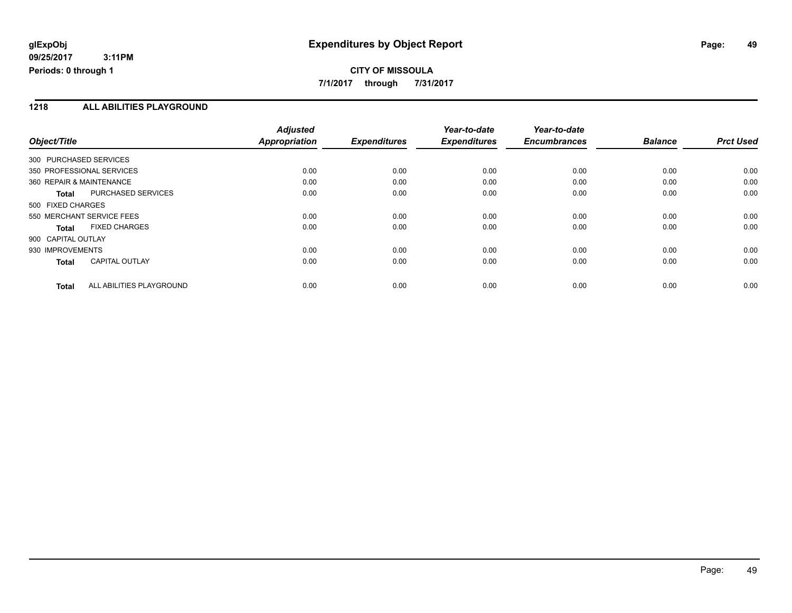### **CITY OF MISSOULA 7/1/2017 through 7/31/2017**

#### **1218 ALL ABILITIES PLAYGROUND**

|                                          | <b>Adjusted</b>      |                     | Year-to-date        | Year-to-date        |                |                  |
|------------------------------------------|----------------------|---------------------|---------------------|---------------------|----------------|------------------|
| Object/Title                             | <b>Appropriation</b> | <b>Expenditures</b> | <b>Expenditures</b> | <b>Encumbrances</b> | <b>Balance</b> | <b>Prct Used</b> |
| 300 PURCHASED SERVICES                   |                      |                     |                     |                     |                |                  |
| 350 PROFESSIONAL SERVICES                | 0.00                 | 0.00                | 0.00                | 0.00                | 0.00           | 0.00             |
| 360 REPAIR & MAINTENANCE                 | 0.00                 | 0.00                | 0.00                | 0.00                | 0.00           | 0.00             |
| PURCHASED SERVICES<br><b>Total</b>       | 0.00                 | 0.00                | 0.00                | 0.00                | 0.00           | 0.00             |
| 500 FIXED CHARGES                        |                      |                     |                     |                     |                |                  |
| 550 MERCHANT SERVICE FEES                | 0.00                 | 0.00                | 0.00                | 0.00                | 0.00           | 0.00             |
| <b>FIXED CHARGES</b><br><b>Total</b>     | 0.00                 | 0.00                | 0.00                | 0.00                | 0.00           | 0.00             |
| 900 CAPITAL OUTLAY                       |                      |                     |                     |                     |                |                  |
| 930 IMPROVEMENTS                         | 0.00                 | 0.00                | 0.00                | 0.00                | 0.00           | 0.00             |
| <b>CAPITAL OUTLAY</b><br><b>Total</b>    | 0.00                 | 0.00                | 0.00                | 0.00                | 0.00           | 0.00             |
| ALL ABILITIES PLAYGROUND<br><b>Total</b> | 0.00                 | 0.00                | 0.00                | 0.00                | 0.00           | 0.00             |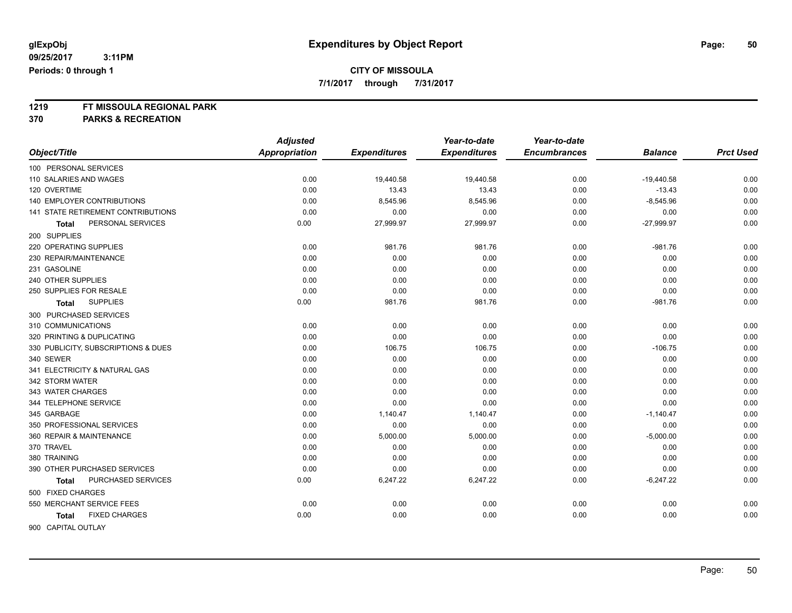**7/1/2017 through 7/31/2017**

# **1219 FT MISSOULA REGIONAL PARK**

**370 PARKS & RECREATION**

|                                           | <b>Adjusted</b> |                     | Year-to-date        | Year-to-date        |                |                  |
|-------------------------------------------|-----------------|---------------------|---------------------|---------------------|----------------|------------------|
| Object/Title                              | Appropriation   | <b>Expenditures</b> | <b>Expenditures</b> | <b>Encumbrances</b> | <b>Balance</b> | <b>Prct Used</b> |
| 100 PERSONAL SERVICES                     |                 |                     |                     |                     |                |                  |
| 110 SALARIES AND WAGES                    | 0.00            | 19,440.58           | 19,440.58           | 0.00                | $-19,440.58$   | 0.00             |
| 120 OVERTIME                              | 0.00            | 13.43               | 13.43               | 0.00                | $-13.43$       | 0.00             |
| <b>140 EMPLOYER CONTRIBUTIONS</b>         | 0.00            | 8,545.96            | 8,545.96            | 0.00                | $-8,545.96$    | 0.00             |
| <b>141 STATE RETIREMENT CONTRIBUTIONS</b> | 0.00            | 0.00                | 0.00                | 0.00                | 0.00           | 0.00             |
| PERSONAL SERVICES<br>Total                | 0.00            | 27,999.97           | 27,999.97           | 0.00                | $-27,999.97$   | 0.00             |
| 200 SUPPLIES                              |                 |                     |                     |                     |                |                  |
| 220 OPERATING SUPPLIES                    | 0.00            | 981.76              | 981.76              | 0.00                | $-981.76$      | 0.00             |
| 230 REPAIR/MAINTENANCE                    | 0.00            | 0.00                | 0.00                | 0.00                | 0.00           | 0.00             |
| 231 GASOLINE                              | 0.00            | 0.00                | 0.00                | 0.00                | 0.00           | 0.00             |
| 240 OTHER SUPPLIES                        | 0.00            | 0.00                | 0.00                | 0.00                | 0.00           | 0.00             |
| 250 SUPPLIES FOR RESALE                   | 0.00            | 0.00                | 0.00                | 0.00                | 0.00           | 0.00             |
| <b>SUPPLIES</b><br>Total                  | 0.00            | 981.76              | 981.76              | 0.00                | $-981.76$      | 0.00             |
| 300 PURCHASED SERVICES                    |                 |                     |                     |                     |                |                  |
| 310 COMMUNICATIONS                        | 0.00            | 0.00                | 0.00                | 0.00                | 0.00           | 0.00             |
| 320 PRINTING & DUPLICATING                | 0.00            | 0.00                | 0.00                | 0.00                | 0.00           | 0.00             |
| 330 PUBLICITY, SUBSCRIPTIONS & DUES       | 0.00            | 106.75              | 106.75              | 0.00                | $-106.75$      | 0.00             |
| 340 SEWER                                 | 0.00            | 0.00                | 0.00                | 0.00                | 0.00           | 0.00             |
| 341 ELECTRICITY & NATURAL GAS             | 0.00            | 0.00                | 0.00                | 0.00                | 0.00           | 0.00             |
| 342 STORM WATER                           | 0.00            | 0.00                | 0.00                | 0.00                | 0.00           | 0.00             |
| 343 WATER CHARGES                         | 0.00            | 0.00                | 0.00                | 0.00                | 0.00           | 0.00             |
| 344 TELEPHONE SERVICE                     | 0.00            | 0.00                | 0.00                | 0.00                | 0.00           | 0.00             |
| 345 GARBAGE                               | 0.00            | 1,140.47            | 1,140.47            | 0.00                | $-1,140.47$    | 0.00             |
| 350 PROFESSIONAL SERVICES                 | 0.00            | 0.00                | 0.00                | 0.00                | 0.00           | 0.00             |
| 360 REPAIR & MAINTENANCE                  | 0.00            | 5,000.00            | 5,000.00            | 0.00                | $-5,000.00$    | 0.00             |
| 370 TRAVEL                                | 0.00            | 0.00                | 0.00                | 0.00                | 0.00           | 0.00             |
| 380 TRAINING                              | 0.00            | 0.00                | 0.00                | 0.00                | 0.00           | 0.00             |
| 390 OTHER PURCHASED SERVICES              | 0.00            | 0.00                | 0.00                | 0.00                | 0.00           | 0.00             |
| PURCHASED SERVICES<br>Total               | 0.00            | 6,247.22            | 6,247.22            | 0.00                | $-6,247.22$    | 0.00             |
| 500 FIXED CHARGES                         |                 |                     |                     |                     |                |                  |
| 550 MERCHANT SERVICE FEES                 | 0.00            | 0.00                | 0.00                | 0.00                | 0.00           | 0.00             |
| <b>FIXED CHARGES</b><br>Total             | 0.00            | 0.00                | 0.00                | 0.00                | 0.00           | 0.00             |
| 900 CAPITAL OUTLAY                        |                 |                     |                     |                     |                |                  |

Page: 50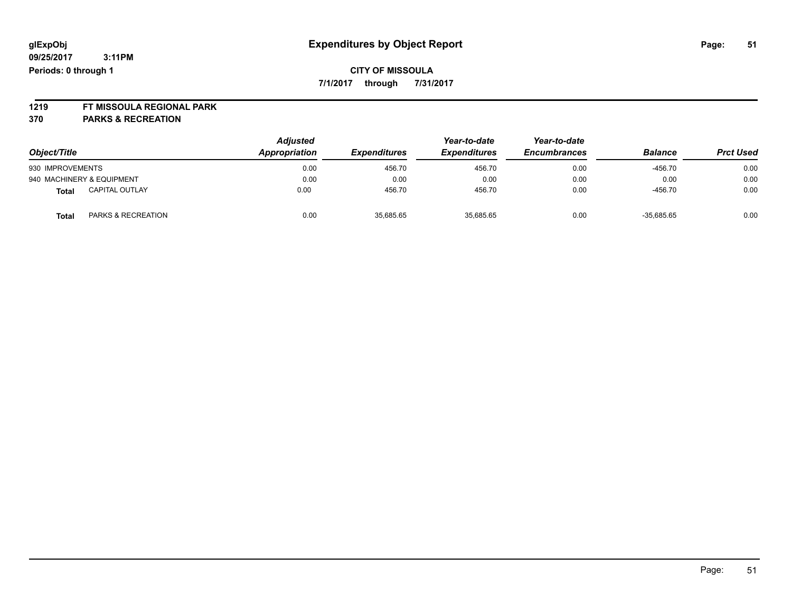# **CITY OF MISSOULA**

**7/1/2017 through 7/31/2017**

# **1219 FT MISSOULA REGIONAL PARK**

**370 PARKS & RECREATION**

| Object/Title              |                       | <b>Adjusted</b> | <i><b>Expenditures</b></i> | Year-to-date<br><b>Expenditures</b> | Year-to-date<br><b>Encumbrances</b> | <b>Balance</b> | <b>Prct Used</b> |
|---------------------------|-----------------------|-----------------|----------------------------|-------------------------------------|-------------------------------------|----------------|------------------|
|                           |                       | Appropriation   |                            |                                     |                                     |                |                  |
| 930 IMPROVEMENTS          |                       | 0.00            | 456.70                     | 456.70                              | 0.00                                | $-456.70$      | 0.00             |
| 940 MACHINERY & EQUIPMENT |                       | 0.00            | 0.00                       | 0.00                                | 0.00                                | 0.00           | 0.00             |
| Total                     | <b>CAPITAL OUTLAY</b> | 0.00            | 456.70                     | 456.70                              | 0.00                                | $-456.70$      | 0.00             |
| Total                     | PARKS & RECREATION    | 0.00            | 35,685.65                  | 35,685.65                           | 0.00                                | $-35,685.65$   | 0.00             |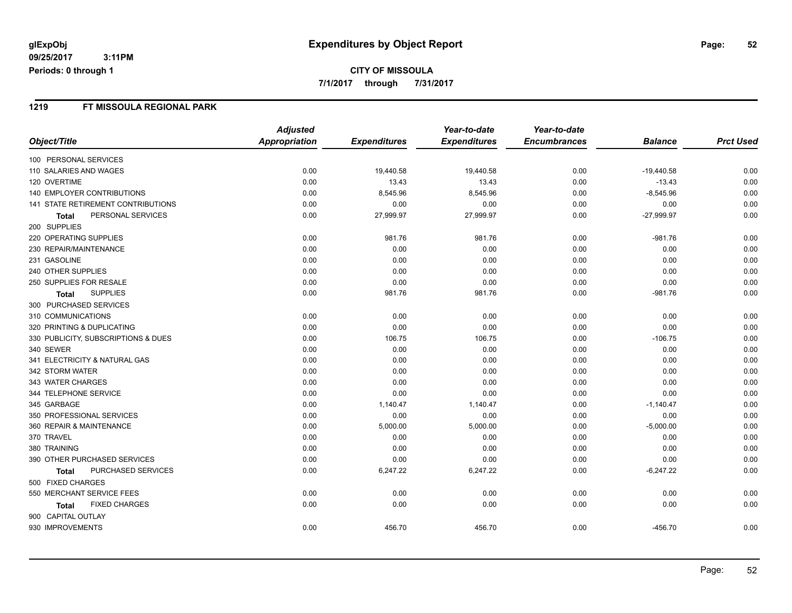#### **1219 FT MISSOULA REGIONAL PARK**

|                                     | <b>Adjusted</b> |                     | Year-to-date        | Year-to-date        |                |                  |
|-------------------------------------|-----------------|---------------------|---------------------|---------------------|----------------|------------------|
| Object/Title                        | Appropriation   | <b>Expenditures</b> | <b>Expenditures</b> | <b>Encumbrances</b> | <b>Balance</b> | <b>Prct Used</b> |
| 100 PERSONAL SERVICES               |                 |                     |                     |                     |                |                  |
| 110 SALARIES AND WAGES              | 0.00            | 19,440.58           | 19,440.58           | 0.00                | $-19,440.58$   | 0.00             |
| 120 OVERTIME                        | 0.00            | 13.43               | 13.43               | 0.00                | $-13.43$       | 0.00             |
| 140 EMPLOYER CONTRIBUTIONS          | 0.00            | 8,545.96            | 8,545.96            | 0.00                | $-8,545.96$    | 0.00             |
| 141 STATE RETIREMENT CONTRIBUTIONS  | 0.00            | 0.00                | 0.00                | 0.00                | 0.00           | 0.00             |
| PERSONAL SERVICES<br>Total          | 0.00            | 27,999.97           | 27,999.97           | 0.00                | $-27,999.97$   | 0.00             |
| 200 SUPPLIES                        |                 |                     |                     |                     |                |                  |
| 220 OPERATING SUPPLIES              | 0.00            | 981.76              | 981.76              | 0.00                | $-981.76$      | 0.00             |
| 230 REPAIR/MAINTENANCE              | 0.00            | 0.00                | 0.00                | 0.00                | 0.00           | 0.00             |
| 231 GASOLINE                        | 0.00            | 0.00                | 0.00                | 0.00                | 0.00           | 0.00             |
| 240 OTHER SUPPLIES                  | 0.00            | 0.00                | 0.00                | 0.00                | 0.00           | 0.00             |
| 250 SUPPLIES FOR RESALE             | 0.00            | 0.00                | 0.00                | 0.00                | 0.00           | 0.00             |
| <b>SUPPLIES</b><br><b>Total</b>     | 0.00            | 981.76              | 981.76              | 0.00                | $-981.76$      | 0.00             |
| 300 PURCHASED SERVICES              |                 |                     |                     |                     |                |                  |
| 310 COMMUNICATIONS                  | 0.00            | 0.00                | 0.00                | 0.00                | 0.00           | 0.00             |
| 320 PRINTING & DUPLICATING          | 0.00            | 0.00                | 0.00                | 0.00                | 0.00           | 0.00             |
| 330 PUBLICITY, SUBSCRIPTIONS & DUES | 0.00            | 106.75              | 106.75              | 0.00                | $-106.75$      | 0.00             |
| 340 SEWER                           | 0.00            | 0.00                | 0.00                | 0.00                | 0.00           | 0.00             |
| 341 ELECTRICITY & NATURAL GAS       | 0.00            | 0.00                | 0.00                | 0.00                | 0.00           | 0.00             |
| 342 STORM WATER                     | 0.00            | 0.00                | 0.00                | 0.00                | 0.00           | 0.00             |
| 343 WATER CHARGES                   | 0.00            | 0.00                | 0.00                | 0.00                | 0.00           | 0.00             |
| 344 TELEPHONE SERVICE               | 0.00            | 0.00                | 0.00                | 0.00                | 0.00           | 0.00             |
| 345 GARBAGE                         | 0.00            | 1,140.47            | 1,140.47            | 0.00                | $-1,140.47$    | 0.00             |
| 350 PROFESSIONAL SERVICES           | 0.00            | 0.00                | 0.00                | 0.00                | 0.00           | 0.00             |
| 360 REPAIR & MAINTENANCE            | 0.00            | 5,000.00            | 5,000.00            | 0.00                | $-5,000.00$    | 0.00             |
| 370 TRAVEL                          | 0.00            | 0.00                | 0.00                | 0.00                | 0.00           | 0.00             |
| 380 TRAINING                        | 0.00            | 0.00                | 0.00                | 0.00                | 0.00           | 0.00             |
| 390 OTHER PURCHASED SERVICES        | 0.00            | 0.00                | 0.00                | 0.00                | 0.00           | 0.00             |
| PURCHASED SERVICES<br>Total         | 0.00            | 6,247.22            | 6,247.22            | 0.00                | $-6,247.22$    | 0.00             |
| 500 FIXED CHARGES                   |                 |                     |                     |                     |                |                  |
| 550 MERCHANT SERVICE FEES           | 0.00            | 0.00                | 0.00                | 0.00                | 0.00           | 0.00             |
| <b>FIXED CHARGES</b><br>Total       | 0.00            | 0.00                | 0.00                | 0.00                | 0.00           | 0.00             |
| 900 CAPITAL OUTLAY                  |                 |                     |                     |                     |                |                  |
| 930 IMPROVEMENTS                    | 0.00            | 456.70              | 456.70              | 0.00                | $-456.70$      | 0.00             |
|                                     |                 |                     |                     |                     |                |                  |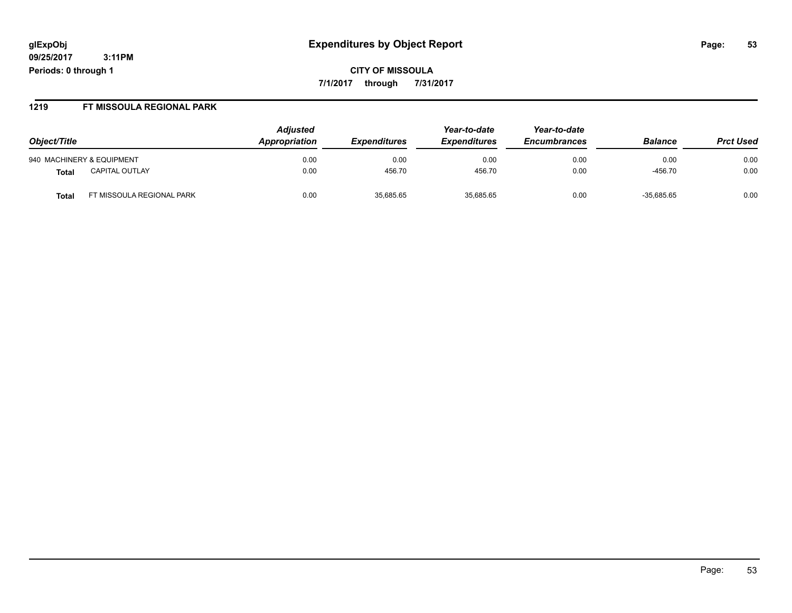**CITY OF MISSOULA 7/1/2017 through 7/31/2017**

#### **1219 FT MISSOULA REGIONAL PARK**

|                                    | <b>Adjusted</b> |                            | Year-to-date               | Year-to-date        |                |                  |
|------------------------------------|-----------------|----------------------------|----------------------------|---------------------|----------------|------------------|
| Object/Title                       | Appropriation   | <i><b>Expenditures</b></i> | <i><b>Expenditures</b></i> | <b>Encumbrances</b> | <b>Balance</b> | <b>Prct Used</b> |
| 940 MACHINERY & EQUIPMENT          | 0.00            | 0.00                       | 0.00                       | 0.00                | 0.00           | 0.00             |
| <b>CAPITAL OUTLAY</b><br>Total     | 0.00            | 456.70                     | 456.70                     | 0.00                | $-456.70$      | 0.00             |
| FT MISSOULA REGIONAL PARK<br>Total | 0.00            | 35,685.65                  | 35,685.65                  | 0.00                | $-35,685.65$   | 0.00             |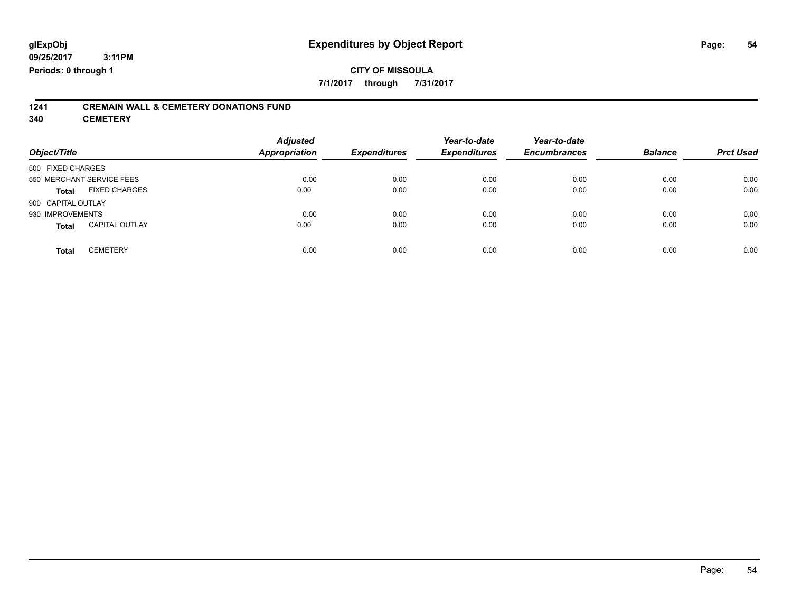# **CITY OF MISSOULA**

**7/1/2017 through 7/31/2017**

# **1241 CREMAIN WALL & CEMETERY DONATIONS FUND**

**340 CEMETERY**

| Object/Title                          | <b>Adjusted</b><br><b>Appropriation</b> | <b>Expenditures</b> | Year-to-date<br><b>Expenditures</b> | Year-to-date<br><b>Encumbrances</b> | <b>Balance</b> | <b>Prct Used</b> |
|---------------------------------------|-----------------------------------------|---------------------|-------------------------------------|-------------------------------------|----------------|------------------|
| 500 FIXED CHARGES                     |                                         |                     |                                     |                                     |                |                  |
| 550 MERCHANT SERVICE FEES             | 0.00                                    | 0.00                | 0.00                                | 0.00                                | 0.00           | 0.00             |
| <b>FIXED CHARGES</b><br><b>Total</b>  | 0.00                                    | 0.00                | 0.00                                | 0.00                                | 0.00           | 0.00             |
| 900 CAPITAL OUTLAY                    |                                         |                     |                                     |                                     |                |                  |
| 930 IMPROVEMENTS                      | 0.00                                    | 0.00                | 0.00                                | 0.00                                | 0.00           | 0.00             |
| <b>CAPITAL OUTLAY</b><br><b>Total</b> | 0.00                                    | 0.00                | 0.00                                | 0.00                                | 0.00           | 0.00             |
| <b>CEMETERY</b><br><b>Total</b>       | 0.00                                    | 0.00                | 0.00                                | 0.00                                | 0.00           | 0.00             |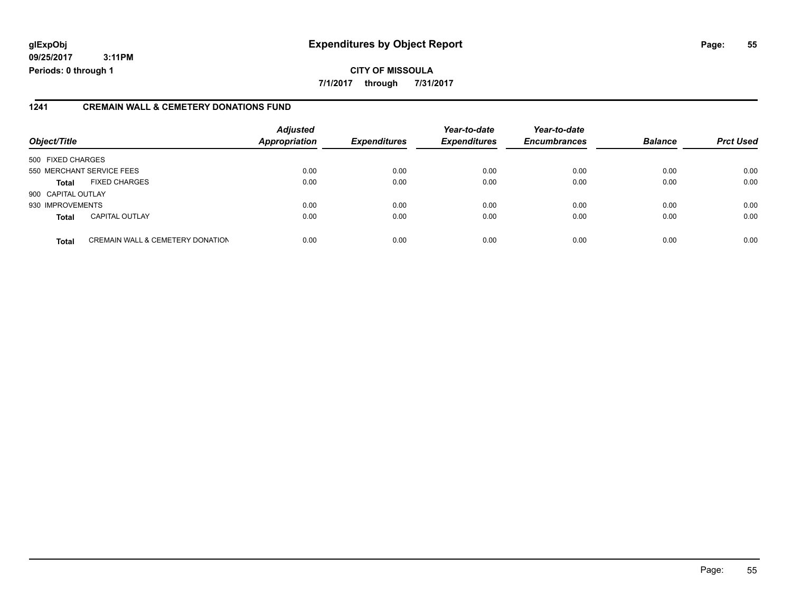### **glExpObj Expenditures by Object Report Page: 55**

**09/25/2017 3:11PM Periods: 0 through 1**

#### **1241 CREMAIN WALL & CEMETERY DONATIONS FUND**

| Object/Title              |                                             | <b>Adjusted</b><br><b>Appropriation</b> | <b>Expenditures</b> | Year-to-date<br><b>Expenditures</b> | Year-to-date<br><b>Encumbrances</b> | <b>Balance</b> | <b>Prct Used</b> |
|---------------------------|---------------------------------------------|-----------------------------------------|---------------------|-------------------------------------|-------------------------------------|----------------|------------------|
| 500 FIXED CHARGES         |                                             |                                         |                     |                                     |                                     |                |                  |
| 550 MERCHANT SERVICE FEES |                                             | 0.00                                    | 0.00                | 0.00                                | 0.00                                | 0.00           | 0.00             |
| <b>Total</b>              | <b>FIXED CHARGES</b>                        | 0.00                                    | 0.00                | 0.00                                | 0.00                                | 0.00           | 0.00             |
| 900 CAPITAL OUTLAY        |                                             |                                         |                     |                                     |                                     |                |                  |
| 930 IMPROVEMENTS          |                                             | 0.00                                    | 0.00                | 0.00                                | 0.00                                | 0.00           | 0.00             |
| <b>Total</b>              | <b>CAPITAL OUTLAY</b>                       | 0.00                                    | 0.00                | 0.00                                | 0.00                                | 0.00           | 0.00             |
| <b>Total</b>              | <b>CREMAIN WALL &amp; CEMETERY DONATION</b> | 0.00                                    | 0.00                | 0.00                                | 0.00                                | 0.00           | 0.00             |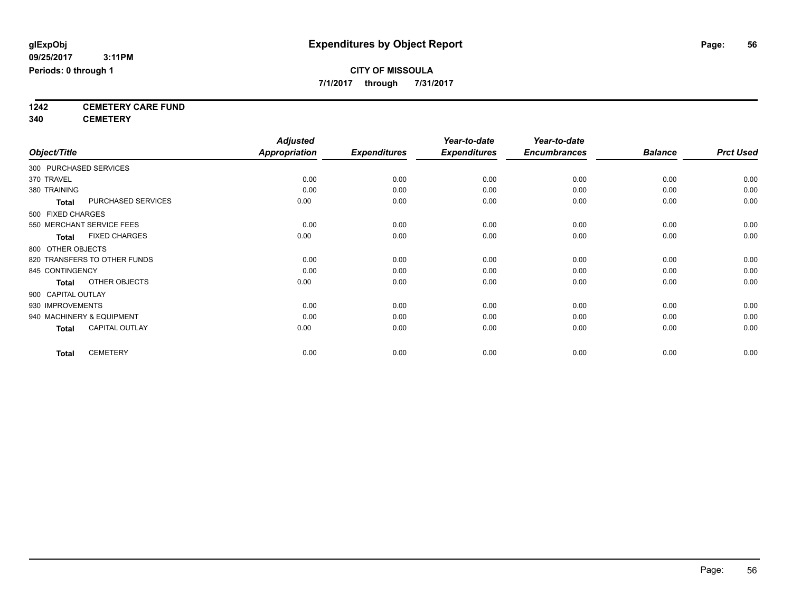**7/1/2017 through 7/31/2017**

**1242 CEMETERY CARE FUND**

**340 CEMETERY**

|                                       | <b>Adjusted</b> |                     | Year-to-date        | Year-to-date        |                |                  |
|---------------------------------------|-----------------|---------------------|---------------------|---------------------|----------------|------------------|
| Object/Title                          | Appropriation   | <b>Expenditures</b> | <b>Expenditures</b> | <b>Encumbrances</b> | <b>Balance</b> | <b>Prct Used</b> |
| 300 PURCHASED SERVICES                |                 |                     |                     |                     |                |                  |
| 370 TRAVEL                            | 0.00            | 0.00                | 0.00                | 0.00                | 0.00           | 0.00             |
| 380 TRAINING                          | 0.00            | 0.00                | 0.00                | 0.00                | 0.00           | 0.00             |
| PURCHASED SERVICES<br><b>Total</b>    | 0.00            | 0.00                | 0.00                | 0.00                | 0.00           | 0.00             |
| 500 FIXED CHARGES                     |                 |                     |                     |                     |                |                  |
| 550 MERCHANT SERVICE FEES             | 0.00            | 0.00                | 0.00                | 0.00                | 0.00           | 0.00             |
| <b>FIXED CHARGES</b><br><b>Total</b>  | 0.00            | 0.00                | 0.00                | 0.00                | 0.00           | 0.00             |
| 800 OTHER OBJECTS                     |                 |                     |                     |                     |                |                  |
| 820 TRANSFERS TO OTHER FUNDS          | 0.00            | 0.00                | 0.00                | 0.00                | 0.00           | 0.00             |
| 845 CONTINGENCY                       | 0.00            | 0.00                | 0.00                | 0.00                | 0.00           | 0.00             |
| OTHER OBJECTS<br><b>Total</b>         | 0.00            | 0.00                | 0.00                | 0.00                | 0.00           | 0.00             |
| 900 CAPITAL OUTLAY                    |                 |                     |                     |                     |                |                  |
| 930 IMPROVEMENTS                      | 0.00            | 0.00                | 0.00                | 0.00                | 0.00           | 0.00             |
| 940 MACHINERY & EQUIPMENT             | 0.00            | 0.00                | 0.00                | 0.00                | 0.00           | 0.00             |
| <b>CAPITAL OUTLAY</b><br><b>Total</b> | 0.00            | 0.00                | 0.00                | 0.00                | 0.00           | 0.00             |
| <b>CEMETERY</b><br><b>Total</b>       | 0.00            | 0.00                | 0.00                | 0.00                | 0.00           | 0.00             |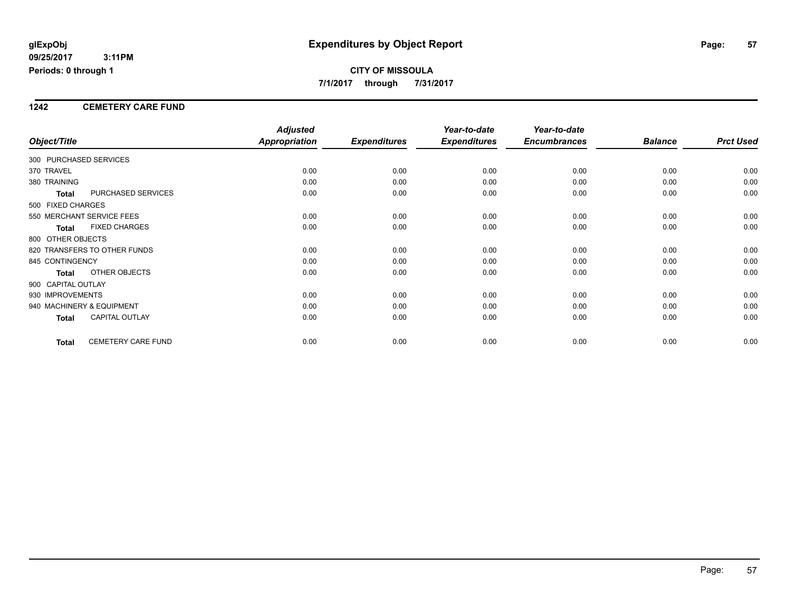#### **1242 CEMETERY CARE FUND**

|                        |                              | <b>Adjusted</b>      |                     | Year-to-date        | Year-to-date        |                |                  |
|------------------------|------------------------------|----------------------|---------------------|---------------------|---------------------|----------------|------------------|
| Object/Title           |                              | <b>Appropriation</b> | <b>Expenditures</b> | <b>Expenditures</b> | <b>Encumbrances</b> | <b>Balance</b> | <b>Prct Used</b> |
| 300 PURCHASED SERVICES |                              |                      |                     |                     |                     |                |                  |
| 370 TRAVEL             |                              | 0.00                 | 0.00                | 0.00                | 0.00                | 0.00           | 0.00             |
| 380 TRAINING           |                              | 0.00                 | 0.00                | 0.00                | 0.00                | 0.00           | 0.00             |
| Total                  | PURCHASED SERVICES           | 0.00                 | 0.00                | 0.00                | 0.00                | 0.00           | 0.00             |
| 500 FIXED CHARGES      |                              |                      |                     |                     |                     |                |                  |
|                        | 550 MERCHANT SERVICE FEES    | 0.00                 | 0.00                | 0.00                | 0.00                | 0.00           | 0.00             |
| Total                  | <b>FIXED CHARGES</b>         | 0.00                 | 0.00                | 0.00                | 0.00                | 0.00           | 0.00             |
| 800 OTHER OBJECTS      |                              |                      |                     |                     |                     |                |                  |
|                        | 820 TRANSFERS TO OTHER FUNDS | 0.00                 | 0.00                | 0.00                | 0.00                | 0.00           | 0.00             |
| 845 CONTINGENCY        |                              | 0.00                 | 0.00                | 0.00                | 0.00                | 0.00           | 0.00             |
| Total                  | OTHER OBJECTS                | 0.00                 | 0.00                | 0.00                | 0.00                | 0.00           | 0.00             |
| 900 CAPITAL OUTLAY     |                              |                      |                     |                     |                     |                |                  |
| 930 IMPROVEMENTS       |                              | 0.00                 | 0.00                | 0.00                | 0.00                | 0.00           | 0.00             |
|                        | 940 MACHINERY & EQUIPMENT    | 0.00                 | 0.00                | 0.00                | 0.00                | 0.00           | 0.00             |
| <b>Total</b>           | <b>CAPITAL OUTLAY</b>        | 0.00                 | 0.00                | 0.00                | 0.00                | 0.00           | 0.00             |
| <b>Total</b>           | <b>CEMETERY CARE FUND</b>    | 0.00                 | 0.00                | 0.00                | 0.00                | 0.00           | 0.00             |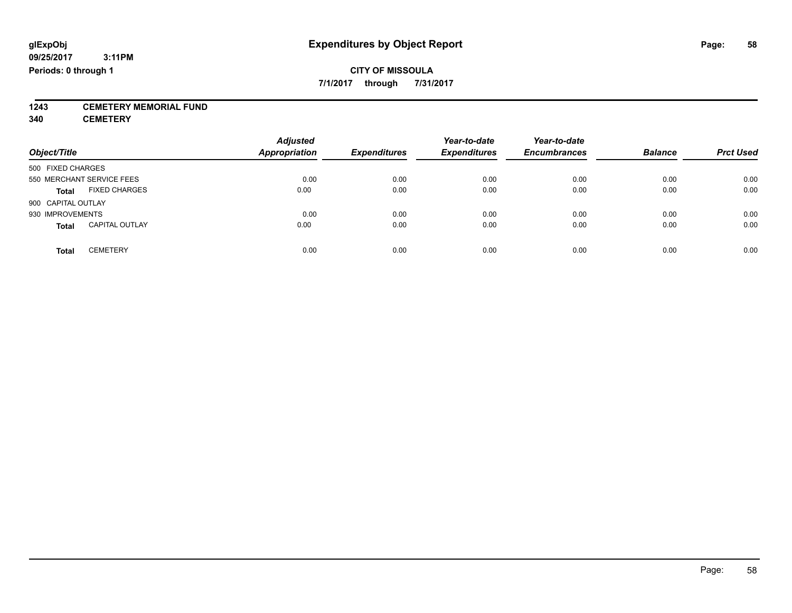**7/1/2017 through 7/31/2017**

# **1243 CEMETERY MEMORIAL FUND**

**340 CEMETERY**

| Object/Title                          | <b>Adjusted</b><br><b>Appropriation</b> | <b>Expenditures</b> | Year-to-date<br><b>Expenditures</b> | Year-to-date<br><b>Encumbrances</b> | <b>Balance</b> | <b>Prct Used</b> |
|---------------------------------------|-----------------------------------------|---------------------|-------------------------------------|-------------------------------------|----------------|------------------|
| 500 FIXED CHARGES                     |                                         |                     |                                     |                                     |                |                  |
| 550 MERCHANT SERVICE FEES             | 0.00                                    | 0.00                | 0.00                                | 0.00                                | 0.00           | 0.00             |
| <b>FIXED CHARGES</b><br><b>Total</b>  | 0.00                                    | 0.00                | 0.00                                | 0.00                                | 0.00           | 0.00             |
| 900 CAPITAL OUTLAY                    |                                         |                     |                                     |                                     |                |                  |
| 930 IMPROVEMENTS                      | 0.00                                    | 0.00                | 0.00                                | 0.00                                | 0.00           | 0.00             |
| <b>CAPITAL OUTLAY</b><br><b>Total</b> | 0.00                                    | 0.00                | 0.00                                | 0.00                                | 0.00           | 0.00             |
| <b>CEMETERY</b><br><b>Total</b>       | 0.00                                    | 0.00                | 0.00                                | 0.00                                | 0.00           | 0.00             |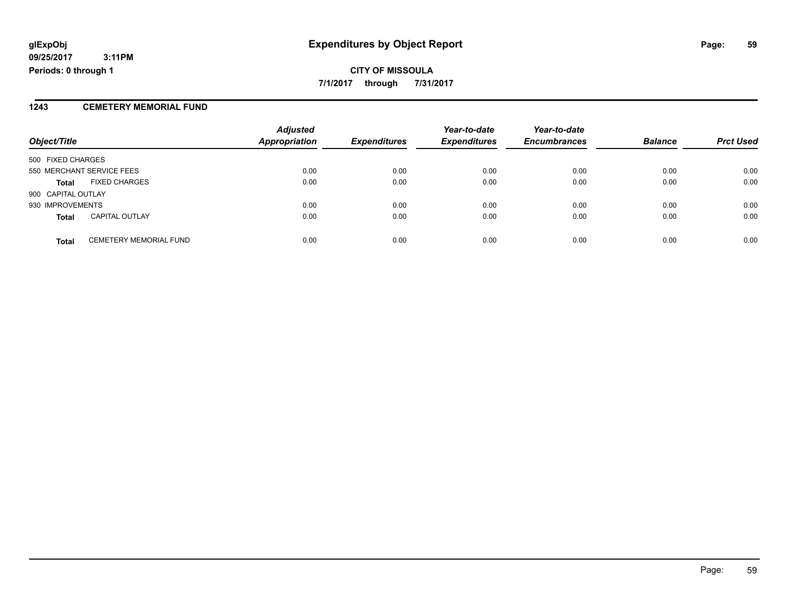### **CITY OF MISSOULA 7/1/2017 through 7/31/2017**

#### **1243 CEMETERY MEMORIAL FUND**

| Object/Title       |                               | <b>Adjusted</b><br><b>Appropriation</b> | <b>Expenditures</b> | Year-to-date<br><b>Expenditures</b> | Year-to-date<br><b>Encumbrances</b> | <b>Balance</b> | <b>Prct Used</b> |
|--------------------|-------------------------------|-----------------------------------------|---------------------|-------------------------------------|-------------------------------------|----------------|------------------|
| 500 FIXED CHARGES  |                               |                                         |                     |                                     |                                     |                |                  |
|                    | 550 MERCHANT SERVICE FEES     | 0.00                                    | 0.00                | 0.00                                | 0.00                                | 0.00           | 0.00             |
| <b>Total</b>       | <b>FIXED CHARGES</b>          | 0.00                                    | 0.00                | 0.00                                | 0.00                                | 0.00           | 0.00             |
| 900 CAPITAL OUTLAY |                               |                                         |                     |                                     |                                     |                |                  |
| 930 IMPROVEMENTS   |                               | 0.00                                    | 0.00                | 0.00                                | 0.00                                | 0.00           | 0.00             |
| <b>Total</b>       | <b>CAPITAL OUTLAY</b>         | 0.00                                    | 0.00                | 0.00                                | 0.00                                | 0.00           | 0.00             |
| <b>Total</b>       | <b>CEMETERY MEMORIAL FUND</b> | 0.00                                    | 0.00                | 0.00                                | 0.00                                | 0.00           | 0.00             |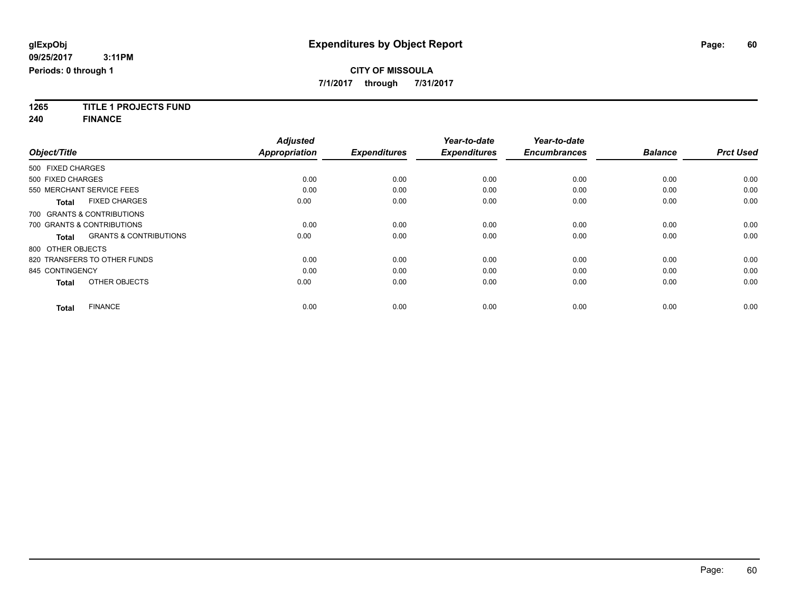**7/1/2017 through 7/31/2017**

**1265 TITLE 1 PROJECTS FUND**

**240 FINANCE**

|                                                   | <b>Adjusted</b>      |                     | Year-to-date        | Year-to-date        |                |                  |
|---------------------------------------------------|----------------------|---------------------|---------------------|---------------------|----------------|------------------|
| Object/Title                                      | <b>Appropriation</b> | <b>Expenditures</b> | <b>Expenditures</b> | <b>Encumbrances</b> | <b>Balance</b> | <b>Prct Used</b> |
| 500 FIXED CHARGES                                 |                      |                     |                     |                     |                |                  |
| 500 FIXED CHARGES                                 | 0.00                 | 0.00                | 0.00                | 0.00                | 0.00           | 0.00             |
| 550 MERCHANT SERVICE FEES                         | 0.00                 | 0.00                | 0.00                | 0.00                | 0.00           | 0.00             |
| <b>FIXED CHARGES</b><br><b>Total</b>              | 0.00                 | 0.00                | 0.00                | 0.00                | 0.00           | 0.00             |
| 700 GRANTS & CONTRIBUTIONS                        |                      |                     |                     |                     |                |                  |
| 700 GRANTS & CONTRIBUTIONS                        | 0.00                 | 0.00                | 0.00                | 0.00                | 0.00           | 0.00             |
| <b>GRANTS &amp; CONTRIBUTIONS</b><br><b>Total</b> | 0.00                 | 0.00                | 0.00                | 0.00                | 0.00           | 0.00             |
| 800 OTHER OBJECTS                                 |                      |                     |                     |                     |                |                  |
| 820 TRANSFERS TO OTHER FUNDS                      | 0.00                 | 0.00                | 0.00                | 0.00                | 0.00           | 0.00             |
| 845 CONTINGENCY                                   | 0.00                 | 0.00                | 0.00                | 0.00                | 0.00           | 0.00             |
| OTHER OBJECTS<br><b>Total</b>                     | 0.00                 | 0.00                | 0.00                | 0.00                | 0.00           | 0.00             |
|                                                   |                      |                     |                     |                     |                |                  |
| <b>FINANCE</b><br><b>Total</b>                    | 0.00                 | 0.00                | 0.00                | 0.00                | 0.00           | 0.00             |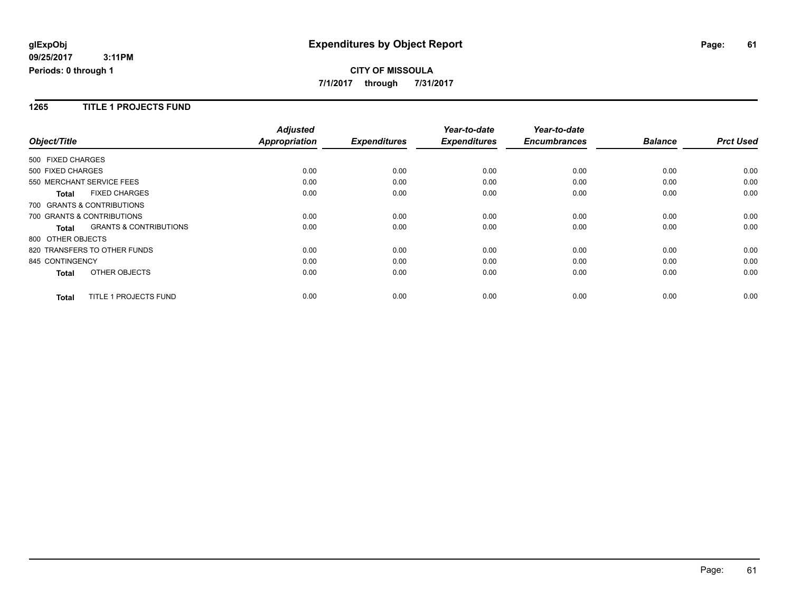#### **1265 TITLE 1 PROJECTS FUND**

|                                                   | <b>Adjusted</b>      |                     | Year-to-date        | Year-to-date        |                |                  |
|---------------------------------------------------|----------------------|---------------------|---------------------|---------------------|----------------|------------------|
| Object/Title                                      | <b>Appropriation</b> | <b>Expenditures</b> | <b>Expenditures</b> | <b>Encumbrances</b> | <b>Balance</b> | <b>Prct Used</b> |
| 500 FIXED CHARGES                                 |                      |                     |                     |                     |                |                  |
| 500 FIXED CHARGES                                 | 0.00                 | 0.00                | 0.00                | 0.00                | 0.00           | 0.00             |
| 550 MERCHANT SERVICE FEES                         | 0.00                 | 0.00                | 0.00                | 0.00                | 0.00           | 0.00             |
| <b>FIXED CHARGES</b><br><b>Total</b>              | 0.00                 | 0.00                | 0.00                | 0.00                | 0.00           | 0.00             |
| 700 GRANTS & CONTRIBUTIONS                        |                      |                     |                     |                     |                |                  |
| 700 GRANTS & CONTRIBUTIONS                        | 0.00                 | 0.00                | 0.00                | 0.00                | 0.00           | 0.00             |
| <b>GRANTS &amp; CONTRIBUTIONS</b><br><b>Total</b> | 0.00                 | 0.00                | 0.00                | 0.00                | 0.00           | 0.00             |
| 800 OTHER OBJECTS                                 |                      |                     |                     |                     |                |                  |
| 820 TRANSFERS TO OTHER FUNDS                      | 0.00                 | 0.00                | 0.00                | 0.00                | 0.00           | 0.00             |
| 845 CONTINGENCY                                   | 0.00                 | 0.00                | 0.00                | 0.00                | 0.00           | 0.00             |
| <b>OTHER OBJECTS</b><br><b>Total</b>              | 0.00                 | 0.00                | 0.00                | 0.00                | 0.00           | 0.00             |
| <b>TITLE 1 PROJECTS FUND</b><br><b>Total</b>      | 0.00                 | 0.00                | 0.00                | 0.00                | 0.00           | 0.00             |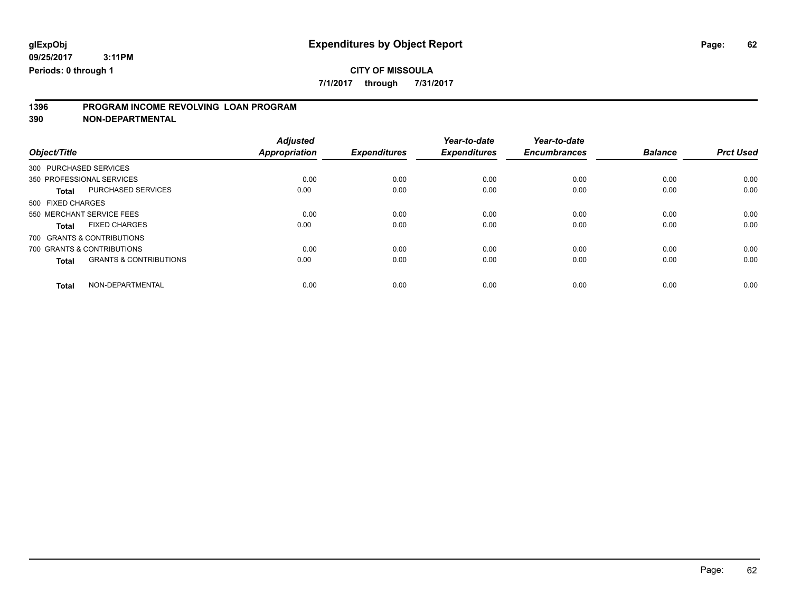**7/1/2017 through 7/31/2017**

# **1396 PROGRAM INCOME REVOLVING LOAN PROGRAM**

**390 NON-DEPARTMENTAL**

|                                   | <b>Adjusted</b> |                              | Year-to-date | Year-to-date                |                             |                        |
|-----------------------------------|-----------------|------------------------------|--------------|-----------------------------|-----------------------------|------------------------|
|                                   |                 | <b>Expenditures</b>          |              |                             |                             | <b>Prct Used</b>       |
| 300 PURCHASED SERVICES            |                 |                              |              |                             |                             |                        |
| 350 PROFESSIONAL SERVICES         | 0.00            | 0.00                         | 0.00         | 0.00                        | 0.00                        | 0.00                   |
| <b>PURCHASED SERVICES</b>         | 0.00            | 0.00                         | 0.00         | 0.00                        | 0.00                        | 0.00                   |
| 500 FIXED CHARGES                 |                 |                              |              |                             |                             |                        |
| 550 MERCHANT SERVICE FEES         | 0.00            | 0.00                         | 0.00         | 0.00                        | 0.00                        | 0.00                   |
| <b>FIXED CHARGES</b>              | 0.00            | 0.00                         | 0.00         | 0.00                        | 0.00                        | 0.00                   |
| 700 GRANTS & CONTRIBUTIONS        |                 |                              |              |                             |                             |                        |
| 700 GRANTS & CONTRIBUTIONS        | 0.00            | 0.00                         | 0.00         | 0.00                        | 0.00                        | 0.00                   |
| <b>GRANTS &amp; CONTRIBUTIONS</b> | 0.00            | 0.00                         | 0.00         | 0.00                        | 0.00                        | 0.00                   |
| NON-DEPARTMENTAL                  |                 |                              |              |                             |                             | 0.00                   |
| Object/Title                      |                 | <b>Appropriation</b><br>0.00 | 0.00         | <b>Expenditures</b><br>0.00 | <b>Encumbrances</b><br>0.00 | <b>Balance</b><br>0.00 |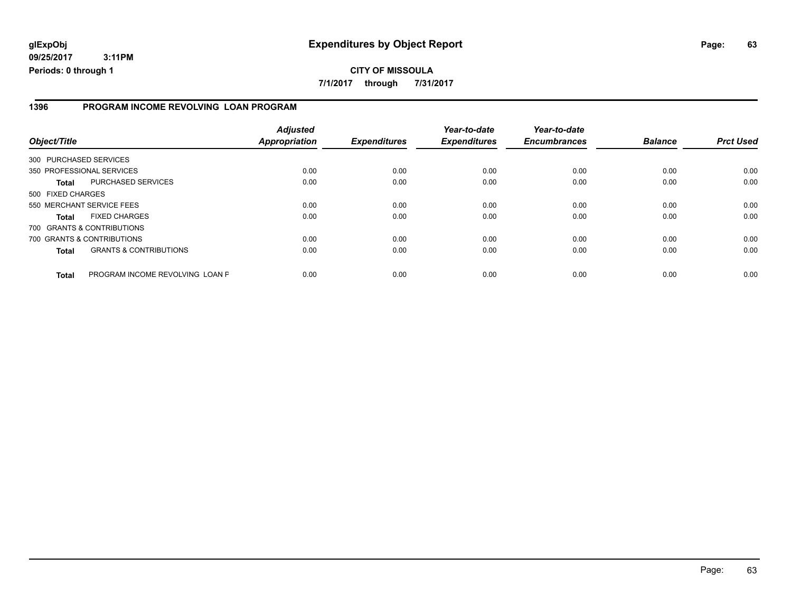### **CITY OF MISSOULA 7/1/2017 through 7/31/2017**

#### **1396 PROGRAM INCOME REVOLVING LOAN PROGRAM**

| Object/Title           |                                   | <b>Adjusted</b><br><b>Appropriation</b> | <b>Expenditures</b> | Year-to-date<br><b>Expenditures</b> | Year-to-date<br><b>Encumbrances</b> | <b>Balance</b> | <b>Prct Used</b> |
|------------------------|-----------------------------------|-----------------------------------------|---------------------|-------------------------------------|-------------------------------------|----------------|------------------|
| 300 PURCHASED SERVICES |                                   |                                         |                     |                                     |                                     |                |                  |
|                        | 350 PROFESSIONAL SERVICES         | 0.00                                    | 0.00                | 0.00                                | 0.00                                | 0.00           | 0.00             |
| <b>Total</b>           | PURCHASED SERVICES                | 0.00                                    | 0.00                | 0.00                                | 0.00                                | 0.00           | 0.00             |
| 500 FIXED CHARGES      |                                   |                                         |                     |                                     |                                     |                |                  |
|                        | 550 MERCHANT SERVICE FEES         | 0.00                                    | 0.00                | 0.00                                | 0.00                                | 0.00           | 0.00             |
| <b>Total</b>           | <b>FIXED CHARGES</b>              | 0.00                                    | 0.00                | 0.00                                | 0.00                                | 0.00           | 0.00             |
|                        | 700 GRANTS & CONTRIBUTIONS        |                                         |                     |                                     |                                     |                |                  |
|                        | 700 GRANTS & CONTRIBUTIONS        | 0.00                                    | 0.00                | 0.00                                | 0.00                                | 0.00           | 0.00             |
| Total                  | <b>GRANTS &amp; CONTRIBUTIONS</b> | 0.00                                    | 0.00                | 0.00                                | 0.00                                | 0.00           | 0.00             |
| <b>Total</b>           | PROGRAM INCOME REVOLVING LOAN P   | 0.00                                    | 0.00                | 0.00                                | 0.00                                | 0.00           | 0.00             |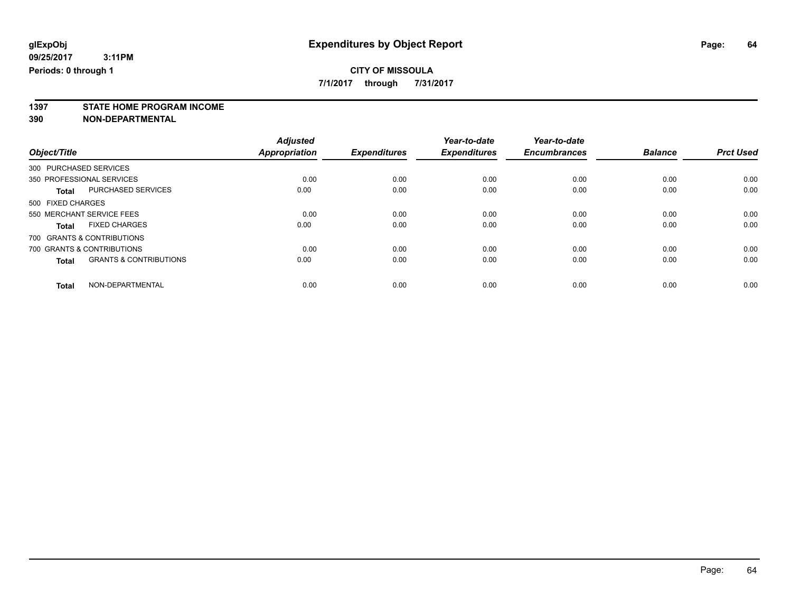**7/1/2017 through 7/31/2017**

# **1397 STATE HOME PROGRAM INCOME**

**390 NON-DEPARTMENTAL**

|                        |                                   | <b>Adjusted</b> |                     | Year-to-date        | Year-to-date        |                |                  |
|------------------------|-----------------------------------|-----------------|---------------------|---------------------|---------------------|----------------|------------------|
| Object/Title           |                                   | Appropriation   | <b>Expenditures</b> | <b>Expenditures</b> | <b>Encumbrances</b> | <b>Balance</b> | <b>Prct Used</b> |
| 300 PURCHASED SERVICES |                                   |                 |                     |                     |                     |                |                  |
|                        | 350 PROFESSIONAL SERVICES         | 0.00            | 0.00                | 0.00                | 0.00                | 0.00           | 0.00             |
| <b>Total</b>           | <b>PURCHASED SERVICES</b>         | 0.00            | 0.00                | 0.00                | 0.00                | 0.00           | 0.00             |
| 500 FIXED CHARGES      |                                   |                 |                     |                     |                     |                |                  |
|                        | 550 MERCHANT SERVICE FEES         | 0.00            | 0.00                | 0.00                | 0.00                | 0.00           | 0.00             |
| <b>Total</b>           | <b>FIXED CHARGES</b>              | 0.00            | 0.00                | 0.00                | 0.00                | 0.00           | 0.00             |
|                        | 700 GRANTS & CONTRIBUTIONS        |                 |                     |                     |                     |                |                  |
|                        | 700 GRANTS & CONTRIBUTIONS        | 0.00            | 0.00                | 0.00                | 0.00                | 0.00           | 0.00             |
| <b>Total</b>           | <b>GRANTS &amp; CONTRIBUTIONS</b> | 0.00            | 0.00                | 0.00                | 0.00                | 0.00           | 0.00             |
| <b>Total</b>           | NON-DEPARTMENTAL                  | 0.00            | 0.00                | 0.00                | 0.00                | 0.00           | 0.00             |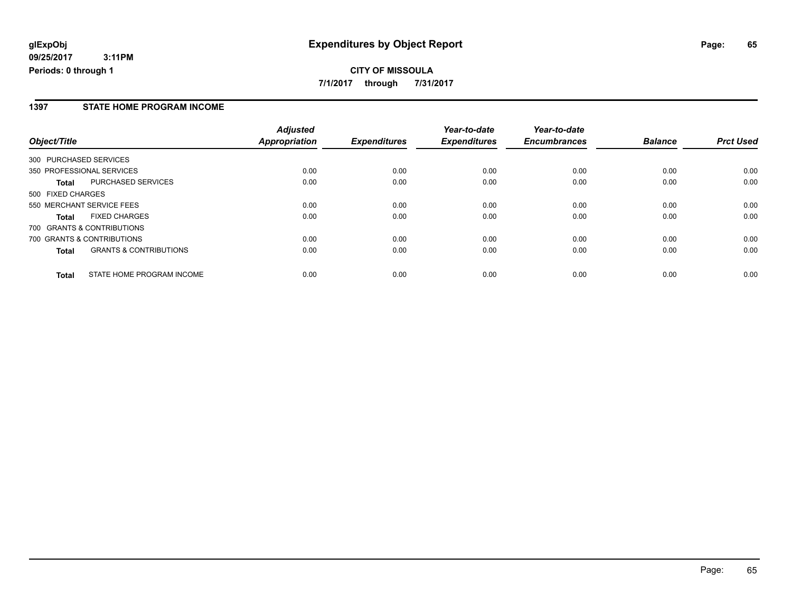#### **1397 STATE HOME PROGRAM INCOME**

|                   |                                   | <b>Adjusted</b>      |                     | Year-to-date        | Year-to-date        |                |                  |
|-------------------|-----------------------------------|----------------------|---------------------|---------------------|---------------------|----------------|------------------|
| Object/Title      |                                   | <b>Appropriation</b> | <b>Expenditures</b> | <b>Expenditures</b> | <b>Encumbrances</b> | <b>Balance</b> | <b>Prct Used</b> |
|                   | 300 PURCHASED SERVICES            |                      |                     |                     |                     |                |                  |
|                   | 350 PROFESSIONAL SERVICES         | 0.00                 | 0.00                | 0.00                | 0.00                | 0.00           | 0.00             |
| Total             | PURCHASED SERVICES                | 0.00                 | 0.00                | 0.00                | 0.00                | 0.00           | 0.00             |
| 500 FIXED CHARGES |                                   |                      |                     |                     |                     |                |                  |
|                   | 550 MERCHANT SERVICE FEES         | 0.00                 | 0.00                | 0.00                | 0.00                | 0.00           | 0.00             |
| <b>Total</b>      | <b>FIXED CHARGES</b>              | 0.00                 | 0.00                | 0.00                | 0.00                | 0.00           | 0.00             |
|                   | 700 GRANTS & CONTRIBUTIONS        |                      |                     |                     |                     |                |                  |
|                   | 700 GRANTS & CONTRIBUTIONS        | 0.00                 | 0.00                | 0.00                | 0.00                | 0.00           | 0.00             |
| <b>Total</b>      | <b>GRANTS &amp; CONTRIBUTIONS</b> | 0.00                 | 0.00                | 0.00                | 0.00                | 0.00           | 0.00             |
| <b>Total</b>      | STATE HOME PROGRAM INCOME         | 0.00                 | 0.00                | 0.00                | 0.00                | 0.00           | 0.00             |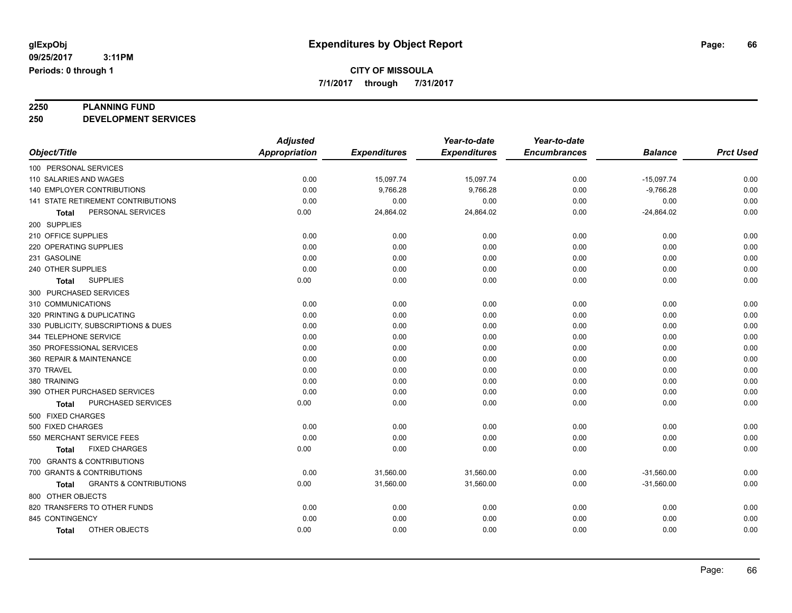**7/1/2017 through 7/31/2017**

# **2250 PLANNING FUND**

**250 DEVELOPMENT SERVICES**

|                                            | <b>Adjusted</b>      |                     | Year-to-date        | Year-to-date        |                |                  |
|--------------------------------------------|----------------------|---------------------|---------------------|---------------------|----------------|------------------|
| Object/Title                               | <b>Appropriation</b> | <b>Expenditures</b> | <b>Expenditures</b> | <b>Encumbrances</b> | <b>Balance</b> | <b>Prct Used</b> |
| 100 PERSONAL SERVICES                      |                      |                     |                     |                     |                |                  |
| 110 SALARIES AND WAGES                     | 0.00                 | 15,097.74           | 15,097.74           | 0.00                | $-15,097.74$   | 0.00             |
| 140 EMPLOYER CONTRIBUTIONS                 | 0.00                 | 9,766.28            | 9,766.28            | 0.00                | $-9,766.28$    | 0.00             |
| 141 STATE RETIREMENT CONTRIBUTIONS         | 0.00                 | 0.00                | 0.00                | 0.00                | 0.00           | 0.00             |
| PERSONAL SERVICES<br><b>Total</b>          | 0.00                 | 24,864.02           | 24,864.02           | 0.00                | $-24,864.02$   | 0.00             |
| 200 SUPPLIES                               |                      |                     |                     |                     |                |                  |
| 210 OFFICE SUPPLIES                        | 0.00                 | 0.00                | 0.00                | 0.00                | 0.00           | 0.00             |
| 220 OPERATING SUPPLIES                     | 0.00                 | 0.00                | 0.00                | 0.00                | 0.00           | 0.00             |
| 231 GASOLINE                               | 0.00                 | 0.00                | 0.00                | 0.00                | 0.00           | 0.00             |
| 240 OTHER SUPPLIES                         | 0.00                 | 0.00                | 0.00                | 0.00                | 0.00           | 0.00             |
| <b>SUPPLIES</b><br><b>Total</b>            | 0.00                 | 0.00                | 0.00                | 0.00                | 0.00           | 0.00             |
| 300 PURCHASED SERVICES                     |                      |                     |                     |                     |                |                  |
| 310 COMMUNICATIONS                         | 0.00                 | 0.00                | 0.00                | 0.00                | 0.00           | 0.00             |
| 320 PRINTING & DUPLICATING                 | 0.00                 | 0.00                | 0.00                | 0.00                | 0.00           | 0.00             |
| 330 PUBLICITY, SUBSCRIPTIONS & DUES        | 0.00                 | 0.00                | 0.00                | 0.00                | 0.00           | 0.00             |
| 344 TELEPHONE SERVICE                      | 0.00                 | 0.00                | 0.00                | 0.00                | 0.00           | 0.00             |
| 350 PROFESSIONAL SERVICES                  | 0.00                 | 0.00                | 0.00                | 0.00                | 0.00           | 0.00             |
| 360 REPAIR & MAINTENANCE                   | 0.00                 | 0.00                | 0.00                | 0.00                | 0.00           | 0.00             |
| 370 TRAVEL                                 | 0.00                 | 0.00                | 0.00                | 0.00                | 0.00           | 0.00             |
| 380 TRAINING                               | 0.00                 | 0.00                | 0.00                | 0.00                | 0.00           | 0.00             |
| 390 OTHER PURCHASED SERVICES               | 0.00                 | 0.00                | 0.00                | 0.00                | 0.00           | 0.00             |
| PURCHASED SERVICES<br><b>Total</b>         | 0.00                 | 0.00                | 0.00                | 0.00                | 0.00           | 0.00             |
| 500 FIXED CHARGES                          |                      |                     |                     |                     |                |                  |
| 500 FIXED CHARGES                          | 0.00                 | 0.00                | 0.00                | 0.00                | 0.00           | 0.00             |
| 550 MERCHANT SERVICE FEES                  | 0.00                 | 0.00                | 0.00                | 0.00                | 0.00           | 0.00             |
| <b>FIXED CHARGES</b><br><b>Total</b>       | 0.00                 | 0.00                | 0.00                | 0.00                | 0.00           | 0.00             |
| 700 GRANTS & CONTRIBUTIONS                 |                      |                     |                     |                     |                |                  |
| 700 GRANTS & CONTRIBUTIONS                 | 0.00                 | 31,560.00           | 31,560.00           | 0.00                | $-31,560.00$   | 0.00             |
| <b>GRANTS &amp; CONTRIBUTIONS</b><br>Total | 0.00                 | 31,560.00           | 31,560.00           | 0.00                | $-31,560.00$   | 0.00             |
| 800 OTHER OBJECTS                          |                      |                     |                     |                     |                |                  |
| 820 TRANSFERS TO OTHER FUNDS               | 0.00                 | 0.00                | 0.00                | 0.00                | 0.00           | 0.00             |
| 845 CONTINGENCY                            | 0.00                 | 0.00                | 0.00                | 0.00                | 0.00           | 0.00             |
| OTHER OBJECTS<br><b>Total</b>              | 0.00                 | 0.00                | 0.00                | 0.00                | 0.00           | 0.00             |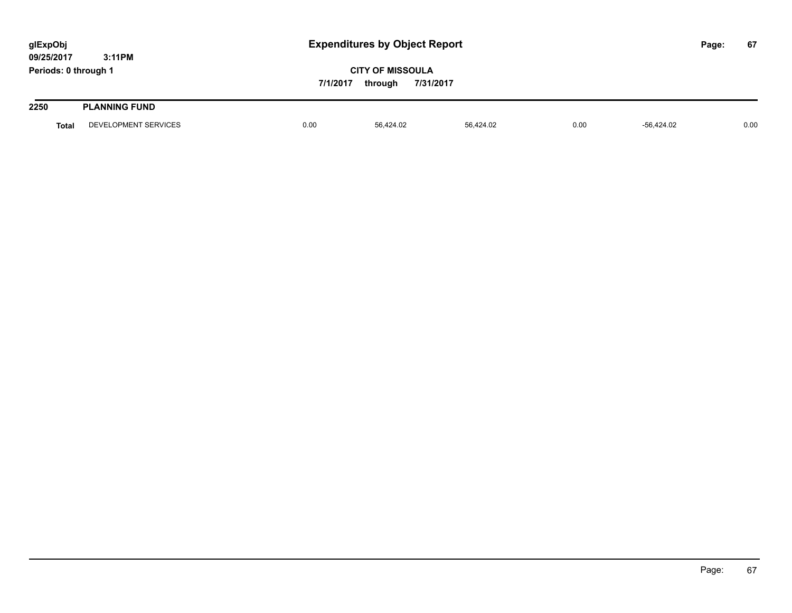| glExpObj<br>09/25/2017 | 3:11PM               | <b>Expenditures by Object Report</b> |                                                 |           |      |              | Page: | 67   |
|------------------------|----------------------|--------------------------------------|-------------------------------------------------|-----------|------|--------------|-------|------|
| Periods: 0 through 1   |                      | 7/1/2017                             | <b>CITY OF MISSOULA</b><br>7/31/2017<br>through |           |      |              |       |      |
| 2250                   | <b>PLANNING FUND</b> |                                      |                                                 |           |      |              |       |      |
| <b>Total</b>           | DEVELOPMENT SERVICES | 0.00                                 | 56,424.02                                       | 56,424.02 | 0.00 | $-56.424.02$ |       | 0.00 |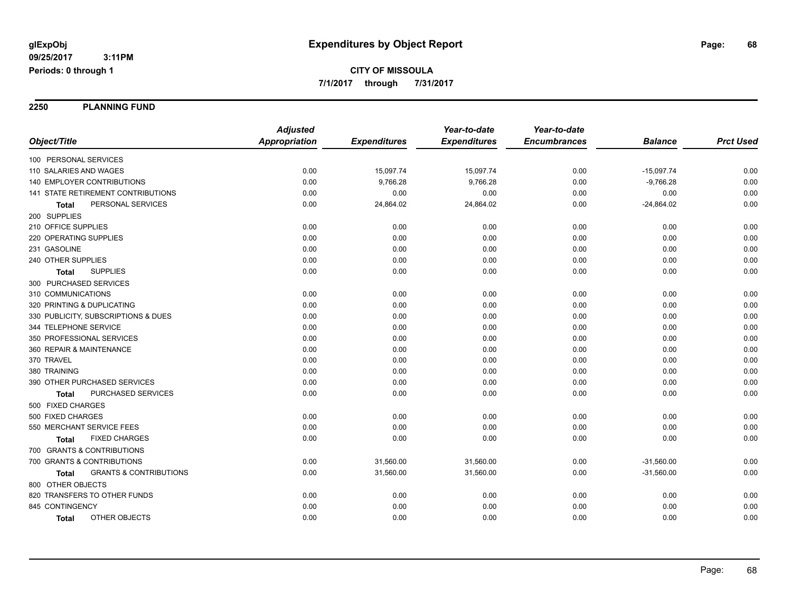**2250 PLANNING FUND**

|                                            | <b>Adjusted</b>      |                     | Year-to-date        | Year-to-date        |                |                  |
|--------------------------------------------|----------------------|---------------------|---------------------|---------------------|----------------|------------------|
| Object/Title                               | <b>Appropriation</b> | <b>Expenditures</b> | <b>Expenditures</b> | <b>Encumbrances</b> | <b>Balance</b> | <b>Prct Used</b> |
| 100 PERSONAL SERVICES                      |                      |                     |                     |                     |                |                  |
| 110 SALARIES AND WAGES                     | 0.00                 | 15,097.74           | 15,097.74           | 0.00                | $-15,097.74$   | 0.00             |
| <b>140 EMPLOYER CONTRIBUTIONS</b>          | 0.00                 | 9,766.28            | 9,766.28            | 0.00                | $-9,766.28$    | 0.00             |
| 141 STATE RETIREMENT CONTRIBUTIONS         | 0.00                 | 0.00                | 0.00                | 0.00                | 0.00           | 0.00             |
| PERSONAL SERVICES<br>Total                 | 0.00                 | 24,864.02           | 24,864.02           | 0.00                | $-24,864.02$   | 0.00             |
| 200 SUPPLIES                               |                      |                     |                     |                     |                |                  |
| 210 OFFICE SUPPLIES                        | 0.00                 | 0.00                | 0.00                | 0.00                | 0.00           | 0.00             |
| 220 OPERATING SUPPLIES                     | 0.00                 | 0.00                | 0.00                | 0.00                | 0.00           | 0.00             |
| 231 GASOLINE                               | 0.00                 | 0.00                | 0.00                | 0.00                | 0.00           | 0.00             |
| 240 OTHER SUPPLIES                         | 0.00                 | 0.00                | 0.00                | 0.00                | 0.00           | 0.00             |
| <b>SUPPLIES</b><br><b>Total</b>            | 0.00                 | 0.00                | 0.00                | 0.00                | 0.00           | 0.00             |
| 300 PURCHASED SERVICES                     |                      |                     |                     |                     |                |                  |
| 310 COMMUNICATIONS                         | 0.00                 | 0.00                | 0.00                | 0.00                | 0.00           | 0.00             |
| 320 PRINTING & DUPLICATING                 | 0.00                 | 0.00                | 0.00                | 0.00                | 0.00           | 0.00             |
| 330 PUBLICITY, SUBSCRIPTIONS & DUES        | 0.00                 | 0.00                | 0.00                | 0.00                | 0.00           | 0.00             |
| 344 TELEPHONE SERVICE                      | 0.00                 | 0.00                | 0.00                | 0.00                | 0.00           | 0.00             |
| 350 PROFESSIONAL SERVICES                  | 0.00                 | 0.00                | 0.00                | 0.00                | 0.00           | 0.00             |
| 360 REPAIR & MAINTENANCE                   | 0.00                 | 0.00                | 0.00                | 0.00                | 0.00           | 0.00             |
| 370 TRAVEL                                 | 0.00                 | 0.00                | 0.00                | 0.00                | 0.00           | 0.00             |
| 380 TRAINING                               | 0.00                 | 0.00                | 0.00                | 0.00                | 0.00           | 0.00             |
| 390 OTHER PURCHASED SERVICES               | 0.00                 | 0.00                | 0.00                | 0.00                | 0.00           | 0.00             |
| PURCHASED SERVICES<br>Total                | 0.00                 | 0.00                | 0.00                | 0.00                | 0.00           | 0.00             |
| 500 FIXED CHARGES                          |                      |                     |                     |                     |                |                  |
| 500 FIXED CHARGES                          | 0.00                 | 0.00                | 0.00                | 0.00                | 0.00           | 0.00             |
| 550 MERCHANT SERVICE FEES                  | 0.00                 | 0.00                | 0.00                | 0.00                | 0.00           | 0.00             |
| <b>FIXED CHARGES</b><br>Total              | 0.00                 | 0.00                | 0.00                | 0.00                | 0.00           | 0.00             |
| 700 GRANTS & CONTRIBUTIONS                 |                      |                     |                     |                     |                |                  |
| 700 GRANTS & CONTRIBUTIONS                 | 0.00                 | 31,560.00           | 31,560.00           | 0.00                | $-31,560.00$   | 0.00             |
| <b>GRANTS &amp; CONTRIBUTIONS</b><br>Total | 0.00                 | 31,560.00           | 31,560.00           | 0.00                | $-31,560.00$   | 0.00             |
| 800 OTHER OBJECTS                          |                      |                     |                     |                     |                |                  |
| 820 TRANSFERS TO OTHER FUNDS               | 0.00                 | 0.00                | 0.00                | 0.00                | 0.00           | 0.00             |
| 845 CONTINGENCY                            | 0.00                 | 0.00                | 0.00                | 0.00                | 0.00           | 0.00             |
| OTHER OBJECTS<br><b>Total</b>              | 0.00                 | 0.00                | 0.00                | 0.00                | 0.00           | 0.00             |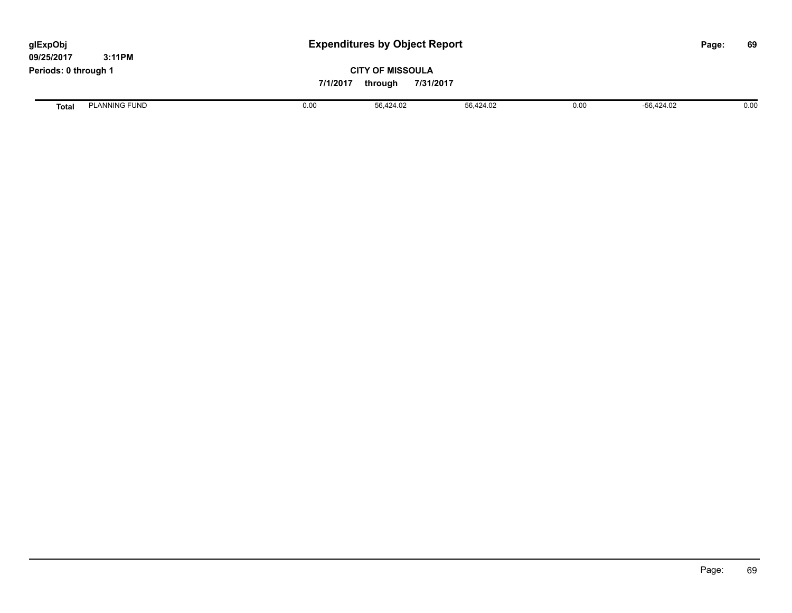| glExpObj<br>09/25/2017 | 3:11PM               | <b>Expenditures by Object Report</b>                        |           |           |      |            |  | 69   |
|------------------------|----------------------|-------------------------------------------------------------|-----------|-----------|------|------------|--|------|
| Periods: 0 through 1   |                      | <b>CITY OF MISSOULA</b><br>7/1/2017<br>7/31/2017<br>through |           |           |      |            |  |      |
| <b>Total</b>           | <b>PLANNING FUND</b> | 0.00                                                        | 56.424.02 | 56.424.02 | 0.00 | -56,424.02 |  | 0.00 |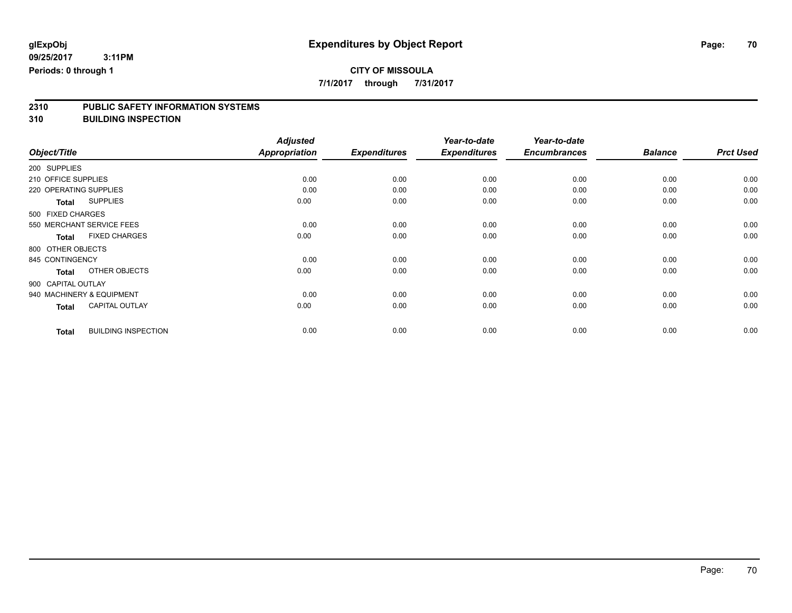**7/1/2017 through 7/31/2017**

# **2310 PUBLIC SAFETY INFORMATION SYSTEMS**

**310 BUILDING INSPECTION**

|              |                                            | <b>Adjusted</b> |                     | Year-to-date        | Year-to-date        |                |                  |
|--------------|--------------------------------------------|-----------------|---------------------|---------------------|---------------------|----------------|------------------|
| Object/Title |                                            | Appropriation   | <b>Expenditures</b> | <b>Expenditures</b> | <b>Encumbrances</b> | <b>Balance</b> | <b>Prct Used</b> |
| 200 SUPPLIES |                                            |                 |                     |                     |                     |                |                  |
|              | 210 OFFICE SUPPLIES                        | 0.00            | 0.00                | 0.00                | 0.00                | 0.00           | 0.00             |
|              | 220 OPERATING SUPPLIES                     | 0.00            | 0.00                | 0.00                | 0.00                | 0.00           | 0.00             |
|              | <b>SUPPLIES</b><br><b>Total</b>            | 0.00            | 0.00                | 0.00                | 0.00                | 0.00           | 0.00             |
|              | 500 FIXED CHARGES                          |                 |                     |                     |                     |                |                  |
|              | 550 MERCHANT SERVICE FEES                  | 0.00            | 0.00                | 0.00                | 0.00                | 0.00           | 0.00             |
|              | <b>FIXED CHARGES</b><br><b>Total</b>       | 0.00            | 0.00                | 0.00                | 0.00                | 0.00           | 0.00             |
|              | 800 OTHER OBJECTS                          |                 |                     |                     |                     |                |                  |
|              | 845 CONTINGENCY                            | 0.00            | 0.00                | 0.00                | 0.00                | 0.00           | 0.00             |
|              | OTHER OBJECTS<br><b>Total</b>              | 0.00            | 0.00                | 0.00                | 0.00                | 0.00           | 0.00             |
|              | 900 CAPITAL OUTLAY                         |                 |                     |                     |                     |                |                  |
|              | 940 MACHINERY & EQUIPMENT                  | 0.00            | 0.00                | 0.00                | 0.00                | 0.00           | 0.00             |
|              | <b>CAPITAL OUTLAY</b><br><b>Total</b>      | 0.00            | 0.00                | 0.00                | 0.00                | 0.00           | 0.00             |
|              | <b>BUILDING INSPECTION</b><br><b>Total</b> | 0.00            | 0.00                | 0.00                | 0.00                | 0.00           | 0.00             |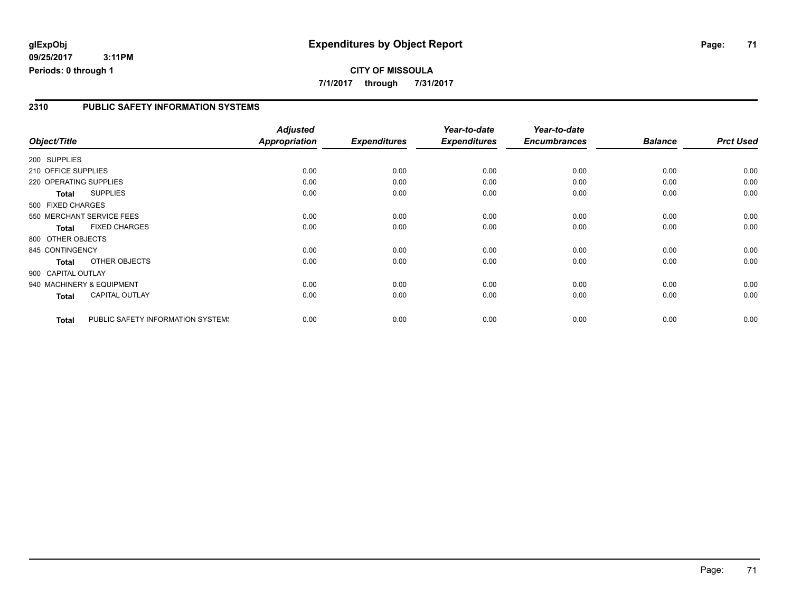#### **2310 PUBLIC SAFETY INFORMATION SYSTEMS**

|                        |                                   | <b>Adjusted</b>      |                     | Year-to-date        | Year-to-date        |                |                  |
|------------------------|-----------------------------------|----------------------|---------------------|---------------------|---------------------|----------------|------------------|
| Object/Title           |                                   | <b>Appropriation</b> | <b>Expenditures</b> | <b>Expenditures</b> | <b>Encumbrances</b> | <b>Balance</b> | <b>Prct Used</b> |
| 200 SUPPLIES           |                                   |                      |                     |                     |                     |                |                  |
| 210 OFFICE SUPPLIES    |                                   | 0.00                 | 0.00                | 0.00                | 0.00                | 0.00           | 0.00             |
| 220 OPERATING SUPPLIES |                                   | 0.00                 | 0.00                | 0.00                | 0.00                | 0.00           | 0.00             |
| Total                  | <b>SUPPLIES</b>                   | 0.00                 | 0.00                | 0.00                | 0.00                | 0.00           | 0.00             |
| 500 FIXED CHARGES      |                                   |                      |                     |                     |                     |                |                  |
|                        | 550 MERCHANT SERVICE FEES         | 0.00                 | 0.00                | 0.00                | 0.00                | 0.00           | 0.00             |
| <b>Total</b>           | <b>FIXED CHARGES</b>              | 0.00                 | 0.00                | 0.00                | 0.00                | 0.00           | 0.00             |
| 800 OTHER OBJECTS      |                                   |                      |                     |                     |                     |                |                  |
| 845 CONTINGENCY        |                                   | 0.00                 | 0.00                | 0.00                | 0.00                | 0.00           | 0.00             |
| <b>Total</b>           | OTHER OBJECTS                     | 0.00                 | 0.00                | 0.00                | 0.00                | 0.00           | 0.00             |
| 900 CAPITAL OUTLAY     |                                   |                      |                     |                     |                     |                |                  |
|                        | 940 MACHINERY & EQUIPMENT         | 0.00                 | 0.00                | 0.00                | 0.00                | 0.00           | 0.00             |
| Total                  | <b>CAPITAL OUTLAY</b>             | 0.00                 | 0.00                | 0.00                | 0.00                | 0.00           | 0.00             |
| <b>Total</b>           | PUBLIC SAFETY INFORMATION SYSTEM! | 0.00                 | 0.00                | 0.00                | 0.00                | 0.00           | 0.00             |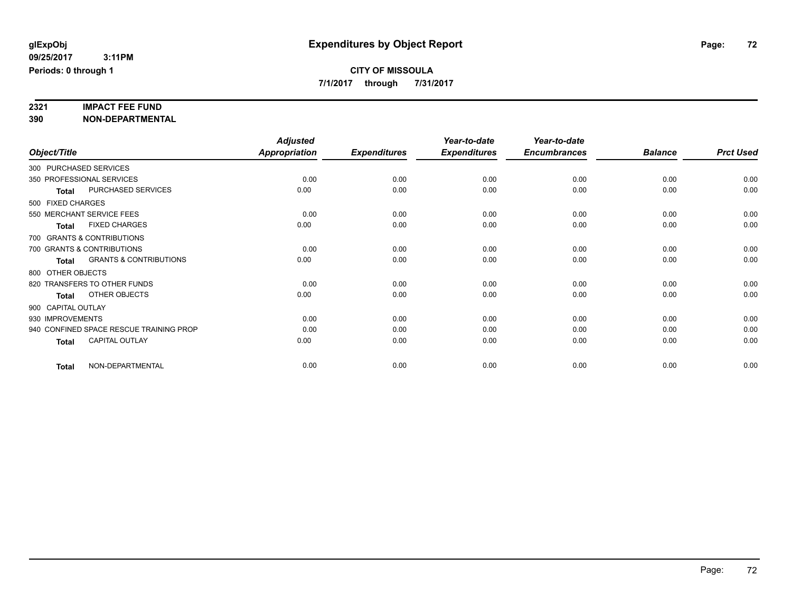**7/1/2017 through 7/31/2017**

# **2321 IMPACT FEE FUND**

**390 NON-DEPARTMENTAL**

|              |                                                   | <b>Adjusted</b>      |                     | Year-to-date        | Year-to-date        |                |                  |
|--------------|---------------------------------------------------|----------------------|---------------------|---------------------|---------------------|----------------|------------------|
| Object/Title |                                                   | <b>Appropriation</b> | <b>Expenditures</b> | <b>Expenditures</b> | <b>Encumbrances</b> | <b>Balance</b> | <b>Prct Used</b> |
|              | 300 PURCHASED SERVICES                            |                      |                     |                     |                     |                |                  |
|              | 350 PROFESSIONAL SERVICES                         | 0.00                 | 0.00                | 0.00                | 0.00                | 0.00           | 0.00             |
|              | PURCHASED SERVICES<br><b>Total</b>                | 0.00                 | 0.00                | 0.00                | 0.00                | 0.00           | 0.00             |
|              | 500 FIXED CHARGES                                 |                      |                     |                     |                     |                |                  |
|              | 550 MERCHANT SERVICE FEES                         | 0.00                 | 0.00                | 0.00                | 0.00                | 0.00           | 0.00             |
|              | <b>FIXED CHARGES</b><br><b>Total</b>              | 0.00                 | 0.00                | 0.00                | 0.00                | 0.00           | 0.00             |
|              | 700 GRANTS & CONTRIBUTIONS                        |                      |                     |                     |                     |                |                  |
|              | 700 GRANTS & CONTRIBUTIONS                        | 0.00                 | 0.00                | 0.00                | 0.00                | 0.00           | 0.00             |
|              | <b>GRANTS &amp; CONTRIBUTIONS</b><br><b>Total</b> | 0.00                 | 0.00                | 0.00                | 0.00                | 0.00           | 0.00             |
|              | 800 OTHER OBJECTS                                 |                      |                     |                     |                     |                |                  |
|              | 820 TRANSFERS TO OTHER FUNDS                      | 0.00                 | 0.00                | 0.00                | 0.00                | 0.00           | 0.00             |
|              | OTHER OBJECTS<br><b>Total</b>                     | 0.00                 | 0.00                | 0.00                | 0.00                | 0.00           | 0.00             |
|              | 900 CAPITAL OUTLAY                                |                      |                     |                     |                     |                |                  |
|              | 930 IMPROVEMENTS                                  | 0.00                 | 0.00                | 0.00                | 0.00                | 0.00           | 0.00             |
|              | 940 CONFINED SPACE RESCUE TRAINING PROP           | 0.00                 | 0.00                | 0.00                | 0.00                | 0.00           | 0.00             |
|              | <b>CAPITAL OUTLAY</b><br><b>Total</b>             | 0.00                 | 0.00                | 0.00                | 0.00                | 0.00           | 0.00             |
|              | NON-DEPARTMENTAL<br><b>Total</b>                  | 0.00                 | 0.00                | 0.00                | 0.00                | 0.00           | 0.00             |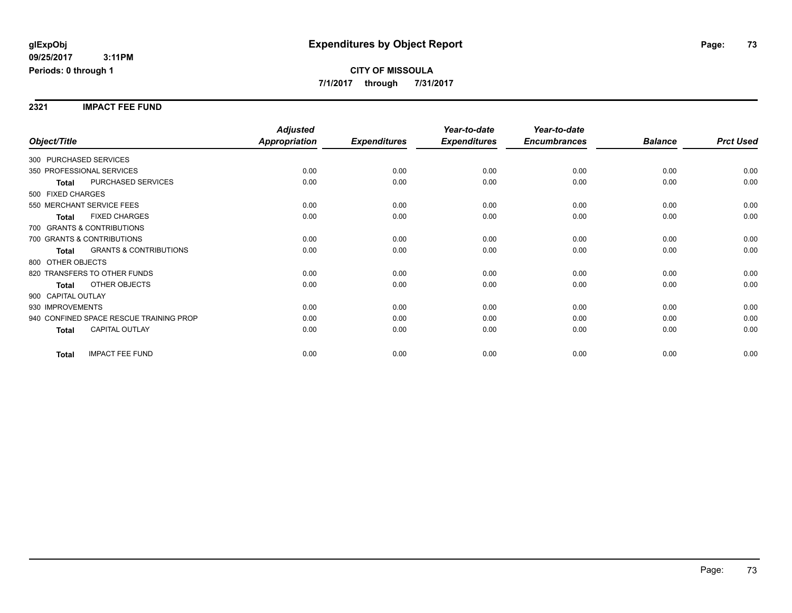**2321 IMPACT FEE FUND**

|                                         |                                   | <b>Adjusted</b>      |                     | Year-to-date        | Year-to-date        |                |                  |
|-----------------------------------------|-----------------------------------|----------------------|---------------------|---------------------|---------------------|----------------|------------------|
| Object/Title                            |                                   | <b>Appropriation</b> | <b>Expenditures</b> | <b>Expenditures</b> | <b>Encumbrances</b> | <b>Balance</b> | <b>Prct Used</b> |
| 300 PURCHASED SERVICES                  |                                   |                      |                     |                     |                     |                |                  |
| 350 PROFESSIONAL SERVICES               |                                   | 0.00                 | 0.00                | 0.00                | 0.00                | 0.00           | 0.00             |
| <b>Total</b>                            | PURCHASED SERVICES                | 0.00                 | 0.00                | 0.00                | 0.00                | 0.00           | 0.00             |
| 500 FIXED CHARGES                       |                                   |                      |                     |                     |                     |                |                  |
| 550 MERCHANT SERVICE FEES               |                                   | 0.00                 | 0.00                | 0.00                | 0.00                | 0.00           | 0.00             |
| Total                                   | <b>FIXED CHARGES</b>              | 0.00                 | 0.00                | 0.00                | 0.00                | 0.00           | 0.00             |
| 700 GRANTS & CONTRIBUTIONS              |                                   |                      |                     |                     |                     |                |                  |
| 700 GRANTS & CONTRIBUTIONS              |                                   | 0.00                 | 0.00                | 0.00                | 0.00                | 0.00           | 0.00             |
| <b>Total</b>                            | <b>GRANTS &amp; CONTRIBUTIONS</b> | 0.00                 | 0.00                | 0.00                | 0.00                | 0.00           | 0.00             |
| 800 OTHER OBJECTS                       |                                   |                      |                     |                     |                     |                |                  |
| 820 TRANSFERS TO OTHER FUNDS            |                                   | 0.00                 | 0.00                | 0.00                | 0.00                | 0.00           | 0.00             |
| <b>Total</b>                            | OTHER OBJECTS                     | 0.00                 | 0.00                | 0.00                | 0.00                | 0.00           | 0.00             |
| 900 CAPITAL OUTLAY                      |                                   |                      |                     |                     |                     |                |                  |
| 930 IMPROVEMENTS                        |                                   | 0.00                 | 0.00                | 0.00                | 0.00                | 0.00           | 0.00             |
| 940 CONFINED SPACE RESCUE TRAINING PROP |                                   | 0.00                 | 0.00                | 0.00                | 0.00                | 0.00           | 0.00             |
| <b>Total</b>                            | <b>CAPITAL OUTLAY</b>             | 0.00                 | 0.00                | 0.00                | 0.00                | 0.00           | 0.00             |
| <b>Total</b>                            | <b>IMPACT FEE FUND</b>            | 0.00                 | 0.00                | 0.00                | 0.00                | 0.00           | 0.00             |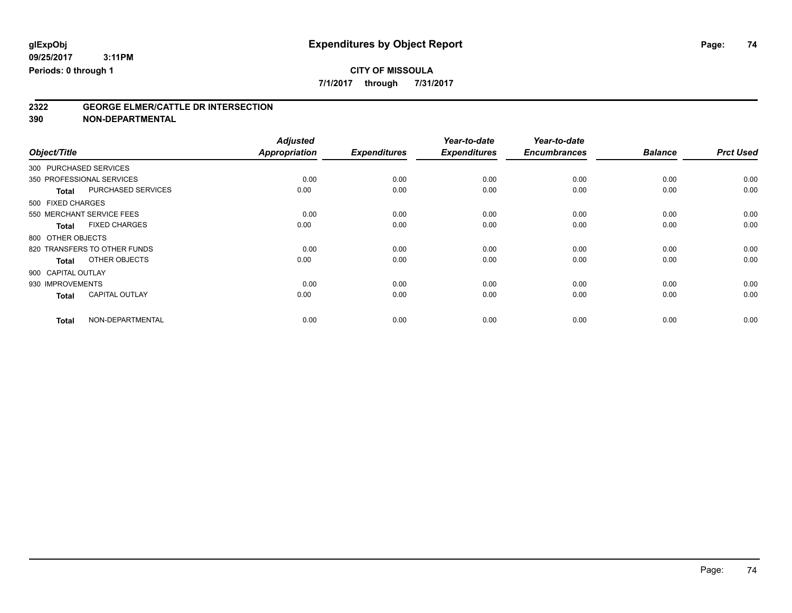**7/1/2017 through 7/31/2017**

# **2322 GEORGE ELMER/CATTLE DR INTERSECTION**

**390 NON-DEPARTMENTAL**

|                        |                              | <b>Adjusted</b> |                     | Year-to-date        | Year-to-date        |                |                  |
|------------------------|------------------------------|-----------------|---------------------|---------------------|---------------------|----------------|------------------|
| Object/Title           |                              | Appropriation   | <b>Expenditures</b> | <b>Expenditures</b> | <b>Encumbrances</b> | <b>Balance</b> | <b>Prct Used</b> |
| 300 PURCHASED SERVICES |                              |                 |                     |                     |                     |                |                  |
|                        | 350 PROFESSIONAL SERVICES    | 0.00            | 0.00                | 0.00                | 0.00                | 0.00           | 0.00             |
| <b>Total</b>           | PURCHASED SERVICES           | 0.00            | 0.00                | 0.00                | 0.00                | 0.00           | 0.00             |
| 500 FIXED CHARGES      |                              |                 |                     |                     |                     |                |                  |
|                        | 550 MERCHANT SERVICE FEES    | 0.00            | 0.00                | 0.00                | 0.00                | 0.00           | 0.00             |
| <b>Total</b>           | <b>FIXED CHARGES</b>         | 0.00            | 0.00                | 0.00                | 0.00                | 0.00           | 0.00             |
| 800 OTHER OBJECTS      |                              |                 |                     |                     |                     |                |                  |
|                        | 820 TRANSFERS TO OTHER FUNDS | 0.00            | 0.00                | 0.00                | 0.00                | 0.00           | 0.00             |
| <b>Total</b>           | OTHER OBJECTS                | 0.00            | 0.00                | 0.00                | 0.00                | 0.00           | 0.00             |
| 900 CAPITAL OUTLAY     |                              |                 |                     |                     |                     |                |                  |
| 930 IMPROVEMENTS       |                              | 0.00            | 0.00                | 0.00                | 0.00                | 0.00           | 0.00             |
| <b>Total</b>           | <b>CAPITAL OUTLAY</b>        | 0.00            | 0.00                | 0.00                | 0.00                | 0.00           | 0.00             |
| <b>Total</b>           | NON-DEPARTMENTAL             | 0.00            | 0.00                | 0.00                | 0.00                | 0.00           | 0.00             |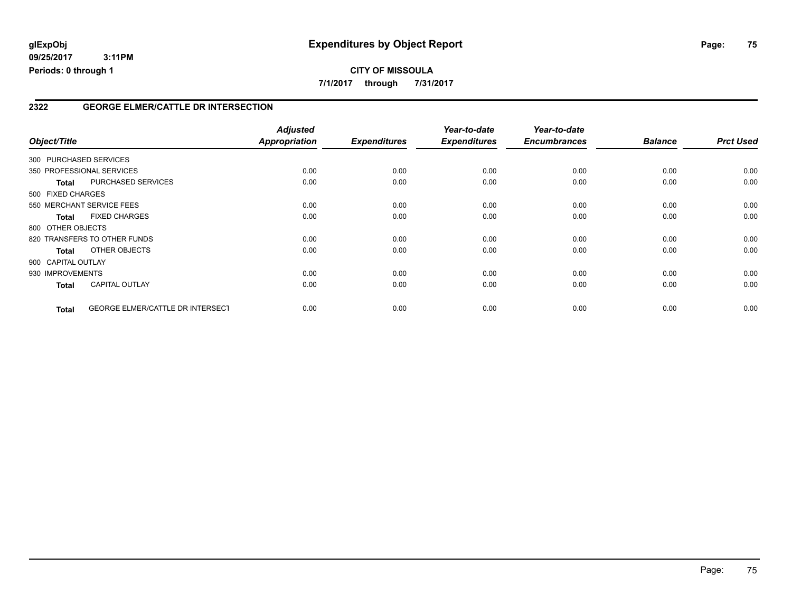#### **2322 GEORGE ELMER/CATTLE DR INTERSECTION**

| Object/Title           |                                         | <b>Adjusted</b><br><b>Appropriation</b> | <b>Expenditures</b> | Year-to-date<br><b>Expenditures</b> | Year-to-date<br><b>Encumbrances</b> | <b>Balance</b> | <b>Prct Used</b> |
|------------------------|-----------------------------------------|-----------------------------------------|---------------------|-------------------------------------|-------------------------------------|----------------|------------------|
| 300 PURCHASED SERVICES |                                         |                                         |                     |                                     |                                     |                |                  |
|                        | 350 PROFESSIONAL SERVICES               | 0.00                                    | 0.00                | 0.00                                | 0.00                                | 0.00           | 0.00             |
| <b>Total</b>           | PURCHASED SERVICES                      | 0.00                                    | 0.00                | 0.00                                | 0.00                                | 0.00           | 0.00             |
| 500 FIXED CHARGES      |                                         |                                         |                     |                                     |                                     |                |                  |
|                        | 550 MERCHANT SERVICE FEES               | 0.00                                    | 0.00                | 0.00                                | 0.00                                | 0.00           | 0.00             |
| <b>Total</b>           | <b>FIXED CHARGES</b>                    | 0.00                                    | 0.00                | 0.00                                | 0.00                                | 0.00           | 0.00             |
| 800 OTHER OBJECTS      |                                         |                                         |                     |                                     |                                     |                |                  |
|                        | 820 TRANSFERS TO OTHER FUNDS            | 0.00                                    | 0.00                | 0.00                                | 0.00                                | 0.00           | 0.00             |
| Total                  | OTHER OBJECTS                           | 0.00                                    | 0.00                | 0.00                                | 0.00                                | 0.00           | 0.00             |
| 900 CAPITAL OUTLAY     |                                         |                                         |                     |                                     |                                     |                |                  |
| 930 IMPROVEMENTS       |                                         | 0.00                                    | 0.00                | 0.00                                | 0.00                                | 0.00           | 0.00             |
| <b>Total</b>           | <b>CAPITAL OUTLAY</b>                   | 0.00                                    | 0.00                | 0.00                                | 0.00                                | 0.00           | 0.00             |
| <b>Total</b>           | <b>GEORGE ELMER/CATTLE DR INTERSECT</b> | 0.00                                    | 0.00                | 0.00                                | 0.00                                | 0.00           | 0.00             |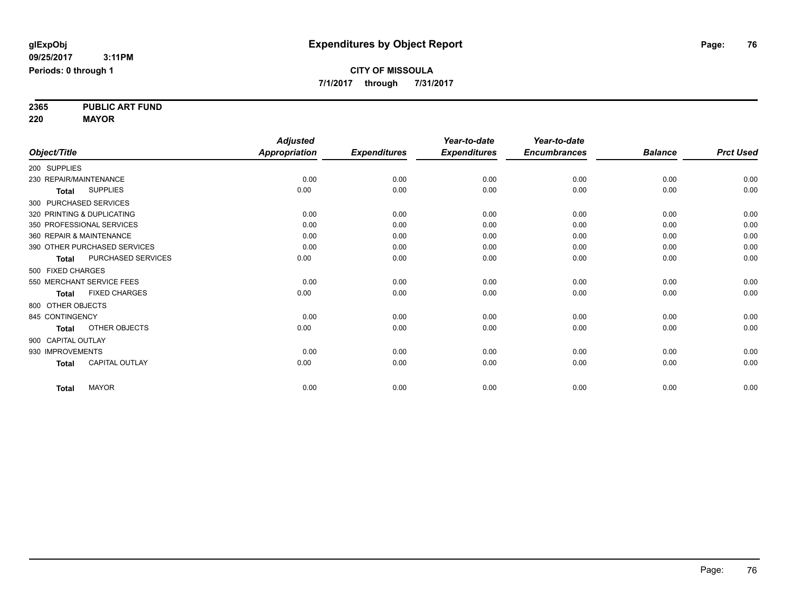**2365 PUBLIC ART FUND**

**220 MAYOR**

|                                      | <b>Adjusted</b>      |                     | Year-to-date        | Year-to-date        |                |                  |
|--------------------------------------|----------------------|---------------------|---------------------|---------------------|----------------|------------------|
| Object/Title                         | <b>Appropriation</b> | <b>Expenditures</b> | <b>Expenditures</b> | <b>Encumbrances</b> | <b>Balance</b> | <b>Prct Used</b> |
| 200 SUPPLIES                         |                      |                     |                     |                     |                |                  |
| 230 REPAIR/MAINTENANCE               | 0.00                 | 0.00                | 0.00                | 0.00                | 0.00           | 0.00             |
| <b>SUPPLIES</b><br>Total             | 0.00                 | 0.00                | 0.00                | 0.00                | 0.00           | 0.00             |
| 300 PURCHASED SERVICES               |                      |                     |                     |                     |                |                  |
| 320 PRINTING & DUPLICATING           | 0.00                 | 0.00                | 0.00                | 0.00                | 0.00           | 0.00             |
| 350 PROFESSIONAL SERVICES            | 0.00                 | 0.00                | 0.00                | 0.00                | 0.00           | 0.00             |
| 360 REPAIR & MAINTENANCE             | 0.00                 | 0.00                | 0.00                | 0.00                | 0.00           | 0.00             |
| 390 OTHER PURCHASED SERVICES         | 0.00                 | 0.00                | 0.00                | 0.00                | 0.00           | 0.00             |
| PURCHASED SERVICES<br><b>Total</b>   | 0.00                 | 0.00                | 0.00                | 0.00                | 0.00           | 0.00             |
| 500 FIXED CHARGES                    |                      |                     |                     |                     |                |                  |
| 550 MERCHANT SERVICE FEES            | 0.00                 | 0.00                | 0.00                | 0.00                | 0.00           | 0.00             |
| <b>FIXED CHARGES</b><br><b>Total</b> | 0.00                 | 0.00                | 0.00                | 0.00                | 0.00           | 0.00             |
| 800 OTHER OBJECTS                    |                      |                     |                     |                     |                |                  |
| 845 CONTINGENCY                      | 0.00                 | 0.00                | 0.00                | 0.00                | 0.00           | 0.00             |
| OTHER OBJECTS<br><b>Total</b>        | 0.00                 | 0.00                | 0.00                | 0.00                | 0.00           | 0.00             |
| 900 CAPITAL OUTLAY                   |                      |                     |                     |                     |                |                  |
| 930 IMPROVEMENTS                     | 0.00                 | 0.00                | 0.00                | 0.00                | 0.00           | 0.00             |
| CAPITAL OUTLAY<br><b>Total</b>       | 0.00                 | 0.00                | 0.00                | 0.00                | 0.00           | 0.00             |
| <b>MAYOR</b><br><b>Total</b>         | 0.00                 | 0.00                | 0.00                | 0.00                | 0.00           | 0.00             |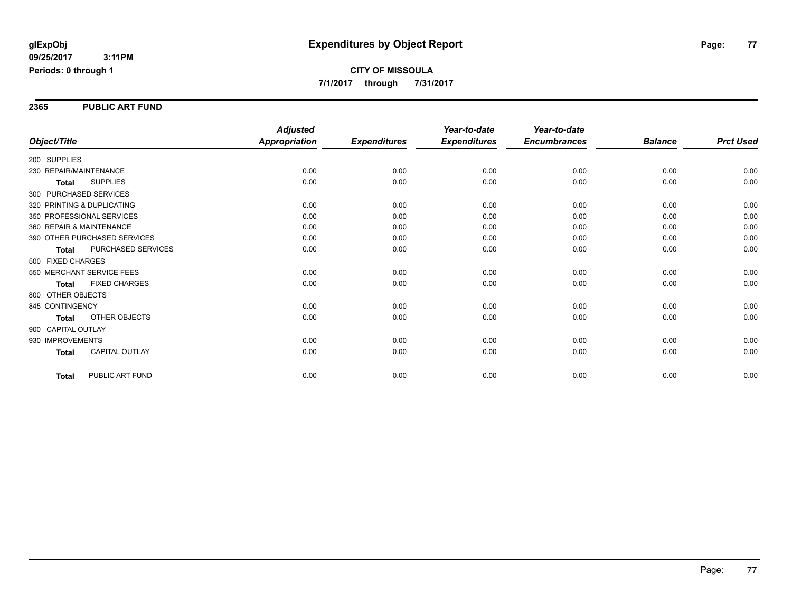#### **2365 PUBLIC ART FUND**

|                                       | <b>Adjusted</b>      |                     | Year-to-date        | Year-to-date        |                |                  |
|---------------------------------------|----------------------|---------------------|---------------------|---------------------|----------------|------------------|
| Object/Title                          | <b>Appropriation</b> | <b>Expenditures</b> | <b>Expenditures</b> | <b>Encumbrances</b> | <b>Balance</b> | <b>Prct Used</b> |
| 200 SUPPLIES                          |                      |                     |                     |                     |                |                  |
| 230 REPAIR/MAINTENANCE                | 0.00                 | 0.00                | 0.00                | 0.00                | 0.00           | 0.00             |
| <b>SUPPLIES</b><br><b>Total</b>       | 0.00                 | 0.00                | 0.00                | 0.00                | 0.00           | 0.00             |
| 300 PURCHASED SERVICES                |                      |                     |                     |                     |                |                  |
| 320 PRINTING & DUPLICATING            | 0.00                 | 0.00                | 0.00                | 0.00                | 0.00           | 0.00             |
| 350 PROFESSIONAL SERVICES             | 0.00                 | 0.00                | 0.00                | 0.00                | 0.00           | 0.00             |
| 360 REPAIR & MAINTENANCE              | 0.00                 | 0.00                | 0.00                | 0.00                | 0.00           | 0.00             |
| 390 OTHER PURCHASED SERVICES          | 0.00                 | 0.00                | 0.00                | 0.00                | 0.00           | 0.00             |
| PURCHASED SERVICES<br><b>Total</b>    | 0.00                 | 0.00                | 0.00                | 0.00                | 0.00           | 0.00             |
| 500 FIXED CHARGES                     |                      |                     |                     |                     |                |                  |
| 550 MERCHANT SERVICE FEES             | 0.00                 | 0.00                | 0.00                | 0.00                | 0.00           | 0.00             |
| <b>FIXED CHARGES</b><br>Total         | 0.00                 | 0.00                | 0.00                | 0.00                | 0.00           | 0.00             |
| 800 OTHER OBJECTS                     |                      |                     |                     |                     |                |                  |
| 845 CONTINGENCY                       | 0.00                 | 0.00                | 0.00                | 0.00                | 0.00           | 0.00             |
| <b>OTHER OBJECTS</b><br><b>Total</b>  | 0.00                 | 0.00                | 0.00                | 0.00                | 0.00           | 0.00             |
| 900 CAPITAL OUTLAY                    |                      |                     |                     |                     |                |                  |
| 930 IMPROVEMENTS                      | 0.00                 | 0.00                | 0.00                | 0.00                | 0.00           | 0.00             |
| <b>CAPITAL OUTLAY</b><br><b>Total</b> | 0.00                 | 0.00                | 0.00                | 0.00                | 0.00           | 0.00             |
| PUBLIC ART FUND<br><b>Total</b>       | 0.00                 | 0.00                | 0.00                | 0.00                | 0.00           | 0.00             |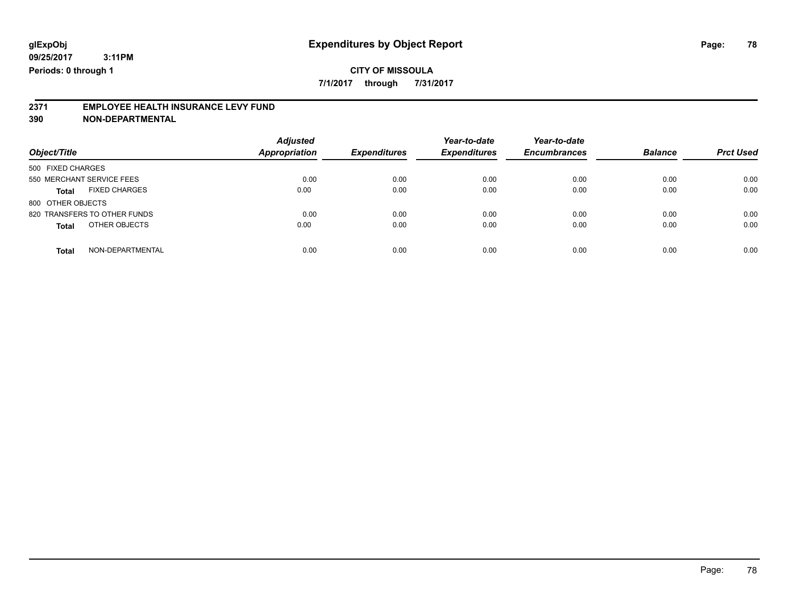## **CITY OF MISSOULA**

**7/1/2017 through 7/31/2017**

# **2371 EMPLOYEE HEALTH INSURANCE LEVY FUND**

**390 NON-DEPARTMENTAL**

| Object/Title                         | <b>Adjusted</b><br>Appropriation | <b>Expenditures</b> | Year-to-date<br><b>Expenditures</b> | Year-to-date<br><b>Encumbrances</b> | <b>Balance</b> | <b>Prct Used</b> |
|--------------------------------------|----------------------------------|---------------------|-------------------------------------|-------------------------------------|----------------|------------------|
| 500 FIXED CHARGES                    |                                  |                     |                                     |                                     |                |                  |
| 550 MERCHANT SERVICE FEES            | 0.00                             | 0.00                | 0.00                                | 0.00                                | 0.00           | 0.00             |
| <b>FIXED CHARGES</b><br><b>Total</b> | 0.00                             | 0.00                | 0.00                                | 0.00                                | 0.00           | 0.00             |
| 800 OTHER OBJECTS                    |                                  |                     |                                     |                                     |                |                  |
| 820 TRANSFERS TO OTHER FUNDS         | 0.00                             | 0.00                | 0.00                                | 0.00                                | 0.00           | 0.00             |
| OTHER OBJECTS<br><b>Total</b>        | 0.00                             | 0.00                | 0.00                                | 0.00                                | 0.00           | 0.00             |
| NON-DEPARTMENTAL<br><b>Total</b>     | 0.00                             | 0.00                | 0.00                                | 0.00                                | 0.00           | 0.00             |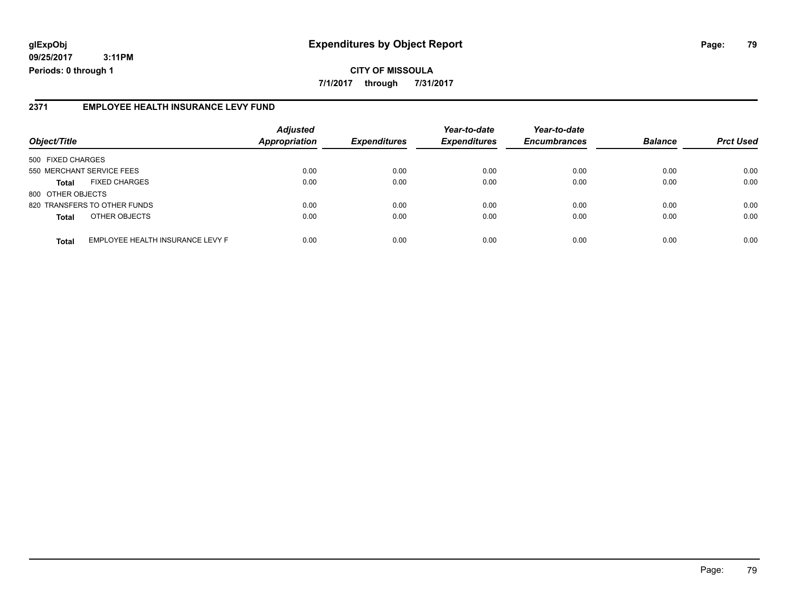### **glExpObj Expenditures by Object Report Page: 79**

**09/25/2017 3:11PM Periods: 0 through 1**

#### **2371 EMPLOYEE HEALTH INSURANCE LEVY FUND**

| Object/Title              |                                  | <b>Adjusted</b><br><b>Appropriation</b> | <b>Expenditures</b> | Year-to-date<br><b>Expenditures</b> | Year-to-date<br><b>Encumbrances</b> | <b>Balance</b> | <b>Prct Used</b> |
|---------------------------|----------------------------------|-----------------------------------------|---------------------|-------------------------------------|-------------------------------------|----------------|------------------|
| 500 FIXED CHARGES         |                                  |                                         |                     |                                     |                                     |                |                  |
| 550 MERCHANT SERVICE FEES |                                  | 0.00                                    | 0.00                | 0.00                                | 0.00                                | 0.00           | 0.00             |
| <b>Total</b>              | <b>FIXED CHARGES</b>             | 0.00                                    | 0.00                | 0.00                                | 0.00                                | 0.00           | 0.00             |
| 800 OTHER OBJECTS         |                                  |                                         |                     |                                     |                                     |                |                  |
|                           | 820 TRANSFERS TO OTHER FUNDS     | 0.00                                    | 0.00                | 0.00                                | 0.00                                | 0.00           | 0.00             |
| <b>Total</b>              | OTHER OBJECTS                    | 0.00                                    | 0.00                | 0.00                                | 0.00                                | 0.00           | 0.00             |
| <b>Total</b>              | EMPLOYEE HEALTH INSURANCE LEVY F | 0.00                                    | 0.00                | 0.00                                | 0.00                                | 0.00           | 0.00             |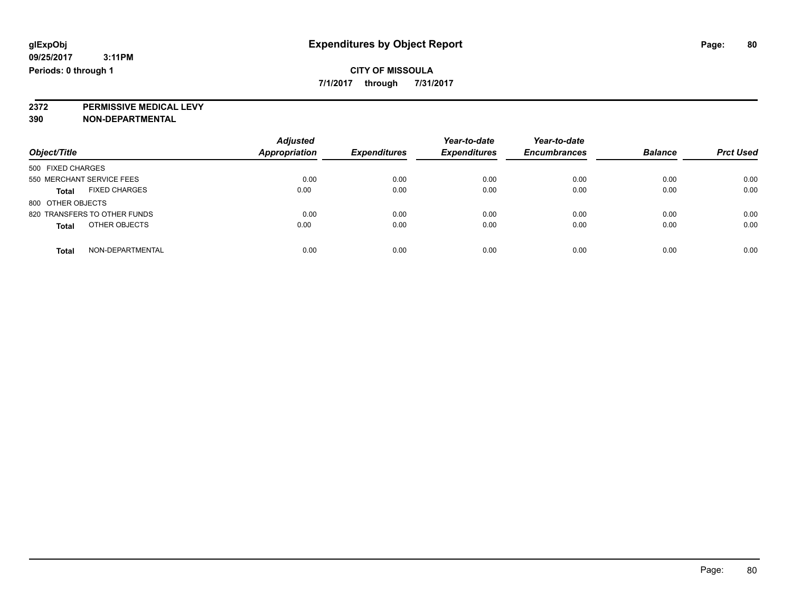**7/1/2017 through 7/31/2017**

**2372 PERMISSIVE MEDICAL LEVY**

**390 NON-DEPARTMENTAL**

| Object/Title                         | <b>Adjusted</b><br><b>Appropriation</b> | <b>Expenditures</b> | Year-to-date<br><b>Expenditures</b> | Year-to-date<br><b>Encumbrances</b> | <b>Balance</b> | <b>Prct Used</b> |
|--------------------------------------|-----------------------------------------|---------------------|-------------------------------------|-------------------------------------|----------------|------------------|
| 500 FIXED CHARGES                    |                                         |                     |                                     |                                     |                |                  |
| 550 MERCHANT SERVICE FEES            | 0.00                                    | 0.00                | 0.00                                | 0.00                                | 0.00           | 0.00             |
| <b>FIXED CHARGES</b><br><b>Total</b> | 0.00                                    | 0.00                | 0.00                                | 0.00                                | 0.00           | 0.00             |
| 800 OTHER OBJECTS                    |                                         |                     |                                     |                                     |                |                  |
| 820 TRANSFERS TO OTHER FUNDS         | 0.00                                    | 0.00                | 0.00                                | 0.00                                | 0.00           | 0.00             |
| OTHER OBJECTS<br><b>Total</b>        | 0.00                                    | 0.00                | 0.00                                | 0.00                                | 0.00           | 0.00             |
|                                      |                                         |                     |                                     |                                     |                |                  |
| NON-DEPARTMENTAL<br>Total            | 0.00                                    | 0.00                | 0.00                                | 0.00                                | 0.00           | 0.00             |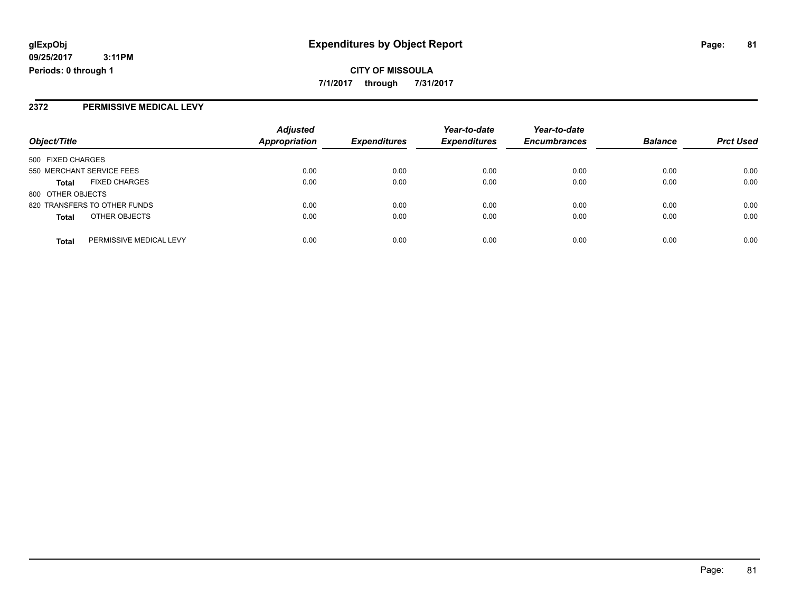### **2372 PERMISSIVE MEDICAL LEVY**

| Object/Title      |                              | <b>Adjusted</b><br><b>Appropriation</b> | <b>Expenditures</b> | Year-to-date<br><b>Expenditures</b> | Year-to-date        |                |                  |
|-------------------|------------------------------|-----------------------------------------|---------------------|-------------------------------------|---------------------|----------------|------------------|
|                   |                              |                                         |                     |                                     | <b>Encumbrances</b> | <b>Balance</b> | <b>Prct Used</b> |
| 500 FIXED CHARGES |                              |                                         |                     |                                     |                     |                |                  |
|                   | 550 MERCHANT SERVICE FEES    | 0.00                                    | 0.00                | 0.00                                | 0.00                | 0.00           | 0.00             |
| <b>Total</b>      | <b>FIXED CHARGES</b>         | 0.00                                    | 0.00                | 0.00                                | 0.00                | 0.00           | 0.00             |
| 800 OTHER OBJECTS |                              |                                         |                     |                                     |                     |                |                  |
|                   | 820 TRANSFERS TO OTHER FUNDS | 0.00                                    | 0.00                | 0.00                                | 0.00                | 0.00           | 0.00             |
| <b>Total</b>      | OTHER OBJECTS                | 0.00                                    | 0.00                | 0.00                                | 0.00                | 0.00           | 0.00             |
| <b>Total</b>      | PERMISSIVE MEDICAL LEVY      | 0.00                                    | 0.00                | 0.00                                | 0.00                | 0.00           | 0.00             |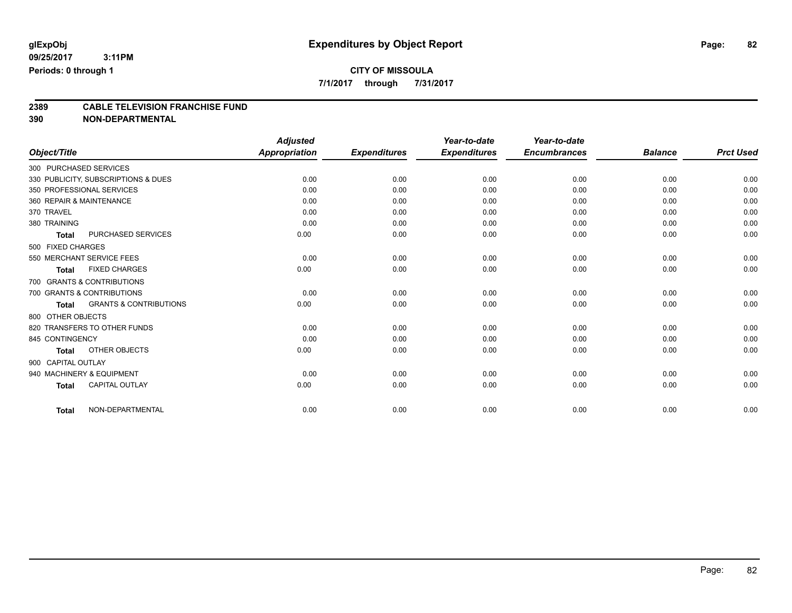**7/1/2017 through 7/31/2017**

# **2389 CABLE TELEVISION FRANCHISE FUND**

**390 NON-DEPARTMENTAL**

| <b>Adjusted</b>      |                     | Year-to-date        | Year-to-date        |                |                  |
|----------------------|---------------------|---------------------|---------------------|----------------|------------------|
| <b>Appropriation</b> | <b>Expenditures</b> | <b>Expenditures</b> | <b>Encumbrances</b> | <b>Balance</b> | <b>Prct Used</b> |
|                      |                     |                     |                     |                |                  |
| 0.00                 | 0.00                | 0.00                | 0.00                | 0.00           | 0.00             |
| 0.00                 | 0.00                | 0.00                | 0.00                | 0.00           | 0.00             |
| 0.00                 | 0.00                | 0.00                | 0.00                | 0.00           | 0.00             |
| 0.00                 | 0.00                | 0.00                | 0.00                | 0.00           | 0.00             |
| 0.00                 | 0.00                | 0.00                | 0.00                | 0.00           | 0.00             |
| 0.00                 | 0.00                | 0.00                | 0.00                | 0.00           | 0.00             |
|                      |                     |                     |                     |                |                  |
| 0.00                 | 0.00                | 0.00                | 0.00                | 0.00           | 0.00             |
| 0.00                 | 0.00                | 0.00                | 0.00                | 0.00           | 0.00             |
|                      |                     |                     |                     |                |                  |
| 0.00                 | 0.00                | 0.00                | 0.00                | 0.00           | 0.00             |
| 0.00                 | 0.00                | 0.00                | 0.00                | 0.00           | 0.00             |
|                      |                     |                     |                     |                |                  |
| 0.00                 | 0.00                | 0.00                | 0.00                | 0.00           | 0.00             |
| 0.00                 | 0.00                | 0.00                | 0.00                | 0.00           | 0.00             |
| 0.00                 | 0.00                | 0.00                | 0.00                | 0.00           | 0.00             |
|                      |                     |                     |                     |                |                  |
| 0.00                 | 0.00                | 0.00                | 0.00                | 0.00           | 0.00             |
| 0.00                 | 0.00                | 0.00                | 0.00                | 0.00           | 0.00             |
|                      |                     |                     |                     |                | 0.00             |
|                      | 0.00                | 0.00                | 0.00                | 0.00           | 0.00             |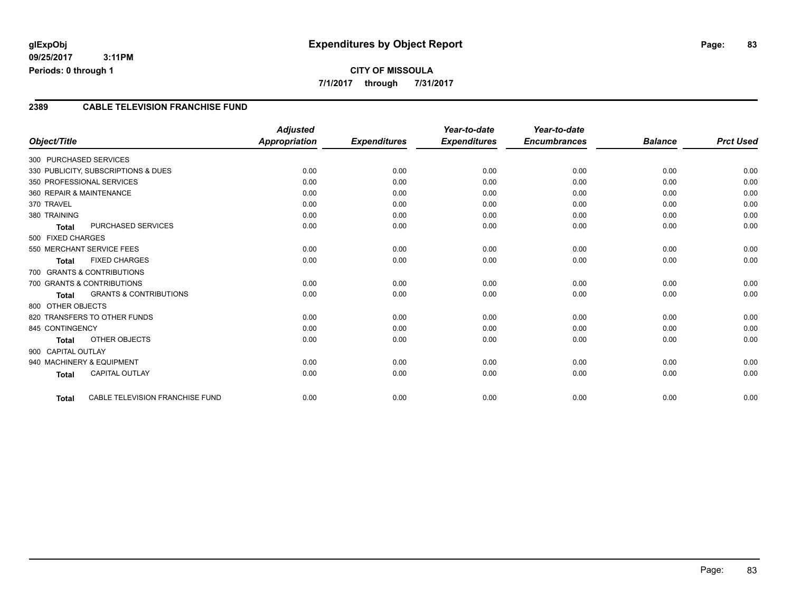### **CITY OF MISSOULA 7/1/2017 through 7/31/2017**

#### **2389 CABLE TELEVISION FRANCHISE FUND**

|                          |                                        | <b>Adjusted</b>      |                     | Year-to-date        | Year-to-date        |                |                  |
|--------------------------|----------------------------------------|----------------------|---------------------|---------------------|---------------------|----------------|------------------|
| Object/Title             |                                        | <b>Appropriation</b> | <b>Expenditures</b> | <b>Expenditures</b> | <b>Encumbrances</b> | <b>Balance</b> | <b>Prct Used</b> |
| 300 PURCHASED SERVICES   |                                        |                      |                     |                     |                     |                |                  |
|                          | 330 PUBLICITY, SUBSCRIPTIONS & DUES    | 0.00                 | 0.00                | 0.00                | 0.00                | 0.00           | 0.00             |
|                          | 350 PROFESSIONAL SERVICES              | 0.00                 | 0.00                | 0.00                | 0.00                | 0.00           | 0.00             |
| 360 REPAIR & MAINTENANCE |                                        | 0.00                 | 0.00                | 0.00                | 0.00                | 0.00           | 0.00             |
| 370 TRAVEL               |                                        | 0.00                 | 0.00                | 0.00                | 0.00                | 0.00           | 0.00             |
| 380 TRAINING             |                                        | 0.00                 | 0.00                | 0.00                | 0.00                | 0.00           | 0.00             |
| <b>Total</b>             | <b>PURCHASED SERVICES</b>              | 0.00                 | 0.00                | 0.00                | 0.00                | 0.00           | 0.00             |
| 500 FIXED CHARGES        |                                        |                      |                     |                     |                     |                |                  |
|                          | 550 MERCHANT SERVICE FEES              | 0.00                 | 0.00                | 0.00                | 0.00                | 0.00           | 0.00             |
| Total                    | <b>FIXED CHARGES</b>                   | 0.00                 | 0.00                | 0.00                | 0.00                | 0.00           | 0.00             |
|                          | 700 GRANTS & CONTRIBUTIONS             |                      |                     |                     |                     |                |                  |
|                          | 700 GRANTS & CONTRIBUTIONS             | 0.00                 | 0.00                | 0.00                | 0.00                | 0.00           | 0.00             |
| Total                    | <b>GRANTS &amp; CONTRIBUTIONS</b>      | 0.00                 | 0.00                | 0.00                | 0.00                | 0.00           | 0.00             |
| 800 OTHER OBJECTS        |                                        |                      |                     |                     |                     |                |                  |
|                          | 820 TRANSFERS TO OTHER FUNDS           | 0.00                 | 0.00                | 0.00                | 0.00                | 0.00           | 0.00             |
| 845 CONTINGENCY          |                                        | 0.00                 | 0.00                | 0.00                | 0.00                | 0.00           | 0.00             |
| <b>Total</b>             | <b>OTHER OBJECTS</b>                   | 0.00                 | 0.00                | 0.00                | 0.00                | 0.00           | 0.00             |
| 900 CAPITAL OUTLAY       |                                        |                      |                     |                     |                     |                |                  |
|                          | 940 MACHINERY & EQUIPMENT              | 0.00                 | 0.00                | 0.00                | 0.00                | 0.00           | 0.00             |
| <b>Total</b>             | <b>CAPITAL OUTLAY</b>                  | 0.00                 | 0.00                | 0.00                | 0.00                | 0.00           | 0.00             |
|                          |                                        |                      |                     |                     |                     |                |                  |
| <b>Total</b>             | <b>CABLE TELEVISION FRANCHISE FUND</b> | 0.00                 | 0.00                | 0.00                | 0.00                | 0.00           | 0.00             |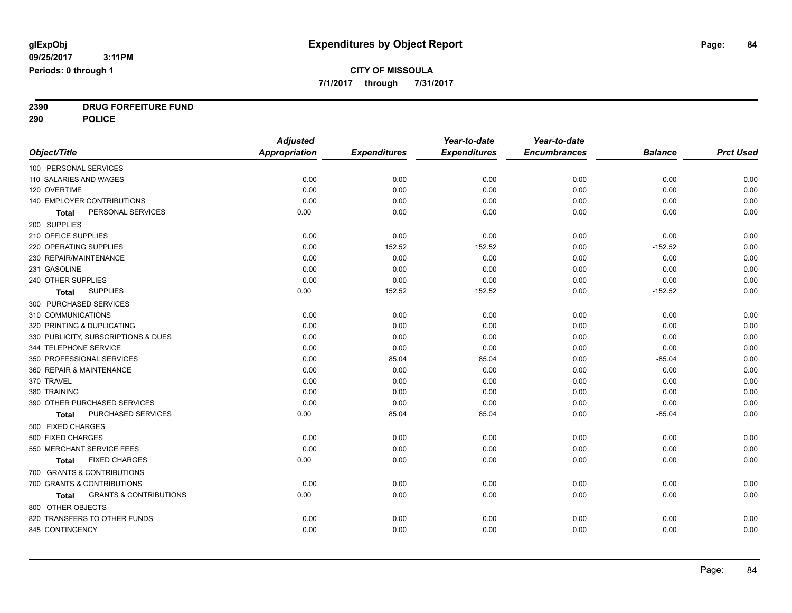**7/1/2017 through 7/31/2017**

**2390 DRUG FORFEITURE FUND**

**290 POLICE**

|                                                   | <b>Adjusted</b>      |                     | Year-to-date        | Year-to-date        |                |                  |
|---------------------------------------------------|----------------------|---------------------|---------------------|---------------------|----------------|------------------|
| Object/Title                                      | <b>Appropriation</b> | <b>Expenditures</b> | <b>Expenditures</b> | <b>Encumbrances</b> | <b>Balance</b> | <b>Prct Used</b> |
| 100 PERSONAL SERVICES                             |                      |                     |                     |                     |                |                  |
| 110 SALARIES AND WAGES                            | 0.00                 | 0.00                | 0.00                | 0.00                | 0.00           | 0.00             |
| 120 OVERTIME                                      | 0.00                 | 0.00                | 0.00                | 0.00                | 0.00           | 0.00             |
| 140 EMPLOYER CONTRIBUTIONS                        | 0.00                 | 0.00                | 0.00                | 0.00                | 0.00           | 0.00             |
| PERSONAL SERVICES<br>Total                        | 0.00                 | 0.00                | 0.00                | 0.00                | 0.00           | 0.00             |
| 200 SUPPLIES                                      |                      |                     |                     |                     |                |                  |
| 210 OFFICE SUPPLIES                               | 0.00                 | 0.00                | 0.00                | 0.00                | 0.00           | 0.00             |
| 220 OPERATING SUPPLIES                            | 0.00                 | 152.52              | 152.52              | 0.00                | $-152.52$      | 0.00             |
| 230 REPAIR/MAINTENANCE                            | 0.00                 | 0.00                | 0.00                | 0.00                | 0.00           | 0.00             |
| 231 GASOLINE                                      | 0.00                 | 0.00                | 0.00                | 0.00                | 0.00           | 0.00             |
| 240 OTHER SUPPLIES                                | 0.00                 | 0.00                | 0.00                | 0.00                | 0.00           | 0.00             |
| <b>SUPPLIES</b><br><b>Total</b>                   | 0.00                 | 152.52              | 152.52              | 0.00                | $-152.52$      | 0.00             |
| 300 PURCHASED SERVICES                            |                      |                     |                     |                     |                |                  |
| 310 COMMUNICATIONS                                | 0.00                 | 0.00                | 0.00                | 0.00                | 0.00           | 0.00             |
| 320 PRINTING & DUPLICATING                        | 0.00                 | 0.00                | 0.00                | 0.00                | 0.00           | 0.00             |
| 330 PUBLICITY, SUBSCRIPTIONS & DUES               | 0.00                 | 0.00                | 0.00                | 0.00                | 0.00           | 0.00             |
| 344 TELEPHONE SERVICE                             | 0.00                 | 0.00                | 0.00                | 0.00                | 0.00           | 0.00             |
| 350 PROFESSIONAL SERVICES                         | 0.00                 | 85.04               | 85.04               | 0.00                | $-85.04$       | 0.00             |
| 360 REPAIR & MAINTENANCE                          | 0.00                 | 0.00                | 0.00                | 0.00                | 0.00           | 0.00             |
| 370 TRAVEL                                        | 0.00                 | 0.00                | 0.00                | 0.00                | 0.00           | 0.00             |
| 380 TRAINING                                      | 0.00                 | 0.00                | 0.00                | 0.00                | 0.00           | 0.00             |
| 390 OTHER PURCHASED SERVICES                      | 0.00                 | 0.00                | 0.00                | 0.00                | 0.00           | 0.00             |
| PURCHASED SERVICES<br><b>Total</b>                | 0.00                 | 85.04               | 85.04               | 0.00                | $-85.04$       | 0.00             |
| 500 FIXED CHARGES                                 |                      |                     |                     |                     |                |                  |
| 500 FIXED CHARGES                                 | 0.00                 | 0.00                | 0.00                | 0.00                | 0.00           | 0.00             |
| 550 MERCHANT SERVICE FEES                         | 0.00                 | 0.00                | 0.00                | 0.00                | 0.00           | 0.00             |
| <b>FIXED CHARGES</b><br><b>Total</b>              | 0.00                 | 0.00                | 0.00                | 0.00                | 0.00           | 0.00             |
| 700 GRANTS & CONTRIBUTIONS                        |                      |                     |                     |                     |                |                  |
| 700 GRANTS & CONTRIBUTIONS                        | 0.00                 | 0.00                | 0.00                | 0.00                | 0.00           | 0.00             |
| <b>GRANTS &amp; CONTRIBUTIONS</b><br><b>Total</b> | 0.00                 | 0.00                | 0.00                | 0.00                | 0.00           | 0.00             |
| 800 OTHER OBJECTS                                 |                      |                     |                     |                     |                |                  |
| 820 TRANSFERS TO OTHER FUNDS                      | 0.00                 | 0.00                | 0.00                | 0.00                | 0.00           | 0.00             |
| 845 CONTINGENCY                                   | 0.00                 | 0.00                | 0.00                | 0.00                | 0.00           | 0.00             |
|                                                   |                      |                     |                     |                     |                |                  |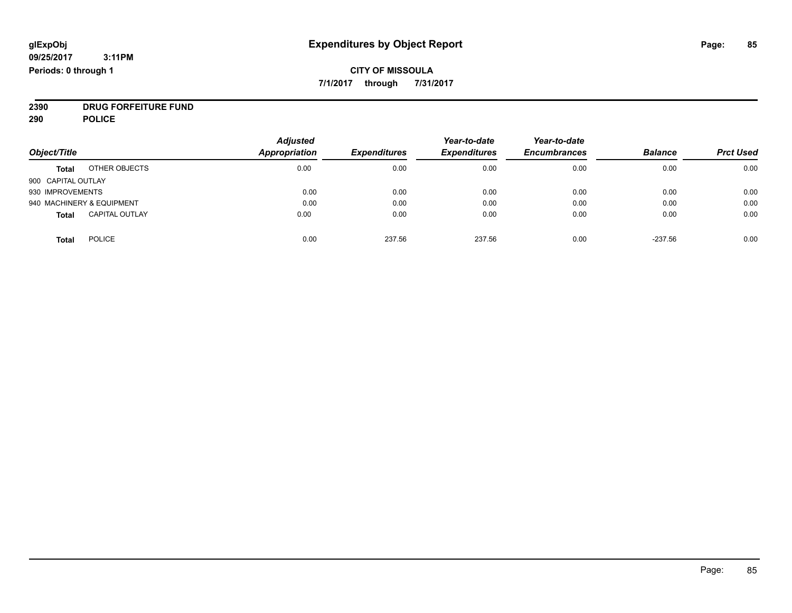### **CITY OF MISSOULA 7/1/2017 through 7/31/2017**

**2390 DRUG FORFEITURE FUND**

**290 POLICE**

|                                       | <b>Adjusted</b> |                     | Year-to-date        | Year-to-date        |                |                  |
|---------------------------------------|-----------------|---------------------|---------------------|---------------------|----------------|------------------|
| Object/Title                          | Appropriation   | <b>Expenditures</b> | <b>Expenditures</b> | <b>Encumbrances</b> | <b>Balance</b> | <b>Prct Used</b> |
| OTHER OBJECTS<br><b>Total</b>         | 0.00            | 0.00                | 0.00                | 0.00                | 0.00           | 0.00             |
| 900 CAPITAL OUTLAY                    |                 |                     |                     |                     |                |                  |
| 930 IMPROVEMENTS                      | 0.00            | 0.00                | 0.00                | 0.00                | 0.00           | 0.00             |
| 940 MACHINERY & EQUIPMENT             | 0.00            | 0.00                | 0.00                | 0.00                | 0.00           | 0.00             |
| <b>CAPITAL OUTLAY</b><br><b>Total</b> | 0.00            | 0.00                | 0.00                | 0.00                | 0.00           | 0.00             |
| <b>POLICE</b><br>Total                | 0.00            | 237.56              | 237.56              | 0.00                | $-237.56$      | 0.00             |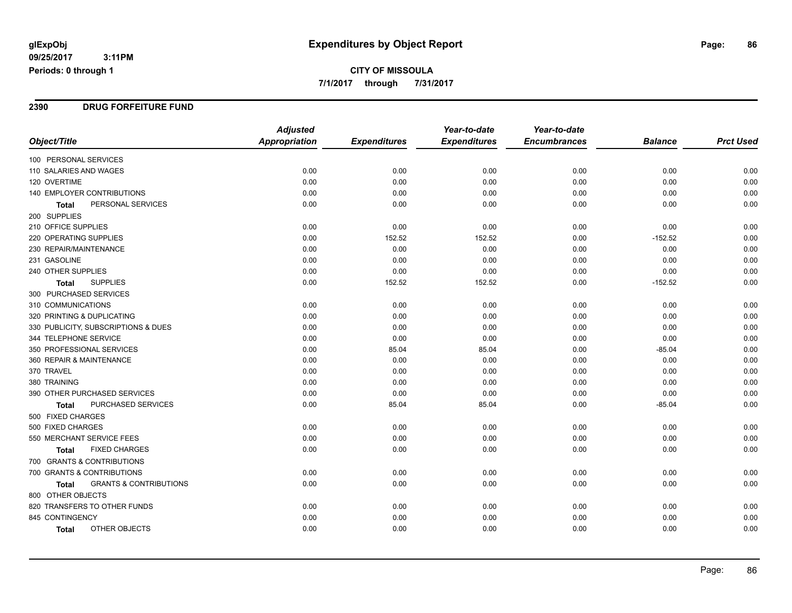#### **2390 DRUG FORFEITURE FUND**

|                                            | <b>Adjusted</b> |                     | Year-to-date        | Year-to-date        |                |                  |
|--------------------------------------------|-----------------|---------------------|---------------------|---------------------|----------------|------------------|
| Object/Title                               | Appropriation   | <b>Expenditures</b> | <b>Expenditures</b> | <b>Encumbrances</b> | <b>Balance</b> | <b>Prct Used</b> |
| 100 PERSONAL SERVICES                      |                 |                     |                     |                     |                |                  |
| 110 SALARIES AND WAGES                     | 0.00            | 0.00                | 0.00                | 0.00                | 0.00           | 0.00             |
| 120 OVERTIME                               | 0.00            | 0.00                | 0.00                | 0.00                | 0.00           | 0.00             |
| 140 EMPLOYER CONTRIBUTIONS                 | 0.00            | 0.00                | 0.00                | 0.00                | 0.00           | 0.00             |
| PERSONAL SERVICES<br>Total                 | 0.00            | 0.00                | 0.00                | 0.00                | 0.00           | 0.00             |
| 200 SUPPLIES                               |                 |                     |                     |                     |                |                  |
| 210 OFFICE SUPPLIES                        | 0.00            | 0.00                | 0.00                | 0.00                | 0.00           | 0.00             |
| 220 OPERATING SUPPLIES                     | 0.00            | 152.52              | 152.52              | 0.00                | $-152.52$      | 0.00             |
| 230 REPAIR/MAINTENANCE                     | 0.00            | 0.00                | 0.00                | 0.00                | 0.00           | 0.00             |
| 231 GASOLINE                               | 0.00            | 0.00                | 0.00                | 0.00                | 0.00           | 0.00             |
| 240 OTHER SUPPLIES                         | 0.00            | 0.00                | 0.00                | 0.00                | 0.00           | 0.00             |
| <b>SUPPLIES</b><br><b>Total</b>            | 0.00            | 152.52              | 152.52              | 0.00                | $-152.52$      | 0.00             |
| 300 PURCHASED SERVICES                     |                 |                     |                     |                     |                |                  |
| 310 COMMUNICATIONS                         | 0.00            | 0.00                | 0.00                | 0.00                | 0.00           | 0.00             |
| 320 PRINTING & DUPLICATING                 | 0.00            | 0.00                | 0.00                | 0.00                | 0.00           | 0.00             |
| 330 PUBLICITY, SUBSCRIPTIONS & DUES        | 0.00            | 0.00                | 0.00                | 0.00                | 0.00           | 0.00             |
| 344 TELEPHONE SERVICE                      | 0.00            | 0.00                | 0.00                | 0.00                | 0.00           | 0.00             |
| 350 PROFESSIONAL SERVICES                  | 0.00            | 85.04               | 85.04               | 0.00                | $-85.04$       | 0.00             |
| 360 REPAIR & MAINTENANCE                   | 0.00            | 0.00                | 0.00                | 0.00                | 0.00           | 0.00             |
| 370 TRAVEL                                 | 0.00            | 0.00                | 0.00                | 0.00                | 0.00           | 0.00             |
| 380 TRAINING                               | 0.00            | 0.00                | 0.00                | 0.00                | 0.00           | 0.00             |
| 390 OTHER PURCHASED SERVICES               | 0.00            | 0.00                | 0.00                | 0.00                | 0.00           | 0.00             |
| PURCHASED SERVICES<br>Total                | 0.00            | 85.04               | 85.04               | 0.00                | $-85.04$       | 0.00             |
| 500 FIXED CHARGES                          |                 |                     |                     |                     |                |                  |
| 500 FIXED CHARGES                          | 0.00            | 0.00                | 0.00                | 0.00                | 0.00           | 0.00             |
| 550 MERCHANT SERVICE FEES                  | 0.00            | 0.00                | 0.00                | 0.00                | 0.00           | 0.00             |
| <b>FIXED CHARGES</b><br><b>Total</b>       | 0.00            | 0.00                | 0.00                | 0.00                | 0.00           | 0.00             |
| 700 GRANTS & CONTRIBUTIONS                 |                 |                     |                     |                     |                |                  |
| 700 GRANTS & CONTRIBUTIONS                 | 0.00            | 0.00                | 0.00                | 0.00                | 0.00           | 0.00             |
| <b>GRANTS &amp; CONTRIBUTIONS</b><br>Total | 0.00            | 0.00                | 0.00                | 0.00                | 0.00           | 0.00             |
| 800 OTHER OBJECTS                          |                 |                     |                     |                     |                |                  |
| 820 TRANSFERS TO OTHER FUNDS               | 0.00            | 0.00                | 0.00                | 0.00                | 0.00           | 0.00             |
| 845 CONTINGENCY                            | 0.00            | 0.00                | 0.00                | 0.00                | 0.00           | 0.00             |
| OTHER OBJECTS<br>Total                     | 0.00            | 0.00                | 0.00                | 0.00                | 0.00           | 0.00             |
|                                            |                 |                     |                     |                     |                |                  |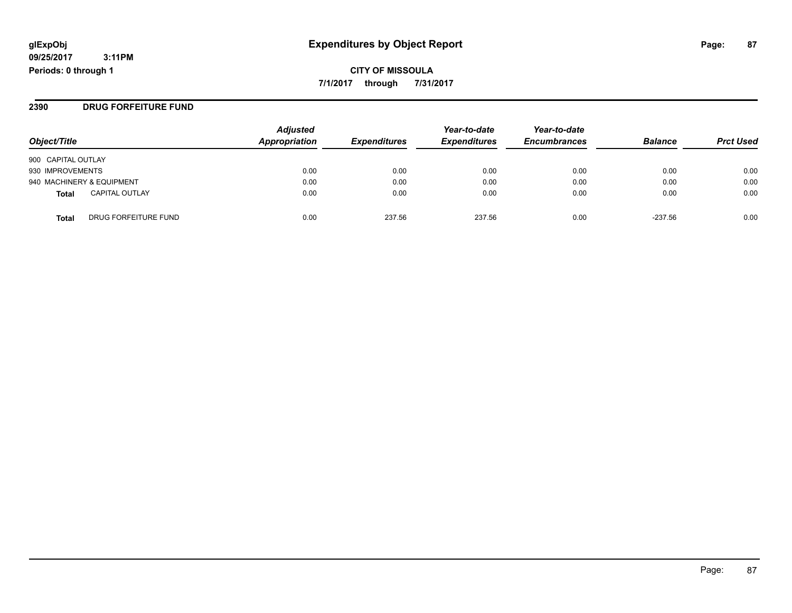#### **2390 DRUG FORFEITURE FUND**

| Object/Title                         | <b>Adjusted</b><br>Appropriation | <b>Expenditures</b> | Year-to-date<br><b>Expenditures</b> | Year-to-date<br><b>Encumbrances</b> | <b>Balance</b> | <b>Prct Used</b> |
|--------------------------------------|----------------------------------|---------------------|-------------------------------------|-------------------------------------|----------------|------------------|
| 900 CAPITAL OUTLAY                   |                                  |                     |                                     |                                     |                |                  |
| 930 IMPROVEMENTS                     | 0.00                             | 0.00                | 0.00                                | 0.00                                | 0.00           | 0.00             |
| 940 MACHINERY & EQUIPMENT            | 0.00                             | 0.00                | 0.00                                | 0.00                                | 0.00           | 0.00             |
| <b>CAPITAL OUTLAY</b><br>Total       | 0.00                             | 0.00                | 0.00                                | 0.00                                | 0.00           | 0.00             |
| DRUG FORFEITURE FUND<br><b>Total</b> | 0.00                             | 237.56              | 237.56                              | 0.00                                | $-237.56$      | 0.00             |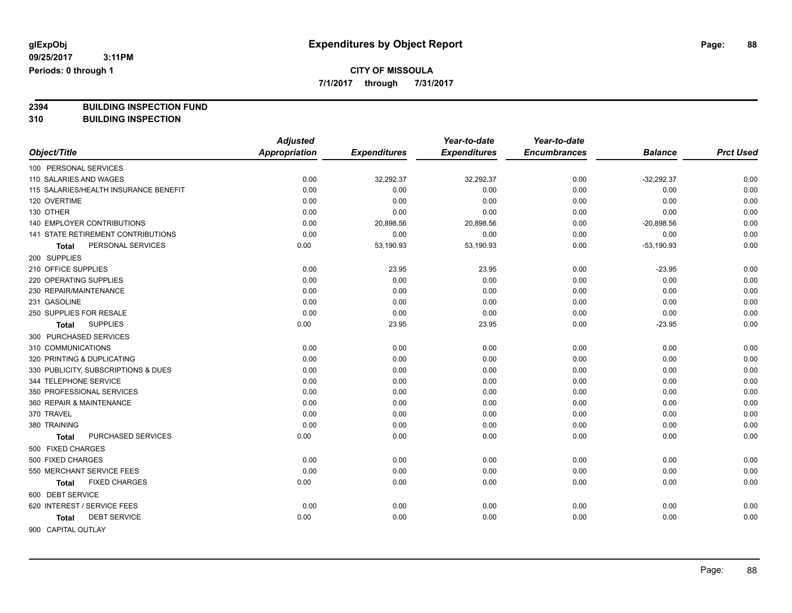**7/1/2017 through 7/31/2017**

**2394 BUILDING INSPECTION FUND**

**310 BUILDING INSPECTION**

|                                       | <b>Adjusted</b>      |                     | Year-to-date        | Year-to-date        |                |                  |
|---------------------------------------|----------------------|---------------------|---------------------|---------------------|----------------|------------------|
| Object/Title                          | <b>Appropriation</b> | <b>Expenditures</b> | <b>Expenditures</b> | <b>Encumbrances</b> | <b>Balance</b> | <b>Prct Used</b> |
| 100 PERSONAL SERVICES                 |                      |                     |                     |                     |                |                  |
| 110 SALARIES AND WAGES                | 0.00                 | 32,292.37           | 32,292.37           | 0.00                | $-32,292.37$   | 0.00             |
| 115 SALARIES/HEALTH INSURANCE BENEFIT | 0.00                 | 0.00                | 0.00                | 0.00                | 0.00           | 0.00             |
| 120 OVERTIME                          | 0.00                 | 0.00                | 0.00                | 0.00                | 0.00           | 0.00             |
| 130 OTHER                             | 0.00                 | 0.00                | 0.00                | 0.00                | 0.00           | 0.00             |
| <b>140 EMPLOYER CONTRIBUTIONS</b>     | 0.00                 | 20,898.56           | 20,898.56           | 0.00                | $-20,898.56$   | 0.00             |
| 141 STATE RETIREMENT CONTRIBUTIONS    | 0.00                 | 0.00                | 0.00                | 0.00                | 0.00           | 0.00             |
| PERSONAL SERVICES<br>Total            | 0.00                 | 53,190.93           | 53,190.93           | 0.00                | $-53,190.93$   | 0.00             |
| 200 SUPPLIES                          |                      |                     |                     |                     |                |                  |
| 210 OFFICE SUPPLIES                   | 0.00                 | 23.95               | 23.95               | 0.00                | $-23.95$       | 0.00             |
| 220 OPERATING SUPPLIES                | 0.00                 | 0.00                | 0.00                | 0.00                | 0.00           | 0.00             |
| 230 REPAIR/MAINTENANCE                | 0.00                 | 0.00                | 0.00                | 0.00                | 0.00           | 0.00             |
| 231 GASOLINE                          | 0.00                 | 0.00                | 0.00                | 0.00                | 0.00           | 0.00             |
| 250 SUPPLIES FOR RESALE               | 0.00                 | 0.00                | 0.00                | 0.00                | 0.00           | 0.00             |
| <b>SUPPLIES</b><br>Total              | 0.00                 | 23.95               | 23.95               | 0.00                | $-23.95$       | 0.00             |
| 300 PURCHASED SERVICES                |                      |                     |                     |                     |                |                  |
| 310 COMMUNICATIONS                    | 0.00                 | 0.00                | 0.00                | 0.00                | 0.00           | 0.00             |
| 320 PRINTING & DUPLICATING            | 0.00                 | 0.00                | 0.00                | 0.00                | 0.00           | 0.00             |
| 330 PUBLICITY, SUBSCRIPTIONS & DUES   | 0.00                 | 0.00                | 0.00                | 0.00                | 0.00           | 0.00             |
| 344 TELEPHONE SERVICE                 | 0.00                 | 0.00                | 0.00                | 0.00                | 0.00           | 0.00             |
| 350 PROFESSIONAL SERVICES             | 0.00                 | 0.00                | 0.00                | 0.00                | 0.00           | 0.00             |
| 360 REPAIR & MAINTENANCE              | 0.00                 | 0.00                | 0.00                | 0.00                | 0.00           | 0.00             |
| 370 TRAVEL                            | 0.00                 | 0.00                | 0.00                | 0.00                | 0.00           | 0.00             |
| 380 TRAINING                          | 0.00                 | 0.00                | 0.00                | 0.00                | 0.00           | 0.00             |
| PURCHASED SERVICES<br><b>Total</b>    | 0.00                 | 0.00                | 0.00                | 0.00                | 0.00           | 0.00             |
| 500 FIXED CHARGES                     |                      |                     |                     |                     |                |                  |
| 500 FIXED CHARGES                     | 0.00                 | 0.00                | 0.00                | 0.00                | 0.00           | 0.00             |
| 550 MERCHANT SERVICE FEES             | 0.00                 | 0.00                | 0.00                | 0.00                | 0.00           | 0.00             |
| <b>FIXED CHARGES</b><br>Total         | 0.00                 | 0.00                | 0.00                | 0.00                | 0.00           | 0.00             |
| 600 DEBT SERVICE                      |                      |                     |                     |                     |                |                  |
| 620 INTEREST / SERVICE FEES           | 0.00                 | 0.00                | 0.00                | 0.00                | 0.00           | 0.00             |
| DEBT SERVICE<br>Total                 | 0.00                 | 0.00                | 0.00                | 0.00                | 0.00           | 0.00             |
| 900 CAPITAL OUTLAY                    |                      |                     |                     |                     |                |                  |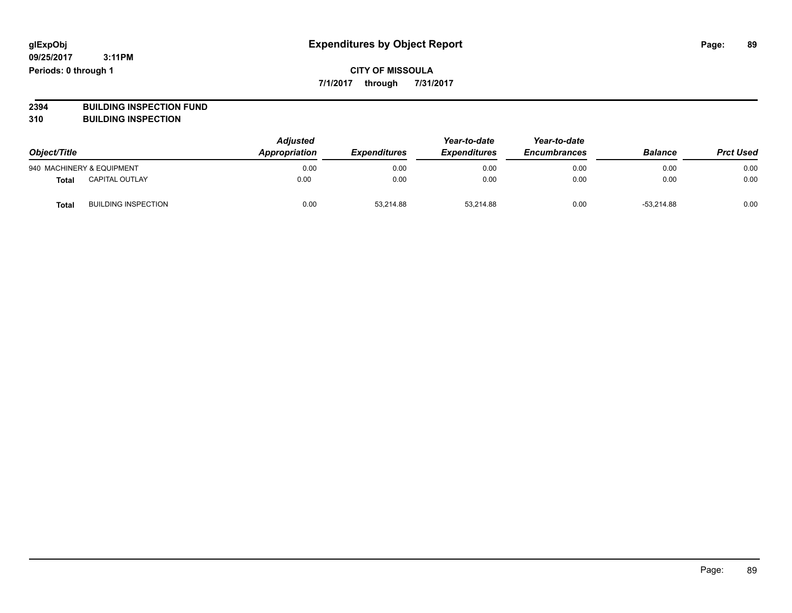**7/1/2017 through 7/31/2017**

**2394 BUILDING INSPECTION FUND**

**310 BUILDING INSPECTION**

| Object/Title |                            | <b>Adjusted</b><br>Appropriation | <b>Expenditures</b> | Year-to-date<br><b>Expenditures</b> | Year-to-date<br><b>Encumbrances</b> | <b>Balance</b> | <b>Prct Used</b> |
|--------------|----------------------------|----------------------------------|---------------------|-------------------------------------|-------------------------------------|----------------|------------------|
|              | 940 MACHINERY & EQUIPMENT  | 0.00                             | 0.00                | 0.00                                | 0.00                                | 0.00           | 0.00             |
| <b>Total</b> | <b>CAPITAL OUTLAY</b>      | 0.00                             | 0.00                | 0.00                                | 0.00                                | 0.00           | 0.00             |
| Total        | <b>BUILDING INSPECTION</b> | 0.00                             | 53,214.88           | 53.214.88                           | 0.00                                | $-53.214.88$   | 0.00             |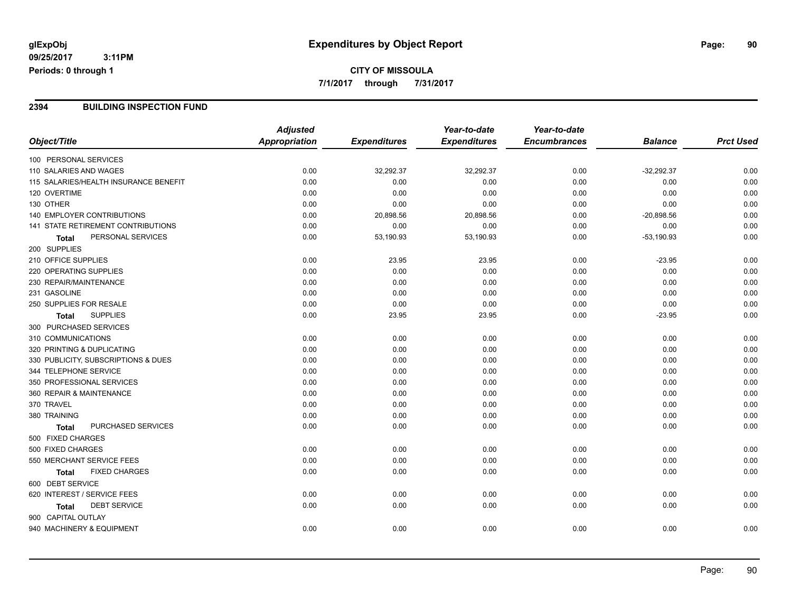#### **2394 BUILDING INSPECTION FUND**

|                                       | <b>Adjusted</b>      |                     | Year-to-date        | Year-to-date        |                |                  |
|---------------------------------------|----------------------|---------------------|---------------------|---------------------|----------------|------------------|
| Object/Title                          | <b>Appropriation</b> | <b>Expenditures</b> | <b>Expenditures</b> | <b>Encumbrances</b> | <b>Balance</b> | <b>Prct Used</b> |
| 100 PERSONAL SERVICES                 |                      |                     |                     |                     |                |                  |
| 110 SALARIES AND WAGES                | 0.00                 | 32,292.37           | 32,292.37           | 0.00                | $-32,292.37$   | 0.00             |
| 115 SALARIES/HEALTH INSURANCE BENEFIT | 0.00                 | 0.00                | 0.00                | 0.00                | 0.00           | 0.00             |
| 120 OVERTIME                          | 0.00                 | 0.00                | 0.00                | 0.00                | 0.00           | 0.00             |
| 130 OTHER                             | 0.00                 | 0.00                | 0.00                | 0.00                | 0.00           | 0.00             |
| 140 EMPLOYER CONTRIBUTIONS            | 0.00                 | 20,898.56           | 20,898.56           | 0.00                | $-20,898.56$   | 0.00             |
| 141 STATE RETIREMENT CONTRIBUTIONS    | 0.00                 | 0.00                | 0.00                | 0.00                | 0.00           | 0.00             |
| PERSONAL SERVICES<br>Total            | 0.00                 | 53,190.93           | 53,190.93           | 0.00                | $-53,190.93$   | 0.00             |
| 200 SUPPLIES                          |                      |                     |                     |                     |                |                  |
| 210 OFFICE SUPPLIES                   | 0.00                 | 23.95               | 23.95               | 0.00                | $-23.95$       | 0.00             |
| 220 OPERATING SUPPLIES                | 0.00                 | 0.00                | 0.00                | 0.00                | 0.00           | 0.00             |
| 230 REPAIR/MAINTENANCE                | 0.00                 | 0.00                | 0.00                | 0.00                | 0.00           | 0.00             |
| 231 GASOLINE                          | 0.00                 | 0.00                | 0.00                | 0.00                | 0.00           | 0.00             |
| 250 SUPPLIES FOR RESALE               | 0.00                 | 0.00                | 0.00                | 0.00                | 0.00           | 0.00             |
| <b>SUPPLIES</b><br><b>Total</b>       | 0.00                 | 23.95               | 23.95               | 0.00                | $-23.95$       | 0.00             |
| 300 PURCHASED SERVICES                |                      |                     |                     |                     |                |                  |
| 310 COMMUNICATIONS                    | 0.00                 | 0.00                | 0.00                | 0.00                | 0.00           | 0.00             |
| 320 PRINTING & DUPLICATING            | 0.00                 | 0.00                | 0.00                | 0.00                | 0.00           | 0.00             |
| 330 PUBLICITY, SUBSCRIPTIONS & DUES   | 0.00                 | 0.00                | 0.00                | 0.00                | 0.00           | 0.00             |
| 344 TELEPHONE SERVICE                 | 0.00                 | 0.00                | 0.00                | 0.00                | 0.00           | 0.00             |
| 350 PROFESSIONAL SERVICES             | 0.00                 | 0.00                | 0.00                | 0.00                | 0.00           | 0.00             |
| 360 REPAIR & MAINTENANCE              | 0.00                 | 0.00                | 0.00                | 0.00                | 0.00           | 0.00             |
| 370 TRAVEL                            | 0.00                 | 0.00                | 0.00                | 0.00                | 0.00           | 0.00             |
| 380 TRAINING                          | 0.00                 | 0.00                | 0.00                | 0.00                | 0.00           | 0.00             |
| PURCHASED SERVICES<br><b>Total</b>    | 0.00                 | 0.00                | 0.00                | 0.00                | 0.00           | 0.00             |
| 500 FIXED CHARGES                     |                      |                     |                     |                     |                |                  |
| 500 FIXED CHARGES                     | 0.00                 | 0.00                | 0.00                | 0.00                | 0.00           | 0.00             |
| 550 MERCHANT SERVICE FEES             | 0.00                 | 0.00                | 0.00                | 0.00                | 0.00           | 0.00             |
| <b>FIXED CHARGES</b><br>Total         | 0.00                 | 0.00                | 0.00                | 0.00                | 0.00           | 0.00             |
| 600 DEBT SERVICE                      |                      |                     |                     |                     |                |                  |
| 620 INTEREST / SERVICE FEES           | 0.00                 | 0.00                | 0.00                | 0.00                | 0.00           | 0.00             |
| <b>DEBT SERVICE</b><br>Total          | 0.00                 | 0.00                | 0.00                | 0.00                | 0.00           | 0.00             |
| 900 CAPITAL OUTLAY                    |                      |                     |                     |                     |                |                  |
| 940 MACHINERY & EQUIPMENT             | 0.00                 | 0.00                | 0.00                | 0.00                | 0.00           | 0.00             |
|                                       |                      |                     |                     |                     |                |                  |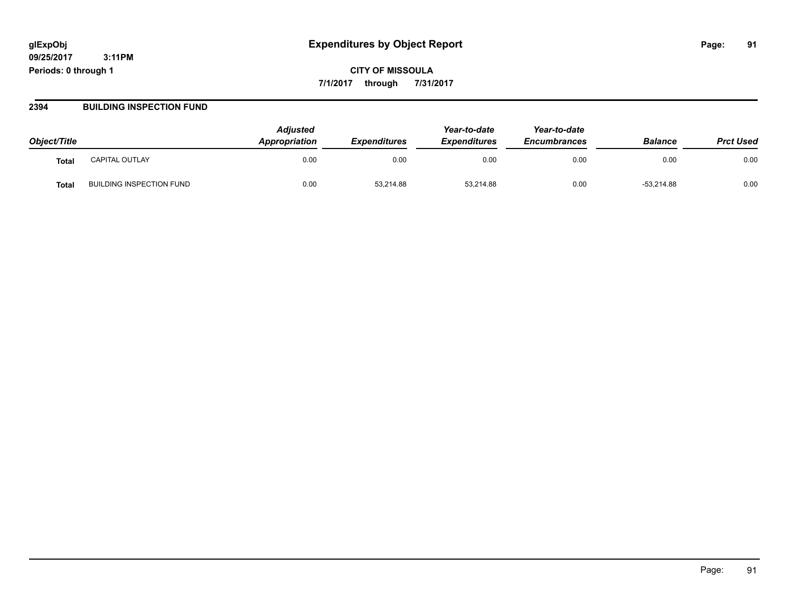**CITY OF MISSOULA 7/1/2017 through 7/31/2017**

#### **2394 BUILDING INSPECTION FUND**

| Object/Title |                                 | <b>Adjusted</b><br>Appropriation | <b>Expenditures</b> | Year-to-date<br><b>Expenditures</b> | Year-to-date<br><b>Encumbrances</b> | <b>Balance</b> | <b>Prct Used</b> |
|--------------|---------------------------------|----------------------------------|---------------------|-------------------------------------|-------------------------------------|----------------|------------------|
| Tota.        | <b>CAPITAL OUTLAY</b>           | 0.00                             | 0.00                | 0.00                                | 0.00                                | 0.00           | 0.00             |
| Tota.        | <b>BUILDING INSPECTION FUND</b> | 0.00                             | 53,214.88           | 53,214.88                           | 0.00                                | $-53,214.88$   | 0.00             |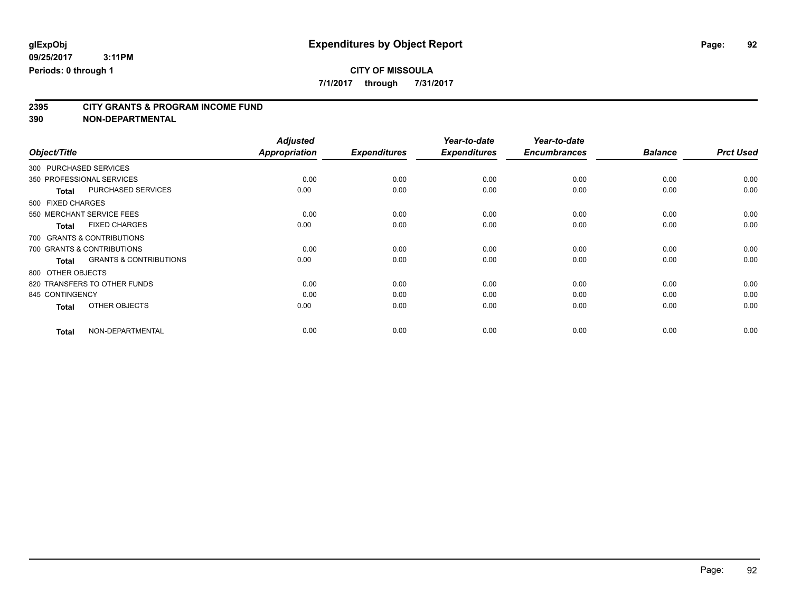**7/1/2017 through 7/31/2017**

# **2395 CITY GRANTS & PROGRAM INCOME FUND**

**390 NON-DEPARTMENTAL**

| Object/Title                                      | <b>Adjusted</b><br><b>Appropriation</b> | <b>Expenditures</b> | Year-to-date<br><b>Expenditures</b> | Year-to-date<br><b>Encumbrances</b> | <b>Balance</b> | <b>Prct Used</b> |
|---------------------------------------------------|-----------------------------------------|---------------------|-------------------------------------|-------------------------------------|----------------|------------------|
|                                                   |                                         |                     |                                     |                                     |                |                  |
| 300 PURCHASED SERVICES                            |                                         |                     |                                     |                                     |                |                  |
| 350 PROFESSIONAL SERVICES                         | 0.00                                    | 0.00                | 0.00                                | 0.00                                | 0.00           | 0.00             |
| PURCHASED SERVICES<br><b>Total</b>                | 0.00                                    | 0.00                | 0.00                                | 0.00                                | 0.00           | 0.00             |
| 500 FIXED CHARGES                                 |                                         |                     |                                     |                                     |                |                  |
| 550 MERCHANT SERVICE FEES                         | 0.00                                    | 0.00                | 0.00                                | 0.00                                | 0.00           | 0.00             |
| <b>FIXED CHARGES</b><br><b>Total</b>              | 0.00                                    | 0.00                | 0.00                                | 0.00                                | 0.00           | 0.00             |
| 700 GRANTS & CONTRIBUTIONS                        |                                         |                     |                                     |                                     |                |                  |
| 700 GRANTS & CONTRIBUTIONS                        | 0.00                                    | 0.00                | 0.00                                | 0.00                                | 0.00           | 0.00             |
| <b>GRANTS &amp; CONTRIBUTIONS</b><br><b>Total</b> | 0.00                                    | 0.00                | 0.00                                | 0.00                                | 0.00           | 0.00             |
| 800 OTHER OBJECTS                                 |                                         |                     |                                     |                                     |                |                  |
| 820 TRANSFERS TO OTHER FUNDS                      | 0.00                                    | 0.00                | 0.00                                | 0.00                                | 0.00           | 0.00             |
| 845 CONTINGENCY                                   | 0.00                                    | 0.00                | 0.00                                | 0.00                                | 0.00           | 0.00             |
| OTHER OBJECTS<br><b>Total</b>                     | 0.00                                    | 0.00                | 0.00                                | 0.00                                | 0.00           | 0.00             |
| NON-DEPARTMENTAL<br><b>Total</b>                  | 0.00                                    | 0.00                | 0.00                                | 0.00                                | 0.00           | 0.00             |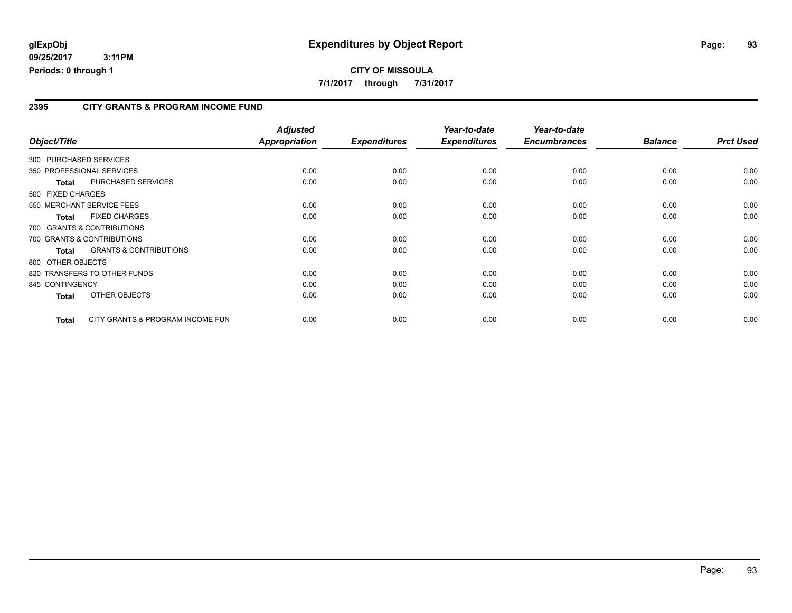#### **2395 CITY GRANTS & PROGRAM INCOME FUND**

| Object/Title           |                                   | <b>Adjusted</b><br>Appropriation | <b>Expenditures</b> | Year-to-date<br><b>Expenditures</b> | Year-to-date<br><b>Encumbrances</b> | <b>Balance</b> | <b>Prct Used</b> |
|------------------------|-----------------------------------|----------------------------------|---------------------|-------------------------------------|-------------------------------------|----------------|------------------|
| 300 PURCHASED SERVICES |                                   |                                  |                     |                                     |                                     |                |                  |
|                        | 350 PROFESSIONAL SERVICES         | 0.00                             | 0.00                | 0.00                                | 0.00                                | 0.00           | 0.00             |
| <b>Total</b>           | <b>PURCHASED SERVICES</b>         | 0.00                             | 0.00                | 0.00                                | 0.00                                | 0.00           | 0.00             |
| 500 FIXED CHARGES      |                                   |                                  |                     |                                     |                                     |                |                  |
|                        | 550 MERCHANT SERVICE FEES         | 0.00                             | 0.00                | 0.00                                | 0.00                                | 0.00           | 0.00             |
| <b>Total</b>           | <b>FIXED CHARGES</b>              | 0.00                             | 0.00                | 0.00                                | 0.00                                | 0.00           | 0.00             |
|                        | 700 GRANTS & CONTRIBUTIONS        |                                  |                     |                                     |                                     |                |                  |
|                        | 700 GRANTS & CONTRIBUTIONS        | 0.00                             | 0.00                | 0.00                                | 0.00                                | 0.00           | 0.00             |
| Total                  | <b>GRANTS &amp; CONTRIBUTIONS</b> | 0.00                             | 0.00                | 0.00                                | 0.00                                | 0.00           | 0.00             |
| 800 OTHER OBJECTS      |                                   |                                  |                     |                                     |                                     |                |                  |
|                        | 820 TRANSFERS TO OTHER FUNDS      | 0.00                             | 0.00                | 0.00                                | 0.00                                | 0.00           | 0.00             |
| 845 CONTINGENCY        |                                   | 0.00                             | 0.00                | 0.00                                | 0.00                                | 0.00           | 0.00             |
| <b>Total</b>           | OTHER OBJECTS                     | 0.00                             | 0.00                | 0.00                                | 0.00                                | 0.00           | 0.00             |
| Total                  | CITY GRANTS & PROGRAM INCOME FUN  | 0.00                             | 0.00                | 0.00                                | 0.00                                | 0.00           | 0.00             |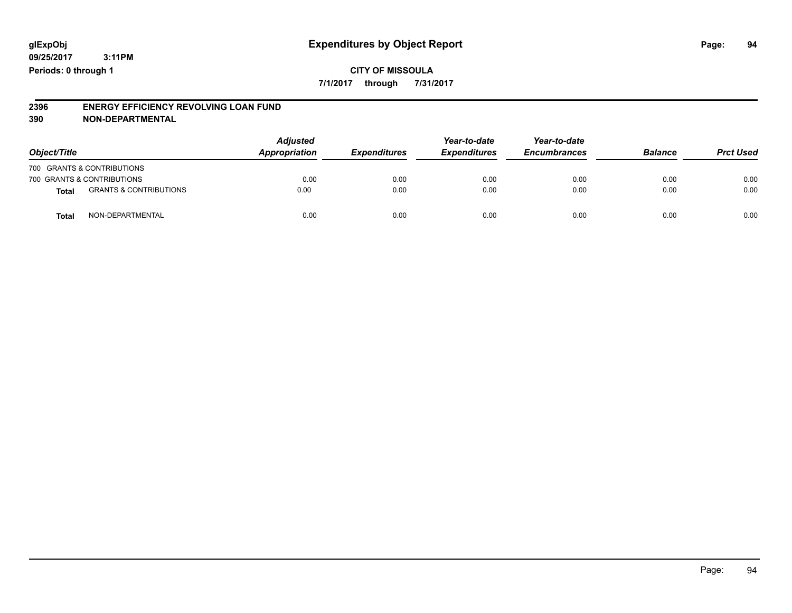**7/1/2017 through 7/31/2017**

#### **2396 ENERGY EFFICIENCY REVOLVING LOAN FUND 390 NON-DEPARTMENTAL**

| Object/Title |                                   | <b>Adjusted</b><br>Appropriation | <b>Expenditures</b> | Year-to-date<br><b>Expenditures</b> | Year-to-date<br><b>Encumbrances</b> | <b>Balance</b> | <b>Prct Used</b> |
|--------------|-----------------------------------|----------------------------------|---------------------|-------------------------------------|-------------------------------------|----------------|------------------|
|              | 700 GRANTS & CONTRIBUTIONS        |                                  |                     |                                     |                                     |                |                  |
|              | 700 GRANTS & CONTRIBUTIONS        | 0.00                             | 0.00                | 0.00                                | 0.00                                | 0.00           | 0.00             |
| <b>Total</b> | <b>GRANTS &amp; CONTRIBUTIONS</b> | 0.00                             | 0.00                | 0.00                                | 0.00                                | 0.00           | 0.00             |
| Tota         | NON-DEPARTMENTAL                  | 0.00                             | 0.00                | 0.00                                | 0.00                                | 0.00           | 0.00             |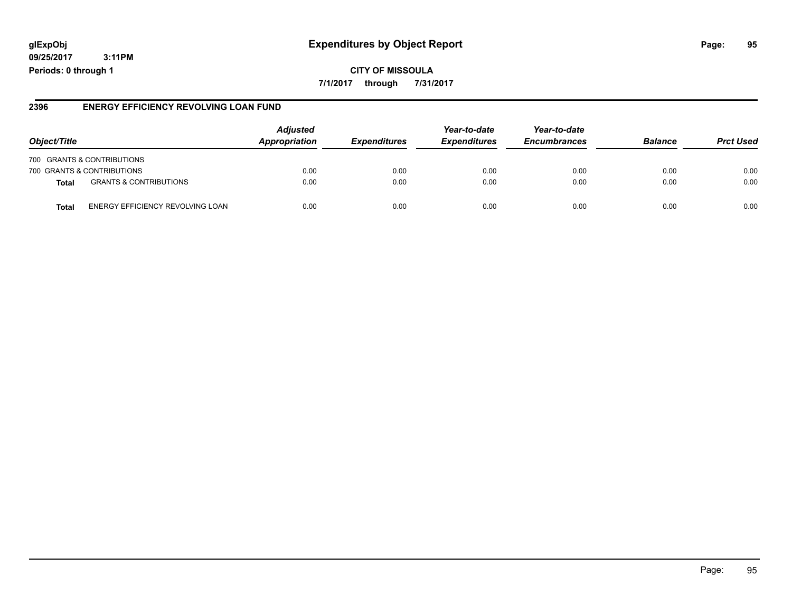### **glExpObj Expenditures by Object Report Page: 95**

**09/25/2017 3:11PM Periods: 0 through 1**

#### **2396 ENERGY EFFICIENCY REVOLVING LOAN FUND**

| Object/Title                               | <b>Adjusted</b><br><b>Appropriation</b> | <i><b>Expenditures</b></i> | Year-to-date<br><b>Expenditures</b> | Year-to-date<br><b>Encumbrances</b> | <b>Balance</b> | <b>Prct Used</b> |
|--------------------------------------------|-----------------------------------------|----------------------------|-------------------------------------|-------------------------------------|----------------|------------------|
| 700 GRANTS & CONTRIBUTIONS                 |                                         |                            |                                     |                                     |                |                  |
| 700 GRANTS & CONTRIBUTIONS                 | 0.00                                    | 0.00                       | 0.00                                | 0.00                                | 0.00           | 0.00             |
| <b>GRANTS &amp; CONTRIBUTIONS</b><br>Total | 0.00                                    | 0.00                       | 0.00                                | 0.00                                | 0.00           | 0.00             |
| ENERGY EFFICIENCY REVOLVING LOAN<br>Tota   | 0.00                                    | 0.00                       | 0.00                                | 0.00                                | 0.00           | 0.00             |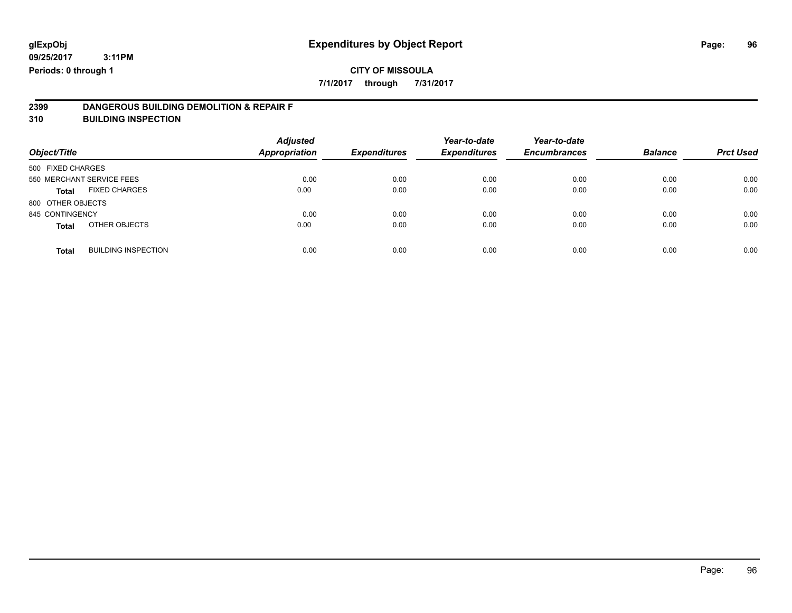### **CITY OF MISSOULA**

**7/1/2017 through 7/31/2017**

# **2399 DANGEROUS BUILDING DEMOLITION & REPAIR F**

**310 BUILDING INSPECTION**

| Object/Title      |                            | <b>Adjusted</b><br><b>Appropriation</b> | <b>Expenditures</b> | Year-to-date<br><b>Expenditures</b> | Year-to-date<br><b>Encumbrances</b> | <b>Balance</b> | <b>Prct Used</b> |
|-------------------|----------------------------|-----------------------------------------|---------------------|-------------------------------------|-------------------------------------|----------------|------------------|
| 500 FIXED CHARGES |                            |                                         |                     |                                     |                                     |                |                  |
|                   | 550 MERCHANT SERVICE FEES  | 0.00                                    | 0.00                | 0.00                                | 0.00                                | 0.00           | 0.00             |
| <b>Total</b>      | <b>FIXED CHARGES</b>       | 0.00                                    | 0.00                | 0.00                                | 0.00                                | 0.00           | 0.00             |
| 800 OTHER OBJECTS |                            |                                         |                     |                                     |                                     |                |                  |
| 845 CONTINGENCY   |                            | 0.00                                    | 0.00                | 0.00                                | 0.00                                | 0.00           | 0.00             |
| <b>Total</b>      | OTHER OBJECTS              | 0.00                                    | 0.00                | 0.00                                | 0.00                                | 0.00           | 0.00             |
| <b>Total</b>      | <b>BUILDING INSPECTION</b> | 0.00                                    | 0.00                | 0.00                                | 0.00                                | 0.00           | 0.00             |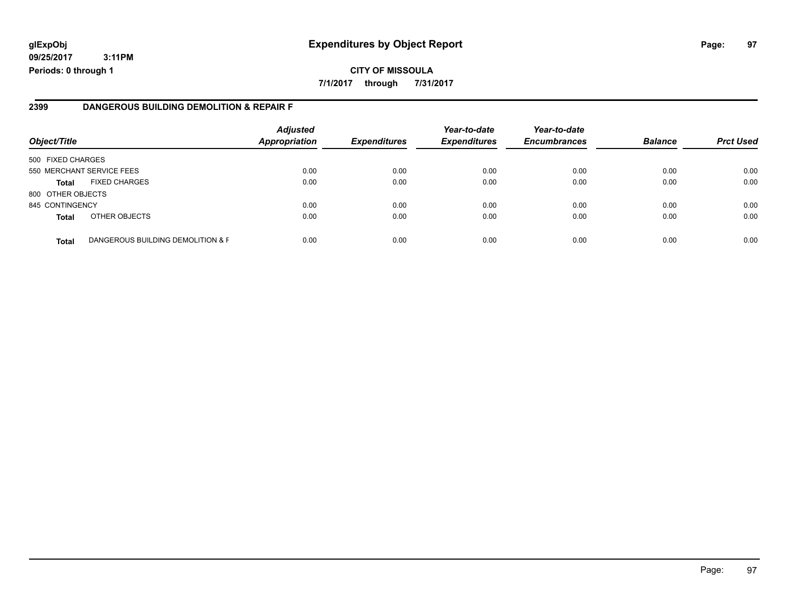### **glExpObj Expenditures by Object Report Page: 97**

**09/25/2017 3:11PM Periods: 0 through 1**

#### **2399 DANGEROUS BUILDING DEMOLITION & REPAIR F**

| Object/Title      |                                   | <b>Adjusted</b><br><b>Appropriation</b> | <b>Expenditures</b> | Year-to-date<br><b>Expenditures</b> | Year-to-date<br><b>Encumbrances</b> | <b>Balance</b> | <b>Prct Used</b> |
|-------------------|-----------------------------------|-----------------------------------------|---------------------|-------------------------------------|-------------------------------------|----------------|------------------|
| 500 FIXED CHARGES |                                   |                                         |                     |                                     |                                     |                |                  |
|                   | 550 MERCHANT SERVICE FEES         | 0.00                                    | 0.00                | 0.00                                | 0.00                                | 0.00           | 0.00             |
| <b>Total</b>      | <b>FIXED CHARGES</b>              | 0.00                                    | 0.00                | 0.00                                | 0.00                                | 0.00           | 0.00             |
| 800 OTHER OBJECTS |                                   |                                         |                     |                                     |                                     |                |                  |
| 845 CONTINGENCY   |                                   | 0.00                                    | 0.00                | 0.00                                | 0.00                                | 0.00           | 0.00             |
| <b>Total</b>      | OTHER OBJECTS                     | 0.00                                    | 0.00                | 0.00                                | 0.00                                | 0.00           | 0.00             |
| <b>Total</b>      | DANGEROUS BUILDING DEMOLITION & F | 0.00                                    | 0.00                | 0.00                                | 0.00                                | 0.00           | 0.00             |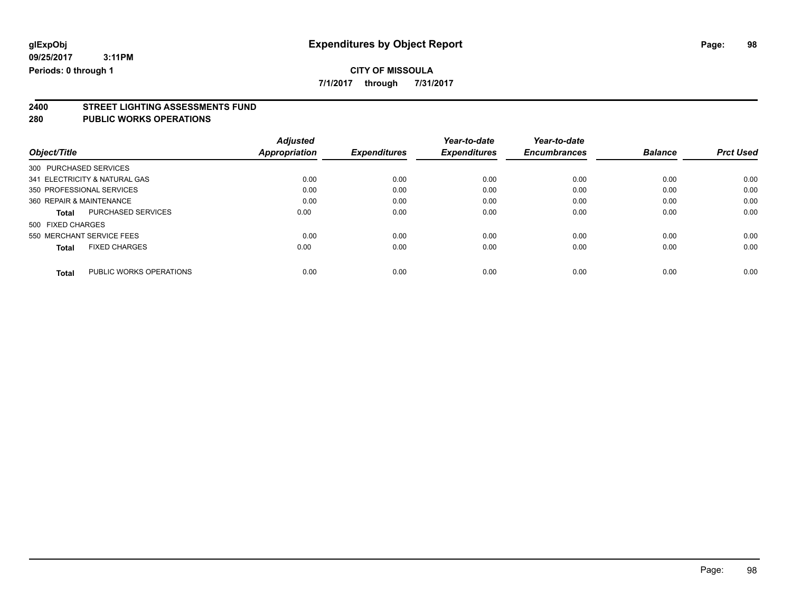**7/1/2017 through 7/31/2017**

# **2400 STREET LIGHTING ASSESSMENTS FUND**

#### **280 PUBLIC WORKS OPERATIONS**

| Object/Title              |                               | <b>Adjusted</b><br>Appropriation | <b>Expenditures</b> | Year-to-date<br><b>Expenditures</b> | Year-to-date<br><b>Encumbrances</b> | <b>Balance</b> | <b>Prct Used</b> |
|---------------------------|-------------------------------|----------------------------------|---------------------|-------------------------------------|-------------------------------------|----------------|------------------|
| 300 PURCHASED SERVICES    |                               |                                  |                     |                                     |                                     |                |                  |
|                           | 341 ELECTRICITY & NATURAL GAS | 0.00                             | 0.00                | 0.00                                | 0.00                                | 0.00           | 0.00             |
| 350 PROFESSIONAL SERVICES |                               | 0.00                             | 0.00                | 0.00                                | 0.00                                | 0.00           | 0.00             |
| 360 REPAIR & MAINTENANCE  |                               | 0.00                             | 0.00                | 0.00                                | 0.00                                | 0.00           | 0.00             |
| <b>Total</b>              | <b>PURCHASED SERVICES</b>     | 0.00                             | 0.00                | 0.00                                | 0.00                                | 0.00           | 0.00             |
| 500 FIXED CHARGES         |                               |                                  |                     |                                     |                                     |                |                  |
| 550 MERCHANT SERVICE FEES |                               | 0.00                             | 0.00                | 0.00                                | 0.00                                | 0.00           | 0.00             |
| <b>Total</b>              | <b>FIXED CHARGES</b>          | 0.00                             | 0.00                | 0.00                                | 0.00                                | 0.00           | 0.00             |
| <b>Total</b>              | PUBLIC WORKS OPERATIONS       | 0.00                             | 0.00                | 0.00                                | 0.00                                | 0.00           | 0.00             |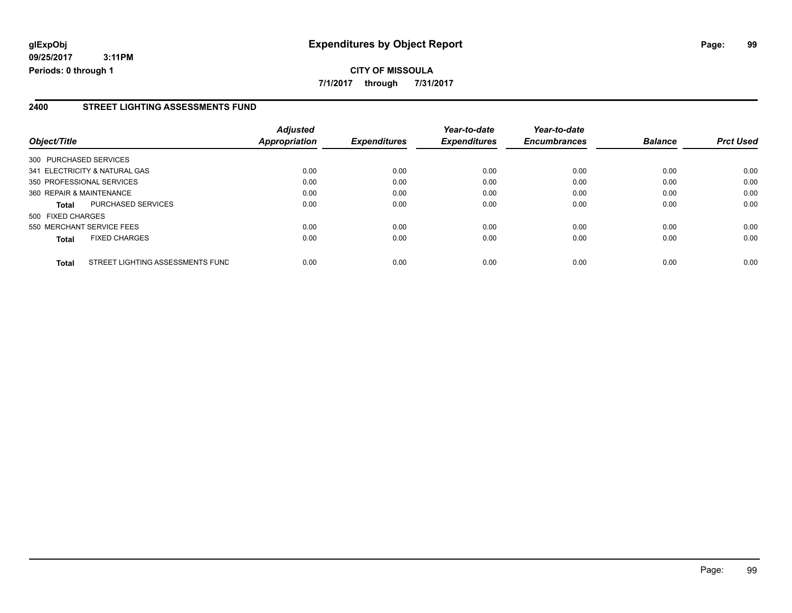#### **2400 STREET LIGHTING ASSESSMENTS FUND**

| Object/Title             |                                  | <b>Adjusted</b><br>Appropriation | <b>Expenditures</b> | Year-to-date<br><b>Expenditures</b> | Year-to-date<br><b>Encumbrances</b> | <b>Balance</b> | <b>Prct Used</b> |
|--------------------------|----------------------------------|----------------------------------|---------------------|-------------------------------------|-------------------------------------|----------------|------------------|
| 300 PURCHASED SERVICES   |                                  |                                  |                     |                                     |                                     |                |                  |
|                          | 341 ELECTRICITY & NATURAL GAS    | 0.00                             | 0.00                | 0.00                                | 0.00                                | 0.00           | 0.00             |
|                          | 350 PROFESSIONAL SERVICES        | 0.00                             | 0.00                | 0.00                                | 0.00                                | 0.00           | 0.00             |
| 360 REPAIR & MAINTENANCE |                                  | 0.00                             | 0.00                | 0.00                                | 0.00                                | 0.00           | 0.00             |
| <b>Total</b>             | <b>PURCHASED SERVICES</b>        | 0.00                             | 0.00                | 0.00                                | 0.00                                | 0.00           | 0.00             |
| 500 FIXED CHARGES        |                                  |                                  |                     |                                     |                                     |                |                  |
|                          | 550 MERCHANT SERVICE FEES        | 0.00                             | 0.00                | 0.00                                | 0.00                                | 0.00           | 0.00             |
| <b>Total</b>             | <b>FIXED CHARGES</b>             | 0.00                             | 0.00                | 0.00                                | 0.00                                | 0.00           | 0.00             |
| <b>Total</b>             | STREET LIGHTING ASSESSMENTS FUND | 0.00                             | 0.00                | 0.00                                | 0.00                                | 0.00           | 0.00             |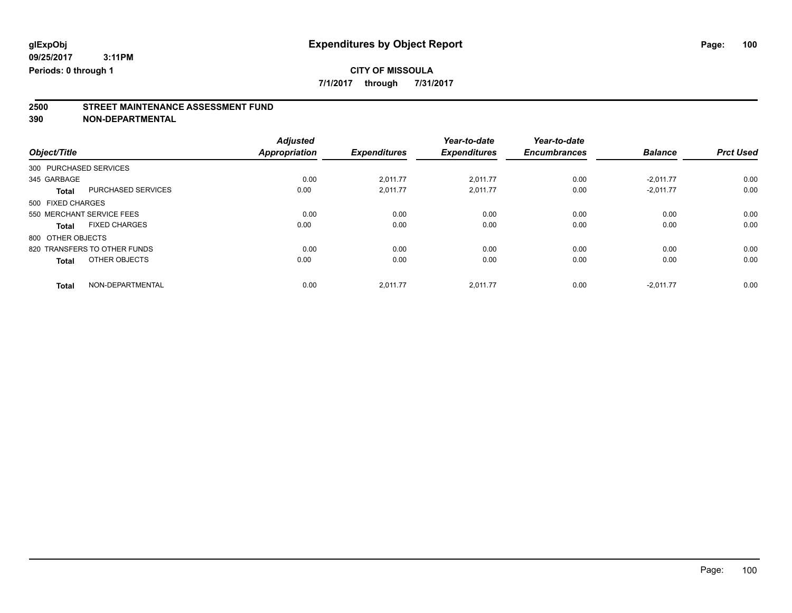**7/1/2017 through 7/31/2017**

## **2500 STREET MAINTENANCE ASSESSMENT FUND**

**390 NON-DEPARTMENTAL**

|                        |                              | <b>Adjusted</b> |                     | Year-to-date        | Year-to-date        |                |                  |
|------------------------|------------------------------|-----------------|---------------------|---------------------|---------------------|----------------|------------------|
| Object/Title           |                              | Appropriation   | <b>Expenditures</b> | <b>Expenditures</b> | <b>Encumbrances</b> | <b>Balance</b> | <b>Prct Used</b> |
| 300 PURCHASED SERVICES |                              |                 |                     |                     |                     |                |                  |
| 345 GARBAGE            |                              | 0.00            | 2.011.77            | 2.011.77            | 0.00                | $-2.011.77$    | 0.00             |
| <b>Total</b>           | <b>PURCHASED SERVICES</b>    | 0.00            | 2,011.77            | 2,011.77            | 0.00                | $-2,011.77$    | 0.00             |
| 500 FIXED CHARGES      |                              |                 |                     |                     |                     |                |                  |
|                        | 550 MERCHANT SERVICE FEES    | 0.00            | 0.00                | 0.00                | 0.00                | 0.00           | 0.00             |
| <b>Total</b>           | <b>FIXED CHARGES</b>         | 0.00            | 0.00                | 0.00                | 0.00                | 0.00           | 0.00             |
| 800 OTHER OBJECTS      |                              |                 |                     |                     |                     |                |                  |
|                        | 820 TRANSFERS TO OTHER FUNDS | 0.00            | 0.00                | 0.00                | 0.00                | 0.00           | 0.00             |
| <b>Total</b>           | OTHER OBJECTS                | 0.00            | 0.00                | 0.00                | 0.00                | 0.00           | 0.00             |
| <b>Total</b>           | NON-DEPARTMENTAL             | 0.00            | 2.011.77            | 2.011.77            | 0.00                | $-2.011.77$    | 0.00             |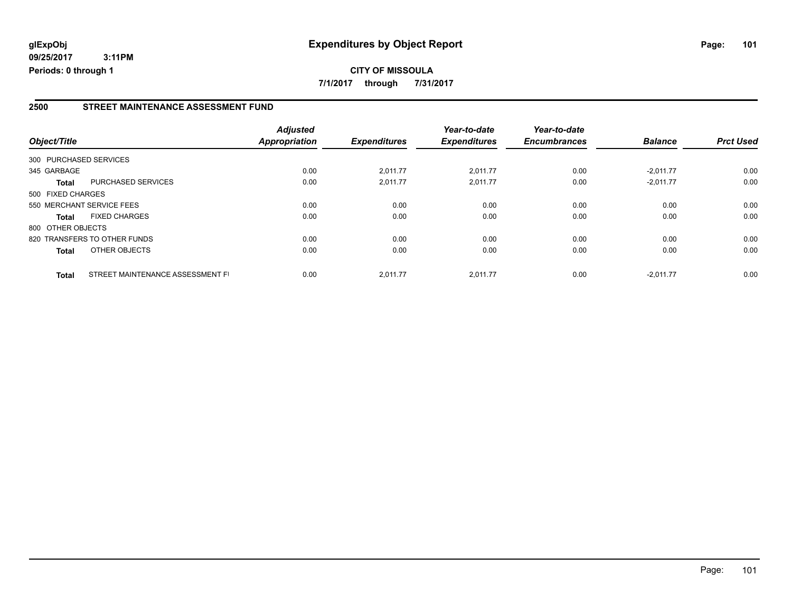#### **2500 STREET MAINTENANCE ASSESSMENT FUND**

|                        |                                  | <b>Adjusted</b>      |                     | Year-to-date        | Year-to-date        |                |                  |
|------------------------|----------------------------------|----------------------|---------------------|---------------------|---------------------|----------------|------------------|
| Object/Title           |                                  | <b>Appropriation</b> | <b>Expenditures</b> | <b>Expenditures</b> | <b>Encumbrances</b> | <b>Balance</b> | <b>Prct Used</b> |
| 300 PURCHASED SERVICES |                                  |                      |                     |                     |                     |                |                  |
| 345 GARBAGE            |                                  | 0.00                 | 2,011.77            | 2.011.77            | 0.00                | $-2.011.77$    | 0.00             |
| Total                  | PURCHASED SERVICES               | 0.00                 | 2,011.77            | 2.011.77            | 0.00                | $-2,011.77$    | 0.00             |
| 500 FIXED CHARGES      |                                  |                      |                     |                     |                     |                |                  |
|                        | 550 MERCHANT SERVICE FEES        | 0.00                 | 0.00                | 0.00                | 0.00                | 0.00           | 0.00             |
| Total                  | <b>FIXED CHARGES</b>             | 0.00                 | 0.00                | 0.00                | 0.00                | 0.00           | 0.00             |
| 800 OTHER OBJECTS      |                                  |                      |                     |                     |                     |                |                  |
|                        | 820 TRANSFERS TO OTHER FUNDS     | 0.00                 | 0.00                | 0.00                | 0.00                | 0.00           | 0.00             |
| <b>Total</b>           | OTHER OBJECTS                    | 0.00                 | 0.00                | 0.00                | 0.00                | 0.00           | 0.00             |
| <b>Total</b>           | STREET MAINTENANCE ASSESSMENT FI | 0.00                 | 2.011.77            | 2.011.77            | 0.00                | $-2.011.77$    | 0.00             |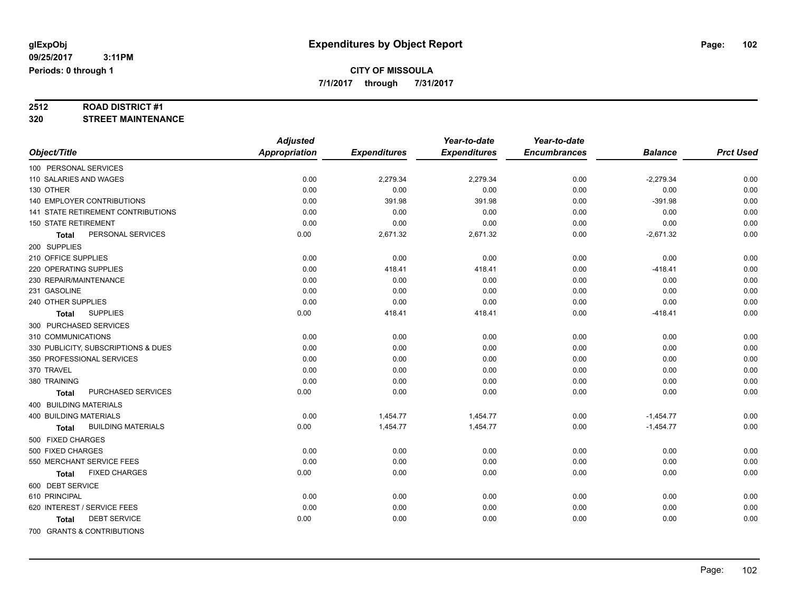**7/1/2017 through 7/31/2017**

# **2512 ROAD DISTRICT #1**

**320 STREET MAINTENANCE**

|                                     | <b>Adjusted</b>      |                     | Year-to-date        | Year-to-date        |                |                  |
|-------------------------------------|----------------------|---------------------|---------------------|---------------------|----------------|------------------|
| Object/Title                        | <b>Appropriation</b> | <b>Expenditures</b> | <b>Expenditures</b> | <b>Encumbrances</b> | <b>Balance</b> | <b>Prct Used</b> |
| 100 PERSONAL SERVICES               |                      |                     |                     |                     |                |                  |
| 110 SALARIES AND WAGES              | 0.00                 | 2,279.34            | 2,279.34            | 0.00                | $-2,279.34$    | 0.00             |
| 130 OTHER                           | 0.00                 | 0.00                | 0.00                | 0.00                | 0.00           | 0.00             |
| 140 EMPLOYER CONTRIBUTIONS          | 0.00                 | 391.98              | 391.98              | 0.00                | $-391.98$      | 0.00             |
| 141 STATE RETIREMENT CONTRIBUTIONS  | 0.00                 | 0.00                | 0.00                | 0.00                | 0.00           | 0.00             |
| <b>150 STATE RETIREMENT</b>         | 0.00                 | 0.00                | 0.00                | 0.00                | 0.00           | 0.00             |
| PERSONAL SERVICES<br><b>Total</b>   | 0.00                 | 2,671.32            | 2,671.32            | 0.00                | $-2,671.32$    | 0.00             |
| 200 SUPPLIES                        |                      |                     |                     |                     |                |                  |
| 210 OFFICE SUPPLIES                 | 0.00                 | 0.00                | 0.00                | 0.00                | 0.00           | 0.00             |
| 220 OPERATING SUPPLIES              | 0.00                 | 418.41              | 418.41              | 0.00                | $-418.41$      | 0.00             |
| 230 REPAIR/MAINTENANCE              | 0.00                 | 0.00                | 0.00                | 0.00                | 0.00           | 0.00             |
| 231 GASOLINE                        | 0.00                 | 0.00                | 0.00                | 0.00                | 0.00           | 0.00             |
| 240 OTHER SUPPLIES                  | 0.00                 | 0.00                | 0.00                | 0.00                | 0.00           | 0.00             |
| <b>SUPPLIES</b><br>Total            | 0.00                 | 418.41              | 418.41              | 0.00                | $-418.41$      | 0.00             |
| 300 PURCHASED SERVICES              |                      |                     |                     |                     |                |                  |
| 310 COMMUNICATIONS                  | 0.00                 | 0.00                | 0.00                | 0.00                | 0.00           | 0.00             |
| 330 PUBLICITY, SUBSCRIPTIONS & DUES | 0.00                 | 0.00                | 0.00                | 0.00                | 0.00           | 0.00             |
| 350 PROFESSIONAL SERVICES           | 0.00                 | 0.00                | 0.00                | 0.00                | 0.00           | 0.00             |
| 370 TRAVEL                          | 0.00                 | 0.00                | 0.00                | 0.00                | 0.00           | 0.00             |
| 380 TRAINING                        | 0.00                 | 0.00                | 0.00                | 0.00                | 0.00           | 0.00             |
| PURCHASED SERVICES<br>Total         | 0.00                 | 0.00                | 0.00                | 0.00                | 0.00           | 0.00             |
| 400 BUILDING MATERIALS              |                      |                     |                     |                     |                |                  |
| <b>400 BUILDING MATERIALS</b>       | 0.00                 | 1,454.77            | 1,454.77            | 0.00                | $-1,454.77$    | 0.00             |
| <b>BUILDING MATERIALS</b><br>Total  | 0.00                 | 1,454.77            | 1,454.77            | 0.00                | $-1,454.77$    | 0.00             |
| 500 FIXED CHARGES                   |                      |                     |                     |                     |                |                  |
| 500 FIXED CHARGES                   | 0.00                 | 0.00                | 0.00                | 0.00                | 0.00           | 0.00             |
| 550 MERCHANT SERVICE FEES           | 0.00                 | 0.00                | 0.00                | 0.00                | 0.00           | 0.00             |
| <b>FIXED CHARGES</b><br>Total       | 0.00                 | 0.00                | 0.00                | 0.00                | 0.00           | 0.00             |
| 600 DEBT SERVICE                    |                      |                     |                     |                     |                |                  |
| 610 PRINCIPAL                       | 0.00                 | 0.00                | 0.00                | 0.00                | 0.00           | 0.00             |
| 620 INTEREST / SERVICE FEES         | 0.00                 | 0.00                | 0.00                | 0.00                | 0.00           | 0.00             |
| <b>DEBT SERVICE</b><br><b>Total</b> | 0.00                 | 0.00                | 0.00                | 0.00                | 0.00           | 0.00             |
| 700 GRANTS & CONTRIBUTIONS          |                      |                     |                     |                     |                |                  |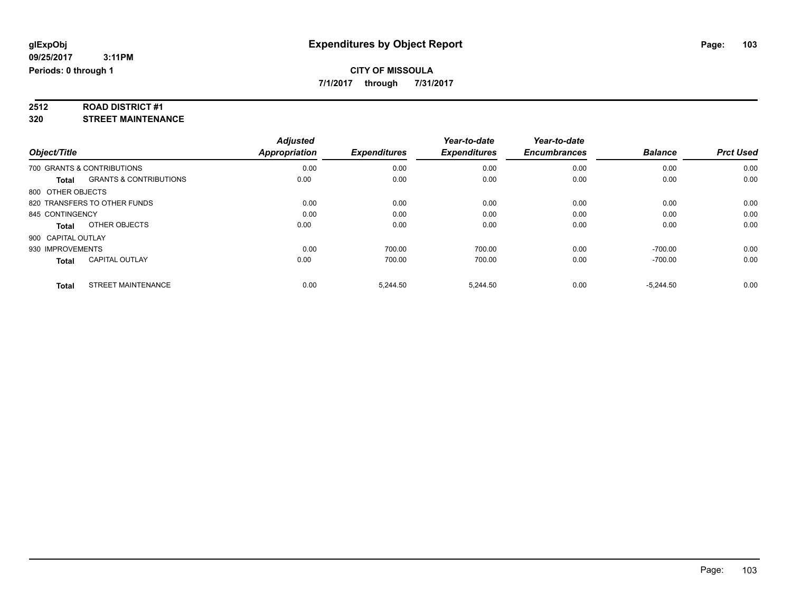**7/1/2017 through 7/31/2017**

# **2512 ROAD DISTRICT #1**

**320 STREET MAINTENANCE**

|                              |                                   | <b>Adjusted</b> |                     | Year-to-date        | Year-to-date        |                |                  |
|------------------------------|-----------------------------------|-----------------|---------------------|---------------------|---------------------|----------------|------------------|
| Object/Title                 |                                   | Appropriation   | <b>Expenditures</b> | <b>Expenditures</b> | <b>Encumbrances</b> | <b>Balance</b> | <b>Prct Used</b> |
| 700 GRANTS & CONTRIBUTIONS   |                                   | 0.00            | 0.00                | 0.00                | 0.00                | 0.00           | 0.00             |
| <b>Total</b>                 | <b>GRANTS &amp; CONTRIBUTIONS</b> | 0.00            | 0.00                | 0.00                | 0.00                | 0.00           | 0.00             |
| 800 OTHER OBJECTS            |                                   |                 |                     |                     |                     |                |                  |
| 820 TRANSFERS TO OTHER FUNDS |                                   | 0.00            | 0.00                | 0.00                | 0.00                | 0.00           | 0.00             |
| 845 CONTINGENCY              |                                   | 0.00            | 0.00                | 0.00                | 0.00                | 0.00           | 0.00             |
| <b>Total</b>                 | OTHER OBJECTS                     | 0.00            | 0.00                | 0.00                | 0.00                | 0.00           | 0.00             |
| 900 CAPITAL OUTLAY           |                                   |                 |                     |                     |                     |                |                  |
| 930 IMPROVEMENTS             |                                   | 0.00            | 700.00              | 700.00              | 0.00                | $-700.00$      | 0.00             |
| <b>Total</b>                 | <b>CAPITAL OUTLAY</b>             | 0.00            | 700.00              | 700.00              | 0.00                | $-700.00$      | 0.00             |
| <b>Total</b>                 | <b>STREET MAINTENANCE</b>         | 0.00            | 5.244.50            | 5.244.50            | 0.00                | $-5.244.50$    | 0.00             |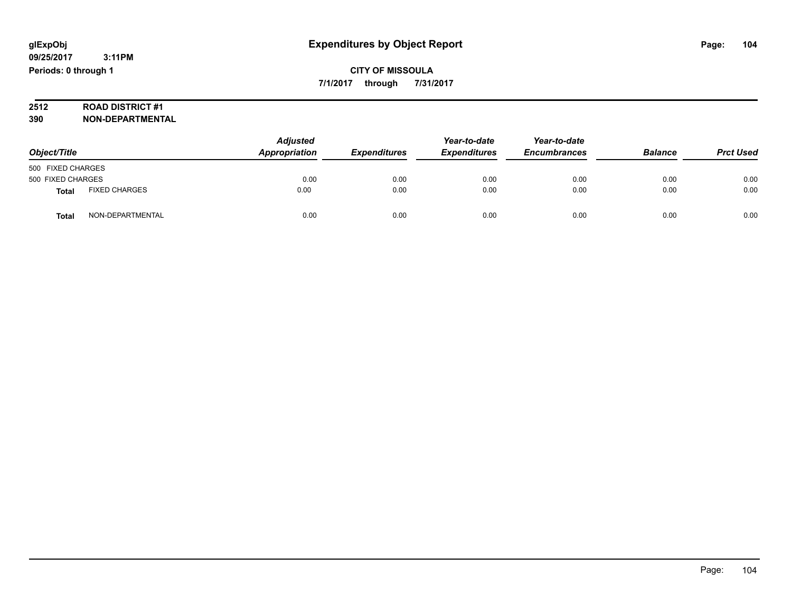# **2512 ROAD DISTRICT #1**

**390 NON-DEPARTMENTAL**

| Object/Title      |                      | <b>Adjusted</b><br>Appropriation | <b>Expenditures</b> | Year-to-date<br><b>Expenditures</b> | Year-to-date<br><b>Encumbrances</b> | <b>Balance</b> | <b>Prct Used</b> |
|-------------------|----------------------|----------------------------------|---------------------|-------------------------------------|-------------------------------------|----------------|------------------|
| 500 FIXED CHARGES |                      |                                  |                     |                                     |                                     |                |                  |
| 500 FIXED CHARGES |                      | 0.00                             | 0.00                | 0.00                                | 0.00                                | 0.00           | 0.00             |
| <b>Total</b>      | <b>FIXED CHARGES</b> | 0.00                             | 0.00                | 0.00                                | 0.00                                | 0.00           | 0.00             |
| Total             | NON-DEPARTMENTAL     | 0.00                             | 0.00                | 0.00                                | 0.00                                | 0.00           | 0.00             |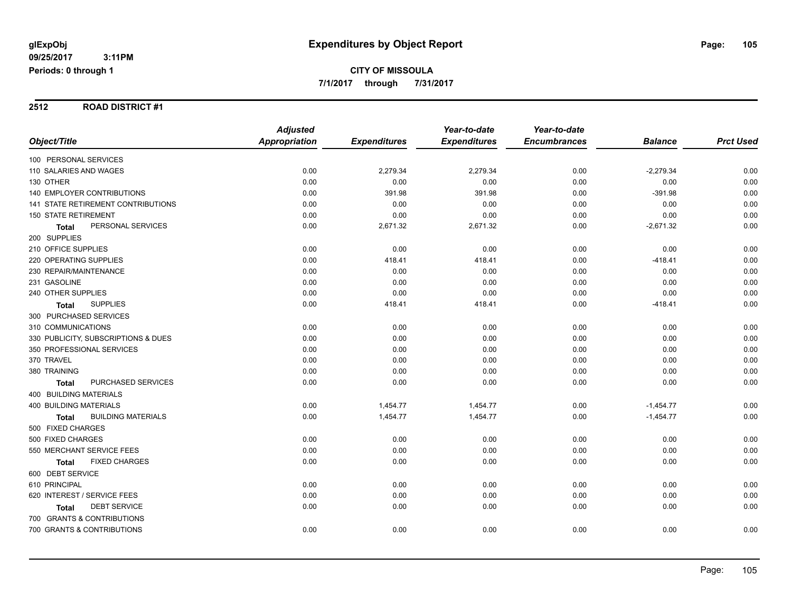#### **2512 ROAD DISTRICT #1**

|                                      | <b>Adjusted</b>      |                     | Year-to-date        | Year-to-date        |                |                  |
|--------------------------------------|----------------------|---------------------|---------------------|---------------------|----------------|------------------|
| Object/Title                         | <b>Appropriation</b> | <b>Expenditures</b> | <b>Expenditures</b> | <b>Encumbrances</b> | <b>Balance</b> | <b>Prct Used</b> |
| 100 PERSONAL SERVICES                |                      |                     |                     |                     |                |                  |
| 110 SALARIES AND WAGES               | 0.00                 | 2,279.34            | 2,279.34            | 0.00                | $-2,279.34$    | 0.00             |
| 130 OTHER                            | 0.00                 | 0.00                | 0.00                | 0.00                | 0.00           | 0.00             |
| <b>140 EMPLOYER CONTRIBUTIONS</b>    | 0.00                 | 391.98              | 391.98              | 0.00                | $-391.98$      | 0.00             |
| 141 STATE RETIREMENT CONTRIBUTIONS   | 0.00                 | 0.00                | 0.00                | 0.00                | 0.00           | 0.00             |
| <b>150 STATE RETIREMENT</b>          | 0.00                 | 0.00                | 0.00                | 0.00                | 0.00           | 0.00             |
| PERSONAL SERVICES<br>Total           | 0.00                 | 2,671.32            | 2,671.32            | 0.00                | $-2,671.32$    | 0.00             |
| 200 SUPPLIES                         |                      |                     |                     |                     |                |                  |
| 210 OFFICE SUPPLIES                  | 0.00                 | 0.00                | 0.00                | 0.00                | 0.00           | 0.00             |
| 220 OPERATING SUPPLIES               | 0.00                 | 418.41              | 418.41              | 0.00                | $-418.41$      | 0.00             |
| 230 REPAIR/MAINTENANCE               | 0.00                 | 0.00                | 0.00                | 0.00                | 0.00           | 0.00             |
| 231 GASOLINE                         | 0.00                 | 0.00                | 0.00                | 0.00                | 0.00           | 0.00             |
| 240 OTHER SUPPLIES                   | 0.00                 | 0.00                | 0.00                | 0.00                | 0.00           | 0.00             |
| <b>SUPPLIES</b><br>Total             | 0.00                 | 418.41              | 418.41              | 0.00                | $-418.41$      | 0.00             |
| 300 PURCHASED SERVICES               |                      |                     |                     |                     |                |                  |
| 310 COMMUNICATIONS                   | 0.00                 | 0.00                | 0.00                | 0.00                | 0.00           | 0.00             |
| 330 PUBLICITY, SUBSCRIPTIONS & DUES  | 0.00                 | 0.00                | 0.00                | 0.00                | 0.00           | 0.00             |
| 350 PROFESSIONAL SERVICES            | 0.00                 | 0.00                | 0.00                | 0.00                | 0.00           | 0.00             |
| 370 TRAVEL                           | 0.00                 | 0.00                | 0.00                | 0.00                | 0.00           | 0.00             |
| 380 TRAINING                         | 0.00                 | 0.00                | 0.00                | 0.00                | 0.00           | 0.00             |
| PURCHASED SERVICES<br><b>Total</b>   | 0.00                 | 0.00                | 0.00                | 0.00                | 0.00           | 0.00             |
| <b>400 BUILDING MATERIALS</b>        |                      |                     |                     |                     |                |                  |
| <b>400 BUILDING MATERIALS</b>        | 0.00                 | 1,454.77            | 1,454.77            | 0.00                | $-1,454.77$    | 0.00             |
| <b>BUILDING MATERIALS</b><br>Total   | 0.00                 | 1,454.77            | 1,454.77            | 0.00                | $-1,454.77$    | 0.00             |
| 500 FIXED CHARGES                    |                      |                     |                     |                     |                |                  |
| 500 FIXED CHARGES                    | 0.00                 | 0.00                | 0.00                | 0.00                | 0.00           | 0.00             |
| 550 MERCHANT SERVICE FEES            | 0.00                 | 0.00                | 0.00                | 0.00                | 0.00           | 0.00             |
| <b>FIXED CHARGES</b><br><b>Total</b> | 0.00                 | 0.00                | 0.00                | 0.00                | 0.00           | 0.00             |
| 600 DEBT SERVICE                     |                      |                     |                     |                     |                |                  |
| 610 PRINCIPAL                        | 0.00                 | 0.00                | 0.00                | 0.00                | 0.00           | 0.00             |
| 620 INTEREST / SERVICE FEES          | 0.00                 | 0.00                | 0.00                | 0.00                | 0.00           | 0.00             |
| <b>DEBT SERVICE</b><br><b>Total</b>  | 0.00                 | 0.00                | 0.00                | 0.00                | 0.00           | 0.00             |
| 700 GRANTS & CONTRIBUTIONS           |                      |                     |                     |                     |                |                  |
| 700 GRANTS & CONTRIBUTIONS           | 0.00                 | 0.00                | 0.00                | 0.00                | 0.00           | 0.00             |
|                                      |                      |                     |                     |                     |                |                  |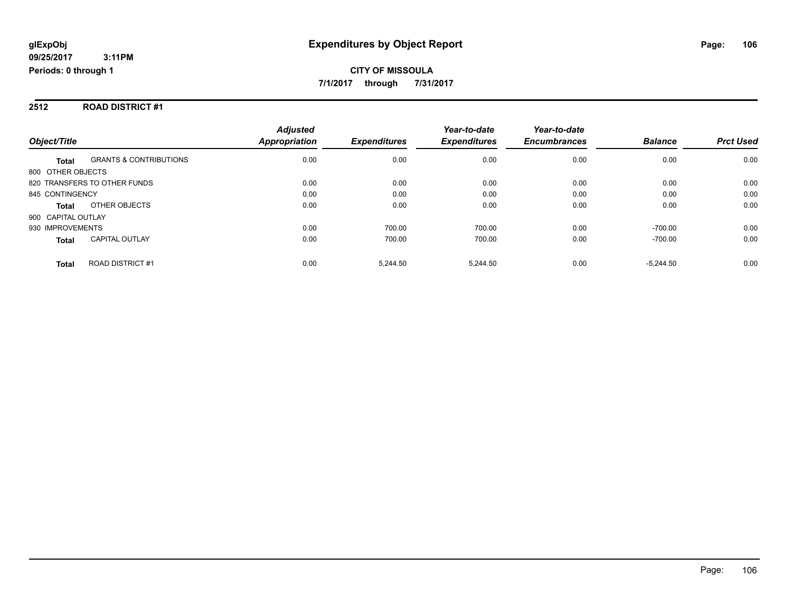#### **2512 ROAD DISTRICT #1**

|                    |                                   | <b>Adjusted</b>      |                     | Year-to-date        | Year-to-date        |                |                  |
|--------------------|-----------------------------------|----------------------|---------------------|---------------------|---------------------|----------------|------------------|
| Object/Title       |                                   | <b>Appropriation</b> | <b>Expenditures</b> | <b>Expenditures</b> | <b>Encumbrances</b> | <b>Balance</b> | <b>Prct Used</b> |
| <b>Total</b>       | <b>GRANTS &amp; CONTRIBUTIONS</b> | 0.00                 | 0.00                | 0.00                | 0.00                | 0.00           | 0.00             |
| 800 OTHER OBJECTS  |                                   |                      |                     |                     |                     |                |                  |
|                    | 820 TRANSFERS TO OTHER FUNDS      | 0.00                 | 0.00                | 0.00                | 0.00                | 0.00           | 0.00             |
| 845 CONTINGENCY    |                                   | 0.00                 | 0.00                | 0.00                | 0.00                | 0.00           | 0.00             |
| Total              | OTHER OBJECTS                     | 0.00                 | 0.00                | 0.00                | 0.00                | 0.00           | 0.00             |
| 900 CAPITAL OUTLAY |                                   |                      |                     |                     |                     |                |                  |
| 930 IMPROVEMENTS   |                                   | 0.00                 | 700.00              | 700.00              | 0.00                | $-700.00$      | 0.00             |
| <b>Total</b>       | <b>CAPITAL OUTLAY</b>             | 0.00                 | 700.00              | 700.00              | 0.00                | $-700.00$      | 0.00             |
| <b>Total</b>       | <b>ROAD DISTRICT#1</b>            | 0.00                 | 5.244.50            | 5.244.50            | 0.00                | $-5.244.50$    | 0.00             |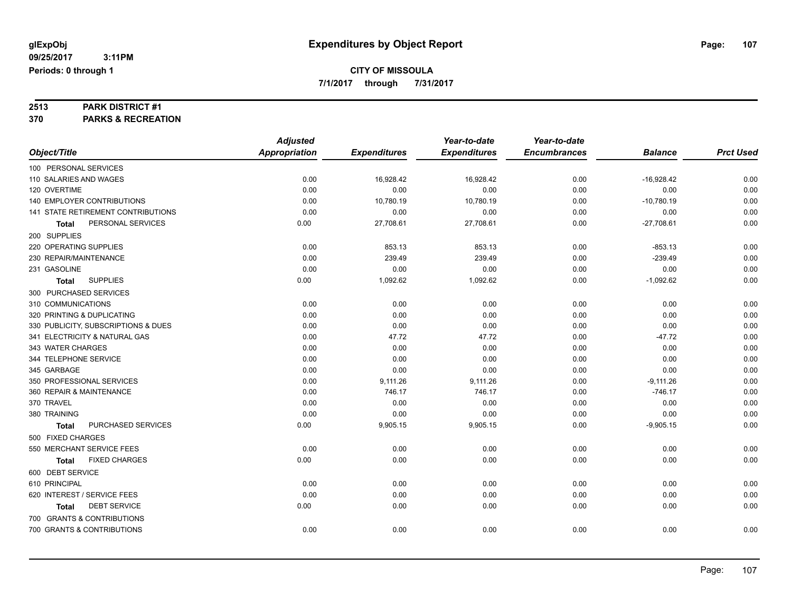**7/1/2017 through 7/31/2017**

# **2513 PARK DISTRICT #1**

**370 PARKS & RECREATION**

|                                     | <b>Adjusted</b>      |                     | Year-to-date        | Year-to-date        |                |                  |
|-------------------------------------|----------------------|---------------------|---------------------|---------------------|----------------|------------------|
| Object/Title                        | <b>Appropriation</b> | <b>Expenditures</b> | <b>Expenditures</b> | <b>Encumbrances</b> | <b>Balance</b> | <b>Prct Used</b> |
| 100 PERSONAL SERVICES               |                      |                     |                     |                     |                |                  |
| 110 SALARIES AND WAGES              | 0.00                 | 16,928.42           | 16,928.42           | 0.00                | $-16,928.42$   | 0.00             |
| 120 OVERTIME                        | 0.00                 | 0.00                | 0.00                | 0.00                | 0.00           | 0.00             |
| 140 EMPLOYER CONTRIBUTIONS          | 0.00                 | 10,780.19           | 10,780.19           | 0.00                | $-10,780.19$   | 0.00             |
| 141 STATE RETIREMENT CONTRIBUTIONS  | 0.00                 | 0.00                | 0.00                | 0.00                | 0.00           | 0.00             |
| PERSONAL SERVICES<br>Total          | 0.00                 | 27,708.61           | 27,708.61           | 0.00                | $-27,708.61$   | 0.00             |
| 200 SUPPLIES                        |                      |                     |                     |                     |                |                  |
| 220 OPERATING SUPPLIES              | 0.00                 | 853.13              | 853.13              | 0.00                | $-853.13$      | 0.00             |
| 230 REPAIR/MAINTENANCE              | 0.00                 | 239.49              | 239.49              | 0.00                | $-239.49$      | 0.00             |
| 231 GASOLINE                        | 0.00                 | 0.00                | 0.00                | 0.00                | 0.00           | 0.00             |
| <b>SUPPLIES</b><br>Total            | 0.00                 | 1,092.62            | 1,092.62            | 0.00                | $-1,092.62$    | 0.00             |
| 300 PURCHASED SERVICES              |                      |                     |                     |                     |                |                  |
| 310 COMMUNICATIONS                  | 0.00                 | 0.00                | 0.00                | 0.00                | 0.00           | 0.00             |
| 320 PRINTING & DUPLICATING          | 0.00                 | 0.00                | 0.00                | 0.00                | 0.00           | 0.00             |
| 330 PUBLICITY, SUBSCRIPTIONS & DUES | 0.00                 | 0.00                | 0.00                | 0.00                | 0.00           | 0.00             |
| 341 ELECTRICITY & NATURAL GAS       | 0.00                 | 47.72               | 47.72               | 0.00                | $-47.72$       | 0.00             |
| 343 WATER CHARGES                   | 0.00                 | 0.00                | 0.00                | 0.00                | 0.00           | 0.00             |
| 344 TELEPHONE SERVICE               | 0.00                 | 0.00                | 0.00                | 0.00                | 0.00           | 0.00             |
| 345 GARBAGE                         | 0.00                 | 0.00                | 0.00                | 0.00                | 0.00           | 0.00             |
| 350 PROFESSIONAL SERVICES           | 0.00                 | 9,111.26            | 9,111.26            | 0.00                | $-9,111.26$    | 0.00             |
| 360 REPAIR & MAINTENANCE            | 0.00                 | 746.17              | 746.17              | 0.00                | $-746.17$      | 0.00             |
| 370 TRAVEL                          | 0.00                 | 0.00                | 0.00                | 0.00                | 0.00           | 0.00             |
| 380 TRAINING                        | 0.00                 | 0.00                | 0.00                | 0.00                | 0.00           | 0.00             |
| PURCHASED SERVICES<br>Total         | 0.00                 | 9,905.15            | 9,905.15            | 0.00                | $-9,905.15$    | 0.00             |
| 500 FIXED CHARGES                   |                      |                     |                     |                     |                |                  |
| 550 MERCHANT SERVICE FEES           | 0.00                 | 0.00                | 0.00                | 0.00                | 0.00           | 0.00             |
| <b>FIXED CHARGES</b><br>Total       | 0.00                 | 0.00                | 0.00                | 0.00                | 0.00           | 0.00             |
| 600 DEBT SERVICE                    |                      |                     |                     |                     |                |                  |
| 610 PRINCIPAL                       | 0.00                 | 0.00                | 0.00                | 0.00                | 0.00           | 0.00             |
| 620 INTEREST / SERVICE FEES         | 0.00                 | 0.00                | 0.00                | 0.00                | 0.00           | 0.00             |
| <b>DEBT SERVICE</b><br><b>Total</b> | 0.00                 | 0.00                | 0.00                | 0.00                | 0.00           | 0.00             |
| 700 GRANTS & CONTRIBUTIONS          |                      |                     |                     |                     |                |                  |
| 700 GRANTS & CONTRIBUTIONS          | 0.00                 | 0.00                | 0.00                | 0.00                | 0.00           | 0.00             |
|                                     |                      |                     |                     |                     |                |                  |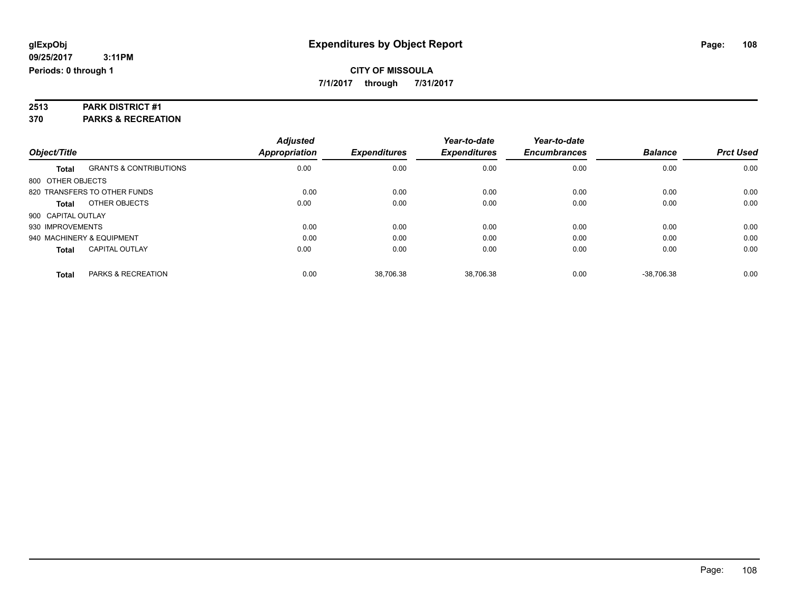**7/1/2017 through 7/31/2017**

# **2513 PARK DISTRICT #1**

**370 PARKS & RECREATION**

|                    |                                   | <b>Adjusted</b> |                     | Year-to-date        | Year-to-date        |                |                  |
|--------------------|-----------------------------------|-----------------|---------------------|---------------------|---------------------|----------------|------------------|
| Object/Title       |                                   | Appropriation   | <b>Expenditures</b> | <b>Expenditures</b> | <b>Encumbrances</b> | <b>Balance</b> | <b>Prct Used</b> |
| <b>Total</b>       | <b>GRANTS &amp; CONTRIBUTIONS</b> | 0.00            | 0.00                | 0.00                | 0.00                | 0.00           | 0.00             |
| 800 OTHER OBJECTS  |                                   |                 |                     |                     |                     |                |                  |
|                    | 820 TRANSFERS TO OTHER FUNDS      | 0.00            | 0.00                | 0.00                | 0.00                | 0.00           | 0.00             |
| <b>Total</b>       | OTHER OBJECTS                     | 0.00            | 0.00                | 0.00                | 0.00                | 0.00           | 0.00             |
| 900 CAPITAL OUTLAY |                                   |                 |                     |                     |                     |                |                  |
| 930 IMPROVEMENTS   |                                   | 0.00            | 0.00                | 0.00                | 0.00                | 0.00           | 0.00             |
|                    | 940 MACHINERY & EQUIPMENT         | 0.00            | 0.00                | 0.00                | 0.00                | 0.00           | 0.00             |
| <b>Total</b>       | <b>CAPITAL OUTLAY</b>             | 0.00            | 0.00                | 0.00                | 0.00                | 0.00           | 0.00             |
| <b>Total</b>       | PARKS & RECREATION                | 0.00            | 38.706.38           | 38.706.38           | 0.00                | $-38.706.38$   | 0.00             |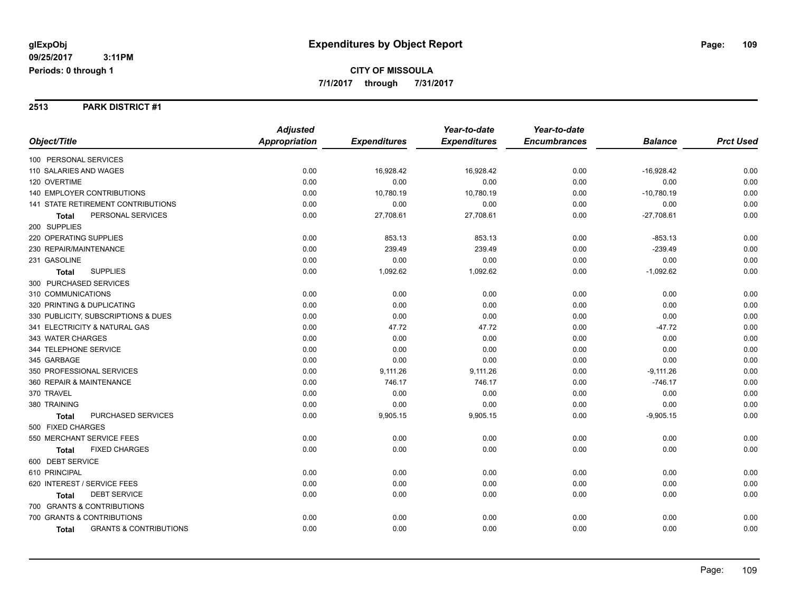#### **2513 PARK DISTRICT #1**

|                                            | <b>Adjusted</b>      |                     | Year-to-date        | Year-to-date        |                |                  |
|--------------------------------------------|----------------------|---------------------|---------------------|---------------------|----------------|------------------|
| Object/Title                               | <b>Appropriation</b> | <b>Expenditures</b> | <b>Expenditures</b> | <b>Encumbrances</b> | <b>Balance</b> | <b>Prct Used</b> |
| 100 PERSONAL SERVICES                      |                      |                     |                     |                     |                |                  |
| 110 SALARIES AND WAGES                     | 0.00                 | 16,928.42           | 16,928.42           | 0.00                | $-16,928.42$   | 0.00             |
| 120 OVERTIME                               | 0.00                 | 0.00                | 0.00                | 0.00                | 0.00           | 0.00             |
| 140 EMPLOYER CONTRIBUTIONS                 | 0.00                 | 10,780.19           | 10,780.19           | 0.00                | $-10,780.19$   | 0.00             |
| 141 STATE RETIREMENT CONTRIBUTIONS         | 0.00                 | 0.00                | 0.00                | 0.00                | 0.00           | 0.00             |
| PERSONAL SERVICES<br><b>Total</b>          | 0.00                 | 27,708.61           | 27,708.61           | 0.00                | $-27,708.61$   | 0.00             |
| 200 SUPPLIES                               |                      |                     |                     |                     |                |                  |
| 220 OPERATING SUPPLIES                     | 0.00                 | 853.13              | 853.13              | 0.00                | $-853.13$      | 0.00             |
| 230 REPAIR/MAINTENANCE                     | 0.00                 | 239.49              | 239.49              | 0.00                | $-239.49$      | 0.00             |
| 231 GASOLINE                               | 0.00                 | 0.00                | 0.00                | 0.00                | 0.00           | 0.00             |
| <b>SUPPLIES</b><br><b>Total</b>            | 0.00                 | 1,092.62            | 1,092.62            | 0.00                | $-1,092.62$    | 0.00             |
| 300 PURCHASED SERVICES                     |                      |                     |                     |                     |                |                  |
| 310 COMMUNICATIONS                         | 0.00                 | 0.00                | 0.00                | 0.00                | 0.00           | 0.00             |
| 320 PRINTING & DUPLICATING                 | 0.00                 | 0.00                | 0.00                | 0.00                | 0.00           | 0.00             |
| 330 PUBLICITY, SUBSCRIPTIONS & DUES        | 0.00                 | 0.00                | 0.00                | 0.00                | 0.00           | 0.00             |
| 341 ELECTRICITY & NATURAL GAS              | 0.00                 | 47.72               | 47.72               | 0.00                | $-47.72$       | 0.00             |
| 343 WATER CHARGES                          | 0.00                 | 0.00                | 0.00                | 0.00                | 0.00           | 0.00             |
| 344 TELEPHONE SERVICE                      | 0.00                 | 0.00                | 0.00                | 0.00                | 0.00           | 0.00             |
| 345 GARBAGE                                | 0.00                 | 0.00                | 0.00                | 0.00                | 0.00           | 0.00             |
| 350 PROFESSIONAL SERVICES                  | 0.00                 | 9,111.26            | 9,111.26            | 0.00                | $-9,111.26$    | 0.00             |
| 360 REPAIR & MAINTENANCE                   | 0.00                 | 746.17              | 746.17              | 0.00                | $-746.17$      | 0.00             |
| 370 TRAVEL                                 | 0.00                 | 0.00                | 0.00                | 0.00                | 0.00           | 0.00             |
| 380 TRAINING                               | 0.00                 | 0.00                | 0.00                | 0.00                | 0.00           | 0.00             |
| PURCHASED SERVICES<br><b>Total</b>         | 0.00                 | 9,905.15            | 9,905.15            | 0.00                | $-9,905.15$    | 0.00             |
| 500 FIXED CHARGES                          |                      |                     |                     |                     |                |                  |
| 550 MERCHANT SERVICE FEES                  | 0.00                 | 0.00                | 0.00                | 0.00                | 0.00           | 0.00             |
| <b>FIXED CHARGES</b><br><b>Total</b>       | 0.00                 | 0.00                | 0.00                | 0.00                | 0.00           | 0.00             |
| 600 DEBT SERVICE                           |                      |                     |                     |                     |                |                  |
| 610 PRINCIPAL                              | 0.00                 | 0.00                | 0.00                | 0.00                | 0.00           | 0.00             |
| 620 INTEREST / SERVICE FEES                | 0.00                 | 0.00                | 0.00                | 0.00                | 0.00           | 0.00             |
| <b>DEBT SERVICE</b><br><b>Total</b>        | 0.00                 | 0.00                | 0.00                | 0.00                | 0.00           | 0.00             |
| 700 GRANTS & CONTRIBUTIONS                 |                      |                     |                     |                     |                |                  |
| 700 GRANTS & CONTRIBUTIONS                 | 0.00                 | 0.00                | 0.00                | 0.00                | 0.00           | 0.00             |
| <b>GRANTS &amp; CONTRIBUTIONS</b><br>Total | 0.00                 | 0.00                | 0.00                | 0.00                | 0.00           | 0.00             |
|                                            |                      |                     |                     |                     |                |                  |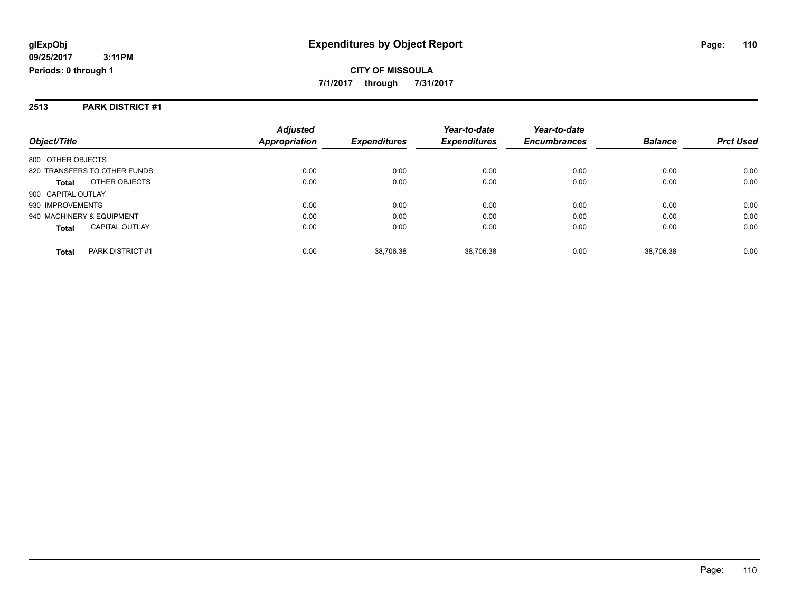#### **2513 PARK DISTRICT #1**

|                                       | <b>Adjusted</b> |                     | Year-to-date        | Year-to-date        |                |                  |
|---------------------------------------|-----------------|---------------------|---------------------|---------------------|----------------|------------------|
| Object/Title                          | Appropriation   | <b>Expenditures</b> | <b>Expenditures</b> | <b>Encumbrances</b> | <b>Balance</b> | <b>Prct Used</b> |
| 800 OTHER OBJECTS                     |                 |                     |                     |                     |                |                  |
| 820 TRANSFERS TO OTHER FUNDS          | 0.00            | 0.00                | 0.00                | 0.00                | 0.00           | 0.00             |
| OTHER OBJECTS<br><b>Total</b>         | 0.00            | 0.00                | 0.00                | 0.00                | 0.00           | 0.00             |
| 900 CAPITAL OUTLAY                    |                 |                     |                     |                     |                |                  |
| 930 IMPROVEMENTS                      | 0.00            | 0.00                | 0.00                | 0.00                | 0.00           | 0.00             |
| 940 MACHINERY & EQUIPMENT             | 0.00            | 0.00                | 0.00                | 0.00                | 0.00           | 0.00             |
| <b>CAPITAL OUTLAY</b><br><b>Total</b> | 0.00            | 0.00                | 0.00                | 0.00                | 0.00           | 0.00             |
| PARK DISTRICT #1<br><b>Total</b>      | 0.00            | 38.706.38           | 38.706.38           | 0.00                | $-38.706.38$   | 0.00             |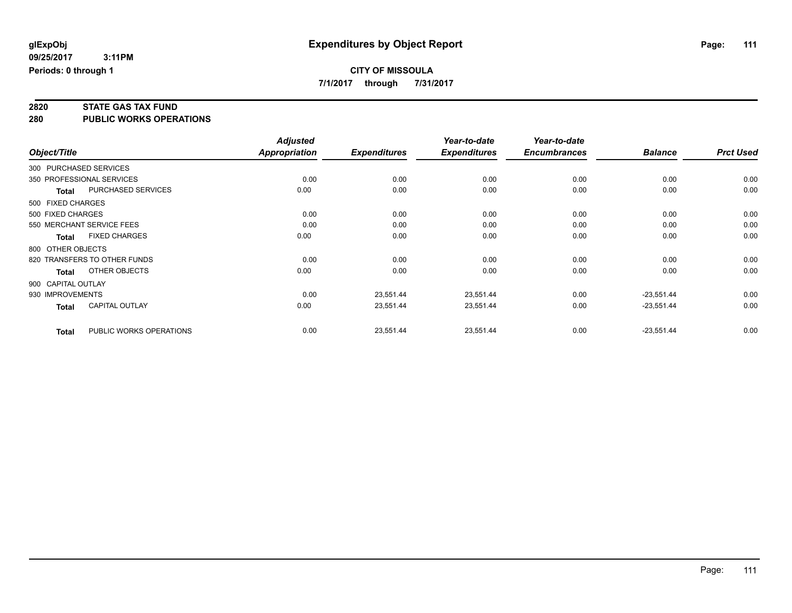**7/1/2017 through 7/31/2017**

## **2820 STATE GAS TAX FUND**

**280 PUBLIC WORKS OPERATIONS**

|                    |                              | <b>Adjusted</b> |                     | Year-to-date        | Year-to-date        |                |                  |
|--------------------|------------------------------|-----------------|---------------------|---------------------|---------------------|----------------|------------------|
| Object/Title       |                              | Appropriation   | <b>Expenditures</b> | <b>Expenditures</b> | <b>Encumbrances</b> | <b>Balance</b> | <b>Prct Used</b> |
|                    | 300 PURCHASED SERVICES       |                 |                     |                     |                     |                |                  |
|                    | 350 PROFESSIONAL SERVICES    | 0.00            | 0.00                | 0.00                | 0.00                | 0.00           | 0.00             |
| Total              | <b>PURCHASED SERVICES</b>    | 0.00            | 0.00                | 0.00                | 0.00                | 0.00           | 0.00             |
| 500 FIXED CHARGES  |                              |                 |                     |                     |                     |                |                  |
| 500 FIXED CHARGES  |                              | 0.00            | 0.00                | 0.00                | 0.00                | 0.00           | 0.00             |
|                    | 550 MERCHANT SERVICE FEES    | 0.00            | 0.00                | 0.00                | 0.00                | 0.00           | 0.00             |
| <b>Total</b>       | <b>FIXED CHARGES</b>         | 0.00            | 0.00                | 0.00                | 0.00                | 0.00           | 0.00             |
| 800 OTHER OBJECTS  |                              |                 |                     |                     |                     |                |                  |
|                    | 820 TRANSFERS TO OTHER FUNDS | 0.00            | 0.00                | 0.00                | 0.00                | 0.00           | 0.00             |
| Total              | OTHER OBJECTS                | 0.00            | 0.00                | 0.00                | 0.00                | 0.00           | 0.00             |
| 900 CAPITAL OUTLAY |                              |                 |                     |                     |                     |                |                  |
| 930 IMPROVEMENTS   |                              | 0.00            | 23,551.44           | 23,551.44           | 0.00                | $-23,551.44$   | 0.00             |
| <b>Total</b>       | <b>CAPITAL OUTLAY</b>        | 0.00            | 23,551.44           | 23,551.44           | 0.00                | $-23,551.44$   | 0.00             |
| <b>Total</b>       | PUBLIC WORKS OPERATIONS      | 0.00            | 23,551.44           | 23,551.44           | 0.00                | $-23,551.44$   | 0.00             |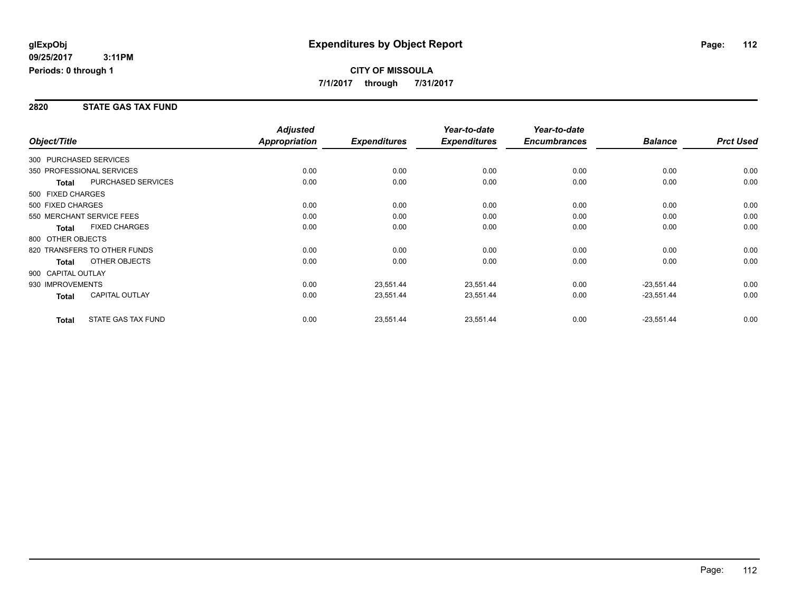#### **2820 STATE GAS TAX FUND**

|                    |                              | <b>Adjusted</b>      |                     | Year-to-date        | Year-to-date        |                |                  |
|--------------------|------------------------------|----------------------|---------------------|---------------------|---------------------|----------------|------------------|
| Object/Title       |                              | <b>Appropriation</b> | <b>Expenditures</b> | <b>Expenditures</b> | <b>Encumbrances</b> | <b>Balance</b> | <b>Prct Used</b> |
|                    | 300 PURCHASED SERVICES       |                      |                     |                     |                     |                |                  |
|                    | 350 PROFESSIONAL SERVICES    | 0.00                 | 0.00                | 0.00                | 0.00                | 0.00           | 0.00             |
| Total              | <b>PURCHASED SERVICES</b>    | 0.00                 | 0.00                | 0.00                | 0.00                | 0.00           | 0.00             |
| 500 FIXED CHARGES  |                              |                      |                     |                     |                     |                |                  |
| 500 FIXED CHARGES  |                              | 0.00                 | 0.00                | 0.00                | 0.00                | 0.00           | 0.00             |
|                    | 550 MERCHANT SERVICE FEES    | 0.00                 | 0.00                | 0.00                | 0.00                | 0.00           | 0.00             |
| <b>Total</b>       | <b>FIXED CHARGES</b>         | 0.00                 | 0.00                | 0.00                | 0.00                | 0.00           | 0.00             |
| 800 OTHER OBJECTS  |                              |                      |                     |                     |                     |                |                  |
|                    | 820 TRANSFERS TO OTHER FUNDS | 0.00                 | 0.00                | 0.00                | 0.00                | 0.00           | 0.00             |
| <b>Total</b>       | OTHER OBJECTS                | 0.00                 | 0.00                | 0.00                | 0.00                | 0.00           | 0.00             |
| 900 CAPITAL OUTLAY |                              |                      |                     |                     |                     |                |                  |
| 930 IMPROVEMENTS   |                              | 0.00                 | 23,551.44           | 23,551.44           | 0.00                | $-23,551.44$   | 0.00             |
| <b>Total</b>       | <b>CAPITAL OUTLAY</b>        | 0.00                 | 23,551.44           | 23,551.44           | 0.00                | $-23,551.44$   | 0.00             |
| <b>Total</b>       | STATE GAS TAX FUND           | 0.00                 | 23,551.44           | 23,551.44           | 0.00                | $-23,551.44$   | 0.00             |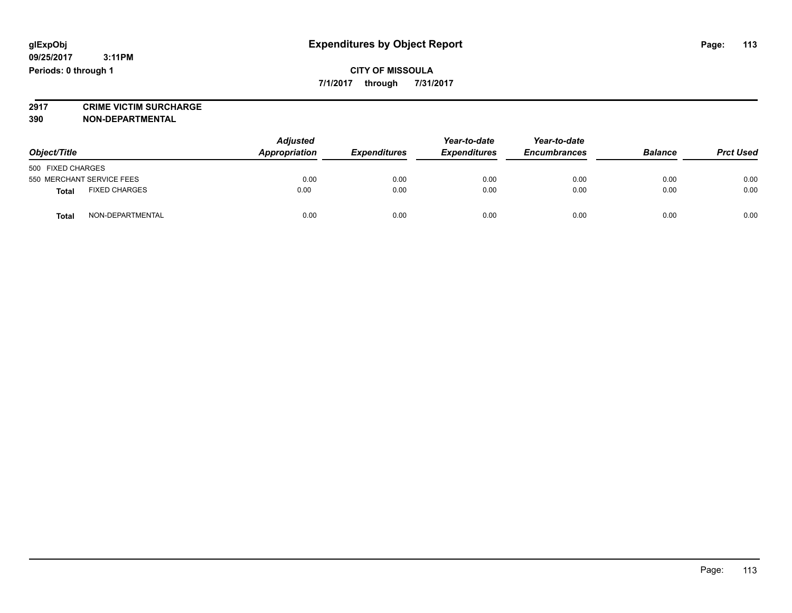#### **CITY OF MISSOULA 7/1/2017 through 7/31/2017**

**2917 CRIME VICTIM SURCHARGE**

**390 NON-DEPARTMENTAL**

| Object/Title              |                      | <b>Adjusted</b><br>Appropriation | <b>Expenditures</b> | Year-to-date<br><b>Expenditures</b> | Year-to-date<br><b>Encumbrances</b> | <b>Balance</b> | <b>Prct Used</b> |
|---------------------------|----------------------|----------------------------------|---------------------|-------------------------------------|-------------------------------------|----------------|------------------|
| 500 FIXED CHARGES         |                      |                                  |                     |                                     |                                     |                |                  |
| 550 MERCHANT SERVICE FEES |                      | 0.00                             | 0.00                | 0.00                                | 0.00                                | 0.00           | 0.00             |
| <b>Total</b>              | <b>FIXED CHARGES</b> | 0.00                             | 0.00                | 0.00                                | 0.00                                | 0.00           | 0.00             |
| <b>Total</b>              | NON-DEPARTMENTAL     | 0.00                             | 0.00                | 0.00                                | 0.00                                | 0.00           | 0.00             |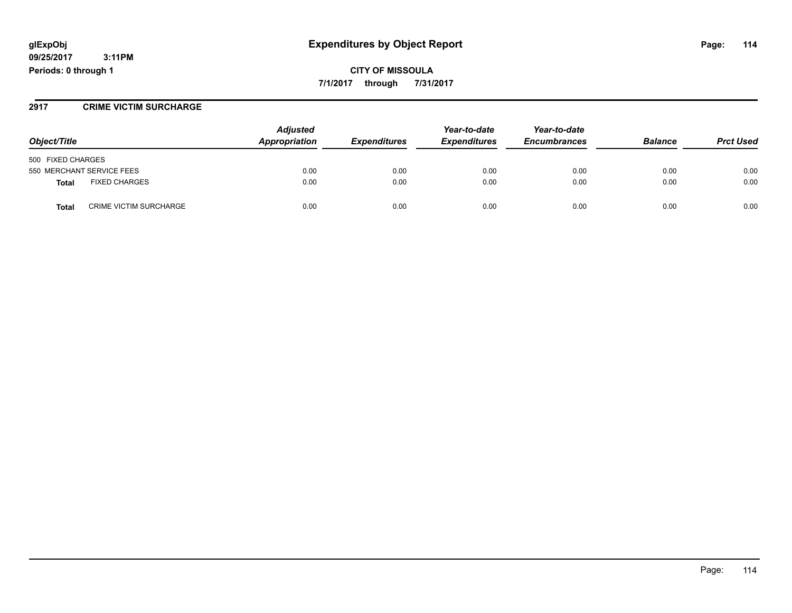**CITY OF MISSOULA 7/1/2017 through 7/31/2017**

#### **2917 CRIME VICTIM SURCHARGE**

|                                               | <b>Adjusted</b> |                     | Year-to-date        | Year-to-date        |                |                  |
|-----------------------------------------------|-----------------|---------------------|---------------------|---------------------|----------------|------------------|
| Object/Title                                  | Appropriation   | <b>Expenditures</b> | <b>Expenditures</b> | <b>Encumbrances</b> | <b>Balance</b> | <b>Prct Used</b> |
| 500 FIXED CHARGES                             |                 |                     |                     |                     |                |                  |
| 550 MERCHANT SERVICE FEES                     | 0.00            | 0.00                | 0.00                | 0.00                | 0.00           | 0.00             |
| <b>FIXED CHARGES</b><br>Total                 | 0.00            | 0.00                | 0.00                | 0.00                | 0.00           | 0.00             |
| <b>CRIME VICTIM SURCHARGE</b><br><b>Total</b> | 0.00            | 0.00                | 0.00                | 0.00                | 0.00           | 0.00             |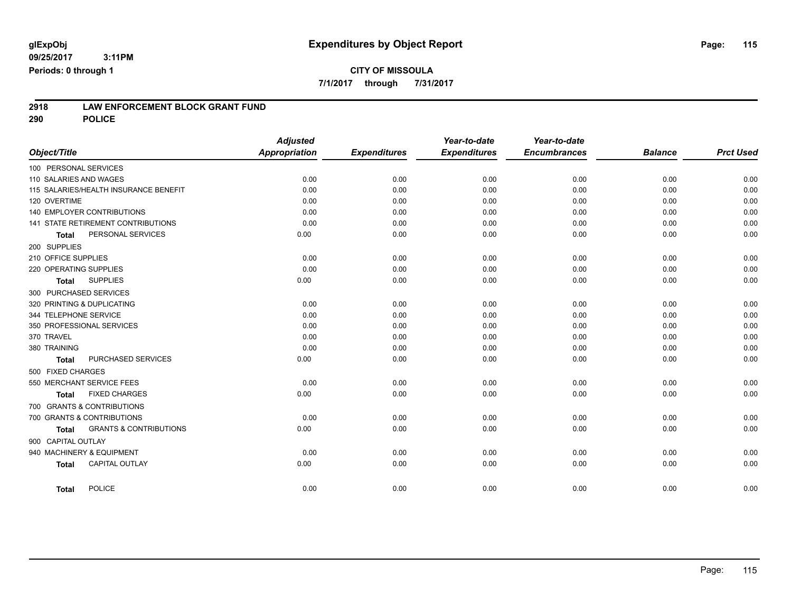### **CITY OF MISSOULA**

**7/1/2017 through 7/31/2017**

## **2918 LAW ENFORCEMENT BLOCK GRANT FUND**

**290 POLICE**

| Object/Title                                      | <b>Adjusted</b><br><b>Appropriation</b> | <b>Expenditures</b> | Year-to-date<br><b>Expenditures</b> | Year-to-date<br><b>Encumbrances</b> | <b>Balance</b> | <b>Prct Used</b> |
|---------------------------------------------------|-----------------------------------------|---------------------|-------------------------------------|-------------------------------------|----------------|------------------|
| 100 PERSONAL SERVICES                             |                                         |                     |                                     |                                     |                |                  |
| 110 SALARIES AND WAGES                            | 0.00                                    | 0.00                | 0.00                                | 0.00                                | 0.00           | 0.00             |
| 115 SALARIES/HEALTH INSURANCE BENEFIT             | 0.00                                    | 0.00                | 0.00                                | 0.00                                | 0.00           | 0.00             |
| 120 OVERTIME                                      | 0.00                                    | 0.00                | 0.00                                | 0.00                                | 0.00           | 0.00             |
| <b>140 EMPLOYER CONTRIBUTIONS</b>                 | 0.00                                    | 0.00                | 0.00                                | 0.00                                | 0.00           | 0.00             |
| 141 STATE RETIREMENT CONTRIBUTIONS                | 0.00                                    | 0.00                | 0.00                                | 0.00                                | 0.00           | 0.00             |
| PERSONAL SERVICES<br><b>Total</b>                 | 0.00                                    | 0.00                | 0.00                                | 0.00                                | 0.00           | 0.00             |
| 200 SUPPLIES                                      |                                         |                     |                                     |                                     |                |                  |
| 210 OFFICE SUPPLIES                               | 0.00                                    | 0.00                | 0.00                                | 0.00                                | 0.00           | 0.00             |
| 220 OPERATING SUPPLIES                            | 0.00                                    | 0.00                | 0.00                                | 0.00                                | 0.00           | 0.00             |
| <b>SUPPLIES</b><br><b>Total</b>                   | 0.00                                    | 0.00                | 0.00                                | 0.00                                | 0.00           | 0.00             |
| 300 PURCHASED SERVICES                            |                                         |                     |                                     |                                     |                |                  |
| 320 PRINTING & DUPLICATING                        | 0.00                                    | 0.00                | 0.00                                | 0.00                                | 0.00           | 0.00             |
| 344 TELEPHONE SERVICE                             | 0.00                                    | 0.00                | 0.00                                | 0.00                                | 0.00           | 0.00             |
| 350 PROFESSIONAL SERVICES                         | 0.00                                    | 0.00                | 0.00                                | 0.00                                | 0.00           | 0.00             |
| 370 TRAVEL                                        | 0.00                                    | 0.00                | 0.00                                | 0.00                                | 0.00           | 0.00             |
| 380 TRAINING                                      | 0.00                                    | 0.00                | 0.00                                | 0.00                                | 0.00           | 0.00             |
| PURCHASED SERVICES<br><b>Total</b>                | 0.00                                    | 0.00                | 0.00                                | 0.00                                | 0.00           | 0.00             |
| 500 FIXED CHARGES                                 |                                         |                     |                                     |                                     |                |                  |
| 550 MERCHANT SERVICE FEES                         | 0.00                                    | 0.00                | 0.00                                | 0.00                                | 0.00           | 0.00             |
| <b>FIXED CHARGES</b><br><b>Total</b>              | 0.00                                    | 0.00                | 0.00                                | 0.00                                | 0.00           | 0.00             |
| 700 GRANTS & CONTRIBUTIONS                        |                                         |                     |                                     |                                     |                |                  |
| 700 GRANTS & CONTRIBUTIONS                        | 0.00                                    | 0.00                | 0.00                                | 0.00                                | 0.00           | 0.00             |
| <b>GRANTS &amp; CONTRIBUTIONS</b><br><b>Total</b> | 0.00                                    | 0.00                | 0.00                                | 0.00                                | 0.00           | 0.00             |
| 900 CAPITAL OUTLAY                                |                                         |                     |                                     |                                     |                |                  |
| 940 MACHINERY & EQUIPMENT                         | 0.00                                    | 0.00                | 0.00                                | 0.00                                | 0.00           | 0.00             |
| <b>CAPITAL OUTLAY</b><br><b>Total</b>             | 0.00                                    | 0.00                | 0.00                                | 0.00                                | 0.00           | 0.00             |
| <b>POLICE</b><br><b>Total</b>                     | 0.00                                    | 0.00                | 0.00                                | 0.00                                | 0.00           | 0.00             |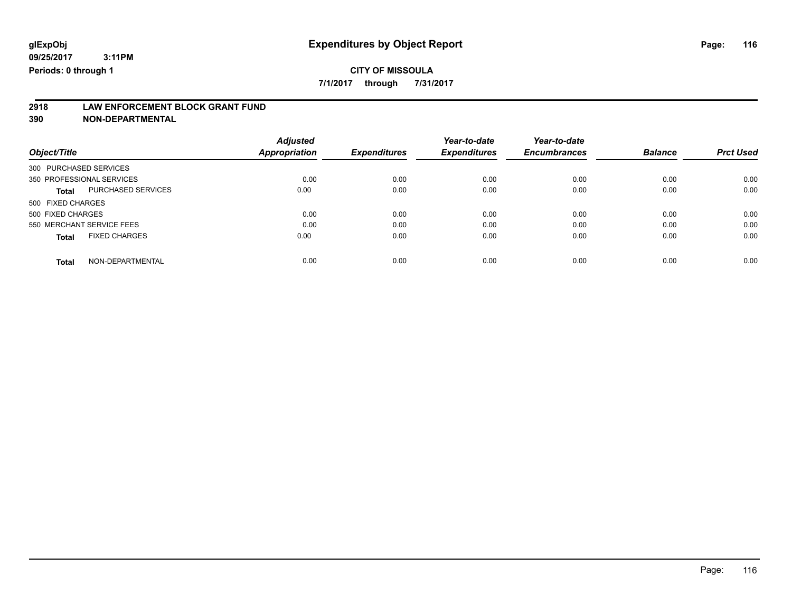**7/1/2017 through 7/31/2017**

## **2918 LAW ENFORCEMENT BLOCK GRANT FUND**

**390 NON-DEPARTMENTAL**

|                                           | <b>Adjusted</b> |                     | Year-to-date        | Year-to-date        |                |                  |
|-------------------------------------------|-----------------|---------------------|---------------------|---------------------|----------------|------------------|
| Object/Title                              | Appropriation   | <b>Expenditures</b> | <b>Expenditures</b> | <b>Encumbrances</b> | <b>Balance</b> | <b>Prct Used</b> |
| 300 PURCHASED SERVICES                    |                 |                     |                     |                     |                |                  |
| 350 PROFESSIONAL SERVICES                 | 0.00            | 0.00                | 0.00                | 0.00                | 0.00           | 0.00             |
| <b>PURCHASED SERVICES</b><br><b>Total</b> | 0.00            | 0.00                | 0.00                | 0.00                | 0.00           | 0.00             |
| 500 FIXED CHARGES                         |                 |                     |                     |                     |                |                  |
| 500 FIXED CHARGES                         | 0.00            | 0.00                | 0.00                | 0.00                | 0.00           | 0.00             |
| 550 MERCHANT SERVICE FEES                 | 0.00            | 0.00                | 0.00                | 0.00                | 0.00           | 0.00             |
| <b>FIXED CHARGES</b><br><b>Total</b>      | 0.00            | 0.00                | 0.00                | 0.00                | 0.00           | 0.00             |
| NON-DEPARTMENTAL<br><b>Total</b>          | 0.00            | 0.00                | 0.00                | 0.00                | 0.00           | 0.00             |

Page: 116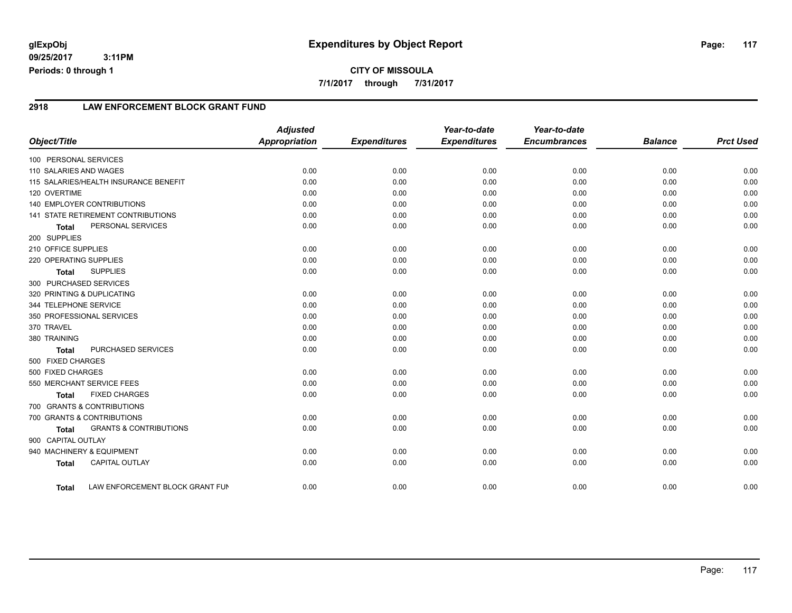#### **2918 LAW ENFORCEMENT BLOCK GRANT FUND**

| Object/Title               |                                       | <b>Adjusted</b><br><b>Appropriation</b> | <b>Expenditures</b> | Year-to-date<br><b>Expenditures</b> | Year-to-date<br><b>Encumbrances</b> | <b>Balance</b> | <b>Prct Used</b> |
|----------------------------|---------------------------------------|-----------------------------------------|---------------------|-------------------------------------|-------------------------------------|----------------|------------------|
|                            |                                       |                                         |                     |                                     |                                     |                |                  |
| 100 PERSONAL SERVICES      |                                       |                                         |                     |                                     |                                     |                |                  |
| 110 SALARIES AND WAGES     |                                       | 0.00                                    | 0.00                | 0.00                                | 0.00                                | 0.00           | 0.00             |
|                            | 115 SALARIES/HEALTH INSURANCE BENEFIT | 0.00                                    | 0.00                | 0.00                                | 0.00                                | 0.00           | 0.00             |
| 120 OVERTIME               |                                       | 0.00                                    | 0.00                | 0.00                                | 0.00                                | 0.00           | 0.00             |
|                            | <b>140 EMPLOYER CONTRIBUTIONS</b>     | 0.00                                    | 0.00                | 0.00                                | 0.00                                | 0.00           | 0.00             |
|                            | 141 STATE RETIREMENT CONTRIBUTIONS    | 0.00                                    | 0.00                | 0.00                                | 0.00                                | 0.00           | 0.00             |
| <b>Total</b>               | PERSONAL SERVICES                     | 0.00                                    | 0.00                | 0.00                                | 0.00                                | 0.00           | 0.00             |
| 200 SUPPLIES               |                                       |                                         |                     |                                     |                                     |                |                  |
| 210 OFFICE SUPPLIES        |                                       | 0.00                                    | 0.00                | 0.00                                | 0.00                                | 0.00           | 0.00             |
| 220 OPERATING SUPPLIES     |                                       | 0.00                                    | 0.00                | 0.00                                | 0.00                                | 0.00           | 0.00             |
| <b>Total</b>               | <b>SUPPLIES</b>                       | 0.00                                    | 0.00                | 0.00                                | 0.00                                | 0.00           | 0.00             |
| 300 PURCHASED SERVICES     |                                       |                                         |                     |                                     |                                     |                |                  |
| 320 PRINTING & DUPLICATING |                                       | 0.00                                    | 0.00                | 0.00                                | 0.00                                | 0.00           | 0.00             |
| 344 TELEPHONE SERVICE      |                                       | 0.00                                    | 0.00                | 0.00                                | 0.00                                | 0.00           | 0.00             |
|                            | 350 PROFESSIONAL SERVICES             | 0.00                                    | 0.00                | 0.00                                | 0.00                                | 0.00           | 0.00             |
| 370 TRAVEL                 |                                       | 0.00                                    | 0.00                | 0.00                                | 0.00                                | 0.00           | 0.00             |
| 380 TRAINING               |                                       | 0.00                                    | 0.00                | 0.00                                | 0.00                                | 0.00           | 0.00             |
| <b>Total</b>               | PURCHASED SERVICES                    | 0.00                                    | 0.00                | 0.00                                | 0.00                                | 0.00           | 0.00             |
| 500 FIXED CHARGES          |                                       |                                         |                     |                                     |                                     |                |                  |
| 500 FIXED CHARGES          |                                       | 0.00                                    | 0.00                | 0.00                                | 0.00                                | 0.00           | 0.00             |
|                            | 550 MERCHANT SERVICE FEES             | 0.00                                    | 0.00                | 0.00                                | 0.00                                | 0.00           | 0.00             |
| <b>Total</b>               | <b>FIXED CHARGES</b>                  | 0.00                                    | 0.00                | 0.00                                | 0.00                                | 0.00           | 0.00             |
|                            | 700 GRANTS & CONTRIBUTIONS            |                                         |                     |                                     |                                     |                |                  |
|                            | 700 GRANTS & CONTRIBUTIONS            | 0.00                                    | 0.00                | 0.00                                | 0.00                                | 0.00           | 0.00             |
| <b>Total</b>               | <b>GRANTS &amp; CONTRIBUTIONS</b>     | 0.00                                    | 0.00                | 0.00                                | 0.00                                | 0.00           | 0.00             |
| 900 CAPITAL OUTLAY         |                                       |                                         |                     |                                     |                                     |                |                  |
|                            | 940 MACHINERY & EQUIPMENT             | 0.00                                    | 0.00                | 0.00                                | 0.00                                | 0.00           | 0.00             |
| <b>Total</b>               | CAPITAL OUTLAY                        | 0.00                                    | 0.00                | 0.00                                | 0.00                                | 0.00           | 0.00             |
| Total                      | LAW ENFORCEMENT BLOCK GRANT FUN       | 0.00                                    | 0.00                | 0.00                                | 0.00                                | 0.00           | 0.00             |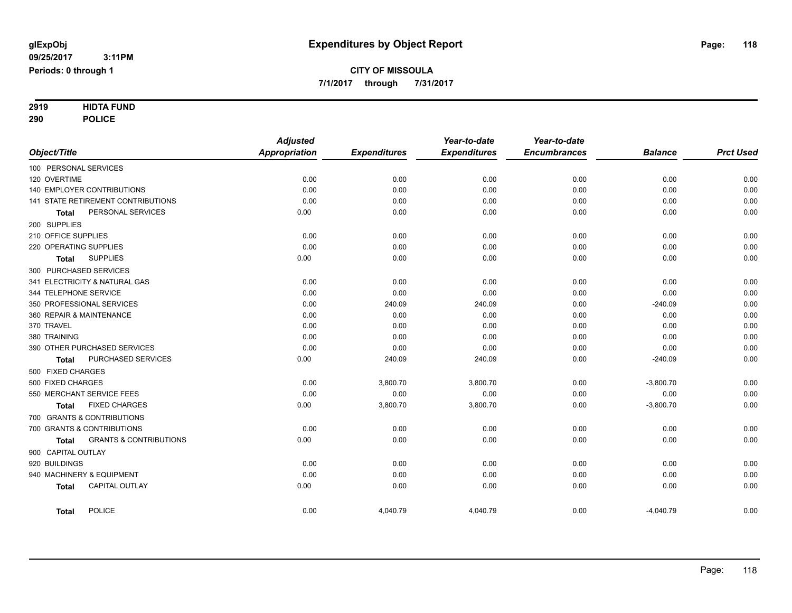# **2919 HIDTA FUND**

**290 POLICE**

|                                                   | <b>Adjusted</b>      |                     | Year-to-date        | Year-to-date        |                |                  |
|---------------------------------------------------|----------------------|---------------------|---------------------|---------------------|----------------|------------------|
| Object/Title                                      | <b>Appropriation</b> | <b>Expenditures</b> | <b>Expenditures</b> | <b>Encumbrances</b> | <b>Balance</b> | <b>Prct Used</b> |
| 100 PERSONAL SERVICES                             |                      |                     |                     |                     |                |                  |
| 120 OVERTIME                                      | 0.00                 | 0.00                | 0.00                | 0.00                | 0.00           | 0.00             |
| 140 EMPLOYER CONTRIBUTIONS                        | 0.00                 | 0.00                | 0.00                | 0.00                | 0.00           | 0.00             |
| 141 STATE RETIREMENT CONTRIBUTIONS                | 0.00                 | 0.00                | 0.00                | 0.00                | 0.00           | 0.00             |
| PERSONAL SERVICES<br><b>Total</b>                 | 0.00                 | 0.00                | 0.00                | 0.00                | 0.00           | 0.00             |
| 200 SUPPLIES                                      |                      |                     |                     |                     |                |                  |
| 210 OFFICE SUPPLIES                               | 0.00                 | 0.00                | 0.00                | 0.00                | 0.00           | 0.00             |
| 220 OPERATING SUPPLIES                            | 0.00                 | 0.00                | 0.00                | 0.00                | 0.00           | 0.00             |
| <b>SUPPLIES</b><br><b>Total</b>                   | 0.00                 | 0.00                | 0.00                | 0.00                | 0.00           | 0.00             |
| 300 PURCHASED SERVICES                            |                      |                     |                     |                     |                |                  |
| 341 ELECTRICITY & NATURAL GAS                     | 0.00                 | 0.00                | 0.00                | 0.00                | 0.00           | 0.00             |
| 344 TELEPHONE SERVICE                             | 0.00                 | 0.00                | 0.00                | 0.00                | 0.00           | 0.00             |
| 350 PROFESSIONAL SERVICES                         | 0.00                 | 240.09              | 240.09              | 0.00                | $-240.09$      | 0.00             |
| 360 REPAIR & MAINTENANCE                          | 0.00                 | 0.00                | 0.00                | 0.00                | 0.00           | 0.00             |
| 370 TRAVEL                                        | 0.00                 | 0.00                | 0.00                | 0.00                | 0.00           | 0.00             |
| 380 TRAINING                                      | 0.00                 | 0.00                | 0.00                | 0.00                | 0.00           | 0.00             |
| 390 OTHER PURCHASED SERVICES                      | 0.00                 | 0.00                | 0.00                | 0.00                | 0.00           | 0.00             |
| PURCHASED SERVICES<br>Total                       | 0.00                 | 240.09              | 240.09              | 0.00                | $-240.09$      | 0.00             |
| 500 FIXED CHARGES                                 |                      |                     |                     |                     |                |                  |
| 500 FIXED CHARGES                                 | 0.00                 | 3,800.70            | 3,800.70            | 0.00                | $-3,800.70$    | 0.00             |
| 550 MERCHANT SERVICE FEES                         | 0.00                 | 0.00                | 0.00                | 0.00                | 0.00           | 0.00             |
| <b>FIXED CHARGES</b><br>Total                     | 0.00                 | 3,800.70            | 3,800.70            | 0.00                | $-3,800.70$    | 0.00             |
| 700 GRANTS & CONTRIBUTIONS                        |                      |                     |                     |                     |                |                  |
| 700 GRANTS & CONTRIBUTIONS                        | 0.00                 | 0.00                | 0.00                | 0.00                | 0.00           | 0.00             |
| <b>GRANTS &amp; CONTRIBUTIONS</b><br><b>Total</b> | 0.00                 | 0.00                | 0.00                | 0.00                | 0.00           | 0.00             |
| 900 CAPITAL OUTLAY                                |                      |                     |                     |                     |                |                  |
| 920 BUILDINGS                                     | 0.00                 | 0.00                | 0.00                | 0.00                | 0.00           | 0.00             |
| 940 MACHINERY & EQUIPMENT                         | 0.00                 | 0.00                | 0.00                | 0.00                | 0.00           | 0.00             |
| <b>CAPITAL OUTLAY</b><br><b>Total</b>             | 0.00                 | 0.00                | 0.00                | 0.00                | 0.00           | 0.00             |
| POLICE<br><b>Total</b>                            | 0.00                 | 4,040.79            | 4,040.79            | 0.00                | $-4,040.79$    | 0.00             |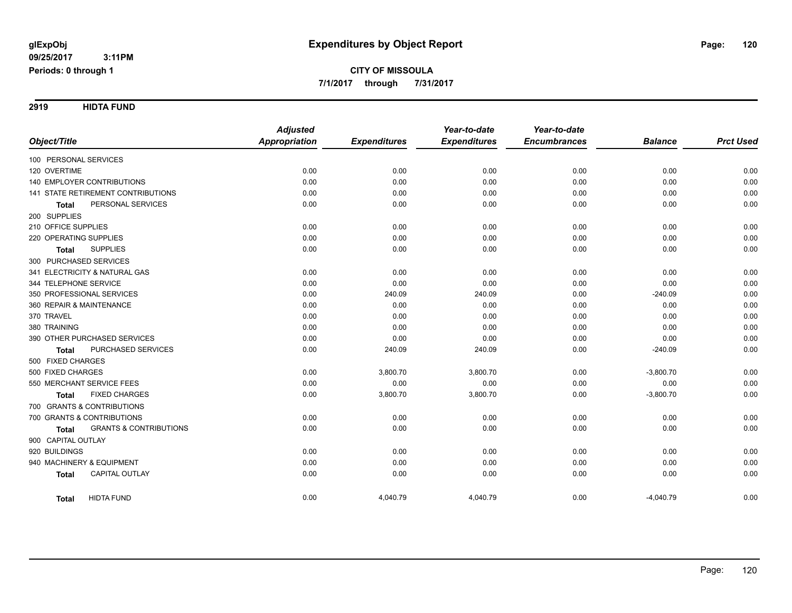**2919 HIDTA FUND**

|                                            | <b>Adjusted</b>      |                     | Year-to-date        | Year-to-date        |                |                  |
|--------------------------------------------|----------------------|---------------------|---------------------|---------------------|----------------|------------------|
| Object/Title                               | <b>Appropriation</b> | <b>Expenditures</b> | <b>Expenditures</b> | <b>Encumbrances</b> | <b>Balance</b> | <b>Prct Used</b> |
| 100 PERSONAL SERVICES                      |                      |                     |                     |                     |                |                  |
| 120 OVERTIME                               | 0.00                 | 0.00                | 0.00                | 0.00                | 0.00           | 0.00             |
| 140 EMPLOYER CONTRIBUTIONS                 | 0.00                 | 0.00                | 0.00                | 0.00                | 0.00           | 0.00             |
| 141 STATE RETIREMENT CONTRIBUTIONS         | 0.00                 | 0.00                | 0.00                | 0.00                | 0.00           | 0.00             |
| PERSONAL SERVICES<br><b>Total</b>          | 0.00                 | 0.00                | 0.00                | 0.00                | 0.00           | 0.00             |
| 200 SUPPLIES                               |                      |                     |                     |                     |                |                  |
| 210 OFFICE SUPPLIES                        | 0.00                 | 0.00                | 0.00                | 0.00                | 0.00           | 0.00             |
| 220 OPERATING SUPPLIES                     | 0.00                 | 0.00                | 0.00                | 0.00                | 0.00           | 0.00             |
| <b>SUPPLIES</b><br><b>Total</b>            | 0.00                 | 0.00                | 0.00                | 0.00                | 0.00           | 0.00             |
| 300 PURCHASED SERVICES                     |                      |                     |                     |                     |                |                  |
| 341 ELECTRICITY & NATURAL GAS              | 0.00                 | 0.00                | 0.00                | 0.00                | 0.00           | 0.00             |
| 344 TELEPHONE SERVICE                      | 0.00                 | 0.00                | 0.00                | 0.00                | 0.00           | 0.00             |
| 350 PROFESSIONAL SERVICES                  | 0.00                 | 240.09              | 240.09              | 0.00                | $-240.09$      | 0.00             |
| 360 REPAIR & MAINTENANCE                   | 0.00                 | 0.00                | 0.00                | 0.00                | 0.00           | 0.00             |
| 370 TRAVEL                                 | 0.00                 | 0.00                | 0.00                | 0.00                | 0.00           | 0.00             |
| 380 TRAINING                               | 0.00                 | 0.00                | 0.00                | 0.00                | 0.00           | 0.00             |
| 390 OTHER PURCHASED SERVICES               | 0.00                 | 0.00                | 0.00                | 0.00                | 0.00           | 0.00             |
| PURCHASED SERVICES<br><b>Total</b>         | 0.00                 | 240.09              | 240.09              | 0.00                | $-240.09$      | 0.00             |
| 500 FIXED CHARGES                          |                      |                     |                     |                     |                |                  |
| 500 FIXED CHARGES                          | 0.00                 | 3,800.70            | 3,800.70            | 0.00                | $-3,800.70$    | 0.00             |
| 550 MERCHANT SERVICE FEES                  | 0.00                 | 0.00                | 0.00                | 0.00                | 0.00           | 0.00             |
| <b>FIXED CHARGES</b><br>Total              | 0.00                 | 3,800.70            | 3,800.70            | 0.00                | $-3,800.70$    | 0.00             |
| 700 GRANTS & CONTRIBUTIONS                 |                      |                     |                     |                     |                |                  |
| 700 GRANTS & CONTRIBUTIONS                 | 0.00                 | 0.00                | 0.00                | 0.00                | 0.00           | 0.00             |
| <b>GRANTS &amp; CONTRIBUTIONS</b><br>Total | 0.00                 | 0.00                | 0.00                | 0.00                | 0.00           | 0.00             |
| 900 CAPITAL OUTLAY                         |                      |                     |                     |                     |                |                  |
| 920 BUILDINGS                              | 0.00                 | 0.00                | 0.00                | 0.00                | 0.00           | 0.00             |
| 940 MACHINERY & EQUIPMENT                  | 0.00                 | 0.00                | 0.00                | 0.00                | 0.00           | 0.00             |
| CAPITAL OUTLAY<br><b>Total</b>             | 0.00                 | 0.00                | 0.00                | 0.00                | 0.00           | 0.00             |
| <b>HIDTA FUND</b><br><b>Total</b>          | 0.00                 | 4,040.79            | 4,040.79            | 0.00                | $-4,040.79$    | 0.00             |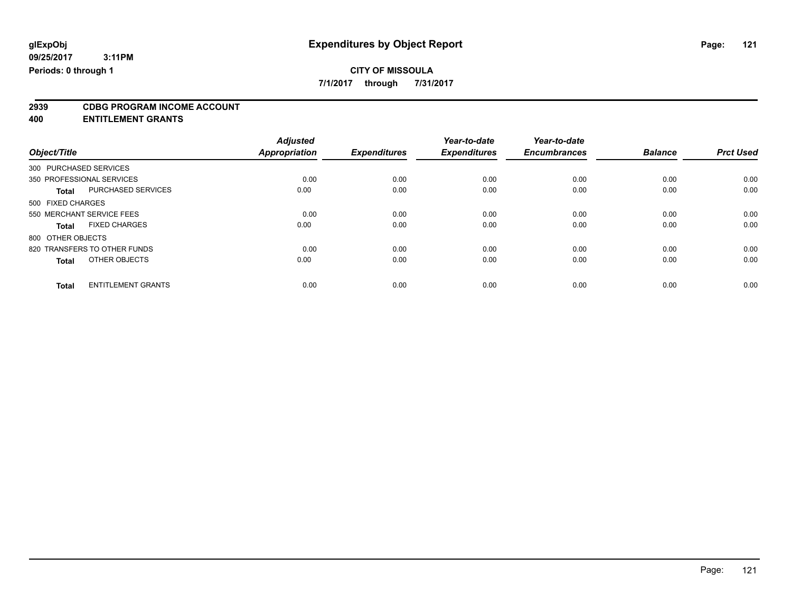**7/1/2017 through 7/31/2017**

## **2939 CDBG PROGRAM INCOME ACCOUNT**

**400 ENTITLEMENT GRANTS**

|                        |                              | <b>Adjusted</b> |                     | Year-to-date        | Year-to-date        |                |                  |
|------------------------|------------------------------|-----------------|---------------------|---------------------|---------------------|----------------|------------------|
| Object/Title           |                              | Appropriation   | <b>Expenditures</b> | <b>Expenditures</b> | <b>Encumbrances</b> | <b>Balance</b> | <b>Prct Used</b> |
| 300 PURCHASED SERVICES |                              |                 |                     |                     |                     |                |                  |
|                        | 350 PROFESSIONAL SERVICES    | 0.00            | 0.00                | 0.00                | 0.00                | 0.00           | 0.00             |
| <b>Total</b>           | PURCHASED SERVICES           | 0.00            | 0.00                | 0.00                | 0.00                | 0.00           | 0.00             |
| 500 FIXED CHARGES      |                              |                 |                     |                     |                     |                |                  |
|                        | 550 MERCHANT SERVICE FEES    | 0.00            | 0.00                | 0.00                | 0.00                | 0.00           | 0.00             |
| <b>Total</b>           | <b>FIXED CHARGES</b>         | 0.00            | 0.00                | 0.00                | 0.00                | 0.00           | 0.00             |
| 800 OTHER OBJECTS      |                              |                 |                     |                     |                     |                |                  |
|                        | 820 TRANSFERS TO OTHER FUNDS | 0.00            | 0.00                | 0.00                | 0.00                | 0.00           | 0.00             |
| <b>Total</b>           | OTHER OBJECTS                | 0.00            | 0.00                | 0.00                | 0.00                | 0.00           | 0.00             |
| <b>Total</b>           | <b>ENTITLEMENT GRANTS</b>    | 0.00            | 0.00                | 0.00                | 0.00                | 0.00           | 0.00             |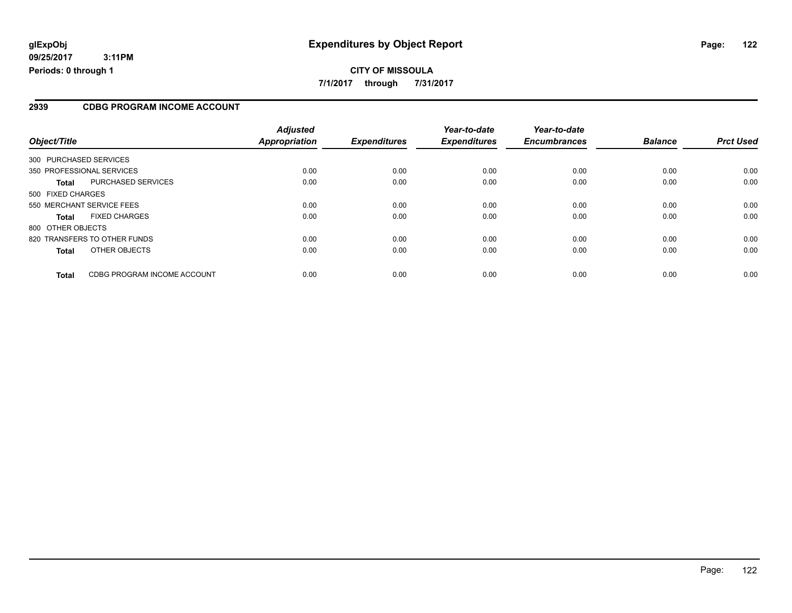#### **2939 CDBG PROGRAM INCOME ACCOUNT**

|                                             | <b>Adjusted</b> |                     | Year-to-date        | Year-to-date        |                |                  |
|---------------------------------------------|-----------------|---------------------|---------------------|---------------------|----------------|------------------|
| Object/Title                                | Appropriation   | <b>Expenditures</b> | <b>Expenditures</b> | <b>Encumbrances</b> | <b>Balance</b> | <b>Prct Used</b> |
| 300 PURCHASED SERVICES                      |                 |                     |                     |                     |                |                  |
| 350 PROFESSIONAL SERVICES                   | 0.00            | 0.00                | 0.00                | 0.00                | 0.00           | 0.00             |
| <b>PURCHASED SERVICES</b><br><b>Total</b>   | 0.00            | 0.00                | 0.00                | 0.00                | 0.00           | 0.00             |
| 500 FIXED CHARGES                           |                 |                     |                     |                     |                |                  |
| 550 MERCHANT SERVICE FEES                   | 0.00            | 0.00                | 0.00                | 0.00                | 0.00           | 0.00             |
| <b>FIXED CHARGES</b><br><b>Total</b>        | 0.00            | 0.00                | 0.00                | 0.00                | 0.00           | 0.00             |
| 800 OTHER OBJECTS                           |                 |                     |                     |                     |                |                  |
| 820 TRANSFERS TO OTHER FUNDS                | 0.00            | 0.00                | 0.00                | 0.00                | 0.00           | 0.00             |
| OTHER OBJECTS<br><b>Total</b>               | 0.00            | 0.00                | 0.00                | 0.00                | 0.00           | 0.00             |
| CDBG PROGRAM INCOME ACCOUNT<br><b>Total</b> | 0.00            | 0.00                | 0.00                | 0.00                | 0.00           | 0.00             |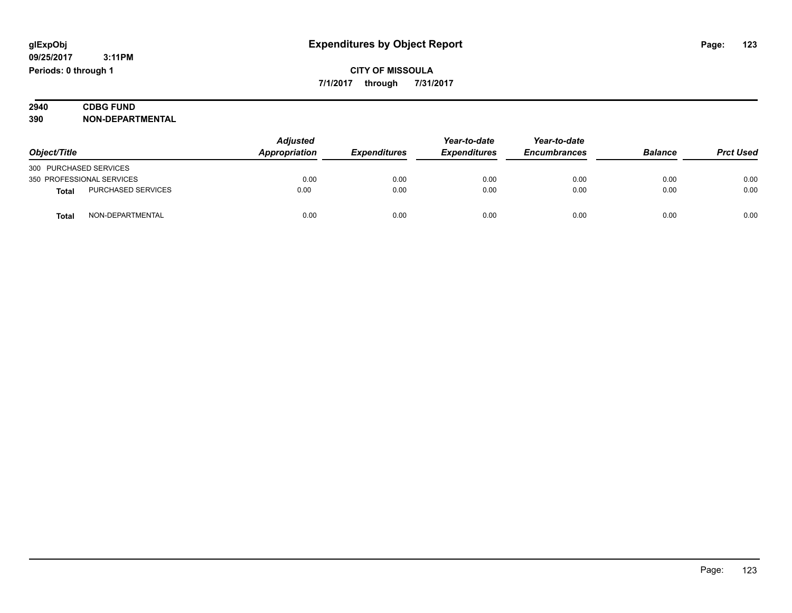| 2940 | <b>CDBG FUND</b>        |
|------|-------------------------|
| 390  | <b>NON-DEPARTMENTAL</b> |

| Object/Title           |                           | <b>Adjusted</b><br>Appropriation<br><b>Expenditures</b> | Year-to-date | Year-to-date        |                     |                |                  |
|------------------------|---------------------------|---------------------------------------------------------|--------------|---------------------|---------------------|----------------|------------------|
|                        |                           |                                                         |              | <b>Expenditures</b> | <b>Encumbrances</b> | <b>Balance</b> | <b>Prct Used</b> |
| 300 PURCHASED SERVICES |                           |                                                         |              |                     |                     |                |                  |
|                        | 350 PROFESSIONAL SERVICES | 0.00                                                    | 0.00         | 0.00                | 0.00                | 0.00           | 0.00             |
| Total                  | <b>PURCHASED SERVICES</b> | 0.00                                                    | 0.00         | 0.00                | 0.00                | 0.00           | 0.00             |
| <b>Total</b>           | NON-DEPARTMENTAL          | 0.00                                                    | 0.00         | 0.00                | 0.00                | 0.00           | 0.00             |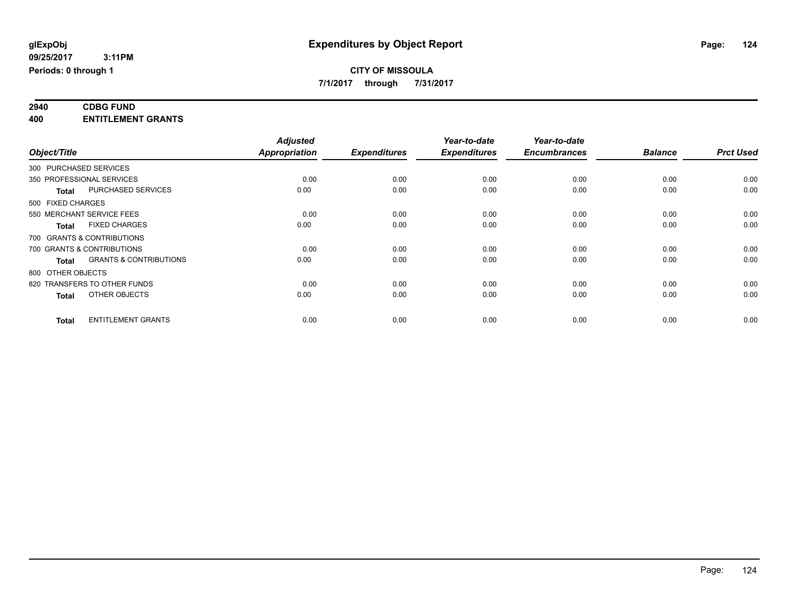**7/1/2017 through 7/31/2017**

## **2940 CDBG FUND**

**400 ENTITLEMENT GRANTS**

|                                                   | <b>Adjusted</b>      |                     | Year-to-date        | Year-to-date        |                |                  |
|---------------------------------------------------|----------------------|---------------------|---------------------|---------------------|----------------|------------------|
| Object/Title                                      | <b>Appropriation</b> | <b>Expenditures</b> | <b>Expenditures</b> | <b>Encumbrances</b> | <b>Balance</b> | <b>Prct Used</b> |
| 300 PURCHASED SERVICES                            |                      |                     |                     |                     |                |                  |
| 350 PROFESSIONAL SERVICES                         | 0.00                 | 0.00                | 0.00                | 0.00                | 0.00           | 0.00             |
| <b>PURCHASED SERVICES</b><br><b>Total</b>         | 0.00                 | 0.00                | 0.00                | 0.00                | 0.00           | 0.00             |
| 500 FIXED CHARGES                                 |                      |                     |                     |                     |                |                  |
| 550 MERCHANT SERVICE FEES                         | 0.00                 | 0.00                | 0.00                | 0.00                | 0.00           | 0.00             |
| <b>FIXED CHARGES</b><br><b>Total</b>              | 0.00                 | 0.00                | 0.00                | 0.00                | 0.00           | 0.00             |
| 700 GRANTS & CONTRIBUTIONS                        |                      |                     |                     |                     |                |                  |
| 700 GRANTS & CONTRIBUTIONS                        | 0.00                 | 0.00                | 0.00                | 0.00                | 0.00           | 0.00             |
| <b>GRANTS &amp; CONTRIBUTIONS</b><br><b>Total</b> | 0.00                 | 0.00                | 0.00                | 0.00                | 0.00           | 0.00             |
| 800 OTHER OBJECTS                                 |                      |                     |                     |                     |                |                  |
| 820 TRANSFERS TO OTHER FUNDS                      | 0.00                 | 0.00                | 0.00                | 0.00                | 0.00           | 0.00             |
| OTHER OBJECTS<br><b>Total</b>                     | 0.00                 | 0.00                | 0.00                | 0.00                | 0.00           | 0.00             |
| <b>ENTITLEMENT GRANTS</b><br><b>Total</b>         | 0.00                 | 0.00                | 0.00                | 0.00                | 0.00           | 0.00             |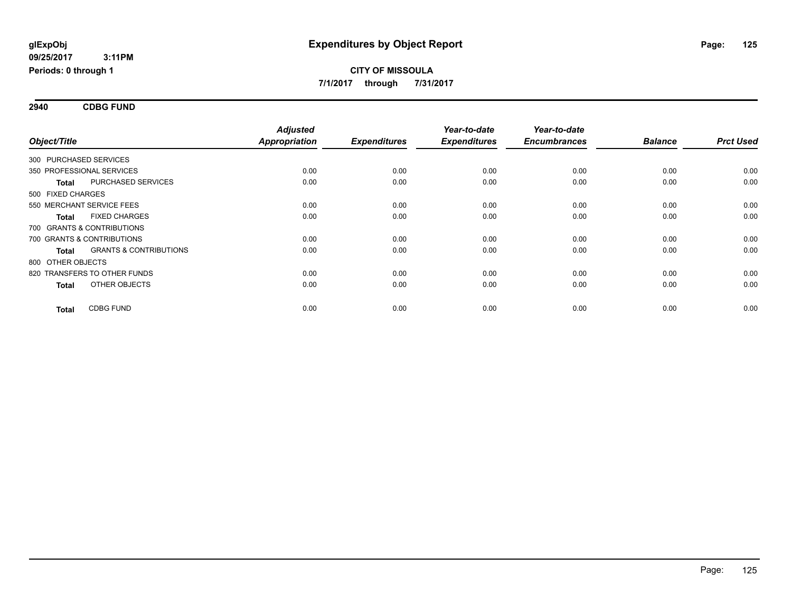**2940 CDBG FUND**

|                                                   | <b>Adjusted</b> | <b>Appropriation</b><br><b>Expenditures</b> | Year-to-date<br><b>Expenditures</b> | Year-to-date<br><b>Encumbrances</b> | <b>Balance</b> | <b>Prct Used</b> |
|---------------------------------------------------|-----------------|---------------------------------------------|-------------------------------------|-------------------------------------|----------------|------------------|
| Object/Title                                      |                 |                                             |                                     |                                     |                |                  |
| 300 PURCHASED SERVICES                            |                 |                                             |                                     |                                     |                |                  |
| 350 PROFESSIONAL SERVICES                         | 0.00            | 0.00                                        | 0.00                                | 0.00                                | 0.00           | 0.00             |
| <b>PURCHASED SERVICES</b><br><b>Total</b>         | 0.00            | 0.00                                        | 0.00                                | 0.00                                | 0.00           | 0.00             |
| 500 FIXED CHARGES                                 |                 |                                             |                                     |                                     |                |                  |
| 550 MERCHANT SERVICE FEES                         | 0.00            | 0.00                                        | 0.00                                | 0.00                                | 0.00           | 0.00             |
| <b>FIXED CHARGES</b><br><b>Total</b>              | 0.00            | 0.00                                        | 0.00                                | 0.00                                | 0.00           | 0.00             |
| 700 GRANTS & CONTRIBUTIONS                        |                 |                                             |                                     |                                     |                |                  |
| 700 GRANTS & CONTRIBUTIONS                        | 0.00            | 0.00                                        | 0.00                                | 0.00                                | 0.00           | 0.00             |
| <b>GRANTS &amp; CONTRIBUTIONS</b><br><b>Total</b> | 0.00            | 0.00                                        | 0.00                                | 0.00                                | 0.00           | 0.00             |
| 800 OTHER OBJECTS                                 |                 |                                             |                                     |                                     |                |                  |
| 820 TRANSFERS TO OTHER FUNDS                      | 0.00            | 0.00                                        | 0.00                                | 0.00                                | 0.00           | 0.00             |
| OTHER OBJECTS<br><b>Total</b>                     | 0.00            | 0.00                                        | 0.00                                | 0.00                                | 0.00           | 0.00             |
| <b>CDBG FUND</b><br><b>Total</b>                  | 0.00            | 0.00                                        | 0.00                                | 0.00                                | 0.00           | 0.00             |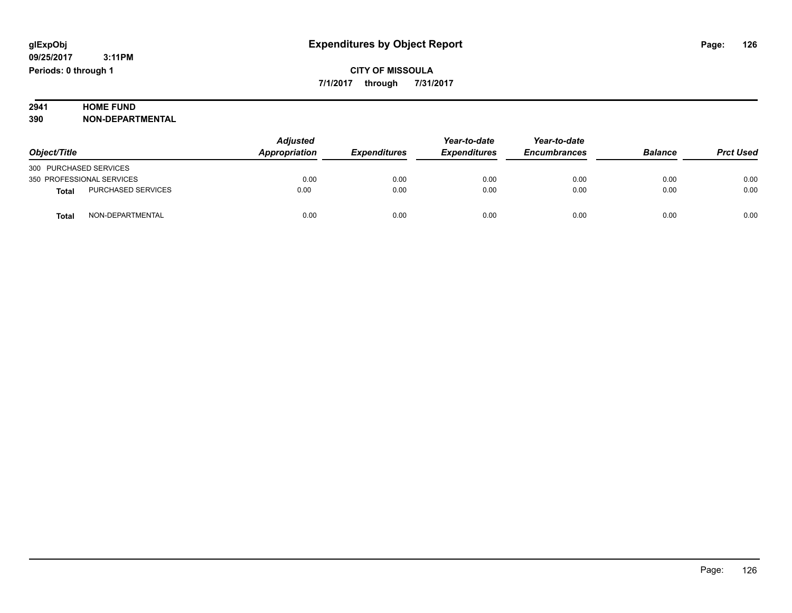# **2941 HOME FUND**<br>390 **NON-DEPART**

**390 NON-DEPARTMENTAL**

| Object/Title                       | Adjusted<br>Appropriation | <b>Expenditures</b> | Year-to-date<br><b>Expenditures</b> | Year-to-date<br><b>Encumbrances</b> | <b>Balance</b> | <b>Prct Used</b> |
|------------------------------------|---------------------------|---------------------|-------------------------------------|-------------------------------------|----------------|------------------|
| 300 PURCHASED SERVICES             |                           |                     |                                     |                                     |                |                  |
| 350 PROFESSIONAL SERVICES          | 0.00                      | 0.00                | 0.00                                | 0.00                                | 0.00           | 0.00             |
| <b>PURCHASED SERVICES</b><br>Total | 0.00                      | 0.00                | 0.00                                | 0.00                                | 0.00           | 0.00             |
| NON-DEPARTMENTAL<br>Total          | 0.00                      | 0.00                | 0.00                                | 0.00                                | 0.00           | 0.00             |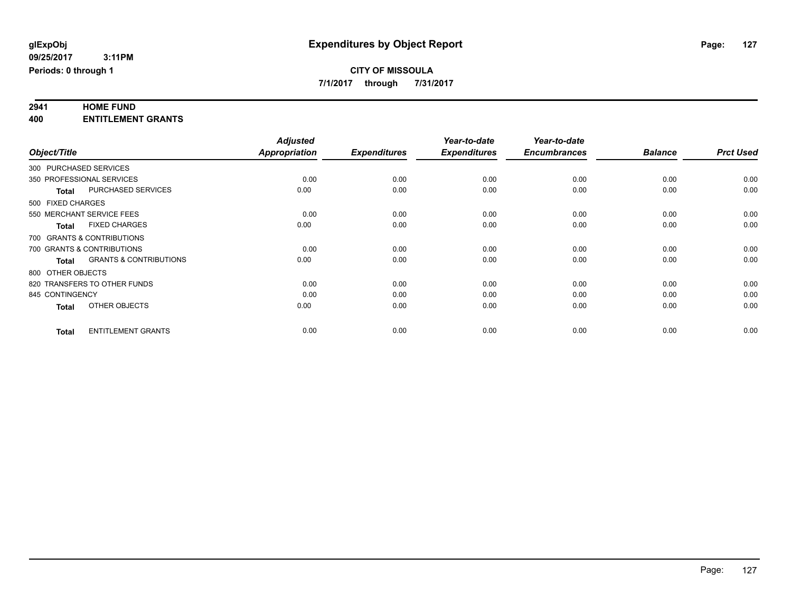## **2941 HOME FUND**

**400 ENTITLEMENT GRANTS**

|                   |                                   | <b>Adjusted</b>      |                     | Year-to-date        | Year-to-date        |                |                  |
|-------------------|-----------------------------------|----------------------|---------------------|---------------------|---------------------|----------------|------------------|
| Object/Title      |                                   | <b>Appropriation</b> | <b>Expenditures</b> | <b>Expenditures</b> | <b>Encumbrances</b> | <b>Balance</b> | <b>Prct Used</b> |
|                   | 300 PURCHASED SERVICES            |                      |                     |                     |                     |                |                  |
|                   | 350 PROFESSIONAL SERVICES         | 0.00                 | 0.00                | 0.00                | 0.00                | 0.00           | 0.00             |
| <b>Total</b>      | <b>PURCHASED SERVICES</b>         | 0.00                 | 0.00                | 0.00                | 0.00                | 0.00           | 0.00             |
| 500 FIXED CHARGES |                                   |                      |                     |                     |                     |                |                  |
|                   | 550 MERCHANT SERVICE FEES         | 0.00                 | 0.00                | 0.00                | 0.00                | 0.00           | 0.00             |
| <b>Total</b>      | <b>FIXED CHARGES</b>              | 0.00                 | 0.00                | 0.00                | 0.00                | 0.00           | 0.00             |
|                   | 700 GRANTS & CONTRIBUTIONS        |                      |                     |                     |                     |                |                  |
|                   | 700 GRANTS & CONTRIBUTIONS        | 0.00                 | 0.00                | 0.00                | 0.00                | 0.00           | 0.00             |
| <b>Total</b>      | <b>GRANTS &amp; CONTRIBUTIONS</b> | 0.00                 | 0.00                | 0.00                | 0.00                | 0.00           | 0.00             |
|                   | 800 OTHER OBJECTS                 |                      |                     |                     |                     |                |                  |
|                   | 820 TRANSFERS TO OTHER FUNDS      | 0.00                 | 0.00                | 0.00                | 0.00                | 0.00           | 0.00             |
| 845 CONTINGENCY   |                                   | 0.00                 | 0.00                | 0.00                | 0.00                | 0.00           | 0.00             |
| <b>Total</b>      | OTHER OBJECTS                     | 0.00                 | 0.00                | 0.00                | 0.00                | 0.00           | 0.00             |
| <b>Total</b>      | <b>ENTITLEMENT GRANTS</b>         | 0.00                 | 0.00                | 0.00                | 0.00                | 0.00           | 0.00             |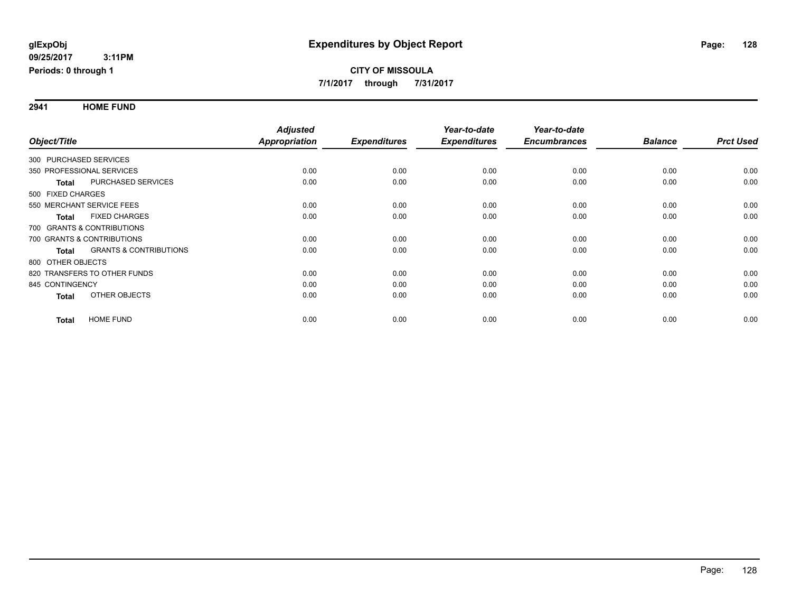**2941 HOME FUND**

|                   |                                   | <b>Adjusted</b> |                     | Year-to-date        | Year-to-date        |                |                  |
|-------------------|-----------------------------------|-----------------|---------------------|---------------------|---------------------|----------------|------------------|
| Object/Title      |                                   | Appropriation   | <b>Expenditures</b> | <b>Expenditures</b> | <b>Encumbrances</b> | <b>Balance</b> | <b>Prct Used</b> |
|                   | 300 PURCHASED SERVICES            |                 |                     |                     |                     |                |                  |
|                   | 350 PROFESSIONAL SERVICES         | 0.00            | 0.00                | 0.00                | 0.00                | 0.00           | 0.00             |
| <b>Total</b>      | PURCHASED SERVICES                | 0.00            | 0.00                | 0.00                | 0.00                | 0.00           | 0.00             |
| 500 FIXED CHARGES |                                   |                 |                     |                     |                     |                |                  |
|                   | 550 MERCHANT SERVICE FEES         | 0.00            | 0.00                | 0.00                | 0.00                | 0.00           | 0.00             |
| <b>Total</b>      | <b>FIXED CHARGES</b>              | 0.00            | 0.00                | 0.00                | 0.00                | 0.00           | 0.00             |
|                   | 700 GRANTS & CONTRIBUTIONS        |                 |                     |                     |                     |                |                  |
|                   | 700 GRANTS & CONTRIBUTIONS        | 0.00            | 0.00                | 0.00                | 0.00                | 0.00           | 0.00             |
| Total             | <b>GRANTS &amp; CONTRIBUTIONS</b> | 0.00            | 0.00                | 0.00                | 0.00                | 0.00           | 0.00             |
| 800 OTHER OBJECTS |                                   |                 |                     |                     |                     |                |                  |
|                   | 820 TRANSFERS TO OTHER FUNDS      | 0.00            | 0.00                | 0.00                | 0.00                | 0.00           | 0.00             |
| 845 CONTINGENCY   |                                   | 0.00            | 0.00                | 0.00                | 0.00                | 0.00           | 0.00             |
| <b>Total</b>      | OTHER OBJECTS                     | 0.00            | 0.00                | 0.00                | 0.00                | 0.00           | 0.00             |
| <b>Total</b>      | <b>HOME FUND</b>                  | 0.00            | 0.00                | 0.00                | 0.00                | 0.00           | 0.00             |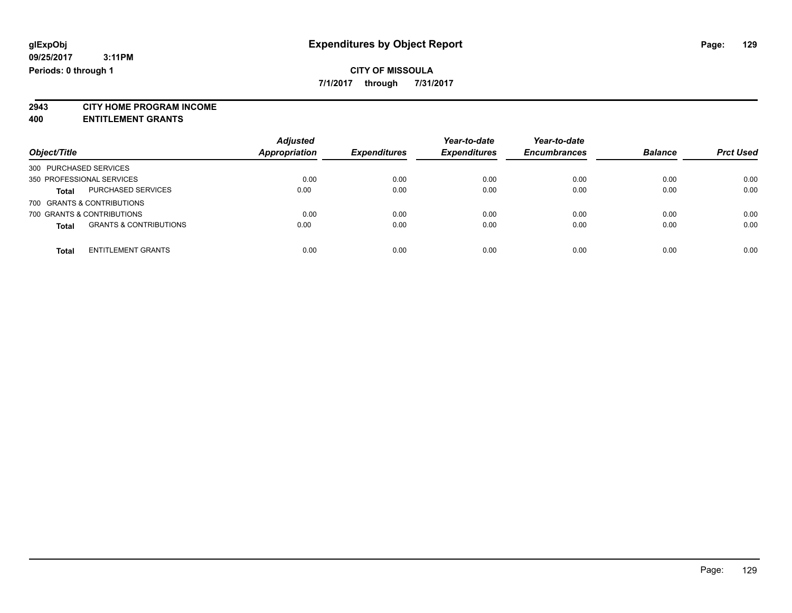**7/1/2017 through 7/31/2017**

**2943 CITY HOME PROGRAM INCOME**

**400 ENTITLEMENT GRANTS**

| Object/Title                                      | <b>Adjusted</b><br>Appropriation | <b>Expenditures</b> | Year-to-date<br><b>Expenditures</b> | Year-to-date<br><b>Encumbrances</b> | <b>Balance</b> | <b>Prct Used</b> |
|---------------------------------------------------|----------------------------------|---------------------|-------------------------------------|-------------------------------------|----------------|------------------|
| 300 PURCHASED SERVICES                            |                                  |                     |                                     |                                     |                |                  |
| 350 PROFESSIONAL SERVICES                         | 0.00                             | 0.00                | 0.00                                | 0.00                                | 0.00           | 0.00             |
| <b>PURCHASED SERVICES</b><br><b>Total</b>         | 0.00                             | 0.00                | 0.00                                | 0.00                                | 0.00           | 0.00             |
| 700 GRANTS & CONTRIBUTIONS                        |                                  |                     |                                     |                                     |                |                  |
| 700 GRANTS & CONTRIBUTIONS                        | 0.00                             | 0.00                | 0.00                                | 0.00                                | 0.00           | 0.00             |
| <b>GRANTS &amp; CONTRIBUTIONS</b><br><b>Total</b> | 0.00                             | 0.00                | 0.00                                | 0.00                                | 0.00           | 0.00             |
| <b>ENTITLEMENT GRANTS</b><br><b>Total</b>         | 0.00                             | 0.00                | 0.00                                | 0.00                                | 0.00           | 0.00             |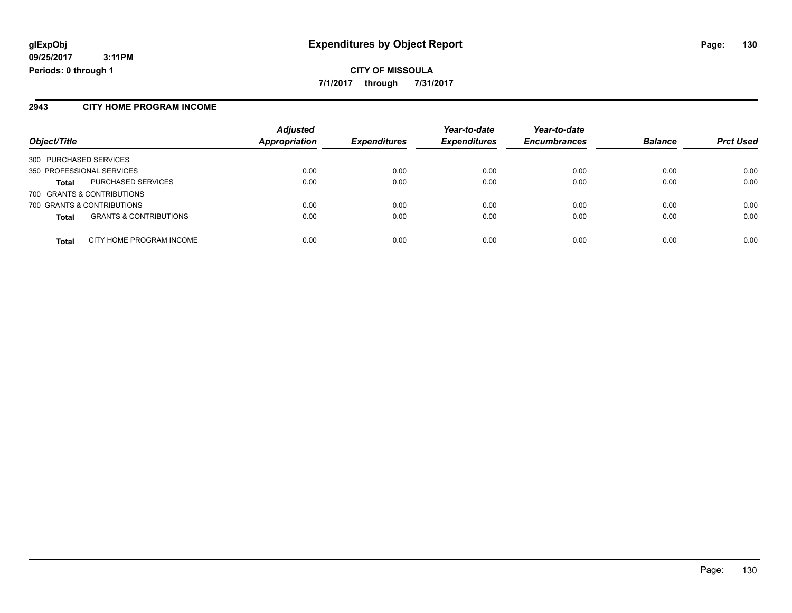#### **2943 CITY HOME PROGRAM INCOME**

| Object/Title                               | <b>Adjusted</b><br><b>Appropriation</b> | <b>Expenditures</b> | Year-to-date<br><b>Expenditures</b> | Year-to-date<br><b>Encumbrances</b> | <b>Balance</b> | <b>Prct Used</b> |
|--------------------------------------------|-----------------------------------------|---------------------|-------------------------------------|-------------------------------------|----------------|------------------|
|                                            |                                         |                     |                                     |                                     |                |                  |
| 300 PURCHASED SERVICES                     |                                         |                     |                                     |                                     |                |                  |
| 350 PROFESSIONAL SERVICES                  | 0.00                                    | 0.00                | 0.00                                | 0.00                                | 0.00           | 0.00             |
| <b>PURCHASED SERVICES</b><br>Total         | 0.00                                    | 0.00                | 0.00                                | 0.00                                | 0.00           | 0.00             |
| 700 GRANTS & CONTRIBUTIONS                 |                                         |                     |                                     |                                     |                |                  |
| 700 GRANTS & CONTRIBUTIONS                 | 0.00                                    | 0.00                | 0.00                                | 0.00                                | 0.00           | 0.00             |
| <b>GRANTS &amp; CONTRIBUTIONS</b><br>Total | 0.00                                    | 0.00                | 0.00                                | 0.00                                | 0.00           | 0.00             |
| CITY HOME PROGRAM INCOME<br><b>Total</b>   | 0.00                                    | 0.00                | 0.00                                | 0.00                                | 0.00           | 0.00             |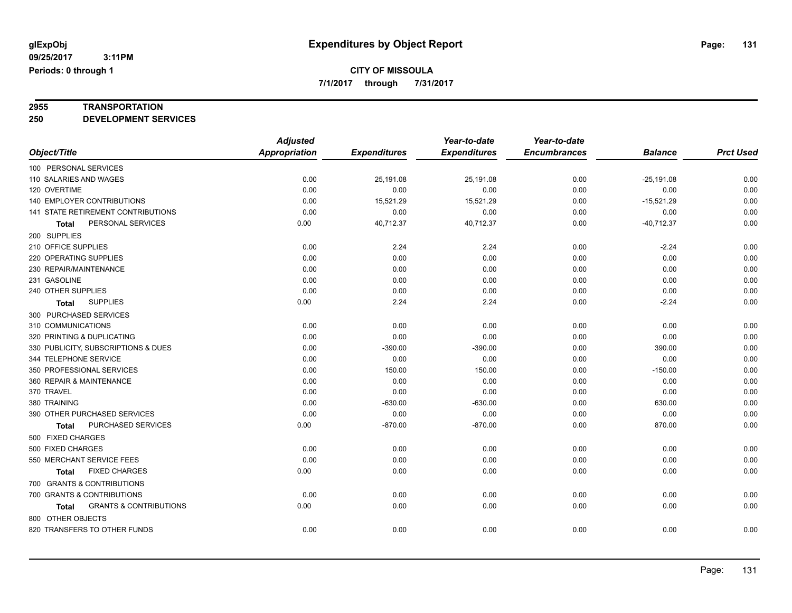**7/1/2017 through 7/31/2017**

## **2955 TRANSPORTATION**

**250 DEVELOPMENT SERVICES**

|                                            | <b>Adjusted</b>      |                     | Year-to-date        | Year-to-date        |                |                  |
|--------------------------------------------|----------------------|---------------------|---------------------|---------------------|----------------|------------------|
| Object/Title                               | <b>Appropriation</b> | <b>Expenditures</b> | <b>Expenditures</b> | <b>Encumbrances</b> | <b>Balance</b> | <b>Prct Used</b> |
| 100 PERSONAL SERVICES                      |                      |                     |                     |                     |                |                  |
| 110 SALARIES AND WAGES                     | 0.00                 | 25,191.08           | 25,191.08           | 0.00                | $-25,191.08$   | 0.00             |
| 120 OVERTIME                               | 0.00                 | 0.00                | 0.00                | 0.00                | 0.00           | 0.00             |
| 140 EMPLOYER CONTRIBUTIONS                 | 0.00                 | 15,521.29           | 15,521.29           | 0.00                | $-15,521.29$   | 0.00             |
| 141 STATE RETIREMENT CONTRIBUTIONS         | 0.00                 | 0.00                | 0.00                | 0.00                | 0.00           | 0.00             |
| PERSONAL SERVICES<br>Total                 | 0.00                 | 40,712.37           | 40,712.37           | 0.00                | $-40,712.37$   | 0.00             |
| 200 SUPPLIES                               |                      |                     |                     |                     |                |                  |
| 210 OFFICE SUPPLIES                        | 0.00                 | 2.24                | 2.24                | 0.00                | $-2.24$        | 0.00             |
| 220 OPERATING SUPPLIES                     | 0.00                 | 0.00                | 0.00                | 0.00                | 0.00           | 0.00             |
| 230 REPAIR/MAINTENANCE                     | 0.00                 | 0.00                | 0.00                | 0.00                | 0.00           | 0.00             |
| 231 GASOLINE                               | 0.00                 | 0.00                | 0.00                | 0.00                | 0.00           | 0.00             |
| 240 OTHER SUPPLIES                         | 0.00                 | 0.00                | 0.00                | 0.00                | 0.00           | 0.00             |
| <b>SUPPLIES</b><br>Total                   | 0.00                 | 2.24                | 2.24                | 0.00                | $-2.24$        | 0.00             |
| 300 PURCHASED SERVICES                     |                      |                     |                     |                     |                |                  |
| 310 COMMUNICATIONS                         | 0.00                 | 0.00                | 0.00                | 0.00                | 0.00           | 0.00             |
| 320 PRINTING & DUPLICATING                 | 0.00                 | 0.00                | 0.00                | 0.00                | 0.00           | 0.00             |
| 330 PUBLICITY, SUBSCRIPTIONS & DUES        | 0.00                 | $-390.00$           | $-390.00$           | 0.00                | 390.00         | 0.00             |
| 344 TELEPHONE SERVICE                      | 0.00                 | 0.00                | 0.00                | 0.00                | 0.00           | 0.00             |
| 350 PROFESSIONAL SERVICES                  | 0.00                 | 150.00              | 150.00              | 0.00                | $-150.00$      | 0.00             |
| 360 REPAIR & MAINTENANCE                   | 0.00                 | 0.00                | 0.00                | 0.00                | 0.00           | 0.00             |
| 370 TRAVEL                                 | 0.00                 | 0.00                | 0.00                | 0.00                | 0.00           | 0.00             |
| 380 TRAINING                               | 0.00                 | $-630.00$           | $-630.00$           | 0.00                | 630.00         | 0.00             |
| 390 OTHER PURCHASED SERVICES               | 0.00                 | 0.00                | 0.00                | 0.00                | 0.00           | 0.00             |
| PURCHASED SERVICES<br><b>Total</b>         | 0.00                 | $-870.00$           | $-870.00$           | 0.00                | 870.00         | 0.00             |
| 500 FIXED CHARGES                          |                      |                     |                     |                     |                |                  |
| 500 FIXED CHARGES                          | 0.00                 | 0.00                | 0.00                | 0.00                | 0.00           | 0.00             |
| 550 MERCHANT SERVICE FEES                  | 0.00                 | 0.00                | 0.00                | 0.00                | 0.00           | 0.00             |
| <b>FIXED CHARGES</b><br>Total              | 0.00                 | 0.00                | 0.00                | 0.00                | 0.00           | 0.00             |
| 700 GRANTS & CONTRIBUTIONS                 |                      |                     |                     |                     |                |                  |
| 700 GRANTS & CONTRIBUTIONS                 | 0.00                 | 0.00                | 0.00                | 0.00                | 0.00           | 0.00             |
| <b>GRANTS &amp; CONTRIBUTIONS</b><br>Total | 0.00                 | 0.00                | 0.00                | 0.00                | 0.00           | 0.00             |
| 800 OTHER OBJECTS                          |                      |                     |                     |                     |                |                  |
| 820 TRANSFERS TO OTHER FUNDS               | 0.00                 | 0.00                | 0.00                | 0.00                | 0.00           | 0.00             |
|                                            |                      |                     |                     |                     |                |                  |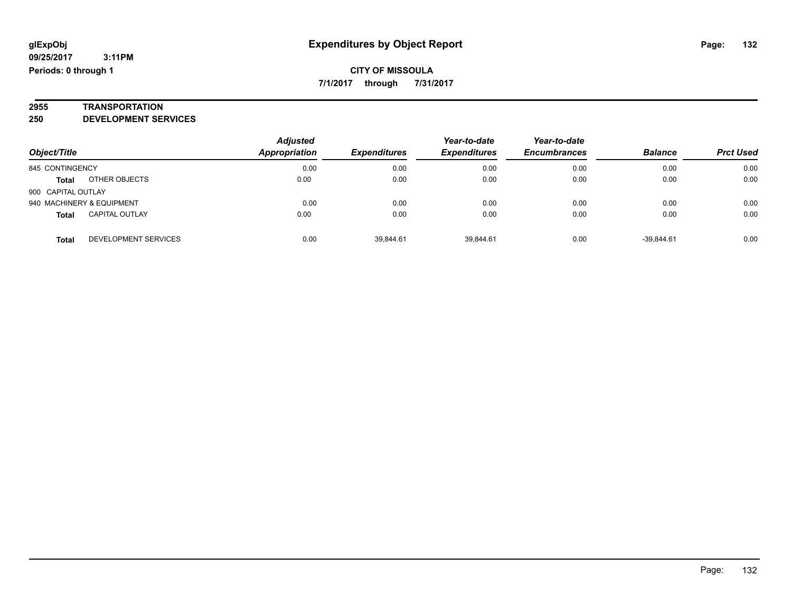**7/1/2017 through 7/31/2017**

## **2955 TRANSPORTATION**

**250 DEVELOPMENT SERVICES**

| Object/Title       |                           | <b>Adjusted</b><br>Appropriation | Year-to-date<br><b>Expenditures</b><br><b>Expenditures</b> | Year-to-date<br><b>Encumbrances</b> | <b>Balance</b> | <b>Prct Used</b> |      |
|--------------------|---------------------------|----------------------------------|------------------------------------------------------------|-------------------------------------|----------------|------------------|------|
|                    |                           |                                  |                                                            |                                     |                |                  |      |
| 845 CONTINGENCY    |                           | 0.00                             | 0.00                                                       | 0.00                                | 0.00           | 0.00             | 0.00 |
| <b>Total</b>       | OTHER OBJECTS             | 0.00                             | 0.00                                                       | 0.00                                | 0.00           | 0.00             | 0.00 |
| 900 CAPITAL OUTLAY |                           |                                  |                                                            |                                     |                |                  |      |
|                    | 940 MACHINERY & EQUIPMENT | 0.00                             | 0.00                                                       | 0.00                                | 0.00           | 0.00             | 0.00 |
| <b>Total</b>       | <b>CAPITAL OUTLAY</b>     | 0.00                             | 0.00                                                       | 0.00                                | 0.00           | 0.00             | 0.00 |
| Total              | DEVELOPMENT SERVICES      | 0.00                             | 39.844.61                                                  | 39.844.61                           | 0.00           | $-39.844.61$     | 0.00 |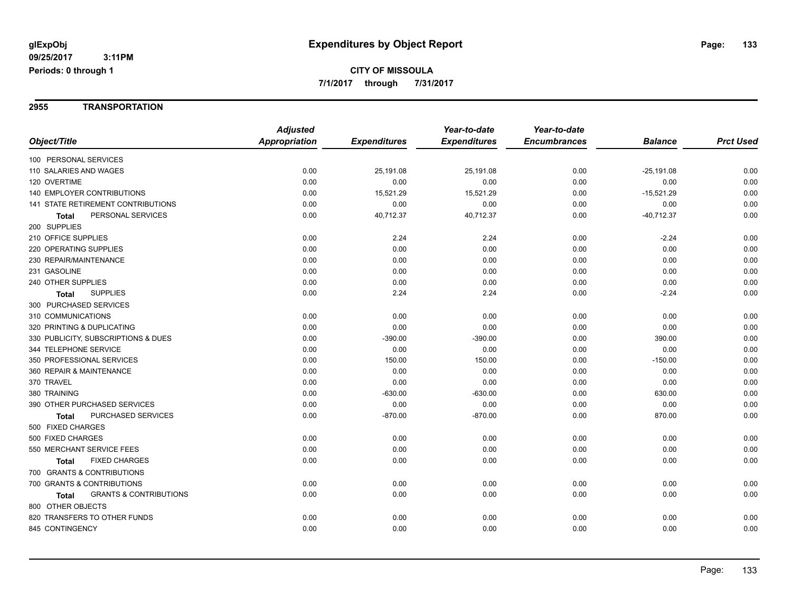#### **2955 TRANSPORTATION**

|                                            | <b>Adjusted</b> |                     | Year-to-date        | Year-to-date        |                |                  |
|--------------------------------------------|-----------------|---------------------|---------------------|---------------------|----------------|------------------|
| Object/Title                               | Appropriation   | <b>Expenditures</b> | <b>Expenditures</b> | <b>Encumbrances</b> | <b>Balance</b> | <b>Prct Used</b> |
| 100 PERSONAL SERVICES                      |                 |                     |                     |                     |                |                  |
| 110 SALARIES AND WAGES                     | 0.00            | 25,191.08           | 25,191.08           | 0.00                | $-25,191.08$   | 0.00             |
| 120 OVERTIME                               | 0.00            | 0.00                | 0.00                | 0.00                | 0.00           | 0.00             |
| 140 EMPLOYER CONTRIBUTIONS                 | 0.00            | 15,521.29           | 15,521.29           | 0.00                | $-15,521.29$   | 0.00             |
| 141 STATE RETIREMENT CONTRIBUTIONS         | 0.00            | 0.00                | 0.00                | 0.00                | 0.00           | 0.00             |
| PERSONAL SERVICES<br>Total                 | 0.00            | 40,712.37           | 40,712.37           | 0.00                | $-40,712.37$   | 0.00             |
| 200 SUPPLIES                               |                 |                     |                     |                     |                |                  |
| 210 OFFICE SUPPLIES                        | 0.00            | 2.24                | 2.24                | 0.00                | $-2.24$        | 0.00             |
| 220 OPERATING SUPPLIES                     | 0.00            | 0.00                | 0.00                | 0.00                | 0.00           | 0.00             |
| 230 REPAIR/MAINTENANCE                     | 0.00            | 0.00                | 0.00                | 0.00                | 0.00           | 0.00             |
| 231 GASOLINE                               | 0.00            | 0.00                | 0.00                | 0.00                | 0.00           | 0.00             |
| 240 OTHER SUPPLIES                         | 0.00            | 0.00                | 0.00                | 0.00                | 0.00           | 0.00             |
| <b>SUPPLIES</b><br><b>Total</b>            | 0.00            | 2.24                | 2.24                | 0.00                | $-2.24$        | 0.00             |
| 300 PURCHASED SERVICES                     |                 |                     |                     |                     |                |                  |
| 310 COMMUNICATIONS                         | 0.00            | 0.00                | 0.00                | 0.00                | 0.00           | 0.00             |
| 320 PRINTING & DUPLICATING                 | 0.00            | 0.00                | 0.00                | 0.00                | 0.00           | 0.00             |
| 330 PUBLICITY, SUBSCRIPTIONS & DUES        | 0.00            | $-390.00$           | $-390.00$           | 0.00                | 390.00         | 0.00             |
| 344 TELEPHONE SERVICE                      | 0.00            | 0.00                | 0.00                | 0.00                | 0.00           | 0.00             |
| 350 PROFESSIONAL SERVICES                  | 0.00            | 150.00              | 150.00              | 0.00                | $-150.00$      | 0.00             |
| 360 REPAIR & MAINTENANCE                   | 0.00            | 0.00                | 0.00                | 0.00                | 0.00           | 0.00             |
| 370 TRAVEL                                 | 0.00            | 0.00                | 0.00                | 0.00                | 0.00           | 0.00             |
| 380 TRAINING                               | 0.00            | $-630.00$           | $-630.00$           | 0.00                | 630.00         | 0.00             |
| 390 OTHER PURCHASED SERVICES               | 0.00            | 0.00                | 0.00                | 0.00                | 0.00           | 0.00             |
| PURCHASED SERVICES<br><b>Total</b>         | 0.00            | $-870.00$           | $-870.00$           | 0.00                | 870.00         | 0.00             |
| 500 FIXED CHARGES                          |                 |                     |                     |                     |                |                  |
| 500 FIXED CHARGES                          | 0.00            | 0.00                | 0.00                | 0.00                | 0.00           | 0.00             |
| 550 MERCHANT SERVICE FEES                  | 0.00            | 0.00                | 0.00                | 0.00                | 0.00           | 0.00             |
| <b>FIXED CHARGES</b><br><b>Total</b>       | 0.00            | 0.00                | 0.00                | 0.00                | 0.00           | 0.00             |
| 700 GRANTS & CONTRIBUTIONS                 |                 |                     |                     |                     |                |                  |
| 700 GRANTS & CONTRIBUTIONS                 | 0.00            | 0.00                | 0.00                | 0.00                | 0.00           | 0.00             |
| <b>GRANTS &amp; CONTRIBUTIONS</b><br>Total | 0.00            | 0.00                | 0.00                | 0.00                | 0.00           | 0.00             |
| 800 OTHER OBJECTS                          |                 |                     |                     |                     |                |                  |
| 820 TRANSFERS TO OTHER FUNDS               | 0.00            | 0.00                | 0.00                | 0.00                | 0.00           | 0.00             |
| 845 CONTINGENCY                            | 0.00            | 0.00                | 0.00                | 0.00                | 0.00           | 0.00             |
|                                            |                 |                     |                     |                     |                |                  |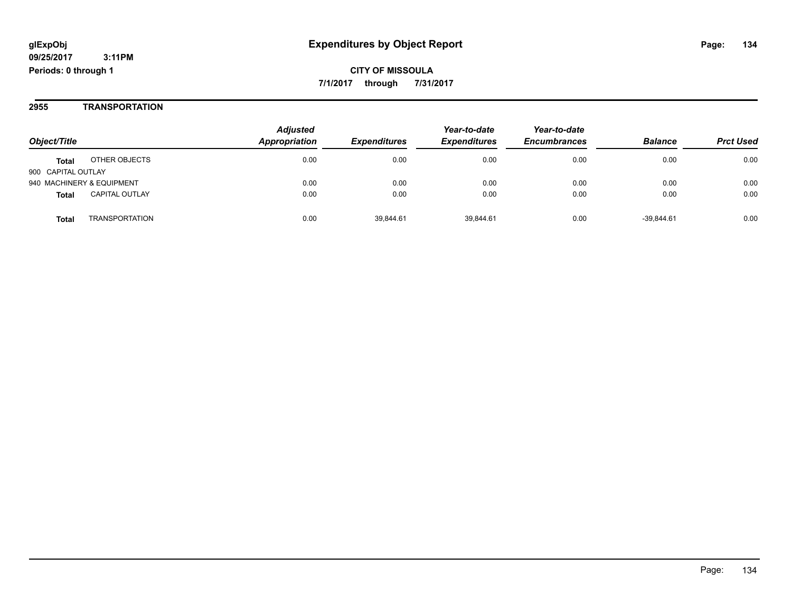#### **2955 TRANSPORTATION**

| Object/Title              |                       | <b>Adjusted</b><br><b>Appropriation</b> |                            | Year-to-date        | Year-to-date        |                |                  |
|---------------------------|-----------------------|-----------------------------------------|----------------------------|---------------------|---------------------|----------------|------------------|
|                           |                       |                                         | <i><b>Expenditures</b></i> | <b>Expenditures</b> | <b>Encumbrances</b> | <b>Balance</b> | <b>Prct Used</b> |
| <b>Total</b>              | OTHER OBJECTS         | 0.00                                    | 0.00                       | 0.00                | 0.00                | 0.00           | 0.00             |
| 900 CAPITAL OUTLAY        |                       |                                         |                            |                     |                     |                |                  |
| 940 MACHINERY & EQUIPMENT |                       | 0.00                                    | 0.00                       | 0.00                | 0.00                | 0.00           | 0.00             |
| <b>Total</b>              | <b>CAPITAL OUTLAY</b> | 0.00                                    | 0.00                       | 0.00                | 0.00                | 0.00           | 0.00             |
| Total                     | <b>TRANSPORTATION</b> | 0.00                                    | 39.844.61                  | 39.844.61           | 0.00                | $-39.844.61$   | 0.00             |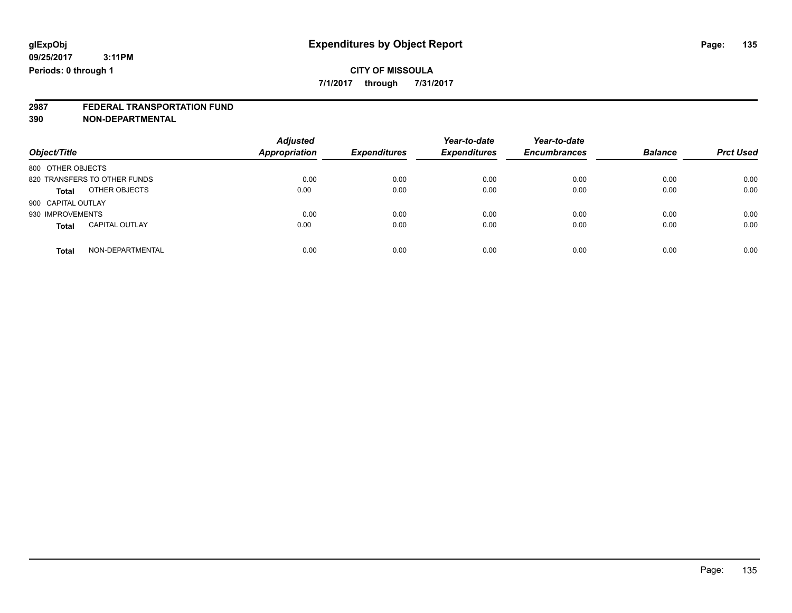**7/1/2017 through 7/31/2017**

## **2987 FEDERAL TRANSPORTATION FUND**

**390 NON-DEPARTMENTAL**

| Object/Title                          | <b>Adjusted</b><br>Appropriation | <b>Expenditures</b> | Year-to-date<br><b>Expenditures</b> | Year-to-date<br><b>Encumbrances</b> | <b>Balance</b> | <b>Prct Used</b> |
|---------------------------------------|----------------------------------|---------------------|-------------------------------------|-------------------------------------|----------------|------------------|
| 800 OTHER OBJECTS                     |                                  |                     |                                     |                                     |                |                  |
| 820 TRANSFERS TO OTHER FUNDS          | 0.00                             | 0.00                | 0.00                                | 0.00                                | 0.00           | 0.00             |
| OTHER OBJECTS<br><b>Total</b>         | 0.00                             | 0.00                | 0.00                                | 0.00                                | 0.00           | 0.00             |
| 900 CAPITAL OUTLAY                    |                                  |                     |                                     |                                     |                |                  |
| 930 IMPROVEMENTS                      | 0.00                             | 0.00                | 0.00                                | 0.00                                | 0.00           | 0.00             |
| <b>CAPITAL OUTLAY</b><br><b>Total</b> | 0.00                             | 0.00                | 0.00                                | 0.00                                | 0.00           | 0.00             |
| NON-DEPARTMENTAL<br><b>Total</b>      | 0.00                             | 0.00                | 0.00                                | 0.00                                | 0.00           | 0.00             |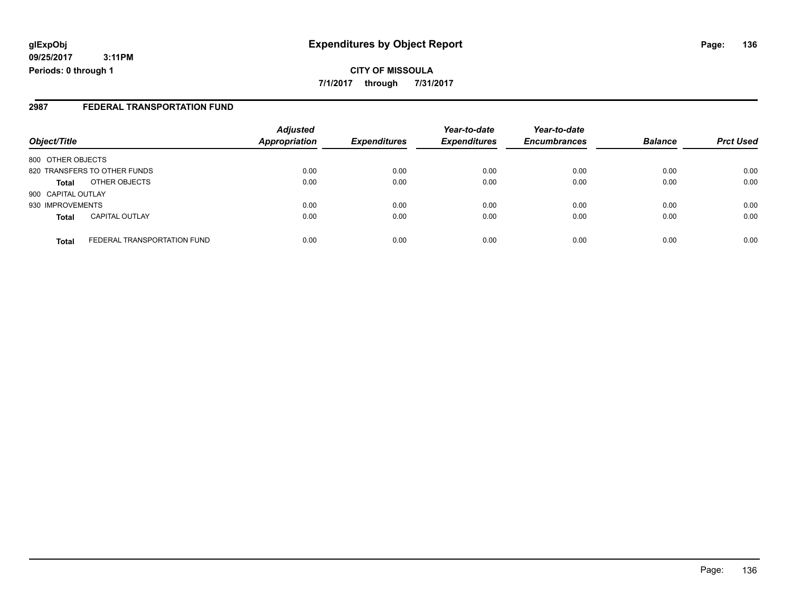**CITY OF MISSOULA 7/1/2017 through 7/31/2017**

#### **2987 FEDERAL TRANSPORTATION FUND**

|                    |                              | <b>Adjusted</b>      |                     | Year-to-date        | Year-to-date        |                |                  |
|--------------------|------------------------------|----------------------|---------------------|---------------------|---------------------|----------------|------------------|
| Object/Title       |                              | <b>Appropriation</b> | <b>Expenditures</b> | <b>Expenditures</b> | <b>Encumbrances</b> | <b>Balance</b> | <b>Prct Used</b> |
| 800 OTHER OBJECTS  |                              |                      |                     |                     |                     |                |                  |
|                    | 820 TRANSFERS TO OTHER FUNDS | 0.00                 | 0.00                | 0.00                | 0.00                | 0.00           | 0.00             |
| <b>Total</b>       | OTHER OBJECTS                | 0.00                 | 0.00                | 0.00                | 0.00                | 0.00           | 0.00             |
| 900 CAPITAL OUTLAY |                              |                      |                     |                     |                     |                |                  |
| 930 IMPROVEMENTS   |                              | 0.00                 | 0.00                | 0.00                | 0.00                | 0.00           | 0.00             |
| <b>Total</b>       | <b>CAPITAL OUTLAY</b>        | 0.00                 | 0.00                | 0.00                | 0.00                | 0.00           | 0.00             |
| <b>Total</b>       | FEDERAL TRANSPORTATION FUND  | 0.00                 | 0.00                | 0.00                | 0.00                | 0.00           | 0.00             |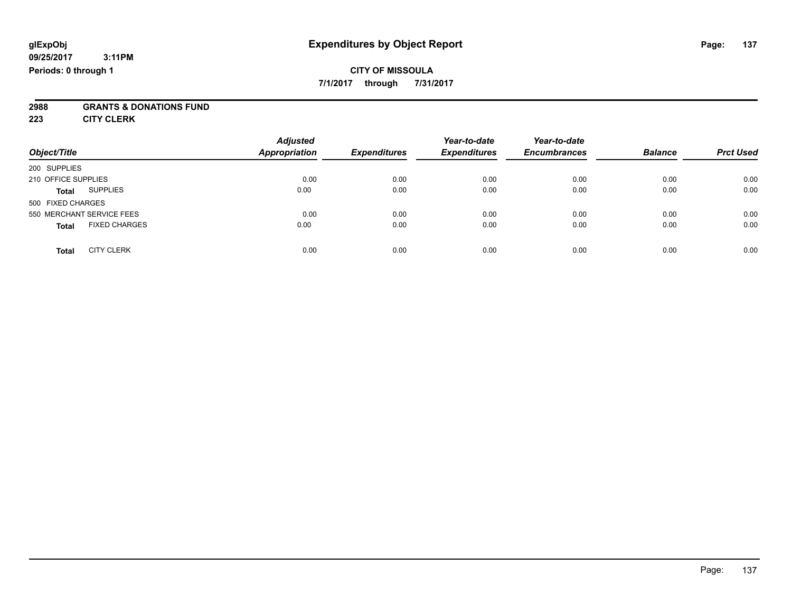**7/1/2017 through 7/31/2017**

## **2988 GRANTS & DONATIONS FUND**

**223 CITY CLERK**

| Object/Title                         | <b>Adjusted</b><br><b>Appropriation</b> | <b>Expenditures</b> | Year-to-date<br><b>Expenditures</b> | Year-to-date<br><b>Encumbrances</b> | <b>Balance</b> | <b>Prct Used</b> |
|--------------------------------------|-----------------------------------------|---------------------|-------------------------------------|-------------------------------------|----------------|------------------|
| 200 SUPPLIES                         |                                         |                     |                                     |                                     |                |                  |
| 210 OFFICE SUPPLIES                  | 0.00                                    | 0.00                | 0.00                                | 0.00                                | 0.00           | 0.00             |
| <b>SUPPLIES</b><br><b>Total</b>      | 0.00                                    | 0.00                | 0.00                                | 0.00                                | 0.00           | 0.00             |
| 500 FIXED CHARGES                    |                                         |                     |                                     |                                     |                |                  |
| 550 MERCHANT SERVICE FEES            | 0.00                                    | 0.00                | 0.00                                | 0.00                                | 0.00           | 0.00             |
| <b>FIXED CHARGES</b><br><b>Total</b> | 0.00                                    | 0.00                | 0.00                                | 0.00                                | 0.00           | 0.00             |
| <b>CITY CLERK</b><br><b>Total</b>    | 0.00                                    | 0.00                | 0.00                                | 0.00                                | 0.00           | 0.00             |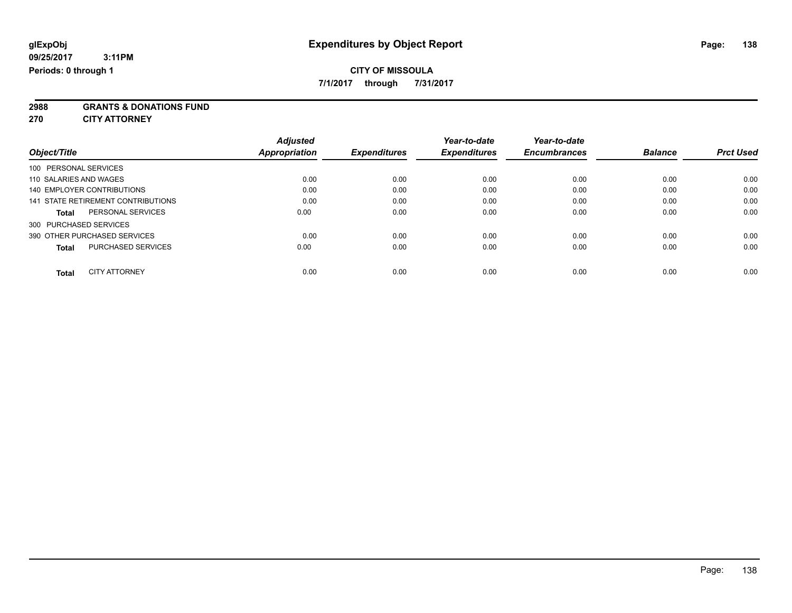**7/1/2017 through 7/31/2017**

**2988 GRANTS & DONATIONS FUND**

**270 CITY ATTORNEY**

| Object/Title                              | <b>Adjusted</b><br>Appropriation | <b>Expenditures</b> | Year-to-date<br><b>Expenditures</b> | Year-to-date<br><b>Encumbrances</b> | <b>Balance</b> | <b>Prct Used</b> |
|-------------------------------------------|----------------------------------|---------------------|-------------------------------------|-------------------------------------|----------------|------------------|
| 100 PERSONAL SERVICES                     |                                  |                     |                                     |                                     |                |                  |
| 110 SALARIES AND WAGES                    | 0.00                             | 0.00                | 0.00                                | 0.00                                | 0.00           | 0.00             |
| 140 EMPLOYER CONTRIBUTIONS                | 0.00                             | 0.00                | 0.00                                | 0.00                                | 0.00           | 0.00             |
| 141 STATE RETIREMENT CONTRIBUTIONS        | 0.00                             | 0.00                | 0.00                                | 0.00                                | 0.00           | 0.00             |
| PERSONAL SERVICES<br><b>Total</b>         | 0.00                             | 0.00                | 0.00                                | 0.00                                | 0.00           | 0.00             |
| 300 PURCHASED SERVICES                    |                                  |                     |                                     |                                     |                |                  |
| 390 OTHER PURCHASED SERVICES              | 0.00                             | 0.00                | 0.00                                | 0.00                                | 0.00           | 0.00             |
| <b>PURCHASED SERVICES</b><br><b>Total</b> | 0.00                             | 0.00                | 0.00                                | 0.00                                | 0.00           | 0.00             |
| <b>CITY ATTORNEY</b><br><b>Total</b>      | 0.00                             | 0.00                | 0.00                                | 0.00                                | 0.00           | 0.00             |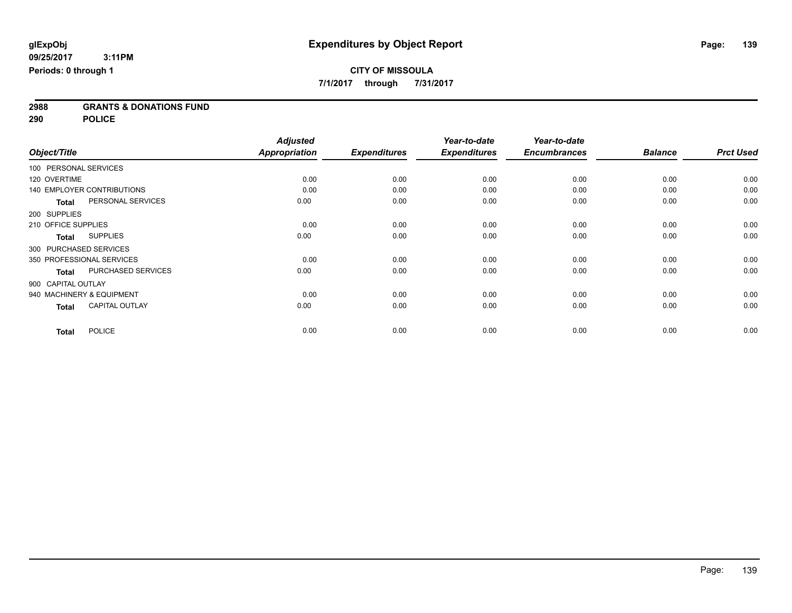**2988 GRANTS & DONATIONS FUND**

**290 POLICE**

|                     |                                   | <b>Adjusted</b> |                     | Year-to-date        | Year-to-date        |                |                  |
|---------------------|-----------------------------------|-----------------|---------------------|---------------------|---------------------|----------------|------------------|
| Object/Title        |                                   | Appropriation   | <b>Expenditures</b> | <b>Expenditures</b> | <b>Encumbrances</b> | <b>Balance</b> | <b>Prct Used</b> |
|                     | 100 PERSONAL SERVICES             |                 |                     |                     |                     |                |                  |
| 120 OVERTIME        |                                   | 0.00            | 0.00                | 0.00                | 0.00                | 0.00           | 0.00             |
|                     | <b>140 EMPLOYER CONTRIBUTIONS</b> | 0.00            | 0.00                | 0.00                | 0.00                | 0.00           | 0.00             |
| <b>Total</b>        | PERSONAL SERVICES                 | 0.00            | 0.00                | 0.00                | 0.00                | 0.00           | 0.00             |
| 200 SUPPLIES        |                                   |                 |                     |                     |                     |                |                  |
| 210 OFFICE SUPPLIES |                                   | 0.00            | 0.00                | 0.00                | 0.00                | 0.00           | 0.00             |
| <b>Total</b>        | <b>SUPPLIES</b>                   | 0.00            | 0.00                | 0.00                | 0.00                | 0.00           | 0.00             |
|                     | 300 PURCHASED SERVICES            |                 |                     |                     |                     |                |                  |
|                     | 350 PROFESSIONAL SERVICES         | 0.00            | 0.00                | 0.00                | 0.00                | 0.00           | 0.00             |
| <b>Total</b>        | PURCHASED SERVICES                | 0.00            | 0.00                | 0.00                | 0.00                | 0.00           | 0.00             |
| 900 CAPITAL OUTLAY  |                                   |                 |                     |                     |                     |                |                  |
|                     | 940 MACHINERY & EQUIPMENT         | 0.00            | 0.00                | 0.00                | 0.00                | 0.00           | 0.00             |
| <b>Total</b>        | <b>CAPITAL OUTLAY</b>             | 0.00            | 0.00                | 0.00                | 0.00                | 0.00           | 0.00             |
| <b>Total</b>        | <b>POLICE</b>                     | 0.00            | 0.00                | 0.00                | 0.00                | 0.00           | 0.00             |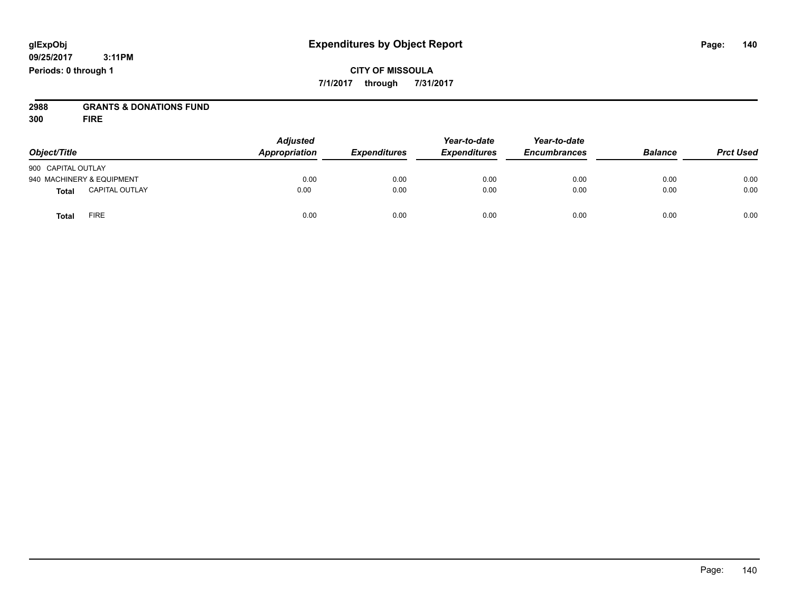#### **CITY OF MISSOULA 7/1/2017 through 7/31/2017**

## **2988 GRANTS & DONATIONS FUND**

**300 FIRE**

| Object/Title       |                           | <b>Adjusted</b><br>Appropriation | <b>Expenditures</b> | Year-to-date<br><b>Expenditures</b> | Year-to-date<br><b>Encumbrances</b> | <b>Balance</b> | <b>Prct Used</b> |
|--------------------|---------------------------|----------------------------------|---------------------|-------------------------------------|-------------------------------------|----------------|------------------|
|                    |                           |                                  |                     |                                     |                                     |                |                  |
| 900 CAPITAL OUTLAY |                           |                                  |                     |                                     |                                     |                |                  |
|                    | 940 MACHINERY & EQUIPMENT | 0.00                             | 0.00                | 0.00                                | 0.00                                | 0.00           | 0.00             |
| <b>Total</b>       | <b>CAPITAL OUTLAY</b>     | 0.00                             | 0.00                | 0.00                                | 0.00                                | 0.00           | 0.00             |
| <b>Total</b>       | <b>FIRE</b>               | 0.00                             | 0.00                | 0.00                                | 0.00                                | 0.00           | 0.00             |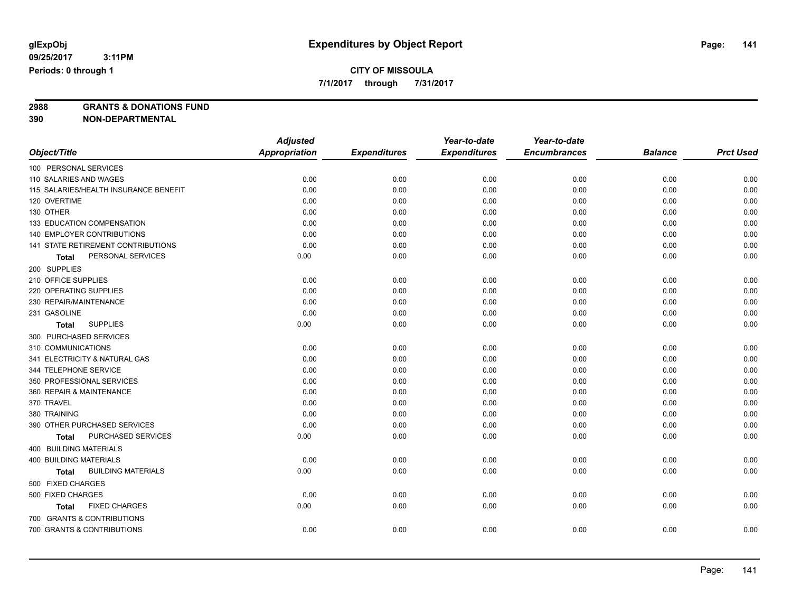**7/1/2017 through 7/31/2017**

**2988 GRANTS & DONATIONS FUND**

**390 NON-DEPARTMENTAL**

|                                       | <b>Adjusted</b>      |                     | Year-to-date        | Year-to-date        |                |                  |
|---------------------------------------|----------------------|---------------------|---------------------|---------------------|----------------|------------------|
| Object/Title                          | <b>Appropriation</b> | <b>Expenditures</b> | <b>Expenditures</b> | <b>Encumbrances</b> | <b>Balance</b> | <b>Prct Used</b> |
| 100 PERSONAL SERVICES                 |                      |                     |                     |                     |                |                  |
| 110 SALARIES AND WAGES                | 0.00                 | 0.00                | 0.00                | 0.00                | 0.00           | 0.00             |
| 115 SALARIES/HEALTH INSURANCE BENEFIT | 0.00                 | 0.00                | 0.00                | 0.00                | 0.00           | 0.00             |
| 120 OVERTIME                          | 0.00                 | 0.00                | 0.00                | 0.00                | 0.00           | 0.00             |
| 130 OTHER                             | 0.00                 | 0.00                | 0.00                | 0.00                | 0.00           | 0.00             |
| 133 EDUCATION COMPENSATION            | 0.00                 | 0.00                | 0.00                | 0.00                | 0.00           | 0.00             |
| 140 EMPLOYER CONTRIBUTIONS            | 0.00                 | 0.00                | 0.00                | 0.00                | 0.00           | 0.00             |
| 141 STATE RETIREMENT CONTRIBUTIONS    | 0.00                 | 0.00                | 0.00                | 0.00                | 0.00           | 0.00             |
| PERSONAL SERVICES<br>Total            | 0.00                 | 0.00                | 0.00                | 0.00                | 0.00           | 0.00             |
| 200 SUPPLIES                          |                      |                     |                     |                     |                |                  |
| 210 OFFICE SUPPLIES                   | 0.00                 | 0.00                | 0.00                | 0.00                | 0.00           | 0.00             |
| 220 OPERATING SUPPLIES                | 0.00                 | 0.00                | 0.00                | 0.00                | 0.00           | 0.00             |
| 230 REPAIR/MAINTENANCE                | 0.00                 | 0.00                | 0.00                | 0.00                | 0.00           | 0.00             |
| 231 GASOLINE                          | 0.00                 | 0.00                | 0.00                | 0.00                | 0.00           | 0.00             |
| <b>SUPPLIES</b><br><b>Total</b>       | 0.00                 | 0.00                | 0.00                | 0.00                | 0.00           | 0.00             |
| 300 PURCHASED SERVICES                |                      |                     |                     |                     |                |                  |
| 310 COMMUNICATIONS                    | 0.00                 | 0.00                | 0.00                | 0.00                | 0.00           | 0.00             |
| 341 ELECTRICITY & NATURAL GAS         | 0.00                 | 0.00                | 0.00                | 0.00                | 0.00           | 0.00             |
| 344 TELEPHONE SERVICE                 | 0.00                 | 0.00                | 0.00                | 0.00                | 0.00           | 0.00             |
| 350 PROFESSIONAL SERVICES             | 0.00                 | 0.00                | 0.00                | 0.00                | 0.00           | 0.00             |
| 360 REPAIR & MAINTENANCE              | 0.00                 | 0.00                | 0.00                | 0.00                | 0.00           | 0.00             |
| 370 TRAVEL                            | 0.00                 | 0.00                | 0.00                | 0.00                | 0.00           | 0.00             |
| 380 TRAINING                          | 0.00                 | 0.00                | 0.00                | 0.00                | 0.00           | 0.00             |
| 390 OTHER PURCHASED SERVICES          | 0.00                 | 0.00                | 0.00                | 0.00                | 0.00           | 0.00             |
| PURCHASED SERVICES<br><b>Total</b>    | 0.00                 | 0.00                | 0.00                | 0.00                | 0.00           | 0.00             |
| 400 BUILDING MATERIALS                |                      |                     |                     |                     |                |                  |
| <b>400 BUILDING MATERIALS</b>         | 0.00                 | 0.00                | 0.00                | 0.00                | 0.00           | 0.00             |
| <b>BUILDING MATERIALS</b><br>Total    | 0.00                 | 0.00                | 0.00                | 0.00                | 0.00           | 0.00             |
| 500 FIXED CHARGES                     |                      |                     |                     |                     |                |                  |
| 500 FIXED CHARGES                     | 0.00                 | 0.00                | 0.00                | 0.00                | 0.00           | 0.00             |
| <b>FIXED CHARGES</b><br>Total         | 0.00                 | 0.00                | 0.00                | 0.00                | 0.00           | 0.00             |
| 700 GRANTS & CONTRIBUTIONS            |                      |                     |                     |                     |                |                  |
| 700 GRANTS & CONTRIBUTIONS            | 0.00                 | 0.00                | 0.00                | 0.00                | 0.00           | 0.00             |
|                                       |                      |                     |                     |                     |                |                  |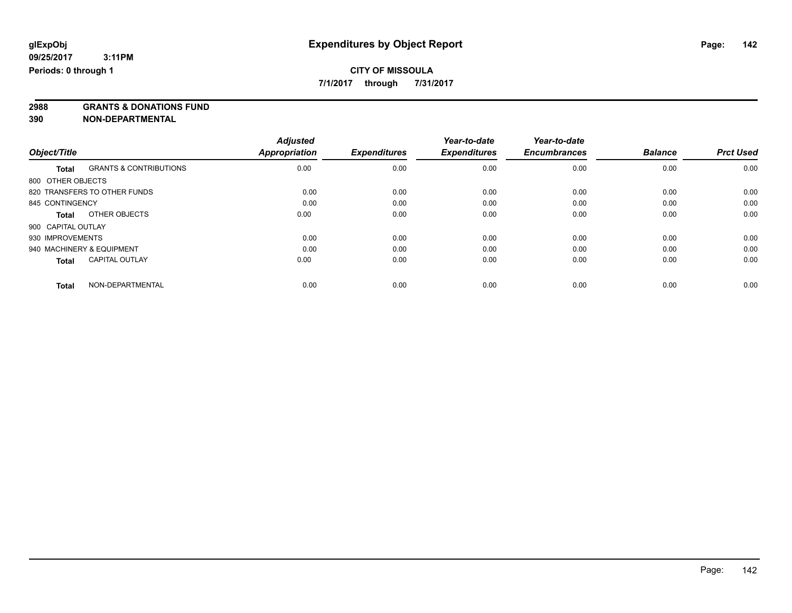**7/1/2017 through 7/31/2017**

**2988 GRANTS & DONATIONS FUND**

**390 NON-DEPARTMENTAL**

|                    |                                   | <b>Adjusted</b> |                     | Year-to-date        | Year-to-date        |                |                  |
|--------------------|-----------------------------------|-----------------|---------------------|---------------------|---------------------|----------------|------------------|
| Object/Title       |                                   | Appropriation   | <b>Expenditures</b> | <b>Expenditures</b> | <b>Encumbrances</b> | <b>Balance</b> | <b>Prct Used</b> |
| <b>Total</b>       | <b>GRANTS &amp; CONTRIBUTIONS</b> | 0.00            | 0.00                | 0.00                | 0.00                | 0.00           | 0.00             |
| 800 OTHER OBJECTS  |                                   |                 |                     |                     |                     |                |                  |
|                    | 820 TRANSFERS TO OTHER FUNDS      | 0.00            | 0.00                | 0.00                | 0.00                | 0.00           | 0.00             |
| 845 CONTINGENCY    |                                   | 0.00            | 0.00                | 0.00                | 0.00                | 0.00           | 0.00             |
| <b>Total</b>       | OTHER OBJECTS                     | 0.00            | 0.00                | 0.00                | 0.00                | 0.00           | 0.00             |
| 900 CAPITAL OUTLAY |                                   |                 |                     |                     |                     |                |                  |
| 930 IMPROVEMENTS   |                                   | 0.00            | 0.00                | 0.00                | 0.00                | 0.00           | 0.00             |
|                    | 940 MACHINERY & EQUIPMENT         | 0.00            | 0.00                | 0.00                | 0.00                | 0.00           | 0.00             |
| <b>Total</b>       | <b>CAPITAL OUTLAY</b>             | 0.00            | 0.00                | 0.00                | 0.00                | 0.00           | 0.00             |
| <b>Total</b>       | NON-DEPARTMENTAL                  | 0.00            | 0.00                | 0.00                | 0.00                | 0.00           | 0.00             |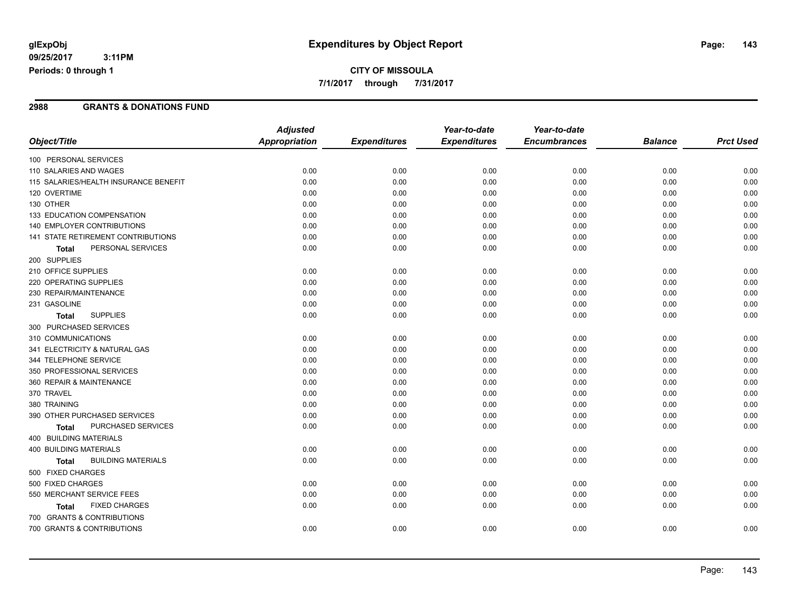#### **CITY OF MISSOULA 7/1/2017 through 7/31/2017**

#### **2988 GRANTS & DONATIONS FUND**

|                                           | <b>Adjusted</b>      |                     | Year-to-date        | Year-to-date        |                |                  |
|-------------------------------------------|----------------------|---------------------|---------------------|---------------------|----------------|------------------|
| Object/Title                              | <b>Appropriation</b> | <b>Expenditures</b> | <b>Expenditures</b> | <b>Encumbrances</b> | <b>Balance</b> | <b>Prct Used</b> |
| 100 PERSONAL SERVICES                     |                      |                     |                     |                     |                |                  |
| 110 SALARIES AND WAGES                    | 0.00                 | 0.00                | 0.00                | 0.00                | 0.00           | 0.00             |
| 115 SALARIES/HEALTH INSURANCE BENEFIT     | 0.00                 | 0.00                | 0.00                | 0.00                | 0.00           | 0.00             |
| 120 OVERTIME                              | 0.00                 | 0.00                | 0.00                | 0.00                | 0.00           | 0.00             |
| 130 OTHER                                 | 0.00                 | 0.00                | 0.00                | 0.00                | 0.00           | 0.00             |
| 133 EDUCATION COMPENSATION                | 0.00                 | 0.00                | 0.00                | 0.00                | 0.00           | 0.00             |
| 140 EMPLOYER CONTRIBUTIONS                | 0.00                 | 0.00                | 0.00                | 0.00                | 0.00           | 0.00             |
| 141 STATE RETIREMENT CONTRIBUTIONS        | 0.00                 | 0.00                | 0.00                | 0.00                | 0.00           | 0.00             |
| PERSONAL SERVICES<br>Total                | 0.00                 | 0.00                | 0.00                | 0.00                | 0.00           | 0.00             |
| 200 SUPPLIES                              |                      |                     |                     |                     |                |                  |
| 210 OFFICE SUPPLIES                       | 0.00                 | 0.00                | 0.00                | 0.00                | 0.00           | 0.00             |
| 220 OPERATING SUPPLIES                    | 0.00                 | 0.00                | 0.00                | 0.00                | 0.00           | 0.00             |
| 230 REPAIR/MAINTENANCE                    | 0.00                 | 0.00                | 0.00                | 0.00                | 0.00           | 0.00             |
| 231 GASOLINE                              | 0.00                 | 0.00                | 0.00                | 0.00                | 0.00           | 0.00             |
| <b>SUPPLIES</b><br><b>Total</b>           | 0.00                 | 0.00                | 0.00                | 0.00                | 0.00           | 0.00             |
| 300 PURCHASED SERVICES                    |                      |                     |                     |                     |                |                  |
| 310 COMMUNICATIONS                        | 0.00                 | 0.00                | 0.00                | 0.00                | 0.00           | 0.00             |
| 341 ELECTRICITY & NATURAL GAS             | 0.00                 | 0.00                | 0.00                | 0.00                | 0.00           | 0.00             |
| 344 TELEPHONE SERVICE                     | 0.00                 | 0.00                | 0.00                | 0.00                | 0.00           | 0.00             |
| 350 PROFESSIONAL SERVICES                 | 0.00                 | 0.00                | 0.00                | 0.00                | 0.00           | 0.00             |
| 360 REPAIR & MAINTENANCE                  | 0.00                 | 0.00                | 0.00                | 0.00                | 0.00           | 0.00             |
| 370 TRAVEL                                | 0.00                 | 0.00                | 0.00                | 0.00                | 0.00           | 0.00             |
| 380 TRAINING                              | 0.00                 | 0.00                | 0.00                | 0.00                | 0.00           | 0.00             |
| 390 OTHER PURCHASED SERVICES              | 0.00                 | 0.00                | 0.00                | 0.00                | 0.00           | 0.00             |
| PURCHASED SERVICES<br><b>Total</b>        | 0.00                 | 0.00                | 0.00                | 0.00                | 0.00           | 0.00             |
| 400 BUILDING MATERIALS                    |                      |                     |                     |                     |                |                  |
| 400 BUILDING MATERIALS                    | 0.00                 | 0.00                | 0.00                | 0.00                | 0.00           | 0.00             |
| <b>BUILDING MATERIALS</b><br><b>Total</b> | 0.00                 | 0.00                | 0.00                | 0.00                | 0.00           | 0.00             |
| 500 FIXED CHARGES                         |                      |                     |                     |                     |                |                  |
| 500 FIXED CHARGES                         | 0.00                 | 0.00                | 0.00                | 0.00                | 0.00           | 0.00             |
| 550 MERCHANT SERVICE FEES                 | 0.00                 | 0.00                | 0.00                | 0.00                | 0.00           | 0.00             |
| <b>FIXED CHARGES</b><br><b>Total</b>      | 0.00                 | 0.00                | 0.00                | 0.00                | 0.00           | 0.00             |
| 700 GRANTS & CONTRIBUTIONS                |                      |                     |                     |                     |                |                  |
| 700 GRANTS & CONTRIBUTIONS                | 0.00                 | 0.00                | 0.00                | 0.00                | 0.00           | 0.00             |
|                                           |                      |                     |                     |                     |                |                  |

Page: 143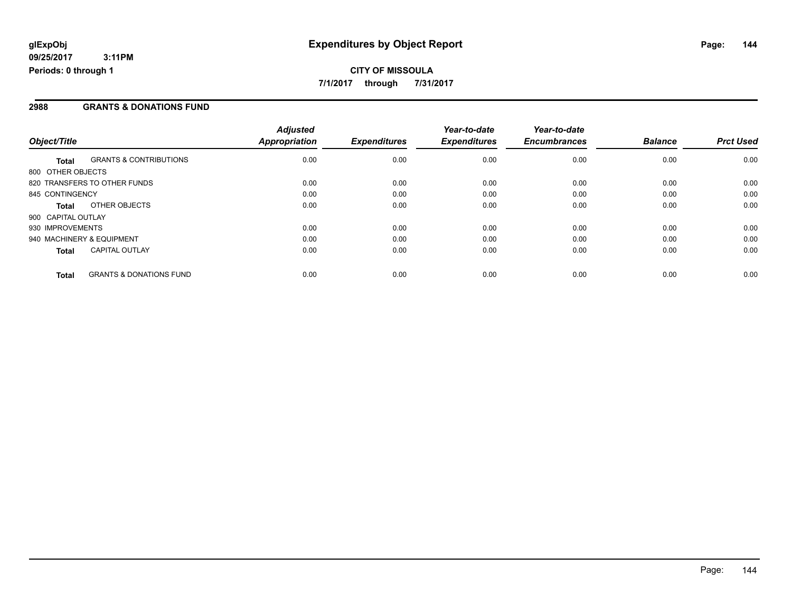#### **2988 GRANTS & DONATIONS FUND**

|                    |                                    | <b>Adjusted</b>      |                     | Year-to-date        | Year-to-date        |                |                  |
|--------------------|------------------------------------|----------------------|---------------------|---------------------|---------------------|----------------|------------------|
| Object/Title       |                                    | <b>Appropriation</b> | <b>Expenditures</b> | <b>Expenditures</b> | <b>Encumbrances</b> | <b>Balance</b> | <b>Prct Used</b> |
| <b>Total</b>       | <b>GRANTS &amp; CONTRIBUTIONS</b>  | 0.00                 | 0.00                | 0.00                | 0.00                | 0.00           | 0.00             |
| 800 OTHER OBJECTS  |                                    |                      |                     |                     |                     |                |                  |
|                    | 820 TRANSFERS TO OTHER FUNDS       | 0.00                 | 0.00                | 0.00                | 0.00                | 0.00           | 0.00             |
| 845 CONTINGENCY    |                                    | 0.00                 | 0.00                | 0.00                | 0.00                | 0.00           | 0.00             |
| <b>Total</b>       | OTHER OBJECTS                      | 0.00                 | 0.00                | 0.00                | 0.00                | 0.00           | 0.00             |
| 900 CAPITAL OUTLAY |                                    |                      |                     |                     |                     |                |                  |
| 930 IMPROVEMENTS   |                                    | 0.00                 | 0.00                | 0.00                | 0.00                | 0.00           | 0.00             |
|                    | 940 MACHINERY & EQUIPMENT          | 0.00                 | 0.00                | 0.00                | 0.00                | 0.00           | 0.00             |
| <b>Total</b>       | <b>CAPITAL OUTLAY</b>              | 0.00                 | 0.00                | 0.00                | 0.00                | 0.00           | 0.00             |
| <b>Total</b>       | <b>GRANTS &amp; DONATIONS FUND</b> | 0.00                 | 0.00                | 0.00                | 0.00                | 0.00           | 0.00             |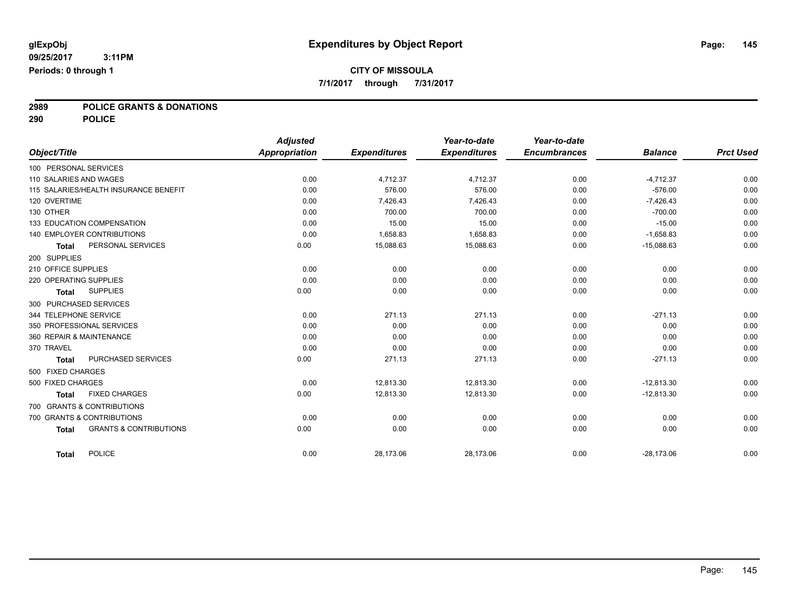**7/1/2017 through 7/31/2017**

# **2989 POLICE GRANTS & DONATIONS**

**290 POLICE**

|                        |                                       | <b>Adjusted</b>      |                     | Year-to-date        | Year-to-date        |                |                  |
|------------------------|---------------------------------------|----------------------|---------------------|---------------------|---------------------|----------------|------------------|
| Object/Title           |                                       | <b>Appropriation</b> | <b>Expenditures</b> | <b>Expenditures</b> | <b>Encumbrances</b> | <b>Balance</b> | <b>Prct Used</b> |
| 100 PERSONAL SERVICES  |                                       |                      |                     |                     |                     |                |                  |
| 110 SALARIES AND WAGES |                                       | 0.00                 | 4,712.37            | 4,712.37            | 0.00                | $-4,712.37$    | 0.00             |
|                        | 115 SALARIES/HEALTH INSURANCE BENEFIT | 0.00                 | 576.00              | 576.00              | 0.00                | $-576.00$      | 0.00             |
| 120 OVERTIME           |                                       | 0.00                 | 7,426.43            | 7,426.43            | 0.00                | $-7,426.43$    | 0.00             |
| 130 OTHER              |                                       | 0.00                 | 700.00              | 700.00              | 0.00                | $-700.00$      | 0.00             |
|                        | 133 EDUCATION COMPENSATION            | 0.00                 | 15.00               | 15.00               | 0.00                | $-15.00$       | 0.00             |
|                        | <b>140 EMPLOYER CONTRIBUTIONS</b>     | 0.00                 | 1,658.83            | 1,658.83            | 0.00                | $-1,658.83$    | 0.00             |
| <b>Total</b>           | PERSONAL SERVICES                     | 0.00                 | 15,088.63           | 15,088.63           | 0.00                | $-15,088.63$   | 0.00             |
| 200 SUPPLIES           |                                       |                      |                     |                     |                     |                |                  |
| 210 OFFICE SUPPLIES    |                                       | 0.00                 | 0.00                | 0.00                | 0.00                | 0.00           | 0.00             |
| 220 OPERATING SUPPLIES |                                       | 0.00                 | 0.00                | 0.00                | 0.00                | 0.00           | 0.00             |
| <b>Total</b>           | <b>SUPPLIES</b>                       | 0.00                 | 0.00                | 0.00                | 0.00                | 0.00           | 0.00             |
|                        | 300 PURCHASED SERVICES                |                      |                     |                     |                     |                |                  |
| 344 TELEPHONE SERVICE  |                                       | 0.00                 | 271.13              | 271.13              | 0.00                | $-271.13$      | 0.00             |
|                        | 350 PROFESSIONAL SERVICES             | 0.00                 | 0.00                | 0.00                | 0.00                | 0.00           | 0.00             |
|                        | 360 REPAIR & MAINTENANCE              | 0.00                 | 0.00                | 0.00                | 0.00                | 0.00           | 0.00             |
| 370 TRAVEL             |                                       | 0.00                 | 0.00                | 0.00                | 0.00                | 0.00           | 0.00             |
| <b>Total</b>           | PURCHASED SERVICES                    | 0.00                 | 271.13              | 271.13              | 0.00                | $-271.13$      | 0.00             |
| 500 FIXED CHARGES      |                                       |                      |                     |                     |                     |                |                  |
| 500 FIXED CHARGES      |                                       | 0.00                 | 12,813.30           | 12,813.30           | 0.00                | $-12,813.30$   | 0.00             |
| <b>Total</b>           | <b>FIXED CHARGES</b>                  | 0.00                 | 12,813.30           | 12,813.30           | 0.00                | $-12,813.30$   | 0.00             |
|                        | 700 GRANTS & CONTRIBUTIONS            |                      |                     |                     |                     |                |                  |
|                        | 700 GRANTS & CONTRIBUTIONS            | 0.00                 | 0.00                | 0.00                | 0.00                | 0.00           | 0.00             |
| <b>Total</b>           | <b>GRANTS &amp; CONTRIBUTIONS</b>     | 0.00                 | 0.00                | 0.00                | 0.00                | 0.00           | 0.00             |
|                        |                                       |                      |                     |                     |                     |                |                  |
| <b>Total</b>           | <b>POLICE</b>                         | 0.00                 | 28,173.06           | 28,173.06           | 0.00                | $-28,173.06$   | 0.00             |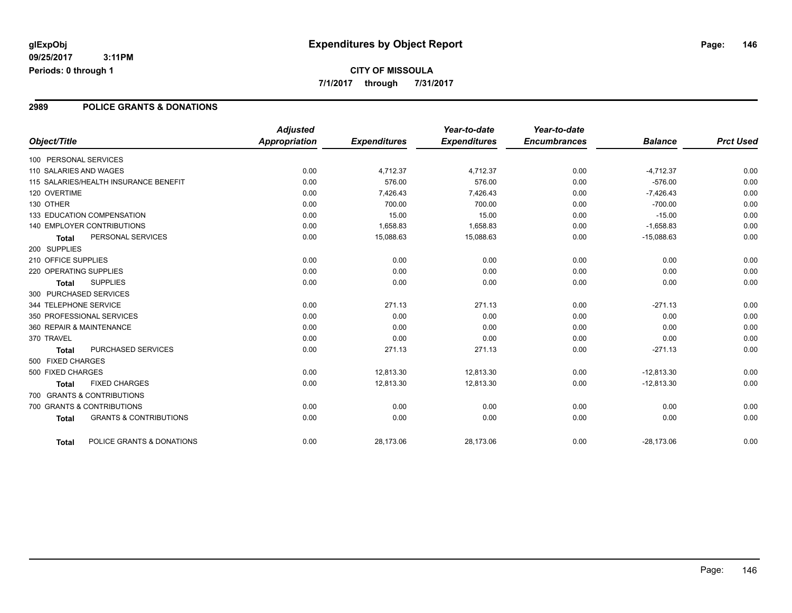**CITY OF MISSOULA 7/1/2017 through 7/31/2017**

### **2989 POLICE GRANTS & DONATIONS**

|                        |                                       | <b>Adjusted</b>      |                     | Year-to-date        | Year-to-date        |                |                  |
|------------------------|---------------------------------------|----------------------|---------------------|---------------------|---------------------|----------------|------------------|
| Object/Title           |                                       | <b>Appropriation</b> | <b>Expenditures</b> | <b>Expenditures</b> | <b>Encumbrances</b> | <b>Balance</b> | <b>Prct Used</b> |
| 100 PERSONAL SERVICES  |                                       |                      |                     |                     |                     |                |                  |
| 110 SALARIES AND WAGES |                                       | 0.00                 | 4,712.37            | 4,712.37            | 0.00                | $-4,712.37$    | 0.00             |
|                        | 115 SALARIES/HEALTH INSURANCE BENEFIT | 0.00                 | 576.00              | 576.00              | 0.00                | $-576.00$      | 0.00             |
| 120 OVERTIME           |                                       | 0.00                 | 7,426.43            | 7,426.43            | 0.00                | $-7,426.43$    | 0.00             |
| 130 OTHER              |                                       | 0.00                 | 700.00              | 700.00              | 0.00                | $-700.00$      | 0.00             |
|                        | 133 EDUCATION COMPENSATION            | 0.00                 | 15.00               | 15.00               | 0.00                | $-15.00$       | 0.00             |
|                        | 140 EMPLOYER CONTRIBUTIONS            | 0.00                 | 1,658.83            | 1,658.83            | 0.00                | $-1,658.83$    | 0.00             |
| <b>Total</b>           | PERSONAL SERVICES                     | 0.00                 | 15,088.63           | 15,088.63           | 0.00                | $-15,088.63$   | 0.00             |
| 200 SUPPLIES           |                                       |                      |                     |                     |                     |                |                  |
| 210 OFFICE SUPPLIES    |                                       | 0.00                 | 0.00                | 0.00                | 0.00                | 0.00           | 0.00             |
| 220 OPERATING SUPPLIES |                                       | 0.00                 | 0.00                | 0.00                | 0.00                | 0.00           | 0.00             |
| <b>Total</b>           | <b>SUPPLIES</b>                       | 0.00                 | 0.00                | 0.00                | 0.00                | 0.00           | 0.00             |
|                        | 300 PURCHASED SERVICES                |                      |                     |                     |                     |                |                  |
| 344 TELEPHONE SERVICE  |                                       | 0.00                 | 271.13              | 271.13              | 0.00                | $-271.13$      | 0.00             |
|                        | 350 PROFESSIONAL SERVICES             | 0.00                 | 0.00                | 0.00                | 0.00                | 0.00           | 0.00             |
|                        | 360 REPAIR & MAINTENANCE              | 0.00                 | 0.00                | 0.00                | 0.00                | 0.00           | 0.00             |
| 370 TRAVEL             |                                       | 0.00                 | 0.00                | 0.00                | 0.00                | 0.00           | 0.00             |
| <b>Total</b>           | PURCHASED SERVICES                    | 0.00                 | 271.13              | 271.13              | 0.00                | $-271.13$      | 0.00             |
| 500 FIXED CHARGES      |                                       |                      |                     |                     |                     |                |                  |
| 500 FIXED CHARGES      |                                       | 0.00                 | 12,813.30           | 12,813.30           | 0.00                | $-12,813.30$   | 0.00             |
| <b>Total</b>           | <b>FIXED CHARGES</b>                  | 0.00                 | 12,813.30           | 12,813.30           | 0.00                | $-12,813.30$   | 0.00             |
|                        | 700 GRANTS & CONTRIBUTIONS            |                      |                     |                     |                     |                |                  |
|                        | 700 GRANTS & CONTRIBUTIONS            | 0.00                 | 0.00                | 0.00                | 0.00                | 0.00           | 0.00             |
| <b>Total</b>           | <b>GRANTS &amp; CONTRIBUTIONS</b>     | 0.00                 | 0.00                | 0.00                | 0.00                | 0.00           | 0.00             |
| <b>Total</b>           | POLICE GRANTS & DONATIONS             | 0.00                 | 28,173.06           | 28,173.06           | 0.00                | $-28,173.06$   | 0.00             |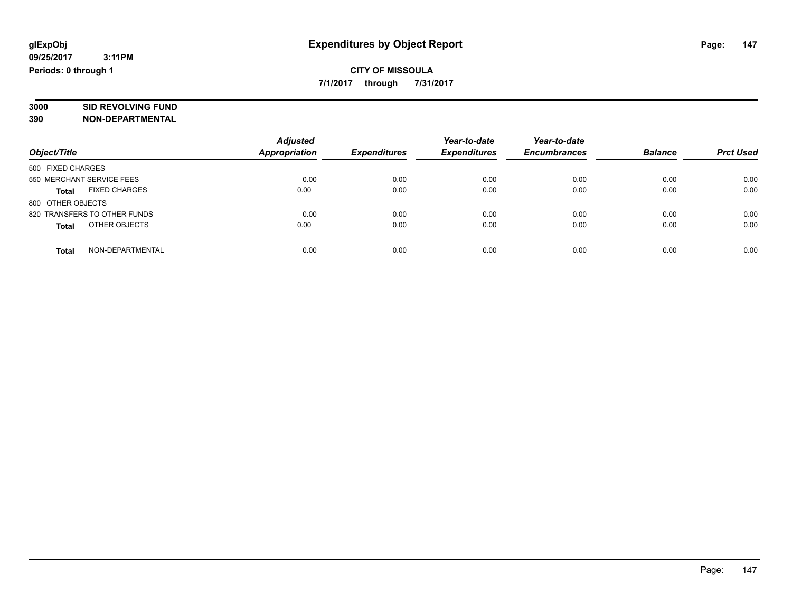**7/1/2017 through 7/31/2017**

# **3000 SID REVOLVING FUND**

|                                      | <b>Adjusted</b>      |                     | Year-to-date        | Year-to-date        |                |                  |
|--------------------------------------|----------------------|---------------------|---------------------|---------------------|----------------|------------------|
| Object/Title                         | <b>Appropriation</b> | <b>Expenditures</b> | <b>Expenditures</b> | <b>Encumbrances</b> | <b>Balance</b> | <b>Prct Used</b> |
| 500 FIXED CHARGES                    |                      |                     |                     |                     |                |                  |
| 550 MERCHANT SERVICE FEES            | 0.00                 | 0.00                | 0.00                | 0.00                | 0.00           | 0.00             |
| <b>FIXED CHARGES</b><br><b>Total</b> | 0.00                 | 0.00                | 0.00                | 0.00                | 0.00           | 0.00             |
| 800 OTHER OBJECTS                    |                      |                     |                     |                     |                |                  |
| 820 TRANSFERS TO OTHER FUNDS         | 0.00                 | 0.00                | 0.00                | 0.00                | 0.00           | 0.00             |
| OTHER OBJECTS<br><b>Total</b>        | 0.00                 | 0.00                | 0.00                | 0.00                | 0.00           | 0.00             |
| NON-DEPARTMENTAL<br>Total            | 0.00                 | 0.00                | 0.00                | 0.00                | 0.00           | 0.00             |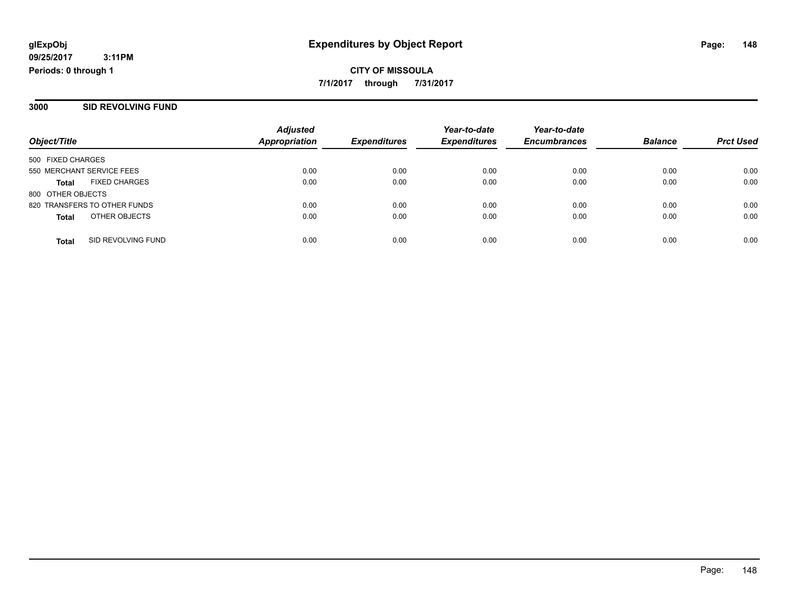**CITY OF MISSOULA 7/1/2017 through 7/31/2017**

#### **3000 SID REVOLVING FUND**

| Object/Title                 |                      | <b>Adjusted</b><br><b>Appropriation</b> | <b>Expenditures</b> | Year-to-date<br><b>Expenditures</b> | Year-to-date<br><b>Encumbrances</b> | <b>Balance</b> | <b>Prct Used</b> |
|------------------------------|----------------------|-----------------------------------------|---------------------|-------------------------------------|-------------------------------------|----------------|------------------|
| 500 FIXED CHARGES            |                      |                                         |                     |                                     |                                     |                |                  |
| 550 MERCHANT SERVICE FEES    |                      | 0.00                                    | 0.00                | 0.00                                | 0.00                                | 0.00           | 0.00             |
| <b>Total</b>                 | <b>FIXED CHARGES</b> | 0.00                                    | 0.00                | 0.00                                | 0.00                                | 0.00           | 0.00             |
| 800 OTHER OBJECTS            |                      |                                         |                     |                                     |                                     |                |                  |
| 820 TRANSFERS TO OTHER FUNDS |                      | 0.00                                    | 0.00                | 0.00                                | 0.00                                | 0.00           | 0.00             |
| <b>Total</b>                 | OTHER OBJECTS        | 0.00                                    | 0.00                | 0.00                                | 0.00                                | 0.00           | 0.00             |
| <b>Total</b>                 | SID REVOLVING FUND   | 0.00                                    | 0.00                | 0.00                                | 0.00                                | 0.00           | 0.00             |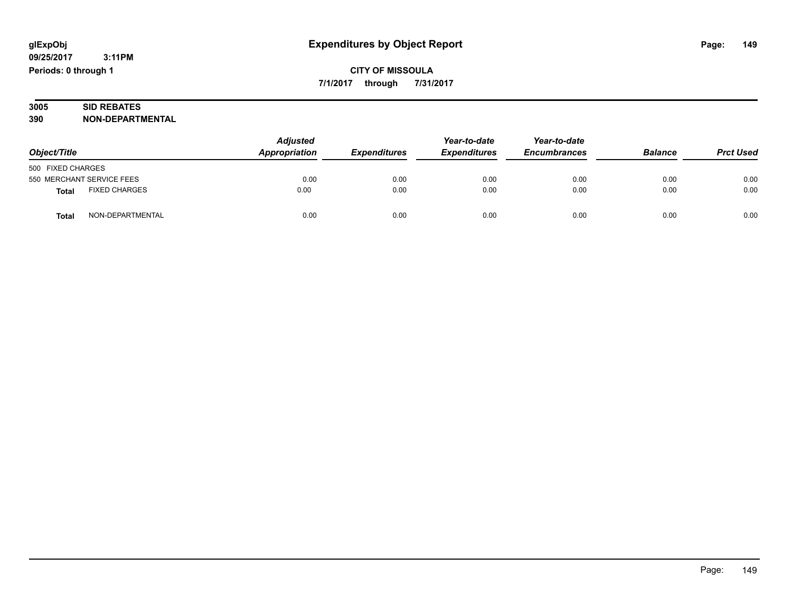**CITY OF MISSOULA 7/1/2017 through 7/31/2017**

### **3005 SID REBATES 390 NON-DEPARTMENTAL**

| Object/Title      |                           | <b>Adjusted</b><br>Appropriation | <b>Expenditures</b> | Year-to-date<br><b>Expenditures</b> | Year-to-date<br><b>Encumbrances</b> | <b>Balance</b> | <b>Prct Used</b> |
|-------------------|---------------------------|----------------------------------|---------------------|-------------------------------------|-------------------------------------|----------------|------------------|
| 500 FIXED CHARGES |                           |                                  |                     |                                     |                                     |                |                  |
|                   | 550 MERCHANT SERVICE FEES | 0.00                             | 0.00                | 0.00                                | 0.00                                | 0.00           | 0.00             |
| <b>Total</b>      | <b>FIXED CHARGES</b>      | 0.00                             | 0.00                | 0.00                                | 0.00                                | 0.00           | 0.00             |
| <b>Total</b>      | NON-DEPARTMENTAL          | 0.00                             | 0.00                | 0.00                                | 0.00                                | 0.00           | 0.00             |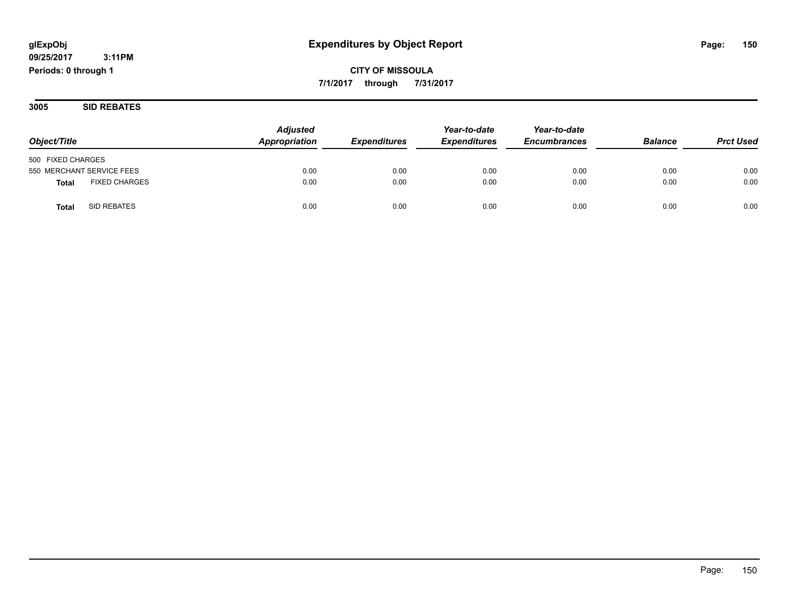**CITY OF MISSOULA 7/1/2017 through 7/31/2017**

**3005 SID REBATES**

|                                      | <b>Adjusted</b><br>Appropriation |                            | Year-to-date        | Year-to-date        | <b>Balance</b> | <b>Prct Used</b> |
|--------------------------------------|----------------------------------|----------------------------|---------------------|---------------------|----------------|------------------|
| Object/Title                         |                                  | <i><b>Expenditures</b></i> | <b>Expenditures</b> | <b>Encumbrances</b> |                |                  |
| 500 FIXED CHARGES                    |                                  |                            |                     |                     |                |                  |
| 550 MERCHANT SERVICE FEES            | 0.00                             | 0.00                       | 0.00                | 0.00                | 0.00           | 0.00             |
| <b>FIXED CHARGES</b><br><b>Total</b> | 0.00                             | 0.00                       | 0.00                | 0.00                | 0.00           | 0.00             |
| <b>SID REBATES</b><br>Tota           | 0.00                             | 0.00                       | 0.00                | 0.00                | 0.00           | 0.00             |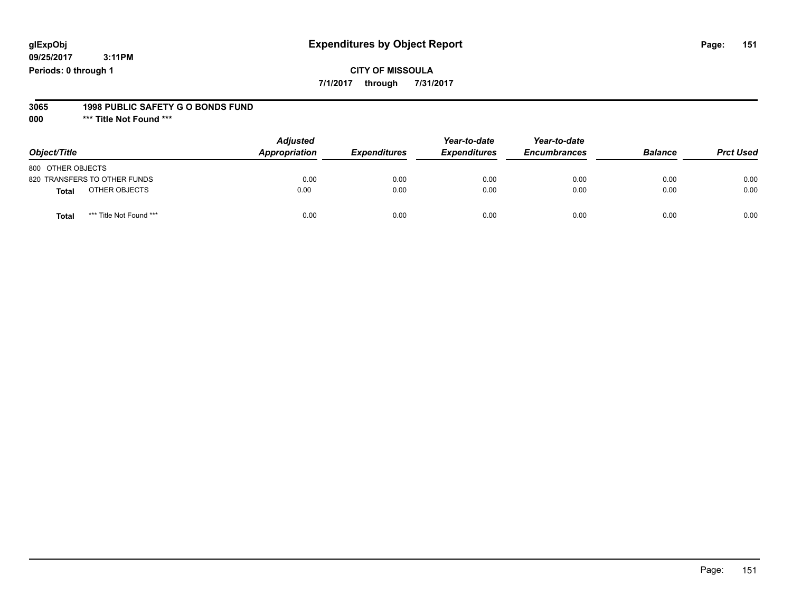## **glExpObj Expenditures by Object Report Page: 151**

**09/25/2017 3:11PM Periods: 0 through 1**

#### **3065 1998 PUBLIC SAFETY G O BONDS FUND**

**000 \*\*\* Title Not Found \*\*\***

| Object/Title                            | <b>Adjusted</b><br>Appropriation | <b>Expenditures</b> | Year-to-date<br><b>Expenditures</b> | Year-to-date<br><b>Encumbrances</b> | <b>Balance</b> | <b>Prct Used</b> |
|-----------------------------------------|----------------------------------|---------------------|-------------------------------------|-------------------------------------|----------------|------------------|
| 800 OTHER OBJECTS                       |                                  |                     |                                     |                                     |                |                  |
| 820 TRANSFERS TO OTHER FUNDS            | 0.00                             | 0.00                | 0.00                                | 0.00                                | 0.00           | 0.00             |
| OTHER OBJECTS<br>Total                  | 0.00                             | 0.00                | 0.00                                | 0.00                                | 0.00           | 0.00             |
| *** Title Not Found ***<br><b>Total</b> | 0.00                             | 0.00                | 0.00                                | 0.00                                | 0.00           | 0.00             |

Page: 151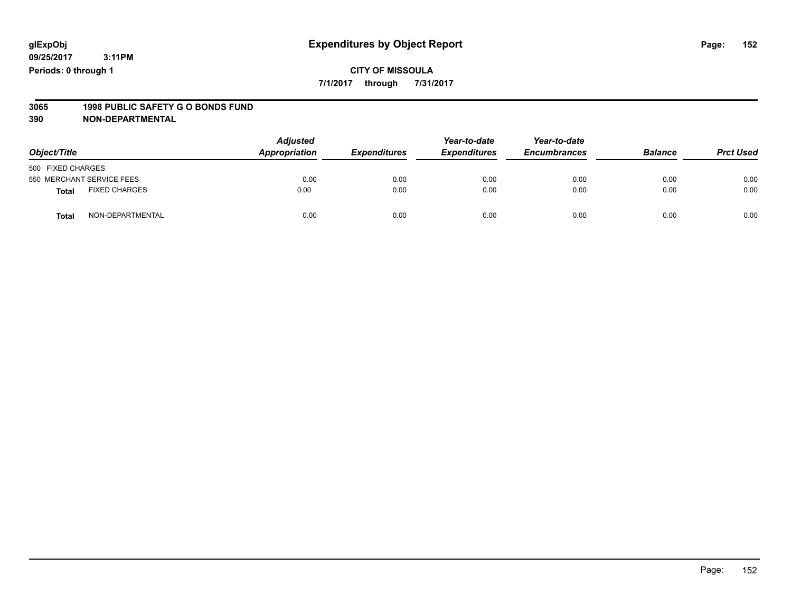### **CITY OF MISSOULA 7/1/2017 through 7/31/2017**

# **3065 1998 PUBLIC SAFETY G O BONDS FUND**

| Object/Title                         | <b>Adjusted</b><br><b>Appropriation</b> | <b>Expenditures</b> | Year-to-date<br><b>Expenditures</b> | Year-to-date<br><b>Encumbrances</b> | <b>Balance</b> | <b>Prct Used</b> |
|--------------------------------------|-----------------------------------------|---------------------|-------------------------------------|-------------------------------------|----------------|------------------|
| 500 FIXED CHARGES                    |                                         |                     |                                     |                                     |                |                  |
| 550 MERCHANT SERVICE FEES            | 0.00                                    | 0.00                | 0.00                                | 0.00                                | 0.00           | 0.00             |
| <b>FIXED CHARGES</b><br><b>Total</b> | 0.00                                    | 0.00                | 0.00                                | 0.00                                | 0.00           | 0.00             |
| NON-DEPARTMENTAL<br><b>Total</b>     | 0.00                                    | 0.00                | 0.00                                | 0.00                                | 0.00           | 0.00             |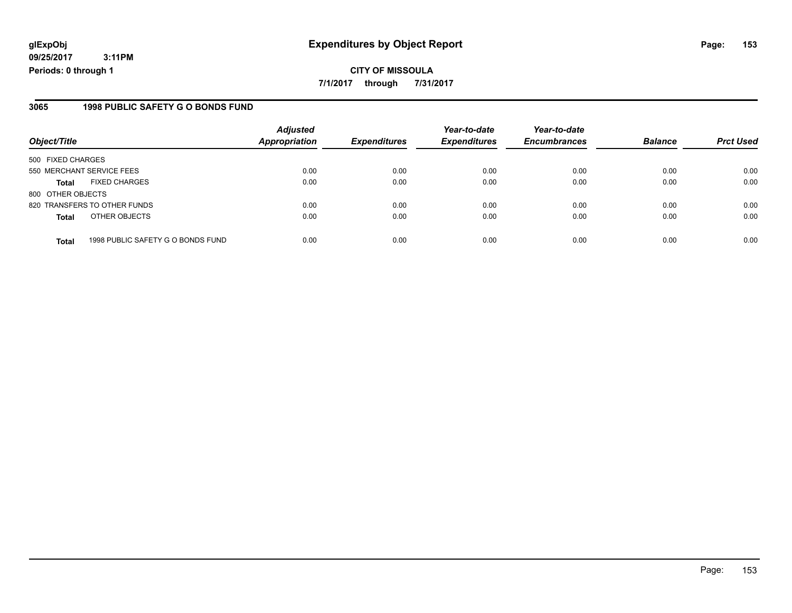### **3065 1998 PUBLIC SAFETY G O BONDS FUND**

| Object/Title                                      | <b>Adjusted</b><br><b>Appropriation</b> | <b>Expenditures</b> | Year-to-date<br><b>Expenditures</b> | Year-to-date<br><b>Encumbrances</b> | <b>Balance</b> | <b>Prct Used</b> |
|---------------------------------------------------|-----------------------------------------|---------------------|-------------------------------------|-------------------------------------|----------------|------------------|
|                                                   |                                         |                     |                                     |                                     |                |                  |
| 500 FIXED CHARGES                                 |                                         |                     |                                     |                                     |                |                  |
| 550 MERCHANT SERVICE FEES                         | 0.00                                    | 0.00                | 0.00                                | 0.00                                | 0.00           | 0.00             |
| <b>FIXED CHARGES</b><br><b>Total</b>              | 0.00                                    | 0.00                | 0.00                                | 0.00                                | 0.00           | 0.00             |
| 800 OTHER OBJECTS                                 |                                         |                     |                                     |                                     |                |                  |
| 820 TRANSFERS TO OTHER FUNDS                      | 0.00                                    | 0.00                | 0.00                                | 0.00                                | 0.00           | 0.00             |
| OTHER OBJECTS<br><b>Total</b>                     | 0.00                                    | 0.00                | 0.00                                | 0.00                                | 0.00           | 0.00             |
|                                                   |                                         |                     |                                     |                                     |                |                  |
| 1998 PUBLIC SAFETY G O BONDS FUND<br><b>Total</b> | 0.00                                    | 0.00                | 0.00                                | 0.00                                | 0.00           | 0.00             |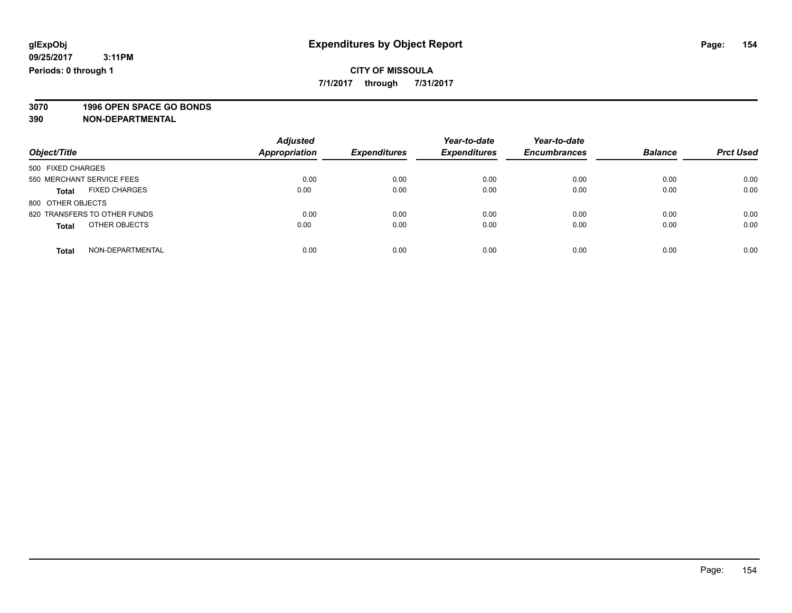**7/1/2017 through 7/31/2017**

**3070 1996 OPEN SPACE GO BONDS**

| Object/Title                         | <b>Adjusted</b><br><b>Appropriation</b> | <b>Expenditures</b> | Year-to-date<br><b>Expenditures</b> | Year-to-date<br><b>Encumbrances</b> | <b>Balance</b> | <b>Prct Used</b> |
|--------------------------------------|-----------------------------------------|---------------------|-------------------------------------|-------------------------------------|----------------|------------------|
| 500 FIXED CHARGES                    |                                         |                     |                                     |                                     |                |                  |
| 550 MERCHANT SERVICE FEES            | 0.00                                    | 0.00                | 0.00                                | 0.00                                | 0.00           | 0.00             |
| <b>FIXED CHARGES</b><br><b>Total</b> | 0.00                                    | 0.00                | 0.00                                | 0.00                                | 0.00           | 0.00             |
| 800 OTHER OBJECTS                    |                                         |                     |                                     |                                     |                |                  |
| 820 TRANSFERS TO OTHER FUNDS         | 0.00                                    | 0.00                | 0.00                                | 0.00                                | 0.00           | 0.00             |
| OTHER OBJECTS<br><b>Total</b>        | 0.00                                    | 0.00                | 0.00                                | 0.00                                | 0.00           | 0.00             |
| NON-DEPARTMENTAL<br><b>Total</b>     | 0.00                                    | 0.00                | 0.00                                | 0.00                                | 0.00           | 0.00             |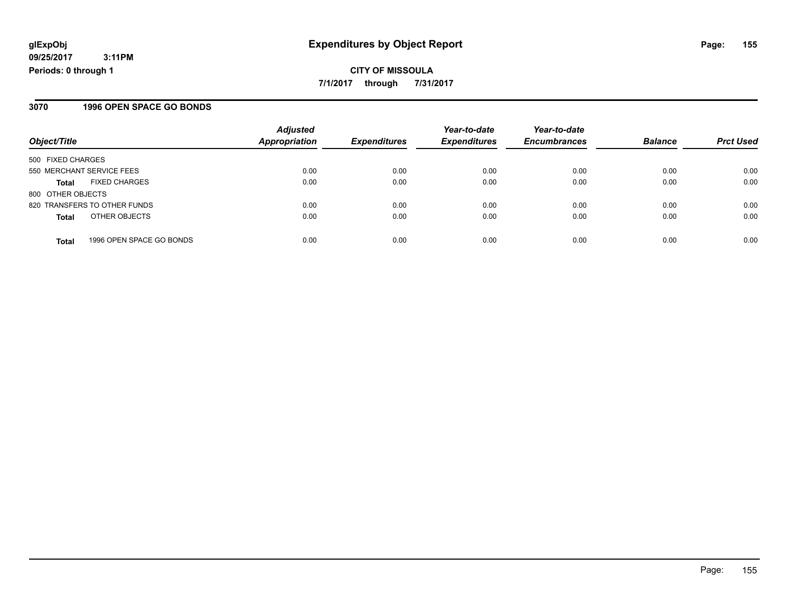**CITY OF MISSOULA 7/1/2017 through 7/31/2017**

### **3070 1996 OPEN SPACE GO BONDS**

|                           |                              | <b>Adjusted</b>      |                     | Year-to-date        | Year-to-date        |                |                  |
|---------------------------|------------------------------|----------------------|---------------------|---------------------|---------------------|----------------|------------------|
| Object/Title              |                              | <b>Appropriation</b> | <b>Expenditures</b> | <b>Expenditures</b> | <b>Encumbrances</b> | <b>Balance</b> | <b>Prct Used</b> |
| 500 FIXED CHARGES         |                              |                      |                     |                     |                     |                |                  |
| 550 MERCHANT SERVICE FEES |                              | 0.00                 | 0.00                | 0.00                | 0.00                | 0.00           | 0.00             |
| <b>Total</b>              | <b>FIXED CHARGES</b>         | 0.00                 | 0.00                | 0.00                | 0.00                | 0.00           | 0.00             |
| 800 OTHER OBJECTS         |                              |                      |                     |                     |                     |                |                  |
|                           | 820 TRANSFERS TO OTHER FUNDS | 0.00                 | 0.00                | 0.00                | 0.00                | 0.00           | 0.00             |
| <b>Total</b>              | OTHER OBJECTS                | 0.00                 | 0.00                | 0.00                | 0.00                | 0.00           | 0.00             |
| <b>Total</b>              | 1996 OPEN SPACE GO BONDS     | 0.00                 | 0.00                | 0.00                | 0.00                | 0.00           | 0.00             |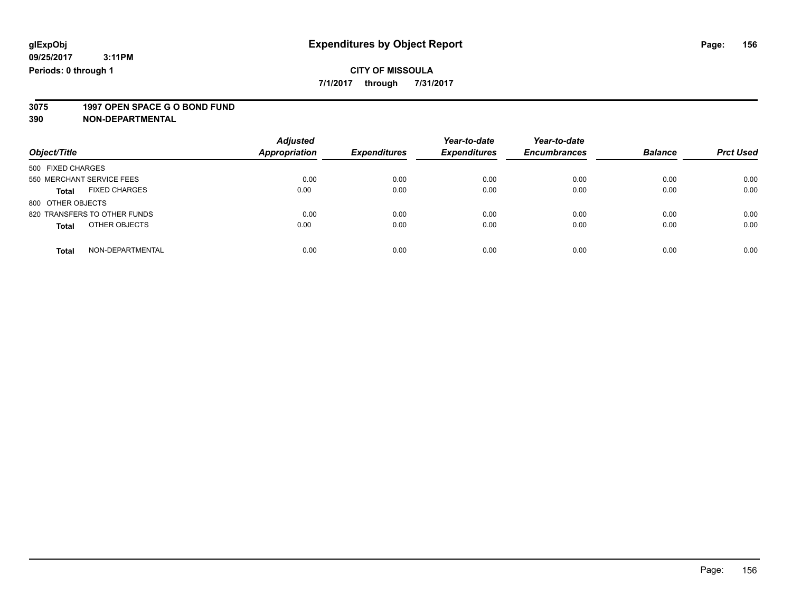**7/1/2017 through 7/31/2017**

# **3075 1997 OPEN SPACE G O BOND FUND**

| Object/Title                         | <b>Adjusted</b><br><b>Appropriation</b> | <b>Expenditures</b> | Year-to-date<br><b>Expenditures</b> | Year-to-date<br><b>Encumbrances</b> | <b>Balance</b> | <b>Prct Used</b> |
|--------------------------------------|-----------------------------------------|---------------------|-------------------------------------|-------------------------------------|----------------|------------------|
| 500 FIXED CHARGES                    |                                         |                     |                                     |                                     |                |                  |
| 550 MERCHANT SERVICE FEES            | 0.00                                    | 0.00                | 0.00                                | 0.00                                | 0.00           | 0.00             |
| <b>FIXED CHARGES</b><br><b>Total</b> | 0.00                                    | 0.00                | 0.00                                | 0.00                                | 0.00           | 0.00             |
| 800 OTHER OBJECTS                    |                                         |                     |                                     |                                     |                |                  |
| 820 TRANSFERS TO OTHER FUNDS         | 0.00                                    | 0.00                | 0.00                                | 0.00                                | 0.00           | 0.00             |
| OTHER OBJECTS<br><b>Total</b>        | 0.00                                    | 0.00                | 0.00                                | 0.00                                | 0.00           | 0.00             |
| NON-DEPARTMENTAL<br><b>Total</b>     | 0.00                                    | 0.00                | 0.00                                | 0.00                                | 0.00           | 0.00             |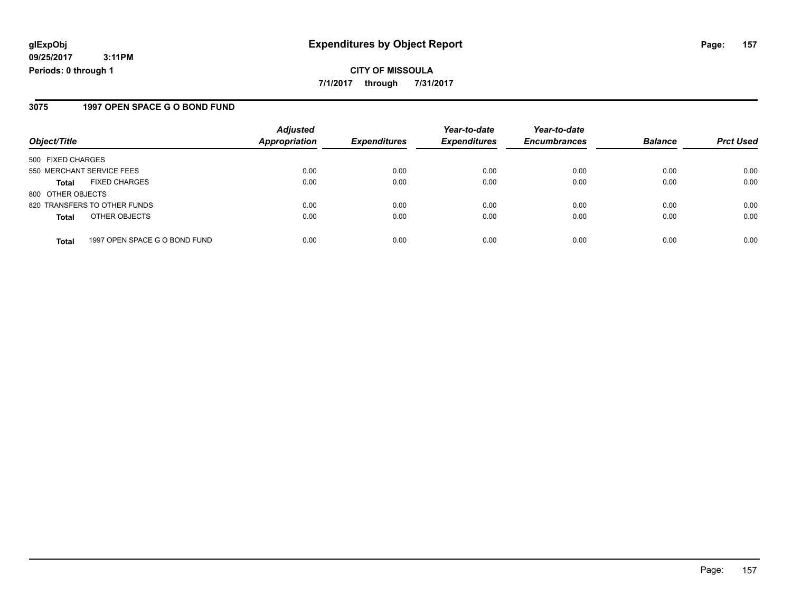### **3075 1997 OPEN SPACE G O BOND FUND**

|                           |                               | <b>Adjusted</b>      |                     | Year-to-date        | Year-to-date        |                |                  |
|---------------------------|-------------------------------|----------------------|---------------------|---------------------|---------------------|----------------|------------------|
| Object/Title              |                               | <b>Appropriation</b> | <b>Expenditures</b> | <b>Expenditures</b> | <b>Encumbrances</b> | <b>Balance</b> | <b>Prct Used</b> |
| 500 FIXED CHARGES         |                               |                      |                     |                     |                     |                |                  |
| 550 MERCHANT SERVICE FEES |                               | 0.00                 | 0.00                | 0.00                | 0.00                | 0.00           | 0.00             |
| <b>Total</b>              | <b>FIXED CHARGES</b>          | 0.00                 | 0.00                | 0.00                | 0.00                | 0.00           | 0.00             |
| 800 OTHER OBJECTS         |                               |                      |                     |                     |                     |                |                  |
|                           | 820 TRANSFERS TO OTHER FUNDS  | 0.00                 | 0.00                | 0.00                | 0.00                | 0.00           | 0.00             |
| <b>Total</b>              | OTHER OBJECTS                 | 0.00                 | 0.00                | 0.00                | 0.00                | 0.00           | 0.00             |
| <b>Total</b>              | 1997 OPEN SPACE G O BOND FUND | 0.00                 | 0.00                | 0.00                | 0.00                | 0.00           | 0.00             |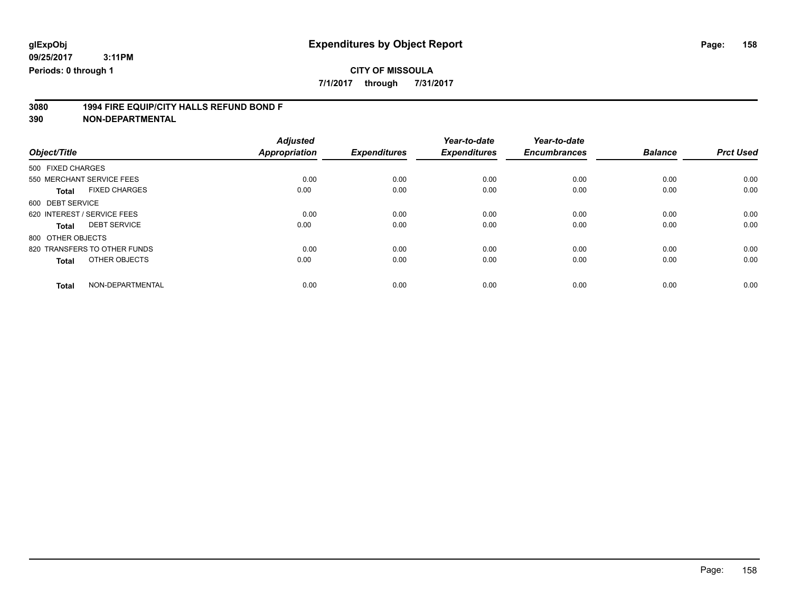## **CITY OF MISSOULA**

**7/1/2017 through 7/31/2017**

# **3080 1994 FIRE EQUIP/CITY HALLS REFUND BOND F**

|                                      | <b>Adjusted</b>      |                     | Year-to-date        | Year-to-date        |                |                  |
|--------------------------------------|----------------------|---------------------|---------------------|---------------------|----------------|------------------|
| Object/Title                         | <b>Appropriation</b> | <b>Expenditures</b> | <b>Expenditures</b> | <b>Encumbrances</b> | <b>Balance</b> | <b>Prct Used</b> |
| 500 FIXED CHARGES                    |                      |                     |                     |                     |                |                  |
| 550 MERCHANT SERVICE FEES            | 0.00                 | 0.00                | 0.00                | 0.00                | 0.00           | 0.00             |
| <b>FIXED CHARGES</b><br><b>Total</b> | 0.00                 | 0.00                | 0.00                | 0.00                | 0.00           | 0.00             |
| 600 DEBT SERVICE                     |                      |                     |                     |                     |                |                  |
| 620 INTEREST / SERVICE FEES          | 0.00                 | 0.00                | 0.00                | 0.00                | 0.00           | 0.00             |
| <b>DEBT SERVICE</b><br><b>Total</b>  | 0.00                 | 0.00                | 0.00                | 0.00                | 0.00           | 0.00             |
| 800 OTHER OBJECTS                    |                      |                     |                     |                     |                |                  |
| 820 TRANSFERS TO OTHER FUNDS         | 0.00                 | 0.00                | 0.00                | 0.00                | 0.00           | 0.00             |
| OTHER OBJECTS<br><b>Total</b>        | 0.00                 | 0.00                | 0.00                | 0.00                | 0.00           | 0.00             |
|                                      |                      |                     |                     |                     |                |                  |
| NON-DEPARTMENTAL<br><b>Total</b>     | 0.00                 | 0.00                | 0.00                | 0.00                | 0.00           | 0.00             |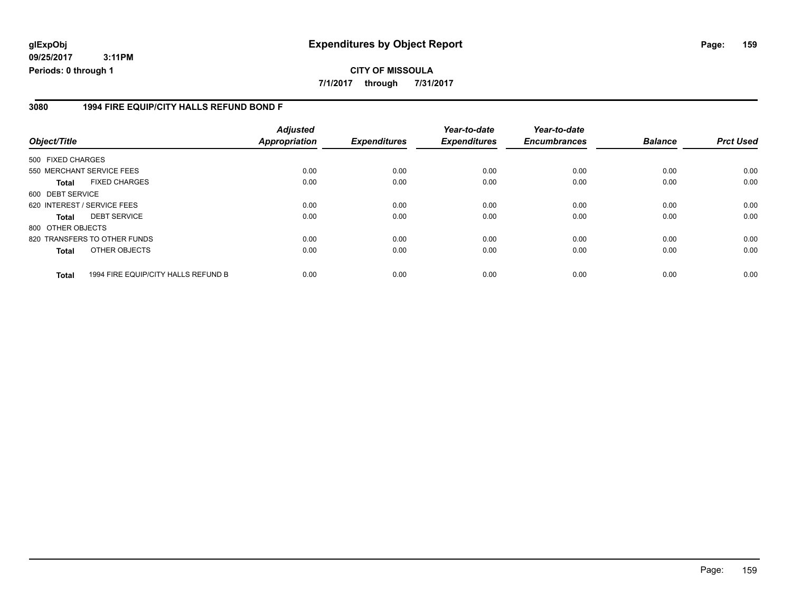## **glExpObj Expenditures by Object Report Page: 159**

**09/25/2017 3:11PM Periods: 0 through 1**

### **3080 1994 FIRE EQUIP/CITY HALLS REFUND BOND F**

| Object/Title      |                                     | <b>Adjusted</b><br><b>Appropriation</b> | <b>Expenditures</b> | Year-to-date<br><b>Expenditures</b> | Year-to-date<br><b>Encumbrances</b> | <b>Balance</b> | <b>Prct Used</b> |
|-------------------|-------------------------------------|-----------------------------------------|---------------------|-------------------------------------|-------------------------------------|----------------|------------------|
| 500 FIXED CHARGES |                                     |                                         |                     |                                     |                                     |                |                  |
|                   | 550 MERCHANT SERVICE FEES           | 0.00                                    | 0.00                | 0.00                                | 0.00                                | 0.00           | 0.00             |
| <b>Total</b>      | <b>FIXED CHARGES</b>                | 0.00                                    | 0.00                | 0.00                                | 0.00                                | 0.00           | 0.00             |
| 600 DEBT SERVICE  |                                     |                                         |                     |                                     |                                     |                |                  |
|                   | 620 INTEREST / SERVICE FEES         | 0.00                                    | 0.00                | 0.00                                | 0.00                                | 0.00           | 0.00             |
| <b>Total</b>      | <b>DEBT SERVICE</b>                 | 0.00                                    | 0.00                | 0.00                                | 0.00                                | 0.00           | 0.00             |
| 800 OTHER OBJECTS |                                     |                                         |                     |                                     |                                     |                |                  |
|                   | 820 TRANSFERS TO OTHER FUNDS        | 0.00                                    | 0.00                | 0.00                                | 0.00                                | 0.00           | 0.00             |
| <b>Total</b>      | OTHER OBJECTS                       | 0.00                                    | 0.00                | 0.00                                | 0.00                                | 0.00           | 0.00             |
| <b>Total</b>      | 1994 FIRE EQUIP/CITY HALLS REFUND B | 0.00                                    | 0.00                | 0.00                                | 0.00                                | 0.00           | 0.00             |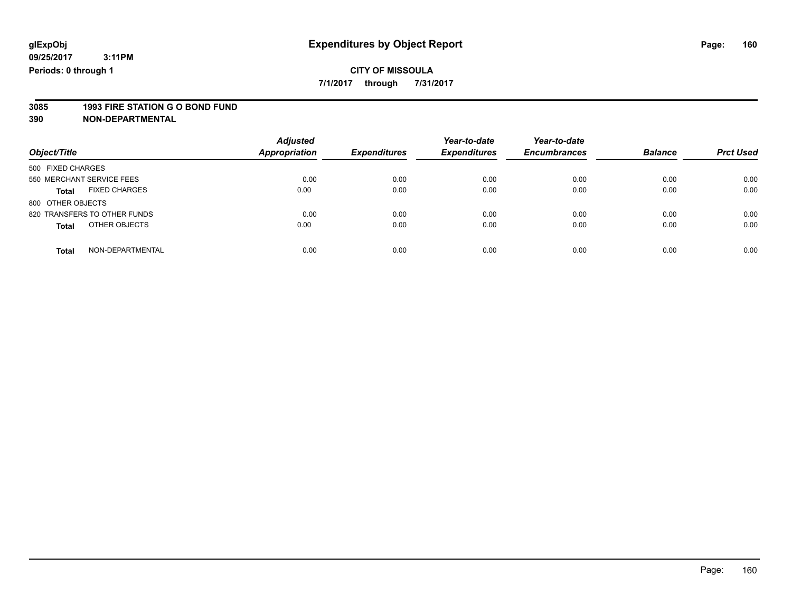**7/1/2017 through 7/31/2017**

# **3085 1993 FIRE STATION G O BOND FUND**

| Object/Title                         | <b>Adjusted</b><br>Appropriation | <b>Expenditures</b> | Year-to-date<br><b>Expenditures</b> | Year-to-date<br><b>Encumbrances</b> | <b>Balance</b> | <b>Prct Used</b> |
|--------------------------------------|----------------------------------|---------------------|-------------------------------------|-------------------------------------|----------------|------------------|
| 500 FIXED CHARGES                    |                                  |                     |                                     |                                     |                |                  |
| 550 MERCHANT SERVICE FEES            | 0.00                             | 0.00                | 0.00                                | 0.00                                | 0.00           | 0.00             |
| <b>FIXED CHARGES</b><br><b>Total</b> | 0.00                             | 0.00                | 0.00                                | 0.00                                | 0.00           | 0.00             |
| 800 OTHER OBJECTS                    |                                  |                     |                                     |                                     |                |                  |
| 820 TRANSFERS TO OTHER FUNDS         | 0.00                             | 0.00                | 0.00                                | 0.00                                | 0.00           | 0.00             |
| OTHER OBJECTS<br><b>Total</b>        | 0.00                             | 0.00                | 0.00                                | 0.00                                | 0.00           | 0.00             |
| NON-DEPARTMENTAL<br><b>Total</b>     | 0.00                             | 0.00                | 0.00                                | 0.00                                | 0.00           | 0.00             |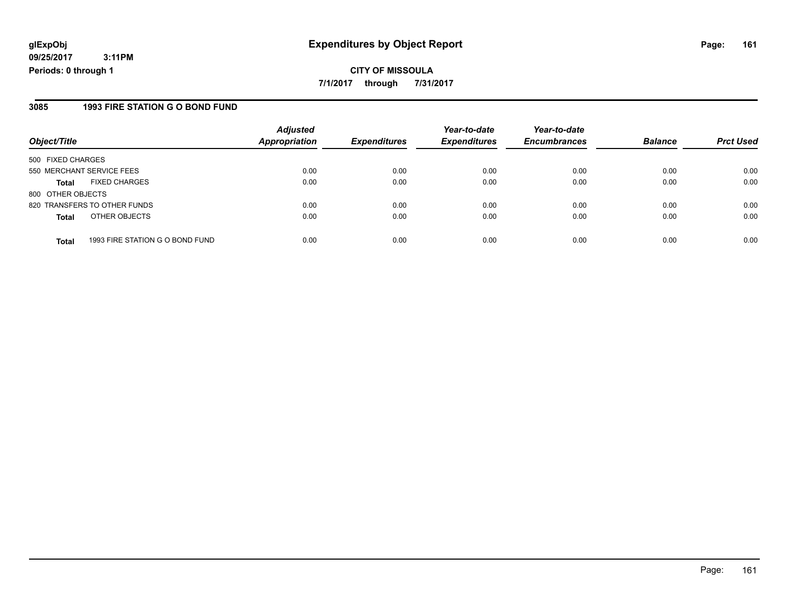### **3085 1993 FIRE STATION G O BOND FUND**

|                           |                                 | <b>Adjusted</b>      |                     | Year-to-date        | Year-to-date        |                |                  |
|---------------------------|---------------------------------|----------------------|---------------------|---------------------|---------------------|----------------|------------------|
| Object/Title              |                                 | <b>Appropriation</b> | <b>Expenditures</b> | <b>Expenditures</b> | <b>Encumbrances</b> | <b>Balance</b> | <b>Prct Used</b> |
| 500 FIXED CHARGES         |                                 |                      |                     |                     |                     |                |                  |
| 550 MERCHANT SERVICE FEES |                                 | 0.00                 | 0.00                | 0.00                | 0.00                | 0.00           | 0.00             |
| <b>Total</b>              | <b>FIXED CHARGES</b>            | 0.00                 | 0.00                | 0.00                | 0.00                | 0.00           | 0.00             |
| 800 OTHER OBJECTS         |                                 |                      |                     |                     |                     |                |                  |
|                           | 820 TRANSFERS TO OTHER FUNDS    | 0.00                 | 0.00                | 0.00                | 0.00                | 0.00           | 0.00             |
| <b>Total</b>              | OTHER OBJECTS                   | 0.00                 | 0.00                | 0.00                | 0.00                | 0.00           | 0.00             |
| <b>Total</b>              | 1993 FIRE STATION G O BOND FUND | 0.00                 | 0.00                | 0.00                | 0.00                | 0.00           | 0.00             |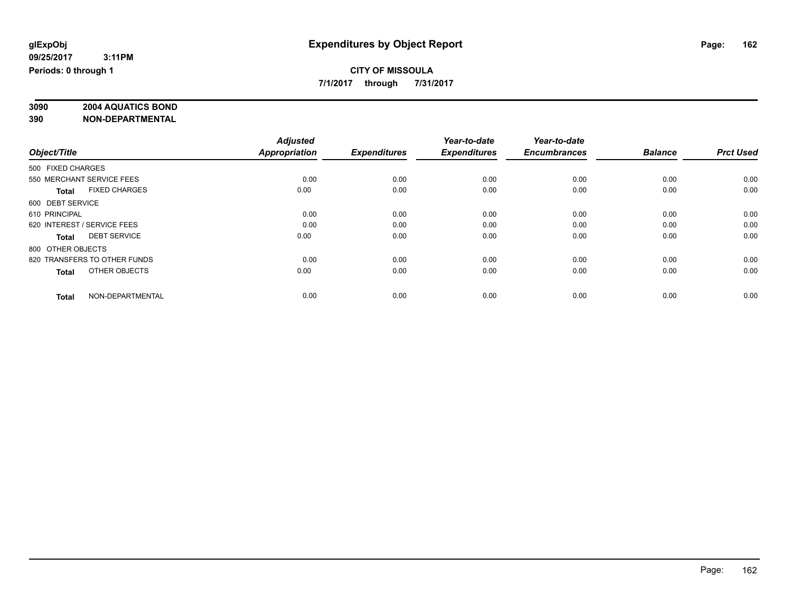### **CITY OF MISSOULA 7/1/2017 through 7/31/2017**

**3090 2004 AQUATICS BOND**

|                              |                      | <b>Adjusted</b>      |                     | Year-to-date        | Year-to-date        |                |                  |
|------------------------------|----------------------|----------------------|---------------------|---------------------|---------------------|----------------|------------------|
| Object/Title                 |                      | <b>Appropriation</b> | <b>Expenditures</b> | <b>Expenditures</b> | <b>Encumbrances</b> | <b>Balance</b> | <b>Prct Used</b> |
| 500 FIXED CHARGES            |                      |                      |                     |                     |                     |                |                  |
| 550 MERCHANT SERVICE FEES    |                      | 0.00                 | 0.00                | 0.00                | 0.00                | 0.00           | 0.00             |
| <b>Total</b>                 | <b>FIXED CHARGES</b> | 0.00                 | 0.00                | 0.00                | 0.00                | 0.00           | 0.00             |
| 600 DEBT SERVICE             |                      |                      |                     |                     |                     |                |                  |
| 610 PRINCIPAL                |                      | 0.00                 | 0.00                | 0.00                | 0.00                | 0.00           | 0.00             |
| 620 INTEREST / SERVICE FEES  |                      | 0.00                 | 0.00                | 0.00                | 0.00                | 0.00           | 0.00             |
| <b>Total</b>                 | <b>DEBT SERVICE</b>  | 0.00                 | 0.00                | 0.00                | 0.00                | 0.00           | 0.00             |
| 800 OTHER OBJECTS            |                      |                      |                     |                     |                     |                |                  |
| 820 TRANSFERS TO OTHER FUNDS |                      | 0.00                 | 0.00                | 0.00                | 0.00                | 0.00           | 0.00             |
| <b>Total</b>                 | OTHER OBJECTS        | 0.00                 | 0.00                | 0.00                | 0.00                | 0.00           | 0.00             |
|                              |                      |                      |                     |                     |                     |                |                  |
| <b>Total</b>                 | NON-DEPARTMENTAL     | 0.00                 | 0.00                | 0.00                | 0.00                | 0.00           | 0.00             |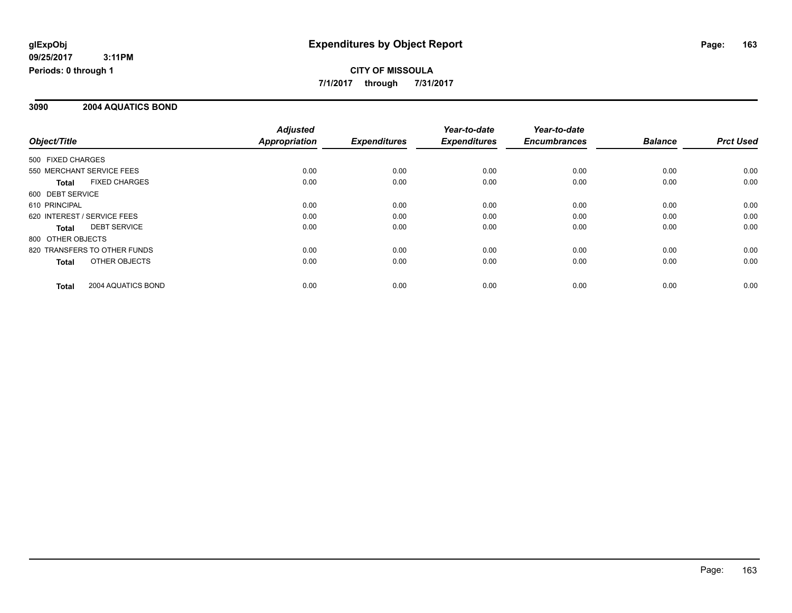**CITY OF MISSOULA 7/1/2017 through 7/31/2017**

### **3090 2004 AQUATICS BOND**

|                                    | <b>Adjusted</b> |                     | Year-to-date        | Year-to-date        |                |                  |
|------------------------------------|-----------------|---------------------|---------------------|---------------------|----------------|------------------|
| Object/Title                       | Appropriation   | <b>Expenditures</b> | <b>Expenditures</b> | <b>Encumbrances</b> | <b>Balance</b> | <b>Prct Used</b> |
| 500 FIXED CHARGES                  |                 |                     |                     |                     |                |                  |
| 550 MERCHANT SERVICE FEES          | 0.00            | 0.00                | 0.00                | 0.00                | 0.00           | 0.00             |
| <b>FIXED CHARGES</b><br>Total      | 0.00            | 0.00                | 0.00                | 0.00                | 0.00           | 0.00             |
| 600 DEBT SERVICE                   |                 |                     |                     |                     |                |                  |
| 610 PRINCIPAL                      | 0.00            | 0.00                | 0.00                | 0.00                | 0.00           | 0.00             |
| 620 INTEREST / SERVICE FEES        | 0.00            | 0.00                | 0.00                | 0.00                | 0.00           | 0.00             |
| <b>DEBT SERVICE</b><br>Total       | 0.00            | 0.00                | 0.00                | 0.00                | 0.00           | 0.00             |
| 800 OTHER OBJECTS                  |                 |                     |                     |                     |                |                  |
| 820 TRANSFERS TO OTHER FUNDS       | 0.00            | 0.00                | 0.00                | 0.00                | 0.00           | 0.00             |
| OTHER OBJECTS<br>Total             | 0.00            | 0.00                | 0.00                | 0.00                | 0.00           | 0.00             |
| 2004 AQUATICS BOND<br><b>Total</b> | 0.00            | 0.00                | 0.00                | 0.00                | 0.00           | 0.00             |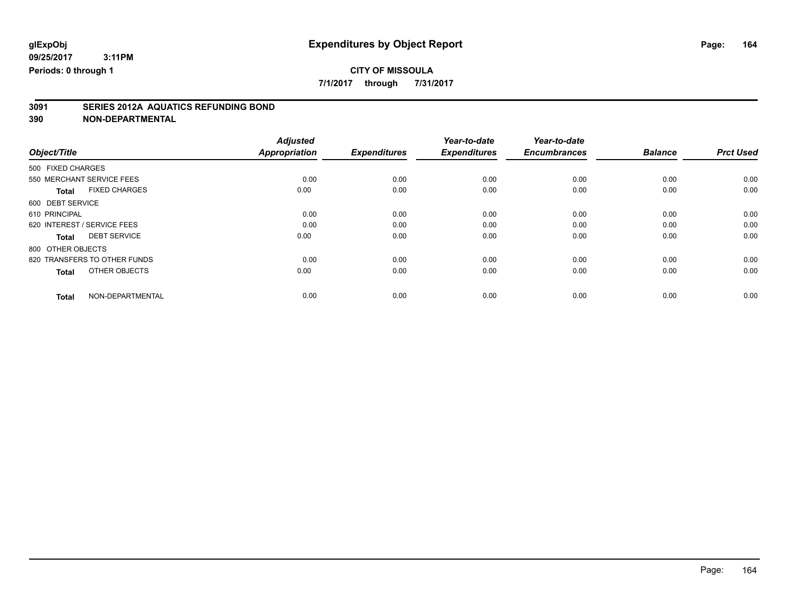**7/1/2017 through 7/31/2017**

# **3091 SERIES 2012A AQUATICS REFUNDING BOND**

| Object/Title      |                              | <b>Adjusted</b><br><b>Appropriation</b> | <b>Expenditures</b> | Year-to-date<br><b>Expenditures</b> | Year-to-date<br><b>Encumbrances</b> | <b>Balance</b> | <b>Prct Used</b> |
|-------------------|------------------------------|-----------------------------------------|---------------------|-------------------------------------|-------------------------------------|----------------|------------------|
|                   |                              |                                         |                     |                                     |                                     |                |                  |
| 500 FIXED CHARGES |                              |                                         |                     |                                     |                                     |                |                  |
|                   | 550 MERCHANT SERVICE FEES    | 0.00                                    | 0.00                | 0.00                                | 0.00                                | 0.00           | 0.00             |
| <b>Total</b>      | <b>FIXED CHARGES</b>         | 0.00                                    | 0.00                | 0.00                                | 0.00                                | 0.00           | 0.00             |
| 600 DEBT SERVICE  |                              |                                         |                     |                                     |                                     |                |                  |
| 610 PRINCIPAL     |                              | 0.00                                    | 0.00                | 0.00                                | 0.00                                | 0.00           | 0.00             |
|                   | 620 INTEREST / SERVICE FEES  | 0.00                                    | 0.00                | 0.00                                | 0.00                                | 0.00           | 0.00             |
| Total             | <b>DEBT SERVICE</b>          | 0.00                                    | 0.00                | 0.00                                | 0.00                                | 0.00           | 0.00             |
| 800 OTHER OBJECTS |                              |                                         |                     |                                     |                                     |                |                  |
|                   | 820 TRANSFERS TO OTHER FUNDS | 0.00                                    | 0.00                | 0.00                                | 0.00                                | 0.00           | 0.00             |
| <b>Total</b>      | OTHER OBJECTS                | 0.00                                    | 0.00                | 0.00                                | 0.00                                | 0.00           | 0.00             |
| <b>Total</b>      | NON-DEPARTMENTAL             | 0.00                                    | 0.00                | 0.00                                | 0.00                                | 0.00           | 0.00             |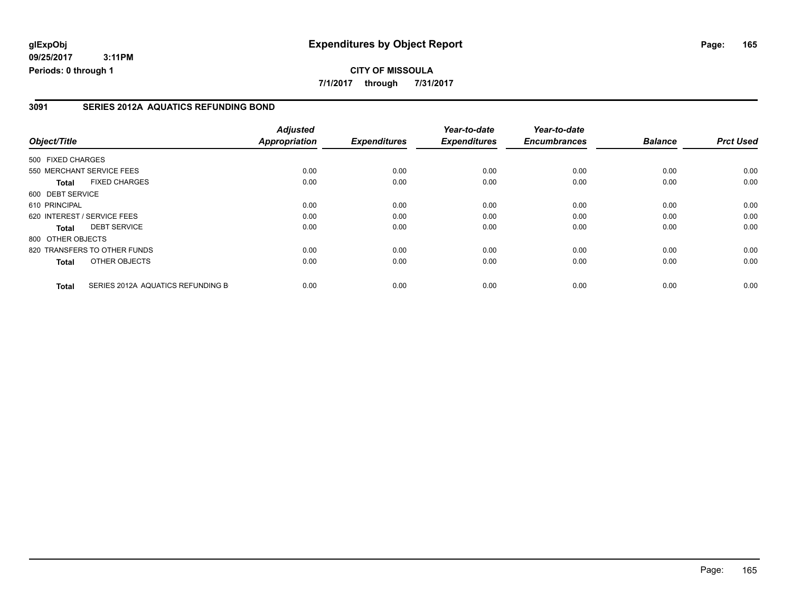### **3091 SERIES 2012A AQUATICS REFUNDING BOND**

|                   |                                   | <b>Adjusted</b>      |                     | Year-to-date        | Year-to-date        |                |                  |
|-------------------|-----------------------------------|----------------------|---------------------|---------------------|---------------------|----------------|------------------|
| Object/Title      |                                   | <b>Appropriation</b> | <b>Expenditures</b> | <b>Expenditures</b> | <b>Encumbrances</b> | <b>Balance</b> | <b>Prct Used</b> |
| 500 FIXED CHARGES |                                   |                      |                     |                     |                     |                |                  |
|                   | 550 MERCHANT SERVICE FEES         | 0.00                 | 0.00                | 0.00                | 0.00                | 0.00           | 0.00             |
| <b>Total</b>      | <b>FIXED CHARGES</b>              | 0.00                 | 0.00                | 0.00                | 0.00                | 0.00           | 0.00             |
| 600 DEBT SERVICE  |                                   |                      |                     |                     |                     |                |                  |
| 610 PRINCIPAL     |                                   | 0.00                 | 0.00                | 0.00                | 0.00                | 0.00           | 0.00             |
|                   | 620 INTEREST / SERVICE FEES       | 0.00                 | 0.00                | 0.00                | 0.00                | 0.00           | 0.00             |
| <b>Total</b>      | <b>DEBT SERVICE</b>               | 0.00                 | 0.00                | 0.00                | 0.00                | 0.00           | 0.00             |
| 800 OTHER OBJECTS |                                   |                      |                     |                     |                     |                |                  |
|                   | 820 TRANSFERS TO OTHER FUNDS      | 0.00                 | 0.00                | 0.00                | 0.00                | 0.00           | 0.00             |
| <b>Total</b>      | OTHER OBJECTS                     | 0.00                 | 0.00                | 0.00                | 0.00                | 0.00           | 0.00             |
| <b>Total</b>      | SERIES 2012A AQUATICS REFUNDING B | 0.00                 | 0.00                | 0.00                | 0.00                | 0.00           | 0.00             |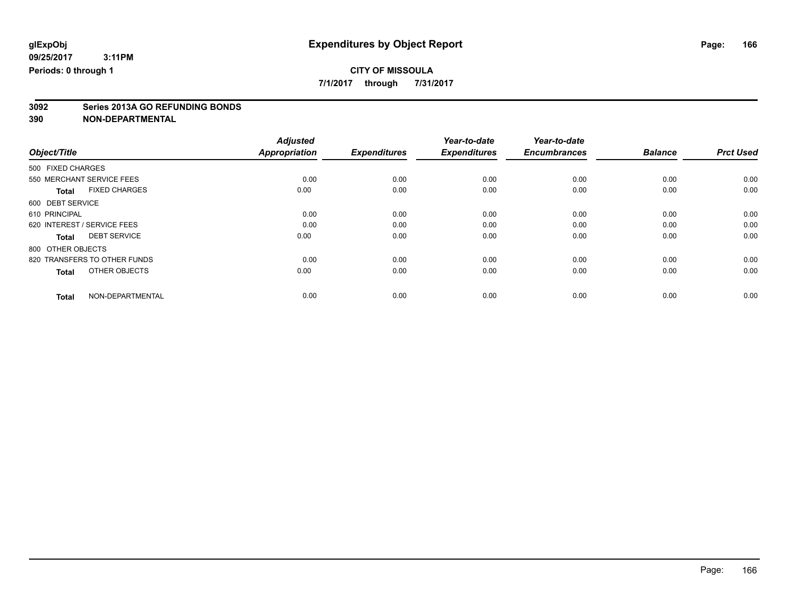**7/1/2017 through 7/31/2017**

# **3092 Series 2013A GO REFUNDING BONDS**

|                                      | <b>Adjusted</b>      |                     | Year-to-date        | Year-to-date        |                |                  |
|--------------------------------------|----------------------|---------------------|---------------------|---------------------|----------------|------------------|
| Object/Title                         | <b>Appropriation</b> | <b>Expenditures</b> | <b>Expenditures</b> | <b>Encumbrances</b> | <b>Balance</b> | <b>Prct Used</b> |
| 500 FIXED CHARGES                    |                      |                     |                     |                     |                |                  |
| 550 MERCHANT SERVICE FEES            | 0.00                 | 0.00                | 0.00                | 0.00                | 0.00           | 0.00             |
| <b>FIXED CHARGES</b><br><b>Total</b> | 0.00                 | 0.00                | 0.00                | 0.00                | 0.00           | 0.00             |
| 600 DEBT SERVICE                     |                      |                     |                     |                     |                |                  |
| 610 PRINCIPAL                        | 0.00                 | 0.00                | 0.00                | 0.00                | 0.00           | 0.00             |
| 620 INTEREST / SERVICE FEES          | 0.00                 | 0.00                | 0.00                | 0.00                | 0.00           | 0.00             |
| <b>DEBT SERVICE</b><br><b>Total</b>  | 0.00                 | 0.00                | 0.00                | 0.00                | 0.00           | 0.00             |
| 800 OTHER OBJECTS                    |                      |                     |                     |                     |                |                  |
| 820 TRANSFERS TO OTHER FUNDS         | 0.00                 | 0.00                | 0.00                | 0.00                | 0.00           | 0.00             |
| OTHER OBJECTS<br><b>Total</b>        | 0.00                 | 0.00                | 0.00                | 0.00                | 0.00           | 0.00             |
|                                      |                      |                     |                     |                     |                |                  |
| NON-DEPARTMENTAL<br><b>Total</b>     | 0.00                 | 0.00                | 0.00                | 0.00                | 0.00           | 0.00             |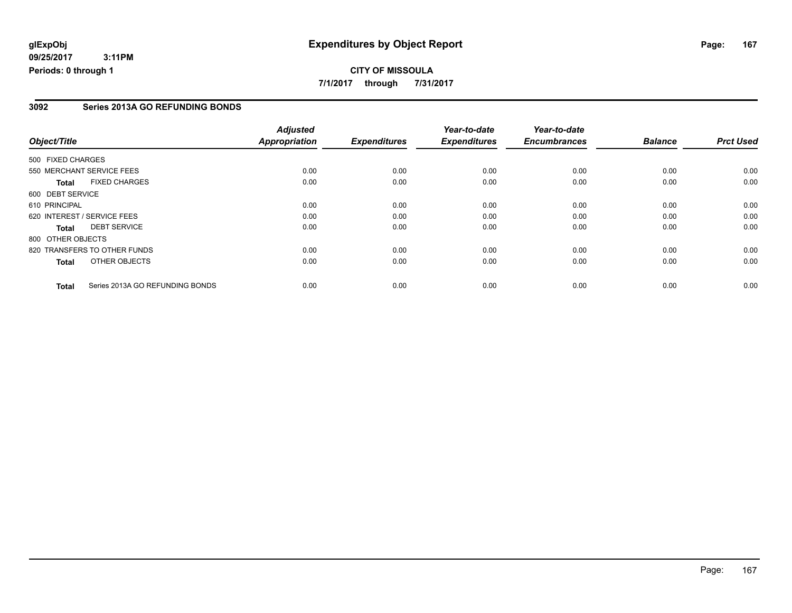## **CITY OF MISSOULA 7/1/2017 through 7/31/2017**

### **3092 Series 2013A GO REFUNDING BONDS**

|                   |                                 | <b>Adjusted</b>      |                     | Year-to-date        | Year-to-date        |                |                  |
|-------------------|---------------------------------|----------------------|---------------------|---------------------|---------------------|----------------|------------------|
| Object/Title      |                                 | <b>Appropriation</b> | <b>Expenditures</b> | <b>Expenditures</b> | <b>Encumbrances</b> | <b>Balance</b> | <b>Prct Used</b> |
| 500 FIXED CHARGES |                                 |                      |                     |                     |                     |                |                  |
|                   | 550 MERCHANT SERVICE FEES       | 0.00                 | 0.00                | 0.00                | 0.00                | 0.00           | 0.00             |
| <b>Total</b>      | <b>FIXED CHARGES</b>            | 0.00                 | 0.00                | 0.00                | 0.00                | 0.00           | 0.00             |
| 600 DEBT SERVICE  |                                 |                      |                     |                     |                     |                |                  |
| 610 PRINCIPAL     |                                 | 0.00                 | 0.00                | 0.00                | 0.00                | 0.00           | 0.00             |
|                   | 620 INTEREST / SERVICE FEES     | 0.00                 | 0.00                | 0.00                | 0.00                | 0.00           | 0.00             |
| <b>Total</b>      | <b>DEBT SERVICE</b>             | 0.00                 | 0.00                | 0.00                | 0.00                | 0.00           | 0.00             |
| 800 OTHER OBJECTS |                                 |                      |                     |                     |                     |                |                  |
|                   | 820 TRANSFERS TO OTHER FUNDS    | 0.00                 | 0.00                | 0.00                | 0.00                | 0.00           | 0.00             |
| <b>Total</b>      | OTHER OBJECTS                   | 0.00                 | 0.00                | 0.00                | 0.00                | 0.00           | 0.00             |
| <b>Total</b>      | Series 2013A GO REFUNDING BONDS | 0.00                 | 0.00                | 0.00                | 0.00                | 0.00           | 0.00             |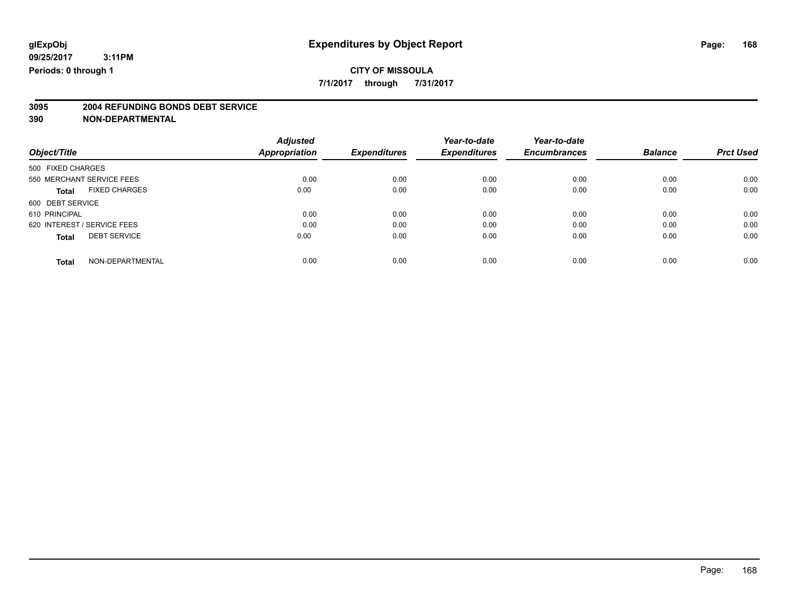## **CITY OF MISSOULA**

**7/1/2017 through 7/31/2017**

# **3095 2004 REFUNDING BONDS DEBT SERVICE**

|                                      | <b>Adjusted</b> |                     | Year-to-date        | Year-to-date        |                |                  |
|--------------------------------------|-----------------|---------------------|---------------------|---------------------|----------------|------------------|
| Object/Title                         | Appropriation   | <b>Expenditures</b> | <b>Expenditures</b> | <b>Encumbrances</b> | <b>Balance</b> | <b>Prct Used</b> |
| 500 FIXED CHARGES                    |                 |                     |                     |                     |                |                  |
| 550 MERCHANT SERVICE FEES            | 0.00            | 0.00                | 0.00                | 0.00                | 0.00           | 0.00             |
| <b>FIXED CHARGES</b><br><b>Total</b> | 0.00            | 0.00                | 0.00                | 0.00                | 0.00           | 0.00             |
| 600 DEBT SERVICE                     |                 |                     |                     |                     |                |                  |
| 610 PRINCIPAL                        | 0.00            | 0.00                | 0.00                | 0.00                | 0.00           | 0.00             |
| 620 INTEREST / SERVICE FEES          | 0.00            | 0.00                | 0.00                | 0.00                | 0.00           | 0.00             |
| <b>DEBT SERVICE</b><br><b>Total</b>  | 0.00            | 0.00                | 0.00                | 0.00                | 0.00           | 0.00             |
| NON-DEPARTMENTAL<br><b>Total</b>     | 0.00            | 0.00                | 0.00                | 0.00                | 0.00           | 0.00             |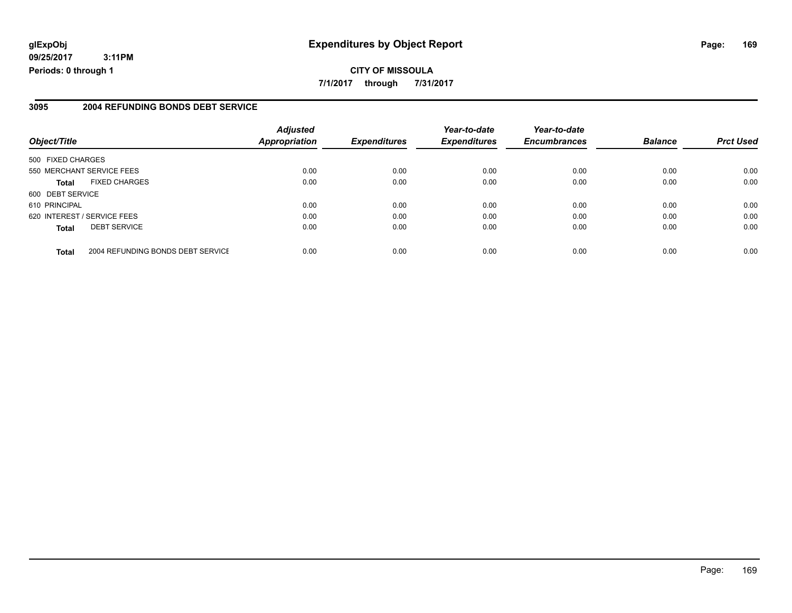## **glExpObj Expenditures by Object Report Page: 169**

**09/25/2017 3:11PM Periods: 0 through 1**

#### **3095 2004 REFUNDING BONDS DEBT SERVICE**

|                                                   | <b>Adjusted</b>      |                     | Year-to-date        | Year-to-date        |                |                  |
|---------------------------------------------------|----------------------|---------------------|---------------------|---------------------|----------------|------------------|
| Object/Title                                      | <b>Appropriation</b> | <b>Expenditures</b> | <b>Expenditures</b> | <b>Encumbrances</b> | <b>Balance</b> | <b>Prct Used</b> |
| 500 FIXED CHARGES                                 |                      |                     |                     |                     |                |                  |
| 550 MERCHANT SERVICE FEES                         | 0.00                 | 0.00                | 0.00                | 0.00                | 0.00           | 0.00             |
| <b>FIXED CHARGES</b><br><b>Total</b>              | 0.00                 | 0.00                | 0.00                | 0.00                | 0.00           | 0.00             |
| 600 DEBT SERVICE                                  |                      |                     |                     |                     |                |                  |
| 610 PRINCIPAL                                     | 0.00                 | 0.00                | 0.00                | 0.00                | 0.00           | 0.00             |
| 620 INTEREST / SERVICE FEES                       | 0.00                 | 0.00                | 0.00                | 0.00                | 0.00           | 0.00             |
| <b>DEBT SERVICE</b><br><b>Total</b>               | 0.00                 | 0.00                | 0.00                | 0.00                | 0.00           | 0.00             |
| 2004 REFUNDING BONDS DEBT SERVICE<br><b>Total</b> | 0.00                 | 0.00                | 0.00                | 0.00                | 0.00           | 0.00             |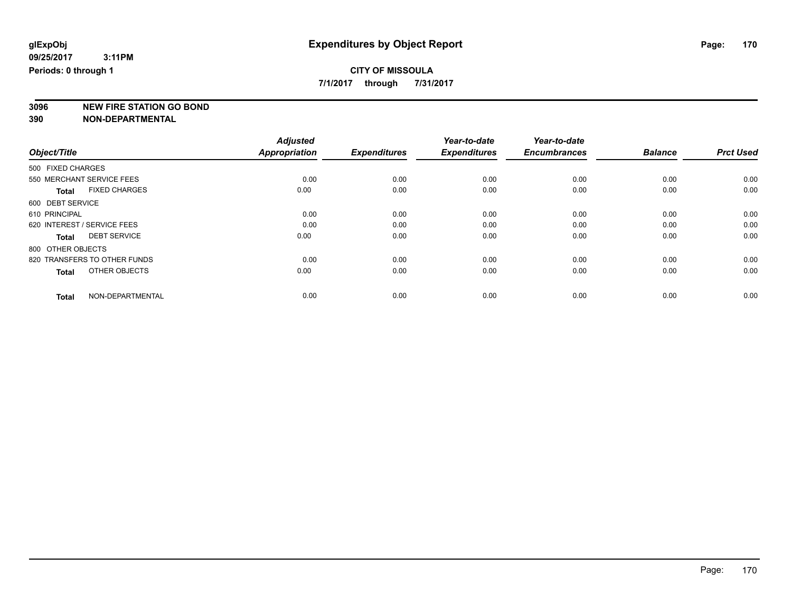**7/1/2017 through 7/31/2017**

**3096 NEW FIRE STATION GO BOND**

|                                      | <b>Adjusted</b><br>Appropriation | <b>Expenditures</b> | Year-to-date<br><b>Expenditures</b> | Year-to-date<br><b>Encumbrances</b> | <b>Balance</b> |                  |
|--------------------------------------|----------------------------------|---------------------|-------------------------------------|-------------------------------------|----------------|------------------|
| Object/Title                         |                                  |                     |                                     |                                     |                | <b>Prct Used</b> |
| 500 FIXED CHARGES                    |                                  |                     |                                     |                                     |                |                  |
| 550 MERCHANT SERVICE FEES            | 0.00                             | 0.00                | 0.00                                | 0.00                                | 0.00           | 0.00             |
| <b>FIXED CHARGES</b><br><b>Total</b> | 0.00                             | 0.00                | 0.00                                | 0.00                                | 0.00           | 0.00             |
| 600 DEBT SERVICE                     |                                  |                     |                                     |                                     |                |                  |
| 610 PRINCIPAL                        | 0.00                             | 0.00                | 0.00                                | 0.00                                | 0.00           | 0.00             |
| 620 INTEREST / SERVICE FEES          | 0.00                             | 0.00                | 0.00                                | 0.00                                | 0.00           | 0.00             |
| <b>DEBT SERVICE</b><br><b>Total</b>  | 0.00                             | 0.00                | 0.00                                | 0.00                                | 0.00           | 0.00             |
| 800 OTHER OBJECTS                    |                                  |                     |                                     |                                     |                |                  |
| 820 TRANSFERS TO OTHER FUNDS         | 0.00                             | 0.00                | 0.00                                | 0.00                                | 0.00           | 0.00             |
| OTHER OBJECTS<br><b>Total</b>        | 0.00                             | 0.00                | 0.00                                | 0.00                                | 0.00           | 0.00             |
|                                      |                                  |                     |                                     |                                     |                |                  |
| NON-DEPARTMENTAL<br><b>Total</b>     | 0.00                             | 0.00                | 0.00                                | 0.00                                | 0.00           | 0.00             |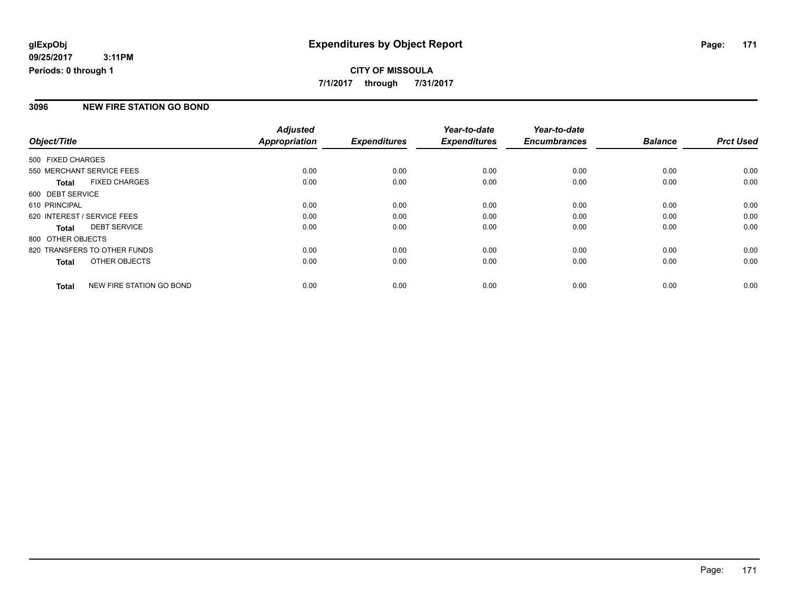## **CITY OF MISSOULA 7/1/2017 through 7/31/2017**

### **3096 NEW FIRE STATION GO BOND**

|                   |                              | <b>Adjusted</b>      |                     | Year-to-date        | Year-to-date        |                |                  |
|-------------------|------------------------------|----------------------|---------------------|---------------------|---------------------|----------------|------------------|
| Object/Title      |                              | <b>Appropriation</b> | <b>Expenditures</b> | <b>Expenditures</b> | <b>Encumbrances</b> | <b>Balance</b> | <b>Prct Used</b> |
| 500 FIXED CHARGES |                              |                      |                     |                     |                     |                |                  |
|                   | 550 MERCHANT SERVICE FEES    | 0.00                 | 0.00                | 0.00                | 0.00                | 0.00           | 0.00             |
| <b>Total</b>      | <b>FIXED CHARGES</b>         | 0.00                 | 0.00                | 0.00                | 0.00                | 0.00           | 0.00             |
| 600 DEBT SERVICE  |                              |                      |                     |                     |                     |                |                  |
| 610 PRINCIPAL     |                              | 0.00                 | 0.00                | 0.00                | 0.00                | 0.00           | 0.00             |
|                   | 620 INTEREST / SERVICE FEES  | 0.00                 | 0.00                | 0.00                | 0.00                | 0.00           | 0.00             |
| <b>Total</b>      | <b>DEBT SERVICE</b>          | 0.00                 | 0.00                | 0.00                | 0.00                | 0.00           | 0.00             |
| 800 OTHER OBJECTS |                              |                      |                     |                     |                     |                |                  |
|                   | 820 TRANSFERS TO OTHER FUNDS | 0.00                 | 0.00                | 0.00                | 0.00                | 0.00           | 0.00             |
| <b>Total</b>      | OTHER OBJECTS                | 0.00                 | 0.00                | 0.00                | 0.00                | 0.00           | 0.00             |
| <b>Total</b>      | NEW FIRE STATION GO BOND     | 0.00                 | 0.00                | 0.00                | 0.00                | 0.00           | 0.00             |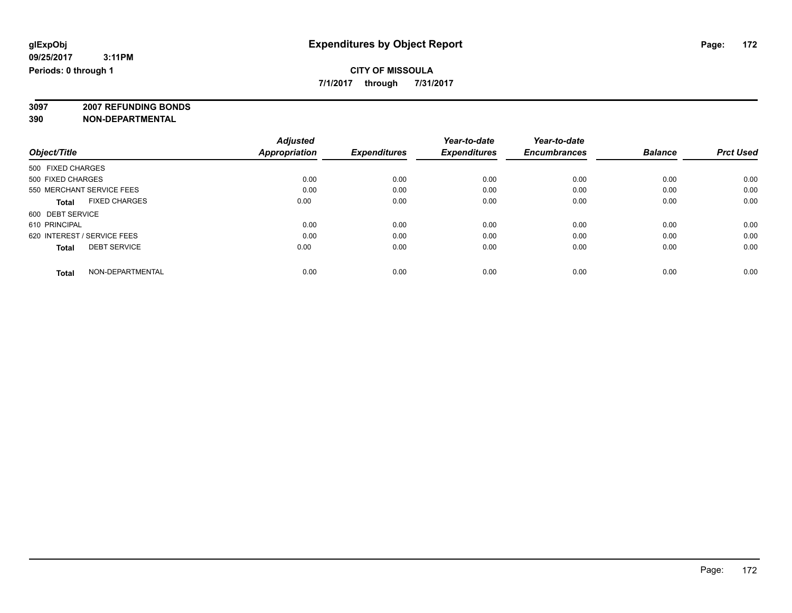**7/1/2017 through 7/31/2017**

**3097 2007 REFUNDING BONDS**

| Object/Title                         | <b>Adjusted</b><br><b>Appropriation</b> | <b>Expenditures</b> | Year-to-date<br><b>Expenditures</b> | Year-to-date<br><b>Encumbrances</b> | <b>Balance</b> | <b>Prct Used</b> |
|--------------------------------------|-----------------------------------------|---------------------|-------------------------------------|-------------------------------------|----------------|------------------|
| 500 FIXED CHARGES                    |                                         |                     |                                     |                                     |                |                  |
| 500 FIXED CHARGES                    | 0.00                                    | 0.00                | 0.00                                | 0.00                                | 0.00           | 0.00             |
| 550 MERCHANT SERVICE FEES            | 0.00                                    | 0.00                | 0.00                                | 0.00                                | 0.00           | 0.00             |
| <b>FIXED CHARGES</b><br><b>Total</b> | 0.00                                    | 0.00                | 0.00                                | 0.00                                | 0.00           | 0.00             |
| 600 DEBT SERVICE                     |                                         |                     |                                     |                                     |                |                  |
| 610 PRINCIPAL                        | 0.00                                    | 0.00                | 0.00                                | 0.00                                | 0.00           | 0.00             |
| 620 INTEREST / SERVICE FEES          | 0.00                                    | 0.00                | 0.00                                | 0.00                                | 0.00           | 0.00             |
| <b>DEBT SERVICE</b><br><b>Total</b>  | 0.00                                    | 0.00                | 0.00                                | 0.00                                | 0.00           | 0.00             |
| NON-DEPARTMENTAL<br><b>Total</b>     | 0.00                                    | 0.00                | 0.00                                | 0.00                                | 0.00           | 0.00             |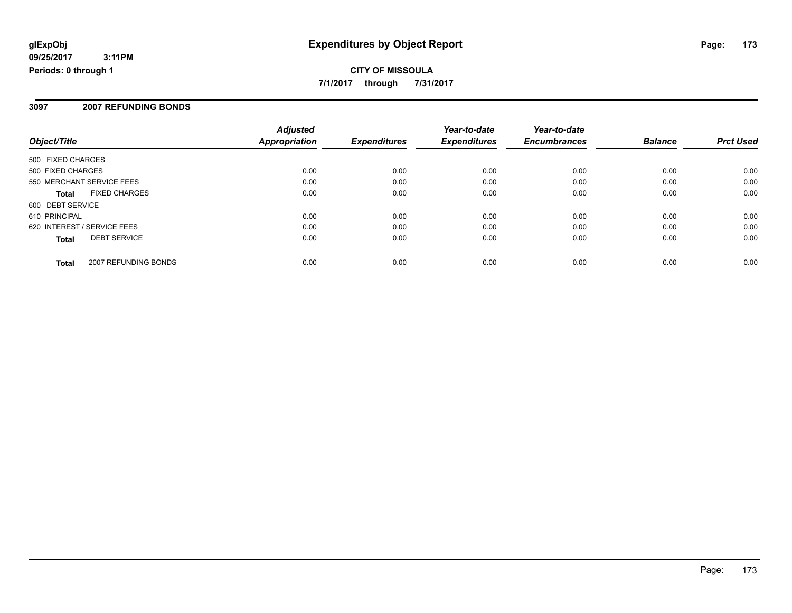**CITY OF MISSOULA 7/1/2017 through 7/31/2017**

#### **3097 2007 REFUNDING BONDS**

|                             |                      | <b>Adjusted</b>      |                     | Year-to-date        | Year-to-date        |                |                  |
|-----------------------------|----------------------|----------------------|---------------------|---------------------|---------------------|----------------|------------------|
| Object/Title                |                      | <b>Appropriation</b> | <b>Expenditures</b> | <b>Expenditures</b> | <b>Encumbrances</b> | <b>Balance</b> | <b>Prct Used</b> |
| 500 FIXED CHARGES           |                      |                      |                     |                     |                     |                |                  |
| 500 FIXED CHARGES           |                      | 0.00                 | 0.00                | 0.00                | 0.00                | 0.00           | 0.00             |
| 550 MERCHANT SERVICE FEES   |                      | 0.00                 | 0.00                | 0.00                | 0.00                | 0.00           | 0.00             |
| <b>Total</b>                | <b>FIXED CHARGES</b> | 0.00                 | 0.00                | 0.00                | 0.00                | 0.00           | 0.00             |
| 600 DEBT SERVICE            |                      |                      |                     |                     |                     |                |                  |
| 610 PRINCIPAL               |                      | 0.00                 | 0.00                | 0.00                | 0.00                | 0.00           | 0.00             |
| 620 INTEREST / SERVICE FEES |                      | 0.00                 | 0.00                | 0.00                | 0.00                | 0.00           | 0.00             |
| <b>Total</b>                | <b>DEBT SERVICE</b>  | 0.00                 | 0.00                | 0.00                | 0.00                | 0.00           | 0.00             |
| Total                       | 2007 REFUNDING BONDS | 0.00                 | 0.00                | 0.00                | 0.00                | 0.00           | 0.00             |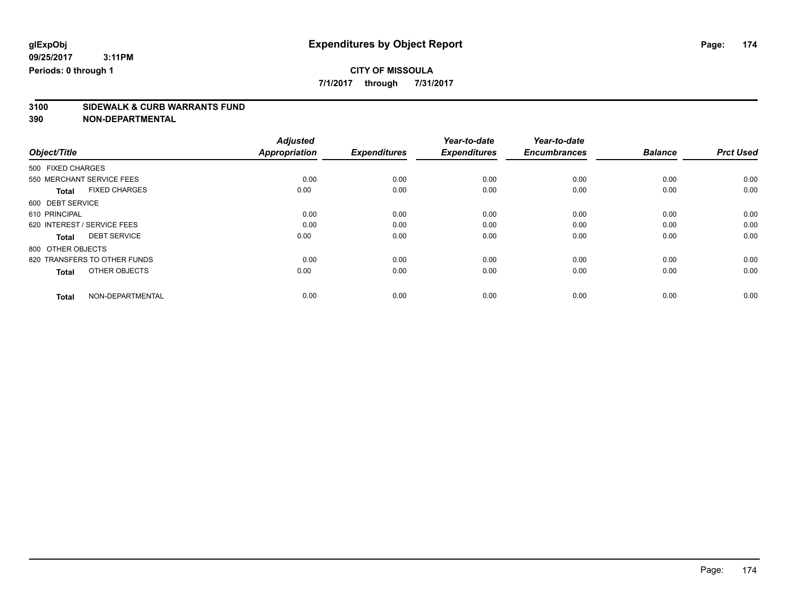**7/1/2017 through 7/31/2017**

# **3100 SIDEWALK & CURB WARRANTS FUND**

|                                      | <b>Adjusted</b>      |                     | Year-to-date        | Year-to-date        |                |                  |
|--------------------------------------|----------------------|---------------------|---------------------|---------------------|----------------|------------------|
| Object/Title                         | <b>Appropriation</b> | <b>Expenditures</b> | <b>Expenditures</b> | <b>Encumbrances</b> | <b>Balance</b> | <b>Prct Used</b> |
| 500 FIXED CHARGES                    |                      |                     |                     |                     |                |                  |
| 550 MERCHANT SERVICE FEES            | 0.00                 | 0.00                | 0.00                | 0.00                | 0.00           | 0.00             |
| <b>FIXED CHARGES</b><br><b>Total</b> | 0.00                 | 0.00                | 0.00                | 0.00                | 0.00           | 0.00             |
| 600 DEBT SERVICE                     |                      |                     |                     |                     |                |                  |
| 610 PRINCIPAL                        | 0.00                 | 0.00                | 0.00                | 0.00                | 0.00           | 0.00             |
| 620 INTEREST / SERVICE FEES          | 0.00                 | 0.00                | 0.00                | 0.00                | 0.00           | 0.00             |
| <b>DEBT SERVICE</b><br><b>Total</b>  | 0.00                 | 0.00                | 0.00                | 0.00                | 0.00           | 0.00             |
| 800 OTHER OBJECTS                    |                      |                     |                     |                     |                |                  |
| 820 TRANSFERS TO OTHER FUNDS         | 0.00                 | 0.00                | 0.00                | 0.00                | 0.00           | 0.00             |
| OTHER OBJECTS<br><b>Total</b>        | 0.00                 | 0.00                | 0.00                | 0.00                | 0.00           | 0.00             |
|                                      |                      |                     |                     |                     |                |                  |
| NON-DEPARTMENTAL<br><b>Total</b>     | 0.00                 | 0.00                | 0.00                | 0.00                | 0.00           | 0.00             |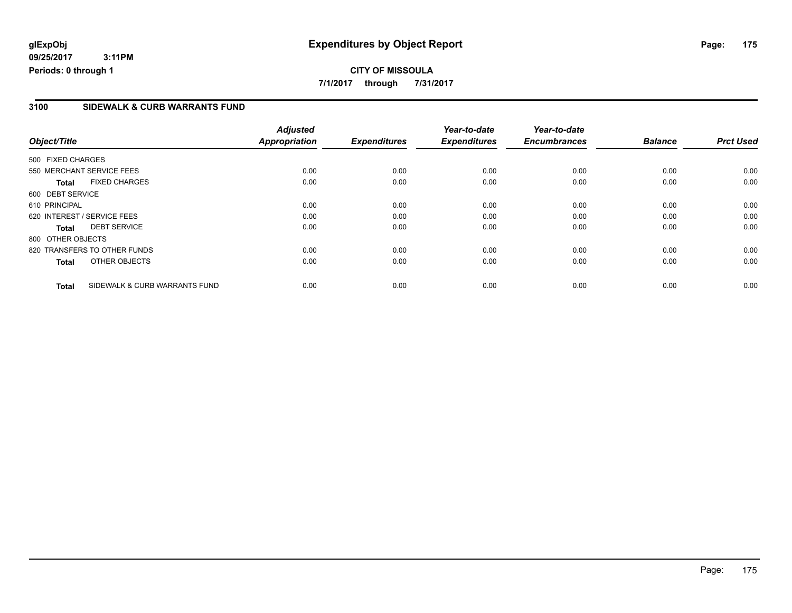## **CITY OF MISSOULA 7/1/2017 through 7/31/2017**

### **3100 SIDEWALK & CURB WARRANTS FUND**

|                   |                               | <b>Adjusted</b>      |                     | Year-to-date        | Year-to-date        |                |                  |
|-------------------|-------------------------------|----------------------|---------------------|---------------------|---------------------|----------------|------------------|
| Object/Title      |                               | <b>Appropriation</b> | <b>Expenditures</b> | <b>Expenditures</b> | <b>Encumbrances</b> | <b>Balance</b> | <b>Prct Used</b> |
| 500 FIXED CHARGES |                               |                      |                     |                     |                     |                |                  |
|                   | 550 MERCHANT SERVICE FEES     | 0.00                 | 0.00                | 0.00                | 0.00                | 0.00           | 0.00             |
| <b>Total</b>      | <b>FIXED CHARGES</b>          | 0.00                 | 0.00                | 0.00                | 0.00                | 0.00           | 0.00             |
| 600 DEBT SERVICE  |                               |                      |                     |                     |                     |                |                  |
| 610 PRINCIPAL     |                               | 0.00                 | 0.00                | 0.00                | 0.00                | 0.00           | 0.00             |
|                   | 620 INTEREST / SERVICE FEES   | 0.00                 | 0.00                | 0.00                | 0.00                | 0.00           | 0.00             |
| Total             | <b>DEBT SERVICE</b>           | 0.00                 | 0.00                | 0.00                | 0.00                | 0.00           | 0.00             |
| 800 OTHER OBJECTS |                               |                      |                     |                     |                     |                |                  |
|                   | 820 TRANSFERS TO OTHER FUNDS  | 0.00                 | 0.00                | 0.00                | 0.00                | 0.00           | 0.00             |
| <b>Total</b>      | OTHER OBJECTS                 | 0.00                 | 0.00                | 0.00                | 0.00                | 0.00           | 0.00             |
| <b>Total</b>      | SIDEWALK & CURB WARRANTS FUND | 0.00                 | 0.00                | 0.00                | 0.00                | 0.00           | 0.00             |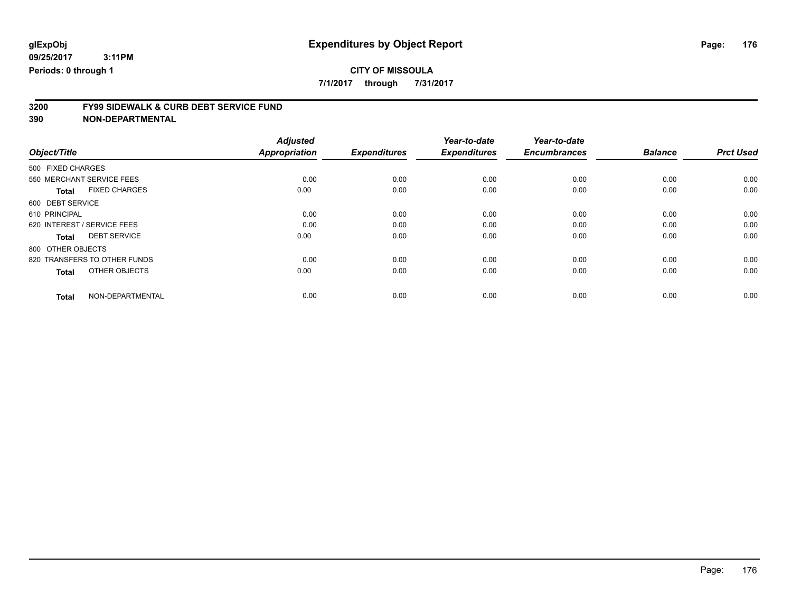**7/1/2017 through 7/31/2017**

# **3200 FY99 SIDEWALK & CURB DEBT SERVICE FUND**

|                                      | <b>Adjusted</b>      |                     | Year-to-date        | Year-to-date        |                |                  |
|--------------------------------------|----------------------|---------------------|---------------------|---------------------|----------------|------------------|
| Object/Title                         | <b>Appropriation</b> | <b>Expenditures</b> | <b>Expenditures</b> | <b>Encumbrances</b> | <b>Balance</b> | <b>Prct Used</b> |
| 500 FIXED CHARGES                    |                      |                     |                     |                     |                |                  |
| 550 MERCHANT SERVICE FEES            | 0.00                 | 0.00                | 0.00                | 0.00                | 0.00           | 0.00             |
| <b>FIXED CHARGES</b><br><b>Total</b> | 0.00                 | 0.00                | 0.00                | 0.00                | 0.00           | 0.00             |
| 600 DEBT SERVICE                     |                      |                     |                     |                     |                |                  |
| 610 PRINCIPAL                        | 0.00                 | 0.00                | 0.00                | 0.00                | 0.00           | 0.00             |
| 620 INTEREST / SERVICE FEES          | 0.00                 | 0.00                | 0.00                | 0.00                | 0.00           | 0.00             |
| <b>DEBT SERVICE</b><br><b>Total</b>  | 0.00                 | 0.00                | 0.00                | 0.00                | 0.00           | 0.00             |
| 800 OTHER OBJECTS                    |                      |                     |                     |                     |                |                  |
| 820 TRANSFERS TO OTHER FUNDS         | 0.00                 | 0.00                | 0.00                | 0.00                | 0.00           | 0.00             |
| OTHER OBJECTS<br><b>Total</b>        | 0.00                 | 0.00                | 0.00                | 0.00                | 0.00           | 0.00             |
|                                      |                      |                     |                     |                     |                |                  |
| NON-DEPARTMENTAL<br><b>Total</b>     | 0.00                 | 0.00                | 0.00                | 0.00                | 0.00           | 0.00             |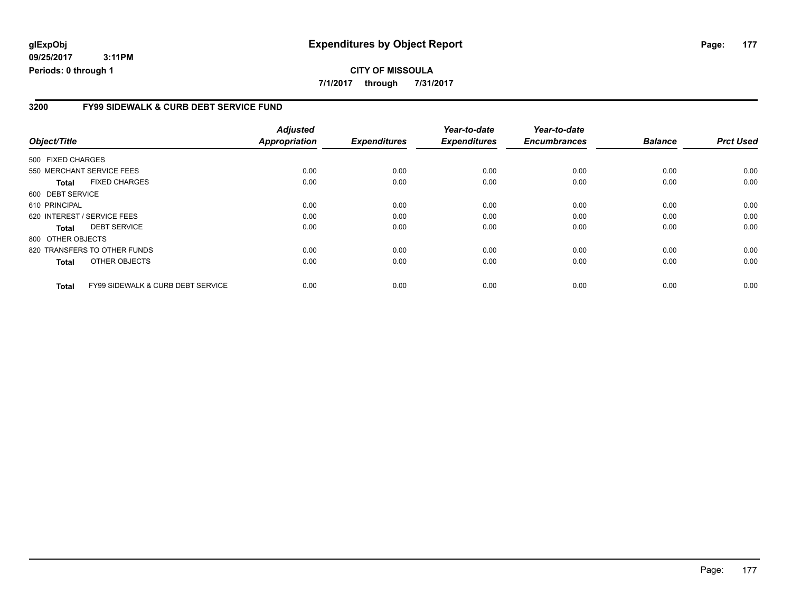### **3200 FY99 SIDEWALK & CURB DEBT SERVICE FUND**

|                             |                                              | <b>Adjusted</b>      |                     | Year-to-date        | Year-to-date        |                |                  |
|-----------------------------|----------------------------------------------|----------------------|---------------------|---------------------|---------------------|----------------|------------------|
| Object/Title                |                                              | <b>Appropriation</b> | <b>Expenditures</b> | <b>Expenditures</b> | <b>Encumbrances</b> | <b>Balance</b> | <b>Prct Used</b> |
| 500 FIXED CHARGES           |                                              |                      |                     |                     |                     |                |                  |
| 550 MERCHANT SERVICE FEES   |                                              | 0.00                 | 0.00                | 0.00                | 0.00                | 0.00           | 0.00             |
| Total                       | <b>FIXED CHARGES</b>                         | 0.00                 | 0.00                | 0.00                | 0.00                | 0.00           | 0.00             |
| 600 DEBT SERVICE            |                                              |                      |                     |                     |                     |                |                  |
| 610 PRINCIPAL               |                                              | 0.00                 | 0.00                | 0.00                | 0.00                | 0.00           | 0.00             |
| 620 INTEREST / SERVICE FEES |                                              | 0.00                 | 0.00                | 0.00                | 0.00                | 0.00           | 0.00             |
| <b>Total</b>                | <b>DEBT SERVICE</b>                          | 0.00                 | 0.00                | 0.00                | 0.00                | 0.00           | 0.00             |
| 800 OTHER OBJECTS           |                                              |                      |                     |                     |                     |                |                  |
|                             | 820 TRANSFERS TO OTHER FUNDS                 | 0.00                 | 0.00                | 0.00                | 0.00                | 0.00           | 0.00             |
| <b>Total</b>                | OTHER OBJECTS                                | 0.00                 | 0.00                | 0.00                | 0.00                | 0.00           | 0.00             |
| <b>Total</b>                | <b>FY99 SIDEWALK &amp; CURB DEBT SERVICE</b> | 0.00                 | 0.00                | 0.00                | 0.00                | 0.00           | 0.00             |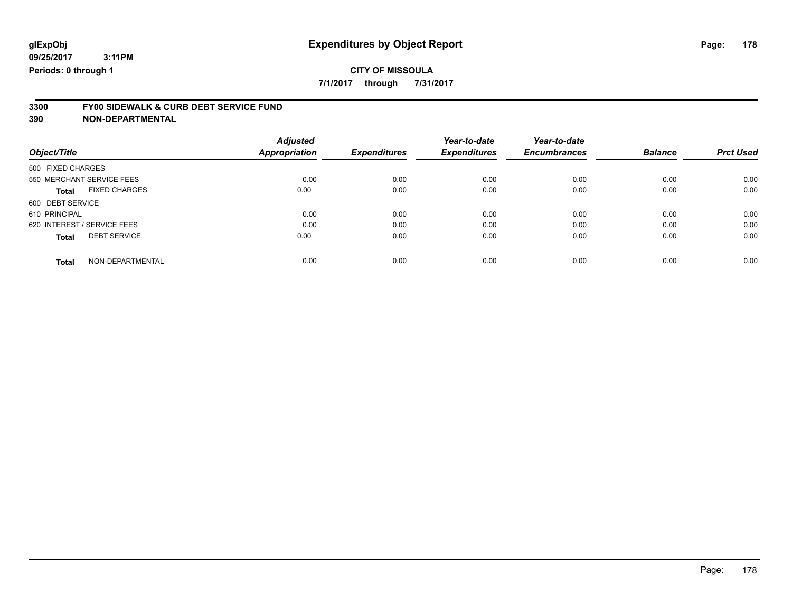## **CITY OF MISSOULA**

**7/1/2017 through 7/31/2017**

# **3300 FY00 SIDEWALK & CURB DEBT SERVICE FUND**

|                                      | <b>Adjusted</b> |                     | Year-to-date        | Year-to-date        |                |                  |
|--------------------------------------|-----------------|---------------------|---------------------|---------------------|----------------|------------------|
| Object/Title                         | Appropriation   | <b>Expenditures</b> | <b>Expenditures</b> | <b>Encumbrances</b> | <b>Balance</b> | <b>Prct Used</b> |
| 500 FIXED CHARGES                    |                 |                     |                     |                     |                |                  |
| 550 MERCHANT SERVICE FEES            | 0.00            | 0.00                | 0.00                | 0.00                | 0.00           | 0.00             |
| <b>FIXED CHARGES</b><br><b>Total</b> | 0.00            | 0.00                | 0.00                | 0.00                | 0.00           | 0.00             |
| 600 DEBT SERVICE                     |                 |                     |                     |                     |                |                  |
| 610 PRINCIPAL                        | 0.00            | 0.00                | 0.00                | 0.00                | 0.00           | 0.00             |
| 620 INTEREST / SERVICE FEES          | 0.00            | 0.00                | 0.00                | 0.00                | 0.00           | 0.00             |
| <b>DEBT SERVICE</b><br><b>Total</b>  | 0.00            | 0.00                | 0.00                | 0.00                | 0.00           | 0.00             |
| NON-DEPARTMENTAL<br><b>Total</b>     | 0.00            | 0.00                | 0.00                | 0.00                | 0.00           | 0.00             |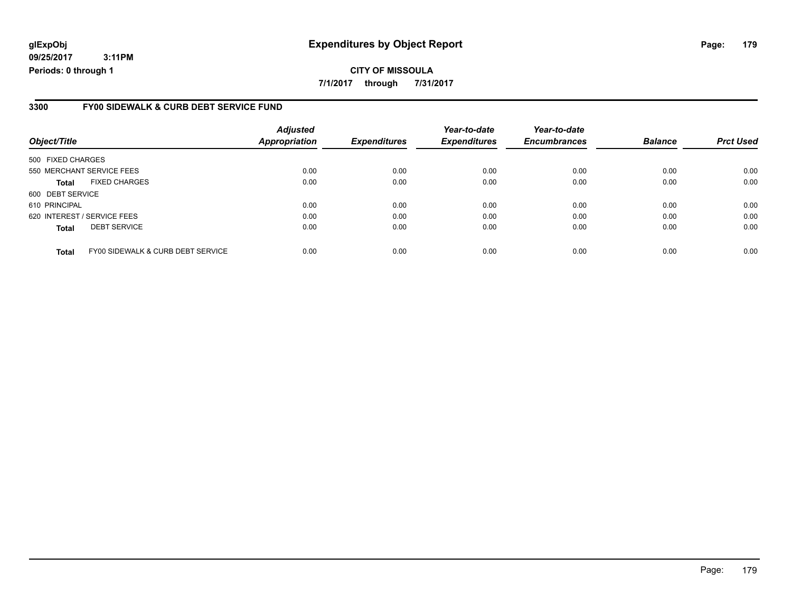## **glExpObj Expenditures by Object Report Page: 179**

**09/25/2017 3:11PM Periods: 0 through 1**

### **3300 FY00 SIDEWALK & CURB DEBT SERVICE FUND**

| Object/Title                                      | <b>Adjusted</b><br>Appropriation | <b>Expenditures</b> | Year-to-date<br><b>Expenditures</b> | Year-to-date<br><b>Encumbrances</b> | <b>Balance</b> | <b>Prct Used</b> |
|---------------------------------------------------|----------------------------------|---------------------|-------------------------------------|-------------------------------------|----------------|------------------|
| 500 FIXED CHARGES                                 |                                  |                     |                                     |                                     |                |                  |
| 550 MERCHANT SERVICE FEES                         | 0.00                             | 0.00                | 0.00                                | 0.00                                | 0.00           | 0.00             |
| <b>FIXED CHARGES</b><br><b>Total</b>              | 0.00                             | 0.00                | 0.00                                | 0.00                                | 0.00           | 0.00             |
| 600 DEBT SERVICE                                  |                                  |                     |                                     |                                     |                |                  |
| 610 PRINCIPAL                                     | 0.00                             | 0.00                | 0.00                                | 0.00                                | 0.00           | 0.00             |
| 620 INTEREST / SERVICE FEES                       | 0.00                             | 0.00                | 0.00                                | 0.00                                | 0.00           | 0.00             |
| <b>DEBT SERVICE</b><br><b>Total</b>               | 0.00                             | 0.00                | 0.00                                | 0.00                                | 0.00           | 0.00             |
| FY00 SIDEWALK & CURB DEBT SERVICE<br><b>Total</b> | 0.00                             | 0.00                | 0.00                                | 0.00                                | 0.00           | 0.00             |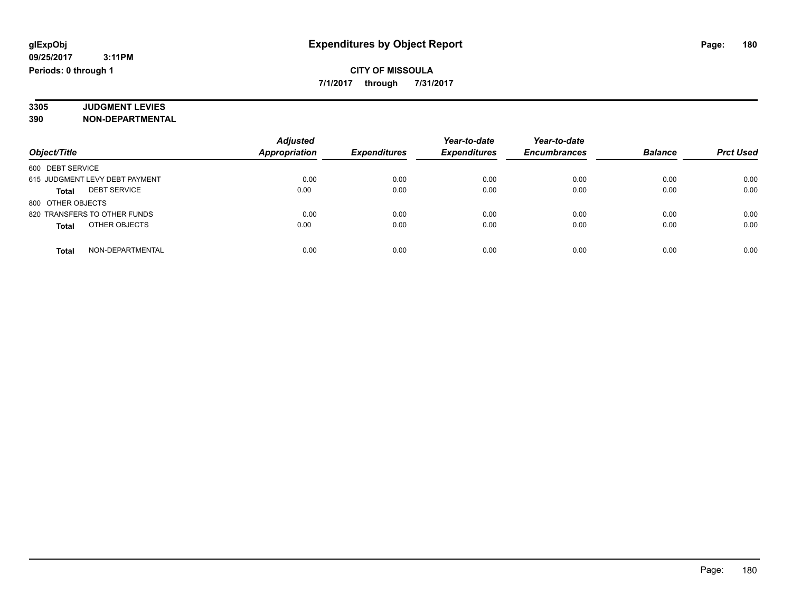**CITY OF MISSOULA 7/1/2017 through 7/31/2017**

#### **3305 JUDGMENT LEVIES 390 NON-DEPARTMENTAL**

|                                     | <b>Adjusted</b>      |                     | Year-to-date<br><b>Expenditures</b> | Year-to-date<br><b>Encumbrances</b> | <b>Balance</b> | <b>Prct Used</b> |
|-------------------------------------|----------------------|---------------------|-------------------------------------|-------------------------------------|----------------|------------------|
| Object/Title                        | <b>Appropriation</b> | <b>Expenditures</b> |                                     |                                     |                |                  |
| 600 DEBT SERVICE                    |                      |                     |                                     |                                     |                |                  |
| 615 JUDGMENT LEVY DEBT PAYMENT      | 0.00                 | 0.00                | 0.00                                | 0.00                                | 0.00           | 0.00             |
| <b>DEBT SERVICE</b><br><b>Total</b> | 0.00                 | 0.00                | 0.00                                | 0.00                                | 0.00           | 0.00             |
| 800 OTHER OBJECTS                   |                      |                     |                                     |                                     |                |                  |
| 820 TRANSFERS TO OTHER FUNDS        | 0.00                 | 0.00                | 0.00                                | 0.00                                | 0.00           | 0.00             |
| OTHER OBJECTS<br><b>Total</b>       | 0.00                 | 0.00                | 0.00                                | 0.00                                | 0.00           | 0.00             |
| NON-DEPARTMENTAL<br><b>Total</b>    | 0.00                 | 0.00                | 0.00                                | 0.00                                | 0.00           | 0.00             |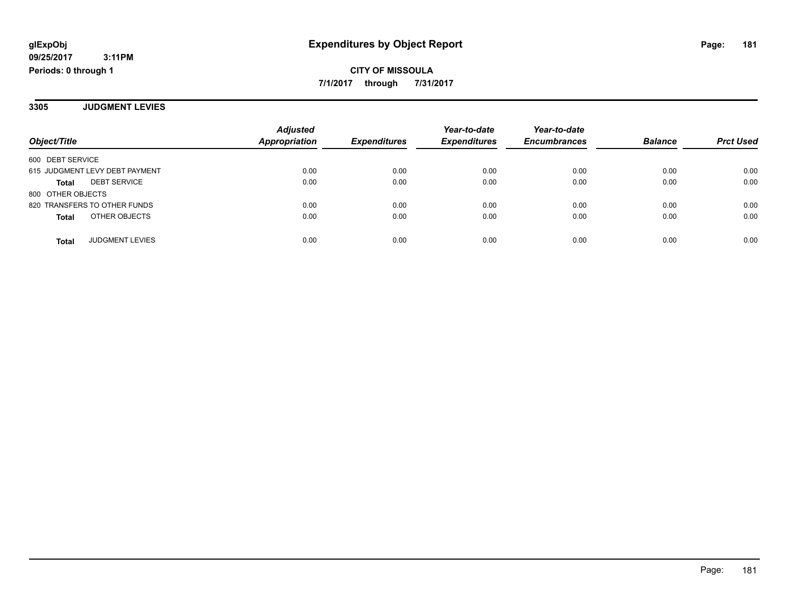**CITY OF MISSOULA 7/1/2017 through 7/31/2017**

**3305 JUDGMENT LEVIES**

|                                     | <b>Adjusted</b>      |                     | Year-to-date        | Year-to-date        |                |                  |
|-------------------------------------|----------------------|---------------------|---------------------|---------------------|----------------|------------------|
| Object/Title                        | <b>Appropriation</b> | <b>Expenditures</b> | <b>Expenditures</b> | <b>Encumbrances</b> | <b>Balance</b> | <b>Prct Used</b> |
| 600 DEBT SERVICE                    |                      |                     |                     |                     |                |                  |
| 615 JUDGMENT LEVY DEBT PAYMENT      | 0.00                 | 0.00                | 0.00                | 0.00                | 0.00           | 0.00             |
| <b>DEBT SERVICE</b><br><b>Total</b> | 0.00                 | 0.00                | 0.00                | 0.00                | 0.00           | 0.00             |
| 800 OTHER OBJECTS                   |                      |                     |                     |                     |                |                  |
| 820 TRANSFERS TO OTHER FUNDS        | 0.00                 | 0.00                | 0.00                | 0.00                | 0.00           | 0.00             |
| OTHER OBJECTS<br><b>Total</b>       | 0.00                 | 0.00                | 0.00                | 0.00                | 0.00           | 0.00             |
| <b>JUDGMENT LEVIES</b><br>Total     | 0.00                 | 0.00                | 0.00                | 0.00                | 0.00           | 0.00             |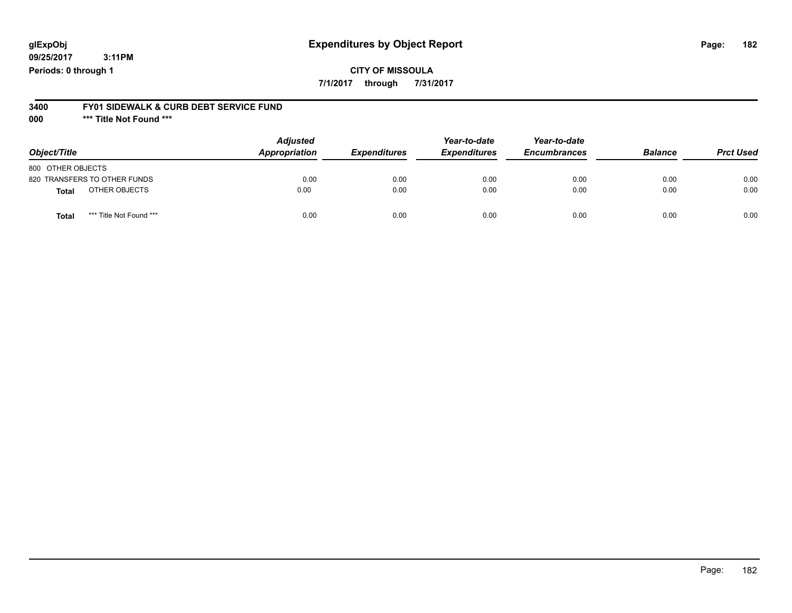### **glExpObj Expenditures by Object Report Page: 182**

**09/25/2017 3:11PM Periods: 0 through 1**

**CITY OF MISSOULA**

**7/1/2017 through 7/31/2017**

#### **3400 FY01 SIDEWALK & CURB DEBT SERVICE FUND**

**000 \*\*\* Title Not Found \*\*\***

| Object/Title                            | <b>Adjusted</b><br>Appropriation | <b>Expenditures</b> | Year-to-date<br><b>Expenditures</b> | Year-to-date<br><b>Encumbrances</b> | <b>Balance</b> | <b>Prct Used</b> |
|-----------------------------------------|----------------------------------|---------------------|-------------------------------------|-------------------------------------|----------------|------------------|
| 800 OTHER OBJECTS                       |                                  |                     |                                     |                                     |                |                  |
| 820 TRANSFERS TO OTHER FUNDS            | 0.00                             | 0.00                | 0.00                                | 0.00                                | 0.00           | 0.00             |
| OTHER OBJECTS<br><b>Total</b>           | 0.00                             | 0.00                | 0.00                                | 0.00                                | 0.00           | 0.00             |
| *** Title Not Found ***<br><b>Total</b> | 0.00                             | 0.00                | 0.00                                | 0.00                                | 0.00           | 0.00             |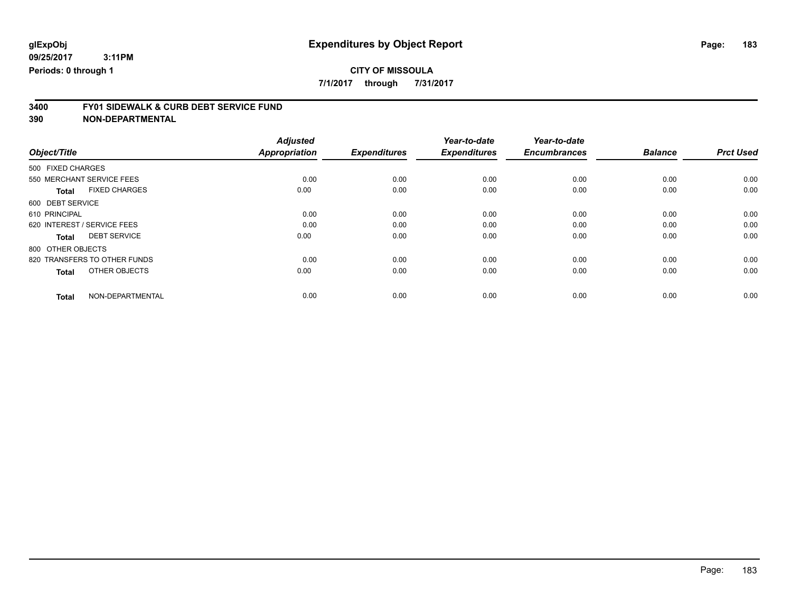# **CITY OF MISSOULA**

**7/1/2017 through 7/31/2017**

# **3400 FY01 SIDEWALK & CURB DEBT SERVICE FUND**

|                                      | <b>Adjusted</b>      |                     | Year-to-date        | Year-to-date        |                |                  |
|--------------------------------------|----------------------|---------------------|---------------------|---------------------|----------------|------------------|
| Object/Title                         | <b>Appropriation</b> | <b>Expenditures</b> | <b>Expenditures</b> | <b>Encumbrances</b> | <b>Balance</b> | <b>Prct Used</b> |
| 500 FIXED CHARGES                    |                      |                     |                     |                     |                |                  |
| 550 MERCHANT SERVICE FEES            | 0.00                 | 0.00                | 0.00                | 0.00                | 0.00           | 0.00             |
| <b>FIXED CHARGES</b><br><b>Total</b> | 0.00                 | 0.00                | 0.00                | 0.00                | 0.00           | 0.00             |
| 600 DEBT SERVICE                     |                      |                     |                     |                     |                |                  |
| 610 PRINCIPAL                        | 0.00                 | 0.00                | 0.00                | 0.00                | 0.00           | 0.00             |
| 620 INTEREST / SERVICE FEES          | 0.00                 | 0.00                | 0.00                | 0.00                | 0.00           | 0.00             |
| <b>DEBT SERVICE</b><br><b>Total</b>  | 0.00                 | 0.00                | 0.00                | 0.00                | 0.00           | 0.00             |
| 800 OTHER OBJECTS                    |                      |                     |                     |                     |                |                  |
| 820 TRANSFERS TO OTHER FUNDS         | 0.00                 | 0.00                | 0.00                | 0.00                | 0.00           | 0.00             |
| OTHER OBJECTS<br><b>Total</b>        | 0.00                 | 0.00                | 0.00                | 0.00                | 0.00           | 0.00             |
|                                      |                      |                     |                     |                     |                |                  |
| NON-DEPARTMENTAL<br><b>Total</b>     | 0.00                 | 0.00                | 0.00                | 0.00                | 0.00           | 0.00             |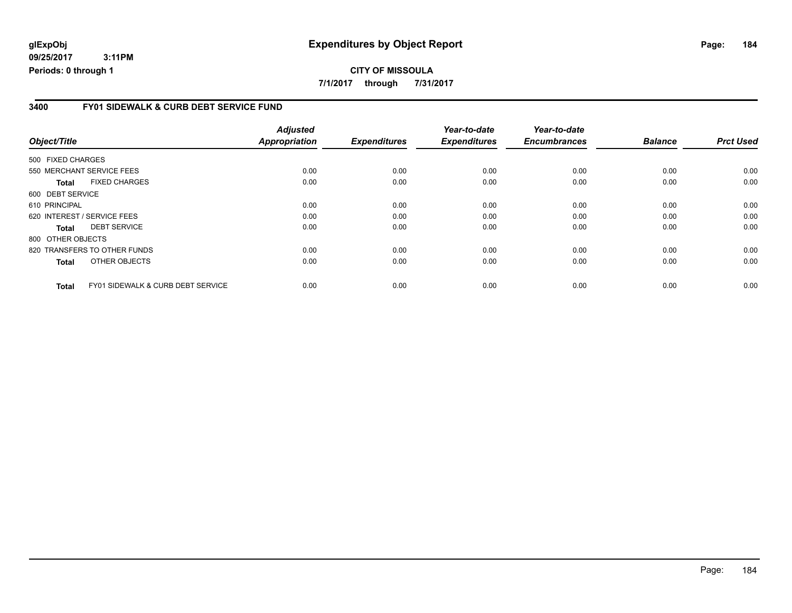### **glExpObj Expenditures by Object Report Page: 184**

**09/25/2017 3:11PM Periods: 0 through 1**

#### **3400 FY01 SIDEWALK & CURB DEBT SERVICE FUND**

|                   |                                              | <b>Adjusted</b>      |                     | Year-to-date        | Year-to-date        |                |                  |
|-------------------|----------------------------------------------|----------------------|---------------------|---------------------|---------------------|----------------|------------------|
| Object/Title      |                                              | <b>Appropriation</b> | <b>Expenditures</b> | <b>Expenditures</b> | <b>Encumbrances</b> | <b>Balance</b> | <b>Prct Used</b> |
| 500 FIXED CHARGES |                                              |                      |                     |                     |                     |                |                  |
|                   | 550 MERCHANT SERVICE FEES                    | 0.00                 | 0.00                | 0.00                | 0.00                | 0.00           | 0.00             |
| <b>Total</b>      | <b>FIXED CHARGES</b>                         | 0.00                 | 0.00                | 0.00                | 0.00                | 0.00           | 0.00             |
| 600 DEBT SERVICE  |                                              |                      |                     |                     |                     |                |                  |
| 610 PRINCIPAL     |                                              | 0.00                 | 0.00                | 0.00                | 0.00                | 0.00           | 0.00             |
|                   | 620 INTEREST / SERVICE FEES                  | 0.00                 | 0.00                | 0.00                | 0.00                | 0.00           | 0.00             |
| <b>Total</b>      | <b>DEBT SERVICE</b>                          | 0.00                 | 0.00                | 0.00                | 0.00                | 0.00           | 0.00             |
| 800 OTHER OBJECTS |                                              |                      |                     |                     |                     |                |                  |
|                   | 820 TRANSFERS TO OTHER FUNDS                 | 0.00                 | 0.00                | 0.00                | 0.00                | 0.00           | 0.00             |
| <b>Total</b>      | OTHER OBJECTS                                | 0.00                 | 0.00                | 0.00                | 0.00                | 0.00           | 0.00             |
| Total             | <b>FY01 SIDEWALK &amp; CURB DEBT SERVICE</b> | 0.00                 | 0.00                | 0.00                | 0.00                | 0.00           | 0.00             |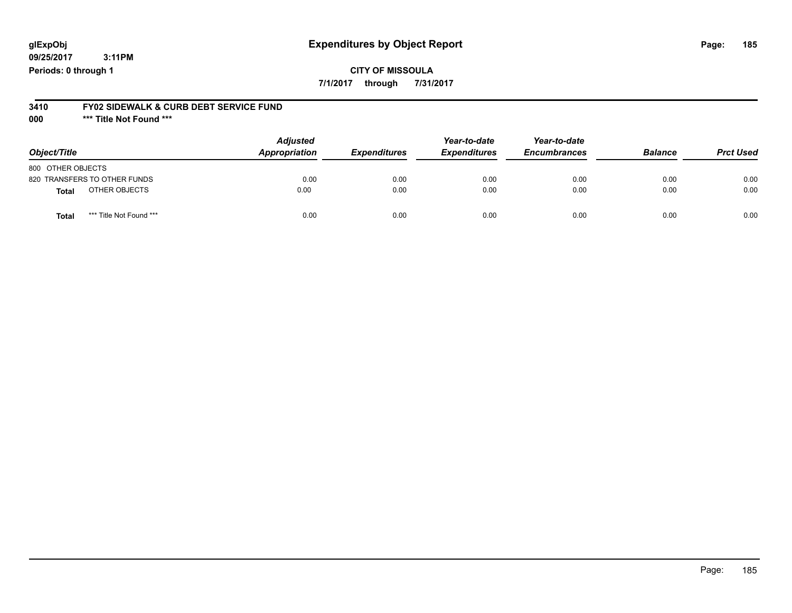### **glExpObj Expenditures by Object Report Page: 185**

**09/25/2017 3:11PM Periods: 0 through 1**

# **CITY OF MISSOULA**

**7/1/2017 through 7/31/2017**

# **3410 FY02 SIDEWALK & CURB DEBT SERVICE FUND**

**000 \*\*\* Title Not Found \*\*\***

| Object/Title                            | <b>Adjusted</b><br>Appropriation | <b>Expenditures</b> | Year-to-date<br><b>Expenditures</b> | Year-to-date<br><b>Encumbrances</b> | <b>Balance</b> | <b>Prct Used</b> |
|-----------------------------------------|----------------------------------|---------------------|-------------------------------------|-------------------------------------|----------------|------------------|
| 800 OTHER OBJECTS                       |                                  |                     |                                     |                                     |                |                  |
| 820 TRANSFERS TO OTHER FUNDS            | 0.00                             | 0.00                | 0.00                                | 0.00                                | 0.00           | 0.00             |
| OTHER OBJECTS<br><b>Total</b>           | 0.00                             | 0.00                | 0.00                                | 0.00                                | 0.00           | 0.00             |
| *** Title Not Found ***<br><b>Total</b> | 0.00                             | 0.00                | 0.00                                | 0.00                                | 0.00           | 0.00             |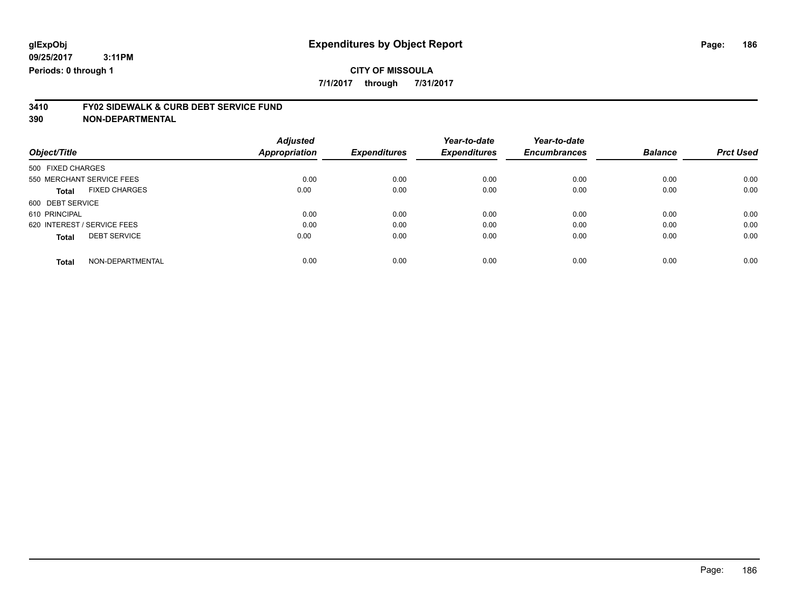## **CITY OF MISSOULA**

**7/1/2017 through 7/31/2017**

# **3410 FY02 SIDEWALK & CURB DEBT SERVICE FUND**

| Object/Title                         | <b>Adjusted</b><br>Appropriation | <b>Expenditures</b> | Year-to-date<br><b>Expenditures</b> | Year-to-date<br><b>Encumbrances</b> | <b>Balance</b> | <b>Prct Used</b> |
|--------------------------------------|----------------------------------|---------------------|-------------------------------------|-------------------------------------|----------------|------------------|
| 500 FIXED CHARGES                    |                                  |                     |                                     |                                     |                |                  |
| 550 MERCHANT SERVICE FEES            | 0.00                             | 0.00                | 0.00                                | 0.00                                | 0.00           | 0.00             |
| <b>FIXED CHARGES</b><br><b>Total</b> | 0.00                             | 0.00                | 0.00                                | 0.00                                | 0.00           | 0.00             |
| 600 DEBT SERVICE                     |                                  |                     |                                     |                                     |                |                  |
| 610 PRINCIPAL                        | 0.00                             | 0.00                | 0.00                                | 0.00                                | 0.00           | 0.00             |
| 620 INTEREST / SERVICE FEES          | 0.00                             | 0.00                | 0.00                                | 0.00                                | 0.00           | 0.00             |
| <b>DEBT SERVICE</b><br><b>Total</b>  | 0.00                             | 0.00                | 0.00                                | 0.00                                | 0.00           | 0.00             |
| NON-DEPARTMENTAL<br><b>Total</b>     | 0.00                             | 0.00                | 0.00                                | 0.00                                | 0.00           | 0.00             |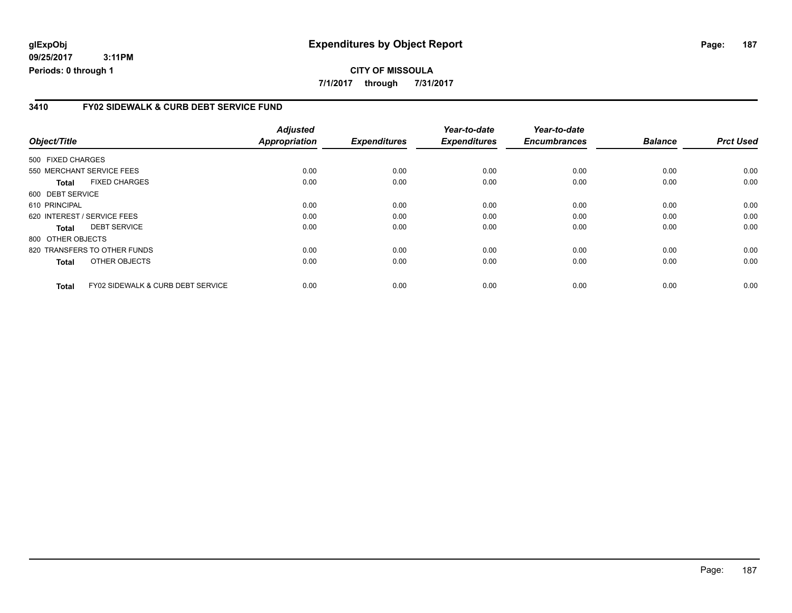### **3410 FY02 SIDEWALK & CURB DEBT SERVICE FUND**

|                   |                                              | <b>Adjusted</b>      |                     | Year-to-date        | Year-to-date        |                |                  |
|-------------------|----------------------------------------------|----------------------|---------------------|---------------------|---------------------|----------------|------------------|
| Object/Title      |                                              | <b>Appropriation</b> | <b>Expenditures</b> | <b>Expenditures</b> | <b>Encumbrances</b> | <b>Balance</b> | <b>Prct Used</b> |
| 500 FIXED CHARGES |                                              |                      |                     |                     |                     |                |                  |
|                   | 550 MERCHANT SERVICE FEES                    | 0.00                 | 0.00                | 0.00                | 0.00                | 0.00           | 0.00             |
| Total             | <b>FIXED CHARGES</b>                         | 0.00                 | 0.00                | 0.00                | 0.00                | 0.00           | 0.00             |
| 600 DEBT SERVICE  |                                              |                      |                     |                     |                     |                |                  |
| 610 PRINCIPAL     |                                              | 0.00                 | 0.00                | 0.00                | 0.00                | 0.00           | 0.00             |
|                   | 620 INTEREST / SERVICE FEES                  | 0.00                 | 0.00                | 0.00                | 0.00                | 0.00           | 0.00             |
| Total             | <b>DEBT SERVICE</b>                          | 0.00                 | 0.00                | 0.00                | 0.00                | 0.00           | 0.00             |
| 800 OTHER OBJECTS |                                              |                      |                     |                     |                     |                |                  |
|                   | 820 TRANSFERS TO OTHER FUNDS                 | 0.00                 | 0.00                | 0.00                | 0.00                | 0.00           | 0.00             |
| <b>Total</b>      | OTHER OBJECTS                                | 0.00                 | 0.00                | 0.00                | 0.00                | 0.00           | 0.00             |
| <b>Total</b>      | <b>FY02 SIDEWALK &amp; CURB DEBT SERVICE</b> | 0.00                 | 0.00                | 0.00                | 0.00                | 0.00           | 0.00             |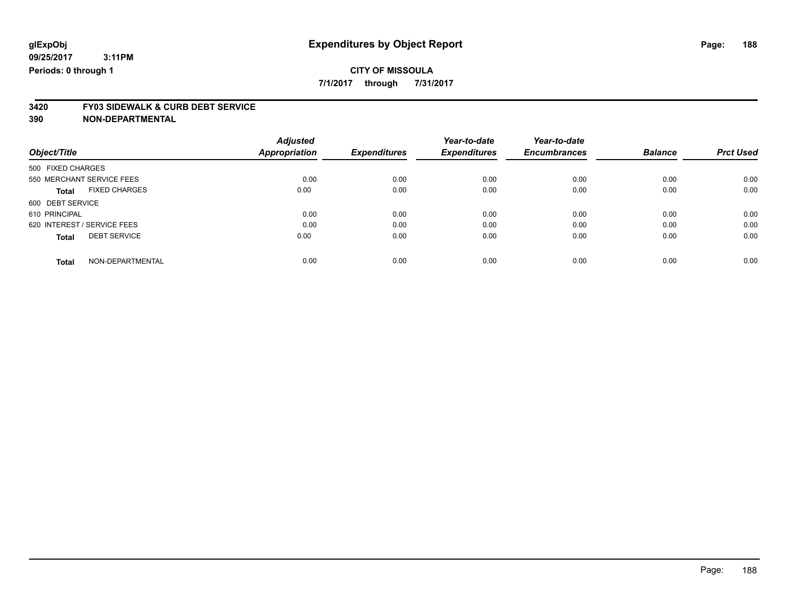**7/1/2017 through 7/31/2017**

# **3420 FY03 SIDEWALK & CURB DEBT SERVICE**

|                             |                      | <b>Adjusted</b>      |                     | Year-to-date        | Year-to-date        |                |                  |
|-----------------------------|----------------------|----------------------|---------------------|---------------------|---------------------|----------------|------------------|
| Object/Title                |                      | <b>Appropriation</b> | <b>Expenditures</b> | <b>Expenditures</b> | <b>Encumbrances</b> | <b>Balance</b> | <b>Prct Used</b> |
| 500 FIXED CHARGES           |                      |                      |                     |                     |                     |                |                  |
| 550 MERCHANT SERVICE FEES   |                      | 0.00                 | 0.00                | 0.00                | 0.00                | 0.00           | 0.00             |
| <b>Total</b>                | <b>FIXED CHARGES</b> | 0.00                 | 0.00                | 0.00                | 0.00                | 0.00           | 0.00             |
| 600 DEBT SERVICE            |                      |                      |                     |                     |                     |                |                  |
| 610 PRINCIPAL               |                      | 0.00                 | 0.00                | 0.00                | 0.00                | 0.00           | 0.00             |
| 620 INTEREST / SERVICE FEES |                      | 0.00                 | 0.00                | 0.00                | 0.00                | 0.00           | 0.00             |
| <b>Total</b>                | <b>DEBT SERVICE</b>  | 0.00                 | 0.00                | 0.00                | 0.00                | 0.00           | 0.00             |
| <b>Total</b>                | NON-DEPARTMENTAL     | 0.00                 | 0.00                | 0.00                | 0.00                | 0.00           | 0.00             |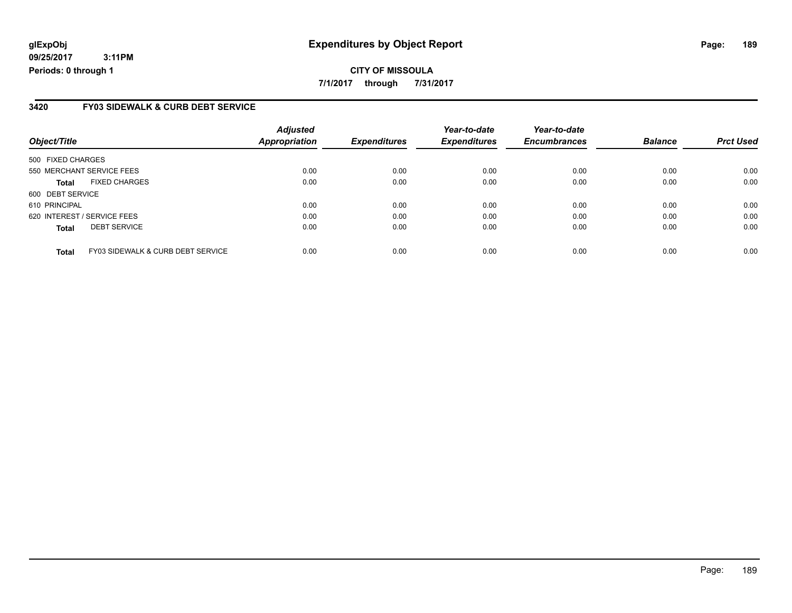### **3420 FY03 SIDEWALK & CURB DEBT SERVICE**

| Object/Title      |                                              | <b>Adjusted</b><br><b>Appropriation</b> | <b>Expenditures</b> | Year-to-date<br><b>Expenditures</b> | Year-to-date<br><b>Encumbrances</b> | <b>Balance</b> | <b>Prct Used</b> |
|-------------------|----------------------------------------------|-----------------------------------------|---------------------|-------------------------------------|-------------------------------------|----------------|------------------|
| 500 FIXED CHARGES |                                              |                                         |                     |                                     |                                     |                |                  |
|                   | 550 MERCHANT SERVICE FEES                    | 0.00                                    | 0.00                | 0.00                                | 0.00                                | 0.00           | 0.00             |
| <b>Total</b>      | <b>FIXED CHARGES</b>                         | 0.00                                    | 0.00                | 0.00                                | 0.00                                | 0.00           | 0.00             |
| 600 DEBT SERVICE  |                                              |                                         |                     |                                     |                                     |                |                  |
| 610 PRINCIPAL     |                                              | 0.00                                    | 0.00                | 0.00                                | 0.00                                | 0.00           | 0.00             |
|                   | 620 INTEREST / SERVICE FEES                  | 0.00                                    | 0.00                | 0.00                                | 0.00                                | 0.00           | 0.00             |
| <b>Total</b>      | <b>DEBT SERVICE</b>                          | 0.00                                    | 0.00                | 0.00                                | 0.00                                | 0.00           | 0.00             |
| <b>Total</b>      | <b>FY03 SIDEWALK &amp; CURB DEBT SERVICE</b> | 0.00                                    | 0.00                | 0.00                                | 0.00                                | 0.00           | 0.00             |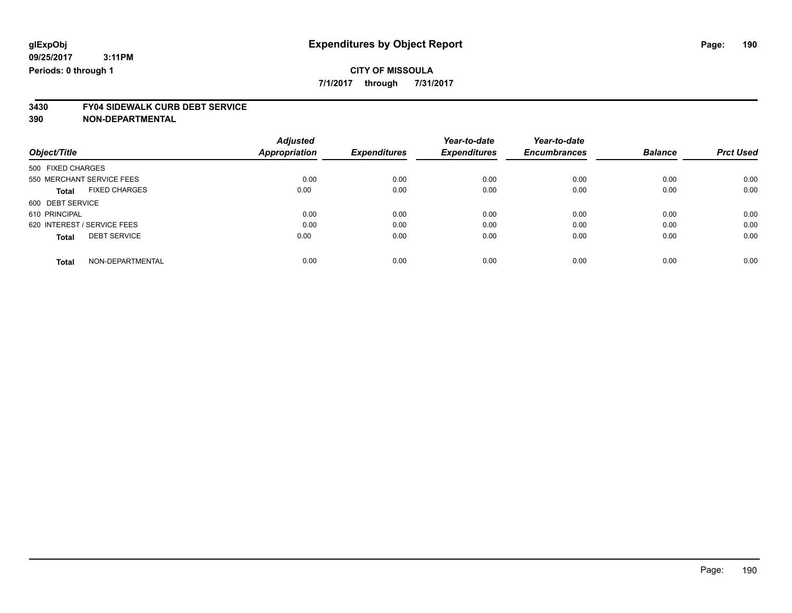**7/1/2017 through 7/31/2017**

# **3430 FY04 SIDEWALK CURB DEBT SERVICE**

|                             |                      | <b>Adjusted</b>      |                     | Year-to-date        | Year-to-date        |                |                  |
|-----------------------------|----------------------|----------------------|---------------------|---------------------|---------------------|----------------|------------------|
| Object/Title                |                      | <b>Appropriation</b> | <b>Expenditures</b> | <b>Expenditures</b> | <b>Encumbrances</b> | <b>Balance</b> | <b>Prct Used</b> |
| 500 FIXED CHARGES           |                      |                      |                     |                     |                     |                |                  |
| 550 MERCHANT SERVICE FEES   |                      | 0.00                 | 0.00                | 0.00                | 0.00                | 0.00           | 0.00             |
| <b>Total</b>                | <b>FIXED CHARGES</b> | 0.00                 | 0.00                | 0.00                | 0.00                | 0.00           | 0.00             |
| 600 DEBT SERVICE            |                      |                      |                     |                     |                     |                |                  |
| 610 PRINCIPAL               |                      | 0.00                 | 0.00                | 0.00                | 0.00                | 0.00           | 0.00             |
| 620 INTEREST / SERVICE FEES |                      | 0.00                 | 0.00                | 0.00                | 0.00                | 0.00           | 0.00             |
| <b>Total</b>                | <b>DEBT SERVICE</b>  | 0.00                 | 0.00                | 0.00                | 0.00                | 0.00           | 0.00             |
| <b>Total</b>                | NON-DEPARTMENTAL     | 0.00                 | 0.00                | 0.00                | 0.00                | 0.00           | 0.00             |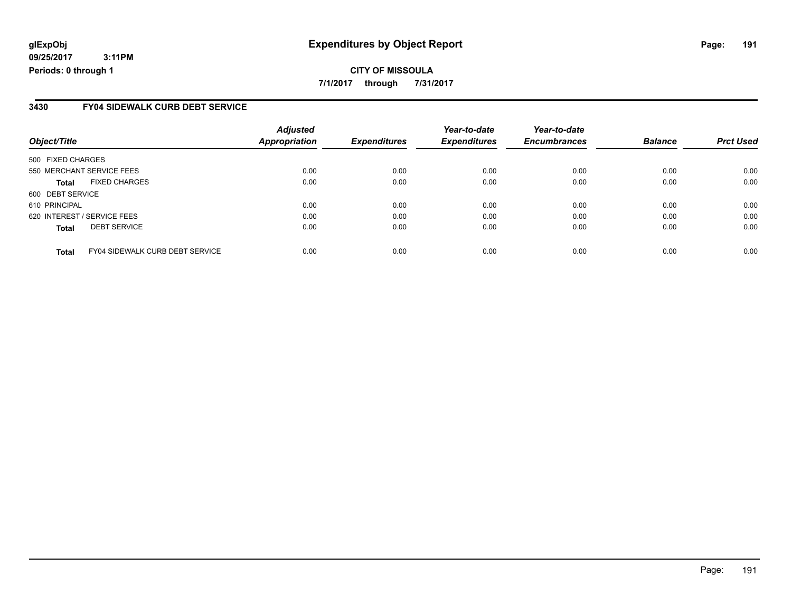### **3430 FY04 SIDEWALK CURB DEBT SERVICE**

|                   |                                        | <b>Adjusted</b>      |                     | Year-to-date        | Year-to-date        |                |                  |
|-------------------|----------------------------------------|----------------------|---------------------|---------------------|---------------------|----------------|------------------|
| Object/Title      |                                        | <b>Appropriation</b> | <b>Expenditures</b> | <b>Expenditures</b> | <b>Encumbrances</b> | <b>Balance</b> | <b>Prct Used</b> |
| 500 FIXED CHARGES |                                        |                      |                     |                     |                     |                |                  |
|                   | 550 MERCHANT SERVICE FEES              | 0.00                 | 0.00                | 0.00                | 0.00                | 0.00           | 0.00             |
| <b>Total</b>      | <b>FIXED CHARGES</b>                   | 0.00                 | 0.00                | 0.00                | 0.00                | 0.00           | 0.00             |
| 600 DEBT SERVICE  |                                        |                      |                     |                     |                     |                |                  |
| 610 PRINCIPAL     |                                        | 0.00                 | 0.00                | 0.00                | 0.00                | 0.00           | 0.00             |
|                   | 620 INTEREST / SERVICE FEES            | 0.00                 | 0.00                | 0.00                | 0.00                | 0.00           | 0.00             |
| <b>Total</b>      | <b>DEBT SERVICE</b>                    | 0.00                 | 0.00                | 0.00                | 0.00                | 0.00           | 0.00             |
| <b>Total</b>      | <b>FY04 SIDEWALK CURB DEBT SERVICE</b> | 0.00                 | 0.00                | 0.00                | 0.00                | 0.00           | 0.00             |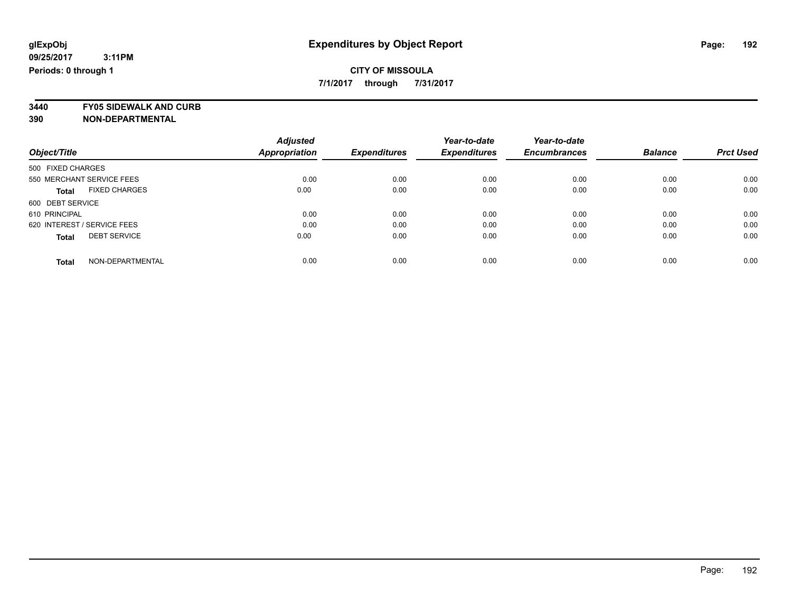**7/1/2017 through 7/31/2017**

**3440 FY05 SIDEWALK AND CURB**

|                             |                      | <b>Adjusted</b>      |                     | Year-to-date        | Year-to-date        |                |                  |
|-----------------------------|----------------------|----------------------|---------------------|---------------------|---------------------|----------------|------------------|
| Object/Title                |                      | <b>Appropriation</b> | <b>Expenditures</b> | <b>Expenditures</b> | <b>Encumbrances</b> | <b>Balance</b> | <b>Prct Used</b> |
| 500 FIXED CHARGES           |                      |                      |                     |                     |                     |                |                  |
| 550 MERCHANT SERVICE FEES   |                      | 0.00                 | 0.00                | 0.00                | 0.00                | 0.00           | 0.00             |
| <b>Total</b>                | <b>FIXED CHARGES</b> | 0.00                 | 0.00                | 0.00                | 0.00                | 0.00           | 0.00             |
| 600 DEBT SERVICE            |                      |                      |                     |                     |                     |                |                  |
| 610 PRINCIPAL               |                      | 0.00                 | 0.00                | 0.00                | 0.00                | 0.00           | 0.00             |
| 620 INTEREST / SERVICE FEES |                      | 0.00                 | 0.00                | 0.00                | 0.00                | 0.00           | 0.00             |
| <b>Total</b>                | <b>DEBT SERVICE</b>  | 0.00                 | 0.00                | 0.00                | 0.00                | 0.00           | 0.00             |
| <b>Total</b>                | NON-DEPARTMENTAL     | 0.00                 | 0.00                | 0.00                | 0.00                | 0.00           | 0.00             |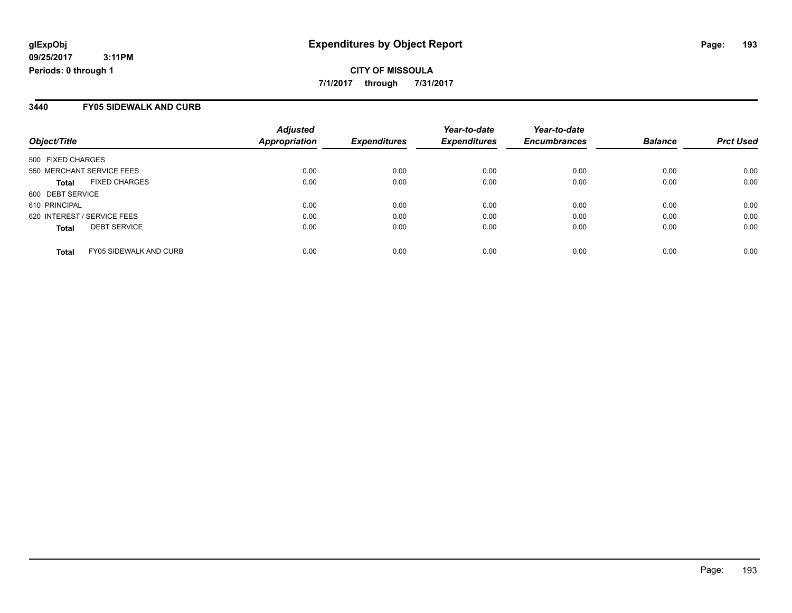**CITY OF MISSOULA 7/1/2017 through 7/31/2017**

### **3440 FY05 SIDEWALK AND CURB**

| Object/Title                                  | <b>Adjusted</b><br><b>Appropriation</b> | <b>Expenditures</b> | Year-to-date<br><b>Expenditures</b> | Year-to-date<br><b>Encumbrances</b> | <b>Balance</b> | <b>Prct Used</b> |
|-----------------------------------------------|-----------------------------------------|---------------------|-------------------------------------|-------------------------------------|----------------|------------------|
|                                               |                                         |                     |                                     |                                     |                |                  |
| 500 FIXED CHARGES                             |                                         |                     |                                     |                                     |                |                  |
| 550 MERCHANT SERVICE FEES                     | 0.00                                    | 0.00                | 0.00                                | 0.00                                | 0.00           | 0.00             |
| <b>FIXED CHARGES</b><br><b>Total</b>          | 0.00                                    | 0.00                | 0.00                                | 0.00                                | 0.00           | 0.00             |
| 600 DEBT SERVICE                              |                                         |                     |                                     |                                     |                |                  |
| 610 PRINCIPAL                                 | 0.00                                    | 0.00                | 0.00                                | 0.00                                | 0.00           | 0.00             |
| 620 INTEREST / SERVICE FEES                   | 0.00                                    | 0.00                | 0.00                                | 0.00                                | 0.00           | 0.00             |
| <b>DEBT SERVICE</b><br><b>Total</b>           | 0.00                                    | 0.00                | 0.00                                | 0.00                                | 0.00           | 0.00             |
| <b>FY05 SIDEWALK AND CURB</b><br><b>Total</b> | 0.00                                    | 0.00                | 0.00                                | 0.00                                | 0.00           | 0.00             |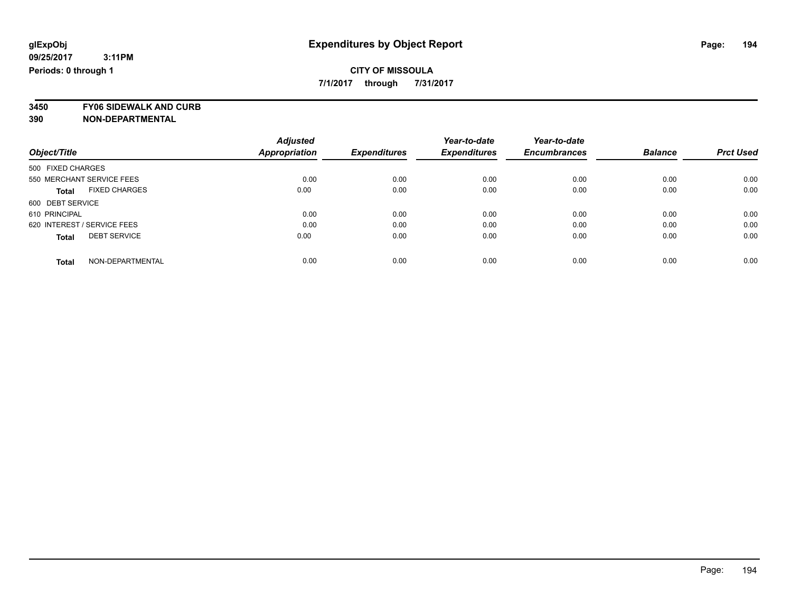**7/1/2017 through 7/31/2017**

**3450 FY06 SIDEWALK AND CURB**

|                                      | <b>Adjusted</b>      |                     | Year-to-date        | Year-to-date        |                |                  |
|--------------------------------------|----------------------|---------------------|---------------------|---------------------|----------------|------------------|
| Object/Title                         | <b>Appropriation</b> | <b>Expenditures</b> | <b>Expenditures</b> | <b>Encumbrances</b> | <b>Balance</b> | <b>Prct Used</b> |
| 500 FIXED CHARGES                    |                      |                     |                     |                     |                |                  |
| 550 MERCHANT SERVICE FEES            | 0.00                 | 0.00                | 0.00                | 0.00                | 0.00           | 0.00             |
| <b>FIXED CHARGES</b><br><b>Total</b> | 0.00                 | 0.00                | 0.00                | 0.00                | 0.00           | 0.00             |
| 600 DEBT SERVICE                     |                      |                     |                     |                     |                |                  |
| 610 PRINCIPAL                        | 0.00                 | 0.00                | 0.00                | 0.00                | 0.00           | 0.00             |
| 620 INTEREST / SERVICE FEES          | 0.00                 | 0.00                | 0.00                | 0.00                | 0.00           | 0.00             |
| <b>DEBT SERVICE</b><br><b>Total</b>  | 0.00                 | 0.00                | 0.00                | 0.00                | 0.00           | 0.00             |
| NON-DEPARTMENTAL<br><b>Total</b>     | 0.00                 | 0.00                | 0.00                | 0.00                | 0.00           | 0.00             |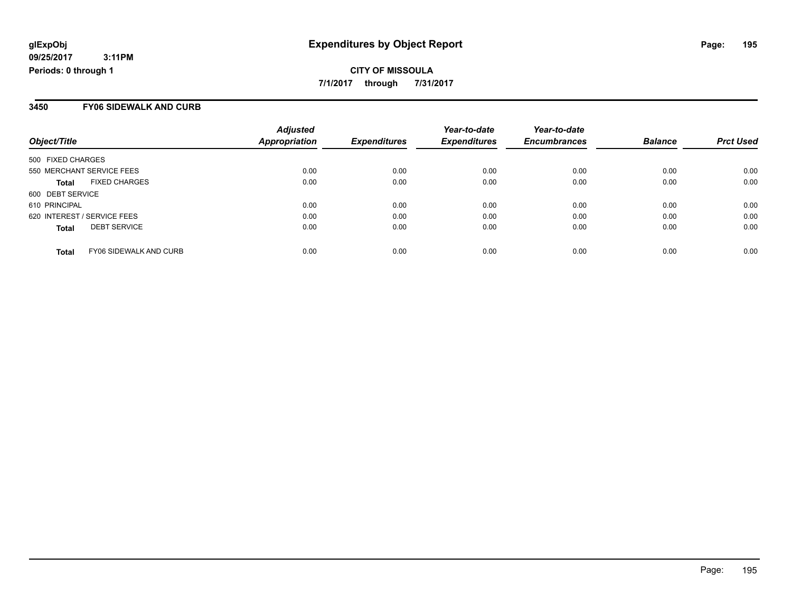**CITY OF MISSOULA 7/1/2017 through 7/31/2017**

### **3450 FY06 SIDEWALK AND CURB**

| Object/Title                                  | <b>Adjusted</b><br><b>Appropriation</b> | <b>Expenditures</b> | Year-to-date<br><b>Expenditures</b> | Year-to-date<br><b>Encumbrances</b> | <b>Balance</b> | <b>Prct Used</b> |
|-----------------------------------------------|-----------------------------------------|---------------------|-------------------------------------|-------------------------------------|----------------|------------------|
| 500 FIXED CHARGES                             |                                         |                     |                                     |                                     |                |                  |
| 550 MERCHANT SERVICE FEES                     | 0.00                                    | 0.00                | 0.00                                | 0.00                                | 0.00           | 0.00             |
| <b>FIXED CHARGES</b><br><b>Total</b>          | 0.00                                    | 0.00                | 0.00                                | 0.00                                | 0.00           | 0.00             |
| 600 DEBT SERVICE                              |                                         |                     |                                     |                                     |                |                  |
| 610 PRINCIPAL                                 | 0.00                                    | 0.00                | 0.00                                | 0.00                                | 0.00           | 0.00             |
| 620 INTEREST / SERVICE FEES                   | 0.00                                    | 0.00                | 0.00                                | 0.00                                | 0.00           | 0.00             |
| <b>DEBT SERVICE</b><br><b>Total</b>           | 0.00                                    | 0.00                | 0.00                                | 0.00                                | 0.00           | 0.00             |
| <b>FY06 SIDEWALK AND CURB</b><br><b>Total</b> | 0.00                                    | 0.00                | 0.00                                | 0.00                                | 0.00           | 0.00             |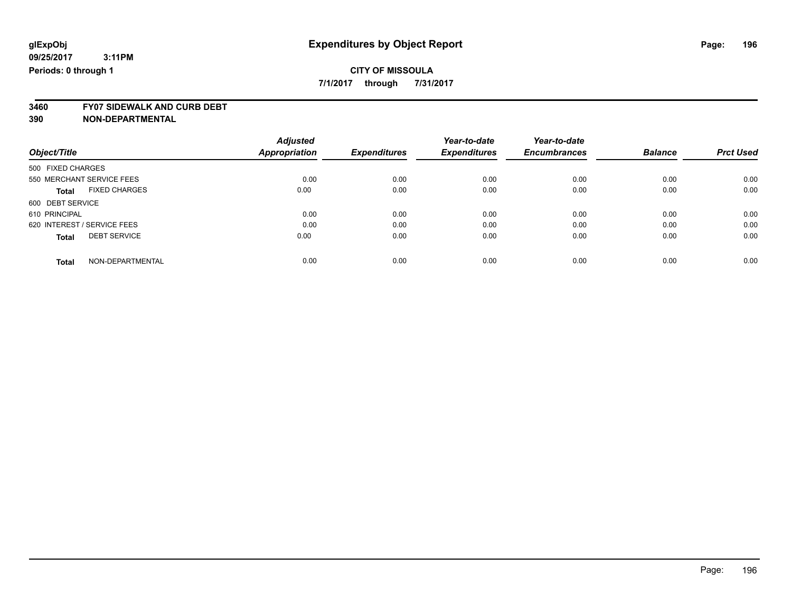**7/1/2017 through 7/31/2017**

# **3460 FY07 SIDEWALK AND CURB DEBT**

|                                      | <b>Adjusted</b> |                     | Year-to-date        | Year-to-date        |                |                  |
|--------------------------------------|-----------------|---------------------|---------------------|---------------------|----------------|------------------|
| Object/Title                         | Appropriation   | <b>Expenditures</b> | <b>Expenditures</b> | <b>Encumbrances</b> | <b>Balance</b> | <b>Prct Used</b> |
| 500 FIXED CHARGES                    |                 |                     |                     |                     |                |                  |
| 550 MERCHANT SERVICE FEES            | 0.00            | 0.00                | 0.00                | 0.00                | 0.00           | 0.00             |
| <b>FIXED CHARGES</b><br><b>Total</b> | 0.00            | 0.00                | 0.00                | 0.00                | 0.00           | 0.00             |
| 600 DEBT SERVICE                     |                 |                     |                     |                     |                |                  |
| 610 PRINCIPAL                        | 0.00            | 0.00                | 0.00                | 0.00                | 0.00           | 0.00             |
| 620 INTEREST / SERVICE FEES          | 0.00            | 0.00                | 0.00                | 0.00                | 0.00           | 0.00             |
| <b>DEBT SERVICE</b><br><b>Total</b>  | 0.00            | 0.00                | 0.00                | 0.00                | 0.00           | 0.00             |
| NON-DEPARTMENTAL<br><b>Total</b>     | 0.00            | 0.00                | 0.00                | 0.00                | 0.00           | 0.00             |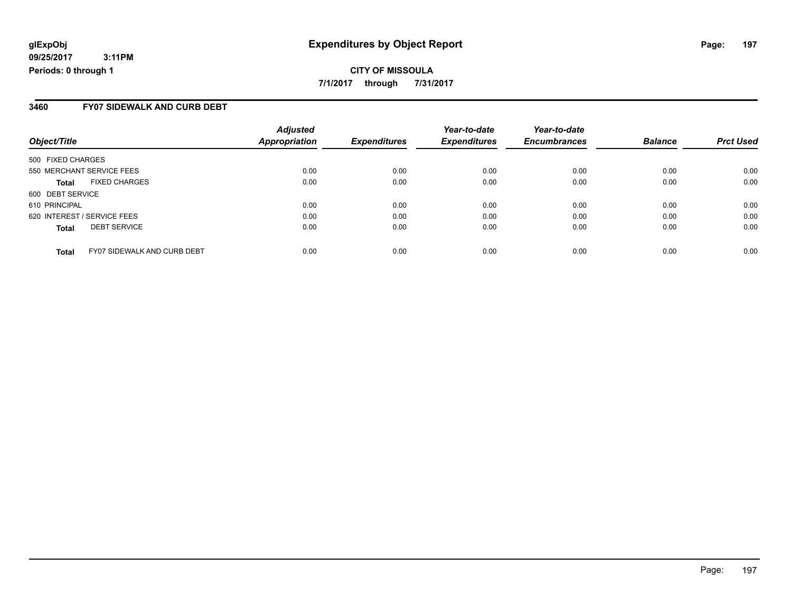## **CITY OF MISSOULA 7/1/2017 through 7/31/2017**

### **3460 FY07 SIDEWALK AND CURB DEBT**

| Object/Title                |                                    | <b>Adjusted</b><br><b>Appropriation</b> | <b>Expenditures</b> | Year-to-date<br><b>Expenditures</b> | Year-to-date<br><b>Encumbrances</b> | <b>Balance</b> | <b>Prct Used</b> |
|-----------------------------|------------------------------------|-----------------------------------------|---------------------|-------------------------------------|-------------------------------------|----------------|------------------|
| 500 FIXED CHARGES           |                                    |                                         |                     |                                     |                                     |                |                  |
| 550 MERCHANT SERVICE FEES   |                                    | 0.00                                    | 0.00                | 0.00                                | 0.00                                | 0.00           | 0.00             |
| Total                       | <b>FIXED CHARGES</b>               | 0.00                                    | 0.00                | 0.00                                | 0.00                                | 0.00           | 0.00             |
| 600 DEBT SERVICE            |                                    |                                         |                     |                                     |                                     |                |                  |
| 610 PRINCIPAL               |                                    | 0.00                                    | 0.00                | 0.00                                | 0.00                                | 0.00           | 0.00             |
| 620 INTEREST / SERVICE FEES |                                    | 0.00                                    | 0.00                | 0.00                                | 0.00                                | 0.00           | 0.00             |
| <b>Total</b>                | <b>DEBT SERVICE</b>                | 0.00                                    | 0.00                | 0.00                                | 0.00                                | 0.00           | 0.00             |
| Total                       | <b>FY07 SIDEWALK AND CURB DEBT</b> | 0.00                                    | 0.00                | 0.00                                | 0.00                                | 0.00           | 0.00             |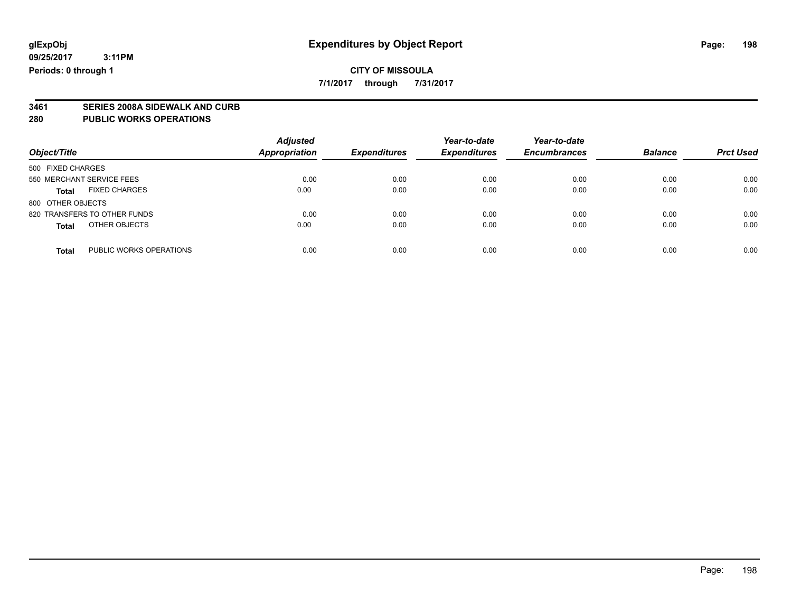# **CITY OF MISSOULA**

**7/1/2017 through 7/31/2017**

# **3461 SERIES 2008A SIDEWALK AND CURB**

#### **280 PUBLIC WORKS OPERATIONS**

| Object/Title                            | <b>Adjusted</b><br><b>Appropriation</b> | <b>Expenditures</b> | Year-to-date<br><b>Expenditures</b> | Year-to-date<br><b>Encumbrances</b> | <b>Balance</b> | <b>Prct Used</b> |
|-----------------------------------------|-----------------------------------------|---------------------|-------------------------------------|-------------------------------------|----------------|------------------|
| 500 FIXED CHARGES                       |                                         |                     |                                     |                                     |                |                  |
| 550 MERCHANT SERVICE FEES               | 0.00                                    | 0.00                | 0.00                                | 0.00                                | 0.00           | 0.00             |
| <b>FIXED CHARGES</b><br><b>Total</b>    | 0.00                                    | 0.00                | 0.00                                | 0.00                                | 0.00           | 0.00             |
| 800 OTHER OBJECTS                       |                                         |                     |                                     |                                     |                |                  |
| 820 TRANSFERS TO OTHER FUNDS            | 0.00                                    | 0.00                | 0.00                                | 0.00                                | 0.00           | 0.00             |
| OTHER OBJECTS<br><b>Total</b>           | 0.00                                    | 0.00                | 0.00                                | 0.00                                | 0.00           | 0.00             |
| PUBLIC WORKS OPERATIONS<br><b>Total</b> | 0.00                                    | 0.00                | 0.00                                | 0.00                                | 0.00           | 0.00             |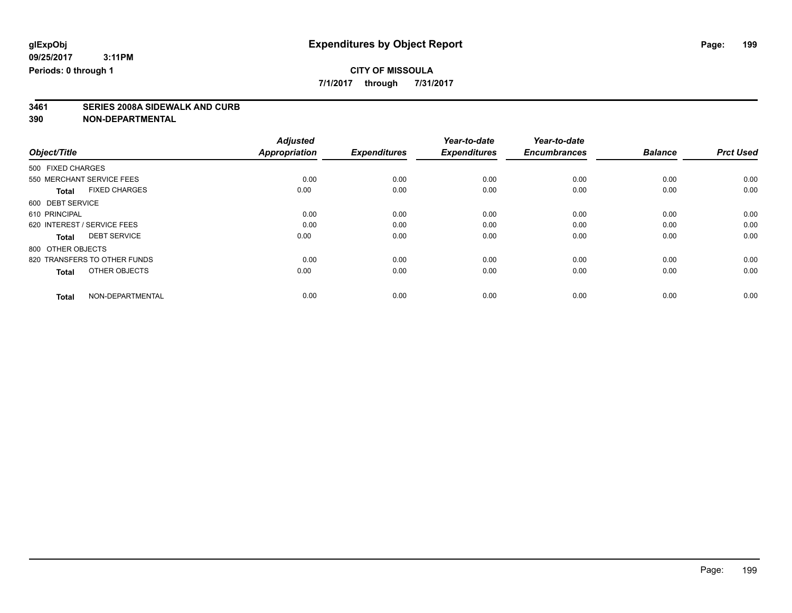**7/1/2017 through 7/31/2017**

# **3461 SERIES 2008A SIDEWALK AND CURB**

|                                      | <b>Adjusted</b>      |                     | Year-to-date        | Year-to-date        |                |                  |
|--------------------------------------|----------------------|---------------------|---------------------|---------------------|----------------|------------------|
| Object/Title                         | <b>Appropriation</b> | <b>Expenditures</b> | <b>Expenditures</b> | <b>Encumbrances</b> | <b>Balance</b> | <b>Prct Used</b> |
| 500 FIXED CHARGES                    |                      |                     |                     |                     |                |                  |
| 550 MERCHANT SERVICE FEES            | 0.00                 | 0.00                | 0.00                | 0.00                | 0.00           | 0.00             |
| <b>FIXED CHARGES</b><br><b>Total</b> | 0.00                 | 0.00                | 0.00                | 0.00                | 0.00           | 0.00             |
| 600 DEBT SERVICE                     |                      |                     |                     |                     |                |                  |
| 610 PRINCIPAL                        | 0.00                 | 0.00                | 0.00                | 0.00                | 0.00           | 0.00             |
| 620 INTEREST / SERVICE FEES          | 0.00                 | 0.00                | 0.00                | 0.00                | 0.00           | 0.00             |
| <b>DEBT SERVICE</b><br><b>Total</b>  | 0.00                 | 0.00                | 0.00                | 0.00                | 0.00           | 0.00             |
| 800 OTHER OBJECTS                    |                      |                     |                     |                     |                |                  |
| 820 TRANSFERS TO OTHER FUNDS         | 0.00                 | 0.00                | 0.00                | 0.00                | 0.00           | 0.00             |
| OTHER OBJECTS<br><b>Total</b>        | 0.00                 | 0.00                | 0.00                | 0.00                | 0.00           | 0.00             |
|                                      |                      |                     |                     |                     |                |                  |
| NON-DEPARTMENTAL<br><b>Total</b>     | 0.00                 | 0.00                | 0.00                | 0.00                | 0.00           | 0.00             |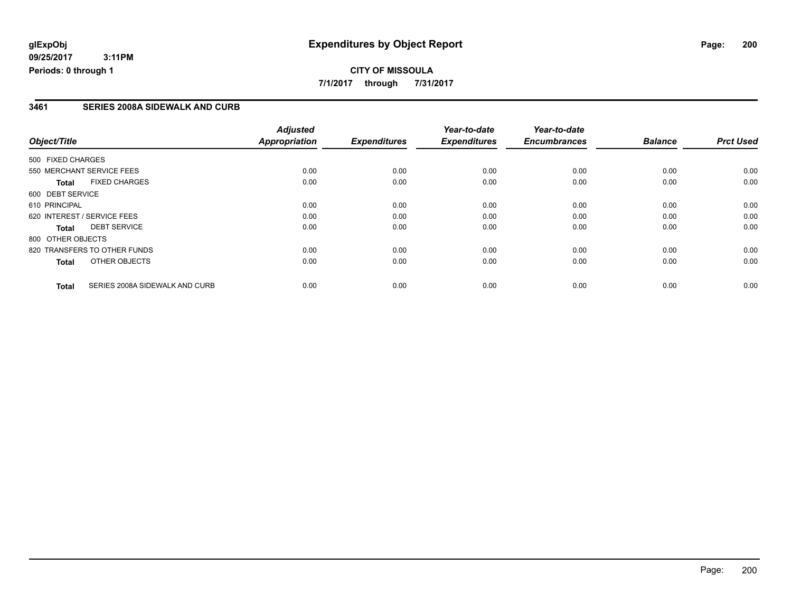## **CITY OF MISSOULA 7/1/2017 through 7/31/2017**

### **3461 SERIES 2008A SIDEWALK AND CURB**

|                   |                                | <b>Adjusted</b>      |                     | Year-to-date        | Year-to-date        |                |                  |
|-------------------|--------------------------------|----------------------|---------------------|---------------------|---------------------|----------------|------------------|
| Object/Title      |                                | <b>Appropriation</b> | <b>Expenditures</b> | <b>Expenditures</b> | <b>Encumbrances</b> | <b>Balance</b> | <b>Prct Used</b> |
| 500 FIXED CHARGES |                                |                      |                     |                     |                     |                |                  |
|                   | 550 MERCHANT SERVICE FEES      | 0.00                 | 0.00                | 0.00                | 0.00                | 0.00           | 0.00             |
| <b>Total</b>      | <b>FIXED CHARGES</b>           | 0.00                 | 0.00                | 0.00                | 0.00                | 0.00           | 0.00             |
| 600 DEBT SERVICE  |                                |                      |                     |                     |                     |                |                  |
| 610 PRINCIPAL     |                                | 0.00                 | 0.00                | 0.00                | 0.00                | 0.00           | 0.00             |
|                   | 620 INTEREST / SERVICE FEES    | 0.00                 | 0.00                | 0.00                | 0.00                | 0.00           | 0.00             |
| Total             | <b>DEBT SERVICE</b>            | 0.00                 | 0.00                | 0.00                | 0.00                | 0.00           | 0.00             |
| 800 OTHER OBJECTS |                                |                      |                     |                     |                     |                |                  |
|                   | 820 TRANSFERS TO OTHER FUNDS   | 0.00                 | 0.00                | 0.00                | 0.00                | 0.00           | 0.00             |
| <b>Total</b>      | OTHER OBJECTS                  | 0.00                 | 0.00                | 0.00                | 0.00                | 0.00           | 0.00             |
| <b>Total</b>      | SERIES 2008A SIDEWALK AND CURB | 0.00                 | 0.00                | 0.00                | 0.00                | 0.00           | 0.00             |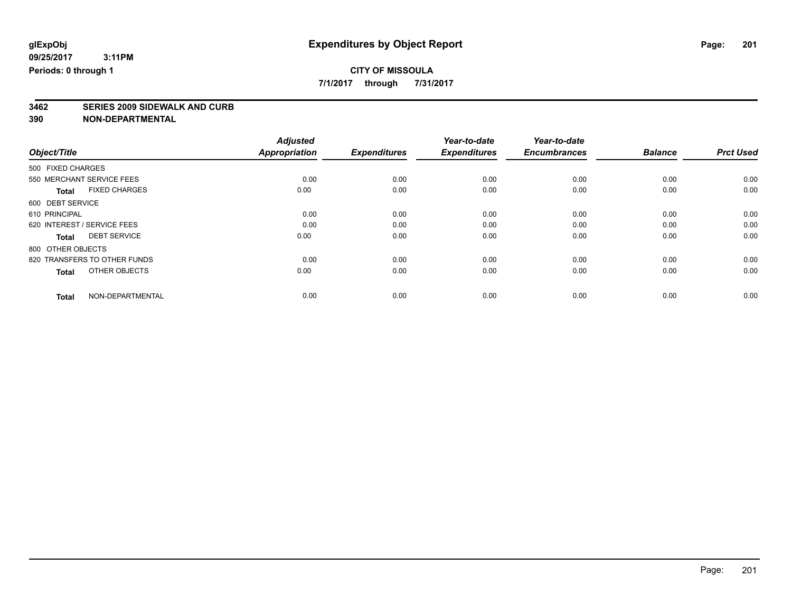**7/1/2017 through 7/31/2017**

# **3462 SERIES 2009 SIDEWALK AND CURB**

|                                      | <b>Adjusted</b>      |                     | Year-to-date        | Year-to-date        |                |                  |
|--------------------------------------|----------------------|---------------------|---------------------|---------------------|----------------|------------------|
| Object/Title                         | <b>Appropriation</b> | <b>Expenditures</b> | <b>Expenditures</b> | <b>Encumbrances</b> | <b>Balance</b> | <b>Prct Used</b> |
| 500 FIXED CHARGES                    |                      |                     |                     |                     |                |                  |
| 550 MERCHANT SERVICE FEES            | 0.00                 | 0.00                | 0.00                | 0.00                | 0.00           | 0.00             |
| <b>FIXED CHARGES</b><br><b>Total</b> | 0.00                 | 0.00                | 0.00                | 0.00                | 0.00           | 0.00             |
| 600 DEBT SERVICE                     |                      |                     |                     |                     |                |                  |
| 610 PRINCIPAL                        | 0.00                 | 0.00                | 0.00                | 0.00                | 0.00           | 0.00             |
| 620 INTEREST / SERVICE FEES          | 0.00                 | 0.00                | 0.00                | 0.00                | 0.00           | 0.00             |
| <b>DEBT SERVICE</b><br><b>Total</b>  | 0.00                 | 0.00                | 0.00                | 0.00                | 0.00           | 0.00             |
| 800 OTHER OBJECTS                    |                      |                     |                     |                     |                |                  |
| 820 TRANSFERS TO OTHER FUNDS         | 0.00                 | 0.00                | 0.00                | 0.00                | 0.00           | 0.00             |
| OTHER OBJECTS<br><b>Total</b>        | 0.00                 | 0.00                | 0.00                | 0.00                | 0.00           | 0.00             |
|                                      |                      |                     |                     |                     |                |                  |
| NON-DEPARTMENTAL<br><b>Total</b>     | 0.00                 | 0.00                | 0.00                | 0.00                | 0.00           | 0.00             |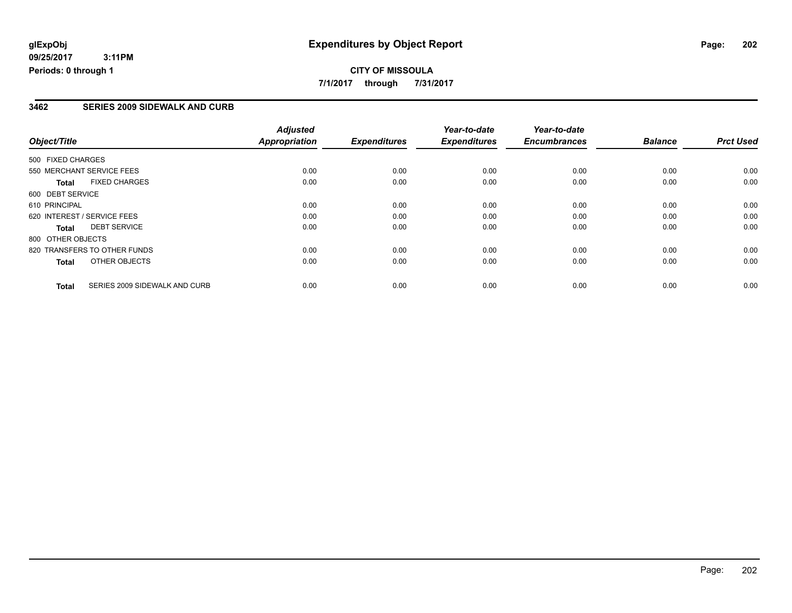## **CITY OF MISSOULA 7/1/2017 through 7/31/2017**

### **3462 SERIES 2009 SIDEWALK AND CURB**

|                   |                               | <b>Adjusted</b>      |                     | Year-to-date        | Year-to-date        |                |                  |
|-------------------|-------------------------------|----------------------|---------------------|---------------------|---------------------|----------------|------------------|
| Object/Title      |                               | <b>Appropriation</b> | <b>Expenditures</b> | <b>Expenditures</b> | <b>Encumbrances</b> | <b>Balance</b> | <b>Prct Used</b> |
| 500 FIXED CHARGES |                               |                      |                     |                     |                     |                |                  |
|                   | 550 MERCHANT SERVICE FEES     | 0.00                 | 0.00                | 0.00                | 0.00                | 0.00           | 0.00             |
| <b>Total</b>      | <b>FIXED CHARGES</b>          | 0.00                 | 0.00                | 0.00                | 0.00                | 0.00           | 0.00             |
| 600 DEBT SERVICE  |                               |                      |                     |                     |                     |                |                  |
| 610 PRINCIPAL     |                               | 0.00                 | 0.00                | 0.00                | 0.00                | 0.00           | 0.00             |
|                   | 620 INTEREST / SERVICE FEES   | 0.00                 | 0.00                | 0.00                | 0.00                | 0.00           | 0.00             |
| Total             | <b>DEBT SERVICE</b>           | 0.00                 | 0.00                | 0.00                | 0.00                | 0.00           | 0.00             |
| 800 OTHER OBJECTS |                               |                      |                     |                     |                     |                |                  |
|                   | 820 TRANSFERS TO OTHER FUNDS  | 0.00                 | 0.00                | 0.00                | 0.00                | 0.00           | 0.00             |
| <b>Total</b>      | OTHER OBJECTS                 | 0.00                 | 0.00                | 0.00                | 0.00                | 0.00           | 0.00             |
| <b>Total</b>      | SERIES 2009 SIDEWALK AND CURB | 0.00                 | 0.00                | 0.00                | 0.00                | 0.00           | 0.00             |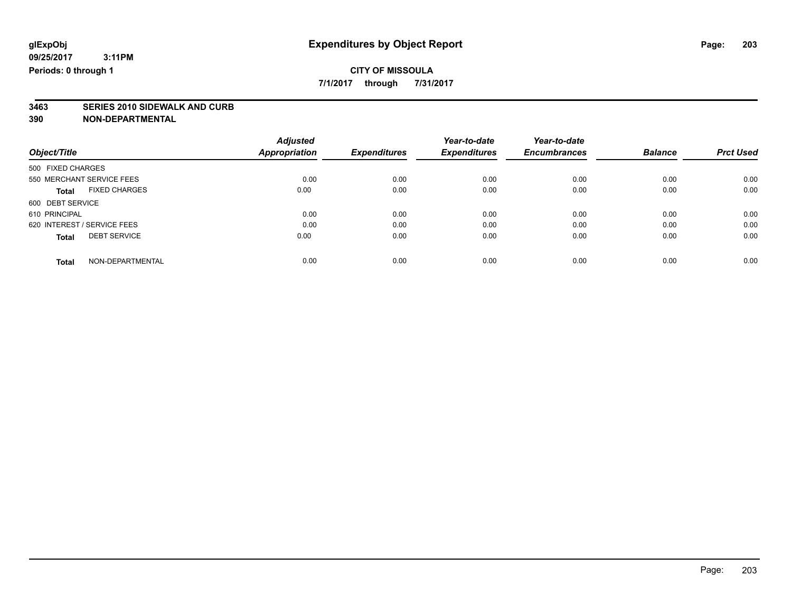**7/1/2017 through 7/31/2017**

# **3463 SERIES 2010 SIDEWALK AND CURB**

|                                      | <b>Adjusted</b>      |                     | Year-to-date        | Year-to-date        |                |                  |
|--------------------------------------|----------------------|---------------------|---------------------|---------------------|----------------|------------------|
| Object/Title                         | <b>Appropriation</b> | <b>Expenditures</b> | <b>Expenditures</b> | <b>Encumbrances</b> | <b>Balance</b> | <b>Prct Used</b> |
| 500 FIXED CHARGES                    |                      |                     |                     |                     |                |                  |
| 550 MERCHANT SERVICE FEES            | 0.00                 | 0.00                | 0.00                | 0.00                | 0.00           | 0.00             |
| <b>FIXED CHARGES</b><br><b>Total</b> | 0.00                 | 0.00                | 0.00                | 0.00                | 0.00           | 0.00             |
| 600 DEBT SERVICE                     |                      |                     |                     |                     |                |                  |
| 610 PRINCIPAL                        | 0.00                 | 0.00                | 0.00                | 0.00                | 0.00           | 0.00             |
| 620 INTEREST / SERVICE FEES          | 0.00                 | 0.00                | 0.00                | 0.00                | 0.00           | 0.00             |
| <b>DEBT SERVICE</b><br><b>Total</b>  | 0.00                 | 0.00                | 0.00                | 0.00                | 0.00           | 0.00             |
| NON-DEPARTMENTAL<br>Total            | 0.00                 | 0.00                | 0.00                | 0.00                | 0.00           | 0.00             |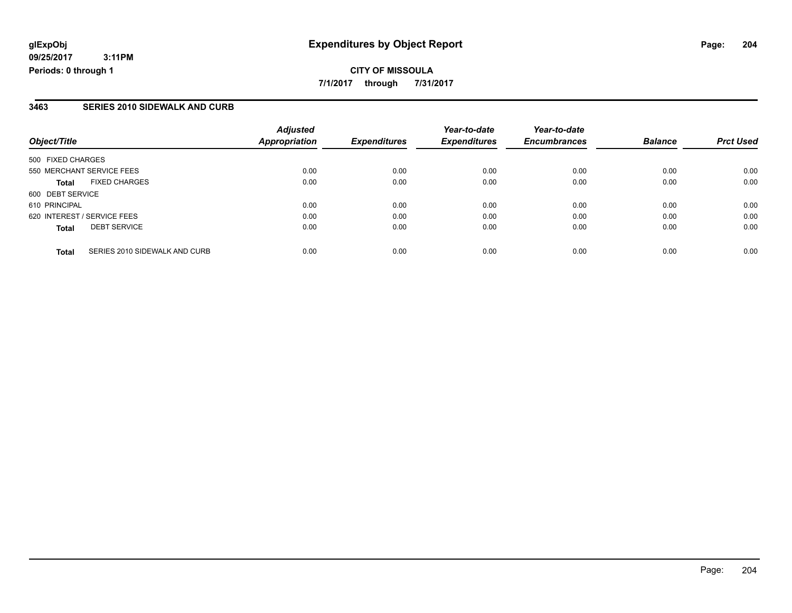**7/1/2017 through 7/31/2017**

### **3463 SERIES 2010 SIDEWALK AND CURB**

| Object/Title                                  | <b>Adjusted</b><br><b>Appropriation</b> | <b>Expenditures</b> | Year-to-date<br><b>Expenditures</b> | Year-to-date<br><b>Encumbrances</b> | <b>Balance</b> | <b>Prct Used</b> |
|-----------------------------------------------|-----------------------------------------|---------------------|-------------------------------------|-------------------------------------|----------------|------------------|
|                                               |                                         |                     |                                     |                                     |                |                  |
| 500 FIXED CHARGES                             |                                         |                     |                                     |                                     |                |                  |
| 550 MERCHANT SERVICE FEES                     | 0.00                                    | 0.00                | 0.00                                | 0.00                                | 0.00           | 0.00             |
| <b>FIXED CHARGES</b><br>Total                 | 0.00                                    | 0.00                | 0.00                                | 0.00                                | 0.00           | 0.00             |
| 600 DEBT SERVICE                              |                                         |                     |                                     |                                     |                |                  |
| 610 PRINCIPAL                                 | 0.00                                    | 0.00                | 0.00                                | 0.00                                | 0.00           | 0.00             |
| 620 INTEREST / SERVICE FEES                   | 0.00                                    | 0.00                | 0.00                                | 0.00                                | 0.00           | 0.00             |
| <b>DEBT SERVICE</b><br><b>Total</b>           | 0.00                                    | 0.00                | 0.00                                | 0.00                                | 0.00           | 0.00             |
|                                               |                                         |                     |                                     |                                     |                |                  |
| SERIES 2010 SIDEWALK AND CURB<br><b>Total</b> | 0.00                                    | 0.00                | 0.00                                | 0.00                                | 0.00           | 0.00             |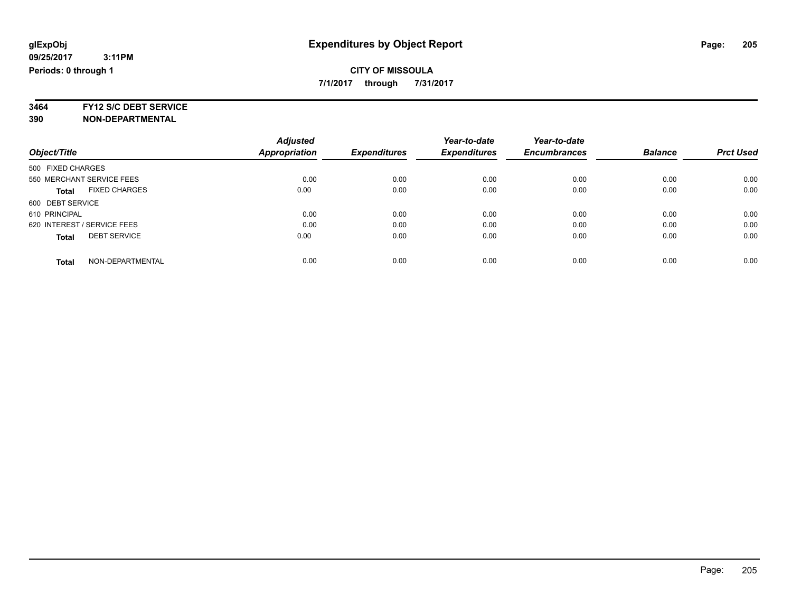**7/1/2017 through 7/31/2017**

**3464 FY12 S/C DEBT SERVICE**

|                                      | <b>Adjusted</b>      |                     | Year-to-date        | Year-to-date        |                |                  |
|--------------------------------------|----------------------|---------------------|---------------------|---------------------|----------------|------------------|
| Object/Title                         | <b>Appropriation</b> | <b>Expenditures</b> | <b>Expenditures</b> | <b>Encumbrances</b> | <b>Balance</b> | <b>Prct Used</b> |
| 500 FIXED CHARGES                    |                      |                     |                     |                     |                |                  |
| 550 MERCHANT SERVICE FEES            | 0.00                 | 0.00                | 0.00                | 0.00                | 0.00           | 0.00             |
| <b>FIXED CHARGES</b><br><b>Total</b> | 0.00                 | 0.00                | 0.00                | 0.00                | 0.00           | 0.00             |
| 600 DEBT SERVICE                     |                      |                     |                     |                     |                |                  |
| 610 PRINCIPAL                        | 0.00                 | 0.00                | 0.00                | 0.00                | 0.00           | 0.00             |
| 620 INTEREST / SERVICE FEES          | 0.00                 | 0.00                | 0.00                | 0.00                | 0.00           | 0.00             |
| <b>DEBT SERVICE</b><br><b>Total</b>  | 0.00                 | 0.00                | 0.00                | 0.00                | 0.00           | 0.00             |
| NON-DEPARTMENTAL<br><b>Total</b>     | 0.00                 | 0.00                | 0.00                | 0.00                | 0.00           | 0.00             |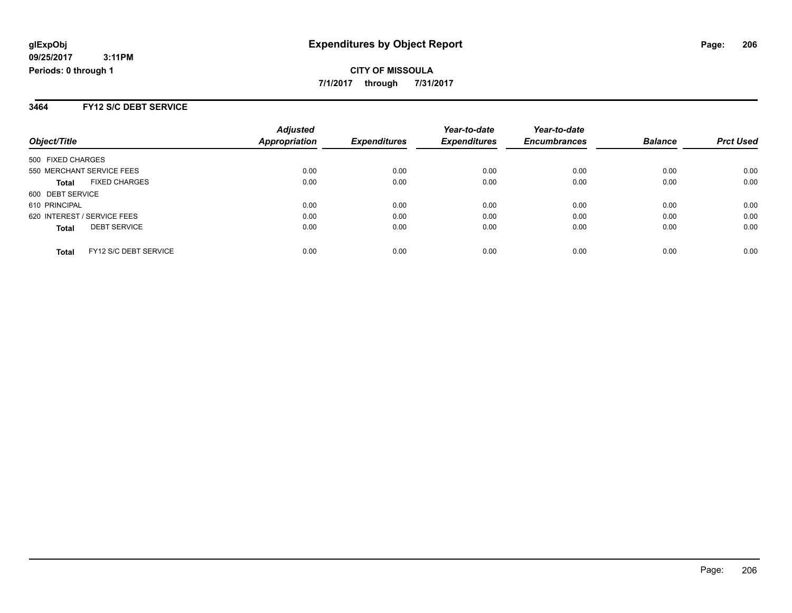**CITY OF MISSOULA 7/1/2017 through 7/31/2017**

#### **3464 FY12 S/C DEBT SERVICE**

| Object/Title                |                       | <b>Adjusted</b><br>Appropriation | <b>Expenditures</b> | Year-to-date<br><b>Expenditures</b> | Year-to-date<br><b>Encumbrances</b> | <b>Balance</b> | <b>Prct Used</b> |
|-----------------------------|-----------------------|----------------------------------|---------------------|-------------------------------------|-------------------------------------|----------------|------------------|
|                             |                       |                                  |                     |                                     |                                     |                |                  |
| 500 FIXED CHARGES           |                       |                                  |                     |                                     |                                     |                |                  |
| 550 MERCHANT SERVICE FEES   |                       | 0.00                             | 0.00                | 0.00                                | 0.00                                | 0.00           | 0.00             |
| <b>Total</b>                | <b>FIXED CHARGES</b>  | 0.00                             | 0.00                | 0.00                                | 0.00                                | 0.00           | 0.00             |
| 600 DEBT SERVICE            |                       |                                  |                     |                                     |                                     |                |                  |
| 610 PRINCIPAL               |                       | 0.00                             | 0.00                | 0.00                                | 0.00                                | 0.00           | 0.00             |
| 620 INTEREST / SERVICE FEES |                       | 0.00                             | 0.00                | 0.00                                | 0.00                                | 0.00           | 0.00             |
| <b>Total</b>                | <b>DEBT SERVICE</b>   | 0.00                             | 0.00                | 0.00                                | 0.00                                | 0.00           | 0.00             |
| Total                       | FY12 S/C DEBT SERVICE | 0.00                             | 0.00                | 0.00                                | 0.00                                | 0.00           | 0.00             |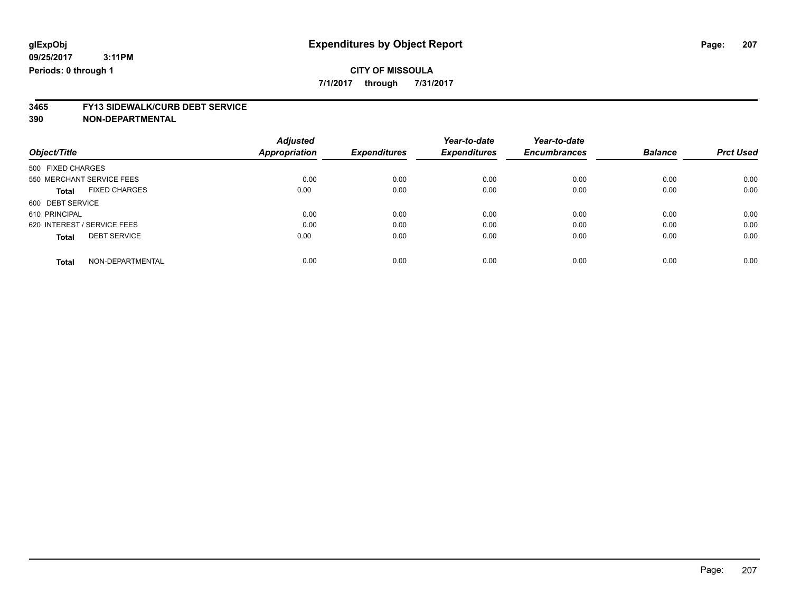**7/1/2017 through 7/31/2017**

# **3465 FY13 SIDEWALK/CURB DEBT SERVICE**

|                                      | <b>Adjusted</b>      |                     | Year-to-date        | Year-to-date        |                |                  |
|--------------------------------------|----------------------|---------------------|---------------------|---------------------|----------------|------------------|
| Object/Title                         | <b>Appropriation</b> | <b>Expenditures</b> | <b>Expenditures</b> | <b>Encumbrances</b> | <b>Balance</b> | <b>Prct Used</b> |
| 500 FIXED CHARGES                    |                      |                     |                     |                     |                |                  |
| 550 MERCHANT SERVICE FEES            | 0.00                 | 0.00                | 0.00                | 0.00                | 0.00           | 0.00             |
| <b>FIXED CHARGES</b><br><b>Total</b> | 0.00                 | 0.00                | 0.00                | 0.00                | 0.00           | 0.00             |
| 600 DEBT SERVICE                     |                      |                     |                     |                     |                |                  |
| 610 PRINCIPAL                        | 0.00                 | 0.00                | 0.00                | 0.00                | 0.00           | 0.00             |
| 620 INTEREST / SERVICE FEES          | 0.00                 | 0.00                | 0.00                | 0.00                | 0.00           | 0.00             |
| <b>DEBT SERVICE</b><br><b>Total</b>  | 0.00                 | 0.00                | 0.00                | 0.00                | 0.00           | 0.00             |
| NON-DEPARTMENTAL<br><b>Total</b>     | 0.00                 | 0.00                | 0.00                | 0.00                | 0.00           | 0.00             |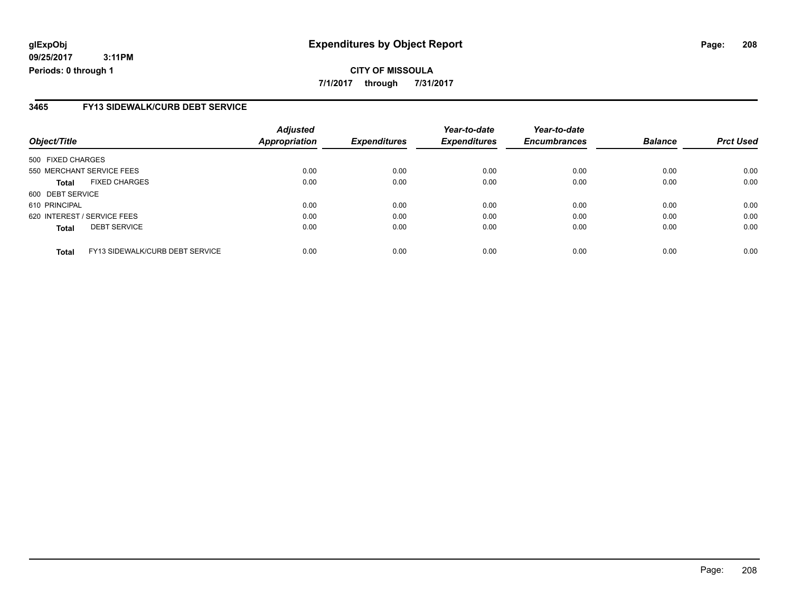### **3465 FY13 SIDEWALK/CURB DEBT SERVICE**

| Object/Title                |                                 | <b>Adjusted</b><br><b>Appropriation</b> | <b>Expenditures</b> | Year-to-date<br><b>Expenditures</b> | Year-to-date<br><b>Encumbrances</b> | <b>Balance</b> | <b>Prct Used</b> |
|-----------------------------|---------------------------------|-----------------------------------------|---------------------|-------------------------------------|-------------------------------------|----------------|------------------|
| 500 FIXED CHARGES           |                                 |                                         |                     |                                     |                                     |                |                  |
| 550 MERCHANT SERVICE FEES   |                                 | 0.00                                    | 0.00                | 0.00                                | 0.00                                | 0.00           | 0.00             |
| <b>Total</b>                | <b>FIXED CHARGES</b>            | 0.00                                    | 0.00                | 0.00                                | 0.00                                | 0.00           | 0.00             |
| 600 DEBT SERVICE            |                                 |                                         |                     |                                     |                                     |                |                  |
| 610 PRINCIPAL               |                                 | 0.00                                    | 0.00                | 0.00                                | 0.00                                | 0.00           | 0.00             |
| 620 INTEREST / SERVICE FEES |                                 | 0.00                                    | 0.00                | 0.00                                | 0.00                                | 0.00           | 0.00             |
| <b>Total</b>                | <b>DEBT SERVICE</b>             | 0.00                                    | 0.00                | 0.00                                | 0.00                                | 0.00           | 0.00             |
| <b>Total</b>                | FY13 SIDEWALK/CURB DEBT SERVICE | 0.00                                    | 0.00                | 0.00                                | 0.00                                | 0.00           | 0.00             |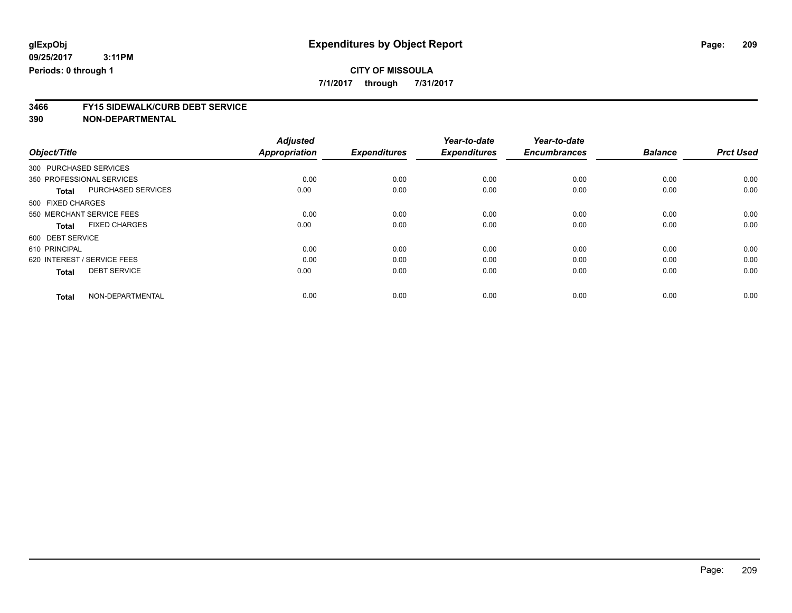**7/1/2017 through 7/31/2017**

# **3466 FY15 SIDEWALK/CURB DEBT SERVICE**

|                                      | <b>Adjusted</b>      |                     | Year-to-date        | Year-to-date        |                |                  |
|--------------------------------------|----------------------|---------------------|---------------------|---------------------|----------------|------------------|
| Object/Title                         | <b>Appropriation</b> | <b>Expenditures</b> | <b>Expenditures</b> | <b>Encumbrances</b> | <b>Balance</b> | <b>Prct Used</b> |
| 300 PURCHASED SERVICES               |                      |                     |                     |                     |                |                  |
| 350 PROFESSIONAL SERVICES            | 0.00                 | 0.00                | 0.00                | 0.00                | 0.00           | 0.00             |
| PURCHASED SERVICES<br><b>Total</b>   | 0.00                 | 0.00                | 0.00                | 0.00                | 0.00           | 0.00             |
| 500 FIXED CHARGES                    |                      |                     |                     |                     |                |                  |
| 550 MERCHANT SERVICE FEES            | 0.00                 | 0.00                | 0.00                | 0.00                | 0.00           | 0.00             |
| <b>FIXED CHARGES</b><br><b>Total</b> | 0.00                 | 0.00                | 0.00                | 0.00                | 0.00           | 0.00             |
| 600 DEBT SERVICE                     |                      |                     |                     |                     |                |                  |
| 610 PRINCIPAL                        | 0.00                 | 0.00                | 0.00                | 0.00                | 0.00           | 0.00             |
| 620 INTEREST / SERVICE FEES          | 0.00                 | 0.00                | 0.00                | 0.00                | 0.00           | 0.00             |
| <b>DEBT SERVICE</b><br><b>Total</b>  | 0.00                 | 0.00                | 0.00                | 0.00                | 0.00           | 0.00             |
|                                      |                      |                     |                     |                     |                |                  |
| NON-DEPARTMENTAL<br><b>Total</b>     | 0.00                 | 0.00                | 0.00                | 0.00                | 0.00           | 0.00             |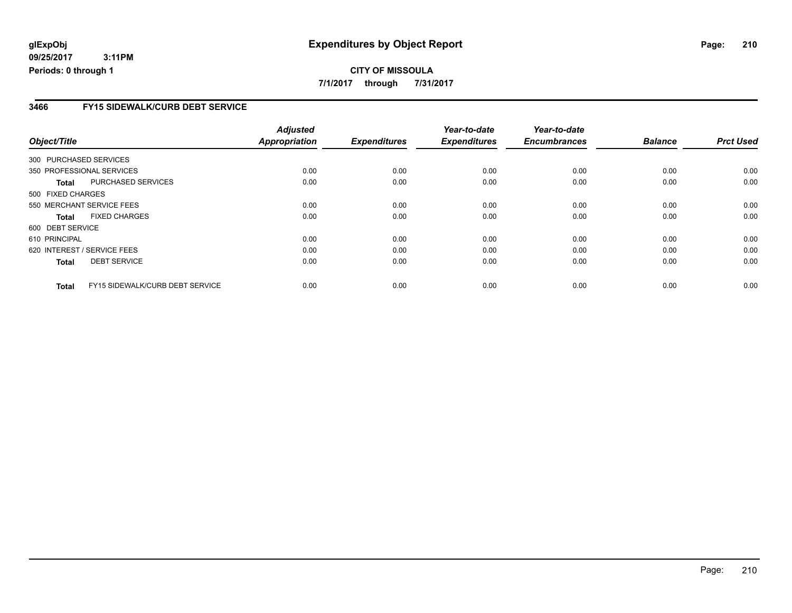### **3466 FY15 SIDEWALK/CURB DEBT SERVICE**

|                        |                                 | <b>Adjusted</b>      |                     | Year-to-date        | Year-to-date        |                |                  |
|------------------------|---------------------------------|----------------------|---------------------|---------------------|---------------------|----------------|------------------|
| Object/Title           |                                 | <b>Appropriation</b> | <b>Expenditures</b> | <b>Expenditures</b> | <b>Encumbrances</b> | <b>Balance</b> | <b>Prct Used</b> |
| 300 PURCHASED SERVICES |                                 |                      |                     |                     |                     |                |                  |
|                        | 350 PROFESSIONAL SERVICES       | 0.00                 | 0.00                | 0.00                | 0.00                | 0.00           | 0.00             |
| Total                  | PURCHASED SERVICES              | 0.00                 | 0.00                | 0.00                | 0.00                | 0.00           | 0.00             |
| 500 FIXED CHARGES      |                                 |                      |                     |                     |                     |                |                  |
|                        | 550 MERCHANT SERVICE FEES       | 0.00                 | 0.00                | 0.00                | 0.00                | 0.00           | 0.00             |
| <b>Total</b>           | <b>FIXED CHARGES</b>            | 0.00                 | 0.00                | 0.00                | 0.00                | 0.00           | 0.00             |
| 600 DEBT SERVICE       |                                 |                      |                     |                     |                     |                |                  |
| 610 PRINCIPAL          |                                 | 0.00                 | 0.00                | 0.00                | 0.00                | 0.00           | 0.00             |
|                        | 620 INTEREST / SERVICE FEES     | 0.00                 | 0.00                | 0.00                | 0.00                | 0.00           | 0.00             |
| <b>Total</b>           | <b>DEBT SERVICE</b>             | 0.00                 | 0.00                | 0.00                | 0.00                | 0.00           | 0.00             |
| <b>Total</b>           | FY15 SIDEWALK/CURB DEBT SERVICE | 0.00                 | 0.00                | 0.00                | 0.00                | 0.00           | 0.00             |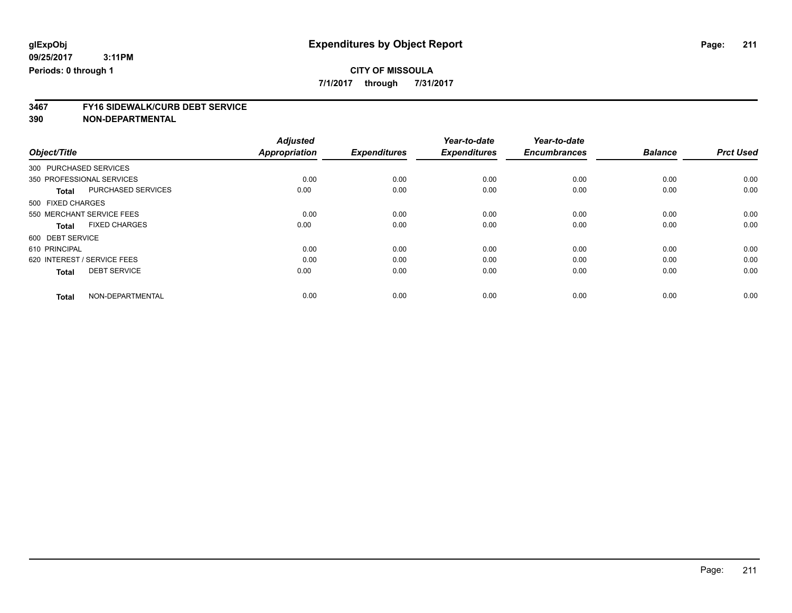**7/1/2017 through 7/31/2017**

# **3467 FY16 SIDEWALK/CURB DEBT SERVICE**

|                                      | <b>Adjusted</b>      |                     | Year-to-date        | Year-to-date        |                |                  |
|--------------------------------------|----------------------|---------------------|---------------------|---------------------|----------------|------------------|
| Object/Title                         | <b>Appropriation</b> | <b>Expenditures</b> | <b>Expenditures</b> | <b>Encumbrances</b> | <b>Balance</b> | <b>Prct Used</b> |
| 300 PURCHASED SERVICES               |                      |                     |                     |                     |                |                  |
| 350 PROFESSIONAL SERVICES            | 0.00                 | 0.00                | 0.00                | 0.00                | 0.00           | 0.00             |
| PURCHASED SERVICES<br><b>Total</b>   | 0.00                 | 0.00                | 0.00                | 0.00                | 0.00           | 0.00             |
| 500 FIXED CHARGES                    |                      |                     |                     |                     |                |                  |
| 550 MERCHANT SERVICE FEES            | 0.00                 | 0.00                | 0.00                | 0.00                | 0.00           | 0.00             |
| <b>FIXED CHARGES</b><br><b>Total</b> | 0.00                 | 0.00                | 0.00                | 0.00                | 0.00           | 0.00             |
| 600 DEBT SERVICE                     |                      |                     |                     |                     |                |                  |
| 610 PRINCIPAL                        | 0.00                 | 0.00                | 0.00                | 0.00                | 0.00           | 0.00             |
| 620 INTEREST / SERVICE FEES          | 0.00                 | 0.00                | 0.00                | 0.00                | 0.00           | 0.00             |
| <b>DEBT SERVICE</b><br><b>Total</b>  | 0.00                 | 0.00                | 0.00                | 0.00                | 0.00           | 0.00             |
|                                      |                      |                     |                     |                     |                |                  |
| NON-DEPARTMENTAL<br><b>Total</b>     | 0.00                 | 0.00                | 0.00                | 0.00                | 0.00           | 0.00             |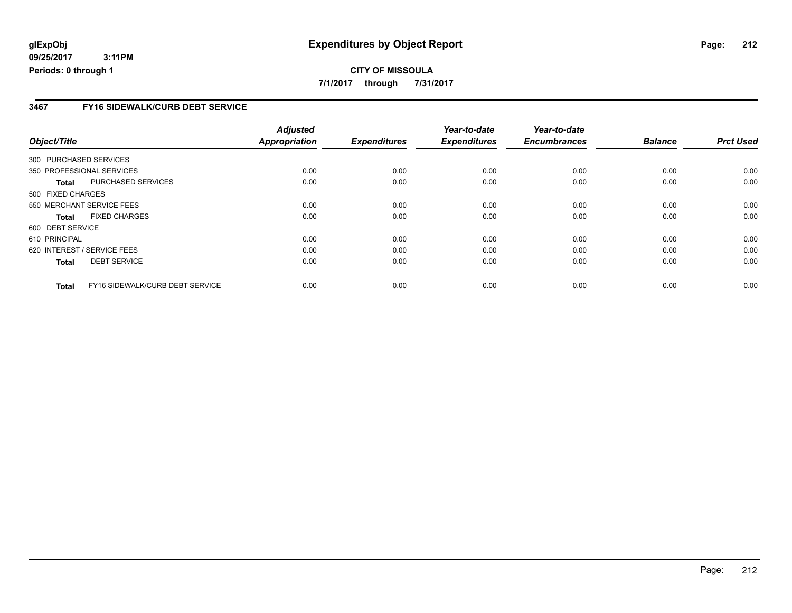### **3467 FY16 SIDEWALK/CURB DEBT SERVICE**

|                        |                                 | <b>Adjusted</b>      |                     | Year-to-date        | Year-to-date        |                |                  |
|------------------------|---------------------------------|----------------------|---------------------|---------------------|---------------------|----------------|------------------|
| Object/Title           |                                 | <b>Appropriation</b> | <b>Expenditures</b> | <b>Expenditures</b> | <b>Encumbrances</b> | <b>Balance</b> | <b>Prct Used</b> |
| 300 PURCHASED SERVICES |                                 |                      |                     |                     |                     |                |                  |
|                        | 350 PROFESSIONAL SERVICES       | 0.00                 | 0.00                | 0.00                | 0.00                | 0.00           | 0.00             |
| Total                  | PURCHASED SERVICES              | 0.00                 | 0.00                | 0.00                | 0.00                | 0.00           | 0.00             |
| 500 FIXED CHARGES      |                                 |                      |                     |                     |                     |                |                  |
|                        | 550 MERCHANT SERVICE FEES       | 0.00                 | 0.00                | 0.00                | 0.00                | 0.00           | 0.00             |
| <b>Total</b>           | <b>FIXED CHARGES</b>            | 0.00                 | 0.00                | 0.00                | 0.00                | 0.00           | 0.00             |
| 600 DEBT SERVICE       |                                 |                      |                     |                     |                     |                |                  |
| 610 PRINCIPAL          |                                 | 0.00                 | 0.00                | 0.00                | 0.00                | 0.00           | 0.00             |
|                        | 620 INTEREST / SERVICE FEES     | 0.00                 | 0.00                | 0.00                | 0.00                | 0.00           | 0.00             |
| <b>Total</b>           | <b>DEBT SERVICE</b>             | 0.00                 | 0.00                | 0.00                | 0.00                | 0.00           | 0.00             |
| <b>Total</b>           | FY16 SIDEWALK/CURB DEBT SERVICE | 0.00                 | 0.00                | 0.00                | 0.00                | 0.00           | 0.00             |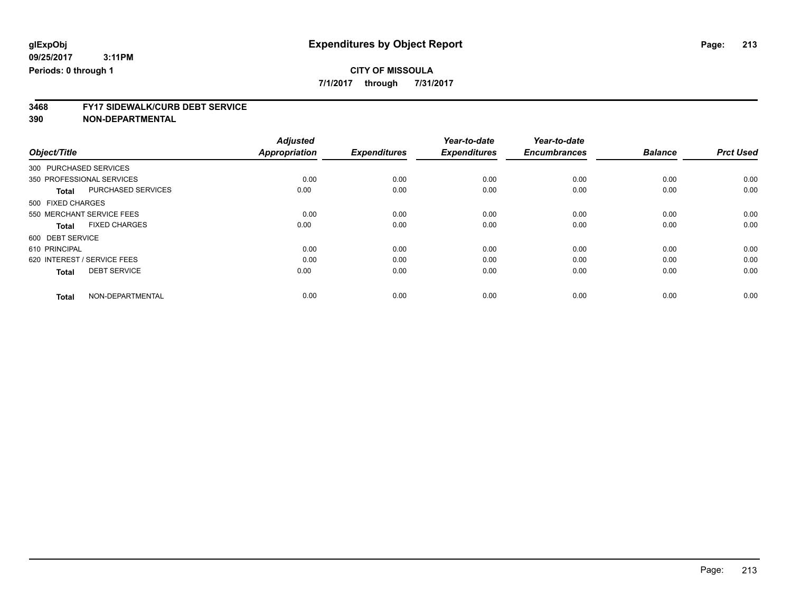**7/1/2017 through 7/31/2017**

# **3468 FY17 SIDEWALK/CURB DEBT SERVICE**

|                                      | <b>Adjusted</b>      |                     | Year-to-date        | Year-to-date        |                |                  |
|--------------------------------------|----------------------|---------------------|---------------------|---------------------|----------------|------------------|
| Object/Title                         | <b>Appropriation</b> | <b>Expenditures</b> | <b>Expenditures</b> | <b>Encumbrances</b> | <b>Balance</b> | <b>Prct Used</b> |
| 300 PURCHASED SERVICES               |                      |                     |                     |                     |                |                  |
| 350 PROFESSIONAL SERVICES            | 0.00                 | 0.00                | 0.00                | 0.00                | 0.00           | 0.00             |
| PURCHASED SERVICES<br><b>Total</b>   | 0.00                 | 0.00                | 0.00                | 0.00                | 0.00           | 0.00             |
| 500 FIXED CHARGES                    |                      |                     |                     |                     |                |                  |
| 550 MERCHANT SERVICE FEES            | 0.00                 | 0.00                | 0.00                | 0.00                | 0.00           | 0.00             |
| <b>FIXED CHARGES</b><br><b>Total</b> | 0.00                 | 0.00                | 0.00                | 0.00                | 0.00           | 0.00             |
| 600 DEBT SERVICE                     |                      |                     |                     |                     |                |                  |
| 610 PRINCIPAL                        | 0.00                 | 0.00                | 0.00                | 0.00                | 0.00           | 0.00             |
| 620 INTEREST / SERVICE FEES          | 0.00                 | 0.00                | 0.00                | 0.00                | 0.00           | 0.00             |
| <b>DEBT SERVICE</b><br><b>Total</b>  | 0.00                 | 0.00                | 0.00                | 0.00                | 0.00           | 0.00             |
|                                      |                      |                     |                     |                     |                |                  |
| NON-DEPARTMENTAL<br><b>Total</b>     | 0.00                 | 0.00                | 0.00                | 0.00                | 0.00           | 0.00             |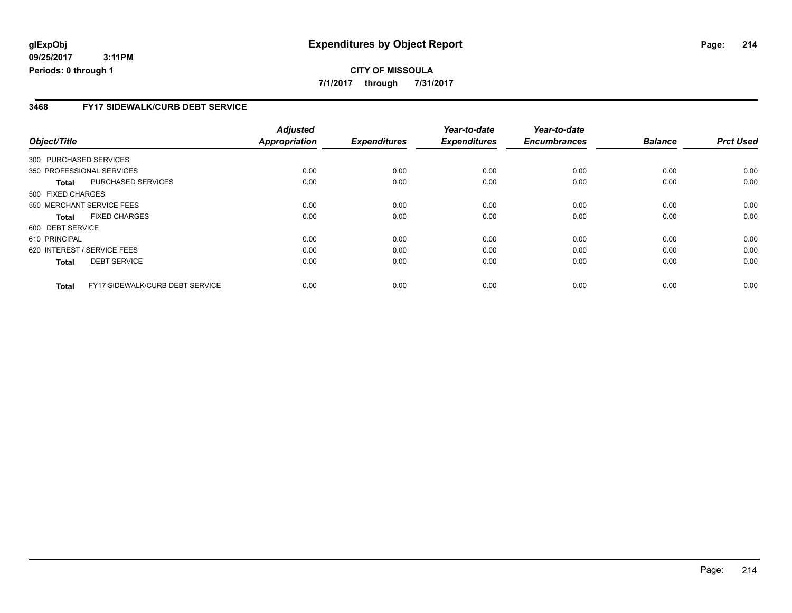### **3468 FY17 SIDEWALK/CURB DEBT SERVICE**

|                        |                                 | <b>Adjusted</b>      |                     | Year-to-date        | Year-to-date        |                |                  |
|------------------------|---------------------------------|----------------------|---------------------|---------------------|---------------------|----------------|------------------|
| Object/Title           |                                 | <b>Appropriation</b> | <b>Expenditures</b> | <b>Expenditures</b> | <b>Encumbrances</b> | <b>Balance</b> | <b>Prct Used</b> |
| 300 PURCHASED SERVICES |                                 |                      |                     |                     |                     |                |                  |
|                        | 350 PROFESSIONAL SERVICES       | 0.00                 | 0.00                | 0.00                | 0.00                | 0.00           | 0.00             |
| Total                  | PURCHASED SERVICES              | 0.00                 | 0.00                | 0.00                | 0.00                | 0.00           | 0.00             |
| 500 FIXED CHARGES      |                                 |                      |                     |                     |                     |                |                  |
|                        | 550 MERCHANT SERVICE FEES       | 0.00                 | 0.00                | 0.00                | 0.00                | 0.00           | 0.00             |
| <b>Total</b>           | <b>FIXED CHARGES</b>            | 0.00                 | 0.00                | 0.00                | 0.00                | 0.00           | 0.00             |
| 600 DEBT SERVICE       |                                 |                      |                     |                     |                     |                |                  |
| 610 PRINCIPAL          |                                 | 0.00                 | 0.00                | 0.00                | 0.00                | 0.00           | 0.00             |
|                        | 620 INTEREST / SERVICE FEES     | 0.00                 | 0.00                | 0.00                | 0.00                | 0.00           | 0.00             |
| <b>Total</b>           | <b>DEBT SERVICE</b>             | 0.00                 | 0.00                | 0.00                | 0.00                | 0.00           | 0.00             |
| <b>Total</b>           | FY17 SIDEWALK/CURB DEBT SERVICE | 0.00                 | 0.00                | 0.00                | 0.00                | 0.00           | 0.00             |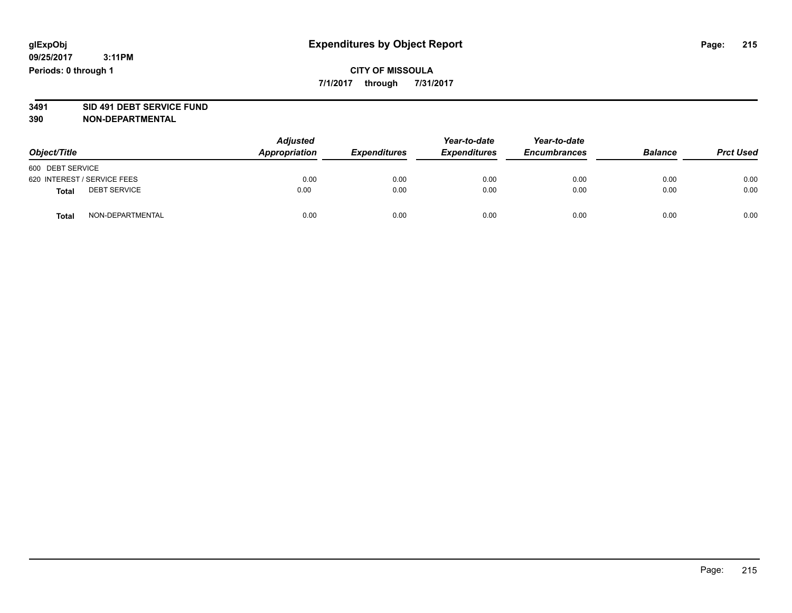### **CITY OF MISSOULA 7/1/2017 through 7/31/2017**

# **3491 SID 491 DEBT SERVICE FUND**

| Object/Title                 | <b>Adjusted</b><br>Appropriation | <b>Expenditures</b> | Year-to-date<br><b>Expenditures</b> | Year-to-date<br><b>Encumbrances</b> | <b>Balance</b> | <b>Prct Used</b> |
|------------------------------|----------------------------------|---------------------|-------------------------------------|-------------------------------------|----------------|------------------|
| 600 DEBT SERVICE             |                                  |                     |                                     |                                     |                |                  |
| 620 INTEREST / SERVICE FEES  | 0.00                             | 0.00                | 0.00                                | 0.00                                | 0.00           | 0.00             |
| <b>DEBT SERVICE</b><br>Total | 0.00                             | 0.00                | 0.00                                | 0.00                                | 0.00           | 0.00             |
| NON-DEPARTMENTAL<br>Total    | 0.00                             | 0.00                | 0.00                                | 0.00                                | 0.00           | 0.00             |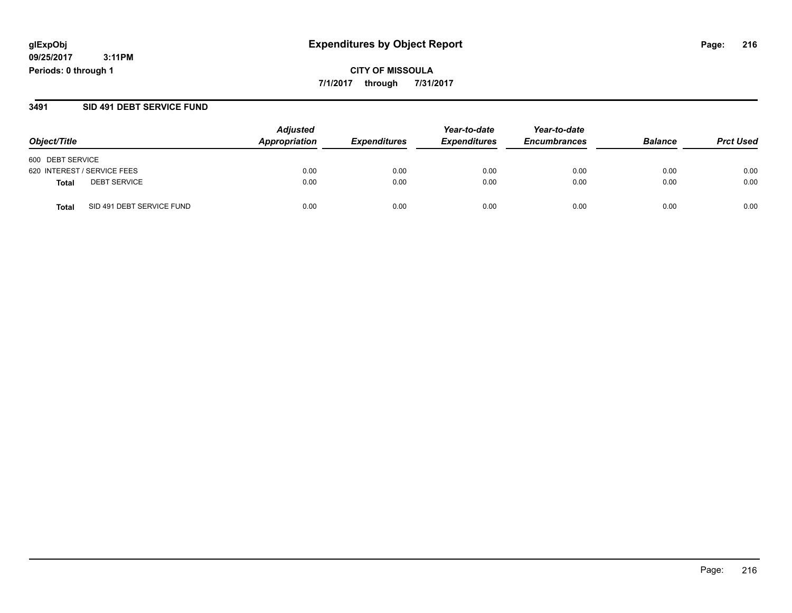**CITY OF MISSOULA 7/1/2017 through 7/31/2017**

#### **3491 SID 491 DEBT SERVICE FUND**

| Object/Title                       | <b>Adjusted</b><br>Appropriation | <b>Expenditures</b> | Year-to-date<br><b>Expenditures</b> | Year-to-date<br><b>Encumbrances</b> | <b>Balance</b> | <b>Prct Used</b> |
|------------------------------------|----------------------------------|---------------------|-------------------------------------|-------------------------------------|----------------|------------------|
|                                    |                                  |                     |                                     |                                     |                |                  |
| 600 DEBT SERVICE                   |                                  |                     |                                     |                                     |                |                  |
| 620 INTEREST / SERVICE FEES        | 0.00                             | 0.00                | 0.00                                | 0.00                                | 0.00           | 0.00             |
| <b>DEBT SERVICE</b><br>Total       | 0.00                             | 0.00                | 0.00                                | 0.00                                | 0.00           | 0.00             |
| SID 491 DEBT SERVICE FUND<br>Total | 0.00                             | 0.00                | 0.00                                | 0.00                                | 0.00           | 0.00             |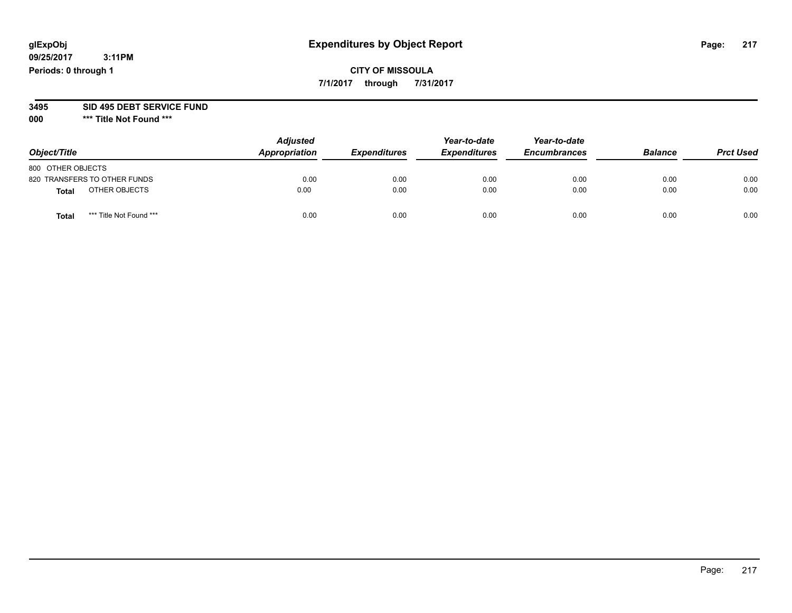**09/25/2017 3:11PM Periods: 0 through 1**

**CITY OF MISSOULA 7/1/2017 through 7/31/2017**

**3495 SID 495 DEBT SERVICE FUND**

| Object/Title                            | <b>Adjusted</b><br>Appropriation | <b>Expenditures</b> | Year-to-date<br><b>Expenditures</b> | Year-to-date<br><b>Encumbrances</b> | <b>Balance</b> | <b>Prct Used</b> |
|-----------------------------------------|----------------------------------|---------------------|-------------------------------------|-------------------------------------|----------------|------------------|
| 800 OTHER OBJECTS                       |                                  |                     |                                     |                                     |                |                  |
| 820 TRANSFERS TO OTHER FUNDS            | 0.00                             | 0.00                | 0.00                                | 0.00                                | 0.00           | 0.00             |
| OTHER OBJECTS<br><b>Total</b>           | 0.00                             | 0.00                | 0.00                                | 0.00                                | 0.00           | 0.00             |
| *** Title Not Found ***<br><b>Total</b> | 0.00                             | 0.00                | 0.00                                | 0.00                                | 0.00           | 0.00             |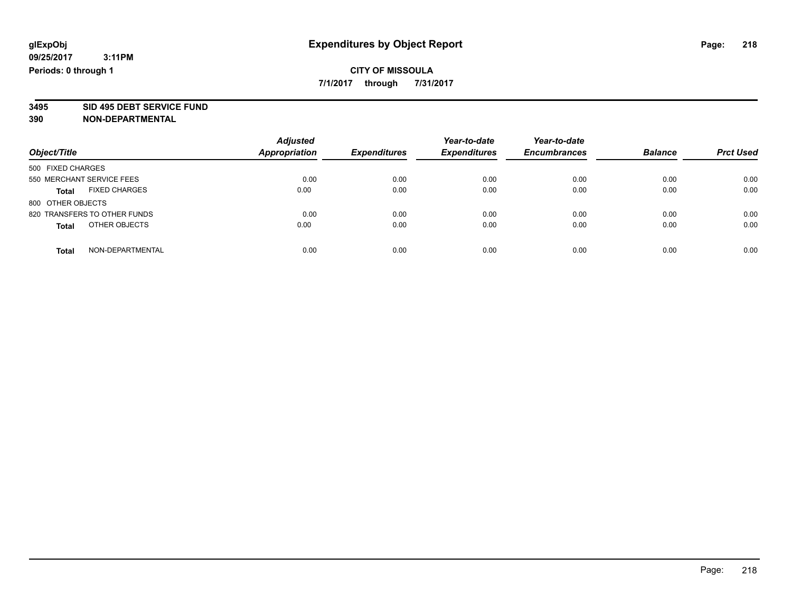**7/1/2017 through 7/31/2017**

# **3495 SID 495 DEBT SERVICE FUND**

| Object/Title                         | <b>Adjusted</b><br><b>Appropriation</b> | <b>Expenditures</b> | Year-to-date<br><b>Expenditures</b> | Year-to-date<br><b>Encumbrances</b> | <b>Balance</b> | <b>Prct Used</b> |
|--------------------------------------|-----------------------------------------|---------------------|-------------------------------------|-------------------------------------|----------------|------------------|
|                                      |                                         |                     |                                     |                                     |                |                  |
| 500 FIXED CHARGES                    |                                         |                     |                                     |                                     |                |                  |
| 550 MERCHANT SERVICE FEES            | 0.00                                    | 0.00                | 0.00                                | 0.00                                | 0.00           | 0.00             |
| <b>FIXED CHARGES</b><br><b>Total</b> | 0.00                                    | 0.00                | 0.00                                | 0.00                                | 0.00           | 0.00             |
| 800 OTHER OBJECTS                    |                                         |                     |                                     |                                     |                |                  |
| 820 TRANSFERS TO OTHER FUNDS         | 0.00                                    | 0.00                | 0.00                                | 0.00                                | 0.00           | 0.00             |
| OTHER OBJECTS<br><b>Total</b>        | 0.00                                    | 0.00                | 0.00                                | 0.00                                | 0.00           | 0.00             |
| NON-DEPARTMENTAL<br><b>Total</b>     | 0.00                                    | 0.00                | 0.00                                | 0.00                                | 0.00           | 0.00             |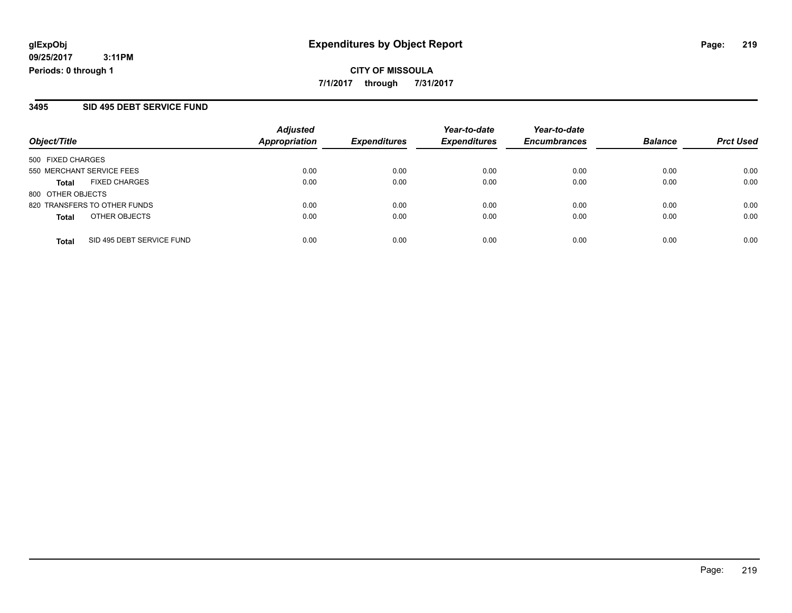**CITY OF MISSOULA 7/1/2017 through 7/31/2017**

#### **3495 SID 495 DEBT SERVICE FUND**

|                              | <b>Adjusted</b>   |               | Year-to-date        | Year-to-date        |                     | <b>Prct Used</b> |
|------------------------------|-------------------|---------------|---------------------|---------------------|---------------------|------------------|
|                              |                   |               |                     |                     |                     |                  |
|                              |                   |               |                     |                     |                     |                  |
| 550 MERCHANT SERVICE FEES    | 0.00              | 0.00          | 0.00                | 0.00                | 0.00                | 0.00             |
| <b>FIXED CHARGES</b>         | 0.00              | 0.00          | 0.00                | 0.00                | 0.00                | 0.00             |
| 800 OTHER OBJECTS            |                   |               |                     |                     |                     |                  |
| 820 TRANSFERS TO OTHER FUNDS | 0.00              | 0.00          | 0.00                | 0.00                | 0.00                | 0.00             |
| OTHER OBJECTS                | 0.00              | 0.00          | 0.00                | 0.00                | 0.00                | 0.00             |
| SID 495 DEBT SERVICE FUND    | 0.00              | 0.00          | 0.00                | 0.00                | 0.00                | 0.00             |
|                              | 500 FIXED CHARGES | Appropriation | <b>Expenditures</b> | <b>Expenditures</b> | <b>Encumbrances</b> | <b>Balance</b>   |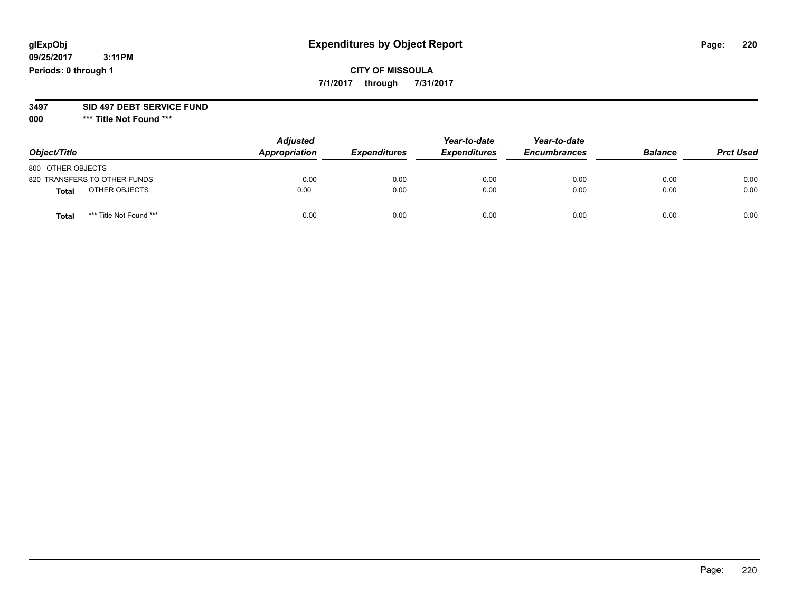**09/25/2017 3:11PM Periods: 0 through 1**

**CITY OF MISSOULA 7/1/2017 through 7/31/2017**

**3497 SID 497 DEBT SERVICE FUND**

| Object/Title                     | <b>Adjusted</b><br>Appropriation | <b>Expenditures</b> | Year-to-date<br><b>Expenditures</b> | Year-to-date<br><b>Encumbrances</b> | <b>Balance</b> | <b>Prct Used</b> |
|----------------------------------|----------------------------------|---------------------|-------------------------------------|-------------------------------------|----------------|------------------|
| 800 OTHER OBJECTS                |                                  |                     |                                     |                                     |                |                  |
| 820 TRANSFERS TO OTHER FUNDS     | 0.00                             | 0.00                | 0.00                                | 0.00                                | 0.00           | 0.00             |
| OTHER OBJECTS<br>Total           | 0.00                             | 0.00                | 0.00                                | 0.00                                | 0.00           | 0.00             |
| *** Title Not Found ***<br>Total | 0.00                             | 0.00                | 0.00                                | 0.00                                | 0.00           | 0.00             |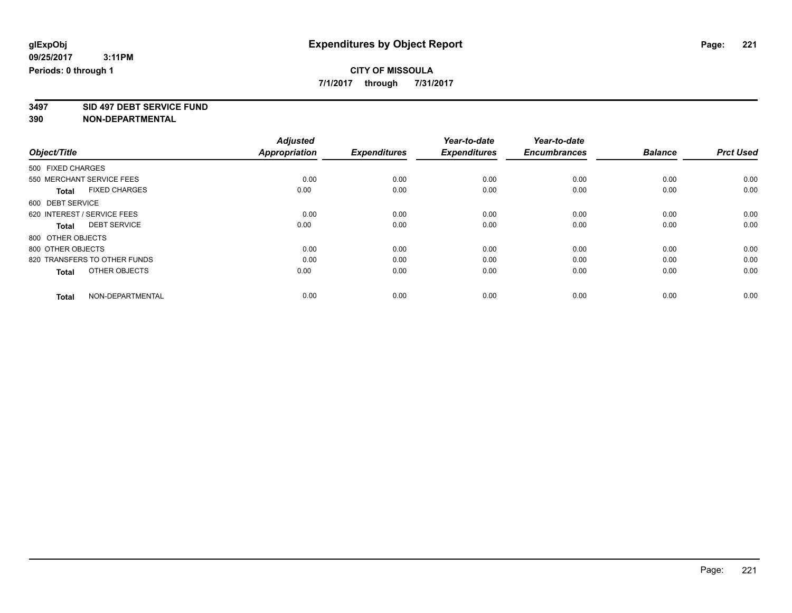**7/1/2017 through 7/31/2017**

**3497 SID 497 DEBT SERVICE FUND**

|                                      | <b>Adjusted</b>      |                     | Year-to-date        | Year-to-date        |                |                  |
|--------------------------------------|----------------------|---------------------|---------------------|---------------------|----------------|------------------|
| Object/Title                         | <b>Appropriation</b> | <b>Expenditures</b> | <b>Expenditures</b> | <b>Encumbrances</b> | <b>Balance</b> | <b>Prct Used</b> |
| 500 FIXED CHARGES                    |                      |                     |                     |                     |                |                  |
| 550 MERCHANT SERVICE FEES            | 0.00                 | 0.00                | 0.00                | 0.00                | 0.00           | 0.00             |
| <b>FIXED CHARGES</b><br><b>Total</b> | 0.00                 | 0.00                | 0.00                | 0.00                | 0.00           | 0.00             |
| 600 DEBT SERVICE                     |                      |                     |                     |                     |                |                  |
| 620 INTEREST / SERVICE FEES          | 0.00                 | 0.00                | 0.00                | 0.00                | 0.00           | 0.00             |
| <b>DEBT SERVICE</b><br><b>Total</b>  | 0.00                 | 0.00                | 0.00                | 0.00                | 0.00           | 0.00             |
| 800 OTHER OBJECTS                    |                      |                     |                     |                     |                |                  |
| 800 OTHER OBJECTS                    | 0.00                 | 0.00                | 0.00                | 0.00                | 0.00           | 0.00             |
| 820 TRANSFERS TO OTHER FUNDS         | 0.00                 | 0.00                | 0.00                | 0.00                | 0.00           | 0.00             |
| OTHER OBJECTS<br><b>Total</b>        | 0.00                 | 0.00                | 0.00                | 0.00                | 0.00           | 0.00             |
|                                      |                      |                     |                     |                     |                |                  |
| NON-DEPARTMENTAL<br><b>Total</b>     | 0.00                 | 0.00                | 0.00                | 0.00                | 0.00           | 0.00             |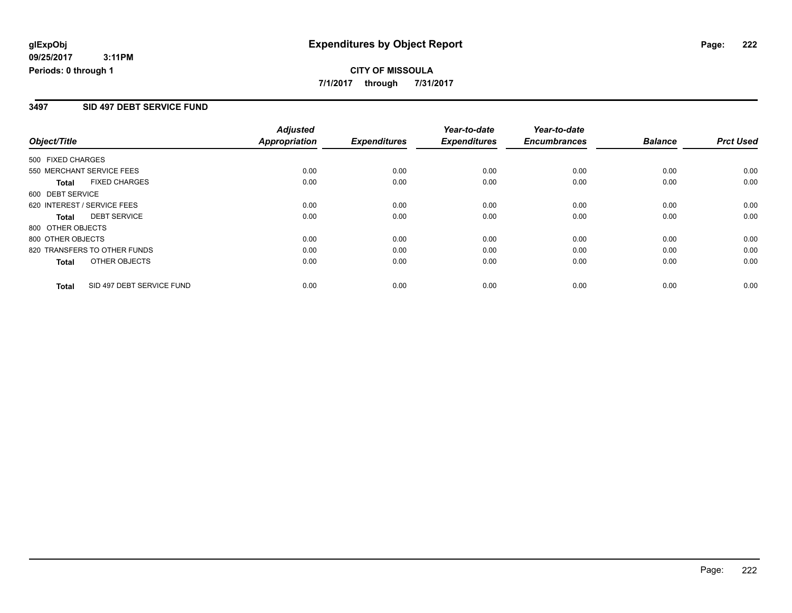## **CITY OF MISSOULA 7/1/2017 through 7/31/2017**

### **3497 SID 497 DEBT SERVICE FUND**

|                              |                           | <b>Adjusted</b>      |                     | Year-to-date        | Year-to-date        |                |                  |
|------------------------------|---------------------------|----------------------|---------------------|---------------------|---------------------|----------------|------------------|
| Object/Title                 |                           | <b>Appropriation</b> | <b>Expenditures</b> | <b>Expenditures</b> | <b>Encumbrances</b> | <b>Balance</b> | <b>Prct Used</b> |
| 500 FIXED CHARGES            |                           |                      |                     |                     |                     |                |                  |
| 550 MERCHANT SERVICE FEES    |                           | 0.00                 | 0.00                | 0.00                | 0.00                | 0.00           | 0.00             |
| <b>Total</b>                 | <b>FIXED CHARGES</b>      | 0.00                 | 0.00                | 0.00                | 0.00                | 0.00           | 0.00             |
| 600 DEBT SERVICE             |                           |                      |                     |                     |                     |                |                  |
| 620 INTEREST / SERVICE FEES  |                           | 0.00                 | 0.00                | 0.00                | 0.00                | 0.00           | 0.00             |
| Total                        | <b>DEBT SERVICE</b>       | 0.00                 | 0.00                | 0.00                | 0.00                | 0.00           | 0.00             |
| 800 OTHER OBJECTS            |                           |                      |                     |                     |                     |                |                  |
| 800 OTHER OBJECTS            |                           | 0.00                 | 0.00                | 0.00                | 0.00                | 0.00           | 0.00             |
| 820 TRANSFERS TO OTHER FUNDS |                           | 0.00                 | 0.00                | 0.00                | 0.00                | 0.00           | 0.00             |
| <b>Total</b>                 | OTHER OBJECTS             | 0.00                 | 0.00                | 0.00                | 0.00                | 0.00           | 0.00             |
| <b>Total</b>                 | SID 497 DEBT SERVICE FUND | 0.00                 | 0.00                | 0.00                | 0.00                | 0.00           | 0.00             |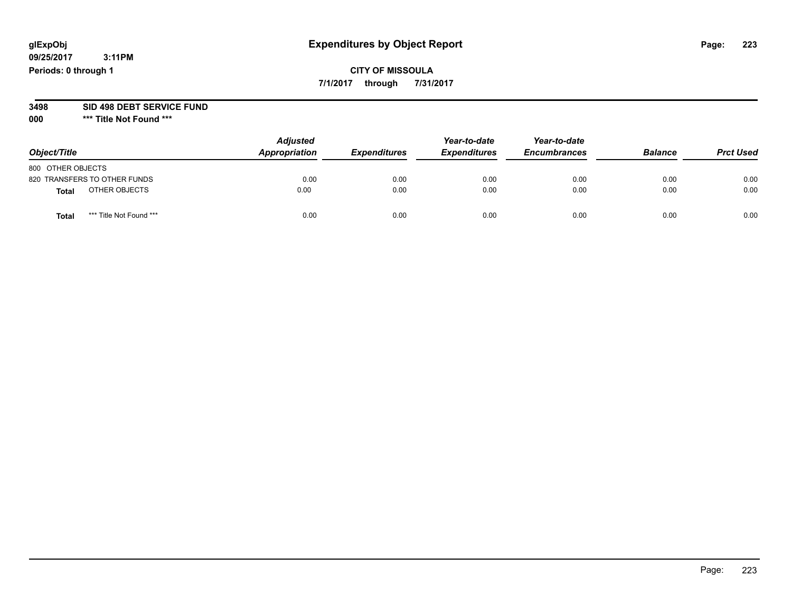**09/25/2017 3:11PM Periods: 0 through 1**

### **CITY OF MISSOULA 7/1/2017 through 7/31/2017**

**3498 SID 498 DEBT SERVICE FUND**

| Object/Title                            | <b>Adjusted</b><br>Appropriation | <b>Expenditures</b> | Year-to-date<br><b>Expenditures</b> | Year-to-date<br><b>Encumbrances</b> | <b>Balance</b> | <b>Prct Used</b> |
|-----------------------------------------|----------------------------------|---------------------|-------------------------------------|-------------------------------------|----------------|------------------|
| 800 OTHER OBJECTS                       |                                  |                     |                                     |                                     |                |                  |
| 820 TRANSFERS TO OTHER FUNDS            | 0.00                             | 0.00                | 0.00                                | 0.00                                | 0.00           | 0.00             |
| OTHER OBJECTS<br><b>Total</b>           | 0.00                             | 0.00                | 0.00                                | 0.00                                | 0.00           | 0.00             |
| *** Title Not Found ***<br><b>Total</b> | 0.00                             | 0.00                | 0.00                                | 0.00                                | 0.00           | 0.00             |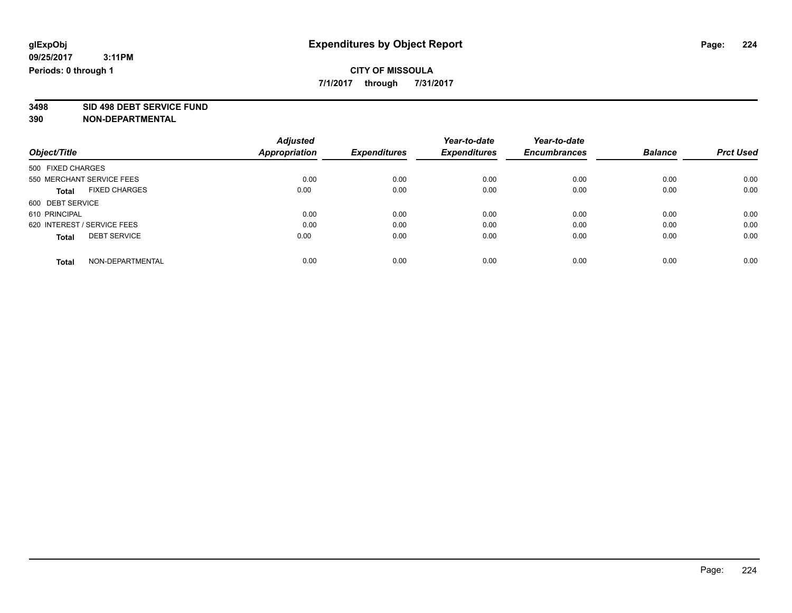**7/1/2017 through 7/31/2017**

**3498 SID 498 DEBT SERVICE FUND**

|                                      | <b>Adjusted</b>      |                     | Year-to-date        | Year-to-date        |                |                  |
|--------------------------------------|----------------------|---------------------|---------------------|---------------------|----------------|------------------|
| Object/Title                         | <b>Appropriation</b> | <b>Expenditures</b> | <b>Expenditures</b> | <b>Encumbrances</b> | <b>Balance</b> | <b>Prct Used</b> |
| 500 FIXED CHARGES                    |                      |                     |                     |                     |                |                  |
| 550 MERCHANT SERVICE FEES            | 0.00                 | 0.00                | 0.00                | 0.00                | 0.00           | 0.00             |
| <b>FIXED CHARGES</b><br><b>Total</b> | 0.00                 | 0.00                | 0.00                | 0.00                | 0.00           | 0.00             |
| 600 DEBT SERVICE                     |                      |                     |                     |                     |                |                  |
| 610 PRINCIPAL                        | 0.00                 | 0.00                | 0.00                | 0.00                | 0.00           | 0.00             |
| 620 INTEREST / SERVICE FEES          | 0.00                 | 0.00                | 0.00                | 0.00                | 0.00           | 0.00             |
| <b>DEBT SERVICE</b><br><b>Total</b>  | 0.00                 | 0.00                | 0.00                | 0.00                | 0.00           | 0.00             |
| NON-DEPARTMENTAL<br><b>Total</b>     | 0.00                 | 0.00                | 0.00                | 0.00                | 0.00           | 0.00             |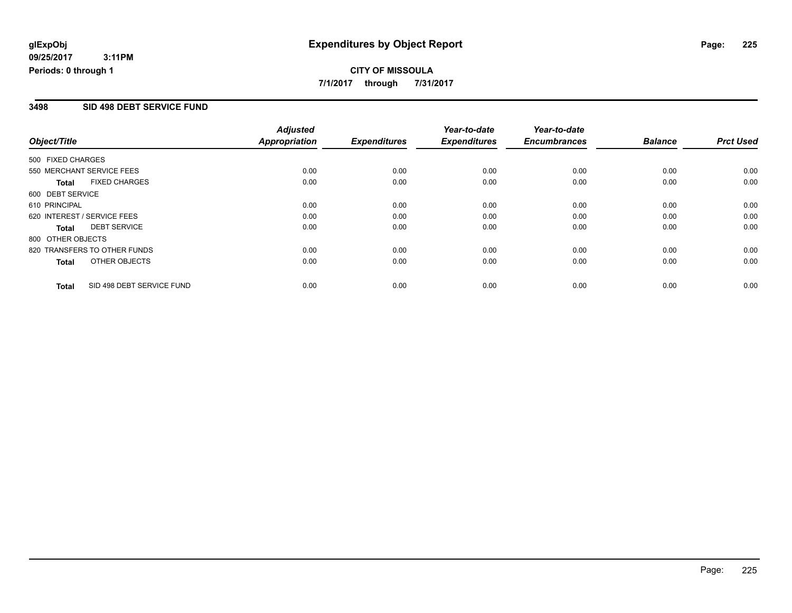### **CITY OF MISSOULA 7/1/2017 through 7/31/2017**

#### **3498 SID 498 DEBT SERVICE FUND**

|                   |                              | <b>Adjusted</b>      |                     | Year-to-date        | Year-to-date        |                |                  |
|-------------------|------------------------------|----------------------|---------------------|---------------------|---------------------|----------------|------------------|
| Object/Title      |                              | <b>Appropriation</b> | <b>Expenditures</b> | <b>Expenditures</b> | <b>Encumbrances</b> | <b>Balance</b> | <b>Prct Used</b> |
| 500 FIXED CHARGES |                              |                      |                     |                     |                     |                |                  |
|                   | 550 MERCHANT SERVICE FEES    | 0.00                 | 0.00                | 0.00                | 0.00                | 0.00           | 0.00             |
| <b>Total</b>      | <b>FIXED CHARGES</b>         | 0.00                 | 0.00                | 0.00                | 0.00                | 0.00           | 0.00             |
| 600 DEBT SERVICE  |                              |                      |                     |                     |                     |                |                  |
| 610 PRINCIPAL     |                              | 0.00                 | 0.00                | 0.00                | 0.00                | 0.00           | 0.00             |
|                   | 620 INTEREST / SERVICE FEES  | 0.00                 | 0.00                | 0.00                | 0.00                | 0.00           | 0.00             |
| Total             | <b>DEBT SERVICE</b>          | 0.00                 | 0.00                | 0.00                | 0.00                | 0.00           | 0.00             |
| 800 OTHER OBJECTS |                              |                      |                     |                     |                     |                |                  |
|                   | 820 TRANSFERS TO OTHER FUNDS | 0.00                 | 0.00                | 0.00                | 0.00                | 0.00           | 0.00             |
| <b>Total</b>      | OTHER OBJECTS                | 0.00                 | 0.00                | 0.00                | 0.00                | 0.00           | 0.00             |
| <b>Total</b>      | SID 498 DEBT SERVICE FUND    | 0.00                 | 0.00                | 0.00                | 0.00                | 0.00           | 0.00             |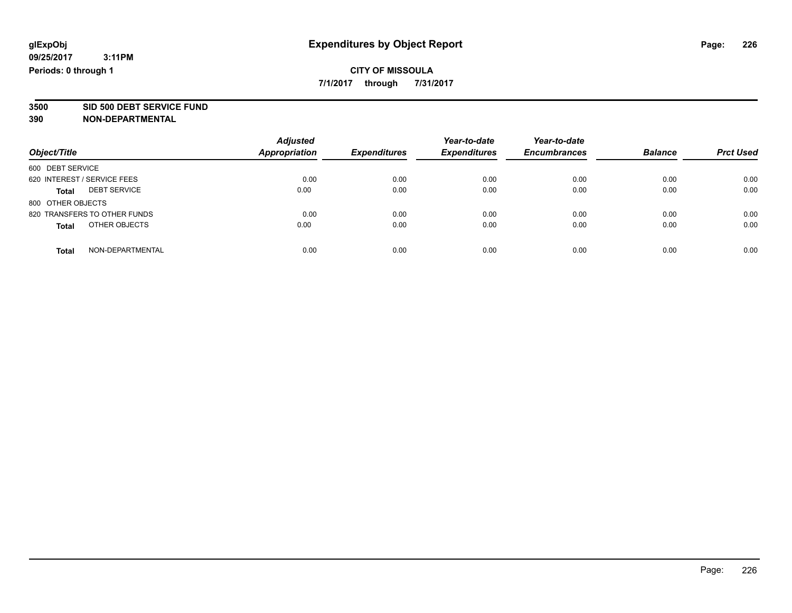**7/1/2017 through 7/31/2017**

**3500 SID 500 DEBT SERVICE FUND**

| Object/Title                        | <b>Adjusted</b><br><b>Appropriation</b> | <b>Expenditures</b> | Year-to-date<br><b>Expenditures</b> | Year-to-date<br><b>Encumbrances</b> | <b>Balance</b> | <b>Prct Used</b> |
|-------------------------------------|-----------------------------------------|---------------------|-------------------------------------|-------------------------------------|----------------|------------------|
| 600 DEBT SERVICE                    |                                         |                     |                                     |                                     |                |                  |
| 620 INTEREST / SERVICE FEES         | 0.00                                    | 0.00                | 0.00                                | 0.00                                | 0.00           | 0.00             |
| <b>DEBT SERVICE</b><br><b>Total</b> | 0.00                                    | 0.00                | 0.00                                | 0.00                                | 0.00           | 0.00             |
| 800 OTHER OBJECTS                   |                                         |                     |                                     |                                     |                |                  |
| 820 TRANSFERS TO OTHER FUNDS        | 0.00                                    | 0.00                | 0.00                                | 0.00                                | 0.00           | 0.00             |
| OTHER OBJECTS<br><b>Total</b>       | 0.00                                    | 0.00                | 0.00                                | 0.00                                | 0.00           | 0.00             |
| NON-DEPARTMENTAL<br><b>Total</b>    | 0.00                                    | 0.00                | 0.00                                | 0.00                                | 0.00           | 0.00             |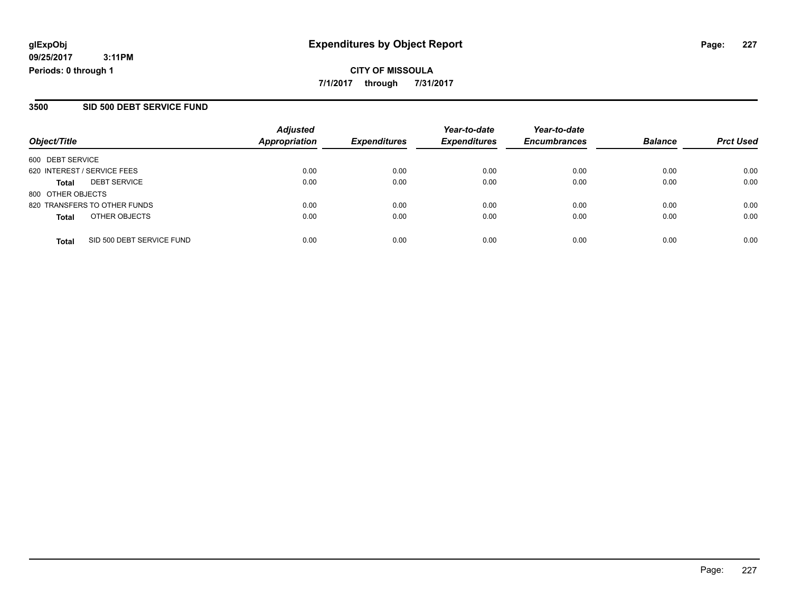## **CITY OF MISSOULA 7/1/2017 through 7/31/2017**

### **3500 SID 500 DEBT SERVICE FUND**

|                             |                              | <b>Adjusted</b>      |                     | Year-to-date        | Year-to-date        |                |                  |
|-----------------------------|------------------------------|----------------------|---------------------|---------------------|---------------------|----------------|------------------|
| Object/Title                |                              | <b>Appropriation</b> | <b>Expenditures</b> | <b>Expenditures</b> | <b>Encumbrances</b> | <b>Balance</b> | <b>Prct Used</b> |
| 600 DEBT SERVICE            |                              |                      |                     |                     |                     |                |                  |
| 620 INTEREST / SERVICE FEES |                              | 0.00                 | 0.00                | 0.00                | 0.00                | 0.00           | 0.00             |
| <b>Total</b>                | <b>DEBT SERVICE</b>          | 0.00                 | 0.00                | 0.00                | 0.00                | 0.00           | 0.00             |
| 800 OTHER OBJECTS           |                              |                      |                     |                     |                     |                |                  |
|                             | 820 TRANSFERS TO OTHER FUNDS | 0.00                 | 0.00                | 0.00                | 0.00                | 0.00           | 0.00             |
| <b>Total</b>                | OTHER OBJECTS                | 0.00                 | 0.00                | 0.00                | 0.00                | 0.00           | 0.00             |
| <b>Total</b>                | SID 500 DEBT SERVICE FUND    | 0.00                 | 0.00                | 0.00                | 0.00                | 0.00           | 0.00             |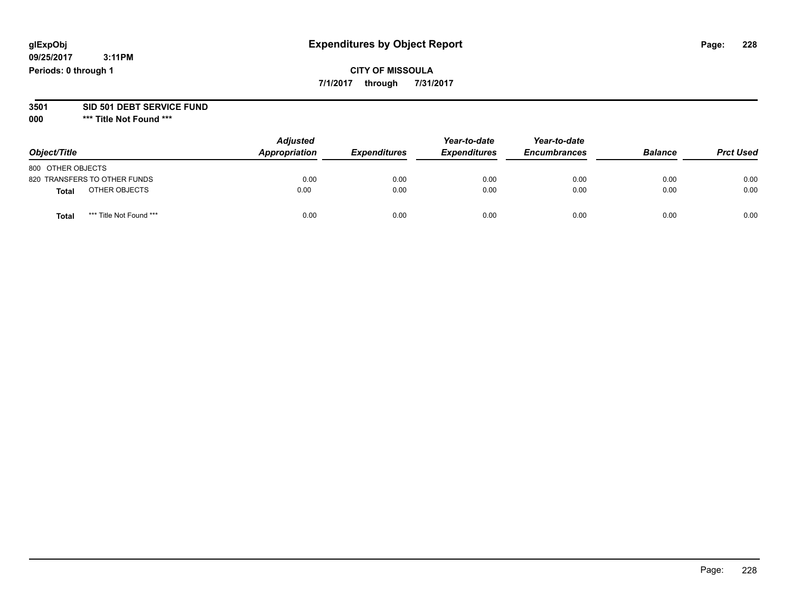**09/25/2017 3:11PM Periods: 0 through 1**

**CITY OF MISSOULA 7/1/2017 through 7/31/2017**

**3501 SID 501 DEBT SERVICE FUND**

| Object/Title                     | <b>Adjusted</b><br>Appropriation | <b>Expenditures</b> | Year-to-date<br><b>Expenditures</b> | Year-to-date<br><b>Encumbrances</b> | <b>Balance</b> | <b>Prct Used</b> |
|----------------------------------|----------------------------------|---------------------|-------------------------------------|-------------------------------------|----------------|------------------|
| 800 OTHER OBJECTS                |                                  |                     |                                     |                                     |                |                  |
| 820 TRANSFERS TO OTHER FUNDS     | 0.00                             | 0.00                | 0.00                                | 0.00                                | 0.00           | 0.00             |
| OTHER OBJECTS<br>Total           | 0.00                             | 0.00                | 0.00                                | 0.00                                | 0.00           | 0.00             |
| *** Title Not Found ***<br>Total | 0.00                             | 0.00                | 0.00                                | 0.00                                | 0.00           | 0.00             |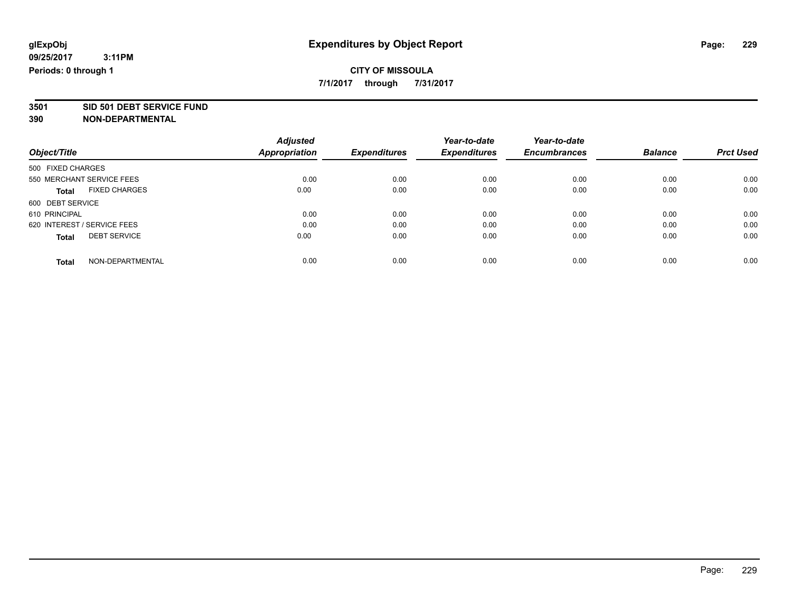**7/1/2017 through 7/31/2017**

# **3501 SID 501 DEBT SERVICE FUND**

|                                      | <b>Adjusted</b>      |                     | Year-to-date        | Year-to-date        |                |                  |
|--------------------------------------|----------------------|---------------------|---------------------|---------------------|----------------|------------------|
| Object/Title                         | <b>Appropriation</b> | <b>Expenditures</b> | <b>Expenditures</b> | <b>Encumbrances</b> | <b>Balance</b> | <b>Prct Used</b> |
| 500 FIXED CHARGES                    |                      |                     |                     |                     |                |                  |
| 550 MERCHANT SERVICE FEES            | 0.00                 | 0.00                | 0.00                | 0.00                | 0.00           | 0.00             |
| <b>FIXED CHARGES</b><br><b>Total</b> | 0.00                 | 0.00                | 0.00                | 0.00                | 0.00           | 0.00             |
| 600 DEBT SERVICE                     |                      |                     |                     |                     |                |                  |
| 610 PRINCIPAL                        | 0.00                 | 0.00                | 0.00                | 0.00                | 0.00           | 0.00             |
| 620 INTEREST / SERVICE FEES          | 0.00                 | 0.00                | 0.00                | 0.00                | 0.00           | 0.00             |
| <b>DEBT SERVICE</b><br><b>Total</b>  | 0.00                 | 0.00                | 0.00                | 0.00                | 0.00           | 0.00             |
| NON-DEPARTMENTAL<br><b>Total</b>     | 0.00                 | 0.00                | 0.00                | 0.00                | 0.00           | 0.00             |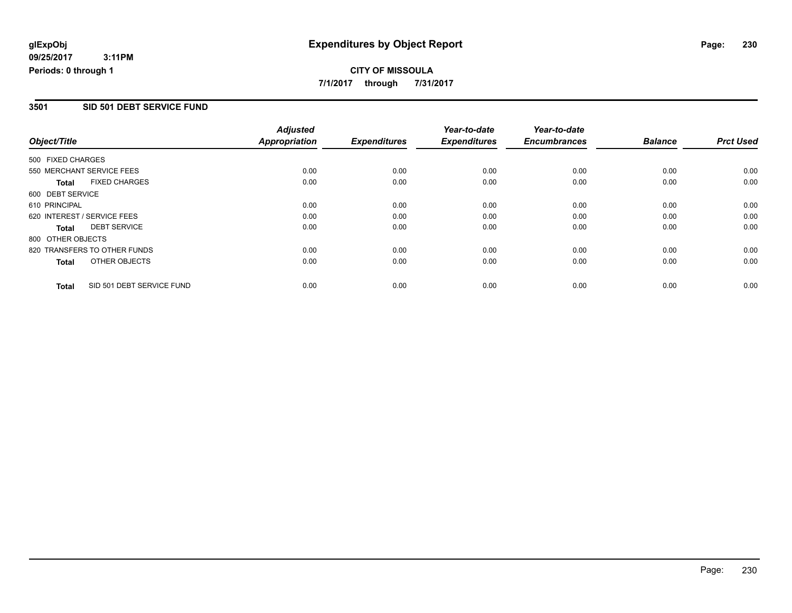## **CITY OF MISSOULA 7/1/2017 through 7/31/2017**

#### **3501 SID 501 DEBT SERVICE FUND**

|                   |                              | <b>Adjusted</b>      |                     | Year-to-date        | Year-to-date        |                |                  |
|-------------------|------------------------------|----------------------|---------------------|---------------------|---------------------|----------------|------------------|
| Object/Title      |                              | <b>Appropriation</b> | <b>Expenditures</b> | <b>Expenditures</b> | <b>Encumbrances</b> | <b>Balance</b> | <b>Prct Used</b> |
| 500 FIXED CHARGES |                              |                      |                     |                     |                     |                |                  |
|                   | 550 MERCHANT SERVICE FEES    | 0.00                 | 0.00                | 0.00                | 0.00                | 0.00           | 0.00             |
| <b>Total</b>      | <b>FIXED CHARGES</b>         | 0.00                 | 0.00                | 0.00                | 0.00                | 0.00           | 0.00             |
| 600 DEBT SERVICE  |                              |                      |                     |                     |                     |                |                  |
| 610 PRINCIPAL     |                              | 0.00                 | 0.00                | 0.00                | 0.00                | 0.00           | 0.00             |
|                   | 620 INTEREST / SERVICE FEES  | 0.00                 | 0.00                | 0.00                | 0.00                | 0.00           | 0.00             |
| Total             | <b>DEBT SERVICE</b>          | 0.00                 | 0.00                | 0.00                | 0.00                | 0.00           | 0.00             |
| 800 OTHER OBJECTS |                              |                      |                     |                     |                     |                |                  |
|                   | 820 TRANSFERS TO OTHER FUNDS | 0.00                 | 0.00                | 0.00                | 0.00                | 0.00           | 0.00             |
| <b>Total</b>      | OTHER OBJECTS                | 0.00                 | 0.00                | 0.00                | 0.00                | 0.00           | 0.00             |
| <b>Total</b>      | SID 501 DEBT SERVICE FUND    | 0.00                 | 0.00                | 0.00                | 0.00                | 0.00           | 0.00             |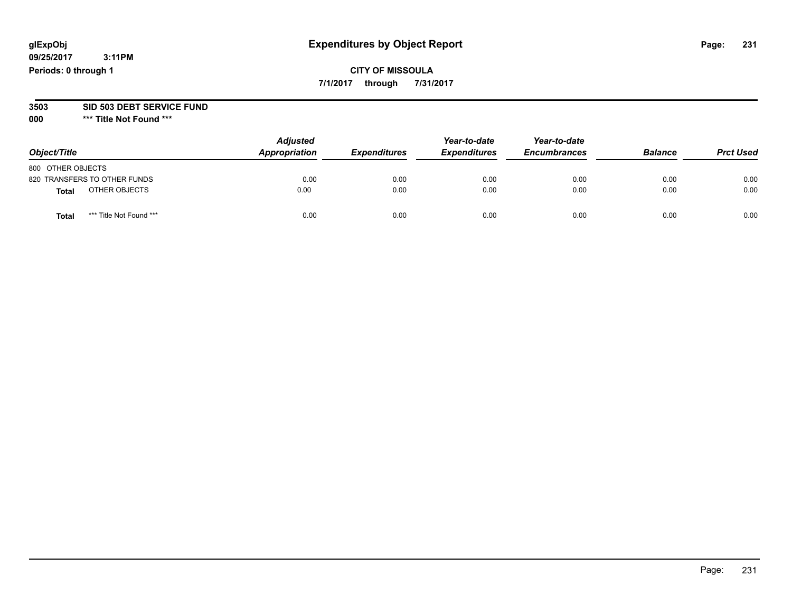**09/25/2017 3:11PM Periods: 0 through 1**

**CITY OF MISSOULA 7/1/2017 through 7/31/2017**

**3503 SID 503 DEBT SERVICE FUND**

| Object/Title                     | <b>Adjusted</b><br>Appropriation | <b>Expenditures</b> | Year-to-date<br><b>Expenditures</b> | Year-to-date<br><b>Encumbrances</b> | <b>Balance</b> | <b>Prct Used</b> |
|----------------------------------|----------------------------------|---------------------|-------------------------------------|-------------------------------------|----------------|------------------|
| 800 OTHER OBJECTS                |                                  |                     |                                     |                                     |                |                  |
| 820 TRANSFERS TO OTHER FUNDS     | 0.00                             | 0.00                | 0.00                                | 0.00                                | 0.00           | 0.00             |
| OTHER OBJECTS<br>Total           | 0.00                             | 0.00                | 0.00                                | 0.00                                | 0.00           | 0.00             |
| *** Title Not Found ***<br>Total | 0.00                             | 0.00                | 0.00                                | 0.00                                | 0.00           | 0.00             |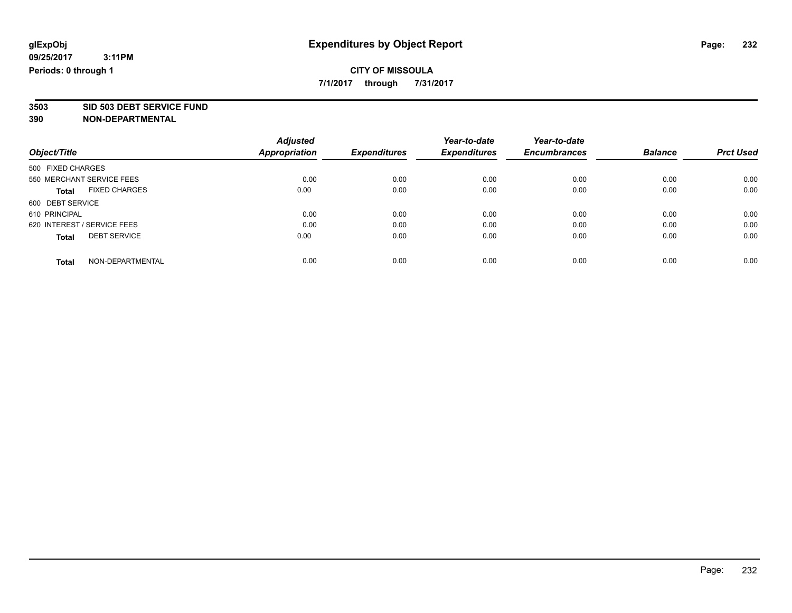**7/1/2017 through 7/31/2017**

**3503 SID 503 DEBT SERVICE FUND**

|                             |                      | <b>Adjusted</b>      |                     | Year-to-date        | Year-to-date        |                |                  |
|-----------------------------|----------------------|----------------------|---------------------|---------------------|---------------------|----------------|------------------|
| Object/Title                |                      | <b>Appropriation</b> | <b>Expenditures</b> | <b>Expenditures</b> | <b>Encumbrances</b> | <b>Balance</b> | <b>Prct Used</b> |
| 500 FIXED CHARGES           |                      |                      |                     |                     |                     |                |                  |
| 550 MERCHANT SERVICE FEES   |                      | 0.00                 | 0.00                | 0.00                | 0.00                | 0.00           | 0.00             |
| <b>Total</b>                | <b>FIXED CHARGES</b> | 0.00                 | 0.00                | 0.00                | 0.00                | 0.00           | 0.00             |
| 600 DEBT SERVICE            |                      |                      |                     |                     |                     |                |                  |
| 610 PRINCIPAL               |                      | 0.00                 | 0.00                | 0.00                | 0.00                | 0.00           | 0.00             |
| 620 INTEREST / SERVICE FEES |                      | 0.00                 | 0.00                | 0.00                | 0.00                | 0.00           | 0.00             |
| <b>Total</b>                | <b>DEBT SERVICE</b>  | 0.00                 | 0.00                | 0.00                | 0.00                | 0.00           | 0.00             |
| <b>Total</b>                | NON-DEPARTMENTAL     | 0.00                 | 0.00                | 0.00                | 0.00                | 0.00           | 0.00             |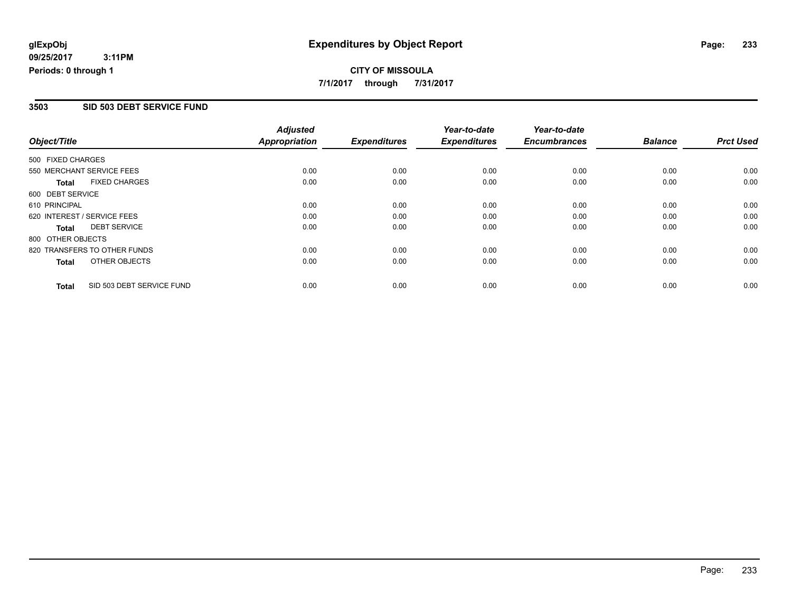## **CITY OF MISSOULA 7/1/2017 through 7/31/2017**

#### **3503 SID 503 DEBT SERVICE FUND**

|                             |                              | <b>Adjusted</b>      |                     | Year-to-date        | Year-to-date        |                |                  |
|-----------------------------|------------------------------|----------------------|---------------------|---------------------|---------------------|----------------|------------------|
| Object/Title                |                              | <b>Appropriation</b> | <b>Expenditures</b> | <b>Expenditures</b> | <b>Encumbrances</b> | <b>Balance</b> | <b>Prct Used</b> |
| 500 FIXED CHARGES           |                              |                      |                     |                     |                     |                |                  |
| 550 MERCHANT SERVICE FEES   |                              | 0.00                 | 0.00                | 0.00                | 0.00                | 0.00           | 0.00             |
| <b>Total</b>                | <b>FIXED CHARGES</b>         | 0.00                 | 0.00                | 0.00                | 0.00                | 0.00           | 0.00             |
| 600 DEBT SERVICE            |                              |                      |                     |                     |                     |                |                  |
| 610 PRINCIPAL               |                              | 0.00                 | 0.00                | 0.00                | 0.00                | 0.00           | 0.00             |
| 620 INTEREST / SERVICE FEES |                              | 0.00                 | 0.00                | 0.00                | 0.00                | 0.00           | 0.00             |
| <b>Total</b>                | <b>DEBT SERVICE</b>          | 0.00                 | 0.00                | 0.00                | 0.00                | 0.00           | 0.00             |
| 800 OTHER OBJECTS           |                              |                      |                     |                     |                     |                |                  |
|                             | 820 TRANSFERS TO OTHER FUNDS | 0.00                 | 0.00                | 0.00                | 0.00                | 0.00           | 0.00             |
| <b>Total</b>                | OTHER OBJECTS                | 0.00                 | 0.00                | 0.00                | 0.00                | 0.00           | 0.00             |
| <b>Total</b>                | SID 503 DEBT SERVICE FUND    | 0.00                 | 0.00                | 0.00                | 0.00                | 0.00           | 0.00             |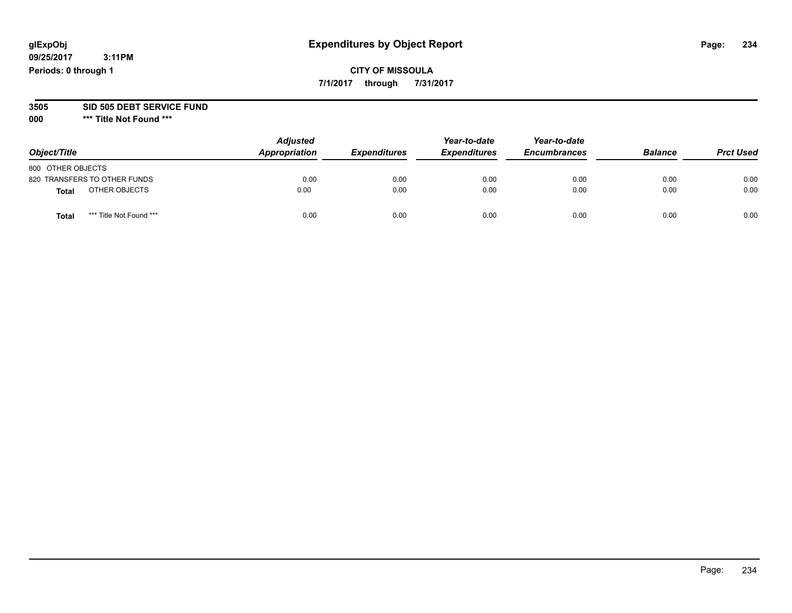**09/25/2017 3:11PM Periods: 0 through 1**

**CITY OF MISSOULA 7/1/2017 through 7/31/2017**

**3505 SID 505 DEBT SERVICE FUND**

| Object/Title                 |                         | <b>Adjusted</b><br>Appropriation | <b>Expenditures</b> | Year-to-date<br><b>Expenditures</b> | Year-to-date<br><b>Encumbrances</b> | <b>Balance</b> | <b>Prct Used</b> |
|------------------------------|-------------------------|----------------------------------|---------------------|-------------------------------------|-------------------------------------|----------------|------------------|
| 800 OTHER OBJECTS            |                         |                                  |                     |                                     |                                     |                |                  |
| 820 TRANSFERS TO OTHER FUNDS |                         | 0.00                             | 0.00                | 0.00                                | 0.00                                | 0.00           | 0.00             |
| Total                        | OTHER OBJECTS           | 0.00                             | 0.00                | 0.00                                | 0.00                                | 0.00           | 0.00             |
| Tota                         | *** Title Not Found *** | 0.00                             | 0.00                | 0.00                                | 0.00                                | 0.00           | 0.00             |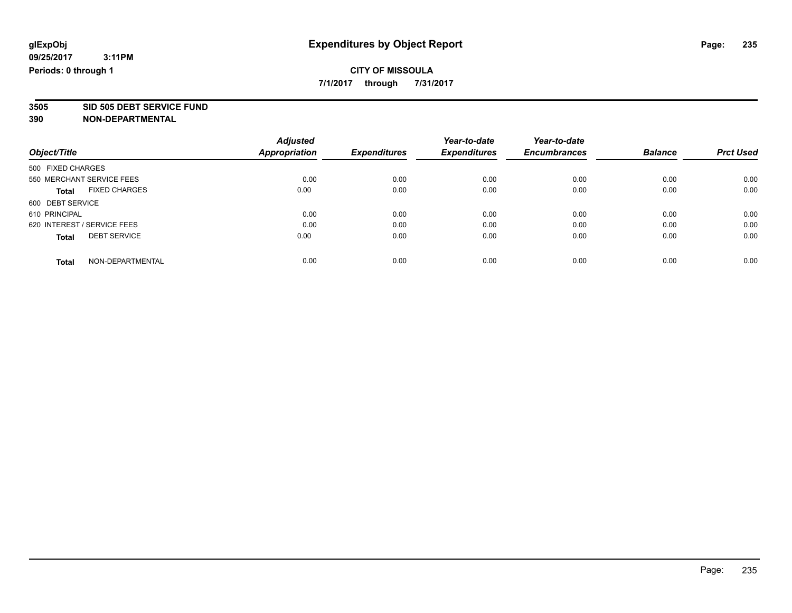**7/1/2017 through 7/31/2017**

**3505 SID 505 DEBT SERVICE FUND**

|                                      | <b>Adjusted</b>      |                     | Year-to-date        | Year-to-date        |                |                  |
|--------------------------------------|----------------------|---------------------|---------------------|---------------------|----------------|------------------|
| Object/Title                         | <b>Appropriation</b> | <b>Expenditures</b> | <b>Expenditures</b> | <b>Encumbrances</b> | <b>Balance</b> | <b>Prct Used</b> |
| 500 FIXED CHARGES                    |                      |                     |                     |                     |                |                  |
| 550 MERCHANT SERVICE FEES            | 0.00                 | 0.00                | 0.00                | 0.00                | 0.00           | 0.00             |
| <b>FIXED CHARGES</b><br><b>Total</b> | 0.00                 | 0.00                | 0.00                | 0.00                | 0.00           | 0.00             |
| 600 DEBT SERVICE                     |                      |                     |                     |                     |                |                  |
| 610 PRINCIPAL                        | 0.00                 | 0.00                | 0.00                | 0.00                | 0.00           | 0.00             |
| 620 INTEREST / SERVICE FEES          | 0.00                 | 0.00                | 0.00                | 0.00                | 0.00           | 0.00             |
| <b>DEBT SERVICE</b><br><b>Total</b>  | 0.00                 | 0.00                | 0.00                | 0.00                | 0.00           | 0.00             |
| NON-DEPARTMENTAL<br><b>Total</b>     | 0.00                 | 0.00                | 0.00                | 0.00                | 0.00           | 0.00             |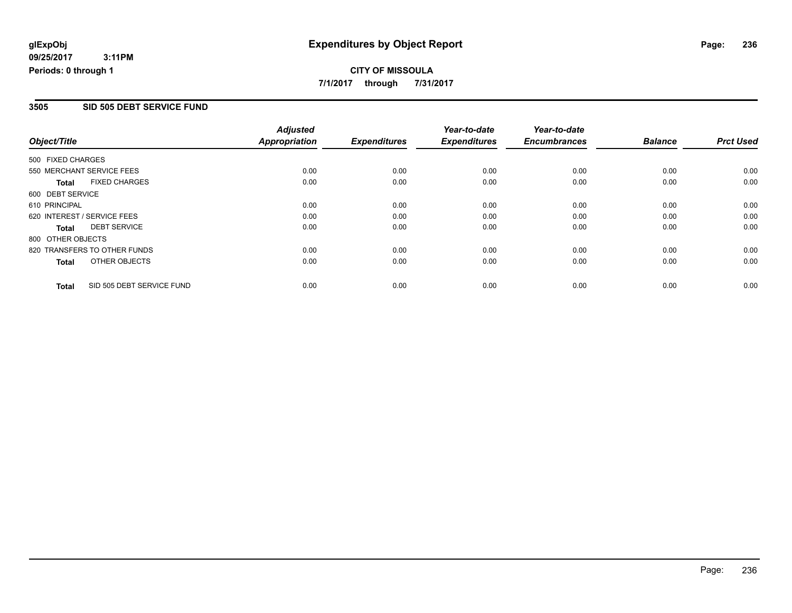## **CITY OF MISSOULA 7/1/2017 through 7/31/2017**

#### **3505 SID 505 DEBT SERVICE FUND**

|                             |                              | <b>Adjusted</b>      |                     | Year-to-date        | Year-to-date        |                |                  |
|-----------------------------|------------------------------|----------------------|---------------------|---------------------|---------------------|----------------|------------------|
| Object/Title                |                              | <b>Appropriation</b> | <b>Expenditures</b> | <b>Expenditures</b> | <b>Encumbrances</b> | <b>Balance</b> | <b>Prct Used</b> |
| 500 FIXED CHARGES           |                              |                      |                     |                     |                     |                |                  |
| 550 MERCHANT SERVICE FEES   |                              | 0.00                 | 0.00                | 0.00                | 0.00                | 0.00           | 0.00             |
| <b>Total</b>                | <b>FIXED CHARGES</b>         | 0.00                 | 0.00                | 0.00                | 0.00                | 0.00           | 0.00             |
| 600 DEBT SERVICE            |                              |                      |                     |                     |                     |                |                  |
| 610 PRINCIPAL               |                              | 0.00                 | 0.00                | 0.00                | 0.00                | 0.00           | 0.00             |
| 620 INTEREST / SERVICE FEES |                              | 0.00                 | 0.00                | 0.00                | 0.00                | 0.00           | 0.00             |
| <b>Total</b>                | <b>DEBT SERVICE</b>          | 0.00                 | 0.00                | 0.00                | 0.00                | 0.00           | 0.00             |
| 800 OTHER OBJECTS           |                              |                      |                     |                     |                     |                |                  |
|                             | 820 TRANSFERS TO OTHER FUNDS | 0.00                 | 0.00                | 0.00                | 0.00                | 0.00           | 0.00             |
| <b>Total</b>                | OTHER OBJECTS                | 0.00                 | 0.00                | 0.00                | 0.00                | 0.00           | 0.00             |
| <b>Total</b>                | SID 505 DEBT SERVICE FUND    | 0.00                 | 0.00                | 0.00                | 0.00                | 0.00           | 0.00             |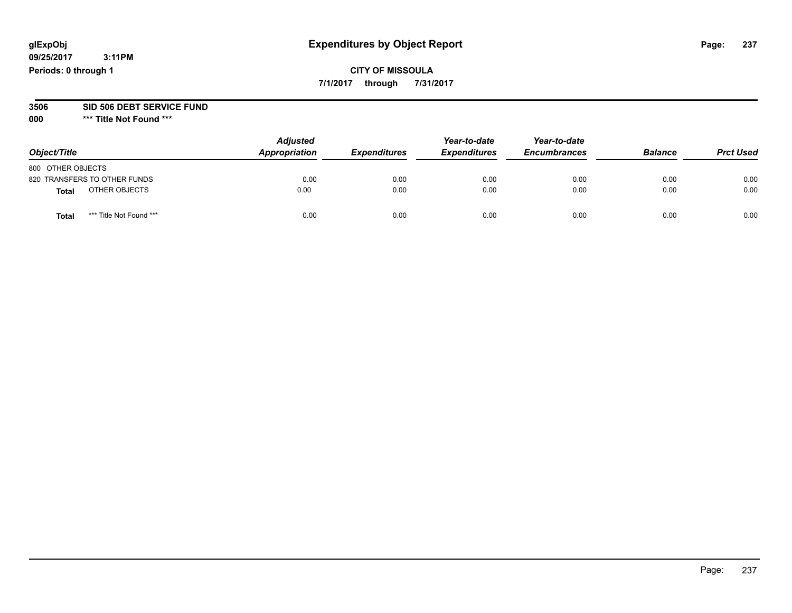**09/25/2017 3:11PM Periods: 0 through 1**

### **CITY OF MISSOULA 7/1/2017 through 7/31/2017**

**3506 SID 506 DEBT SERVICE FUND**

| Object/Title                     | <b>Adjusted</b><br>Appropriation | <b>Expenditures</b> | Year-to-date<br><b>Expenditures</b> | Year-to-date<br><b>Encumbrances</b> | <b>Balance</b> | <b>Prct Used</b> |
|----------------------------------|----------------------------------|---------------------|-------------------------------------|-------------------------------------|----------------|------------------|
| 800 OTHER OBJECTS                |                                  |                     |                                     |                                     |                |                  |
| 820 TRANSFERS TO OTHER FUNDS     | 0.00                             | 0.00                | 0.00                                | 0.00                                | 0.00           | 0.00             |
| OTHER OBJECTS<br>Total           | 0.00                             | 0.00                | 0.00                                | 0.00                                | 0.00           | 0.00             |
| *** Title Not Found ***<br>Total | 0.00                             | 0.00                | 0.00                                | 0.00                                | 0.00           | 0.00             |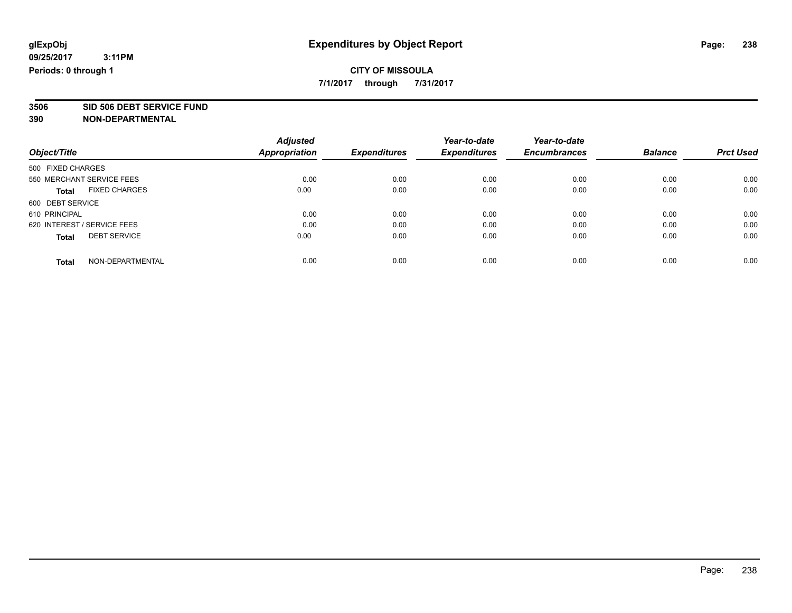**7/1/2017 through 7/31/2017**

**3506 SID 506 DEBT SERVICE FUND**

|                                      | <b>Adjusted</b>      |                     | Year-to-date        | Year-to-date        |                |                  |
|--------------------------------------|----------------------|---------------------|---------------------|---------------------|----------------|------------------|
| Object/Title                         | <b>Appropriation</b> | <b>Expenditures</b> | <b>Expenditures</b> | <b>Encumbrances</b> | <b>Balance</b> | <b>Prct Used</b> |
| 500 FIXED CHARGES                    |                      |                     |                     |                     |                |                  |
| 550 MERCHANT SERVICE FEES            | 0.00                 | 0.00                | 0.00                | 0.00                | 0.00           | 0.00             |
| <b>FIXED CHARGES</b><br><b>Total</b> | 0.00                 | 0.00                | 0.00                | 0.00                | 0.00           | 0.00             |
| 600 DEBT SERVICE                     |                      |                     |                     |                     |                |                  |
| 610 PRINCIPAL                        | 0.00                 | 0.00                | 0.00                | 0.00                | 0.00           | 0.00             |
| 620 INTEREST / SERVICE FEES          | 0.00                 | 0.00                | 0.00                | 0.00                | 0.00           | 0.00             |
| <b>DEBT SERVICE</b><br><b>Total</b>  | 0.00                 | 0.00                | 0.00                | 0.00                | 0.00           | 0.00             |
| NON-DEPARTMENTAL<br><b>Total</b>     | 0.00                 | 0.00                | 0.00                | 0.00                | 0.00           | 0.00             |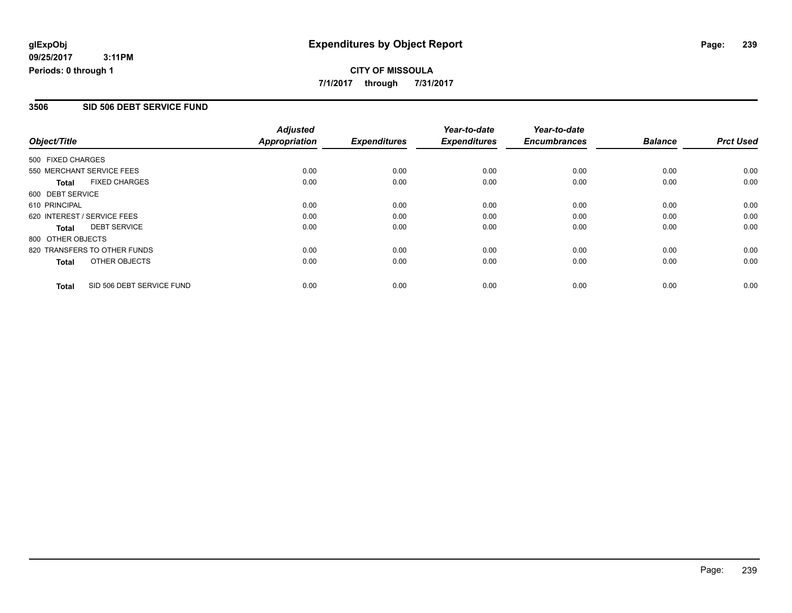## **CITY OF MISSOULA 7/1/2017 through 7/31/2017**

#### **3506 SID 506 DEBT SERVICE FUND**

|                             |                              | <b>Adjusted</b>      |                     | Year-to-date        | Year-to-date        |                |                  |
|-----------------------------|------------------------------|----------------------|---------------------|---------------------|---------------------|----------------|------------------|
| Object/Title                |                              | <b>Appropriation</b> | <b>Expenditures</b> | <b>Expenditures</b> | <b>Encumbrances</b> | <b>Balance</b> | <b>Prct Used</b> |
| 500 FIXED CHARGES           |                              |                      |                     |                     |                     |                |                  |
| 550 MERCHANT SERVICE FEES   |                              | 0.00                 | 0.00                | 0.00                | 0.00                | 0.00           | 0.00             |
| <b>Total</b>                | <b>FIXED CHARGES</b>         | 0.00                 | 0.00                | 0.00                | 0.00                | 0.00           | 0.00             |
| 600 DEBT SERVICE            |                              |                      |                     |                     |                     |                |                  |
| 610 PRINCIPAL               |                              | 0.00                 | 0.00                | 0.00                | 0.00                | 0.00           | 0.00             |
| 620 INTEREST / SERVICE FEES |                              | 0.00                 | 0.00                | 0.00                | 0.00                | 0.00           | 0.00             |
| <b>Total</b>                | <b>DEBT SERVICE</b>          | 0.00                 | 0.00                | 0.00                | 0.00                | 0.00           | 0.00             |
| 800 OTHER OBJECTS           |                              |                      |                     |                     |                     |                |                  |
|                             | 820 TRANSFERS TO OTHER FUNDS | 0.00                 | 0.00                | 0.00                | 0.00                | 0.00           | 0.00             |
| <b>Total</b>                | OTHER OBJECTS                | 0.00                 | 0.00                | 0.00                | 0.00                | 0.00           | 0.00             |
| <b>Total</b>                | SID 506 DEBT SERVICE FUND    | 0.00                 | 0.00                | 0.00                | 0.00                | 0.00           | 0.00             |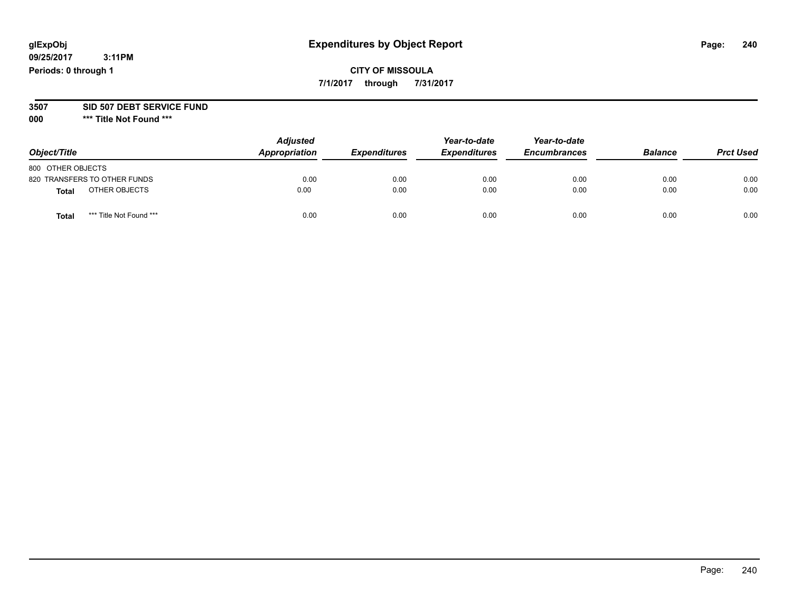**09/25/2017 3:11PM Periods: 0 through 1**

### **CITY OF MISSOULA 7/1/2017 through 7/31/2017**

**3507 SID 507 DEBT SERVICE FUND**

| Object/Title                     | <b>Adjusted</b><br>Appropriation | <b>Expenditures</b> | Year-to-date<br><b>Expenditures</b> | Year-to-date<br><b>Encumbrances</b> | <b>Balance</b> | <b>Prct Used</b> |
|----------------------------------|----------------------------------|---------------------|-------------------------------------|-------------------------------------|----------------|------------------|
| 800 OTHER OBJECTS                |                                  |                     |                                     |                                     |                |                  |
| 820 TRANSFERS TO OTHER FUNDS     | 0.00                             | 0.00                | 0.00                                | 0.00                                | 0.00           | 0.00             |
| OTHER OBJECTS<br>Total           | 0.00                             | 0.00                | 0.00                                | 0.00                                | 0.00           | 0.00             |
| *** Title Not Found ***<br>Total | 0.00                             | 0.00                | 0.00                                | 0.00                                | 0.00           | 0.00             |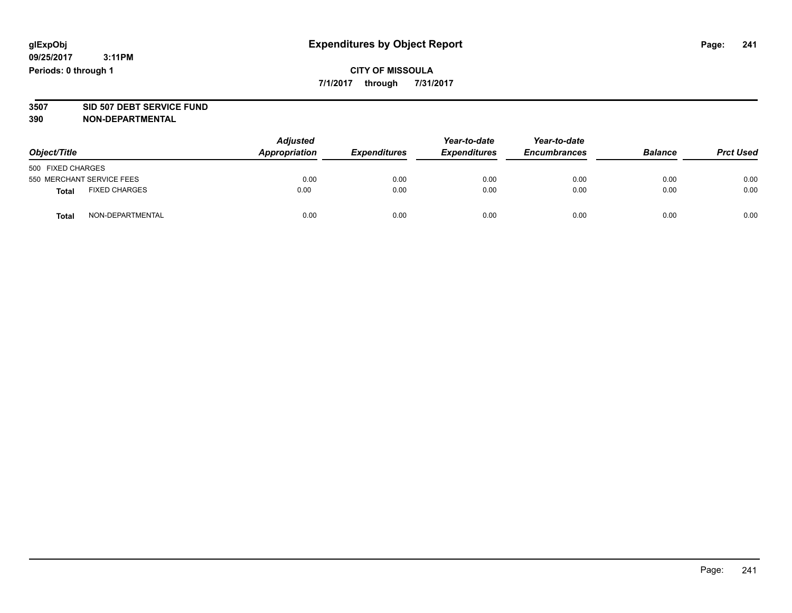### **CITY OF MISSOULA 7/1/2017 through 7/31/2017**

# **3507 SID 507 DEBT SERVICE FUND**

| Object/Title                         | <b>Adjusted</b><br>Appropriation | <b>Expenditures</b> | Year-to-date<br><b>Expenditures</b> | Year-to-date<br><b>Encumbrances</b> | <b>Balance</b> | <b>Prct Used</b> |
|--------------------------------------|----------------------------------|---------------------|-------------------------------------|-------------------------------------|----------------|------------------|
| 500 FIXED CHARGES                    |                                  |                     |                                     |                                     |                |                  |
| 550 MERCHANT SERVICE FEES            | 0.00                             | 0.00                | 0.00                                | 0.00                                | 0.00           | 0.00             |
| <b>FIXED CHARGES</b><br><b>Total</b> | 0.00                             | 0.00                | 0.00                                | 0.00                                | 0.00           | 0.00             |
| NON-DEPARTMENTAL<br>Total            | 0.00                             | 0.00                | 0.00                                | 0.00                                | 0.00           | 0.00             |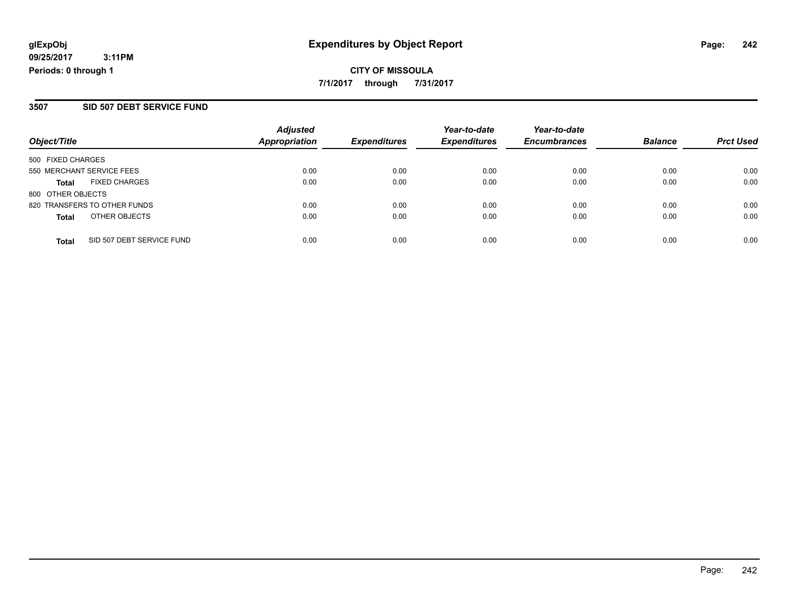**CITY OF MISSOULA 7/1/2017 through 7/31/2017**

#### **3507 SID 507 DEBT SERVICE FUND**

|                              | <b>Adjusted</b> |               | Year-to-date        | Year-to-date        |                     | <b>Prct Used</b> |
|------------------------------|-----------------|---------------|---------------------|---------------------|---------------------|------------------|
|                              |                 |               |                     |                     |                     |                  |
| 500 FIXED CHARGES            |                 |               |                     |                     |                     |                  |
| 550 MERCHANT SERVICE FEES    | 0.00            | 0.00          | 0.00                | 0.00                | 0.00                | 0.00             |
| <b>FIXED CHARGES</b>         | 0.00            | 0.00          | 0.00                | 0.00                | 0.00                | 0.00             |
| 800 OTHER OBJECTS            |                 |               |                     |                     |                     |                  |
| 820 TRANSFERS TO OTHER FUNDS | 0.00            | 0.00          | 0.00                | 0.00                | 0.00                | 0.00             |
| OTHER OBJECTS                | 0.00            | 0.00          | 0.00                | 0.00                | 0.00                | 0.00             |
| SID 507 DEBT SERVICE FUND    | 0.00            | 0.00          | 0.00                | 0.00                | 0.00                | 0.00             |
|                              |                 | Appropriation | <b>Expenditures</b> | <b>Expenditures</b> | <b>Encumbrances</b> | <b>Balance</b>   |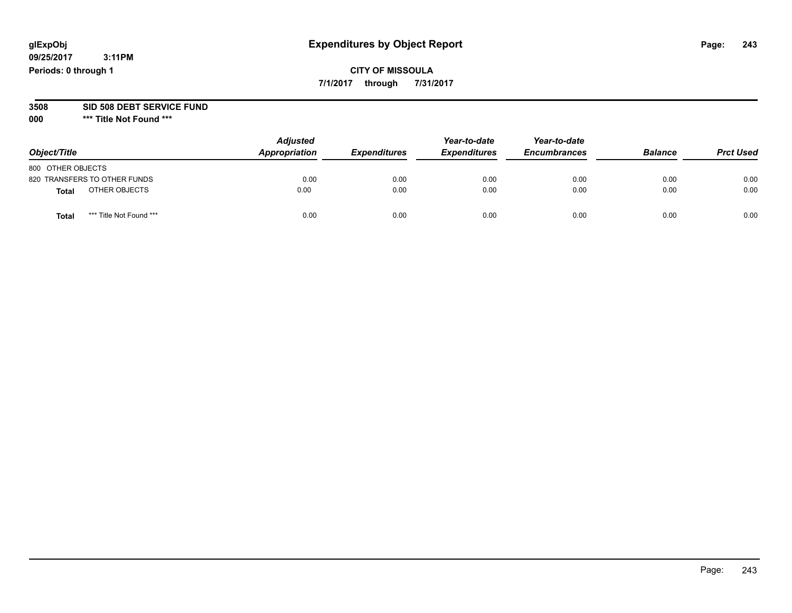**09/25/2017 3:11PM Periods: 0 through 1**

**CITY OF MISSOULA 7/1/2017 through 7/31/2017**

**3508 SID 508 DEBT SERVICE FUND**

| Object/Title                     | <b>Adjusted</b><br>Appropriation | <b>Expenditures</b> | Year-to-date<br><b>Expenditures</b> | Year-to-date<br><b>Encumbrances</b> | <b>Balance</b> | <b>Prct Used</b> |
|----------------------------------|----------------------------------|---------------------|-------------------------------------|-------------------------------------|----------------|------------------|
| 800 OTHER OBJECTS                |                                  |                     |                                     |                                     |                |                  |
| 820 TRANSFERS TO OTHER FUNDS     | 0.00                             | 0.00                | 0.00                                | 0.00                                | 0.00           | 0.00             |
| OTHER OBJECTS<br>Total           | 0.00                             | 0.00                | 0.00                                | 0.00                                | 0.00           | 0.00             |
| *** Title Not Found ***<br>Total | 0.00                             | 0.00                | 0.00                                | 0.00                                | 0.00           | 0.00             |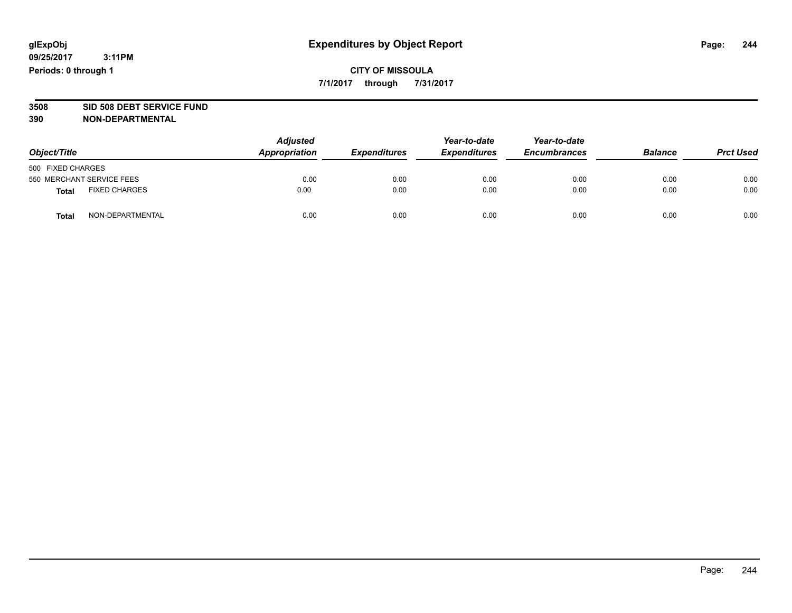### **CITY OF MISSOULA 7/1/2017 through 7/31/2017**

# **3508 SID 508 DEBT SERVICE FUND**

| Object/Title                         | <b>Adjusted</b><br>Appropriation | <b>Expenditures</b> | Year-to-date<br><b>Expenditures</b> | Year-to-date<br><b>Encumbrances</b> | <b>Balance</b> | <b>Prct Used</b> |
|--------------------------------------|----------------------------------|---------------------|-------------------------------------|-------------------------------------|----------------|------------------|
| 500 FIXED CHARGES                    |                                  |                     |                                     |                                     |                |                  |
| 550 MERCHANT SERVICE FEES            | 0.00                             | 0.00                | 0.00                                | 0.00                                | 0.00           | 0.00             |
| <b>FIXED CHARGES</b><br><b>Total</b> | 0.00                             | 0.00                | 0.00                                | 0.00                                | 0.00           | 0.00             |
| NON-DEPARTMENTAL<br>Total            | 0.00                             | 0.00                | 0.00                                | 0.00                                | 0.00           | 0.00             |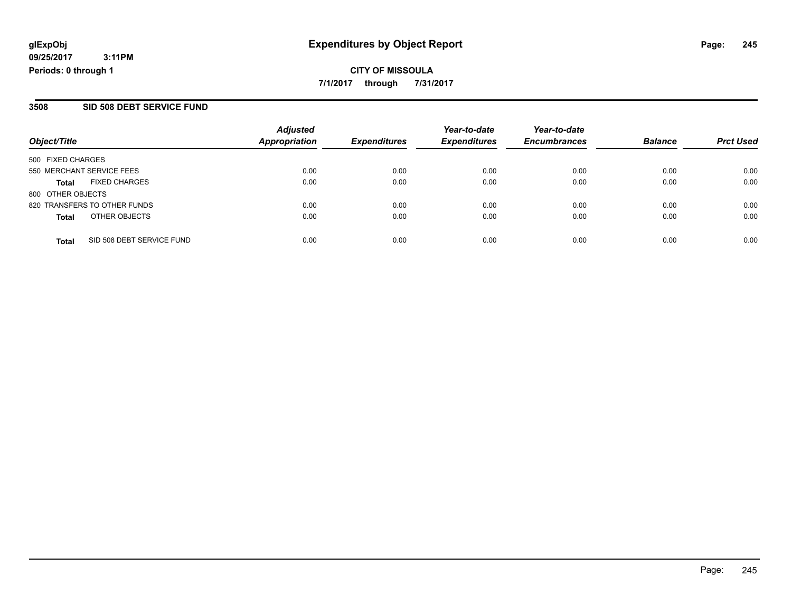## **CITY OF MISSOULA 7/1/2017 through 7/31/2017**

### **3508 SID 508 DEBT SERVICE FUND**

|                              |                           | <b>Adjusted</b>      |                     | Year-to-date        | Year-to-date        |                |                  |
|------------------------------|---------------------------|----------------------|---------------------|---------------------|---------------------|----------------|------------------|
| Object/Title                 |                           | <b>Appropriation</b> | <b>Expenditures</b> | <b>Expenditures</b> | <b>Encumbrances</b> | <b>Balance</b> | <b>Prct Used</b> |
| 500 FIXED CHARGES            |                           |                      |                     |                     |                     |                |                  |
| 550 MERCHANT SERVICE FEES    |                           | 0.00                 | 0.00                | 0.00                | 0.00                | 0.00           | 0.00             |
| <b>Total</b>                 | <b>FIXED CHARGES</b>      | 0.00                 | 0.00                | 0.00                | 0.00                | 0.00           | 0.00             |
| 800 OTHER OBJECTS            |                           |                      |                     |                     |                     |                |                  |
| 820 TRANSFERS TO OTHER FUNDS |                           | 0.00                 | 0.00                | 0.00                | 0.00                | 0.00           | 0.00             |
| <b>Total</b>                 | OTHER OBJECTS             | 0.00                 | 0.00                | 0.00                | 0.00                | 0.00           | 0.00             |
| <b>Total</b>                 | SID 508 DEBT SERVICE FUND | 0.00                 | 0.00                | 0.00                | 0.00                | 0.00           | 0.00             |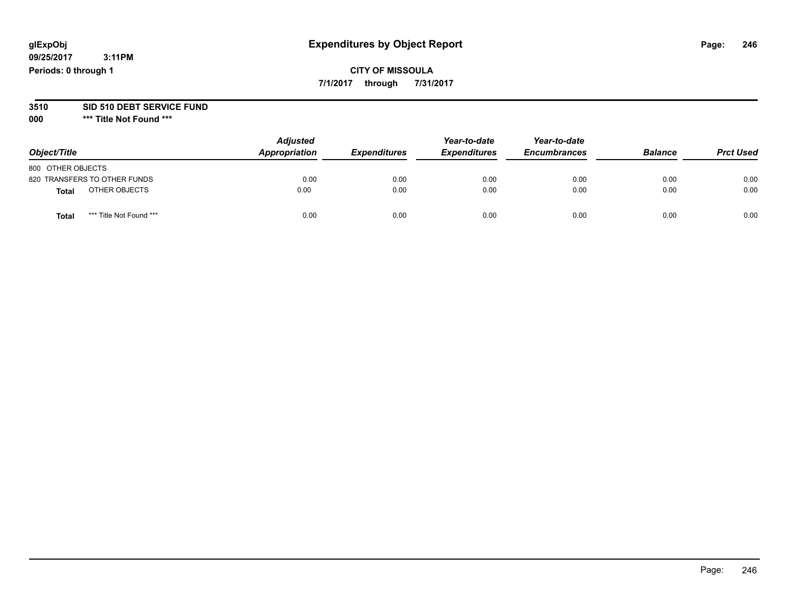**09/25/2017 3:11PM Periods: 0 through 1**

**CITY OF MISSOULA 7/1/2017 through 7/31/2017**

**3510 SID 510 DEBT SERVICE FUND**

| Object/Title                     | <b>Adjusted</b><br>Appropriation | <b>Expenditures</b> | Year-to-date<br><b>Expenditures</b> | Year-to-date<br><b>Encumbrances</b> | <b>Balance</b> | <b>Prct Used</b> |
|----------------------------------|----------------------------------|---------------------|-------------------------------------|-------------------------------------|----------------|------------------|
| 800 OTHER OBJECTS                |                                  |                     |                                     |                                     |                |                  |
| 820 TRANSFERS TO OTHER FUNDS     | 0.00                             | 0.00                | 0.00                                | 0.00                                | 0.00           | 0.00             |
| OTHER OBJECTS<br>Total           | 0.00                             | 0.00                | 0.00                                | 0.00                                | 0.00           | 0.00             |
| *** Title Not Found ***<br>Total | 0.00                             | 0.00                | 0.00                                | 0.00                                | 0.00           | 0.00             |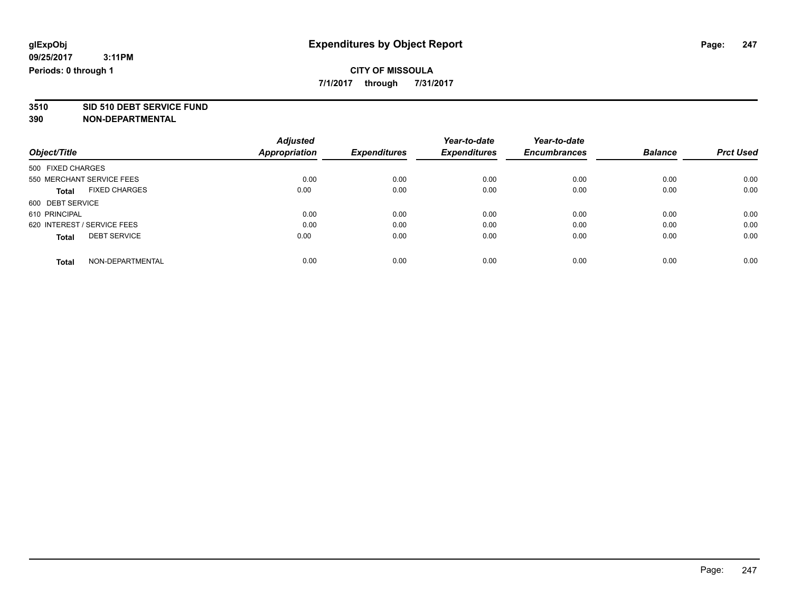**7/1/2017 through 7/31/2017**

# **3510 SID 510 DEBT SERVICE FUND**

|                                      | <b>Adjusted</b> |                     | Year-to-date        | Year-to-date        |                |                  |
|--------------------------------------|-----------------|---------------------|---------------------|---------------------|----------------|------------------|
| Object/Title                         | Appropriation   | <b>Expenditures</b> | <b>Expenditures</b> | <b>Encumbrances</b> | <b>Balance</b> | <b>Prct Used</b> |
| 500 FIXED CHARGES                    |                 |                     |                     |                     |                |                  |
| 550 MERCHANT SERVICE FEES            | 0.00            | 0.00                | 0.00                | 0.00                | 0.00           | 0.00             |
| <b>FIXED CHARGES</b><br><b>Total</b> | 0.00            | 0.00                | 0.00                | 0.00                | 0.00           | 0.00             |
| 600 DEBT SERVICE                     |                 |                     |                     |                     |                |                  |
| 610 PRINCIPAL                        | 0.00            | 0.00                | 0.00                | 0.00                | 0.00           | 0.00             |
| 620 INTEREST / SERVICE FEES          | 0.00            | 0.00                | 0.00                | 0.00                | 0.00           | 0.00             |
| <b>DEBT SERVICE</b><br><b>Total</b>  | 0.00            | 0.00                | 0.00                | 0.00                | 0.00           | 0.00             |
| NON-DEPARTMENTAL<br><b>Total</b>     | 0.00            | 0.00                | 0.00                | 0.00                | 0.00           | 0.00             |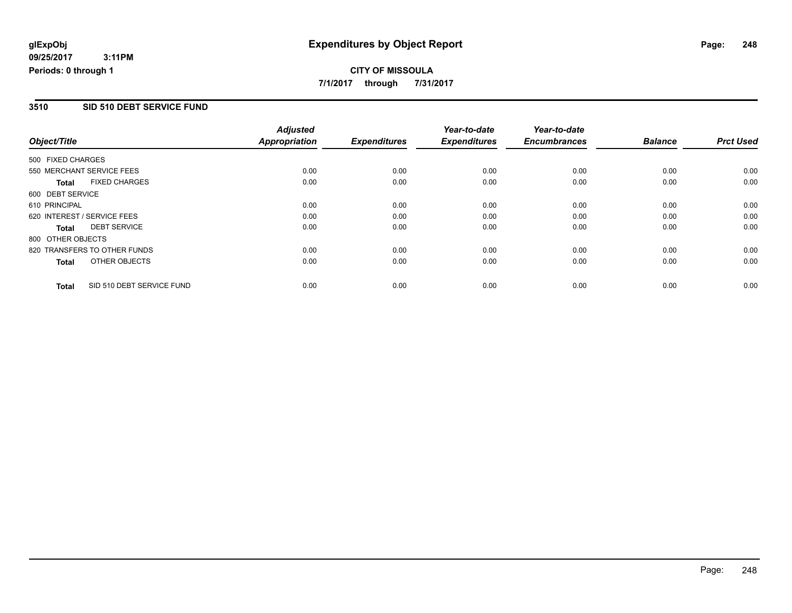## **CITY OF MISSOULA 7/1/2017 through 7/31/2017**

#### **3510 SID 510 DEBT SERVICE FUND**

|                   |                              | <b>Adjusted</b> |                     | Year-to-date        | Year-to-date        |                |                  |
|-------------------|------------------------------|-----------------|---------------------|---------------------|---------------------|----------------|------------------|
| Object/Title      |                              | Appropriation   | <b>Expenditures</b> | <b>Expenditures</b> | <b>Encumbrances</b> | <b>Balance</b> | <b>Prct Used</b> |
| 500 FIXED CHARGES |                              |                 |                     |                     |                     |                |                  |
|                   | 550 MERCHANT SERVICE FEES    | 0.00            | 0.00                | 0.00                | 0.00                | 0.00           | 0.00             |
| <b>Total</b>      | <b>FIXED CHARGES</b>         | 0.00            | 0.00                | 0.00                | 0.00                | 0.00           | 0.00             |
| 600 DEBT SERVICE  |                              |                 |                     |                     |                     |                |                  |
| 610 PRINCIPAL     |                              | 0.00            | 0.00                | 0.00                | 0.00                | 0.00           | 0.00             |
|                   | 620 INTEREST / SERVICE FEES  | 0.00            | 0.00                | 0.00                | 0.00                | 0.00           | 0.00             |
| <b>Total</b>      | <b>DEBT SERVICE</b>          | 0.00            | 0.00                | 0.00                | 0.00                | 0.00           | 0.00             |
| 800 OTHER OBJECTS |                              |                 |                     |                     |                     |                |                  |
|                   | 820 TRANSFERS TO OTHER FUNDS | 0.00            | 0.00                | 0.00                | 0.00                | 0.00           | 0.00             |
| <b>Total</b>      | OTHER OBJECTS                | 0.00            | 0.00                | 0.00                | 0.00                | 0.00           | 0.00             |
| <b>Total</b>      | SID 510 DEBT SERVICE FUND    | 0.00            | 0.00                | 0.00                | 0.00                | 0.00           | 0.00             |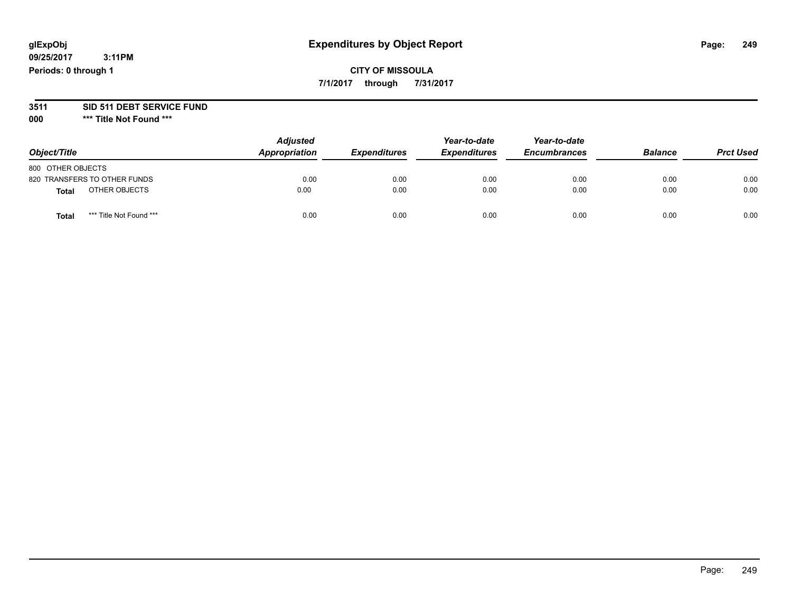**09/25/2017 3:11PM Periods: 0 through 1**

**CITY OF MISSOULA 7/1/2017 through 7/31/2017**

# **3511 SID 511 DEBT SERVICE FUND**

| Object/Title                    | <b>Adjusted</b><br>Appropriation | <b>Expenditures</b> | Year-to-date<br><b>Expenditures</b> | Year-to-date<br><b>Encumbrances</b> | <b>Balance</b> | <b>Prct Used</b> |
|---------------------------------|----------------------------------|---------------------|-------------------------------------|-------------------------------------|----------------|------------------|
| 800 OTHER OBJECTS               |                                  |                     |                                     |                                     |                |                  |
| 820 TRANSFERS TO OTHER FUNDS    | 0.00                             | 0.00                | 0.00                                | 0.00                                | 0.00           | 0.00             |
| OTHER OBJECTS<br><b>Total</b>   | 0.00                             | 0.00                | 0.00                                | 0.00                                | 0.00           | 0.00             |
| *** Title Not Found ***<br>Tota | 0.00                             | 0.00                | 0.00                                | 0.00                                | 0.00           | 0.00             |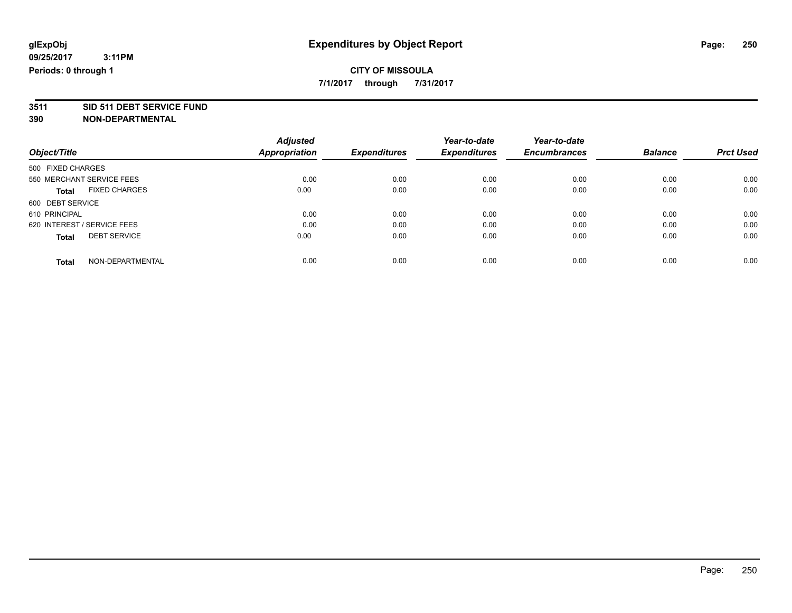**7/1/2017 through 7/31/2017**

# **3511 SID 511 DEBT SERVICE FUND**

|                                      | <b>Adjusted</b>      |                     | Year-to-date        | Year-to-date        |                |                  |
|--------------------------------------|----------------------|---------------------|---------------------|---------------------|----------------|------------------|
| Object/Title                         | <b>Appropriation</b> | <b>Expenditures</b> | <b>Expenditures</b> | <b>Encumbrances</b> | <b>Balance</b> | <b>Prct Used</b> |
| 500 FIXED CHARGES                    |                      |                     |                     |                     |                |                  |
| 550 MERCHANT SERVICE FEES            | 0.00                 | 0.00                | 0.00                | 0.00                | 0.00           | 0.00             |
| <b>FIXED CHARGES</b><br><b>Total</b> | 0.00                 | 0.00                | 0.00                | 0.00                | 0.00           | 0.00             |
| 600 DEBT SERVICE                     |                      |                     |                     |                     |                |                  |
| 610 PRINCIPAL                        | 0.00                 | 0.00                | 0.00                | 0.00                | 0.00           | 0.00             |
| 620 INTEREST / SERVICE FEES          | 0.00                 | 0.00                | 0.00                | 0.00                | 0.00           | 0.00             |
| <b>DEBT SERVICE</b><br><b>Total</b>  | 0.00                 | 0.00                | 0.00                | 0.00                | 0.00           | 0.00             |
| NON-DEPARTMENTAL<br><b>Total</b>     | 0.00                 | 0.00                | 0.00                | 0.00                | 0.00           | 0.00             |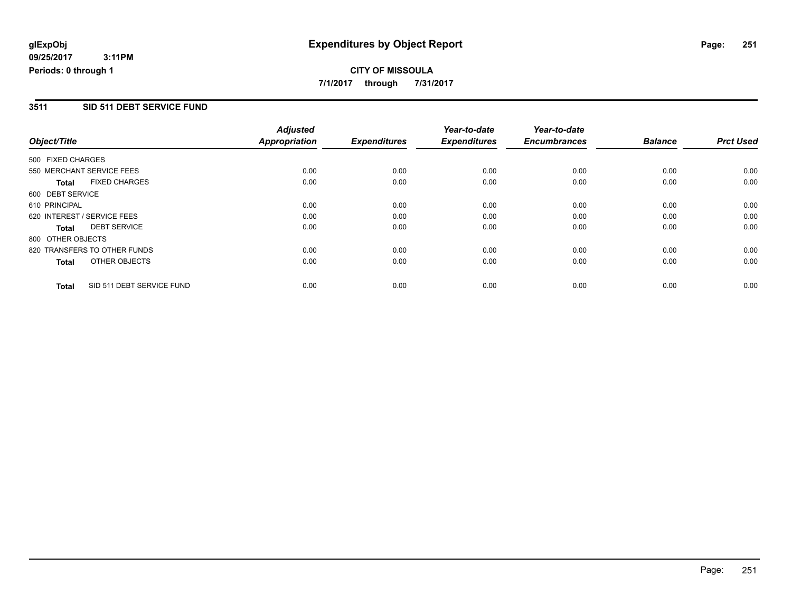## **CITY OF MISSOULA 7/1/2017 through 7/31/2017**

#### **3511 SID 511 DEBT SERVICE FUND**

|                   |                              | <b>Adjusted</b>      |                     | Year-to-date        | Year-to-date        |                |                  |
|-------------------|------------------------------|----------------------|---------------------|---------------------|---------------------|----------------|------------------|
| Object/Title      |                              | <b>Appropriation</b> | <b>Expenditures</b> | <b>Expenditures</b> | <b>Encumbrances</b> | <b>Balance</b> | <b>Prct Used</b> |
| 500 FIXED CHARGES |                              |                      |                     |                     |                     |                |                  |
|                   | 550 MERCHANT SERVICE FEES    | 0.00                 | 0.00                | 0.00                | 0.00                | 0.00           | 0.00             |
| <b>Total</b>      | <b>FIXED CHARGES</b>         | 0.00                 | 0.00                | 0.00                | 0.00                | 0.00           | 0.00             |
| 600 DEBT SERVICE  |                              |                      |                     |                     |                     |                |                  |
| 610 PRINCIPAL     |                              | 0.00                 | 0.00                | 0.00                | 0.00                | 0.00           | 0.00             |
|                   | 620 INTEREST / SERVICE FEES  | 0.00                 | 0.00                | 0.00                | 0.00                | 0.00           | 0.00             |
| <b>Total</b>      | <b>DEBT SERVICE</b>          | 0.00                 | 0.00                | 0.00                | 0.00                | 0.00           | 0.00             |
| 800 OTHER OBJECTS |                              |                      |                     |                     |                     |                |                  |
|                   | 820 TRANSFERS TO OTHER FUNDS | 0.00                 | 0.00                | 0.00                | 0.00                | 0.00           | 0.00             |
| <b>Total</b>      | OTHER OBJECTS                | 0.00                 | 0.00                | 0.00                | 0.00                | 0.00           | 0.00             |
| <b>Total</b>      | SID 511 DEBT SERVICE FUND    | 0.00                 | 0.00                | 0.00                | 0.00                | 0.00           | 0.00             |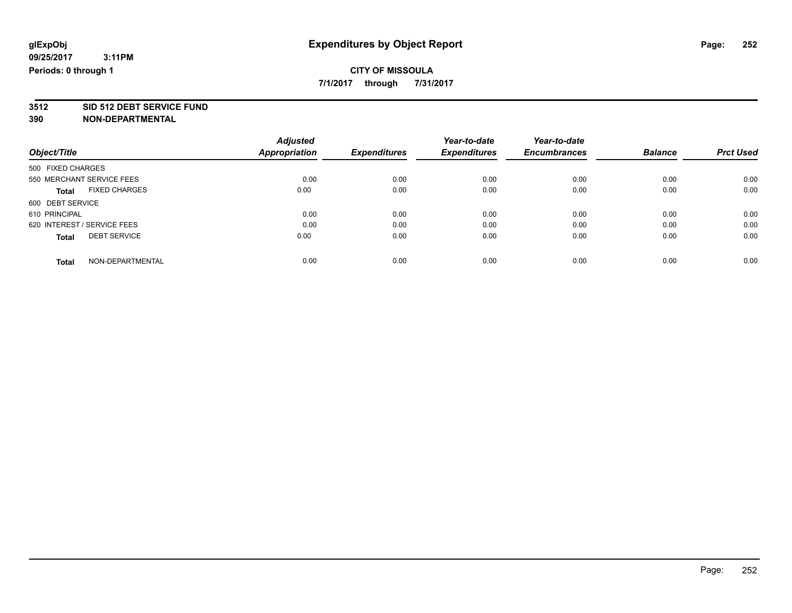**7/1/2017 through 7/31/2017**

# **3512 SID 512 DEBT SERVICE FUND**

|                                      | <b>Adjusted</b>      |                     | Year-to-date        | Year-to-date        |                |                  |
|--------------------------------------|----------------------|---------------------|---------------------|---------------------|----------------|------------------|
| Object/Title                         | <b>Appropriation</b> | <b>Expenditures</b> | <b>Expenditures</b> | <b>Encumbrances</b> | <b>Balance</b> | <b>Prct Used</b> |
| 500 FIXED CHARGES                    |                      |                     |                     |                     |                |                  |
| 550 MERCHANT SERVICE FEES            | 0.00                 | 0.00                | 0.00                | 0.00                | 0.00           | 0.00             |
| <b>FIXED CHARGES</b><br><b>Total</b> | 0.00                 | 0.00                | 0.00                | 0.00                | 0.00           | 0.00             |
| 600 DEBT SERVICE                     |                      |                     |                     |                     |                |                  |
| 610 PRINCIPAL                        | 0.00                 | 0.00                | 0.00                | 0.00                | 0.00           | 0.00             |
| 620 INTEREST / SERVICE FEES          | 0.00                 | 0.00                | 0.00                | 0.00                | 0.00           | 0.00             |
| <b>DEBT SERVICE</b><br><b>Total</b>  | 0.00                 | 0.00                | 0.00                | 0.00                | 0.00           | 0.00             |
| NON-DEPARTMENTAL<br><b>Total</b>     | 0.00                 | 0.00                | 0.00                | 0.00                | 0.00           | 0.00             |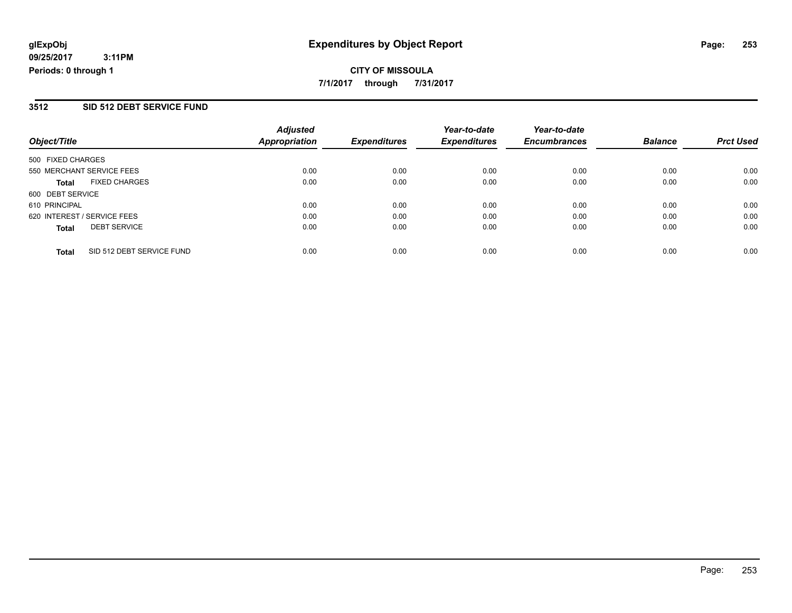#### **3512 SID 512 DEBT SERVICE FUND**

| Object/Title                              | <b>Adjusted</b><br><b>Appropriation</b> | <b>Expenditures</b> | Year-to-date<br><b>Expenditures</b> | Year-to-date<br><b>Encumbrances</b> | <b>Balance</b> | <b>Prct Used</b> |
|-------------------------------------------|-----------------------------------------|---------------------|-------------------------------------|-------------------------------------|----------------|------------------|
| 500 FIXED CHARGES                         |                                         |                     |                                     |                                     |                |                  |
| 550 MERCHANT SERVICE FEES                 | 0.00                                    | 0.00                | 0.00                                | 0.00                                | 0.00           | 0.00             |
| <b>FIXED CHARGES</b><br><b>Total</b>      | 0.00                                    | 0.00                | 0.00                                | 0.00                                | 0.00           | 0.00             |
| 600 DEBT SERVICE                          |                                         |                     |                                     |                                     |                |                  |
| 610 PRINCIPAL                             | 0.00                                    | 0.00                | 0.00                                | 0.00                                | 0.00           | 0.00             |
| 620 INTEREST / SERVICE FEES               | 0.00                                    | 0.00                | 0.00                                | 0.00                                | 0.00           | 0.00             |
| <b>DEBT SERVICE</b><br><b>Total</b>       | 0.00                                    | 0.00                | 0.00                                | 0.00                                | 0.00           | 0.00             |
| SID 512 DEBT SERVICE FUND<br><b>Total</b> | 0.00                                    | 0.00                | 0.00                                | 0.00                                | 0.00           | 0.00             |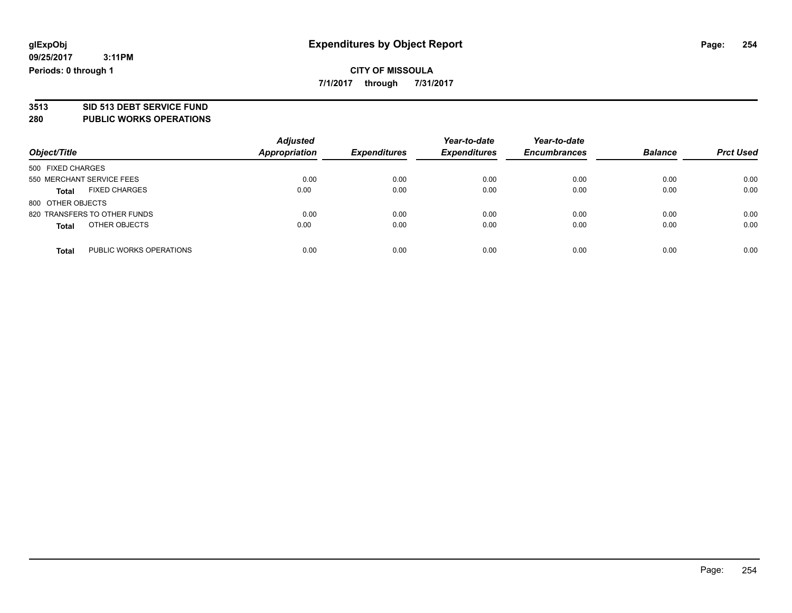## **CITY OF MISSOULA**

**7/1/2017 through 7/31/2017**

# **3513 SID 513 DEBT SERVICE FUND**

**280 PUBLIC WORKS OPERATIONS**

| Object/Title                            | <b>Adjusted</b><br><b>Appropriation</b> | <b>Expenditures</b> | Year-to-date<br><b>Expenditures</b> | Year-to-date<br><b>Encumbrances</b> | <b>Balance</b> | <b>Prct Used</b> |
|-----------------------------------------|-----------------------------------------|---------------------|-------------------------------------|-------------------------------------|----------------|------------------|
| 500 FIXED CHARGES                       |                                         |                     |                                     |                                     |                |                  |
|                                         |                                         |                     |                                     |                                     |                |                  |
| 550 MERCHANT SERVICE FEES               | 0.00                                    | 0.00                | 0.00                                | 0.00                                | 0.00           | 0.00             |
| <b>FIXED CHARGES</b><br><b>Total</b>    | 0.00                                    | 0.00                | 0.00                                | 0.00                                | 0.00           | 0.00             |
| 800 OTHER OBJECTS                       |                                         |                     |                                     |                                     |                |                  |
| 820 TRANSFERS TO OTHER FUNDS            | 0.00                                    | 0.00                | 0.00                                | 0.00                                | 0.00           | 0.00             |
| OTHER OBJECTS<br><b>Total</b>           | 0.00                                    | 0.00                | 0.00                                | 0.00                                | 0.00           | 0.00             |
| PUBLIC WORKS OPERATIONS<br><b>Total</b> | 0.00                                    | 0.00                | 0.00                                | 0.00                                | 0.00           | 0.00             |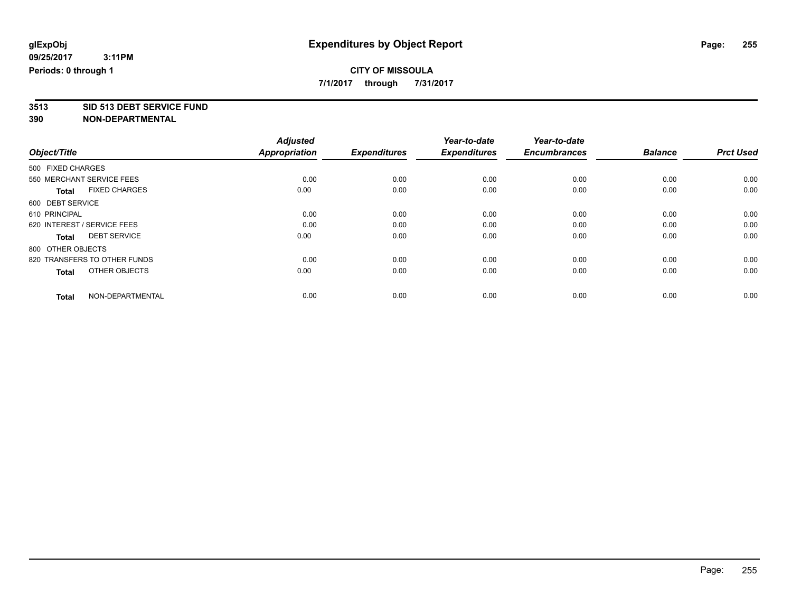**7/1/2017 through 7/31/2017**

# **3513 SID 513 DEBT SERVICE FUND**

|                                      | <b>Adjusted</b>      |                     | Year-to-date        | Year-to-date        |                |                  |
|--------------------------------------|----------------------|---------------------|---------------------|---------------------|----------------|------------------|
| Object/Title                         | <b>Appropriation</b> | <b>Expenditures</b> | <b>Expenditures</b> | <b>Encumbrances</b> | <b>Balance</b> | <b>Prct Used</b> |
| 500 FIXED CHARGES                    |                      |                     |                     |                     |                |                  |
| 550 MERCHANT SERVICE FEES            | 0.00                 | 0.00                | 0.00                | 0.00                | 0.00           | 0.00             |
| <b>FIXED CHARGES</b><br><b>Total</b> | 0.00                 | 0.00                | 0.00                | 0.00                | 0.00           | 0.00             |
| 600 DEBT SERVICE                     |                      |                     |                     |                     |                |                  |
| 610 PRINCIPAL                        | 0.00                 | 0.00                | 0.00                | 0.00                | 0.00           | 0.00             |
| 620 INTEREST / SERVICE FEES          | 0.00                 | 0.00                | 0.00                | 0.00                | 0.00           | 0.00             |
| <b>DEBT SERVICE</b><br><b>Total</b>  | 0.00                 | 0.00                | 0.00                | 0.00                | 0.00           | 0.00             |
| 800 OTHER OBJECTS                    |                      |                     |                     |                     |                |                  |
| 820 TRANSFERS TO OTHER FUNDS         | 0.00                 | 0.00                | 0.00                | 0.00                | 0.00           | 0.00             |
| OTHER OBJECTS<br><b>Total</b>        | 0.00                 | 0.00                | 0.00                | 0.00                | 0.00           | 0.00             |
|                                      |                      |                     |                     |                     |                |                  |
| NON-DEPARTMENTAL<br><b>Total</b>     | 0.00                 | 0.00                | 0.00                | 0.00                | 0.00           | 0.00             |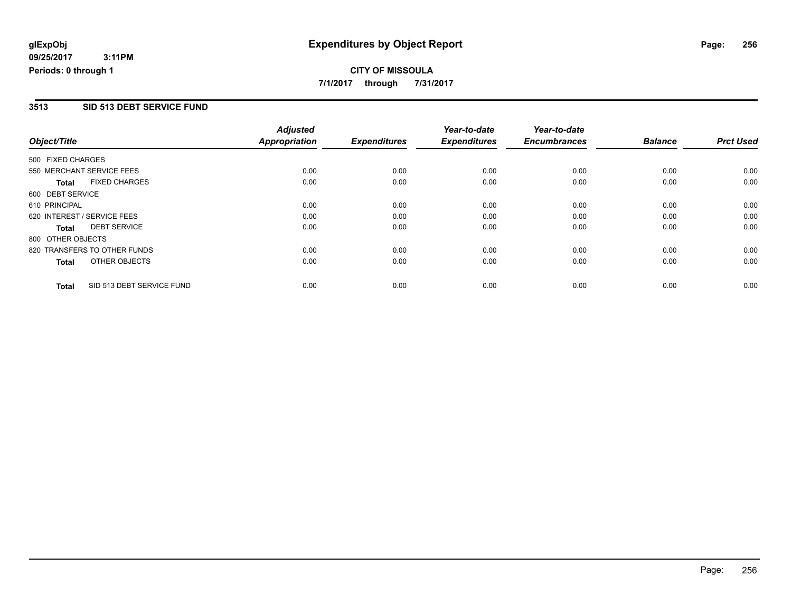### **CITY OF MISSOULA 7/1/2017 through 7/31/2017**

#### **3513 SID 513 DEBT SERVICE FUND**

| Object/Title      |                              | <b>Adjusted</b>      |      | Year-to-date<br><b>Expenditures</b><br><b>Expenditures</b> | Year-to-date<br><b>Encumbrances</b> | <b>Balance</b> | <b>Prct Used</b> |
|-------------------|------------------------------|----------------------|------|------------------------------------------------------------|-------------------------------------|----------------|------------------|
|                   |                              | <b>Appropriation</b> |      |                                                            |                                     |                |                  |
| 500 FIXED CHARGES |                              |                      |      |                                                            |                                     |                |                  |
|                   | 550 MERCHANT SERVICE FEES    | 0.00                 | 0.00 | 0.00                                                       | 0.00                                | 0.00           | 0.00             |
| <b>Total</b>      | <b>FIXED CHARGES</b>         | 0.00                 | 0.00 | 0.00                                                       | 0.00                                | 0.00           | 0.00             |
| 600 DEBT SERVICE  |                              |                      |      |                                                            |                                     |                |                  |
| 610 PRINCIPAL     |                              | 0.00                 | 0.00 | 0.00                                                       | 0.00                                | 0.00           | 0.00             |
|                   | 620 INTEREST / SERVICE FEES  | 0.00                 | 0.00 | 0.00                                                       | 0.00                                | 0.00           | 0.00             |
| Total             | <b>DEBT SERVICE</b>          | 0.00                 | 0.00 | 0.00                                                       | 0.00                                | 0.00           | 0.00             |
| 800 OTHER OBJECTS |                              |                      |      |                                                            |                                     |                |                  |
|                   | 820 TRANSFERS TO OTHER FUNDS | 0.00                 | 0.00 | 0.00                                                       | 0.00                                | 0.00           | 0.00             |
| <b>Total</b>      | OTHER OBJECTS                | 0.00                 | 0.00 | 0.00                                                       | 0.00                                | 0.00           | 0.00             |
| <b>Total</b>      | SID 513 DEBT SERVICE FUND    | 0.00                 | 0.00 | 0.00                                                       | 0.00                                | 0.00           | 0.00             |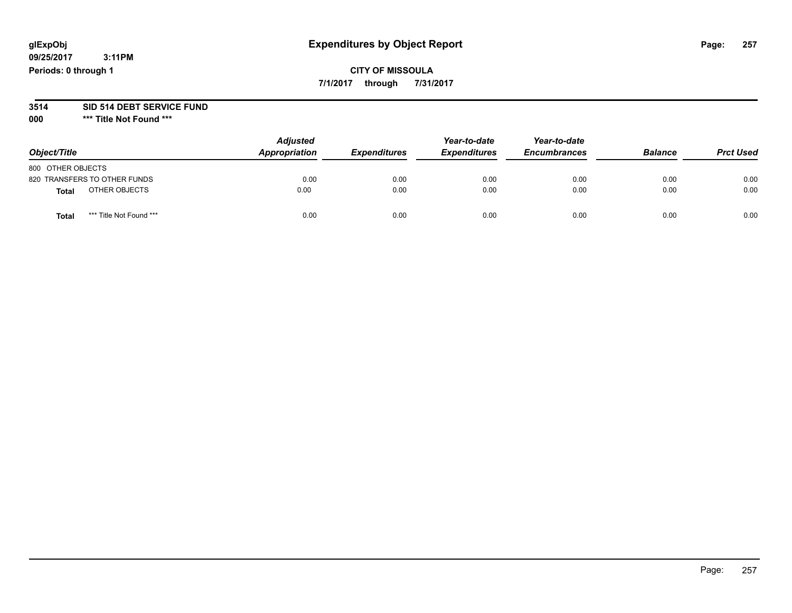### **glExpObj Expenditures by Object Report Page: 257**

**09/25/2017 3:11PM Periods: 0 through 1**

#### **CITY OF MISSOULA 7/1/2017 through 7/31/2017**

**3514 SID 514 DEBT SERVICE FUND**

**000 \*\*\* Title Not Found \*\*\***

| Object/Title                            | <b>Adjusted</b><br>Appropriation | <b>Expenditures</b> | Year-to-date<br><b>Expenditures</b> | Year-to-date<br><b>Encumbrances</b> | <b>Balance</b> | <b>Prct Used</b> |
|-----------------------------------------|----------------------------------|---------------------|-------------------------------------|-------------------------------------|----------------|------------------|
| 800 OTHER OBJECTS                       |                                  |                     |                                     |                                     |                |                  |
| 820 TRANSFERS TO OTHER FUNDS            | 0.00                             | 0.00                | 0.00                                | 0.00                                | 0.00           | 0.00             |
| OTHER OBJECTS<br><b>Total</b>           | 0.00                             | 0.00                | 0.00                                | 0.00                                | 0.00           | 0.00             |
| *** Title Not Found ***<br><b>Total</b> | 0.00                             | 0.00                | 0.00                                | 0.00                                | 0.00           | 0.00             |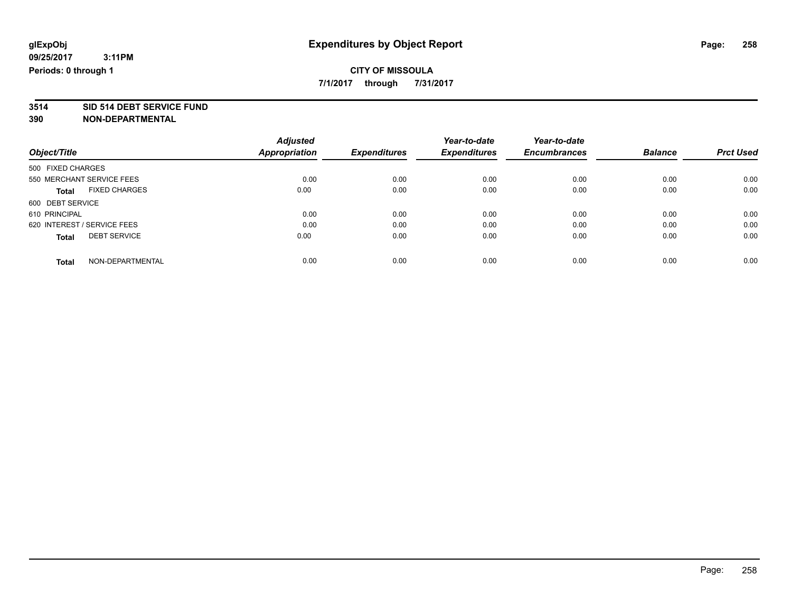**7/1/2017 through 7/31/2017**

# **3514 SID 514 DEBT SERVICE FUND**

|                                      | <b>Adjusted</b>      |                     | Year-to-date        | Year-to-date        |                |                  |
|--------------------------------------|----------------------|---------------------|---------------------|---------------------|----------------|------------------|
| Object/Title                         | <b>Appropriation</b> | <b>Expenditures</b> | <b>Expenditures</b> | <b>Encumbrances</b> | <b>Balance</b> | <b>Prct Used</b> |
| 500 FIXED CHARGES                    |                      |                     |                     |                     |                |                  |
| 550 MERCHANT SERVICE FEES            | 0.00                 | 0.00                | 0.00                | 0.00                | 0.00           | 0.00             |
| <b>FIXED CHARGES</b><br><b>Total</b> | 0.00                 | 0.00                | 0.00                | 0.00                | 0.00           | 0.00             |
| 600 DEBT SERVICE                     |                      |                     |                     |                     |                |                  |
| 610 PRINCIPAL                        | 0.00                 | 0.00                | 0.00                | 0.00                | 0.00           | 0.00             |
| 620 INTEREST / SERVICE FEES          | 0.00                 | 0.00                | 0.00                | 0.00                | 0.00           | 0.00             |
| <b>DEBT SERVICE</b><br><b>Total</b>  | 0.00                 | 0.00                | 0.00                | 0.00                | 0.00           | 0.00             |
| NON-DEPARTMENTAL<br><b>Total</b>     | 0.00                 | 0.00                | 0.00                | 0.00                | 0.00           | 0.00             |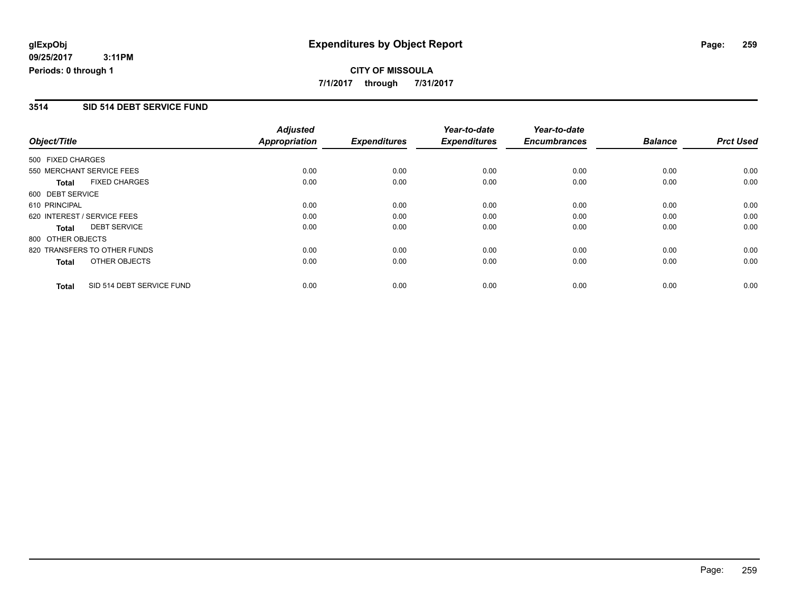#### **CITY OF MISSOULA 7/1/2017 through 7/31/2017**

#### **3514 SID 514 DEBT SERVICE FUND**

| Object/Title      |                              | <b>Adjusted</b><br><b>Appropriation</b> |                     | Year-to-date<br><b>Expenditures</b> | Year-to-date<br><b>Encumbrances</b> | <b>Balance</b> | <b>Prct Used</b> |
|-------------------|------------------------------|-----------------------------------------|---------------------|-------------------------------------|-------------------------------------|----------------|------------------|
|                   |                              |                                         | <b>Expenditures</b> |                                     |                                     |                |                  |
| 500 FIXED CHARGES |                              |                                         |                     |                                     |                                     |                |                  |
|                   | 550 MERCHANT SERVICE FEES    | 0.00                                    | 0.00                | 0.00                                | 0.00                                | 0.00           | 0.00             |
| <b>Total</b>      | <b>FIXED CHARGES</b>         | 0.00                                    | 0.00                | 0.00                                | 0.00                                | 0.00           | 0.00             |
| 600 DEBT SERVICE  |                              |                                         |                     |                                     |                                     |                |                  |
| 610 PRINCIPAL     |                              | 0.00                                    | 0.00                | 0.00                                | 0.00                                | 0.00           | 0.00             |
|                   | 620 INTEREST / SERVICE FEES  | 0.00                                    | 0.00                | 0.00                                | 0.00                                | 0.00           | 0.00             |
| Total             | <b>DEBT SERVICE</b>          | 0.00                                    | 0.00                | 0.00                                | 0.00                                | 0.00           | 0.00             |
| 800 OTHER OBJECTS |                              |                                         |                     |                                     |                                     |                |                  |
|                   | 820 TRANSFERS TO OTHER FUNDS | 0.00                                    | 0.00                | 0.00                                | 0.00                                | 0.00           | 0.00             |
| <b>Total</b>      | OTHER OBJECTS                | 0.00                                    | 0.00                | 0.00                                | 0.00                                | 0.00           | 0.00             |
| <b>Total</b>      | SID 514 DEBT SERVICE FUND    | 0.00                                    | 0.00                | 0.00                                | 0.00                                | 0.00           | 0.00             |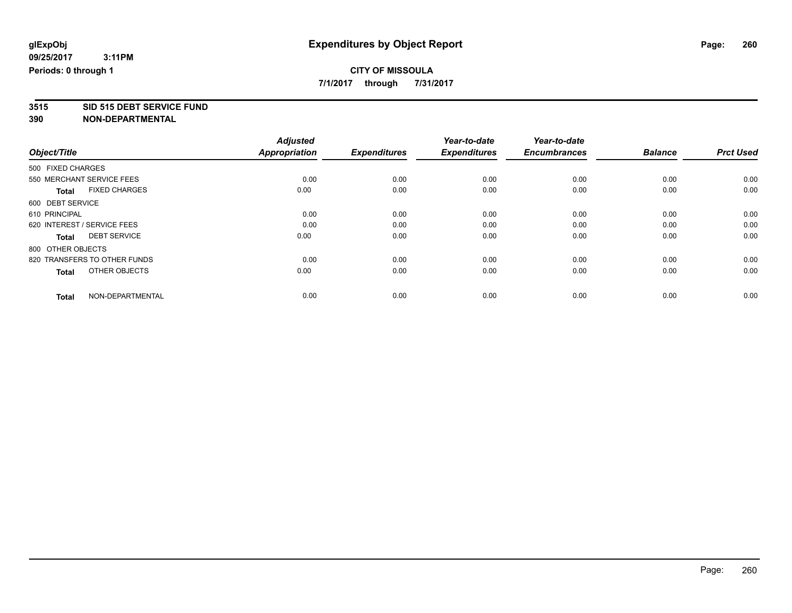**7/1/2017 through 7/31/2017**

# **3515 SID 515 DEBT SERVICE FUND**

|                                      | <b>Adjusted</b>      | <b>Expenditures</b> | Year-to-date<br><b>Expenditures</b> | Year-to-date<br><b>Encumbrances</b> | <b>Balance</b> | <b>Prct Used</b> |
|--------------------------------------|----------------------|---------------------|-------------------------------------|-------------------------------------|----------------|------------------|
| Object/Title                         | <b>Appropriation</b> |                     |                                     |                                     |                |                  |
| 500 FIXED CHARGES                    |                      |                     |                                     |                                     |                |                  |
| 550 MERCHANT SERVICE FEES            | 0.00                 | 0.00                | 0.00                                | 0.00                                | 0.00           | 0.00             |
| <b>FIXED CHARGES</b><br><b>Total</b> | 0.00                 | 0.00                | 0.00                                | 0.00                                | 0.00           | 0.00             |
| 600 DEBT SERVICE                     |                      |                     |                                     |                                     |                |                  |
| 610 PRINCIPAL                        | 0.00                 | 0.00                | 0.00                                | 0.00                                | 0.00           | 0.00             |
| 620 INTEREST / SERVICE FEES          | 0.00                 | 0.00                | 0.00                                | 0.00                                | 0.00           | 0.00             |
| <b>DEBT SERVICE</b><br><b>Total</b>  | 0.00                 | 0.00                | 0.00                                | 0.00                                | 0.00           | 0.00             |
| 800 OTHER OBJECTS                    |                      |                     |                                     |                                     |                |                  |
| 820 TRANSFERS TO OTHER FUNDS         | 0.00                 | 0.00                | 0.00                                | 0.00                                | 0.00           | 0.00             |
| OTHER OBJECTS<br><b>Total</b>        | 0.00                 | 0.00                | 0.00                                | 0.00                                | 0.00           | 0.00             |
|                                      |                      |                     |                                     |                                     |                |                  |
| NON-DEPARTMENTAL<br><b>Total</b>     | 0.00                 | 0.00                | 0.00                                | 0.00                                | 0.00           | 0.00             |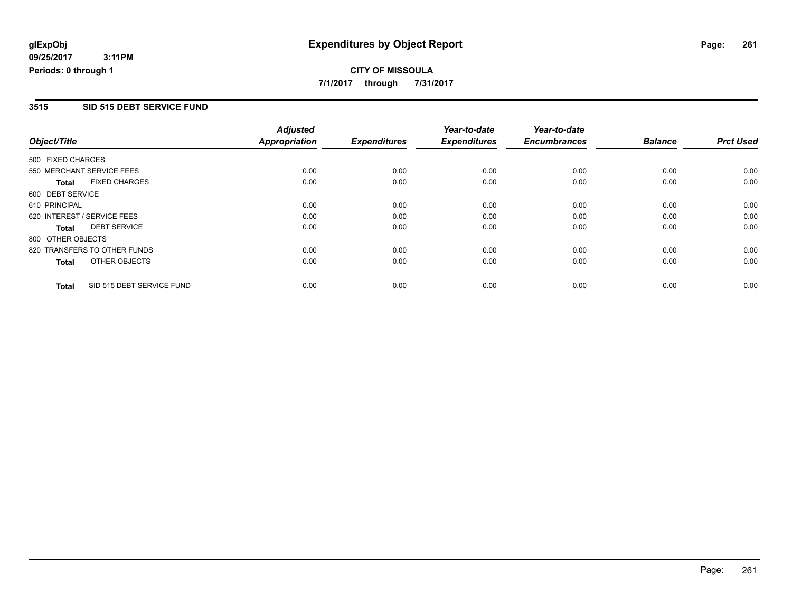**CITY OF MISSOULA 7/1/2017 through 7/31/2017**

#### **3515 SID 515 DEBT SERVICE FUND**

| Object/Title      |                              | <b>Adjusted</b>      |                     | Year-to-date        | Year-to-date        |                |                  |
|-------------------|------------------------------|----------------------|---------------------|---------------------|---------------------|----------------|------------------|
|                   |                              | <b>Appropriation</b> | <b>Expenditures</b> | <b>Expenditures</b> | <b>Encumbrances</b> | <b>Balance</b> | <b>Prct Used</b> |
| 500 FIXED CHARGES |                              |                      |                     |                     |                     |                |                  |
|                   | 550 MERCHANT SERVICE FEES    | 0.00                 | 0.00                | 0.00                | 0.00                | 0.00           | 0.00             |
| <b>Total</b>      | <b>FIXED CHARGES</b>         | 0.00                 | 0.00                | 0.00                | 0.00                | 0.00           | 0.00             |
| 600 DEBT SERVICE  |                              |                      |                     |                     |                     |                |                  |
| 610 PRINCIPAL     |                              | 0.00                 | 0.00                | 0.00                | 0.00                | 0.00           | 0.00             |
|                   | 620 INTEREST / SERVICE FEES  | 0.00                 | 0.00                | 0.00                | 0.00                | 0.00           | 0.00             |
| Total             | <b>DEBT SERVICE</b>          | 0.00                 | 0.00                | 0.00                | 0.00                | 0.00           | 0.00             |
| 800 OTHER OBJECTS |                              |                      |                     |                     |                     |                |                  |
|                   | 820 TRANSFERS TO OTHER FUNDS | 0.00                 | 0.00                | 0.00                | 0.00                | 0.00           | 0.00             |
| Total             | OTHER OBJECTS                | 0.00                 | 0.00                | 0.00                | 0.00                | 0.00           | 0.00             |
| <b>Total</b>      | SID 515 DEBT SERVICE FUND    | 0.00                 | 0.00                | 0.00                | 0.00                | 0.00           | 0.00             |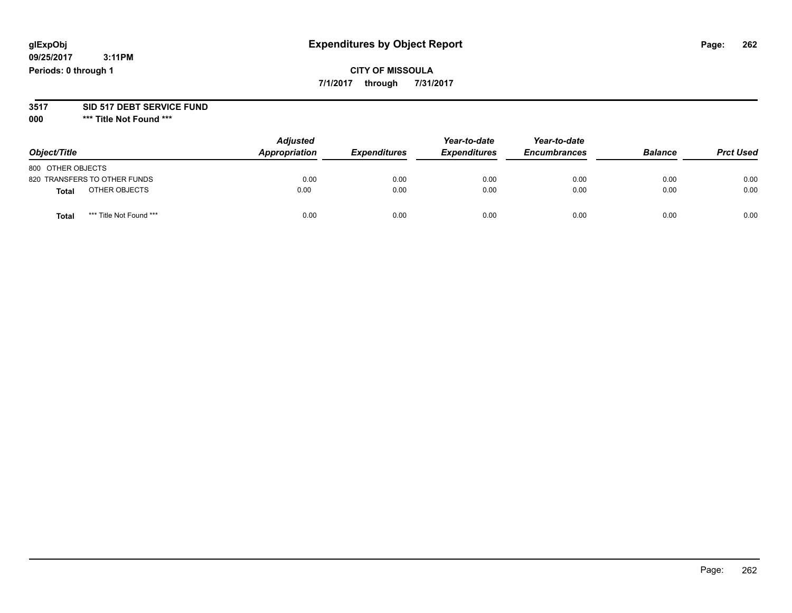#### **glExpObj Expenditures by Object Report Page: 262**

**09/25/2017 3:11PM Periods: 0 through 1**

**CITY OF MISSOULA 7/1/2017 through 7/31/2017**

**3517 SID 517 DEBT SERVICE FUND**

**000 \*\*\* Title Not Found \*\*\***

| Object/Title                            | <b>Adjusted</b><br><b>Appropriation</b> | <b>Expenditures</b> | Year-to-date<br><b>Expenditures</b> | Year-to-date<br><b>Encumbrances</b> | <b>Balance</b> | <b>Prct Used</b> |
|-----------------------------------------|-----------------------------------------|---------------------|-------------------------------------|-------------------------------------|----------------|------------------|
| 800 OTHER OBJECTS                       |                                         |                     |                                     |                                     |                |                  |
| 820 TRANSFERS TO OTHER FUNDS            | 0.00                                    | 0.00                | 0.00                                | 0.00                                | 0.00           | 0.00             |
| OTHER OBJECTS<br><b>Total</b>           | 0.00                                    | 0.00                | 0.00                                | 0.00                                | 0.00           | 0.00             |
| *** Title Not Found ***<br><b>Total</b> | 0.00                                    | 0.00                | 0.00                                | 0.00                                | 0.00           | 0.00             |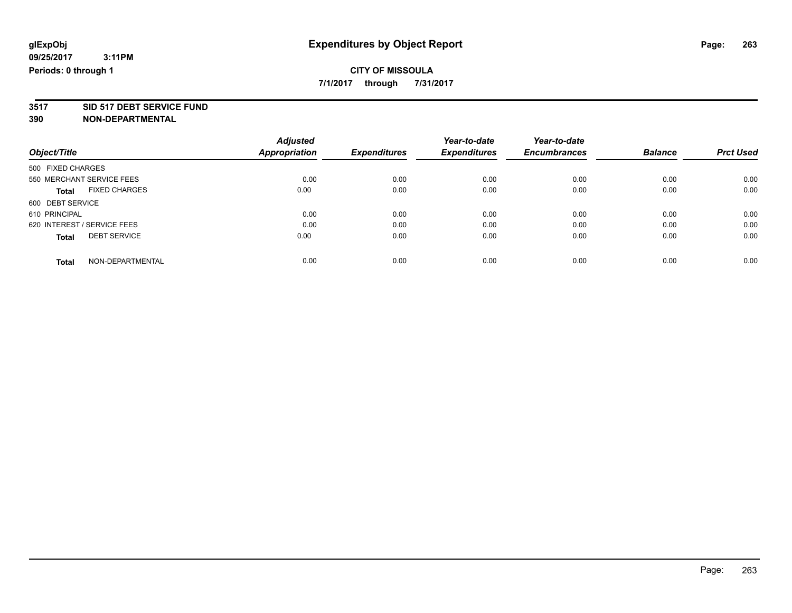**7/1/2017 through 7/31/2017**

# **3517 SID 517 DEBT SERVICE FUND**

|                                      | <b>Adjusted</b>      |                     | Year-to-date        | Year-to-date        |                |                  |
|--------------------------------------|----------------------|---------------------|---------------------|---------------------|----------------|------------------|
| Object/Title                         | <b>Appropriation</b> | <b>Expenditures</b> | <b>Expenditures</b> | <b>Encumbrances</b> | <b>Balance</b> | <b>Prct Used</b> |
| 500 FIXED CHARGES                    |                      |                     |                     |                     |                |                  |
| 550 MERCHANT SERVICE FEES            | 0.00                 | 0.00                | 0.00                | 0.00                | 0.00           | 0.00             |
| <b>FIXED CHARGES</b><br><b>Total</b> | 0.00                 | 0.00                | 0.00                | 0.00                | 0.00           | 0.00             |
| 600 DEBT SERVICE                     |                      |                     |                     |                     |                |                  |
| 610 PRINCIPAL                        | 0.00                 | 0.00                | 0.00                | 0.00                | 0.00           | 0.00             |
| 620 INTEREST / SERVICE FEES          | 0.00                 | 0.00                | 0.00                | 0.00                | 0.00           | 0.00             |
| <b>DEBT SERVICE</b><br><b>Total</b>  | 0.00                 | 0.00                | 0.00                | 0.00                | 0.00           | 0.00             |
| NON-DEPARTMENTAL<br><b>Total</b>     | 0.00                 | 0.00                | 0.00                | 0.00                | 0.00           | 0.00             |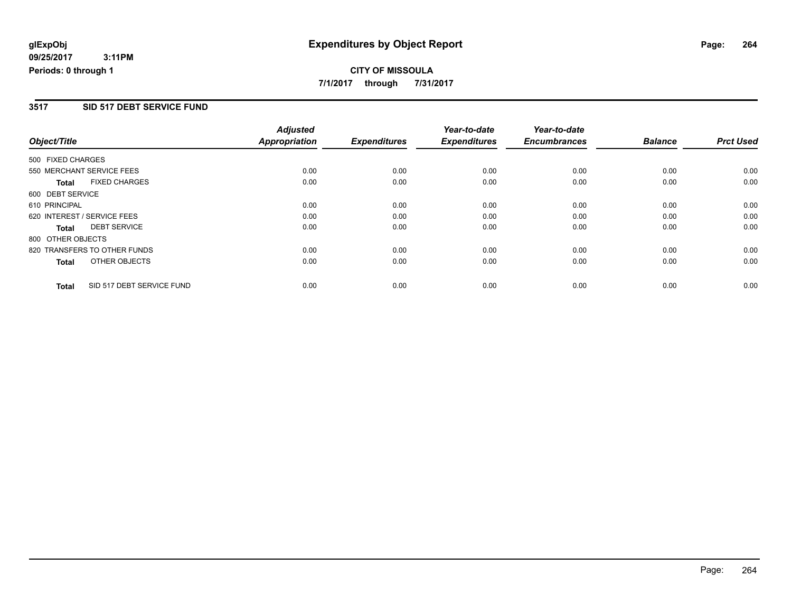#### **CITY OF MISSOULA 7/1/2017 through 7/31/2017**

#### **3517 SID 517 DEBT SERVICE FUND**

| Object/Title      |                              | <b>Adjusted</b><br><b>Appropriation</b> |                     | Year-to-date        | Year-to-date<br><b>Encumbrances</b> | <b>Balance</b> | <b>Prct Used</b> |
|-------------------|------------------------------|-----------------------------------------|---------------------|---------------------|-------------------------------------|----------------|------------------|
|                   |                              |                                         | <b>Expenditures</b> | <b>Expenditures</b> |                                     |                |                  |
| 500 FIXED CHARGES |                              |                                         |                     |                     |                                     |                |                  |
|                   | 550 MERCHANT SERVICE FEES    | 0.00                                    | 0.00                | 0.00                | 0.00                                | 0.00           | 0.00             |
| <b>Total</b>      | <b>FIXED CHARGES</b>         | 0.00                                    | 0.00                | 0.00                | 0.00                                | 0.00           | 0.00             |
| 600 DEBT SERVICE  |                              |                                         |                     |                     |                                     |                |                  |
| 610 PRINCIPAL     |                              | 0.00                                    | 0.00                | 0.00                | 0.00                                | 0.00           | 0.00             |
|                   | 620 INTEREST / SERVICE FEES  | 0.00                                    | 0.00                | 0.00                | 0.00                                | 0.00           | 0.00             |
| Total             | <b>DEBT SERVICE</b>          | 0.00                                    | 0.00                | 0.00                | 0.00                                | 0.00           | 0.00             |
| 800 OTHER OBJECTS |                              |                                         |                     |                     |                                     |                |                  |
|                   | 820 TRANSFERS TO OTHER FUNDS | 0.00                                    | 0.00                | 0.00                | 0.00                                | 0.00           | 0.00             |
| <b>Total</b>      | OTHER OBJECTS                | 0.00                                    | 0.00                | 0.00                | 0.00                                | 0.00           | 0.00             |
| <b>Total</b>      | SID 517 DEBT SERVICE FUND    | 0.00                                    | 0.00                | 0.00                | 0.00                                | 0.00           | 0.00             |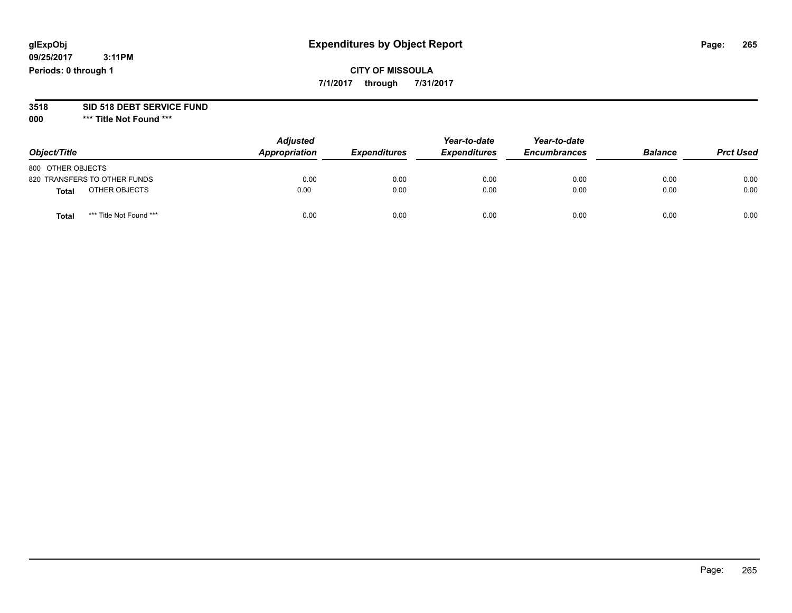### **glExpObj Expenditures by Object Report Page: 265**

**09/25/2017 3:11PM Periods: 0 through 1**

**CITY OF MISSOULA 7/1/2017 through 7/31/2017**

**3518 SID 518 DEBT SERVICE FUND**

**000 \*\*\* Title Not Found \*\*\***

| Object/Title                     | <b>Adjusted</b><br>Appropriation | <b>Expenditures</b> | Year-to-date<br><b>Expenditures</b> | Year-to-date<br><b>Encumbrances</b> | <b>Balance</b> | <b>Prct Used</b> |
|----------------------------------|----------------------------------|---------------------|-------------------------------------|-------------------------------------|----------------|------------------|
| 800 OTHER OBJECTS                |                                  |                     |                                     |                                     |                |                  |
| 820 TRANSFERS TO OTHER FUNDS     | 0.00                             | 0.00                | 0.00                                | 0.00                                | 0.00           | 0.00             |
| OTHER OBJECTS<br>Total           | 0.00                             | 0.00                | 0.00                                | 0.00                                | 0.00           | 0.00             |
| *** Title Not Found ***<br>Total | 0.00                             | 0.00                | 0.00                                | 0.00                                | 0.00           | 0.00             |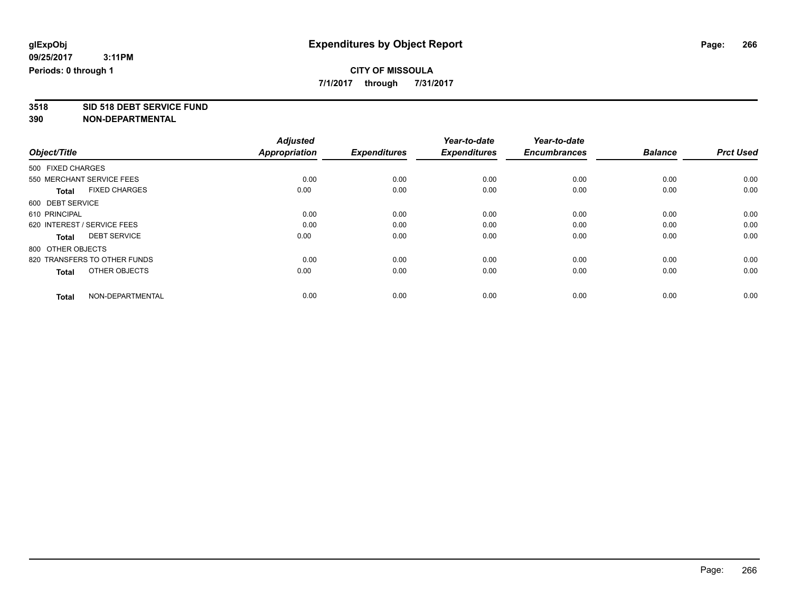**7/1/2017 through 7/31/2017**

**3518 SID 518 DEBT SERVICE FUND**

|                                      | <b>Adjusted</b>      | <b>Expenditures</b> | Year-to-date<br><b>Expenditures</b> | Year-to-date<br><b>Encumbrances</b> | <b>Balance</b> | <b>Prct Used</b> |
|--------------------------------------|----------------------|---------------------|-------------------------------------|-------------------------------------|----------------|------------------|
| Object/Title                         | <b>Appropriation</b> |                     |                                     |                                     |                |                  |
| 500 FIXED CHARGES                    |                      |                     |                                     |                                     |                |                  |
| 550 MERCHANT SERVICE FEES            | 0.00                 | 0.00                | 0.00                                | 0.00                                | 0.00           | 0.00             |
| <b>FIXED CHARGES</b><br><b>Total</b> | 0.00                 | 0.00                | 0.00                                | 0.00                                | 0.00           | 0.00             |
| 600 DEBT SERVICE                     |                      |                     |                                     |                                     |                |                  |
| 610 PRINCIPAL                        | 0.00                 | 0.00                | 0.00                                | 0.00                                | 0.00           | 0.00             |
| 620 INTEREST / SERVICE FEES          | 0.00                 | 0.00                | 0.00                                | 0.00                                | 0.00           | 0.00             |
| <b>DEBT SERVICE</b><br><b>Total</b>  | 0.00                 | 0.00                | 0.00                                | 0.00                                | 0.00           | 0.00             |
| 800 OTHER OBJECTS                    |                      |                     |                                     |                                     |                |                  |
| 820 TRANSFERS TO OTHER FUNDS         | 0.00                 | 0.00                | 0.00                                | 0.00                                | 0.00           | 0.00             |
| OTHER OBJECTS<br><b>Total</b>        | 0.00                 | 0.00                | 0.00                                | 0.00                                | 0.00           | 0.00             |
|                                      |                      |                     |                                     |                                     |                |                  |
| NON-DEPARTMENTAL<br><b>Total</b>     | 0.00                 | 0.00                | 0.00                                | 0.00                                | 0.00           | 0.00             |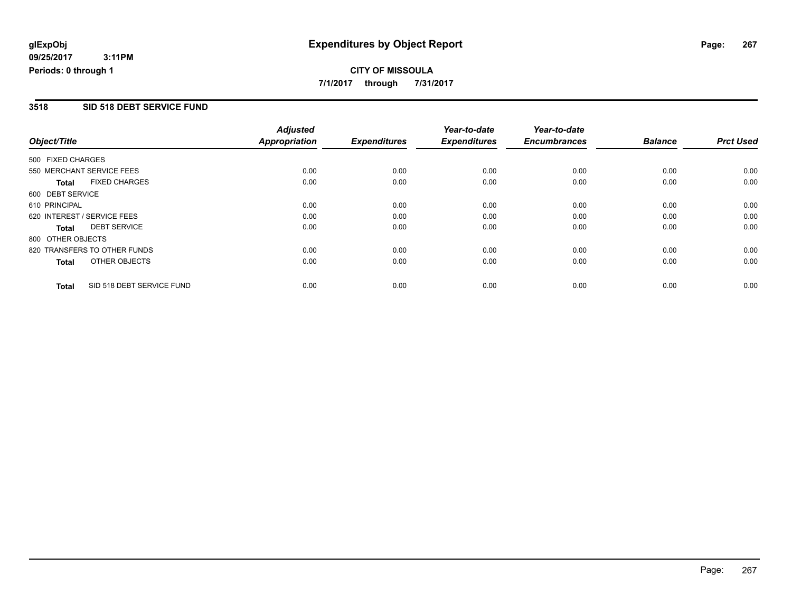**CITY OF MISSOULA 7/1/2017 through 7/31/2017**

#### **3518 SID 518 DEBT SERVICE FUND**

|                   |                              | <b>Adjusted</b>      |                     | Year-to-date        | Year-to-date        |                |                  |
|-------------------|------------------------------|----------------------|---------------------|---------------------|---------------------|----------------|------------------|
| Object/Title      |                              | <b>Appropriation</b> | <b>Expenditures</b> | <b>Expenditures</b> | <b>Encumbrances</b> | <b>Balance</b> | <b>Prct Used</b> |
| 500 FIXED CHARGES |                              |                      |                     |                     |                     |                |                  |
|                   | 550 MERCHANT SERVICE FEES    | 0.00                 | 0.00                | 0.00                | 0.00                | 0.00           | 0.00             |
| <b>Total</b>      | <b>FIXED CHARGES</b>         | 0.00                 | 0.00                | 0.00                | 0.00                | 0.00           | 0.00             |
| 600 DEBT SERVICE  |                              |                      |                     |                     |                     |                |                  |
| 610 PRINCIPAL     |                              | 0.00                 | 0.00                | 0.00                | 0.00                | 0.00           | 0.00             |
|                   | 620 INTEREST / SERVICE FEES  | 0.00                 | 0.00                | 0.00                | 0.00                | 0.00           | 0.00             |
| Total             | <b>DEBT SERVICE</b>          | 0.00                 | 0.00                | 0.00                | 0.00                | 0.00           | 0.00             |
| 800 OTHER OBJECTS |                              |                      |                     |                     |                     |                |                  |
|                   | 820 TRANSFERS TO OTHER FUNDS | 0.00                 | 0.00                | 0.00                | 0.00                | 0.00           | 0.00             |
| <b>Total</b>      | OTHER OBJECTS                | 0.00                 | 0.00                | 0.00                | 0.00                | 0.00           | 0.00             |
| <b>Total</b>      | SID 518 DEBT SERVICE FUND    | 0.00                 | 0.00                | 0.00                | 0.00                | 0.00           | 0.00             |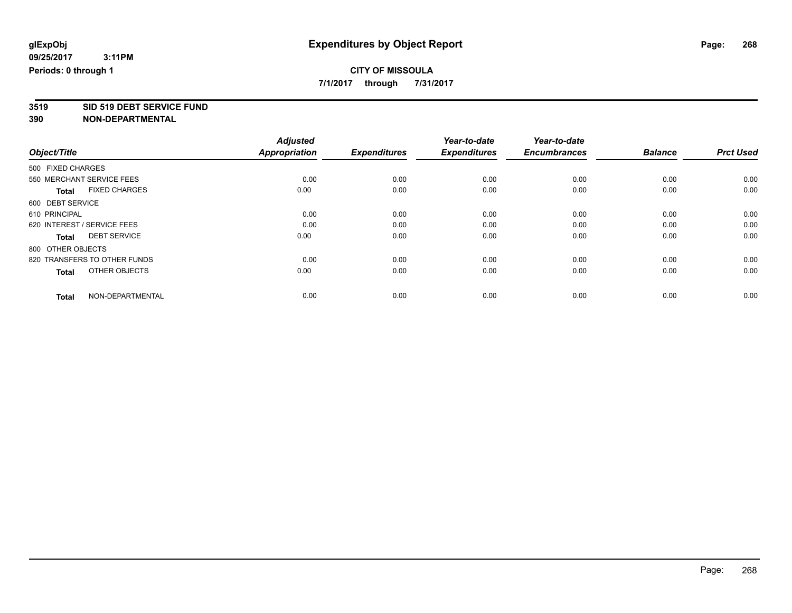**7/1/2017 through 7/31/2017**

# **3519 SID 519 DEBT SERVICE FUND**

|                                      | <b>Adjusted</b>      |                     | Year-to-date        | Year-to-date        |                |                  |
|--------------------------------------|----------------------|---------------------|---------------------|---------------------|----------------|------------------|
| Object/Title                         | <b>Appropriation</b> | <b>Expenditures</b> | <b>Expenditures</b> | <b>Encumbrances</b> | <b>Balance</b> | <b>Prct Used</b> |
| 500 FIXED CHARGES                    |                      |                     |                     |                     |                |                  |
| 550 MERCHANT SERVICE FEES            | 0.00                 | 0.00                | 0.00                | 0.00                | 0.00           | 0.00             |
| <b>FIXED CHARGES</b><br><b>Total</b> | 0.00                 | 0.00                | 0.00                | 0.00                | 0.00           | 0.00             |
| 600 DEBT SERVICE                     |                      |                     |                     |                     |                |                  |
| 610 PRINCIPAL                        | 0.00                 | 0.00                | 0.00                | 0.00                | 0.00           | 0.00             |
| 620 INTEREST / SERVICE FEES          | 0.00                 | 0.00                | 0.00                | 0.00                | 0.00           | 0.00             |
| <b>DEBT SERVICE</b><br><b>Total</b>  | 0.00                 | 0.00                | 0.00                | 0.00                | 0.00           | 0.00             |
| 800 OTHER OBJECTS                    |                      |                     |                     |                     |                |                  |
| 820 TRANSFERS TO OTHER FUNDS         | 0.00                 | 0.00                | 0.00                | 0.00                | 0.00           | 0.00             |
| OTHER OBJECTS<br><b>Total</b>        | 0.00                 | 0.00                | 0.00                | 0.00                | 0.00           | 0.00             |
|                                      |                      |                     |                     |                     |                |                  |
| NON-DEPARTMENTAL<br><b>Total</b>     | 0.00                 | 0.00                | 0.00                | 0.00                | 0.00           | 0.00             |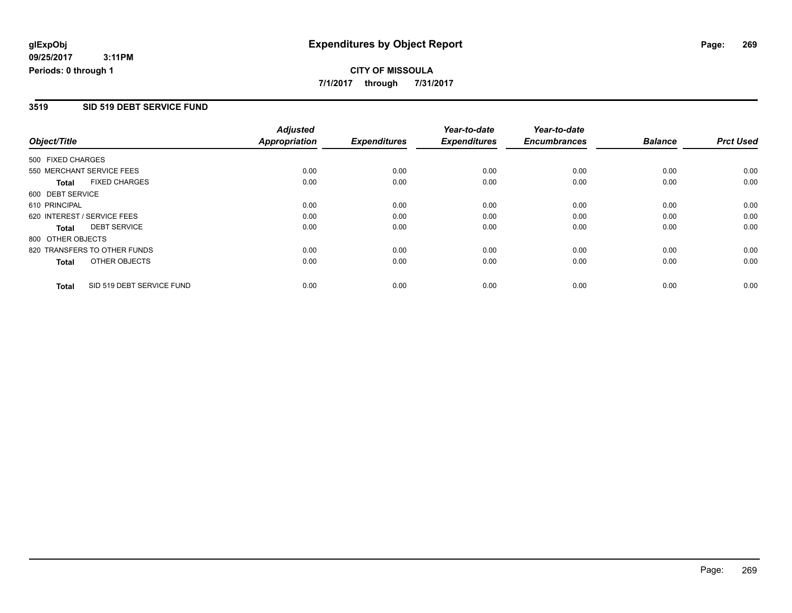### **CITY OF MISSOULA 7/1/2017 through 7/31/2017**

#### **3519 SID 519 DEBT SERVICE FUND**

|                   |                              | <b>Adjusted</b>      |                     | Year-to-date        | Year-to-date        |                |                  |
|-------------------|------------------------------|----------------------|---------------------|---------------------|---------------------|----------------|------------------|
| Object/Title      |                              | <b>Appropriation</b> | <b>Expenditures</b> | <b>Expenditures</b> | <b>Encumbrances</b> | <b>Balance</b> | <b>Prct Used</b> |
| 500 FIXED CHARGES |                              |                      |                     |                     |                     |                |                  |
|                   | 550 MERCHANT SERVICE FEES    | 0.00                 | 0.00                | 0.00                | 0.00                | 0.00           | 0.00             |
| <b>Total</b>      | <b>FIXED CHARGES</b>         | 0.00                 | 0.00                | 0.00                | 0.00                | 0.00           | 0.00             |
| 600 DEBT SERVICE  |                              |                      |                     |                     |                     |                |                  |
| 610 PRINCIPAL     |                              | 0.00                 | 0.00                | 0.00                | 0.00                | 0.00           | 0.00             |
|                   | 620 INTEREST / SERVICE FEES  | 0.00                 | 0.00                | 0.00                | 0.00                | 0.00           | 0.00             |
| Total             | <b>DEBT SERVICE</b>          | 0.00                 | 0.00                | 0.00                | 0.00                | 0.00           | 0.00             |
| 800 OTHER OBJECTS |                              |                      |                     |                     |                     |                |                  |
|                   | 820 TRANSFERS TO OTHER FUNDS | 0.00                 | 0.00                | 0.00                | 0.00                | 0.00           | 0.00             |
| <b>Total</b>      | OTHER OBJECTS                | 0.00                 | 0.00                | 0.00                | 0.00                | 0.00           | 0.00             |
| <b>Total</b>      | SID 519 DEBT SERVICE FUND    | 0.00                 | 0.00                | 0.00                | 0.00                | 0.00           | 0.00             |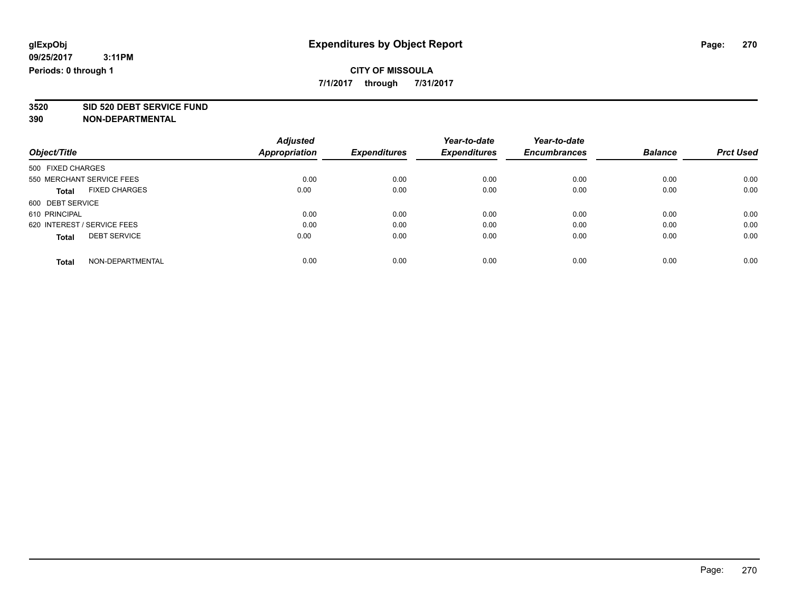**7/1/2017 through 7/31/2017**

**3520 SID 520 DEBT SERVICE FUND**

|                             |                      | <b>Adjusted</b>      |                     | Year-to-date        | Year-to-date        |                |                  |
|-----------------------------|----------------------|----------------------|---------------------|---------------------|---------------------|----------------|------------------|
| Object/Title                |                      | <b>Appropriation</b> | <b>Expenditures</b> | <b>Expenditures</b> | <b>Encumbrances</b> | <b>Balance</b> | <b>Prct Used</b> |
| 500 FIXED CHARGES           |                      |                      |                     |                     |                     |                |                  |
| 550 MERCHANT SERVICE FEES   |                      | 0.00                 | 0.00                | 0.00                | 0.00                | 0.00           | 0.00             |
| <b>Total</b>                | <b>FIXED CHARGES</b> | 0.00                 | 0.00                | 0.00                | 0.00                | 0.00           | 0.00             |
| 600 DEBT SERVICE            |                      |                      |                     |                     |                     |                |                  |
| 610 PRINCIPAL               |                      | 0.00                 | 0.00                | 0.00                | 0.00                | 0.00           | 0.00             |
| 620 INTEREST / SERVICE FEES |                      | 0.00                 | 0.00                | 0.00                | 0.00                | 0.00           | 0.00             |
| <b>Total</b>                | <b>DEBT SERVICE</b>  | 0.00                 | 0.00                | 0.00                | 0.00                | 0.00           | 0.00             |
| <b>Total</b>                | NON-DEPARTMENTAL     | 0.00                 | 0.00                | 0.00                | 0.00                | 0.00           | 0.00             |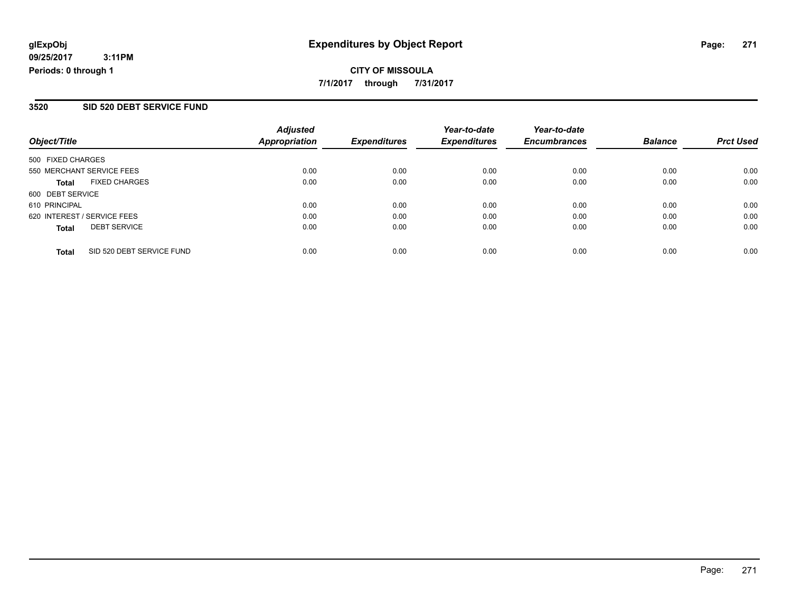#### **CITY OF MISSOULA 7/1/2017 through 7/31/2017**

#### **3520 SID 520 DEBT SERVICE FUND**

| Object/Title                        |                           | <b>Adjusted</b><br><b>Appropriation</b> | <b>Expenditures</b> | Year-to-date<br><b>Expenditures</b> | Year-to-date<br><b>Encumbrances</b> | <b>Balance</b> | <b>Prct Used</b> |
|-------------------------------------|---------------------------|-----------------------------------------|---------------------|-------------------------------------|-------------------------------------|----------------|------------------|
| 500 FIXED CHARGES                   |                           |                                         |                     |                                     |                                     |                |                  |
| 550 MERCHANT SERVICE FEES           |                           | 0.00                                    | 0.00                | 0.00                                | 0.00                                | 0.00           | 0.00             |
| <b>FIXED CHARGES</b><br>Total       |                           | 0.00                                    | 0.00                | 0.00                                | 0.00                                | 0.00           | 0.00             |
| 600 DEBT SERVICE                    |                           |                                         |                     |                                     |                                     |                |                  |
| 610 PRINCIPAL                       |                           | 0.00                                    | 0.00                | 0.00                                | 0.00                                | 0.00           | 0.00             |
| 620 INTEREST / SERVICE FEES         |                           | 0.00                                    | 0.00                | 0.00                                | 0.00                                | 0.00           | 0.00             |
| <b>DEBT SERVICE</b><br><b>Total</b> |                           | 0.00                                    | 0.00                | 0.00                                | 0.00                                | 0.00           | 0.00             |
| Total                               | SID 520 DEBT SERVICE FUND | 0.00                                    | 0.00                | 0.00                                | 0.00                                | 0.00           | 0.00             |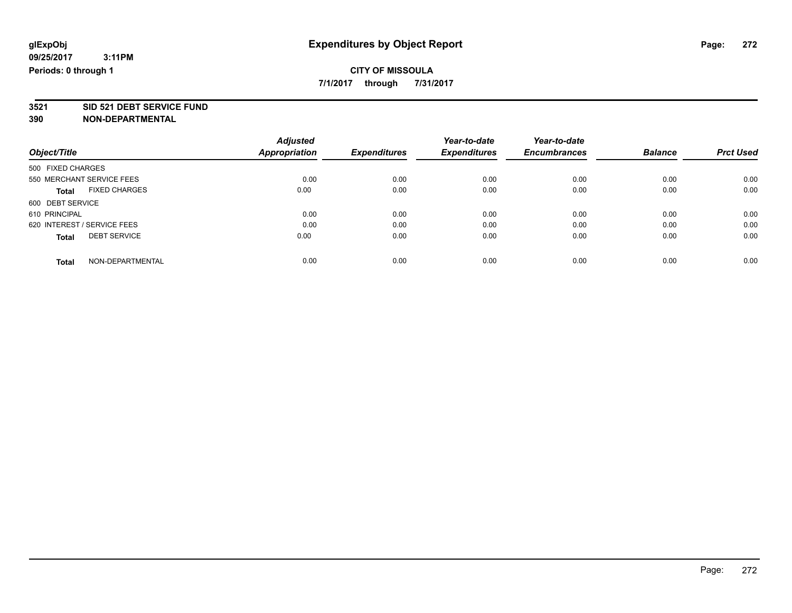**7/1/2017 through 7/31/2017**

# **3521 SID 521 DEBT SERVICE FUND**

|                                      | <b>Adjusted</b>      |                     | Year-to-date        | Year-to-date        |                |                  |
|--------------------------------------|----------------------|---------------------|---------------------|---------------------|----------------|------------------|
| Object/Title                         | <b>Appropriation</b> | <b>Expenditures</b> | <b>Expenditures</b> | <b>Encumbrances</b> | <b>Balance</b> | <b>Prct Used</b> |
| 500 FIXED CHARGES                    |                      |                     |                     |                     |                |                  |
| 550 MERCHANT SERVICE FEES            | 0.00                 | 0.00                | 0.00                | 0.00                | 0.00           | 0.00             |
| <b>FIXED CHARGES</b><br><b>Total</b> | 0.00                 | 0.00                | 0.00                | 0.00                | 0.00           | 0.00             |
| 600 DEBT SERVICE                     |                      |                     |                     |                     |                |                  |
| 610 PRINCIPAL                        | 0.00                 | 0.00                | 0.00                | 0.00                | 0.00           | 0.00             |
| 620 INTEREST / SERVICE FEES          | 0.00                 | 0.00                | 0.00                | 0.00                | 0.00           | 0.00             |
| <b>DEBT SERVICE</b><br><b>Total</b>  | 0.00                 | 0.00                | 0.00                | 0.00                | 0.00           | 0.00             |
| NON-DEPARTMENTAL<br><b>Total</b>     | 0.00                 | 0.00                | 0.00                | 0.00                | 0.00           | 0.00             |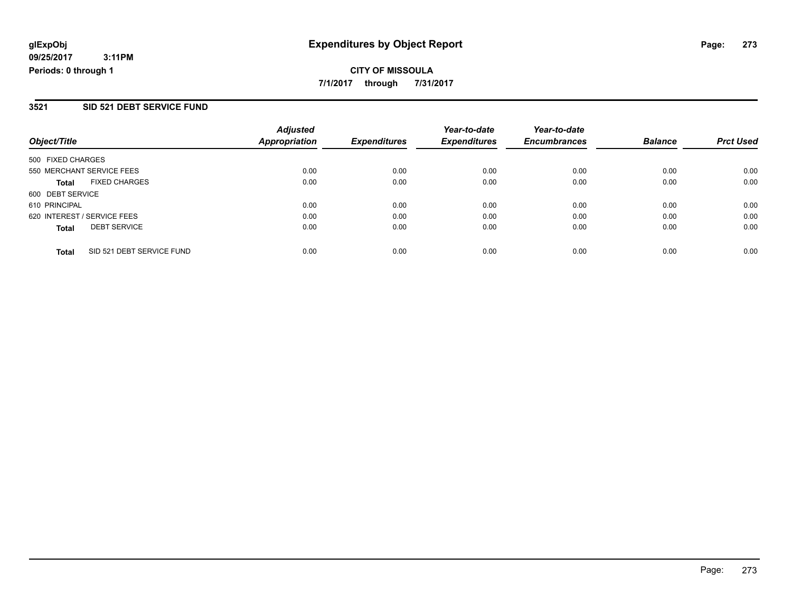#### **3521 SID 521 DEBT SERVICE FUND**

| Object/Title                              | <b>Adjusted</b><br><b>Appropriation</b> | <b>Expenditures</b> | Year-to-date<br><b>Expenditures</b> | Year-to-date<br><b>Encumbrances</b> | <b>Balance</b> | <b>Prct Used</b> |
|-------------------------------------------|-----------------------------------------|---------------------|-------------------------------------|-------------------------------------|----------------|------------------|
| 500 FIXED CHARGES                         |                                         |                     |                                     |                                     |                |                  |
| 550 MERCHANT SERVICE FEES                 | 0.00                                    | 0.00                | 0.00                                | 0.00                                | 0.00           | 0.00             |
| <b>FIXED CHARGES</b><br><b>Total</b>      | 0.00                                    | 0.00                | 0.00                                | 0.00                                | 0.00           | 0.00             |
| 600 DEBT SERVICE                          |                                         |                     |                                     |                                     |                |                  |
| 610 PRINCIPAL                             | 0.00                                    | 0.00                | 0.00                                | 0.00                                | 0.00           | 0.00             |
| 620 INTEREST / SERVICE FEES               | 0.00                                    | 0.00                | 0.00                                | 0.00                                | 0.00           | 0.00             |
| <b>DEBT SERVICE</b><br><b>Total</b>       | 0.00                                    | 0.00                | 0.00                                | 0.00                                | 0.00           | 0.00             |
| SID 521 DEBT SERVICE FUND<br><b>Total</b> | 0.00                                    | 0.00                | 0.00                                | 0.00                                | 0.00           | 0.00             |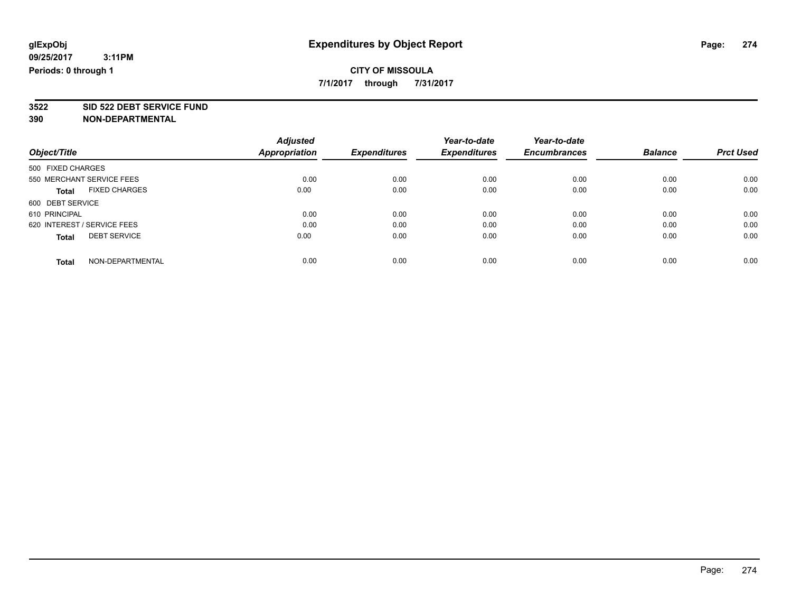**7/1/2017 through 7/31/2017**

# **3522 SID 522 DEBT SERVICE FUND**

|                             |                      | <b>Adjusted</b>      |                     | Year-to-date        | Year-to-date        |                |                  |
|-----------------------------|----------------------|----------------------|---------------------|---------------------|---------------------|----------------|------------------|
| Object/Title                |                      | <b>Appropriation</b> | <b>Expenditures</b> | <b>Expenditures</b> | <b>Encumbrances</b> | <b>Balance</b> | <b>Prct Used</b> |
| 500 FIXED CHARGES           |                      |                      |                     |                     |                     |                |                  |
| 550 MERCHANT SERVICE FEES   |                      | 0.00                 | 0.00                | 0.00                | 0.00                | 0.00           | 0.00             |
| <b>Total</b>                | <b>FIXED CHARGES</b> | 0.00                 | 0.00                | 0.00                | 0.00                | 0.00           | 0.00             |
| 600 DEBT SERVICE            |                      |                      |                     |                     |                     |                |                  |
| 610 PRINCIPAL               |                      | 0.00                 | 0.00                | 0.00                | 0.00                | 0.00           | 0.00             |
| 620 INTEREST / SERVICE FEES |                      | 0.00                 | 0.00                | 0.00                | 0.00                | 0.00           | 0.00             |
| <b>Total</b>                | <b>DEBT SERVICE</b>  | 0.00                 | 0.00                | 0.00                | 0.00                | 0.00           | 0.00             |
| <b>Total</b>                | NON-DEPARTMENTAL     | 0.00                 | 0.00                | 0.00                | 0.00                | 0.00           | 0.00             |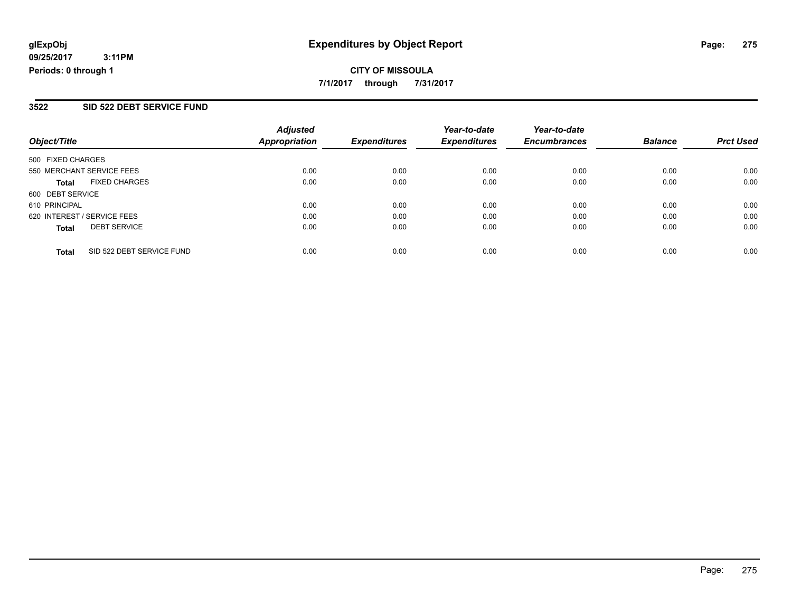#### **3522 SID 522 DEBT SERVICE FUND**

|                                           | <b>Adjusted</b>      |                     | Year-to-date        | Year-to-date        |                |                  |
|-------------------------------------------|----------------------|---------------------|---------------------|---------------------|----------------|------------------|
| Object/Title                              | <b>Appropriation</b> | <b>Expenditures</b> | <b>Expenditures</b> | <b>Encumbrances</b> | <b>Balance</b> | <b>Prct Used</b> |
| 500 FIXED CHARGES                         |                      |                     |                     |                     |                |                  |
| 550 MERCHANT SERVICE FEES                 | 0.00                 | 0.00                | 0.00                | 0.00                | 0.00           | 0.00             |
| <b>FIXED CHARGES</b><br><b>Total</b>      | 0.00                 | 0.00                | 0.00                | 0.00                | 0.00           | 0.00             |
| 600 DEBT SERVICE                          |                      |                     |                     |                     |                |                  |
| 610 PRINCIPAL                             | 0.00                 | 0.00                | 0.00                | 0.00                | 0.00           | 0.00             |
| 620 INTEREST / SERVICE FEES               | 0.00                 | 0.00                | 0.00                | 0.00                | 0.00           | 0.00             |
| <b>DEBT SERVICE</b><br><b>Total</b>       | 0.00                 | 0.00                | 0.00                | 0.00                | 0.00           | 0.00             |
| SID 522 DEBT SERVICE FUND<br><b>Total</b> | 0.00                 | 0.00                | 0.00                | 0.00                | 0.00           | 0.00             |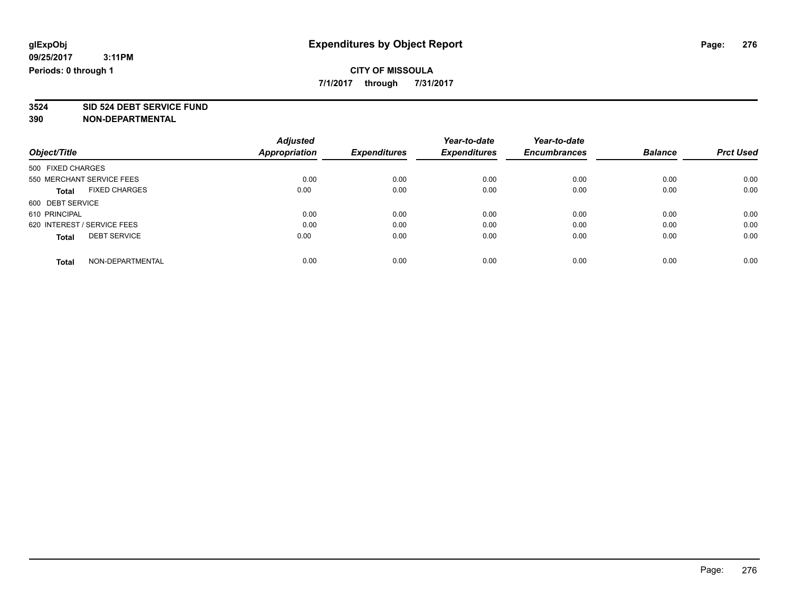**7/1/2017 through 7/31/2017**

# **3524 SID 524 DEBT SERVICE FUND**

|                             |                      | <b>Adjusted</b>      |                     | Year-to-date        | Year-to-date        |                |                  |
|-----------------------------|----------------------|----------------------|---------------------|---------------------|---------------------|----------------|------------------|
| Object/Title                |                      | <b>Appropriation</b> | <b>Expenditures</b> | <b>Expenditures</b> | <b>Encumbrances</b> | <b>Balance</b> | <b>Prct Used</b> |
| 500 FIXED CHARGES           |                      |                      |                     |                     |                     |                |                  |
| 550 MERCHANT SERVICE FEES   |                      | 0.00                 | 0.00                | 0.00                | 0.00                | 0.00           | 0.00             |
| <b>Total</b>                | <b>FIXED CHARGES</b> | 0.00                 | 0.00                | 0.00                | 0.00                | 0.00           | 0.00             |
| 600 DEBT SERVICE            |                      |                      |                     |                     |                     |                |                  |
| 610 PRINCIPAL               |                      | 0.00                 | 0.00                | 0.00                | 0.00                | 0.00           | 0.00             |
| 620 INTEREST / SERVICE FEES |                      | 0.00                 | 0.00                | 0.00                | 0.00                | 0.00           | 0.00             |
| <b>Total</b>                | <b>DEBT SERVICE</b>  | 0.00                 | 0.00                | 0.00                | 0.00                | 0.00           | 0.00             |
| <b>Total</b>                | NON-DEPARTMENTAL     | 0.00                 | 0.00                | 0.00                | 0.00                | 0.00           | 0.00             |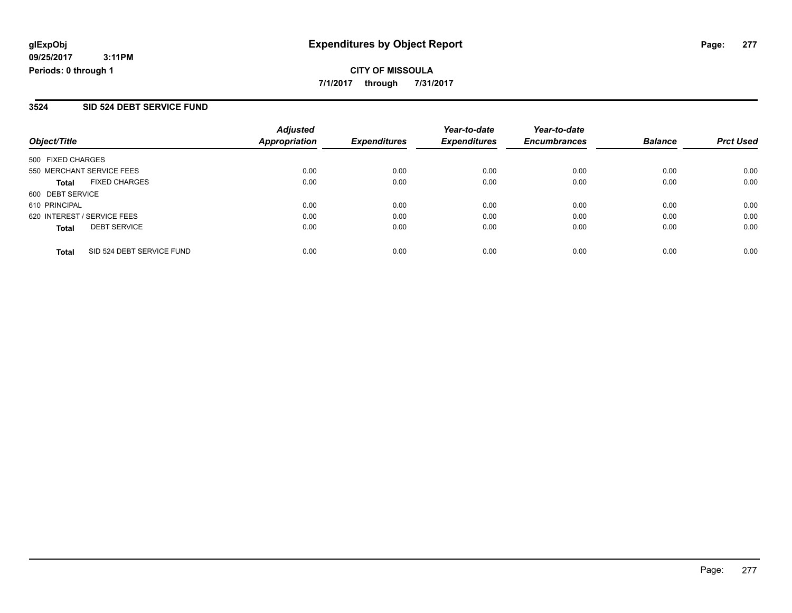#### **3524 SID 524 DEBT SERVICE FUND**

| Object/Title                              | <b>Adjusted</b><br><b>Appropriation</b> | <b>Expenditures</b> | Year-to-date<br><b>Expenditures</b> | Year-to-date<br><b>Encumbrances</b> | <b>Balance</b> | <b>Prct Used</b> |
|-------------------------------------------|-----------------------------------------|---------------------|-------------------------------------|-------------------------------------|----------------|------------------|
| 500 FIXED CHARGES                         |                                         |                     |                                     |                                     |                |                  |
| 550 MERCHANT SERVICE FEES                 | 0.00                                    | 0.00                | 0.00                                | 0.00                                | 0.00           | 0.00             |
| <b>FIXED CHARGES</b><br><b>Total</b>      | 0.00                                    | 0.00                | 0.00                                | 0.00                                | 0.00           | 0.00             |
| 600 DEBT SERVICE                          |                                         |                     |                                     |                                     |                |                  |
| 610 PRINCIPAL                             | 0.00                                    | 0.00                | 0.00                                | 0.00                                | 0.00           | 0.00             |
| 620 INTEREST / SERVICE FEES               | 0.00                                    | 0.00                | 0.00                                | 0.00                                | 0.00           | 0.00             |
| <b>DEBT SERVICE</b><br><b>Total</b>       | 0.00                                    | 0.00                | 0.00                                | 0.00                                | 0.00           | 0.00             |
| SID 524 DEBT SERVICE FUND<br><b>Total</b> | 0.00                                    | 0.00                | 0.00                                | 0.00                                | 0.00           | 0.00             |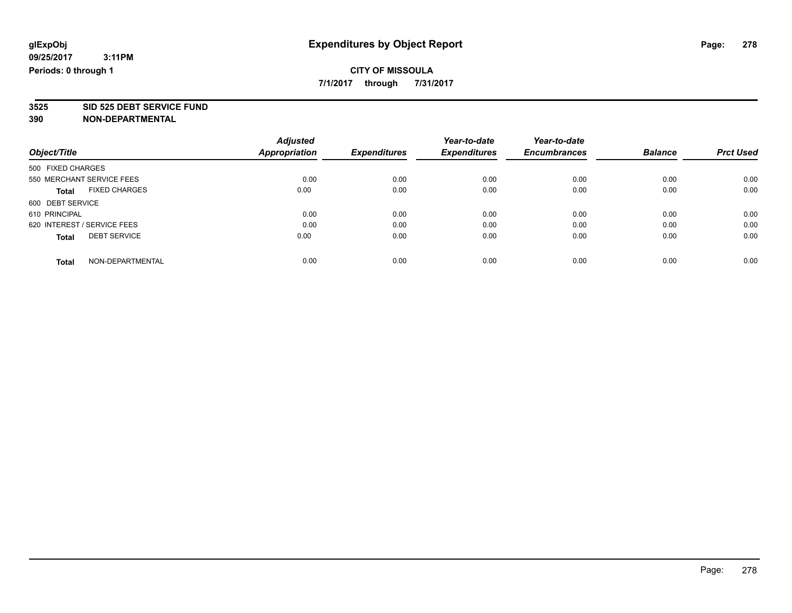**7/1/2017 through 7/31/2017**

# **3525 SID 525 DEBT SERVICE FUND**

|                                      | <b>Adjusted</b>      |                     | Year-to-date        | Year-to-date        |                |                  |
|--------------------------------------|----------------------|---------------------|---------------------|---------------------|----------------|------------------|
| Object/Title                         | <b>Appropriation</b> | <b>Expenditures</b> | <b>Expenditures</b> | <b>Encumbrances</b> | <b>Balance</b> | <b>Prct Used</b> |
| 500 FIXED CHARGES                    |                      |                     |                     |                     |                |                  |
| 550 MERCHANT SERVICE FEES            | 0.00                 | 0.00                | 0.00                | 0.00                | 0.00           | 0.00             |
| <b>FIXED CHARGES</b><br><b>Total</b> | 0.00                 | 0.00                | 0.00                | 0.00                | 0.00           | 0.00             |
| 600 DEBT SERVICE                     |                      |                     |                     |                     |                |                  |
| 610 PRINCIPAL                        | 0.00                 | 0.00                | 0.00                | 0.00                | 0.00           | 0.00             |
| 620 INTEREST / SERVICE FEES          | 0.00                 | 0.00                | 0.00                | 0.00                | 0.00           | 0.00             |
| <b>DEBT SERVICE</b><br><b>Total</b>  | 0.00                 | 0.00                | 0.00                | 0.00                | 0.00           | 0.00             |
| NON-DEPARTMENTAL<br><b>Total</b>     | 0.00                 | 0.00                | 0.00                | 0.00                | 0.00           | 0.00             |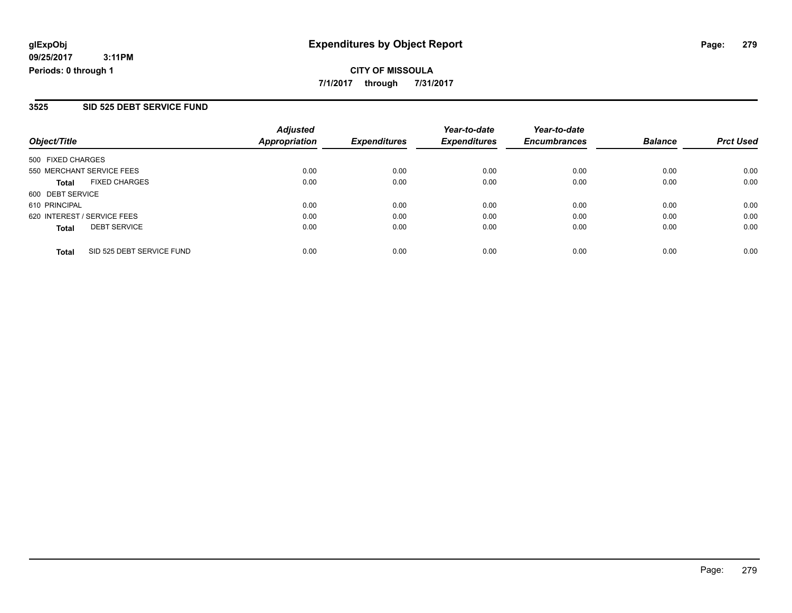#### **3525 SID 525 DEBT SERVICE FUND**

| Object/Title                              | <b>Adjusted</b><br><b>Appropriation</b> | <b>Expenditures</b> | Year-to-date<br><b>Expenditures</b> | Year-to-date<br><b>Encumbrances</b> | <b>Balance</b> | <b>Prct Used</b> |
|-------------------------------------------|-----------------------------------------|---------------------|-------------------------------------|-------------------------------------|----------------|------------------|
| 500 FIXED CHARGES                         |                                         |                     |                                     |                                     |                |                  |
| 550 MERCHANT SERVICE FEES                 | 0.00                                    | 0.00                | 0.00                                | 0.00                                | 0.00           | 0.00             |
| <b>FIXED CHARGES</b><br><b>Total</b>      | 0.00                                    | 0.00                | 0.00                                | 0.00                                | 0.00           | 0.00             |
| 600 DEBT SERVICE                          |                                         |                     |                                     |                                     |                |                  |
| 610 PRINCIPAL                             | 0.00                                    | 0.00                | 0.00                                | 0.00                                | 0.00           | 0.00             |
| 620 INTEREST / SERVICE FEES               | 0.00                                    | 0.00                | 0.00                                | 0.00                                | 0.00           | 0.00             |
| <b>DEBT SERVICE</b><br><b>Total</b>       | 0.00                                    | 0.00                | 0.00                                | 0.00                                | 0.00           | 0.00             |
| SID 525 DEBT SERVICE FUND<br><b>Total</b> | 0.00                                    | 0.00                | 0.00                                | 0.00                                | 0.00           | 0.00             |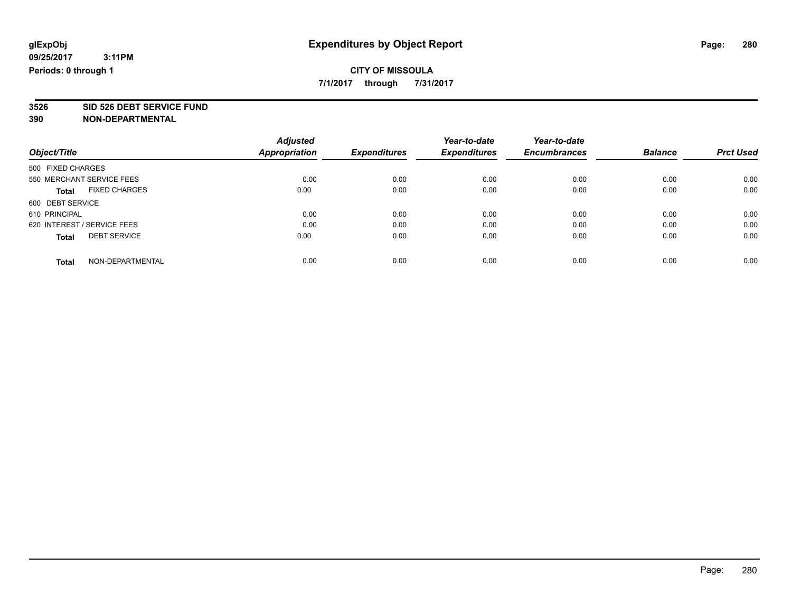**7/1/2017 through 7/31/2017**

# **3526 SID 526 DEBT SERVICE FUND**

|                             |                      | <b>Adjusted</b> |                     | Year-to-date        | Year-to-date        |                |                  |
|-----------------------------|----------------------|-----------------|---------------------|---------------------|---------------------|----------------|------------------|
| Object/Title                |                      | Appropriation   | <b>Expenditures</b> | <b>Expenditures</b> | <b>Encumbrances</b> | <b>Balance</b> | <b>Prct Used</b> |
| 500 FIXED CHARGES           |                      |                 |                     |                     |                     |                |                  |
| 550 MERCHANT SERVICE FEES   |                      | 0.00            | 0.00                | 0.00                | 0.00                | 0.00           | 0.00             |
| <b>Total</b>                | <b>FIXED CHARGES</b> | 0.00            | 0.00                | 0.00                | 0.00                | 0.00           | 0.00             |
| 600 DEBT SERVICE            |                      |                 |                     |                     |                     |                |                  |
| 610 PRINCIPAL               |                      | 0.00            | 0.00                | 0.00                | 0.00                | 0.00           | 0.00             |
| 620 INTEREST / SERVICE FEES |                      | 0.00            | 0.00                | 0.00                | 0.00                | 0.00           | 0.00             |
| <b>Total</b>                | <b>DEBT SERVICE</b>  | 0.00            | 0.00                | 0.00                | 0.00                | 0.00           | 0.00             |
| <b>Total</b>                | NON-DEPARTMENTAL     | 0.00            | 0.00                | 0.00                | 0.00                | 0.00           | 0.00             |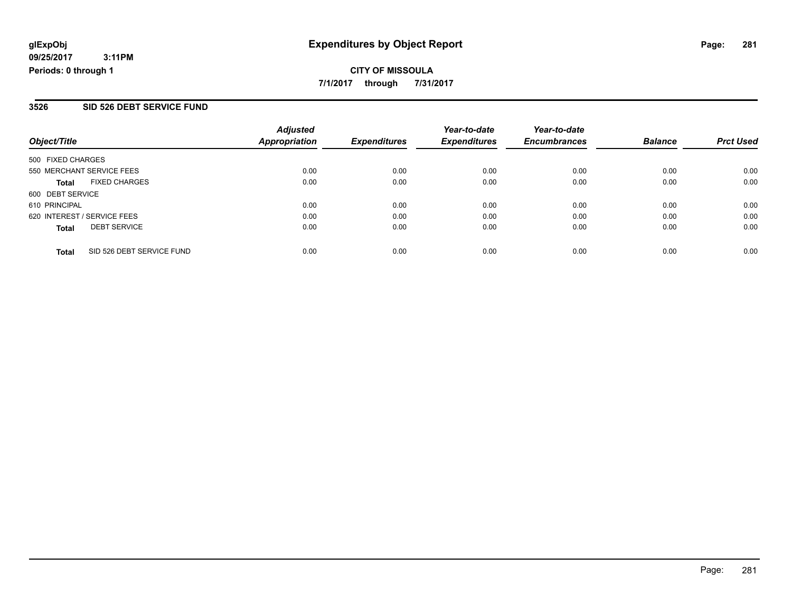#### **3526 SID 526 DEBT SERVICE FUND**

| Object/Title                              | <b>Adjusted</b><br><b>Appropriation</b> | <b>Expenditures</b> | Year-to-date<br><b>Expenditures</b> | Year-to-date<br><b>Encumbrances</b> | <b>Balance</b> | <b>Prct Used</b> |
|-------------------------------------------|-----------------------------------------|---------------------|-------------------------------------|-------------------------------------|----------------|------------------|
| 500 FIXED CHARGES                         |                                         |                     |                                     |                                     |                |                  |
| 550 MERCHANT SERVICE FEES                 | 0.00                                    | 0.00                | 0.00                                | 0.00                                | 0.00           | 0.00             |
| <b>FIXED CHARGES</b><br><b>Total</b>      | 0.00                                    | 0.00                | 0.00                                | 0.00                                | 0.00           | 0.00             |
| 600 DEBT SERVICE                          |                                         |                     |                                     |                                     |                |                  |
| 610 PRINCIPAL                             | 0.00                                    | 0.00                | 0.00                                | 0.00                                | 0.00           | 0.00             |
| 620 INTEREST / SERVICE FEES               | 0.00                                    | 0.00                | 0.00                                | 0.00                                | 0.00           | 0.00             |
| <b>DEBT SERVICE</b><br><b>Total</b>       | 0.00                                    | 0.00                | 0.00                                | 0.00                                | 0.00           | 0.00             |
| SID 526 DEBT SERVICE FUND<br><b>Total</b> | 0.00                                    | 0.00                | 0.00                                | 0.00                                | 0.00           | 0.00             |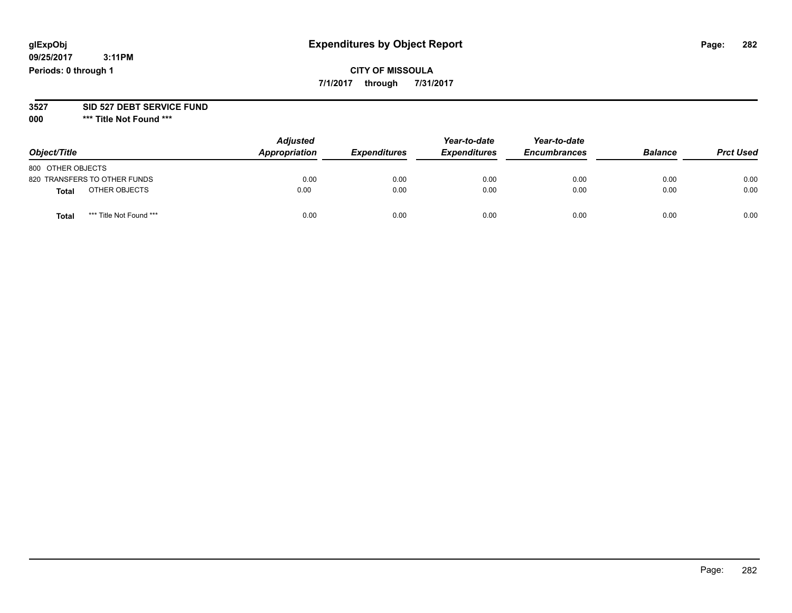#### **glExpObj Expenditures by Object Report Page: 282**

**09/25/2017 3:11PM Periods: 0 through 1**

**CITY OF MISSOULA 7/1/2017 through 7/31/2017**

**3527 SID 527 DEBT SERVICE FUND**

**000 \*\*\* Title Not Found \*\*\***

| Object/Title                     | <b>Adjusted</b><br>Appropriation | <b>Expenditures</b> | Year-to-date<br><b>Expenditures</b> | Year-to-date<br><b>Encumbrances</b> | <b>Balance</b> | <b>Prct Used</b> |
|----------------------------------|----------------------------------|---------------------|-------------------------------------|-------------------------------------|----------------|------------------|
| 800 OTHER OBJECTS                |                                  |                     |                                     |                                     |                |                  |
| 820 TRANSFERS TO OTHER FUNDS     | 0.00                             | 0.00                | 0.00                                | 0.00                                | 0.00           | 0.00             |
| OTHER OBJECTS<br>Total           | 0.00                             | 0.00                | 0.00                                | 0.00                                | 0.00           | 0.00             |
| *** Title Not Found ***<br>Total | 0.00                             | 0.00                | 0.00                                | 0.00                                | 0.00           | 0.00             |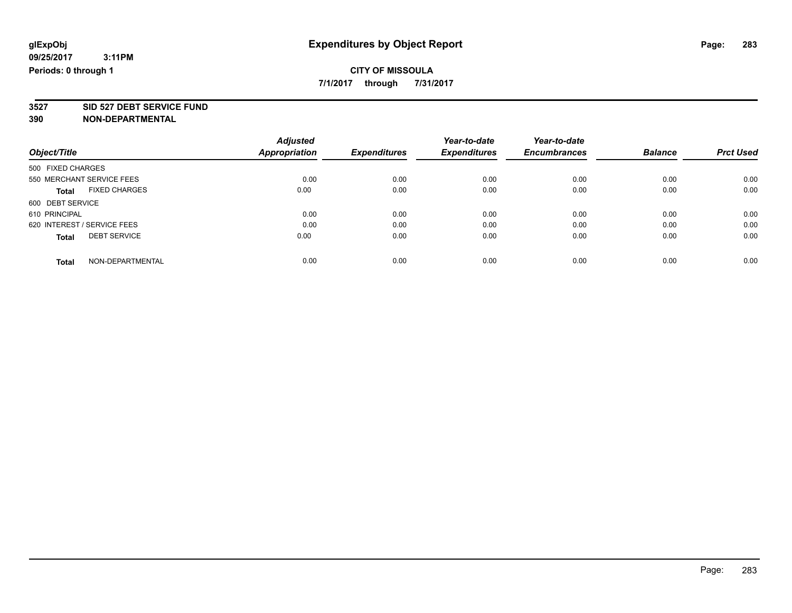**7/1/2017 through 7/31/2017**

**3527 SID 527 DEBT SERVICE FUND**

| Object/Title                |                      | <b>Adjusted</b> |                     | Year-to-date        | Year-to-date        |                | <b>Prct Used</b> |
|-----------------------------|----------------------|-----------------|---------------------|---------------------|---------------------|----------------|------------------|
|                             |                      | Appropriation   | <b>Expenditures</b> | <b>Expenditures</b> | <b>Encumbrances</b> | <b>Balance</b> |                  |
| 500 FIXED CHARGES           |                      |                 |                     |                     |                     |                |                  |
| 550 MERCHANT SERVICE FEES   |                      | 0.00            | 0.00                | 0.00                | 0.00                | 0.00           | 0.00             |
| <b>Total</b>                | <b>FIXED CHARGES</b> | 0.00            | 0.00                | 0.00                | 0.00                | 0.00           | 0.00             |
| 600 DEBT SERVICE            |                      |                 |                     |                     |                     |                |                  |
| 610 PRINCIPAL               |                      | 0.00            | 0.00                | 0.00                | 0.00                | 0.00           | 0.00             |
| 620 INTEREST / SERVICE FEES |                      | 0.00            | 0.00                | 0.00                | 0.00                | 0.00           | 0.00             |
| <b>Total</b>                | <b>DEBT SERVICE</b>  | 0.00            | 0.00                | 0.00                | 0.00                | 0.00           | 0.00             |
| <b>Total</b>                | NON-DEPARTMENTAL     | 0.00            | 0.00                | 0.00                | 0.00                | 0.00           | 0.00             |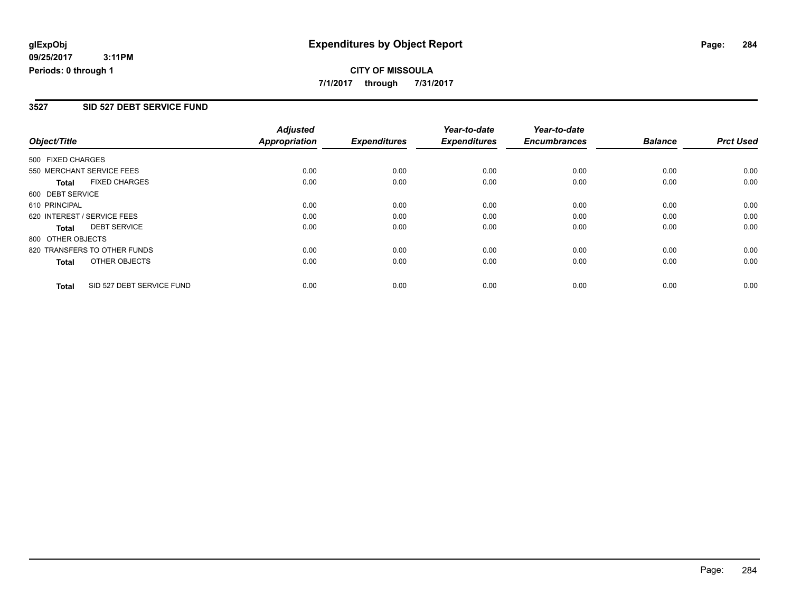### **CITY OF MISSOULA 7/1/2017 through 7/31/2017**

#### **3527 SID 527 DEBT SERVICE FUND**

|                   |                              | <b>Adjusted</b>      |                     | Year-to-date        | Year-to-date        |                |                  |
|-------------------|------------------------------|----------------------|---------------------|---------------------|---------------------|----------------|------------------|
| Object/Title      |                              | <b>Appropriation</b> | <b>Expenditures</b> | <b>Expenditures</b> | <b>Encumbrances</b> | <b>Balance</b> | <b>Prct Used</b> |
| 500 FIXED CHARGES |                              |                      |                     |                     |                     |                |                  |
|                   | 550 MERCHANT SERVICE FEES    | 0.00                 | 0.00                | 0.00                | 0.00                | 0.00           | 0.00             |
| <b>Total</b>      | <b>FIXED CHARGES</b>         | 0.00                 | 0.00                | 0.00                | 0.00                | 0.00           | 0.00             |
| 600 DEBT SERVICE  |                              |                      |                     |                     |                     |                |                  |
| 610 PRINCIPAL     |                              | 0.00                 | 0.00                | 0.00                | 0.00                | 0.00           | 0.00             |
|                   | 620 INTEREST / SERVICE FEES  | 0.00                 | 0.00                | 0.00                | 0.00                | 0.00           | 0.00             |
| Total             | <b>DEBT SERVICE</b>          | 0.00                 | 0.00                | 0.00                | 0.00                | 0.00           | 0.00             |
| 800 OTHER OBJECTS |                              |                      |                     |                     |                     |                |                  |
|                   | 820 TRANSFERS TO OTHER FUNDS | 0.00                 | 0.00                | 0.00                | 0.00                | 0.00           | 0.00             |
| <b>Total</b>      | OTHER OBJECTS                | 0.00                 | 0.00                | 0.00                | 0.00                | 0.00           | 0.00             |
| <b>Total</b>      | SID 527 DEBT SERVICE FUND    | 0.00                 | 0.00                | 0.00                | 0.00                | 0.00           | 0.00             |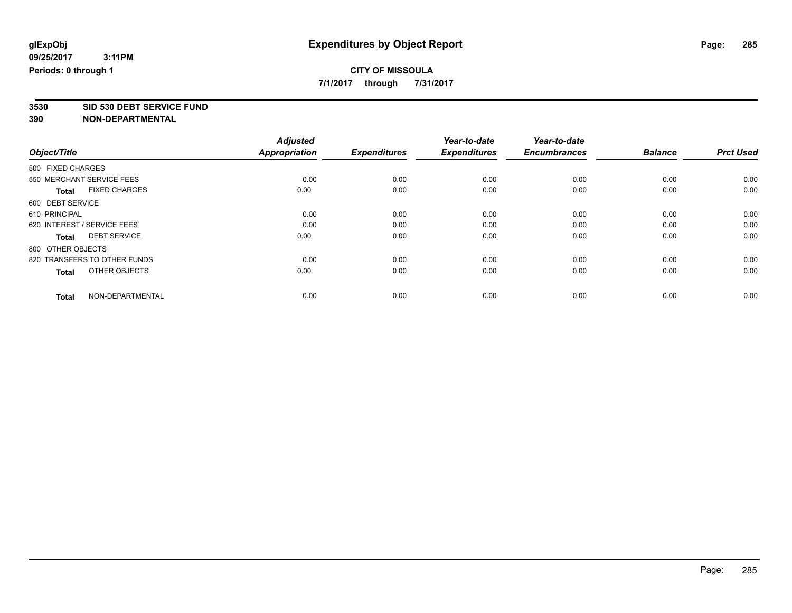**7/1/2017 through 7/31/2017**

**3530 SID 530 DEBT SERVICE FUND**

|                                      | <b>Adjusted</b>      |                     | Year-to-date        | Year-to-date        |                |                  |
|--------------------------------------|----------------------|---------------------|---------------------|---------------------|----------------|------------------|
| Object/Title                         | <b>Appropriation</b> | <b>Expenditures</b> | <b>Expenditures</b> | <b>Encumbrances</b> | <b>Balance</b> | <b>Prct Used</b> |
| 500 FIXED CHARGES                    |                      |                     |                     |                     |                |                  |
| 550 MERCHANT SERVICE FEES            | 0.00                 | 0.00                | 0.00                | 0.00                | 0.00           | 0.00             |
| <b>FIXED CHARGES</b><br><b>Total</b> | 0.00                 | 0.00                | 0.00                | 0.00                | 0.00           | 0.00             |
| 600 DEBT SERVICE                     |                      |                     |                     |                     |                |                  |
| 610 PRINCIPAL                        | 0.00                 | 0.00                | 0.00                | 0.00                | 0.00           | 0.00             |
| 620 INTEREST / SERVICE FEES          | 0.00                 | 0.00                | 0.00                | 0.00                | 0.00           | 0.00             |
| <b>DEBT SERVICE</b><br><b>Total</b>  | 0.00                 | 0.00                | 0.00                | 0.00                | 0.00           | 0.00             |
| 800 OTHER OBJECTS                    |                      |                     |                     |                     |                |                  |
| 820 TRANSFERS TO OTHER FUNDS         | 0.00                 | 0.00                | 0.00                | 0.00                | 0.00           | 0.00             |
| OTHER OBJECTS<br><b>Total</b>        | 0.00                 | 0.00                | 0.00                | 0.00                | 0.00           | 0.00             |
|                                      |                      |                     |                     |                     |                |                  |
| NON-DEPARTMENTAL<br><b>Total</b>     | 0.00                 | 0.00                | 0.00                | 0.00                | 0.00           | 0.00             |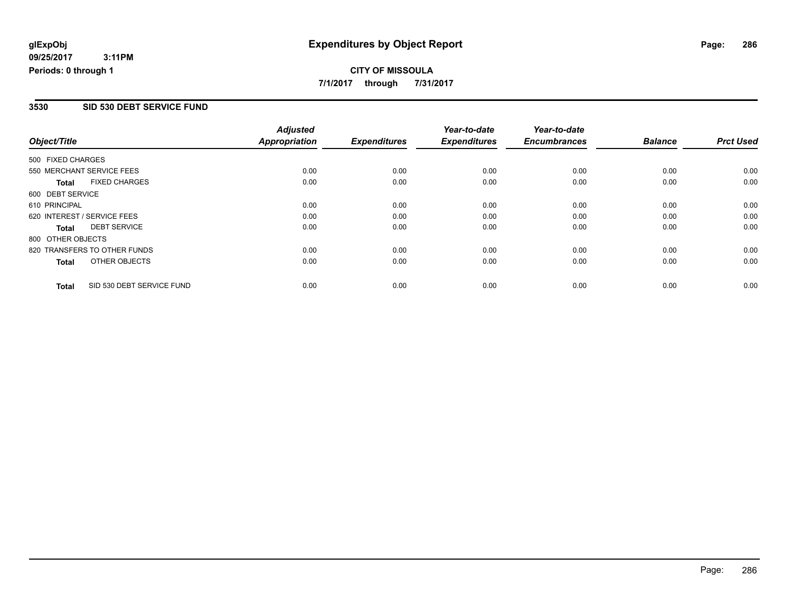### **CITY OF MISSOULA 7/1/2017 through 7/31/2017**

#### **3530 SID 530 DEBT SERVICE FUND**

|                   |                              | <b>Adjusted</b>      |                     | Year-to-date        | Year-to-date        |                |                  |
|-------------------|------------------------------|----------------------|---------------------|---------------------|---------------------|----------------|------------------|
| Object/Title      |                              | <b>Appropriation</b> | <b>Expenditures</b> | <b>Expenditures</b> | <b>Encumbrances</b> | <b>Balance</b> | <b>Prct Used</b> |
| 500 FIXED CHARGES |                              |                      |                     |                     |                     |                |                  |
|                   | 550 MERCHANT SERVICE FEES    | 0.00                 | 0.00                | 0.00                | 0.00                | 0.00           | 0.00             |
| <b>Total</b>      | <b>FIXED CHARGES</b>         | 0.00                 | 0.00                | 0.00                | 0.00                | 0.00           | 0.00             |
| 600 DEBT SERVICE  |                              |                      |                     |                     |                     |                |                  |
| 610 PRINCIPAL     |                              | 0.00                 | 0.00                | 0.00                | 0.00                | 0.00           | 0.00             |
|                   | 620 INTEREST / SERVICE FEES  | 0.00                 | 0.00                | 0.00                | 0.00                | 0.00           | 0.00             |
| Total             | <b>DEBT SERVICE</b>          | 0.00                 | 0.00                | 0.00                | 0.00                | 0.00           | 0.00             |
| 800 OTHER OBJECTS |                              |                      |                     |                     |                     |                |                  |
|                   | 820 TRANSFERS TO OTHER FUNDS | 0.00                 | 0.00                | 0.00                | 0.00                | 0.00           | 0.00             |
| <b>Total</b>      | OTHER OBJECTS                | 0.00                 | 0.00                | 0.00                | 0.00                | 0.00           | 0.00             |
| <b>Total</b>      | SID 530 DEBT SERVICE FUND    | 0.00                 | 0.00                | 0.00                | 0.00                | 0.00           | 0.00             |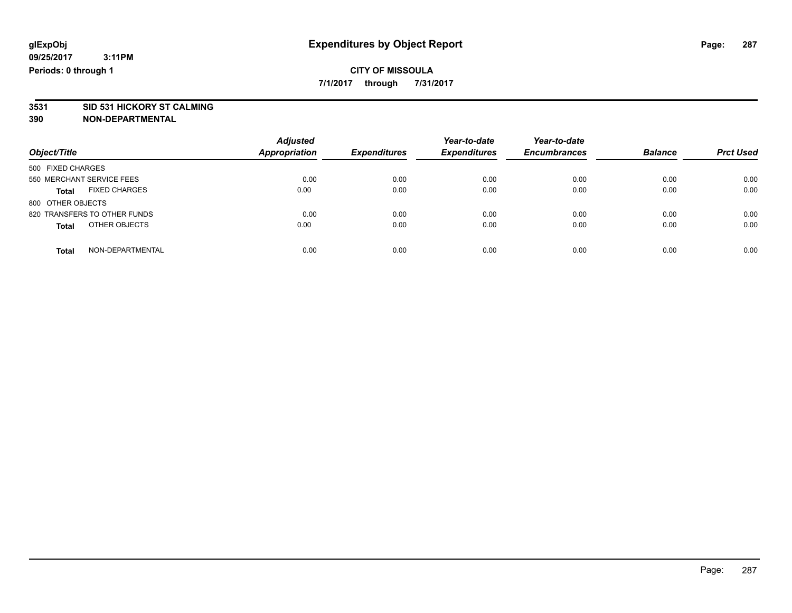## **CITY OF MISSOULA**

**7/1/2017 through 7/31/2017**

# **3531 SID 531 HICKORY ST CALMING**

| Object/Title                         | <b>Adjusted</b><br>Appropriation | <b>Expenditures</b> | Year-to-date<br><b>Expenditures</b> | Year-to-date<br><b>Encumbrances</b> | <b>Balance</b> | <b>Prct Used</b> |
|--------------------------------------|----------------------------------|---------------------|-------------------------------------|-------------------------------------|----------------|------------------|
| 500 FIXED CHARGES                    |                                  |                     |                                     |                                     |                |                  |
| 550 MERCHANT SERVICE FEES            | 0.00                             | 0.00                | 0.00                                | 0.00                                | 0.00           | 0.00             |
| <b>FIXED CHARGES</b><br><b>Total</b> | 0.00                             | 0.00                | 0.00                                | 0.00                                | 0.00           | 0.00             |
| 800 OTHER OBJECTS                    |                                  |                     |                                     |                                     |                |                  |
| 820 TRANSFERS TO OTHER FUNDS         | 0.00                             | 0.00                | 0.00                                | 0.00                                | 0.00           | 0.00             |
| OTHER OBJECTS<br><b>Total</b>        | 0.00                             | 0.00                | 0.00                                | 0.00                                | 0.00           | 0.00             |
| NON-DEPARTMENTAL<br><b>Total</b>     | 0.00                             | 0.00                | 0.00                                | 0.00                                | 0.00           | 0.00             |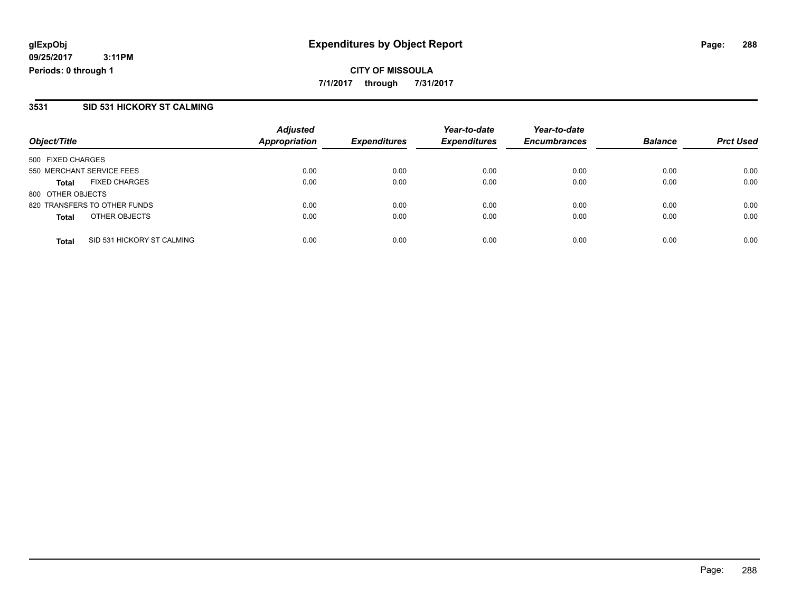#### **3531 SID 531 HICKORY ST CALMING**

|                           |                              | <b>Adjusted</b>      |                     | Year-to-date        | Year-to-date        |                |                  |
|---------------------------|------------------------------|----------------------|---------------------|---------------------|---------------------|----------------|------------------|
| Object/Title              |                              | <b>Appropriation</b> | <b>Expenditures</b> | <b>Expenditures</b> | <b>Encumbrances</b> | <b>Balance</b> | <b>Prct Used</b> |
| 500 FIXED CHARGES         |                              |                      |                     |                     |                     |                |                  |
| 550 MERCHANT SERVICE FEES |                              | 0.00                 | 0.00                | 0.00                | 0.00                | 0.00           | 0.00             |
| <b>Total</b>              | <b>FIXED CHARGES</b>         | 0.00                 | 0.00                | 0.00                | 0.00                | 0.00           | 0.00             |
| 800 OTHER OBJECTS         |                              |                      |                     |                     |                     |                |                  |
|                           | 820 TRANSFERS TO OTHER FUNDS | 0.00                 | 0.00                | 0.00                | 0.00                | 0.00           | 0.00             |
| <b>Total</b>              | OTHER OBJECTS                | 0.00                 | 0.00                | 0.00                | 0.00                | 0.00           | 0.00             |
| <b>Total</b>              | SID 531 HICKORY ST CALMING   | 0.00                 | 0.00                | 0.00                | 0.00                | 0.00           | 0.00             |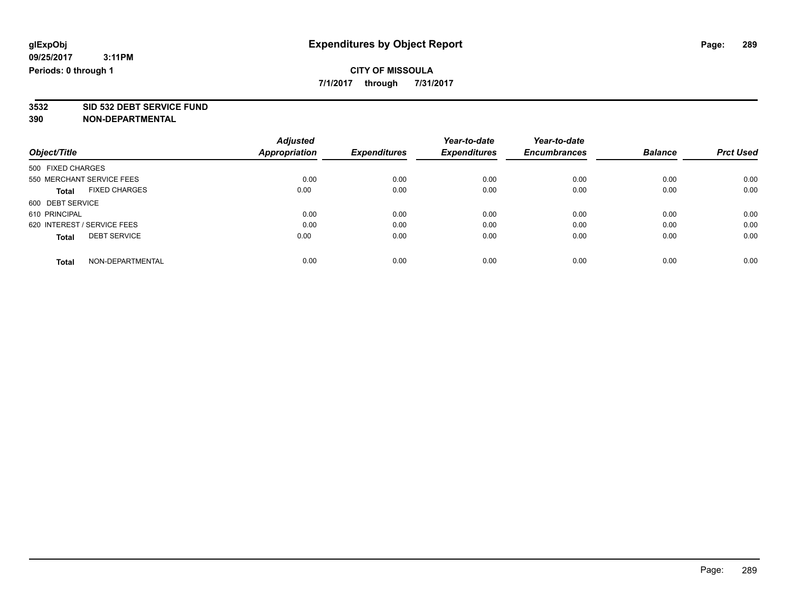**7/1/2017 through 7/31/2017**

# **3532 SID 532 DEBT SERVICE FUND**

|                                      | <b>Adjusted</b>      |                     | Year-to-date        | Year-to-date        |                |                  |
|--------------------------------------|----------------------|---------------------|---------------------|---------------------|----------------|------------------|
| Object/Title                         | <b>Appropriation</b> | <b>Expenditures</b> | <b>Expenditures</b> | <b>Encumbrances</b> | <b>Balance</b> | <b>Prct Used</b> |
| 500 FIXED CHARGES                    |                      |                     |                     |                     |                |                  |
| 550 MERCHANT SERVICE FEES            | 0.00                 | 0.00                | 0.00                | 0.00                | 0.00           | 0.00             |
| <b>FIXED CHARGES</b><br><b>Total</b> | 0.00                 | 0.00                | 0.00                | 0.00                | 0.00           | 0.00             |
| 600 DEBT SERVICE                     |                      |                     |                     |                     |                |                  |
| 610 PRINCIPAL                        | 0.00                 | 0.00                | 0.00                | 0.00                | 0.00           | 0.00             |
| 620 INTEREST / SERVICE FEES          | 0.00                 | 0.00                | 0.00                | 0.00                | 0.00           | 0.00             |
| <b>DEBT SERVICE</b><br><b>Total</b>  | 0.00                 | 0.00                | 0.00                | 0.00                | 0.00           | 0.00             |
| NON-DEPARTMENTAL<br><b>Total</b>     | 0.00                 | 0.00                | 0.00                | 0.00                | 0.00           | 0.00             |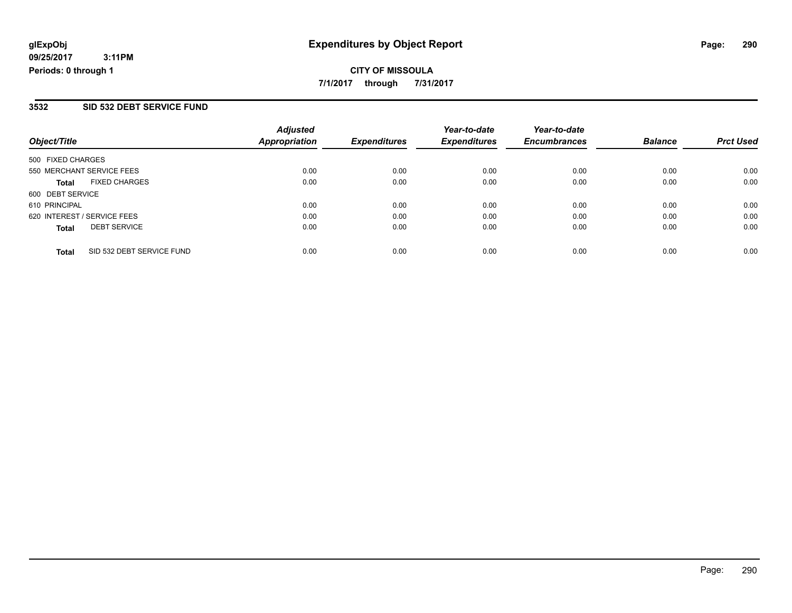#### **3532 SID 532 DEBT SERVICE FUND**

| Object/Title                              | <b>Adjusted</b><br><b>Appropriation</b> | <b>Expenditures</b> | Year-to-date<br><b>Expenditures</b> | Year-to-date<br><b>Encumbrances</b> | <b>Balance</b> | <b>Prct Used</b> |
|-------------------------------------------|-----------------------------------------|---------------------|-------------------------------------|-------------------------------------|----------------|------------------|
| 500 FIXED CHARGES                         |                                         |                     |                                     |                                     |                |                  |
| 550 MERCHANT SERVICE FEES                 | 0.00                                    | 0.00                | 0.00                                | 0.00                                | 0.00           | 0.00             |
| <b>FIXED CHARGES</b><br><b>Total</b>      | 0.00                                    | 0.00                | 0.00                                | 0.00                                | 0.00           | 0.00             |
| 600 DEBT SERVICE                          |                                         |                     |                                     |                                     |                |                  |
| 610 PRINCIPAL                             | 0.00                                    | 0.00                | 0.00                                | 0.00                                | 0.00           | 0.00             |
| 620 INTEREST / SERVICE FEES               | 0.00                                    | 0.00                | 0.00                                | 0.00                                | 0.00           | 0.00             |
| <b>DEBT SERVICE</b><br><b>Total</b>       | 0.00                                    | 0.00                | 0.00                                | 0.00                                | 0.00           | 0.00             |
| SID 532 DEBT SERVICE FUND<br><b>Total</b> | 0.00                                    | 0.00                | 0.00                                | 0.00                                | 0.00           | 0.00             |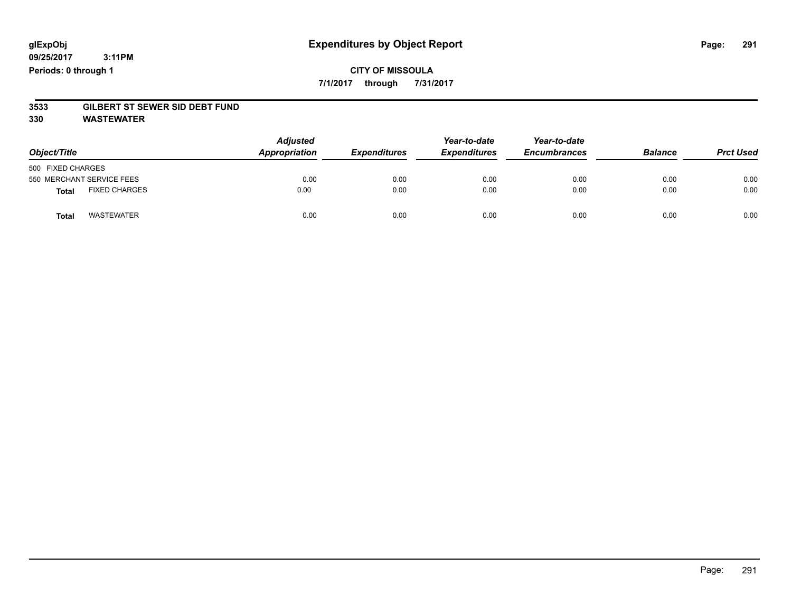#### **CITY OF MISSOULA 7/1/2017 through 7/31/2017**

# **3533 GILBERT ST SEWER SID DEBT FUND**

**330 WASTEWATER**

| Object/Title                         | <b>Adjusted</b><br>Appropriation | <b>Expenditures</b> | Year-to-date<br><b>Expenditures</b> | Year-to-date<br><b>Encumbrances</b> | <b>Balance</b> | <b>Prct Used</b> |
|--------------------------------------|----------------------------------|---------------------|-------------------------------------|-------------------------------------|----------------|------------------|
| 500 FIXED CHARGES                    |                                  |                     |                                     |                                     |                |                  |
| 550 MERCHANT SERVICE FEES            | 0.00                             | 0.00                | 0.00                                | 0.00                                | 0.00           | 0.00             |
| <b>FIXED CHARGES</b><br><b>Total</b> | 0.00                             | 0.00                | 0.00                                | 0.00                                | 0.00           | 0.00             |
| <b>WASTEWATER</b><br>Total           | 0.00                             | 0.00                | 0.00                                | 0.00                                | 0.00           | 0.00             |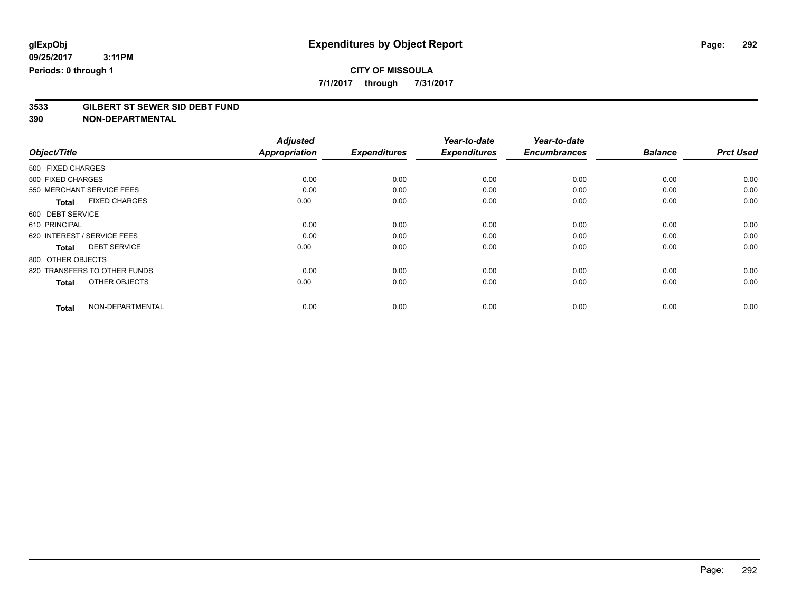**7/1/2017 through 7/31/2017**

# **3533 GILBERT ST SEWER SID DEBT FUND**

|                                      | <b>Adjusted</b>      |                     | Year-to-date        | Year-to-date        |                |                  |
|--------------------------------------|----------------------|---------------------|---------------------|---------------------|----------------|------------------|
| Object/Title                         | <b>Appropriation</b> | <b>Expenditures</b> | <b>Expenditures</b> | <b>Encumbrances</b> | <b>Balance</b> | <b>Prct Used</b> |
| 500 FIXED CHARGES                    |                      |                     |                     |                     |                |                  |
| 500 FIXED CHARGES                    | 0.00                 | 0.00                | 0.00                | 0.00                | 0.00           | 0.00             |
| 550 MERCHANT SERVICE FEES            | 0.00                 | 0.00                | 0.00                | 0.00                | 0.00           | 0.00             |
| <b>FIXED CHARGES</b><br><b>Total</b> | 0.00                 | 0.00                | 0.00                | 0.00                | 0.00           | 0.00             |
| 600 DEBT SERVICE                     |                      |                     |                     |                     |                |                  |
| 610 PRINCIPAL                        | 0.00                 | 0.00                | 0.00                | 0.00                | 0.00           | 0.00             |
| 620 INTEREST / SERVICE FEES          | 0.00                 | 0.00                | 0.00                | 0.00                | 0.00           | 0.00             |
| <b>DEBT SERVICE</b><br><b>Total</b>  | 0.00                 | 0.00                | 0.00                | 0.00                | 0.00           | 0.00             |
| 800 OTHER OBJECTS                    |                      |                     |                     |                     |                |                  |
| 820 TRANSFERS TO OTHER FUNDS         | 0.00                 | 0.00                | 0.00                | 0.00                | 0.00           | 0.00             |
| OTHER OBJECTS<br><b>Total</b>        | 0.00                 | 0.00                | 0.00                | 0.00                | 0.00           | 0.00             |
| NON-DEPARTMENTAL<br><b>Total</b>     | 0.00                 | 0.00                | 0.00                | 0.00                | 0.00           | 0.00             |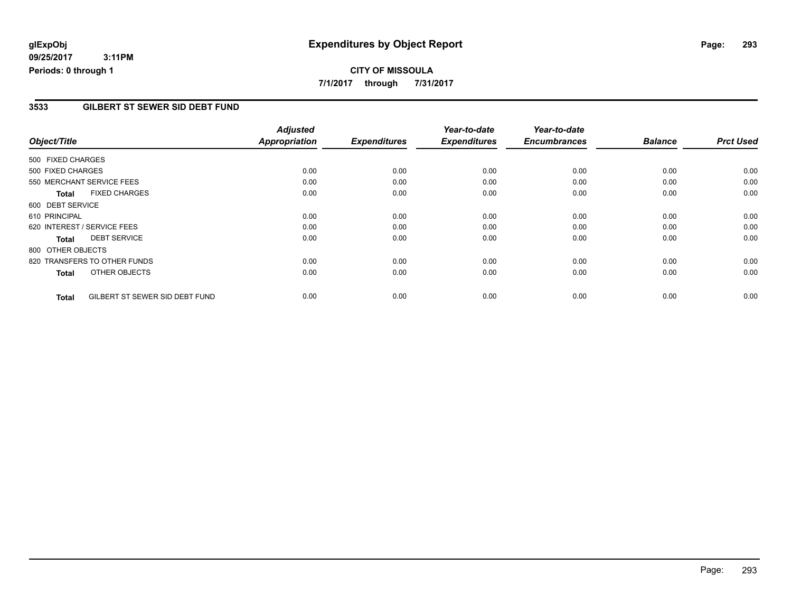#### **CITY OF MISSOULA 7/1/2017 through 7/31/2017**

#### **3533 GILBERT ST SEWER SID DEBT FUND**

|                                                | <b>Adjusted</b>      |                     | Year-to-date        | Year-to-date        |                |                  |
|------------------------------------------------|----------------------|---------------------|---------------------|---------------------|----------------|------------------|
| Object/Title                                   | <b>Appropriation</b> | <b>Expenditures</b> | <b>Expenditures</b> | <b>Encumbrances</b> | <b>Balance</b> | <b>Prct Used</b> |
| 500 FIXED CHARGES                              |                      |                     |                     |                     |                |                  |
| 500 FIXED CHARGES                              | 0.00                 | 0.00                | 0.00                | 0.00                | 0.00           | 0.00             |
| 550 MERCHANT SERVICE FEES                      | 0.00                 | 0.00                | 0.00                | 0.00                | 0.00           | 0.00             |
| <b>FIXED CHARGES</b><br><b>Total</b>           | 0.00                 | 0.00                | 0.00                | 0.00                | 0.00           | 0.00             |
| 600 DEBT SERVICE                               |                      |                     |                     |                     |                |                  |
| 610 PRINCIPAL                                  | 0.00                 | 0.00                | 0.00                | 0.00                | 0.00           | 0.00             |
| 620 INTEREST / SERVICE FEES                    | 0.00                 | 0.00                | 0.00                | 0.00                | 0.00           | 0.00             |
| <b>DEBT SERVICE</b><br><b>Total</b>            | 0.00                 | 0.00                | 0.00                | 0.00                | 0.00           | 0.00             |
| 800 OTHER OBJECTS                              |                      |                     |                     |                     |                |                  |
| 820 TRANSFERS TO OTHER FUNDS                   | 0.00                 | 0.00                | 0.00                | 0.00                | 0.00           | 0.00             |
| OTHER OBJECTS<br><b>Total</b>                  | 0.00                 | 0.00                | 0.00                | 0.00                | 0.00           | 0.00             |
| GILBERT ST SEWER SID DEBT FUND<br><b>Total</b> | 0.00                 | 0.00                | 0.00                | 0.00                | 0.00           | 0.00             |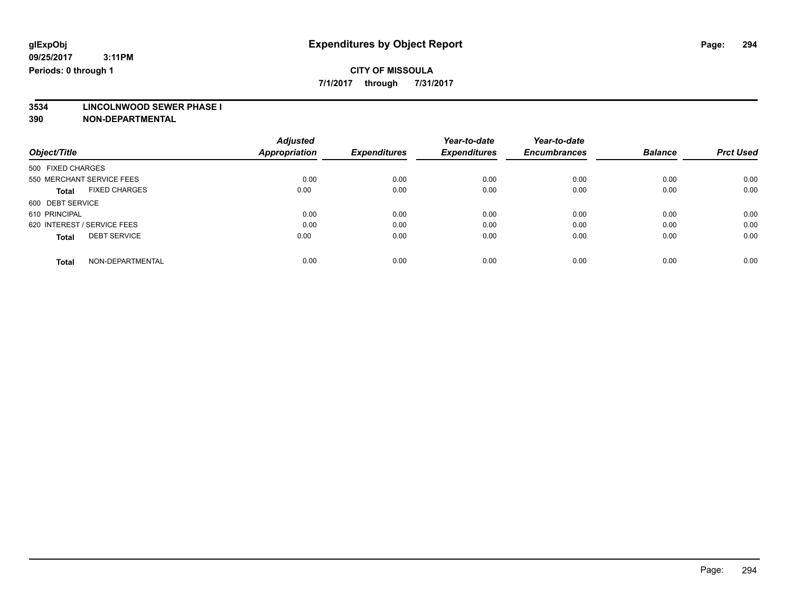**7/1/2017 through 7/31/2017**

# **3534 LINCOLNWOOD SEWER PHASE I**

|                                      | <b>Adjusted</b> |                     | Year-to-date        | Year-to-date        |                |                  |
|--------------------------------------|-----------------|---------------------|---------------------|---------------------|----------------|------------------|
| Object/Title                         | Appropriation   | <b>Expenditures</b> | <b>Expenditures</b> | <b>Encumbrances</b> | <b>Balance</b> | <b>Prct Used</b> |
| 500 FIXED CHARGES                    |                 |                     |                     |                     |                |                  |
| 550 MERCHANT SERVICE FEES            | 0.00            | 0.00                | 0.00                | 0.00                | 0.00           | 0.00             |
| <b>FIXED CHARGES</b><br><b>Total</b> | 0.00            | 0.00                | 0.00                | 0.00                | 0.00           | 0.00             |
| 600 DEBT SERVICE                     |                 |                     |                     |                     |                |                  |
| 610 PRINCIPAL                        | 0.00            | 0.00                | 0.00                | 0.00                | 0.00           | 0.00             |
| 620 INTEREST / SERVICE FEES          | 0.00            | 0.00                | 0.00                | 0.00                | 0.00           | 0.00             |
| <b>DEBT SERVICE</b><br><b>Total</b>  | 0.00            | 0.00                | 0.00                | 0.00                | 0.00           | 0.00             |
| NON-DEPARTMENTAL<br><b>Total</b>     | 0.00            | 0.00                | 0.00                | 0.00                | 0.00           | 0.00             |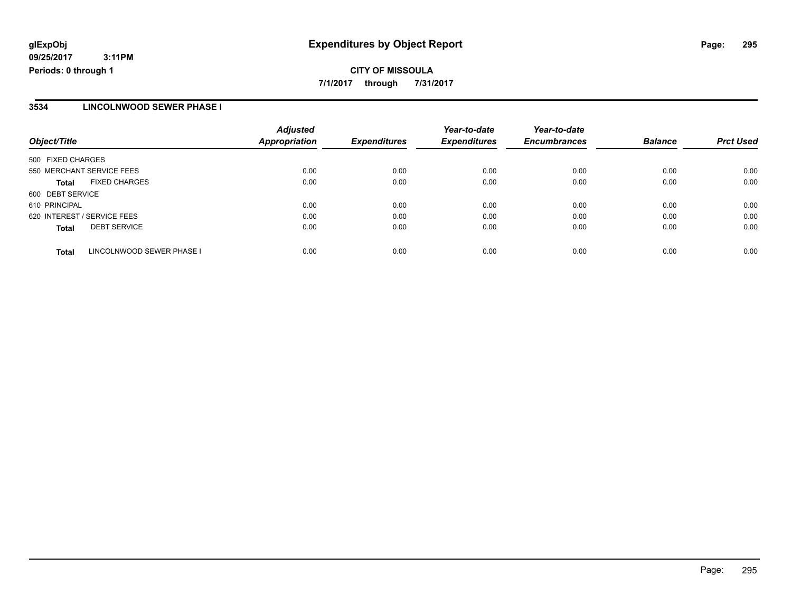#### **CITY OF MISSOULA 7/1/2017 through 7/31/2017**

#### **3534 LINCOLNWOOD SEWER PHASE I**

|                                           | <b>Adjusted</b>      |                     | Year-to-date        | Year-to-date        |                |                  |
|-------------------------------------------|----------------------|---------------------|---------------------|---------------------|----------------|------------------|
| Object/Title                              | <b>Appropriation</b> | <b>Expenditures</b> | <b>Expenditures</b> | <b>Encumbrances</b> | <b>Balance</b> | <b>Prct Used</b> |
| 500 FIXED CHARGES                         |                      |                     |                     |                     |                |                  |
| 550 MERCHANT SERVICE FEES                 | 0.00                 | 0.00                | 0.00                | 0.00                | 0.00           | 0.00             |
| <b>FIXED CHARGES</b><br>Total             | 0.00                 | 0.00                | 0.00                | 0.00                | 0.00           | 0.00             |
| 600 DEBT SERVICE                          |                      |                     |                     |                     |                |                  |
| 610 PRINCIPAL                             | 0.00                 | 0.00                | 0.00                | 0.00                | 0.00           | 0.00             |
| 620 INTEREST / SERVICE FEES               | 0.00                 | 0.00                | 0.00                | 0.00                | 0.00           | 0.00             |
| <b>DEBT SERVICE</b><br><b>Total</b>       | 0.00                 | 0.00                | 0.00                | 0.00                | 0.00           | 0.00             |
| LINCOLNWOOD SEWER PHASE I<br><b>Total</b> | 0.00                 | 0.00                | 0.00                | 0.00                | 0.00           | 0.00             |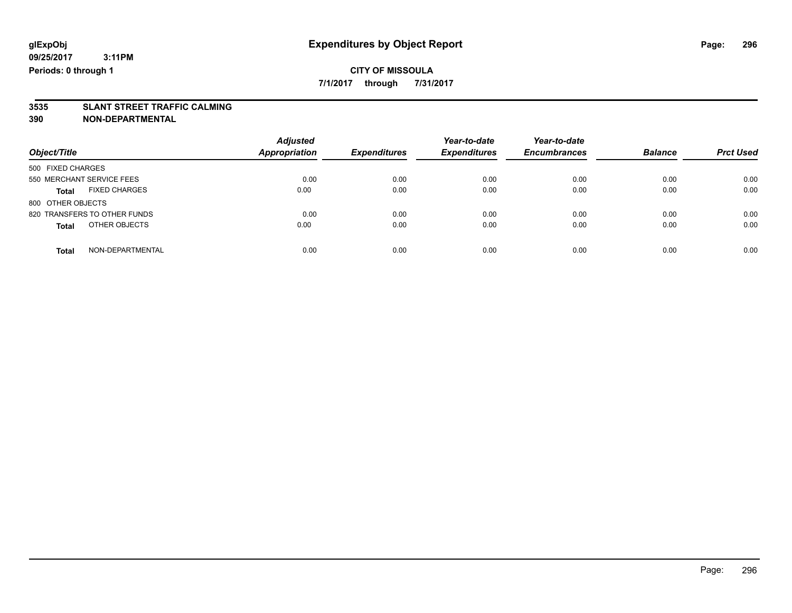**7/1/2017 through 7/31/2017**

# **3535 SLANT STREET TRAFFIC CALMING**

| Object/Title                         | <b>Adjusted</b><br><b>Appropriation</b> | <b>Expenditures</b> | Year-to-date<br><b>Expenditures</b> | Year-to-date<br><b>Encumbrances</b> | <b>Balance</b> | <b>Prct Used</b> |
|--------------------------------------|-----------------------------------------|---------------------|-------------------------------------|-------------------------------------|----------------|------------------|
|                                      |                                         |                     |                                     |                                     |                |                  |
| 500 FIXED CHARGES                    |                                         |                     |                                     |                                     |                |                  |
| 550 MERCHANT SERVICE FEES            | 0.00                                    | 0.00                | 0.00                                | 0.00                                | 0.00           | 0.00             |
| <b>FIXED CHARGES</b><br><b>Total</b> | 0.00                                    | 0.00                | 0.00                                | 0.00                                | 0.00           | 0.00             |
| 800 OTHER OBJECTS                    |                                         |                     |                                     |                                     |                |                  |
| 820 TRANSFERS TO OTHER FUNDS         | 0.00                                    | 0.00                | 0.00                                | 0.00                                | 0.00           | 0.00             |
| OTHER OBJECTS<br><b>Total</b>        | 0.00                                    | 0.00                | 0.00                                | 0.00                                | 0.00           | 0.00             |
| NON-DEPARTMENTAL<br><b>Total</b>     | 0.00                                    | 0.00                | 0.00                                | 0.00                                | 0.00           | 0.00             |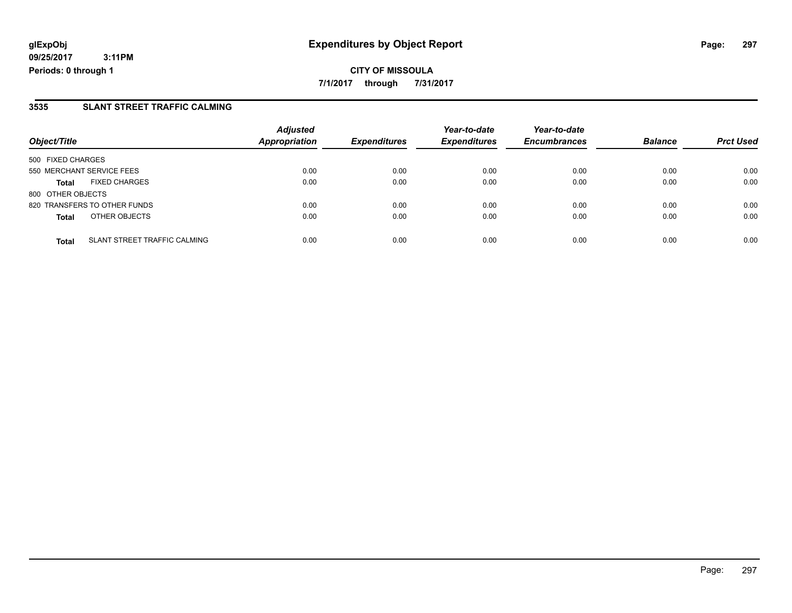#### **3535 SLANT STREET TRAFFIC CALMING**

|                           |                              | <b>Adjusted</b>      |                     | Year-to-date        | Year-to-date        |                |                  |
|---------------------------|------------------------------|----------------------|---------------------|---------------------|---------------------|----------------|------------------|
| Object/Title              |                              | <b>Appropriation</b> | <b>Expenditures</b> | <b>Expenditures</b> | <b>Encumbrances</b> | <b>Balance</b> | <b>Prct Used</b> |
| 500 FIXED CHARGES         |                              |                      |                     |                     |                     |                |                  |
| 550 MERCHANT SERVICE FEES |                              | 0.00                 | 0.00                | 0.00                | 0.00                | 0.00           | 0.00             |
| <b>Total</b>              | <b>FIXED CHARGES</b>         | 0.00                 | 0.00                | 0.00                | 0.00                | 0.00           | 0.00             |
| 800 OTHER OBJECTS         |                              |                      |                     |                     |                     |                |                  |
|                           | 820 TRANSFERS TO OTHER FUNDS | 0.00                 | 0.00                | 0.00                | 0.00                | 0.00           | 0.00             |
| <b>Total</b>              | OTHER OBJECTS                | 0.00                 | 0.00                | 0.00                | 0.00                | 0.00           | 0.00             |
| <b>Total</b>              | SLANT STREET TRAFFIC CALMING | 0.00                 | 0.00                | 0.00                | 0.00                | 0.00           | 0.00             |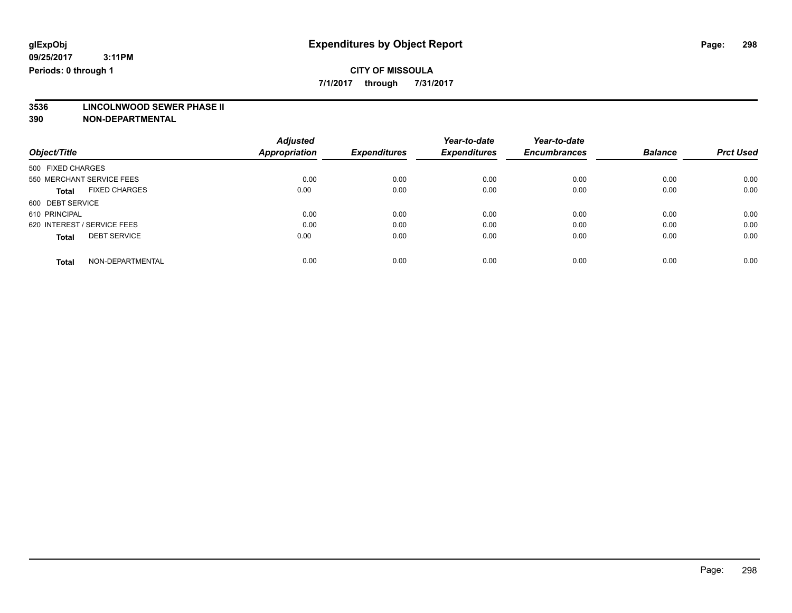**7/1/2017 through 7/31/2017**

# **3536 LINCOLNWOOD SEWER PHASE II**

|                                      | <b>Adjusted</b>      |                     | Year-to-date        | Year-to-date        |                |                  |
|--------------------------------------|----------------------|---------------------|---------------------|---------------------|----------------|------------------|
| Object/Title                         | <b>Appropriation</b> | <b>Expenditures</b> | <b>Expenditures</b> | <b>Encumbrances</b> | <b>Balance</b> | <b>Prct Used</b> |
| 500 FIXED CHARGES                    |                      |                     |                     |                     |                |                  |
| 550 MERCHANT SERVICE FEES            | 0.00                 | 0.00                | 0.00                | 0.00                | 0.00           | 0.00             |
| <b>FIXED CHARGES</b><br><b>Total</b> | 0.00                 | 0.00                | 0.00                | 0.00                | 0.00           | 0.00             |
| 600 DEBT SERVICE                     |                      |                     |                     |                     |                |                  |
| 610 PRINCIPAL                        | 0.00                 | 0.00                | 0.00                | 0.00                | 0.00           | 0.00             |
| 620 INTEREST / SERVICE FEES          | 0.00                 | 0.00                | 0.00                | 0.00                | 0.00           | 0.00             |
| <b>DEBT SERVICE</b><br><b>Total</b>  | 0.00                 | 0.00                | 0.00                | 0.00                | 0.00           | 0.00             |
| NON-DEPARTMENTAL<br><b>Total</b>     | 0.00                 | 0.00                | 0.00                | 0.00                | 0.00           | 0.00             |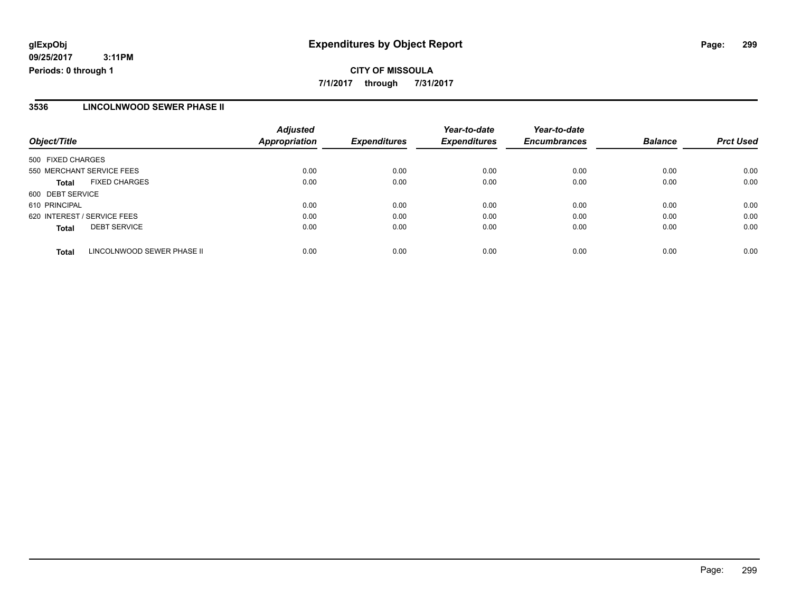#### **3536 LINCOLNWOOD SEWER PHASE II**

| Object/Title                |                            | <b>Adjusted</b><br><b>Appropriation</b> | <b>Expenditures</b> | Year-to-date<br><b>Expenditures</b> | Year-to-date<br><b>Encumbrances</b> | <b>Balance</b> | <b>Prct Used</b> |
|-----------------------------|----------------------------|-----------------------------------------|---------------------|-------------------------------------|-------------------------------------|----------------|------------------|
| 500 FIXED CHARGES           |                            |                                         |                     |                                     |                                     |                |                  |
|                             |                            |                                         |                     |                                     |                                     |                |                  |
| 550 MERCHANT SERVICE FEES   |                            | 0.00                                    | 0.00                | 0.00                                | 0.00                                | 0.00           | 0.00             |
| <b>Total</b>                | <b>FIXED CHARGES</b>       | 0.00                                    | 0.00                | 0.00                                | 0.00                                | 0.00           | 0.00             |
| 600 DEBT SERVICE            |                            |                                         |                     |                                     |                                     |                |                  |
| 610 PRINCIPAL               |                            | 0.00                                    | 0.00                | 0.00                                | 0.00                                | 0.00           | 0.00             |
| 620 INTEREST / SERVICE FEES |                            | 0.00                                    | 0.00                | 0.00                                | 0.00                                | 0.00           | 0.00             |
| <b>Total</b>                | <b>DEBT SERVICE</b>        | 0.00                                    | 0.00                | 0.00                                | 0.00                                | 0.00           | 0.00             |
| Total                       | LINCOLNWOOD SEWER PHASE II | 0.00                                    | 0.00                | 0.00                                | 0.00                                | 0.00           | 0.00             |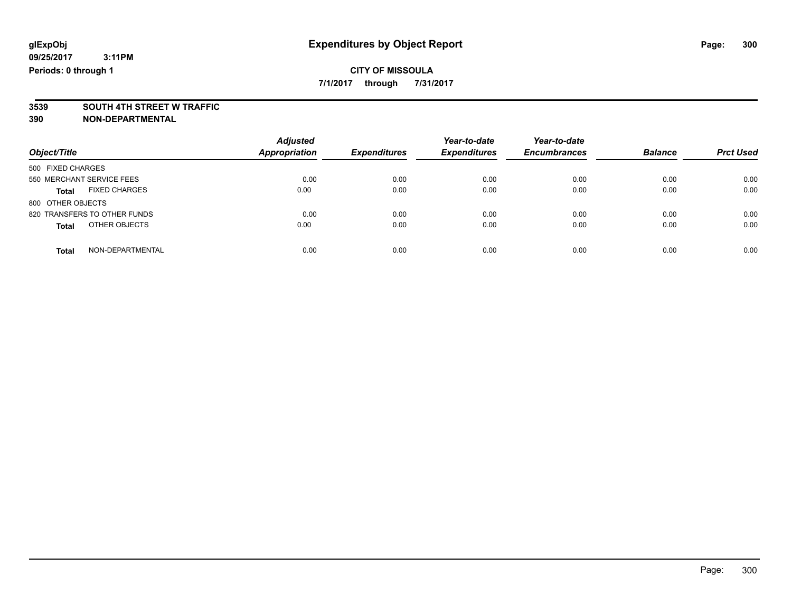**7/1/2017 through 7/31/2017**

# **3539 SOUTH 4TH STREET W TRAFFIC**

| Object/Title                         | <b>Adjusted</b><br><b>Appropriation</b> | <b>Expenditures</b> | Year-to-date<br><b>Expenditures</b> | Year-to-date<br><b>Encumbrances</b> | <b>Balance</b> | <b>Prct Used</b> |
|--------------------------------------|-----------------------------------------|---------------------|-------------------------------------|-------------------------------------|----------------|------------------|
| 500 FIXED CHARGES                    |                                         |                     |                                     |                                     |                |                  |
| 550 MERCHANT SERVICE FEES            | 0.00                                    | 0.00                | 0.00                                | 0.00                                | 0.00           | 0.00             |
| <b>FIXED CHARGES</b><br><b>Total</b> | 0.00                                    | 0.00                | 0.00                                | 0.00                                | 0.00           | 0.00             |
| 800 OTHER OBJECTS                    |                                         |                     |                                     |                                     |                |                  |
| 820 TRANSFERS TO OTHER FUNDS         | 0.00                                    | 0.00                | 0.00                                | 0.00                                | 0.00           | 0.00             |
| OTHER OBJECTS<br><b>Total</b>        | 0.00                                    | 0.00                | 0.00                                | 0.00                                | 0.00           | 0.00             |
| NON-DEPARTMENTAL<br><b>Total</b>     | 0.00                                    | 0.00                | 0.00                                | 0.00                                | 0.00           | 0.00             |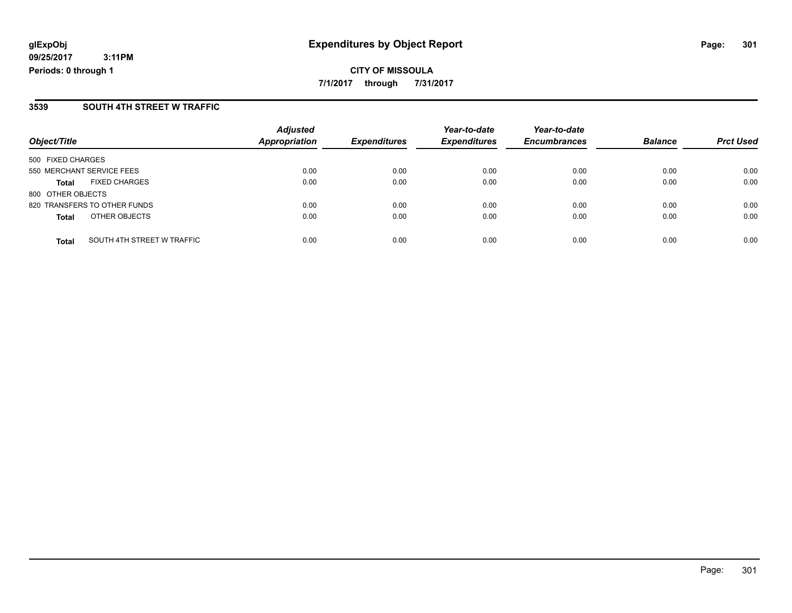#### **3539 SOUTH 4TH STREET W TRAFFIC**

| Object/Title              |                              | <b>Adjusted</b><br><b>Appropriation</b> | <b>Expenditures</b> | Year-to-date<br><b>Expenditures</b> | Year-to-date<br><b>Encumbrances</b> | <b>Balance</b> | <b>Prct Used</b> |
|---------------------------|------------------------------|-----------------------------------------|---------------------|-------------------------------------|-------------------------------------|----------------|------------------|
|                           |                              |                                         |                     |                                     |                                     |                |                  |
| 500 FIXED CHARGES         |                              |                                         |                     |                                     |                                     |                |                  |
| 550 MERCHANT SERVICE FEES |                              | 0.00                                    | 0.00                | 0.00                                | 0.00                                | 0.00           | 0.00             |
| <b>Total</b>              | <b>FIXED CHARGES</b>         | 0.00                                    | 0.00                | 0.00                                | 0.00                                | 0.00           | 0.00             |
| 800 OTHER OBJECTS         |                              |                                         |                     |                                     |                                     |                |                  |
|                           | 820 TRANSFERS TO OTHER FUNDS | 0.00                                    | 0.00                | 0.00                                | 0.00                                | 0.00           | 0.00             |
| <b>Total</b>              | OTHER OBJECTS                | 0.00                                    | 0.00                | 0.00                                | 0.00                                | 0.00           | 0.00             |
|                           |                              |                                         |                     |                                     |                                     |                |                  |
| <b>Total</b>              | SOUTH 4TH STREET W TRAFFIC   | 0.00                                    | 0.00                | 0.00                                | 0.00                                | 0.00           | 0.00             |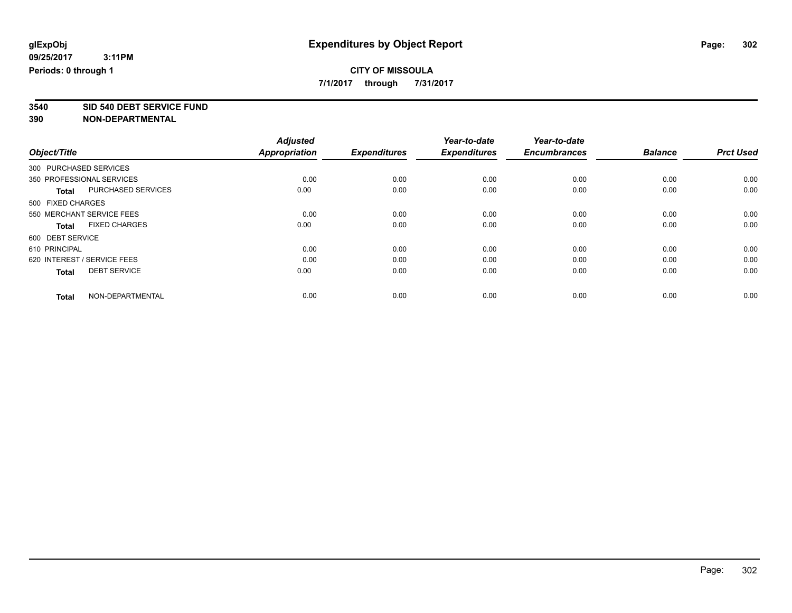**7/1/2017 through 7/31/2017**

**3540 SID 540 DEBT SERVICE FUND**

|                                      | <b>Adjusted</b>      |                     | Year-to-date        | Year-to-date        |                |                  |
|--------------------------------------|----------------------|---------------------|---------------------|---------------------|----------------|------------------|
| Object/Title                         | <b>Appropriation</b> | <b>Expenditures</b> | <b>Expenditures</b> | <b>Encumbrances</b> | <b>Balance</b> | <b>Prct Used</b> |
| 300 PURCHASED SERVICES               |                      |                     |                     |                     |                |                  |
| 350 PROFESSIONAL SERVICES            | 0.00                 | 0.00                | 0.00                | 0.00                | 0.00           | 0.00             |
| PURCHASED SERVICES<br><b>Total</b>   | 0.00                 | 0.00                | 0.00                | 0.00                | 0.00           | 0.00             |
| 500 FIXED CHARGES                    |                      |                     |                     |                     |                |                  |
| 550 MERCHANT SERVICE FEES            | 0.00                 | 0.00                | 0.00                | 0.00                | 0.00           | 0.00             |
| <b>FIXED CHARGES</b><br><b>Total</b> | 0.00                 | 0.00                | 0.00                | 0.00                | 0.00           | 0.00             |
| 600 DEBT SERVICE                     |                      |                     |                     |                     |                |                  |
| 610 PRINCIPAL                        | 0.00                 | 0.00                | 0.00                | 0.00                | 0.00           | 0.00             |
| 620 INTEREST / SERVICE FEES          | 0.00                 | 0.00                | 0.00                | 0.00                | 0.00           | 0.00             |
| <b>DEBT SERVICE</b><br><b>Total</b>  | 0.00                 | 0.00                | 0.00                | 0.00                | 0.00           | 0.00             |
|                                      |                      |                     |                     |                     |                |                  |
| NON-DEPARTMENTAL<br><b>Total</b>     | 0.00                 | 0.00                | 0.00                | 0.00                | 0.00           | 0.00             |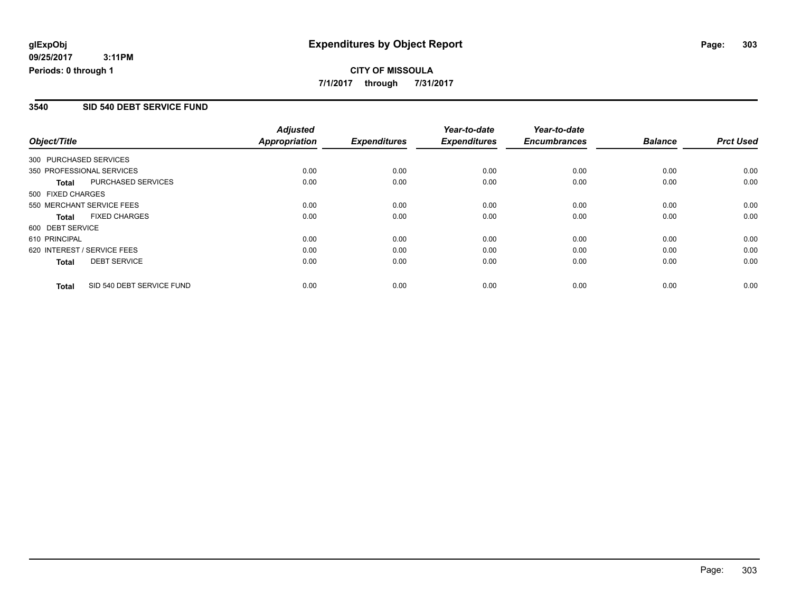#### **CITY OF MISSOULA 7/1/2017 through 7/31/2017**

#### **3540 SID 540 DEBT SERVICE FUND**

|                        |                             | <b>Adjusted</b>      |                     | Year-to-date        | Year-to-date        |                |                  |
|------------------------|-----------------------------|----------------------|---------------------|---------------------|---------------------|----------------|------------------|
| Object/Title           |                             | <b>Appropriation</b> | <b>Expenditures</b> | <b>Expenditures</b> | <b>Encumbrances</b> | <b>Balance</b> | <b>Prct Used</b> |
| 300 PURCHASED SERVICES |                             |                      |                     |                     |                     |                |                  |
|                        | 350 PROFESSIONAL SERVICES   | 0.00                 | 0.00                | 0.00                | 0.00                | 0.00           | 0.00             |
| <b>Total</b>           | PURCHASED SERVICES          | 0.00                 | 0.00                | 0.00                | 0.00                | 0.00           | 0.00             |
| 500 FIXED CHARGES      |                             |                      |                     |                     |                     |                |                  |
|                        | 550 MERCHANT SERVICE FEES   | 0.00                 | 0.00                | 0.00                | 0.00                | 0.00           | 0.00             |
| <b>Total</b>           | <b>FIXED CHARGES</b>        | 0.00                 | 0.00                | 0.00                | 0.00                | 0.00           | 0.00             |
| 600 DEBT SERVICE       |                             |                      |                     |                     |                     |                |                  |
| 610 PRINCIPAL          |                             | 0.00                 | 0.00                | 0.00                | 0.00                | 0.00           | 0.00             |
|                        | 620 INTEREST / SERVICE FEES | 0.00                 | 0.00                | 0.00                | 0.00                | 0.00           | 0.00             |
| <b>Total</b>           | <b>DEBT SERVICE</b>         | 0.00                 | 0.00                | 0.00                | 0.00                | 0.00           | 0.00             |
| <b>Total</b>           | SID 540 DEBT SERVICE FUND   | 0.00                 | 0.00                | 0.00                | 0.00                | 0.00           | 0.00             |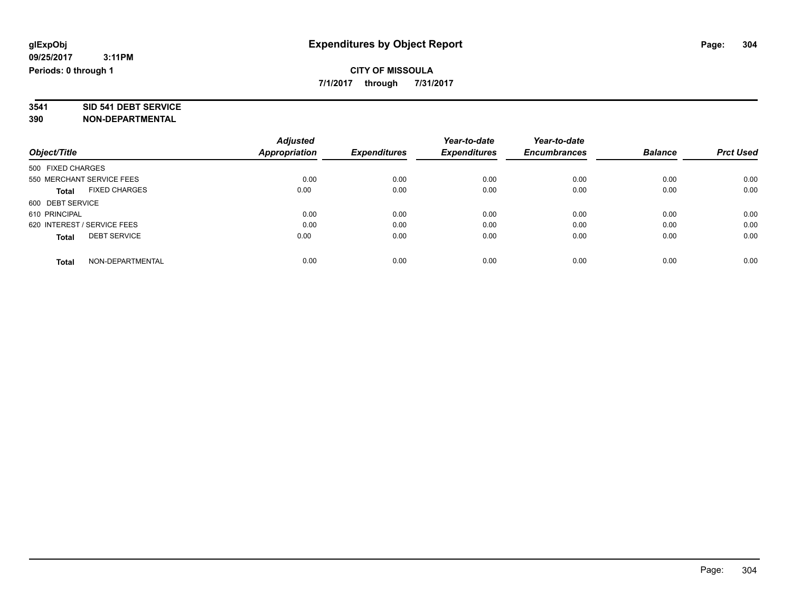**7/1/2017 through 7/31/2017**

# **3541 SID 541 DEBT SERVICE**

|                                      | <b>Adjusted</b>      |                     | Year-to-date        | Year-to-date        |                |                  |
|--------------------------------------|----------------------|---------------------|---------------------|---------------------|----------------|------------------|
| Object/Title                         | <b>Appropriation</b> | <b>Expenditures</b> | <b>Expenditures</b> | <b>Encumbrances</b> | <b>Balance</b> | <b>Prct Used</b> |
| 500 FIXED CHARGES                    |                      |                     |                     |                     |                |                  |
| 550 MERCHANT SERVICE FEES            | 0.00                 | 0.00                | 0.00                | 0.00                | 0.00           | 0.00             |
| <b>FIXED CHARGES</b><br><b>Total</b> | 0.00                 | 0.00                | 0.00                | 0.00                | 0.00           | 0.00             |
| 600 DEBT SERVICE                     |                      |                     |                     |                     |                |                  |
| 610 PRINCIPAL                        | 0.00                 | 0.00                | 0.00                | 0.00                | 0.00           | 0.00             |
| 620 INTEREST / SERVICE FEES          | 0.00                 | 0.00                | 0.00                | 0.00                | 0.00           | 0.00             |
| <b>DEBT SERVICE</b><br><b>Total</b>  | 0.00                 | 0.00                | 0.00                | 0.00                | 0.00           | 0.00             |
| NON-DEPARTMENTAL<br><b>Total</b>     | 0.00                 | 0.00                | 0.00                | 0.00                | 0.00           | 0.00             |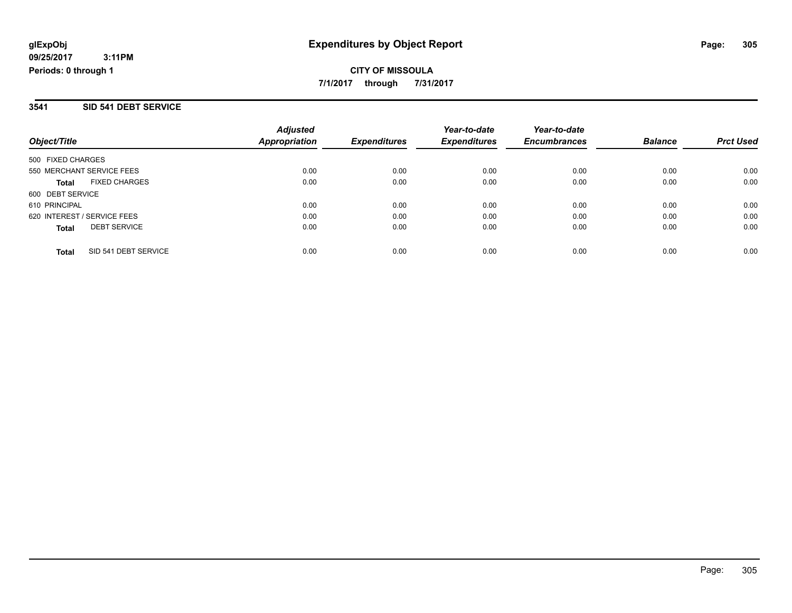**CITY OF MISSOULA 7/1/2017 through 7/31/2017**

#### **3541 SID 541 DEBT SERVICE**

| Object/Title                |                      | <b>Adjusted</b><br>Appropriation | <b>Expenditures</b> | Year-to-date<br><b>Expenditures</b> | Year-to-date<br><b>Encumbrances</b> | <b>Balance</b> | <b>Prct Used</b> |
|-----------------------------|----------------------|----------------------------------|---------------------|-------------------------------------|-------------------------------------|----------------|------------------|
|                             |                      |                                  |                     |                                     |                                     |                |                  |
| 500 FIXED CHARGES           |                      |                                  |                     |                                     |                                     |                |                  |
| 550 MERCHANT SERVICE FEES   |                      | 0.00                             | 0.00                | 0.00                                | 0.00                                | 0.00           | 0.00             |
| <b>Total</b>                | <b>FIXED CHARGES</b> | 0.00                             | 0.00                | 0.00                                | 0.00                                | 0.00           | 0.00             |
| 600 DEBT SERVICE            |                      |                                  |                     |                                     |                                     |                |                  |
| 610 PRINCIPAL               |                      | 0.00                             | 0.00                | 0.00                                | 0.00                                | 0.00           | 0.00             |
| 620 INTEREST / SERVICE FEES |                      | 0.00                             | 0.00                | 0.00                                | 0.00                                | 0.00           | 0.00             |
| <b>Total</b>                | <b>DEBT SERVICE</b>  | 0.00                             | 0.00                | 0.00                                | 0.00                                | 0.00           | 0.00             |
| Total                       | SID 541 DEBT SERVICE | 0.00                             | 0.00                | 0.00                                | 0.00                                | 0.00           | 0.00             |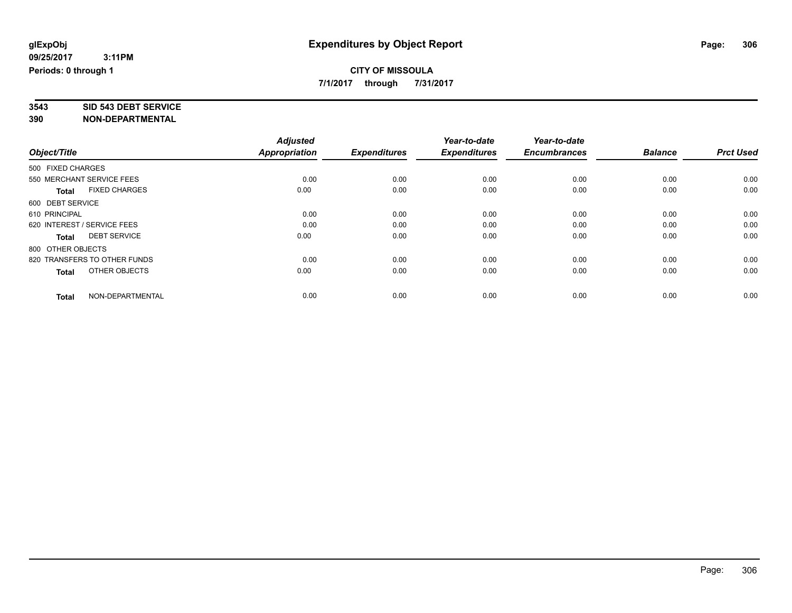**7/1/2017 through 7/31/2017**

# **3543 SID 543 DEBT SERVICE**

|                   |                              | <b>Adjusted</b>      |                     | Year-to-date        | Year-to-date        |                |                  |
|-------------------|------------------------------|----------------------|---------------------|---------------------|---------------------|----------------|------------------|
| Object/Title      |                              | <b>Appropriation</b> | <b>Expenditures</b> | <b>Expenditures</b> | <b>Encumbrances</b> | <b>Balance</b> | <b>Prct Used</b> |
| 500 FIXED CHARGES |                              |                      |                     |                     |                     |                |                  |
|                   | 550 MERCHANT SERVICE FEES    | 0.00                 | 0.00                | 0.00                | 0.00                | 0.00           | 0.00             |
| <b>Total</b>      | <b>FIXED CHARGES</b>         | 0.00                 | 0.00                | 0.00                | 0.00                | 0.00           | 0.00             |
| 600 DEBT SERVICE  |                              |                      |                     |                     |                     |                |                  |
| 610 PRINCIPAL     |                              | 0.00                 | 0.00                | 0.00                | 0.00                | 0.00           | 0.00             |
|                   | 620 INTEREST / SERVICE FEES  | 0.00                 | 0.00                | 0.00                | 0.00                | 0.00           | 0.00             |
| <b>Total</b>      | <b>DEBT SERVICE</b>          | 0.00                 | 0.00                | 0.00                | 0.00                | 0.00           | 0.00             |
| 800 OTHER OBJECTS |                              |                      |                     |                     |                     |                |                  |
|                   | 820 TRANSFERS TO OTHER FUNDS | 0.00                 | 0.00                | 0.00                | 0.00                | 0.00           | 0.00             |
| <b>Total</b>      | OTHER OBJECTS                | 0.00                 | 0.00                | 0.00                | 0.00                | 0.00           | 0.00             |
|                   |                              |                      |                     |                     |                     |                |                  |
| <b>Total</b>      | NON-DEPARTMENTAL             | 0.00                 | 0.00                | 0.00                | 0.00                | 0.00           | 0.00             |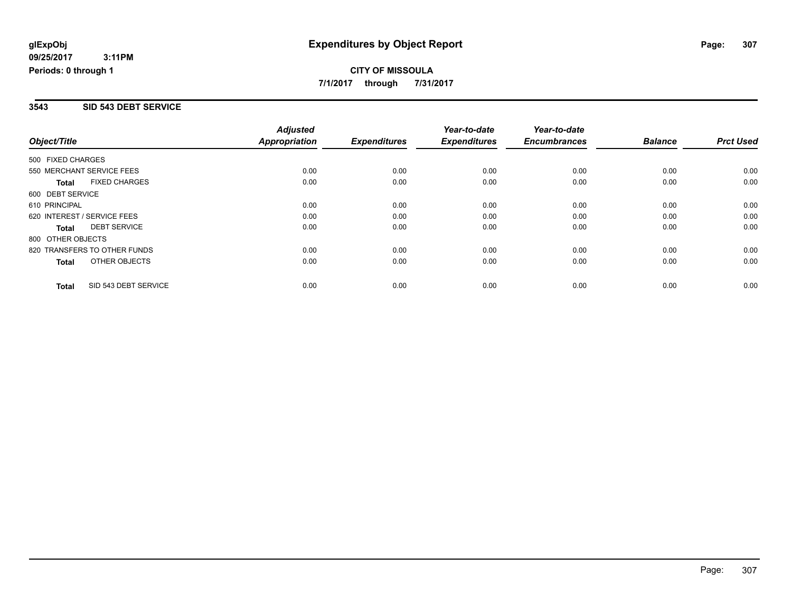**CITY OF MISSOULA 7/1/2017 through 7/31/2017**

#### **3543 SID 543 DEBT SERVICE**

|                              |                      | <b>Adjusted</b>      |                     | Year-to-date        | Year-to-date        |                |                  |
|------------------------------|----------------------|----------------------|---------------------|---------------------|---------------------|----------------|------------------|
| Object/Title                 |                      | <b>Appropriation</b> | <b>Expenditures</b> | <b>Expenditures</b> | <b>Encumbrances</b> | <b>Balance</b> | <b>Prct Used</b> |
| 500 FIXED CHARGES            |                      |                      |                     |                     |                     |                |                  |
| 550 MERCHANT SERVICE FEES    |                      | 0.00                 | 0.00                | 0.00                | 0.00                | 0.00           | 0.00             |
| <b>Total</b>                 | <b>FIXED CHARGES</b> | 0.00                 | 0.00                | 0.00                | 0.00                | 0.00           | 0.00             |
| 600 DEBT SERVICE             |                      |                      |                     |                     |                     |                |                  |
| 610 PRINCIPAL                |                      | 0.00                 | 0.00                | 0.00                | 0.00                | 0.00           | 0.00             |
| 620 INTEREST / SERVICE FEES  |                      | 0.00                 | 0.00                | 0.00                | 0.00                | 0.00           | 0.00             |
| Total                        | <b>DEBT SERVICE</b>  | 0.00                 | 0.00                | 0.00                | 0.00                | 0.00           | 0.00             |
| 800 OTHER OBJECTS            |                      |                      |                     |                     |                     |                |                  |
| 820 TRANSFERS TO OTHER FUNDS |                      | 0.00                 | 0.00                | 0.00                | 0.00                | 0.00           | 0.00             |
| Total                        | OTHER OBJECTS        | 0.00                 | 0.00                | 0.00                | 0.00                | 0.00           | 0.00             |
| <b>Total</b>                 | SID 543 DEBT SERVICE | 0.00                 | 0.00                | 0.00                | 0.00                | 0.00           | 0.00             |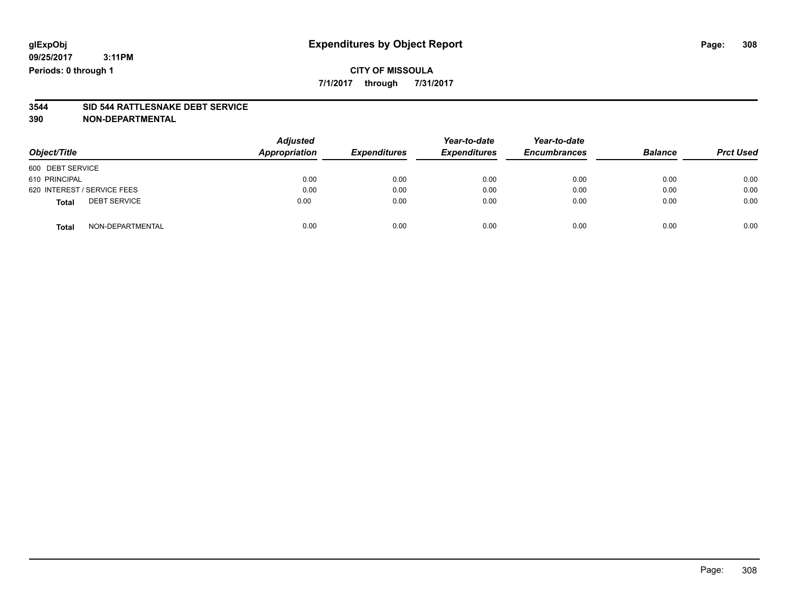#### **CITY OF MISSOULA 7/1/2017 through 7/31/2017**

# **3544 SID 544 RATTLESNAKE DEBT SERVICE**

| Object/Title                        | <b>Adjusted</b><br>Appropriation | <b>Expenditures</b> | Year-to-date<br><b>Expenditures</b> | Year-to-date<br><b>Encumbrances</b> | <b>Balance</b> | <b>Prct Used</b> |
|-------------------------------------|----------------------------------|---------------------|-------------------------------------|-------------------------------------|----------------|------------------|
| 600 DEBT SERVICE                    |                                  |                     |                                     |                                     |                |                  |
| 610 PRINCIPAL                       | 0.00                             | 0.00                | 0.00                                | 0.00                                | 0.00           | 0.00             |
| 620 INTEREST / SERVICE FEES         | 0.00                             | 0.00                | 0.00                                | 0.00                                | 0.00           | 0.00             |
| <b>DEBT SERVICE</b><br><b>Total</b> | 0.00                             | 0.00                | 0.00                                | 0.00                                | 0.00           | 0.00             |
| NON-DEPARTMENTAL<br><b>Total</b>    | 0.00                             | 0.00                | 0.00                                | 0.00                                | 0.00           | 0.00             |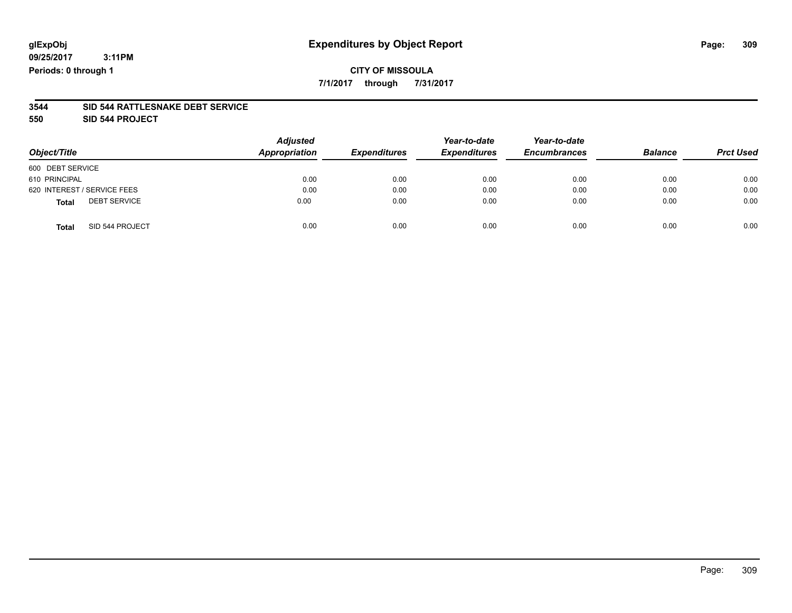### **CITY OF MISSOULA**

**7/1/2017 through 7/31/2017**

#### **3544 SID 544 RATTLESNAKE DEBT SERVICE**

**550 SID 544 PROJECT**

| Object/Title                        | <b>Adjusted</b><br>Appropriation | <b>Expenditures</b> | Year-to-date<br><b>Expenditures</b> | Year-to-date<br><b>Encumbrances</b> | <b>Balance</b> | <b>Prct Used</b> |
|-------------------------------------|----------------------------------|---------------------|-------------------------------------|-------------------------------------|----------------|------------------|
| 600 DEBT SERVICE                    |                                  |                     |                                     |                                     |                |                  |
| 610 PRINCIPAL                       | 0.00                             | 0.00                | 0.00                                | 0.00                                | 0.00           | 0.00             |
| 620 INTEREST / SERVICE FEES         | 0.00                             | 0.00                | 0.00                                | 0.00                                | 0.00           | 0.00             |
| <b>DEBT SERVICE</b><br><b>Total</b> | 0.00                             | 0.00                | 0.00                                | 0.00                                | 0.00           | 0.00             |
| SID 544 PROJECT<br><b>Total</b>     | 0.00                             | 0.00                | 0.00                                | 0.00                                | 0.00           | 0.00             |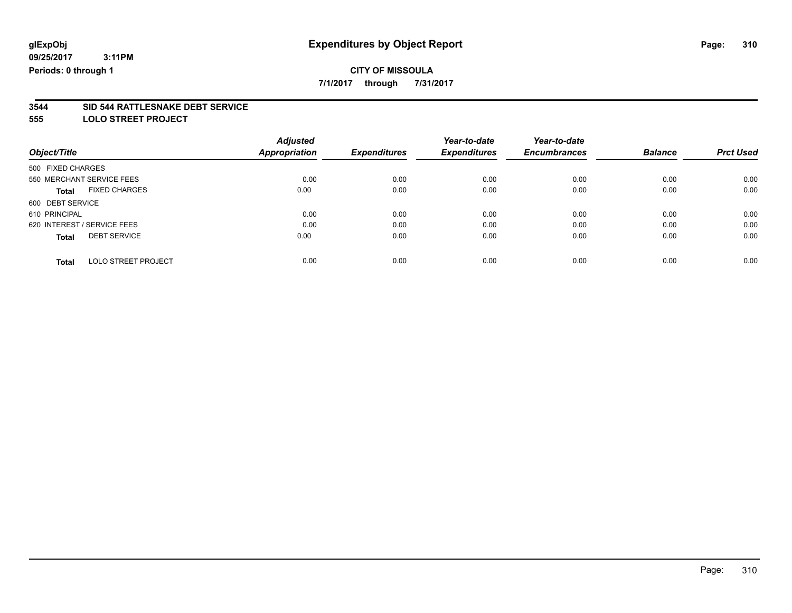**7/1/2017 through 7/31/2017**

# **3544 SID 544 RATTLESNAKE DEBT SERVICE**

**555 LOLO STREET PROJECT**

|                                      | <b>Adjusted</b>      |                     | Year-to-date        | Year-to-date        |                |                  |
|--------------------------------------|----------------------|---------------------|---------------------|---------------------|----------------|------------------|
| Object/Title                         | <b>Appropriation</b> | <b>Expenditures</b> | <b>Expenditures</b> | <b>Encumbrances</b> | <b>Balance</b> | <b>Prct Used</b> |
| 500 FIXED CHARGES                    |                      |                     |                     |                     |                |                  |
| 550 MERCHANT SERVICE FEES            | 0.00                 | 0.00                | 0.00                | 0.00                | 0.00           | 0.00             |
| <b>FIXED CHARGES</b><br><b>Total</b> | 0.00                 | 0.00                | 0.00                | 0.00                | 0.00           | 0.00             |
| 600 DEBT SERVICE                     |                      |                     |                     |                     |                |                  |
| 610 PRINCIPAL                        | 0.00                 | 0.00                | 0.00                | 0.00                | 0.00           | 0.00             |
| 620 INTEREST / SERVICE FEES          | 0.00                 | 0.00                | 0.00                | 0.00                | 0.00           | 0.00             |
| <b>DEBT SERVICE</b><br><b>Total</b>  | 0.00                 | 0.00                | 0.00                | 0.00                | 0.00           | 0.00             |
|                                      |                      |                     |                     |                     |                |                  |
| <b>LOLO STREET PROJECT</b><br>Total  | 0.00                 | 0.00                | 0.00                | 0.00                | 0.00           | 0.00             |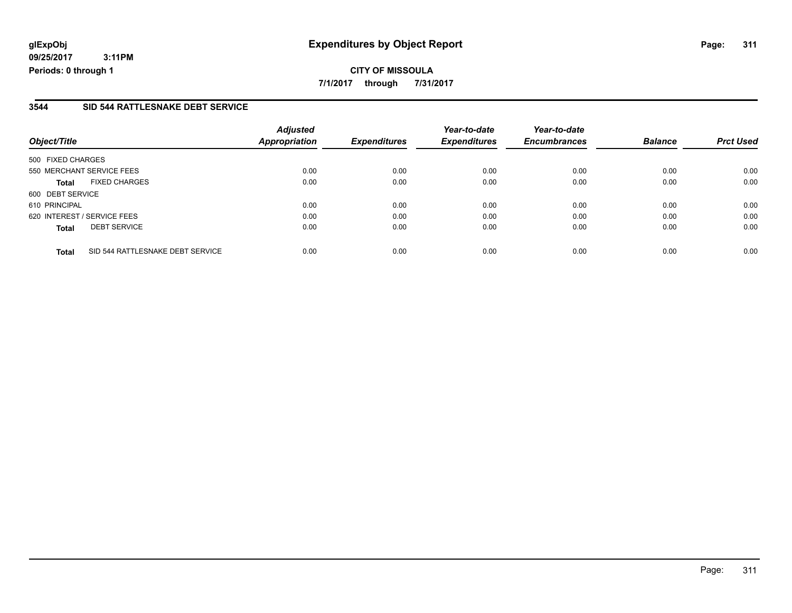#### **3544 SID 544 RATTLESNAKE DEBT SERVICE**

| Object/Title      |                                  | <b>Adjusted</b><br><b>Appropriation</b> | <b>Expenditures</b> | Year-to-date<br><b>Expenditures</b> | Year-to-date<br><b>Encumbrances</b> | <b>Balance</b> | <b>Prct Used</b> |
|-------------------|----------------------------------|-----------------------------------------|---------------------|-------------------------------------|-------------------------------------|----------------|------------------|
| 500 FIXED CHARGES |                                  |                                         |                     |                                     |                                     |                |                  |
|                   | 550 MERCHANT SERVICE FEES        | 0.00                                    | 0.00                | 0.00                                | 0.00                                | 0.00           | 0.00             |
| <b>Total</b>      | <b>FIXED CHARGES</b>             | 0.00                                    | 0.00                | 0.00                                | 0.00                                | 0.00           | 0.00             |
| 600 DEBT SERVICE  |                                  |                                         |                     |                                     |                                     |                |                  |
| 610 PRINCIPAL     |                                  | 0.00                                    | 0.00                | 0.00                                | 0.00                                | 0.00           | 0.00             |
|                   | 620 INTEREST / SERVICE FEES      | 0.00                                    | 0.00                | 0.00                                | 0.00                                | 0.00           | 0.00             |
| <b>Total</b>      | <b>DEBT SERVICE</b>              | 0.00                                    | 0.00                | 0.00                                | 0.00                                | 0.00           | 0.00             |
| <b>Total</b>      | SID 544 RATTLESNAKE DEBT SERVICE | 0.00                                    | 0.00                | 0.00                                | 0.00                                | 0.00           | 0.00             |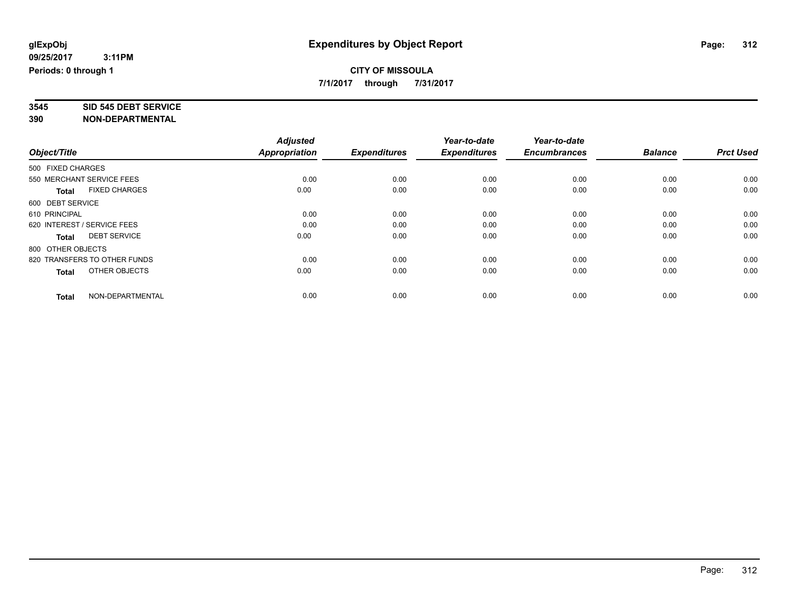**7/1/2017 through 7/31/2017**

# **3545 SID 545 DEBT SERVICE**

|                                      | <b>Adjusted</b> |                     | Year-to-date        | Year-to-date        |                |                  |
|--------------------------------------|-----------------|---------------------|---------------------|---------------------|----------------|------------------|
| Object/Title                         | Appropriation   | <b>Expenditures</b> | <b>Expenditures</b> | <b>Encumbrances</b> | <b>Balance</b> | <b>Prct Used</b> |
| 500 FIXED CHARGES                    |                 |                     |                     |                     |                |                  |
| 550 MERCHANT SERVICE FEES            | 0.00            | 0.00                | 0.00                | 0.00                | 0.00           | 0.00             |
| <b>FIXED CHARGES</b><br><b>Total</b> | 0.00            | 0.00                | 0.00                | 0.00                | 0.00           | 0.00             |
| 600 DEBT SERVICE                     |                 |                     |                     |                     |                |                  |
| 610 PRINCIPAL                        | 0.00            | 0.00                | 0.00                | 0.00                | 0.00           | 0.00             |
| 620 INTEREST / SERVICE FEES          | 0.00            | 0.00                | 0.00                | 0.00                | 0.00           | 0.00             |
| <b>DEBT SERVICE</b><br><b>Total</b>  | 0.00            | 0.00                | 0.00                | 0.00                | 0.00           | 0.00             |
| 800 OTHER OBJECTS                    |                 |                     |                     |                     |                |                  |
| 820 TRANSFERS TO OTHER FUNDS         | 0.00            | 0.00                | 0.00                | 0.00                | 0.00           | 0.00             |
| OTHER OBJECTS<br><b>Total</b>        | 0.00            | 0.00                | 0.00                | 0.00                | 0.00           | 0.00             |
|                                      |                 |                     |                     |                     |                |                  |
| NON-DEPARTMENTAL<br><b>Total</b>     | 0.00            | 0.00                | 0.00                | 0.00                | 0.00           | 0.00             |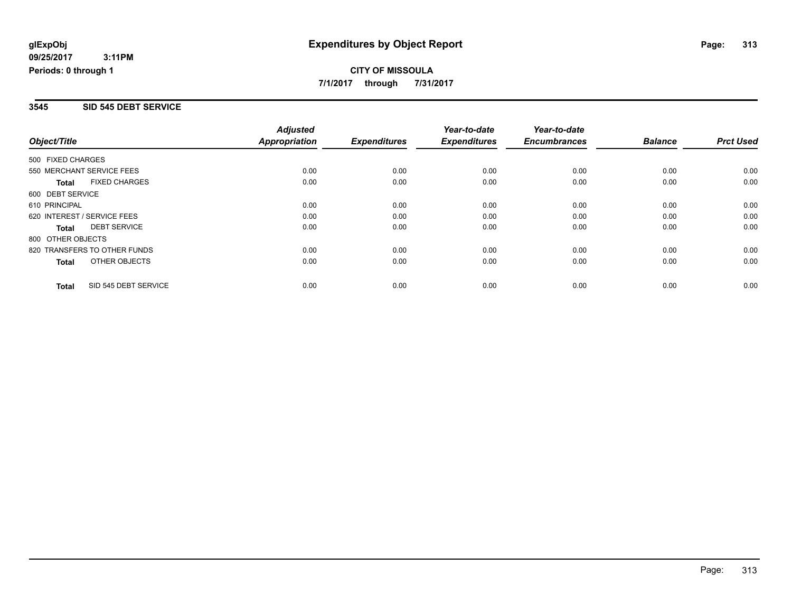**CITY OF MISSOULA 7/1/2017 through 7/31/2017**

#### **3545 SID 545 DEBT SERVICE**

| Object/Title                 |                      | <b>Adjusted</b>      |                     | Year-to-date<br><b>Expenditures</b> | Year-to-date<br><b>Encumbrances</b> | <b>Balance</b> | <b>Prct Used</b> |
|------------------------------|----------------------|----------------------|---------------------|-------------------------------------|-------------------------------------|----------------|------------------|
|                              |                      | <b>Appropriation</b> | <b>Expenditures</b> |                                     |                                     |                |                  |
| 500 FIXED CHARGES            |                      |                      |                     |                                     |                                     |                |                  |
| 550 MERCHANT SERVICE FEES    |                      | 0.00                 | 0.00                | 0.00                                | 0.00                                | 0.00           | 0.00             |
| <b>Total</b>                 | <b>FIXED CHARGES</b> | 0.00                 | 0.00                | 0.00                                | 0.00                                | 0.00           | 0.00             |
| 600 DEBT SERVICE             |                      |                      |                     |                                     |                                     |                |                  |
| 610 PRINCIPAL                |                      | 0.00                 | 0.00                | 0.00                                | 0.00                                | 0.00           | 0.00             |
| 620 INTEREST / SERVICE FEES  |                      | 0.00                 | 0.00                | 0.00                                | 0.00                                | 0.00           | 0.00             |
| Total                        | <b>DEBT SERVICE</b>  | 0.00                 | 0.00                | 0.00                                | 0.00                                | 0.00           | 0.00             |
| 800 OTHER OBJECTS            |                      |                      |                     |                                     |                                     |                |                  |
| 820 TRANSFERS TO OTHER FUNDS |                      | 0.00                 | 0.00                | 0.00                                | 0.00                                | 0.00           | 0.00             |
| Total                        | OTHER OBJECTS        | 0.00                 | 0.00                | 0.00                                | 0.00                                | 0.00           | 0.00             |
| <b>Total</b>                 | SID 545 DEBT SERVICE | 0.00                 | 0.00                | 0.00                                | 0.00                                | 0.00           | 0.00             |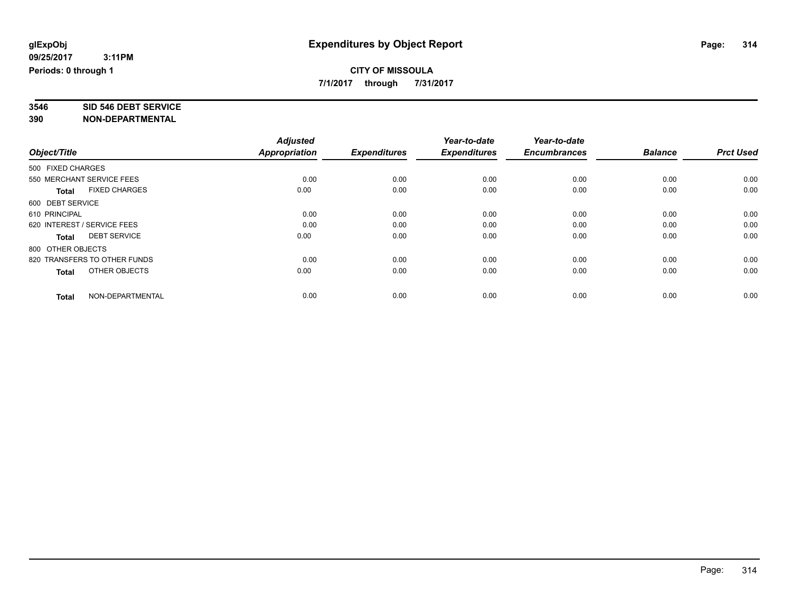**7/1/2017 through 7/31/2017**

# **3546 SID 546 DEBT SERVICE**

|                   |                              | <b>Adjusted</b> |                     | Year-to-date        | Year-to-date        |                |                  |
|-------------------|------------------------------|-----------------|---------------------|---------------------|---------------------|----------------|------------------|
| Object/Title      |                              | Appropriation   | <b>Expenditures</b> | <b>Expenditures</b> | <b>Encumbrances</b> | <b>Balance</b> | <b>Prct Used</b> |
| 500 FIXED CHARGES |                              |                 |                     |                     |                     |                |                  |
|                   | 550 MERCHANT SERVICE FEES    | 0.00            | 0.00                | 0.00                | 0.00                | 0.00           | 0.00             |
| <b>Total</b>      | <b>FIXED CHARGES</b>         | 0.00            | 0.00                | 0.00                | 0.00                | 0.00           | 0.00             |
| 600 DEBT SERVICE  |                              |                 |                     |                     |                     |                |                  |
| 610 PRINCIPAL     |                              | 0.00            | 0.00                | 0.00                | 0.00                | 0.00           | 0.00             |
|                   | 620 INTEREST / SERVICE FEES  | 0.00            | 0.00                | 0.00                | 0.00                | 0.00           | 0.00             |
| <b>Total</b>      | <b>DEBT SERVICE</b>          | 0.00            | 0.00                | 0.00                | 0.00                | 0.00           | 0.00             |
| 800 OTHER OBJECTS |                              |                 |                     |                     |                     |                |                  |
|                   | 820 TRANSFERS TO OTHER FUNDS | 0.00            | 0.00                | 0.00                | 0.00                | 0.00           | 0.00             |
| <b>Total</b>      | OTHER OBJECTS                | 0.00            | 0.00                | 0.00                | 0.00                | 0.00           | 0.00             |
|                   |                              |                 |                     |                     |                     |                |                  |
| <b>Total</b>      | NON-DEPARTMENTAL             | 0.00            | 0.00                | 0.00                | 0.00                | 0.00           | 0.00             |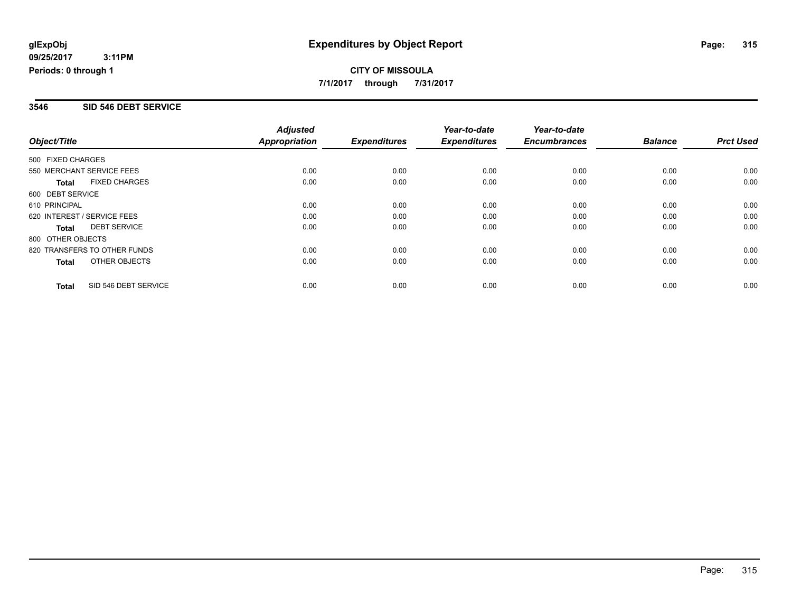**CITY OF MISSOULA 7/1/2017 through 7/31/2017**

#### **3546 SID 546 DEBT SERVICE**

| Object/Title                 |                      | <b>Adjusted</b>      |                     | Year-to-date        | Year-to-date<br><b>Encumbrances</b> | <b>Balance</b> | <b>Prct Used</b> |
|------------------------------|----------------------|----------------------|---------------------|---------------------|-------------------------------------|----------------|------------------|
|                              |                      | <b>Appropriation</b> | <b>Expenditures</b> | <b>Expenditures</b> |                                     |                |                  |
| 500 FIXED CHARGES            |                      |                      |                     |                     |                                     |                |                  |
| 550 MERCHANT SERVICE FEES    |                      | 0.00                 | 0.00                | 0.00                | 0.00                                | 0.00           | 0.00             |
| <b>Total</b>                 | <b>FIXED CHARGES</b> | 0.00                 | 0.00                | 0.00                | 0.00                                | 0.00           | 0.00             |
| 600 DEBT SERVICE             |                      |                      |                     |                     |                                     |                |                  |
| 610 PRINCIPAL                |                      | 0.00                 | 0.00                | 0.00                | 0.00                                | 0.00           | 0.00             |
| 620 INTEREST / SERVICE FEES  |                      | 0.00                 | 0.00                | 0.00                | 0.00                                | 0.00           | 0.00             |
| Total                        | <b>DEBT SERVICE</b>  | 0.00                 | 0.00                | 0.00                | 0.00                                | 0.00           | 0.00             |
| 800 OTHER OBJECTS            |                      |                      |                     |                     |                                     |                |                  |
| 820 TRANSFERS TO OTHER FUNDS |                      | 0.00                 | 0.00                | 0.00                | 0.00                                | 0.00           | 0.00             |
| Total                        | OTHER OBJECTS        | 0.00                 | 0.00                | 0.00                | 0.00                                | 0.00           | 0.00             |
| <b>Total</b>                 | SID 546 DEBT SERVICE | 0.00                 | 0.00                | 0.00                | 0.00                                | 0.00           | 0.00             |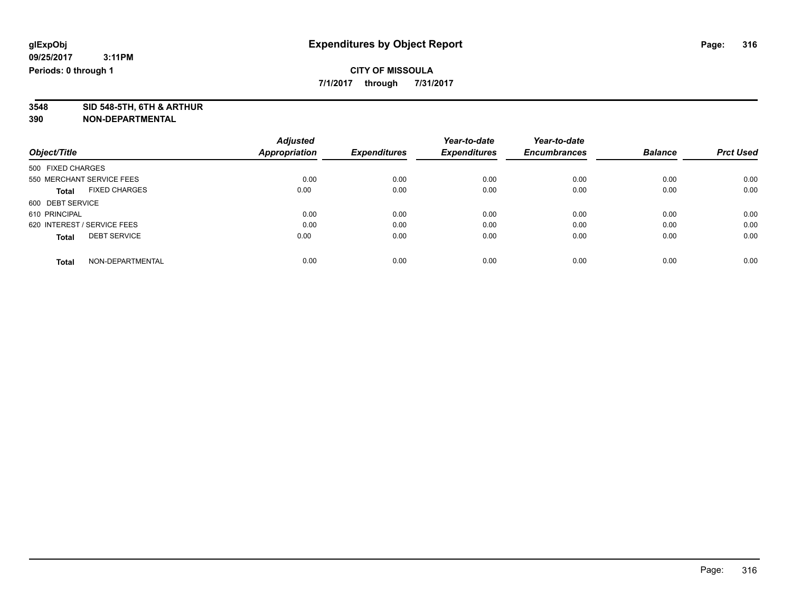**7/1/2017 through 7/31/2017**

**3548 SID 548-5TH, 6TH & ARTHUR**

|                                      | <b>Adjusted</b> | <b>Expenditures</b> | Year-to-date        | Year-to-date<br><b>Encumbrances</b> | <b>Balance</b> | <b>Prct Used</b> |
|--------------------------------------|-----------------|---------------------|---------------------|-------------------------------------|----------------|------------------|
| Object/Title                         | Appropriation   |                     | <b>Expenditures</b> |                                     |                |                  |
| 500 FIXED CHARGES                    |                 |                     |                     |                                     |                |                  |
| 550 MERCHANT SERVICE FEES            | 0.00            | 0.00                | 0.00                | 0.00                                | 0.00           | 0.00             |
| <b>FIXED CHARGES</b><br><b>Total</b> | 0.00            | 0.00                | 0.00                | 0.00                                | 0.00           | 0.00             |
| 600 DEBT SERVICE                     |                 |                     |                     |                                     |                |                  |
| 610 PRINCIPAL                        | 0.00            | 0.00                | 0.00                | 0.00                                | 0.00           | 0.00             |
| 620 INTEREST / SERVICE FEES          | 0.00            | 0.00                | 0.00                | 0.00                                | 0.00           | 0.00             |
| <b>DEBT SERVICE</b><br><b>Total</b>  | 0.00            | 0.00                | 0.00                | 0.00                                | 0.00           | 0.00             |
| NON-DEPARTMENTAL<br><b>Total</b>     | 0.00            | 0.00                | 0.00                | 0.00                                | 0.00           | 0.00             |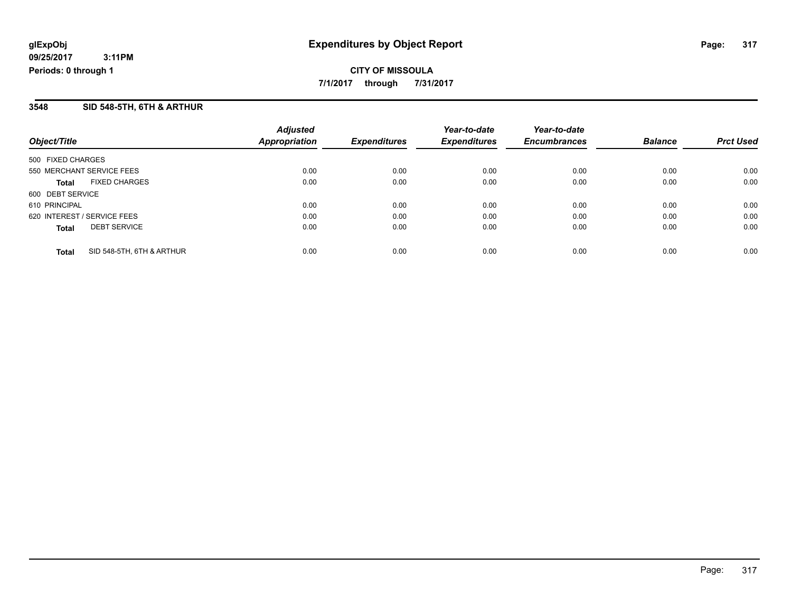#### **3548 SID 548-5TH, 6TH & ARTHUR**

| Object/Title                              | <b>Adjusted</b><br><b>Appropriation</b> | <b>Expenditures</b> | Year-to-date<br><b>Expenditures</b> | Year-to-date<br><b>Encumbrances</b> | <b>Balance</b> | <b>Prct Used</b> |
|-------------------------------------------|-----------------------------------------|---------------------|-------------------------------------|-------------------------------------|----------------|------------------|
| 500 FIXED CHARGES                         |                                         |                     |                                     |                                     |                |                  |
| 550 MERCHANT SERVICE FEES                 | 0.00                                    | 0.00                | 0.00                                | 0.00                                | 0.00           | 0.00             |
| <b>FIXED CHARGES</b><br><b>Total</b>      | 0.00                                    | 0.00                | 0.00                                | 0.00                                | 0.00           | 0.00             |
| 600 DEBT SERVICE                          |                                         |                     |                                     |                                     |                |                  |
| 610 PRINCIPAL                             | 0.00                                    | 0.00                | 0.00                                | 0.00                                | 0.00           | 0.00             |
| 620 INTEREST / SERVICE FEES               | 0.00                                    | 0.00                | 0.00                                | 0.00                                | 0.00           | 0.00             |
| <b>DEBT SERVICE</b><br><b>Total</b>       | 0.00                                    | 0.00                | 0.00                                | 0.00                                | 0.00           | 0.00             |
| SID 548-5TH, 6TH & ARTHUR<br><b>Total</b> | 0.00                                    | 0.00                | 0.00                                | 0.00                                | 0.00           | 0.00             |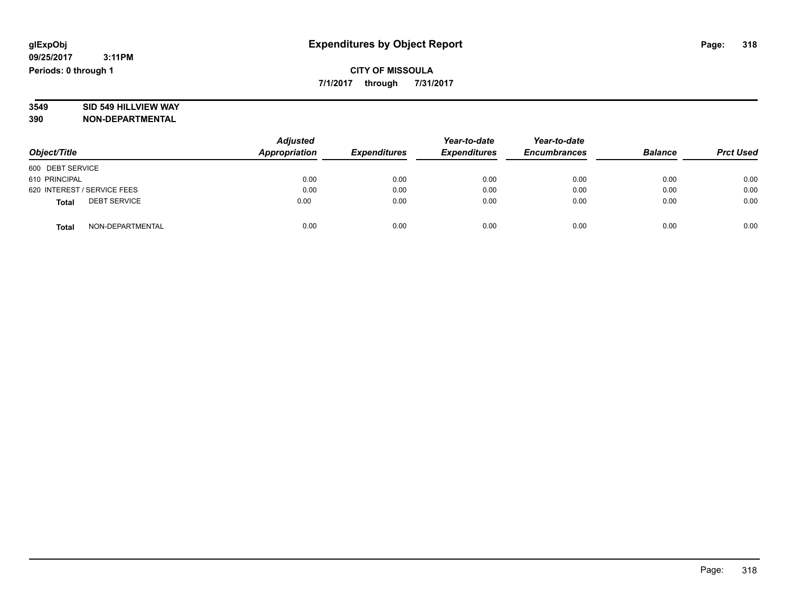#### **CITY OF MISSOULA 7/1/2017 through 7/31/2017**

# **3549 SID 549 HILLVIEW WAY**

|                                     | <b>Adjusted</b><br>Appropriation |                     | Year-to-date        | Year-to-date<br><b>Encumbrances</b> | <b>Balance</b> |                  |
|-------------------------------------|----------------------------------|---------------------|---------------------|-------------------------------------|----------------|------------------|
| Object/Title                        |                                  | <b>Expenditures</b> | <b>Expenditures</b> |                                     |                | <b>Prct Used</b> |
| 600 DEBT SERVICE                    |                                  |                     |                     |                                     |                |                  |
| 610 PRINCIPAL                       | 0.00                             | 0.00                | 0.00                | 0.00                                | 0.00           | 0.00             |
| 620 INTEREST / SERVICE FEES         | 0.00                             | 0.00                | 0.00                | 0.00                                | 0.00           | 0.00             |
| <b>DEBT SERVICE</b><br><b>Total</b> | 0.00                             | 0.00                | 0.00                | 0.00                                | 0.00           | 0.00             |
| NON-DEPARTMENTAL<br><b>Total</b>    | 0.00                             | 0.00                | 0.00                | 0.00                                | 0.00           | 0.00             |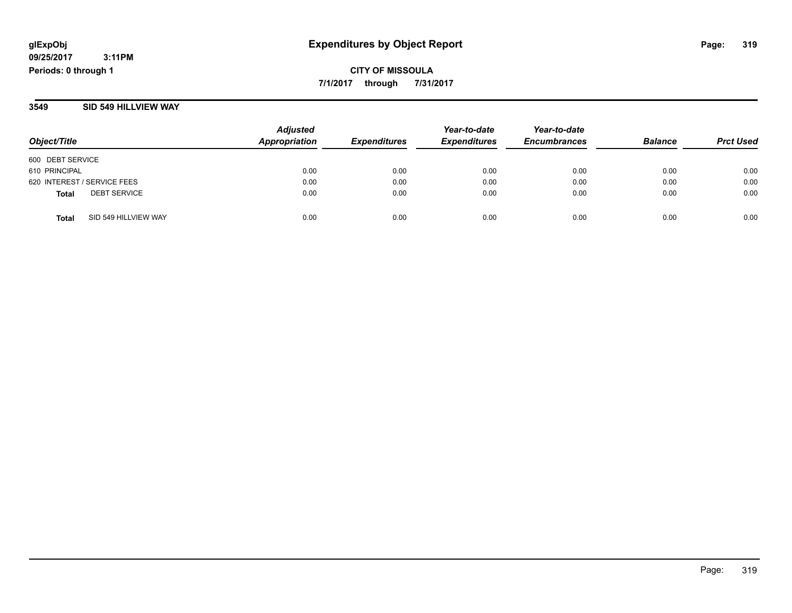**CITY OF MISSOULA 7/1/2017 through 7/31/2017**

**3549 SID 549 HILLVIEW WAY**

| Object/Title                         | <b>Adjusted</b><br><b>Appropriation</b> | <b>Expenditures</b> | Year-to-date<br><b>Expenditures</b> | Year-to-date<br><b>Encumbrances</b> | <b>Balance</b> | <b>Prct Used</b> |
|--------------------------------------|-----------------------------------------|---------------------|-------------------------------------|-------------------------------------|----------------|------------------|
| 600 DEBT SERVICE                     |                                         |                     |                                     |                                     |                |                  |
| 610 PRINCIPAL                        | 0.00                                    | 0.00                | 0.00                                | 0.00                                | 0.00           | 0.00             |
| 620 INTEREST / SERVICE FEES          | 0.00                                    | 0.00                | 0.00                                | 0.00                                | 0.00           | 0.00             |
| <b>DEBT SERVICE</b><br>Total         | 0.00                                    | 0.00                | 0.00                                | 0.00                                | 0.00           | 0.00             |
| SID 549 HILLVIEW WAY<br><b>Total</b> | 0.00                                    | 0.00                | 0.00                                | 0.00                                | 0.00           | 0.00             |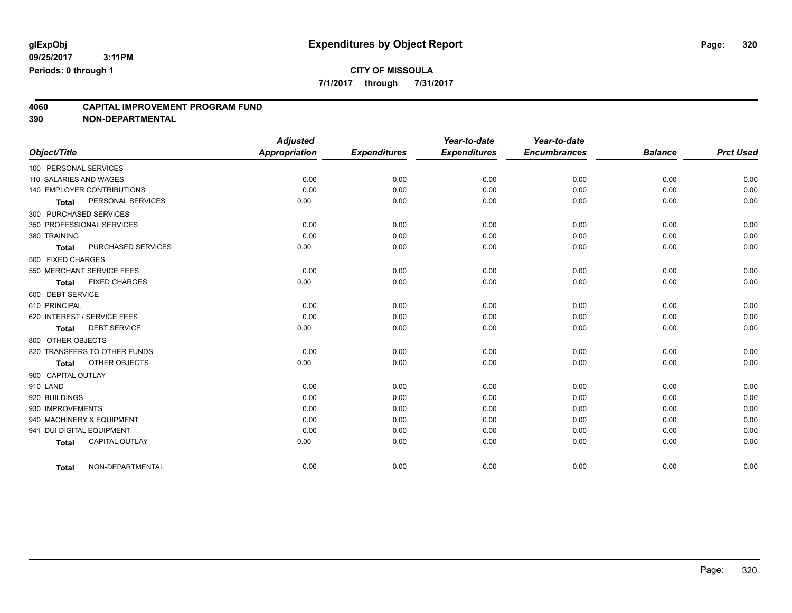**7/1/2017 through 7/31/2017**

### **4060 CAPITAL IMPROVEMENT PROGRAM FUND**

| Object/Title                          | <b>Adjusted</b><br>Appropriation | <b>Expenditures</b> | Year-to-date<br><b>Expenditures</b> | Year-to-date<br><b>Encumbrances</b> | <b>Balance</b> | <b>Prct Used</b> |
|---------------------------------------|----------------------------------|---------------------|-------------------------------------|-------------------------------------|----------------|------------------|
| 100 PERSONAL SERVICES                 |                                  |                     |                                     |                                     |                |                  |
| 110 SALARIES AND WAGES                | 0.00                             | 0.00                | 0.00                                | 0.00                                | 0.00           | 0.00             |
| 140 EMPLOYER CONTRIBUTIONS            | 0.00                             | 0.00                | 0.00                                | 0.00                                | 0.00           | 0.00             |
| PERSONAL SERVICES<br><b>Total</b>     | 0.00                             | 0.00                | 0.00                                | 0.00                                | 0.00           | 0.00             |
| 300 PURCHASED SERVICES                |                                  |                     |                                     |                                     |                |                  |
| 350 PROFESSIONAL SERVICES             | 0.00                             | 0.00                | 0.00                                | 0.00                                | 0.00           | 0.00             |
| 380 TRAINING                          | 0.00                             | 0.00                | 0.00                                | 0.00                                | 0.00           | 0.00             |
| PURCHASED SERVICES<br><b>Total</b>    | 0.00                             | 0.00                | 0.00                                | 0.00                                | 0.00           | 0.00             |
| 500 FIXED CHARGES                     |                                  |                     |                                     |                                     |                |                  |
| 550 MERCHANT SERVICE FEES             | 0.00                             | 0.00                | 0.00                                | 0.00                                | 0.00           | 0.00             |
| <b>FIXED CHARGES</b><br><b>Total</b>  | 0.00                             | 0.00                | 0.00                                | 0.00                                | 0.00           | 0.00             |
| 600 DEBT SERVICE                      |                                  |                     |                                     |                                     |                |                  |
| 610 PRINCIPAL                         | 0.00                             | 0.00                | 0.00                                | 0.00                                | 0.00           | 0.00             |
| 620 INTEREST / SERVICE FEES           | 0.00                             | 0.00                | 0.00                                | 0.00                                | 0.00           | 0.00             |
| <b>DEBT SERVICE</b><br><b>Total</b>   | 0.00                             | 0.00                | 0.00                                | 0.00                                | 0.00           | 0.00             |
| 800 OTHER OBJECTS                     |                                  |                     |                                     |                                     |                |                  |
| 820 TRANSFERS TO OTHER FUNDS          | 0.00                             | 0.00                | 0.00                                | 0.00                                | 0.00           | 0.00             |
| <b>OTHER OBJECTS</b><br><b>Total</b>  | 0.00                             | 0.00                | 0.00                                | 0.00                                | 0.00           | 0.00             |
| 900 CAPITAL OUTLAY                    |                                  |                     |                                     |                                     |                |                  |
| 910 LAND                              | 0.00                             | 0.00                | 0.00                                | 0.00                                | 0.00           | 0.00             |
| 920 BUILDINGS                         | 0.00                             | 0.00                | 0.00                                | 0.00                                | 0.00           | 0.00             |
| 930 IMPROVEMENTS                      | 0.00                             | 0.00                | 0.00                                | 0.00                                | 0.00           | 0.00             |
| 940 MACHINERY & EQUIPMENT             | 0.00                             | 0.00                | 0.00                                | 0.00                                | 0.00           | 0.00             |
| 941 DUI DIGITAL EQUIPMENT             | 0.00                             | 0.00                | 0.00                                | 0.00                                | 0.00           | 0.00             |
| <b>CAPITAL OUTLAY</b><br><b>Total</b> | 0.00                             | 0.00                | 0.00                                | 0.00                                | 0.00           | 0.00             |
| NON-DEPARTMENTAL<br><b>Total</b>      | 0.00                             | 0.00                | 0.00                                | 0.00                                | 0.00           | 0.00             |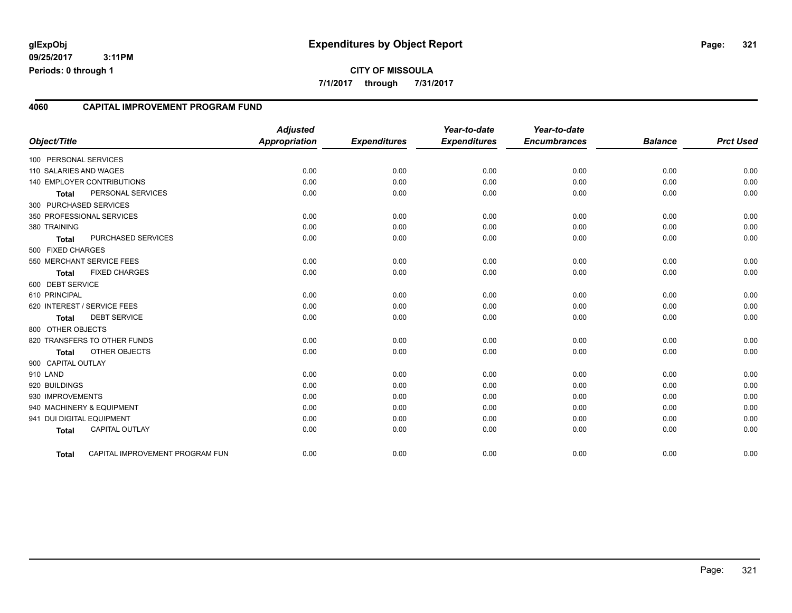#### **4060 CAPITAL IMPROVEMENT PROGRAM FUND**

| Object/Title              |                                 | <b>Adjusted</b><br>Appropriation | <b>Expenditures</b> | Year-to-date<br><b>Expenditures</b> | Year-to-date<br><b>Encumbrances</b> | <b>Balance</b> | <b>Prct Used</b> |
|---------------------------|---------------------------------|----------------------------------|---------------------|-------------------------------------|-------------------------------------|----------------|------------------|
| 100 PERSONAL SERVICES     |                                 |                                  |                     |                                     |                                     |                |                  |
| 110 SALARIES AND WAGES    |                                 | 0.00                             | 0.00                | 0.00                                | 0.00                                | 0.00           | 0.00             |
|                           | 140 EMPLOYER CONTRIBUTIONS      | 0.00                             | 0.00                | 0.00                                | 0.00                                | 0.00           | 0.00             |
| <b>Total</b>              | PERSONAL SERVICES               | 0.00                             | 0.00                | 0.00                                | 0.00                                | 0.00           | 0.00             |
| 300 PURCHASED SERVICES    |                                 |                                  |                     |                                     |                                     |                |                  |
|                           | 350 PROFESSIONAL SERVICES       | 0.00                             | 0.00                | 0.00                                | 0.00                                | 0.00           | 0.00             |
| 380 TRAINING              |                                 | 0.00                             | 0.00                | 0.00                                | 0.00                                | 0.00           | 0.00             |
| <b>Total</b>              | PURCHASED SERVICES              | 0.00                             | 0.00                | 0.00                                | 0.00                                | 0.00           | 0.00             |
| 500 FIXED CHARGES         |                                 |                                  |                     |                                     |                                     |                |                  |
|                           | 550 MERCHANT SERVICE FEES       | 0.00                             | 0.00                | 0.00                                | 0.00                                | 0.00           | 0.00             |
| <b>Total</b>              | <b>FIXED CHARGES</b>            | 0.00                             | 0.00                | 0.00                                | 0.00                                | 0.00           | 0.00             |
| 600 DEBT SERVICE          |                                 |                                  |                     |                                     |                                     |                |                  |
| 610 PRINCIPAL             |                                 | 0.00                             | 0.00                | 0.00                                | 0.00                                | 0.00           | 0.00             |
|                           | 620 INTEREST / SERVICE FEES     | 0.00                             | 0.00                | 0.00                                | 0.00                                | 0.00           | 0.00             |
| <b>Total</b>              | <b>DEBT SERVICE</b>             | 0.00                             | 0.00                | 0.00                                | 0.00                                | 0.00           | 0.00             |
| 800 OTHER OBJECTS         |                                 |                                  |                     |                                     |                                     |                |                  |
|                           | 820 TRANSFERS TO OTHER FUNDS    | 0.00                             | 0.00                | 0.00                                | 0.00                                | 0.00           | 0.00             |
| <b>Total</b>              | OTHER OBJECTS                   | 0.00                             | 0.00                | 0.00                                | 0.00                                | 0.00           | 0.00             |
| 900 CAPITAL OUTLAY        |                                 |                                  |                     |                                     |                                     |                |                  |
| 910 LAND                  |                                 | 0.00                             | 0.00                | 0.00                                | 0.00                                | 0.00           | 0.00             |
| 920 BUILDINGS             |                                 | 0.00                             | 0.00                | 0.00                                | 0.00                                | 0.00           | 0.00             |
| 930 IMPROVEMENTS          |                                 | 0.00                             | 0.00                | 0.00                                | 0.00                                | 0.00           | 0.00             |
|                           | 940 MACHINERY & EQUIPMENT       | 0.00                             | 0.00                | 0.00                                | 0.00                                | 0.00           | 0.00             |
| 941 DUI DIGITAL EQUIPMENT |                                 | 0.00                             | 0.00                | 0.00                                | 0.00                                | 0.00           | 0.00             |
| <b>Total</b>              | <b>CAPITAL OUTLAY</b>           | 0.00                             | 0.00                | 0.00                                | 0.00                                | 0.00           | 0.00             |
| <b>Total</b>              | CAPITAL IMPROVEMENT PROGRAM FUN | 0.00                             | 0.00                | 0.00                                | 0.00                                | 0.00           | 0.00             |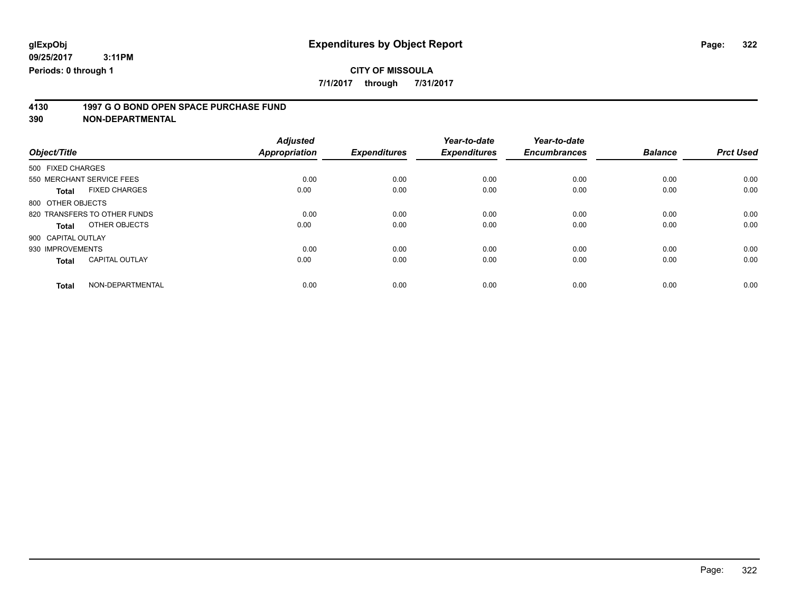### **CITY OF MISSOULA**

**7/1/2017 through 7/31/2017**

# **4130 1997 G O BOND OPEN SPACE PURCHASE FUND**

|                                       | <b>Adjusted</b>      |                     | Year-to-date        | Year-to-date        |                |                  |
|---------------------------------------|----------------------|---------------------|---------------------|---------------------|----------------|------------------|
| Object/Title                          | <b>Appropriation</b> | <b>Expenditures</b> | <b>Expenditures</b> | <b>Encumbrances</b> | <b>Balance</b> | <b>Prct Used</b> |
| 500 FIXED CHARGES                     |                      |                     |                     |                     |                |                  |
| 550 MERCHANT SERVICE FEES             | 0.00                 | 0.00                | 0.00                | 0.00                | 0.00           | 0.00             |
| <b>FIXED CHARGES</b><br><b>Total</b>  | 0.00                 | 0.00                | 0.00                | 0.00                | 0.00           | 0.00             |
| 800 OTHER OBJECTS                     |                      |                     |                     |                     |                |                  |
| 820 TRANSFERS TO OTHER FUNDS          | 0.00                 | 0.00                | 0.00                | 0.00                | 0.00           | 0.00             |
| OTHER OBJECTS<br>Total                | 0.00                 | 0.00                | 0.00                | 0.00                | 0.00           | 0.00             |
| 900 CAPITAL OUTLAY                    |                      |                     |                     |                     |                |                  |
| 930 IMPROVEMENTS                      | 0.00                 | 0.00                | 0.00                | 0.00                | 0.00           | 0.00             |
| <b>CAPITAL OUTLAY</b><br><b>Total</b> | 0.00                 | 0.00                | 0.00                | 0.00                | 0.00           | 0.00             |
| NON-DEPARTMENTAL<br><b>Total</b>      | 0.00                 | 0.00                | 0.00                | 0.00                | 0.00           | 0.00             |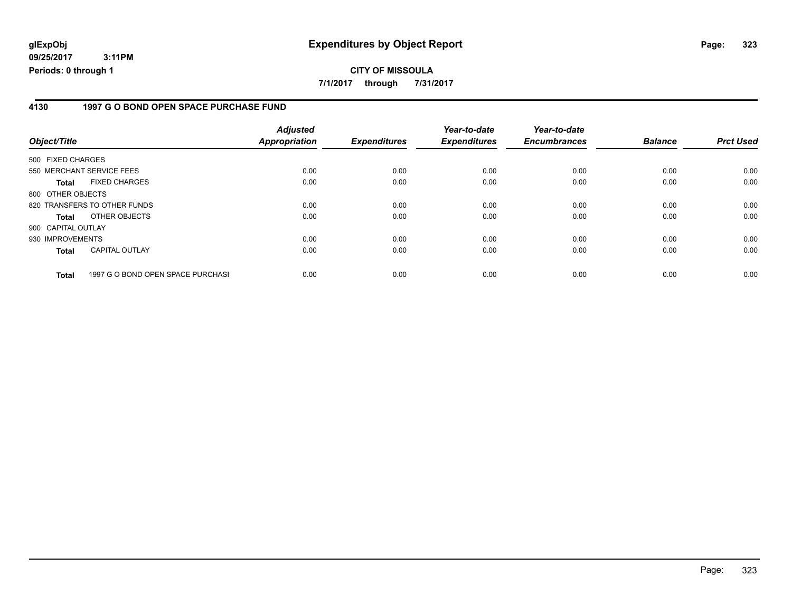#### **4130 1997 G O BOND OPEN SPACE PURCHASE FUND**

| Object/Title                 |                                   | <b>Adjusted</b><br>Appropriation | <b>Expenditures</b> | Year-to-date<br><b>Expenditures</b> | Year-to-date<br><b>Encumbrances</b> | <b>Balance</b> | <b>Prct Used</b> |
|------------------------------|-----------------------------------|----------------------------------|---------------------|-------------------------------------|-------------------------------------|----------------|------------------|
| 500 FIXED CHARGES            |                                   |                                  |                     |                                     |                                     |                |                  |
| 550 MERCHANT SERVICE FEES    |                                   | 0.00                             | 0.00                | 0.00                                | 0.00                                | 0.00           | 0.00             |
| Total                        | <b>FIXED CHARGES</b>              | 0.00                             | 0.00                | 0.00                                | 0.00                                | 0.00           | 0.00             |
| 800 OTHER OBJECTS            |                                   |                                  |                     |                                     |                                     |                |                  |
| 820 TRANSFERS TO OTHER FUNDS |                                   | 0.00                             | 0.00                | 0.00                                | 0.00                                | 0.00           | 0.00             |
| <b>Total</b>                 | OTHER OBJECTS                     | 0.00                             | 0.00                | 0.00                                | 0.00                                | 0.00           | 0.00             |
| 900 CAPITAL OUTLAY           |                                   |                                  |                     |                                     |                                     |                |                  |
| 930 IMPROVEMENTS             |                                   | 0.00                             | 0.00                | 0.00                                | 0.00                                | 0.00           | 0.00             |
| <b>Total</b>                 | <b>CAPITAL OUTLAY</b>             | 0.00                             | 0.00                | 0.00                                | 0.00                                | 0.00           | 0.00             |
| <b>Total</b>                 | 1997 G O BOND OPEN SPACE PURCHASI | 0.00                             | 0.00                | 0.00                                | 0.00                                | 0.00           | 0.00             |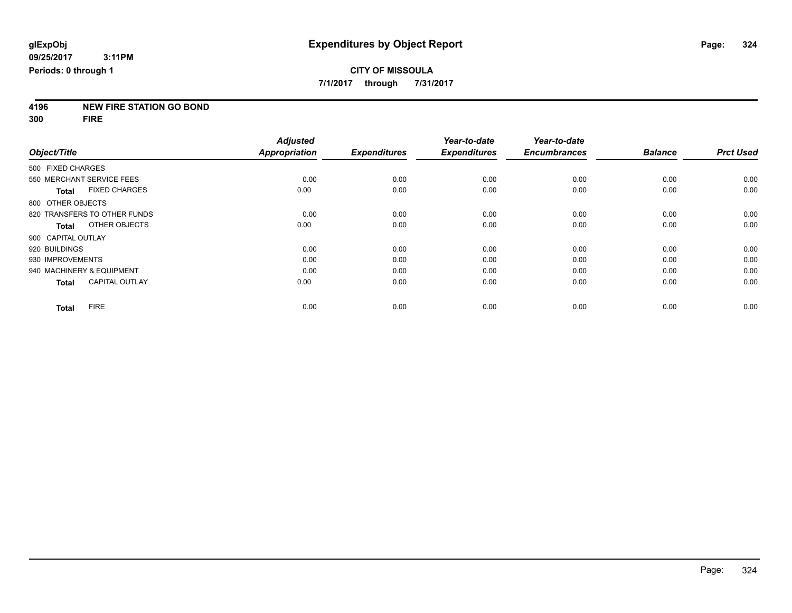#### **CITY OF MISSOULA 7/1/2017 through 7/31/2017**

**4196 NEW FIRE STATION GO BOND**

**300 FIRE**

|                                      |  | <b>Adjusted</b> |                     | Year-to-date        | Year-to-date        |                |                  |
|--------------------------------------|--|-----------------|---------------------|---------------------|---------------------|----------------|------------------|
| Object/Title                         |  | Appropriation   | <b>Expenditures</b> | <b>Expenditures</b> | <b>Encumbrances</b> | <b>Balance</b> | <b>Prct Used</b> |
| 500 FIXED CHARGES                    |  |                 |                     |                     |                     |                |                  |
| 550 MERCHANT SERVICE FEES            |  | 0.00            | 0.00                | 0.00                | 0.00                | 0.00           | 0.00             |
| <b>FIXED CHARGES</b><br><b>Total</b> |  | 0.00            | 0.00                | 0.00                | 0.00                | 0.00           | 0.00             |
| 800 OTHER OBJECTS                    |  |                 |                     |                     |                     |                |                  |
| 820 TRANSFERS TO OTHER FUNDS         |  | 0.00            | 0.00                | 0.00                | 0.00                | 0.00           | 0.00             |
| OTHER OBJECTS<br>Total               |  | 0.00            | 0.00                | 0.00                | 0.00                | 0.00           | 0.00             |
| 900 CAPITAL OUTLAY                   |  |                 |                     |                     |                     |                |                  |
| 920 BUILDINGS                        |  | 0.00            | 0.00                | 0.00                | 0.00                | 0.00           | 0.00             |
| 930 IMPROVEMENTS                     |  | 0.00            | 0.00                | 0.00                | 0.00                | 0.00           | 0.00             |
| 940 MACHINERY & EQUIPMENT            |  | 0.00            | 0.00                | 0.00                | 0.00                | 0.00           | 0.00             |
| <b>CAPITAL OUTLAY</b><br>Total       |  | 0.00            | 0.00                | 0.00                | 0.00                | 0.00           | 0.00             |
| <b>FIRE</b><br><b>Total</b>          |  | 0.00            | 0.00                | 0.00                | 0.00                | 0.00           | 0.00             |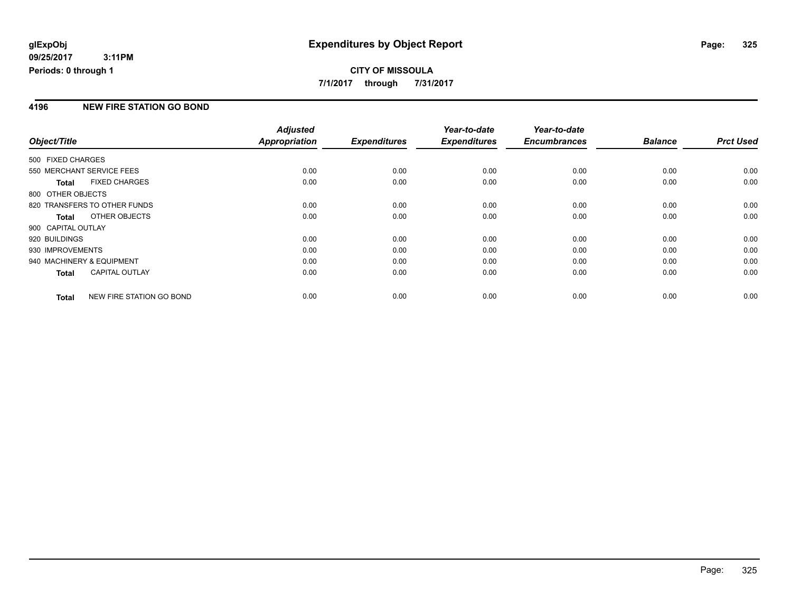### **CITY OF MISSOULA 7/1/2017 through 7/31/2017**

### **4196 NEW FIRE STATION GO BOND**

|                           |                              | <b>Adjusted</b>      |                     | Year-to-date        | Year-to-date        |                |                  |
|---------------------------|------------------------------|----------------------|---------------------|---------------------|---------------------|----------------|------------------|
| Object/Title              |                              | <b>Appropriation</b> | <b>Expenditures</b> | <b>Expenditures</b> | <b>Encumbrances</b> | <b>Balance</b> | <b>Prct Used</b> |
| 500 FIXED CHARGES         |                              |                      |                     |                     |                     |                |                  |
| 550 MERCHANT SERVICE FEES |                              | 0.00                 | 0.00                | 0.00                | 0.00                | 0.00           | 0.00             |
| <b>Total</b>              | <b>FIXED CHARGES</b>         | 0.00                 | 0.00                | 0.00                | 0.00                | 0.00           | 0.00             |
| 800 OTHER OBJECTS         |                              |                      |                     |                     |                     |                |                  |
|                           | 820 TRANSFERS TO OTHER FUNDS | 0.00                 | 0.00                | 0.00                | 0.00                | 0.00           | 0.00             |
| <b>Total</b>              | OTHER OBJECTS                | 0.00                 | 0.00                | 0.00                | 0.00                | 0.00           | 0.00             |
| 900 CAPITAL OUTLAY        |                              |                      |                     |                     |                     |                |                  |
| 920 BUILDINGS             |                              | 0.00                 | 0.00                | 0.00                | 0.00                | 0.00           | 0.00             |
| 930 IMPROVEMENTS          |                              | 0.00                 | 0.00                | 0.00                | 0.00                | 0.00           | 0.00             |
| 940 MACHINERY & EQUIPMENT |                              | 0.00                 | 0.00                | 0.00                | 0.00                | 0.00           | 0.00             |
| <b>Total</b>              | <b>CAPITAL OUTLAY</b>        | 0.00                 | 0.00                | 0.00                | 0.00                | 0.00           | 0.00             |
| <b>Total</b>              | NEW FIRE STATION GO BOND     | 0.00                 | 0.00                | 0.00                | 0.00                | 0.00           | 0.00             |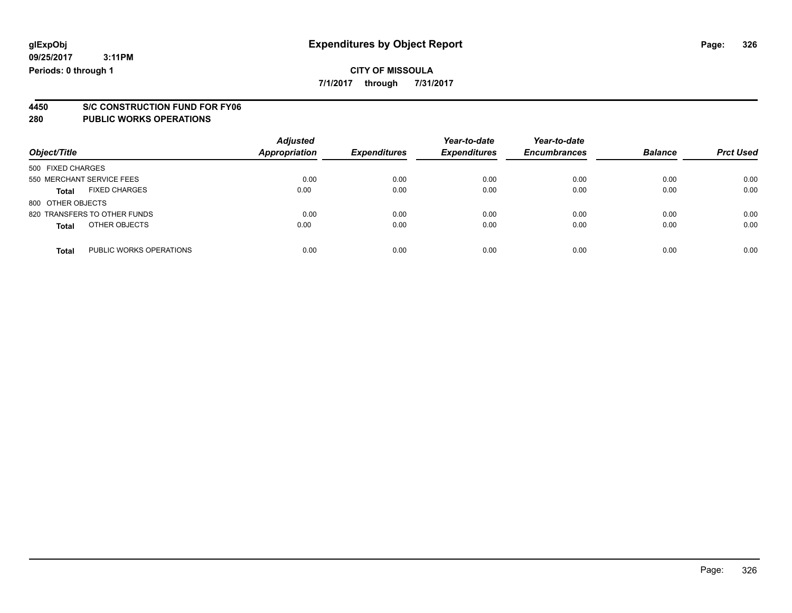### **CITY OF MISSOULA**

**7/1/2017 through 7/31/2017**

# **4450 S/C CONSTRUCTION FUND FOR FY06**

| Object/Title                            | <b>Adjusted</b><br>Appropriation | <b>Expenditures</b> | Year-to-date<br><b>Expenditures</b> | Year-to-date<br><b>Encumbrances</b> | <b>Balance</b> | <b>Prct Used</b> |
|-----------------------------------------|----------------------------------|---------------------|-------------------------------------|-------------------------------------|----------------|------------------|
| 500 FIXED CHARGES                       |                                  |                     |                                     |                                     |                |                  |
| 550 MERCHANT SERVICE FEES               | 0.00                             | 0.00                | 0.00                                | 0.00                                | 0.00           | 0.00             |
| <b>FIXED CHARGES</b><br><b>Total</b>    | 0.00                             | 0.00                | 0.00                                | 0.00                                | 0.00           | 0.00             |
| 800 OTHER OBJECTS                       |                                  |                     |                                     |                                     |                |                  |
| 820 TRANSFERS TO OTHER FUNDS            | 0.00                             | 0.00                | 0.00                                | 0.00                                | 0.00           | 0.00             |
| OTHER OBJECTS<br><b>Total</b>           | 0.00                             | 0.00                | 0.00                                | 0.00                                | 0.00           | 0.00             |
| PUBLIC WORKS OPERATIONS<br><b>Total</b> | 0.00                             | 0.00                | 0.00                                | 0.00                                | 0.00           | 0.00             |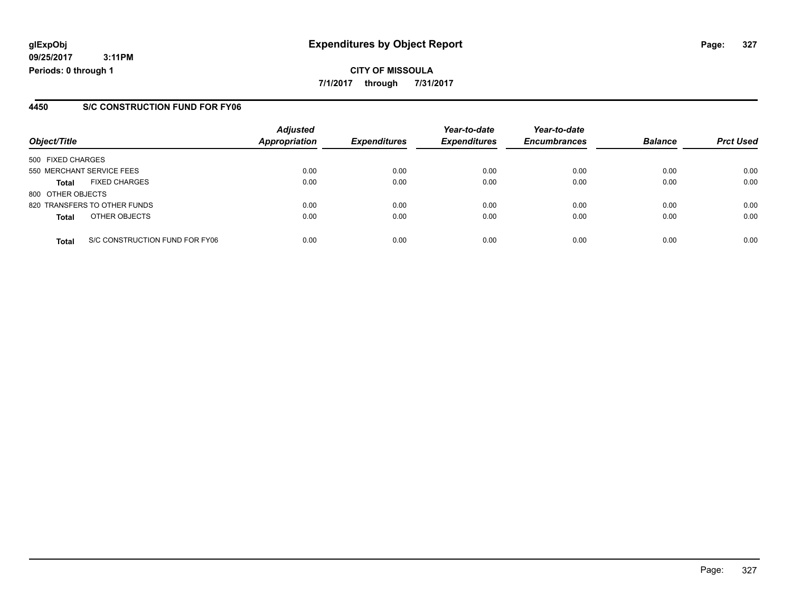### **4450 S/C CONSTRUCTION FUND FOR FY06**

|                           |                                | <b>Adjusted</b>      |                     | Year-to-date        | Year-to-date        |                |                  |
|---------------------------|--------------------------------|----------------------|---------------------|---------------------|---------------------|----------------|------------------|
| Object/Title              |                                | <b>Appropriation</b> | <b>Expenditures</b> | <b>Expenditures</b> | <b>Encumbrances</b> | <b>Balance</b> | <b>Prct Used</b> |
| 500 FIXED CHARGES         |                                |                      |                     |                     |                     |                |                  |
| 550 MERCHANT SERVICE FEES |                                | 0.00                 | 0.00                | 0.00                | 0.00                | 0.00           | 0.00             |
| <b>Total</b>              | <b>FIXED CHARGES</b>           | 0.00                 | 0.00                | 0.00                | 0.00                | 0.00           | 0.00             |
| 800 OTHER OBJECTS         |                                |                      |                     |                     |                     |                |                  |
|                           | 820 TRANSFERS TO OTHER FUNDS   | 0.00                 | 0.00                | 0.00                | 0.00                | 0.00           | 0.00             |
| <b>Total</b>              | OTHER OBJECTS                  | 0.00                 | 0.00                | 0.00                | 0.00                | 0.00           | 0.00             |
| <b>Total</b>              | S/C CONSTRUCTION FUND FOR FY06 | 0.00                 | 0.00                | 0.00                | 0.00                | 0.00           | 0.00             |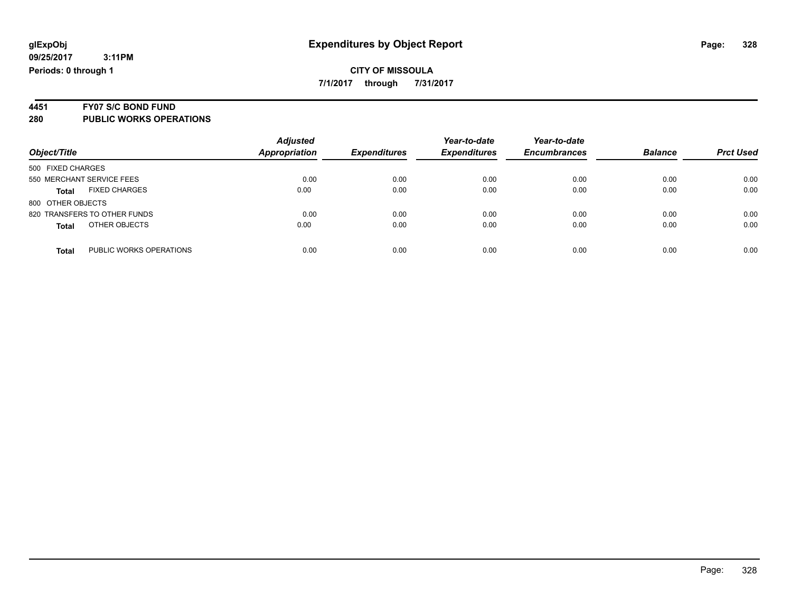# **4451 FY07 S/C BOND FUND**

| Object/Title                            | <b>Adjusted</b><br>Appropriation | <b>Expenditures</b> | Year-to-date<br><b>Expenditures</b> | Year-to-date<br><b>Encumbrances</b> | <b>Balance</b> | <b>Prct Used</b> |
|-----------------------------------------|----------------------------------|---------------------|-------------------------------------|-------------------------------------|----------------|------------------|
| 500 FIXED CHARGES                       |                                  |                     |                                     |                                     |                |                  |
| 550 MERCHANT SERVICE FEES               | 0.00                             | 0.00                | 0.00                                | 0.00                                | 0.00           | 0.00             |
| <b>FIXED CHARGES</b><br><b>Total</b>    | 0.00                             | 0.00                | 0.00                                | 0.00                                | 0.00           | 0.00             |
| 800 OTHER OBJECTS                       |                                  |                     |                                     |                                     |                |                  |
| 820 TRANSFERS TO OTHER FUNDS            | 0.00                             | 0.00                | 0.00                                | 0.00                                | 0.00           | 0.00             |
| OTHER OBJECTS<br><b>Total</b>           | 0.00                             | 0.00                | 0.00                                | 0.00                                | 0.00           | 0.00             |
| PUBLIC WORKS OPERATIONS<br><b>Total</b> | 0.00                             | 0.00                | 0.00                                | 0.00                                | 0.00           | 0.00             |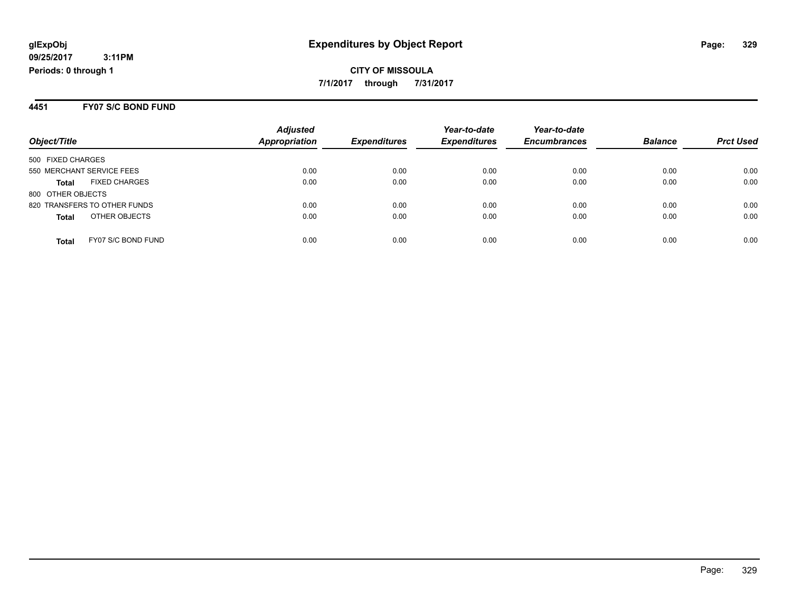**CITY OF MISSOULA 7/1/2017 through 7/31/2017**

#### **4451 FY07 S/C BOND FUND**

|                                      | <b>Adjusted</b>      |                     | Year-to-date        | Year-to-date        |                |                  |
|--------------------------------------|----------------------|---------------------|---------------------|---------------------|----------------|------------------|
| Object/Title                         | <b>Appropriation</b> | <b>Expenditures</b> | <b>Expenditures</b> | <b>Encumbrances</b> | <b>Balance</b> | <b>Prct Used</b> |
| 500 FIXED CHARGES                    |                      |                     |                     |                     |                |                  |
| 550 MERCHANT SERVICE FEES            | 0.00                 | 0.00                | 0.00                | 0.00                | 0.00           | 0.00             |
| <b>FIXED CHARGES</b><br><b>Total</b> | 0.00                 | 0.00                | 0.00                | 0.00                | 0.00           | 0.00             |
| 800 OTHER OBJECTS                    |                      |                     |                     |                     |                |                  |
| 820 TRANSFERS TO OTHER FUNDS         | 0.00                 | 0.00                | 0.00                | 0.00                | 0.00           | 0.00             |
| OTHER OBJECTS<br><b>Total</b>        | 0.00                 | 0.00                | 0.00                | 0.00                | 0.00           | 0.00             |
| FY07 S/C BOND FUND<br><b>Total</b>   | 0.00                 | 0.00                | 0.00                | 0.00                | 0.00           | 0.00             |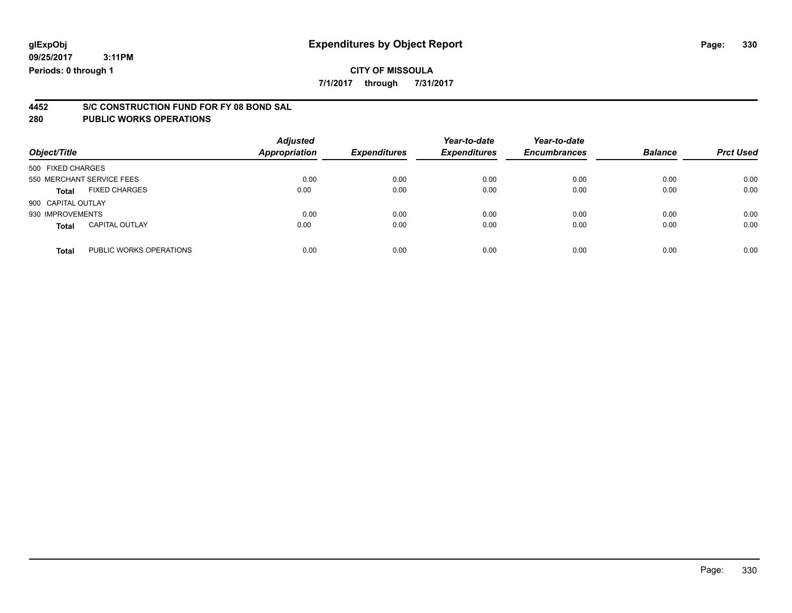### **CITY OF MISSOULA**

**7/1/2017 through 7/31/2017**

# **4452 S/C CONSTRUCTION FUND FOR FY 08 BOND SAL**

| Object/Title                          |                         | <b>Adjusted</b><br>Appropriation | <b>Expenditures</b> | Year-to-date<br><b>Expenditures</b> | Year-to-date<br><b>Encumbrances</b> | <b>Balance</b> | <b>Prct Used</b> |
|---------------------------------------|-------------------------|----------------------------------|---------------------|-------------------------------------|-------------------------------------|----------------|------------------|
| 500 FIXED CHARGES                     |                         |                                  |                     |                                     |                                     |                |                  |
| 550 MERCHANT SERVICE FEES             |                         | 0.00                             | 0.00                | 0.00                                | 0.00                                | 0.00           | 0.00             |
| <b>FIXED CHARGES</b><br><b>Total</b>  |                         | 0.00                             | 0.00                | 0.00                                | 0.00                                | 0.00           | 0.00             |
| 900 CAPITAL OUTLAY                    |                         |                                  |                     |                                     |                                     |                |                  |
| 930 IMPROVEMENTS                      |                         | 0.00                             | 0.00                | 0.00                                | 0.00                                | 0.00           | 0.00             |
| <b>CAPITAL OUTLAY</b><br><b>Total</b> |                         | 0.00                             | 0.00                | 0.00                                | 0.00                                | 0.00           | 0.00             |
| <b>Total</b>                          | PUBLIC WORKS OPERATIONS | 0.00                             | 0.00                | 0.00                                | 0.00                                | 0.00           | 0.00             |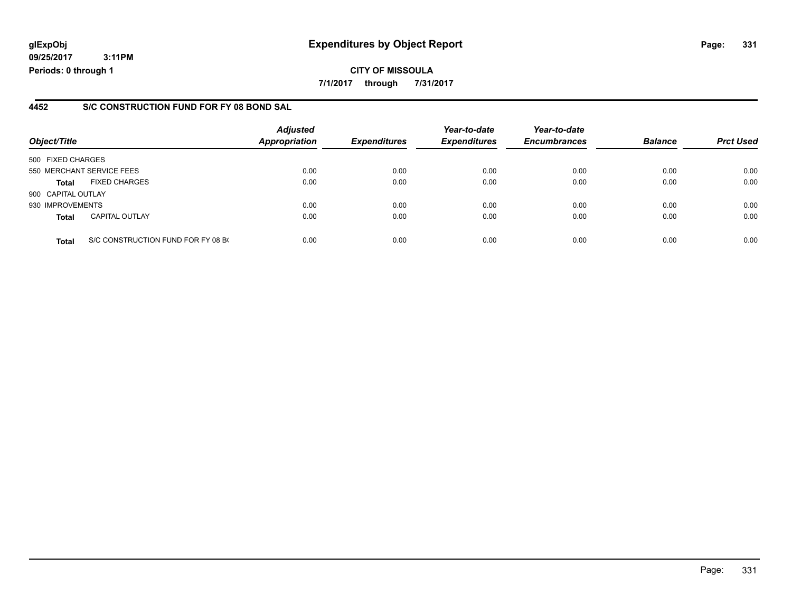### **glExpObj Expenditures by Object Report Page: 331**

**09/25/2017 3:11PM Periods: 0 through 1**

#### **4452 S/C CONSTRUCTION FUND FOR FY 08 BOND SAL**

| Object/Title              |                                    | <b>Adjusted</b><br><b>Appropriation</b> | <b>Expenditures</b> | Year-to-date<br><b>Expenditures</b> | Year-to-date<br><b>Encumbrances</b> | <b>Balance</b> | <b>Prct Used</b> |
|---------------------------|------------------------------------|-----------------------------------------|---------------------|-------------------------------------|-------------------------------------|----------------|------------------|
|                           |                                    |                                         |                     |                                     |                                     |                |                  |
| 500 FIXED CHARGES         |                                    |                                         |                     |                                     |                                     |                |                  |
| 550 MERCHANT SERVICE FEES |                                    | 0.00                                    | 0.00                | 0.00                                | 0.00                                | 0.00           | 0.00             |
| <b>Total</b>              | <b>FIXED CHARGES</b>               | 0.00                                    | 0.00                | 0.00                                | 0.00                                | 0.00           | 0.00             |
| 900 CAPITAL OUTLAY        |                                    |                                         |                     |                                     |                                     |                |                  |
| 930 IMPROVEMENTS          |                                    | 0.00                                    | 0.00                | 0.00                                | 0.00                                | 0.00           | 0.00             |
| <b>Total</b>              | <b>CAPITAL OUTLAY</b>              | 0.00                                    | 0.00                | 0.00                                | 0.00                                | 0.00           | 0.00             |
| <b>Total</b>              | S/C CONSTRUCTION FUND FOR FY 08 BO | 0.00                                    | 0.00                | 0.00                                | 0.00                                | 0.00           | 0.00             |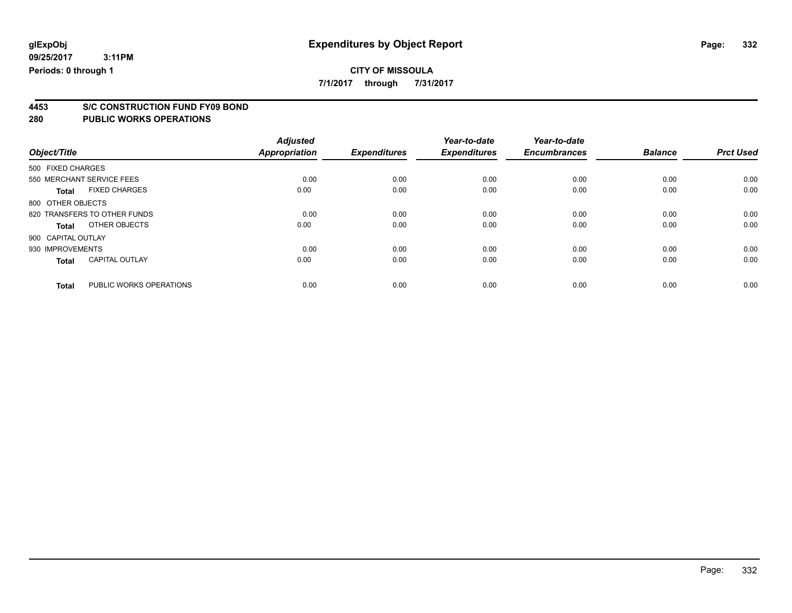**7/1/2017 through 7/31/2017**

# **4453 S/C CONSTRUCTION FUND FY09 BOND**

| Object/Title       |                              | <b>Adjusted</b><br><b>Appropriation</b> | <b>Expenditures</b> | Year-to-date<br><b>Expenditures</b> | Year-to-date<br><b>Encumbrances</b> | <b>Balance</b> | <b>Prct Used</b> |
|--------------------|------------------------------|-----------------------------------------|---------------------|-------------------------------------|-------------------------------------|----------------|------------------|
| 500 FIXED CHARGES  |                              |                                         |                     |                                     |                                     |                |                  |
|                    | 550 MERCHANT SERVICE FEES    | 0.00                                    | 0.00                | 0.00                                | 0.00                                | 0.00           | 0.00             |
| <b>Total</b>       | <b>FIXED CHARGES</b>         | 0.00                                    | 0.00                | 0.00                                | 0.00                                | 0.00           | 0.00             |
| 800 OTHER OBJECTS  |                              |                                         |                     |                                     |                                     |                |                  |
|                    | 820 TRANSFERS TO OTHER FUNDS | 0.00                                    | 0.00                | 0.00                                | 0.00                                | 0.00           | 0.00             |
| Total              | OTHER OBJECTS                | 0.00                                    | 0.00                | 0.00                                | 0.00                                | 0.00           | 0.00             |
| 900 CAPITAL OUTLAY |                              |                                         |                     |                                     |                                     |                |                  |
| 930 IMPROVEMENTS   |                              | 0.00                                    | 0.00                | 0.00                                | 0.00                                | 0.00           | 0.00             |
| <b>Total</b>       | <b>CAPITAL OUTLAY</b>        | 0.00                                    | 0.00                | 0.00                                | 0.00                                | 0.00           | 0.00             |
| <b>Total</b>       | PUBLIC WORKS OPERATIONS      | 0.00                                    | 0.00                | 0.00                                | 0.00                                | 0.00           | 0.00             |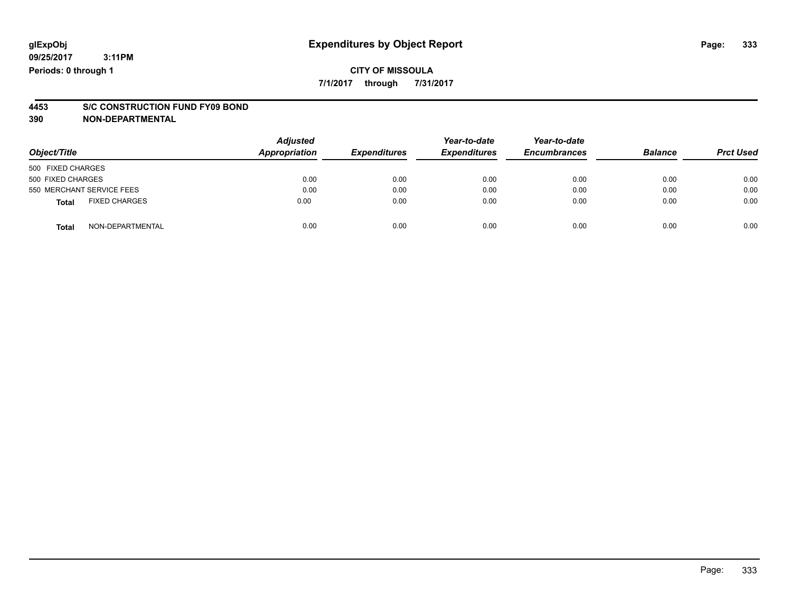### **CITY OF MISSOULA 7/1/2017 through 7/31/2017**

# **4453 S/C CONSTRUCTION FUND FY09 BOND**

**390 NON-DEPARTMENTAL**

| Object/Title              |                      | <b>Adjusted</b><br><b>Appropriation</b> | <b>Expenditures</b> | Year-to-date<br><b>Expenditures</b> | Year-to-date<br><b>Encumbrances</b> | <b>Balance</b> | <b>Prct Used</b> |
|---------------------------|----------------------|-----------------------------------------|---------------------|-------------------------------------|-------------------------------------|----------------|------------------|
| 500 FIXED CHARGES         |                      |                                         |                     |                                     |                                     |                |                  |
| 500 FIXED CHARGES         |                      | 0.00                                    | 0.00                | 0.00                                | 0.00                                | 0.00           | 0.00             |
| 550 MERCHANT SERVICE FEES |                      | 0.00                                    | 0.00                | 0.00                                | 0.00                                | 0.00           | 0.00             |
| <b>Total</b>              | <b>FIXED CHARGES</b> | 0.00                                    | 0.00                | 0.00                                | 0.00                                | 0.00           | 0.00             |
| <b>Total</b>              | NON-DEPARTMENTAL     | 0.00                                    | 0.00                | 0.00                                | 0.00                                | 0.00           | 0.00             |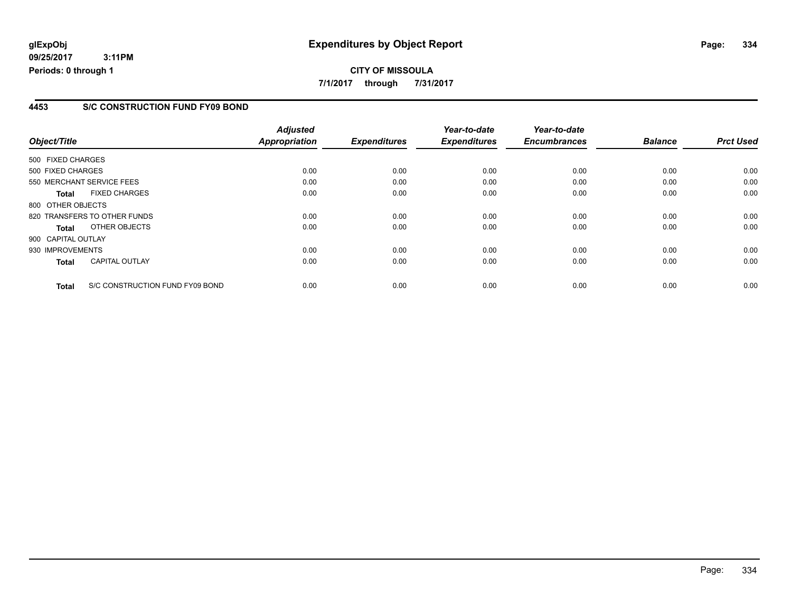### **4453 S/C CONSTRUCTION FUND FY09 BOND**

|                    |                                 | <b>Adjusted</b>      |                     | Year-to-date        | Year-to-date        |                |                  |
|--------------------|---------------------------------|----------------------|---------------------|---------------------|---------------------|----------------|------------------|
| Object/Title       |                                 | <b>Appropriation</b> | <b>Expenditures</b> | <b>Expenditures</b> | <b>Encumbrances</b> | <b>Balance</b> | <b>Prct Used</b> |
| 500 FIXED CHARGES  |                                 |                      |                     |                     |                     |                |                  |
| 500 FIXED CHARGES  |                                 | 0.00                 | 0.00                | 0.00                | 0.00                | 0.00           | 0.00             |
|                    | 550 MERCHANT SERVICE FEES       | 0.00                 | 0.00                | 0.00                | 0.00                | 0.00           | 0.00             |
| <b>Total</b>       | <b>FIXED CHARGES</b>            | 0.00                 | 0.00                | 0.00                | 0.00                | 0.00           | 0.00             |
| 800 OTHER OBJECTS  |                                 |                      |                     |                     |                     |                |                  |
|                    | 820 TRANSFERS TO OTHER FUNDS    | 0.00                 | 0.00                | 0.00                | 0.00                | 0.00           | 0.00             |
| Total              | OTHER OBJECTS                   | 0.00                 | 0.00                | 0.00                | 0.00                | 0.00           | 0.00             |
| 900 CAPITAL OUTLAY |                                 |                      |                     |                     |                     |                |                  |
| 930 IMPROVEMENTS   |                                 | 0.00                 | 0.00                | 0.00                | 0.00                | 0.00           | 0.00             |
| <b>Total</b>       | <b>CAPITAL OUTLAY</b>           | 0.00                 | 0.00                | 0.00                | 0.00                | 0.00           | 0.00             |
| <b>Total</b>       | S/C CONSTRUCTION FUND FY09 BOND | 0.00                 | 0.00                | 0.00                | 0.00                | 0.00           | 0.00             |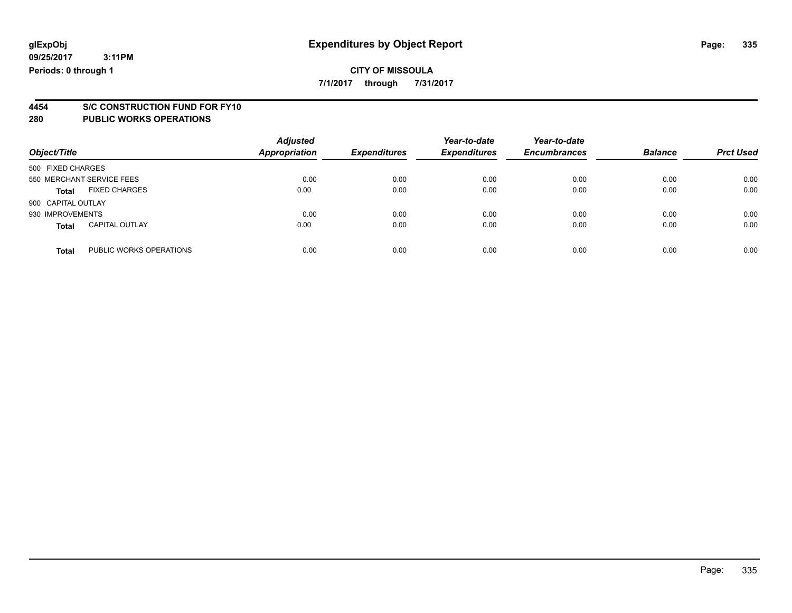### **CITY OF MISSOULA**

**7/1/2017 through 7/31/2017**

# **4454 S/C CONSTRUCTION FUND FOR FY10**

| Object/Title              |                         | <b>Adjusted</b><br><b>Appropriation</b> | <b>Expenditures</b> | Year-to-date<br><b>Expenditures</b> | Year-to-date<br><b>Encumbrances</b> | <b>Balance</b> | <b>Prct Used</b> |
|---------------------------|-------------------------|-----------------------------------------|---------------------|-------------------------------------|-------------------------------------|----------------|------------------|
| 500 FIXED CHARGES         |                         |                                         |                     |                                     |                                     |                |                  |
| 550 MERCHANT SERVICE FEES |                         | 0.00                                    | 0.00                | 0.00                                | 0.00                                | 0.00           | 0.00             |
| <b>Total</b>              | <b>FIXED CHARGES</b>    | 0.00                                    | 0.00                | 0.00                                | 0.00                                | 0.00           | 0.00             |
| 900 CAPITAL OUTLAY        |                         |                                         |                     |                                     |                                     |                |                  |
| 930 IMPROVEMENTS          |                         | 0.00                                    | 0.00                | 0.00                                | 0.00                                | 0.00           | 0.00             |
| <b>Total</b>              | <b>CAPITAL OUTLAY</b>   | 0.00                                    | 0.00                | 0.00                                | 0.00                                | 0.00           | 0.00             |
| <b>Total</b>              | PUBLIC WORKS OPERATIONS | 0.00                                    | 0.00                | 0.00                                | 0.00                                | 0.00           | 0.00             |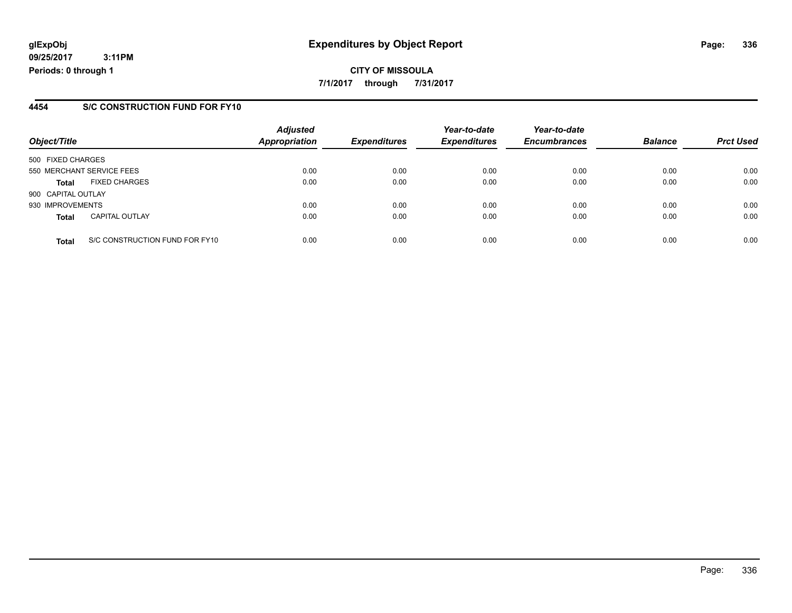### **4454 S/C CONSTRUCTION FUND FOR FY10**

| Object/Title       |                                | <b>Adjusted</b><br><b>Appropriation</b> | <b>Expenditures</b> | Year-to-date<br><b>Expenditures</b> | Year-to-date<br><b>Encumbrances</b> | <b>Balance</b> | <b>Prct Used</b> |
|--------------------|--------------------------------|-----------------------------------------|---------------------|-------------------------------------|-------------------------------------|----------------|------------------|
| 500 FIXED CHARGES  |                                |                                         |                     |                                     |                                     |                |                  |
|                    | 550 MERCHANT SERVICE FEES      | 0.00                                    | 0.00                | 0.00                                | 0.00                                | 0.00           | 0.00             |
| <b>Total</b>       | <b>FIXED CHARGES</b>           | 0.00                                    | 0.00                | 0.00                                | 0.00                                | 0.00           | 0.00             |
| 900 CAPITAL OUTLAY |                                |                                         |                     |                                     |                                     |                |                  |
| 930 IMPROVEMENTS   |                                | 0.00                                    | 0.00                | 0.00                                | 0.00                                | 0.00           | 0.00             |
| <b>Total</b>       | <b>CAPITAL OUTLAY</b>          | 0.00                                    | 0.00                | 0.00                                | 0.00                                | 0.00           | 0.00             |
| <b>Total</b>       | S/C CONSTRUCTION FUND FOR FY10 | 0.00                                    | 0.00                | 0.00                                | 0.00                                | 0.00           | 0.00             |

Page: 336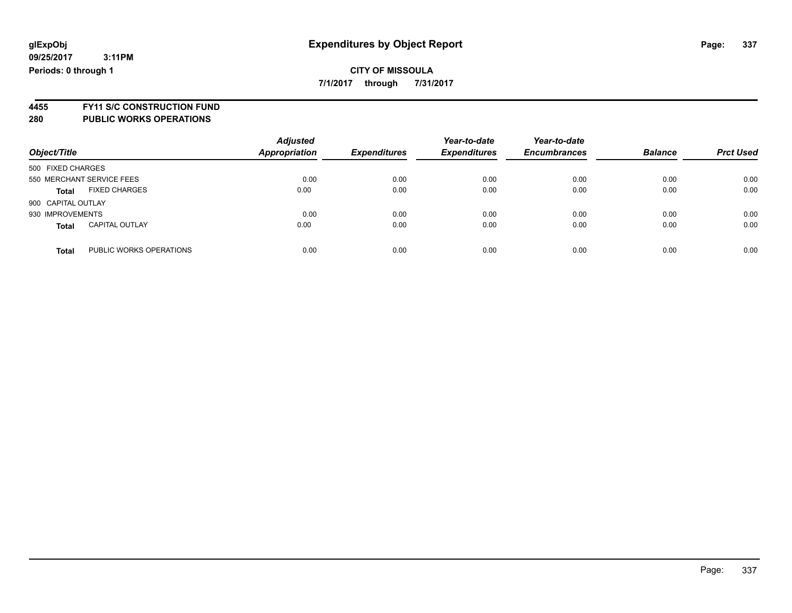**7/1/2017 through 7/31/2017**

**4455 FY11 S/C CONSTRUCTION FUND**

| Object/Title       |                           | <b>Adjusted</b><br><b>Appropriation</b> | <b>Expenditures</b> | Year-to-date<br><b>Expenditures</b> | Year-to-date<br><b>Encumbrances</b> | <b>Balance</b> | <b>Prct Used</b> |
|--------------------|---------------------------|-----------------------------------------|---------------------|-------------------------------------|-------------------------------------|----------------|------------------|
| 500 FIXED CHARGES  |                           |                                         |                     |                                     |                                     |                |                  |
|                    | 550 MERCHANT SERVICE FEES | 0.00                                    | 0.00                | 0.00                                | 0.00                                | 0.00           | 0.00             |
| <b>Total</b>       | <b>FIXED CHARGES</b>      | 0.00                                    | 0.00                | 0.00                                | 0.00                                | 0.00           | 0.00             |
| 900 CAPITAL OUTLAY |                           |                                         |                     |                                     |                                     |                |                  |
| 930 IMPROVEMENTS   |                           | 0.00                                    | 0.00                | 0.00                                | 0.00                                | 0.00           | 0.00             |
| <b>Total</b>       | <b>CAPITAL OUTLAY</b>     | 0.00                                    | 0.00                | 0.00                                | 0.00                                | 0.00           | 0.00             |
| <b>Total</b>       | PUBLIC WORKS OPERATIONS   | 0.00                                    | 0.00                | 0.00                                | 0.00                                | 0.00           | 0.00             |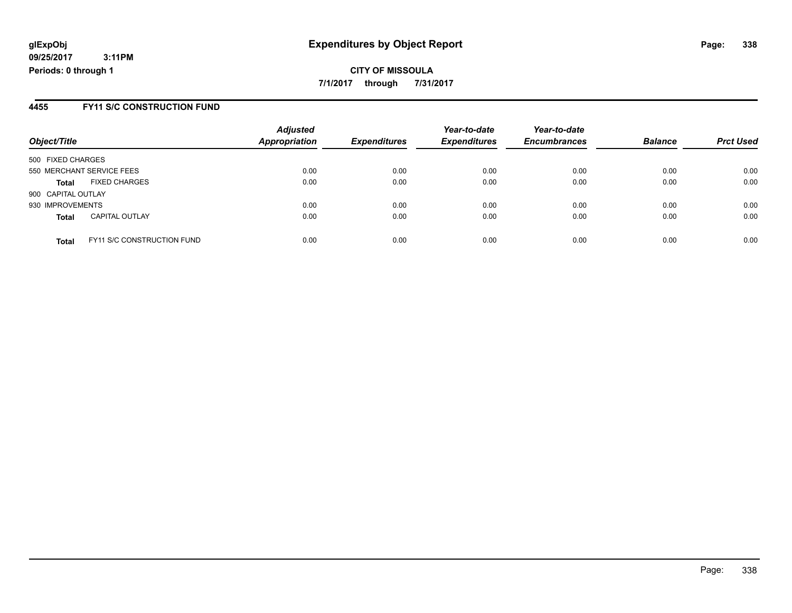**CITY OF MISSOULA 7/1/2017 through 7/31/2017**

### **4455 FY11 S/C CONSTRUCTION FUND**

|                    |                                   | <b>Adjusted</b>      |                     | Year-to-date        | Year-to-date        |                |                  |
|--------------------|-----------------------------------|----------------------|---------------------|---------------------|---------------------|----------------|------------------|
| Object/Title       |                                   | <b>Appropriation</b> | <b>Expenditures</b> | <b>Expenditures</b> | <b>Encumbrances</b> | <b>Balance</b> | <b>Prct Used</b> |
| 500 FIXED CHARGES  |                                   |                      |                     |                     |                     |                |                  |
|                    | 550 MERCHANT SERVICE FEES         | 0.00                 | 0.00                | 0.00                | 0.00                | 0.00           | 0.00             |
| <b>Total</b>       | <b>FIXED CHARGES</b>              | 0.00                 | 0.00                | 0.00                | 0.00                | 0.00           | 0.00             |
| 900 CAPITAL OUTLAY |                                   |                      |                     |                     |                     |                |                  |
| 930 IMPROVEMENTS   |                                   | 0.00                 | 0.00                | 0.00                | 0.00                | 0.00           | 0.00             |
| <b>Total</b>       | <b>CAPITAL OUTLAY</b>             | 0.00                 | 0.00                | 0.00                | 0.00                | 0.00           | 0.00             |
| <b>Total</b>       | <b>FY11 S/C CONSTRUCTION FUND</b> | 0.00                 | 0.00                | 0.00                | 0.00                | 0.00           | 0.00             |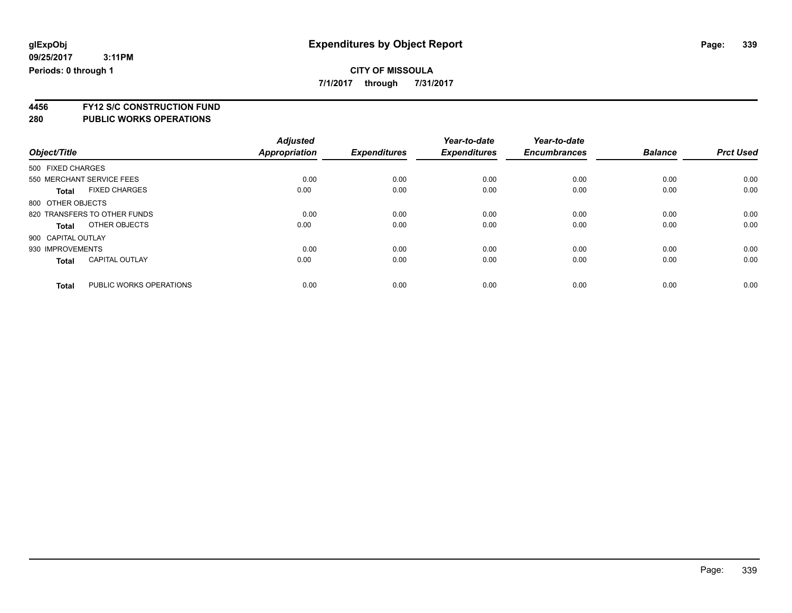**7/1/2017 through 7/31/2017**

**4456 FY12 S/C CONSTRUCTION FUND**

| Object/Title       |                              | <b>Adjusted</b><br><b>Appropriation</b> | <b>Expenditures</b> | Year-to-date<br><b>Expenditures</b> | Year-to-date<br><b>Encumbrances</b> | <b>Balance</b> | <b>Prct Used</b> |
|--------------------|------------------------------|-----------------------------------------|---------------------|-------------------------------------|-------------------------------------|----------------|------------------|
| 500 FIXED CHARGES  |                              |                                         |                     |                                     |                                     |                |                  |
|                    |                              |                                         |                     |                                     |                                     |                |                  |
|                    | 550 MERCHANT SERVICE FEES    | 0.00                                    | 0.00                | 0.00                                | 0.00                                | 0.00           | 0.00             |
| <b>Total</b>       | <b>FIXED CHARGES</b>         | 0.00                                    | 0.00                | 0.00                                | 0.00                                | 0.00           | 0.00             |
| 800 OTHER OBJECTS  |                              |                                         |                     |                                     |                                     |                |                  |
|                    | 820 TRANSFERS TO OTHER FUNDS | 0.00                                    | 0.00                | 0.00                                | 0.00                                | 0.00           | 0.00             |
| Total              | OTHER OBJECTS                | 0.00                                    | 0.00                | 0.00                                | 0.00                                | 0.00           | 0.00             |
| 900 CAPITAL OUTLAY |                              |                                         |                     |                                     |                                     |                |                  |
| 930 IMPROVEMENTS   |                              | 0.00                                    | 0.00                | 0.00                                | 0.00                                | 0.00           | 0.00             |
| <b>Total</b>       | <b>CAPITAL OUTLAY</b>        | 0.00                                    | 0.00                | 0.00                                | 0.00                                | 0.00           | 0.00             |
|                    |                              |                                         |                     |                                     |                                     |                |                  |
| <b>Total</b>       | PUBLIC WORKS OPERATIONS      | 0.00                                    | 0.00                | 0.00                                | 0.00                                | 0.00           | 0.00             |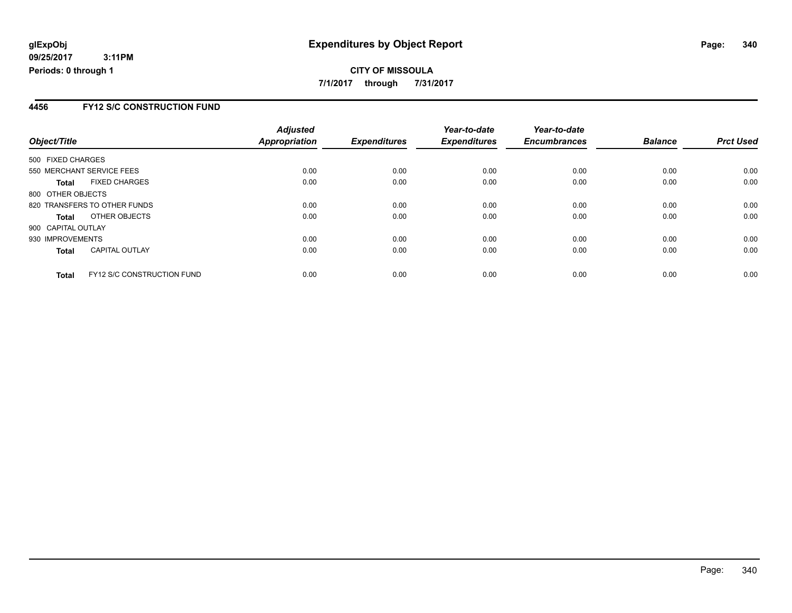### **4456 FY12 S/C CONSTRUCTION FUND**

|                    |                                   | <b>Adjusted</b>      |                     | Year-to-date        | Year-to-date        |                |                  |
|--------------------|-----------------------------------|----------------------|---------------------|---------------------|---------------------|----------------|------------------|
| Object/Title       |                                   | <b>Appropriation</b> | <b>Expenditures</b> | <b>Expenditures</b> | <b>Encumbrances</b> | <b>Balance</b> | <b>Prct Used</b> |
| 500 FIXED CHARGES  |                                   |                      |                     |                     |                     |                |                  |
|                    | 550 MERCHANT SERVICE FEES         | 0.00                 | 0.00                | 0.00                | 0.00                | 0.00           | 0.00             |
| <b>Total</b>       | <b>FIXED CHARGES</b>              | 0.00                 | 0.00                | 0.00                | 0.00                | 0.00           | 0.00             |
| 800 OTHER OBJECTS  |                                   |                      |                     |                     |                     |                |                  |
|                    | 820 TRANSFERS TO OTHER FUNDS      | 0.00                 | 0.00                | 0.00                | 0.00                | 0.00           | 0.00             |
| Total              | OTHER OBJECTS                     | 0.00                 | 0.00                | 0.00                | 0.00                | 0.00           | 0.00             |
| 900 CAPITAL OUTLAY |                                   |                      |                     |                     |                     |                |                  |
| 930 IMPROVEMENTS   |                                   | 0.00                 | 0.00                | 0.00                | 0.00                | 0.00           | 0.00             |
| <b>Total</b>       | <b>CAPITAL OUTLAY</b>             | 0.00                 | 0.00                | 0.00                | 0.00                | 0.00           | 0.00             |
| <b>Total</b>       | <b>FY12 S/C CONSTRUCTION FUND</b> | 0.00                 | 0.00                | 0.00                | 0.00                | 0.00           | 0.00             |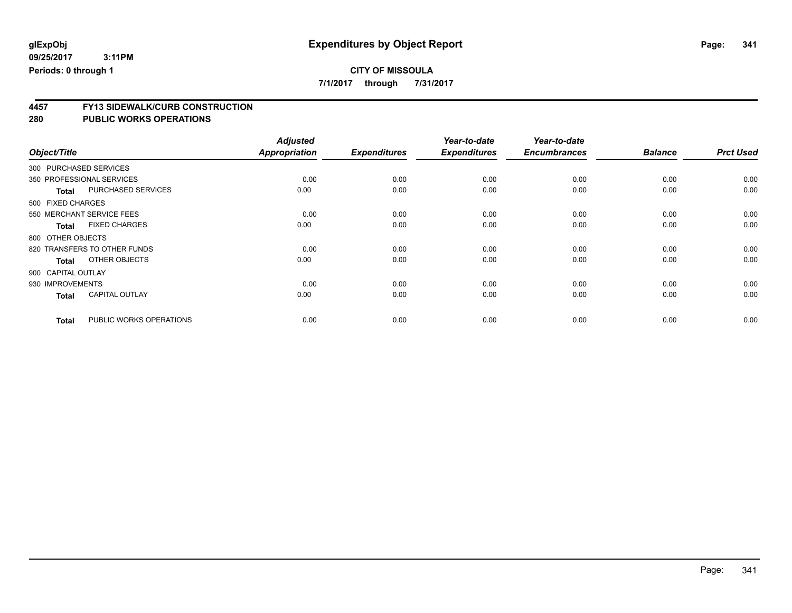**7/1/2017 through 7/31/2017**

# **4457 FY13 SIDEWALK/CURB CONSTRUCTION**

| Object/Title           |                              | <b>Adjusted</b><br><b>Appropriation</b> | <b>Expenditures</b> | Year-to-date<br><b>Expenditures</b> | Year-to-date<br><b>Encumbrances</b> | <b>Balance</b> | <b>Prct Used</b> |
|------------------------|------------------------------|-----------------------------------------|---------------------|-------------------------------------|-------------------------------------|----------------|------------------|
| 300 PURCHASED SERVICES |                              |                                         |                     |                                     |                                     |                |                  |
|                        | 350 PROFESSIONAL SERVICES    | 0.00                                    | 0.00                | 0.00                                | 0.00                                | 0.00           | 0.00             |
| <b>Total</b>           | <b>PURCHASED SERVICES</b>    | 0.00                                    | 0.00                | 0.00                                | 0.00                                | 0.00           | 0.00             |
| 500 FIXED CHARGES      |                              |                                         |                     |                                     |                                     |                |                  |
|                        | 550 MERCHANT SERVICE FEES    | 0.00                                    | 0.00                | 0.00                                | 0.00                                | 0.00           | 0.00             |
| <b>Total</b>           | <b>FIXED CHARGES</b>         | 0.00                                    | 0.00                | 0.00                                | 0.00                                | 0.00           | 0.00             |
| 800 OTHER OBJECTS      |                              |                                         |                     |                                     |                                     |                |                  |
|                        | 820 TRANSFERS TO OTHER FUNDS | 0.00                                    | 0.00                | 0.00                                | 0.00                                | 0.00           | 0.00             |
| <b>Total</b>           | OTHER OBJECTS                | 0.00                                    | 0.00                | 0.00                                | 0.00                                | 0.00           | 0.00             |
| 900 CAPITAL OUTLAY     |                              |                                         |                     |                                     |                                     |                |                  |
| 930 IMPROVEMENTS       |                              | 0.00                                    | 0.00                | 0.00                                | 0.00                                | 0.00           | 0.00             |
| <b>Total</b>           | <b>CAPITAL OUTLAY</b>        | 0.00                                    | 0.00                | 0.00                                | 0.00                                | 0.00           | 0.00             |
| <b>Total</b>           | PUBLIC WORKS OPERATIONS      | 0.00                                    | 0.00                | 0.00                                | 0.00                                | 0.00           | 0.00             |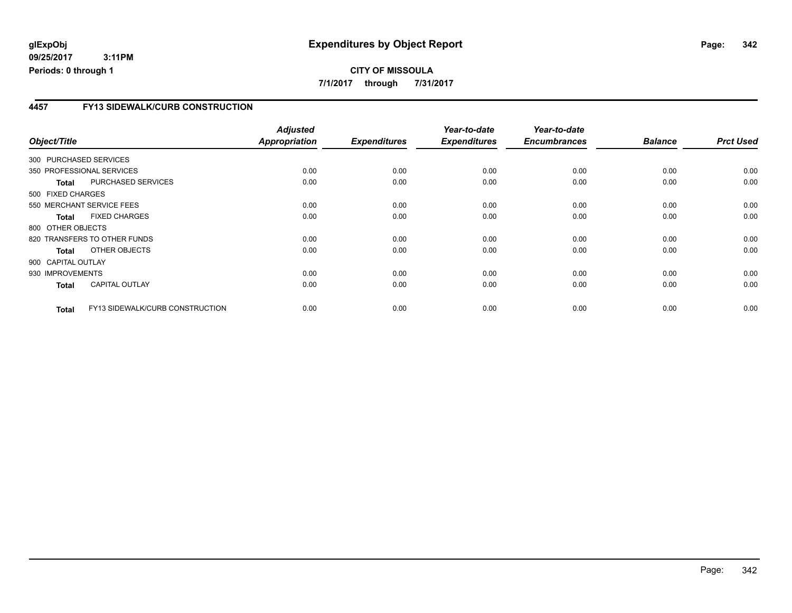### **4457 FY13 SIDEWALK/CURB CONSTRUCTION**

|                    |                                 | <b>Adjusted</b>      |                     | Year-to-date        | Year-to-date        |                |                  |
|--------------------|---------------------------------|----------------------|---------------------|---------------------|---------------------|----------------|------------------|
| Object/Title       |                                 | <b>Appropriation</b> | <b>Expenditures</b> | <b>Expenditures</b> | <b>Encumbrances</b> | <b>Balance</b> | <b>Prct Used</b> |
|                    | 300 PURCHASED SERVICES          |                      |                     |                     |                     |                |                  |
|                    | 350 PROFESSIONAL SERVICES       | 0.00                 | 0.00                | 0.00                | 0.00                | 0.00           | 0.00             |
| <b>Total</b>       | PURCHASED SERVICES              | 0.00                 | 0.00                | 0.00                | 0.00                | 0.00           | 0.00             |
| 500 FIXED CHARGES  |                                 |                      |                     |                     |                     |                |                  |
|                    | 550 MERCHANT SERVICE FEES       | 0.00                 | 0.00                | 0.00                | 0.00                | 0.00           | 0.00             |
| <b>Total</b>       | <b>FIXED CHARGES</b>            | 0.00                 | 0.00                | 0.00                | 0.00                | 0.00           | 0.00             |
| 800 OTHER OBJECTS  |                                 |                      |                     |                     |                     |                |                  |
|                    | 820 TRANSFERS TO OTHER FUNDS    | 0.00                 | 0.00                | 0.00                | 0.00                | 0.00           | 0.00             |
| Total              | OTHER OBJECTS                   | 0.00                 | 0.00                | 0.00                | 0.00                | 0.00           | 0.00             |
| 900 CAPITAL OUTLAY |                                 |                      |                     |                     |                     |                |                  |
| 930 IMPROVEMENTS   |                                 | 0.00                 | 0.00                | 0.00                | 0.00                | 0.00           | 0.00             |
| <b>Total</b>       | <b>CAPITAL OUTLAY</b>           | 0.00                 | 0.00                | 0.00                | 0.00                | 0.00           | 0.00             |
| <b>Total</b>       | FY13 SIDEWALK/CURB CONSTRUCTION | 0.00                 | 0.00                | 0.00                | 0.00                | 0.00           | 0.00             |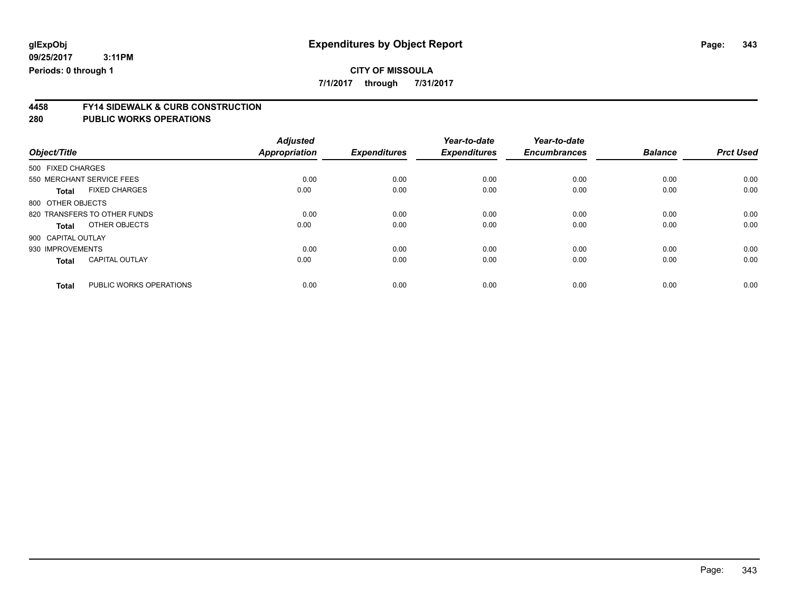**7/1/2017 through 7/31/2017**

# **4458 FY14 SIDEWALK & CURB CONSTRUCTION**

| Object/Title                            | <b>Adjusted</b><br><b>Appropriation</b> | <b>Expenditures</b> | Year-to-date<br><b>Expenditures</b> | Year-to-date<br><b>Encumbrances</b> | <b>Balance</b> | <b>Prct Used</b> |
|-----------------------------------------|-----------------------------------------|---------------------|-------------------------------------|-------------------------------------|----------------|------------------|
| 500 FIXED CHARGES                       |                                         |                     |                                     |                                     |                |                  |
| 550 MERCHANT SERVICE FEES               | 0.00                                    | 0.00                | 0.00                                | 0.00                                | 0.00           | 0.00             |
| <b>FIXED CHARGES</b><br><b>Total</b>    | 0.00                                    | 0.00                | 0.00                                | 0.00                                | 0.00           | 0.00             |
| 800 OTHER OBJECTS                       |                                         |                     |                                     |                                     |                |                  |
| 820 TRANSFERS TO OTHER FUNDS            | 0.00                                    | 0.00                | 0.00                                | 0.00                                | 0.00           | 0.00             |
| OTHER OBJECTS<br>Total                  | 0.00                                    | 0.00                | 0.00                                | 0.00                                | 0.00           | 0.00             |
| 900 CAPITAL OUTLAY                      |                                         |                     |                                     |                                     |                |                  |
| 930 IMPROVEMENTS                        | 0.00                                    | 0.00                | 0.00                                | 0.00                                | 0.00           | 0.00             |
| <b>CAPITAL OUTLAY</b><br><b>Total</b>   | 0.00                                    | 0.00                | 0.00                                | 0.00                                | 0.00           | 0.00             |
|                                         |                                         |                     |                                     |                                     |                |                  |
| PUBLIC WORKS OPERATIONS<br><b>Total</b> | 0.00                                    | 0.00                | 0.00                                | 0.00                                | 0.00           | 0.00             |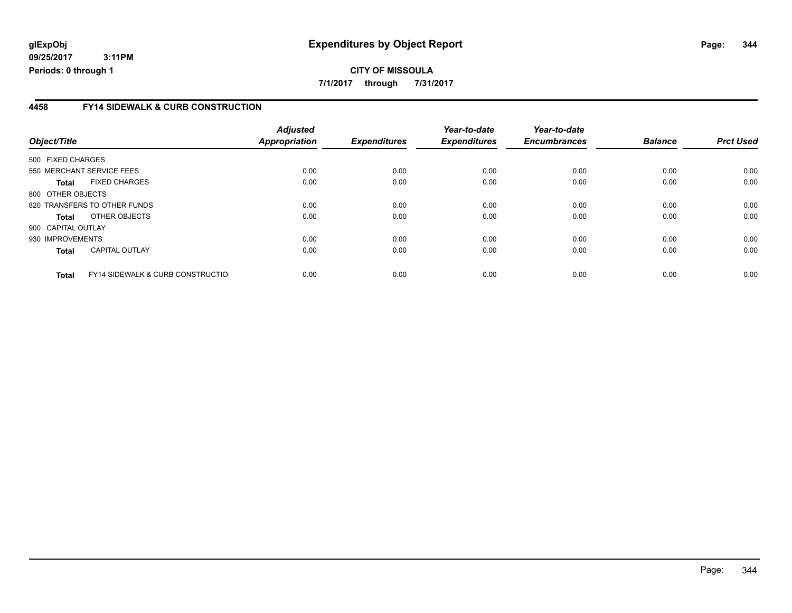### **4458 FY14 SIDEWALK & CURB CONSTRUCTION**

| Object/Title       |                                              | <b>Adjusted</b><br>Appropriation | <b>Expenditures</b> | Year-to-date<br><b>Expenditures</b> | Year-to-date<br><b>Encumbrances</b> | <b>Balance</b> | <b>Prct Used</b> |
|--------------------|----------------------------------------------|----------------------------------|---------------------|-------------------------------------|-------------------------------------|----------------|------------------|
|                    |                                              |                                  |                     |                                     |                                     |                |                  |
| 500 FIXED CHARGES  |                                              |                                  |                     |                                     |                                     |                |                  |
|                    | 550 MERCHANT SERVICE FEES                    | 0.00                             | 0.00                | 0.00                                | 0.00                                | 0.00           | 0.00             |
| Total              | <b>FIXED CHARGES</b>                         | 0.00                             | 0.00                | 0.00                                | 0.00                                | 0.00           | 0.00             |
| 800 OTHER OBJECTS  |                                              |                                  |                     |                                     |                                     |                |                  |
|                    | 820 TRANSFERS TO OTHER FUNDS                 | 0.00                             | 0.00                | 0.00                                | 0.00                                | 0.00           | 0.00             |
| Total              | OTHER OBJECTS                                | 0.00                             | 0.00                | 0.00                                | 0.00                                | 0.00           | 0.00             |
| 900 CAPITAL OUTLAY |                                              |                                  |                     |                                     |                                     |                |                  |
| 930 IMPROVEMENTS   |                                              | 0.00                             | 0.00                | 0.00                                | 0.00                                | 0.00           | 0.00             |
| <b>Total</b>       | <b>CAPITAL OUTLAY</b>                        | 0.00                             | 0.00                | 0.00                                | 0.00                                | 0.00           | 0.00             |
| <b>Total</b>       | <b>FY14 SIDEWALK &amp; CURB CONSTRUCTIOL</b> | 0.00                             | 0.00                | 0.00                                | 0.00                                | 0.00           | 0.00             |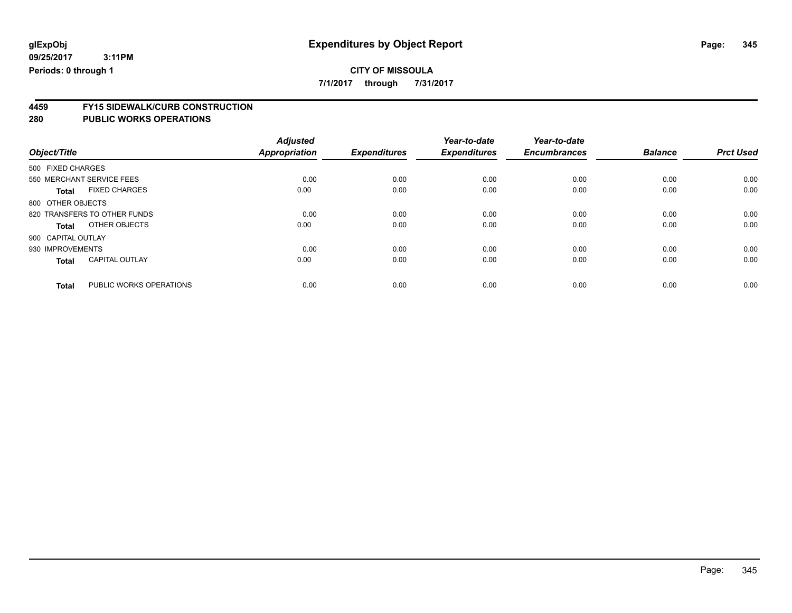**7/1/2017 through 7/31/2017**

# **4459 FY15 SIDEWALK/CURB CONSTRUCTION**

|                                       |                         | <b>Adjusted</b>      |                     | Year-to-date        | Year-to-date        |                |                  |
|---------------------------------------|-------------------------|----------------------|---------------------|---------------------|---------------------|----------------|------------------|
| Object/Title                          |                         | <b>Appropriation</b> | <b>Expenditures</b> | <b>Expenditures</b> | <b>Encumbrances</b> | <b>Balance</b> | <b>Prct Used</b> |
| 500 FIXED CHARGES                     |                         |                      |                     |                     |                     |                |                  |
| 550 MERCHANT SERVICE FEES             |                         | 0.00                 | 0.00                | 0.00                | 0.00                | 0.00           | 0.00             |
| <b>FIXED CHARGES</b><br><b>Total</b>  |                         | 0.00                 | 0.00                | 0.00                | 0.00                | 0.00           | 0.00             |
| 800 OTHER OBJECTS                     |                         |                      |                     |                     |                     |                |                  |
| 820 TRANSFERS TO OTHER FUNDS          |                         | 0.00                 | 0.00                | 0.00                | 0.00                | 0.00           | 0.00             |
| OTHER OBJECTS<br>Total                |                         | 0.00                 | 0.00                | 0.00                | 0.00                | 0.00           | 0.00             |
| 900 CAPITAL OUTLAY                    |                         |                      |                     |                     |                     |                |                  |
| 930 IMPROVEMENTS                      |                         | 0.00                 | 0.00                | 0.00                | 0.00                | 0.00           | 0.00             |
| <b>CAPITAL OUTLAY</b><br><b>Total</b> |                         | 0.00                 | 0.00                | 0.00                | 0.00                | 0.00           | 0.00             |
| <b>Total</b>                          | PUBLIC WORKS OPERATIONS | 0.00                 | 0.00                | 0.00                | 0.00                | 0.00           | 0.00             |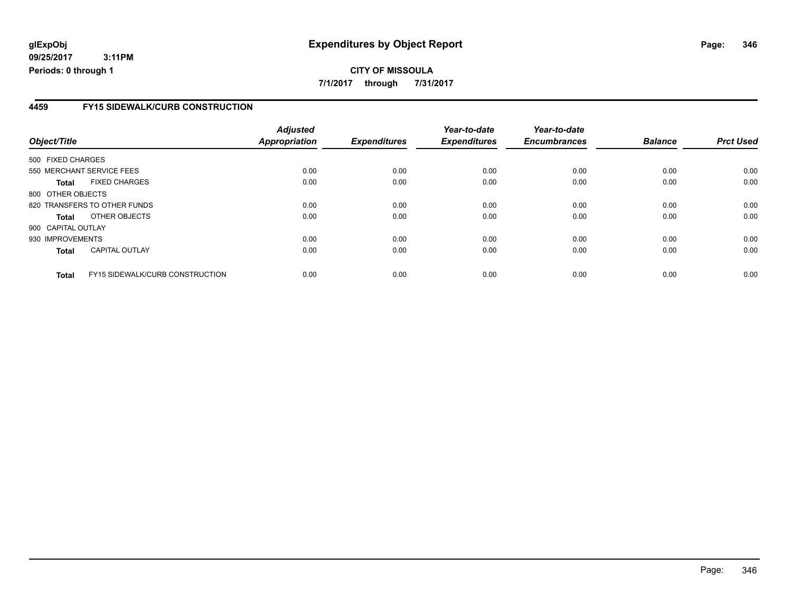### **4459 FY15 SIDEWALK/CURB CONSTRUCTION**

| Object/Title       |                                        | <b>Adjusted</b><br>Appropriation | <b>Expenditures</b> | Year-to-date<br><b>Expenditures</b> | Year-to-date<br><b>Encumbrances</b> | <b>Balance</b> | <b>Prct Used</b> |
|--------------------|----------------------------------------|----------------------------------|---------------------|-------------------------------------|-------------------------------------|----------------|------------------|
| 500 FIXED CHARGES  |                                        |                                  |                     |                                     |                                     |                |                  |
|                    | 550 MERCHANT SERVICE FEES              | 0.00                             | 0.00                | 0.00                                | 0.00                                | 0.00           | 0.00             |
|                    |                                        |                                  |                     |                                     |                                     |                |                  |
| Total              | <b>FIXED CHARGES</b>                   | 0.00                             | 0.00                | 0.00                                | 0.00                                | 0.00           | 0.00             |
| 800 OTHER OBJECTS  |                                        |                                  |                     |                                     |                                     |                |                  |
|                    | 820 TRANSFERS TO OTHER FUNDS           | 0.00                             | 0.00                | 0.00                                | 0.00                                | 0.00           | 0.00             |
| Total              | OTHER OBJECTS                          | 0.00                             | 0.00                | 0.00                                | 0.00                                | 0.00           | 0.00             |
| 900 CAPITAL OUTLAY |                                        |                                  |                     |                                     |                                     |                |                  |
| 930 IMPROVEMENTS   |                                        | 0.00                             | 0.00                | 0.00                                | 0.00                                | 0.00           | 0.00             |
| <b>Total</b>       | <b>CAPITAL OUTLAY</b>                  | 0.00                             | 0.00                | 0.00                                | 0.00                                | 0.00           | 0.00             |
| <b>Total</b>       | <b>FY15 SIDEWALK/CURB CONSTRUCTION</b> | 0.00                             | 0.00                | 0.00                                | 0.00                                | 0.00           | 0.00             |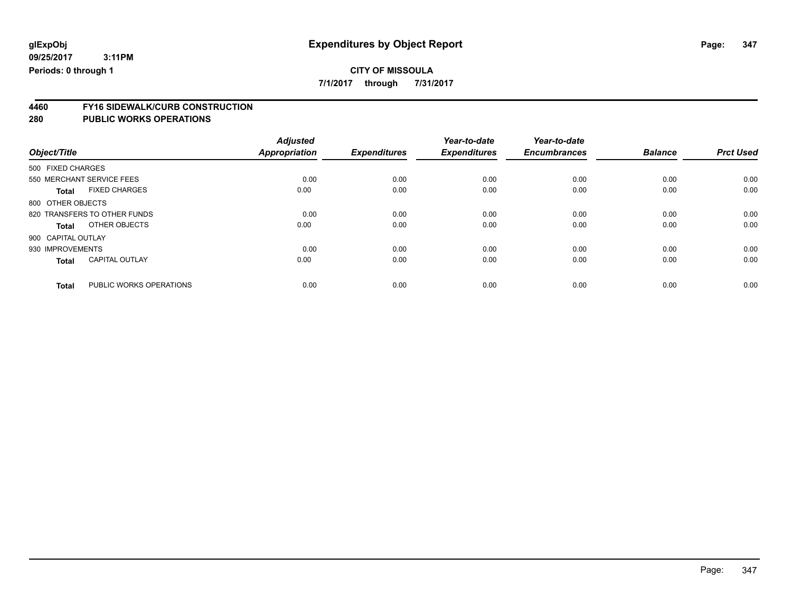**7/1/2017 through 7/31/2017**

# **4460 FY16 SIDEWALK/CURB CONSTRUCTION**

|                    |                              | <b>Adjusted</b>      | <b>Expenditures</b> | Year-to-date<br><b>Expenditures</b> | Year-to-date<br><b>Encumbrances</b> | <b>Balance</b> | <b>Prct Used</b> |
|--------------------|------------------------------|----------------------|---------------------|-------------------------------------|-------------------------------------|----------------|------------------|
| Object/Title       |                              | <b>Appropriation</b> |                     |                                     |                                     |                |                  |
| 500 FIXED CHARGES  |                              |                      |                     |                                     |                                     |                |                  |
|                    | 550 MERCHANT SERVICE FEES    | 0.00                 | 0.00                | 0.00                                | 0.00                                | 0.00           | 0.00             |
| <b>Total</b>       | <b>FIXED CHARGES</b>         | 0.00                 | 0.00                | 0.00                                | 0.00                                | 0.00           | 0.00             |
| 800 OTHER OBJECTS  |                              |                      |                     |                                     |                                     |                |                  |
|                    | 820 TRANSFERS TO OTHER FUNDS | 0.00                 | 0.00                | 0.00                                | 0.00                                | 0.00           | 0.00             |
| <b>Total</b>       | OTHER OBJECTS                | 0.00                 | 0.00                | 0.00                                | 0.00                                | 0.00           | 0.00             |
| 900 CAPITAL OUTLAY |                              |                      |                     |                                     |                                     |                |                  |
| 930 IMPROVEMENTS   |                              | 0.00                 | 0.00                | 0.00                                | 0.00                                | 0.00           | 0.00             |
| <b>Total</b>       | <b>CAPITAL OUTLAY</b>        | 0.00                 | 0.00                | 0.00                                | 0.00                                | 0.00           | 0.00             |
| <b>Total</b>       | PUBLIC WORKS OPERATIONS      | 0.00                 | 0.00                | 0.00                                | 0.00                                | 0.00           | 0.00             |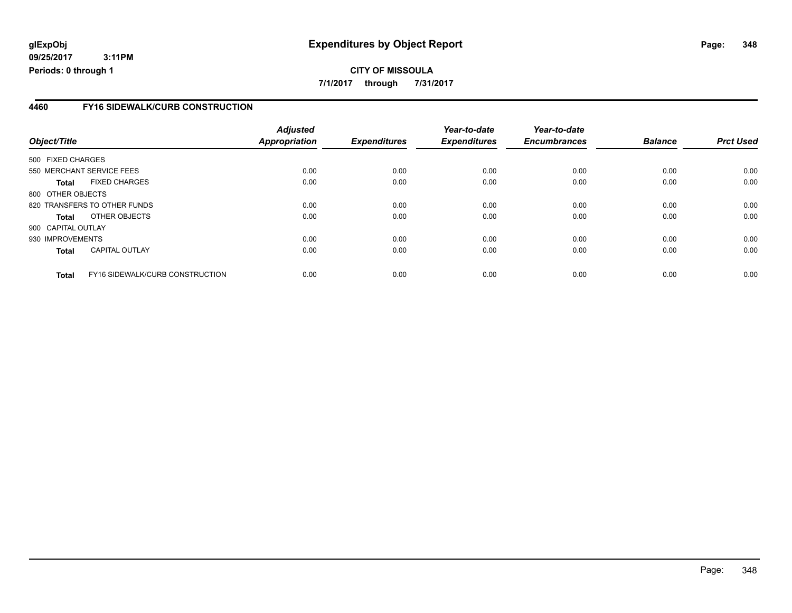### **4460 FY16 SIDEWALK/CURB CONSTRUCTION**

| Object/Title       |                                 | <b>Adjusted</b><br>Appropriation | <b>Expenditures</b> | Year-to-date<br><b>Expenditures</b> | Year-to-date<br><b>Encumbrances</b> | <b>Balance</b> | <b>Prct Used</b> |
|--------------------|---------------------------------|----------------------------------|---------------------|-------------------------------------|-------------------------------------|----------------|------------------|
| 500 FIXED CHARGES  |                                 |                                  |                     |                                     |                                     |                |                  |
|                    | 550 MERCHANT SERVICE FEES       | 0.00                             | 0.00                | 0.00                                | 0.00                                | 0.00           | 0.00             |
|                    |                                 |                                  |                     |                                     |                                     |                |                  |
| Total              | <b>FIXED CHARGES</b>            | 0.00                             | 0.00                | 0.00                                | 0.00                                | 0.00           | 0.00             |
| 800 OTHER OBJECTS  |                                 |                                  |                     |                                     |                                     |                |                  |
|                    | 820 TRANSFERS TO OTHER FUNDS    | 0.00                             | 0.00                | 0.00                                | 0.00                                | 0.00           | 0.00             |
| Total              | OTHER OBJECTS                   | 0.00                             | 0.00                | 0.00                                | 0.00                                | 0.00           | 0.00             |
| 900 CAPITAL OUTLAY |                                 |                                  |                     |                                     |                                     |                |                  |
| 930 IMPROVEMENTS   |                                 | 0.00                             | 0.00                | 0.00                                | 0.00                                | 0.00           | 0.00             |
| <b>Total</b>       | <b>CAPITAL OUTLAY</b>           | 0.00                             | 0.00                | 0.00                                | 0.00                                | 0.00           | 0.00             |
| <b>Total</b>       | FY16 SIDEWALK/CURB CONSTRUCTION | 0.00                             | 0.00                | 0.00                                | 0.00                                | 0.00           | 0.00             |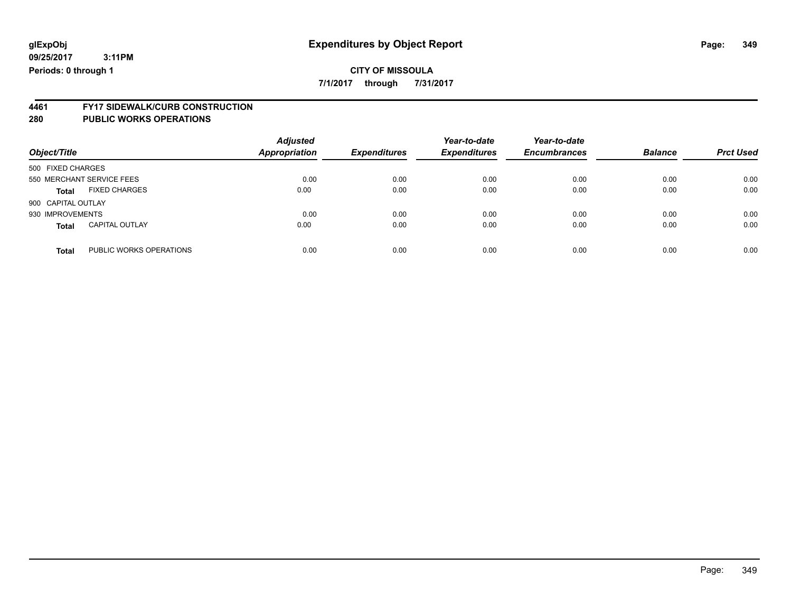**7/1/2017 through 7/31/2017**

# **4461 FY17 SIDEWALK/CURB CONSTRUCTION**

| Object/Title       |                           | <b>Adjusted</b><br><b>Appropriation</b> | <b>Expenditures</b> | Year-to-date<br><b>Expenditures</b> | Year-to-date<br><b>Encumbrances</b> | <b>Balance</b> | <b>Prct Used</b> |
|--------------------|---------------------------|-----------------------------------------|---------------------|-------------------------------------|-------------------------------------|----------------|------------------|
| 500 FIXED CHARGES  |                           |                                         |                     |                                     |                                     |                |                  |
|                    | 550 MERCHANT SERVICE FEES | 0.00                                    | 0.00                | 0.00                                | 0.00                                | 0.00           | 0.00             |
| <b>Total</b>       | <b>FIXED CHARGES</b>      | 0.00                                    | 0.00                | 0.00                                | 0.00                                | 0.00           | 0.00             |
| 900 CAPITAL OUTLAY |                           |                                         |                     |                                     |                                     |                |                  |
| 930 IMPROVEMENTS   |                           | 0.00                                    | 0.00                | 0.00                                | 0.00                                | 0.00           | 0.00             |
| <b>Total</b>       | <b>CAPITAL OUTLAY</b>     | 0.00                                    | 0.00                | 0.00                                | 0.00                                | 0.00           | 0.00             |
| <b>Total</b>       | PUBLIC WORKS OPERATIONS   | 0.00                                    | 0.00                | 0.00                                | 0.00                                | 0.00           | 0.00             |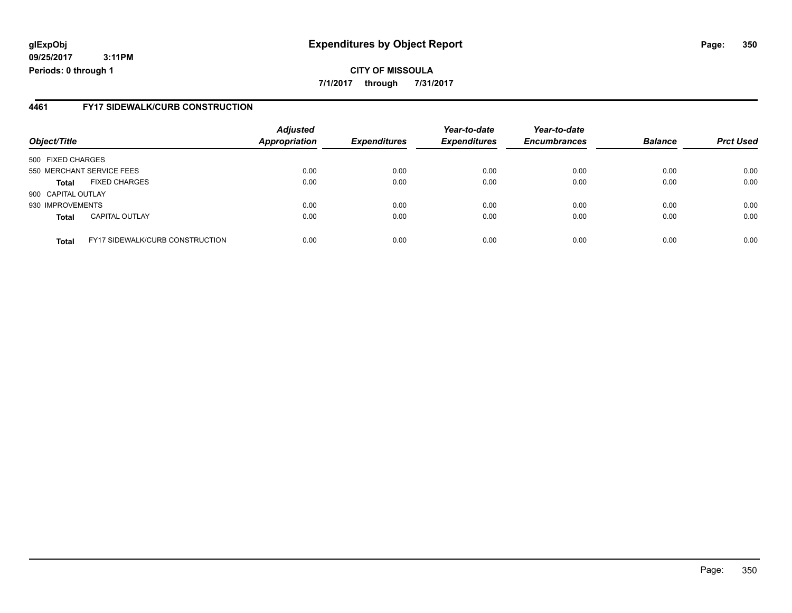### **glExpObj Expenditures by Object Report Page: 350**

**09/25/2017 3:11PM Periods: 0 through 1**

#### **4461 FY17 SIDEWALK/CURB CONSTRUCTION**

| Object/Title       |                                        | <b>Adjusted</b><br><b>Appropriation</b> | <b>Expenditures</b> | Year-to-date<br><b>Expenditures</b> | Year-to-date<br><b>Encumbrances</b> | <b>Balance</b> | <b>Prct Used</b> |
|--------------------|----------------------------------------|-----------------------------------------|---------------------|-------------------------------------|-------------------------------------|----------------|------------------|
| 500 FIXED CHARGES  |                                        |                                         |                     |                                     |                                     |                |                  |
|                    | 550 MERCHANT SERVICE FEES              | 0.00                                    | 0.00                | 0.00                                | 0.00                                | 0.00           | 0.00             |
| <b>Total</b>       | <b>FIXED CHARGES</b>                   | 0.00                                    | 0.00                | 0.00                                | 0.00                                | 0.00           | 0.00             |
| 900 CAPITAL OUTLAY |                                        |                                         |                     |                                     |                                     |                |                  |
| 930 IMPROVEMENTS   |                                        | 0.00                                    | 0.00                | 0.00                                | 0.00                                | 0.00           | 0.00             |
| <b>Total</b>       | <b>CAPITAL OUTLAY</b>                  | 0.00                                    | 0.00                | 0.00                                | 0.00                                | 0.00           | 0.00             |
| <b>Total</b>       | <b>FY17 SIDEWALK/CURB CONSTRUCTION</b> | 0.00                                    | 0.00                | 0.00                                | 0.00                                | 0.00           | 0.00             |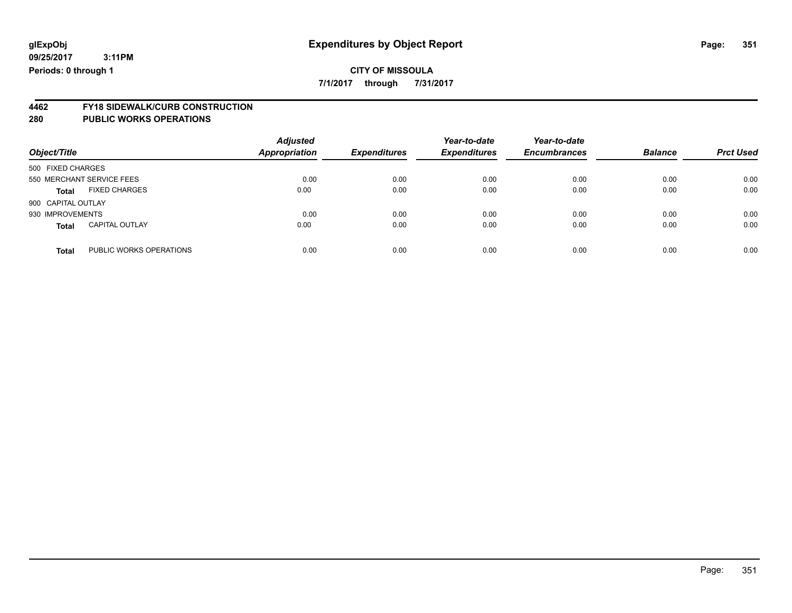**7/1/2017 through 7/31/2017**

# **4462 FY18 SIDEWALK/CURB CONSTRUCTION**

| Object/Title       |                           | <b>Adjusted</b><br><b>Appropriation</b> | <b>Expenditures</b> | Year-to-date<br><b>Expenditures</b> | Year-to-date<br><b>Encumbrances</b> | <b>Balance</b> | <b>Prct Used</b> |
|--------------------|---------------------------|-----------------------------------------|---------------------|-------------------------------------|-------------------------------------|----------------|------------------|
| 500 FIXED CHARGES  |                           |                                         |                     |                                     |                                     |                |                  |
|                    | 550 MERCHANT SERVICE FEES | 0.00                                    | 0.00                | 0.00                                | 0.00                                | 0.00           | 0.00             |
| <b>Total</b>       | <b>FIXED CHARGES</b>      | 0.00                                    | 0.00                | 0.00                                | 0.00                                | 0.00           | 0.00             |
| 900 CAPITAL OUTLAY |                           |                                         |                     |                                     |                                     |                |                  |
| 930 IMPROVEMENTS   |                           | 0.00                                    | 0.00                | 0.00                                | 0.00                                | 0.00           | 0.00             |
| <b>Total</b>       | <b>CAPITAL OUTLAY</b>     | 0.00                                    | 0.00                | 0.00                                | 0.00                                | 0.00           | 0.00             |
| <b>Total</b>       | PUBLIC WORKS OPERATIONS   | 0.00                                    | 0.00                | 0.00                                | 0.00                                | 0.00           | 0.00             |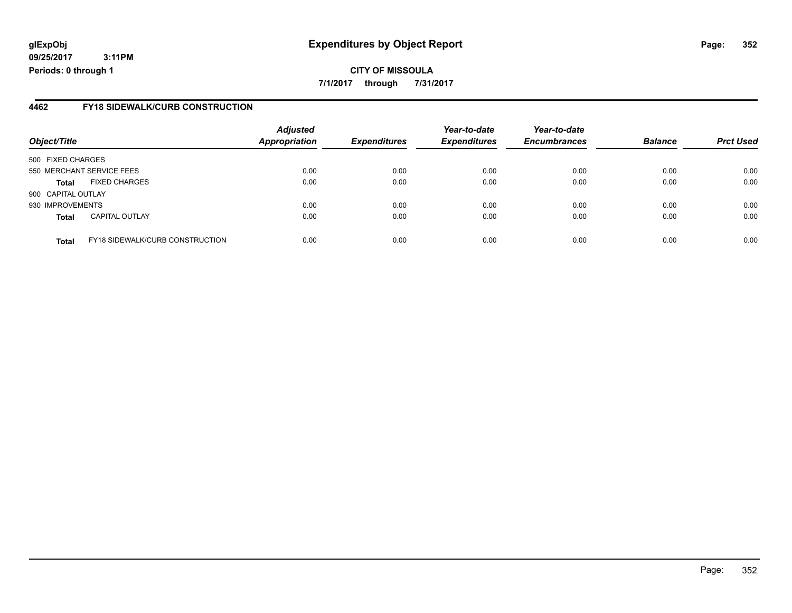### **glExpObj Expenditures by Object Report Page: 352**

**09/25/2017 3:11PM Periods: 0 through 1**

#### **4462 FY18 SIDEWALK/CURB CONSTRUCTION**

| Object/Title              |                                 | <b>Adjusted</b><br><b>Appropriation</b> | <b>Expenditures</b> | Year-to-date<br><b>Expenditures</b> | Year-to-date<br><b>Encumbrances</b> | <b>Balance</b> | <b>Prct Used</b> |
|---------------------------|---------------------------------|-----------------------------------------|---------------------|-------------------------------------|-------------------------------------|----------------|------------------|
| 500 FIXED CHARGES         |                                 |                                         |                     |                                     |                                     |                |                  |
| 550 MERCHANT SERVICE FEES |                                 | 0.00                                    | 0.00                | 0.00                                | 0.00                                | 0.00           | 0.00             |
| <b>Total</b>              | <b>FIXED CHARGES</b>            | 0.00                                    | 0.00                | 0.00                                | 0.00                                | 0.00           | 0.00             |
| 900 CAPITAL OUTLAY        |                                 |                                         |                     |                                     |                                     |                |                  |
| 930 IMPROVEMENTS          |                                 | 0.00                                    | 0.00                | 0.00                                | 0.00                                | 0.00           | 0.00             |
| <b>Total</b>              | <b>CAPITAL OUTLAY</b>           | 0.00                                    | 0.00                | 0.00                                | 0.00                                | 0.00           | 0.00             |
| <b>Total</b>              | FY18 SIDEWALK/CURB CONSTRUCTION | 0.00                                    | 0.00                | 0.00                                | 0.00                                | 0.00           | 0.00             |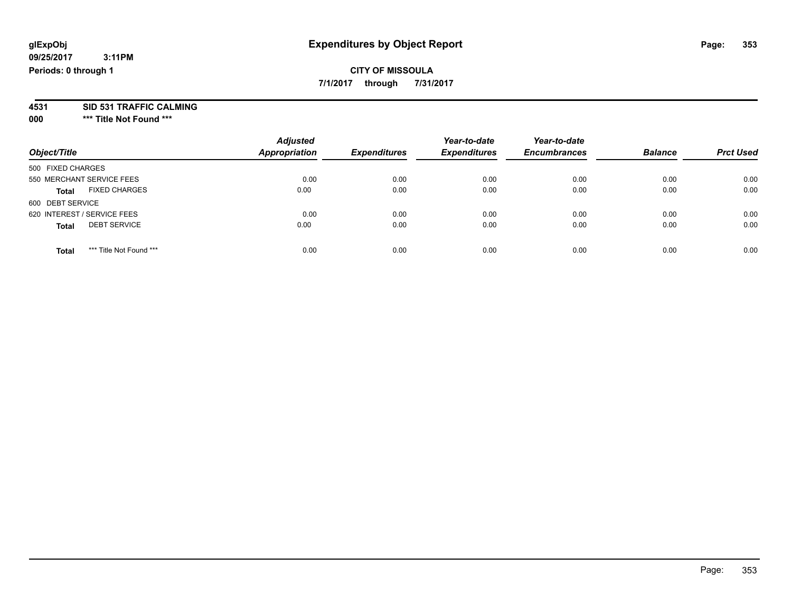### **CITY OF MISSOULA**

**7/1/2017 through 7/31/2017**

# **4531 SID 531 TRAFFIC CALMING**

**000 \*\*\* Title Not Found \*\*\***

| Object/Title                            | <b>Adjusted</b><br><b>Appropriation</b> | <b>Expenditures</b> | Year-to-date<br><b>Expenditures</b> | Year-to-date<br><b>Encumbrances</b> | <b>Balance</b> | <b>Prct Used</b> |
|-----------------------------------------|-----------------------------------------|---------------------|-------------------------------------|-------------------------------------|----------------|------------------|
| 500 FIXED CHARGES                       |                                         |                     |                                     |                                     |                |                  |
| 550 MERCHANT SERVICE FEES               | 0.00                                    | 0.00                | 0.00                                | 0.00                                | 0.00           | 0.00             |
| <b>FIXED CHARGES</b><br><b>Total</b>    | 0.00                                    | 0.00                | 0.00                                | 0.00                                | 0.00           | 0.00             |
| 600 DEBT SERVICE                        |                                         |                     |                                     |                                     |                |                  |
| 620 INTEREST / SERVICE FEES             | 0.00                                    | 0.00                | 0.00                                | 0.00                                | 0.00           | 0.00             |
| <b>DEBT SERVICE</b><br><b>Total</b>     | 0.00                                    | 0.00                | 0.00                                | 0.00                                | 0.00           | 0.00             |
| *** Title Not Found ***<br><b>Total</b> | 0.00                                    | 0.00                | 0.00                                | 0.00                                | 0.00           | 0.00             |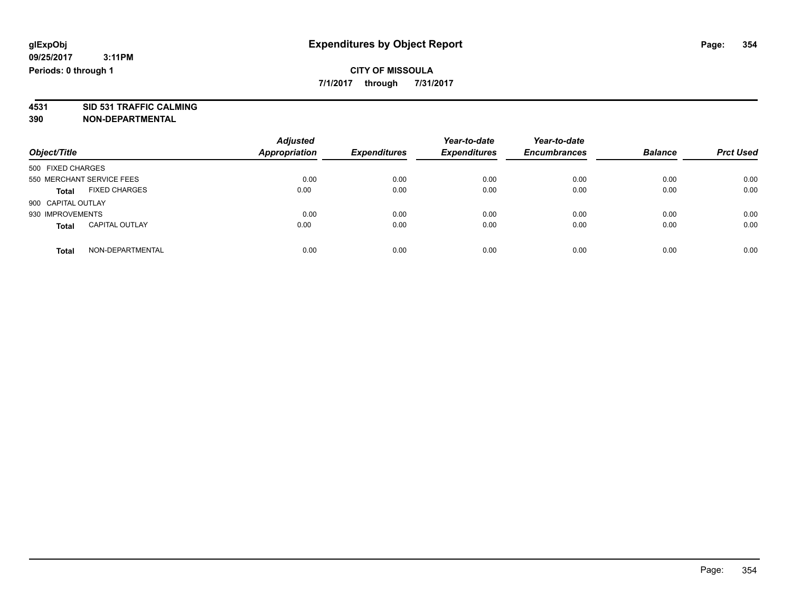### **CITY OF MISSOULA**

**7/1/2017 through 7/31/2017**

#### **4531 SID 531 TRAFFIC CALMING 390 NON-DEPARTMENTAL**

|                                       | <b>Adjusted</b>      |                     | Year-to-date        | Year-to-date        |                |                  |
|---------------------------------------|----------------------|---------------------|---------------------|---------------------|----------------|------------------|
| Object/Title                          | <b>Appropriation</b> | <b>Expenditures</b> | <b>Expenditures</b> | <b>Encumbrances</b> | <b>Balance</b> | <b>Prct Used</b> |
| 500 FIXED CHARGES                     |                      |                     |                     |                     |                |                  |
| 550 MERCHANT SERVICE FEES             | 0.00                 | 0.00                | 0.00                | 0.00                | 0.00           | 0.00             |
| <b>FIXED CHARGES</b><br><b>Total</b>  | 0.00                 | 0.00                | 0.00                | 0.00                | 0.00           | 0.00             |
| 900 CAPITAL OUTLAY                    |                      |                     |                     |                     |                |                  |
| 930 IMPROVEMENTS                      | 0.00                 | 0.00                | 0.00                | 0.00                | 0.00           | 0.00             |
| <b>CAPITAL OUTLAY</b><br><b>Total</b> | 0.00                 | 0.00                | 0.00                | 0.00                | 0.00           | 0.00             |
| NON-DEPARTMENTAL<br><b>Total</b>      | 0.00                 | 0.00                | 0.00                | 0.00                | 0.00           | 0.00             |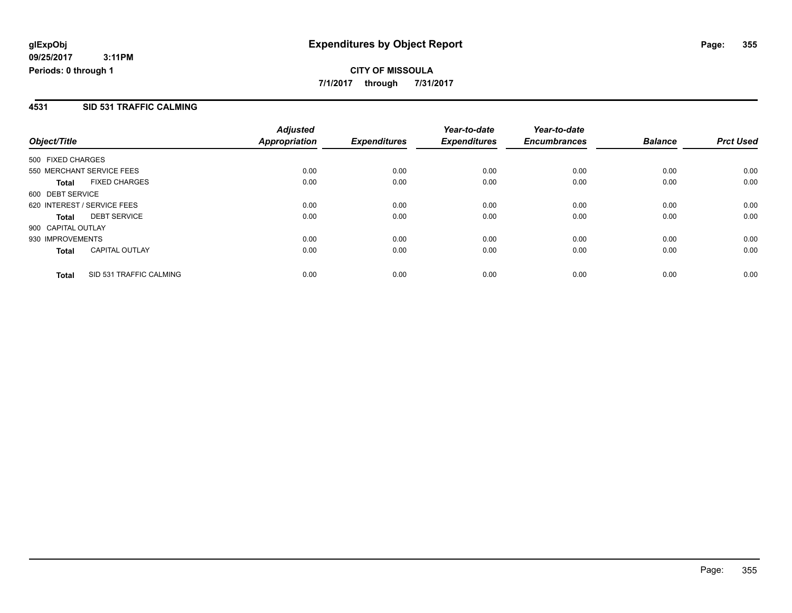**CITY OF MISSOULA 7/1/2017 through 7/31/2017**

#### **4531 SID 531 TRAFFIC CALMING**

|                                         | <b>Adjusted</b>      |                     | Year-to-date        | Year-to-date        |                |                  |
|-----------------------------------------|----------------------|---------------------|---------------------|---------------------|----------------|------------------|
| Object/Title                            | <b>Appropriation</b> | <b>Expenditures</b> | <b>Expenditures</b> | <b>Encumbrances</b> | <b>Balance</b> | <b>Prct Used</b> |
| 500 FIXED CHARGES                       |                      |                     |                     |                     |                |                  |
| 550 MERCHANT SERVICE FEES               | 0.00                 | 0.00                | 0.00                | 0.00                | 0.00           | 0.00             |
| <b>FIXED CHARGES</b><br><b>Total</b>    | 0.00                 | 0.00                | 0.00                | 0.00                | 0.00           | 0.00             |
| 600 DEBT SERVICE                        |                      |                     |                     |                     |                |                  |
| 620 INTEREST / SERVICE FEES             | 0.00                 | 0.00                | 0.00                | 0.00                | 0.00           | 0.00             |
| <b>DEBT SERVICE</b><br><b>Total</b>     | 0.00                 | 0.00                | 0.00                | 0.00                | 0.00           | 0.00             |
| 900 CAPITAL OUTLAY                      |                      |                     |                     |                     |                |                  |
| 930 IMPROVEMENTS                        | 0.00                 | 0.00                | 0.00                | 0.00                | 0.00           | 0.00             |
| CAPITAL OUTLAY<br><b>Total</b>          | 0.00                 | 0.00                | 0.00                | 0.00                | 0.00           | 0.00             |
| SID 531 TRAFFIC CALMING<br><b>Total</b> | 0.00                 | 0.00                | 0.00                | 0.00                | 0.00           | 0.00             |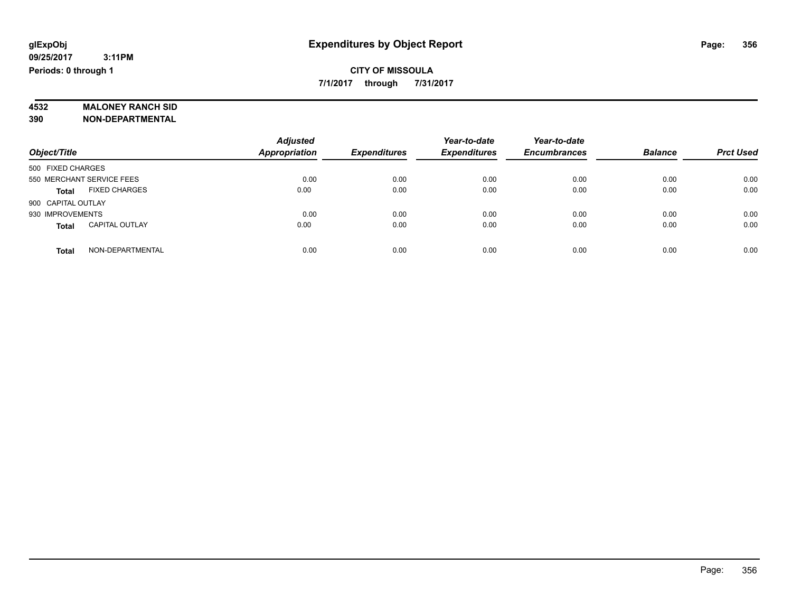### **CITY OF MISSOULA**

**7/1/2017 through 7/31/2017**

# **4532 MALONEY RANCH SID**

**390 NON-DEPARTMENTAL**

| Object/Title                          | <b>Adjusted</b><br>Appropriation | <b>Expenditures</b> | Year-to-date<br><b>Expenditures</b> | Year-to-date<br><b>Encumbrances</b> | <b>Balance</b> | <b>Prct Used</b> |
|---------------------------------------|----------------------------------|---------------------|-------------------------------------|-------------------------------------|----------------|------------------|
| 500 FIXED CHARGES                     |                                  |                     |                                     |                                     |                |                  |
| 550 MERCHANT SERVICE FEES             | 0.00                             | 0.00                | 0.00                                | 0.00                                | 0.00           | 0.00             |
| <b>FIXED CHARGES</b><br><b>Total</b>  | 0.00                             | 0.00                | 0.00                                | 0.00                                | 0.00           | 0.00             |
| 900 CAPITAL OUTLAY                    |                                  |                     |                                     |                                     |                |                  |
| 930 IMPROVEMENTS                      | 0.00                             | 0.00                | 0.00                                | 0.00                                | 0.00           | 0.00             |
| <b>CAPITAL OUTLAY</b><br><b>Total</b> | 0.00                             | 0.00                | 0.00                                | 0.00                                | 0.00           | 0.00             |
| NON-DEPARTMENTAL<br><b>Total</b>      | 0.00                             | 0.00                | 0.00                                | 0.00                                | 0.00           | 0.00             |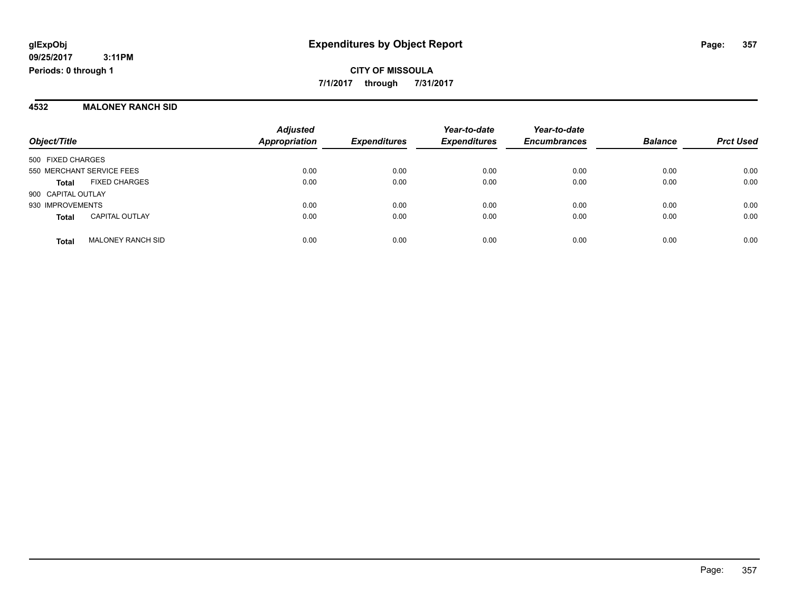**CITY OF MISSOULA 7/1/2017 through 7/31/2017**

#### **4532 MALONEY RANCH SID**

|                           |                          | <b>Adjusted</b><br><b>Appropriation</b> | <b>Expenditures</b> | Year-to-date<br><b>Expenditures</b> | Year-to-date<br><b>Encumbrances</b> | <b>Balance</b> | <b>Prct Used</b> |
|---------------------------|--------------------------|-----------------------------------------|---------------------|-------------------------------------|-------------------------------------|----------------|------------------|
| Object/Title              |                          |                                         |                     |                                     |                                     |                |                  |
| 500 FIXED CHARGES         |                          |                                         |                     |                                     |                                     |                |                  |
| 550 MERCHANT SERVICE FEES |                          | 0.00                                    | 0.00                | 0.00                                | 0.00                                | 0.00           | 0.00             |
| <b>Total</b>              | <b>FIXED CHARGES</b>     | 0.00                                    | 0.00                | 0.00                                | 0.00                                | 0.00           | 0.00             |
| 900 CAPITAL OUTLAY        |                          |                                         |                     |                                     |                                     |                |                  |
| 930 IMPROVEMENTS          |                          | 0.00                                    | 0.00                | 0.00                                | 0.00                                | 0.00           | 0.00             |
| <b>Total</b>              | <b>CAPITAL OUTLAY</b>    | 0.00                                    | 0.00                | 0.00                                | 0.00                                | 0.00           | 0.00             |
| <b>Total</b>              | <b>MALONEY RANCH SID</b> | 0.00                                    | 0.00                | 0.00                                | 0.00                                | 0.00           | 0.00             |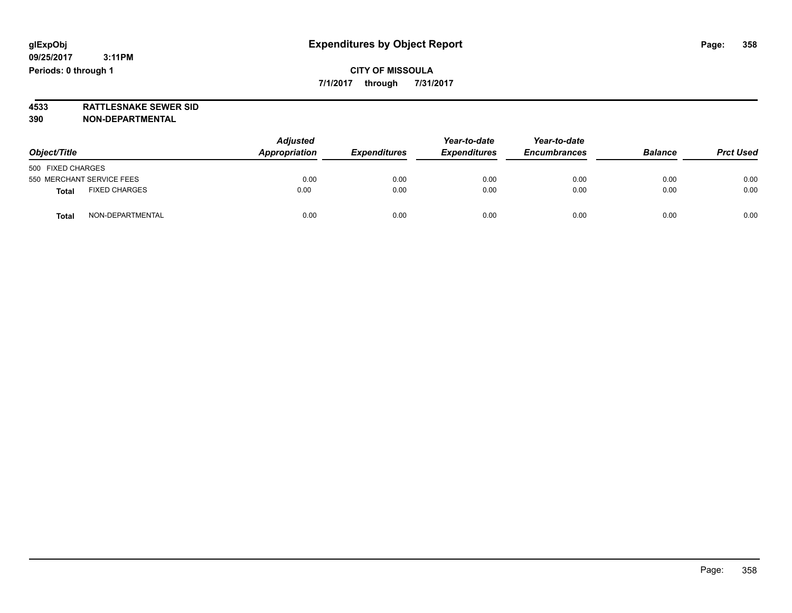### **CITY OF MISSOULA 7/1/2017 through 7/31/2017**

**4533 RATTLESNAKE SEWER SID 390 NON-DEPARTMENTAL**

| Object/Title                         | <b>Adjusted</b><br>Appropriation | <b>Expenditures</b> | Year-to-date<br><b>Expenditures</b> | Year-to-date<br><b>Encumbrances</b> | <b>Balance</b> | <b>Prct Used</b> |
|--------------------------------------|----------------------------------|---------------------|-------------------------------------|-------------------------------------|----------------|------------------|
| 500 FIXED CHARGES                    |                                  |                     |                                     |                                     |                |                  |
| 550 MERCHANT SERVICE FEES            | 0.00                             | 0.00                | 0.00                                | 0.00                                | 0.00           | 0.00             |
| <b>FIXED CHARGES</b><br><b>Total</b> | 0.00                             | 0.00                | 0.00                                | 0.00                                | 0.00           | 0.00             |
| NON-DEPARTMENTAL<br><b>Total</b>     | 0.00                             | 0.00                | 0.00                                | 0.00                                | 0.00           | 0.00             |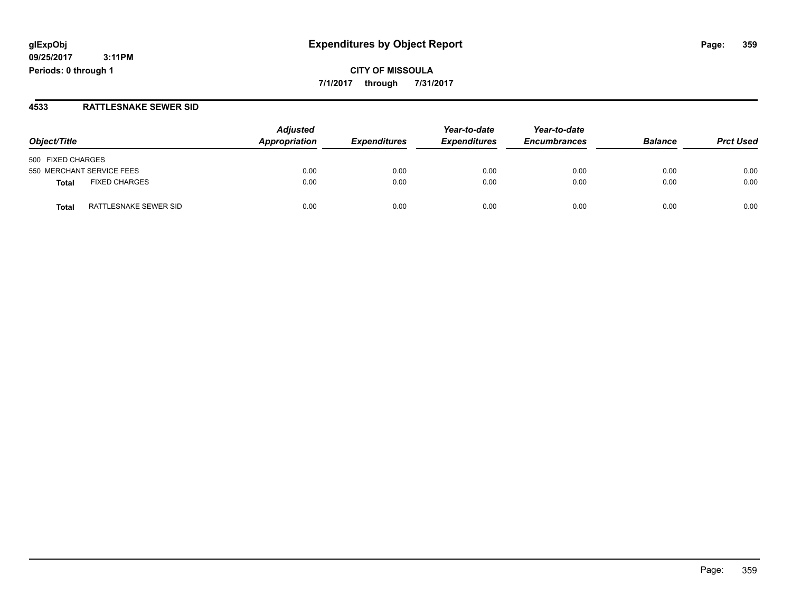**CITY OF MISSOULA 7/1/2017 through 7/31/2017**

#### **4533 RATTLESNAKE SEWER SID**

|                                       | <b>Adjusted</b> |                     | Year-to-date        | Year-to-date        |                |                  |
|---------------------------------------|-----------------|---------------------|---------------------|---------------------|----------------|------------------|
| Object/Title                          | Appropriation   | <b>Expenditures</b> | <b>Expenditures</b> | <b>Encumbrances</b> | <b>Balance</b> | <b>Prct Used</b> |
| 500 FIXED CHARGES                     |                 |                     |                     |                     |                |                  |
| 550 MERCHANT SERVICE FEES             | 0.00            | 0.00                | 0.00                | 0.00                | 0.00           | 0.00             |
| <b>FIXED CHARGES</b><br><b>Total</b>  | 0.00            | 0.00                | 0.00                | 0.00                | 0.00           | 0.00             |
| RATTLESNAKE SEWER SID<br><b>Total</b> | 0.00            | 0.00                | 0.00                | 0.00                | 0.00           | 0.00             |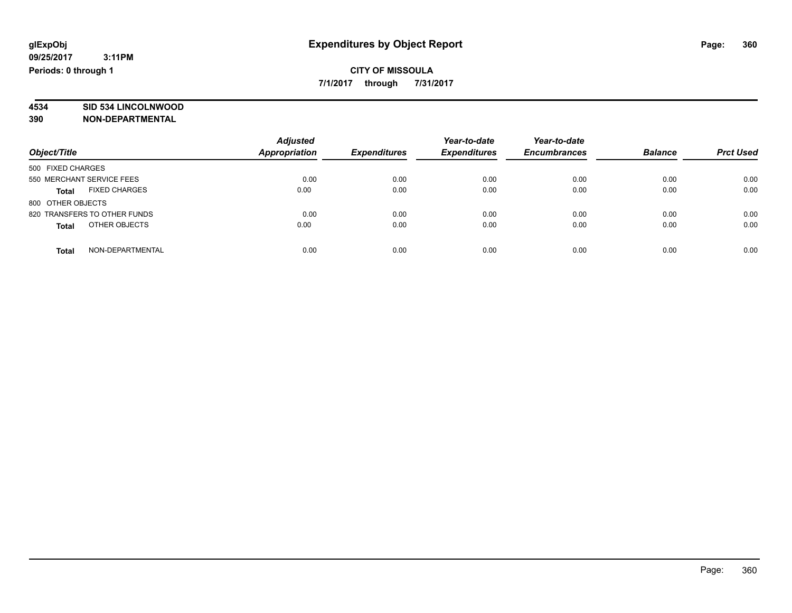### **CITY OF MISSOULA**

**7/1/2017 through 7/31/2017**

# **4534 SID 534 LINCOLNWOOD**

**390 NON-DEPARTMENTAL**

| Object/Title                         | <b>Adjusted</b><br><b>Appropriation</b> | <b>Expenditures</b> | Year-to-date<br><b>Expenditures</b> | Year-to-date<br><b>Encumbrances</b> | <b>Balance</b> | <b>Prct Used</b> |
|--------------------------------------|-----------------------------------------|---------------------|-------------------------------------|-------------------------------------|----------------|------------------|
| 500 FIXED CHARGES                    |                                         |                     |                                     |                                     |                |                  |
| 550 MERCHANT SERVICE FEES            | 0.00                                    | 0.00                | 0.00                                | 0.00                                | 0.00           | 0.00             |
| <b>FIXED CHARGES</b><br><b>Total</b> | 0.00                                    | 0.00                | 0.00                                | 0.00                                | 0.00           | 0.00             |
| 800 OTHER OBJECTS                    |                                         |                     |                                     |                                     |                |                  |
| 820 TRANSFERS TO OTHER FUNDS         | 0.00                                    | 0.00                | 0.00                                | 0.00                                | 0.00           | 0.00             |
| OTHER OBJECTS<br><b>Total</b>        | 0.00                                    | 0.00                | 0.00                                | 0.00                                | 0.00           | 0.00             |
| NON-DEPARTMENTAL<br><b>Total</b>     | 0.00                                    | 0.00                | 0.00                                | 0.00                                | 0.00           | 0.00             |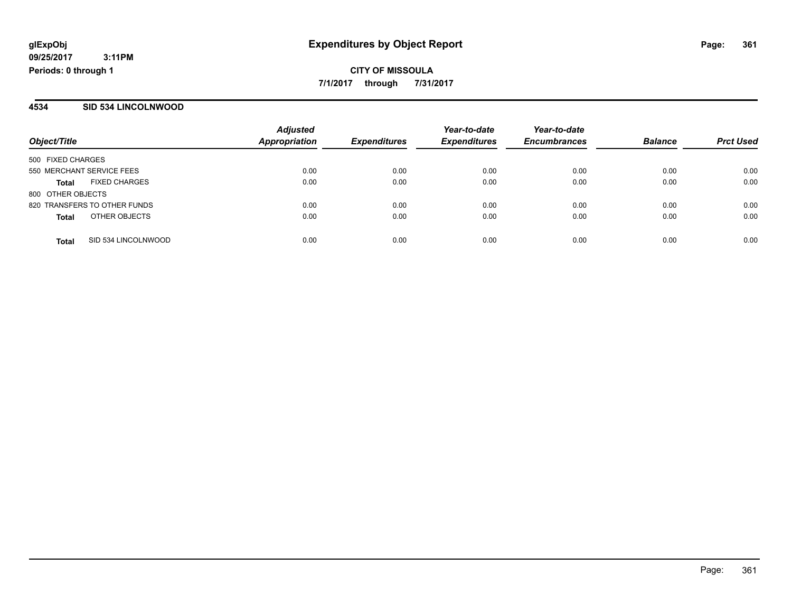**CITY OF MISSOULA 7/1/2017 through 7/31/2017**

#### **4534 SID 534 LINCOLNWOOD**

| Object/Title                 |                      | <b>Adjusted</b>      |                     | Year-to-date        | Year-to-date        |                |                  |
|------------------------------|----------------------|----------------------|---------------------|---------------------|---------------------|----------------|------------------|
|                              |                      | <b>Appropriation</b> | <b>Expenditures</b> | <b>Expenditures</b> | <b>Encumbrances</b> | <b>Balance</b> | <b>Prct Used</b> |
| 500 FIXED CHARGES            |                      |                      |                     |                     |                     |                |                  |
| 550 MERCHANT SERVICE FEES    |                      | 0.00                 | 0.00                | 0.00                | 0.00                | 0.00           | 0.00             |
| Total                        | <b>FIXED CHARGES</b> | 0.00                 | 0.00                | 0.00                | 0.00                | 0.00           | 0.00             |
| 800 OTHER OBJECTS            |                      |                      |                     |                     |                     |                |                  |
| 820 TRANSFERS TO OTHER FUNDS |                      | 0.00                 | 0.00                | 0.00                | 0.00                | 0.00           | 0.00             |
| <b>Total</b>                 | OTHER OBJECTS        | 0.00                 | 0.00                | 0.00                | 0.00                | 0.00           | 0.00             |
| <b>Total</b>                 | SID 534 LINCOLNWOOD  | 0.00                 | 0.00                | 0.00                | 0.00                | 0.00           | 0.00             |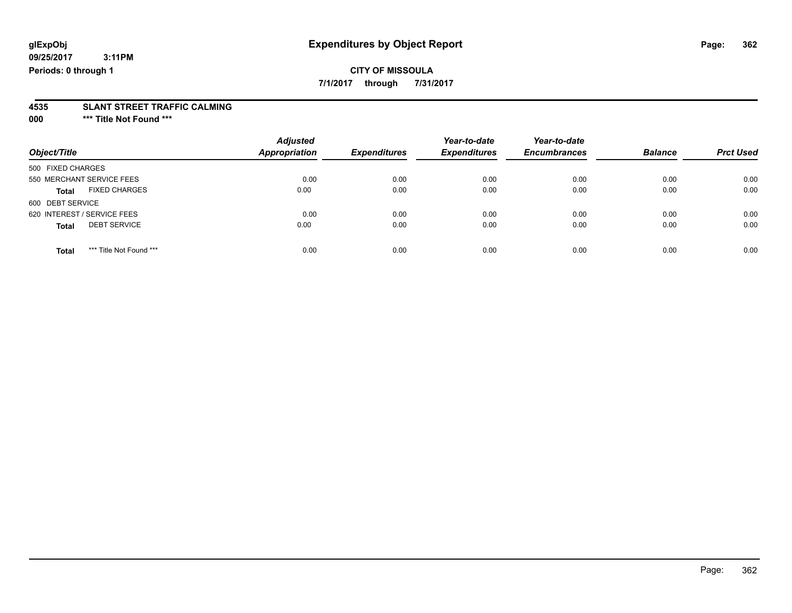## **CITY OF MISSOULA**

**7/1/2017 through 7/31/2017**

# **4535 SLANT STREET TRAFFIC CALMING**

**000 \*\*\* Title Not Found \*\*\***

| Object/Title                            | <b>Adjusted</b><br>Appropriation | <b>Expenditures</b> | Year-to-date<br><b>Expenditures</b> | Year-to-date<br><b>Encumbrances</b> | <b>Balance</b> | <b>Prct Used</b> |
|-----------------------------------------|----------------------------------|---------------------|-------------------------------------|-------------------------------------|----------------|------------------|
| 500 FIXED CHARGES                       |                                  |                     |                                     |                                     |                |                  |
| 550 MERCHANT SERVICE FEES               | 0.00                             | 0.00                | 0.00                                | 0.00                                | 0.00           | 0.00             |
| <b>FIXED CHARGES</b><br><b>Total</b>    | 0.00                             | 0.00                | 0.00                                | 0.00                                | 0.00           | 0.00             |
| 600 DEBT SERVICE                        |                                  |                     |                                     |                                     |                |                  |
| 620 INTEREST / SERVICE FEES             | 0.00                             | 0.00                | 0.00                                | 0.00                                | 0.00           | 0.00             |
| <b>DEBT SERVICE</b><br><b>Total</b>     | 0.00                             | 0.00                | 0.00                                | 0.00                                | 0.00           | 0.00             |
| *** Title Not Found ***<br><b>Total</b> | 0.00                             | 0.00                | 0.00                                | 0.00                                | 0.00           | 0.00             |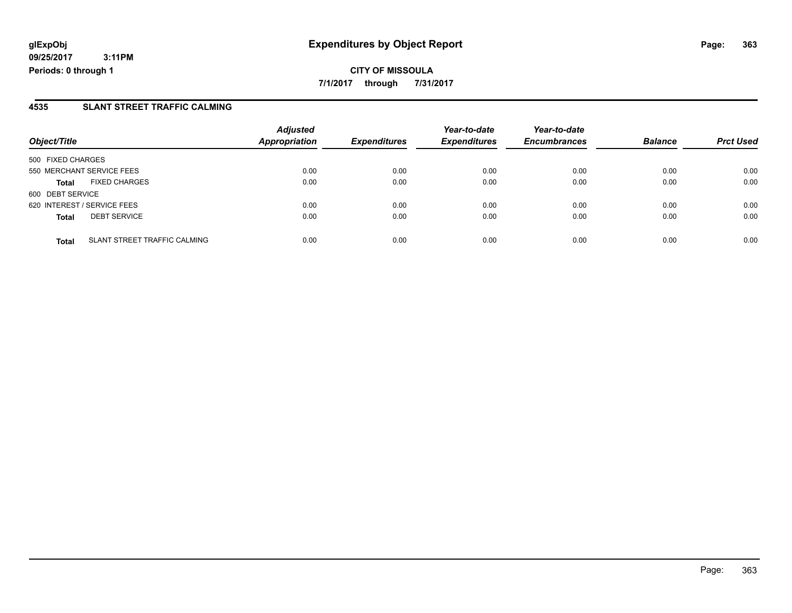**CITY OF MISSOULA 7/1/2017 through 7/31/2017**

#### **4535 SLANT STREET TRAFFIC CALMING**

|                                              | <b>Adjusted</b>      |                     | Year-to-date        | Year-to-date        |                |                  |
|----------------------------------------------|----------------------|---------------------|---------------------|---------------------|----------------|------------------|
| Object/Title                                 | <b>Appropriation</b> | <b>Expenditures</b> | <b>Expenditures</b> | <b>Encumbrances</b> | <b>Balance</b> | <b>Prct Used</b> |
| 500 FIXED CHARGES                            |                      |                     |                     |                     |                |                  |
| 550 MERCHANT SERVICE FEES                    | 0.00                 | 0.00                | 0.00                | 0.00                | 0.00           | 0.00             |
| <b>FIXED CHARGES</b><br><b>Total</b>         | 0.00                 | 0.00                | 0.00                | 0.00                | 0.00           | 0.00             |
| 600 DEBT SERVICE                             |                      |                     |                     |                     |                |                  |
| 620 INTEREST / SERVICE FEES                  | 0.00                 | 0.00                | 0.00                | 0.00                | 0.00           | 0.00             |
| <b>DEBT SERVICE</b><br><b>Total</b>          | 0.00                 | 0.00                | 0.00                | 0.00                | 0.00           | 0.00             |
| SLANT STREET TRAFFIC CALMING<br><b>Total</b> | 0.00                 | 0.00                | 0.00                | 0.00                | 0.00           | 0.00             |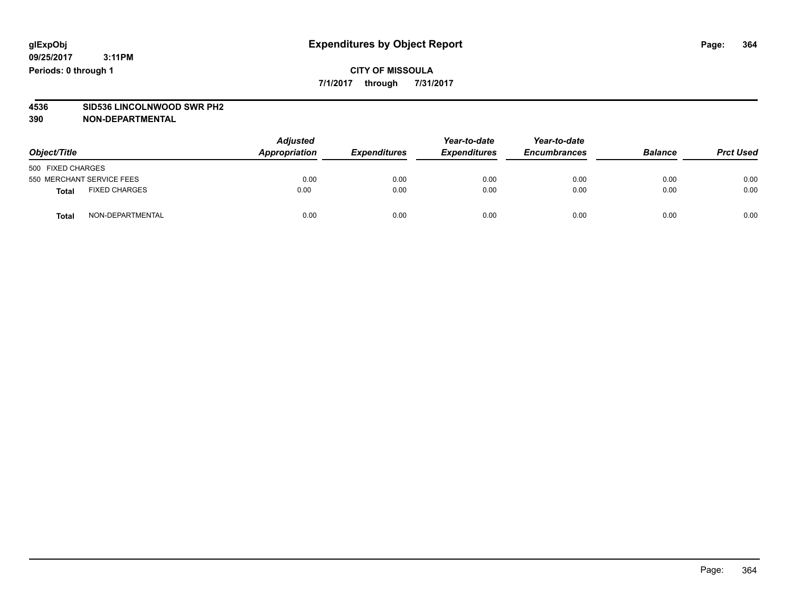### **CITY OF MISSOULA 7/1/2017 through 7/31/2017**

# **4536 SID536 LINCOLNWOOD SWR PH2**

| Object/Title              |                      | <b>Adjusted</b><br>Appropriation | <b>Expenditures</b> | Year-to-date<br><b>Expenditures</b> | Year-to-date<br><b>Encumbrances</b> | <b>Balance</b> | <b>Prct Used</b> |
|---------------------------|----------------------|----------------------------------|---------------------|-------------------------------------|-------------------------------------|----------------|------------------|
| 500 FIXED CHARGES         |                      |                                  |                     |                                     |                                     |                |                  |
| 550 MERCHANT SERVICE FEES |                      | 0.00                             | 0.00                | 0.00                                | 0.00                                | 0.00           | 0.00             |
| Total                     | <b>FIXED CHARGES</b> | 0.00                             | 0.00                | 0.00                                | 0.00                                | 0.00           | 0.00             |
| <b>Total</b>              | NON-DEPARTMENTAL     | 0.00                             | 0.00                | 0.00                                | 0.00                                | 0.00           | 0.00             |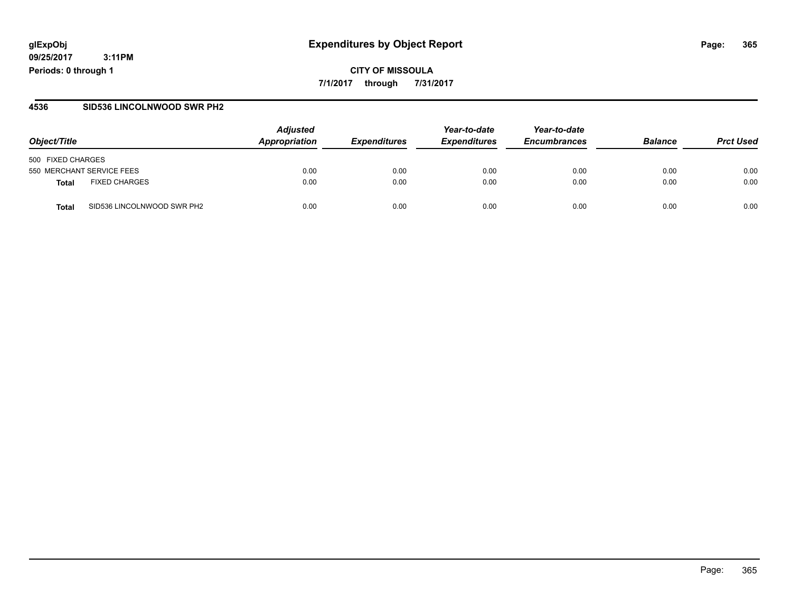**CITY OF MISSOULA 7/1/2017 through 7/31/2017**

#### **4536 SID536 LINCOLNWOOD SWR PH2**

|                                            | <b>Adjusted</b><br>Appropriation<br><b>Expenditures</b> | Year-to-date | Year-to-date        |                     |                |                  |
|--------------------------------------------|---------------------------------------------------------|--------------|---------------------|---------------------|----------------|------------------|
| Object/Title                               |                                                         |              | <b>Expenditures</b> | <b>Encumbrances</b> | <b>Balance</b> | <b>Prct Used</b> |
| 500 FIXED CHARGES                          |                                                         |              |                     |                     |                |                  |
| 550 MERCHANT SERVICE FEES                  | 0.00                                                    | 0.00         | 0.00                | 0.00                | 0.00           | 0.00             |
| <b>FIXED CHARGES</b><br>Total              | 0.00                                                    | 0.00         | 0.00                | 0.00                | 0.00           | 0.00             |
| SID536 LINCOLNWOOD SWR PH2<br><b>Total</b> | 0.00                                                    | 0.00         | 0.00                | 0.00                | 0.00           | 0.00             |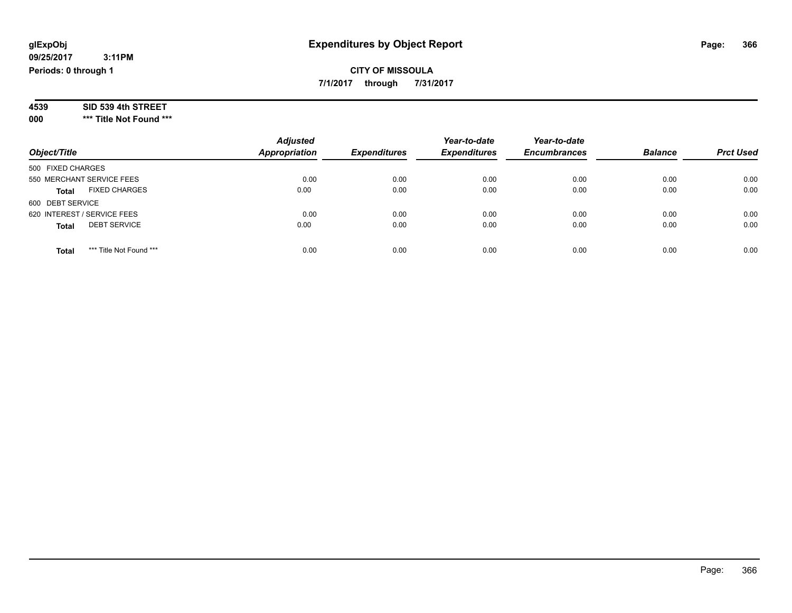**7/1/2017 through 7/31/2017**

| SID 539 4th STREET<br>4539 |
|----------------------------|
|----------------------------|

**000 \*\*\* Title Not Found \*\*\***

| Object/Title                            | <b>Adjusted</b><br>Appropriation | <b>Expenditures</b> | Year-to-date<br><b>Expenditures</b> | Year-to-date<br><b>Encumbrances</b> | <b>Balance</b> | <b>Prct Used</b> |
|-----------------------------------------|----------------------------------|---------------------|-------------------------------------|-------------------------------------|----------------|------------------|
| 500 FIXED CHARGES                       |                                  |                     |                                     |                                     |                |                  |
| 550 MERCHANT SERVICE FEES               | 0.00                             | 0.00                | 0.00                                | 0.00                                | 0.00           | 0.00             |
| <b>FIXED CHARGES</b><br><b>Total</b>    | 0.00                             | 0.00                | 0.00                                | 0.00                                | 0.00           | 0.00             |
| 600 DEBT SERVICE                        |                                  |                     |                                     |                                     |                |                  |
| 620 INTEREST / SERVICE FEES             | 0.00                             | 0.00                | 0.00                                | 0.00                                | 0.00           | 0.00             |
| <b>DEBT SERVICE</b><br><b>Total</b>     | 0.00                             | 0.00                | 0.00                                | 0.00                                | 0.00           | 0.00             |
|                                         |                                  |                     |                                     |                                     |                |                  |
| *** Title Not Found ***<br><b>Total</b> | 0.00                             | 0.00                | 0.00                                | 0.00                                | 0.00           | 0.00             |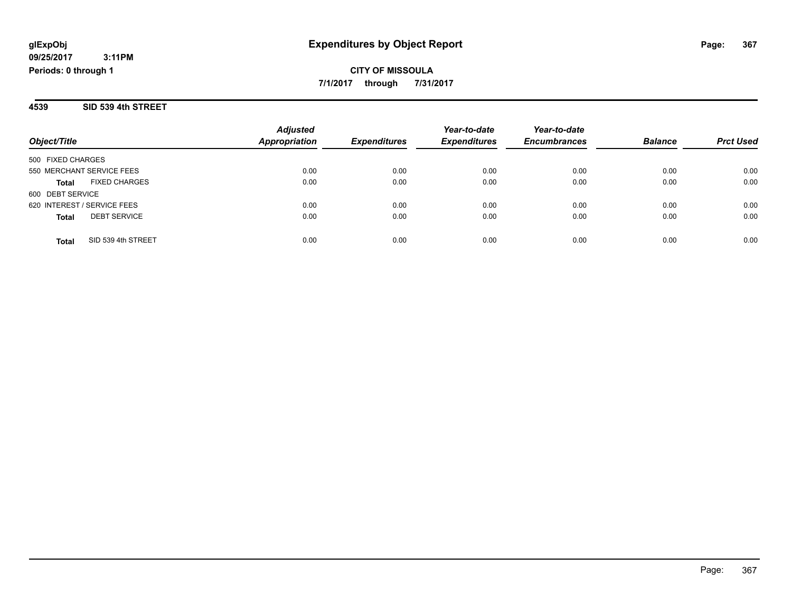**CITY OF MISSOULA 7/1/2017 through 7/31/2017**

**4539 SID 539 4th STREET**

| Object/Title                         | <b>Adjusted</b><br>Appropriation | <b>Expenditures</b> | Year-to-date<br><b>Expenditures</b> | Year-to-date<br><b>Encumbrances</b> | <b>Balance</b> | <b>Prct Used</b> |
|--------------------------------------|----------------------------------|---------------------|-------------------------------------|-------------------------------------|----------------|------------------|
|                                      |                                  |                     |                                     |                                     |                |                  |
| 500 FIXED CHARGES                    |                                  |                     |                                     |                                     |                |                  |
| 550 MERCHANT SERVICE FEES            | 0.00                             | 0.00                | 0.00                                | 0.00                                | 0.00           | 0.00             |
| <b>FIXED CHARGES</b><br><b>Total</b> | 0.00                             | 0.00                | 0.00                                | 0.00                                | 0.00           | 0.00             |
| 600 DEBT SERVICE                     |                                  |                     |                                     |                                     |                |                  |
| 620 INTEREST / SERVICE FEES          | 0.00                             | 0.00                | 0.00                                | 0.00                                | 0.00           | 0.00             |
| <b>DEBT SERVICE</b><br><b>Total</b>  | 0.00                             | 0.00                | 0.00                                | 0.00                                | 0.00           | 0.00             |
|                                      |                                  |                     |                                     |                                     |                |                  |
| SID 539 4th STREET<br>Total          | 0.00                             | 0.00                | 0.00                                | 0.00                                | 0.00           | 0.00             |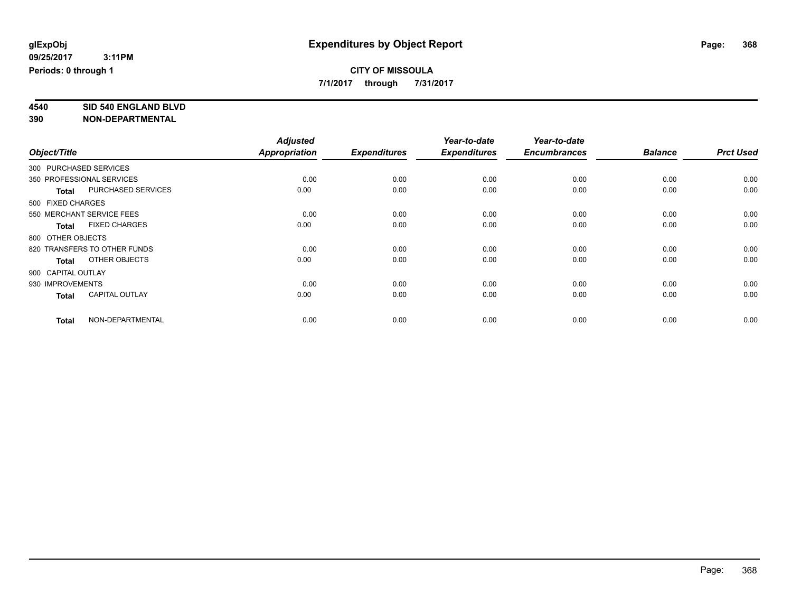**7/1/2017 through 7/31/2017**

# **4540 SID 540 ENGLAND BLVD**

|              |                                       | <b>Adjusted</b>      |                     | Year-to-date        | Year-to-date        |                |                  |
|--------------|---------------------------------------|----------------------|---------------------|---------------------|---------------------|----------------|------------------|
| Object/Title |                                       | <b>Appropriation</b> | <b>Expenditures</b> | <b>Expenditures</b> | <b>Encumbrances</b> | <b>Balance</b> | <b>Prct Used</b> |
|              | 300 PURCHASED SERVICES                |                      |                     |                     |                     |                |                  |
|              | 350 PROFESSIONAL SERVICES             | 0.00                 | 0.00                | 0.00                | 0.00                | 0.00           | 0.00             |
|              | PURCHASED SERVICES<br><b>Total</b>    | 0.00                 | 0.00                | 0.00                | 0.00                | 0.00           | 0.00             |
|              | 500 FIXED CHARGES                     |                      |                     |                     |                     |                |                  |
|              | 550 MERCHANT SERVICE FEES             | 0.00                 | 0.00                | 0.00                | 0.00                | 0.00           | 0.00             |
|              | <b>FIXED CHARGES</b><br><b>Total</b>  | 0.00                 | 0.00                | 0.00                | 0.00                | 0.00           | 0.00             |
|              | 800 OTHER OBJECTS                     |                      |                     |                     |                     |                |                  |
|              | 820 TRANSFERS TO OTHER FUNDS          | 0.00                 | 0.00                | 0.00                | 0.00                | 0.00           | 0.00             |
|              | OTHER OBJECTS<br><b>Total</b>         | 0.00                 | 0.00                | 0.00                | 0.00                | 0.00           | 0.00             |
|              | 900 CAPITAL OUTLAY                    |                      |                     |                     |                     |                |                  |
|              | 930 IMPROVEMENTS                      | 0.00                 | 0.00                | 0.00                | 0.00                | 0.00           | 0.00             |
|              | <b>CAPITAL OUTLAY</b><br><b>Total</b> | 0.00                 | 0.00                | 0.00                | 0.00                | 0.00           | 0.00             |
|              | NON-DEPARTMENTAL<br><b>Total</b>      | 0.00                 | 0.00                | 0.00                | 0.00                | 0.00           | 0.00             |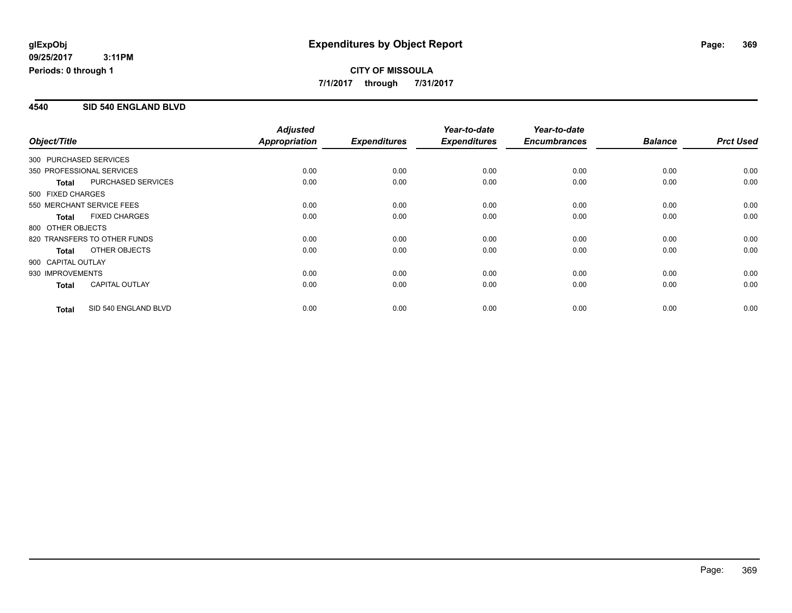**CITY OF MISSOULA 7/1/2017 through 7/31/2017**

#### **4540 SID 540 ENGLAND BLVD**

|                        |                              | <b>Adjusted</b> |                     | Year-to-date        | Year-to-date        |                |                  |
|------------------------|------------------------------|-----------------|---------------------|---------------------|---------------------|----------------|------------------|
| Object/Title           |                              | Appropriation   | <b>Expenditures</b> | <b>Expenditures</b> | <b>Encumbrances</b> | <b>Balance</b> | <b>Prct Used</b> |
| 300 PURCHASED SERVICES |                              |                 |                     |                     |                     |                |                  |
|                        | 350 PROFESSIONAL SERVICES    | 0.00            | 0.00                | 0.00                | 0.00                | 0.00           | 0.00             |
| <b>Total</b>           | PURCHASED SERVICES           | 0.00            | 0.00                | 0.00                | 0.00                | 0.00           | 0.00             |
| 500 FIXED CHARGES      |                              |                 |                     |                     |                     |                |                  |
|                        | 550 MERCHANT SERVICE FEES    | 0.00            | 0.00                | 0.00                | 0.00                | 0.00           | 0.00             |
| <b>Total</b>           | <b>FIXED CHARGES</b>         | 0.00            | 0.00                | 0.00                | 0.00                | 0.00           | 0.00             |
| 800 OTHER OBJECTS      |                              |                 |                     |                     |                     |                |                  |
|                        | 820 TRANSFERS TO OTHER FUNDS | 0.00            | 0.00                | 0.00                | 0.00                | 0.00           | 0.00             |
| <b>Total</b>           | OTHER OBJECTS                | 0.00            | 0.00                | 0.00                | 0.00                | 0.00           | 0.00             |
| 900 CAPITAL OUTLAY     |                              |                 |                     |                     |                     |                |                  |
| 930 IMPROVEMENTS       |                              | 0.00            | 0.00                | 0.00                | 0.00                | 0.00           | 0.00             |
| <b>Total</b>           | <b>CAPITAL OUTLAY</b>        | 0.00            | 0.00                | 0.00                | 0.00                | 0.00           | 0.00             |
| <b>Total</b>           | SID 540 ENGLAND BLVD         | 0.00            | 0.00                | 0.00                | 0.00                | 0.00           | 0.00             |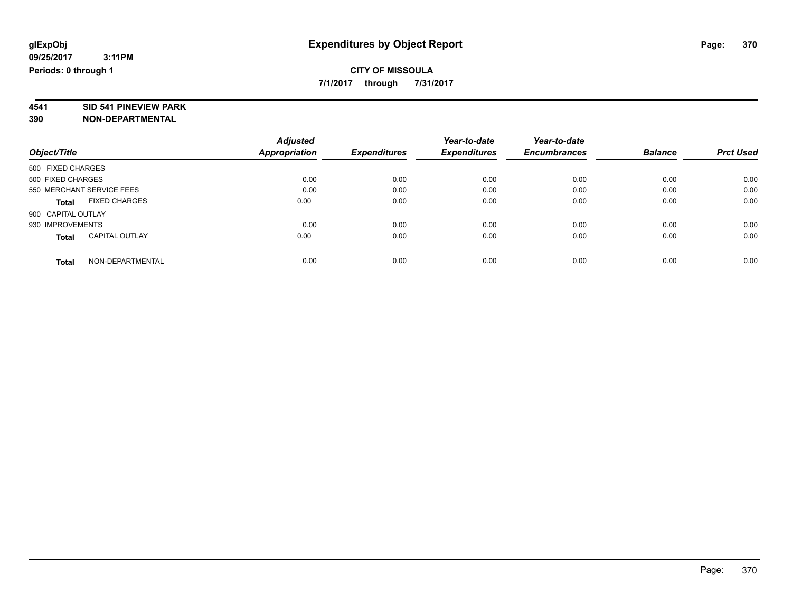**7/1/2017 through 7/31/2017**

# **4541 SID 541 PINEVIEW PARK**

| Object/Title              |                       | <b>Adjusted</b><br><b>Appropriation</b> | <b>Expenditures</b> | Year-to-date<br><b>Expenditures</b> | Year-to-date<br><b>Encumbrances</b> | <b>Balance</b> | <b>Prct Used</b> |
|---------------------------|-----------------------|-----------------------------------------|---------------------|-------------------------------------|-------------------------------------|----------------|------------------|
| 500 FIXED CHARGES         |                       |                                         |                     |                                     |                                     |                |                  |
| 500 FIXED CHARGES         |                       | 0.00                                    | 0.00                | 0.00                                | 0.00                                | 0.00           | 0.00             |
| 550 MERCHANT SERVICE FEES |                       | 0.00                                    | 0.00                | 0.00                                | 0.00                                | 0.00           | 0.00             |
| <b>Total</b>              | <b>FIXED CHARGES</b>  | 0.00                                    | 0.00                | 0.00                                | 0.00                                | 0.00           | 0.00             |
| 900 CAPITAL OUTLAY        |                       |                                         |                     |                                     |                                     |                |                  |
| 930 IMPROVEMENTS          |                       | 0.00                                    | 0.00                | 0.00                                | 0.00                                | 0.00           | 0.00             |
| <b>Total</b>              | <b>CAPITAL OUTLAY</b> | 0.00                                    | 0.00                | 0.00                                | 0.00                                | 0.00           | 0.00             |
| <b>Total</b>              | NON-DEPARTMENTAL      | 0.00                                    | 0.00                | 0.00                                | 0.00                                | 0.00           | 0.00             |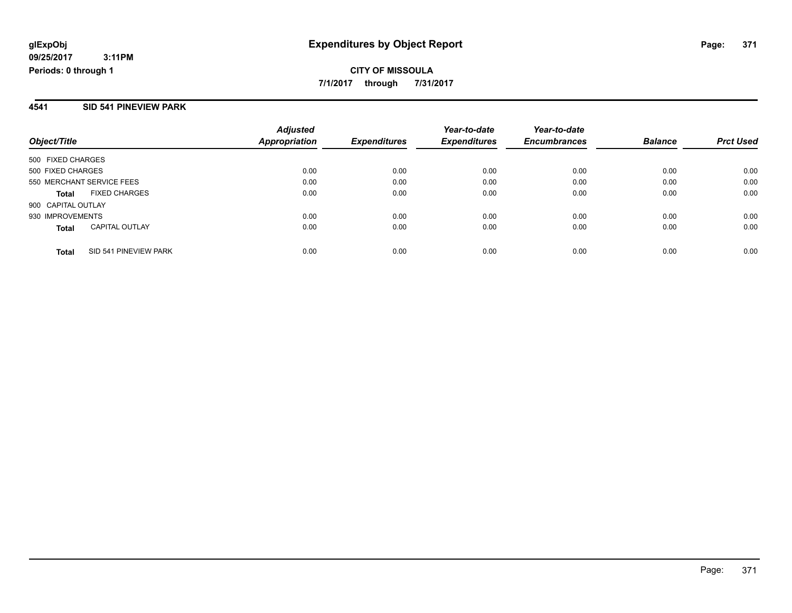**CITY OF MISSOULA 7/1/2017 through 7/31/2017**

#### **4541 SID 541 PINEVIEW PARK**

| Object/Title                          | <b>Adjusted</b><br><b>Appropriation</b> | <b>Expenditures</b> | Year-to-date<br><b>Expenditures</b> | Year-to-date<br><b>Encumbrances</b> | <b>Balance</b> | <b>Prct Used</b> |
|---------------------------------------|-----------------------------------------|---------------------|-------------------------------------|-------------------------------------|----------------|------------------|
| 500 FIXED CHARGES                     |                                         |                     |                                     |                                     |                |                  |
| 500 FIXED CHARGES                     | 0.00                                    | 0.00                | 0.00                                | 0.00                                | 0.00           | 0.00             |
| 550 MERCHANT SERVICE FEES             | 0.00                                    | 0.00                | 0.00                                | 0.00                                | 0.00           | 0.00             |
| <b>FIXED CHARGES</b><br><b>Total</b>  | 0.00                                    | 0.00                | 0.00                                | 0.00                                | 0.00           | 0.00             |
| 900 CAPITAL OUTLAY                    |                                         |                     |                                     |                                     |                |                  |
| 930 IMPROVEMENTS                      | 0.00                                    | 0.00                | 0.00                                | 0.00                                | 0.00           | 0.00             |
| <b>CAPITAL OUTLAY</b><br><b>Total</b> | 0.00                                    | 0.00                | 0.00                                | 0.00                                | 0.00           | 0.00             |
| SID 541 PINEVIEW PARK<br><b>Total</b> | 0.00                                    | 0.00                | 0.00                                | 0.00                                | 0.00           | 0.00             |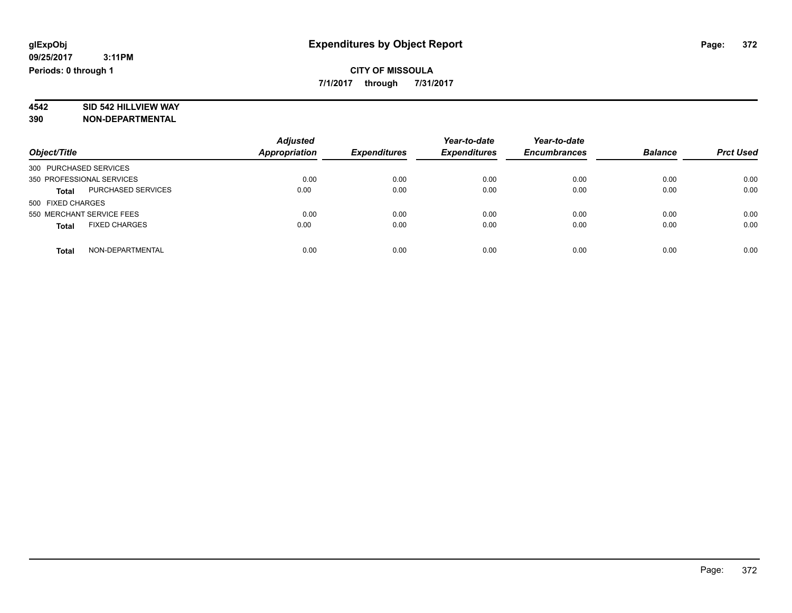**7/1/2017 through 7/31/2017**

# **4542 SID 542 HILLVIEW WAY**

| Object/Title                         | <b>Adjusted</b><br><b>Appropriation</b> | <b>Expenditures</b> | Year-to-date<br><b>Expenditures</b> | Year-to-date<br><b>Encumbrances</b> | <b>Balance</b> | <b>Prct Used</b> |
|--------------------------------------|-----------------------------------------|---------------------|-------------------------------------|-------------------------------------|----------------|------------------|
| 300 PURCHASED SERVICES               |                                         |                     |                                     |                                     |                |                  |
| 350 PROFESSIONAL SERVICES            | 0.00                                    | 0.00                | 0.00                                | 0.00                                | 0.00           | 0.00             |
| PURCHASED SERVICES<br><b>Total</b>   | 0.00                                    | 0.00                | 0.00                                | 0.00                                | 0.00           | 0.00             |
| 500 FIXED CHARGES                    |                                         |                     |                                     |                                     |                |                  |
| 550 MERCHANT SERVICE FEES            | 0.00                                    | 0.00                | 0.00                                | 0.00                                | 0.00           | 0.00             |
| <b>FIXED CHARGES</b><br><b>Total</b> | 0.00                                    | 0.00                | 0.00                                | 0.00                                | 0.00           | 0.00             |
| NON-DEPARTMENTAL<br><b>Total</b>     | 0.00                                    | 0.00                | 0.00                                | 0.00                                | 0.00           | 0.00             |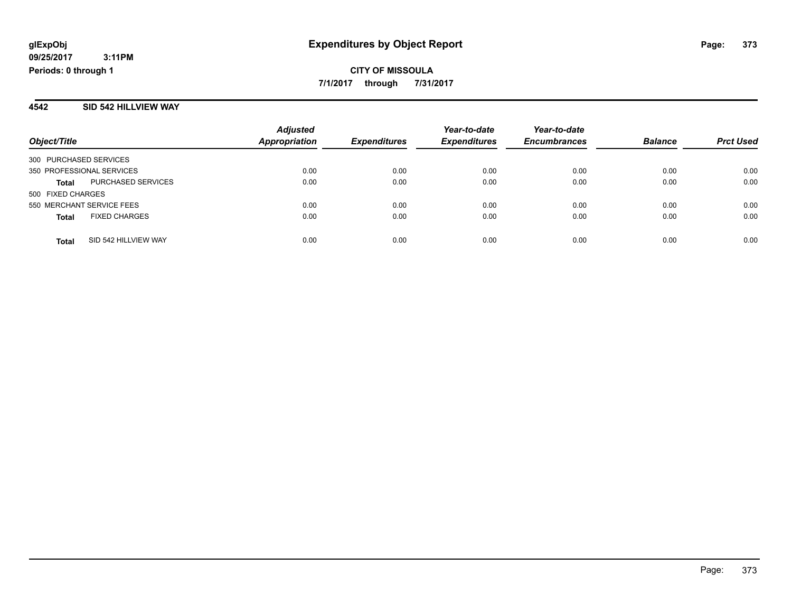**CITY OF MISSOULA 7/1/2017 through 7/31/2017**

#### **4542 SID 542 HILLVIEW WAY**

|                           |                      | <b>Adjusted</b> |                     | Year-to-date        | Year-to-date        |                |                  |
|---------------------------|----------------------|-----------------|---------------------|---------------------|---------------------|----------------|------------------|
| Object/Title              |                      | Appropriation   | <b>Expenditures</b> | <b>Expenditures</b> | <b>Encumbrances</b> | <b>Balance</b> | <b>Prct Used</b> |
| 300 PURCHASED SERVICES    |                      |                 |                     |                     |                     |                |                  |
| 350 PROFESSIONAL SERVICES |                      | 0.00            | 0.00                | 0.00                | 0.00                | 0.00           | 0.00             |
| <b>Total</b>              | PURCHASED SERVICES   | 0.00            | 0.00                | 0.00                | 0.00                | 0.00           | 0.00             |
| 500 FIXED CHARGES         |                      |                 |                     |                     |                     |                |                  |
| 550 MERCHANT SERVICE FEES |                      | 0.00            | 0.00                | 0.00                | 0.00                | 0.00           | 0.00             |
| <b>Total</b>              | <b>FIXED CHARGES</b> | 0.00            | 0.00                | 0.00                | 0.00                | 0.00           | 0.00             |
| <b>Total</b>              | SID 542 HILLVIEW WAY | 0.00            | 0.00                | 0.00                | 0.00                | 0.00           | 0.00             |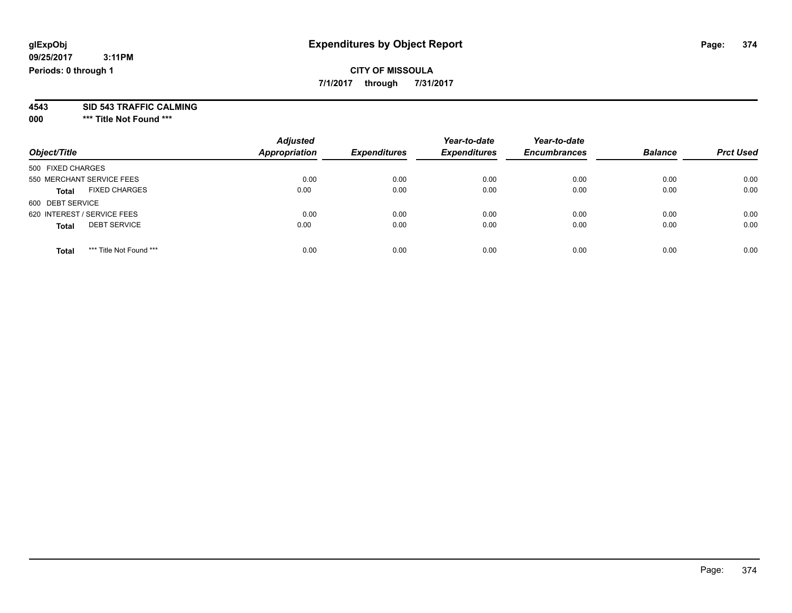**7/1/2017 through 7/31/2017**

# **4543 SID 543 TRAFFIC CALMING**

**000 \*\*\* Title Not Found \*\*\***

| Object/Title                            | <b>Adjusted</b><br><b>Appropriation</b> | <b>Expenditures</b> | Year-to-date<br><b>Expenditures</b> | Year-to-date<br><b>Encumbrances</b> | <b>Balance</b> | <b>Prct Used</b> |
|-----------------------------------------|-----------------------------------------|---------------------|-------------------------------------|-------------------------------------|----------------|------------------|
| 500 FIXED CHARGES                       |                                         |                     |                                     |                                     |                |                  |
| 550 MERCHANT SERVICE FEES               | 0.00                                    | 0.00                | 0.00                                | 0.00                                | 0.00           | 0.00             |
| <b>FIXED CHARGES</b><br><b>Total</b>    | 0.00                                    | 0.00                | 0.00                                | 0.00                                | 0.00           | 0.00             |
| 600 DEBT SERVICE                        |                                         |                     |                                     |                                     |                |                  |
| 620 INTEREST / SERVICE FEES             | 0.00                                    | 0.00                | 0.00                                | 0.00                                | 0.00           | 0.00             |
| <b>DEBT SERVICE</b><br><b>Total</b>     | 0.00                                    | 0.00                | 0.00                                | 0.00                                | 0.00           | 0.00             |
| *** Title Not Found ***<br><b>Total</b> | 0.00                                    | 0.00                | 0.00                                | 0.00                                | 0.00           | 0.00             |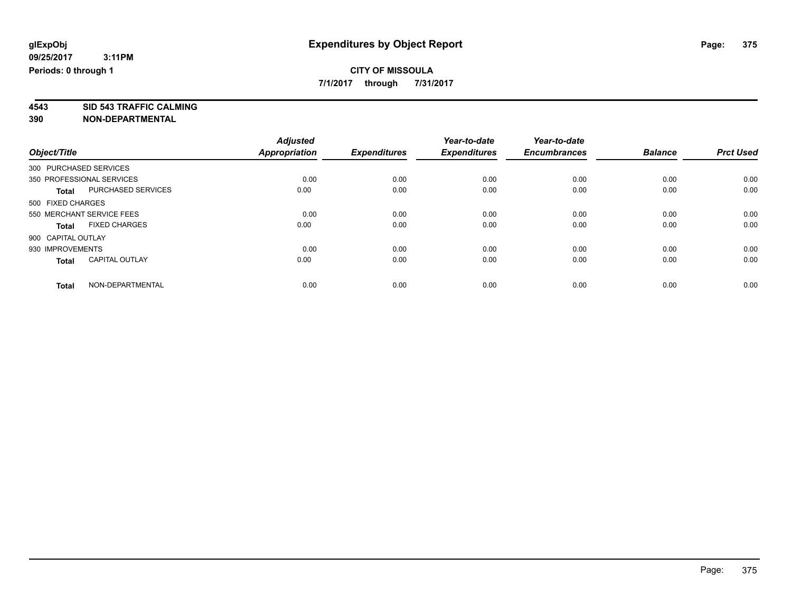**7/1/2017 through 7/31/2017**

**4543 SID 543 TRAFFIC CALMING 390 NON-DEPARTMENTAL**

|                        |                           | <b>Adjusted</b>      |                     | Year-to-date        | Year-to-date        |                |                  |
|------------------------|---------------------------|----------------------|---------------------|---------------------|---------------------|----------------|------------------|
| Object/Title           |                           | <b>Appropriation</b> | <b>Expenditures</b> | <b>Expenditures</b> | <b>Encumbrances</b> | <b>Balance</b> | <b>Prct Used</b> |
| 300 PURCHASED SERVICES |                           |                      |                     |                     |                     |                |                  |
|                        | 350 PROFESSIONAL SERVICES | 0.00                 | 0.00                | 0.00                | 0.00                | 0.00           | 0.00             |
| <b>Total</b>           | <b>PURCHASED SERVICES</b> | 0.00                 | 0.00                | 0.00                | 0.00                | 0.00           | 0.00             |
| 500 FIXED CHARGES      |                           |                      |                     |                     |                     |                |                  |
|                        | 550 MERCHANT SERVICE FEES | 0.00                 | 0.00                | 0.00                | 0.00                | 0.00           | 0.00             |
| <b>Total</b>           | <b>FIXED CHARGES</b>      | 0.00                 | 0.00                | 0.00                | 0.00                | 0.00           | 0.00             |
| 900 CAPITAL OUTLAY     |                           |                      |                     |                     |                     |                |                  |
| 930 IMPROVEMENTS       |                           | 0.00                 | 0.00                | 0.00                | 0.00                | 0.00           | 0.00             |
| <b>Total</b>           | <b>CAPITAL OUTLAY</b>     | 0.00                 | 0.00                | 0.00                | 0.00                | 0.00           | 0.00             |
| <b>Total</b>           | NON-DEPARTMENTAL          | 0.00                 | 0.00                | 0.00                | 0.00                | 0.00           | 0.00             |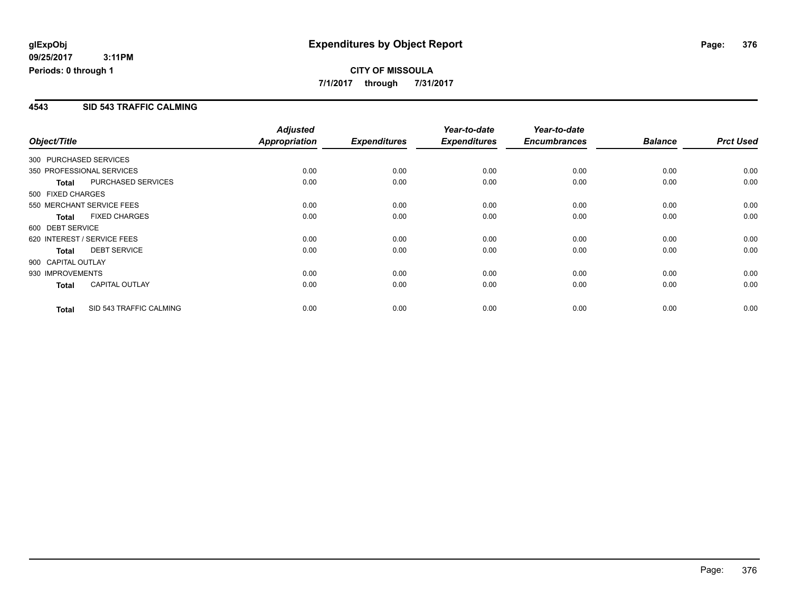### **CITY OF MISSOULA 7/1/2017 through 7/31/2017**

### **4543 SID 543 TRAFFIC CALMING**

|                        |                             | <b>Adjusted</b> |                     | Year-to-date        | Year-to-date        |                |                  |
|------------------------|-----------------------------|-----------------|---------------------|---------------------|---------------------|----------------|------------------|
| Object/Title           |                             | Appropriation   | <b>Expenditures</b> | <b>Expenditures</b> | <b>Encumbrances</b> | <b>Balance</b> | <b>Prct Used</b> |
| 300 PURCHASED SERVICES |                             |                 |                     |                     |                     |                |                  |
|                        | 350 PROFESSIONAL SERVICES   | 0.00            | 0.00                | 0.00                | 0.00                | 0.00           | 0.00             |
| <b>Total</b>           | PURCHASED SERVICES          | 0.00            | 0.00                | 0.00                | 0.00                | 0.00           | 0.00             |
| 500 FIXED CHARGES      |                             |                 |                     |                     |                     |                |                  |
|                        | 550 MERCHANT SERVICE FEES   | 0.00            | 0.00                | 0.00                | 0.00                | 0.00           | 0.00             |
| <b>Total</b>           | <b>FIXED CHARGES</b>        | 0.00            | 0.00                | 0.00                | 0.00                | 0.00           | 0.00             |
| 600 DEBT SERVICE       |                             |                 |                     |                     |                     |                |                  |
|                        | 620 INTEREST / SERVICE FEES | 0.00            | 0.00                | 0.00                | 0.00                | 0.00           | 0.00             |
| <b>Total</b>           | <b>DEBT SERVICE</b>         | 0.00            | 0.00                | 0.00                | 0.00                | 0.00           | 0.00             |
| 900 CAPITAL OUTLAY     |                             |                 |                     |                     |                     |                |                  |
| 930 IMPROVEMENTS       |                             | 0.00            | 0.00                | 0.00                | 0.00                | 0.00           | 0.00             |
| <b>Total</b>           | <b>CAPITAL OUTLAY</b>       | 0.00            | 0.00                | 0.00                | 0.00                | 0.00           | 0.00             |
| <b>Total</b>           | SID 543 TRAFFIC CALMING     | 0.00            | 0.00                | 0.00                | 0.00                | 0.00           | 0.00             |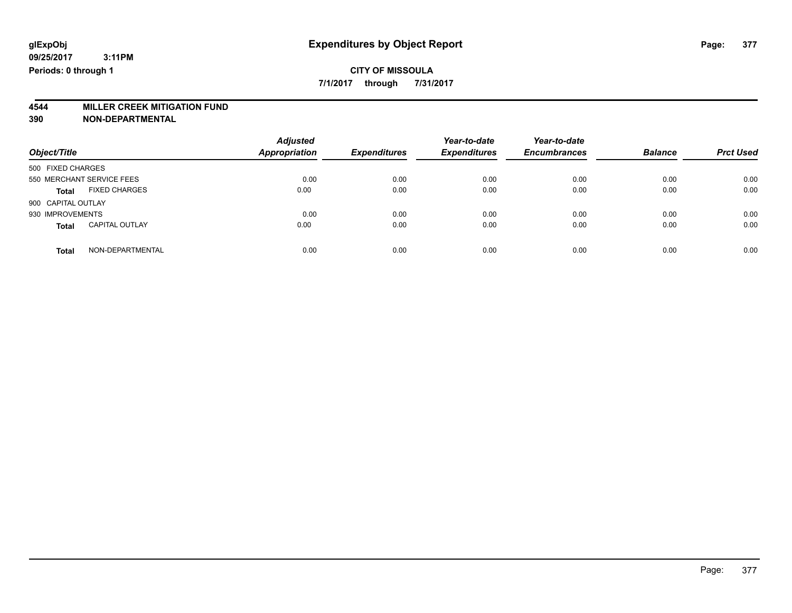**7/1/2017 through 7/31/2017**

# **4544 MILLER CREEK MITIGATION FUND**

| Object/Title                          |                  | <b>Adjusted</b><br><b>Appropriation</b> | <b>Expenditures</b> | Year-to-date<br><b>Expenditures</b> | Year-to-date<br><b>Encumbrances</b> | <b>Balance</b> | <b>Prct Used</b> |
|---------------------------------------|------------------|-----------------------------------------|---------------------|-------------------------------------|-------------------------------------|----------------|------------------|
| 500 FIXED CHARGES                     |                  |                                         |                     |                                     |                                     |                |                  |
| 550 MERCHANT SERVICE FEES             |                  | 0.00                                    | 0.00                | 0.00                                | 0.00                                | 0.00           | 0.00             |
| <b>FIXED CHARGES</b><br><b>Total</b>  |                  | 0.00                                    | 0.00                | 0.00                                | 0.00                                | 0.00           | 0.00             |
| 900 CAPITAL OUTLAY                    |                  |                                         |                     |                                     |                                     |                |                  |
| 930 IMPROVEMENTS                      |                  | 0.00                                    | 0.00                | 0.00                                | 0.00                                | 0.00           | 0.00             |
| <b>CAPITAL OUTLAY</b><br><b>Total</b> |                  | 0.00                                    | 0.00                | 0.00                                | 0.00                                | 0.00           | 0.00             |
| <b>Total</b>                          | NON-DEPARTMENTAL | 0.00                                    | 0.00                | 0.00                                | 0.00                                | 0.00           | 0.00             |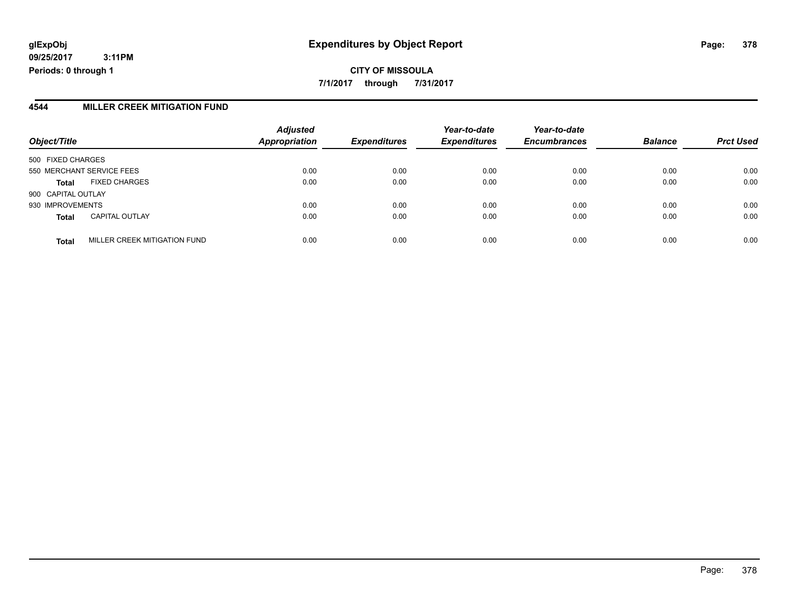**7/1/2017 through 7/31/2017**

#### **4544 MILLER CREEK MITIGATION FUND**

| Object/Title              |                              | <b>Adjusted</b><br><b>Appropriation</b> | <b>Expenditures</b> | Year-to-date<br><b>Expenditures</b> | Year-to-date<br><b>Encumbrances</b> | <b>Balance</b> | <b>Prct Used</b> |
|---------------------------|------------------------------|-----------------------------------------|---------------------|-------------------------------------|-------------------------------------|----------------|------------------|
| 500 FIXED CHARGES         |                              |                                         |                     |                                     |                                     |                |                  |
| 550 MERCHANT SERVICE FEES |                              | 0.00                                    | 0.00                | 0.00                                | 0.00                                | 0.00           | 0.00             |
| <b>Total</b>              | <b>FIXED CHARGES</b>         | 0.00                                    | 0.00                | 0.00                                | 0.00                                | 0.00           | 0.00             |
| 900 CAPITAL OUTLAY        |                              |                                         |                     |                                     |                                     |                |                  |
| 930 IMPROVEMENTS          |                              | 0.00                                    | 0.00                | 0.00                                | 0.00                                | 0.00           | 0.00             |
| <b>Total</b>              | <b>CAPITAL OUTLAY</b>        | 0.00                                    | 0.00                | 0.00                                | 0.00                                | 0.00           | 0.00             |
| <b>Total</b>              | MILLER CREEK MITIGATION FUND | 0.00                                    | 0.00                | 0.00                                | 0.00                                | 0.00           | 0.00             |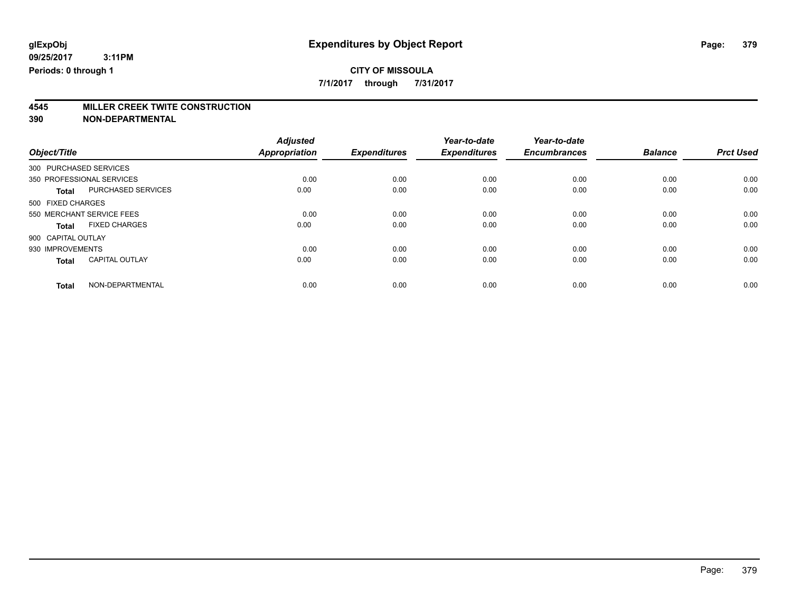**7/1/2017 through 7/31/2017**

# **4545 MILLER CREEK TWITE CONSTRUCTION**

|                           |                       | <b>Adjusted</b>      |                     | Year-to-date        | Year-to-date        |                |                  |
|---------------------------|-----------------------|----------------------|---------------------|---------------------|---------------------|----------------|------------------|
| Object/Title              |                       | <b>Appropriation</b> | <b>Expenditures</b> | <b>Expenditures</b> | <b>Encumbrances</b> | <b>Balance</b> | <b>Prct Used</b> |
| 300 PURCHASED SERVICES    |                       |                      |                     |                     |                     |                |                  |
| 350 PROFESSIONAL SERVICES |                       | 0.00                 | 0.00                | 0.00                | 0.00                | 0.00           | 0.00             |
| <b>Total</b>              | PURCHASED SERVICES    | 0.00                 | 0.00                | 0.00                | 0.00                | 0.00           | 0.00             |
| 500 FIXED CHARGES         |                       |                      |                     |                     |                     |                |                  |
| 550 MERCHANT SERVICE FEES |                       | 0.00                 | 0.00                | 0.00                | 0.00                | 0.00           | 0.00             |
| Total                     | <b>FIXED CHARGES</b>  | 0.00                 | 0.00                | 0.00                | 0.00                | 0.00           | 0.00             |
| 900 CAPITAL OUTLAY        |                       |                      |                     |                     |                     |                |                  |
| 930 IMPROVEMENTS          |                       | 0.00                 | 0.00                | 0.00                | 0.00                | 0.00           | 0.00             |
| <b>Total</b>              | <b>CAPITAL OUTLAY</b> | 0.00                 | 0.00                | 0.00                | 0.00                | 0.00           | 0.00             |
| <b>Total</b>              | NON-DEPARTMENTAL      | 0.00                 | 0.00                | 0.00                | 0.00                | 0.00           | 0.00             |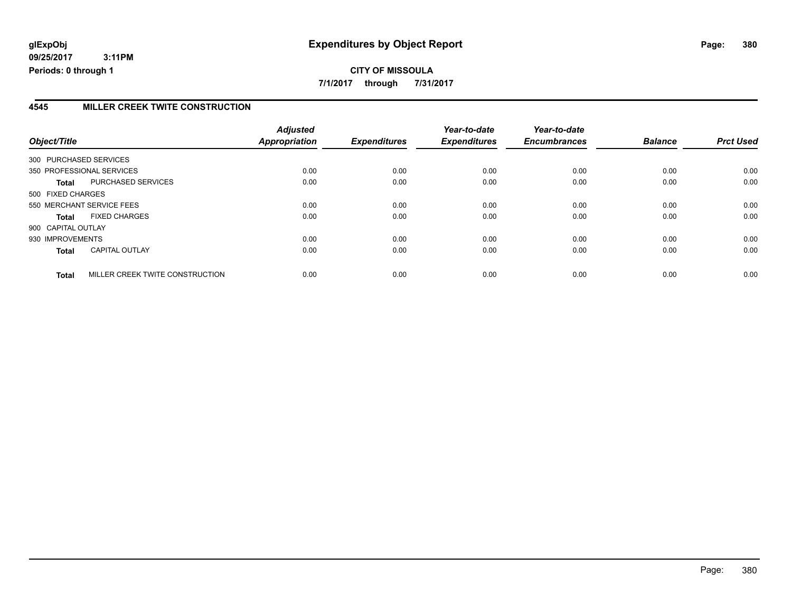### **4545 MILLER CREEK TWITE CONSTRUCTION**

| Object/Title           |                                 | <b>Adjusted</b><br>Appropriation | <b>Expenditures</b> | Year-to-date<br><b>Expenditures</b> | Year-to-date<br><b>Encumbrances</b> | <b>Balance</b> | <b>Prct Used</b> |
|------------------------|---------------------------------|----------------------------------|---------------------|-------------------------------------|-------------------------------------|----------------|------------------|
| 300 PURCHASED SERVICES |                                 |                                  |                     |                                     |                                     |                |                  |
|                        |                                 |                                  |                     |                                     |                                     |                |                  |
|                        | 350 PROFESSIONAL SERVICES       | 0.00                             | 0.00                | 0.00                                | 0.00                                | 0.00           | 0.00             |
| Total                  | PURCHASED SERVICES              | 0.00                             | 0.00                | 0.00                                | 0.00                                | 0.00           | 0.00             |
| 500 FIXED CHARGES      |                                 |                                  |                     |                                     |                                     |                |                  |
|                        | 550 MERCHANT SERVICE FEES       | 0.00                             | 0.00                | 0.00                                | 0.00                                | 0.00           | 0.00             |
| <b>Total</b>           | <b>FIXED CHARGES</b>            | 0.00                             | 0.00                | 0.00                                | 0.00                                | 0.00           | 0.00             |
| 900 CAPITAL OUTLAY     |                                 |                                  |                     |                                     |                                     |                |                  |
| 930 IMPROVEMENTS       |                                 | 0.00                             | 0.00                | 0.00                                | 0.00                                | 0.00           | 0.00             |
| <b>Total</b>           | <b>CAPITAL OUTLAY</b>           | 0.00                             | 0.00                | 0.00                                | 0.00                                | 0.00           | 0.00             |
| <b>Total</b>           | MILLER CREEK TWITE CONSTRUCTION | 0.00                             | 0.00                | 0.00                                | 0.00                                | 0.00           | 0.00             |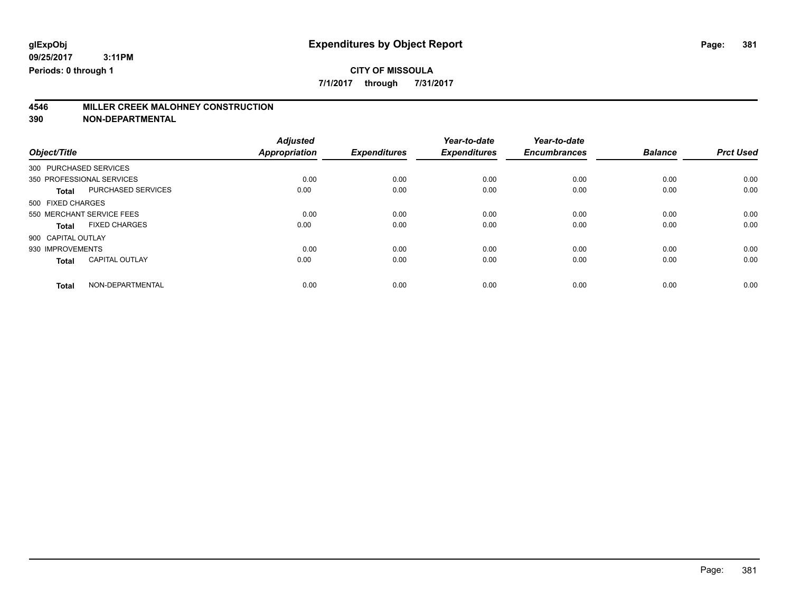**7/1/2017 through 7/31/2017**

# **4546 MILLER CREEK MALOHNEY CONSTRUCTION**

|                           | <b>Adjusted</b>                                                         |                                      | Year-to-date                        | Year-to-date                        |                                     | <b>Prct Used</b>               |
|---------------------------|-------------------------------------------------------------------------|--------------------------------------|-------------------------------------|-------------------------------------|-------------------------------------|--------------------------------|
|                           |                                                                         |                                      |                                     |                                     |                                     |                                |
|                           |                                                                         |                                      |                                     |                                     |                                     |                                |
|                           |                                                                         |                                      |                                     |                                     |                                     | 0.00                           |
| PURCHASED SERVICES        | 0.00                                                                    | 0.00                                 | 0.00                                | 0.00                                | 0.00                                | 0.00                           |
|                           |                                                                         |                                      |                                     |                                     |                                     |                                |
| 550 MERCHANT SERVICE FEES | 0.00                                                                    | 0.00                                 | 0.00                                | 0.00                                | 0.00                                | 0.00                           |
| <b>FIXED CHARGES</b>      | 0.00                                                                    | 0.00                                 | 0.00                                | 0.00                                | 0.00                                | 0.00                           |
|                           |                                                                         |                                      |                                     |                                     |                                     |                                |
|                           | 0.00                                                                    | 0.00                                 | 0.00                                | 0.00                                | 0.00                                | 0.00                           |
| <b>CAPITAL OUTLAY</b>     | 0.00                                                                    | 0.00                                 | 0.00                                | 0.00                                | 0.00                                | 0.00                           |
|                           |                                                                         |                                      |                                     |                                     |                                     | 0.00                           |
|                           | 300 PURCHASED SERVICES<br>350 PROFESSIONAL SERVICES<br>NON-DEPARTMENTAL | <b>Appropriation</b><br>0.00<br>0.00 | <b>Expenditures</b><br>0.00<br>0.00 | <b>Expenditures</b><br>0.00<br>0.00 | <b>Encumbrances</b><br>0.00<br>0.00 | <b>Balance</b><br>0.00<br>0.00 |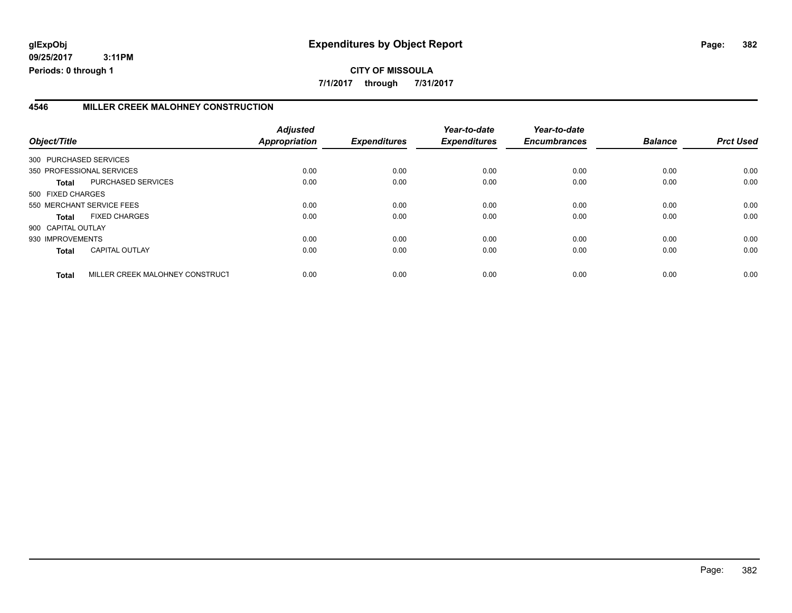### **4546 MILLER CREEK MALOHNEY CONSTRUCTION**

|                        |                                 | <b>Adjusted</b> |                     | Year-to-date        | Year-to-date        |                |                  |
|------------------------|---------------------------------|-----------------|---------------------|---------------------|---------------------|----------------|------------------|
| Object/Title           |                                 | Appropriation   | <b>Expenditures</b> | <b>Expenditures</b> | <b>Encumbrances</b> | <b>Balance</b> | <b>Prct Used</b> |
| 300 PURCHASED SERVICES |                                 |                 |                     |                     |                     |                |                  |
|                        | 350 PROFESSIONAL SERVICES       | 0.00            | 0.00                | 0.00                | 0.00                | 0.00           | 0.00             |
| Total                  | PURCHASED SERVICES              | 0.00            | 0.00                | 0.00                | 0.00                | 0.00           | 0.00             |
| 500 FIXED CHARGES      |                                 |                 |                     |                     |                     |                |                  |
|                        | 550 MERCHANT SERVICE FEES       | 0.00            | 0.00                | 0.00                | 0.00                | 0.00           | 0.00             |
| Total                  | <b>FIXED CHARGES</b>            | 0.00            | 0.00                | 0.00                | 0.00                | 0.00           | 0.00             |
| 900 CAPITAL OUTLAY     |                                 |                 |                     |                     |                     |                |                  |
| 930 IMPROVEMENTS       |                                 | 0.00            | 0.00                | 0.00                | 0.00                | 0.00           | 0.00             |
| <b>Total</b>           | <b>CAPITAL OUTLAY</b>           | 0.00            | 0.00                | 0.00                | 0.00                | 0.00           | 0.00             |
| <b>Total</b>           | MILLER CREEK MALOHNEY CONSTRUCT | 0.00            | 0.00                | 0.00                | 0.00                | 0.00           | 0.00             |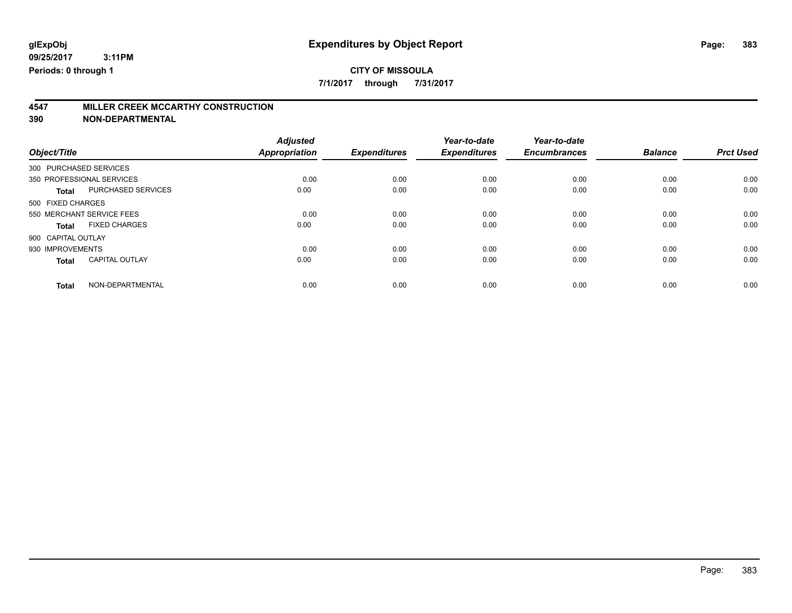**7/1/2017 through 7/31/2017**

# **4547 MILLER CREEK MCCARTHY CONSTRUCTION**

| Object/Title                          | <b>Adjusted</b><br><b>Appropriation</b> | <b>Expenditures</b> | Year-to-date<br><b>Expenditures</b> | Year-to-date<br><b>Encumbrances</b> | <b>Balance</b> | <b>Prct Used</b> |
|---------------------------------------|-----------------------------------------|---------------------|-------------------------------------|-------------------------------------|----------------|------------------|
|                                       |                                         |                     |                                     |                                     |                |                  |
| 300 PURCHASED SERVICES                |                                         |                     |                                     |                                     |                |                  |
| 350 PROFESSIONAL SERVICES             | 0.00                                    | 0.00                | 0.00                                | 0.00                                | 0.00           | 0.00             |
| <b>PURCHASED SERVICES</b><br>Total    | 0.00                                    | 0.00                | 0.00                                | 0.00                                | 0.00           | 0.00             |
| 500 FIXED CHARGES                     |                                         |                     |                                     |                                     |                |                  |
| 550 MERCHANT SERVICE FEES             | 0.00                                    | 0.00                | 0.00                                | 0.00                                | 0.00           | 0.00             |
| <b>FIXED CHARGES</b><br><b>Total</b>  | 0.00                                    | 0.00                | 0.00                                | 0.00                                | 0.00           | 0.00             |
| 900 CAPITAL OUTLAY                    |                                         |                     |                                     |                                     |                |                  |
| 930 IMPROVEMENTS                      | 0.00                                    | 0.00                | 0.00                                | 0.00                                | 0.00           | 0.00             |
| <b>CAPITAL OUTLAY</b><br><b>Total</b> | 0.00                                    | 0.00                | 0.00                                | 0.00                                | 0.00           | 0.00             |
| NON-DEPARTMENTAL<br><b>Total</b>      | 0.00                                    | 0.00                | 0.00                                | 0.00                                | 0.00           | 0.00             |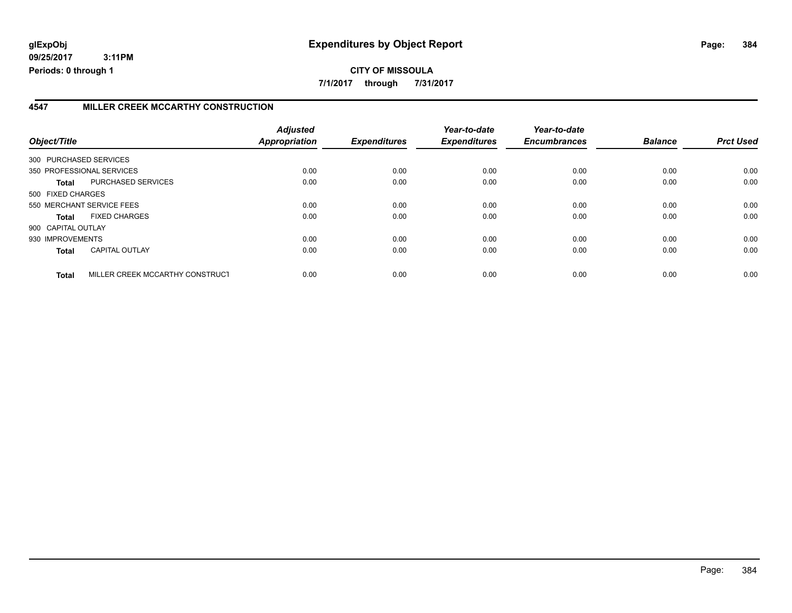### **4547 MILLER CREEK MCCARTHY CONSTRUCTION**

|                        |                                 | <b>Adjusted</b> |                     | Year-to-date        | Year-to-date        |                |                  |
|------------------------|---------------------------------|-----------------|---------------------|---------------------|---------------------|----------------|------------------|
| Object/Title           |                                 | Appropriation   | <b>Expenditures</b> | <b>Expenditures</b> | <b>Encumbrances</b> | <b>Balance</b> | <b>Prct Used</b> |
| 300 PURCHASED SERVICES |                                 |                 |                     |                     |                     |                |                  |
|                        | 350 PROFESSIONAL SERVICES       | 0.00            | 0.00                | 0.00                | 0.00                | 0.00           | 0.00             |
| Total                  | PURCHASED SERVICES              | 0.00            | 0.00                | 0.00                | 0.00                | 0.00           | 0.00             |
| 500 FIXED CHARGES      |                                 |                 |                     |                     |                     |                |                  |
|                        | 550 MERCHANT SERVICE FEES       | 0.00            | 0.00                | 0.00                | 0.00                | 0.00           | 0.00             |
| Total                  | <b>FIXED CHARGES</b>            | 0.00            | 0.00                | 0.00                | 0.00                | 0.00           | 0.00             |
| 900 CAPITAL OUTLAY     |                                 |                 |                     |                     |                     |                |                  |
| 930 IMPROVEMENTS       |                                 | 0.00            | 0.00                | 0.00                | 0.00                | 0.00           | 0.00             |
| <b>Total</b>           | <b>CAPITAL OUTLAY</b>           | 0.00            | 0.00                | 0.00                | 0.00                | 0.00           | 0.00             |
| <b>Total</b>           | MILLER CREEK MCCARTHY CONSTRUCT | 0.00            | 0.00                | 0.00                | 0.00                | 0.00           | 0.00             |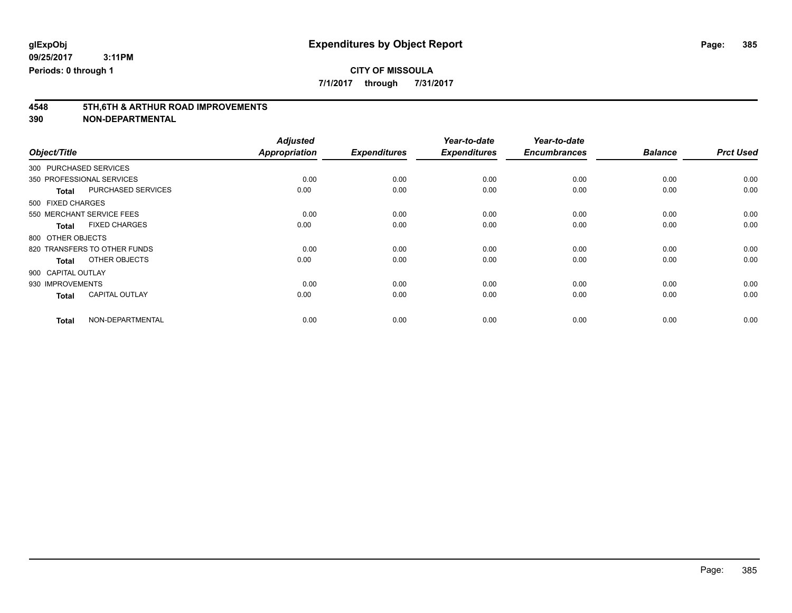**7/1/2017 through 7/31/2017**

# **4548 5TH,6TH & ARTHUR ROAD IMPROVEMENTS**

| Object/Title              |                              | <b>Adjusted</b><br><b>Appropriation</b> | <b>Expenditures</b> | Year-to-date<br><b>Expenditures</b> | Year-to-date<br><b>Encumbrances</b> | <b>Balance</b> | <b>Prct Used</b> |
|---------------------------|------------------------------|-----------------------------------------|---------------------|-------------------------------------|-------------------------------------|----------------|------------------|
| 300 PURCHASED SERVICES    |                              |                                         |                     |                                     |                                     |                |                  |
| 350 PROFESSIONAL SERVICES |                              | 0.00                                    | 0.00                | 0.00                                | 0.00                                | 0.00           | 0.00             |
| <b>Total</b>              | <b>PURCHASED SERVICES</b>    | 0.00                                    | 0.00                | 0.00                                | 0.00                                | 0.00           | 0.00             |
| 500 FIXED CHARGES         |                              |                                         |                     |                                     |                                     |                |                  |
| 550 MERCHANT SERVICE FEES |                              | 0.00                                    | 0.00                | 0.00                                | 0.00                                | 0.00           | 0.00             |
| <b>Total</b>              | <b>FIXED CHARGES</b>         | 0.00                                    | 0.00                | 0.00                                | 0.00                                | 0.00           | 0.00             |
| 800 OTHER OBJECTS         |                              |                                         |                     |                                     |                                     |                |                  |
|                           | 820 TRANSFERS TO OTHER FUNDS | 0.00                                    | 0.00                | 0.00                                | 0.00                                | 0.00           | 0.00             |
| <b>Total</b>              | OTHER OBJECTS                | 0.00                                    | 0.00                | 0.00                                | 0.00                                | 0.00           | 0.00             |
| 900 CAPITAL OUTLAY        |                              |                                         |                     |                                     |                                     |                |                  |
| 930 IMPROVEMENTS          |                              | 0.00                                    | 0.00                | 0.00                                | 0.00                                | 0.00           | 0.00             |
| <b>Total</b>              | <b>CAPITAL OUTLAY</b>        | 0.00                                    | 0.00                | 0.00                                | 0.00                                | 0.00           | 0.00             |
| <b>Total</b>              | NON-DEPARTMENTAL             | 0.00                                    | 0.00                | 0.00                                | 0.00                                | 0.00           | 0.00             |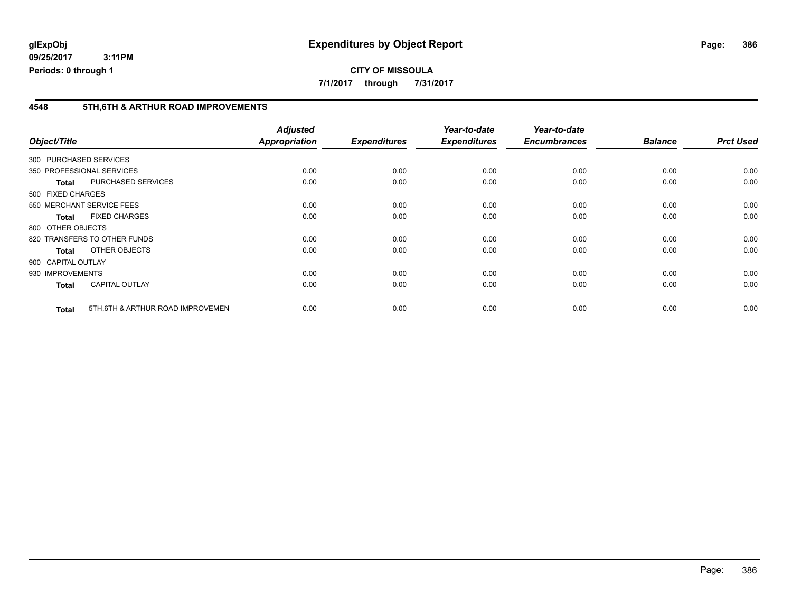### **4548 5TH,6TH & ARTHUR ROAD IMPROVEMENTS**

| Object/Title           |                                   | <b>Adjusted</b><br><b>Appropriation</b> | <b>Expenditures</b> | Year-to-date<br><b>Expenditures</b> | Year-to-date<br><b>Encumbrances</b> | <b>Balance</b> | <b>Prct Used</b> |
|------------------------|-----------------------------------|-----------------------------------------|---------------------|-------------------------------------|-------------------------------------|----------------|------------------|
| 300 PURCHASED SERVICES |                                   |                                         |                     |                                     |                                     |                |                  |
|                        | 350 PROFESSIONAL SERVICES         | 0.00                                    | 0.00                | 0.00                                | 0.00                                | 0.00           | 0.00             |
| <b>Total</b>           | PURCHASED SERVICES                | 0.00                                    | 0.00                | 0.00                                | 0.00                                | 0.00           | 0.00             |
| 500 FIXED CHARGES      |                                   |                                         |                     |                                     |                                     |                |                  |
|                        | 550 MERCHANT SERVICE FEES         | 0.00                                    | 0.00                | 0.00                                | 0.00                                | 0.00           | 0.00             |
| <b>Total</b>           | <b>FIXED CHARGES</b>              | 0.00                                    | 0.00                | 0.00                                | 0.00                                | 0.00           | 0.00             |
| 800 OTHER OBJECTS      |                                   |                                         |                     |                                     |                                     |                |                  |
|                        | 820 TRANSFERS TO OTHER FUNDS      | 0.00                                    | 0.00                | 0.00                                | 0.00                                | 0.00           | 0.00             |
| Total                  | OTHER OBJECTS                     | 0.00                                    | 0.00                | 0.00                                | 0.00                                | 0.00           | 0.00             |
| 900 CAPITAL OUTLAY     |                                   |                                         |                     |                                     |                                     |                |                  |
| 930 IMPROVEMENTS       |                                   | 0.00                                    | 0.00                | 0.00                                | 0.00                                | 0.00           | 0.00             |
| <b>Total</b>           | <b>CAPITAL OUTLAY</b>             | 0.00                                    | 0.00                | 0.00                                | 0.00                                | 0.00           | 0.00             |
| <b>Total</b>           | 5TH, 6TH & ARTHUR ROAD IMPROVEMEN | 0.00                                    | 0.00                | 0.00                                | 0.00                                | 0.00           | 0.00             |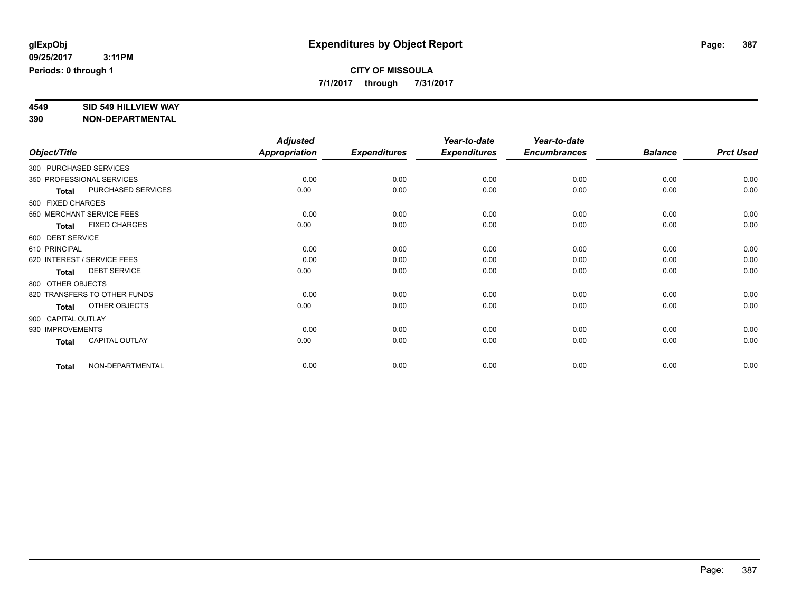**7/1/2017 through 7/31/2017**

# **4549 SID 549 HILLVIEW WAY**

|                    |                              | <b>Adjusted</b>      |                     | Year-to-date        | Year-to-date        |                |                  |
|--------------------|------------------------------|----------------------|---------------------|---------------------|---------------------|----------------|------------------|
| Object/Title       |                              | <b>Appropriation</b> | <b>Expenditures</b> | <b>Expenditures</b> | <b>Encumbrances</b> | <b>Balance</b> | <b>Prct Used</b> |
|                    | 300 PURCHASED SERVICES       |                      |                     |                     |                     |                |                  |
|                    | 350 PROFESSIONAL SERVICES    | 0.00                 | 0.00                | 0.00                | 0.00                | 0.00           | 0.00             |
| <b>Total</b>       | PURCHASED SERVICES           | 0.00                 | 0.00                | 0.00                | 0.00                | 0.00           | 0.00             |
| 500 FIXED CHARGES  |                              |                      |                     |                     |                     |                |                  |
|                    | 550 MERCHANT SERVICE FEES    | 0.00                 | 0.00                | 0.00                | 0.00                | 0.00           | 0.00             |
| <b>Total</b>       | <b>FIXED CHARGES</b>         | 0.00                 | 0.00                | 0.00                | 0.00                | 0.00           | 0.00             |
| 600 DEBT SERVICE   |                              |                      |                     |                     |                     |                |                  |
| 610 PRINCIPAL      |                              | 0.00                 | 0.00                | 0.00                | 0.00                | 0.00           | 0.00             |
|                    | 620 INTEREST / SERVICE FEES  | 0.00                 | 0.00                | 0.00                | 0.00                | 0.00           | 0.00             |
| <b>Total</b>       | <b>DEBT SERVICE</b>          | 0.00                 | 0.00                | 0.00                | 0.00                | 0.00           | 0.00             |
| 800 OTHER OBJECTS  |                              |                      |                     |                     |                     |                |                  |
|                    | 820 TRANSFERS TO OTHER FUNDS | 0.00                 | 0.00                | 0.00                | 0.00                | 0.00           | 0.00             |
| <b>Total</b>       | OTHER OBJECTS                | 0.00                 | 0.00                | 0.00                | 0.00                | 0.00           | 0.00             |
| 900 CAPITAL OUTLAY |                              |                      |                     |                     |                     |                |                  |
| 930 IMPROVEMENTS   |                              | 0.00                 | 0.00                | 0.00                | 0.00                | 0.00           | 0.00             |
| <b>Total</b>       | <b>CAPITAL OUTLAY</b>        | 0.00                 | 0.00                | 0.00                | 0.00                | 0.00           | 0.00             |
| <b>Total</b>       | NON-DEPARTMENTAL             | 0.00                 | 0.00                | 0.00                | 0.00                | 0.00           | 0.00             |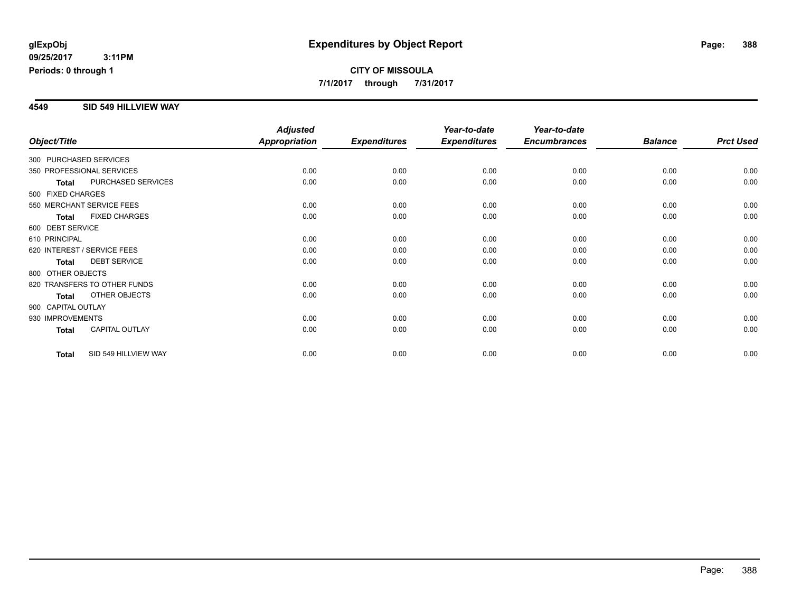**CITY OF MISSOULA 7/1/2017 through 7/31/2017**

#### **4549 SID 549 HILLVIEW WAY**

|                        |                              | <b>Adjusted</b>      |                     | Year-to-date        | Year-to-date        |                |                  |
|------------------------|------------------------------|----------------------|---------------------|---------------------|---------------------|----------------|------------------|
| Object/Title           |                              | <b>Appropriation</b> | <b>Expenditures</b> | <b>Expenditures</b> | <b>Encumbrances</b> | <b>Balance</b> | <b>Prct Used</b> |
| 300 PURCHASED SERVICES |                              |                      |                     |                     |                     |                |                  |
|                        | 350 PROFESSIONAL SERVICES    | 0.00                 | 0.00                | 0.00                | 0.00                | 0.00           | 0.00             |
| <b>Total</b>           | PURCHASED SERVICES           | 0.00                 | 0.00                | 0.00                | 0.00                | 0.00           | 0.00             |
| 500 FIXED CHARGES      |                              |                      |                     |                     |                     |                |                  |
|                        | 550 MERCHANT SERVICE FEES    | 0.00                 | 0.00                | 0.00                | 0.00                | 0.00           | 0.00             |
| <b>Total</b>           | <b>FIXED CHARGES</b>         | 0.00                 | 0.00                | 0.00                | 0.00                | 0.00           | 0.00             |
| 600 DEBT SERVICE       |                              |                      |                     |                     |                     |                |                  |
| 610 PRINCIPAL          |                              | 0.00                 | 0.00                | 0.00                | 0.00                | 0.00           | 0.00             |
|                        | 620 INTEREST / SERVICE FEES  | 0.00                 | 0.00                | 0.00                | 0.00                | 0.00           | 0.00             |
| <b>Total</b>           | <b>DEBT SERVICE</b>          | 0.00                 | 0.00                | 0.00                | 0.00                | 0.00           | 0.00             |
| 800 OTHER OBJECTS      |                              |                      |                     |                     |                     |                |                  |
|                        | 820 TRANSFERS TO OTHER FUNDS | 0.00                 | 0.00                | 0.00                | 0.00                | 0.00           | 0.00             |
| <b>Total</b>           | OTHER OBJECTS                | 0.00                 | 0.00                | 0.00                | 0.00                | 0.00           | 0.00             |
| 900 CAPITAL OUTLAY     |                              |                      |                     |                     |                     |                |                  |
| 930 IMPROVEMENTS       |                              | 0.00                 | 0.00                | 0.00                | 0.00                | 0.00           | 0.00             |
| <b>Total</b>           | <b>CAPITAL OUTLAY</b>        | 0.00                 | 0.00                | 0.00                | 0.00                | 0.00           | 0.00             |
| <b>Total</b>           | SID 549 HILLVIEW WAY         | 0.00                 | 0.00                | 0.00                | 0.00                | 0.00           | 0.00             |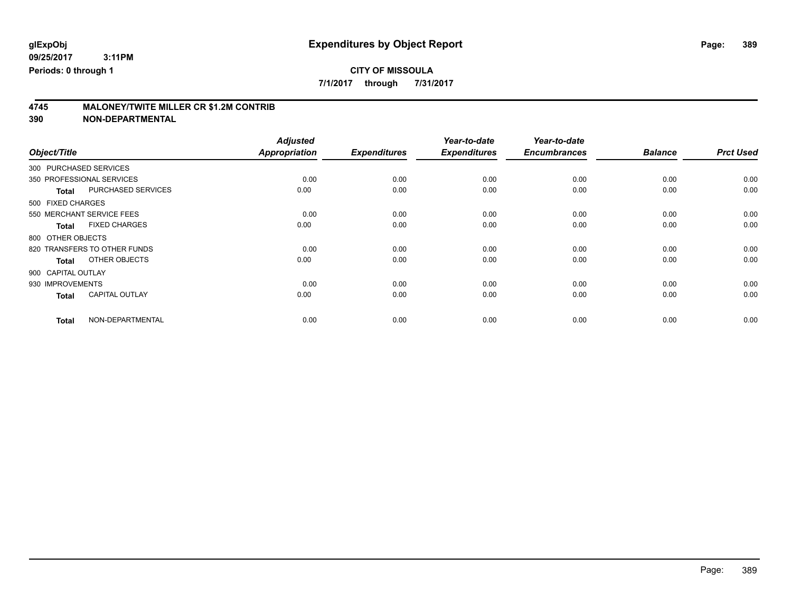**7/1/2017 through 7/31/2017**

# **4745 MALONEY/TWITE MILLER CR \$1.2M CONTRIB**

|                        |                              | <b>Adjusted</b> |                     | Year-to-date        | Year-to-date        |                |                  |
|------------------------|------------------------------|-----------------|---------------------|---------------------|---------------------|----------------|------------------|
| Object/Title           |                              | Appropriation   | <b>Expenditures</b> | <b>Expenditures</b> | <b>Encumbrances</b> | <b>Balance</b> | <b>Prct Used</b> |
| 300 PURCHASED SERVICES |                              |                 |                     |                     |                     |                |                  |
|                        | 350 PROFESSIONAL SERVICES    | 0.00            | 0.00                | 0.00                | 0.00                | 0.00           | 0.00             |
| <b>Total</b>           | PURCHASED SERVICES           | 0.00            | 0.00                | 0.00                | 0.00                | 0.00           | 0.00             |
| 500 FIXED CHARGES      |                              |                 |                     |                     |                     |                |                  |
|                        | 550 MERCHANT SERVICE FEES    | 0.00            | 0.00                | 0.00                | 0.00                | 0.00           | 0.00             |
| <b>Total</b>           | <b>FIXED CHARGES</b>         | 0.00            | 0.00                | 0.00                | 0.00                | 0.00           | 0.00             |
| 800 OTHER OBJECTS      |                              |                 |                     |                     |                     |                |                  |
|                        | 820 TRANSFERS TO OTHER FUNDS | 0.00            | 0.00                | 0.00                | 0.00                | 0.00           | 0.00             |
| <b>Total</b>           | OTHER OBJECTS                | 0.00            | 0.00                | 0.00                | 0.00                | 0.00           | 0.00             |
| 900 CAPITAL OUTLAY     |                              |                 |                     |                     |                     |                |                  |
| 930 IMPROVEMENTS       |                              | 0.00            | 0.00                | 0.00                | 0.00                | 0.00           | 0.00             |
| <b>Total</b>           | <b>CAPITAL OUTLAY</b>        | 0.00            | 0.00                | 0.00                | 0.00                | 0.00           | 0.00             |
| <b>Total</b>           | NON-DEPARTMENTAL             | 0.00            | 0.00                | 0.00                | 0.00                | 0.00           | 0.00             |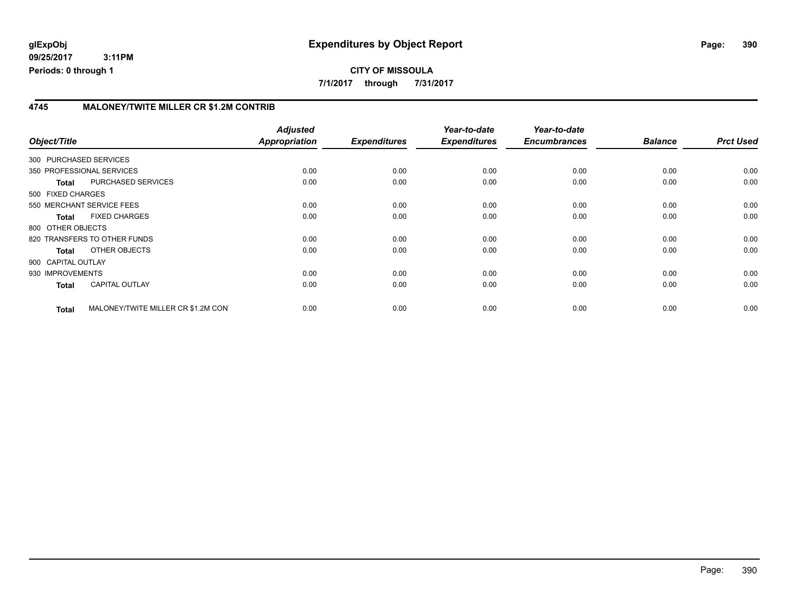### **4745 MALONEY/TWITE MILLER CR \$1.2M CONTRIB**

|                    |                                     | <b>Adjusted</b>      |                     | Year-to-date        | Year-to-date        |                |                  |
|--------------------|-------------------------------------|----------------------|---------------------|---------------------|---------------------|----------------|------------------|
| Object/Title       |                                     | <b>Appropriation</b> | <b>Expenditures</b> | <b>Expenditures</b> | <b>Encumbrances</b> | <b>Balance</b> | <b>Prct Used</b> |
|                    | 300 PURCHASED SERVICES              |                      |                     |                     |                     |                |                  |
|                    | 350 PROFESSIONAL SERVICES           | 0.00                 | 0.00                | 0.00                | 0.00                | 0.00           | 0.00             |
| <b>Total</b>       | PURCHASED SERVICES                  | 0.00                 | 0.00                | 0.00                | 0.00                | 0.00           | 0.00             |
| 500 FIXED CHARGES  |                                     |                      |                     |                     |                     |                |                  |
|                    | 550 MERCHANT SERVICE FEES           | 0.00                 | 0.00                | 0.00                | 0.00                | 0.00           | 0.00             |
| <b>Total</b>       | <b>FIXED CHARGES</b>                | 0.00                 | 0.00                | 0.00                | 0.00                | 0.00           | 0.00             |
| 800 OTHER OBJECTS  |                                     |                      |                     |                     |                     |                |                  |
|                    | 820 TRANSFERS TO OTHER FUNDS        | 0.00                 | 0.00                | 0.00                | 0.00                | 0.00           | 0.00             |
| Total              | OTHER OBJECTS                       | 0.00                 | 0.00                | 0.00                | 0.00                | 0.00           | 0.00             |
| 900 CAPITAL OUTLAY |                                     |                      |                     |                     |                     |                |                  |
| 930 IMPROVEMENTS   |                                     | 0.00                 | 0.00                | 0.00                | 0.00                | 0.00           | 0.00             |
| <b>Total</b>       | <b>CAPITAL OUTLAY</b>               | 0.00                 | 0.00                | 0.00                | 0.00                | 0.00           | 0.00             |
| <b>Total</b>       | MALONEY/TWITE MILLER CR \$1.2M CONT | 0.00                 | 0.00                | 0.00                | 0.00                | 0.00           | 0.00             |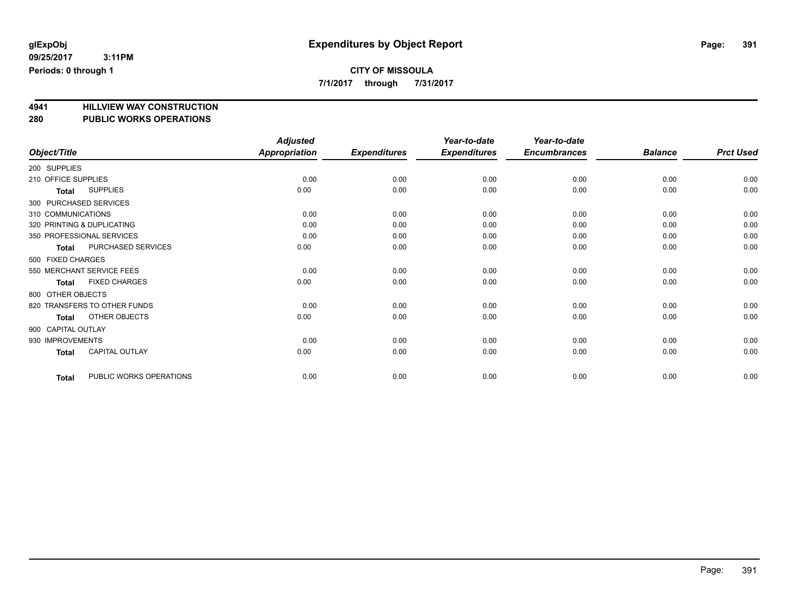**7/1/2017 through 7/31/2017**

# **4941 HILLVIEW WAY CONSTRUCTION**

### **280 PUBLIC WORKS OPERATIONS**

|                                         | <b>Adjusted</b>      |                     | Year-to-date        | Year-to-date        |                |                  |
|-----------------------------------------|----------------------|---------------------|---------------------|---------------------|----------------|------------------|
| Object/Title                            | <b>Appropriation</b> | <b>Expenditures</b> | <b>Expenditures</b> | <b>Encumbrances</b> | <b>Balance</b> | <b>Prct Used</b> |
| 200 SUPPLIES                            |                      |                     |                     |                     |                |                  |
| 210 OFFICE SUPPLIES                     | 0.00                 | 0.00                | 0.00                | 0.00                | 0.00           | 0.00             |
| <b>SUPPLIES</b><br>Total                | 0.00                 | 0.00                | 0.00                | 0.00                | 0.00           | 0.00             |
| 300 PURCHASED SERVICES                  |                      |                     |                     |                     |                |                  |
| 310 COMMUNICATIONS                      | 0.00                 | 0.00                | 0.00                | 0.00                | 0.00           | 0.00             |
| 320 PRINTING & DUPLICATING              | 0.00                 | 0.00                | 0.00                | 0.00                | 0.00           | 0.00             |
| 350 PROFESSIONAL SERVICES               | 0.00                 | 0.00                | 0.00                | 0.00                | 0.00           | 0.00             |
| PURCHASED SERVICES<br><b>Total</b>      | 0.00                 | 0.00                | 0.00                | 0.00                | 0.00           | 0.00             |
| 500 FIXED CHARGES                       |                      |                     |                     |                     |                |                  |
| 550 MERCHANT SERVICE FEES               | 0.00                 | 0.00                | 0.00                | 0.00                | 0.00           | 0.00             |
| <b>FIXED CHARGES</b><br><b>Total</b>    | 0.00                 | 0.00                | 0.00                | 0.00                | 0.00           | 0.00             |
| 800 OTHER OBJECTS                       |                      |                     |                     |                     |                |                  |
| 820 TRANSFERS TO OTHER FUNDS            | 0.00                 | 0.00                | 0.00                | 0.00                | 0.00           | 0.00             |
| OTHER OBJECTS<br><b>Total</b>           | 0.00                 | 0.00                | 0.00                | 0.00                | 0.00           | 0.00             |
| 900 CAPITAL OUTLAY                      |                      |                     |                     |                     |                |                  |
| 930 IMPROVEMENTS                        | 0.00                 | 0.00                | 0.00                | 0.00                | 0.00           | 0.00             |
| <b>CAPITAL OUTLAY</b><br><b>Total</b>   | 0.00                 | 0.00                | 0.00                | 0.00                | 0.00           | 0.00             |
| PUBLIC WORKS OPERATIONS<br><b>Total</b> | 0.00                 | 0.00                | 0.00                | 0.00                | 0.00           | 0.00             |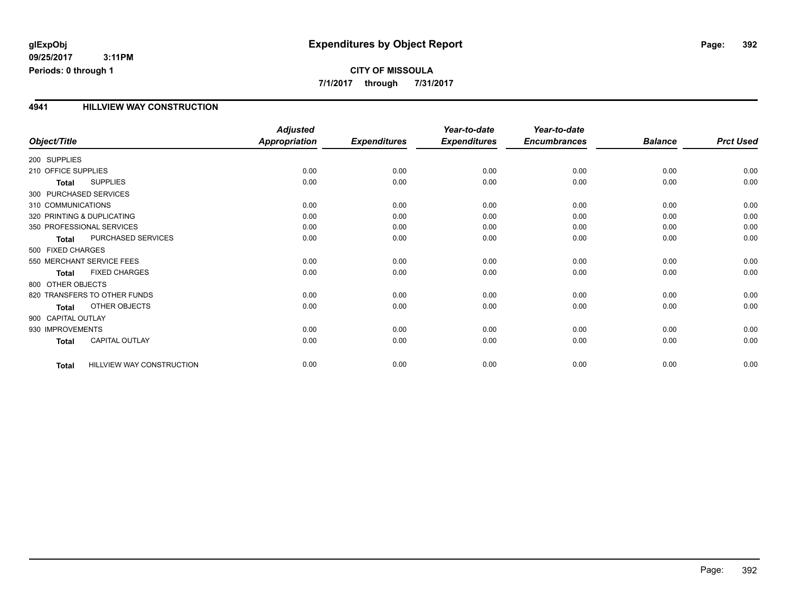## **CITY OF MISSOULA 7/1/2017 through 7/31/2017**

### **4941 HILLVIEW WAY CONSTRUCTION**

|                     |                              | <b>Adjusted</b>      |                     | Year-to-date        | Year-to-date        |                |                  |
|---------------------|------------------------------|----------------------|---------------------|---------------------|---------------------|----------------|------------------|
| Object/Title        |                              | <b>Appropriation</b> | <b>Expenditures</b> | <b>Expenditures</b> | <b>Encumbrances</b> | <b>Balance</b> | <b>Prct Used</b> |
| 200 SUPPLIES        |                              |                      |                     |                     |                     |                |                  |
| 210 OFFICE SUPPLIES |                              | 0.00                 | 0.00                | 0.00                | 0.00                | 0.00           | 0.00             |
| <b>Total</b>        | <b>SUPPLIES</b>              | 0.00                 | 0.00                | 0.00                | 0.00                | 0.00           | 0.00             |
|                     | 300 PURCHASED SERVICES       |                      |                     |                     |                     |                |                  |
| 310 COMMUNICATIONS  |                              | 0.00                 | 0.00                | 0.00                | 0.00                | 0.00           | 0.00             |
|                     | 320 PRINTING & DUPLICATING   | 0.00                 | 0.00                | 0.00                | 0.00                | 0.00           | 0.00             |
|                     | 350 PROFESSIONAL SERVICES    | 0.00                 | 0.00                | 0.00                | 0.00                | 0.00           | 0.00             |
| <b>Total</b>        | PURCHASED SERVICES           | 0.00                 | 0.00                | 0.00                | 0.00                | 0.00           | 0.00             |
| 500 FIXED CHARGES   |                              |                      |                     |                     |                     |                |                  |
|                     | 550 MERCHANT SERVICE FEES    | 0.00                 | 0.00                | 0.00                | 0.00                | 0.00           | 0.00             |
| <b>Total</b>        | <b>FIXED CHARGES</b>         | 0.00                 | 0.00                | 0.00                | 0.00                | 0.00           | 0.00             |
| 800 OTHER OBJECTS   |                              |                      |                     |                     |                     |                |                  |
|                     | 820 TRANSFERS TO OTHER FUNDS | 0.00                 | 0.00                | 0.00                | 0.00                | 0.00           | 0.00             |
| <b>Total</b>        | OTHER OBJECTS                | 0.00                 | 0.00                | 0.00                | 0.00                | 0.00           | 0.00             |
| 900 CAPITAL OUTLAY  |                              |                      |                     |                     |                     |                |                  |
| 930 IMPROVEMENTS    |                              | 0.00                 | 0.00                | 0.00                | 0.00                | 0.00           | 0.00             |
| <b>Total</b>        | CAPITAL OUTLAY               | 0.00                 | 0.00                | 0.00                | 0.00                | 0.00           | 0.00             |
| Total               | HILLVIEW WAY CONSTRUCTION    | 0.00                 | 0.00                | 0.00                | 0.00                | 0.00           | 0.00             |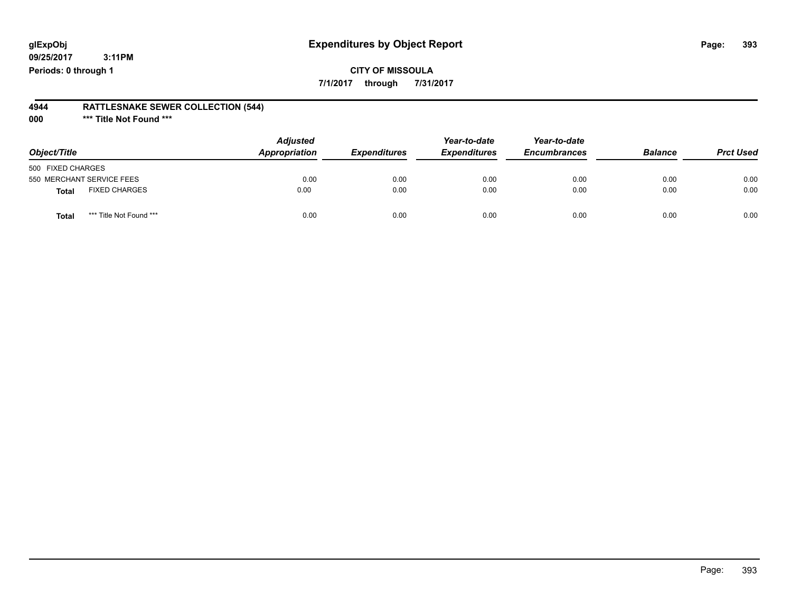## **glExpObj Expenditures by Object Report Page: 393**

**09/25/2017 3:11PM Periods: 0 through 1**

**7/1/2017 through 7/31/2017**

#### **4944 RATTLESNAKE SEWER COLLECTION (544)**

**000 \*\*\* Title Not Found \*\*\***

| Object/Title                            | <b>Adjusted</b><br>Appropriation | <b>Expenditures</b> | Year-to-date<br><b>Expenditures</b> | Year-to-date<br><b>Encumbrances</b> | <b>Balance</b> | <b>Prct Used</b> |
|-----------------------------------------|----------------------------------|---------------------|-------------------------------------|-------------------------------------|----------------|------------------|
| 500 FIXED CHARGES                       |                                  |                     |                                     |                                     |                |                  |
| 550 MERCHANT SERVICE FEES               | 0.00                             | 0.00                | 0.00                                | 0.00                                | 0.00           | 0.00             |
| <b>FIXED CHARGES</b><br><b>Total</b>    | 0.00                             | 0.00                | 0.00                                | 0.00                                | 0.00           | 0.00             |
| *** Title Not Found ***<br><b>Total</b> | 0.00                             | 0.00                | 0.00                                | 0.00                                | 0.00           | 0.00             |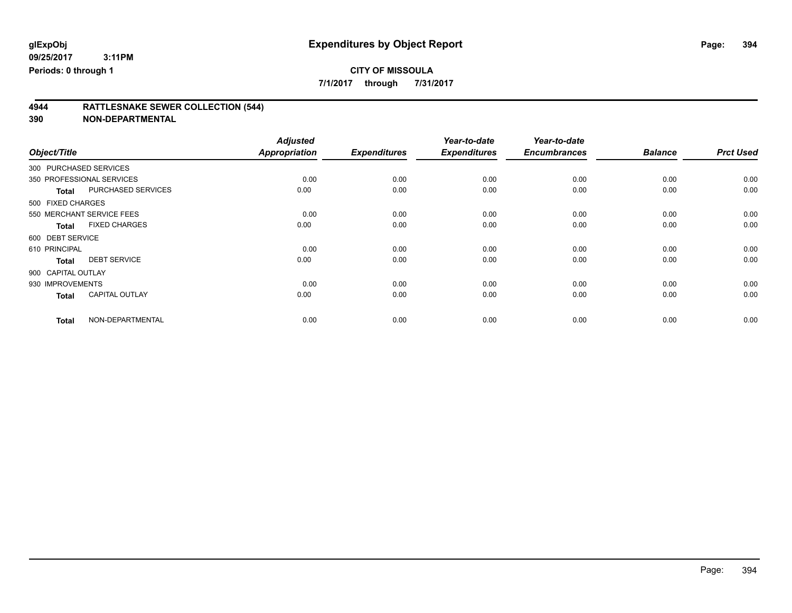**7/1/2017 through 7/31/2017**

# **4944 RATTLESNAKE SEWER COLLECTION (544)**

|                    |                           | <b>Adjusted</b>      |                     | Year-to-date        | Year-to-date        |                |                  |
|--------------------|---------------------------|----------------------|---------------------|---------------------|---------------------|----------------|------------------|
| Object/Title       |                           | <b>Appropriation</b> | <b>Expenditures</b> | <b>Expenditures</b> | <b>Encumbrances</b> | <b>Balance</b> | <b>Prct Used</b> |
|                    | 300 PURCHASED SERVICES    |                      |                     |                     |                     |                |                  |
|                    | 350 PROFESSIONAL SERVICES | 0.00                 | 0.00                | 0.00                | 0.00                | 0.00           | 0.00             |
| <b>Total</b>       | <b>PURCHASED SERVICES</b> | 0.00                 | 0.00                | 0.00                | 0.00                | 0.00           | 0.00             |
| 500 FIXED CHARGES  |                           |                      |                     |                     |                     |                |                  |
|                    | 550 MERCHANT SERVICE FEES | 0.00                 | 0.00                | 0.00                | 0.00                | 0.00           | 0.00             |
| <b>Total</b>       | <b>FIXED CHARGES</b>      | 0.00                 | 0.00                | 0.00                | 0.00                | 0.00           | 0.00             |
| 600 DEBT SERVICE   |                           |                      |                     |                     |                     |                |                  |
| 610 PRINCIPAL      |                           | 0.00                 | 0.00                | 0.00                | 0.00                | 0.00           | 0.00             |
| <b>Total</b>       | <b>DEBT SERVICE</b>       | 0.00                 | 0.00                | 0.00                | 0.00                | 0.00           | 0.00             |
| 900 CAPITAL OUTLAY |                           |                      |                     |                     |                     |                |                  |
| 930 IMPROVEMENTS   |                           | 0.00                 | 0.00                | 0.00                | 0.00                | 0.00           | 0.00             |
| <b>Total</b>       | <b>CAPITAL OUTLAY</b>     | 0.00                 | 0.00                | 0.00                | 0.00                | 0.00           | 0.00             |
| <b>Total</b>       | NON-DEPARTMENTAL          | 0.00                 | 0.00                | 0.00                | 0.00                | 0.00           | 0.00             |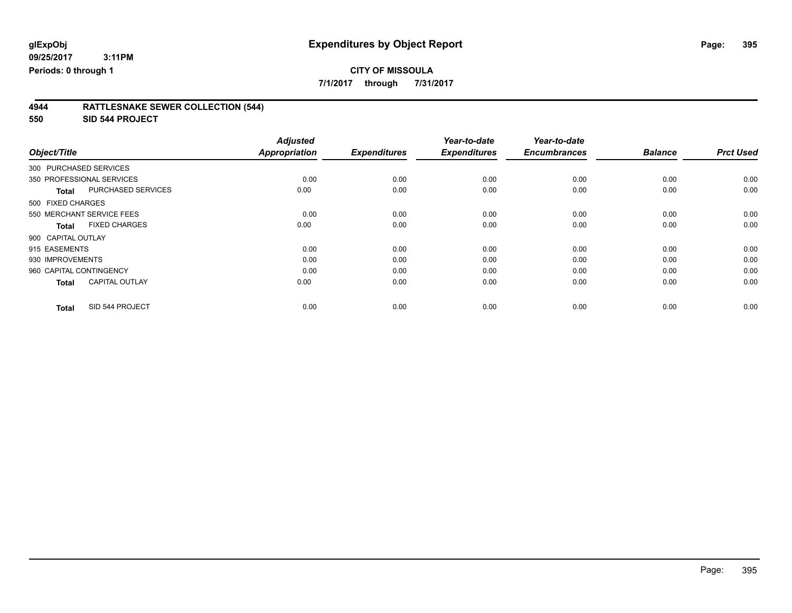**7/1/2017 through 7/31/2017**

| 4944 | <b>RATTLESNAKE SEWER COLLECTION (544)</b> |  |
|------|-------------------------------------------|--|
|      |                                           |  |

**550 SID 544 PROJECT**

|                           |                       | <b>Adjusted</b>      |                     | Year-to-date        | Year-to-date        |                |                  |
|---------------------------|-----------------------|----------------------|---------------------|---------------------|---------------------|----------------|------------------|
| Object/Title              |                       | <b>Appropriation</b> | <b>Expenditures</b> | <b>Expenditures</b> | <b>Encumbrances</b> | <b>Balance</b> | <b>Prct Used</b> |
| 300 PURCHASED SERVICES    |                       |                      |                     |                     |                     |                |                  |
| 350 PROFESSIONAL SERVICES |                       | 0.00                 | 0.00                | 0.00                | 0.00                | 0.00           | 0.00             |
| <b>Total</b>              | PURCHASED SERVICES    | 0.00                 | 0.00                | 0.00                | 0.00                | 0.00           | 0.00             |
| 500 FIXED CHARGES         |                       |                      |                     |                     |                     |                |                  |
| 550 MERCHANT SERVICE FEES |                       | 0.00                 | 0.00                | 0.00                | 0.00                | 0.00           | 0.00             |
| Total                     | <b>FIXED CHARGES</b>  | 0.00                 | 0.00                | 0.00                | 0.00                | 0.00           | 0.00             |
| 900 CAPITAL OUTLAY        |                       |                      |                     |                     |                     |                |                  |
| 915 EASEMENTS             |                       | 0.00                 | 0.00                | 0.00                | 0.00                | 0.00           | 0.00             |
| 930 IMPROVEMENTS          |                       | 0.00                 | 0.00                | 0.00                | 0.00                | 0.00           | 0.00             |
| 960 CAPITAL CONTINGENCY   |                       | 0.00                 | 0.00                | 0.00                | 0.00                | 0.00           | 0.00             |
| <b>Total</b>              | <b>CAPITAL OUTLAY</b> | 0.00                 | 0.00                | 0.00                | 0.00                | 0.00           | 0.00             |
| <b>Total</b>              | SID 544 PROJECT       | 0.00                 | 0.00                | 0.00                | 0.00                | 0.00           | 0.00             |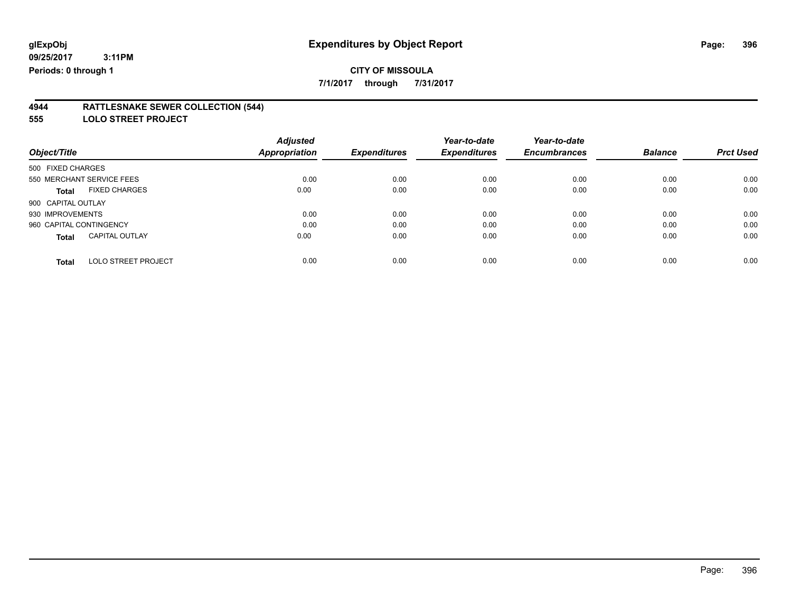**7/1/2017 through 7/31/2017**

#### **4944 RATTLESNAKE SEWER COLLECTION (544)**

**555 LOLO STREET PROJECT**

| Object/Title                               | <b>Adjusted</b><br>Appropriation | <b>Expenditures</b> | Year-to-date<br><b>Expenditures</b> | Year-to-date<br><b>Encumbrances</b> | <b>Balance</b> | <b>Prct Used</b> |
|--------------------------------------------|----------------------------------|---------------------|-------------------------------------|-------------------------------------|----------------|------------------|
| 500 FIXED CHARGES                          |                                  |                     |                                     |                                     |                |                  |
| 550 MERCHANT SERVICE FEES                  | 0.00                             | 0.00                | 0.00                                | 0.00                                | 0.00           | 0.00             |
| <b>FIXED CHARGES</b><br><b>Total</b>       | 0.00                             | 0.00                | 0.00                                | 0.00                                | 0.00           | 0.00             |
| 900 CAPITAL OUTLAY                         |                                  |                     |                                     |                                     |                |                  |
| 930 IMPROVEMENTS                           | 0.00                             | 0.00                | 0.00                                | 0.00                                | 0.00           | 0.00             |
| 960 CAPITAL CONTINGENCY                    | 0.00                             | 0.00                | 0.00                                | 0.00                                | 0.00           | 0.00             |
| <b>CAPITAL OUTLAY</b><br><b>Total</b>      | 0.00                             | 0.00                | 0.00                                | 0.00                                | 0.00           | 0.00             |
| <b>LOLO STREET PROJECT</b><br><b>Total</b> | 0.00                             | 0.00                | 0.00                                | 0.00                                | 0.00           | 0.00             |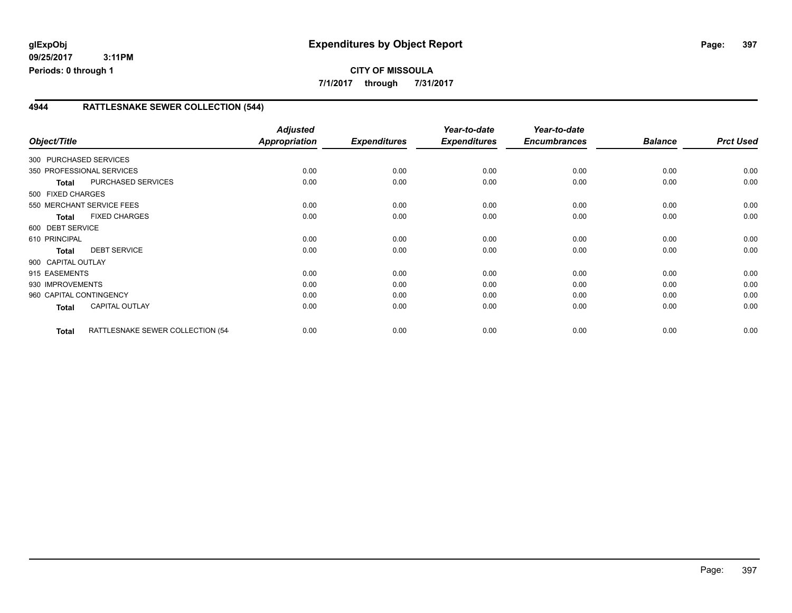#### **4944 RATTLESNAKE SEWER COLLECTION (544)**

| Object/Title            |                                  | <b>Adjusted</b><br>Appropriation | <b>Expenditures</b> | Year-to-date<br><b>Expenditures</b> | Year-to-date<br><b>Encumbrances</b> | <b>Balance</b> | <b>Prct Used</b> |
|-------------------------|----------------------------------|----------------------------------|---------------------|-------------------------------------|-------------------------------------|----------------|------------------|
| 300 PURCHASED SERVICES  |                                  |                                  |                     |                                     |                                     |                |                  |
|                         | 350 PROFESSIONAL SERVICES        | 0.00                             | 0.00                | 0.00                                | 0.00                                | 0.00           | 0.00             |
| Total                   | PURCHASED SERVICES               | 0.00                             | 0.00                | 0.00                                | 0.00                                | 0.00           | 0.00             |
| 500 FIXED CHARGES       |                                  |                                  |                     |                                     |                                     |                |                  |
|                         | 550 MERCHANT SERVICE FEES        | 0.00                             | 0.00                | 0.00                                | 0.00                                | 0.00           | 0.00             |
| <b>Total</b>            | <b>FIXED CHARGES</b>             | 0.00                             | 0.00                | 0.00                                | 0.00                                | 0.00           | 0.00             |
| 600 DEBT SERVICE        |                                  |                                  |                     |                                     |                                     |                |                  |
| 610 PRINCIPAL           |                                  | 0.00                             | 0.00                | 0.00                                | 0.00                                | 0.00           | 0.00             |
| <b>Total</b>            | <b>DEBT SERVICE</b>              | 0.00                             | 0.00                | 0.00                                | 0.00                                | 0.00           | 0.00             |
| 900 CAPITAL OUTLAY      |                                  |                                  |                     |                                     |                                     |                |                  |
| 915 EASEMENTS           |                                  | 0.00                             | 0.00                | 0.00                                | 0.00                                | 0.00           | 0.00             |
| 930 IMPROVEMENTS        |                                  | 0.00                             | 0.00                | 0.00                                | 0.00                                | 0.00           | 0.00             |
| 960 CAPITAL CONTINGENCY |                                  | 0.00                             | 0.00                | 0.00                                | 0.00                                | 0.00           | 0.00             |
| <b>Total</b>            | <b>CAPITAL OUTLAY</b>            | 0.00                             | 0.00                | 0.00                                | 0.00                                | 0.00           | 0.00             |
| <b>Total</b>            | RATTLESNAKE SEWER COLLECTION (54 | 0.00                             | 0.00                | 0.00                                | 0.00                                | 0.00           | 0.00             |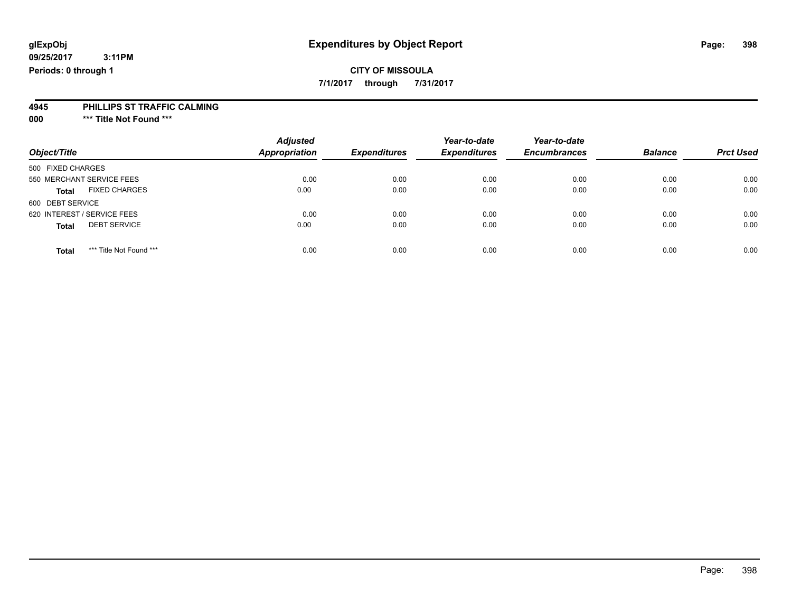### **CITY OF MISSOULA**

**7/1/2017 through 7/31/2017**

#### **4945 PHILLIPS ST TRAFFIC CALMING**

**000 \*\*\* Title Not Found \*\*\***

| Object/Title                            | <b>Adjusted</b><br><b>Appropriation</b> | <b>Expenditures</b> | Year-to-date<br><b>Expenditures</b> | Year-to-date<br><b>Encumbrances</b> | <b>Balance</b> | <b>Prct Used</b> |
|-----------------------------------------|-----------------------------------------|---------------------|-------------------------------------|-------------------------------------|----------------|------------------|
| 500 FIXED CHARGES                       |                                         |                     |                                     |                                     |                |                  |
| 550 MERCHANT SERVICE FEES               | 0.00                                    | 0.00                | 0.00                                | 0.00                                | 0.00           | 0.00             |
| <b>FIXED CHARGES</b><br><b>Total</b>    | 0.00                                    | 0.00                | 0.00                                | 0.00                                | 0.00           | 0.00             |
| 600 DEBT SERVICE                        |                                         |                     |                                     |                                     |                |                  |
| 620 INTEREST / SERVICE FEES             | 0.00                                    | 0.00                | 0.00                                | 0.00                                | 0.00           | 0.00             |
| <b>DEBT SERVICE</b><br><b>Total</b>     | 0.00                                    | 0.00                | 0.00                                | 0.00                                | 0.00           | 0.00             |
| *** Title Not Found ***<br><b>Total</b> | 0.00                                    | 0.00                | 0.00                                | 0.00                                | 0.00           | 0.00             |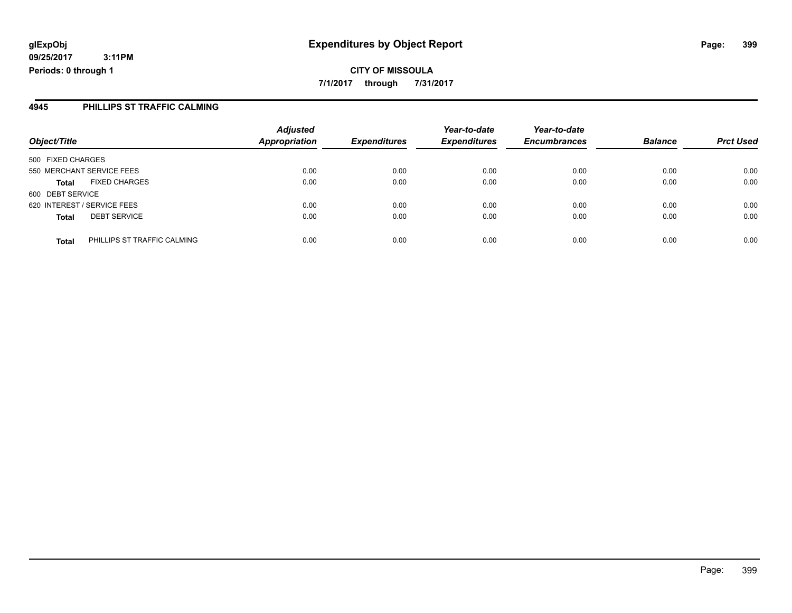**CITY OF MISSOULA 7/1/2017 through 7/31/2017**

#### **4945 PHILLIPS ST TRAFFIC CALMING**

|                             |                             | <b>Adjusted</b>      |                     | Year-to-date        | Year-to-date        | <b>Balance</b> |                  |
|-----------------------------|-----------------------------|----------------------|---------------------|---------------------|---------------------|----------------|------------------|
| Object/Title                |                             | <b>Appropriation</b> | <b>Expenditures</b> | <b>Expenditures</b> | <b>Encumbrances</b> |                | <b>Prct Used</b> |
| 500 FIXED CHARGES           |                             |                      |                     |                     |                     |                |                  |
| 550 MERCHANT SERVICE FEES   |                             | 0.00                 | 0.00                | 0.00                | 0.00                | 0.00           | 0.00             |
| <b>Total</b>                | <b>FIXED CHARGES</b>        | 0.00                 | 0.00                | 0.00                | 0.00                | 0.00           | 0.00             |
| 600 DEBT SERVICE            |                             |                      |                     |                     |                     |                |                  |
| 620 INTEREST / SERVICE FEES |                             | 0.00                 | 0.00                | 0.00                | 0.00                | 0.00           | 0.00             |
| <b>Total</b>                | <b>DEBT SERVICE</b>         | 0.00                 | 0.00                | 0.00                | 0.00                | 0.00           | 0.00             |
| <b>Total</b>                | PHILLIPS ST TRAFFIC CALMING | 0.00                 | 0.00                | 0.00                | 0.00                | 0.00           | 0.00             |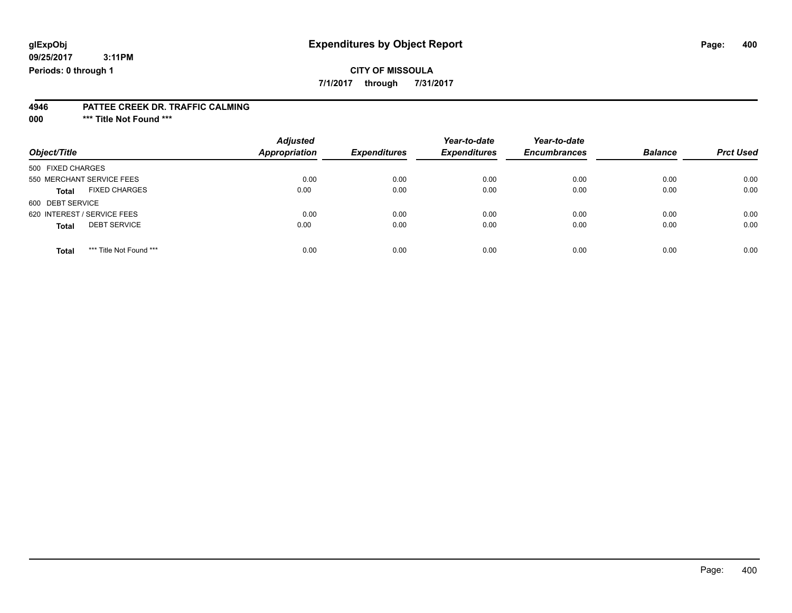### **CITY OF MISSOULA**

**7/1/2017 through 7/31/2017**

#### **4946 PATTEE CREEK DR. TRAFFIC CALMING**

**000 \*\*\* Title Not Found \*\*\***

| Object/Title                            | <b>Adjusted</b><br><b>Appropriation</b> | <b>Expenditures</b> | Year-to-date<br><b>Expenditures</b> | Year-to-date<br><b>Encumbrances</b> | <b>Balance</b> | <b>Prct Used</b> |
|-----------------------------------------|-----------------------------------------|---------------------|-------------------------------------|-------------------------------------|----------------|------------------|
| 500 FIXED CHARGES                       |                                         |                     |                                     |                                     |                |                  |
| 550 MERCHANT SERVICE FEES               | 0.00                                    | 0.00                | 0.00                                | 0.00                                | 0.00           | 0.00             |
| <b>FIXED CHARGES</b><br><b>Total</b>    | 0.00                                    | 0.00                | 0.00                                | 0.00                                | 0.00           | 0.00             |
| 600 DEBT SERVICE                        |                                         |                     |                                     |                                     |                |                  |
| 620 INTEREST / SERVICE FEES             | 0.00                                    | 0.00                | 0.00                                | 0.00                                | 0.00           | 0.00             |
| <b>DEBT SERVICE</b><br><b>Total</b>     | 0.00                                    | 0.00                | 0.00                                | 0.00                                | 0.00           | 0.00             |
| *** Title Not Found ***<br><b>Total</b> | 0.00                                    | 0.00                | 0.00                                | 0.00                                | 0.00           | 0.00             |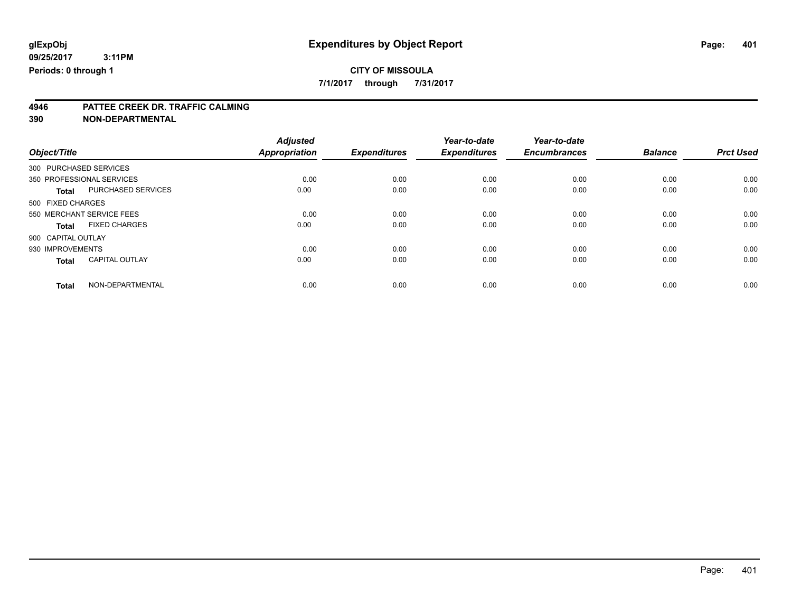**7/1/2017 through 7/31/2017**

# **4946 PATTEE CREEK DR. TRAFFIC CALMING**

**390 NON-DEPARTMENTAL**

**09/25/2017**

**Periods: 0 through 1**

|                        |                           | <b>Adjusted</b>      |                     | Year-to-date        | Year-to-date        |                |                  |
|------------------------|---------------------------|----------------------|---------------------|---------------------|---------------------|----------------|------------------|
| Object/Title           |                           | <b>Appropriation</b> | <b>Expenditures</b> | <b>Expenditures</b> | <b>Encumbrances</b> | <b>Balance</b> | <b>Prct Used</b> |
| 300 PURCHASED SERVICES |                           |                      |                     |                     |                     |                |                  |
|                        | 350 PROFESSIONAL SERVICES | 0.00                 | 0.00                | 0.00                | 0.00                | 0.00           | 0.00             |
| <b>Total</b>           | PURCHASED SERVICES        | 0.00                 | 0.00                | 0.00                | 0.00                | 0.00           | 0.00             |
| 500 FIXED CHARGES      |                           |                      |                     |                     |                     |                |                  |
|                        | 550 MERCHANT SERVICE FEES | 0.00                 | 0.00                | 0.00                | 0.00                | 0.00           | 0.00             |
| Total                  | <b>FIXED CHARGES</b>      | 0.00                 | 0.00                | 0.00                | 0.00                | 0.00           | 0.00             |
| 900 CAPITAL OUTLAY     |                           |                      |                     |                     |                     |                |                  |
| 930 IMPROVEMENTS       |                           | 0.00                 | 0.00                | 0.00                | 0.00                | 0.00           | 0.00             |
| <b>Total</b>           | <b>CAPITAL OUTLAY</b>     | 0.00                 | 0.00                | 0.00                | 0.00                | 0.00           | 0.00             |
| <b>Total</b>           | NON-DEPARTMENTAL          | 0.00                 | 0.00                | 0.00                | 0.00                | 0.00           | 0.00             |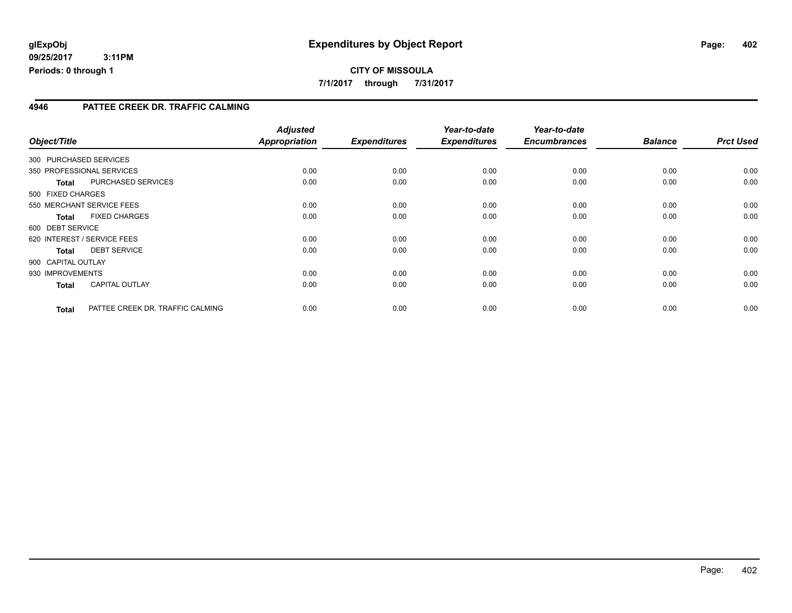#### **4946 PATTEE CREEK DR. TRAFFIC CALMING**

| Object/Title |                                                  | <b>Adjusted</b><br>Appropriation | <b>Expenditures</b> | Year-to-date<br><b>Expenditures</b> | Year-to-date<br><b>Encumbrances</b> | <b>Balance</b> | <b>Prct Used</b> |
|--------------|--------------------------------------------------|----------------------------------|---------------------|-------------------------------------|-------------------------------------|----------------|------------------|
|              | 300 PURCHASED SERVICES                           |                                  |                     |                                     |                                     |                |                  |
|              | 350 PROFESSIONAL SERVICES                        | 0.00                             | 0.00                | 0.00                                | 0.00                                | 0.00           | 0.00             |
|              | PURCHASED SERVICES<br><b>Total</b>               | 0.00                             | 0.00                | 0.00                                | 0.00                                | 0.00           | 0.00             |
|              | 500 FIXED CHARGES                                |                                  |                     |                                     |                                     |                |                  |
|              | 550 MERCHANT SERVICE FEES                        | 0.00                             | 0.00                | 0.00                                | 0.00                                | 0.00           | 0.00             |
|              | <b>FIXED CHARGES</b><br><b>Total</b>             | 0.00                             | 0.00                | 0.00                                | 0.00                                | 0.00           | 0.00             |
|              | 600 DEBT SERVICE                                 |                                  |                     |                                     |                                     |                |                  |
|              | 620 INTEREST / SERVICE FEES                      | 0.00                             | 0.00                | 0.00                                | 0.00                                | 0.00           | 0.00             |
|              | <b>DEBT SERVICE</b><br><b>Total</b>              | 0.00                             | 0.00                | 0.00                                | 0.00                                | 0.00           | 0.00             |
|              | 900 CAPITAL OUTLAY                               |                                  |                     |                                     |                                     |                |                  |
|              | 930 IMPROVEMENTS                                 | 0.00                             | 0.00                | 0.00                                | 0.00                                | 0.00           | 0.00             |
|              | <b>CAPITAL OUTLAY</b><br><b>Total</b>            | 0.00                             | 0.00                | 0.00                                | 0.00                                | 0.00           | 0.00             |
|              | PATTEE CREEK DR. TRAFFIC CALMING<br><b>Total</b> | 0.00                             | 0.00                | 0.00                                | 0.00                                | 0.00           | 0.00             |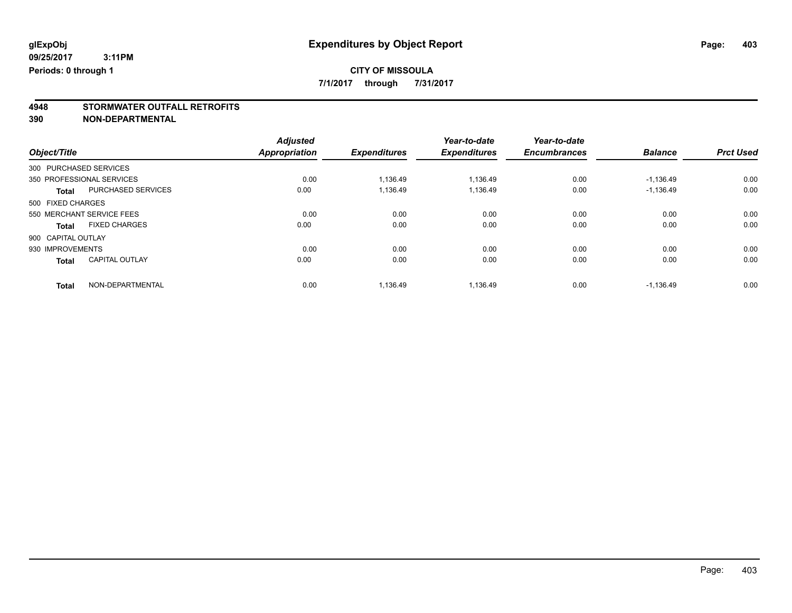**7/1/2017 through 7/31/2017**

# **4948 STORMWATER OUTFALL RETROFITS**

**390 NON-DEPARTMENTAL**

|                        |                           | <b>Adjusted</b> |                     | Year-to-date        | Year-to-date        |                |                  |
|------------------------|---------------------------|-----------------|---------------------|---------------------|---------------------|----------------|------------------|
| Object/Title           |                           | Appropriation   | <b>Expenditures</b> | <b>Expenditures</b> | <b>Encumbrances</b> | <b>Balance</b> | <b>Prct Used</b> |
| 300 PURCHASED SERVICES |                           |                 |                     |                     |                     |                |                  |
|                        | 350 PROFESSIONAL SERVICES | 0.00            | 1,136.49            | 1,136.49            | 0.00                | $-1,136.49$    | 0.00             |
| <b>Total</b>           | <b>PURCHASED SERVICES</b> | 0.00            | 1,136.49            | 1,136.49            | 0.00                | $-1,136.49$    | 0.00             |
| 500 FIXED CHARGES      |                           |                 |                     |                     |                     |                |                  |
|                        | 550 MERCHANT SERVICE FEES | 0.00            | 0.00                | 0.00                | 0.00                | 0.00           | 0.00             |
| <b>Total</b>           | <b>FIXED CHARGES</b>      | 0.00            | 0.00                | 0.00                | 0.00                | 0.00           | 0.00             |
| 900 CAPITAL OUTLAY     |                           |                 |                     |                     |                     |                |                  |
| 930 IMPROVEMENTS       |                           | 0.00            | 0.00                | 0.00                | 0.00                | 0.00           | 0.00             |
| <b>Total</b>           | <b>CAPITAL OUTLAY</b>     | 0.00            | 0.00                | 0.00                | 0.00                | 0.00           | 0.00             |
| Total                  | NON-DEPARTMENTAL          | 0.00            | 1,136.49            | 1.136.49            | 0.00                | $-1.136.49$    | 0.00             |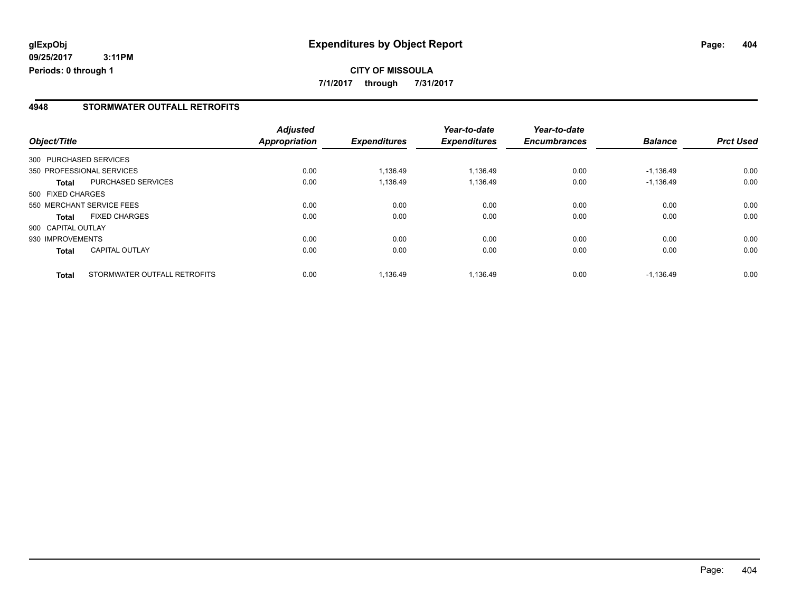#### **4948 STORMWATER OUTFALL RETROFITS**

|                    |                              | <b>Adjusted</b>      |                     | Year-to-date        | Year-to-date        |                |                  |
|--------------------|------------------------------|----------------------|---------------------|---------------------|---------------------|----------------|------------------|
| Object/Title       |                              | <b>Appropriation</b> | <b>Expenditures</b> | <b>Expenditures</b> | <b>Encumbrances</b> | <b>Balance</b> | <b>Prct Used</b> |
|                    | 300 PURCHASED SERVICES       |                      |                     |                     |                     |                |                  |
|                    | 350 PROFESSIONAL SERVICES    | 0.00                 | 1,136.49            | 1.136.49            | 0.00                | $-1.136.49$    | 0.00             |
| Total              | PURCHASED SERVICES           | 0.00                 | 1,136.49            | 1,136.49            | 0.00                | $-1,136.49$    | 0.00             |
| 500 FIXED CHARGES  |                              |                      |                     |                     |                     |                |                  |
|                    | 550 MERCHANT SERVICE FEES    | 0.00                 | 0.00                | 0.00                | 0.00                | 0.00           | 0.00             |
| <b>Total</b>       | <b>FIXED CHARGES</b>         | 0.00                 | 0.00                | 0.00                | 0.00                | 0.00           | 0.00             |
| 900 CAPITAL OUTLAY |                              |                      |                     |                     |                     |                |                  |
| 930 IMPROVEMENTS   |                              | 0.00                 | 0.00                | 0.00                | 0.00                | 0.00           | 0.00             |
| <b>Total</b>       | <b>CAPITAL OUTLAY</b>        | 0.00                 | 0.00                | 0.00                | 0.00                | 0.00           | 0.00             |
| <b>Total</b>       | STORMWATER OUTFALL RETROFITS | 0.00                 | 1.136.49            | 1.136.49            | 0.00                | $-1.136.49$    | 0.00             |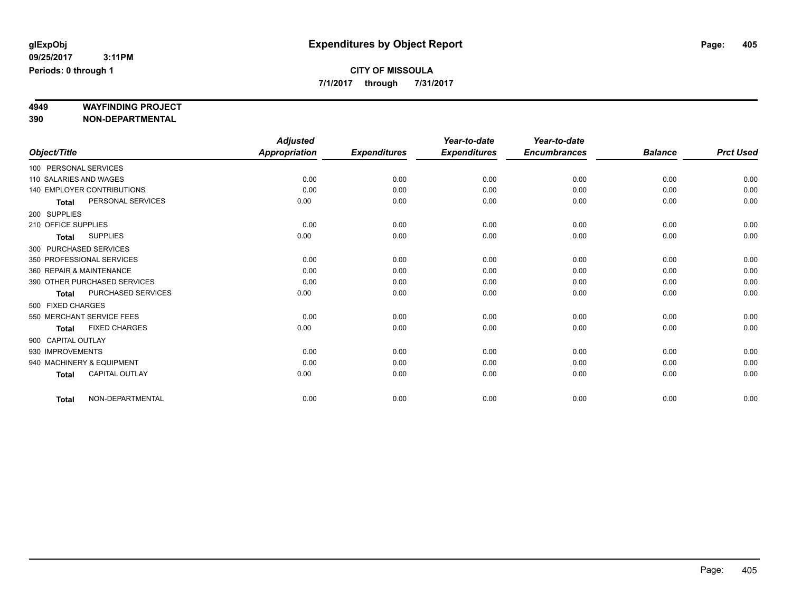**7/1/2017 through 7/31/2017**

# **4949 WAYFINDING PROJECT**

**390 NON-DEPARTMENTAL**

|                     |                                   | <b>Adjusted</b>      |                     | Year-to-date        | Year-to-date        |                |                  |
|---------------------|-----------------------------------|----------------------|---------------------|---------------------|---------------------|----------------|------------------|
| Object/Title        |                                   | <b>Appropriation</b> | <b>Expenditures</b> | <b>Expenditures</b> | <b>Encumbrances</b> | <b>Balance</b> | <b>Prct Used</b> |
|                     | 100 PERSONAL SERVICES             |                      |                     |                     |                     |                |                  |
|                     | 110 SALARIES AND WAGES            | 0.00                 | 0.00                | 0.00                | 0.00                | 0.00           | 0.00             |
|                     | <b>140 EMPLOYER CONTRIBUTIONS</b> | 0.00                 | 0.00                | 0.00                | 0.00                | 0.00           | 0.00             |
| <b>Total</b>        | PERSONAL SERVICES                 | 0.00                 | 0.00                | 0.00                | 0.00                | 0.00           | 0.00             |
| 200 SUPPLIES        |                                   |                      |                     |                     |                     |                |                  |
| 210 OFFICE SUPPLIES |                                   | 0.00                 | 0.00                | 0.00                | 0.00                | 0.00           | 0.00             |
| <b>Total</b>        | <b>SUPPLIES</b>                   | 0.00                 | 0.00                | 0.00                | 0.00                | 0.00           | 0.00             |
|                     | 300 PURCHASED SERVICES            |                      |                     |                     |                     |                |                  |
|                     | 350 PROFESSIONAL SERVICES         | 0.00                 | 0.00                | 0.00                | 0.00                | 0.00           | 0.00             |
|                     | 360 REPAIR & MAINTENANCE          | 0.00                 | 0.00                | 0.00                | 0.00                | 0.00           | 0.00             |
|                     | 390 OTHER PURCHASED SERVICES      | 0.00                 | 0.00                | 0.00                | 0.00                | 0.00           | 0.00             |
| <b>Total</b>        | PURCHASED SERVICES                | 0.00                 | 0.00                | 0.00                | 0.00                | 0.00           | 0.00             |
| 500 FIXED CHARGES   |                                   |                      |                     |                     |                     |                |                  |
|                     | 550 MERCHANT SERVICE FEES         | 0.00                 | 0.00                | 0.00                | 0.00                | 0.00           | 0.00             |
| <b>Total</b>        | <b>FIXED CHARGES</b>              | 0.00                 | 0.00                | 0.00                | 0.00                | 0.00           | 0.00             |
| 900 CAPITAL OUTLAY  |                                   |                      |                     |                     |                     |                |                  |
| 930 IMPROVEMENTS    |                                   | 0.00                 | 0.00                | 0.00                | 0.00                | 0.00           | 0.00             |
|                     | 940 MACHINERY & EQUIPMENT         | 0.00                 | 0.00                | 0.00                | 0.00                | 0.00           | 0.00             |
| <b>Total</b>        | <b>CAPITAL OUTLAY</b>             | 0.00                 | 0.00                | 0.00                | 0.00                | 0.00           | 0.00             |
| <b>Total</b>        | NON-DEPARTMENTAL                  | 0.00                 | 0.00                | 0.00                | 0.00                | 0.00           | 0.00             |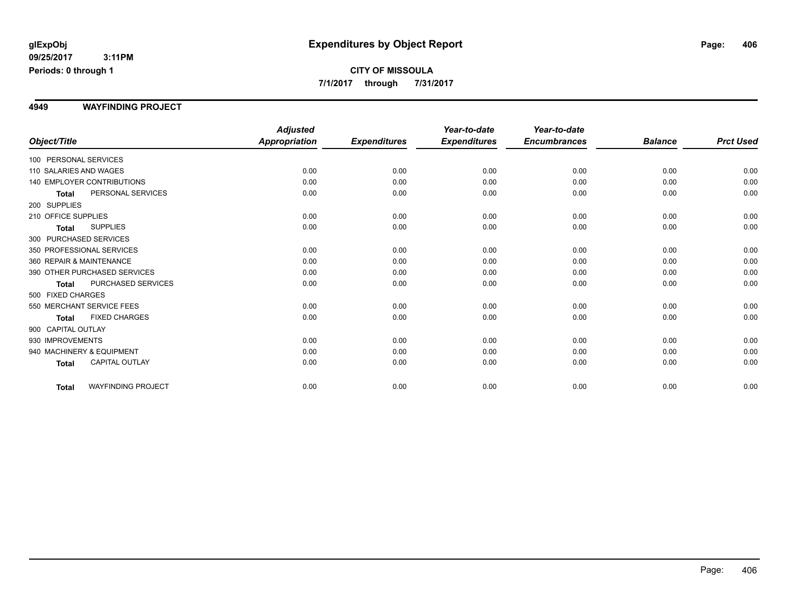#### **4949 WAYFINDING PROJECT**

|                                   |                           | <b>Adjusted</b> |                     | Year-to-date        | Year-to-date        |                |                  |
|-----------------------------------|---------------------------|-----------------|---------------------|---------------------|---------------------|----------------|------------------|
| Object/Title                      |                           | Appropriation   | <b>Expenditures</b> | <b>Expenditures</b> | <b>Encumbrances</b> | <b>Balance</b> | <b>Prct Used</b> |
| 100 PERSONAL SERVICES             |                           |                 |                     |                     |                     |                |                  |
| 110 SALARIES AND WAGES            |                           | 0.00            | 0.00                | 0.00                | 0.00                | 0.00           | 0.00             |
| <b>140 EMPLOYER CONTRIBUTIONS</b> |                           | 0.00            | 0.00                | 0.00                | 0.00                | 0.00           | 0.00             |
| <b>Total</b>                      | PERSONAL SERVICES         | 0.00            | 0.00                | 0.00                | 0.00                | 0.00           | 0.00             |
| 200 SUPPLIES                      |                           |                 |                     |                     |                     |                |                  |
| 210 OFFICE SUPPLIES               |                           | 0.00            | 0.00                | 0.00                | 0.00                | 0.00           | 0.00             |
| <b>Total</b>                      | <b>SUPPLIES</b>           | 0.00            | 0.00                | 0.00                | 0.00                | 0.00           | 0.00             |
| 300 PURCHASED SERVICES            |                           |                 |                     |                     |                     |                |                  |
| 350 PROFESSIONAL SERVICES         |                           | 0.00            | 0.00                | 0.00                | 0.00                | 0.00           | 0.00             |
| 360 REPAIR & MAINTENANCE          |                           | 0.00            | 0.00                | 0.00                | 0.00                | 0.00           | 0.00             |
| 390 OTHER PURCHASED SERVICES      |                           | 0.00            | 0.00                | 0.00                | 0.00                | 0.00           | 0.00             |
| <b>Total</b>                      | <b>PURCHASED SERVICES</b> | 0.00            | 0.00                | 0.00                | 0.00                | 0.00           | 0.00             |
| 500 FIXED CHARGES                 |                           |                 |                     |                     |                     |                |                  |
| 550 MERCHANT SERVICE FEES         |                           | 0.00            | 0.00                | 0.00                | 0.00                | 0.00           | 0.00             |
| <b>Total</b>                      | <b>FIXED CHARGES</b>      | 0.00            | 0.00                | 0.00                | 0.00                | 0.00           | 0.00             |
| 900 CAPITAL OUTLAY                |                           |                 |                     |                     |                     |                |                  |
| 930 IMPROVEMENTS                  |                           | 0.00            | 0.00                | 0.00                | 0.00                | 0.00           | 0.00             |
| 940 MACHINERY & EQUIPMENT         |                           | 0.00            | 0.00                | 0.00                | 0.00                | 0.00           | 0.00             |
| <b>Total</b>                      | CAPITAL OUTLAY            | 0.00            | 0.00                | 0.00                | 0.00                | 0.00           | 0.00             |
|                                   |                           |                 |                     |                     |                     |                |                  |
| <b>Total</b>                      | <b>WAYFINDING PROJECT</b> | 0.00            | 0.00                | 0.00                | 0.00                | 0.00           | 0.00             |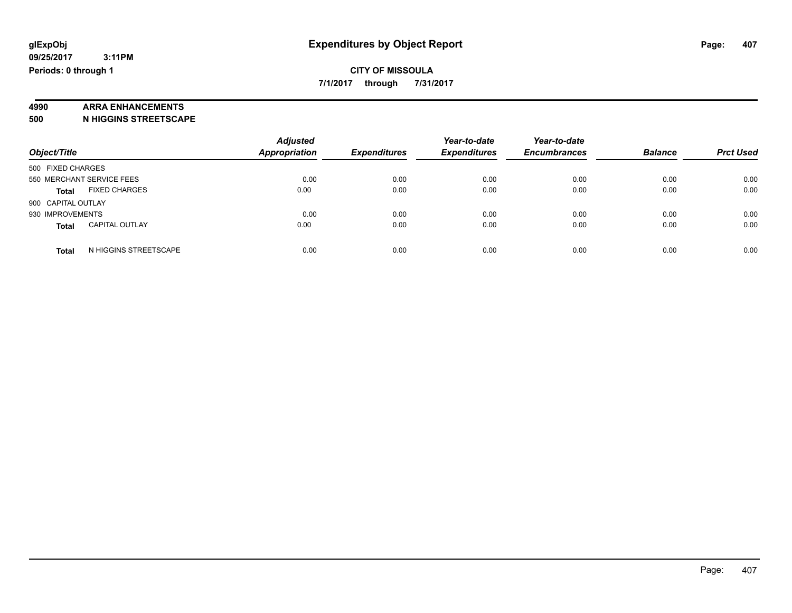**7/1/2017 through 7/31/2017**

# **4990 ARRA ENHANCEMENTS**

**500 N HIGGINS STREETSCAPE**

| Object/Title                          | <b>Adjusted</b><br><b>Appropriation</b> | <b>Expenditures</b> | Year-to-date<br><b>Expenditures</b> | Year-to-date<br><b>Encumbrances</b> | <b>Balance</b> | <b>Prct Used</b> |
|---------------------------------------|-----------------------------------------|---------------------|-------------------------------------|-------------------------------------|----------------|------------------|
| 500 FIXED CHARGES                     |                                         |                     |                                     |                                     |                |                  |
| 550 MERCHANT SERVICE FEES             | 0.00                                    | 0.00                | 0.00                                | 0.00                                | 0.00           | 0.00             |
| <b>FIXED CHARGES</b><br><b>Total</b>  | 0.00                                    | 0.00                | 0.00                                | 0.00                                | 0.00           | 0.00             |
| 900 CAPITAL OUTLAY                    |                                         |                     |                                     |                                     |                |                  |
| 930 IMPROVEMENTS                      | 0.00                                    | 0.00                | 0.00                                | 0.00                                | 0.00           | 0.00             |
| <b>CAPITAL OUTLAY</b><br><b>Total</b> | 0.00                                    | 0.00                | 0.00                                | 0.00                                | 0.00           | 0.00             |
| N HIGGINS STREETSCAPE<br><b>Total</b> | 0.00                                    | 0.00                | 0.00                                | 0.00                                | 0.00           | 0.00             |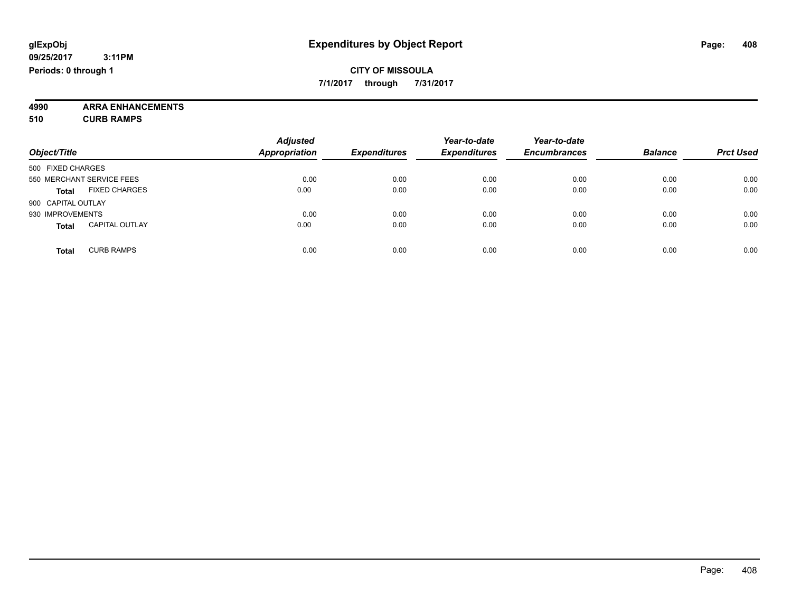**7/1/2017 through 7/31/2017**

**4990 ARRA ENHANCEMENTS 510 CURB RAMPS**

| Object/Title                          | <b>Adjusted</b><br><b>Appropriation</b> | <b>Expenditures</b> | Year-to-date<br><b>Expenditures</b> | Year-to-date<br><b>Encumbrances</b> | <b>Balance</b> | <b>Prct Used</b> |
|---------------------------------------|-----------------------------------------|---------------------|-------------------------------------|-------------------------------------|----------------|------------------|
| 500 FIXED CHARGES                     |                                         |                     |                                     |                                     |                |                  |
| 550 MERCHANT SERVICE FEES             | 0.00                                    | 0.00                | 0.00                                | 0.00                                | 0.00           | 0.00             |
| <b>FIXED CHARGES</b><br><b>Total</b>  | 0.00                                    | 0.00                | 0.00                                | 0.00                                | 0.00           | 0.00             |
| 900 CAPITAL OUTLAY                    |                                         |                     |                                     |                                     |                |                  |
| 930 IMPROVEMENTS                      | 0.00                                    | 0.00                | 0.00                                | 0.00                                | 0.00           | 0.00             |
| <b>CAPITAL OUTLAY</b><br><b>Total</b> | 0.00                                    | 0.00                | 0.00                                | 0.00                                | 0.00           | 0.00             |
| <b>CURB RAMPS</b><br>Total            | 0.00                                    | 0.00                | 0.00                                | 0.00                                | 0.00           | 0.00             |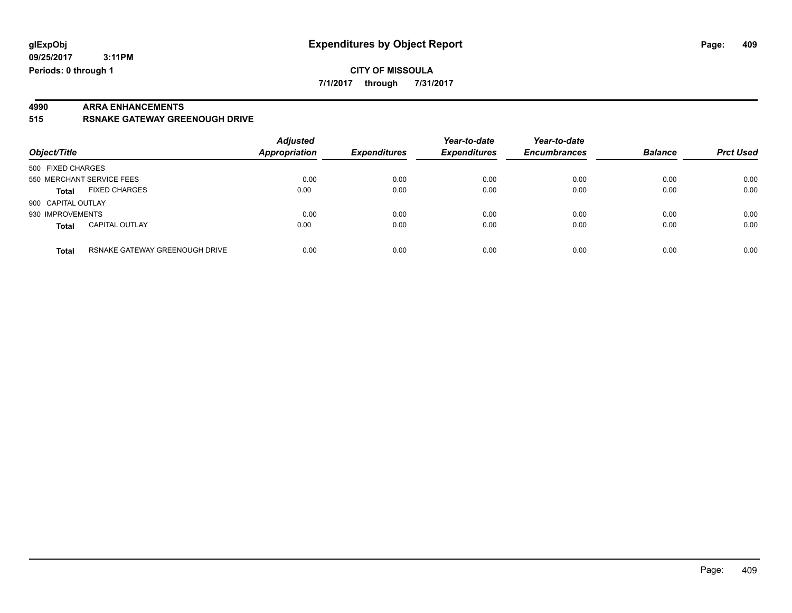# **4990 ARRA ENHANCEMENTS**

**515 RSNAKE GATEWAY GREENOUGH DRIVE**

| Object/Title       |                                | <b>Adjusted</b><br>Appropriation | <b>Expenditures</b> | Year-to-date<br><b>Expenditures</b> | Year-to-date<br><b>Encumbrances</b> | <b>Balance</b> | <b>Prct Used</b> |
|--------------------|--------------------------------|----------------------------------|---------------------|-------------------------------------|-------------------------------------|----------------|------------------|
| 500 FIXED CHARGES  |                                |                                  |                     |                                     |                                     |                |                  |
|                    | 550 MERCHANT SERVICE FEES      | 0.00                             | 0.00                | 0.00                                | 0.00                                | 0.00           | 0.00             |
| <b>Total</b>       | <b>FIXED CHARGES</b>           | 0.00                             | 0.00                | 0.00                                | 0.00                                | 0.00           | 0.00             |
| 900 CAPITAL OUTLAY |                                |                                  |                     |                                     |                                     |                |                  |
| 930 IMPROVEMENTS   |                                | 0.00                             | 0.00                | 0.00                                | 0.00                                | 0.00           | 0.00             |
| <b>Total</b>       | <b>CAPITAL OUTLAY</b>          | 0.00                             | 0.00                | 0.00                                | 0.00                                | 0.00           | 0.00             |
| <b>Total</b>       | RSNAKE GATEWAY GREENOUGH DRIVE | 0.00                             | 0.00                | 0.00                                | 0.00                                | 0.00           | 0.00             |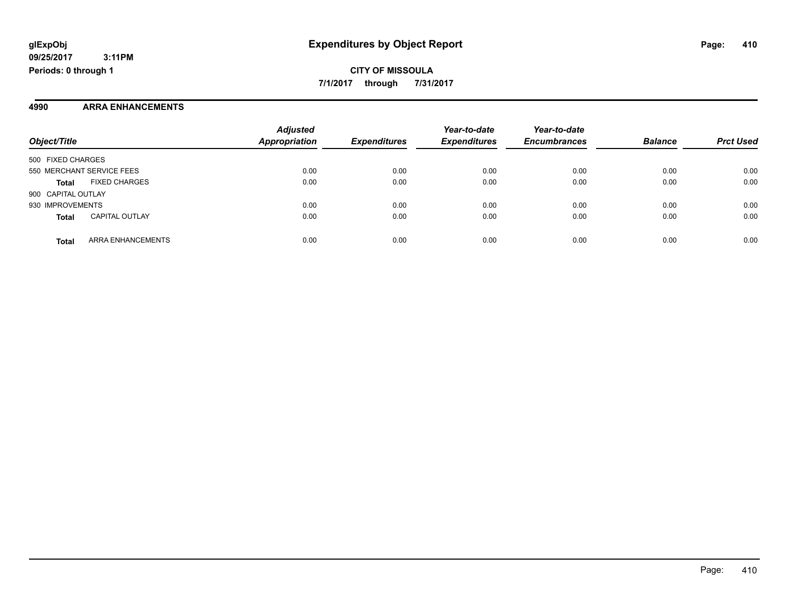#### **4990 ARRA ENHANCEMENTS**

| Object/Title       |                           | <b>Adjusted</b><br><b>Appropriation</b> | <b>Expenditures</b> | Year-to-date<br><b>Expenditures</b> | Year-to-date<br><b>Encumbrances</b> | <b>Balance</b> | <b>Prct Used</b> |
|--------------------|---------------------------|-----------------------------------------|---------------------|-------------------------------------|-------------------------------------|----------------|------------------|
|                    |                           |                                         |                     |                                     |                                     |                |                  |
| 500 FIXED CHARGES  |                           |                                         |                     |                                     |                                     |                |                  |
|                    | 550 MERCHANT SERVICE FEES | 0.00                                    | 0.00                | 0.00                                | 0.00                                | 0.00           | 0.00             |
| <b>Total</b>       | <b>FIXED CHARGES</b>      | 0.00                                    | 0.00                | 0.00                                | 0.00                                | 0.00           | 0.00             |
| 900 CAPITAL OUTLAY |                           |                                         |                     |                                     |                                     |                |                  |
| 930 IMPROVEMENTS   |                           | 0.00                                    | 0.00                | 0.00                                | 0.00                                | 0.00           | 0.00             |
| <b>Total</b>       | <b>CAPITAL OUTLAY</b>     | 0.00                                    | 0.00                | 0.00                                | 0.00                                | 0.00           | 0.00             |
| <b>Total</b>       | ARRA ENHANCEMENTS         | 0.00                                    | 0.00                | 0.00                                | 0.00                                | 0.00           | 0.00             |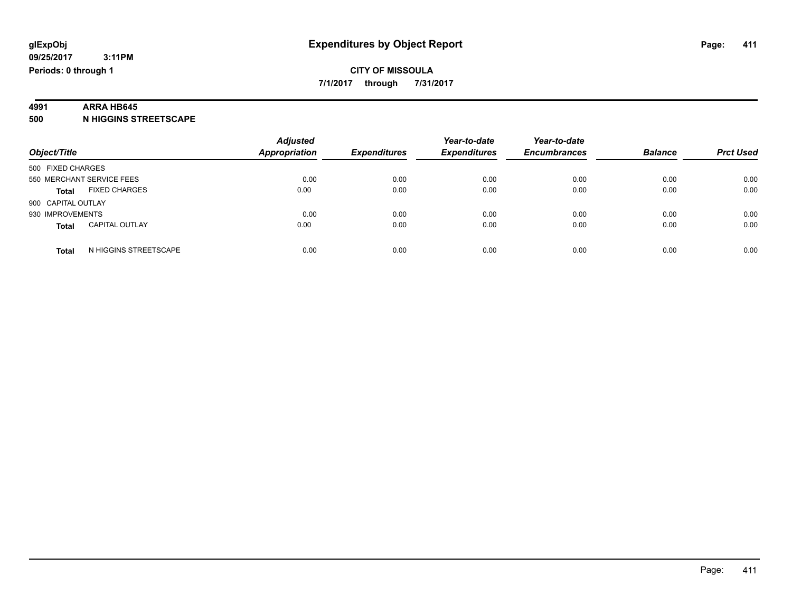### **4991 ARRA HB645**

**500 N HIGGINS STREETSCAPE**

|                                       | <b>Adjusted</b>      |                     | Year-to-date        | Year-to-date        |                |                  |
|---------------------------------------|----------------------|---------------------|---------------------|---------------------|----------------|------------------|
| Object/Title                          | <b>Appropriation</b> | <b>Expenditures</b> | <b>Expenditures</b> | <b>Encumbrances</b> | <b>Balance</b> | <b>Prct Used</b> |
| 500 FIXED CHARGES                     |                      |                     |                     |                     |                |                  |
| 550 MERCHANT SERVICE FEES             | 0.00                 | 0.00                | 0.00                | 0.00                | 0.00           | 0.00             |
| <b>FIXED CHARGES</b><br><b>Total</b>  | 0.00                 | 0.00                | 0.00                | 0.00                | 0.00           | 0.00             |
| 900 CAPITAL OUTLAY                    |                      |                     |                     |                     |                |                  |
| 930 IMPROVEMENTS                      | 0.00                 | 0.00                | 0.00                | 0.00                | 0.00           | 0.00             |
| <b>CAPITAL OUTLAY</b><br><b>Total</b> | 0.00                 | 0.00                | 0.00                | 0.00                | 0.00           | 0.00             |
| N HIGGINS STREETSCAPE<br><b>Total</b> | 0.00                 | 0.00                | 0.00                | 0.00                | 0.00           | 0.00             |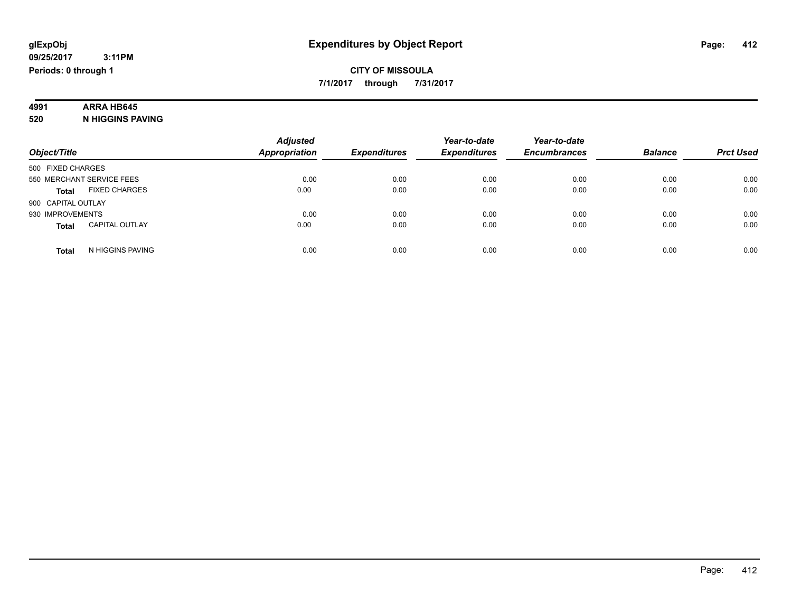# **4991 ARRA HB645**

**520 N HIGGINS PAVING**

|                                       | <b>Adjusted</b>      |                     | Year-to-date        | Year-to-date<br><b>Encumbrances</b> | <b>Balance</b> | <b>Prct Used</b> |
|---------------------------------------|----------------------|---------------------|---------------------|-------------------------------------|----------------|------------------|
| Object/Title                          | <b>Appropriation</b> | <b>Expenditures</b> | <b>Expenditures</b> |                                     |                |                  |
| 500 FIXED CHARGES                     |                      |                     |                     |                                     |                |                  |
| 550 MERCHANT SERVICE FEES             | 0.00                 | 0.00                | 0.00                | 0.00                                | 0.00           | 0.00             |
| <b>FIXED CHARGES</b><br>Total         | 0.00                 | 0.00                | 0.00                | 0.00                                | 0.00           | 0.00             |
| 900 CAPITAL OUTLAY                    |                      |                     |                     |                                     |                |                  |
| 930 IMPROVEMENTS                      | 0.00                 | 0.00                | 0.00                | 0.00                                | 0.00           | 0.00             |
| <b>CAPITAL OUTLAY</b><br><b>Total</b> | 0.00                 | 0.00                | 0.00                | 0.00                                | 0.00           | 0.00             |
| N HIGGINS PAVING<br>Total             | 0.00                 | 0.00                | 0.00                | 0.00                                | 0.00           | 0.00             |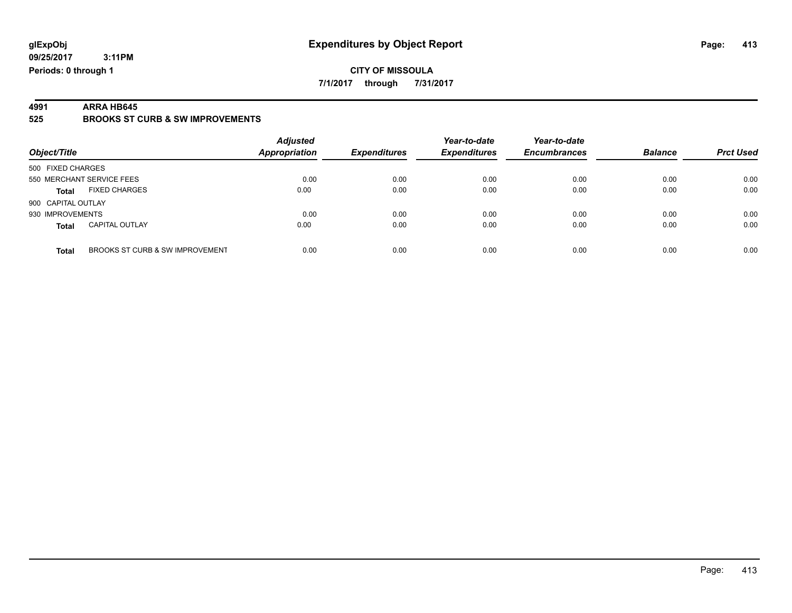**4991 ARRA HB645 525 BROOKS ST CURB & SW IMPROVEMENTS**

| Object/Title                                    | <b>Adjusted</b><br><b>Appropriation</b> | <b>Expenditures</b> | Year-to-date<br><b>Expenditures</b> | Year-to-date<br><b>Encumbrances</b> | <b>Balance</b> | <b>Prct Used</b> |
|-------------------------------------------------|-----------------------------------------|---------------------|-------------------------------------|-------------------------------------|----------------|------------------|
| 500 FIXED CHARGES                               |                                         |                     |                                     |                                     |                |                  |
| 550 MERCHANT SERVICE FEES                       | 0.00                                    | 0.00                | 0.00                                | 0.00                                | 0.00           | 0.00             |
| <b>FIXED CHARGES</b><br>Total                   | 0.00                                    | 0.00                | 0.00                                | 0.00                                | 0.00           | 0.00             |
| 900 CAPITAL OUTLAY                              |                                         |                     |                                     |                                     |                |                  |
| 930 IMPROVEMENTS                                | 0.00                                    | 0.00                | 0.00                                | 0.00                                | 0.00           | 0.00             |
| <b>CAPITAL OUTLAY</b><br><b>Total</b>           | 0.00                                    | 0.00                | 0.00                                | 0.00                                | 0.00           | 0.00             |
| BROOKS ST CURB & SW IMPROVEMENT<br><b>Total</b> | 0.00                                    | 0.00                | 0.00                                | 0.00                                | 0.00           | 0.00             |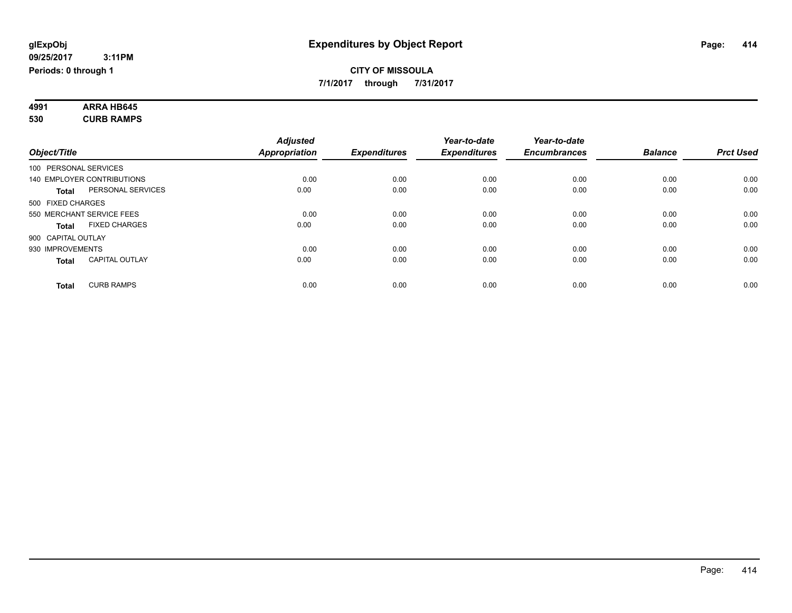#### **4991 ARRA HB645 530 CURB RAMPS**

| Object/Title       |                            | <b>Adjusted</b><br><b>Appropriation</b> | <b>Expenditures</b> | Year-to-date<br><b>Expenditures</b> | Year-to-date<br><b>Encumbrances</b> | <b>Balance</b> | <b>Prct Used</b> |
|--------------------|----------------------------|-----------------------------------------|---------------------|-------------------------------------|-------------------------------------|----------------|------------------|
|                    | 100 PERSONAL SERVICES      |                                         |                     |                                     |                                     |                |                  |
|                    | 140 EMPLOYER CONTRIBUTIONS | 0.00                                    | 0.00                | 0.00                                | 0.00                                | 0.00           | 0.00             |
| <b>Total</b>       | PERSONAL SERVICES          | 0.00                                    | 0.00                | 0.00                                | 0.00                                | 0.00           | 0.00             |
| 500 FIXED CHARGES  |                            |                                         |                     |                                     |                                     |                |                  |
|                    | 550 MERCHANT SERVICE FEES  | 0.00                                    | 0.00                | 0.00                                | 0.00                                | 0.00           | 0.00             |
| <b>Total</b>       | <b>FIXED CHARGES</b>       | 0.00                                    | 0.00                | 0.00                                | 0.00                                | 0.00           | 0.00             |
| 900 CAPITAL OUTLAY |                            |                                         |                     |                                     |                                     |                |                  |
| 930 IMPROVEMENTS   |                            | 0.00                                    | 0.00                | 0.00                                | 0.00                                | 0.00           | 0.00             |
| <b>Total</b>       | <b>CAPITAL OUTLAY</b>      | 0.00                                    | 0.00                | 0.00                                | 0.00                                | 0.00           | 0.00             |
| <b>Total</b>       | <b>CURB RAMPS</b>          | 0.00                                    | 0.00                | 0.00                                | 0.00                                | 0.00           | 0.00             |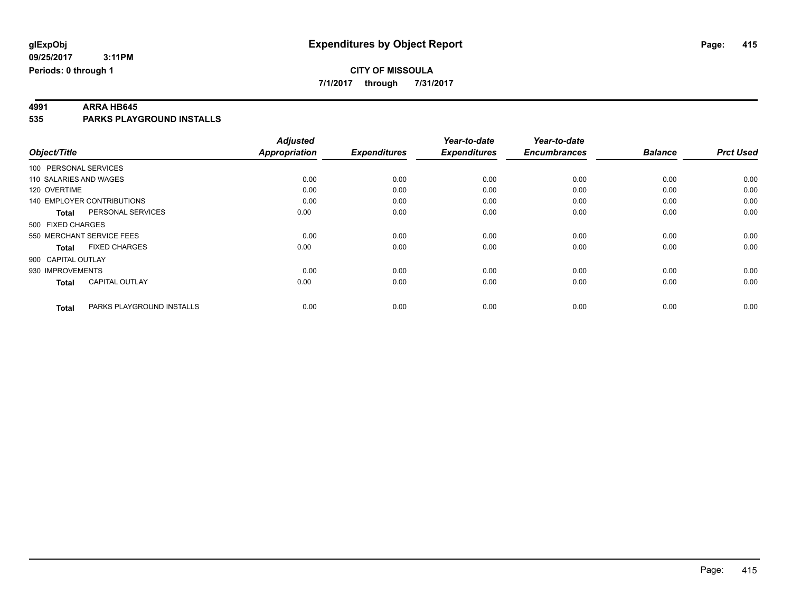**7/1/2017 through 7/31/2017**

**4991 ARRA HB645 535 PARKS PLAYGROUND INSTALLS**

| Object/Title           |                            | <b>Adjusted</b>      | <b>Expenditures</b> | Year-to-date<br><b>Expenditures</b> | Year-to-date<br><b>Encumbrances</b> | <b>Balance</b> | <b>Prct Used</b> |
|------------------------|----------------------------|----------------------|---------------------|-------------------------------------|-------------------------------------|----------------|------------------|
|                        |                            | <b>Appropriation</b> |                     |                                     |                                     |                |                  |
| 100 PERSONAL SERVICES  |                            |                      |                     |                                     |                                     |                |                  |
| 110 SALARIES AND WAGES |                            | 0.00                 | 0.00                | 0.00                                | 0.00                                | 0.00           | 0.00             |
| 120 OVERTIME           |                            | 0.00                 | 0.00                | 0.00                                | 0.00                                | 0.00           | 0.00             |
|                        | 140 EMPLOYER CONTRIBUTIONS | 0.00                 | 0.00                | 0.00                                | 0.00                                | 0.00           | 0.00             |
| Total                  | PERSONAL SERVICES          | 0.00                 | 0.00                | 0.00                                | 0.00                                | 0.00           | 0.00             |
| 500 FIXED CHARGES      |                            |                      |                     |                                     |                                     |                |                  |
|                        | 550 MERCHANT SERVICE FEES  | 0.00                 | 0.00                | 0.00                                | 0.00                                | 0.00           | 0.00             |
| <b>Total</b>           | <b>FIXED CHARGES</b>       | 0.00                 | 0.00                | 0.00                                | 0.00                                | 0.00           | 0.00             |
| 900 CAPITAL OUTLAY     |                            |                      |                     |                                     |                                     |                |                  |
| 930 IMPROVEMENTS       |                            | 0.00                 | 0.00                | 0.00                                | 0.00                                | 0.00           | 0.00             |
| <b>Total</b>           | <b>CAPITAL OUTLAY</b>      | 0.00                 | 0.00                | 0.00                                | 0.00                                | 0.00           | 0.00             |
| <b>Total</b>           | PARKS PLAYGROUND INSTALLS  | 0.00                 | 0.00                | 0.00                                | 0.00                                | 0.00           | 0.00             |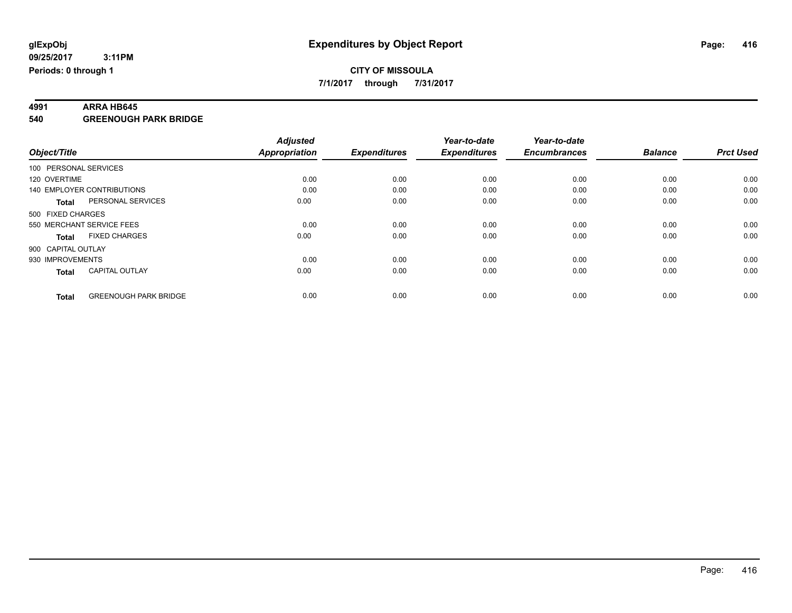**4991 ARRA HB645 540 GREENOUGH PARK BRIDGE**

|                                              | <b>Adjusted</b>      |                     | Year-to-date        | Year-to-date        |                |                  |
|----------------------------------------------|----------------------|---------------------|---------------------|---------------------|----------------|------------------|
| Object/Title                                 | <b>Appropriation</b> | <b>Expenditures</b> | <b>Expenditures</b> | <b>Encumbrances</b> | <b>Balance</b> | <b>Prct Used</b> |
| 100 PERSONAL SERVICES                        |                      |                     |                     |                     |                |                  |
| 120 OVERTIME                                 | 0.00                 | 0.00                | 0.00                | 0.00                | 0.00           | 0.00             |
| 140 EMPLOYER CONTRIBUTIONS                   | 0.00                 | 0.00                | 0.00                | 0.00                | 0.00           | 0.00             |
| PERSONAL SERVICES<br>Total                   | 0.00                 | 0.00                | 0.00                | 0.00                | 0.00           | 0.00             |
| 500 FIXED CHARGES                            |                      |                     |                     |                     |                |                  |
| 550 MERCHANT SERVICE FEES                    | 0.00                 | 0.00                | 0.00                | 0.00                | 0.00           | 0.00             |
| <b>FIXED CHARGES</b><br>Total                | 0.00                 | 0.00                | 0.00                | 0.00                | 0.00           | 0.00             |
| 900 CAPITAL OUTLAY                           |                      |                     |                     |                     |                |                  |
| 930 IMPROVEMENTS                             | 0.00                 | 0.00                | 0.00                | 0.00                | 0.00           | 0.00             |
| <b>CAPITAL OUTLAY</b><br><b>Total</b>        | 0.00                 | 0.00                | 0.00                | 0.00                | 0.00           | 0.00             |
| <b>GREENOUGH PARK BRIDGE</b><br><b>Total</b> | 0.00                 | 0.00                | 0.00                | 0.00                | 0.00           | 0.00             |
|                                              |                      |                     |                     |                     |                |                  |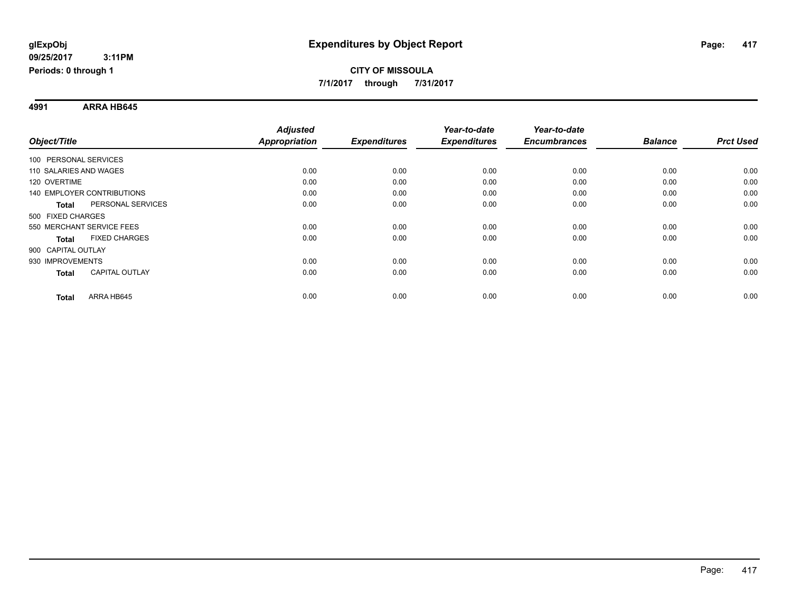**4991 ARRA HB645**

|                                   |                       | <b>Adjusted</b>      |                     | Year-to-date        | Year-to-date        |                |                  |
|-----------------------------------|-----------------------|----------------------|---------------------|---------------------|---------------------|----------------|------------------|
| Object/Title                      |                       | <b>Appropriation</b> | <b>Expenditures</b> | <b>Expenditures</b> | <b>Encumbrances</b> | <b>Balance</b> | <b>Prct Used</b> |
| 100 PERSONAL SERVICES             |                       |                      |                     |                     |                     |                |                  |
| 110 SALARIES AND WAGES            |                       | 0.00                 | 0.00                | 0.00                | 0.00                | 0.00           | 0.00             |
| 120 OVERTIME                      |                       | 0.00                 | 0.00                | 0.00                | 0.00                | 0.00           | 0.00             |
| <b>140 EMPLOYER CONTRIBUTIONS</b> |                       | 0.00                 | 0.00                | 0.00                | 0.00                | 0.00           | 0.00             |
| <b>Total</b>                      | PERSONAL SERVICES     | 0.00                 | 0.00                | 0.00                | 0.00                | 0.00           | 0.00             |
| 500 FIXED CHARGES                 |                       |                      |                     |                     |                     |                |                  |
| 550 MERCHANT SERVICE FEES         |                       | 0.00                 | 0.00                | 0.00                | 0.00                | 0.00           | 0.00             |
| <b>Total</b>                      | <b>FIXED CHARGES</b>  | 0.00                 | 0.00                | 0.00                | 0.00                | 0.00           | 0.00             |
| 900 CAPITAL OUTLAY                |                       |                      |                     |                     |                     |                |                  |
| 930 IMPROVEMENTS                  |                       | 0.00                 | 0.00                | 0.00                | 0.00                | 0.00           | 0.00             |
| <b>Total</b>                      | <b>CAPITAL OUTLAY</b> | 0.00                 | 0.00                | 0.00                | 0.00                | 0.00           | 0.00             |
| <b>Total</b>                      | ARRA HB645            | 0.00                 | 0.00                | 0.00                | 0.00                | 0.00           | 0.00             |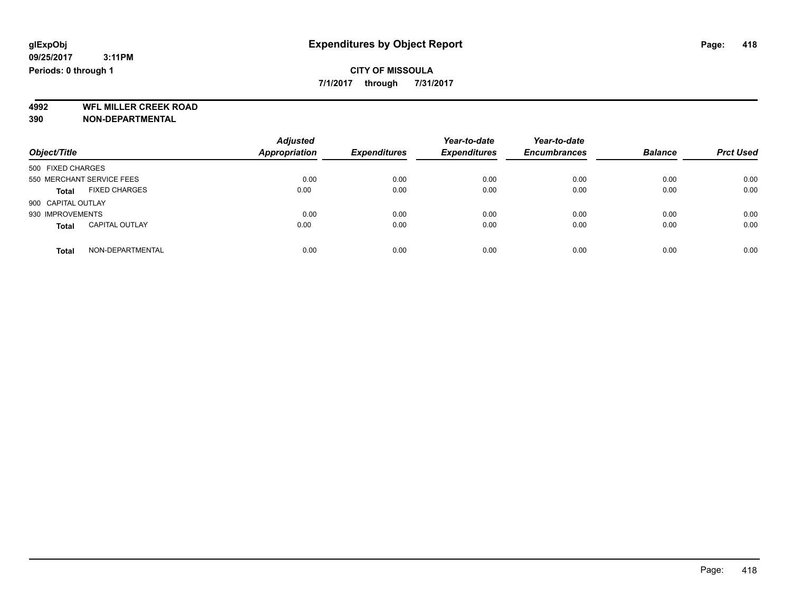**7/1/2017 through 7/31/2017**

**4992 WFL MILLER CREEK ROAD 390 NON-DEPARTMENTAL**

| Object/Title                          | <b>Adjusted</b><br><b>Appropriation</b> | <b>Expenditures</b> | Year-to-date<br><b>Expenditures</b> | Year-to-date<br><b>Encumbrances</b> | <b>Balance</b> | <b>Prct Used</b> |
|---------------------------------------|-----------------------------------------|---------------------|-------------------------------------|-------------------------------------|----------------|------------------|
| 500 FIXED CHARGES                     |                                         |                     |                                     |                                     |                |                  |
| 550 MERCHANT SERVICE FEES             | 0.00                                    | 0.00                | 0.00                                | 0.00                                | 0.00           | 0.00             |
| <b>FIXED CHARGES</b><br><b>Total</b>  | 0.00                                    | 0.00                | 0.00                                | 0.00                                | 0.00           | 0.00             |
| 900 CAPITAL OUTLAY                    |                                         |                     |                                     |                                     |                |                  |
| 930 IMPROVEMENTS                      | 0.00                                    | 0.00                | 0.00                                | 0.00                                | 0.00           | 0.00             |
| <b>CAPITAL OUTLAY</b><br><b>Total</b> | 0.00                                    | 0.00                | 0.00                                | 0.00                                | 0.00           | 0.00             |
| NON-DEPARTMENTAL<br><b>Total</b>      | 0.00                                    | 0.00                | 0.00                                | 0.00                                | 0.00           | 0.00             |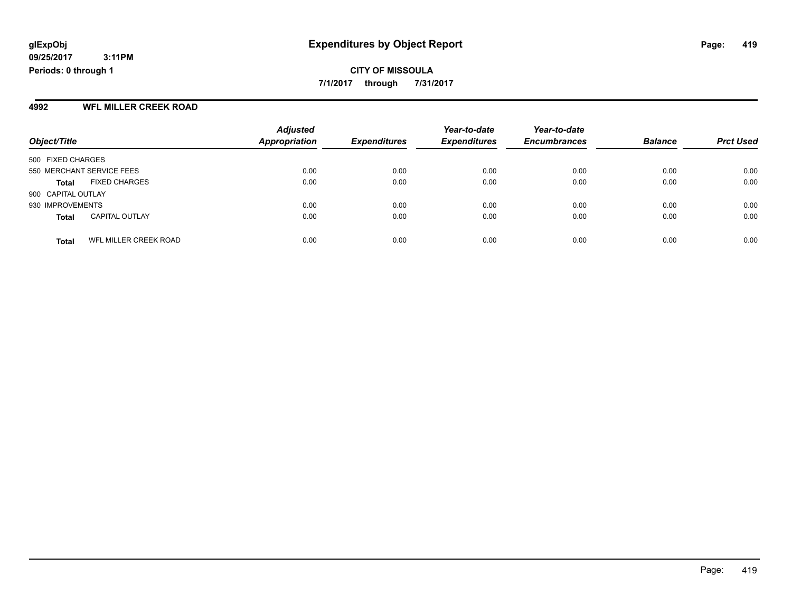#### **4992 WFL MILLER CREEK ROAD**

|                                       | <b>Adjusted</b>      |                     | Year-to-date        | Year-to-date        |                |                  |
|---------------------------------------|----------------------|---------------------|---------------------|---------------------|----------------|------------------|
| Object/Title                          | <b>Appropriation</b> | <b>Expenditures</b> | <b>Expenditures</b> | <b>Encumbrances</b> | <b>Balance</b> | <b>Prct Used</b> |
| 500 FIXED CHARGES                     |                      |                     |                     |                     |                |                  |
| 550 MERCHANT SERVICE FEES             | 0.00                 | 0.00                | 0.00                | 0.00                | 0.00           | 0.00             |
| <b>FIXED CHARGES</b><br><b>Total</b>  | 0.00                 | 0.00                | 0.00                | 0.00                | 0.00           | 0.00             |
| 900 CAPITAL OUTLAY                    |                      |                     |                     |                     |                |                  |
| 930 IMPROVEMENTS                      | 0.00                 | 0.00                | 0.00                | 0.00                | 0.00           | 0.00             |
| <b>CAPITAL OUTLAY</b><br><b>Total</b> | 0.00                 | 0.00                | 0.00                | 0.00                | 0.00           | 0.00             |
| WFL MILLER CREEK ROAD<br><b>Total</b> | 0.00                 | 0.00                | 0.00                | 0.00                | 0.00           | 0.00             |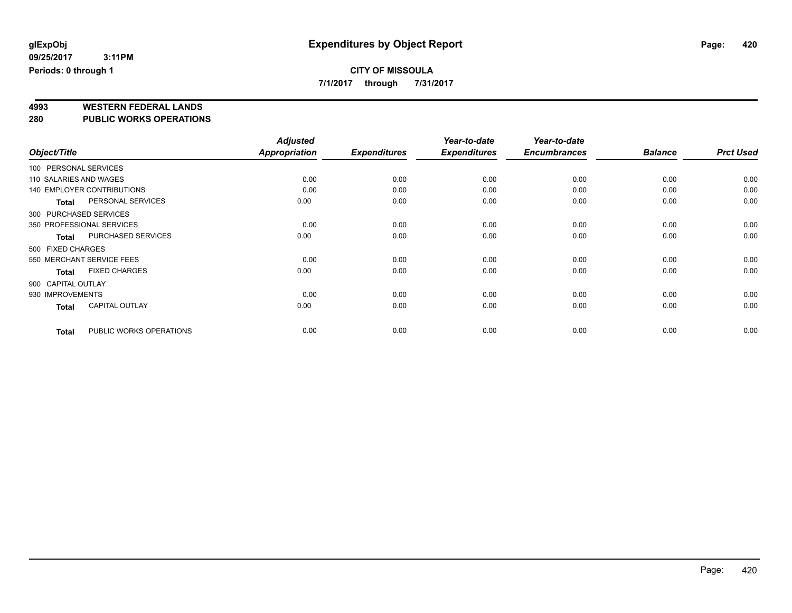**7/1/2017 through 7/31/2017**

# **4993 WESTERN FEDERAL LANDS**

**280 PUBLIC WORKS OPERATIONS**

| Object/Title                            | <b>Adjusted</b><br>Appropriation | <b>Expenditures</b> | Year-to-date<br><b>Expenditures</b> | Year-to-date<br><b>Encumbrances</b> | <b>Balance</b> | <b>Prct Used</b> |
|-----------------------------------------|----------------------------------|---------------------|-------------------------------------|-------------------------------------|----------------|------------------|
|                                         |                                  |                     |                                     |                                     |                |                  |
| 100 PERSONAL SERVICES                   |                                  |                     |                                     |                                     |                |                  |
| 110 SALARIES AND WAGES                  | 0.00                             | 0.00                | 0.00                                | 0.00                                | 0.00           | 0.00             |
| <b>140 EMPLOYER CONTRIBUTIONS</b>       | 0.00                             | 0.00                | 0.00                                | 0.00                                | 0.00           | 0.00             |
| PERSONAL SERVICES<br><b>Total</b>       | 0.00                             | 0.00                | 0.00                                | 0.00                                | 0.00           | 0.00             |
| 300 PURCHASED SERVICES                  |                                  |                     |                                     |                                     |                |                  |
| 350 PROFESSIONAL SERVICES               | 0.00                             | 0.00                | 0.00                                | 0.00                                | 0.00           | 0.00             |
| PURCHASED SERVICES<br><b>Total</b>      | 0.00                             | 0.00                | 0.00                                | 0.00                                | 0.00           | 0.00             |
| 500 FIXED CHARGES                       |                                  |                     |                                     |                                     |                |                  |
| 550 MERCHANT SERVICE FEES               | 0.00                             | 0.00                | 0.00                                | 0.00                                | 0.00           | 0.00             |
| <b>FIXED CHARGES</b><br><b>Total</b>    | 0.00                             | 0.00                | 0.00                                | 0.00                                | 0.00           | 0.00             |
| 900 CAPITAL OUTLAY                      |                                  |                     |                                     |                                     |                |                  |
| 930 IMPROVEMENTS                        | 0.00                             | 0.00                | 0.00                                | 0.00                                | 0.00           | 0.00             |
| <b>CAPITAL OUTLAY</b><br><b>Total</b>   | 0.00                             | 0.00                | 0.00                                | 0.00                                | 0.00           | 0.00             |
| PUBLIC WORKS OPERATIONS<br><b>Total</b> | 0.00                             | 0.00                | 0.00                                | 0.00                                | 0.00           | 0.00             |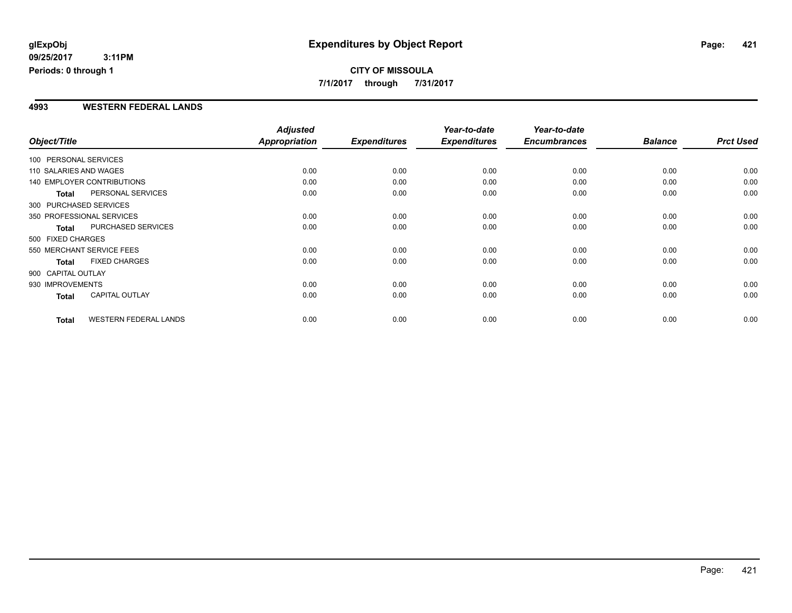#### **4993 WESTERN FEDERAL LANDS**

|                        |                                   | <b>Adjusted</b> |                     | Year-to-date        | Year-to-date        |                |                  |
|------------------------|-----------------------------------|-----------------|---------------------|---------------------|---------------------|----------------|------------------|
| Object/Title           |                                   | Appropriation   | <b>Expenditures</b> | <b>Expenditures</b> | <b>Encumbrances</b> | <b>Balance</b> | <b>Prct Used</b> |
| 100 PERSONAL SERVICES  |                                   |                 |                     |                     |                     |                |                  |
| 110 SALARIES AND WAGES |                                   | 0.00            | 0.00                | 0.00                | 0.00                | 0.00           | 0.00             |
|                        | <b>140 EMPLOYER CONTRIBUTIONS</b> | 0.00            | 0.00                | 0.00                | 0.00                | 0.00           | 0.00             |
| <b>Total</b>           | PERSONAL SERVICES                 | 0.00            | 0.00                | 0.00                | 0.00                | 0.00           | 0.00             |
|                        | 300 PURCHASED SERVICES            |                 |                     |                     |                     |                |                  |
|                        | 350 PROFESSIONAL SERVICES         | 0.00            | 0.00                | 0.00                | 0.00                | 0.00           | 0.00             |
| <b>Total</b>           | PURCHASED SERVICES                | 0.00            | 0.00                | 0.00                | 0.00                | 0.00           | 0.00             |
| 500 FIXED CHARGES      |                                   |                 |                     |                     |                     |                |                  |
|                        | 550 MERCHANT SERVICE FEES         | 0.00            | 0.00                | 0.00                | 0.00                | 0.00           | 0.00             |
| <b>Total</b>           | <b>FIXED CHARGES</b>              | 0.00            | 0.00                | 0.00                | 0.00                | 0.00           | 0.00             |
| 900 CAPITAL OUTLAY     |                                   |                 |                     |                     |                     |                |                  |
| 930 IMPROVEMENTS       |                                   | 0.00            | 0.00                | 0.00                | 0.00                | 0.00           | 0.00             |
| <b>Total</b>           | <b>CAPITAL OUTLAY</b>             | 0.00            | 0.00                | 0.00                | 0.00                | 0.00           | 0.00             |
| <b>Total</b>           | <b>WESTERN FEDERAL LANDS</b>      | 0.00            | 0.00                | 0.00                | 0.00                | 0.00           | 0.00             |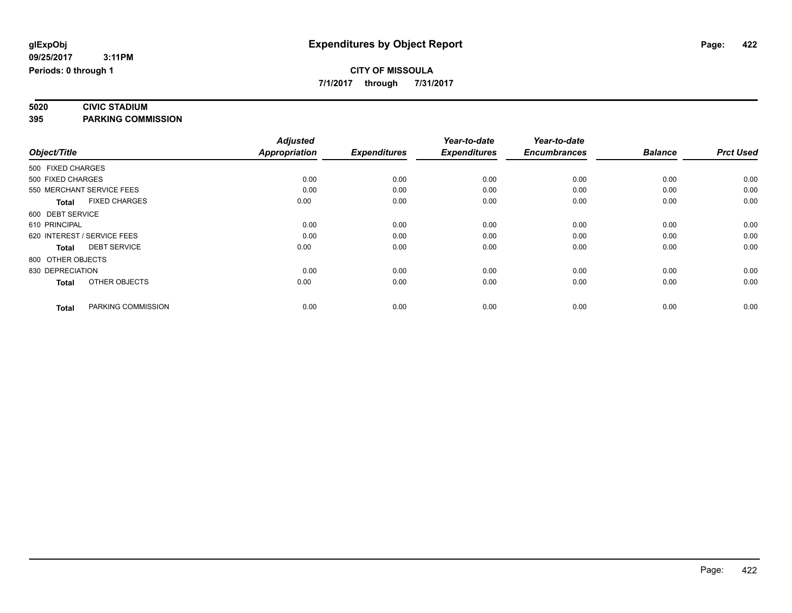**7/1/2017 through 7/31/2017**

# **5020 CIVIC STADIUM**

**395 PARKING COMMISSION**

|                             |                      | <b>Adjusted</b> |                     | Year-to-date        | Year-to-date        |                |                  |
|-----------------------------|----------------------|-----------------|---------------------|---------------------|---------------------|----------------|------------------|
| Object/Title                |                      | Appropriation   | <b>Expenditures</b> | <b>Expenditures</b> | <b>Encumbrances</b> | <b>Balance</b> | <b>Prct Used</b> |
| 500 FIXED CHARGES           |                      |                 |                     |                     |                     |                |                  |
| 500 FIXED CHARGES           |                      | 0.00            | 0.00                | 0.00                | 0.00                | 0.00           | 0.00             |
| 550 MERCHANT SERVICE FEES   |                      | 0.00            | 0.00                | 0.00                | 0.00                | 0.00           | 0.00             |
| Total                       | <b>FIXED CHARGES</b> | 0.00            | 0.00                | 0.00                | 0.00                | 0.00           | 0.00             |
| 600 DEBT SERVICE            |                      |                 |                     |                     |                     |                |                  |
| 610 PRINCIPAL               |                      | 0.00            | 0.00                | 0.00                | 0.00                | 0.00           | 0.00             |
| 620 INTEREST / SERVICE FEES |                      | 0.00            | 0.00                | 0.00                | 0.00                | 0.00           | 0.00             |
| <b>Total</b>                | <b>DEBT SERVICE</b>  | 0.00            | 0.00                | 0.00                | 0.00                | 0.00           | 0.00             |
| 800 OTHER OBJECTS           |                      |                 |                     |                     |                     |                |                  |
| 830 DEPRECIATION            |                      | 0.00            | 0.00                | 0.00                | 0.00                | 0.00           | 0.00             |
| <b>Total</b>                | OTHER OBJECTS        | 0.00            | 0.00                | 0.00                | 0.00                | 0.00           | 0.00             |
| <b>Total</b>                | PARKING COMMISSION   | 0.00            | 0.00                | 0.00                | 0.00                | 0.00           | 0.00             |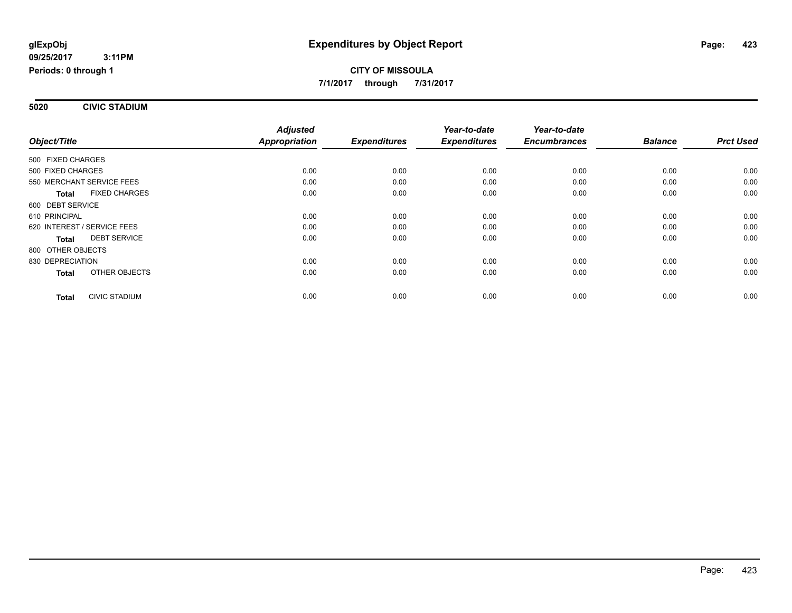#### **5020 CIVIC STADIUM**

|                                      | <b>Adjusted</b>      | <b>Expenditures</b> | Year-to-date<br><b>Expenditures</b> | Year-to-date<br><b>Encumbrances</b> | <b>Balance</b> | <b>Prct Used</b> |
|--------------------------------------|----------------------|---------------------|-------------------------------------|-------------------------------------|----------------|------------------|
| Object/Title                         | <b>Appropriation</b> |                     |                                     |                                     |                |                  |
| 500 FIXED CHARGES                    |                      |                     |                                     |                                     |                |                  |
| 500 FIXED CHARGES                    | 0.00                 | 0.00                | 0.00                                | 0.00                                | 0.00           | 0.00             |
| 550 MERCHANT SERVICE FEES            | 0.00                 | 0.00                | 0.00                                | 0.00                                | 0.00           | 0.00             |
| <b>FIXED CHARGES</b><br><b>Total</b> | 0.00                 | 0.00                | 0.00                                | 0.00                                | 0.00           | 0.00             |
| 600 DEBT SERVICE                     |                      |                     |                                     |                                     |                |                  |
| 610 PRINCIPAL                        | 0.00                 | 0.00                | 0.00                                | 0.00                                | 0.00           | 0.00             |
| 620 INTEREST / SERVICE FEES          | 0.00                 | 0.00                | 0.00                                | 0.00                                | 0.00           | 0.00             |
| <b>DEBT SERVICE</b><br><b>Total</b>  | 0.00                 | 0.00                | 0.00                                | 0.00                                | 0.00           | 0.00             |
| 800 OTHER OBJECTS                    |                      |                     |                                     |                                     |                |                  |
| 830 DEPRECIATION                     | 0.00                 | 0.00                | 0.00                                | 0.00                                | 0.00           | 0.00             |
| <b>OTHER OBJECTS</b><br><b>Total</b> | 0.00                 | 0.00                | 0.00                                | 0.00                                | 0.00           | 0.00             |
| <b>CIVIC STADIUM</b><br><b>Total</b> | 0.00                 | 0.00                | 0.00                                | 0.00                                | 0.00           | 0.00             |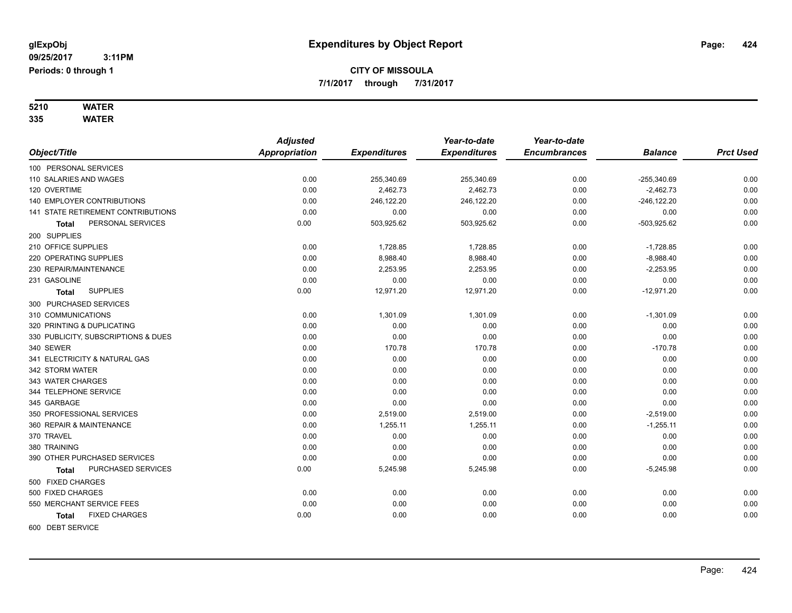# **5210 WATER**

**335 WATER**

|                                      | <b>Adjusted</b>      |                     | Year-to-date        | Year-to-date        |                |                  |
|--------------------------------------|----------------------|---------------------|---------------------|---------------------|----------------|------------------|
| Object/Title                         | <b>Appropriation</b> | <b>Expenditures</b> | <b>Expenditures</b> | <b>Encumbrances</b> | <b>Balance</b> | <b>Prct Used</b> |
| 100 PERSONAL SERVICES                |                      |                     |                     |                     |                |                  |
| 110 SALARIES AND WAGES               | 0.00                 | 255,340.69          | 255,340.69          | 0.00                | $-255,340.69$  | 0.00             |
| 120 OVERTIME                         | 0.00                 | 2,462.73            | 2,462.73            | 0.00                | $-2,462.73$    | 0.00             |
| 140 EMPLOYER CONTRIBUTIONS           | 0.00                 | 246,122.20          | 246,122.20          | 0.00                | $-246, 122.20$ | 0.00             |
| 141 STATE RETIREMENT CONTRIBUTIONS   | 0.00                 | 0.00                | 0.00                | 0.00                | 0.00           | 0.00             |
| PERSONAL SERVICES<br>Total           | 0.00                 | 503,925.62          | 503,925.62          | 0.00                | $-503,925.62$  | 0.00             |
| 200 SUPPLIES                         |                      |                     |                     |                     |                |                  |
| 210 OFFICE SUPPLIES                  | 0.00                 | 1,728.85            | 1,728.85            | 0.00                | $-1,728.85$    | 0.00             |
| 220 OPERATING SUPPLIES               | 0.00                 | 8,988.40            | 8,988.40            | 0.00                | $-8,988.40$    | 0.00             |
| 230 REPAIR/MAINTENANCE               | 0.00                 | 2,253.95            | 2,253.95            | 0.00                | $-2,253.95$    | 0.00             |
| 231 GASOLINE                         | 0.00                 | 0.00                | 0.00                | 0.00                | 0.00           | 0.00             |
| <b>SUPPLIES</b><br><b>Total</b>      | 0.00                 | 12,971.20           | 12,971.20           | 0.00                | $-12,971.20$   | 0.00             |
| 300 PURCHASED SERVICES               |                      |                     |                     |                     |                |                  |
| 310 COMMUNICATIONS                   | 0.00                 | 1,301.09            | 1,301.09            | 0.00                | $-1,301.09$    | 0.00             |
| 320 PRINTING & DUPLICATING           | 0.00                 | 0.00                | 0.00                | 0.00                | 0.00           | 0.00             |
| 330 PUBLICITY, SUBSCRIPTIONS & DUES  | 0.00                 | 0.00                | 0.00                | 0.00                | 0.00           | 0.00             |
| 340 SEWER                            | 0.00                 | 170.78              | 170.78              | 0.00                | $-170.78$      | 0.00             |
| 341 ELECTRICITY & NATURAL GAS        | 0.00                 | 0.00                | 0.00                | 0.00                | 0.00           | 0.00             |
| 342 STORM WATER                      | 0.00                 | 0.00                | 0.00                | 0.00                | 0.00           | 0.00             |
| 343 WATER CHARGES                    | 0.00                 | 0.00                | 0.00                | 0.00                | 0.00           | 0.00             |
| 344 TELEPHONE SERVICE                | 0.00                 | 0.00                | 0.00                | 0.00                | 0.00           | 0.00             |
| 345 GARBAGE                          | 0.00                 | 0.00                | 0.00                | 0.00                | 0.00           | 0.00             |
| 350 PROFESSIONAL SERVICES            | 0.00                 | 2,519.00            | 2,519.00            | 0.00                | $-2,519.00$    | 0.00             |
| 360 REPAIR & MAINTENANCE             | 0.00                 | 1,255.11            | 1,255.11            | 0.00                | $-1,255.11$    | 0.00             |
| 370 TRAVEL                           | 0.00                 | 0.00                | 0.00                | 0.00                | 0.00           | 0.00             |
| 380 TRAINING                         | 0.00                 | 0.00                | 0.00                | 0.00                | 0.00           | 0.00             |
| 390 OTHER PURCHASED SERVICES         | 0.00                 | 0.00                | 0.00                | 0.00                | 0.00           | 0.00             |
| PURCHASED SERVICES<br>Total          | 0.00                 | 5,245.98            | 5,245.98            | 0.00                | $-5,245.98$    | 0.00             |
| 500 FIXED CHARGES                    |                      |                     |                     |                     |                |                  |
| 500 FIXED CHARGES                    | 0.00                 | 0.00                | 0.00                | 0.00                | 0.00           | 0.00             |
| 550 MERCHANT SERVICE FEES            | 0.00                 | 0.00                | 0.00                | 0.00                | 0.00           | 0.00             |
| <b>FIXED CHARGES</b><br><b>Total</b> | 0.00                 | 0.00                | 0.00                | 0.00                | 0.00           | 0.00             |
| 600 DEBT SERVICE                     |                      |                     |                     |                     |                |                  |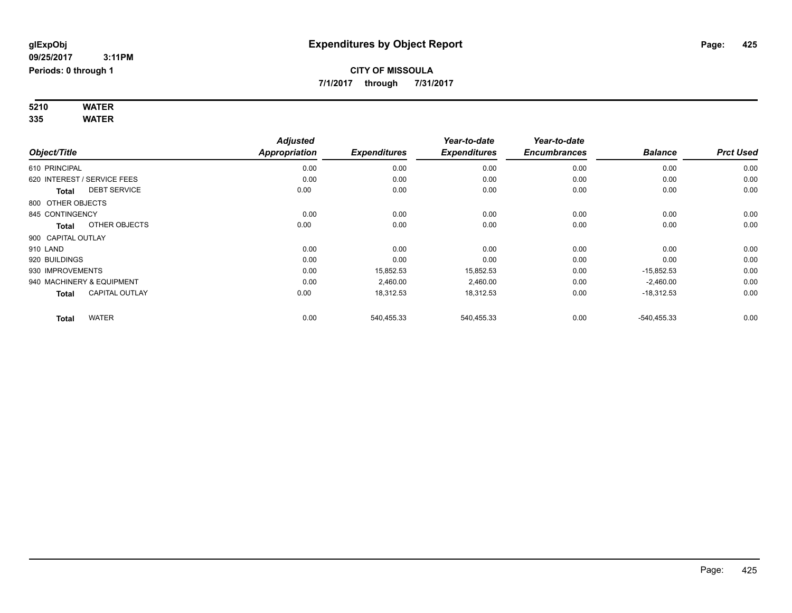#### **5210 WATER 335 WATER**

| Object/Title                          | <b>Adjusted</b><br><b>Appropriation</b> | <b>Expenditures</b> | Year-to-date<br><b>Expenditures</b> | Year-to-date<br><b>Encumbrances</b> | <b>Balance</b> | <b>Prct Used</b> |
|---------------------------------------|-----------------------------------------|---------------------|-------------------------------------|-------------------------------------|----------------|------------------|
| 610 PRINCIPAL                         | 0.00                                    | 0.00                | 0.00                                | 0.00                                | 0.00           | 0.00             |
| 620 INTEREST / SERVICE FEES           | 0.00                                    | 0.00                | 0.00                                | 0.00                                | 0.00           | 0.00             |
| <b>DEBT SERVICE</b><br><b>Total</b>   | 0.00                                    | 0.00                | 0.00                                | 0.00                                | 0.00           | 0.00             |
| 800 OTHER OBJECTS                     |                                         |                     |                                     |                                     |                |                  |
| 845 CONTINGENCY                       | 0.00                                    | 0.00                | 0.00                                | 0.00                                | 0.00           | 0.00             |
| OTHER OBJECTS<br>Total                | 0.00                                    | 0.00                | 0.00                                | 0.00                                | 0.00           | 0.00             |
| 900 CAPITAL OUTLAY                    |                                         |                     |                                     |                                     |                |                  |
| 910 LAND                              | 0.00                                    | 0.00                | 0.00                                | 0.00                                | 0.00           | 0.00             |
| 920 BUILDINGS                         | 0.00                                    | 0.00                | 0.00                                | 0.00                                | 0.00           | 0.00             |
| 930 IMPROVEMENTS                      | 0.00                                    | 15,852.53           | 15,852.53                           | 0.00                                | $-15,852.53$   | 0.00             |
| 940 MACHINERY & EQUIPMENT             | 0.00                                    | 2,460.00            | 2,460.00                            | 0.00                                | $-2,460.00$    | 0.00             |
| <b>CAPITAL OUTLAY</b><br><b>Total</b> | 0.00                                    | 18,312.53           | 18,312.53                           | 0.00                                | $-18,312.53$   | 0.00             |
| <b>WATER</b><br><b>Total</b>          | 0.00                                    | 540,455.33          | 540,455.33                          | 0.00                                | $-540, 455.33$ | 0.00             |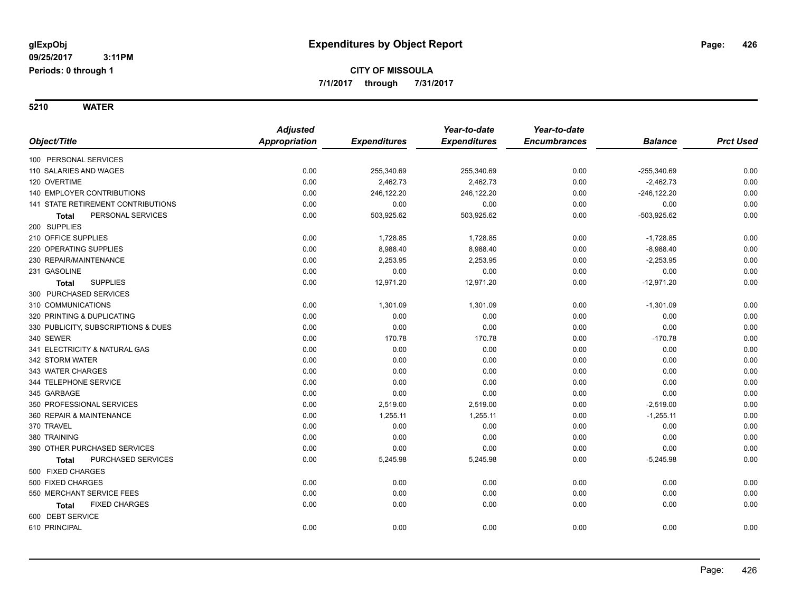**5210 WATER**

|                                           | <b>Adjusted</b> |                     | Year-to-date        | Year-to-date        |                |                  |
|-------------------------------------------|-----------------|---------------------|---------------------|---------------------|----------------|------------------|
| Object/Title                              | Appropriation   | <b>Expenditures</b> | <b>Expenditures</b> | <b>Encumbrances</b> | <b>Balance</b> | <b>Prct Used</b> |
| 100 PERSONAL SERVICES                     |                 |                     |                     |                     |                |                  |
| 110 SALARIES AND WAGES                    | 0.00            | 255,340.69          | 255,340.69          | 0.00                | $-255,340.69$  | 0.00             |
| 120 OVERTIME                              | 0.00            | 2,462.73            | 2,462.73            | 0.00                | $-2,462.73$    | 0.00             |
| 140 EMPLOYER CONTRIBUTIONS                | 0.00            | 246,122.20          | 246,122.20          | 0.00                | $-246, 122.20$ | 0.00             |
| <b>141 STATE RETIREMENT CONTRIBUTIONS</b> | 0.00            | 0.00                | 0.00                | 0.00                | 0.00           | 0.00             |
| PERSONAL SERVICES<br>Total                | 0.00            | 503,925.62          | 503,925.62          | 0.00                | $-503,925.62$  | 0.00             |
| 200 SUPPLIES                              |                 |                     |                     |                     |                |                  |
| 210 OFFICE SUPPLIES                       | 0.00            | 1,728.85            | 1,728.85            | 0.00                | $-1,728.85$    | 0.00             |
| 220 OPERATING SUPPLIES                    | 0.00            | 8,988.40            | 8,988.40            | 0.00                | $-8,988.40$    | 0.00             |
| 230 REPAIR/MAINTENANCE                    | 0.00            | 2,253.95            | 2,253.95            | 0.00                | $-2,253.95$    | 0.00             |
| 231 GASOLINE                              | 0.00            | 0.00                | 0.00                | 0.00                | 0.00           | 0.00             |
| <b>SUPPLIES</b><br><b>Total</b>           | 0.00            | 12,971.20           | 12,971.20           | 0.00                | $-12,971.20$   | 0.00             |
| 300 PURCHASED SERVICES                    |                 |                     |                     |                     |                |                  |
| 310 COMMUNICATIONS                        | 0.00            | 1,301.09            | 1,301.09            | 0.00                | $-1,301.09$    | 0.00             |
| 320 PRINTING & DUPLICATING                | 0.00            | 0.00                | 0.00                | 0.00                | 0.00           | 0.00             |
| 330 PUBLICITY, SUBSCRIPTIONS & DUES       | 0.00            | 0.00                | 0.00                | 0.00                | 0.00           | 0.00             |
| 340 SEWER                                 | 0.00            | 170.78              | 170.78              | 0.00                | $-170.78$      | 0.00             |
| 341 ELECTRICITY & NATURAL GAS             | 0.00            | 0.00                | 0.00                | 0.00                | 0.00           | 0.00             |
| 342 STORM WATER                           | 0.00            | 0.00                | 0.00                | 0.00                | 0.00           | 0.00             |
| 343 WATER CHARGES                         | 0.00            | 0.00                | 0.00                | 0.00                | 0.00           | 0.00             |
| 344 TELEPHONE SERVICE                     | 0.00            | 0.00                | 0.00                | 0.00                | 0.00           | 0.00             |
| 345 GARBAGE                               | 0.00            | 0.00                | 0.00                | 0.00                | 0.00           | 0.00             |
| 350 PROFESSIONAL SERVICES                 | 0.00            | 2,519.00            | 2,519.00            | 0.00                | $-2,519.00$    | 0.00             |
| 360 REPAIR & MAINTENANCE                  | 0.00            | 1,255.11            | 1,255.11            | 0.00                | $-1,255.11$    | 0.00             |
| 370 TRAVEL                                | 0.00            | 0.00                | 0.00                | 0.00                | 0.00           | 0.00             |
| 380 TRAINING                              | 0.00            | 0.00                | 0.00                | 0.00                | 0.00           | 0.00             |
| 390 OTHER PURCHASED SERVICES              | 0.00            | 0.00                | 0.00                | 0.00                | 0.00           | 0.00             |
| PURCHASED SERVICES<br><b>Total</b>        | 0.00            | 5,245.98            | 5,245.98            | 0.00                | $-5,245.98$    | 0.00             |
| 500 FIXED CHARGES                         |                 |                     |                     |                     |                |                  |
| 500 FIXED CHARGES                         | 0.00            | 0.00                | 0.00                | 0.00                | 0.00           | 0.00             |
| 550 MERCHANT SERVICE FEES                 | 0.00            | 0.00                | 0.00                | 0.00                | 0.00           | 0.00             |
| <b>FIXED CHARGES</b><br>Total             | 0.00            | 0.00                | 0.00                | 0.00                | 0.00           | 0.00             |
| 600 DEBT SERVICE                          |                 |                     |                     |                     |                |                  |
| 610 PRINCIPAL                             | 0.00            | 0.00                | 0.00                | 0.00                | 0.00           | 0.00             |
|                                           |                 |                     |                     |                     |                |                  |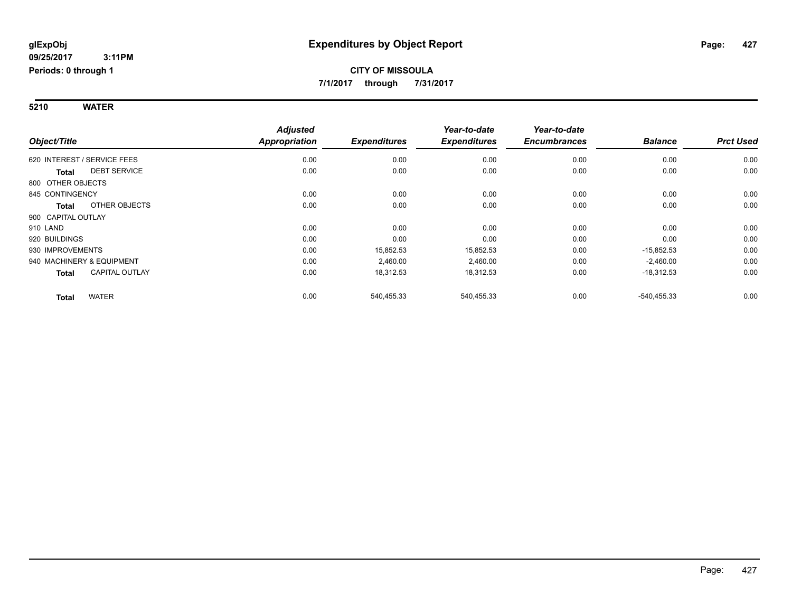#### **5210 WATER**

|                                       | <b>Adjusted</b>      |                     | Year-to-date        | Year-to-date        |                |                  |
|---------------------------------------|----------------------|---------------------|---------------------|---------------------|----------------|------------------|
| Object/Title                          | <b>Appropriation</b> | <b>Expenditures</b> | <b>Expenditures</b> | <b>Encumbrances</b> | <b>Balance</b> | <b>Prct Used</b> |
| 620 INTEREST / SERVICE FEES           | 0.00                 | 0.00                | 0.00                | 0.00                | 0.00           | 0.00             |
| <b>DEBT SERVICE</b><br><b>Total</b>   | 0.00                 | 0.00                | 0.00                | 0.00                | 0.00           | 0.00             |
| 800 OTHER OBJECTS                     |                      |                     |                     |                     |                |                  |
| 845 CONTINGENCY                       | 0.00                 | 0.00                | 0.00                | 0.00                | 0.00           | 0.00             |
| OTHER OBJECTS<br><b>Total</b>         | 0.00                 | 0.00                | 0.00                | 0.00                | 0.00           | 0.00             |
| 900 CAPITAL OUTLAY                    |                      |                     |                     |                     |                |                  |
| 910 LAND                              | 0.00                 | 0.00                | 0.00                | 0.00                | 0.00           | 0.00             |
| 920 BUILDINGS                         | 0.00                 | 0.00                | 0.00                | 0.00                | 0.00           | 0.00             |
| 930 IMPROVEMENTS                      | 0.00                 | 15,852.53           | 15,852.53           | 0.00                | $-15,852.53$   | 0.00             |
| 940 MACHINERY & EQUIPMENT             | 0.00                 | 2,460.00            | 2,460.00            | 0.00                | $-2,460.00$    | 0.00             |
| <b>CAPITAL OUTLAY</b><br><b>Total</b> | 0.00                 | 18,312.53           | 18,312.53           | 0.00                | $-18,312.53$   | 0.00             |
| <b>WATER</b><br><b>Total</b>          | 0.00                 | 540,455.33          | 540,455.33          | 0.00                | $-540,455.33$  | 0.00             |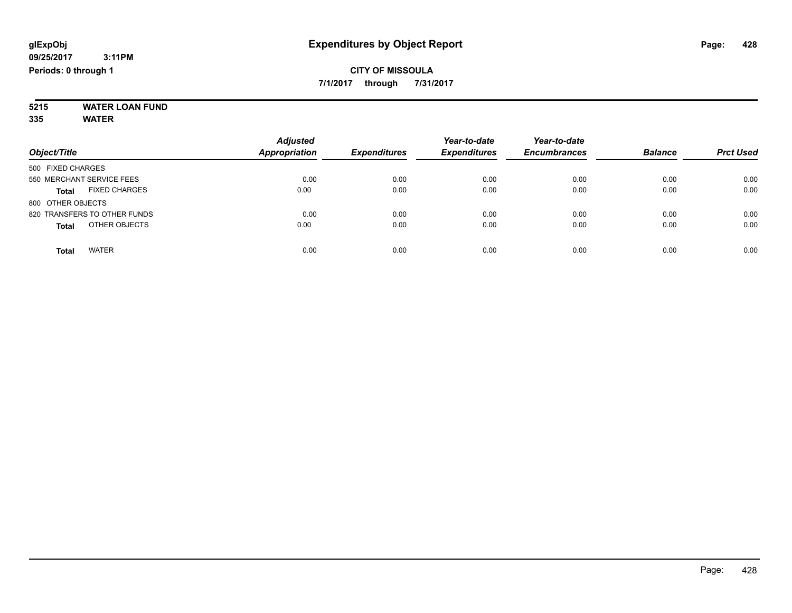**7/1/2017 through 7/31/2017**

#### **5215 WATER LOAN FUND 335 WATER**

| Object/Title                         | <b>Adjusted</b><br><b>Appropriation</b> | <b>Expenditures</b> | Year-to-date<br><b>Expenditures</b> | Year-to-date<br><b>Encumbrances</b> | <b>Balance</b> | <b>Prct Used</b> |
|--------------------------------------|-----------------------------------------|---------------------|-------------------------------------|-------------------------------------|----------------|------------------|
| 500 FIXED CHARGES                    |                                         |                     |                                     |                                     |                |                  |
| 550 MERCHANT SERVICE FEES            | 0.00                                    | 0.00                | 0.00                                | 0.00                                | 0.00           | 0.00             |
| <b>FIXED CHARGES</b><br><b>Total</b> | 0.00                                    | 0.00                | 0.00                                | 0.00                                | 0.00           | 0.00             |
| 800 OTHER OBJECTS                    |                                         |                     |                                     |                                     |                |                  |
| 820 TRANSFERS TO OTHER FUNDS         | 0.00                                    | 0.00                | 0.00                                | 0.00                                | 0.00           | 0.00             |
| OTHER OBJECTS<br><b>Total</b>        | 0.00                                    | 0.00                | 0.00                                | 0.00                                | 0.00           | 0.00             |
| <b>WATER</b><br>Total                | 0.00                                    | 0.00                | 0.00                                | 0.00                                | 0.00           | 0.00             |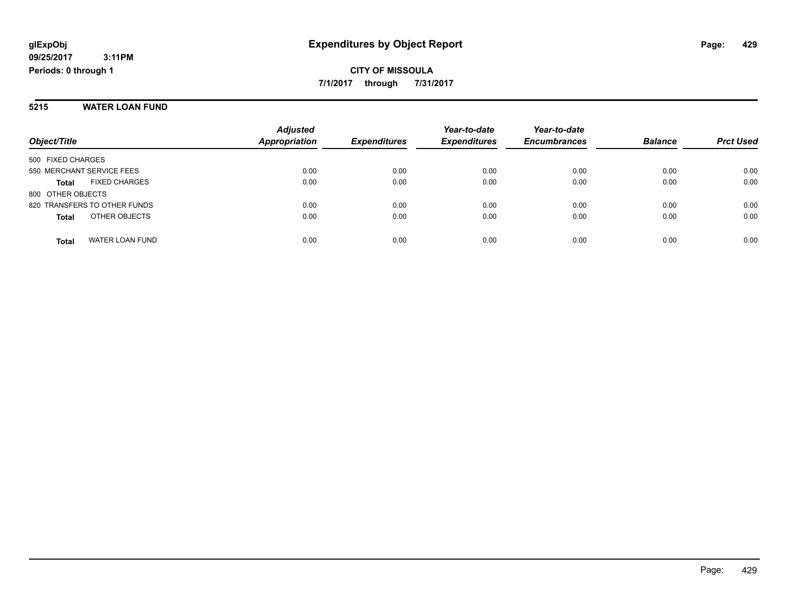#### **5215 WATER LOAN FUND**

|                                        | <b>Adjusted</b>      |                     | Year-to-date        | Year-to-date        |                |                  |
|----------------------------------------|----------------------|---------------------|---------------------|---------------------|----------------|------------------|
| Object/Title                           | <b>Appropriation</b> | <b>Expenditures</b> | <b>Expenditures</b> | <b>Encumbrances</b> | <b>Balance</b> | <b>Prct Used</b> |
| 500 FIXED CHARGES                      |                      |                     |                     |                     |                |                  |
| 550 MERCHANT SERVICE FEES              | 0.00                 | 0.00                | 0.00                | 0.00                | 0.00           | 0.00             |
| <b>FIXED CHARGES</b><br><b>Total</b>   | 0.00                 | 0.00                | 0.00                | 0.00                | 0.00           | 0.00             |
| 800 OTHER OBJECTS                      |                      |                     |                     |                     |                |                  |
| 820 TRANSFERS TO OTHER FUNDS           | 0.00                 | 0.00                | 0.00                | 0.00                | 0.00           | 0.00             |
| OTHER OBJECTS<br><b>Total</b>          | 0.00                 | 0.00                | 0.00                | 0.00                | 0.00           | 0.00             |
| <b>WATER LOAN FUND</b><br><b>Total</b> | 0.00                 | 0.00                | 0.00                | 0.00                | 0.00           | 0.00             |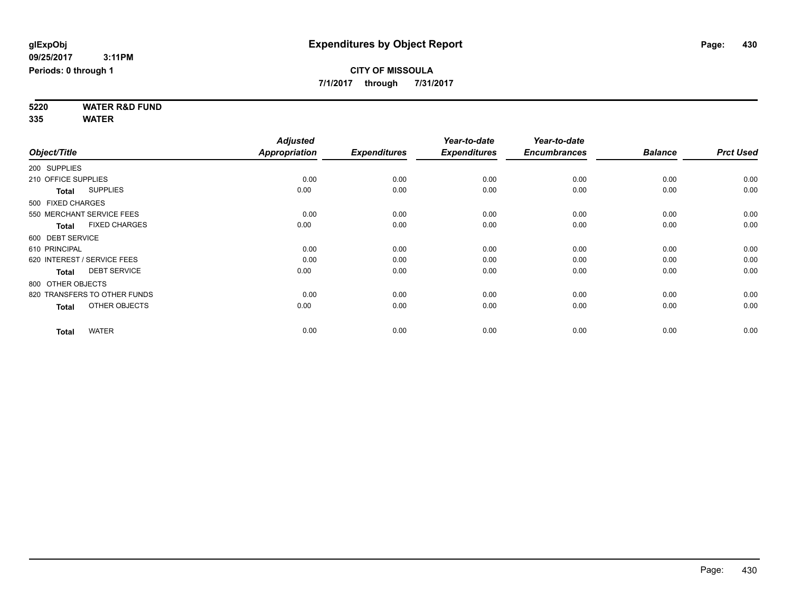**5220 WATER R&D FUND**

**335 WATER**

|                     |                              | <b>Adjusted</b> |                     | Year-to-date        | Year-to-date        |                |                  |
|---------------------|------------------------------|-----------------|---------------------|---------------------|---------------------|----------------|------------------|
| Object/Title        |                              | Appropriation   | <b>Expenditures</b> | <b>Expenditures</b> | <b>Encumbrances</b> | <b>Balance</b> | <b>Prct Used</b> |
| 200 SUPPLIES        |                              |                 |                     |                     |                     |                |                  |
| 210 OFFICE SUPPLIES |                              | 0.00            | 0.00                | 0.00                | 0.00                | 0.00           | 0.00             |
| <b>Total</b>        | <b>SUPPLIES</b>              | 0.00            | 0.00                | 0.00                | 0.00                | 0.00           | 0.00             |
| 500 FIXED CHARGES   |                              |                 |                     |                     |                     |                |                  |
|                     | 550 MERCHANT SERVICE FEES    | 0.00            | 0.00                | 0.00                | 0.00                | 0.00           | 0.00             |
| <b>Total</b>        | <b>FIXED CHARGES</b>         | 0.00            | 0.00                | 0.00                | 0.00                | 0.00           | 0.00             |
| 600 DEBT SERVICE    |                              |                 |                     |                     |                     |                |                  |
| 610 PRINCIPAL       |                              | 0.00            | 0.00                | 0.00                | 0.00                | 0.00           | 0.00             |
|                     | 620 INTEREST / SERVICE FEES  | 0.00            | 0.00                | 0.00                | 0.00                | 0.00           | 0.00             |
| <b>Total</b>        | <b>DEBT SERVICE</b>          | 0.00            | 0.00                | 0.00                | 0.00                | 0.00           | 0.00             |
| 800 OTHER OBJECTS   |                              |                 |                     |                     |                     |                |                  |
|                     | 820 TRANSFERS TO OTHER FUNDS | 0.00            | 0.00                | 0.00                | 0.00                | 0.00           | 0.00             |
| <b>Total</b>        | OTHER OBJECTS                | 0.00            | 0.00                | 0.00                | 0.00                | 0.00           | 0.00             |
| <b>Total</b>        | <b>WATER</b>                 | 0.00            | 0.00                | 0.00                | 0.00                | 0.00           | 0.00             |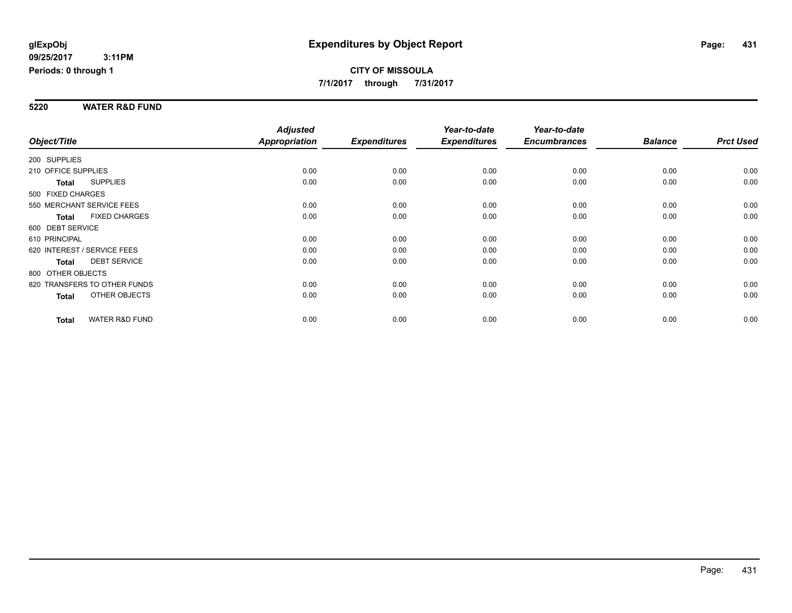#### **5220 WATER R&D FUND**

|                              |                           | <b>Adjusted</b> |                     | Year-to-date        | Year-to-date        |                |                  |
|------------------------------|---------------------------|-----------------|---------------------|---------------------|---------------------|----------------|------------------|
| Object/Title                 |                           | Appropriation   | <b>Expenditures</b> | <b>Expenditures</b> | <b>Encumbrances</b> | <b>Balance</b> | <b>Prct Used</b> |
| 200 SUPPLIES                 |                           |                 |                     |                     |                     |                |                  |
| 210 OFFICE SUPPLIES          |                           | 0.00            | 0.00                | 0.00                | 0.00                | 0.00           | 0.00             |
| <b>Total</b>                 | <b>SUPPLIES</b>           | 0.00            | 0.00                | 0.00                | 0.00                | 0.00           | 0.00             |
| 500 FIXED CHARGES            |                           |                 |                     |                     |                     |                |                  |
| 550 MERCHANT SERVICE FEES    |                           | 0.00            | 0.00                | 0.00                | 0.00                | 0.00           | 0.00             |
| <b>Total</b>                 | <b>FIXED CHARGES</b>      | 0.00            | 0.00                | 0.00                | 0.00                | 0.00           | 0.00             |
| 600 DEBT SERVICE             |                           |                 |                     |                     |                     |                |                  |
| 610 PRINCIPAL                |                           | 0.00            | 0.00                | 0.00                | 0.00                | 0.00           | 0.00             |
| 620 INTEREST / SERVICE FEES  |                           | 0.00            | 0.00                | 0.00                | 0.00                | 0.00           | 0.00             |
| <b>Total</b>                 | <b>DEBT SERVICE</b>       | 0.00            | 0.00                | 0.00                | 0.00                | 0.00           | 0.00             |
| 800 OTHER OBJECTS            |                           |                 |                     |                     |                     |                |                  |
| 820 TRANSFERS TO OTHER FUNDS |                           | 0.00            | 0.00                | 0.00                | 0.00                | 0.00           | 0.00             |
| <b>Total</b>                 | OTHER OBJECTS             | 0.00            | 0.00                | 0.00                | 0.00                | 0.00           | 0.00             |
| <b>Total</b>                 | <b>WATER R&amp;D FUND</b> | 0.00            | 0.00                | 0.00                | 0.00                | 0.00           | 0.00             |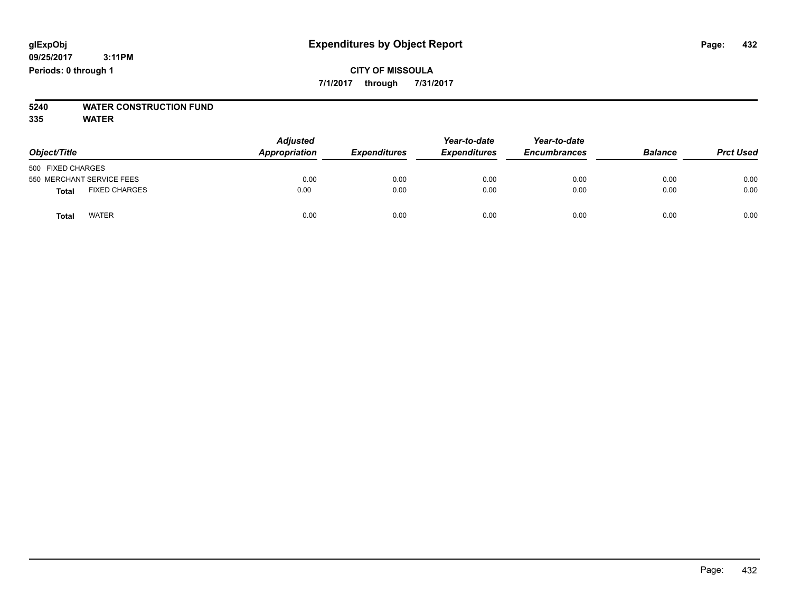# **5240 WATER CONSTRUCTION FUND**

**335 WATER**

| Object/Title              |                      | <b>Adjusted</b><br>Appropriation<br><b>Expenditures</b> | Year-to-date<br><b>Expenditures</b> | Year-to-date<br><b>Encumbrances</b> | <b>Balance</b> | <b>Prct Used</b> |      |
|---------------------------|----------------------|---------------------------------------------------------|-------------------------------------|-------------------------------------|----------------|------------------|------|
| 500 FIXED CHARGES         |                      |                                                         |                                     |                                     |                |                  |      |
| 550 MERCHANT SERVICE FEES |                      | 0.00                                                    | 0.00                                | 0.00                                | 0.00           | 0.00             | 0.00 |
| <b>Total</b>              | <b>FIXED CHARGES</b> | 0.00                                                    | 0.00                                | 0.00                                | 0.00           | 0.00             | 0.00 |
| <b>Total</b>              | <b>WATER</b>         | 0.00                                                    | 0.00                                | 0.00                                | 0.00           | 0.00             | 0.00 |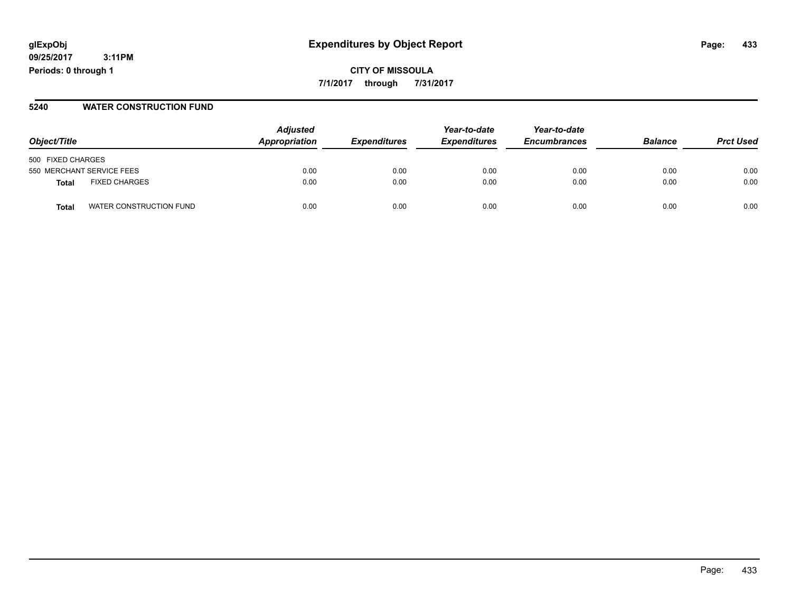**CITY OF MISSOULA 7/1/2017 through 7/31/2017**

#### **5240 WATER CONSTRUCTION FUND**

|                                  | <b>Adjusted</b><br>Year-to-date<br>Appropriation<br><b>Expenditures</b><br><b>Expenditures</b> |      | Year-to-date |                     |                |                  |
|----------------------------------|------------------------------------------------------------------------------------------------|------|--------------|---------------------|----------------|------------------|
| Object/Title                     |                                                                                                |      |              | <b>Encumbrances</b> | <b>Balance</b> | <b>Prct Used</b> |
| 500 FIXED CHARGES                |                                                                                                |      |              |                     |                |                  |
| 550 MERCHANT SERVICE FEES        | 0.00                                                                                           | 0.00 | 0.00         | 0.00                | 0.00           | 0.00             |
| <b>FIXED CHARGES</b><br>Total    | 0.00                                                                                           | 0.00 | 0.00         | 0.00                | 0.00           | 0.00             |
| WATER CONSTRUCTION FUND<br>Total | 0.00                                                                                           | 0.00 | 0.00         | 0.00                | 0.00           | 0.00             |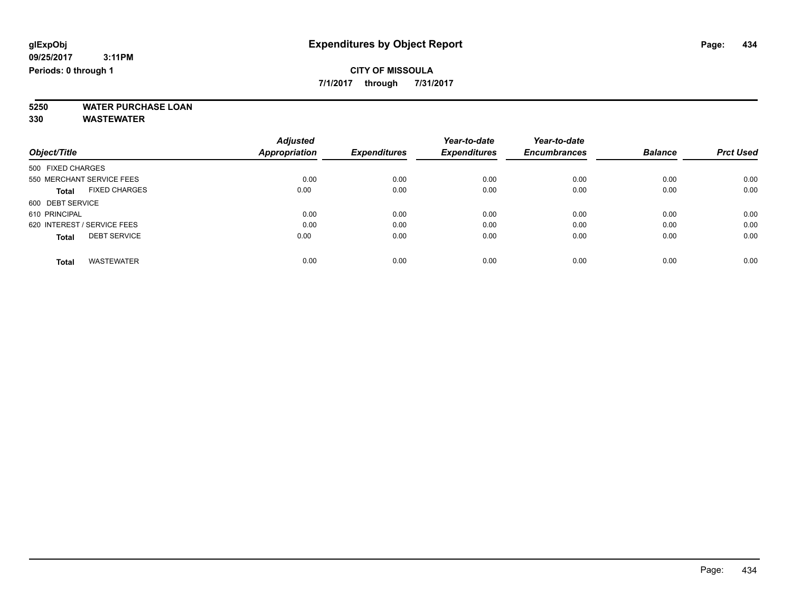**7/1/2017 through 7/31/2017**

**5250 WATER PURCHASE LOAN**

|                                      | <b>Adjusted</b>      |                     | Year-to-date        | Year-to-date        |                |                  |
|--------------------------------------|----------------------|---------------------|---------------------|---------------------|----------------|------------------|
| Object/Title                         | <b>Appropriation</b> | <b>Expenditures</b> | <b>Expenditures</b> | <b>Encumbrances</b> | <b>Balance</b> | <b>Prct Used</b> |
| 500 FIXED CHARGES                    |                      |                     |                     |                     |                |                  |
| 550 MERCHANT SERVICE FEES            | 0.00                 | 0.00                | 0.00                | 0.00                | 0.00           | 0.00             |
| <b>FIXED CHARGES</b><br><b>Total</b> | 0.00                 | 0.00                | 0.00                | 0.00                | 0.00           | 0.00             |
| 600 DEBT SERVICE                     |                      |                     |                     |                     |                |                  |
| 610 PRINCIPAL                        | 0.00                 | 0.00                | 0.00                | 0.00                | 0.00           | 0.00             |
| 620 INTEREST / SERVICE FEES          | 0.00                 | 0.00                | 0.00                | 0.00                | 0.00           | 0.00             |
| <b>DEBT SERVICE</b><br><b>Total</b>  | 0.00                 | 0.00                | 0.00                | 0.00                | 0.00           | 0.00             |
| <b>WASTEWATER</b><br><b>Total</b>    | 0.00                 | 0.00                | 0.00                | 0.00                | 0.00           | 0.00             |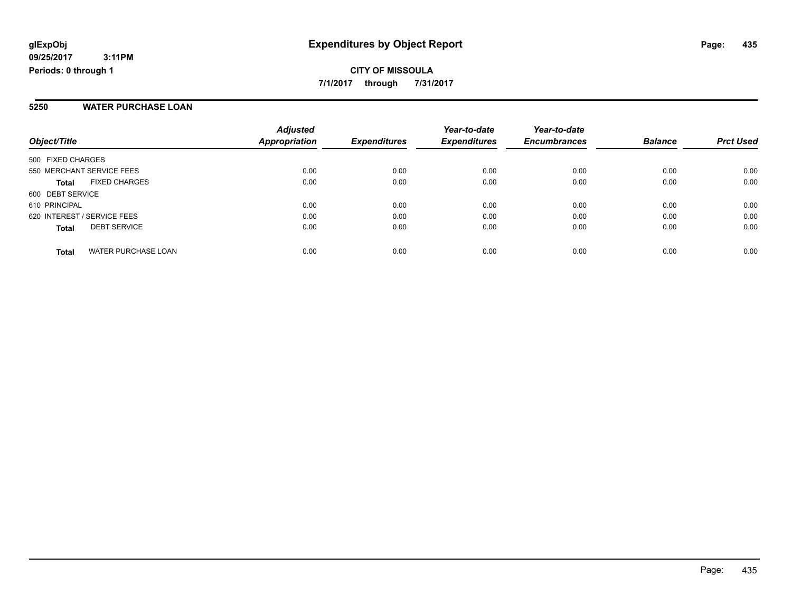**CITY OF MISSOULA 7/1/2017 through 7/31/2017**

#### **5250 WATER PURCHASE LOAN**

| Object/Title                               | <b>Adjusted</b><br><b>Appropriation</b> | <b>Expenditures</b> | Year-to-date<br><b>Expenditures</b> | Year-to-date<br><b>Encumbrances</b> | <b>Balance</b> | <b>Prct Used</b> |
|--------------------------------------------|-----------------------------------------|---------------------|-------------------------------------|-------------------------------------|----------------|------------------|
|                                            |                                         |                     |                                     |                                     |                |                  |
| 500 FIXED CHARGES                          |                                         |                     |                                     |                                     |                |                  |
| 550 MERCHANT SERVICE FEES                  | 0.00                                    | 0.00                | 0.00                                | 0.00                                | 0.00           | 0.00             |
| <b>FIXED CHARGES</b><br><b>Total</b>       | 0.00                                    | 0.00                | 0.00                                | 0.00                                | 0.00           | 0.00             |
| 600 DEBT SERVICE                           |                                         |                     |                                     |                                     |                |                  |
| 610 PRINCIPAL                              | 0.00                                    | 0.00                | 0.00                                | 0.00                                | 0.00           | 0.00             |
| 620 INTEREST / SERVICE FEES                | 0.00                                    | 0.00                | 0.00                                | 0.00                                | 0.00           | 0.00             |
| <b>DEBT SERVICE</b><br><b>Total</b>        | 0.00                                    | 0.00                | 0.00                                | 0.00                                | 0.00           | 0.00             |
| <b>WATER PURCHASE LOAN</b><br><b>Total</b> | 0.00                                    | 0.00                | 0.00                                | 0.00                                | 0.00           | 0.00             |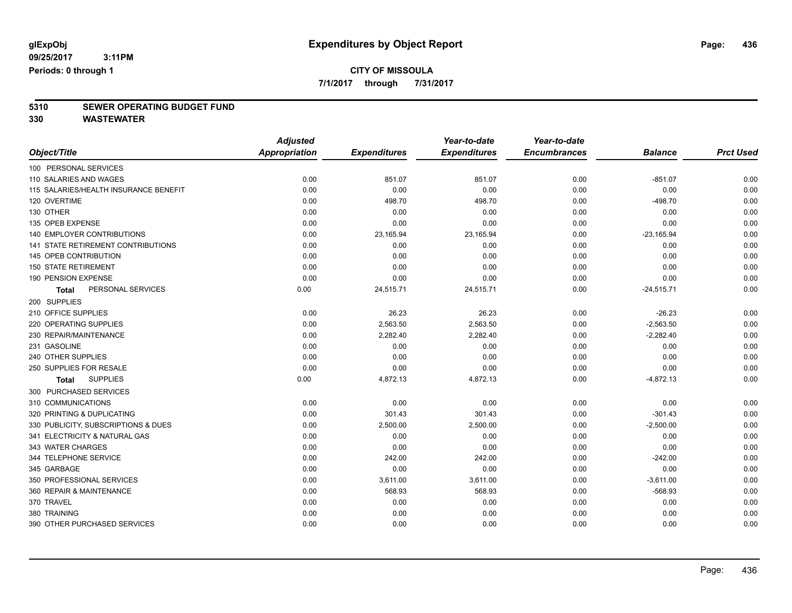**7/1/2017 through 7/31/2017**

# **5310 SEWER OPERATING BUDGET FUND**

|                                           | <b>Adjusted</b>      |                     | Year-to-date        | Year-to-date        |                |                  |
|-------------------------------------------|----------------------|---------------------|---------------------|---------------------|----------------|------------------|
| Object/Title                              | <b>Appropriation</b> | <b>Expenditures</b> | <b>Expenditures</b> | <b>Encumbrances</b> | <b>Balance</b> | <b>Prct Used</b> |
| 100 PERSONAL SERVICES                     |                      |                     |                     |                     |                |                  |
| 110 SALARIES AND WAGES                    | 0.00                 | 851.07              | 851.07              | 0.00                | $-851.07$      | 0.00             |
| 115 SALARIES/HEALTH INSURANCE BENEFIT     | 0.00                 | 0.00                | 0.00                | 0.00                | 0.00           | 0.00             |
| 120 OVERTIME                              | 0.00                 | 498.70              | 498.70              | 0.00                | $-498.70$      | 0.00             |
| 130 OTHER                                 | 0.00                 | 0.00                | 0.00                | 0.00                | 0.00           | 0.00             |
| 135 OPEB EXPENSE                          | 0.00                 | 0.00                | 0.00                | 0.00                | 0.00           | 0.00             |
| <b>140 EMPLOYER CONTRIBUTIONS</b>         | 0.00                 | 23,165.94           | 23,165.94           | 0.00                | $-23,165.94$   | 0.00             |
| <b>141 STATE RETIREMENT CONTRIBUTIONS</b> | 0.00                 | 0.00                | 0.00                | 0.00                | 0.00           | 0.00             |
| 145 OPEB CONTRIBUTION                     | 0.00                 | 0.00                | 0.00                | 0.00                | 0.00           | 0.00             |
| <b>150 STATE RETIREMENT</b>               | 0.00                 | 0.00                | 0.00                | 0.00                | 0.00           | 0.00             |
| 190 PENSION EXPENSE                       | 0.00                 | 0.00                | 0.00                | 0.00                | 0.00           | 0.00             |
| PERSONAL SERVICES<br><b>Total</b>         | 0.00                 | 24,515.71           | 24,515.71           | 0.00                | $-24,515.71$   | 0.00             |
| 200 SUPPLIES                              |                      |                     |                     |                     |                |                  |
| 210 OFFICE SUPPLIES                       | 0.00                 | 26.23               | 26.23               | 0.00                | $-26.23$       | 0.00             |
| 220 OPERATING SUPPLIES                    | 0.00                 | 2,563.50            | 2,563.50            | 0.00                | $-2,563.50$    | 0.00             |
| 230 REPAIR/MAINTENANCE                    | 0.00                 | 2,282.40            | 2,282.40            | 0.00                | $-2,282.40$    | 0.00             |
| 231 GASOLINE                              | 0.00                 | 0.00                | 0.00                | 0.00                | 0.00           | 0.00             |
| 240 OTHER SUPPLIES                        | 0.00                 | 0.00                | 0.00                | 0.00                | 0.00           | 0.00             |
| 250 SUPPLIES FOR RESALE                   | 0.00                 | 0.00                | 0.00                | 0.00                | 0.00           | 0.00             |
| <b>SUPPLIES</b><br><b>Total</b>           | 0.00                 | 4,872.13            | 4,872.13            | 0.00                | $-4,872.13$    | 0.00             |
| 300 PURCHASED SERVICES                    |                      |                     |                     |                     |                |                  |
| 310 COMMUNICATIONS                        | 0.00                 | 0.00                | 0.00                | 0.00                | 0.00           | 0.00             |
| 320 PRINTING & DUPLICATING                | 0.00                 | 301.43              | 301.43              | 0.00                | $-301.43$      | 0.00             |
| 330 PUBLICITY, SUBSCRIPTIONS & DUES       | 0.00                 | 2,500.00            | 2,500.00            | 0.00                | $-2,500.00$    | 0.00             |
| 341 ELECTRICITY & NATURAL GAS             | 0.00                 | 0.00                | 0.00                | 0.00                | 0.00           | 0.00             |
| 343 WATER CHARGES                         | 0.00                 | 0.00                | 0.00                | 0.00                | 0.00           | 0.00             |
| 344 TELEPHONE SERVICE                     | 0.00                 | 242.00              | 242.00              | 0.00                | $-242.00$      | 0.00             |
| 345 GARBAGE                               | 0.00                 | 0.00                | 0.00                | 0.00                | 0.00           | 0.00             |
| 350 PROFESSIONAL SERVICES                 | 0.00                 | 3,611.00            | 3,611.00            | 0.00                | $-3,611.00$    | 0.00             |
| 360 REPAIR & MAINTENANCE                  | 0.00                 | 568.93              | 568.93              | 0.00                | $-568.93$      | 0.00             |
| 370 TRAVEL                                | 0.00                 | 0.00                | 0.00                | 0.00                | 0.00           | 0.00             |
| 380 TRAINING                              | 0.00                 | 0.00                | 0.00                | 0.00                | 0.00           | 0.00             |
| 390 OTHER PURCHASED SERVICES              | 0.00                 | 0.00                | 0.00                | 0.00                | 0.00           | 0.00             |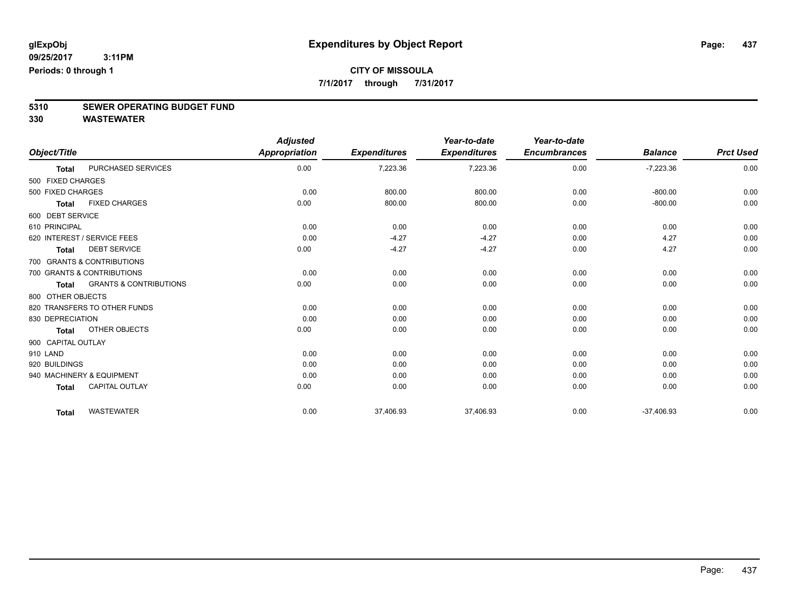**7/1/2017 through 7/31/2017**

# **5310 SEWER OPERATING BUDGET FUND**

|                    |                                   | <b>Adjusted</b>      |                     | Year-to-date        | Year-to-date        |                |                  |
|--------------------|-----------------------------------|----------------------|---------------------|---------------------|---------------------|----------------|------------------|
| Object/Title       |                                   | <b>Appropriation</b> | <b>Expenditures</b> | <b>Expenditures</b> | <b>Encumbrances</b> | <b>Balance</b> | <b>Prct Used</b> |
| <b>Total</b>       | PURCHASED SERVICES                | 0.00                 | 7,223.36            | 7,223.36            | 0.00                | $-7,223.36$    | 0.00             |
| 500 FIXED CHARGES  |                                   |                      |                     |                     |                     |                |                  |
| 500 FIXED CHARGES  |                                   | 0.00                 | 800.00              | 800.00              | 0.00                | $-800.00$      | 0.00             |
| <b>Total</b>       | <b>FIXED CHARGES</b>              | 0.00                 | 800.00              | 800.00              | 0.00                | $-800.00$      | 0.00             |
| 600 DEBT SERVICE   |                                   |                      |                     |                     |                     |                |                  |
| 610 PRINCIPAL      |                                   | 0.00                 | 0.00                | 0.00                | 0.00                | 0.00           | 0.00             |
|                    | 620 INTEREST / SERVICE FEES       | 0.00                 | $-4.27$             | $-4.27$             | 0.00                | 4.27           | 0.00             |
| <b>Total</b>       | <b>DEBT SERVICE</b>               | 0.00                 | $-4.27$             | $-4.27$             | 0.00                | 4.27           | 0.00             |
|                    | 700 GRANTS & CONTRIBUTIONS        |                      |                     |                     |                     |                |                  |
|                    | 700 GRANTS & CONTRIBUTIONS        | 0.00                 | 0.00                | 0.00                | 0.00                | 0.00           | 0.00             |
| <b>Total</b>       | <b>GRANTS &amp; CONTRIBUTIONS</b> | 0.00                 | 0.00                | 0.00                | 0.00                | 0.00           | 0.00             |
| 800 OTHER OBJECTS  |                                   |                      |                     |                     |                     |                |                  |
|                    | 820 TRANSFERS TO OTHER FUNDS      | 0.00                 | 0.00                | 0.00                | 0.00                | 0.00           | 0.00             |
| 830 DEPRECIATION   |                                   | 0.00                 | 0.00                | 0.00                | 0.00                | 0.00           | 0.00             |
| <b>Total</b>       | OTHER OBJECTS                     | 0.00                 | 0.00                | 0.00                | 0.00                | 0.00           | 0.00             |
| 900 CAPITAL OUTLAY |                                   |                      |                     |                     |                     |                |                  |
| 910 LAND           |                                   | 0.00                 | 0.00                | 0.00                | 0.00                | 0.00           | 0.00             |
| 920 BUILDINGS      |                                   | 0.00                 | 0.00                | 0.00                | 0.00                | 0.00           | 0.00             |
|                    | 940 MACHINERY & EQUIPMENT         | 0.00                 | 0.00                | 0.00                | 0.00                | 0.00           | 0.00             |
| <b>Total</b>       | <b>CAPITAL OUTLAY</b>             | 0.00                 | 0.00                | 0.00                | 0.00                | 0.00           | 0.00             |
| <b>Total</b>       | <b>WASTEWATER</b>                 | 0.00                 | 37,406.93           | 37,406.93           | 0.00                | $-37,406.93$   | 0.00             |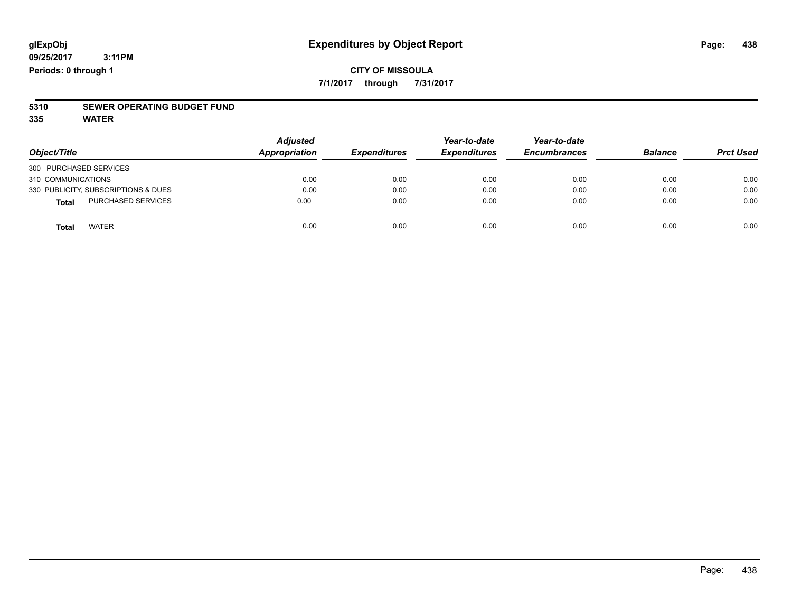#### **CITY OF MISSOULA 7/1/2017 through 7/31/2017**

# **5310 SEWER OPERATING BUDGET FUND**

**335 WATER**

| Object/Title                        | <b>Adjusted</b><br>Appropriation | <b>Expenditures</b> | Year-to-date<br><b>Expenditures</b> | Year-to-date<br><b>Encumbrances</b> | <b>Balance</b> | <b>Prct Used</b> |
|-------------------------------------|----------------------------------|---------------------|-------------------------------------|-------------------------------------|----------------|------------------|
| 300 PURCHASED SERVICES              |                                  |                     |                                     |                                     |                |                  |
| 310 COMMUNICATIONS                  | 0.00                             | 0.00                | 0.00                                | 0.00                                | 0.00           | 0.00             |
| 330 PUBLICITY, SUBSCRIPTIONS & DUES | 0.00                             | 0.00                | 0.00                                | 0.00                                | 0.00           | 0.00             |
| <b>PURCHASED SERVICES</b><br>Total  | 0.00                             | 0.00                | 0.00                                | 0.00                                | 0.00           | 0.00             |
| <b>WATER</b><br>Total               | 0.00                             | 0.00                | 0.00                                | 0.00                                | 0.00           | 0.00             |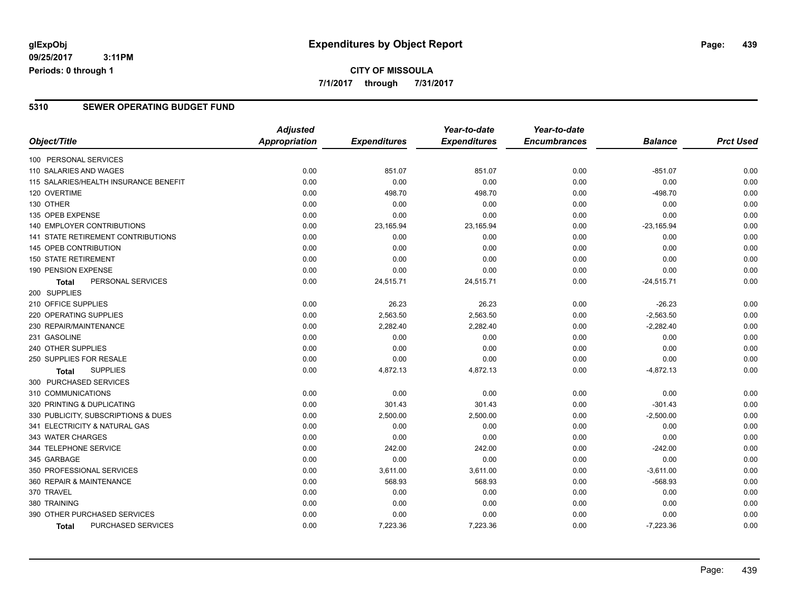### **CITY OF MISSOULA 7/1/2017 through 7/31/2017**

#### **5310 SEWER OPERATING BUDGET FUND**

|                                       | <b>Adjusted</b>      |                     | Year-to-date        | Year-to-date        |                |                  |
|---------------------------------------|----------------------|---------------------|---------------------|---------------------|----------------|------------------|
| Object/Title                          | <b>Appropriation</b> | <b>Expenditures</b> | <b>Expenditures</b> | <b>Encumbrances</b> | <b>Balance</b> | <b>Prct Used</b> |
| 100 PERSONAL SERVICES                 |                      |                     |                     |                     |                |                  |
| 110 SALARIES AND WAGES                | 0.00                 | 851.07              | 851.07              | 0.00                | $-851.07$      | 0.00             |
| 115 SALARIES/HEALTH INSURANCE BENEFIT | 0.00                 | 0.00                | 0.00                | 0.00                | 0.00           | 0.00             |
| 120 OVERTIME                          | 0.00                 | 498.70              | 498.70              | 0.00                | $-498.70$      | 0.00             |
| 130 OTHER                             | 0.00                 | 0.00                | 0.00                | 0.00                | 0.00           | 0.00             |
| 135 OPEB EXPENSE                      | 0.00                 | 0.00                | 0.00                | 0.00                | 0.00           | 0.00             |
| 140 EMPLOYER CONTRIBUTIONS            | 0.00                 | 23,165.94           | 23,165.94           | 0.00                | $-23,165.94$   | 0.00             |
| 141 STATE RETIREMENT CONTRIBUTIONS    | 0.00                 | 0.00                | 0.00                | 0.00                | 0.00           | 0.00             |
| 145 OPEB CONTRIBUTION                 | 0.00                 | 0.00                | 0.00                | 0.00                | 0.00           | 0.00             |
| <b>150 STATE RETIREMENT</b>           | 0.00                 | 0.00                | 0.00                | 0.00                | 0.00           | 0.00             |
| 190 PENSION EXPENSE                   | 0.00                 | 0.00                | 0.00                | 0.00                | 0.00           | 0.00             |
| PERSONAL SERVICES<br><b>Total</b>     | 0.00                 | 24,515.71           | 24,515.71           | 0.00                | $-24,515.71$   | 0.00             |
| 200 SUPPLIES                          |                      |                     |                     |                     |                |                  |
| 210 OFFICE SUPPLIES                   | 0.00                 | 26.23               | 26.23               | 0.00                | $-26.23$       | 0.00             |
| 220 OPERATING SUPPLIES                | 0.00                 | 2,563.50            | 2,563.50            | 0.00                | $-2,563.50$    | 0.00             |
| 230 REPAIR/MAINTENANCE                | 0.00                 | 2,282.40            | 2,282.40            | 0.00                | $-2,282.40$    | 0.00             |
| 231 GASOLINE                          | 0.00                 | 0.00                | 0.00                | 0.00                | 0.00           | 0.00             |
| 240 OTHER SUPPLIES                    | 0.00                 | 0.00                | 0.00                | 0.00                | 0.00           | 0.00             |
| 250 SUPPLIES FOR RESALE               | 0.00                 | 0.00                | 0.00                | 0.00                | 0.00           | 0.00             |
| <b>SUPPLIES</b><br><b>Total</b>       | 0.00                 | 4,872.13            | 4,872.13            | 0.00                | $-4,872.13$    | 0.00             |
| 300 PURCHASED SERVICES                |                      |                     |                     |                     |                |                  |
| 310 COMMUNICATIONS                    | 0.00                 | 0.00                | 0.00                | 0.00                | 0.00           | 0.00             |
| 320 PRINTING & DUPLICATING            | 0.00                 | 301.43              | 301.43              | 0.00                | $-301.43$      | 0.00             |
| 330 PUBLICITY, SUBSCRIPTIONS & DUES   | 0.00                 | 2,500.00            | 2,500.00            | 0.00                | $-2,500.00$    | 0.00             |
| 341 ELECTRICITY & NATURAL GAS         | 0.00                 | 0.00                | 0.00                | 0.00                | 0.00           | 0.00             |
| 343 WATER CHARGES                     | 0.00                 | 0.00                | 0.00                | 0.00                | 0.00           | 0.00             |
| 344 TELEPHONE SERVICE                 | 0.00                 | 242.00              | 242.00              | 0.00                | $-242.00$      | 0.00             |
| 345 GARBAGE                           | 0.00                 | 0.00                | 0.00                | 0.00                | 0.00           | 0.00             |
| 350 PROFESSIONAL SERVICES             | 0.00                 | 3,611.00            | 3,611.00            | 0.00                | $-3,611.00$    | 0.00             |
| 360 REPAIR & MAINTENANCE              | 0.00                 | 568.93              | 568.93              | 0.00                | $-568.93$      | 0.00             |
| 370 TRAVEL                            | 0.00                 | 0.00                | 0.00                | 0.00                | 0.00           | 0.00             |
| 380 TRAINING                          | 0.00                 | 0.00                | 0.00                | 0.00                | 0.00           | 0.00             |
| 390 OTHER PURCHASED SERVICES          | 0.00                 | 0.00                | 0.00                | 0.00                | 0.00           | 0.00             |
| PURCHASED SERVICES<br>Total           | 0.00                 | 7,223.36            | 7,223.36            | 0.00                | $-7,223.36$    | 0.00             |

Page: 439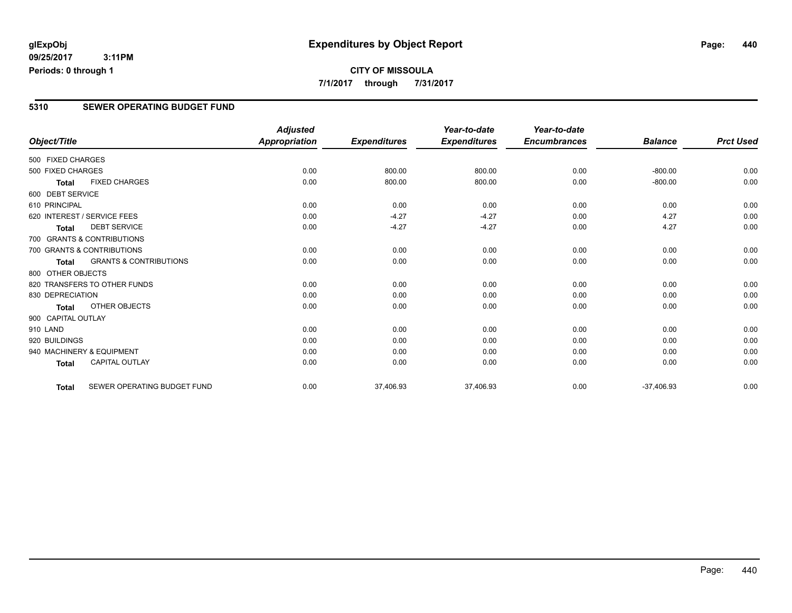**09/25/2017 3:11PM Periods: 0 through 1**

### **CITY OF MISSOULA 7/1/2017 through 7/31/2017**

#### **5310 SEWER OPERATING BUDGET FUND**

|                    |                                   | <b>Adjusted</b>      |                     | Year-to-date        | Year-to-date        |                |                  |
|--------------------|-----------------------------------|----------------------|---------------------|---------------------|---------------------|----------------|------------------|
| Object/Title       |                                   | <b>Appropriation</b> | <b>Expenditures</b> | <b>Expenditures</b> | <b>Encumbrances</b> | <b>Balance</b> | <b>Prct Used</b> |
| 500 FIXED CHARGES  |                                   |                      |                     |                     |                     |                |                  |
| 500 FIXED CHARGES  |                                   | 0.00                 | 800.00              | 800.00              | 0.00                | $-800.00$      | 0.00             |
| <b>Total</b>       | <b>FIXED CHARGES</b>              | 0.00                 | 800.00              | 800.00              | 0.00                | $-800.00$      | 0.00             |
| 600 DEBT SERVICE   |                                   |                      |                     |                     |                     |                |                  |
| 610 PRINCIPAL      |                                   | 0.00                 | 0.00                | 0.00                | 0.00                | 0.00           | 0.00             |
|                    | 620 INTEREST / SERVICE FEES       | 0.00                 | $-4.27$             | $-4.27$             | 0.00                | 4.27           | 0.00             |
| <b>Total</b>       | <b>DEBT SERVICE</b>               | 0.00                 | $-4.27$             | $-4.27$             | 0.00                | 4.27           | 0.00             |
|                    | 700 GRANTS & CONTRIBUTIONS        |                      |                     |                     |                     |                |                  |
|                    | 700 GRANTS & CONTRIBUTIONS        | 0.00                 | 0.00                | 0.00                | 0.00                | 0.00           | 0.00             |
| <b>Total</b>       | <b>GRANTS &amp; CONTRIBUTIONS</b> | 0.00                 | 0.00                | 0.00                | 0.00                | 0.00           | 0.00             |
| 800 OTHER OBJECTS  |                                   |                      |                     |                     |                     |                |                  |
|                    | 820 TRANSFERS TO OTHER FUNDS      | 0.00                 | 0.00                | 0.00                | 0.00                | 0.00           | 0.00             |
| 830 DEPRECIATION   |                                   | 0.00                 | 0.00                | 0.00                | 0.00                | 0.00           | 0.00             |
| <b>Total</b>       | <b>OTHER OBJECTS</b>              | 0.00                 | 0.00                | 0.00                | 0.00                | 0.00           | 0.00             |
| 900 CAPITAL OUTLAY |                                   |                      |                     |                     |                     |                |                  |
| 910 LAND           |                                   | 0.00                 | 0.00                | 0.00                | 0.00                | 0.00           | 0.00             |
| 920 BUILDINGS      |                                   | 0.00                 | 0.00                | 0.00                | 0.00                | 0.00           | 0.00             |
|                    | 940 MACHINERY & EQUIPMENT         | 0.00                 | 0.00                | 0.00                | 0.00                | 0.00           | 0.00             |
| <b>Total</b>       | <b>CAPITAL OUTLAY</b>             | 0.00                 | 0.00                | 0.00                | 0.00                | 0.00           | 0.00             |
| <b>Total</b>       | SEWER OPERATING BUDGET FUND       | 0.00                 | 37,406.93           | 37,406.93           | 0.00                | $-37,406.93$   | 0.00             |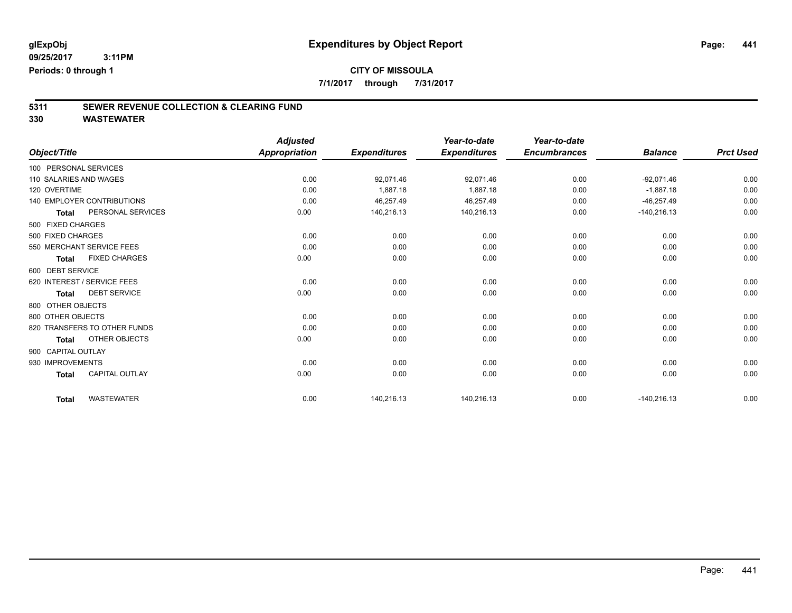**7/1/2017 through 7/31/2017**

# **5311 SEWER REVENUE COLLECTION & CLEARING FUND**

|                                   |                              | <b>Adjusted</b>      |                     | Year-to-date        | Year-to-date        |                |                  |
|-----------------------------------|------------------------------|----------------------|---------------------|---------------------|---------------------|----------------|------------------|
| Object/Title                      |                              | <b>Appropriation</b> | <b>Expenditures</b> | <b>Expenditures</b> | <b>Encumbrances</b> | <b>Balance</b> | <b>Prct Used</b> |
| 100 PERSONAL SERVICES             |                              |                      |                     |                     |                     |                |                  |
| 110 SALARIES AND WAGES            |                              | 0.00                 | 92,071.46           | 92,071.46           | 0.00                | $-92,071.46$   | 0.00             |
| 120 OVERTIME                      |                              | 0.00                 | 1,887.18            | 1,887.18            | 0.00                | $-1,887.18$    | 0.00             |
| <b>140 EMPLOYER CONTRIBUTIONS</b> |                              | 0.00                 | 46,257.49           | 46,257.49           | 0.00                | $-46,257.49$   | 0.00             |
| <b>Total</b>                      | PERSONAL SERVICES            | 0.00                 | 140,216.13          | 140,216.13          | 0.00                | $-140,216.13$  | 0.00             |
| 500 FIXED CHARGES                 |                              |                      |                     |                     |                     |                |                  |
| 500 FIXED CHARGES                 |                              | 0.00                 | 0.00                | 0.00                | 0.00                | 0.00           | 0.00             |
| 550 MERCHANT SERVICE FEES         |                              | 0.00                 | 0.00                | 0.00                | 0.00                | 0.00           | 0.00             |
| <b>Total</b>                      | <b>FIXED CHARGES</b>         | 0.00                 | 0.00                | 0.00                | 0.00                | 0.00           | 0.00             |
| 600 DEBT SERVICE                  |                              |                      |                     |                     |                     |                |                  |
| 620 INTEREST / SERVICE FEES       |                              | 0.00                 | 0.00                | 0.00                | 0.00                | 0.00           | 0.00             |
| <b>Total</b>                      | <b>DEBT SERVICE</b>          | 0.00                 | 0.00                | 0.00                | 0.00                | 0.00           | 0.00             |
| 800 OTHER OBJECTS                 |                              |                      |                     |                     |                     |                |                  |
| 800 OTHER OBJECTS                 |                              | 0.00                 | 0.00                | 0.00                | 0.00                | 0.00           | 0.00             |
|                                   | 820 TRANSFERS TO OTHER FUNDS | 0.00                 | 0.00                | 0.00                | 0.00                | 0.00           | 0.00             |
| <b>Total</b>                      | OTHER OBJECTS                | 0.00                 | 0.00                | 0.00                | 0.00                | 0.00           | 0.00             |
| 900 CAPITAL OUTLAY                |                              |                      |                     |                     |                     |                |                  |
| 930 IMPROVEMENTS                  |                              | 0.00                 | 0.00                | 0.00                | 0.00                | 0.00           | 0.00             |
| <b>Total</b>                      | CAPITAL OUTLAY               | 0.00                 | 0.00                | 0.00                | 0.00                | 0.00           | 0.00             |
| <b>Total</b>                      | <b>WASTEWATER</b>            | 0.00                 | 140,216.13          | 140,216.13          | 0.00                | $-140,216.13$  | 0.00             |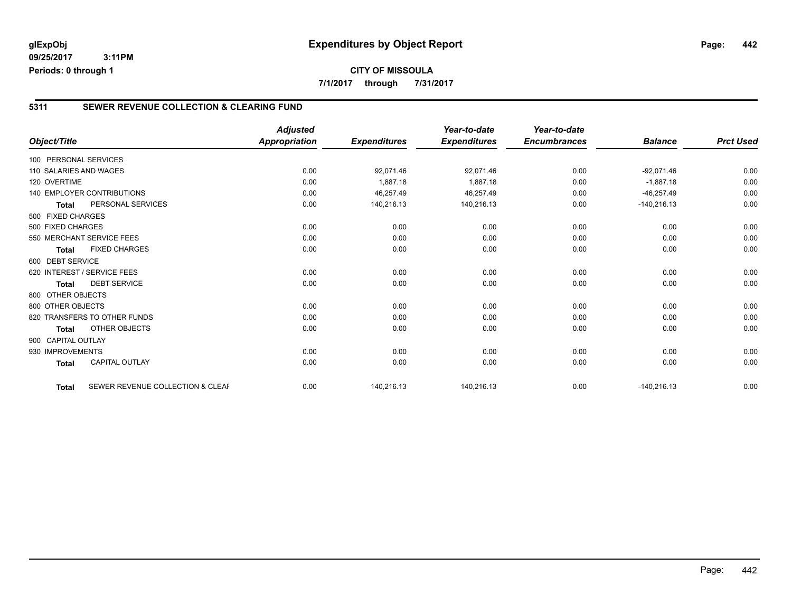**09/25/2017 3:11PM Periods: 0 through 1**

#### **5311 SEWER REVENUE COLLECTION & CLEARING FUND**

|                        |                                  | <b>Adjusted</b>      |                     | Year-to-date        | Year-to-date        |                |                  |
|------------------------|----------------------------------|----------------------|---------------------|---------------------|---------------------|----------------|------------------|
| Object/Title           |                                  | <b>Appropriation</b> | <b>Expenditures</b> | <b>Expenditures</b> | <b>Encumbrances</b> | <b>Balance</b> | <b>Prct Used</b> |
| 100 PERSONAL SERVICES  |                                  |                      |                     |                     |                     |                |                  |
| 110 SALARIES AND WAGES |                                  | 0.00                 | 92.071.46           | 92.071.46           | 0.00                | $-92.071.46$   | 0.00             |
| 120 OVERTIME           |                                  | 0.00                 | 1,887.18            | 1.887.18            | 0.00                | $-1,887.18$    | 0.00             |
|                        | 140 EMPLOYER CONTRIBUTIONS       | 0.00                 | 46,257.49           | 46,257.49           | 0.00                | $-46,257.49$   | 0.00             |
| <b>Total</b>           | PERSONAL SERVICES                | 0.00                 | 140,216.13          | 140,216.13          | 0.00                | $-140,216.13$  | 0.00             |
| 500 FIXED CHARGES      |                                  |                      |                     |                     |                     |                |                  |
| 500 FIXED CHARGES      |                                  | 0.00                 | 0.00                | 0.00                | 0.00                | 0.00           | 0.00             |
|                        | 550 MERCHANT SERVICE FEES        | 0.00                 | 0.00                | 0.00                | 0.00                | 0.00           | 0.00             |
| <b>Total</b>           | <b>FIXED CHARGES</b>             | 0.00                 | 0.00                | 0.00                | 0.00                | 0.00           | 0.00             |
| 600 DEBT SERVICE       |                                  |                      |                     |                     |                     |                |                  |
|                        | 620 INTEREST / SERVICE FEES      | 0.00                 | 0.00                | 0.00                | 0.00                | 0.00           | 0.00             |
| Total                  | <b>DEBT SERVICE</b>              | 0.00                 | 0.00                | 0.00                | 0.00                | 0.00           | 0.00             |
| 800 OTHER OBJECTS      |                                  |                      |                     |                     |                     |                |                  |
| 800 OTHER OBJECTS      |                                  | 0.00                 | 0.00                | 0.00                | 0.00                | 0.00           | 0.00             |
|                        | 820 TRANSFERS TO OTHER FUNDS     | 0.00                 | 0.00                | 0.00                | 0.00                | 0.00           | 0.00             |
| Total                  | OTHER OBJECTS                    | 0.00                 | 0.00                | 0.00                | 0.00                | 0.00           | 0.00             |
| 900 CAPITAL OUTLAY     |                                  |                      |                     |                     |                     |                |                  |
| 930 IMPROVEMENTS       |                                  | 0.00                 | 0.00                | 0.00                | 0.00                | 0.00           | 0.00             |
| <b>Total</b>           | <b>CAPITAL OUTLAY</b>            | 0.00                 | 0.00                | 0.00                | 0.00                | 0.00           | 0.00             |
|                        |                                  |                      |                     |                     |                     |                |                  |
| <b>Total</b>           | SEWER REVENUE COLLECTION & CLEAF | 0.00                 | 140,216.13          | 140,216.13          | 0.00                | $-140,216.13$  | 0.00             |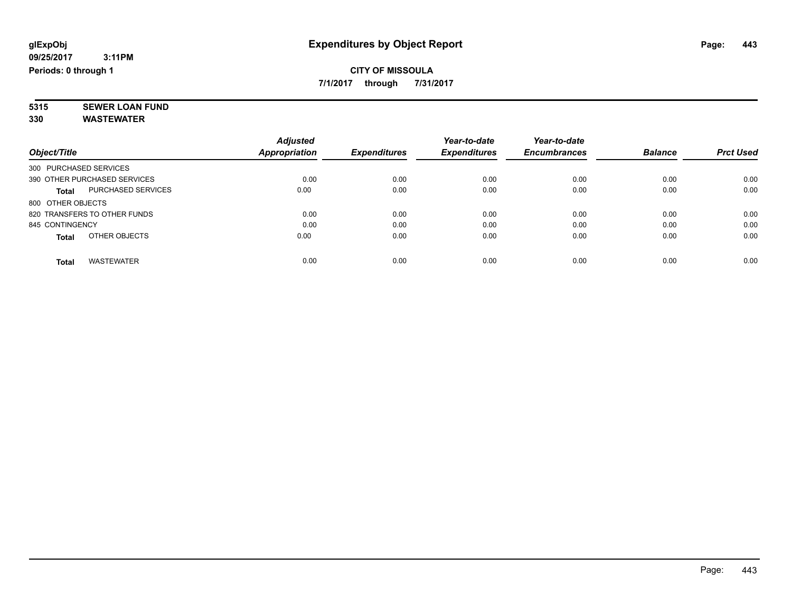**7/1/2017 through 7/31/2017**

#### **5315 SEWER LOAN FUND 330 WASTEWATER**

|                              |                           | <b>Adjusted</b>      |                     | Year-to-date        | Year-to-date        |                |                  |
|------------------------------|---------------------------|----------------------|---------------------|---------------------|---------------------|----------------|------------------|
| Object/Title                 |                           | <b>Appropriation</b> | <b>Expenditures</b> | <b>Expenditures</b> | <b>Encumbrances</b> | <b>Balance</b> | <b>Prct Used</b> |
| 300 PURCHASED SERVICES       |                           |                      |                     |                     |                     |                |                  |
| 390 OTHER PURCHASED SERVICES |                           | 0.00                 | 0.00                | 0.00                | 0.00                | 0.00           | 0.00             |
| <b>Total</b>                 | <b>PURCHASED SERVICES</b> | 0.00                 | 0.00                | 0.00                | 0.00                | 0.00           | 0.00             |
| 800 OTHER OBJECTS            |                           |                      |                     |                     |                     |                |                  |
| 820 TRANSFERS TO OTHER FUNDS |                           | 0.00                 | 0.00                | 0.00                | 0.00                | 0.00           | 0.00             |
| 845 CONTINGENCY              |                           | 0.00                 | 0.00                | 0.00                | 0.00                | 0.00           | 0.00             |
| <b>Total</b>                 | OTHER OBJECTS             | 0.00                 | 0.00                | 0.00                | 0.00                | 0.00           | 0.00             |
| <b>Total</b>                 | <b>WASTEWATER</b>         | 0.00                 | 0.00                | 0.00                | 0.00                | 0.00           | 0.00             |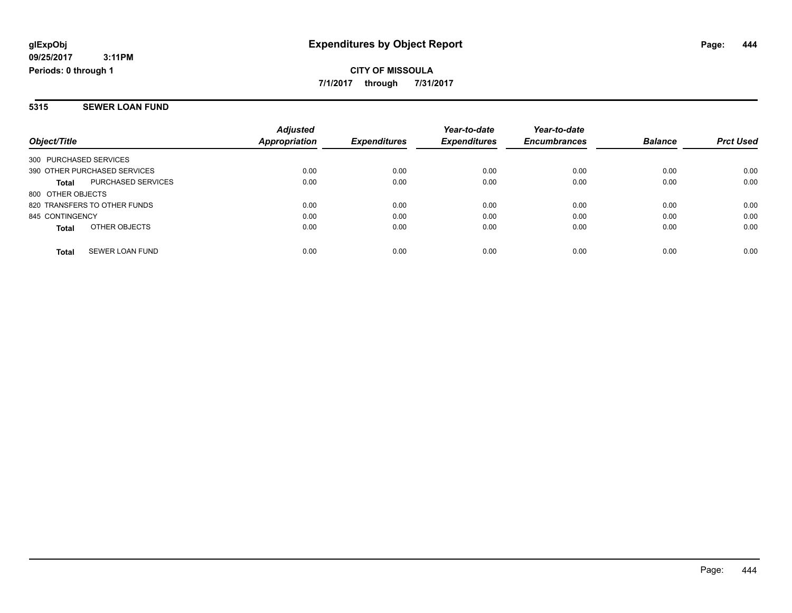**CITY OF MISSOULA 7/1/2017 through 7/31/2017**

#### **5315 SEWER LOAN FUND**

| Object/Title                 |                           | <b>Adjusted</b><br>Appropriation | <b>Expenditures</b> | Year-to-date<br><b>Expenditures</b> | Year-to-date<br><b>Encumbrances</b> | <b>Balance</b> | <b>Prct Used</b> |
|------------------------------|---------------------------|----------------------------------|---------------------|-------------------------------------|-------------------------------------|----------------|------------------|
| 300 PURCHASED SERVICES       |                           |                                  |                     |                                     |                                     |                |                  |
|                              |                           |                                  |                     |                                     |                                     |                |                  |
| 390 OTHER PURCHASED SERVICES |                           | 0.00                             | 0.00                | 0.00                                | 0.00                                | 0.00           | 0.00             |
| <b>Total</b>                 | <b>PURCHASED SERVICES</b> | 0.00                             | 0.00                | 0.00                                | 0.00                                | 0.00           | 0.00             |
| 800 OTHER OBJECTS            |                           |                                  |                     |                                     |                                     |                |                  |
| 820 TRANSFERS TO OTHER FUNDS |                           | 0.00                             | 0.00                | 0.00                                | 0.00                                | 0.00           | 0.00             |
| 845 CONTINGENCY              |                           | 0.00                             | 0.00                | 0.00                                | 0.00                                | 0.00           | 0.00             |
| <b>Total</b>                 | OTHER OBJECTS             | 0.00                             | 0.00                | 0.00                                | 0.00                                | 0.00           | 0.00             |
| <b>Total</b>                 | <b>SEWER LOAN FUND</b>    | 0.00                             | 0.00                | 0.00                                | 0.00                                | 0.00           | 0.00             |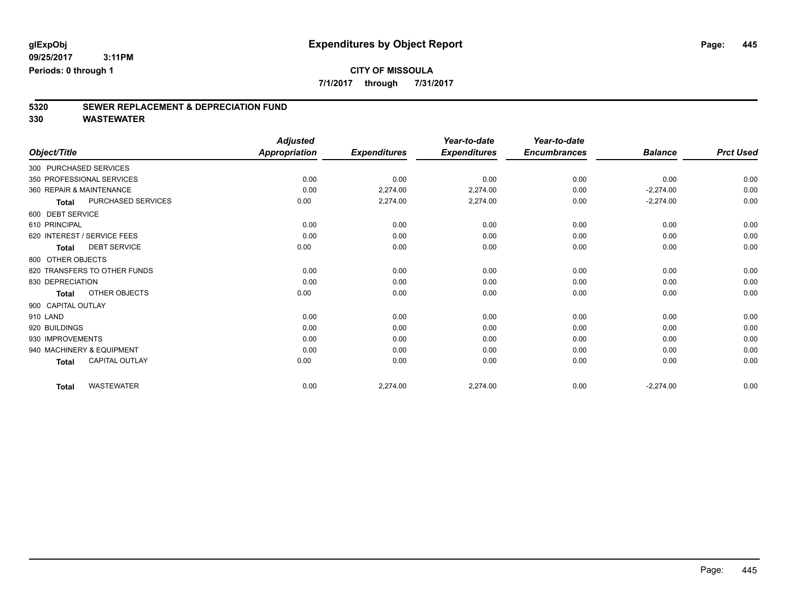**7/1/2017 through 7/31/2017**

# **5320 SEWER REPLACEMENT & DEPRECIATION FUND**

|                          |                              | <b>Adjusted</b>      |                     | Year-to-date        | Year-to-date        |                |                  |
|--------------------------|------------------------------|----------------------|---------------------|---------------------|---------------------|----------------|------------------|
| Object/Title             |                              | <b>Appropriation</b> | <b>Expenditures</b> | <b>Expenditures</b> | <b>Encumbrances</b> | <b>Balance</b> | <b>Prct Used</b> |
| 300 PURCHASED SERVICES   |                              |                      |                     |                     |                     |                |                  |
|                          | 350 PROFESSIONAL SERVICES    | 0.00                 | 0.00                | 0.00                | 0.00                | 0.00           | 0.00             |
| 360 REPAIR & MAINTENANCE |                              | 0.00                 | 2,274.00            | 2,274.00            | 0.00                | $-2,274.00$    | 0.00             |
| <b>Total</b>             | PURCHASED SERVICES           | 0.00                 | 2,274.00            | 2,274.00            | 0.00                | $-2,274.00$    | 0.00             |
| 600 DEBT SERVICE         |                              |                      |                     |                     |                     |                |                  |
| 610 PRINCIPAL            |                              | 0.00                 | 0.00                | 0.00                | 0.00                | 0.00           | 0.00             |
|                          | 620 INTEREST / SERVICE FEES  | 0.00                 | 0.00                | 0.00                | 0.00                | 0.00           | 0.00             |
| <b>Total</b>             | <b>DEBT SERVICE</b>          | 0.00                 | 0.00                | 0.00                | 0.00                | 0.00           | 0.00             |
| 800 OTHER OBJECTS        |                              |                      |                     |                     |                     |                |                  |
|                          | 820 TRANSFERS TO OTHER FUNDS | 0.00                 | 0.00                | 0.00                | 0.00                | 0.00           | 0.00             |
| 830 DEPRECIATION         |                              | 0.00                 | 0.00                | 0.00                | 0.00                | 0.00           | 0.00             |
| <b>Total</b>             | OTHER OBJECTS                | 0.00                 | 0.00                | 0.00                | 0.00                | 0.00           | 0.00             |
| 900 CAPITAL OUTLAY       |                              |                      |                     |                     |                     |                |                  |
| 910 LAND                 |                              | 0.00                 | 0.00                | 0.00                | 0.00                | 0.00           | 0.00             |
| 920 BUILDINGS            |                              | 0.00                 | 0.00                | 0.00                | 0.00                | 0.00           | 0.00             |
| 930 IMPROVEMENTS         |                              | 0.00                 | 0.00                | 0.00                | 0.00                | 0.00           | 0.00             |
|                          | 940 MACHINERY & EQUIPMENT    | 0.00                 | 0.00                | 0.00                | 0.00                | 0.00           | 0.00             |
| <b>Total</b>             | <b>CAPITAL OUTLAY</b>        | 0.00                 | 0.00                | 0.00                | 0.00                | 0.00           | 0.00             |
| <b>Total</b>             | <b>WASTEWATER</b>            | 0.00                 | 2,274.00            | 2,274.00            | 0.00                | $-2,274.00$    | 0.00             |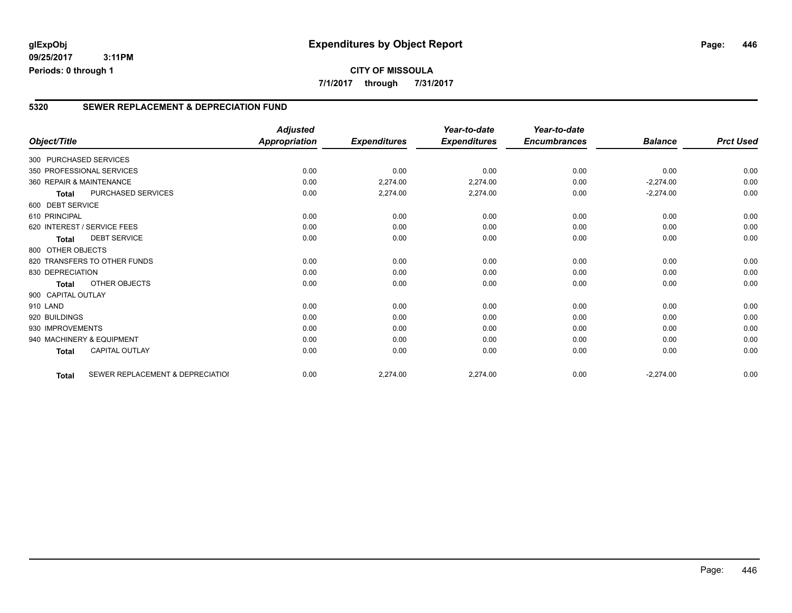#### **5320 SEWER REPLACEMENT & DEPRECIATION FUND**

|                          |                                  | <b>Adjusted</b>      |                     | Year-to-date        | Year-to-date        |                |                  |
|--------------------------|----------------------------------|----------------------|---------------------|---------------------|---------------------|----------------|------------------|
| Object/Title             |                                  | <b>Appropriation</b> | <b>Expenditures</b> | <b>Expenditures</b> | <b>Encumbrances</b> | <b>Balance</b> | <b>Prct Used</b> |
| 300 PURCHASED SERVICES   |                                  |                      |                     |                     |                     |                |                  |
|                          | 350 PROFESSIONAL SERVICES        | 0.00                 | 0.00                | 0.00                | 0.00                | 0.00           | 0.00             |
| 360 REPAIR & MAINTENANCE |                                  | 0.00                 | 2,274.00            | 2,274.00            | 0.00                | $-2,274.00$    | 0.00             |
| <b>Total</b>             | PURCHASED SERVICES               | 0.00                 | 2,274.00            | 2,274.00            | 0.00                | $-2,274.00$    | 0.00             |
| 600 DEBT SERVICE         |                                  |                      |                     |                     |                     |                |                  |
| 610 PRINCIPAL            |                                  | 0.00                 | 0.00                | 0.00                | 0.00                | 0.00           | 0.00             |
|                          | 620 INTEREST / SERVICE FEES      | 0.00                 | 0.00                | 0.00                | 0.00                | 0.00           | 0.00             |
| <b>Total</b>             | <b>DEBT SERVICE</b>              | 0.00                 | 0.00                | 0.00                | 0.00                | 0.00           | 0.00             |
| 800 OTHER OBJECTS        |                                  |                      |                     |                     |                     |                |                  |
|                          | 820 TRANSFERS TO OTHER FUNDS     | 0.00                 | 0.00                | 0.00                | 0.00                | 0.00           | 0.00             |
| 830 DEPRECIATION         |                                  | 0.00                 | 0.00                | 0.00                | 0.00                | 0.00           | 0.00             |
| <b>Total</b>             | OTHER OBJECTS                    | 0.00                 | 0.00                | 0.00                | 0.00                | 0.00           | 0.00             |
| 900 CAPITAL OUTLAY       |                                  |                      |                     |                     |                     |                |                  |
| 910 LAND                 |                                  | 0.00                 | 0.00                | 0.00                | 0.00                | 0.00           | 0.00             |
| 920 BUILDINGS            |                                  | 0.00                 | 0.00                | 0.00                | 0.00                | 0.00           | 0.00             |
| 930 IMPROVEMENTS         |                                  | 0.00                 | 0.00                | 0.00                | 0.00                | 0.00           | 0.00             |
|                          | 940 MACHINERY & EQUIPMENT        | 0.00                 | 0.00                | 0.00                | 0.00                | 0.00           | 0.00             |
| <b>Total</b>             | <b>CAPITAL OUTLAY</b>            | 0.00                 | 0.00                | 0.00                | 0.00                | 0.00           | 0.00             |
| <b>Total</b>             | SEWER REPLACEMENT & DEPRECIATIOI | 0.00                 | 2,274.00            | 2,274.00            | 0.00                | $-2,274.00$    | 0.00             |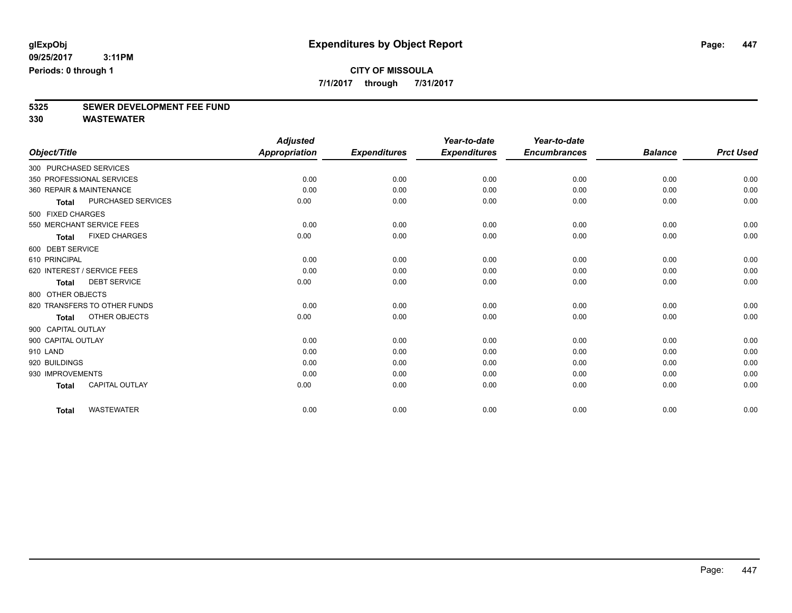**7/1/2017 through 7/31/2017**

# **5325 SEWER DEVELOPMENT FEE FUND**

|                          |                              | <b>Adjusted</b>      |                     | Year-to-date        | Year-to-date        |                |                  |
|--------------------------|------------------------------|----------------------|---------------------|---------------------|---------------------|----------------|------------------|
| Object/Title             |                              | <b>Appropriation</b> | <b>Expenditures</b> | <b>Expenditures</b> | <b>Encumbrances</b> | <b>Balance</b> | <b>Prct Used</b> |
| 300 PURCHASED SERVICES   |                              |                      |                     |                     |                     |                |                  |
|                          | 350 PROFESSIONAL SERVICES    | 0.00                 | 0.00                | 0.00                | 0.00                | 0.00           | 0.00             |
| 360 REPAIR & MAINTENANCE |                              | 0.00                 | 0.00                | 0.00                | 0.00                | 0.00           | 0.00             |
| <b>Total</b>             | PURCHASED SERVICES           | 0.00                 | 0.00                | 0.00                | 0.00                | 0.00           | 0.00             |
| 500 FIXED CHARGES        |                              |                      |                     |                     |                     |                |                  |
|                          | 550 MERCHANT SERVICE FEES    | 0.00                 | 0.00                | 0.00                | 0.00                | 0.00           | 0.00             |
| <b>Total</b>             | <b>FIXED CHARGES</b>         | 0.00                 | 0.00                | 0.00                | 0.00                | 0.00           | 0.00             |
| 600 DEBT SERVICE         |                              |                      |                     |                     |                     |                |                  |
| 610 PRINCIPAL            |                              | 0.00                 | 0.00                | 0.00                | 0.00                | 0.00           | 0.00             |
|                          | 620 INTEREST / SERVICE FEES  | 0.00                 | 0.00                | 0.00                | 0.00                | 0.00           | 0.00             |
| <b>Total</b>             | <b>DEBT SERVICE</b>          | 0.00                 | 0.00                | 0.00                | 0.00                | 0.00           | 0.00             |
| 800 OTHER OBJECTS        |                              |                      |                     |                     |                     |                |                  |
|                          | 820 TRANSFERS TO OTHER FUNDS | 0.00                 | 0.00                | 0.00                | 0.00                | 0.00           | 0.00             |
| <b>Total</b>             | OTHER OBJECTS                | 0.00                 | 0.00                | 0.00                | 0.00                | 0.00           | 0.00             |
| 900 CAPITAL OUTLAY       |                              |                      |                     |                     |                     |                |                  |
| 900 CAPITAL OUTLAY       |                              | 0.00                 | 0.00                | 0.00                | 0.00                | 0.00           | 0.00             |
| 910 LAND                 |                              | 0.00                 | 0.00                | 0.00                | 0.00                | 0.00           | 0.00             |
| 920 BUILDINGS            |                              | 0.00                 | 0.00                | 0.00                | 0.00                | 0.00           | 0.00             |
| 930 IMPROVEMENTS         |                              | 0.00                 | 0.00                | 0.00                | 0.00                | 0.00           | 0.00             |
| <b>Total</b>             | <b>CAPITAL OUTLAY</b>        | 0.00                 | 0.00                | 0.00                | 0.00                | 0.00           | 0.00             |
| <b>Total</b>             | <b>WASTEWATER</b>            | 0.00                 | 0.00                | 0.00                | 0.00                | 0.00           | 0.00             |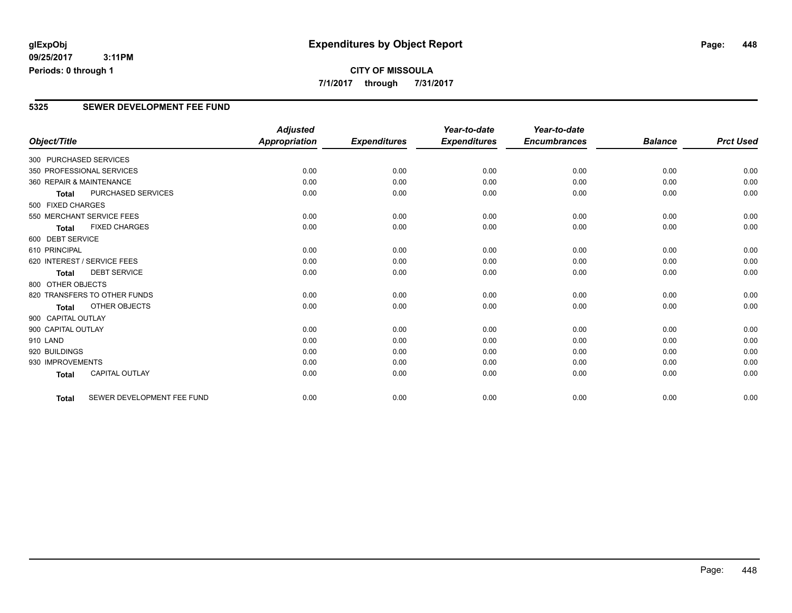### **CITY OF MISSOULA 7/1/2017 through 7/31/2017**

#### **5325 SEWER DEVELOPMENT FEE FUND**

|                          |                              | <b>Adjusted</b>      |                     | Year-to-date        | Year-to-date        |                |                  |
|--------------------------|------------------------------|----------------------|---------------------|---------------------|---------------------|----------------|------------------|
| Object/Title             |                              | <b>Appropriation</b> | <b>Expenditures</b> | <b>Expenditures</b> | <b>Encumbrances</b> | <b>Balance</b> | <b>Prct Used</b> |
| 300 PURCHASED SERVICES   |                              |                      |                     |                     |                     |                |                  |
|                          | 350 PROFESSIONAL SERVICES    | 0.00                 | 0.00                | 0.00                | 0.00                | 0.00           | 0.00             |
| 360 REPAIR & MAINTENANCE |                              | 0.00                 | 0.00                | 0.00                | 0.00                | 0.00           | 0.00             |
| Total                    | PURCHASED SERVICES           | 0.00                 | 0.00                | 0.00                | 0.00                | 0.00           | 0.00             |
| 500 FIXED CHARGES        |                              |                      |                     |                     |                     |                |                  |
|                          | 550 MERCHANT SERVICE FEES    | 0.00                 | 0.00                | 0.00                | 0.00                | 0.00           | 0.00             |
| <b>Total</b>             | <b>FIXED CHARGES</b>         | 0.00                 | 0.00                | 0.00                | 0.00                | 0.00           | 0.00             |
| 600 DEBT SERVICE         |                              |                      |                     |                     |                     |                |                  |
| 610 PRINCIPAL            |                              | 0.00                 | 0.00                | 0.00                | 0.00                | 0.00           | 0.00             |
|                          | 620 INTEREST / SERVICE FEES  | 0.00                 | 0.00                | 0.00                | 0.00                | 0.00           | 0.00             |
| <b>Total</b>             | <b>DEBT SERVICE</b>          | 0.00                 | 0.00                | 0.00                | 0.00                | 0.00           | 0.00             |
| 800 OTHER OBJECTS        |                              |                      |                     |                     |                     |                |                  |
|                          | 820 TRANSFERS TO OTHER FUNDS | 0.00                 | 0.00                | 0.00                | 0.00                | 0.00           | 0.00             |
| <b>Total</b>             | OTHER OBJECTS                | 0.00                 | 0.00                | 0.00                | 0.00                | 0.00           | 0.00             |
| 900 CAPITAL OUTLAY       |                              |                      |                     |                     |                     |                |                  |
| 900 CAPITAL OUTLAY       |                              | 0.00                 | 0.00                | 0.00                | 0.00                | 0.00           | 0.00             |
| 910 LAND                 |                              | 0.00                 | 0.00                | 0.00                | 0.00                | 0.00           | 0.00             |
| 920 BUILDINGS            |                              | 0.00                 | 0.00                | 0.00                | 0.00                | 0.00           | 0.00             |
| 930 IMPROVEMENTS         |                              | 0.00                 | 0.00                | 0.00                | 0.00                | 0.00           | 0.00             |
| <b>Total</b>             | <b>CAPITAL OUTLAY</b>        | 0.00                 | 0.00                | 0.00                | 0.00                | 0.00           | 0.00             |
| <b>Total</b>             | SEWER DEVELOPMENT FEE FUND   | 0.00                 | 0.00                | 0.00                | 0.00                | 0.00           | 0.00             |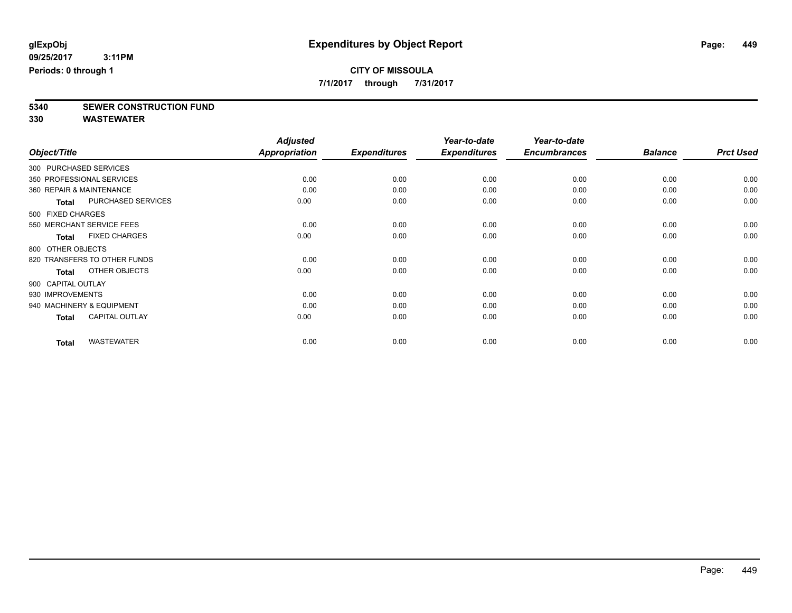**7/1/2017 through 7/31/2017**

**5340 SEWER CONSTRUCTION FUND**

|                        |                              | <b>Adjusted</b>      |                     | Year-to-date        | Year-to-date        |                |                  |
|------------------------|------------------------------|----------------------|---------------------|---------------------|---------------------|----------------|------------------|
| Object/Title           |                              | <b>Appropriation</b> | <b>Expenditures</b> | <b>Expenditures</b> | <b>Encumbrances</b> | <b>Balance</b> | <b>Prct Used</b> |
| 300 PURCHASED SERVICES |                              |                      |                     |                     |                     |                |                  |
|                        | 350 PROFESSIONAL SERVICES    | 0.00                 | 0.00                | 0.00                | 0.00                | 0.00           | 0.00             |
|                        | 360 REPAIR & MAINTENANCE     | 0.00                 | 0.00                | 0.00                | 0.00                | 0.00           | 0.00             |
| Total                  | PURCHASED SERVICES           | 0.00                 | 0.00                | 0.00                | 0.00                | 0.00           | 0.00             |
| 500 FIXED CHARGES      |                              |                      |                     |                     |                     |                |                  |
|                        | 550 MERCHANT SERVICE FEES    | 0.00                 | 0.00                | 0.00                | 0.00                | 0.00           | 0.00             |
| <b>Total</b>           | <b>FIXED CHARGES</b>         | 0.00                 | 0.00                | 0.00                | 0.00                | 0.00           | 0.00             |
| 800 OTHER OBJECTS      |                              |                      |                     |                     |                     |                |                  |
|                        | 820 TRANSFERS TO OTHER FUNDS | 0.00                 | 0.00                | 0.00                | 0.00                | 0.00           | 0.00             |
| <b>Total</b>           | OTHER OBJECTS                | 0.00                 | 0.00                | 0.00                | 0.00                | 0.00           | 0.00             |
| 900 CAPITAL OUTLAY     |                              |                      |                     |                     |                     |                |                  |
| 930 IMPROVEMENTS       |                              | 0.00                 | 0.00                | 0.00                | 0.00                | 0.00           | 0.00             |
|                        | 940 MACHINERY & EQUIPMENT    | 0.00                 | 0.00                | 0.00                | 0.00                | 0.00           | 0.00             |
| <b>Total</b>           | <b>CAPITAL OUTLAY</b>        | 0.00                 | 0.00                | 0.00                | 0.00                | 0.00           | 0.00             |
| <b>Total</b>           | <b>WASTEWATER</b>            | 0.00                 | 0.00                | 0.00                | 0.00                | 0.00           | 0.00             |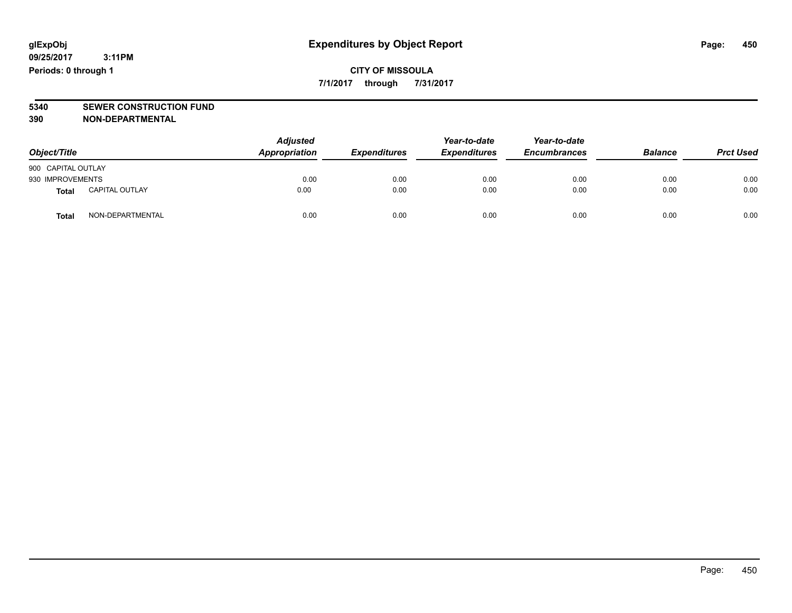**CITY OF MISSOULA 7/1/2017 through 7/31/2017**

# **5340 SEWER CONSTRUCTION FUND**

**390 NON-DEPARTMENTAL**

| Object/Title       |                  | <b>Adjusted</b><br>Appropriation | <b>Expenditures</b> | Year-to-date<br><b>Expenditures</b> | Year-to-date<br><b>Encumbrances</b> | <b>Balance</b> | <b>Prct Used</b> |
|--------------------|------------------|----------------------------------|---------------------|-------------------------------------|-------------------------------------|----------------|------------------|
| 900 CAPITAL OUTLAY |                  |                                  |                     |                                     |                                     |                |                  |
| 930 IMPROVEMENTS   |                  | 0.00                             | 0.00                | 0.00                                | 0.00                                | 0.00           | 0.00             |
| <b>Total</b>       | CAPITAL OUTLAY   | 0.00                             | 0.00                | 0.00                                | 0.00                                | 0.00           | 0.00             |
| Total              | NON-DEPARTMENTAL | 0.00                             | 0.00                | 0.00                                | 0.00                                | 0.00           | 0.00             |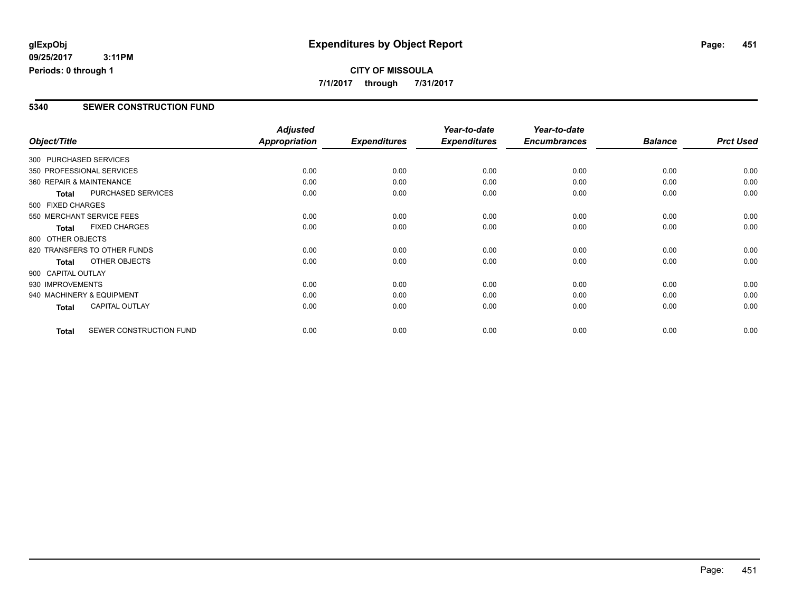### **CITY OF MISSOULA 7/1/2017 through 7/31/2017**

#### **5340 SEWER CONSTRUCTION FUND**

| Object/Title             |                              | <b>Adjusted</b><br><b>Appropriation</b> | <b>Expenditures</b> | Year-to-date<br><b>Expenditures</b> | Year-to-date<br><b>Encumbrances</b> | <b>Balance</b> | <b>Prct Used</b> |
|--------------------------|------------------------------|-----------------------------------------|---------------------|-------------------------------------|-------------------------------------|----------------|------------------|
| 300 PURCHASED SERVICES   |                              |                                         |                     |                                     |                                     |                |                  |
|                          | 350 PROFESSIONAL SERVICES    | 0.00                                    | 0.00                | 0.00                                | 0.00                                | 0.00           | 0.00             |
| 360 REPAIR & MAINTENANCE |                              | 0.00                                    | 0.00                | 0.00                                | 0.00                                | 0.00           | 0.00             |
| <b>Total</b>             | PURCHASED SERVICES           | 0.00                                    | 0.00                | 0.00                                | 0.00                                | 0.00           | 0.00             |
| 500 FIXED CHARGES        |                              |                                         |                     |                                     |                                     |                |                  |
|                          | 550 MERCHANT SERVICE FEES    | 0.00                                    | 0.00                | 0.00                                | 0.00                                | 0.00           | 0.00             |
| <b>Total</b>             | <b>FIXED CHARGES</b>         | 0.00                                    | 0.00                | 0.00                                | 0.00                                | 0.00           | 0.00             |
| 800 OTHER OBJECTS        |                              |                                         |                     |                                     |                                     |                |                  |
|                          | 820 TRANSFERS TO OTHER FUNDS | 0.00                                    | 0.00                | 0.00                                | 0.00                                | 0.00           | 0.00             |
| <b>Total</b>             | OTHER OBJECTS                | 0.00                                    | 0.00                | 0.00                                | 0.00                                | 0.00           | 0.00             |
| 900 CAPITAL OUTLAY       |                              |                                         |                     |                                     |                                     |                |                  |
| 930 IMPROVEMENTS         |                              | 0.00                                    | 0.00                | 0.00                                | 0.00                                | 0.00           | 0.00             |
|                          | 940 MACHINERY & EQUIPMENT    | 0.00                                    | 0.00                | 0.00                                | 0.00                                | 0.00           | 0.00             |
| <b>Total</b>             | <b>CAPITAL OUTLAY</b>        | 0.00                                    | 0.00                | 0.00                                | 0.00                                | 0.00           | 0.00             |
| <b>Total</b>             | SEWER CONSTRUCTION FUND      | 0.00                                    | 0.00                | 0.00                                | 0.00                                | 0.00           | 0.00             |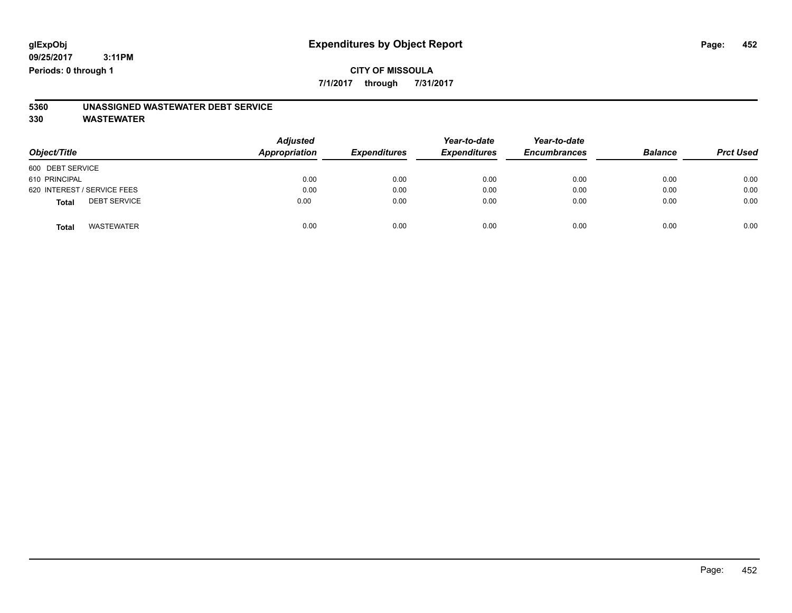## **CITY OF MISSOULA**

**7/1/2017 through 7/31/2017**

# **5360 UNASSIGNED WASTEWATER DEBT SERVICE**

| Object/Title                        | <b>Adjusted</b><br>Appropriation | <b>Expenditures</b> | Year-to-date<br><b>Expenditures</b> | Year-to-date<br><b>Encumbrances</b> | <b>Balance</b> | <b>Prct Used</b> |
|-------------------------------------|----------------------------------|---------------------|-------------------------------------|-------------------------------------|----------------|------------------|
| 600 DEBT SERVICE                    |                                  |                     |                                     |                                     |                |                  |
| 610 PRINCIPAL                       | 0.00                             | 0.00                | 0.00                                | 0.00                                | 0.00           | 0.00             |
| 620 INTEREST / SERVICE FEES         | 0.00                             | 0.00                | 0.00                                | 0.00                                | 0.00           | 0.00             |
| <b>DEBT SERVICE</b><br><b>Total</b> | 0.00                             | 0.00                | 0.00                                | 0.00                                | 0.00           | 0.00             |
| <b>WASTEWATER</b><br><b>Total</b>   | 0.00                             | 0.00                | 0.00                                | 0.00                                | 0.00           | 0.00             |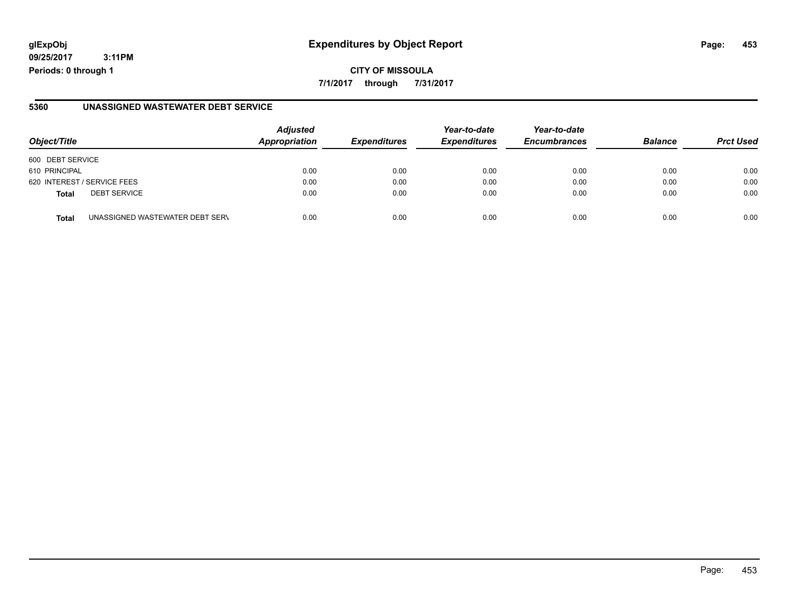**09/25/2017 3:11PM Periods: 0 through 1**

#### **5360 UNASSIGNED WASTEWATER DEBT SERVICE**

| Object/Title                                    | <b>Adjusted</b><br><b>Appropriation</b> | <b>Expenditures</b> | Year-to-date<br><b>Expenditures</b> | Year-to-date<br><b>Encumbrances</b> | <b>Balance</b> | <b>Prct Used</b> |
|-------------------------------------------------|-----------------------------------------|---------------------|-------------------------------------|-------------------------------------|----------------|------------------|
| 600 DEBT SERVICE                                |                                         |                     |                                     |                                     |                |                  |
| 610 PRINCIPAL                                   | 0.00                                    | 0.00                | 0.00                                | 0.00                                | 0.00           | 0.00             |
| 620 INTEREST / SERVICE FEES                     | 0.00                                    | 0.00                | 0.00                                | 0.00                                | 0.00           | 0.00             |
| <b>DEBT SERVICE</b><br><b>Total</b>             | 0.00                                    | 0.00                | 0.00                                | 0.00                                | 0.00           | 0.00             |
| UNASSIGNED WASTEWATER DEBT SERV<br><b>Total</b> | 0.00                                    | 0.00                | 0.00                                | 0.00                                | 0.00           | 0.00             |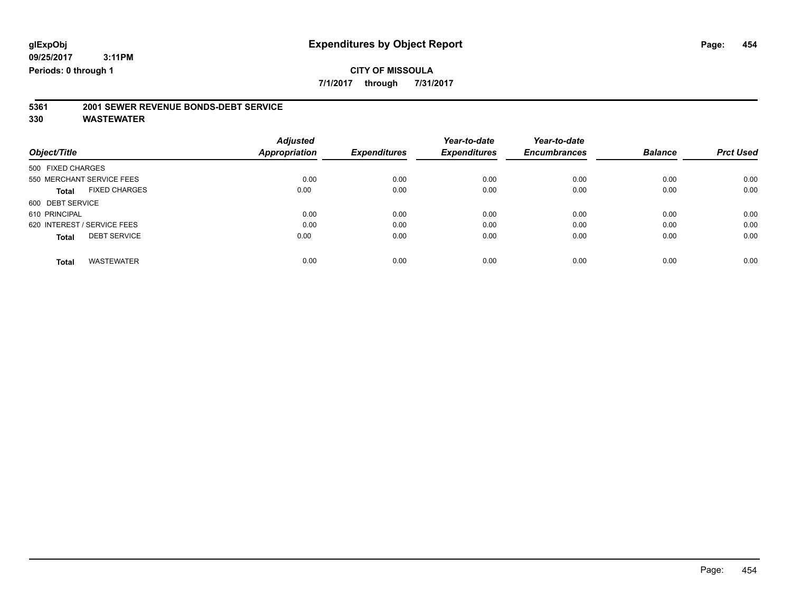**7/1/2017 through 7/31/2017**

# **5361 2001 SEWER REVENUE BONDS-DEBT SERVICE**

|                                      | <b>Adjusted</b>      |                     | Year-to-date        | Year-to-date        | <b>Balance</b> | <b>Prct Used</b> |
|--------------------------------------|----------------------|---------------------|---------------------|---------------------|----------------|------------------|
| Object/Title                         | <b>Appropriation</b> | <b>Expenditures</b> | <b>Expenditures</b> | <b>Encumbrances</b> |                |                  |
| 500 FIXED CHARGES                    |                      |                     |                     |                     |                |                  |
| 550 MERCHANT SERVICE FEES            | 0.00                 | 0.00                | 0.00                | 0.00                | 0.00           | 0.00             |
| <b>FIXED CHARGES</b><br><b>Total</b> | 0.00                 | 0.00                | 0.00                | 0.00                | 0.00           | 0.00             |
| 600 DEBT SERVICE                     |                      |                     |                     |                     |                |                  |
| 610 PRINCIPAL                        | 0.00                 | 0.00                | 0.00                | 0.00                | 0.00           | 0.00             |
| 620 INTEREST / SERVICE FEES          | 0.00                 | 0.00                | 0.00                | 0.00                | 0.00           | 0.00             |
| <b>DEBT SERVICE</b><br><b>Total</b>  | 0.00                 | 0.00                | 0.00                | 0.00                | 0.00           | 0.00             |
| <b>WASTEWATER</b><br><b>Total</b>    | 0.00                 | 0.00                | 0.00                | 0.00                | 0.00           | 0.00             |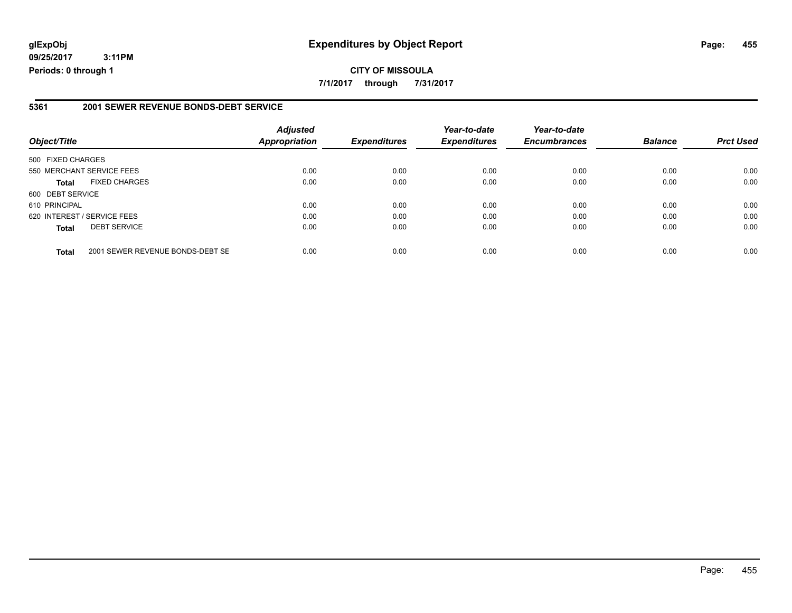**09/25/2017 3:11PM Periods: 0 through 1**

#### **5361 2001 SEWER REVENUE BONDS-DEBT SERVICE**

| Object/Title                |                                  | <b>Adjusted</b><br><b>Appropriation</b> | <b>Expenditures</b> | Year-to-date<br><b>Expenditures</b> | Year-to-date<br><b>Encumbrances</b> | <b>Balance</b> | <b>Prct Used</b> |
|-----------------------------|----------------------------------|-----------------------------------------|---------------------|-------------------------------------|-------------------------------------|----------------|------------------|
|                             |                                  |                                         |                     |                                     |                                     |                |                  |
| 500 FIXED CHARGES           |                                  |                                         |                     |                                     |                                     |                |                  |
| 550 MERCHANT SERVICE FEES   |                                  | 0.00                                    | 0.00                | 0.00                                | 0.00                                | 0.00           | 0.00             |
| <b>Total</b>                | <b>FIXED CHARGES</b>             | 0.00                                    | 0.00                | 0.00                                | 0.00                                | 0.00           | 0.00             |
| 600 DEBT SERVICE            |                                  |                                         |                     |                                     |                                     |                |                  |
| 610 PRINCIPAL               |                                  | 0.00                                    | 0.00                | 0.00                                | 0.00                                | 0.00           | 0.00             |
| 620 INTEREST / SERVICE FEES |                                  | 0.00                                    | 0.00                | 0.00                                | 0.00                                | 0.00           | 0.00             |
| <b>Total</b>                | <b>DEBT SERVICE</b>              | 0.00                                    | 0.00                | 0.00                                | 0.00                                | 0.00           | 0.00             |
| <b>Total</b>                | 2001 SEWER REVENUE BONDS-DEBT SE | 0.00                                    | 0.00                | 0.00                                | 0.00                                | 0.00           | 0.00             |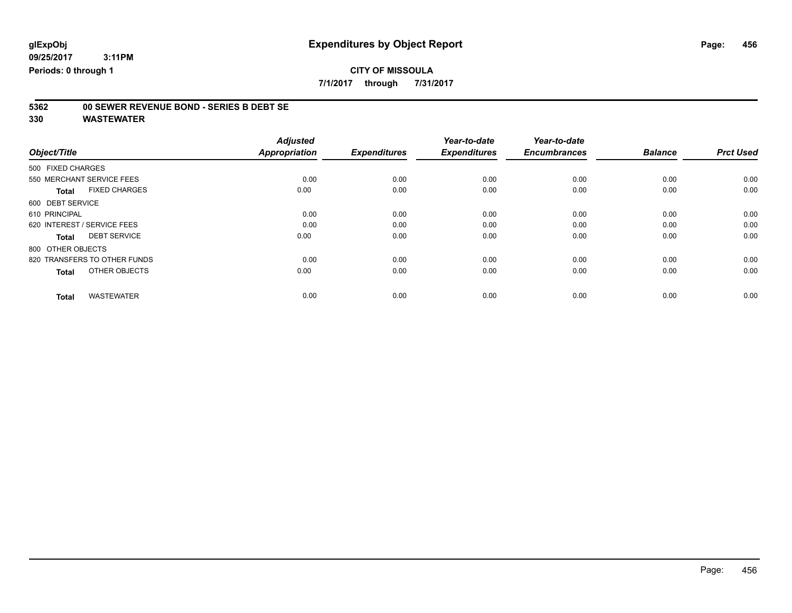### **CITY OF MISSOULA**

**7/1/2017 through 7/31/2017**

# **5362 00 SEWER REVENUE BOND - SERIES B DEBT SE**

| Object/Title                         | <b>Adjusted</b><br><b>Appropriation</b> | <b>Expenditures</b> | Year-to-date<br><b>Expenditures</b> | Year-to-date<br><b>Encumbrances</b> | <b>Balance</b> | <b>Prct Used</b> |
|--------------------------------------|-----------------------------------------|---------------------|-------------------------------------|-------------------------------------|----------------|------------------|
|                                      |                                         |                     |                                     |                                     |                |                  |
| 500 FIXED CHARGES                    |                                         |                     |                                     |                                     |                |                  |
| 550 MERCHANT SERVICE FEES            | 0.00                                    | 0.00                | 0.00                                | 0.00                                | 0.00           | 0.00             |
| <b>FIXED CHARGES</b><br><b>Total</b> | 0.00                                    | 0.00                | 0.00                                | 0.00                                | 0.00           | 0.00             |
| 600 DEBT SERVICE                     |                                         |                     |                                     |                                     |                |                  |
| 610 PRINCIPAL                        | 0.00                                    | 0.00                | 0.00                                | 0.00                                | 0.00           | 0.00             |
| 620 INTEREST / SERVICE FEES          | 0.00                                    | 0.00                | 0.00                                | 0.00                                | 0.00           | 0.00             |
| <b>DEBT SERVICE</b><br><b>Total</b>  | 0.00                                    | 0.00                | 0.00                                | 0.00                                | 0.00           | 0.00             |
| 800 OTHER OBJECTS                    |                                         |                     |                                     |                                     |                |                  |
| 820 TRANSFERS TO OTHER FUNDS         | 0.00                                    | 0.00                | 0.00                                | 0.00                                | 0.00           | 0.00             |
| OTHER OBJECTS<br><b>Total</b>        | 0.00                                    | 0.00                | 0.00                                | 0.00                                | 0.00           | 0.00             |
|                                      |                                         |                     |                                     |                                     |                |                  |
| <b>WASTEWATER</b><br><b>Total</b>    | 0.00                                    | 0.00                | 0.00                                | 0.00                                | 0.00           | 0.00             |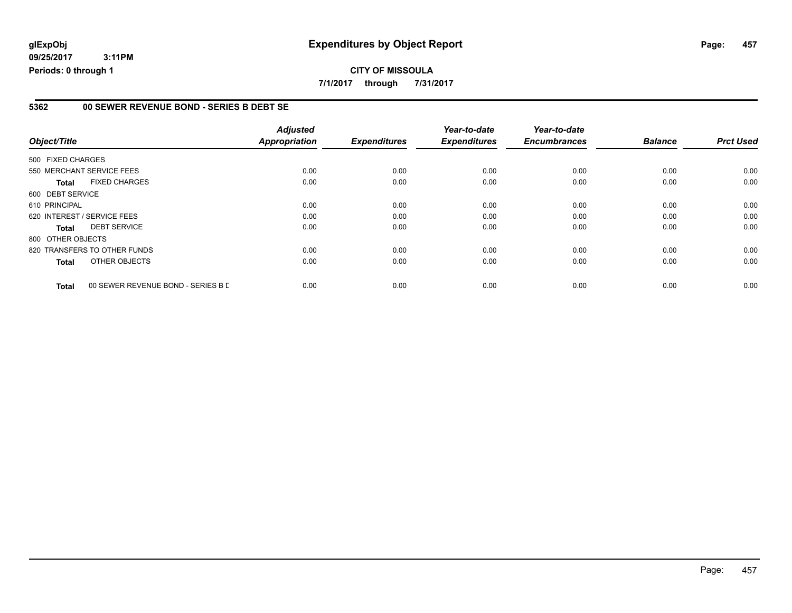#### **5362 00 SEWER REVENUE BOND - SERIES B DEBT SE**

|                   |                                    | <b>Adjusted</b> |                     | Year-to-date        | Year-to-date        |                |                  |
|-------------------|------------------------------------|-----------------|---------------------|---------------------|---------------------|----------------|------------------|
| Object/Title      |                                    | Appropriation   | <b>Expenditures</b> | <b>Expenditures</b> | <b>Encumbrances</b> | <b>Balance</b> | <b>Prct Used</b> |
| 500 FIXED CHARGES |                                    |                 |                     |                     |                     |                |                  |
|                   | 550 MERCHANT SERVICE FEES          | 0.00            | 0.00                | 0.00                | 0.00                | 0.00           | 0.00             |
| <b>Total</b>      | <b>FIXED CHARGES</b>               | 0.00            | 0.00                | 0.00                | 0.00                | 0.00           | 0.00             |
| 600 DEBT SERVICE  |                                    |                 |                     |                     |                     |                |                  |
| 610 PRINCIPAL     |                                    | 0.00            | 0.00                | 0.00                | 0.00                | 0.00           | 0.00             |
|                   | 620 INTEREST / SERVICE FEES        | 0.00            | 0.00                | 0.00                | 0.00                | 0.00           | 0.00             |
| <b>Total</b>      | <b>DEBT SERVICE</b>                | 0.00            | 0.00                | 0.00                | 0.00                | 0.00           | 0.00             |
| 800 OTHER OBJECTS |                                    |                 |                     |                     |                     |                |                  |
|                   | 820 TRANSFERS TO OTHER FUNDS       | 0.00            | 0.00                | 0.00                | 0.00                | 0.00           | 0.00             |
| Total             | OTHER OBJECTS                      | 0.00            | 0.00                | 0.00                | 0.00                | 0.00           | 0.00             |
| <b>Total</b>      | 00 SEWER REVENUE BOND - SERIES B D | 0.00            | 0.00                | 0.00                | 0.00                | 0.00           | 0.00             |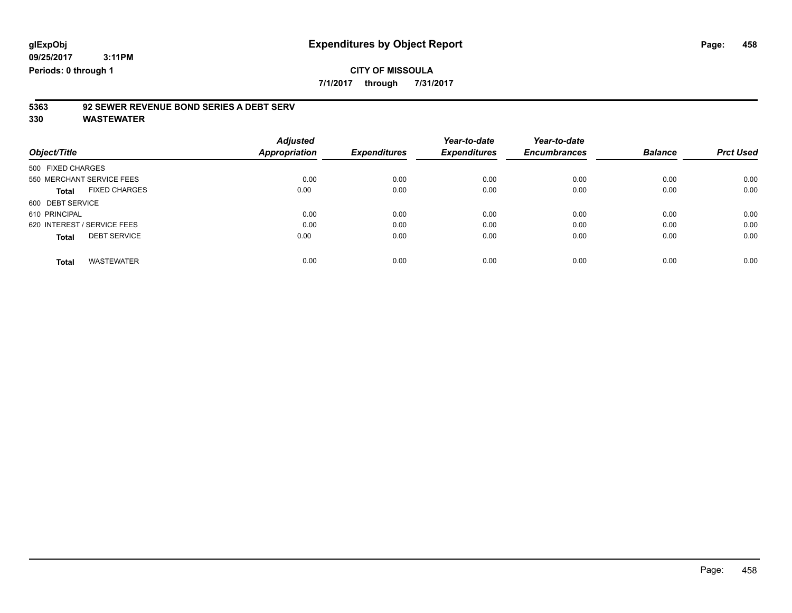### **CITY OF MISSOULA**

**7/1/2017 through 7/31/2017**

# **5363 92 SEWER REVENUE BOND SERIES A DEBT SERV**

|                                      | <b>Adjusted</b>      |                     | Year-to-date        | Year-to-date        |                |                  |
|--------------------------------------|----------------------|---------------------|---------------------|---------------------|----------------|------------------|
| Object/Title                         | <b>Appropriation</b> | <b>Expenditures</b> | <b>Expenditures</b> | <b>Encumbrances</b> | <b>Balance</b> | <b>Prct Used</b> |
| 500 FIXED CHARGES                    |                      |                     |                     |                     |                |                  |
| 550 MERCHANT SERVICE FEES            | 0.00                 | 0.00                | 0.00                | 0.00                | 0.00           | 0.00             |
| <b>FIXED CHARGES</b><br><b>Total</b> | 0.00                 | 0.00                | 0.00                | 0.00                | 0.00           | 0.00             |
| 600 DEBT SERVICE                     |                      |                     |                     |                     |                |                  |
| 610 PRINCIPAL                        | 0.00                 | 0.00                | 0.00                | 0.00                | 0.00           | 0.00             |
| 620 INTEREST / SERVICE FEES          | 0.00                 | 0.00                | 0.00                | 0.00                | 0.00           | 0.00             |
| <b>DEBT SERVICE</b><br>Total         | 0.00                 | 0.00                | 0.00                | 0.00                | 0.00           | 0.00             |
|                                      |                      |                     |                     |                     |                |                  |
| <b>WASTEWATER</b><br>Total           | 0.00                 | 0.00                | 0.00                | 0.00                | 0.00           | 0.00             |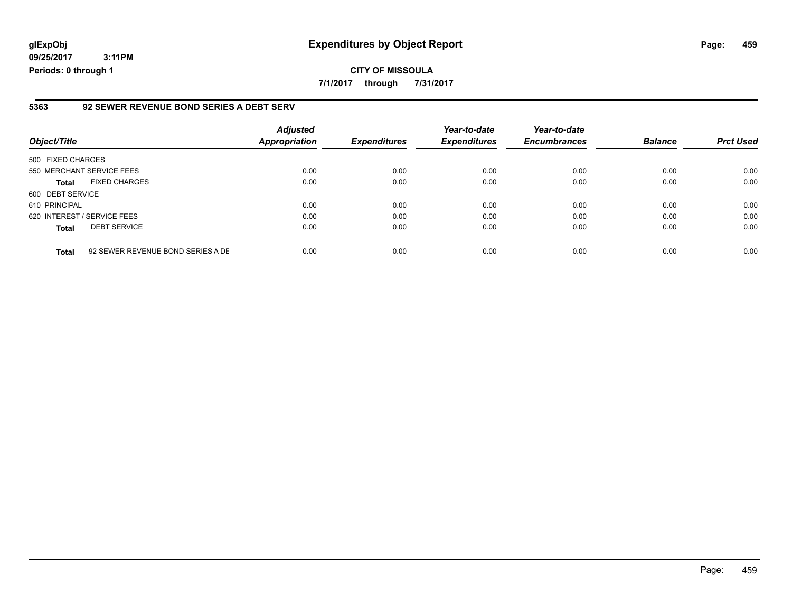**09/25/2017 3:11PM Periods: 0 through 1**

#### **5363 92 SEWER REVENUE BOND SERIES A DEBT SERV**

| Object/Title                |                                   | <b>Adjusted</b><br><b>Appropriation</b> | <b>Expenditures</b> | Year-to-date<br><b>Expenditures</b> | Year-to-date<br><b>Encumbrances</b> | <b>Balance</b> | <b>Prct Used</b> |
|-----------------------------|-----------------------------------|-----------------------------------------|---------------------|-------------------------------------|-------------------------------------|----------------|------------------|
| 500 FIXED CHARGES           |                                   |                                         |                     |                                     |                                     |                |                  |
| 550 MERCHANT SERVICE FEES   |                                   | 0.00                                    | 0.00                | 0.00                                | 0.00                                | 0.00           | 0.00             |
| <b>Total</b>                | <b>FIXED CHARGES</b>              | 0.00                                    | 0.00                | 0.00                                | 0.00                                | 0.00           | 0.00             |
| 600 DEBT SERVICE            |                                   |                                         |                     |                                     |                                     |                |                  |
| 610 PRINCIPAL               |                                   | 0.00                                    | 0.00                | 0.00                                | 0.00                                | 0.00           | 0.00             |
| 620 INTEREST / SERVICE FEES |                                   | 0.00                                    | 0.00                | 0.00                                | 0.00                                | 0.00           | 0.00             |
| <b>Total</b>                | <b>DEBT SERVICE</b>               | 0.00                                    | 0.00                | 0.00                                | 0.00                                | 0.00           | 0.00             |
| <b>Total</b>                | 92 SEWER REVENUE BOND SERIES A DE | 0.00                                    | 0.00                | 0.00                                | 0.00                                | 0.00           | 0.00             |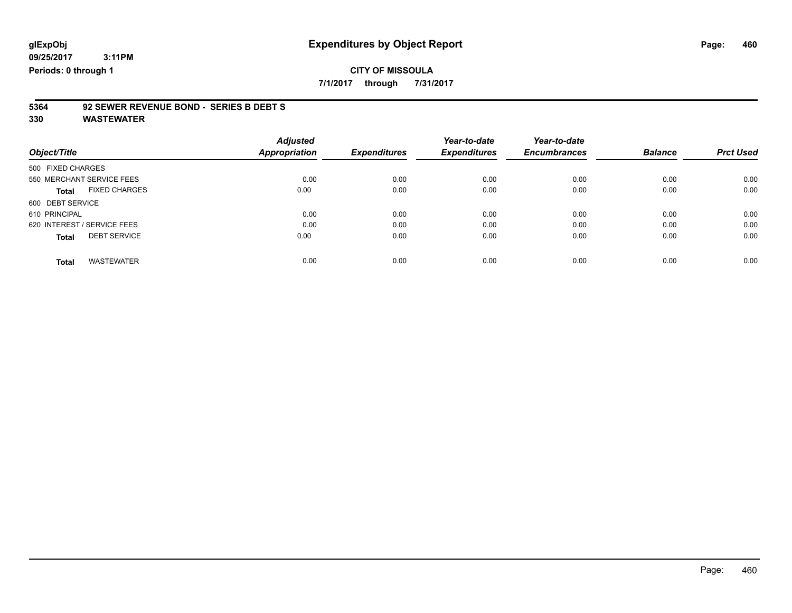### **CITY OF MISSOULA**

**7/1/2017 through 7/31/2017**

# **5364 92 SEWER REVENUE BOND - SERIES B DEBT S**

|                                      | <b>Adjusted</b>      |                     | Year-to-date        | Year-to-date        | <b>Balance</b> | <b>Prct Used</b> |
|--------------------------------------|----------------------|---------------------|---------------------|---------------------|----------------|------------------|
| Object/Title                         | <b>Appropriation</b> | <b>Expenditures</b> | <b>Expenditures</b> | <b>Encumbrances</b> |                |                  |
| 500 FIXED CHARGES                    |                      |                     |                     |                     |                |                  |
| 550 MERCHANT SERVICE FEES            | 0.00                 | 0.00                | 0.00                | 0.00                | 0.00           | 0.00             |
| <b>FIXED CHARGES</b><br><b>Total</b> | 0.00                 | 0.00                | 0.00                | 0.00                | 0.00           | 0.00             |
| 600 DEBT SERVICE                     |                      |                     |                     |                     |                |                  |
| 610 PRINCIPAL                        | 0.00                 | 0.00                | 0.00                | 0.00                | 0.00           | 0.00             |
| 620 INTEREST / SERVICE FEES          | 0.00                 | 0.00                | 0.00                | 0.00                | 0.00           | 0.00             |
| <b>DEBT SERVICE</b><br><b>Total</b>  | 0.00                 | 0.00                | 0.00                | 0.00                | 0.00           | 0.00             |
| <b>WASTEWATER</b><br><b>Total</b>    | 0.00                 | 0.00                | 0.00                | 0.00                | 0.00           | 0.00             |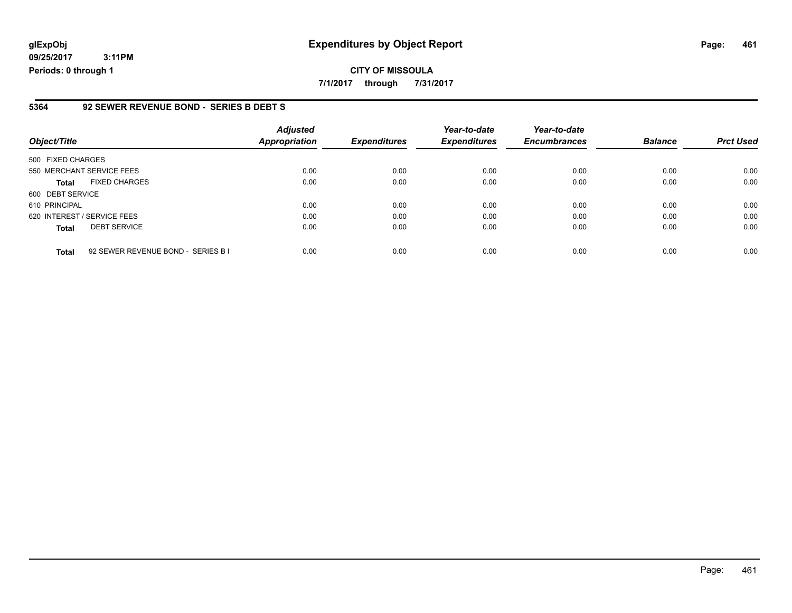**09/25/2017 3:11PM Periods: 0 through 1**

#### **5364 92 SEWER REVENUE BOND - SERIES B DEBT S**

| Object/Title                                       | <b>Adjusted</b><br>Appropriation | <b>Expenditures</b> | Year-to-date<br><b>Expenditures</b> | Year-to-date<br><b>Encumbrances</b> | <b>Balance</b> | <b>Prct Used</b> |
|----------------------------------------------------|----------------------------------|---------------------|-------------------------------------|-------------------------------------|----------------|------------------|
| 500 FIXED CHARGES                                  |                                  |                     |                                     |                                     |                |                  |
| 550 MERCHANT SERVICE FEES                          | 0.00                             | 0.00                | 0.00                                | 0.00                                | 0.00           | 0.00             |
| <b>FIXED CHARGES</b><br><b>Total</b>               | 0.00                             | 0.00                | 0.00                                | 0.00                                | 0.00           | 0.00             |
| 600 DEBT SERVICE                                   |                                  |                     |                                     |                                     |                |                  |
| 610 PRINCIPAL                                      | 0.00                             | 0.00                | 0.00                                | 0.00                                | 0.00           | 0.00             |
| 620 INTEREST / SERVICE FEES                        | 0.00                             | 0.00                | 0.00                                | 0.00                                | 0.00           | 0.00             |
| <b>DEBT SERVICE</b><br><b>Total</b>                | 0.00                             | 0.00                | 0.00                                | 0.00                                | 0.00           | 0.00             |
| 92 SEWER REVENUE BOND - SERIES B I<br><b>Total</b> | 0.00                             | 0.00                | 0.00                                | 0.00                                | 0.00           | 0.00             |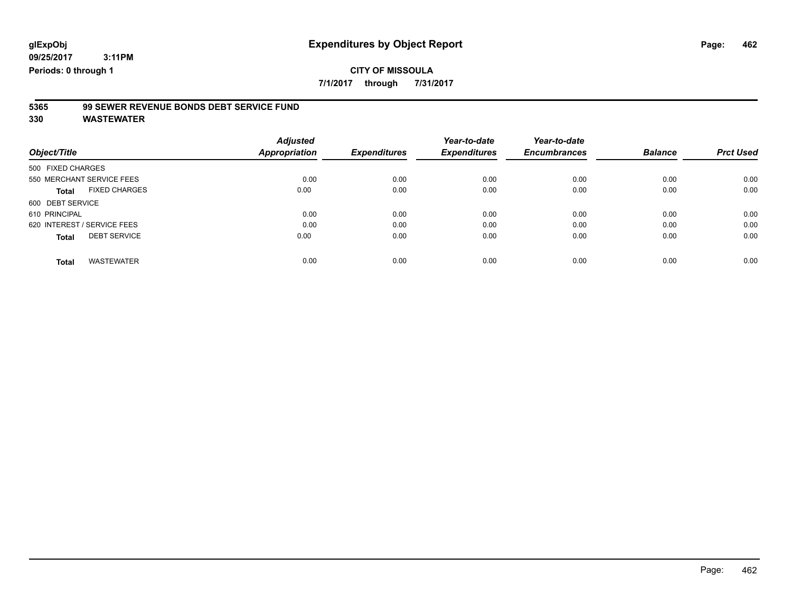### **CITY OF MISSOULA**

**7/1/2017 through 7/31/2017**

# **5365 99 SEWER REVENUE BONDS DEBT SERVICE FUND**

| Object/Title                         | <b>Adjusted</b><br>Appropriation | <b>Expenditures</b> | Year-to-date<br><b>Expenditures</b> | Year-to-date<br><b>Encumbrances</b> | <b>Balance</b> | <b>Prct Used</b> |
|--------------------------------------|----------------------------------|---------------------|-------------------------------------|-------------------------------------|----------------|------------------|
|                                      |                                  |                     |                                     |                                     |                |                  |
| 500 FIXED CHARGES                    |                                  |                     |                                     |                                     |                |                  |
| 550 MERCHANT SERVICE FEES            | 0.00                             | 0.00                | 0.00                                | 0.00                                | 0.00           | 0.00             |
| <b>FIXED CHARGES</b><br><b>Total</b> | 0.00                             | 0.00                | 0.00                                | 0.00                                | 0.00           | 0.00             |
| 600 DEBT SERVICE                     |                                  |                     |                                     |                                     |                |                  |
| 610 PRINCIPAL                        | 0.00                             | 0.00                | 0.00                                | 0.00                                | 0.00           | 0.00             |
| 620 INTEREST / SERVICE FEES          | 0.00                             | 0.00                | 0.00                                | 0.00                                | 0.00           | 0.00             |
| <b>DEBT SERVICE</b><br><b>Total</b>  | 0.00                             | 0.00                | 0.00                                | 0.00                                | 0.00           | 0.00             |
| <b>WASTEWATER</b><br>Total           | 0.00                             | 0.00                | 0.00                                | 0.00                                | 0.00           | 0.00             |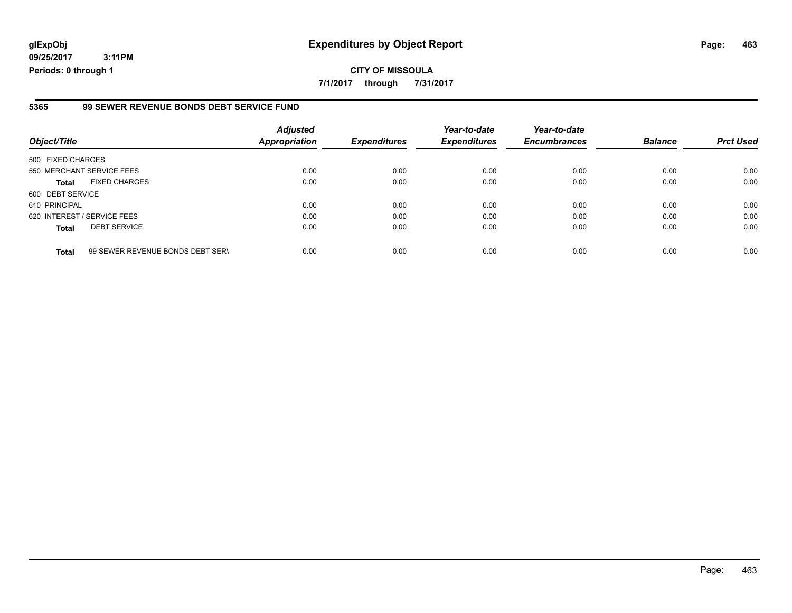**09/25/2017 3:11PM Periods: 0 through 1**

#### **5365 99 SEWER REVENUE BONDS DEBT SERVICE FUND**

| Object/Title      |                                  | <b>Adjusted</b><br><b>Appropriation</b> | <b>Expenditures</b> | Year-to-date<br><b>Expenditures</b> | Year-to-date<br><b>Encumbrances</b> | <b>Balance</b> | <b>Prct Used</b> |
|-------------------|----------------------------------|-----------------------------------------|---------------------|-------------------------------------|-------------------------------------|----------------|------------------|
| 500 FIXED CHARGES |                                  |                                         |                     |                                     |                                     |                |                  |
|                   | 550 MERCHANT SERVICE FEES        | 0.00                                    | 0.00                | 0.00                                | 0.00                                | 0.00           | 0.00             |
| <b>Total</b>      | <b>FIXED CHARGES</b>             | 0.00                                    | 0.00                | 0.00                                | 0.00                                | 0.00           | 0.00             |
| 600 DEBT SERVICE  |                                  |                                         |                     |                                     |                                     |                |                  |
| 610 PRINCIPAL     |                                  | 0.00                                    | 0.00                | 0.00                                | 0.00                                | 0.00           | 0.00             |
|                   | 620 INTEREST / SERVICE FEES      | 0.00                                    | 0.00                | 0.00                                | 0.00                                | 0.00           | 0.00             |
| <b>Total</b>      | <b>DEBT SERVICE</b>              | 0.00                                    | 0.00                | 0.00                                | 0.00                                | 0.00           | 0.00             |
| <b>Total</b>      | 99 SEWER REVENUE BONDS DEBT SERV | 0.00                                    | 0.00                | 0.00                                | 0.00                                | 0.00           | 0.00             |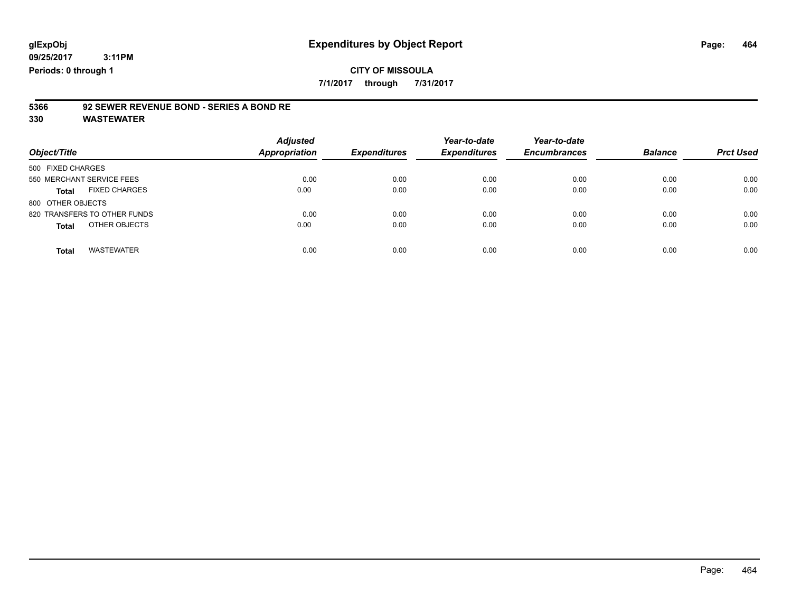### **CITY OF MISSOULA**

**7/1/2017 through 7/31/2017**

# **5366 92 SEWER REVENUE BOND - SERIES A BOND RE**

| Object/Title                         | <b>Adjusted</b><br><b>Appropriation</b> | <b>Expenditures</b> | Year-to-date<br><b>Expenditures</b> | Year-to-date<br><b>Encumbrances</b> | <b>Balance</b> | <b>Prct Used</b> |
|--------------------------------------|-----------------------------------------|---------------------|-------------------------------------|-------------------------------------|----------------|------------------|
| 500 FIXED CHARGES                    |                                         |                     |                                     |                                     |                |                  |
| 550 MERCHANT SERVICE FEES            | 0.00                                    | 0.00                | 0.00                                | 0.00                                | 0.00           | 0.00             |
| <b>FIXED CHARGES</b><br><b>Total</b> | 0.00                                    | 0.00                | 0.00                                | 0.00                                | 0.00           | 0.00             |
| 800 OTHER OBJECTS                    |                                         |                     |                                     |                                     |                |                  |
| 820 TRANSFERS TO OTHER FUNDS         | 0.00                                    | 0.00                | 0.00                                | 0.00                                | 0.00           | 0.00             |
| OTHER OBJECTS<br><b>Total</b>        | 0.00                                    | 0.00                | 0.00                                | 0.00                                | 0.00           | 0.00             |
| <b>WASTEWATER</b><br><b>Total</b>    | 0.00                                    | 0.00                | 0.00                                | 0.00                                | 0.00           | 0.00             |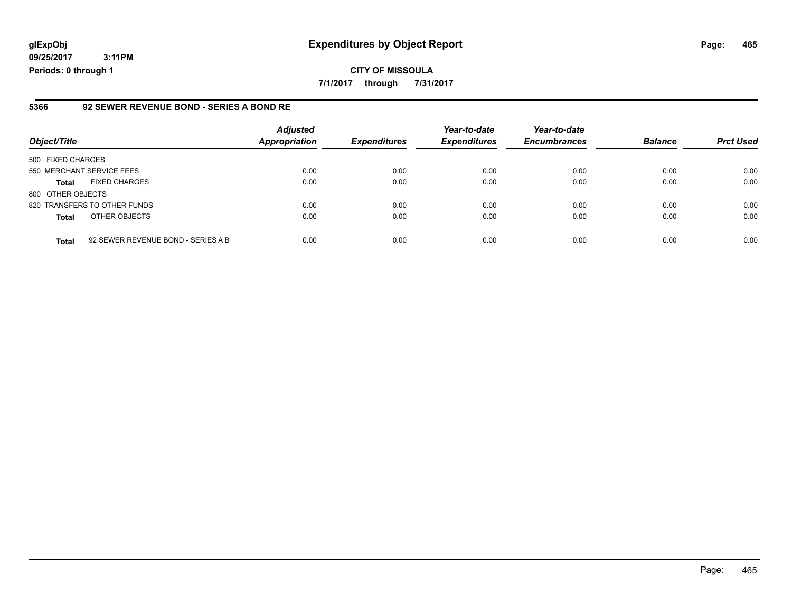**09/25/2017 3:11PM Periods: 0 through 1**

#### **5366 92 SEWER REVENUE BOND - SERIES A BOND RE**

| Object/Title              |                                    | <b>Adjusted</b><br><b>Appropriation</b> | <b>Expenditures</b> | Year-to-date<br><b>Expenditures</b> | Year-to-date<br><b>Encumbrances</b> | <b>Balance</b> | <b>Prct Used</b> |
|---------------------------|------------------------------------|-----------------------------------------|---------------------|-------------------------------------|-------------------------------------|----------------|------------------|
| 500 FIXED CHARGES         |                                    |                                         |                     |                                     |                                     |                |                  |
| 550 MERCHANT SERVICE FEES |                                    | 0.00                                    | 0.00                | 0.00                                | 0.00                                | 0.00           | 0.00             |
| <b>Total</b>              | <b>FIXED CHARGES</b>               | 0.00                                    | 0.00                | 0.00                                | 0.00                                | 0.00           | 0.00             |
| 800 OTHER OBJECTS         |                                    |                                         |                     |                                     |                                     |                |                  |
|                           | 820 TRANSFERS TO OTHER FUNDS       | 0.00                                    | 0.00                | 0.00                                | 0.00                                | 0.00           | 0.00             |
| <b>Total</b>              | OTHER OBJECTS                      | 0.00                                    | 0.00                | 0.00                                | 0.00                                | 0.00           | 0.00             |
| <b>Total</b>              | 92 SEWER REVENUE BOND - SERIES A B | 0.00                                    | 0.00                | 0.00                                | 0.00                                | 0.00           | 0.00             |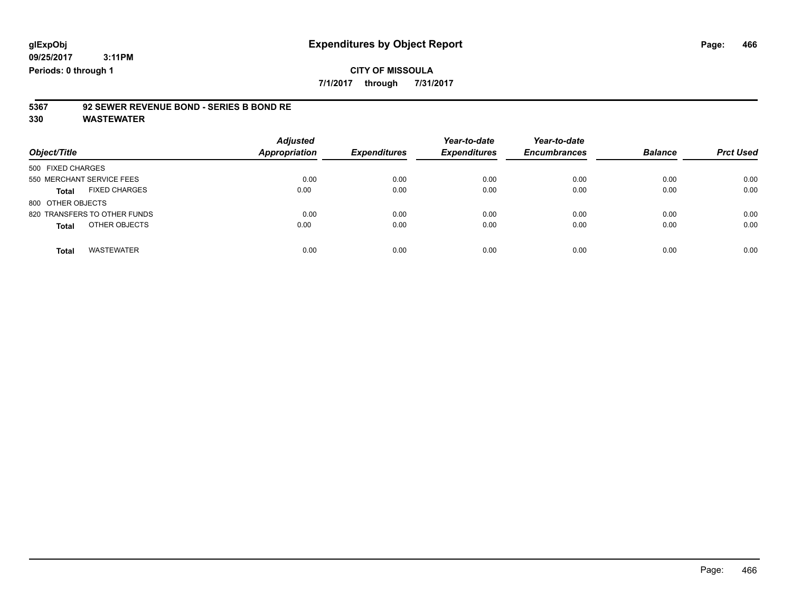## **CITY OF MISSOULA**

**7/1/2017 through 7/31/2017**

# **5367 92 SEWER REVENUE BOND - SERIES B BOND RE**

| Object/Title                         | <b>Adjusted</b><br>Appropriation | <b>Expenditures</b> | Year-to-date<br><b>Expenditures</b> | Year-to-date<br><b>Encumbrances</b> | <b>Balance</b> | <b>Prct Used</b> |
|--------------------------------------|----------------------------------|---------------------|-------------------------------------|-------------------------------------|----------------|------------------|
| 500 FIXED CHARGES                    |                                  |                     |                                     |                                     |                |                  |
| 550 MERCHANT SERVICE FEES            | 0.00                             | 0.00                | 0.00                                | 0.00                                | 0.00           | 0.00             |
| <b>FIXED CHARGES</b><br><b>Total</b> | 0.00                             | 0.00                | 0.00                                | 0.00                                | 0.00           | 0.00             |
| 800 OTHER OBJECTS                    |                                  |                     |                                     |                                     |                |                  |
| 820 TRANSFERS TO OTHER FUNDS         | 0.00                             | 0.00                | 0.00                                | 0.00                                | 0.00           | 0.00             |
| OTHER OBJECTS<br><b>Total</b>        | 0.00                             | 0.00                | 0.00                                | 0.00                                | 0.00           | 0.00             |
| <b>WASTEWATER</b><br><b>Total</b>    | 0.00                             | 0.00                | 0.00                                | 0.00                                | 0.00           | 0.00             |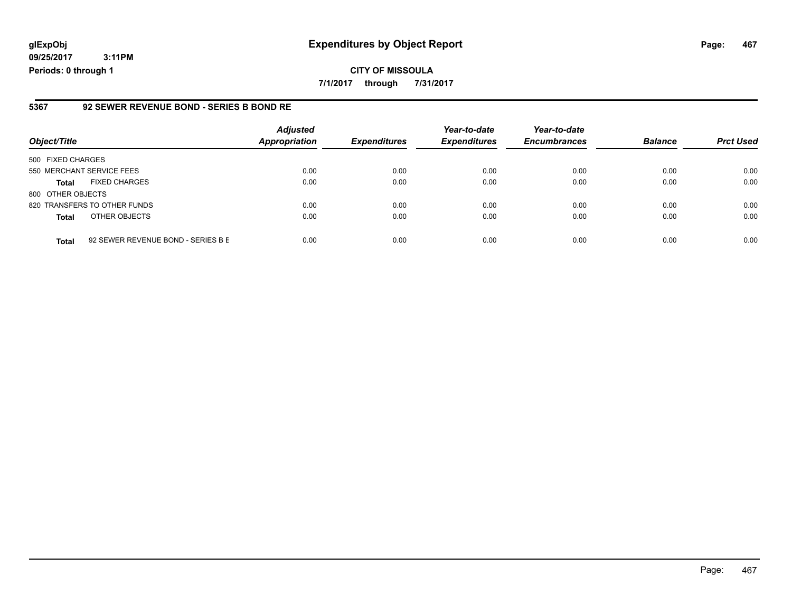**09/25/2017 3:11PM Periods: 0 through 1**

#### **5367 92 SEWER REVENUE BOND - SERIES B BOND RE**

| Object/Title              |                                    | <b>Adjusted</b><br><b>Appropriation</b> | <b>Expenditures</b> | Year-to-date<br><b>Expenditures</b> | Year-to-date<br><b>Encumbrances</b> | <b>Balance</b> | <b>Prct Used</b> |
|---------------------------|------------------------------------|-----------------------------------------|---------------------|-------------------------------------|-------------------------------------|----------------|------------------|
| 500 FIXED CHARGES         |                                    |                                         |                     |                                     |                                     |                |                  |
| 550 MERCHANT SERVICE FEES |                                    | 0.00                                    | 0.00                | 0.00                                | 0.00                                | 0.00           | 0.00             |
| <b>Total</b>              | <b>FIXED CHARGES</b>               | 0.00                                    | 0.00                | 0.00                                | 0.00                                | 0.00           | 0.00             |
| 800 OTHER OBJECTS         |                                    |                                         |                     |                                     |                                     |                |                  |
|                           | 820 TRANSFERS TO OTHER FUNDS       | 0.00                                    | 0.00                | 0.00                                | 0.00                                | 0.00           | 0.00             |
| <b>Total</b>              | OTHER OBJECTS                      | 0.00                                    | 0.00                | 0.00                                | 0.00                                | 0.00           | 0.00             |
| <b>Total</b>              | 92 SEWER REVENUE BOND - SERIES B E | 0.00                                    | 0.00                | 0.00                                | 0.00                                | 0.00           | 0.00             |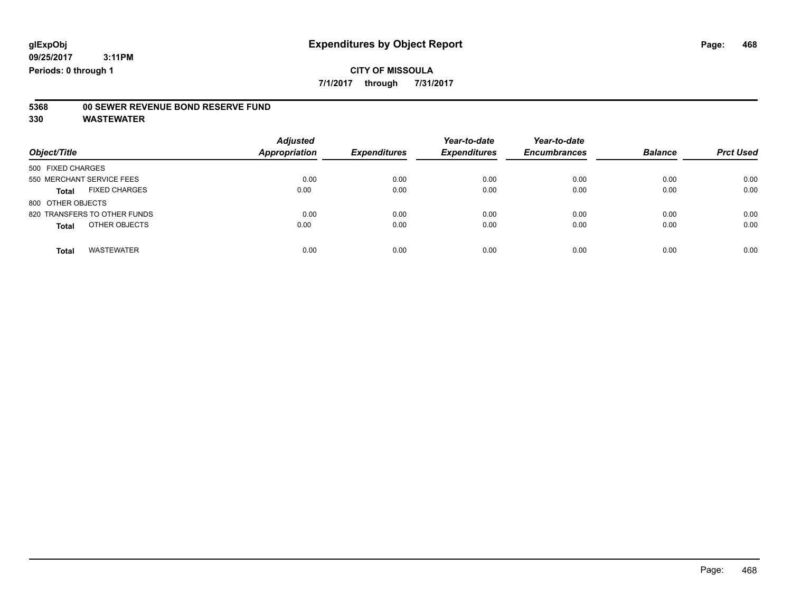**7/1/2017 through 7/31/2017**

# **5368 00 SEWER REVENUE BOND RESERVE FUND**

| Object/Title                         | <b>Adjusted</b><br><b>Appropriation</b> | <b>Expenditures</b> | Year-to-date<br><b>Expenditures</b> | Year-to-date<br><b>Encumbrances</b> | <b>Balance</b> | <b>Prct Used</b> |
|--------------------------------------|-----------------------------------------|---------------------|-------------------------------------|-------------------------------------|----------------|------------------|
| 500 FIXED CHARGES                    |                                         |                     |                                     |                                     |                |                  |
| 550 MERCHANT SERVICE FEES            | 0.00                                    | 0.00                | 0.00                                | 0.00                                | 0.00           | 0.00             |
| <b>FIXED CHARGES</b><br><b>Total</b> | 0.00                                    | 0.00                | 0.00                                | 0.00                                | 0.00           | 0.00             |
| 800 OTHER OBJECTS                    |                                         |                     |                                     |                                     |                |                  |
| 820 TRANSFERS TO OTHER FUNDS         | 0.00                                    | 0.00                | 0.00                                | 0.00                                | 0.00           | 0.00             |
| OTHER OBJECTS<br><b>Total</b>        | 0.00                                    | 0.00                | 0.00                                | 0.00                                | 0.00           | 0.00             |
| <b>WASTEWATER</b><br><b>Total</b>    | 0.00                                    | 0.00                | 0.00                                | 0.00                                | 0.00           | 0.00             |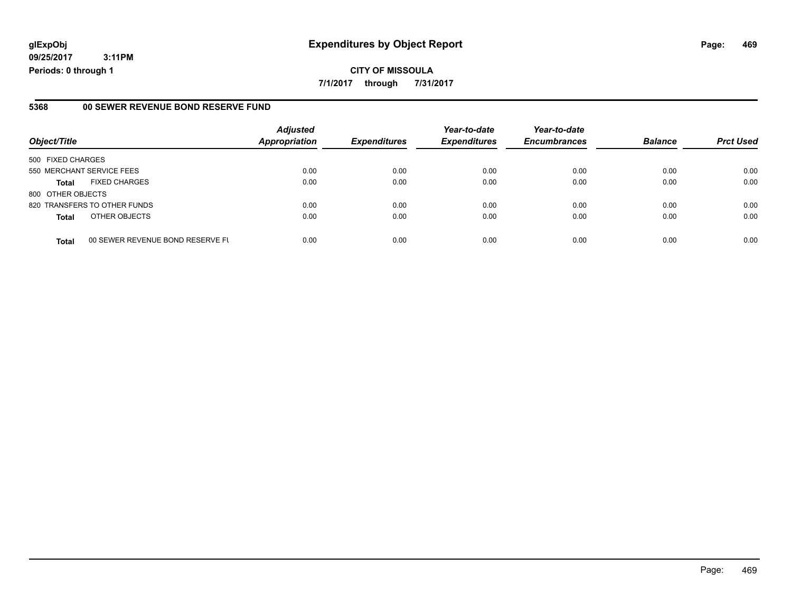#### **5368 00 SEWER REVENUE BOND RESERVE FUND**

|                           |                                  | <b>Adjusted</b>      |                     | Year-to-date        | Year-to-date        |                |                  |
|---------------------------|----------------------------------|----------------------|---------------------|---------------------|---------------------|----------------|------------------|
| Object/Title              |                                  | <b>Appropriation</b> | <b>Expenditures</b> | <b>Expenditures</b> | <b>Encumbrances</b> | <b>Balance</b> | <b>Prct Used</b> |
| 500 FIXED CHARGES         |                                  |                      |                     |                     |                     |                |                  |
| 550 MERCHANT SERVICE FEES |                                  | 0.00                 | 0.00                | 0.00                | 0.00                | 0.00           | 0.00             |
| <b>Total</b>              | <b>FIXED CHARGES</b>             | 0.00                 | 0.00                | 0.00                | 0.00                | 0.00           | 0.00             |
| 800 OTHER OBJECTS         |                                  |                      |                     |                     |                     |                |                  |
|                           | 820 TRANSFERS TO OTHER FUNDS     | 0.00                 | 0.00                | 0.00                | 0.00                | 0.00           | 0.00             |
| <b>Total</b>              | OTHER OBJECTS                    | 0.00                 | 0.00                | 0.00                | 0.00                | 0.00           | 0.00             |
| <b>Total</b>              | 00 SEWER REVENUE BOND RESERVE FU | 0.00                 | 0.00                | 0.00                | 0.00                | 0.00           | 0.00             |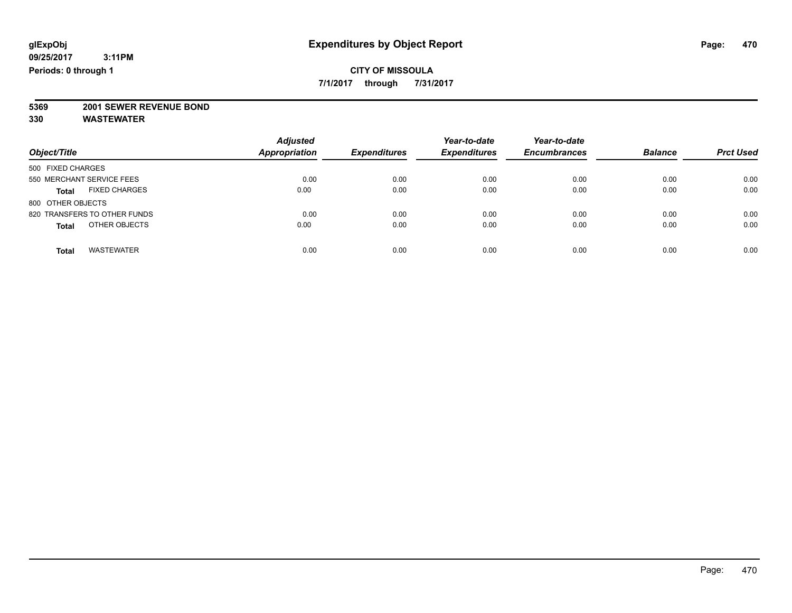**7/1/2017 through 7/31/2017**

# **5369 2001 SEWER REVENUE BOND**

|                                      | <b>Adjusted</b><br><b>Appropriation</b> | <b>Expenditures</b> | Year-to-date<br><b>Expenditures</b> | Year-to-date<br><b>Encumbrances</b> | <b>Balance</b> | <b>Prct Used</b> |
|--------------------------------------|-----------------------------------------|---------------------|-------------------------------------|-------------------------------------|----------------|------------------|
| Object/Title                         |                                         |                     |                                     |                                     |                |                  |
| 500 FIXED CHARGES                    |                                         |                     |                                     |                                     |                |                  |
| 550 MERCHANT SERVICE FEES            | 0.00                                    | 0.00                | 0.00                                | 0.00                                | 0.00           | 0.00             |
| <b>FIXED CHARGES</b><br><b>Total</b> | 0.00                                    | 0.00                | 0.00                                | 0.00                                | 0.00           | 0.00             |
| 800 OTHER OBJECTS                    |                                         |                     |                                     |                                     |                |                  |
| 820 TRANSFERS TO OTHER FUNDS         | 0.00                                    | 0.00                | 0.00                                | 0.00                                | 0.00           | 0.00             |
| OTHER OBJECTS<br><b>Total</b>        | 0.00                                    | 0.00                | 0.00                                | 0.00                                | 0.00           | 0.00             |
| <b>WASTEWATER</b><br><b>Total</b>    | 0.00                                    | 0.00                | 0.00                                | 0.00                                | 0.00           | 0.00             |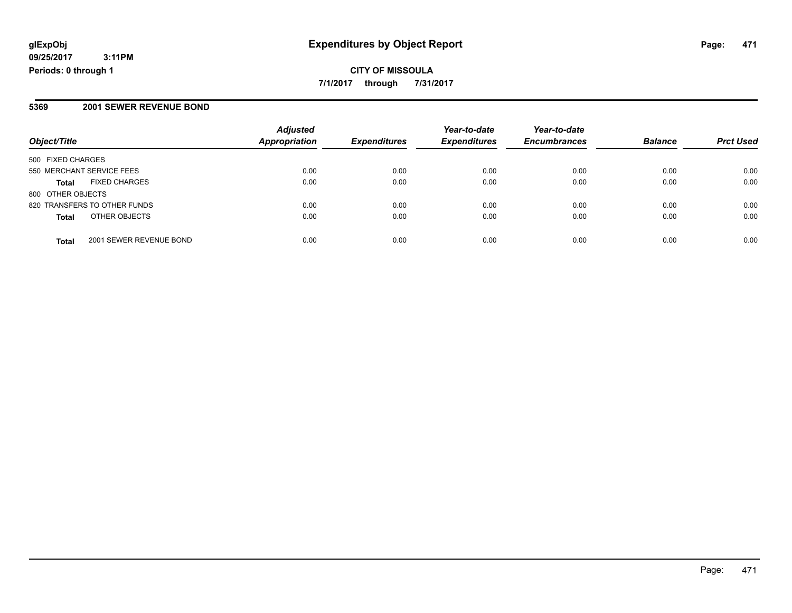## **CITY OF MISSOULA 7/1/2017 through 7/31/2017**

### **5369 2001 SEWER REVENUE BOND**

|                              |                         | <b>Adjusted</b>      |                     | Year-to-date        | Year-to-date        |                |                  |
|------------------------------|-------------------------|----------------------|---------------------|---------------------|---------------------|----------------|------------------|
| Object/Title                 |                         | <b>Appropriation</b> | <b>Expenditures</b> | <b>Expenditures</b> | <b>Encumbrances</b> | <b>Balance</b> | <b>Prct Used</b> |
| 500 FIXED CHARGES            |                         |                      |                     |                     |                     |                |                  |
| 550 MERCHANT SERVICE FEES    |                         | 0.00                 | 0.00                | 0.00                | 0.00                | 0.00           | 0.00             |
| <b>Total</b>                 | <b>FIXED CHARGES</b>    | 0.00                 | 0.00                | 0.00                | 0.00                | 0.00           | 0.00             |
| 800 OTHER OBJECTS            |                         |                      |                     |                     |                     |                |                  |
| 820 TRANSFERS TO OTHER FUNDS |                         | 0.00                 | 0.00                | 0.00                | 0.00                | 0.00           | 0.00             |
| <b>Total</b>                 | OTHER OBJECTS           | 0.00                 | 0.00                | 0.00                | 0.00                | 0.00           | 0.00             |
| <b>Total</b>                 | 2001 SEWER REVENUE BOND | 0.00                 | 0.00                | 0.00                | 0.00                | 0.00           | 0.00             |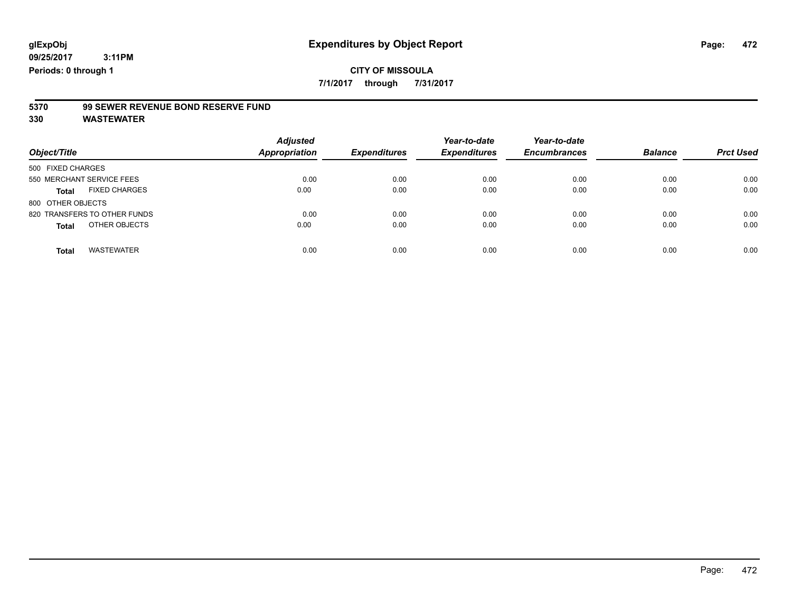**7/1/2017 through 7/31/2017**

# **5370 99 SEWER REVENUE BOND RESERVE FUND**

| Object/Title                         | <b>Adjusted</b><br>Appropriation | <b>Expenditures</b> | Year-to-date<br><b>Expenditures</b> | Year-to-date<br><b>Encumbrances</b> | <b>Balance</b> | <b>Prct Used</b> |
|--------------------------------------|----------------------------------|---------------------|-------------------------------------|-------------------------------------|----------------|------------------|
| 500 FIXED CHARGES                    |                                  |                     |                                     |                                     |                |                  |
| 550 MERCHANT SERVICE FEES            | 0.00                             | 0.00                | 0.00                                | 0.00                                | 0.00           | 0.00             |
| <b>FIXED CHARGES</b><br><b>Total</b> | 0.00                             | 0.00                | 0.00                                | 0.00                                | 0.00           | 0.00             |
| 800 OTHER OBJECTS                    |                                  |                     |                                     |                                     |                |                  |
| 820 TRANSFERS TO OTHER FUNDS         | 0.00                             | 0.00                | 0.00                                | 0.00                                | 0.00           | 0.00             |
| OTHER OBJECTS<br><b>Total</b>        | 0.00                             | 0.00                | 0.00                                | 0.00                                | 0.00           | 0.00             |
| <b>WASTEWATER</b><br><b>Total</b>    | 0.00                             | 0.00                | 0.00                                | 0.00                                | 0.00           | 0.00             |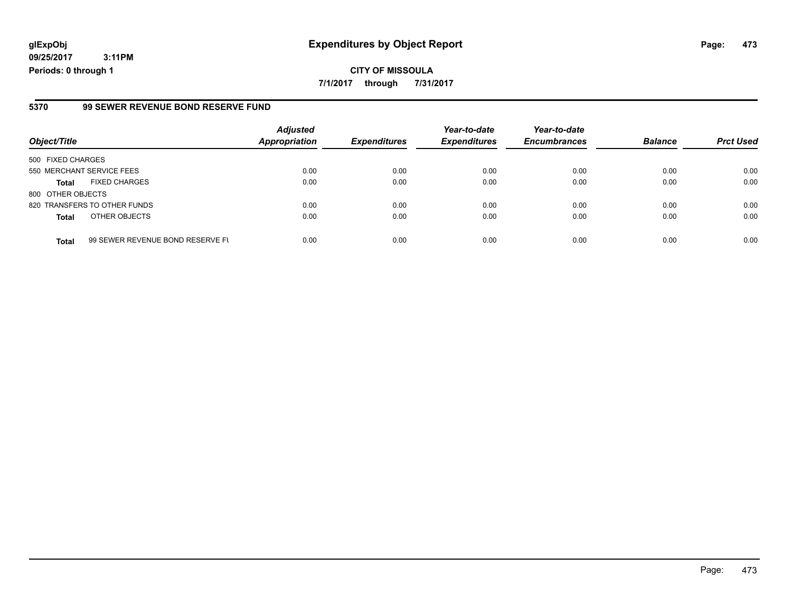#### **5370 99 SEWER REVENUE BOND RESERVE FUND**

|                           |                                  | <b>Adjusted</b>      |                     | Year-to-date        | Year-to-date        |                |                  |
|---------------------------|----------------------------------|----------------------|---------------------|---------------------|---------------------|----------------|------------------|
| Object/Title              |                                  | <b>Appropriation</b> | <b>Expenditures</b> | <b>Expenditures</b> | <b>Encumbrances</b> | <b>Balance</b> | <b>Prct Used</b> |
| 500 FIXED CHARGES         |                                  |                      |                     |                     |                     |                |                  |
| 550 MERCHANT SERVICE FEES |                                  | 0.00                 | 0.00                | 0.00                | 0.00                | 0.00           | 0.00             |
| <b>Total</b>              | <b>FIXED CHARGES</b>             | 0.00                 | 0.00                | 0.00                | 0.00                | 0.00           | 0.00             |
| 800 OTHER OBJECTS         |                                  |                      |                     |                     |                     |                |                  |
|                           | 820 TRANSFERS TO OTHER FUNDS     | 0.00                 | 0.00                | 0.00                | 0.00                | 0.00           | 0.00             |
| <b>Total</b>              | OTHER OBJECTS                    | 0.00                 | 0.00                | 0.00                | 0.00                | 0.00           | 0.00             |
| <b>Total</b>              | 99 SEWER REVENUE BOND RESERVE FL | 0.00                 | 0.00                | 0.00                | 0.00                | 0.00           | 0.00             |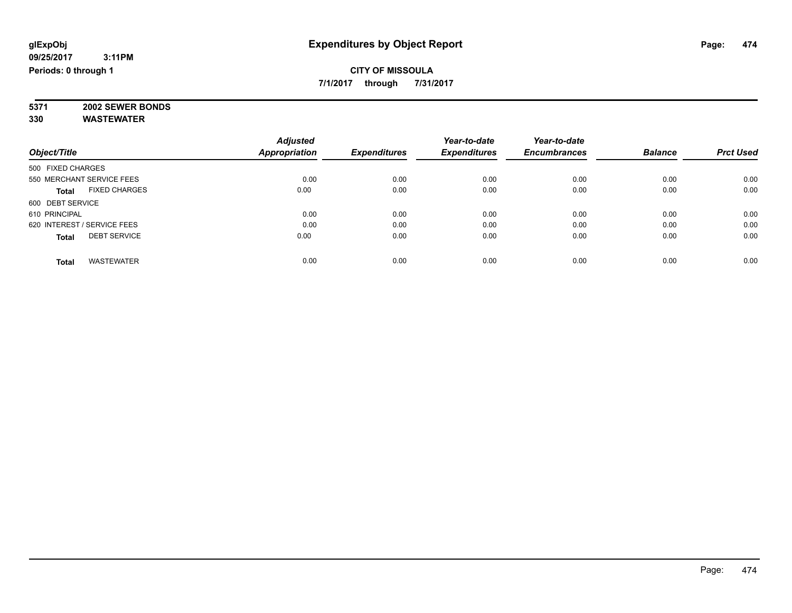**7/1/2017 through 7/31/2017**

#### **5371 2002 SEWER BONDS 330 WASTEWATER**

| Object/Title                |                      | <b>Adjusted</b><br><b>Appropriation</b> | <b>Expenditures</b> | Year-to-date<br><b>Expenditures</b> | Year-to-date<br><b>Encumbrances</b> | <b>Balance</b> | <b>Prct Used</b> |
|-----------------------------|----------------------|-----------------------------------------|---------------------|-------------------------------------|-------------------------------------|----------------|------------------|
| 500 FIXED CHARGES           |                      |                                         |                     |                                     |                                     |                |                  |
| 550 MERCHANT SERVICE FEES   |                      | 0.00                                    | 0.00                | 0.00                                | 0.00                                | 0.00           | 0.00             |
| Total                       | <b>FIXED CHARGES</b> | 0.00                                    | 0.00                | 0.00                                | 0.00                                | 0.00           | 0.00             |
| 600 DEBT SERVICE            |                      |                                         |                     |                                     |                                     |                |                  |
| 610 PRINCIPAL               |                      | 0.00                                    | 0.00                | 0.00                                | 0.00                                | 0.00           | 0.00             |
| 620 INTEREST / SERVICE FEES |                      | 0.00                                    | 0.00                | 0.00                                | 0.00                                | 0.00           | 0.00             |
| Total                       | <b>DEBT SERVICE</b>  | 0.00                                    | 0.00                | 0.00                                | 0.00                                | 0.00           | 0.00             |
|                             |                      |                                         |                     |                                     |                                     |                |                  |
| Total                       | <b>WASTEWATER</b>    | 0.00                                    | 0.00                | 0.00                                | 0.00                                | 0.00           | 0.00             |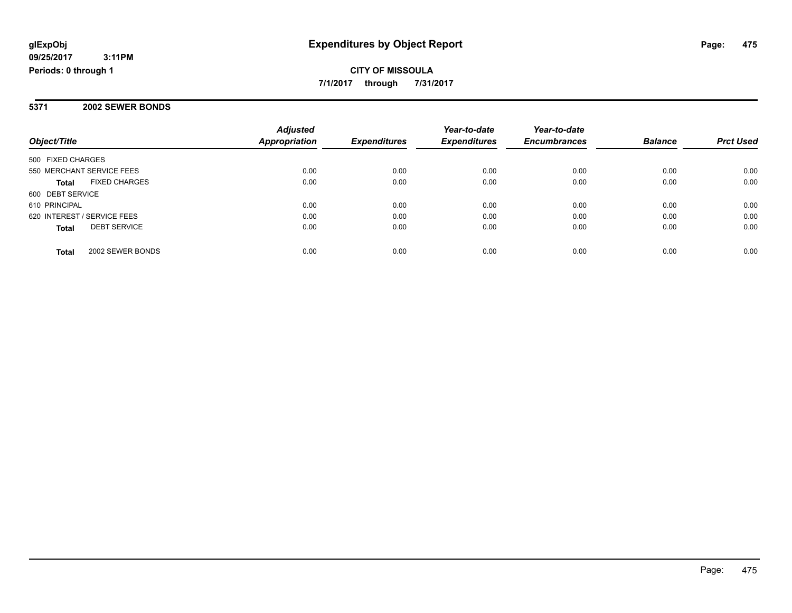**CITY OF MISSOULA 7/1/2017 through 7/31/2017**

### **5371 2002 SEWER BONDS**

|                                      | <b>Adjusted</b>      |                     | Year-to-date        | Year-to-date        |                |                  |
|--------------------------------------|----------------------|---------------------|---------------------|---------------------|----------------|------------------|
| Object/Title                         | <b>Appropriation</b> | <b>Expenditures</b> | <b>Expenditures</b> | <b>Encumbrances</b> | <b>Balance</b> | <b>Prct Used</b> |
| 500 FIXED CHARGES                    |                      |                     |                     |                     |                |                  |
| 550 MERCHANT SERVICE FEES            | 0.00                 | 0.00                | 0.00                | 0.00                | 0.00           | 0.00             |
| <b>FIXED CHARGES</b><br><b>Total</b> | 0.00                 | 0.00                | 0.00                | 0.00                | 0.00           | 0.00             |
| 600 DEBT SERVICE                     |                      |                     |                     |                     |                |                  |
| 610 PRINCIPAL                        | 0.00                 | 0.00                | 0.00                | 0.00                | 0.00           | 0.00             |
| 620 INTEREST / SERVICE FEES          | 0.00                 | 0.00                | 0.00                | 0.00                | 0.00           | 0.00             |
| <b>DEBT SERVICE</b><br><b>Total</b>  | 0.00                 | 0.00                | 0.00                | 0.00                | 0.00           | 0.00             |
| 2002 SEWER BONDS<br>Total            | 0.00                 | 0.00                | 0.00                | 0.00                | 0.00           | 0.00             |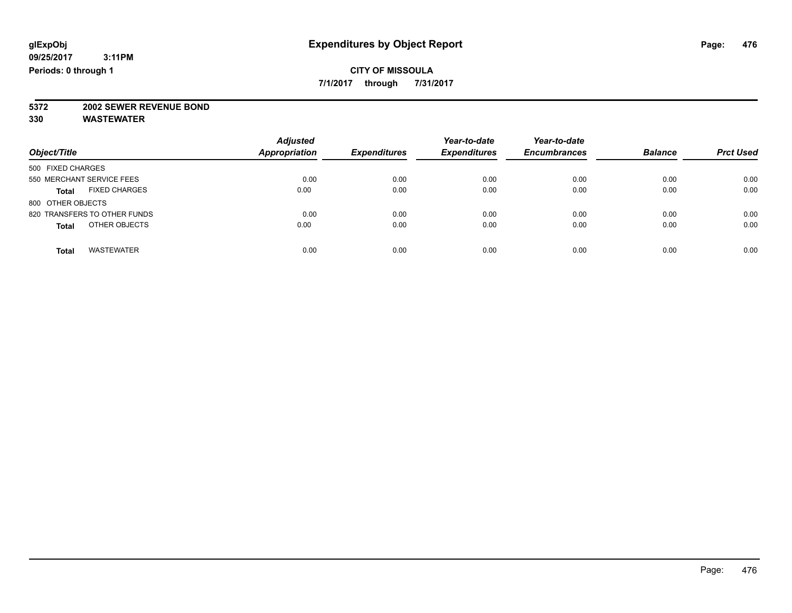**7/1/2017 through 7/31/2017**

# **5372 2002 SEWER REVENUE BOND**

| Object/Title                         | <b>Adjusted</b><br><b>Appropriation</b> | <b>Expenditures</b> | Year-to-date<br><b>Expenditures</b> | Year-to-date<br><b>Encumbrances</b> | <b>Balance</b> | <b>Prct Used</b> |
|--------------------------------------|-----------------------------------------|---------------------|-------------------------------------|-------------------------------------|----------------|------------------|
| 500 FIXED CHARGES                    |                                         |                     |                                     |                                     |                |                  |
| 550 MERCHANT SERVICE FEES            | 0.00                                    | 0.00                | 0.00                                | 0.00                                | 0.00           | 0.00             |
| <b>FIXED CHARGES</b><br><b>Total</b> | 0.00                                    | 0.00                | 0.00                                | 0.00                                | 0.00           | 0.00             |
| 800 OTHER OBJECTS                    |                                         |                     |                                     |                                     |                |                  |
| 820 TRANSFERS TO OTHER FUNDS         | 0.00                                    | 0.00                | 0.00                                | 0.00                                | 0.00           | 0.00             |
| OTHER OBJECTS<br><b>Total</b>        | 0.00                                    | 0.00                | 0.00                                | 0.00                                | 0.00           | 0.00             |
| <b>WASTEWATER</b><br><b>Total</b>    | 0.00                                    | 0.00                | 0.00                                | 0.00                                | 0.00           | 0.00             |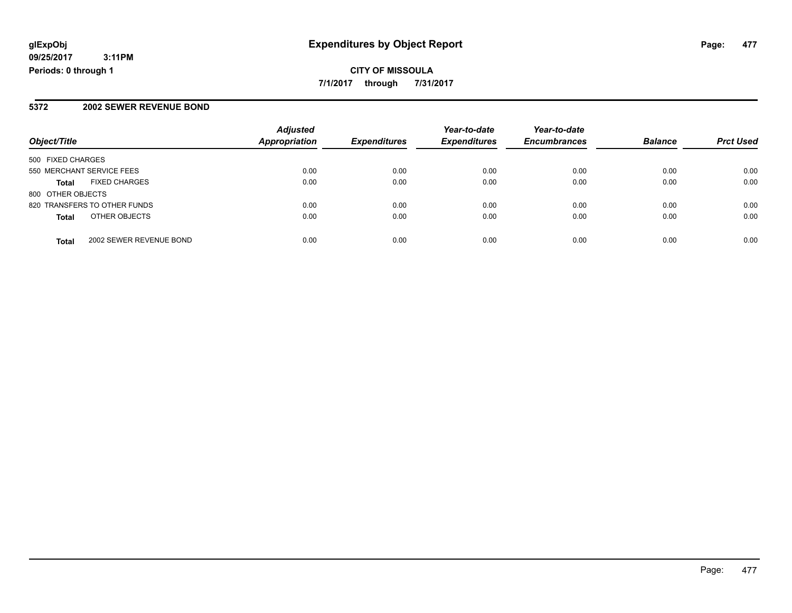## **CITY OF MISSOULA 7/1/2017 through 7/31/2017**

### **5372 2002 SEWER REVENUE BOND**

|                                         | <b>Adjusted</b>      |                     | Year-to-date        | Year-to-date        |                |                  |
|-----------------------------------------|----------------------|---------------------|---------------------|---------------------|----------------|------------------|
| Object/Title                            | <b>Appropriation</b> | <b>Expenditures</b> | <b>Expenditures</b> | <b>Encumbrances</b> | <b>Balance</b> | <b>Prct Used</b> |
| 500 FIXED CHARGES                       |                      |                     |                     |                     |                |                  |
| 550 MERCHANT SERVICE FEES               | 0.00                 | 0.00                | 0.00                | 0.00                | 0.00           | 0.00             |
| <b>FIXED CHARGES</b><br><b>Total</b>    | 0.00                 | 0.00                | 0.00                | 0.00                | 0.00           | 0.00             |
| 800 OTHER OBJECTS                       |                      |                     |                     |                     |                |                  |
| 820 TRANSFERS TO OTHER FUNDS            | 0.00                 | 0.00                | 0.00                | 0.00                | 0.00           | 0.00             |
| OTHER OBJECTS<br><b>Total</b>           | 0.00                 | 0.00                | 0.00                | 0.00                | 0.00           | 0.00             |
| 2002 SEWER REVENUE BOND<br><b>Total</b> | 0.00                 | 0.00                | 0.00                | 0.00                | 0.00           | 0.00             |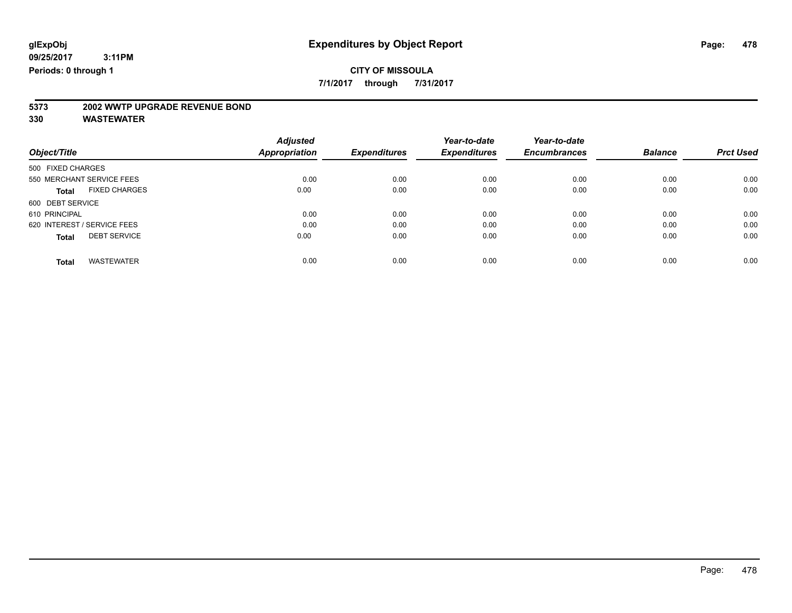**7/1/2017 through 7/31/2017**

# **5373 2002 WWTP UPGRADE REVENUE BOND**

|                   |                             | <b>Adjusted</b>      |                     | Year-to-date        | Year-to-date        |                |                  |
|-------------------|-----------------------------|----------------------|---------------------|---------------------|---------------------|----------------|------------------|
| Object/Title      |                             | <b>Appropriation</b> | <b>Expenditures</b> | <b>Expenditures</b> | <b>Encumbrances</b> | <b>Balance</b> | <b>Prct Used</b> |
| 500 FIXED CHARGES |                             |                      |                     |                     |                     |                |                  |
|                   | 550 MERCHANT SERVICE FEES   | 0.00                 | 0.00                | 0.00                | 0.00                | 0.00           | 0.00             |
| <b>Total</b>      | <b>FIXED CHARGES</b>        | 0.00                 | 0.00                | 0.00                | 0.00                | 0.00           | 0.00             |
| 600 DEBT SERVICE  |                             |                      |                     |                     |                     |                |                  |
| 610 PRINCIPAL     |                             | 0.00                 | 0.00                | 0.00                | 0.00                | 0.00           | 0.00             |
|                   | 620 INTEREST / SERVICE FEES | 0.00                 | 0.00                | 0.00                | 0.00                | 0.00           | 0.00             |
| <b>Total</b>      | <b>DEBT SERVICE</b>         | 0.00                 | 0.00                | 0.00                | 0.00                | 0.00           | 0.00             |
|                   |                             |                      |                     |                     |                     |                |                  |
| <b>Total</b>      | <b>WASTEWATER</b>           | 0.00                 | 0.00                | 0.00                | 0.00                | 0.00           | 0.00             |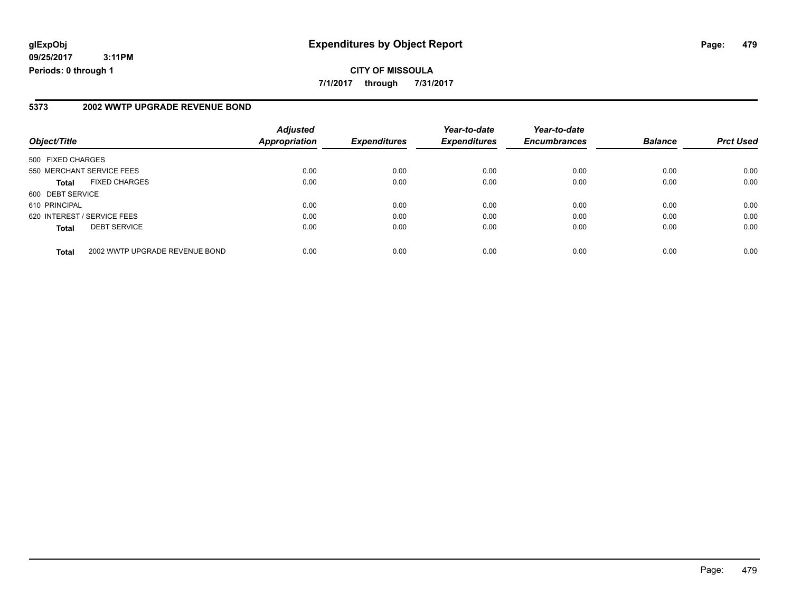## **glExpObj Expenditures by Object Report Page: 479**

**09/25/2017 3:11PM Periods: 0 through 1**

#### **5373 2002 WWTP UPGRADE REVENUE BOND**

| Object/Title                |                                | <b>Adjusted</b><br><b>Appropriation</b> | <b>Expenditures</b> | Year-to-date<br><b>Expenditures</b> | Year-to-date<br><b>Encumbrances</b> | <b>Balance</b> | <b>Prct Used</b> |
|-----------------------------|--------------------------------|-----------------------------------------|---------------------|-------------------------------------|-------------------------------------|----------------|------------------|
| 500 FIXED CHARGES           |                                |                                         |                     |                                     |                                     |                |                  |
| 550 MERCHANT SERVICE FEES   |                                | 0.00                                    | 0.00                | 0.00                                | 0.00                                | 0.00           | 0.00             |
| Total                       | <b>FIXED CHARGES</b>           | 0.00                                    | 0.00                | 0.00                                | 0.00                                | 0.00           | 0.00             |
| 600 DEBT SERVICE            |                                |                                         |                     |                                     |                                     |                |                  |
| 610 PRINCIPAL               |                                | 0.00                                    | 0.00                | 0.00                                | 0.00                                | 0.00           | 0.00             |
| 620 INTEREST / SERVICE FEES |                                | 0.00                                    | 0.00                | 0.00                                | 0.00                                | 0.00           | 0.00             |
| <b>Total</b>                | <b>DEBT SERVICE</b>            | 0.00                                    | 0.00                | 0.00                                | 0.00                                | 0.00           | 0.00             |
| <b>Total</b>                | 2002 WWTP UPGRADE REVENUE BOND | 0.00                                    | 0.00                | 0.00                                | 0.00                                | 0.00           | 0.00             |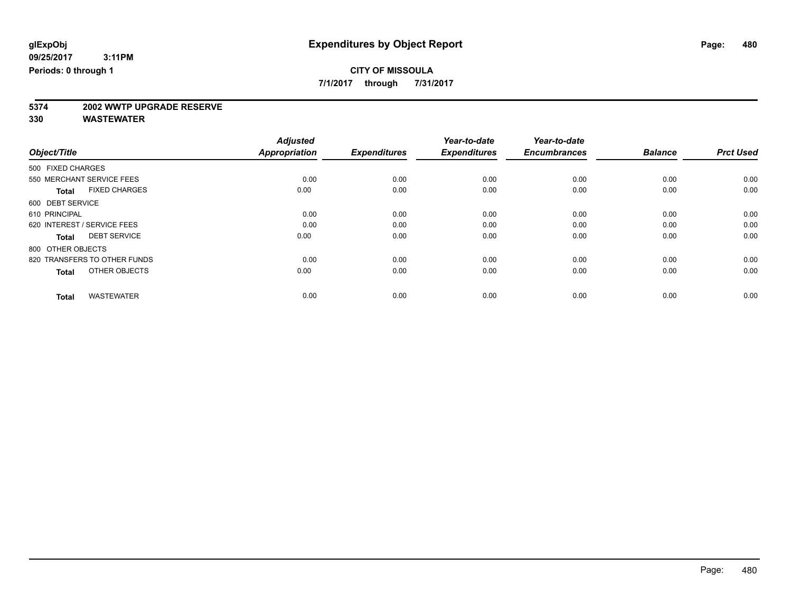**7/1/2017 through 7/31/2017**

# **5374 2002 WWTP UPGRADE RESERVE**

|                                      | <b>Adjusted</b>      |                     | Year-to-date        | Year-to-date        |                |                  |
|--------------------------------------|----------------------|---------------------|---------------------|---------------------|----------------|------------------|
| Object/Title                         | <b>Appropriation</b> | <b>Expenditures</b> | <b>Expenditures</b> | <b>Encumbrances</b> | <b>Balance</b> | <b>Prct Used</b> |
| 500 FIXED CHARGES                    |                      |                     |                     |                     |                |                  |
| 550 MERCHANT SERVICE FEES            | 0.00                 | 0.00                | 0.00                | 0.00                | 0.00           | 0.00             |
| <b>FIXED CHARGES</b><br><b>Total</b> | 0.00                 | 0.00                | 0.00                | 0.00                | 0.00           | 0.00             |
| 600 DEBT SERVICE                     |                      |                     |                     |                     |                |                  |
| 610 PRINCIPAL                        | 0.00                 | 0.00                | 0.00                | 0.00                | 0.00           | 0.00             |
| 620 INTEREST / SERVICE FEES          | 0.00                 | 0.00                | 0.00                | 0.00                | 0.00           | 0.00             |
| <b>DEBT SERVICE</b><br><b>Total</b>  | 0.00                 | 0.00                | 0.00                | 0.00                | 0.00           | 0.00             |
| 800 OTHER OBJECTS                    |                      |                     |                     |                     |                |                  |
| 820 TRANSFERS TO OTHER FUNDS         | 0.00                 | 0.00                | 0.00                | 0.00                | 0.00           | 0.00             |
| OTHER OBJECTS<br><b>Total</b>        | 0.00                 | 0.00                | 0.00                | 0.00                | 0.00           | 0.00             |
|                                      |                      |                     |                     |                     |                |                  |
| <b>WASTEWATER</b><br><b>Total</b>    | 0.00                 | 0.00                | 0.00                | 0.00                | 0.00           | 0.00             |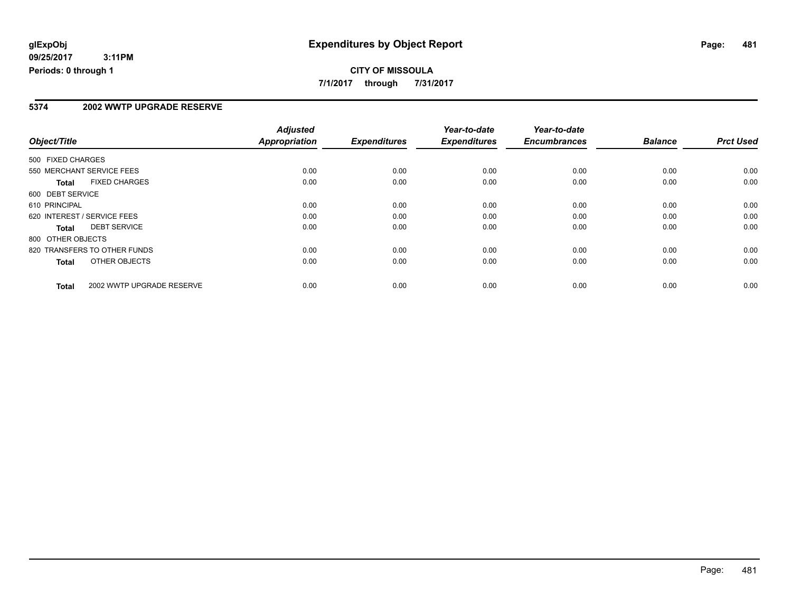#### **5374 2002 WWTP UPGRADE RESERVE**

|                   |                              | <b>Adjusted</b>      |                     | Year-to-date        | Year-to-date        |                |                  |
|-------------------|------------------------------|----------------------|---------------------|---------------------|---------------------|----------------|------------------|
| Object/Title      |                              | <b>Appropriation</b> | <b>Expenditures</b> | <b>Expenditures</b> | <b>Encumbrances</b> | <b>Balance</b> | <b>Prct Used</b> |
| 500 FIXED CHARGES |                              |                      |                     |                     |                     |                |                  |
|                   | 550 MERCHANT SERVICE FEES    | 0.00                 | 0.00                | 0.00                | 0.00                | 0.00           | 0.00             |
| <b>Total</b>      | <b>FIXED CHARGES</b>         | 0.00                 | 0.00                | 0.00                | 0.00                | 0.00           | 0.00             |
| 600 DEBT SERVICE  |                              |                      |                     |                     |                     |                |                  |
| 610 PRINCIPAL     |                              | 0.00                 | 0.00                | 0.00                | 0.00                | 0.00           | 0.00             |
|                   | 620 INTEREST / SERVICE FEES  | 0.00                 | 0.00                | 0.00                | 0.00                | 0.00           | 0.00             |
| Total             | <b>DEBT SERVICE</b>          | 0.00                 | 0.00                | 0.00                | 0.00                | 0.00           | 0.00             |
| 800 OTHER OBJECTS |                              |                      |                     |                     |                     |                |                  |
|                   | 820 TRANSFERS TO OTHER FUNDS | 0.00                 | 0.00                | 0.00                | 0.00                | 0.00           | 0.00             |
| Total             | OTHER OBJECTS                | 0.00                 | 0.00                | 0.00                | 0.00                | 0.00           | 0.00             |
| <b>Total</b>      | 2002 WWTP UPGRADE RESERVE    | 0.00                 | 0.00                | 0.00                | 0.00                | 0.00           | 0.00             |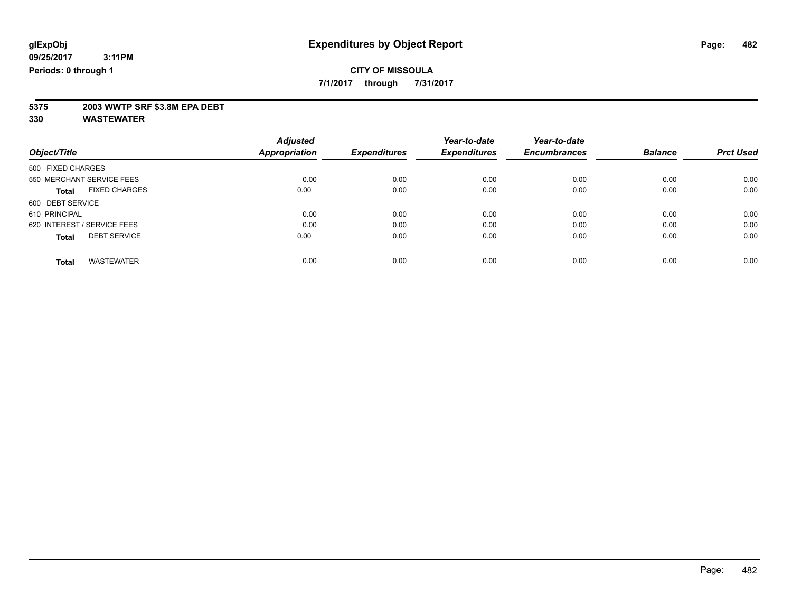**7/1/2017 through 7/31/2017**

# **5375 2003 WWTP SRF \$3.8M EPA DEBT**

|                                      | <b>Adjusted</b>      |                     | Year-to-date        | Year-to-date        |                |                  |
|--------------------------------------|----------------------|---------------------|---------------------|---------------------|----------------|------------------|
| Object/Title                         | <b>Appropriation</b> | <b>Expenditures</b> | <b>Expenditures</b> | <b>Encumbrances</b> | <b>Balance</b> | <b>Prct Used</b> |
| 500 FIXED CHARGES                    |                      |                     |                     |                     |                |                  |
| 550 MERCHANT SERVICE FEES            | 0.00                 | 0.00                | 0.00                | 0.00                | 0.00           | 0.00             |
| <b>FIXED CHARGES</b><br><b>Total</b> | 0.00                 | 0.00                | 0.00                | 0.00                | 0.00           | 0.00             |
| 600 DEBT SERVICE                     |                      |                     |                     |                     |                |                  |
| 610 PRINCIPAL                        | 0.00                 | 0.00                | 0.00                | 0.00                | 0.00           | 0.00             |
| 620 INTEREST / SERVICE FEES          | 0.00                 | 0.00                | 0.00                | 0.00                | 0.00           | 0.00             |
| <b>DEBT SERVICE</b><br><b>Total</b>  | 0.00                 | 0.00                | 0.00                | 0.00                | 0.00           | 0.00             |
| <b>WASTEWATER</b><br><b>Total</b>    | 0.00                 | 0.00                | 0.00                | 0.00                | 0.00           | 0.00             |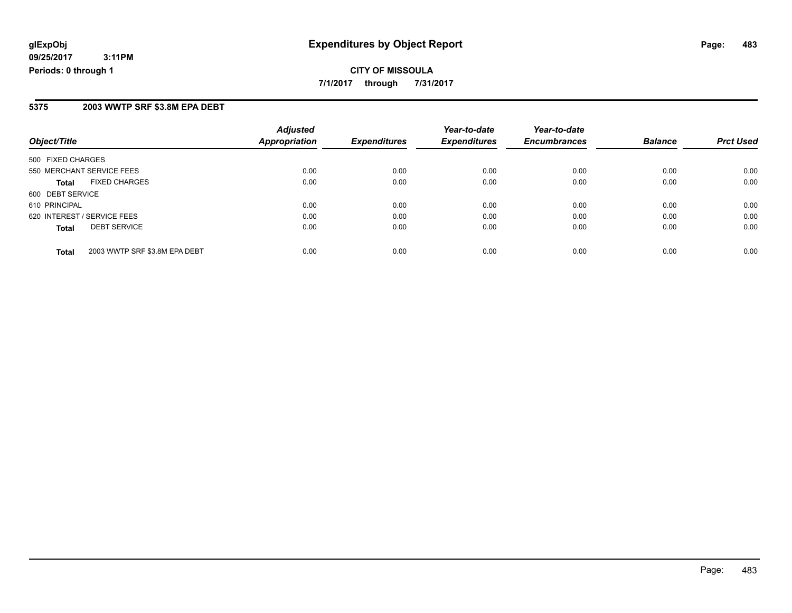#### **5375 2003 WWTP SRF \$3.8M EPA DEBT**

| Object/Title                           | <b>Adjusted</b><br><b>Appropriation</b> | <b>Expenditures</b> | Year-to-date<br><b>Expenditures</b> | Year-to-date<br><b>Encumbrances</b> | <b>Balance</b> | <b>Prct Used</b> |
|----------------------------------------|-----------------------------------------|---------------------|-------------------------------------|-------------------------------------|----------------|------------------|
| 500 FIXED CHARGES                      |                                         |                     |                                     |                                     |                |                  |
| 550 MERCHANT SERVICE FEES              | 0.00                                    | 0.00                | 0.00                                | 0.00                                | 0.00           | 0.00             |
| <b>FIXED CHARGES</b><br><b>Total</b>   | 0.00                                    | 0.00                | 0.00                                | 0.00                                | 0.00           | 0.00             |
| 600 DEBT SERVICE                       |                                         |                     |                                     |                                     |                |                  |
| 610 PRINCIPAL                          | 0.00                                    | 0.00                | 0.00                                | 0.00                                | 0.00           | 0.00             |
| 620 INTEREST / SERVICE FEES            | 0.00                                    | 0.00                | 0.00                                | 0.00                                | 0.00           | 0.00             |
| <b>DEBT SERVICE</b><br><b>Total</b>    | 0.00                                    | 0.00                | 0.00                                | 0.00                                | 0.00           | 0.00             |
| 2003 WWTP SRF \$3.8M EPA DEBT<br>Total | 0.00                                    | 0.00                | 0.00                                | 0.00                                | 0.00           | 0.00             |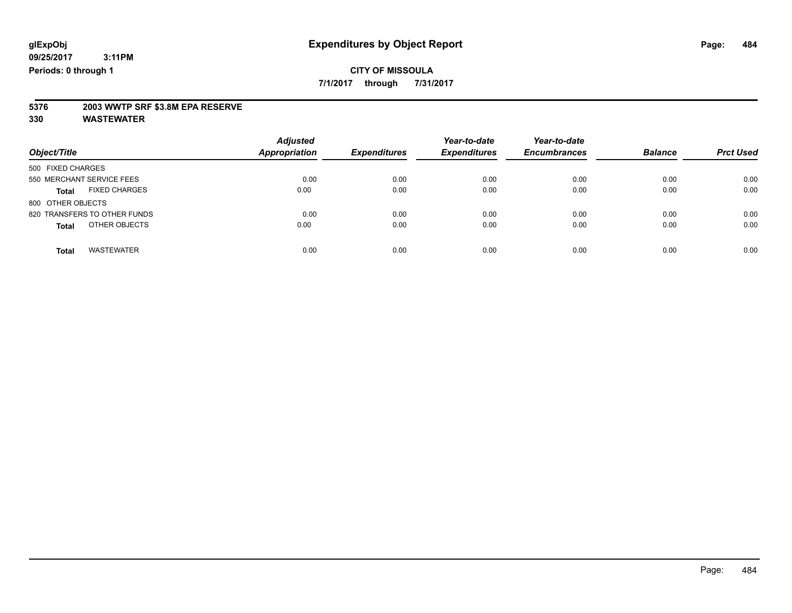**7/1/2017 through 7/31/2017**

# **5376 2003 WWTP SRF \$3.8M EPA RESERVE**

| Object/Title                         | <b>Adjusted</b><br>Appropriation | <b>Expenditures</b> | Year-to-date<br><b>Expenditures</b> | Year-to-date<br><b>Encumbrances</b> | <b>Balance</b> | <b>Prct Used</b> |
|--------------------------------------|----------------------------------|---------------------|-------------------------------------|-------------------------------------|----------------|------------------|
| 500 FIXED CHARGES                    |                                  |                     |                                     |                                     |                |                  |
| 550 MERCHANT SERVICE FEES            | 0.00                             | 0.00                | 0.00                                | 0.00                                | 0.00           | 0.00             |
| <b>FIXED CHARGES</b><br><b>Total</b> | 0.00                             | 0.00                | 0.00                                | 0.00                                | 0.00           | 0.00             |
| 800 OTHER OBJECTS                    |                                  |                     |                                     |                                     |                |                  |
| 820 TRANSFERS TO OTHER FUNDS         | 0.00                             | 0.00                | 0.00                                | 0.00                                | 0.00           | 0.00             |
| OTHER OBJECTS<br><b>Total</b>        | 0.00                             | 0.00                | 0.00                                | 0.00                                | 0.00           | 0.00             |
| <b>WASTEWATER</b><br><b>Total</b>    | 0.00                             | 0.00                | 0.00                                | 0.00                                | 0.00           | 0.00             |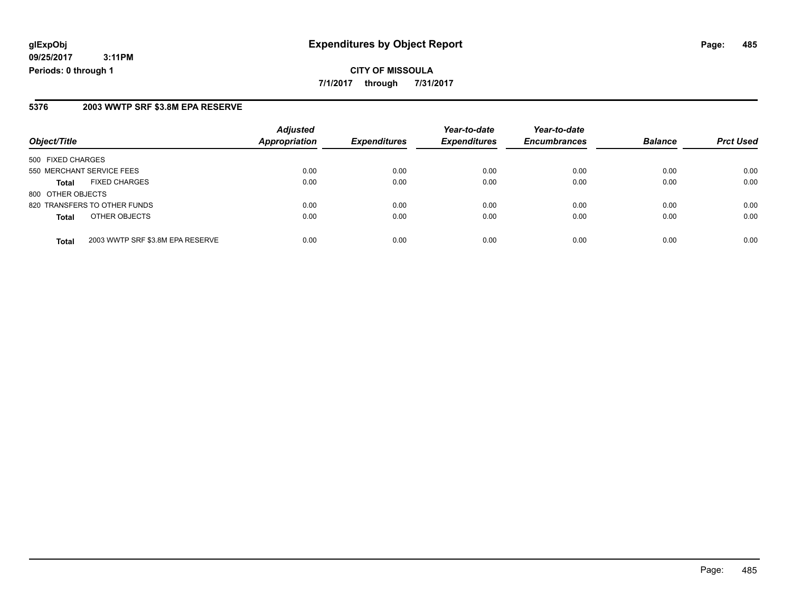**CITY OF MISSOULA 7/1/2017 through 7/31/2017**

### **5376 2003 WWTP SRF \$3.8M EPA RESERVE**

|                              | <b>Adjusted</b>                  |                              | Year-to-date                | Year-to-date                |                             | <b>Prct Used</b>       |
|------------------------------|----------------------------------|------------------------------|-----------------------------|-----------------------------|-----------------------------|------------------------|
|                              |                                  |                              |                             |                             |                             |                        |
| 500 FIXED CHARGES            |                                  |                              |                             |                             |                             |                        |
| 550 MERCHANT SERVICE FEES    | 0.00                             | 0.00                         | 0.00                        | 0.00                        | 0.00                        | 0.00                   |
| <b>FIXED CHARGES</b>         | 0.00                             | 0.00                         | 0.00                        | 0.00                        | 0.00                        | 0.00                   |
| 800 OTHER OBJECTS            |                                  |                              |                             |                             |                             |                        |
| 820 TRANSFERS TO OTHER FUNDS | 0.00                             | 0.00                         | 0.00                        | 0.00                        | 0.00                        | 0.00                   |
| OTHER OBJECTS                | 0.00                             | 0.00                         | 0.00                        | 0.00                        | 0.00                        | 0.00                   |
|                              |                                  |                              |                             |                             |                             | 0.00                   |
|                              | 2003 WWTP SRF \$3.8M EPA RESERVE | <b>Appropriation</b><br>0.00 | <b>Expenditures</b><br>0.00 | <b>Expenditures</b><br>0.00 | <b>Encumbrances</b><br>0.00 | <b>Balance</b><br>0.00 |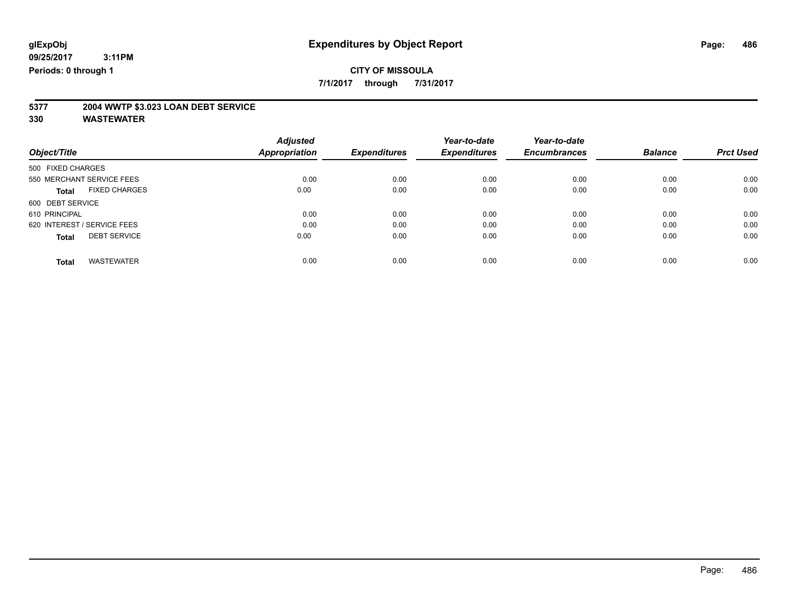**7/1/2017 through 7/31/2017**

# **5377 2004 WWTP \$3.023 LOAN DEBT SERVICE**

|                                      | <b>Adjusted</b>      |                     | Year-to-date        | Year-to-date        |                |                  |
|--------------------------------------|----------------------|---------------------|---------------------|---------------------|----------------|------------------|
| Object/Title                         | <b>Appropriation</b> | <b>Expenditures</b> | <b>Expenditures</b> | <b>Encumbrances</b> | <b>Balance</b> | <b>Prct Used</b> |
| 500 FIXED CHARGES                    |                      |                     |                     |                     |                |                  |
| 550 MERCHANT SERVICE FEES            | 0.00                 | 0.00                | 0.00                | 0.00                | 0.00           | 0.00             |
| <b>FIXED CHARGES</b><br><b>Total</b> | 0.00                 | 0.00                | 0.00                | 0.00                | 0.00           | 0.00             |
| 600 DEBT SERVICE                     |                      |                     |                     |                     |                |                  |
| 610 PRINCIPAL                        | 0.00                 | 0.00                | 0.00                | 0.00                | 0.00           | 0.00             |
| 620 INTEREST / SERVICE FEES          | 0.00                 | 0.00                | 0.00                | 0.00                | 0.00           | 0.00             |
| <b>DEBT SERVICE</b><br><b>Total</b>  | 0.00                 | 0.00                | 0.00                | 0.00                | 0.00           | 0.00             |
| <b>WASTEWATER</b><br><b>Total</b>    | 0.00                 | 0.00                | 0.00                | 0.00                | 0.00           | 0.00             |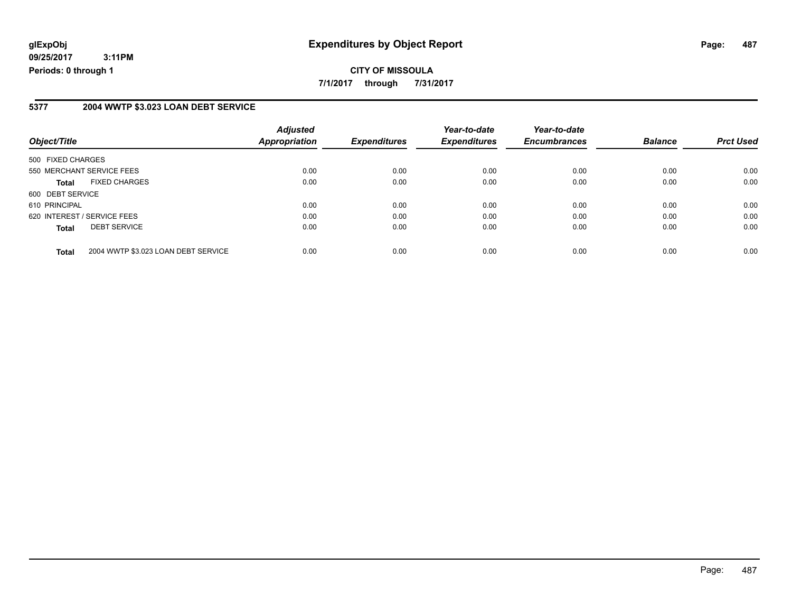#### **5377 2004 WWTP \$3.023 LOAN DEBT SERVICE**

| Object/Title                |                                     | <b>Adjusted</b><br>Appropriation | <b>Expenditures</b> | Year-to-date<br><b>Expenditures</b> | Year-to-date<br><b>Encumbrances</b> | <b>Balance</b> | <b>Prct Used</b> |
|-----------------------------|-------------------------------------|----------------------------------|---------------------|-------------------------------------|-------------------------------------|----------------|------------------|
|                             |                                     |                                  |                     |                                     |                                     |                |                  |
| 500 FIXED CHARGES           |                                     |                                  |                     |                                     |                                     |                |                  |
|                             | 550 MERCHANT SERVICE FEES           | 0.00                             | 0.00                | 0.00                                | 0.00                                | 0.00           | 0.00             |
| <b>Total</b>                | <b>FIXED CHARGES</b>                | 0.00                             | 0.00                | 0.00                                | 0.00                                | 0.00           | 0.00             |
| 600 DEBT SERVICE            |                                     |                                  |                     |                                     |                                     |                |                  |
| 610 PRINCIPAL               |                                     | 0.00                             | 0.00                | 0.00                                | 0.00                                | 0.00           | 0.00             |
| 620 INTEREST / SERVICE FEES |                                     | 0.00                             | 0.00                | 0.00                                | 0.00                                | 0.00           | 0.00             |
| <b>Total</b>                | <b>DEBT SERVICE</b>                 | 0.00                             | 0.00                | 0.00                                | 0.00                                | 0.00           | 0.00             |
| <b>Total</b>                | 2004 WWTP \$3.023 LOAN DEBT SERVICE | 0.00                             | 0.00                | 0.00                                | 0.00                                | 0.00           | 0.00             |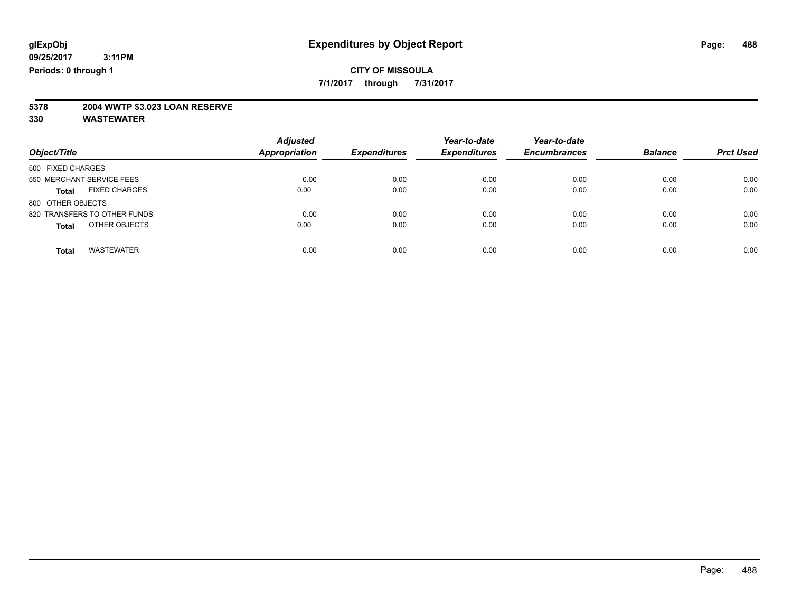**7/1/2017 through 7/31/2017**

# **5378 2004 WWTP \$3.023 LOAN RESERVE**

|                                      | <b>Adjusted</b><br><b>Appropriation</b> | <b>Expenditures</b> | Year-to-date<br><b>Expenditures</b> | Year-to-date<br><b>Encumbrances</b> | <b>Balance</b> | <b>Prct Used</b> |
|--------------------------------------|-----------------------------------------|---------------------|-------------------------------------|-------------------------------------|----------------|------------------|
| Object/Title                         |                                         |                     |                                     |                                     |                |                  |
| 500 FIXED CHARGES                    |                                         |                     |                                     |                                     |                |                  |
| 550 MERCHANT SERVICE FEES            | 0.00                                    | 0.00                | 0.00                                | 0.00                                | 0.00           | 0.00             |
| <b>FIXED CHARGES</b><br><b>Total</b> | 0.00                                    | 0.00                | 0.00                                | 0.00                                | 0.00           | 0.00             |
| 800 OTHER OBJECTS                    |                                         |                     |                                     |                                     |                |                  |
| 820 TRANSFERS TO OTHER FUNDS         | 0.00                                    | 0.00                | 0.00                                | 0.00                                | 0.00           | 0.00             |
| OTHER OBJECTS<br><b>Total</b>        | 0.00                                    | 0.00                | 0.00                                | 0.00                                | 0.00           | 0.00             |
| <b>WASTEWATER</b><br><b>Total</b>    | 0.00                                    | 0.00                | 0.00                                | 0.00                                | 0.00           | 0.00             |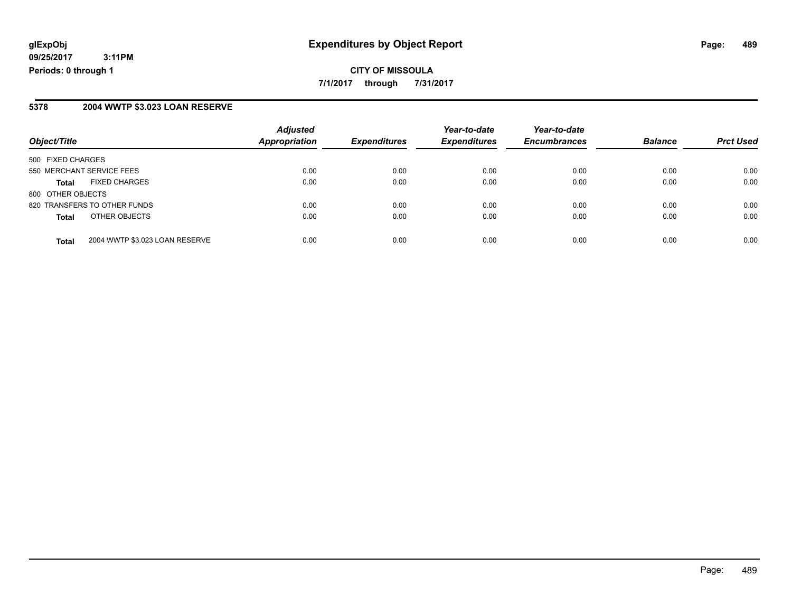#### **5378 2004 WWTP \$3.023 LOAN RESERVE**

| Object/Title                                   | <b>Adjusted</b><br><b>Appropriation</b> | <b>Expenditures</b> | Year-to-date<br><b>Expenditures</b> | Year-to-date<br><b>Encumbrances</b> | <b>Balance</b> | <b>Prct Used</b> |
|------------------------------------------------|-----------------------------------------|---------------------|-------------------------------------|-------------------------------------|----------------|------------------|
|                                                |                                         |                     |                                     |                                     |                |                  |
| 500 FIXED CHARGES                              |                                         |                     |                                     |                                     |                |                  |
| 550 MERCHANT SERVICE FEES                      | 0.00                                    | 0.00                | 0.00                                | 0.00                                | 0.00           | 0.00             |
| <b>FIXED CHARGES</b><br><b>Total</b>           | 0.00                                    | 0.00                | 0.00                                | 0.00                                | 0.00           | 0.00             |
| 800 OTHER OBJECTS                              |                                         |                     |                                     |                                     |                |                  |
| 820 TRANSFERS TO OTHER FUNDS                   | 0.00                                    | 0.00                | 0.00                                | 0.00                                | 0.00           | 0.00             |
| OTHER OBJECTS<br><b>Total</b>                  | 0.00                                    | 0.00                | 0.00                                | 0.00                                | 0.00           | 0.00             |
|                                                |                                         |                     |                                     |                                     |                |                  |
| 2004 WWTP \$3.023 LOAN RESERVE<br><b>Total</b> | 0.00                                    | 0.00                | 0.00                                | 0.00                                | 0.00           | 0.00             |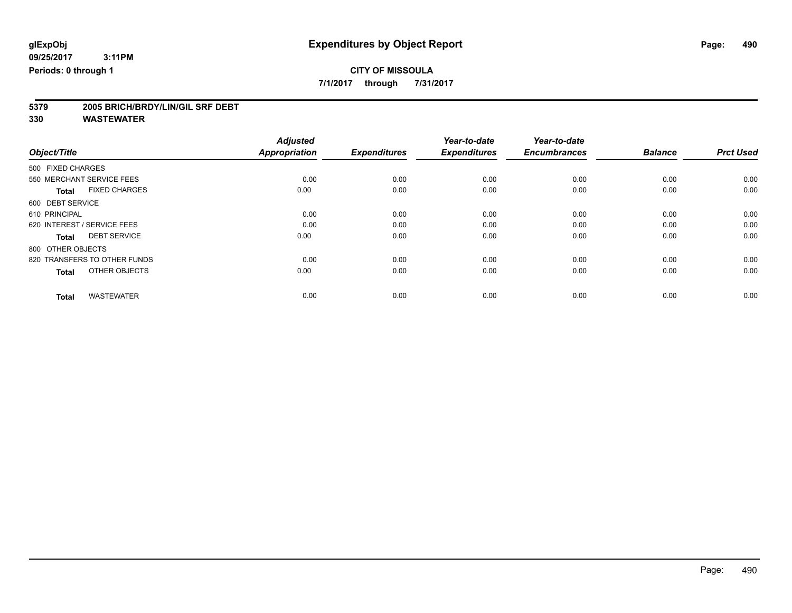**7/1/2017 through 7/31/2017**

# **5379 2005 BRICH/BRDY/LIN/GIL SRF DEBT**

|                                      | <b>Adjusted</b> |                     | Year-to-date        | Year-to-date        |                |                  |
|--------------------------------------|-----------------|---------------------|---------------------|---------------------|----------------|------------------|
| Object/Title                         | Appropriation   | <b>Expenditures</b> | <b>Expenditures</b> | <b>Encumbrances</b> | <b>Balance</b> | <b>Prct Used</b> |
| 500 FIXED CHARGES                    |                 |                     |                     |                     |                |                  |
| 550 MERCHANT SERVICE FEES            | 0.00            | 0.00                | 0.00                | 0.00                | 0.00           | 0.00             |
| <b>FIXED CHARGES</b><br><b>Total</b> | 0.00            | 0.00                | 0.00                | 0.00                | 0.00           | 0.00             |
| 600 DEBT SERVICE                     |                 |                     |                     |                     |                |                  |
| 610 PRINCIPAL                        | 0.00            | 0.00                | 0.00                | 0.00                | 0.00           | 0.00             |
| 620 INTEREST / SERVICE FEES          | 0.00            | 0.00                | 0.00                | 0.00                | 0.00           | 0.00             |
| <b>DEBT SERVICE</b><br><b>Total</b>  | 0.00            | 0.00                | 0.00                | 0.00                | 0.00           | 0.00             |
| 800 OTHER OBJECTS                    |                 |                     |                     |                     |                |                  |
| 820 TRANSFERS TO OTHER FUNDS         | 0.00            | 0.00                | 0.00                | 0.00                | 0.00           | 0.00             |
| OTHER OBJECTS<br><b>Total</b>        | 0.00            | 0.00                | 0.00                | 0.00                | 0.00           | 0.00             |
|                                      |                 |                     |                     |                     |                |                  |
| <b>WASTEWATER</b><br><b>Total</b>    | 0.00            | 0.00                | 0.00                | 0.00                | 0.00           | 0.00             |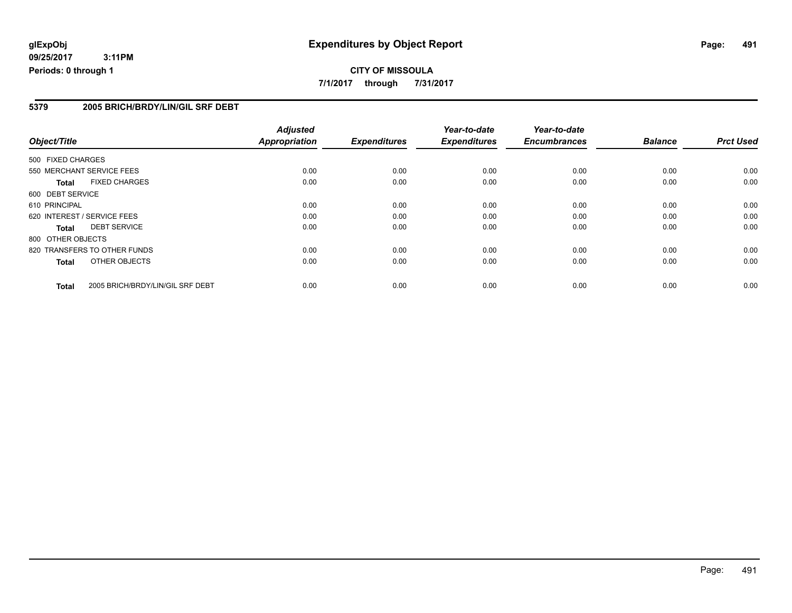#### **5379 2005 BRICH/BRDY/LIN/GIL SRF DEBT**

|                              |                                  | <b>Adjusted</b>      |                     | Year-to-date        | Year-to-date        |                |                  |
|------------------------------|----------------------------------|----------------------|---------------------|---------------------|---------------------|----------------|------------------|
| Object/Title                 |                                  | <b>Appropriation</b> | <b>Expenditures</b> | <b>Expenditures</b> | <b>Encumbrances</b> | <b>Balance</b> | <b>Prct Used</b> |
| 500 FIXED CHARGES            |                                  |                      |                     |                     |                     |                |                  |
| 550 MERCHANT SERVICE FEES    |                                  | 0.00                 | 0.00                | 0.00                | 0.00                | 0.00           | 0.00             |
| <b>Total</b>                 | <b>FIXED CHARGES</b>             | 0.00                 | 0.00                | 0.00                | 0.00                | 0.00           | 0.00             |
| 600 DEBT SERVICE             |                                  |                      |                     |                     |                     |                |                  |
| 610 PRINCIPAL                |                                  | 0.00                 | 0.00                | 0.00                | 0.00                | 0.00           | 0.00             |
| 620 INTEREST / SERVICE FEES  |                                  | 0.00                 | 0.00                | 0.00                | 0.00                | 0.00           | 0.00             |
| Total                        | <b>DEBT SERVICE</b>              | 0.00                 | 0.00                | 0.00                | 0.00                | 0.00           | 0.00             |
| 800 OTHER OBJECTS            |                                  |                      |                     |                     |                     |                |                  |
| 820 TRANSFERS TO OTHER FUNDS |                                  | 0.00                 | 0.00                | 0.00                | 0.00                | 0.00           | 0.00             |
| Total                        | OTHER OBJECTS                    | 0.00                 | 0.00                | 0.00                | 0.00                | 0.00           | 0.00             |
| <b>Total</b>                 | 2005 BRICH/BRDY/LIN/GIL SRF DEBT | 0.00                 | 0.00                | 0.00                | 0.00                | 0.00           | 0.00             |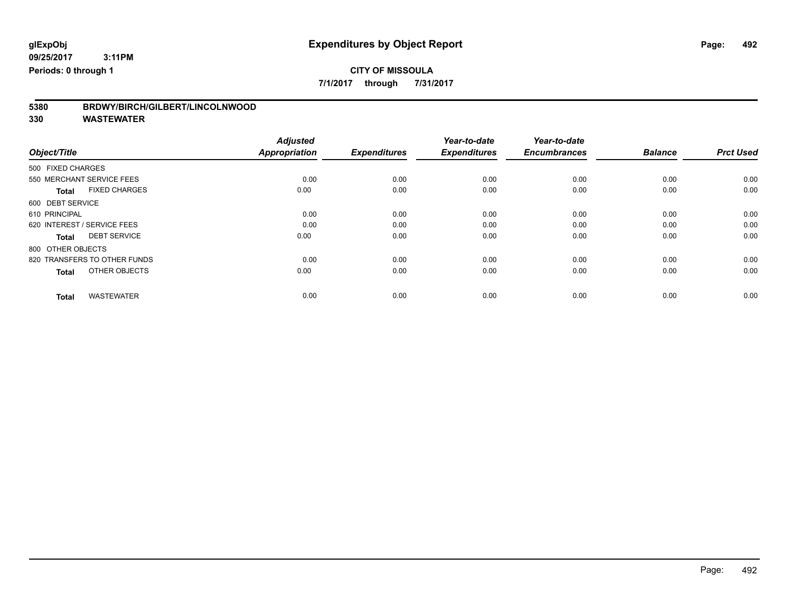**7/1/2017 through 7/31/2017**

| 5380 | BRDWY/BIRCH/GILBERT/LINCOLNWOOD |
|------|---------------------------------|
|      |                                 |

|                                      | <b>Adjusted</b>      |                     | Year-to-date        | Year-to-date        |                |                  |
|--------------------------------------|----------------------|---------------------|---------------------|---------------------|----------------|------------------|
| Object/Title                         | <b>Appropriation</b> | <b>Expenditures</b> | <b>Expenditures</b> | <b>Encumbrances</b> | <b>Balance</b> | <b>Prct Used</b> |
| 500 FIXED CHARGES                    |                      |                     |                     |                     |                |                  |
| 550 MERCHANT SERVICE FEES            | 0.00                 | 0.00                | 0.00                | 0.00                | 0.00           | 0.00             |
| <b>FIXED CHARGES</b><br><b>Total</b> | 0.00                 | 0.00                | 0.00                | 0.00                | 0.00           | 0.00             |
| 600 DEBT SERVICE                     |                      |                     |                     |                     |                |                  |
| 610 PRINCIPAL                        | 0.00                 | 0.00                | 0.00                | 0.00                | 0.00           | 0.00             |
| 620 INTEREST / SERVICE FEES          | 0.00                 | 0.00                | 0.00                | 0.00                | 0.00           | 0.00             |
| <b>DEBT SERVICE</b><br><b>Total</b>  | 0.00                 | 0.00                | 0.00                | 0.00                | 0.00           | 0.00             |
| 800 OTHER OBJECTS                    |                      |                     |                     |                     |                |                  |
| 820 TRANSFERS TO OTHER FUNDS         | 0.00                 | 0.00                | 0.00                | 0.00                | 0.00           | 0.00             |
| OTHER OBJECTS<br><b>Total</b>        | 0.00                 | 0.00                | 0.00                | 0.00                | 0.00           | 0.00             |
|                                      |                      |                     |                     |                     |                |                  |
| <b>WASTEWATER</b><br><b>Total</b>    | 0.00                 | 0.00                | 0.00                | 0.00                | 0.00           | 0.00             |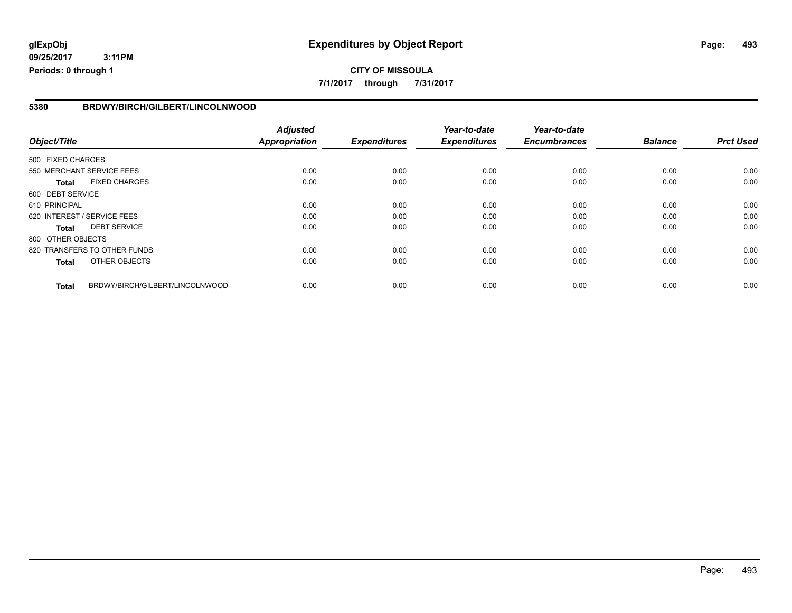### **CITY OF MISSOULA 7/1/2017 through 7/31/2017**

#### **5380 BRDWY/BIRCH/GILBERT/LINCOLNWOOD**

|                   |                                 | <b>Adjusted</b>      |                     | Year-to-date        | Year-to-date        |                |                  |
|-------------------|---------------------------------|----------------------|---------------------|---------------------|---------------------|----------------|------------------|
| Object/Title      |                                 | <b>Appropriation</b> | <b>Expenditures</b> | <b>Expenditures</b> | <b>Encumbrances</b> | <b>Balance</b> | <b>Prct Used</b> |
| 500 FIXED CHARGES |                                 |                      |                     |                     |                     |                |                  |
|                   | 550 MERCHANT SERVICE FEES       | 0.00                 | 0.00                | 0.00                | 0.00                | 0.00           | 0.00             |
| <b>Total</b>      | <b>FIXED CHARGES</b>            | 0.00                 | 0.00                | 0.00                | 0.00                | 0.00           | 0.00             |
| 600 DEBT SERVICE  |                                 |                      |                     |                     |                     |                |                  |
| 610 PRINCIPAL     |                                 | 0.00                 | 0.00                | 0.00                | 0.00                | 0.00           | 0.00             |
|                   | 620 INTEREST / SERVICE FEES     | 0.00                 | 0.00                | 0.00                | 0.00                | 0.00           | 0.00             |
| Total             | <b>DEBT SERVICE</b>             | 0.00                 | 0.00                | 0.00                | 0.00                | 0.00           | 0.00             |
| 800 OTHER OBJECTS |                                 |                      |                     |                     |                     |                |                  |
|                   | 820 TRANSFERS TO OTHER FUNDS    | 0.00                 | 0.00                | 0.00                | 0.00                | 0.00           | 0.00             |
| <b>Total</b>      | OTHER OBJECTS                   | 0.00                 | 0.00                | 0.00                | 0.00                | 0.00           | 0.00             |
| <b>Total</b>      | BRDWY/BIRCH/GILBERT/LINCOLNWOOD | 0.00                 | 0.00                | 0.00                | 0.00                | 0.00           | 0.00             |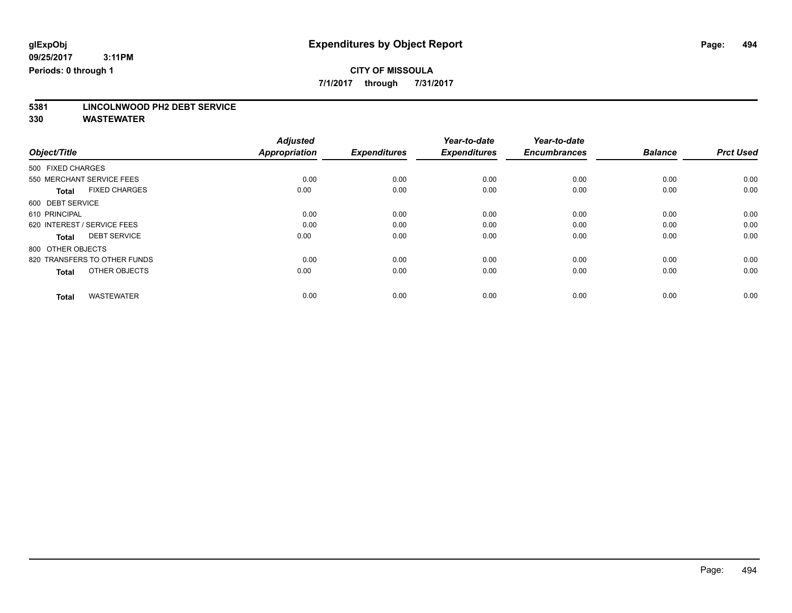**7/1/2017 through 7/31/2017**

# **5381 LINCOLNWOOD PH2 DEBT SERVICE**

|                                      | <b>Adjusted</b>      |                     | Year-to-date        | Year-to-date        |                |                  |
|--------------------------------------|----------------------|---------------------|---------------------|---------------------|----------------|------------------|
| Object/Title                         | <b>Appropriation</b> | <b>Expenditures</b> | <b>Expenditures</b> | <b>Encumbrances</b> | <b>Balance</b> | <b>Prct Used</b> |
| 500 FIXED CHARGES                    |                      |                     |                     |                     |                |                  |
| 550 MERCHANT SERVICE FEES            | 0.00                 | 0.00                | 0.00                | 0.00                | 0.00           | 0.00             |
| <b>FIXED CHARGES</b><br><b>Total</b> | 0.00                 | 0.00                | 0.00                | 0.00                | 0.00           | 0.00             |
| 600 DEBT SERVICE                     |                      |                     |                     |                     |                |                  |
| 610 PRINCIPAL                        | 0.00                 | 0.00                | 0.00                | 0.00                | 0.00           | 0.00             |
| 620 INTEREST / SERVICE FEES          | 0.00                 | 0.00                | 0.00                | 0.00                | 0.00           | 0.00             |
| <b>DEBT SERVICE</b><br><b>Total</b>  | 0.00                 | 0.00                | 0.00                | 0.00                | 0.00           | 0.00             |
| 800 OTHER OBJECTS                    |                      |                     |                     |                     |                |                  |
| 820 TRANSFERS TO OTHER FUNDS         | 0.00                 | 0.00                | 0.00                | 0.00                | 0.00           | 0.00             |
| OTHER OBJECTS<br><b>Total</b>        | 0.00                 | 0.00                | 0.00                | 0.00                | 0.00           | 0.00             |
|                                      |                      |                     |                     |                     |                |                  |
| <b>WASTEWATER</b><br><b>Total</b>    | 0.00                 | 0.00                | 0.00                | 0.00                | 0.00           | 0.00             |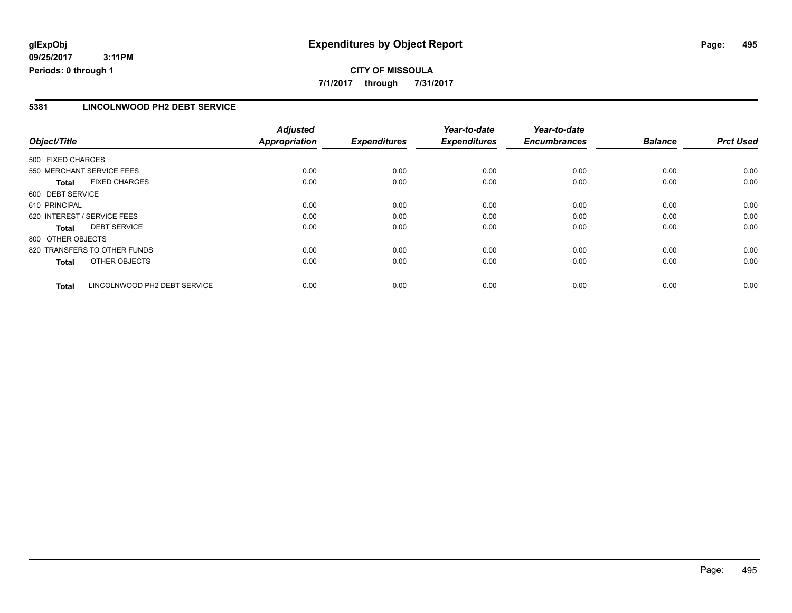## **CITY OF MISSOULA 7/1/2017 through 7/31/2017**

### **5381 LINCOLNWOOD PH2 DEBT SERVICE**

|                             |                              | <b>Adjusted</b>      |                     | Year-to-date        | Year-to-date        |                |                  |
|-----------------------------|------------------------------|----------------------|---------------------|---------------------|---------------------|----------------|------------------|
| Object/Title                |                              | <b>Appropriation</b> | <b>Expenditures</b> | <b>Expenditures</b> | <b>Encumbrances</b> | <b>Balance</b> | <b>Prct Used</b> |
| 500 FIXED CHARGES           |                              |                      |                     |                     |                     |                |                  |
| 550 MERCHANT SERVICE FEES   |                              | 0.00                 | 0.00                | 0.00                | 0.00                | 0.00           | 0.00             |
| <b>Total</b>                | <b>FIXED CHARGES</b>         | 0.00                 | 0.00                | 0.00                | 0.00                | 0.00           | 0.00             |
| 600 DEBT SERVICE            |                              |                      |                     |                     |                     |                |                  |
| 610 PRINCIPAL               |                              | 0.00                 | 0.00                | 0.00                | 0.00                | 0.00           | 0.00             |
| 620 INTEREST / SERVICE FEES |                              | 0.00                 | 0.00                | 0.00                | 0.00                | 0.00           | 0.00             |
| Total                       | <b>DEBT SERVICE</b>          | 0.00                 | 0.00                | 0.00                | 0.00                | 0.00           | 0.00             |
| 800 OTHER OBJECTS           |                              |                      |                     |                     |                     |                |                  |
|                             | 820 TRANSFERS TO OTHER FUNDS | 0.00                 | 0.00                | 0.00                | 0.00                | 0.00           | 0.00             |
| <b>Total</b>                | OTHER OBJECTS                | 0.00                 | 0.00                | 0.00                | 0.00                | 0.00           | 0.00             |
| <b>Total</b>                | LINCOLNWOOD PH2 DEBT SERVICE | 0.00                 | 0.00                | 0.00                | 0.00                | 0.00           | 0.00             |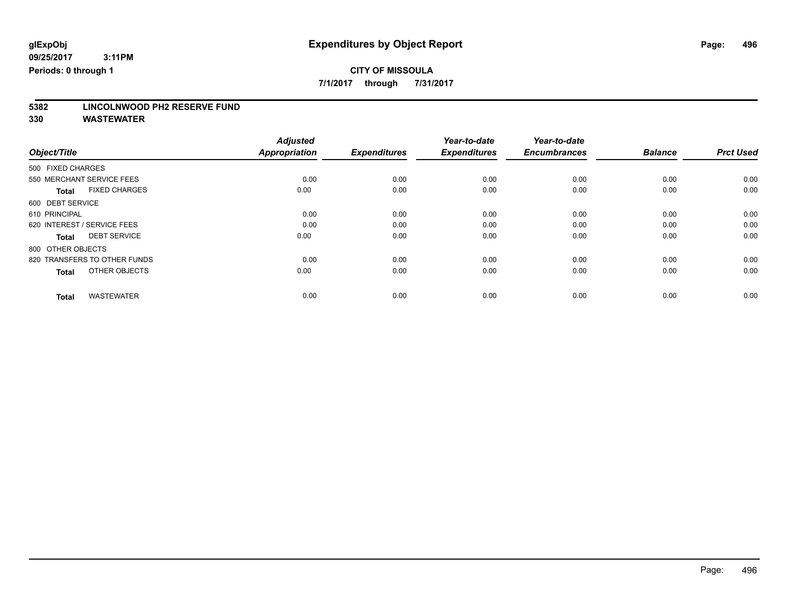**7/1/2017 through 7/31/2017**

# **5382 LINCOLNWOOD PH2 RESERVE FUND**

|                                      | <b>Adjusted</b>      |                     | Year-to-date        | Year-to-date        |                |                  |
|--------------------------------------|----------------------|---------------------|---------------------|---------------------|----------------|------------------|
| Object/Title                         | <b>Appropriation</b> | <b>Expenditures</b> | <b>Expenditures</b> | <b>Encumbrances</b> | <b>Balance</b> | <b>Prct Used</b> |
| 500 FIXED CHARGES                    |                      |                     |                     |                     |                |                  |
| 550 MERCHANT SERVICE FEES            | 0.00                 | 0.00                | 0.00                | 0.00                | 0.00           | 0.00             |
| <b>FIXED CHARGES</b><br><b>Total</b> | 0.00                 | 0.00                | 0.00                | 0.00                | 0.00           | 0.00             |
| 600 DEBT SERVICE                     |                      |                     |                     |                     |                |                  |
| 610 PRINCIPAL                        | 0.00                 | 0.00                | 0.00                | 0.00                | 0.00           | 0.00             |
| 620 INTEREST / SERVICE FEES          | 0.00                 | 0.00                | 0.00                | 0.00                | 0.00           | 0.00             |
| <b>DEBT SERVICE</b><br><b>Total</b>  | 0.00                 | 0.00                | 0.00                | 0.00                | 0.00           | 0.00             |
| 800 OTHER OBJECTS                    |                      |                     |                     |                     |                |                  |
| 820 TRANSFERS TO OTHER FUNDS         | 0.00                 | 0.00                | 0.00                | 0.00                | 0.00           | 0.00             |
| OTHER OBJECTS<br><b>Total</b>        | 0.00                 | 0.00                | 0.00                | 0.00                | 0.00           | 0.00             |
|                                      |                      |                     |                     |                     |                |                  |
| <b>WASTEWATER</b><br><b>Total</b>    | 0.00                 | 0.00                | 0.00                | 0.00                | 0.00           | 0.00             |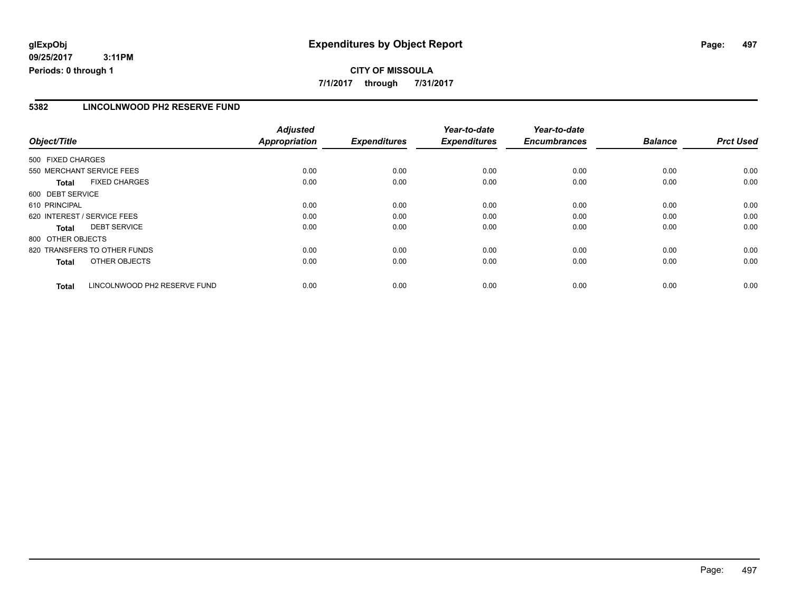## **CITY OF MISSOULA 7/1/2017 through 7/31/2017**

### **5382 LINCOLNWOOD PH2 RESERVE FUND**

|                              |                              | <b>Adjusted</b>      |                     | Year-to-date        | Year-to-date        |                |                  |
|------------------------------|------------------------------|----------------------|---------------------|---------------------|---------------------|----------------|------------------|
| Object/Title                 |                              | <b>Appropriation</b> | <b>Expenditures</b> | <b>Expenditures</b> | <b>Encumbrances</b> | <b>Balance</b> | <b>Prct Used</b> |
| 500 FIXED CHARGES            |                              |                      |                     |                     |                     |                |                  |
| 550 MERCHANT SERVICE FEES    |                              | 0.00                 | 0.00                | 0.00                | 0.00                | 0.00           | 0.00             |
| <b>Total</b>                 | <b>FIXED CHARGES</b>         | 0.00                 | 0.00                | 0.00                | 0.00                | 0.00           | 0.00             |
| 600 DEBT SERVICE             |                              |                      |                     |                     |                     |                |                  |
| 610 PRINCIPAL                |                              | 0.00                 | 0.00                | 0.00                | 0.00                | 0.00           | 0.00             |
| 620 INTEREST / SERVICE FEES  |                              | 0.00                 | 0.00                | 0.00                | 0.00                | 0.00           | 0.00             |
| Total                        | <b>DEBT SERVICE</b>          | 0.00                 | 0.00                | 0.00                | 0.00                | 0.00           | 0.00             |
| 800 OTHER OBJECTS            |                              |                      |                     |                     |                     |                |                  |
| 820 TRANSFERS TO OTHER FUNDS |                              | 0.00                 | 0.00                | 0.00                | 0.00                | 0.00           | 0.00             |
| <b>Total</b>                 | OTHER OBJECTS                | 0.00                 | 0.00                | 0.00                | 0.00                | 0.00           | 0.00             |
| <b>Total</b>                 | LINCOLNWOOD PH2 RESERVE FUND | 0.00                 | 0.00                | 0.00                | 0.00                | 0.00           | 0.00             |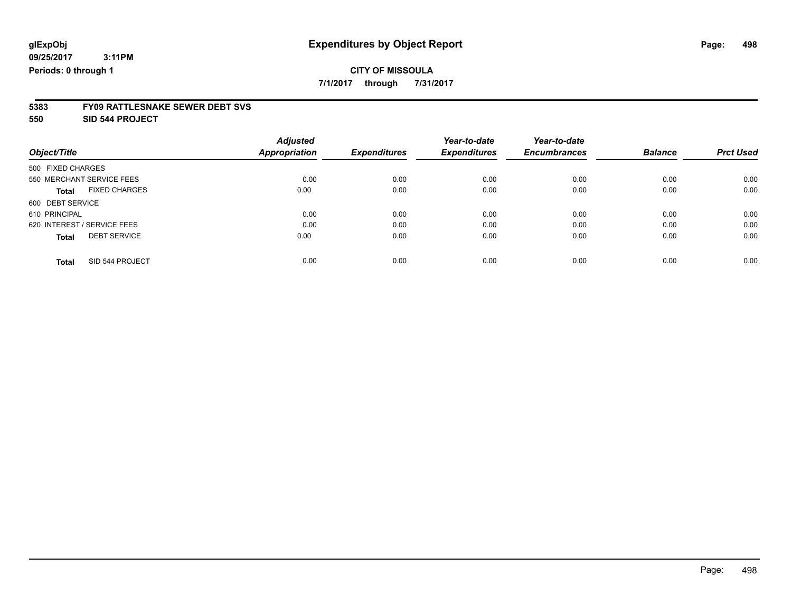**7/1/2017 through 7/31/2017**

# **5383 FY09 RATTLESNAKE SEWER DEBT SVS**

**550 SID 544 PROJECT**

| Object/Title                         | <b>Adjusted</b><br>Appropriation | <b>Expenditures</b> | Year-to-date<br><b>Expenditures</b> | Year-to-date<br><b>Encumbrances</b> | <b>Balance</b> | <b>Prct Used</b> |
|--------------------------------------|----------------------------------|---------------------|-------------------------------------|-------------------------------------|----------------|------------------|
|                                      |                                  |                     |                                     |                                     |                |                  |
| 500 FIXED CHARGES                    |                                  |                     |                                     |                                     |                |                  |
| 550 MERCHANT SERVICE FEES            | 0.00                             | 0.00                | 0.00                                | 0.00                                | 0.00           | 0.00             |
| <b>FIXED CHARGES</b><br><b>Total</b> | 0.00                             | 0.00                | 0.00                                | 0.00                                | 0.00           | 0.00             |
| 600 DEBT SERVICE                     |                                  |                     |                                     |                                     |                |                  |
| 610 PRINCIPAL                        | 0.00                             | 0.00                | 0.00                                | 0.00                                | 0.00           | 0.00             |
| 620 INTEREST / SERVICE FEES          | 0.00                             | 0.00                | 0.00                                | 0.00                                | 0.00           | 0.00             |
| <b>DEBT SERVICE</b><br><b>Total</b>  | 0.00                             | 0.00                | 0.00                                | 0.00                                | 0.00           | 0.00             |
| SID 544 PROJECT<br><b>Total</b>      | 0.00                             | 0.00                | 0.00                                | 0.00                                | 0.00           | 0.00             |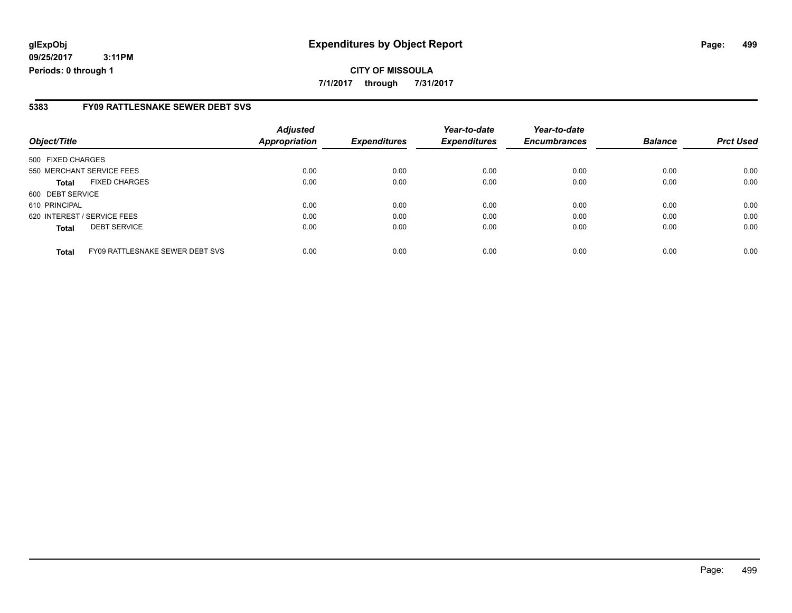#### **5383 FY09 RATTLESNAKE SEWER DEBT SVS**

| Object/Title                                    | <b>Adjusted</b><br><b>Appropriation</b> | <b>Expenditures</b> | Year-to-date<br><b>Expenditures</b> | Year-to-date<br><b>Encumbrances</b> | <b>Balance</b> | <b>Prct Used</b> |
|-------------------------------------------------|-----------------------------------------|---------------------|-------------------------------------|-------------------------------------|----------------|------------------|
|                                                 |                                         |                     |                                     |                                     |                |                  |
| 500 FIXED CHARGES                               |                                         |                     |                                     |                                     |                |                  |
| 550 MERCHANT SERVICE FEES                       | 0.00                                    | 0.00                | 0.00                                | 0.00                                | 0.00           | 0.00             |
| <b>FIXED CHARGES</b><br>Total                   | 0.00                                    | 0.00                | 0.00                                | 0.00                                | 0.00           | 0.00             |
| 600 DEBT SERVICE                                |                                         |                     |                                     |                                     |                |                  |
| 610 PRINCIPAL                                   | 0.00                                    | 0.00                | 0.00                                | 0.00                                | 0.00           | 0.00             |
| 620 INTEREST / SERVICE FEES                     | 0.00                                    | 0.00                | 0.00                                | 0.00                                | 0.00           | 0.00             |
| <b>DEBT SERVICE</b><br><b>Total</b>             | 0.00                                    | 0.00                | 0.00                                | 0.00                                | 0.00           | 0.00             |
|                                                 |                                         |                     |                                     |                                     |                |                  |
| FY09 RATTLESNAKE SEWER DEBT SVS<br><b>Total</b> | 0.00                                    | 0.00                | 0.00                                | 0.00                                | 0.00           | 0.00             |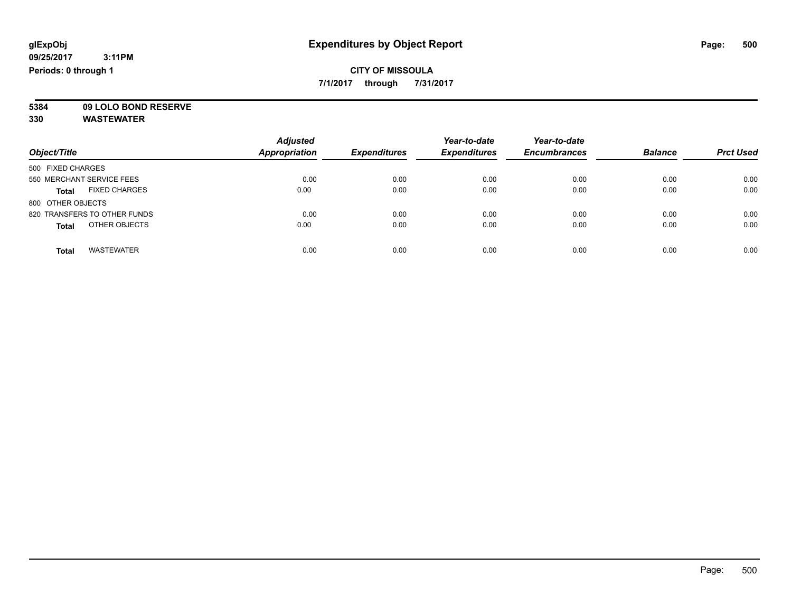**7/1/2017 through 7/31/2017**

**5384 09 LOLO BOND RESERVE**

| Object/Title                         | <b>Adjusted</b><br><b>Appropriation</b> | <b>Expenditures</b> | Year-to-date<br><b>Expenditures</b> | Year-to-date<br><b>Encumbrances</b> | <b>Balance</b> | <b>Prct Used</b> |
|--------------------------------------|-----------------------------------------|---------------------|-------------------------------------|-------------------------------------|----------------|------------------|
| 500 FIXED CHARGES                    |                                         |                     |                                     |                                     |                |                  |
| 550 MERCHANT SERVICE FEES            | 0.00                                    | 0.00                | 0.00                                | 0.00                                | 0.00           | 0.00             |
| <b>FIXED CHARGES</b><br><b>Total</b> | 0.00                                    | 0.00                | 0.00                                | 0.00                                | 0.00           | 0.00             |
| 800 OTHER OBJECTS                    |                                         |                     |                                     |                                     |                |                  |
| 820 TRANSFERS TO OTHER FUNDS         | 0.00                                    | 0.00                | 0.00                                | 0.00                                | 0.00           | 0.00             |
| OTHER OBJECTS<br><b>Total</b>        | 0.00                                    | 0.00                | 0.00                                | 0.00                                | 0.00           | 0.00             |
| <b>WASTEWATER</b><br><b>Total</b>    | 0.00                                    | 0.00                | 0.00                                | 0.00                                | 0.00           | 0.00             |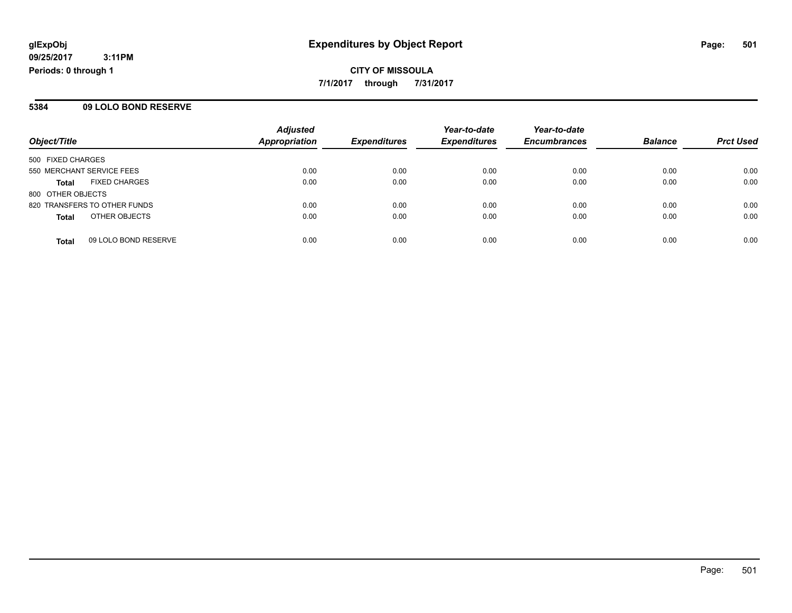**CITY OF MISSOULA 7/1/2017 through 7/31/2017**

#### **5384 09 LOLO BOND RESERVE**

|                                      | <b>Adjusted</b><br><b>Appropriation</b> |                     | Year-to-date<br><b>Expenditures</b> | Year-to-date        | <b>Balance</b> |                  |
|--------------------------------------|-----------------------------------------|---------------------|-------------------------------------|---------------------|----------------|------------------|
| Object/Title                         |                                         | <b>Expenditures</b> |                                     | <b>Encumbrances</b> |                | <b>Prct Used</b> |
| 500 FIXED CHARGES                    |                                         |                     |                                     |                     |                |                  |
| 550 MERCHANT SERVICE FEES            | 0.00                                    | 0.00                | 0.00                                | 0.00                | 0.00           | 0.00             |
| <b>FIXED CHARGES</b><br><b>Total</b> | 0.00                                    | 0.00                | 0.00                                | 0.00                | 0.00           | 0.00             |
| 800 OTHER OBJECTS                    |                                         |                     |                                     |                     |                |                  |
| 820 TRANSFERS TO OTHER FUNDS         | 0.00                                    | 0.00                | 0.00                                | 0.00                | 0.00           | 0.00             |
| OTHER OBJECTS<br><b>Total</b>        | 0.00                                    | 0.00                | 0.00                                | 0.00                | 0.00           | 0.00             |
| 09 LOLO BOND RESERVE<br><b>Total</b> | 0.00                                    | 0.00                | 0.00                                | 0.00                | 0.00           | 0.00             |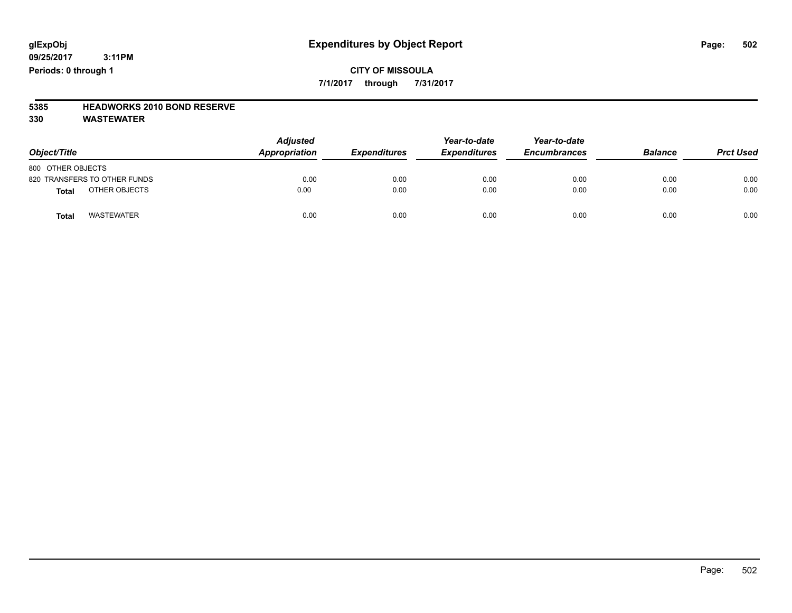### **CITY OF MISSOULA 7/1/2017 through 7/31/2017**

# **5385 HEADWORKS 2010 BOND RESERVE**

| Object/Title                      | <b>Adjusted</b><br><b>Appropriation</b> | <b>Expenditures</b> | Year-to-date<br><b>Expenditures</b> | Year-to-date<br><b>Encumbrances</b> | <b>Balance</b> | <b>Prct Used</b> |
|-----------------------------------|-----------------------------------------|---------------------|-------------------------------------|-------------------------------------|----------------|------------------|
| 800 OTHER OBJECTS                 |                                         |                     |                                     |                                     |                |                  |
| 820 TRANSFERS TO OTHER FUNDS      | 0.00                                    | 0.00                | 0.00                                | 0.00                                | 0.00           | 0.00             |
| OTHER OBJECTS<br><b>Total</b>     | 0.00                                    | 0.00                | 0.00                                | 0.00                                | 0.00           | 0.00             |
| <b>WASTEWATER</b><br><b>Total</b> | 0.00                                    | 0.00                | 0.00                                | 0.00                                | 0.00           | 0.00             |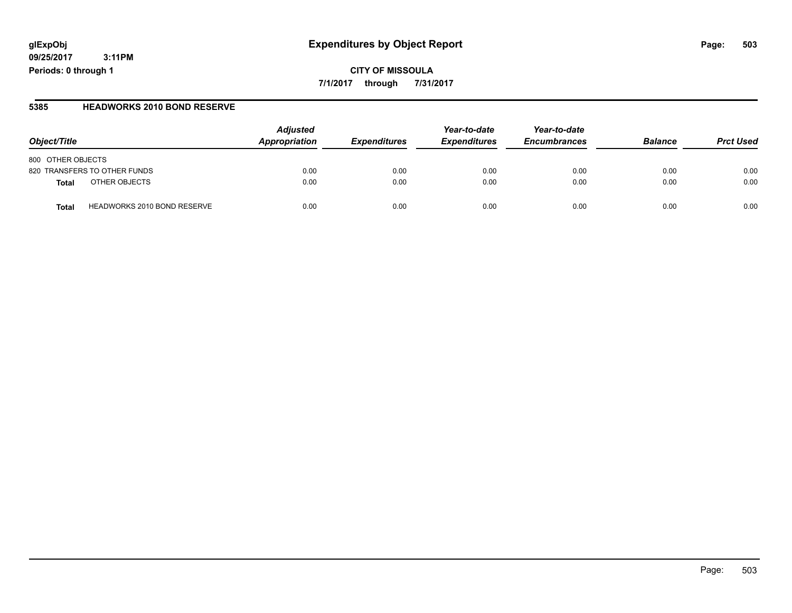## **glExpObj Expenditures by Object Report Page: 503**

**09/25/2017 3:11PM Periods: 0 through 1**

#### **5385 HEADWORKS 2010 BOND RESERVE**

| Object/Title                                | <b>Adjusted</b><br>Appropriation | <b>Expenditures</b> | Year-to-date<br><b>Expenditures</b> | Year-to-date<br><b>Encumbrances</b> | <b>Balance</b> | <b>Prct Used</b> |
|---------------------------------------------|----------------------------------|---------------------|-------------------------------------|-------------------------------------|----------------|------------------|
| 800 OTHER OBJECTS                           |                                  |                     |                                     |                                     |                |                  |
| 820 TRANSFERS TO OTHER FUNDS                | 0.00                             | 0.00                | 0.00                                | 0.00                                | 0.00           | 0.00             |
| OTHER OBJECTS<br>Total                      | 0.00                             | 0.00                | 0.00                                | 0.00                                | 0.00           | 0.00             |
| <b>HEADWORKS 2010 BOND RESERVE</b><br>Total | 0.00                             | 0.00                | 0.00                                | 0.00                                | 0.00           | 0.00             |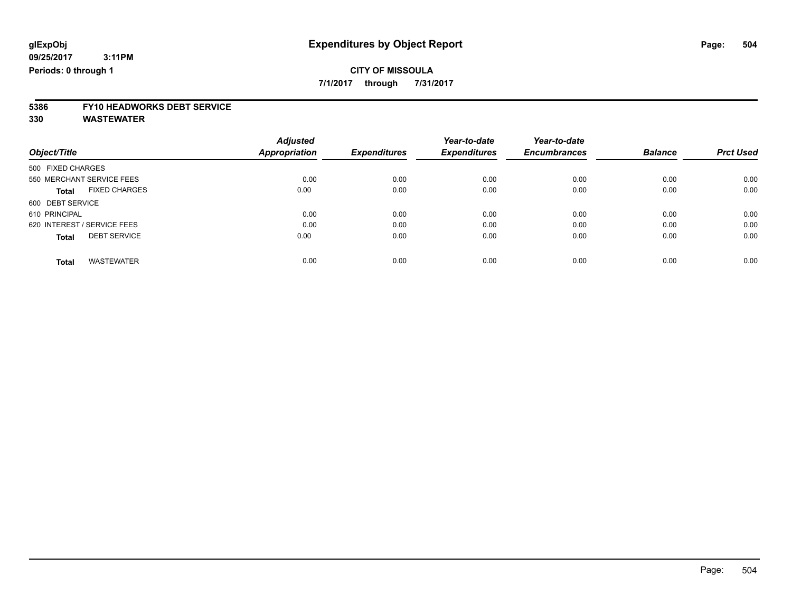**7/1/2017 through 7/31/2017**

# **5386 FY10 HEADWORKS DEBT SERVICE**

| Object/Title                         | <b>Adjusted</b><br>Appropriation | <b>Expenditures</b> | Year-to-date<br><b>Expenditures</b> | Year-to-date<br><b>Encumbrances</b> | <b>Balance</b> | <b>Prct Used</b> |
|--------------------------------------|----------------------------------|---------------------|-------------------------------------|-------------------------------------|----------------|------------------|
|                                      |                                  |                     |                                     |                                     |                |                  |
| 550 MERCHANT SERVICE FEES            | 0.00                             | 0.00                | 0.00                                | 0.00                                | 0.00           | 0.00             |
| <b>FIXED CHARGES</b><br><b>Total</b> | 0.00                             | 0.00                | 0.00                                | 0.00                                | 0.00           | 0.00             |
| 600 DEBT SERVICE                     |                                  |                     |                                     |                                     |                |                  |
| 610 PRINCIPAL                        | 0.00                             | 0.00                | 0.00                                | 0.00                                | 0.00           | 0.00             |
| 620 INTEREST / SERVICE FEES          | 0.00                             | 0.00                | 0.00                                | 0.00                                | 0.00           | 0.00             |
| <b>DEBT SERVICE</b><br><b>Total</b>  | 0.00                             | 0.00                | 0.00                                | 0.00                                | 0.00           | 0.00             |
| <b>WASTEWATER</b><br>Total           | 0.00                             | 0.00                | 0.00                                | 0.00                                | 0.00           | 0.00             |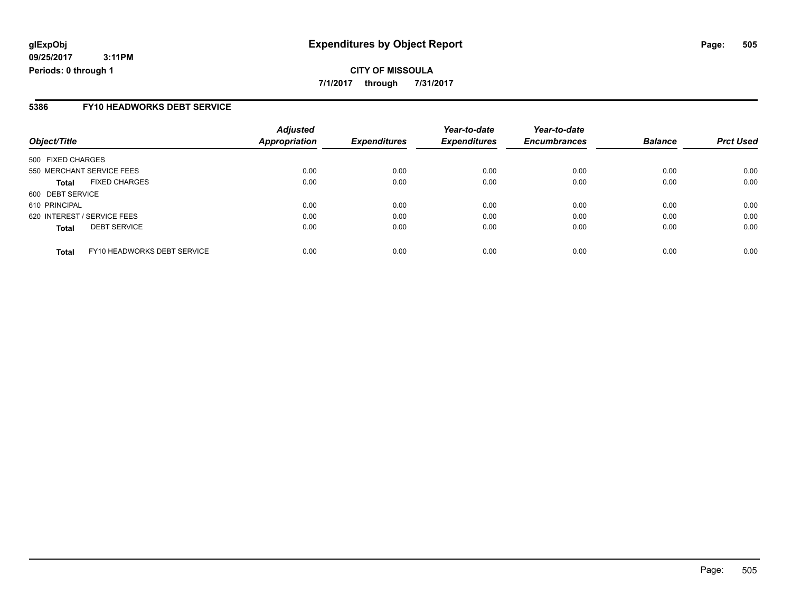### **5386 FY10 HEADWORKS DEBT SERVICE**

| Object/Title                                | <b>Adjusted</b><br><b>Appropriation</b> | <b>Expenditures</b> | Year-to-date<br><b>Expenditures</b> | Year-to-date<br><b>Encumbrances</b> | <b>Balance</b> | <b>Prct Used</b> |
|---------------------------------------------|-----------------------------------------|---------------------|-------------------------------------|-------------------------------------|----------------|------------------|
| 500 FIXED CHARGES                           |                                         |                     |                                     |                                     |                |                  |
| 550 MERCHANT SERVICE FEES                   | 0.00                                    | 0.00                | 0.00                                | 0.00                                | 0.00           | 0.00             |
| <b>FIXED CHARGES</b><br><b>Total</b>        | 0.00                                    | 0.00                | 0.00                                | 0.00                                | 0.00           | 0.00             |
| 600 DEBT SERVICE                            |                                         |                     |                                     |                                     |                |                  |
| 610 PRINCIPAL                               | 0.00                                    | 0.00                | 0.00                                | 0.00                                | 0.00           | 0.00             |
| 620 INTEREST / SERVICE FEES                 | 0.00                                    | 0.00                | 0.00                                | 0.00                                | 0.00           | 0.00             |
| <b>DEBT SERVICE</b><br><b>Total</b>         | 0.00                                    | 0.00                | 0.00                                | 0.00                                | 0.00           | 0.00             |
| FY10 HEADWORKS DEBT SERVICE<br><b>Total</b> | 0.00                                    | 0.00                | 0.00                                | 0.00                                | 0.00           | 0.00             |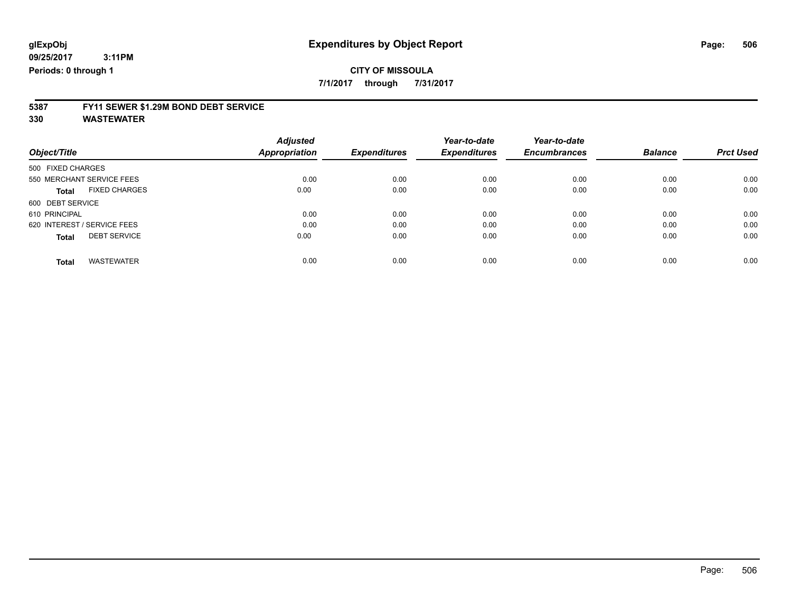**7/1/2017 through 7/31/2017**

# **5387 FY11 SEWER \$1.29M BOND DEBT SERVICE**

**330 WASTEWATER**

|                                      | <b>Adjusted</b>      |                     | Year-to-date        | Year-to-date        |                |                  |
|--------------------------------------|----------------------|---------------------|---------------------|---------------------|----------------|------------------|
| Object/Title                         | <b>Appropriation</b> | <b>Expenditures</b> | <b>Expenditures</b> | <b>Encumbrances</b> | <b>Balance</b> | <b>Prct Used</b> |
| 500 FIXED CHARGES                    |                      |                     |                     |                     |                |                  |
| 550 MERCHANT SERVICE FEES            | 0.00                 | 0.00                | 0.00                | 0.00                | 0.00           | 0.00             |
| <b>FIXED CHARGES</b><br><b>Total</b> | 0.00                 | 0.00                | 0.00                | 0.00                | 0.00           | 0.00             |
| 600 DEBT SERVICE                     |                      |                     |                     |                     |                |                  |
| 610 PRINCIPAL                        | 0.00                 | 0.00                | 0.00                | 0.00                | 0.00           | 0.00             |
| 620 INTEREST / SERVICE FEES          | 0.00                 | 0.00                | 0.00                | 0.00                | 0.00           | 0.00             |
| <b>DEBT SERVICE</b><br>Total         | 0.00                 | 0.00                | 0.00                | 0.00                | 0.00           | 0.00             |
| <b>WASTEWATER</b><br><b>Total</b>    | 0.00                 | 0.00                | 0.00                | 0.00                | 0.00           | 0.00             |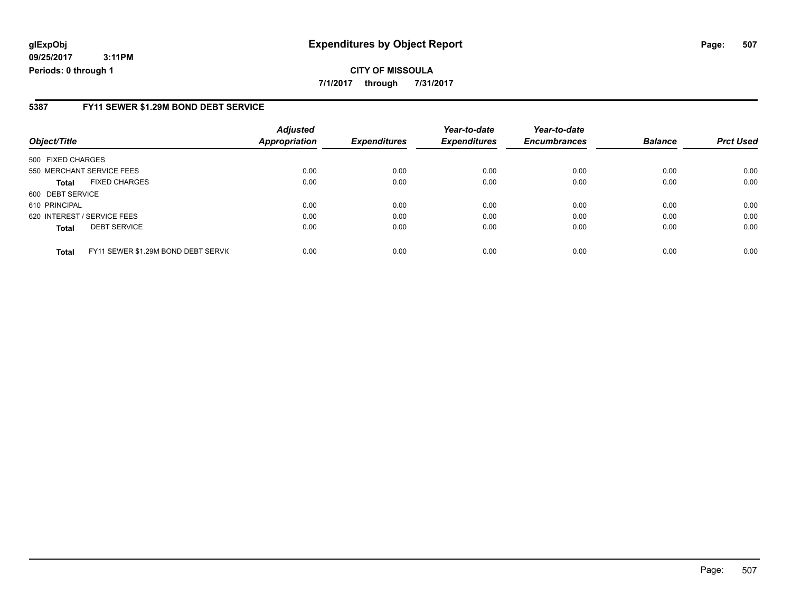### **glExpObj Expenditures by Object Report Page: 507**

**09/25/2017 3:11PM Periods: 0 through 1**

#### **5387 FY11 SEWER \$1.29M BOND DEBT SERVICE**

| Object/Title      |                                     | <b>Adjusted</b><br><b>Appropriation</b> | <b>Expenditures</b> | Year-to-date<br><b>Expenditures</b> | Year-to-date<br><b>Encumbrances</b> | <b>Balance</b> | <b>Prct Used</b> |
|-------------------|-------------------------------------|-----------------------------------------|---------------------|-------------------------------------|-------------------------------------|----------------|------------------|
|                   |                                     |                                         |                     |                                     |                                     |                |                  |
| 500 FIXED CHARGES |                                     |                                         |                     |                                     |                                     |                |                  |
|                   | 550 MERCHANT SERVICE FEES           | 0.00                                    | 0.00                | 0.00                                | 0.00                                | 0.00           | 0.00             |
| Total             | <b>FIXED CHARGES</b>                | 0.00                                    | 0.00                | 0.00                                | 0.00                                | 0.00           | 0.00             |
| 600 DEBT SERVICE  |                                     |                                         |                     |                                     |                                     |                |                  |
| 610 PRINCIPAL     |                                     | 0.00                                    | 0.00                | 0.00                                | 0.00                                | 0.00           | 0.00             |
|                   | 620 INTEREST / SERVICE FEES         | 0.00                                    | 0.00                | 0.00                                | 0.00                                | 0.00           | 0.00             |
| <b>Total</b>      | <b>DEBT SERVICE</b>                 | 0.00                                    | 0.00                | 0.00                                | 0.00                                | 0.00           | 0.00             |
| <b>Total</b>      | FY11 SEWER \$1.29M BOND DEBT SERVIC | 0.00                                    | 0.00                | 0.00                                | 0.00                                | 0.00           | 0.00             |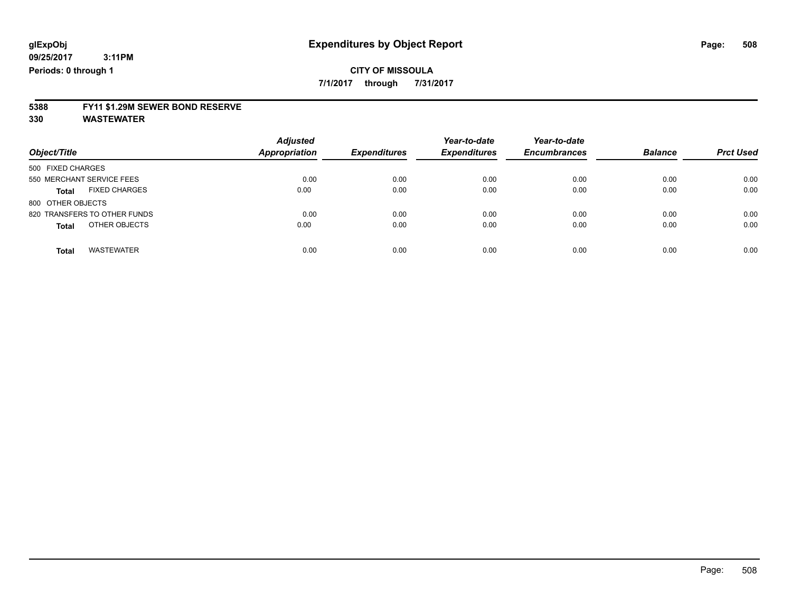**7/1/2017 through 7/31/2017**

# **5388 FY11 \$1.29M SEWER BOND RESERVE**

**330 WASTEWATER**

| Object/Title                         | <b>Adjusted</b><br><b>Appropriation</b> | <b>Expenditures</b> | Year-to-date<br><b>Expenditures</b> | Year-to-date<br><b>Encumbrances</b> | <b>Balance</b> | <b>Prct Used</b> |
|--------------------------------------|-----------------------------------------|---------------------|-------------------------------------|-------------------------------------|----------------|------------------|
| 500 FIXED CHARGES                    |                                         |                     |                                     |                                     |                |                  |
| 550 MERCHANT SERVICE FEES            | 0.00                                    | 0.00                | 0.00                                | 0.00                                | 0.00           | 0.00             |
| <b>FIXED CHARGES</b><br><b>Total</b> | 0.00                                    | 0.00                | 0.00                                | 0.00                                | 0.00           | 0.00             |
| 800 OTHER OBJECTS                    |                                         |                     |                                     |                                     |                |                  |
| 820 TRANSFERS TO OTHER FUNDS         | 0.00                                    | 0.00                | 0.00                                | 0.00                                | 0.00           | 0.00             |
| OTHER OBJECTS<br><b>Total</b>        | 0.00                                    | 0.00                | 0.00                                | 0.00                                | 0.00           | 0.00             |
| <b>WASTEWATER</b><br><b>Total</b>    | 0.00                                    | 0.00                | 0.00                                | 0.00                                | 0.00           | 0.00             |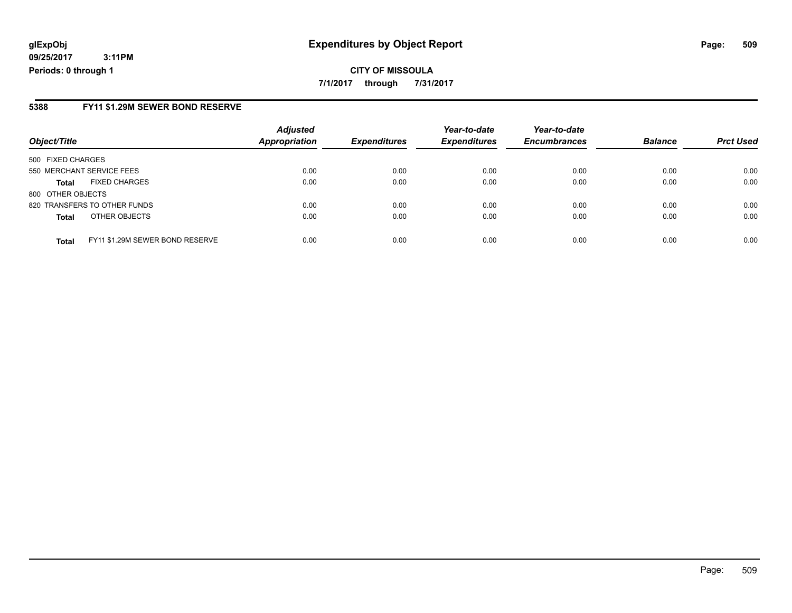### **5388 FY11 \$1.29M SEWER BOND RESERVE**

|                           |                                 | <b>Adjusted</b><br><b>Appropriation</b> | <b>Expenditures</b> | Year-to-date        | Year-to-date   |                  |      |
|---------------------------|---------------------------------|-----------------------------------------|---------------------|---------------------|----------------|------------------|------|
| Object/Title              | <b>Expenditures</b>             |                                         |                     | <b>Encumbrances</b> | <b>Balance</b> | <b>Prct Used</b> |      |
| 500 FIXED CHARGES         |                                 |                                         |                     |                     |                |                  |      |
| 550 MERCHANT SERVICE FEES |                                 | 0.00                                    | 0.00                | 0.00                | 0.00           | 0.00             | 0.00 |
| <b>Total</b>              | <b>FIXED CHARGES</b>            | 0.00                                    | 0.00                | 0.00                | 0.00           | 0.00             | 0.00 |
| 800 OTHER OBJECTS         |                                 |                                         |                     |                     |                |                  |      |
|                           | 820 TRANSFERS TO OTHER FUNDS    | 0.00                                    | 0.00                | 0.00                | 0.00           | 0.00             | 0.00 |
| <b>Total</b>              | OTHER OBJECTS                   | 0.00                                    | 0.00                | 0.00                | 0.00           | 0.00             | 0.00 |
| Total                     | FY11 \$1.29M SEWER BOND RESERVE | 0.00                                    | 0.00                | 0.00                | 0.00           | 0.00             | 0.00 |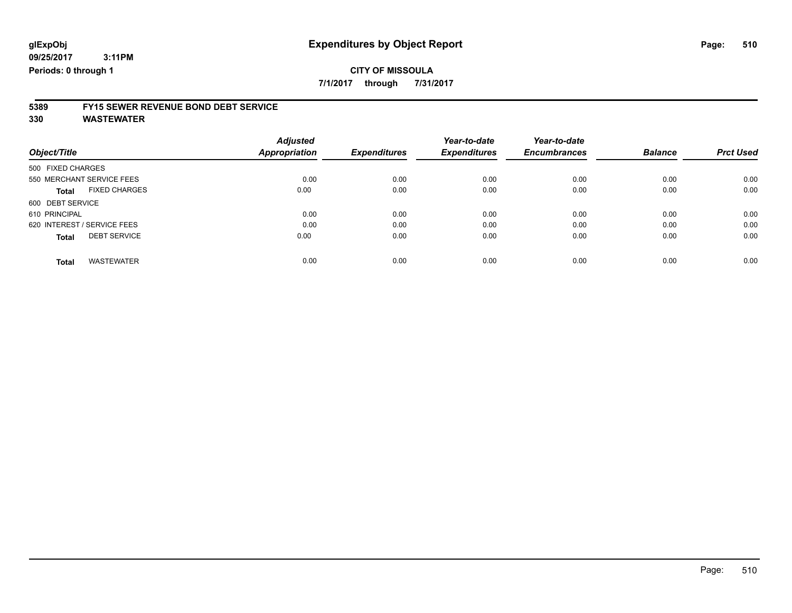**7/1/2017 through 7/31/2017**

# **5389 FY15 SEWER REVENUE BOND DEBT SERVICE**

**330 WASTEWATER**

|                                      | <b>Adjusted</b>      |                     | Year-to-date        | Year-to-date        | <b>Balance</b> | <b>Prct Used</b> |
|--------------------------------------|----------------------|---------------------|---------------------|---------------------|----------------|------------------|
| Object/Title                         | <b>Appropriation</b> | <b>Expenditures</b> | <b>Expenditures</b> | <b>Encumbrances</b> |                |                  |
| 500 FIXED CHARGES                    |                      |                     |                     |                     |                |                  |
| 550 MERCHANT SERVICE FEES            | 0.00                 | 0.00                | 0.00                | 0.00                | 0.00           | 0.00             |
| <b>FIXED CHARGES</b><br><b>Total</b> | 0.00                 | 0.00                | 0.00                | 0.00                | 0.00           | 0.00             |
| 600 DEBT SERVICE                     |                      |                     |                     |                     |                |                  |
| 610 PRINCIPAL                        | 0.00                 | 0.00                | 0.00                | 0.00                | 0.00           | 0.00             |
| 620 INTEREST / SERVICE FEES          | 0.00                 | 0.00                | 0.00                | 0.00                | 0.00           | 0.00             |
| <b>DEBT SERVICE</b><br><b>Total</b>  | 0.00                 | 0.00                | 0.00                | 0.00                | 0.00           | 0.00             |
| <b>WASTEWATER</b><br><b>Total</b>    | 0.00                 | 0.00                | 0.00                | 0.00                | 0.00           | 0.00             |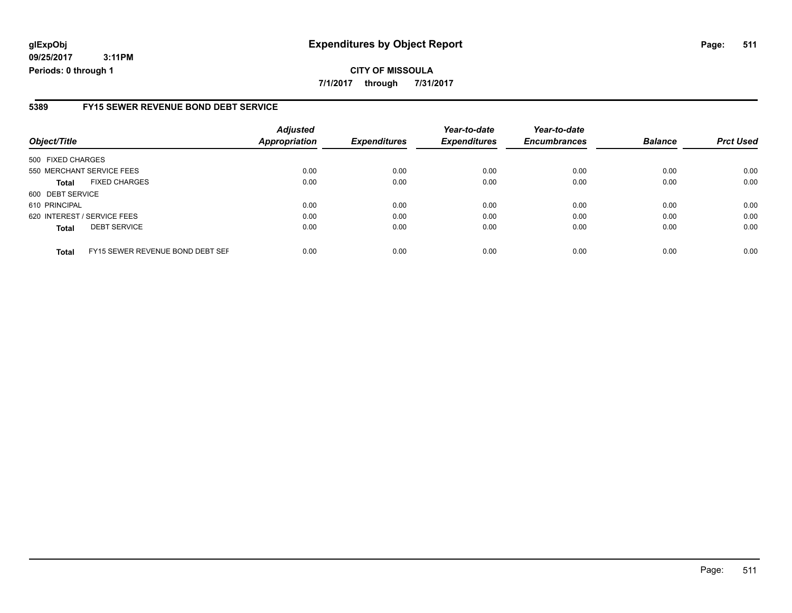### **glExpObj Expenditures by Object Report Page: 511**

**09/25/2017 3:11PM Periods: 0 through 1**

#### **5389 FY15 SEWER REVENUE BOND DEBT SERVICE**

| Object/Title                                     | <b>Adjusted</b><br>Appropriation | <b>Expenditures</b> | Year-to-date<br><b>Expenditures</b> | Year-to-date<br><b>Encumbrances</b> | <b>Balance</b> | <b>Prct Used</b> |
|--------------------------------------------------|----------------------------------|---------------------|-------------------------------------|-------------------------------------|----------------|------------------|
|                                                  |                                  |                     |                                     |                                     |                |                  |
| 500 FIXED CHARGES                                |                                  |                     |                                     |                                     |                |                  |
| 550 MERCHANT SERVICE FEES                        | 0.00                             | 0.00                | 0.00                                | 0.00                                | 0.00           | 0.00             |
| <b>FIXED CHARGES</b><br>Total                    | 0.00                             | 0.00                | 0.00                                | 0.00                                | 0.00           | 0.00             |
| 600 DEBT SERVICE                                 |                                  |                     |                                     |                                     |                |                  |
| 610 PRINCIPAL                                    | 0.00                             | 0.00                | 0.00                                | 0.00                                | 0.00           | 0.00             |
| 620 INTEREST / SERVICE FEES                      | 0.00                             | 0.00                | 0.00                                | 0.00                                | 0.00           | 0.00             |
| <b>DEBT SERVICE</b><br><b>Total</b>              | 0.00                             | 0.00                | 0.00                                | 0.00                                | 0.00           | 0.00             |
| FY15 SEWER REVENUE BOND DEBT SEF<br><b>Total</b> | 0.00                             | 0.00                | 0.00                                | 0.00                                | 0.00           | 0.00             |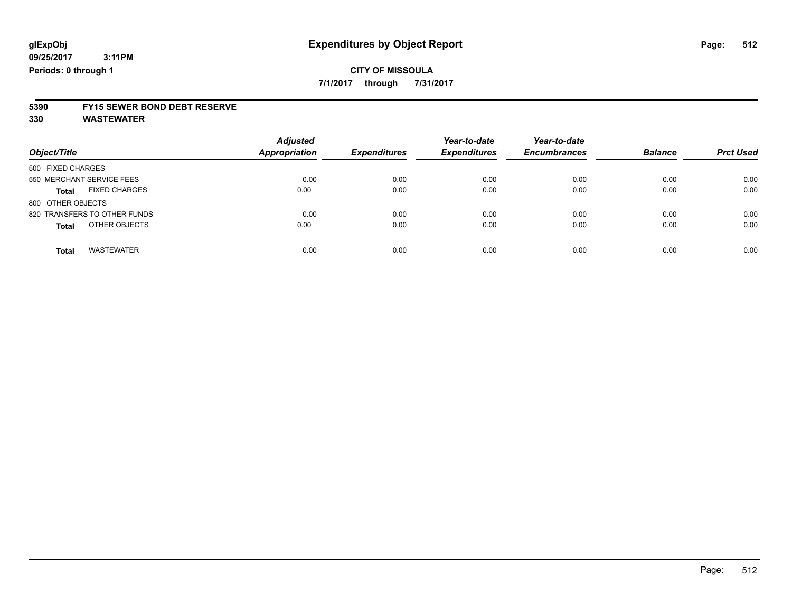**7/1/2017 through 7/31/2017**

# **5390 FY15 SEWER BOND DEBT RESERVE**

**330 WASTEWATER**

| Object/Title                         | <b>Adjusted</b><br>Appropriation | <b>Expenditures</b> | Year-to-date<br><b>Expenditures</b> | Year-to-date<br><b>Encumbrances</b> | <b>Balance</b> | <b>Prct Used</b> |
|--------------------------------------|----------------------------------|---------------------|-------------------------------------|-------------------------------------|----------------|------------------|
| 500 FIXED CHARGES                    |                                  |                     |                                     |                                     |                |                  |
| 550 MERCHANT SERVICE FEES            | 0.00                             | 0.00                | 0.00                                | 0.00                                | 0.00           | 0.00             |
| <b>FIXED CHARGES</b><br><b>Total</b> | 0.00                             | 0.00                | 0.00                                | 0.00                                | 0.00           | 0.00             |
| 800 OTHER OBJECTS                    |                                  |                     |                                     |                                     |                |                  |
| 820 TRANSFERS TO OTHER FUNDS         | 0.00                             | 0.00                | 0.00                                | 0.00                                | 0.00           | 0.00             |
| OTHER OBJECTS<br><b>Total</b>        | 0.00                             | 0.00                | 0.00                                | 0.00                                | 0.00           | 0.00             |
| <b>WASTEWATER</b><br><b>Total</b>    | 0.00                             | 0.00                | 0.00                                | 0.00                                | 0.00           | 0.00             |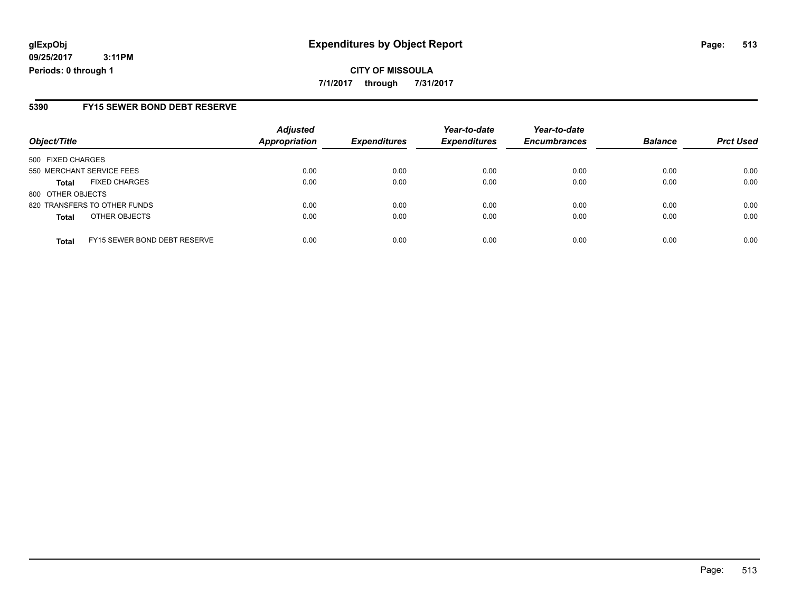### **5390 FY15 SEWER BOND DEBT RESERVE**

| Object/Title              |                              | <b>Adjusted</b>      |                     | Year-to-date<br><b>Expenditures</b> | Year-to-date        |                |                  |
|---------------------------|------------------------------|----------------------|---------------------|-------------------------------------|---------------------|----------------|------------------|
|                           |                              | <b>Appropriation</b> | <b>Expenditures</b> |                                     | <b>Encumbrances</b> | <b>Balance</b> | <b>Prct Used</b> |
| 500 FIXED CHARGES         |                              |                      |                     |                                     |                     |                |                  |
| 550 MERCHANT SERVICE FEES |                              | 0.00                 | 0.00                | 0.00                                | 0.00                | 0.00           | 0.00             |
| <b>Total</b>              | <b>FIXED CHARGES</b>         | 0.00                 | 0.00                | 0.00                                | 0.00                | 0.00           | 0.00             |
| 800 OTHER OBJECTS         |                              |                      |                     |                                     |                     |                |                  |
|                           | 820 TRANSFERS TO OTHER FUNDS | 0.00                 | 0.00                | 0.00                                | 0.00                | 0.00           | 0.00             |
| <b>Total</b>              | OTHER OBJECTS                | 0.00                 | 0.00                | 0.00                                | 0.00                | 0.00           | 0.00             |
| <b>Total</b>              | FY15 SEWER BOND DEBT RESERVE | 0.00                 | 0.00                | 0.00                                | 0.00                | 0.00           | 0.00             |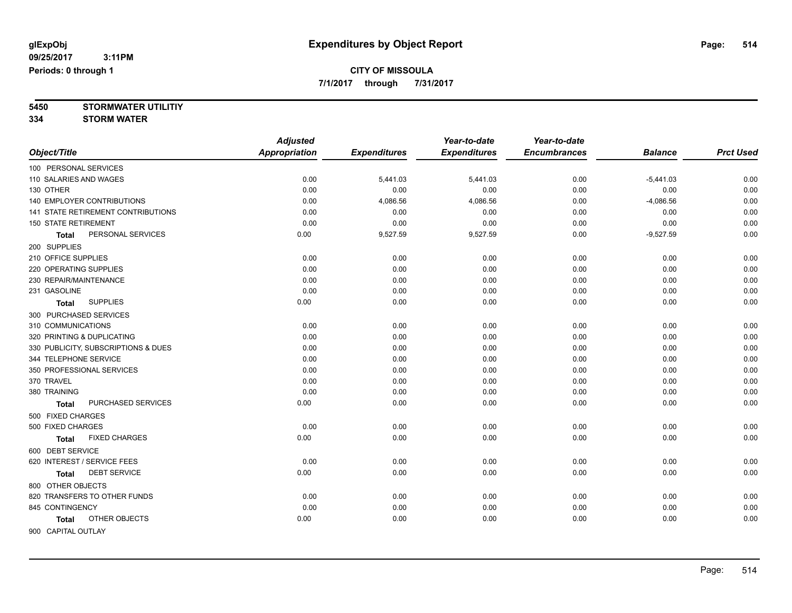**7/1/2017 through 7/31/2017**

**5450 STORMWATER UTILITIY**

**334 STORM WATER**

|                                      | <b>Adjusted</b>      |                     | Year-to-date        | Year-to-date        |                |                  |
|--------------------------------------|----------------------|---------------------|---------------------|---------------------|----------------|------------------|
| Object/Title                         | <b>Appropriation</b> | <b>Expenditures</b> | <b>Expenditures</b> | <b>Encumbrances</b> | <b>Balance</b> | <b>Prct Used</b> |
| 100 PERSONAL SERVICES                |                      |                     |                     |                     |                |                  |
| 110 SALARIES AND WAGES               | 0.00                 | 5,441.03            | 5,441.03            | 0.00                | $-5,441.03$    | 0.00             |
| 130 OTHER                            | 0.00                 | 0.00                | 0.00                | 0.00                | 0.00           | 0.00             |
| <b>140 EMPLOYER CONTRIBUTIONS</b>    | 0.00                 | 4,086.56            | 4,086.56            | 0.00                | $-4,086.56$    | 0.00             |
| 141 STATE RETIREMENT CONTRIBUTIONS   | 0.00                 | 0.00                | 0.00                | 0.00                | 0.00           | 0.00             |
| <b>150 STATE RETIREMENT</b>          | 0.00                 | 0.00                | 0.00                | 0.00                | 0.00           | 0.00             |
| PERSONAL SERVICES<br>Total           | 0.00                 | 9,527.59            | 9,527.59            | 0.00                | $-9,527.59$    | 0.00             |
| 200 SUPPLIES                         |                      |                     |                     |                     |                |                  |
| 210 OFFICE SUPPLIES                  | 0.00                 | 0.00                | 0.00                | 0.00                | 0.00           | 0.00             |
| 220 OPERATING SUPPLIES               | 0.00                 | 0.00                | 0.00                | 0.00                | 0.00           | 0.00             |
| 230 REPAIR/MAINTENANCE               | 0.00                 | 0.00                | 0.00                | 0.00                | 0.00           | 0.00             |
| 231 GASOLINE                         | 0.00                 | 0.00                | 0.00                | 0.00                | 0.00           | 0.00             |
| <b>SUPPLIES</b><br><b>Total</b>      | 0.00                 | 0.00                | 0.00                | 0.00                | 0.00           | 0.00             |
| 300 PURCHASED SERVICES               |                      |                     |                     |                     |                |                  |
| 310 COMMUNICATIONS                   | 0.00                 | 0.00                | 0.00                | 0.00                | 0.00           | 0.00             |
| 320 PRINTING & DUPLICATING           | 0.00                 | 0.00                | 0.00                | 0.00                | 0.00           | 0.00             |
| 330 PUBLICITY, SUBSCRIPTIONS & DUES  | 0.00                 | 0.00                | 0.00                | 0.00                | 0.00           | 0.00             |
| 344 TELEPHONE SERVICE                | 0.00                 | 0.00                | 0.00                | 0.00                | 0.00           | 0.00             |
| 350 PROFESSIONAL SERVICES            | 0.00                 | 0.00                | 0.00                | 0.00                | 0.00           | 0.00             |
| 370 TRAVEL                           | 0.00                 | 0.00                | 0.00                | 0.00                | 0.00           | 0.00             |
| 380 TRAINING                         | 0.00                 | 0.00                | 0.00                | 0.00                | 0.00           | 0.00             |
| PURCHASED SERVICES<br>Total          | 0.00                 | 0.00                | 0.00                | 0.00                | 0.00           | 0.00             |
| 500 FIXED CHARGES                    |                      |                     |                     |                     |                |                  |
| 500 FIXED CHARGES                    | 0.00                 | 0.00                | 0.00                | 0.00                | 0.00           | 0.00             |
| <b>FIXED CHARGES</b><br><b>Total</b> | 0.00                 | 0.00                | 0.00                | 0.00                | 0.00           | 0.00             |
| 600 DEBT SERVICE                     |                      |                     |                     |                     |                |                  |
| 620 INTEREST / SERVICE FEES          | 0.00                 | 0.00                | 0.00                | 0.00                | 0.00           | 0.00             |
| <b>DEBT SERVICE</b><br>Total         | 0.00                 | 0.00                | 0.00                | 0.00                | 0.00           | 0.00             |
| 800 OTHER OBJECTS                    |                      |                     |                     |                     |                |                  |
| 820 TRANSFERS TO OTHER FUNDS         | 0.00                 | 0.00                | 0.00                | 0.00                | 0.00           | 0.00             |
| 845 CONTINGENCY                      | 0.00                 | 0.00                | 0.00                | 0.00                | 0.00           | 0.00             |
| OTHER OBJECTS<br>Total               | 0.00                 | 0.00                | 0.00                | 0.00                | 0.00           | 0.00             |
| 900 CAPITAL OUTLAY                   |                      |                     |                     |                     |                |                  |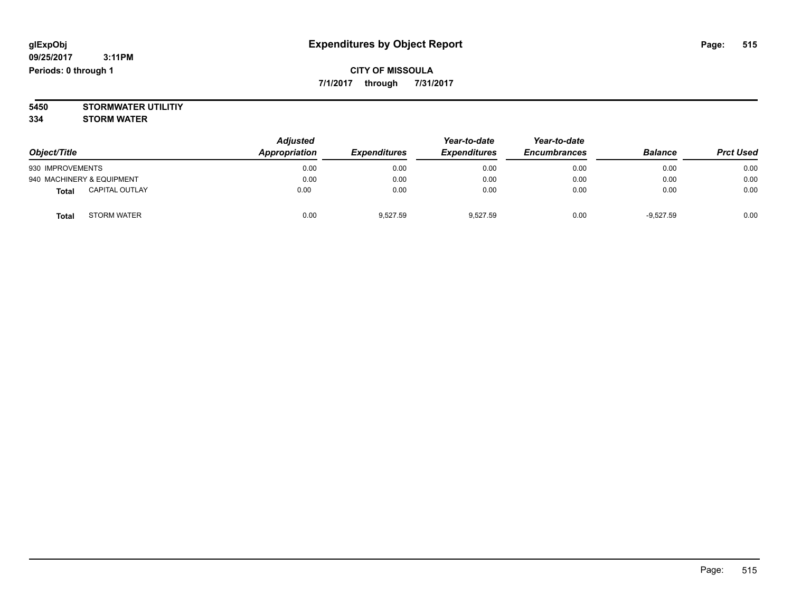**7/1/2017 through 7/31/2017**

**5450 STORMWATER UTILITIY 334 STORM WATER**

| Object/Title                          | <b>Adjusted</b><br>Appropriation | <b>Expenditures</b> | Year-to-date<br><b>Expenditures</b> | Year-to-date<br><b>Encumbrances</b> | <b>Balance</b> | <b>Prct Used</b> |
|---------------------------------------|----------------------------------|---------------------|-------------------------------------|-------------------------------------|----------------|------------------|
| 930 IMPROVEMENTS                      | 0.00                             | 0.00                | 0.00                                | 0.00                                | 0.00           | 0.00             |
| 940 MACHINERY & EQUIPMENT             | 0.00                             | 0.00                | 0.00                                | 0.00                                | 0.00           | 0.00             |
| <b>CAPITAL OUTLAY</b><br><b>Total</b> | 0.00                             | 0.00                | 0.00                                | 0.00                                | 0.00           | 0.00             |
| <b>STORM WATER</b><br>Total           | 0.00                             | 9,527.59            | 9,527.59                            | 0.00                                | $-9,527.59$    | 0.00             |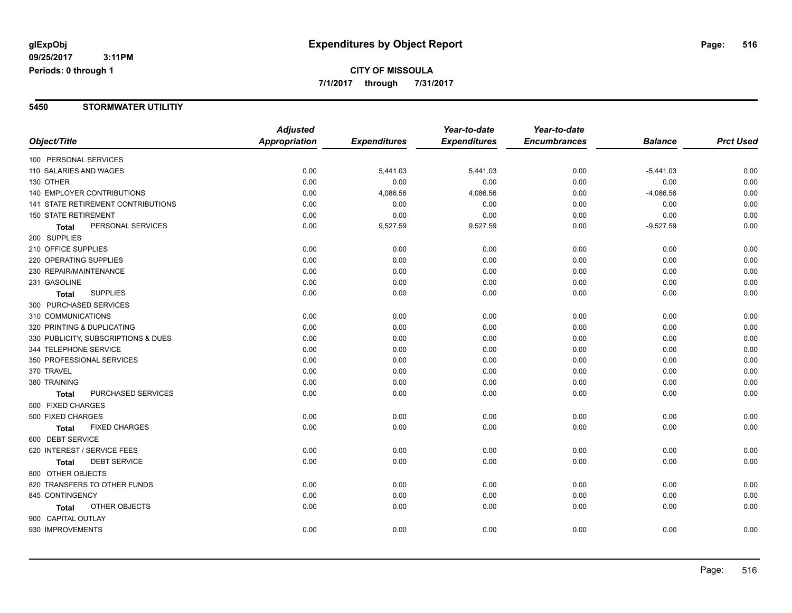#### **5450 STORMWATER UTILITIY**

|                                      | <b>Adjusted</b>      |                     | Year-to-date        | Year-to-date        |                |                  |
|--------------------------------------|----------------------|---------------------|---------------------|---------------------|----------------|------------------|
| Object/Title                         | <b>Appropriation</b> | <b>Expenditures</b> | <b>Expenditures</b> | <b>Encumbrances</b> | <b>Balance</b> | <b>Prct Used</b> |
| 100 PERSONAL SERVICES                |                      |                     |                     |                     |                |                  |
| 110 SALARIES AND WAGES               | 0.00                 | 5,441.03            | 5,441.03            | 0.00                | $-5,441.03$    | 0.00             |
| 130 OTHER                            | 0.00                 | 0.00                | 0.00                | 0.00                | 0.00           | 0.00             |
| <b>140 EMPLOYER CONTRIBUTIONS</b>    | 0.00                 | 4,086.56            | 4,086.56            | 0.00                | $-4,086.56$    | 0.00             |
| 141 STATE RETIREMENT CONTRIBUTIONS   | 0.00                 | 0.00                | 0.00                | 0.00                | 0.00           | 0.00             |
| <b>150 STATE RETIREMENT</b>          | 0.00                 | 0.00                | 0.00                | 0.00                | 0.00           | 0.00             |
| PERSONAL SERVICES<br>Total           | 0.00                 | 9,527.59            | 9,527.59            | 0.00                | $-9,527.59$    | 0.00             |
| 200 SUPPLIES                         |                      |                     |                     |                     |                |                  |
| 210 OFFICE SUPPLIES                  | 0.00                 | 0.00                | 0.00                | 0.00                | 0.00           | 0.00             |
| 220 OPERATING SUPPLIES               | 0.00                 | 0.00                | 0.00                | 0.00                | 0.00           | 0.00             |
| 230 REPAIR/MAINTENANCE               | 0.00                 | 0.00                | 0.00                | 0.00                | 0.00           | 0.00             |
| 231 GASOLINE                         | 0.00                 | 0.00                | 0.00                | 0.00                | 0.00           | 0.00             |
| <b>SUPPLIES</b><br><b>Total</b>      | 0.00                 | 0.00                | 0.00                | 0.00                | 0.00           | 0.00             |
| 300 PURCHASED SERVICES               |                      |                     |                     |                     |                |                  |
| 310 COMMUNICATIONS                   | 0.00                 | 0.00                | 0.00                | 0.00                | 0.00           | 0.00             |
| 320 PRINTING & DUPLICATING           | 0.00                 | 0.00                | 0.00                | 0.00                | 0.00           | 0.00             |
| 330 PUBLICITY, SUBSCRIPTIONS & DUES  | 0.00                 | 0.00                | 0.00                | 0.00                | 0.00           | 0.00             |
| 344 TELEPHONE SERVICE                | 0.00                 | 0.00                | 0.00                | 0.00                | 0.00           | 0.00             |
| 350 PROFESSIONAL SERVICES            | 0.00                 | 0.00                | 0.00                | 0.00                | 0.00           | 0.00             |
| 370 TRAVEL                           | 0.00                 | 0.00                | 0.00                | 0.00                | 0.00           | 0.00             |
| 380 TRAINING                         | 0.00                 | 0.00                | 0.00                | 0.00                | 0.00           | 0.00             |
| PURCHASED SERVICES<br><b>Total</b>   | 0.00                 | 0.00                | 0.00                | 0.00                | 0.00           | 0.00             |
| 500 FIXED CHARGES                    |                      |                     |                     |                     |                |                  |
| 500 FIXED CHARGES                    | 0.00                 | 0.00                | 0.00                | 0.00                | 0.00           | 0.00             |
| <b>FIXED CHARGES</b><br><b>Total</b> | 0.00                 | 0.00                | 0.00                | 0.00                | 0.00           | 0.00             |
| 600 DEBT SERVICE                     |                      |                     |                     |                     |                |                  |
| 620 INTEREST / SERVICE FEES          | 0.00                 | 0.00                | 0.00                | 0.00                | 0.00           | 0.00             |
| <b>DEBT SERVICE</b><br><b>Total</b>  | 0.00                 | 0.00                | 0.00                | 0.00                | 0.00           | 0.00             |
| 800 OTHER OBJECTS                    |                      |                     |                     |                     |                |                  |
| 820 TRANSFERS TO OTHER FUNDS         | 0.00                 | 0.00                | 0.00                | 0.00                | 0.00           | 0.00             |
| 845 CONTINGENCY                      | 0.00                 | 0.00                | 0.00                | 0.00                | 0.00           | 0.00             |
| OTHER OBJECTS<br><b>Total</b>        | 0.00                 | 0.00                | 0.00                | 0.00                | 0.00           | 0.00             |
| 900 CAPITAL OUTLAY                   |                      |                     |                     |                     |                |                  |
| 930 IMPROVEMENTS                     | 0.00                 | 0.00                | 0.00                | 0.00                | 0.00           | 0.00             |
|                                      |                      |                     |                     |                     |                |                  |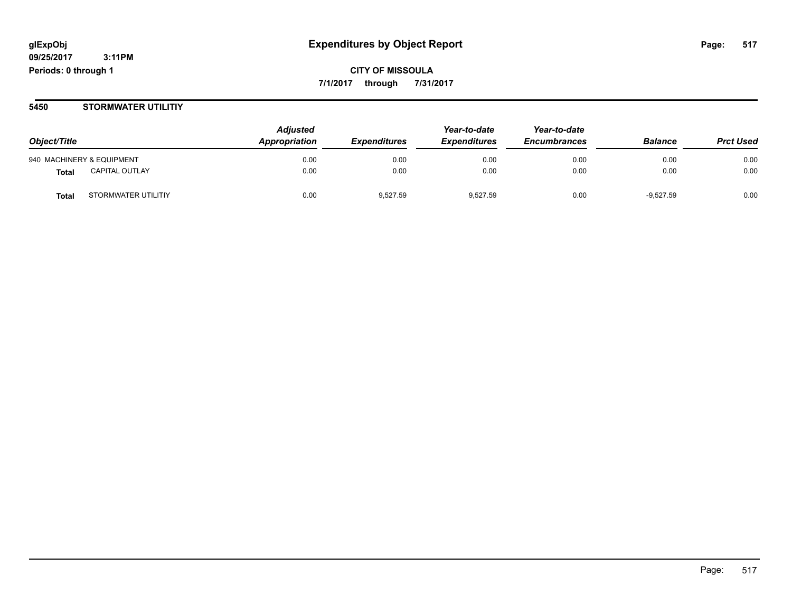**CITY OF MISSOULA 7/1/2017 through 7/31/2017**

#### **5450 STORMWATER UTILITIY**

|              |                           | <b>Adjusted</b>      |                            | Year-to-date        | Year-to-date        |                |                  |
|--------------|---------------------------|----------------------|----------------------------|---------------------|---------------------|----------------|------------------|
| Object/Title |                           | <b>Appropriation</b> | <i><b>Expenditures</b></i> | <b>Expenditures</b> | <b>Encumbrances</b> | <b>Balance</b> | <b>Prct Used</b> |
|              | 940 MACHINERY & EQUIPMENT | 0.00                 | 0.00                       | 0.00                | 0.00                | 0.00           | 0.00             |
| Total        | <b>CAPITAL OUTLAY</b>     | 0.00                 | 0.00                       | 0.00                | 0.00                | 0.00           | 0.00             |
| <b>Total</b> | STORMWATER UTILITIY       | 0.00                 | 9.527.59                   | 9.527.59            | 0.00                | $-9,527.59$    | 0.00             |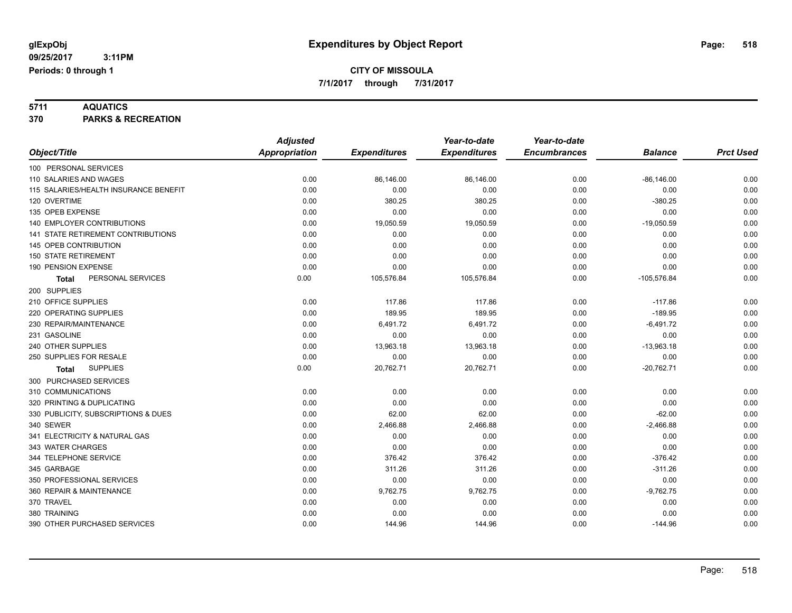**7/1/2017 through 7/31/2017**

**5711 AQUATICS 370 PARKS & RECREATION**

|                                       | <b>Adjusted</b>      |                     | Year-to-date        | Year-to-date        |                |                  |
|---------------------------------------|----------------------|---------------------|---------------------|---------------------|----------------|------------------|
| Object/Title                          | <b>Appropriation</b> | <b>Expenditures</b> | <b>Expenditures</b> | <b>Encumbrances</b> | <b>Balance</b> | <b>Prct Used</b> |
| 100 PERSONAL SERVICES                 |                      |                     |                     |                     |                |                  |
| 110 SALARIES AND WAGES                | 0.00                 | 86,146.00           | 86,146.00           | 0.00                | $-86,146.00$   | 0.00             |
| 115 SALARIES/HEALTH INSURANCE BENEFIT | 0.00                 | 0.00                | 0.00                | 0.00                | 0.00           | 0.00             |
| 120 OVERTIME                          | 0.00                 | 380.25              | 380.25              | 0.00                | $-380.25$      | 0.00             |
| 135 OPEB EXPENSE                      | 0.00                 | 0.00                | 0.00                | 0.00                | 0.00           | 0.00             |
| <b>140 EMPLOYER CONTRIBUTIONS</b>     | 0.00                 | 19,050.59           | 19,050.59           | 0.00                | $-19,050.59$   | 0.00             |
| 141 STATE RETIREMENT CONTRIBUTIONS    | 0.00                 | 0.00                | 0.00                | 0.00                | 0.00           | 0.00             |
| 145 OPEB CONTRIBUTION                 | 0.00                 | 0.00                | 0.00                | 0.00                | 0.00           | 0.00             |
| <b>150 STATE RETIREMENT</b>           | 0.00                 | 0.00                | 0.00                | 0.00                | 0.00           | 0.00             |
| 190 PENSION EXPENSE                   | 0.00                 | 0.00                | 0.00                | 0.00                | 0.00           | 0.00             |
| PERSONAL SERVICES<br><b>Total</b>     | 0.00                 | 105,576.84          | 105,576.84          | 0.00                | $-105,576.84$  | 0.00             |
| 200 SUPPLIES                          |                      |                     |                     |                     |                |                  |
| 210 OFFICE SUPPLIES                   | 0.00                 | 117.86              | 117.86              | 0.00                | $-117.86$      | 0.00             |
| 220 OPERATING SUPPLIES                | 0.00                 | 189.95              | 189.95              | 0.00                | $-189.95$      | 0.00             |
| 230 REPAIR/MAINTENANCE                | 0.00                 | 6,491.72            | 6,491.72            | 0.00                | $-6,491.72$    | 0.00             |
| 231 GASOLINE                          | 0.00                 | 0.00                | 0.00                | 0.00                | 0.00           | 0.00             |
| 240 OTHER SUPPLIES                    | 0.00                 | 13,963.18           | 13,963.18           | 0.00                | $-13,963.18$   | 0.00             |
| 250 SUPPLIES FOR RESALE               | 0.00                 | 0.00                | 0.00                | 0.00                | 0.00           | 0.00             |
| <b>SUPPLIES</b><br>Total              | 0.00                 | 20,762.71           | 20,762.71           | 0.00                | $-20,762.71$   | 0.00             |
| 300 PURCHASED SERVICES                |                      |                     |                     |                     |                |                  |
| 310 COMMUNICATIONS                    | 0.00                 | 0.00                | 0.00                | 0.00                | 0.00           | 0.00             |
| 320 PRINTING & DUPLICATING            | 0.00                 | 0.00                | 0.00                | 0.00                | 0.00           | 0.00             |
| 330 PUBLICITY, SUBSCRIPTIONS & DUES   | 0.00                 | 62.00               | 62.00               | 0.00                | $-62.00$       | 0.00             |
| 340 SEWER                             | 0.00                 | 2,466.88            | 2,466.88            | 0.00                | $-2,466.88$    | 0.00             |
| 341 ELECTRICITY & NATURAL GAS         | 0.00                 | 0.00                | 0.00                | 0.00                | 0.00           | 0.00             |
| 343 WATER CHARGES                     | 0.00                 | 0.00                | 0.00                | 0.00                | 0.00           | 0.00             |
| 344 TELEPHONE SERVICE                 | 0.00                 | 376.42              | 376.42              | 0.00                | $-376.42$      | 0.00             |
| 345 GARBAGE                           | 0.00                 | 311.26              | 311.26              | 0.00                | $-311.26$      | 0.00             |
| 350 PROFESSIONAL SERVICES             | 0.00                 | 0.00                | 0.00                | 0.00                | 0.00           | 0.00             |
| 360 REPAIR & MAINTENANCE              | 0.00                 | 9,762.75            | 9,762.75            | 0.00                | $-9,762.75$    | 0.00             |
| 370 TRAVEL                            | 0.00                 | 0.00                | 0.00                | 0.00                | 0.00           | 0.00             |
| 380 TRAINING                          | 0.00                 | 0.00                | 0.00                | 0.00                | 0.00           | 0.00             |
| 390 OTHER PURCHASED SERVICES          | 0.00                 | 144.96              | 144.96              | 0.00                | $-144.96$      | 0.00             |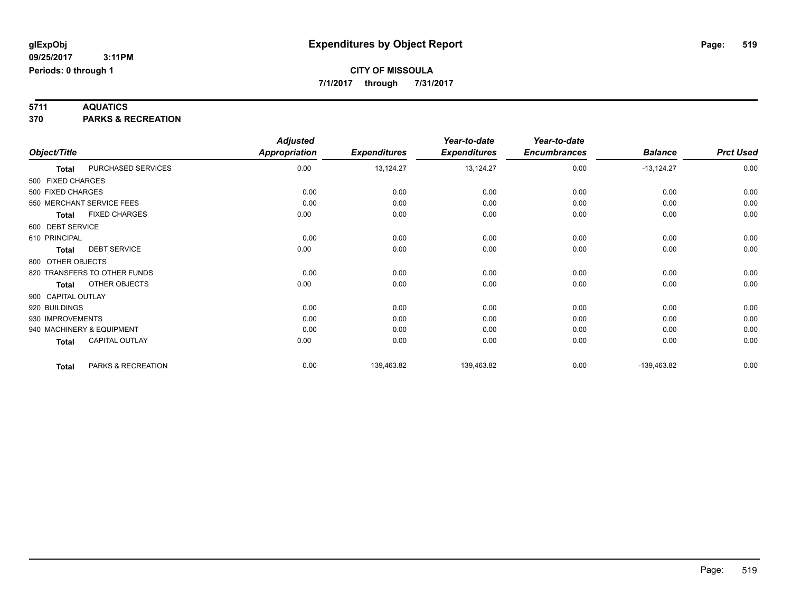**5711 AQUATICS 370 PARKS & RECREATION**

|                    |                              | <b>Adjusted</b>      |                     | Year-to-date        | Year-to-date        |                |                  |
|--------------------|------------------------------|----------------------|---------------------|---------------------|---------------------|----------------|------------------|
| Object/Title       |                              | <b>Appropriation</b> | <b>Expenditures</b> | <b>Expenditures</b> | <b>Encumbrances</b> | <b>Balance</b> | <b>Prct Used</b> |
| <b>Total</b>       | PURCHASED SERVICES           | 0.00                 | 13,124.27           | 13,124.27           | 0.00                | $-13,124.27$   | 0.00             |
| 500 FIXED CHARGES  |                              |                      |                     |                     |                     |                |                  |
| 500 FIXED CHARGES  |                              | 0.00                 | 0.00                | 0.00                | 0.00                | 0.00           | 0.00             |
|                    | 550 MERCHANT SERVICE FEES    | 0.00                 | 0.00                | 0.00                | 0.00                | 0.00           | 0.00             |
| <b>Total</b>       | <b>FIXED CHARGES</b>         | 0.00                 | 0.00                | 0.00                | 0.00                | 0.00           | 0.00             |
| 600 DEBT SERVICE   |                              |                      |                     |                     |                     |                |                  |
| 610 PRINCIPAL      |                              | 0.00                 | 0.00                | 0.00                | 0.00                | 0.00           | 0.00             |
| <b>Total</b>       | <b>DEBT SERVICE</b>          | 0.00                 | 0.00                | 0.00                | 0.00                | 0.00           | 0.00             |
| 800 OTHER OBJECTS  |                              |                      |                     |                     |                     |                |                  |
|                    | 820 TRANSFERS TO OTHER FUNDS | 0.00                 | 0.00                | 0.00                | 0.00                | 0.00           | 0.00             |
| <b>Total</b>       | OTHER OBJECTS                | 0.00                 | 0.00                | 0.00                | 0.00                | 0.00           | 0.00             |
| 900 CAPITAL OUTLAY |                              |                      |                     |                     |                     |                |                  |
| 920 BUILDINGS      |                              | 0.00                 | 0.00                | 0.00                | 0.00                | 0.00           | 0.00             |
| 930 IMPROVEMENTS   |                              | 0.00                 | 0.00                | 0.00                | 0.00                | 0.00           | 0.00             |
|                    | 940 MACHINERY & EQUIPMENT    | 0.00                 | 0.00                | 0.00                | 0.00                | 0.00           | 0.00             |
| <b>Total</b>       | <b>CAPITAL OUTLAY</b>        | 0.00                 | 0.00                | 0.00                | 0.00                | 0.00           | 0.00             |
| <b>Total</b>       | PARKS & RECREATION           | 0.00                 | 139,463.82          | 139,463.82          | 0.00                | $-139,463.82$  | 0.00             |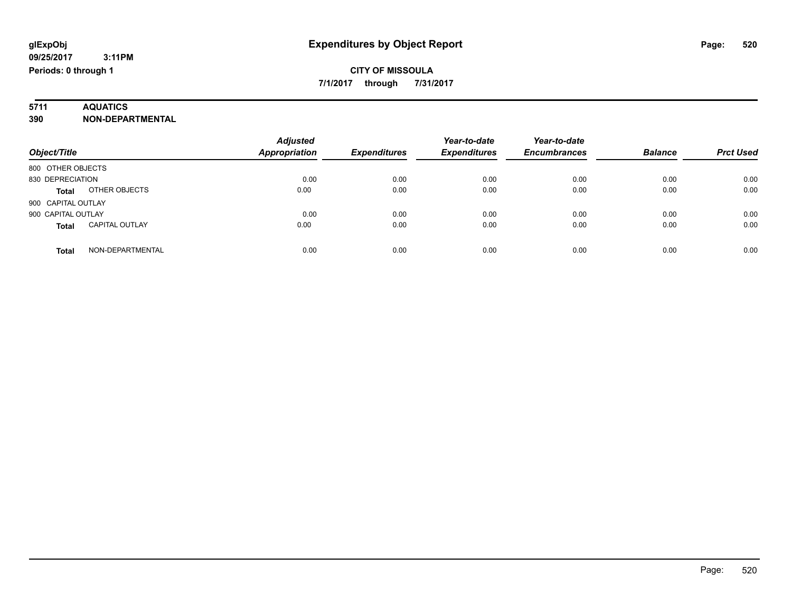# **5711 AQUATICS**

**390 NON-DEPARTMENTAL**

| Object/Title                          | <b>Adjusted</b><br><b>Appropriation</b> | <b>Expenditures</b> | Year-to-date<br><b>Expenditures</b> | Year-to-date<br><b>Encumbrances</b> | <b>Balance</b> | <b>Prct Used</b> |
|---------------------------------------|-----------------------------------------|---------------------|-------------------------------------|-------------------------------------|----------------|------------------|
|                                       |                                         |                     |                                     |                                     |                |                  |
| 800 OTHER OBJECTS                     |                                         |                     |                                     |                                     |                |                  |
| 830 DEPRECIATION                      | 0.00                                    | 0.00                | 0.00                                | 0.00                                | 0.00           | 0.00             |
| OTHER OBJECTS<br><b>Total</b>         | 0.00                                    | 0.00                | 0.00                                | 0.00                                | 0.00           | 0.00             |
| 900 CAPITAL OUTLAY                    |                                         |                     |                                     |                                     |                |                  |
| 900 CAPITAL OUTLAY                    | 0.00                                    | 0.00                | 0.00                                | 0.00                                | 0.00           | 0.00             |
| <b>CAPITAL OUTLAY</b><br><b>Total</b> | 0.00                                    | 0.00                | 0.00                                | 0.00                                | 0.00           | 0.00             |
| NON-DEPARTMENTAL<br>Total             | 0.00                                    | 0.00                | 0.00                                | 0.00                                | 0.00           | 0.00             |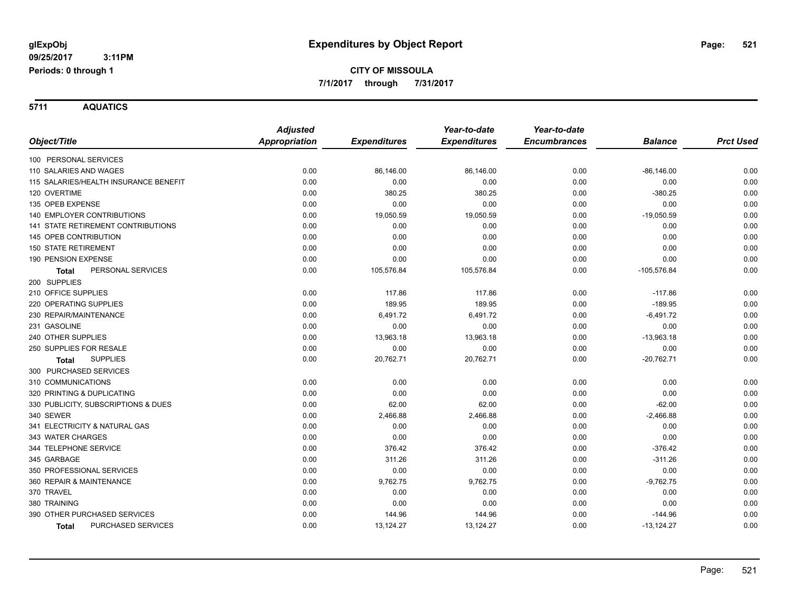**5711 AQUATICS**

|                                       | <b>Adjusted</b> |                     | Year-to-date        | Year-to-date        |                |                  |
|---------------------------------------|-----------------|---------------------|---------------------|---------------------|----------------|------------------|
| Object/Title                          | Appropriation   | <b>Expenditures</b> | <b>Expenditures</b> | <b>Encumbrances</b> | <b>Balance</b> | <b>Prct Used</b> |
| 100 PERSONAL SERVICES                 |                 |                     |                     |                     |                |                  |
| 110 SALARIES AND WAGES                | 0.00            | 86,146.00           | 86,146.00           | 0.00                | $-86, 146.00$  | 0.00             |
| 115 SALARIES/HEALTH INSURANCE BENEFIT | 0.00            | 0.00                | 0.00                | 0.00                | 0.00           | 0.00             |
| 120 OVERTIME                          | 0.00            | 380.25              | 380.25              | 0.00                | $-380.25$      | 0.00             |
| 135 OPEB EXPENSE                      | 0.00            | 0.00                | 0.00                | 0.00                | 0.00           | 0.00             |
| 140 EMPLOYER CONTRIBUTIONS            | 0.00            | 19,050.59           | 19,050.59           | 0.00                | $-19,050.59$   | 0.00             |
| 141 STATE RETIREMENT CONTRIBUTIONS    | 0.00            | 0.00                | 0.00                | 0.00                | 0.00           | 0.00             |
| 145 OPEB CONTRIBUTION                 | 0.00            | 0.00                | 0.00                | 0.00                | 0.00           | 0.00             |
| <b>150 STATE RETIREMENT</b>           | 0.00            | 0.00                | 0.00                | 0.00                | 0.00           | 0.00             |
| 190 PENSION EXPENSE                   | 0.00            | 0.00                | 0.00                | 0.00                | 0.00           | 0.00             |
| PERSONAL SERVICES<br><b>Total</b>     | 0.00            | 105,576.84          | 105,576.84          | 0.00                | $-105,576.84$  | 0.00             |
| 200 SUPPLIES                          |                 |                     |                     |                     |                |                  |
| 210 OFFICE SUPPLIES                   | 0.00            | 117.86              | 117.86              | 0.00                | $-117.86$      | 0.00             |
| 220 OPERATING SUPPLIES                | 0.00            | 189.95              | 189.95              | 0.00                | $-189.95$      | 0.00             |
| 230 REPAIR/MAINTENANCE                | 0.00            | 6,491.72            | 6,491.72            | 0.00                | $-6,491.72$    | 0.00             |
| 231 GASOLINE                          | 0.00            | 0.00                | 0.00                | 0.00                | 0.00           | 0.00             |
| 240 OTHER SUPPLIES                    | 0.00            | 13,963.18           | 13,963.18           | 0.00                | $-13,963.18$   | 0.00             |
| 250 SUPPLIES FOR RESALE               | 0.00            | 0.00                | 0.00                | 0.00                | 0.00           | 0.00             |
| <b>SUPPLIES</b><br><b>Total</b>       | 0.00            | 20,762.71           | 20,762.71           | 0.00                | $-20,762.71$   | 0.00             |
| 300 PURCHASED SERVICES                |                 |                     |                     |                     |                |                  |
| 310 COMMUNICATIONS                    | 0.00            | 0.00                | 0.00                | 0.00                | 0.00           | 0.00             |
| 320 PRINTING & DUPLICATING            | 0.00            | 0.00                | 0.00                | 0.00                | 0.00           | 0.00             |
| 330 PUBLICITY, SUBSCRIPTIONS & DUES   | 0.00            | 62.00               | 62.00               | 0.00                | $-62.00$       | 0.00             |
| 340 SEWER                             | 0.00            | 2,466.88            | 2,466.88            | 0.00                | $-2,466.88$    | 0.00             |
| 341 ELECTRICITY & NATURAL GAS         | 0.00            | 0.00                | 0.00                | 0.00                | 0.00           | 0.00             |
| 343 WATER CHARGES                     | 0.00            | 0.00                | 0.00                | 0.00                | 0.00           | 0.00             |
| 344 TELEPHONE SERVICE                 | 0.00            | 376.42              | 376.42              | 0.00                | $-376.42$      | 0.00             |
| 345 GARBAGE                           | 0.00            | 311.26              | 311.26              | 0.00                | $-311.26$      | 0.00             |
| 350 PROFESSIONAL SERVICES             | 0.00            | 0.00                | 0.00                | 0.00                | 0.00           | 0.00             |
| 360 REPAIR & MAINTENANCE              | 0.00            | 9,762.75            | 9,762.75            | 0.00                | $-9,762.75$    | 0.00             |
| 370 TRAVEL                            | 0.00            | 0.00                | 0.00                | 0.00                | 0.00           | 0.00             |
| 380 TRAINING                          | 0.00            | 0.00                | 0.00                | 0.00                | 0.00           | 0.00             |
| 390 OTHER PURCHASED SERVICES          | 0.00            | 144.96              | 144.96              | 0.00                | $-144.96$      | 0.00             |
| PURCHASED SERVICES<br><b>Total</b>    | 0.00            | 13,124.27           | 13,124.27           | 0.00                | $-13,124.27$   | 0.00             |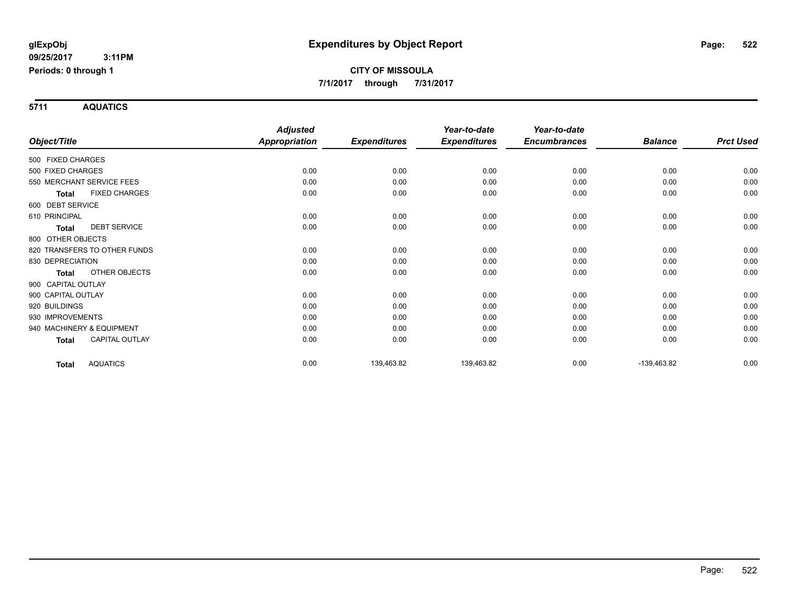**5711 AQUATICS**

|                                       | <b>Adjusted</b>      |                     | Year-to-date        | Year-to-date        |                |                  |
|---------------------------------------|----------------------|---------------------|---------------------|---------------------|----------------|------------------|
| Object/Title                          | <b>Appropriation</b> | <b>Expenditures</b> | <b>Expenditures</b> | <b>Encumbrances</b> | <b>Balance</b> | <b>Prct Used</b> |
| 500 FIXED CHARGES                     |                      |                     |                     |                     |                |                  |
| 500 FIXED CHARGES                     | 0.00                 | 0.00                | 0.00                | 0.00                | 0.00           | 0.00             |
| 550 MERCHANT SERVICE FEES             | 0.00                 | 0.00                | 0.00                | 0.00                | 0.00           | 0.00             |
| <b>FIXED CHARGES</b><br><b>Total</b>  | 0.00                 | 0.00                | 0.00                | 0.00                | 0.00           | 0.00             |
| 600 DEBT SERVICE                      |                      |                     |                     |                     |                |                  |
| 610 PRINCIPAL                         | 0.00                 | 0.00                | 0.00                | 0.00                | 0.00           | 0.00             |
| <b>DEBT SERVICE</b><br><b>Total</b>   | 0.00                 | 0.00                | 0.00                | 0.00                | 0.00           | 0.00             |
| 800 OTHER OBJECTS                     |                      |                     |                     |                     |                |                  |
| 820 TRANSFERS TO OTHER FUNDS          | 0.00                 | 0.00                | 0.00                | 0.00                | 0.00           | 0.00             |
| 830 DEPRECIATION                      | 0.00                 | 0.00                | 0.00                | 0.00                | 0.00           | 0.00             |
| OTHER OBJECTS<br><b>Total</b>         | 0.00                 | 0.00                | 0.00                | 0.00                | 0.00           | 0.00             |
| 900 CAPITAL OUTLAY                    |                      |                     |                     |                     |                |                  |
| 900 CAPITAL OUTLAY                    | 0.00                 | 0.00                | 0.00                | 0.00                | 0.00           | 0.00             |
| 920 BUILDINGS                         | 0.00                 | 0.00                | 0.00                | 0.00                | 0.00           | 0.00             |
| 930 IMPROVEMENTS                      | 0.00                 | 0.00                | 0.00                | 0.00                | 0.00           | 0.00             |
| 940 MACHINERY & EQUIPMENT             | 0.00                 | 0.00                | 0.00                | 0.00                | 0.00           | 0.00             |
| <b>CAPITAL OUTLAY</b><br><b>Total</b> | 0.00                 | 0.00                | 0.00                | 0.00                | 0.00           | 0.00             |
| <b>AQUATICS</b><br><b>Total</b>       | 0.00                 | 139,463.82          | 139,463.82          | 0.00                | $-139,463.82$  | 0.00             |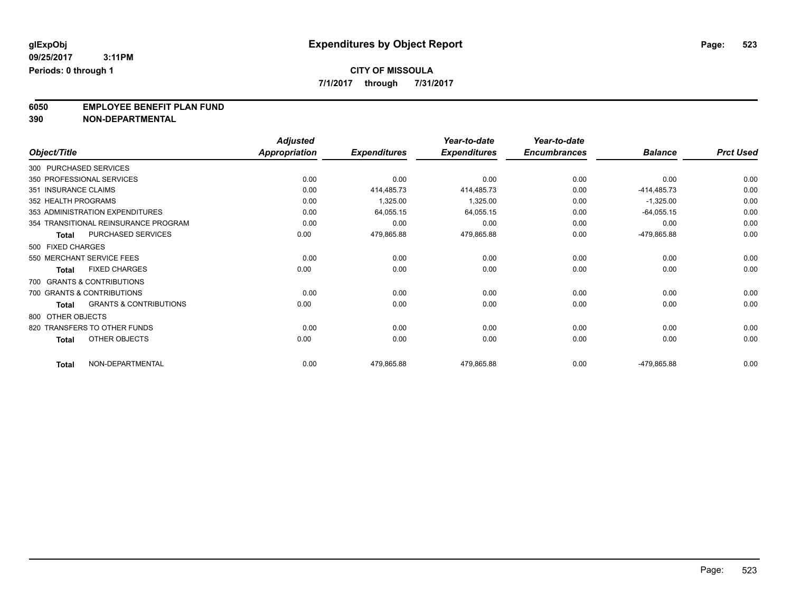**7/1/2017 through 7/31/2017**

# **6050 EMPLOYEE BENEFIT PLAN FUND**<br>390 NON-DEPARTMENTAL

**390 NON-DEPARTMENTAL**

|                                            | <b>Adjusted</b>      |                     | Year-to-date        | Year-to-date        |                |                  |
|--------------------------------------------|----------------------|---------------------|---------------------|---------------------|----------------|------------------|
| Object/Title                               | <b>Appropriation</b> | <b>Expenditures</b> | <b>Expenditures</b> | <b>Encumbrances</b> | <b>Balance</b> | <b>Prct Used</b> |
| 300 PURCHASED SERVICES                     |                      |                     |                     |                     |                |                  |
| 350 PROFESSIONAL SERVICES                  | 0.00                 | 0.00                | 0.00                | 0.00                | 0.00           | 0.00             |
| 351 INSURANCE CLAIMS                       | 0.00                 | 414,485.73          | 414,485.73          | 0.00                | -414,485.73    | 0.00             |
| 352 HEALTH PROGRAMS                        | 0.00                 | 1,325.00            | 1,325.00            | 0.00                | $-1,325.00$    | 0.00             |
| 353 ADMINISTRATION EXPENDITURES            | 0.00                 | 64,055.15           | 64,055.15           | 0.00                | $-64,055.15$   | 0.00             |
| 354 TRANSITIONAL REINSURANCE PROGRAM       | 0.00                 | 0.00                | 0.00                | 0.00                | 0.00           | 0.00             |
| <b>PURCHASED SERVICES</b><br><b>Total</b>  | 0.00                 | 479,865.88          | 479,865.88          | 0.00                | -479,865.88    | 0.00             |
| 500 FIXED CHARGES                          |                      |                     |                     |                     |                |                  |
| 550 MERCHANT SERVICE FEES                  | 0.00                 | 0.00                | 0.00                | 0.00                | 0.00           | 0.00             |
| <b>FIXED CHARGES</b><br><b>Total</b>       | 0.00                 | 0.00                | 0.00                | 0.00                | 0.00           | 0.00             |
| 700 GRANTS & CONTRIBUTIONS                 |                      |                     |                     |                     |                |                  |
| 700 GRANTS & CONTRIBUTIONS                 | 0.00                 | 0.00                | 0.00                | 0.00                | 0.00           | 0.00             |
| <b>GRANTS &amp; CONTRIBUTIONS</b><br>Total | 0.00                 | 0.00                | 0.00                | 0.00                | 0.00           | 0.00             |
| 800 OTHER OBJECTS                          |                      |                     |                     |                     |                |                  |
| 820 TRANSFERS TO OTHER FUNDS               | 0.00                 | 0.00                | 0.00                | 0.00                | 0.00           | 0.00             |
| OTHER OBJECTS<br>Total                     | 0.00                 | 0.00                | 0.00                | 0.00                | 0.00           | 0.00             |
| NON-DEPARTMENTAL<br><b>Total</b>           | 0.00                 | 479,865.88          | 479,865.88          | 0.00                | -479,865.88    | 0.00             |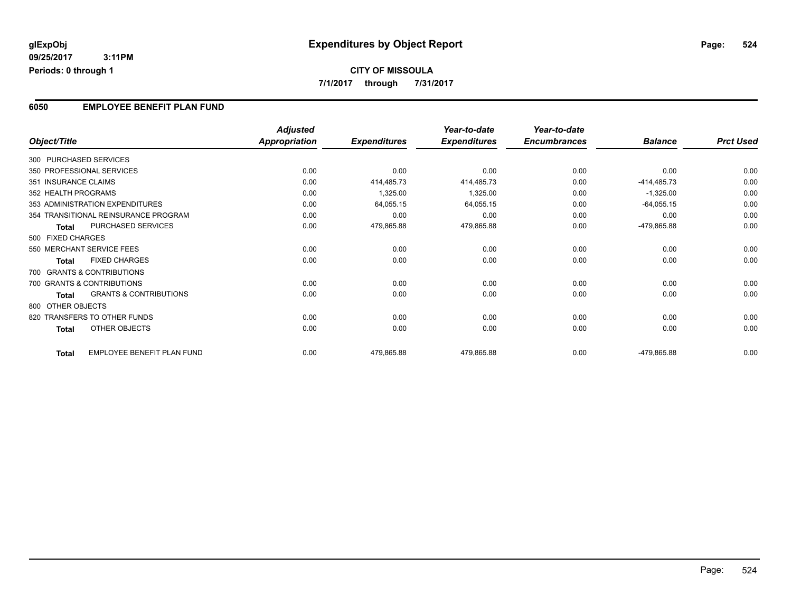### **CITY OF MISSOULA 7/1/2017 through 7/31/2017**

### **6050 EMPLOYEE BENEFIT PLAN FUND**

|                        |                                      | <b>Adjusted</b>      |                     | Year-to-date        | Year-to-date        |                |                  |
|------------------------|--------------------------------------|----------------------|---------------------|---------------------|---------------------|----------------|------------------|
| Object/Title           |                                      | <b>Appropriation</b> | <b>Expenditures</b> | <b>Expenditures</b> | <b>Encumbrances</b> | <b>Balance</b> | <b>Prct Used</b> |
| 300 PURCHASED SERVICES |                                      |                      |                     |                     |                     |                |                  |
|                        | 350 PROFESSIONAL SERVICES            | 0.00                 | 0.00                | 0.00                | 0.00                | 0.00           | 0.00             |
| 351 INSURANCE CLAIMS   |                                      | 0.00                 | 414,485.73          | 414,485.73          | 0.00                | -414,485.73    | 0.00             |
| 352 HEALTH PROGRAMS    |                                      | 0.00                 | 1,325.00            | 1,325.00            | 0.00                | $-1,325.00$    | 0.00             |
|                        | 353 ADMINISTRATION EXPENDITURES      | 0.00                 | 64,055.15           | 64,055.15           | 0.00                | $-64,055.15$   | 0.00             |
|                        | 354 TRANSITIONAL REINSURANCE PROGRAM | 0.00                 | 0.00                | 0.00                | 0.00                | 0.00           | 0.00             |
| <b>Total</b>           | PURCHASED SERVICES                   | 0.00                 | 479,865.88          | 479,865.88          | 0.00                | -479,865.88    | 0.00             |
| 500 FIXED CHARGES      |                                      |                      |                     |                     |                     |                |                  |
|                        | 550 MERCHANT SERVICE FEES            | 0.00                 | 0.00                | 0.00                | 0.00                | 0.00           | 0.00             |
| <b>Total</b>           | <b>FIXED CHARGES</b>                 | 0.00                 | 0.00                | 0.00                | 0.00                | 0.00           | 0.00             |
|                        | 700 GRANTS & CONTRIBUTIONS           |                      |                     |                     |                     |                |                  |
|                        | 700 GRANTS & CONTRIBUTIONS           | 0.00                 | 0.00                | 0.00                | 0.00                | 0.00           | 0.00             |
| <b>Total</b>           | <b>GRANTS &amp; CONTRIBUTIONS</b>    | 0.00                 | 0.00                | 0.00                | 0.00                | 0.00           | 0.00             |
| 800 OTHER OBJECTS      |                                      |                      |                     |                     |                     |                |                  |
|                        | 820 TRANSFERS TO OTHER FUNDS         | 0.00                 | 0.00                | 0.00                | 0.00                | 0.00           | 0.00             |
| <b>Total</b>           | OTHER OBJECTS                        | 0.00                 | 0.00                | 0.00                | 0.00                | 0.00           | 0.00             |
| <b>Total</b>           | EMPLOYEE BENEFIT PLAN FUND           | 0.00                 | 479,865.88          | 479,865.88          | 0.00                | -479,865.88    | 0.00             |

Page: 524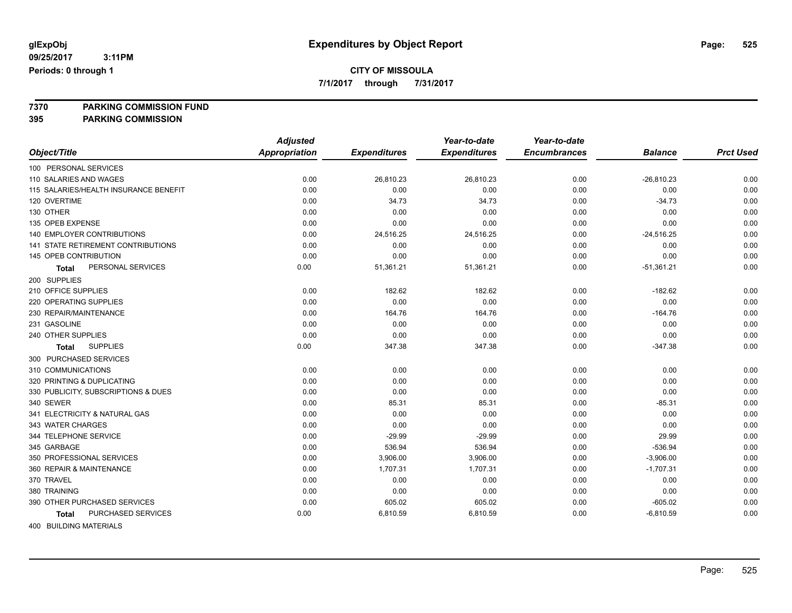**7/1/2017 through 7/31/2017**

# **7370 PARKING COMMISSION FUND**

**395 PARKING COMMISSION**

|                                       | <b>Adjusted</b>      |                     | Year-to-date        | Year-to-date        |                |                  |
|---------------------------------------|----------------------|---------------------|---------------------|---------------------|----------------|------------------|
| Object/Title                          | <b>Appropriation</b> | <b>Expenditures</b> | <b>Expenditures</b> | <b>Encumbrances</b> | <b>Balance</b> | <b>Prct Used</b> |
| 100 PERSONAL SERVICES                 |                      |                     |                     |                     |                |                  |
| 110 SALARIES AND WAGES                | 0.00                 | 26,810.23           | 26,810.23           | 0.00                | $-26,810.23$   | 0.00             |
| 115 SALARIES/HEALTH INSURANCE BENEFIT | 0.00                 | 0.00                | 0.00                | 0.00                | 0.00           | 0.00             |
| 120 OVERTIME                          | 0.00                 | 34.73               | 34.73               | 0.00                | $-34.73$       | 0.00             |
| 130 OTHER                             | 0.00                 | 0.00                | 0.00                | 0.00                | 0.00           | 0.00             |
| 135 OPEB EXPENSE                      | 0.00                 | 0.00                | 0.00                | 0.00                | 0.00           | 0.00             |
| 140 EMPLOYER CONTRIBUTIONS            | 0.00                 | 24,516.25           | 24,516.25           | 0.00                | $-24,516.25$   | 0.00             |
| 141 STATE RETIREMENT CONTRIBUTIONS    | 0.00                 | 0.00                | 0.00                | 0.00                | 0.00           | 0.00             |
| 145 OPEB CONTRIBUTION                 | 0.00                 | 0.00                | 0.00                | 0.00                | 0.00           | 0.00             |
| PERSONAL SERVICES<br>Total            | 0.00                 | 51,361.21           | 51,361.21           | 0.00                | $-51,361.21$   | 0.00             |
| 200 SUPPLIES                          |                      |                     |                     |                     |                |                  |
| 210 OFFICE SUPPLIES                   | 0.00                 | 182.62              | 182.62              | 0.00                | $-182.62$      | 0.00             |
| 220 OPERATING SUPPLIES                | 0.00                 | 0.00                | 0.00                | 0.00                | 0.00           | 0.00             |
| 230 REPAIR/MAINTENANCE                | 0.00                 | 164.76              | 164.76              | 0.00                | $-164.76$      | 0.00             |
| 231 GASOLINE                          | 0.00                 | 0.00                | 0.00                | 0.00                | 0.00           | 0.00             |
| 240 OTHER SUPPLIES                    | 0.00                 | 0.00                | 0.00                | 0.00                | 0.00           | 0.00             |
| <b>SUPPLIES</b><br><b>Total</b>       | 0.00                 | 347.38              | 347.38              | 0.00                | $-347.38$      | 0.00             |
| 300 PURCHASED SERVICES                |                      |                     |                     |                     |                |                  |
| 310 COMMUNICATIONS                    | 0.00                 | 0.00                | 0.00                | 0.00                | 0.00           | 0.00             |
| 320 PRINTING & DUPLICATING            | 0.00                 | 0.00                | 0.00                | 0.00                | 0.00           | 0.00             |
| 330 PUBLICITY, SUBSCRIPTIONS & DUES   | 0.00                 | 0.00                | 0.00                | 0.00                | 0.00           | 0.00             |
| 340 SEWER                             | 0.00                 | 85.31               | 85.31               | 0.00                | $-85.31$       | 0.00             |
| 341 ELECTRICITY & NATURAL GAS         | 0.00                 | 0.00                | 0.00                | 0.00                | 0.00           | 0.00             |
| 343 WATER CHARGES                     | 0.00                 | 0.00                | 0.00                | 0.00                | 0.00           | 0.00             |
| 344 TELEPHONE SERVICE                 | 0.00                 | $-29.99$            | $-29.99$            | 0.00                | 29.99          | 0.00             |
| 345 GARBAGE                           | 0.00                 | 536.94              | 536.94              | 0.00                | $-536.94$      | 0.00             |
| 350 PROFESSIONAL SERVICES             | 0.00                 | 3,906.00            | 3,906.00            | 0.00                | $-3,906.00$    | 0.00             |
| 360 REPAIR & MAINTENANCE              | 0.00                 | 1,707.31            | 1,707.31            | 0.00                | $-1,707.31$    | 0.00             |
| 370 TRAVEL                            | 0.00                 | 0.00                | 0.00                | 0.00                | 0.00           | 0.00             |
| 380 TRAINING                          | 0.00                 | 0.00                | 0.00                | 0.00                | 0.00           | 0.00             |
| 390 OTHER PURCHASED SERVICES          | 0.00                 | 605.02              | 605.02              | 0.00                | $-605.02$      | 0.00             |
| PURCHASED SERVICES<br><b>Total</b>    | 0.00                 | 6,810.59            | 6,810.59            | 0.00                | $-6,810.59$    | 0.00             |
| 100.5100501001107550110               |                      |                     |                     |                     |                |                  |

400 BUILDING MATERIALS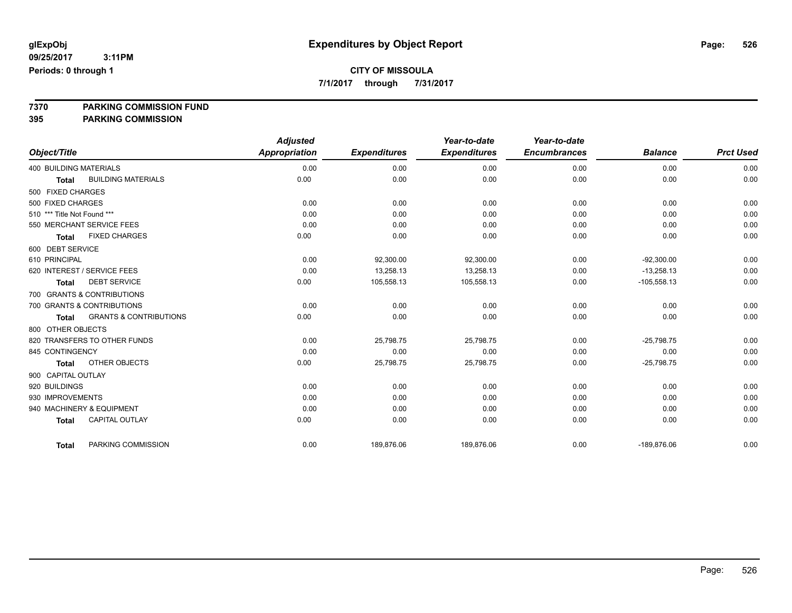**7/1/2017 through 7/31/2017**

# **7370 PARKING COMMISSION FUND**

**395 PARKING COMMISSION**

|                               |                                   | <b>Adjusted</b>      |                     | Year-to-date        | Year-to-date        |                |                  |
|-------------------------------|-----------------------------------|----------------------|---------------------|---------------------|---------------------|----------------|------------------|
| Object/Title                  |                                   | <b>Appropriation</b> | <b>Expenditures</b> | <b>Expenditures</b> | <b>Encumbrances</b> | <b>Balance</b> | <b>Prct Used</b> |
| <b>400 BUILDING MATERIALS</b> |                                   | 0.00                 | 0.00                | 0.00                | 0.00                | 0.00           | 0.00             |
| <b>Total</b>                  | <b>BUILDING MATERIALS</b>         | 0.00                 | 0.00                | 0.00                | 0.00                | 0.00           | 0.00             |
| 500 FIXED CHARGES             |                                   |                      |                     |                     |                     |                |                  |
| 500 FIXED CHARGES             |                                   | 0.00                 | 0.00                | 0.00                | 0.00                | 0.00           | 0.00             |
| 510 *** Title Not Found ***   |                                   | 0.00                 | 0.00                | 0.00                | 0.00                | 0.00           | 0.00             |
|                               | 550 MERCHANT SERVICE FEES         | 0.00                 | 0.00                | 0.00                | 0.00                | 0.00           | 0.00             |
| <b>Total</b>                  | <b>FIXED CHARGES</b>              | 0.00                 | 0.00                | 0.00                | 0.00                | 0.00           | 0.00             |
| 600 DEBT SERVICE              |                                   |                      |                     |                     |                     |                |                  |
| 610 PRINCIPAL                 |                                   | 0.00                 | 92,300.00           | 92,300.00           | 0.00                | $-92,300.00$   | 0.00             |
|                               | 620 INTEREST / SERVICE FEES       | 0.00                 | 13,258.13           | 13,258.13           | 0.00                | $-13,258.13$   | 0.00             |
| <b>Total</b>                  | <b>DEBT SERVICE</b>               | 0.00                 | 105,558.13          | 105,558.13          | 0.00                | $-105,558.13$  | 0.00             |
|                               | 700 GRANTS & CONTRIBUTIONS        |                      |                     |                     |                     |                |                  |
|                               | 700 GRANTS & CONTRIBUTIONS        | 0.00                 | 0.00                | 0.00                | 0.00                | 0.00           | 0.00             |
| <b>Total</b>                  | <b>GRANTS &amp; CONTRIBUTIONS</b> | 0.00                 | 0.00                | 0.00                | 0.00                | 0.00           | 0.00             |
| 800 OTHER OBJECTS             |                                   |                      |                     |                     |                     |                |                  |
|                               | 820 TRANSFERS TO OTHER FUNDS      | 0.00                 | 25,798.75           | 25,798.75           | 0.00                | $-25,798.75$   | 0.00             |
| 845 CONTINGENCY               |                                   | 0.00                 | 0.00                | 0.00                | 0.00                | 0.00           | 0.00             |
| <b>Total</b>                  | OTHER OBJECTS                     | 0.00                 | 25,798.75           | 25,798.75           | 0.00                | $-25,798.75$   | 0.00             |
| 900 CAPITAL OUTLAY            |                                   |                      |                     |                     |                     |                |                  |
| 920 BUILDINGS                 |                                   | 0.00                 | 0.00                | 0.00                | 0.00                | 0.00           | 0.00             |
| 930 IMPROVEMENTS              |                                   | 0.00                 | 0.00                | 0.00                | 0.00                | 0.00           | 0.00             |
|                               | 940 MACHINERY & EQUIPMENT         | 0.00                 | 0.00                | 0.00                | 0.00                | 0.00           | 0.00             |
| <b>Total</b>                  | <b>CAPITAL OUTLAY</b>             | 0.00                 | 0.00                | 0.00                | 0.00                | 0.00           | 0.00             |
|                               |                                   |                      |                     |                     |                     |                |                  |
| <b>Total</b>                  | PARKING COMMISSION                | 0.00                 | 189,876.06          | 189,876.06          | 0.00                | -189,876.06    | 0.00             |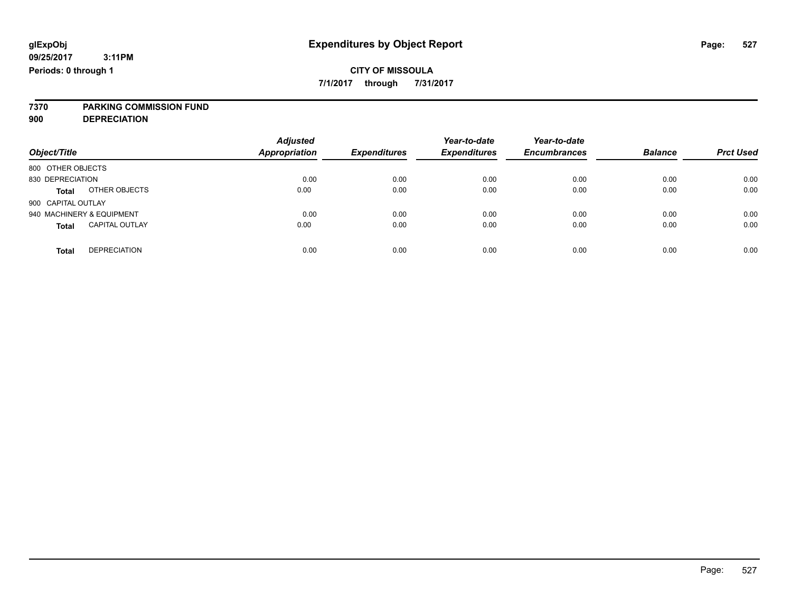**7/1/2017 through 7/31/2017**

# **7370 PARKING COMMISSION FUND**

**900 DEPRECIATION**

|                                       | <b>Adjusted</b>      |                     | Year-to-date        | Year-to-date        |                |                  |
|---------------------------------------|----------------------|---------------------|---------------------|---------------------|----------------|------------------|
| Object/Title                          | <b>Appropriation</b> | <b>Expenditures</b> | <b>Expenditures</b> | <b>Encumbrances</b> | <b>Balance</b> | <b>Prct Used</b> |
| 800 OTHER OBJECTS                     |                      |                     |                     |                     |                |                  |
| 830 DEPRECIATION                      | 0.00                 | 0.00                | 0.00                | 0.00                | 0.00           | 0.00             |
| OTHER OBJECTS<br><b>Total</b>         | 0.00                 | 0.00                | 0.00                | 0.00                | 0.00           | 0.00             |
| 900 CAPITAL OUTLAY                    |                      |                     |                     |                     |                |                  |
| 940 MACHINERY & EQUIPMENT             | 0.00                 | 0.00                | 0.00                | 0.00                | 0.00           | 0.00             |
| <b>CAPITAL OUTLAY</b><br><b>Total</b> | 0.00                 | 0.00                | 0.00                | 0.00                | 0.00           | 0.00             |
| <b>DEPRECIATION</b><br><b>Total</b>   | 0.00                 | 0.00                | 0.00                | 0.00                | 0.00           | 0.00             |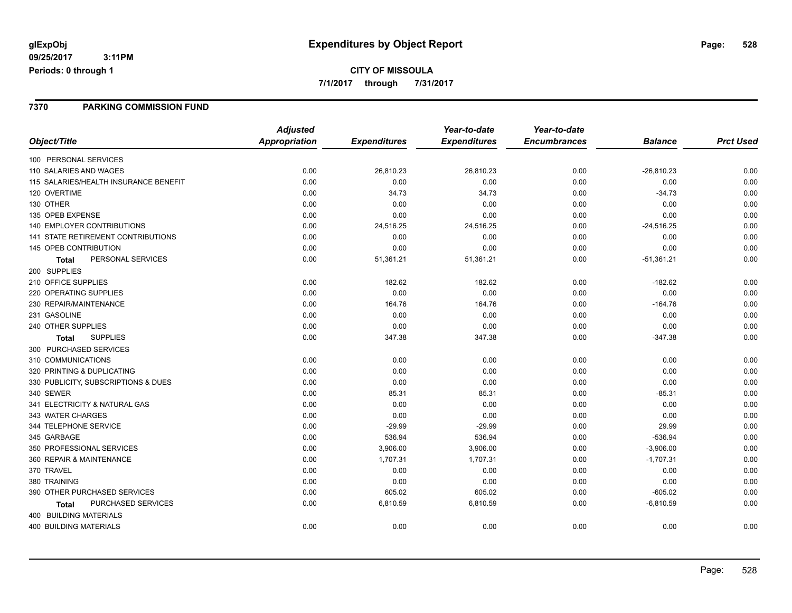#### **7370 PARKING COMMISSION FUND**

|                                       | <b>Adjusted</b> |                     | Year-to-date        | Year-to-date        |                |                  |
|---------------------------------------|-----------------|---------------------|---------------------|---------------------|----------------|------------------|
| Object/Title                          | Appropriation   | <b>Expenditures</b> | <b>Expenditures</b> | <b>Encumbrances</b> | <b>Balance</b> | <b>Prct Used</b> |
| 100 PERSONAL SERVICES                 |                 |                     |                     |                     |                |                  |
| 110 SALARIES AND WAGES                | 0.00            | 26,810.23           | 26,810.23           | 0.00                | $-26,810.23$   | 0.00             |
| 115 SALARIES/HEALTH INSURANCE BENEFIT | 0.00            | 0.00                | 0.00                | 0.00                | 0.00           | 0.00             |
| 120 OVERTIME                          | 0.00            | 34.73               | 34.73               | 0.00                | $-34.73$       | 0.00             |
| 130 OTHER                             | 0.00            | 0.00                | 0.00                | 0.00                | 0.00           | 0.00             |
| 135 OPEB EXPENSE                      | 0.00            | 0.00                | 0.00                | 0.00                | 0.00           | 0.00             |
| <b>140 EMPLOYER CONTRIBUTIONS</b>     | 0.00            | 24,516.25           | 24,516.25           | 0.00                | $-24,516.25$   | 0.00             |
| 141 STATE RETIREMENT CONTRIBUTIONS    | 0.00            | 0.00                | 0.00                | 0.00                | 0.00           | 0.00             |
| 145 OPEB CONTRIBUTION                 | 0.00            | 0.00                | 0.00                | 0.00                | 0.00           | 0.00             |
| PERSONAL SERVICES<br><b>Total</b>     | 0.00            | 51,361.21           | 51,361.21           | 0.00                | $-51,361.21$   | 0.00             |
| 200 SUPPLIES                          |                 |                     |                     |                     |                |                  |
| 210 OFFICE SUPPLIES                   | 0.00            | 182.62              | 182.62              | 0.00                | $-182.62$      | 0.00             |
| 220 OPERATING SUPPLIES                | 0.00            | 0.00                | 0.00                | 0.00                | 0.00           | 0.00             |
| 230 REPAIR/MAINTENANCE                | 0.00            | 164.76              | 164.76              | 0.00                | $-164.76$      | 0.00             |
| 231 GASOLINE                          | 0.00            | 0.00                | 0.00                | 0.00                | 0.00           | 0.00             |
| 240 OTHER SUPPLIES                    | 0.00            | 0.00                | 0.00                | 0.00                | 0.00           | 0.00             |
| <b>SUPPLIES</b><br><b>Total</b>       | 0.00            | 347.38              | 347.38              | 0.00                | $-347.38$      | 0.00             |
| 300 PURCHASED SERVICES                |                 |                     |                     |                     |                |                  |
| 310 COMMUNICATIONS                    | 0.00            | 0.00                | 0.00                | 0.00                | 0.00           | 0.00             |
| 320 PRINTING & DUPLICATING            | 0.00            | 0.00                | 0.00                | 0.00                | 0.00           | 0.00             |
| 330 PUBLICITY, SUBSCRIPTIONS & DUES   | 0.00            | 0.00                | 0.00                | 0.00                | 0.00           | 0.00             |
| 340 SEWER                             | 0.00            | 85.31               | 85.31               | 0.00                | $-85.31$       | 0.00             |
| 341 ELECTRICITY & NATURAL GAS         | 0.00            | 0.00                | 0.00                | 0.00                | 0.00           | 0.00             |
| 343 WATER CHARGES                     | 0.00            | 0.00                | 0.00                | 0.00                | 0.00           | 0.00             |
| 344 TELEPHONE SERVICE                 | 0.00            | $-29.99$            | $-29.99$            | 0.00                | 29.99          | 0.00             |
| 345 GARBAGE                           | 0.00            | 536.94              | 536.94              | 0.00                | $-536.94$      | 0.00             |
| 350 PROFESSIONAL SERVICES             | 0.00            | 3,906.00            | 3,906.00            | 0.00                | $-3,906.00$    | 0.00             |
| 360 REPAIR & MAINTENANCE              | 0.00            | 1,707.31            | 1,707.31            | 0.00                | $-1,707.31$    | 0.00             |
| 370 TRAVEL                            | 0.00            | 0.00                | 0.00                | 0.00                | 0.00           | 0.00             |
| 380 TRAINING                          | 0.00            | 0.00                | 0.00                | 0.00                | 0.00           | 0.00             |
| 390 OTHER PURCHASED SERVICES          | 0.00            | 605.02              | 605.02              | 0.00                | $-605.02$      | 0.00             |
| PURCHASED SERVICES<br><b>Total</b>    | 0.00            | 6,810.59            | 6,810.59            | 0.00                | $-6,810.59$    | 0.00             |
| 400 BUILDING MATERIALS                |                 |                     |                     |                     |                |                  |
| <b>400 BUILDING MATERIALS</b>         | 0.00            | 0.00                | 0.00                | 0.00                | 0.00           | 0.00             |
|                                       |                 |                     |                     |                     |                |                  |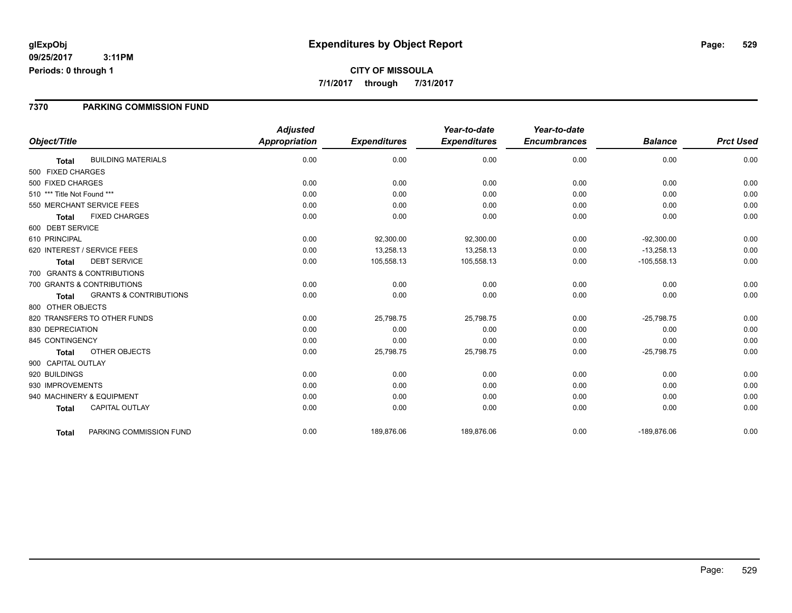#### **7370 PARKING COMMISSION FUND**

|                                                   | <b>Adjusted</b>      |                     | Year-to-date        | Year-to-date        |                |                  |
|---------------------------------------------------|----------------------|---------------------|---------------------|---------------------|----------------|------------------|
| Object/Title                                      | <b>Appropriation</b> | <b>Expenditures</b> | <b>Expenditures</b> | <b>Encumbrances</b> | <b>Balance</b> | <b>Prct Used</b> |
| <b>BUILDING MATERIALS</b><br><b>Total</b>         | 0.00                 | 0.00                | 0.00                | 0.00                | 0.00           | 0.00             |
| 500 FIXED CHARGES                                 |                      |                     |                     |                     |                |                  |
| 500 FIXED CHARGES                                 | 0.00                 | 0.00                | 0.00                | 0.00                | 0.00           | 0.00             |
| 510 *** Title Not Found ***                       | 0.00                 | 0.00                | 0.00                | 0.00                | 0.00           | 0.00             |
| 550 MERCHANT SERVICE FEES                         | 0.00                 | 0.00                | 0.00                | 0.00                | 0.00           | 0.00             |
| <b>FIXED CHARGES</b><br><b>Total</b>              | 0.00                 | 0.00                | 0.00                | 0.00                | 0.00           | 0.00             |
| 600 DEBT SERVICE                                  |                      |                     |                     |                     |                |                  |
| 610 PRINCIPAL                                     | 0.00                 | 92,300.00           | 92,300.00           | 0.00                | $-92,300.00$   | 0.00             |
| 620 INTEREST / SERVICE FEES                       | 0.00                 | 13,258.13           | 13,258.13           | 0.00                | $-13,258.13$   | 0.00             |
| <b>DEBT SERVICE</b><br><b>Total</b>               | 0.00                 | 105,558.13          | 105,558.13          | 0.00                | $-105,558.13$  | 0.00             |
| 700 GRANTS & CONTRIBUTIONS                        |                      |                     |                     |                     |                |                  |
| 700 GRANTS & CONTRIBUTIONS                        | 0.00                 | 0.00                | 0.00                | 0.00                | 0.00           | 0.00             |
| <b>GRANTS &amp; CONTRIBUTIONS</b><br><b>Total</b> | 0.00                 | 0.00                | 0.00                | 0.00                | 0.00           | 0.00             |
| 800 OTHER OBJECTS                                 |                      |                     |                     |                     |                |                  |
| 820 TRANSFERS TO OTHER FUNDS                      | 0.00                 | 25,798.75           | 25,798.75           | 0.00                | $-25,798.75$   | 0.00             |
| 830 DEPRECIATION                                  | 0.00                 | 0.00                | 0.00                | 0.00                | 0.00           | 0.00             |
| 845 CONTINGENCY                                   | 0.00                 | 0.00                | 0.00                | 0.00                | 0.00           | 0.00             |
| <b>OTHER OBJECTS</b><br><b>Total</b>              | 0.00                 | 25,798.75           | 25,798.75           | 0.00                | $-25,798.75$   | 0.00             |
| 900 CAPITAL OUTLAY                                |                      |                     |                     |                     |                |                  |
| 920 BUILDINGS                                     | 0.00                 | 0.00                | 0.00                | 0.00                | 0.00           | 0.00             |
| 930 IMPROVEMENTS                                  | 0.00                 | 0.00                | 0.00                | 0.00                | 0.00           | 0.00             |
| 940 MACHINERY & EQUIPMENT                         | 0.00                 | 0.00                | 0.00                | 0.00                | 0.00           | 0.00             |
| <b>CAPITAL OUTLAY</b><br><b>Total</b>             | 0.00                 | 0.00                | 0.00                | 0.00                | 0.00           | 0.00             |
| PARKING COMMISSION FUND<br><b>Total</b>           | 0.00                 | 189,876.06          | 189,876.06          | 0.00                | -189,876.06    | 0.00             |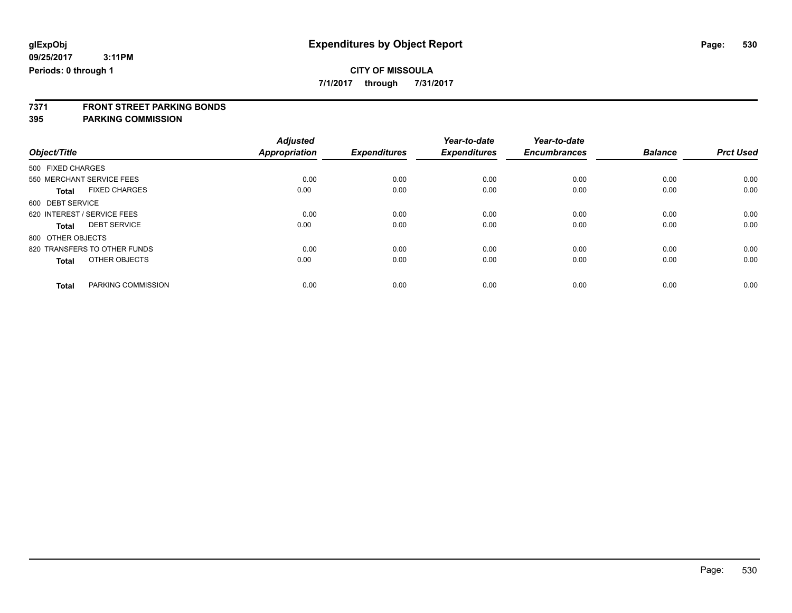**7/1/2017 through 7/31/2017**

# **7371 FRONT STREET PARKING BONDS**

#### **395 PARKING COMMISSION**

|                                      | <b>Adjusted</b>      |                     | Year-to-date        | Year-to-date        |                |                  |
|--------------------------------------|----------------------|---------------------|---------------------|---------------------|----------------|------------------|
| Object/Title                         | <b>Appropriation</b> | <b>Expenditures</b> | <b>Expenditures</b> | <b>Encumbrances</b> | <b>Balance</b> | <b>Prct Used</b> |
| 500 FIXED CHARGES                    |                      |                     |                     |                     |                |                  |
| 550 MERCHANT SERVICE FEES            | 0.00                 | 0.00                | 0.00                | 0.00                | 0.00           | 0.00             |
| <b>FIXED CHARGES</b><br><b>Total</b> | 0.00                 | 0.00                | 0.00                | 0.00                | 0.00           | 0.00             |
| 600 DEBT SERVICE                     |                      |                     |                     |                     |                |                  |
| 620 INTEREST / SERVICE FEES          | 0.00                 | 0.00                | 0.00                | 0.00                | 0.00           | 0.00             |
| <b>DEBT SERVICE</b><br><b>Total</b>  | 0.00                 | 0.00                | 0.00                | 0.00                | 0.00           | 0.00             |
| 800 OTHER OBJECTS                    |                      |                     |                     |                     |                |                  |
| 820 TRANSFERS TO OTHER FUNDS         | 0.00                 | 0.00                | 0.00                | 0.00                | 0.00           | 0.00             |
| OTHER OBJECTS<br><b>Total</b>        | 0.00                 | 0.00                | 0.00                | 0.00                | 0.00           | 0.00             |
|                                      |                      |                     |                     |                     |                |                  |
| PARKING COMMISSION<br><b>Total</b>   | 0.00                 | 0.00                | 0.00                | 0.00                | 0.00           | 0.00             |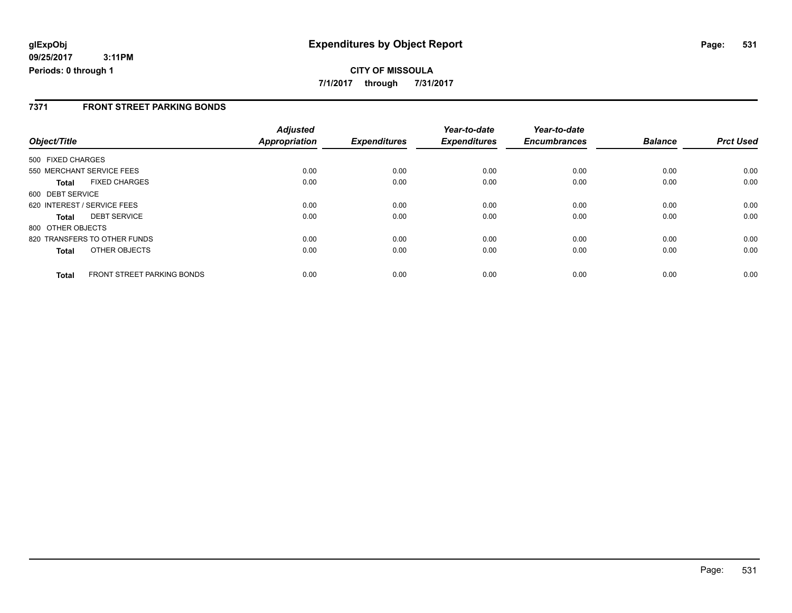### **CITY OF MISSOULA 7/1/2017 through 7/31/2017**

### **7371 FRONT STREET PARKING BONDS**

|                   |                              | <b>Adjusted</b> |                     | Year-to-date        | Year-to-date<br><b>Encumbrances</b> | <b>Balance</b> | <b>Prct Used</b> |
|-------------------|------------------------------|-----------------|---------------------|---------------------|-------------------------------------|----------------|------------------|
| Object/Title      |                              | Appropriation   | <b>Expenditures</b> | <b>Expenditures</b> |                                     |                |                  |
| 500 FIXED CHARGES |                              |                 |                     |                     |                                     |                |                  |
|                   | 550 MERCHANT SERVICE FEES    | 0.00            | 0.00                | 0.00                | 0.00                                | 0.00           | 0.00             |
| Total             | <b>FIXED CHARGES</b>         | 0.00            | 0.00                | 0.00                | 0.00                                | 0.00           | 0.00             |
| 600 DEBT SERVICE  |                              |                 |                     |                     |                                     |                |                  |
|                   | 620 INTEREST / SERVICE FEES  | 0.00            | 0.00                | 0.00                | 0.00                                | 0.00           | 0.00             |
| <b>Total</b>      | <b>DEBT SERVICE</b>          | 0.00            | 0.00                | 0.00                | 0.00                                | 0.00           | 0.00             |
| 800 OTHER OBJECTS |                              |                 |                     |                     |                                     |                |                  |
|                   | 820 TRANSFERS TO OTHER FUNDS | 0.00            | 0.00                | 0.00                | 0.00                                | 0.00           | 0.00             |
| <b>Total</b>      | OTHER OBJECTS                | 0.00            | 0.00                | 0.00                | 0.00                                | 0.00           | 0.00             |
| <b>Total</b>      | FRONT STREET PARKING BONDS   | 0.00            | 0.00                | 0.00                | 0.00                                | 0.00           | 0.00             |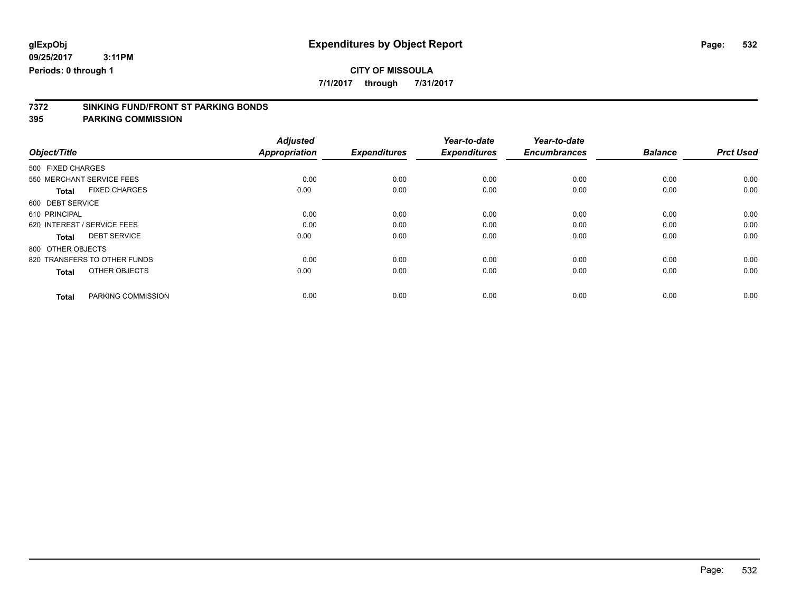**7/1/2017 through 7/31/2017**

# **7372 SINKING FUND/FRONT ST PARKING BONDS**

**395 PARKING COMMISSION**

|                                      | <b>Adjusted</b>      |                     | Year-to-date        | Year-to-date        |                |                  |
|--------------------------------------|----------------------|---------------------|---------------------|---------------------|----------------|------------------|
| Object/Title                         | <b>Appropriation</b> | <b>Expenditures</b> | <b>Expenditures</b> | <b>Encumbrances</b> | <b>Balance</b> | <b>Prct Used</b> |
| 500 FIXED CHARGES                    |                      |                     |                     |                     |                |                  |
| 550 MERCHANT SERVICE FEES            | 0.00                 | 0.00                | 0.00                | 0.00                | 0.00           | 0.00             |
| <b>FIXED CHARGES</b><br><b>Total</b> | 0.00                 | 0.00                | 0.00                | 0.00                | 0.00           | 0.00             |
| 600 DEBT SERVICE                     |                      |                     |                     |                     |                |                  |
| 610 PRINCIPAL                        | 0.00                 | 0.00                | 0.00                | 0.00                | 0.00           | 0.00             |
| 620 INTEREST / SERVICE FEES          | 0.00                 | 0.00                | 0.00                | 0.00                | 0.00           | 0.00             |
| <b>DEBT SERVICE</b><br><b>Total</b>  | 0.00                 | 0.00                | 0.00                | 0.00                | 0.00           | 0.00             |
| 800 OTHER OBJECTS                    |                      |                     |                     |                     |                |                  |
| 820 TRANSFERS TO OTHER FUNDS         | 0.00                 | 0.00                | 0.00                | 0.00                | 0.00           | 0.00             |
| OTHER OBJECTS<br><b>Total</b>        | 0.00                 | 0.00                | 0.00                | 0.00                | 0.00           | 0.00             |
|                                      |                      |                     |                     |                     |                |                  |
| PARKING COMMISSION<br><b>Total</b>   | 0.00                 | 0.00                | 0.00                | 0.00                | 0.00           | 0.00             |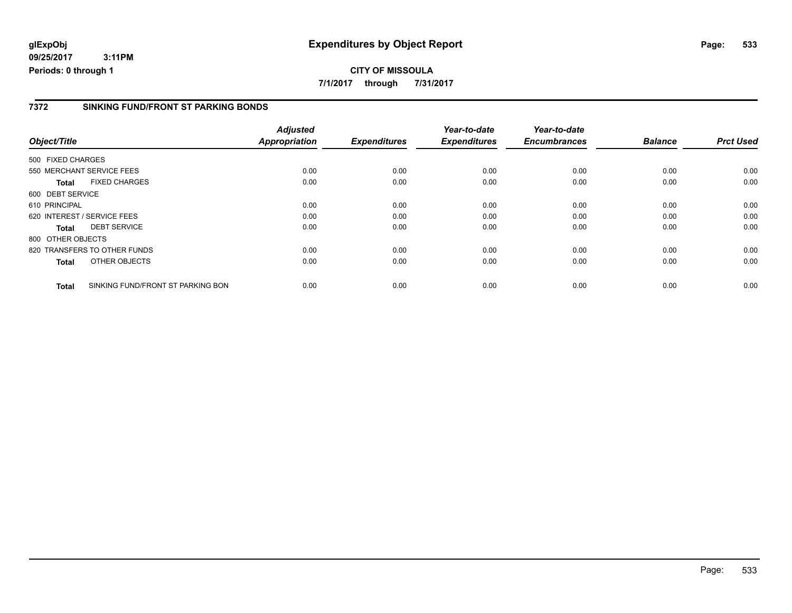#### **7372 SINKING FUND/FRONT ST PARKING BONDS**

|                   |                                   | <b>Adjusted</b>      |                     | Year-to-date        | Year-to-date        |                |                  |
|-------------------|-----------------------------------|----------------------|---------------------|---------------------|---------------------|----------------|------------------|
| Object/Title      |                                   | <b>Appropriation</b> | <b>Expenditures</b> | <b>Expenditures</b> | <b>Encumbrances</b> | <b>Balance</b> | <b>Prct Used</b> |
| 500 FIXED CHARGES |                                   |                      |                     |                     |                     |                |                  |
|                   | 550 MERCHANT SERVICE FEES         | 0.00                 | 0.00                | 0.00                | 0.00                | 0.00           | 0.00             |
| <b>Total</b>      | <b>FIXED CHARGES</b>              | 0.00                 | 0.00                | 0.00                | 0.00                | 0.00           | 0.00             |
| 600 DEBT SERVICE  |                                   |                      |                     |                     |                     |                |                  |
| 610 PRINCIPAL     |                                   | 0.00                 | 0.00                | 0.00                | 0.00                | 0.00           | 0.00             |
|                   | 620 INTEREST / SERVICE FEES       | 0.00                 | 0.00                | 0.00                | 0.00                | 0.00           | 0.00             |
| Total             | <b>DEBT SERVICE</b>               | 0.00                 | 0.00                | 0.00                | 0.00                | 0.00           | 0.00             |
| 800 OTHER OBJECTS |                                   |                      |                     |                     |                     |                |                  |
|                   | 820 TRANSFERS TO OTHER FUNDS      | 0.00                 | 0.00                | 0.00                | 0.00                | 0.00           | 0.00             |
| <b>Total</b>      | OTHER OBJECTS                     | 0.00                 | 0.00                | 0.00                | 0.00                | 0.00           | 0.00             |
| <b>Total</b>      | SINKING FUND/FRONT ST PARKING BON | 0.00                 | 0.00                | 0.00                | 0.00                | 0.00           | 0.00             |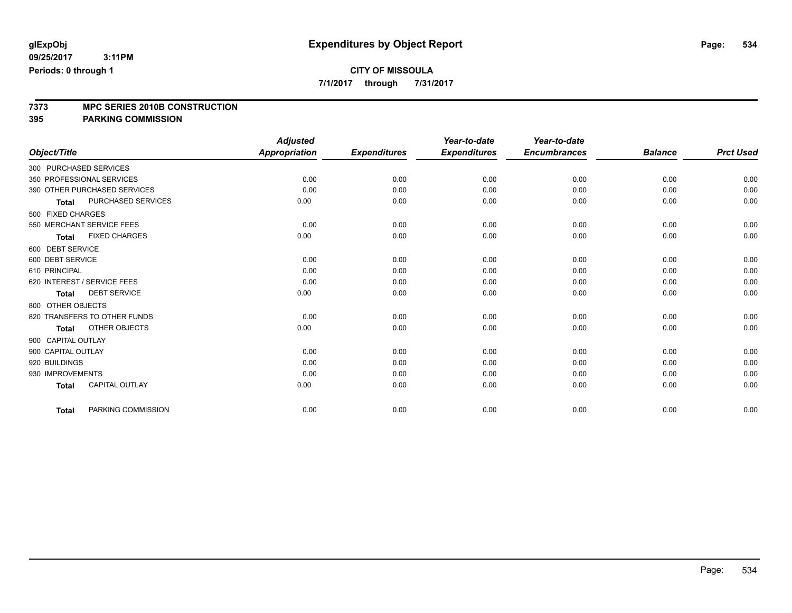**7/1/2017 through 7/31/2017**

# **7373 MPC SERIES 2010B CONSTRUCTION**

**395 PARKING COMMISSION**

|                             |                              | <b>Adjusted</b>      |                     | Year-to-date        | Year-to-date        |                |                  |
|-----------------------------|------------------------------|----------------------|---------------------|---------------------|---------------------|----------------|------------------|
| Object/Title                |                              | <b>Appropriation</b> | <b>Expenditures</b> | <b>Expenditures</b> | <b>Encumbrances</b> | <b>Balance</b> | <b>Prct Used</b> |
| 300 PURCHASED SERVICES      |                              |                      |                     |                     |                     |                |                  |
| 350 PROFESSIONAL SERVICES   |                              | 0.00                 | 0.00                | 0.00                | 0.00                | 0.00           | 0.00             |
|                             | 390 OTHER PURCHASED SERVICES | 0.00                 | 0.00                | 0.00                | 0.00                | 0.00           | 0.00             |
| <b>Total</b>                | PURCHASED SERVICES           | 0.00                 | 0.00                | 0.00                | 0.00                | 0.00           | 0.00             |
| 500 FIXED CHARGES           |                              |                      |                     |                     |                     |                |                  |
| 550 MERCHANT SERVICE FEES   |                              | 0.00                 | 0.00                | 0.00                | 0.00                | 0.00           | 0.00             |
| <b>Total</b>                | <b>FIXED CHARGES</b>         | 0.00                 | 0.00                | 0.00                | 0.00                | 0.00           | 0.00             |
| 600 DEBT SERVICE            |                              |                      |                     |                     |                     |                |                  |
| 600 DEBT SERVICE            |                              | 0.00                 | 0.00                | 0.00                | 0.00                | 0.00           | 0.00             |
| 610 PRINCIPAL               |                              | 0.00                 | 0.00                | 0.00                | 0.00                | 0.00           | 0.00             |
| 620 INTEREST / SERVICE FEES |                              | 0.00                 | 0.00                | 0.00                | 0.00                | 0.00           | 0.00             |
| <b>Total</b>                | <b>DEBT SERVICE</b>          | 0.00                 | 0.00                | 0.00                | 0.00                | 0.00           | 0.00             |
| 800 OTHER OBJECTS           |                              |                      |                     |                     |                     |                |                  |
|                             | 820 TRANSFERS TO OTHER FUNDS | 0.00                 | 0.00                | 0.00                | 0.00                | 0.00           | 0.00             |
| <b>Total</b>                | OTHER OBJECTS                | 0.00                 | 0.00                | 0.00                | 0.00                | 0.00           | 0.00             |
| 900 CAPITAL OUTLAY          |                              |                      |                     |                     |                     |                |                  |
| 900 CAPITAL OUTLAY          |                              | 0.00                 | 0.00                | 0.00                | 0.00                | 0.00           | 0.00             |
| 920 BUILDINGS               |                              | 0.00                 | 0.00                | 0.00                | 0.00                | 0.00           | 0.00             |
| 930 IMPROVEMENTS            |                              | 0.00                 | 0.00                | 0.00                | 0.00                | 0.00           | 0.00             |
| <b>Total</b>                | <b>CAPITAL OUTLAY</b>        | 0.00                 | 0.00                | 0.00                | 0.00                | 0.00           | 0.00             |
| <b>Total</b>                | PARKING COMMISSION           | 0.00                 | 0.00                | 0.00                | 0.00                | 0.00           | 0.00             |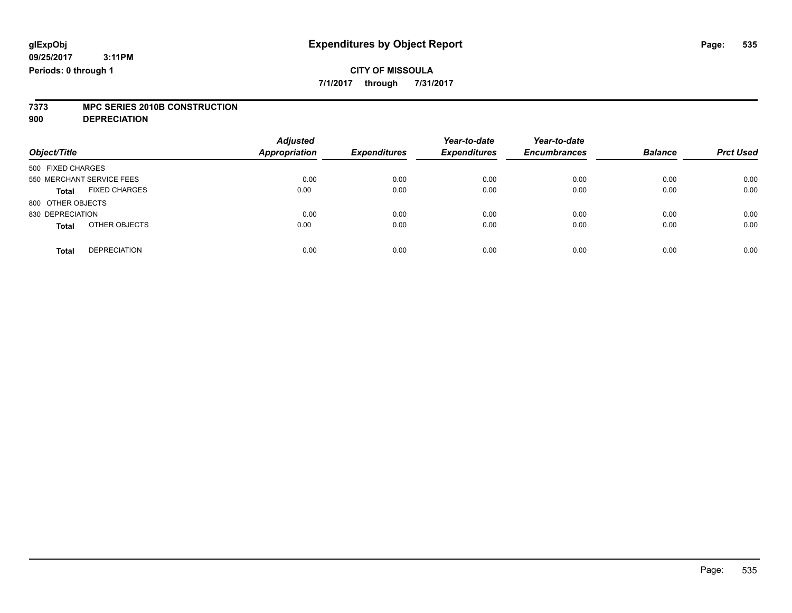**7/1/2017 through 7/31/2017**

# **7373 MPC SERIES 2010B CONSTRUCTION**

**900 DEPRECIATION**

| Object/Title                         | <b>Adjusted</b><br><b>Appropriation</b> | <b>Expenditures</b> | Year-to-date<br><b>Expenditures</b> | Year-to-date<br><b>Encumbrances</b> | <b>Balance</b> | <b>Prct Used</b> |
|--------------------------------------|-----------------------------------------|---------------------|-------------------------------------|-------------------------------------|----------------|------------------|
| 500 FIXED CHARGES                    |                                         |                     |                                     |                                     |                |                  |
| 550 MERCHANT SERVICE FEES            | 0.00                                    | 0.00                | 0.00                                | 0.00                                | 0.00           | 0.00             |
| <b>FIXED CHARGES</b><br><b>Total</b> | 0.00                                    | 0.00                | 0.00                                | 0.00                                | 0.00           | 0.00             |
| 800 OTHER OBJECTS                    |                                         |                     |                                     |                                     |                |                  |
| 830 DEPRECIATION                     | 0.00                                    | 0.00                | 0.00                                | 0.00                                | 0.00           | 0.00             |
| OTHER OBJECTS<br><b>Total</b>        | 0.00                                    | 0.00                | 0.00                                | 0.00                                | 0.00           | 0.00             |
| <b>DEPRECIATION</b><br><b>Total</b>  | 0.00                                    | 0.00                | 0.00                                | 0.00                                | 0.00           | 0.00             |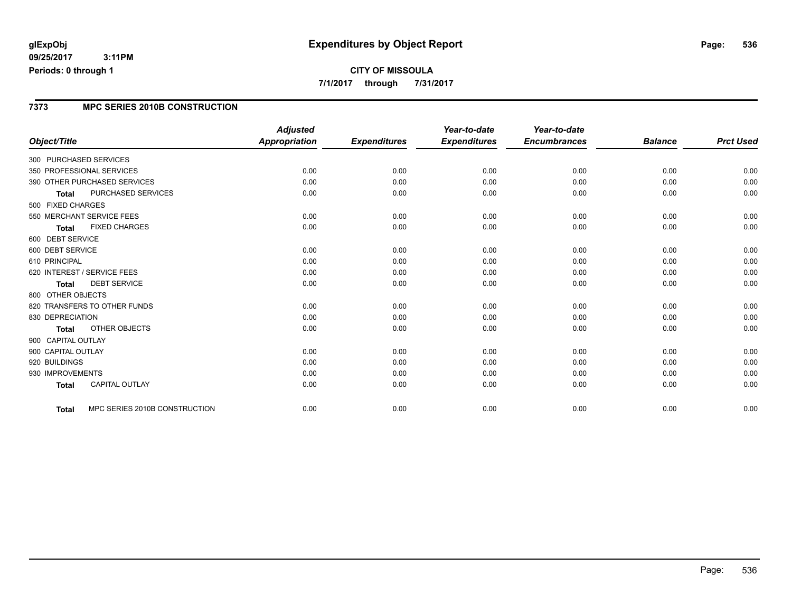### **CITY OF MISSOULA 7/1/2017 through 7/31/2017**

#### **7373 MPC SERIES 2010B CONSTRUCTION**

| Object/Title                |                               | <b>Adjusted</b><br><b>Appropriation</b> | <b>Expenditures</b> | Year-to-date<br><b>Expenditures</b> | Year-to-date<br><b>Encumbrances</b> | <b>Balance</b> | <b>Prct Used</b> |
|-----------------------------|-------------------------------|-----------------------------------------|---------------------|-------------------------------------|-------------------------------------|----------------|------------------|
|                             |                               |                                         |                     |                                     |                                     |                |                  |
| 300 PURCHASED SERVICES      |                               |                                         |                     |                                     |                                     |                |                  |
| 350 PROFESSIONAL SERVICES   |                               | 0.00                                    | 0.00                | 0.00                                | 0.00                                | 0.00           | 0.00             |
|                             | 390 OTHER PURCHASED SERVICES  | 0.00                                    | 0.00                | 0.00                                | 0.00                                | 0.00           | 0.00             |
| <b>Total</b>                | PURCHASED SERVICES            | 0.00                                    | 0.00                | 0.00                                | 0.00                                | 0.00           | 0.00             |
| 500 FIXED CHARGES           |                               |                                         |                     |                                     |                                     |                |                  |
| 550 MERCHANT SERVICE FEES   |                               | 0.00                                    | 0.00                | 0.00                                | 0.00                                | 0.00           | 0.00             |
| <b>Total</b>                | <b>FIXED CHARGES</b>          | 0.00                                    | 0.00                | 0.00                                | 0.00                                | 0.00           | 0.00             |
| 600 DEBT SERVICE            |                               |                                         |                     |                                     |                                     |                |                  |
| 600 DEBT SERVICE            |                               | 0.00                                    | 0.00                | 0.00                                | 0.00                                | 0.00           | 0.00             |
| 610 PRINCIPAL               |                               | 0.00                                    | 0.00                | 0.00                                | 0.00                                | 0.00           | 0.00             |
| 620 INTEREST / SERVICE FEES |                               | 0.00                                    | 0.00                | 0.00                                | 0.00                                | 0.00           | 0.00             |
| Total                       | <b>DEBT SERVICE</b>           | 0.00                                    | 0.00                | 0.00                                | 0.00                                | 0.00           | 0.00             |
| 800 OTHER OBJECTS           |                               |                                         |                     |                                     |                                     |                |                  |
|                             | 820 TRANSFERS TO OTHER FUNDS  | 0.00                                    | 0.00                | 0.00                                | 0.00                                | 0.00           | 0.00             |
| 830 DEPRECIATION            |                               | 0.00                                    | 0.00                | 0.00                                | 0.00                                | 0.00           | 0.00             |
| Total                       | OTHER OBJECTS                 | 0.00                                    | 0.00                | 0.00                                | 0.00                                | 0.00           | 0.00             |
| 900 CAPITAL OUTLAY          |                               |                                         |                     |                                     |                                     |                |                  |
| 900 CAPITAL OUTLAY          |                               | 0.00                                    | 0.00                | 0.00                                | 0.00                                | 0.00           | 0.00             |
| 920 BUILDINGS               |                               | 0.00                                    | 0.00                | 0.00                                | 0.00                                | 0.00           | 0.00             |
| 930 IMPROVEMENTS            |                               | 0.00                                    | 0.00                | 0.00                                | 0.00                                | 0.00           | 0.00             |
| <b>Total</b>                | <b>CAPITAL OUTLAY</b>         | 0.00                                    | 0.00                | 0.00                                | 0.00                                | 0.00           | 0.00             |
| <b>Total</b>                | MPC SERIES 2010B CONSTRUCTION | 0.00                                    | 0.00                | 0.00                                | 0.00                                | 0.00           | 0.00             |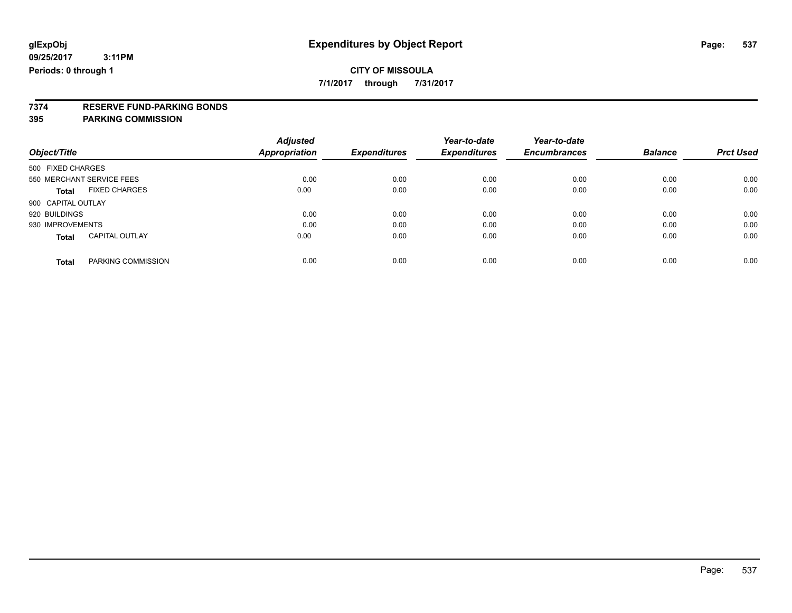**7/1/2017 through 7/31/2017**

# **7374 RESERVE FUND-PARKING BONDS**

### **395 PARKING COMMISSION**

| Object/Title              |                       | <b>Adjusted</b><br><b>Appropriation</b> | <b>Expenditures</b> | Year-to-date<br><b>Expenditures</b> | Year-to-date<br><b>Encumbrances</b> | <b>Balance</b> | <b>Prct Used</b> |
|---------------------------|-----------------------|-----------------------------------------|---------------------|-------------------------------------|-------------------------------------|----------------|------------------|
| 500 FIXED CHARGES         |                       |                                         |                     |                                     |                                     |                |                  |
| 550 MERCHANT SERVICE FEES |                       | 0.00                                    | 0.00                | 0.00                                | 0.00                                | 0.00           | 0.00             |
| <b>Total</b>              | <b>FIXED CHARGES</b>  | 0.00                                    | 0.00                | 0.00                                | 0.00                                | 0.00           | 0.00             |
| 900 CAPITAL OUTLAY        |                       |                                         |                     |                                     |                                     |                |                  |
| 920 BUILDINGS             |                       | 0.00                                    | 0.00                | 0.00                                | 0.00                                | 0.00           | 0.00             |
| 930 IMPROVEMENTS          |                       | 0.00                                    | 0.00                | 0.00                                | 0.00                                | 0.00           | 0.00             |
| <b>Total</b>              | <b>CAPITAL OUTLAY</b> | 0.00                                    | 0.00                | 0.00                                | 0.00                                | 0.00           | 0.00             |
| <b>Total</b>              | PARKING COMMISSION    | 0.00                                    | 0.00                | 0.00                                | 0.00                                | 0.00           | 0.00             |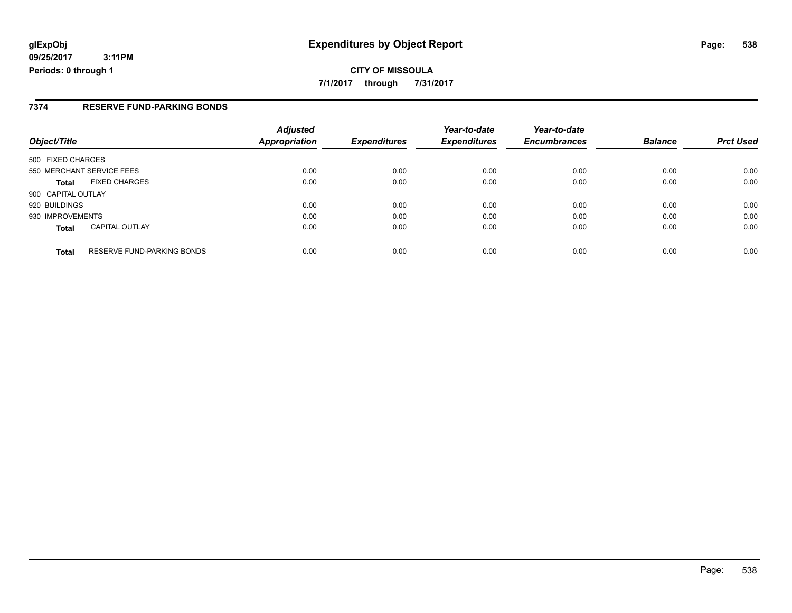#### **7374 RESERVE FUND-PARKING BONDS**

| Object/Title              |                                   | <b>Adjusted</b><br><b>Appropriation</b> | <b>Expenditures</b> | Year-to-date<br><b>Expenditures</b> | Year-to-date<br><b>Encumbrances</b> | <b>Balance</b> | <b>Prct Used</b> |
|---------------------------|-----------------------------------|-----------------------------------------|---------------------|-------------------------------------|-------------------------------------|----------------|------------------|
| 500 FIXED CHARGES         |                                   |                                         |                     |                                     |                                     |                |                  |
|                           |                                   |                                         |                     |                                     |                                     |                |                  |
| 550 MERCHANT SERVICE FEES |                                   | 0.00                                    | 0.00                | 0.00                                | 0.00                                | 0.00           | 0.00             |
| <b>Total</b>              | <b>FIXED CHARGES</b>              | 0.00                                    | 0.00                | 0.00                                | 0.00                                | 0.00           | 0.00             |
| 900 CAPITAL OUTLAY        |                                   |                                         |                     |                                     |                                     |                |                  |
| 920 BUILDINGS             |                                   | 0.00                                    | 0.00                | 0.00                                | 0.00                                | 0.00           | 0.00             |
| 930 IMPROVEMENTS          |                                   | 0.00                                    | 0.00                | 0.00                                | 0.00                                | 0.00           | 0.00             |
| <b>Total</b>              | <b>CAPITAL OUTLAY</b>             | 0.00                                    | 0.00                | 0.00                                | 0.00                                | 0.00           | 0.00             |
| <b>Total</b>              | <b>RESERVE FUND-PARKING BONDS</b> | 0.00                                    | 0.00                | 0.00                                | 0.00                                | 0.00           | 0.00             |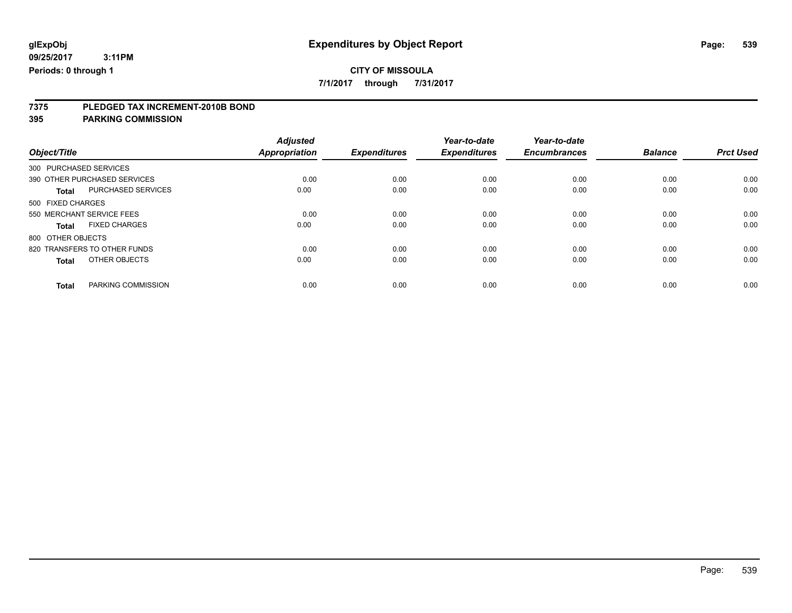**7/1/2017 through 7/31/2017**

# **7375 PLEDGED TAX INCREMENT-2010B BOND**

**395 PARKING COMMISSION**

|                                      | <b>Adjusted</b> |                     | Year-to-date        | Year-to-date        |                |                  |
|--------------------------------------|-----------------|---------------------|---------------------|---------------------|----------------|------------------|
| Object/Title                         | Appropriation   | <b>Expenditures</b> | <b>Expenditures</b> | <b>Encumbrances</b> | <b>Balance</b> | <b>Prct Used</b> |
| 300 PURCHASED SERVICES               |                 |                     |                     |                     |                |                  |
| 390 OTHER PURCHASED SERVICES         | 0.00            | 0.00                | 0.00                | 0.00                | 0.00           | 0.00             |
| PURCHASED SERVICES<br><b>Total</b>   | 0.00            | 0.00                | 0.00                | 0.00                | 0.00           | 0.00             |
| 500 FIXED CHARGES                    |                 |                     |                     |                     |                |                  |
| 550 MERCHANT SERVICE FEES            | 0.00            | 0.00                | 0.00                | 0.00                | 0.00           | 0.00             |
| <b>FIXED CHARGES</b><br><b>Total</b> | 0.00            | 0.00                | 0.00                | 0.00                | 0.00           | 0.00             |
| 800 OTHER OBJECTS                    |                 |                     |                     |                     |                |                  |
| 820 TRANSFERS TO OTHER FUNDS         | 0.00            | 0.00                | 0.00                | 0.00                | 0.00           | 0.00             |
| OTHER OBJECTS<br><b>Total</b>        | 0.00            | 0.00                | 0.00                | 0.00                | 0.00           | 0.00             |
|                                      |                 |                     |                     |                     |                |                  |
| PARKING COMMISSION<br><b>Total</b>   | 0.00            | 0.00                | 0.00                | 0.00                | 0.00           | 0.00             |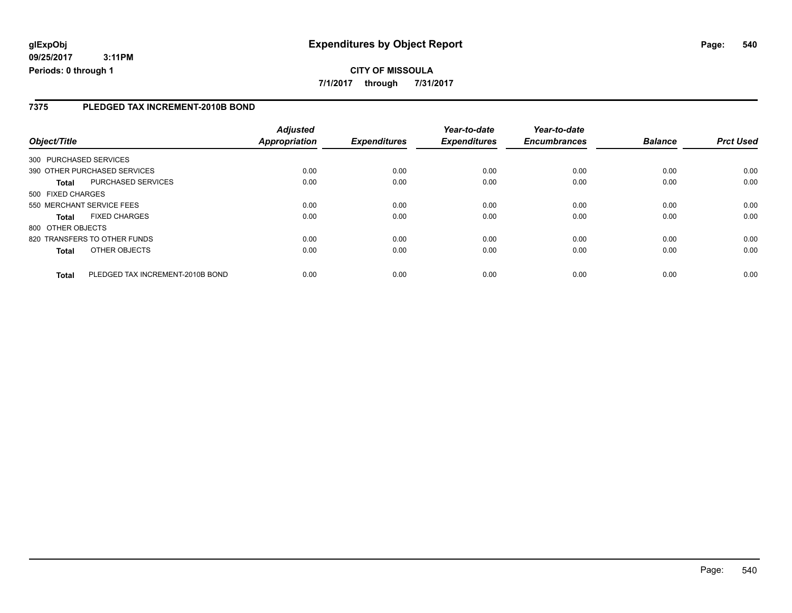### **7375 PLEDGED TAX INCREMENT-2010B BOND**

|                        |                                  | <b>Adjusted</b> |                     | Year-to-date        | Year-to-date        |                |                  |
|------------------------|----------------------------------|-----------------|---------------------|---------------------|---------------------|----------------|------------------|
| Object/Title           |                                  | Appropriation   | <b>Expenditures</b> | <b>Expenditures</b> | <b>Encumbrances</b> | <b>Balance</b> | <b>Prct Used</b> |
| 300 PURCHASED SERVICES |                                  |                 |                     |                     |                     |                |                  |
|                        | 390 OTHER PURCHASED SERVICES     | 0.00            | 0.00                | 0.00                | 0.00                | 0.00           | 0.00             |
| <b>Total</b>           | PURCHASED SERVICES               | 0.00            | 0.00                | 0.00                | 0.00                | 0.00           | 0.00             |
| 500 FIXED CHARGES      |                                  |                 |                     |                     |                     |                |                  |
|                        | 550 MERCHANT SERVICE FEES        | 0.00            | 0.00                | 0.00                | 0.00                | 0.00           | 0.00             |
| <b>Total</b>           | <b>FIXED CHARGES</b>             | 0.00            | 0.00                | 0.00                | 0.00                | 0.00           | 0.00             |
| 800 OTHER OBJECTS      |                                  |                 |                     |                     |                     |                |                  |
|                        | 820 TRANSFERS TO OTHER FUNDS     | 0.00            | 0.00                | 0.00                | 0.00                | 0.00           | 0.00             |
| <b>Total</b>           | OTHER OBJECTS                    | 0.00            | 0.00                | 0.00                | 0.00                | 0.00           | 0.00             |
| <b>Total</b>           | PLEDGED TAX INCREMENT-2010B BOND | 0.00            | 0.00                | 0.00                | 0.00                | 0.00           | 0.00             |

Page: 540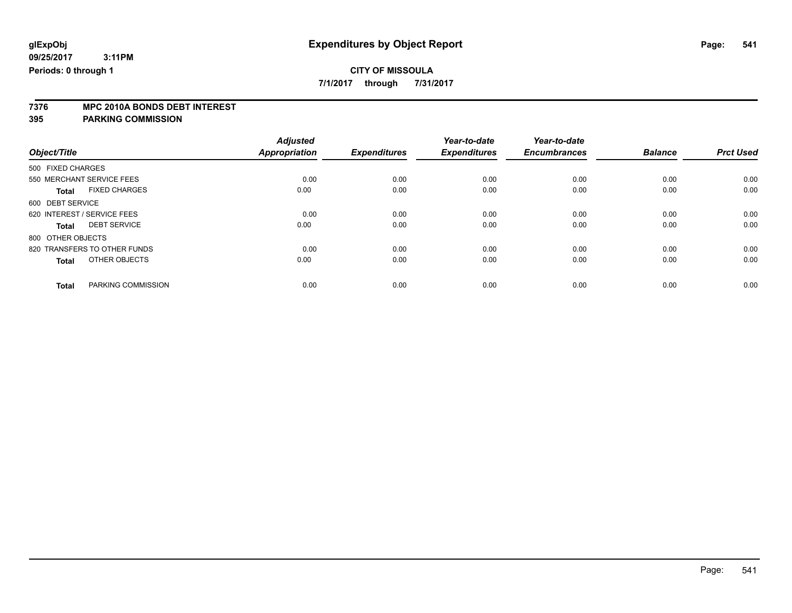**7/1/2017 through 7/31/2017**

# **7376 MPC 2010A BONDS DEBT INTEREST**

#### **395 PARKING COMMISSION**

| Object/Title                        |                      | <b>Adjusted</b><br><b>Appropriation</b> | <b>Expenditures</b> | Year-to-date<br><b>Expenditures</b> | Year-to-date<br><b>Encumbrances</b> | <b>Balance</b> | <b>Prct Used</b> |
|-------------------------------------|----------------------|-----------------------------------------|---------------------|-------------------------------------|-------------------------------------|----------------|------------------|
| 500 FIXED CHARGES                   |                      |                                         |                     |                                     |                                     |                |                  |
| 550 MERCHANT SERVICE FEES           |                      | 0.00                                    | 0.00                | 0.00                                | 0.00                                | 0.00           | 0.00             |
| <b>Total</b>                        | <b>FIXED CHARGES</b> | 0.00                                    | 0.00                | 0.00                                | 0.00                                | 0.00           | 0.00             |
| 600 DEBT SERVICE                    |                      |                                         |                     |                                     |                                     |                |                  |
| 620 INTEREST / SERVICE FEES         |                      | 0.00                                    | 0.00                | 0.00                                | 0.00                                | 0.00           | 0.00             |
| <b>DEBT SERVICE</b><br><b>Total</b> |                      | 0.00                                    | 0.00                | 0.00                                | 0.00                                | 0.00           | 0.00             |
| 800 OTHER OBJECTS                   |                      |                                         |                     |                                     |                                     |                |                  |
| 820 TRANSFERS TO OTHER FUNDS        |                      | 0.00                                    | 0.00                | 0.00                                | 0.00                                | 0.00           | 0.00             |
| <b>Total</b>                        | OTHER OBJECTS        | 0.00                                    | 0.00                | 0.00                                | 0.00                                | 0.00           | 0.00             |
|                                     |                      |                                         |                     |                                     |                                     |                |                  |
| <b>Total</b>                        | PARKING COMMISSION   | 0.00                                    | 0.00                | 0.00                                | 0.00                                | 0.00           | 0.00             |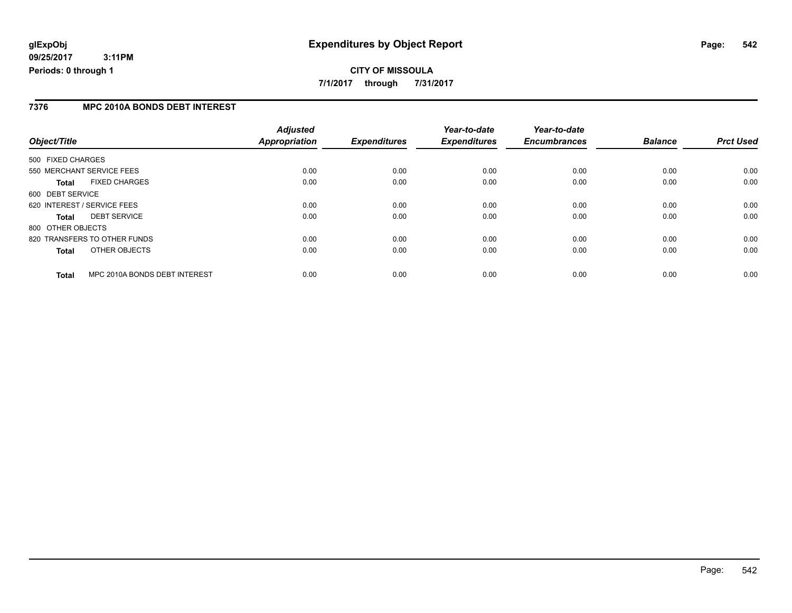#### **7376 MPC 2010A BONDS DEBT INTEREST**

|                                               | <b>Adjusted</b> |                     | Year-to-date        | Year-to-date<br><b>Encumbrances</b> | <b>Balance</b> | <b>Prct Used</b> |
|-----------------------------------------------|-----------------|---------------------|---------------------|-------------------------------------|----------------|------------------|
| Object/Title                                  | Appropriation   | <b>Expenditures</b> | <b>Expenditures</b> |                                     |                |                  |
| 500 FIXED CHARGES                             |                 |                     |                     |                                     |                |                  |
| 550 MERCHANT SERVICE FEES                     | 0.00            | 0.00                | 0.00                | 0.00                                | 0.00           | 0.00             |
| <b>FIXED CHARGES</b><br><b>Total</b>          | 0.00            | 0.00                | 0.00                | 0.00                                | 0.00           | 0.00             |
| 600 DEBT SERVICE                              |                 |                     |                     |                                     |                |                  |
| 620 INTEREST / SERVICE FEES                   | 0.00            | 0.00                | 0.00                | 0.00                                | 0.00           | 0.00             |
| <b>DEBT SERVICE</b><br><b>Total</b>           | 0.00            | 0.00                | 0.00                | 0.00                                | 0.00           | 0.00             |
| 800 OTHER OBJECTS                             |                 |                     |                     |                                     |                |                  |
| 820 TRANSFERS TO OTHER FUNDS                  | 0.00            | 0.00                | 0.00                | 0.00                                | 0.00           | 0.00             |
| OTHER OBJECTS<br><b>Total</b>                 | 0.00            | 0.00                | 0.00                | 0.00                                | 0.00           | 0.00             |
| MPC 2010A BONDS DEBT INTEREST<br><b>Total</b> | 0.00            | 0.00                | 0.00                | 0.00                                | 0.00           | 0.00             |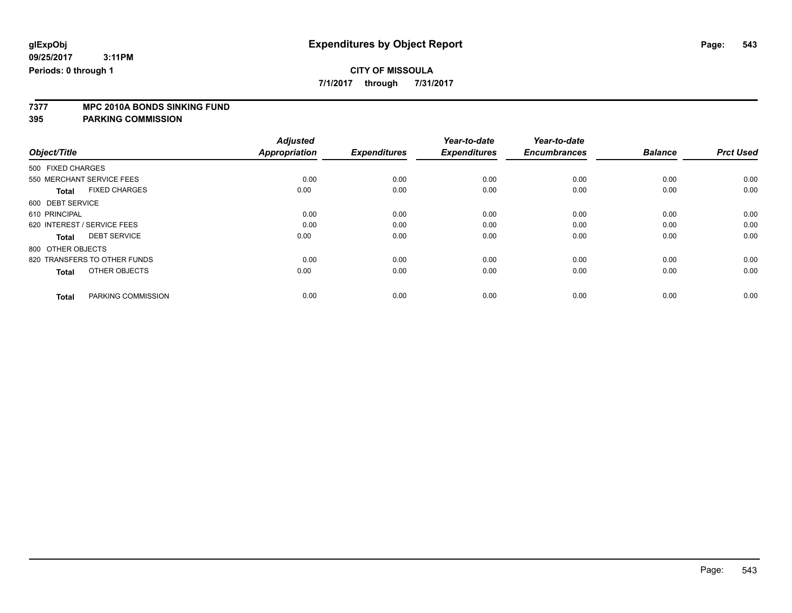**7/1/2017 through 7/31/2017**

# **7377 MPC 2010A BONDS SINKING FUND**

**395 PARKING COMMISSION**

|                                      | <b>Adjusted</b>      |                     | Year-to-date        | Year-to-date        |                |                  |
|--------------------------------------|----------------------|---------------------|---------------------|---------------------|----------------|------------------|
| Object/Title                         | <b>Appropriation</b> | <b>Expenditures</b> | <b>Expenditures</b> | <b>Encumbrances</b> | <b>Balance</b> | <b>Prct Used</b> |
| 500 FIXED CHARGES                    |                      |                     |                     |                     |                |                  |
| 550 MERCHANT SERVICE FEES            | 0.00                 | 0.00                | 0.00                | 0.00                | 0.00           | 0.00             |
| <b>FIXED CHARGES</b><br><b>Total</b> | 0.00                 | 0.00                | 0.00                | 0.00                | 0.00           | 0.00             |
| 600 DEBT SERVICE                     |                      |                     |                     |                     |                |                  |
| 610 PRINCIPAL                        | 0.00                 | 0.00                | 0.00                | 0.00                | 0.00           | 0.00             |
| 620 INTEREST / SERVICE FEES          | 0.00                 | 0.00                | 0.00                | 0.00                | 0.00           | 0.00             |
| <b>DEBT SERVICE</b><br><b>Total</b>  | 0.00                 | 0.00                | 0.00                | 0.00                | 0.00           | 0.00             |
| 800 OTHER OBJECTS                    |                      |                     |                     |                     |                |                  |
| 820 TRANSFERS TO OTHER FUNDS         | 0.00                 | 0.00                | 0.00                | 0.00                | 0.00           | 0.00             |
| OTHER OBJECTS<br><b>Total</b>        | 0.00                 | 0.00                | 0.00                | 0.00                | 0.00           | 0.00             |
|                                      |                      |                     |                     |                     |                |                  |
| PARKING COMMISSION<br><b>Total</b>   | 0.00                 | 0.00                | 0.00                | 0.00                | 0.00           | 0.00             |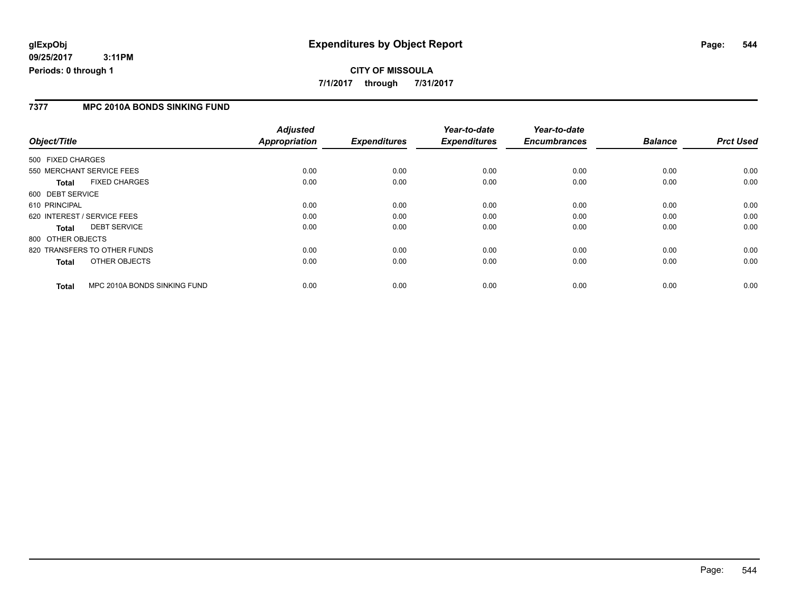#### **7377 MPC 2010A BONDS SINKING FUND**

|                             |                              | <b>Adjusted</b>      |                     | Year-to-date        | Year-to-date        |                |                  |
|-----------------------------|------------------------------|----------------------|---------------------|---------------------|---------------------|----------------|------------------|
| Object/Title                |                              | <b>Appropriation</b> | <b>Expenditures</b> | <b>Expenditures</b> | <b>Encumbrances</b> | <b>Balance</b> | <b>Prct Used</b> |
| 500 FIXED CHARGES           |                              |                      |                     |                     |                     |                |                  |
|                             | 550 MERCHANT SERVICE FEES    | 0.00                 | 0.00                | 0.00                | 0.00                | 0.00           | 0.00             |
| <b>Total</b>                | <b>FIXED CHARGES</b>         | 0.00                 | 0.00                | 0.00                | 0.00                | 0.00           | 0.00             |
| 600 DEBT SERVICE            |                              |                      |                     |                     |                     |                |                  |
| 610 PRINCIPAL               |                              | 0.00                 | 0.00                | 0.00                | 0.00                | 0.00           | 0.00             |
| 620 INTEREST / SERVICE FEES |                              | 0.00                 | 0.00                | 0.00                | 0.00                | 0.00           | 0.00             |
| Total                       | <b>DEBT SERVICE</b>          | 0.00                 | 0.00                | 0.00                | 0.00                | 0.00           | 0.00             |
| 800 OTHER OBJECTS           |                              |                      |                     |                     |                     |                |                  |
|                             | 820 TRANSFERS TO OTHER FUNDS | 0.00                 | 0.00                | 0.00                | 0.00                | 0.00           | 0.00             |
| <b>Total</b>                | OTHER OBJECTS                | 0.00                 | 0.00                | 0.00                | 0.00                | 0.00           | 0.00             |
| <b>Total</b>                | MPC 2010A BONDS SINKING FUND | 0.00                 | 0.00                | 0.00                | 0.00                | 0.00           | 0.00             |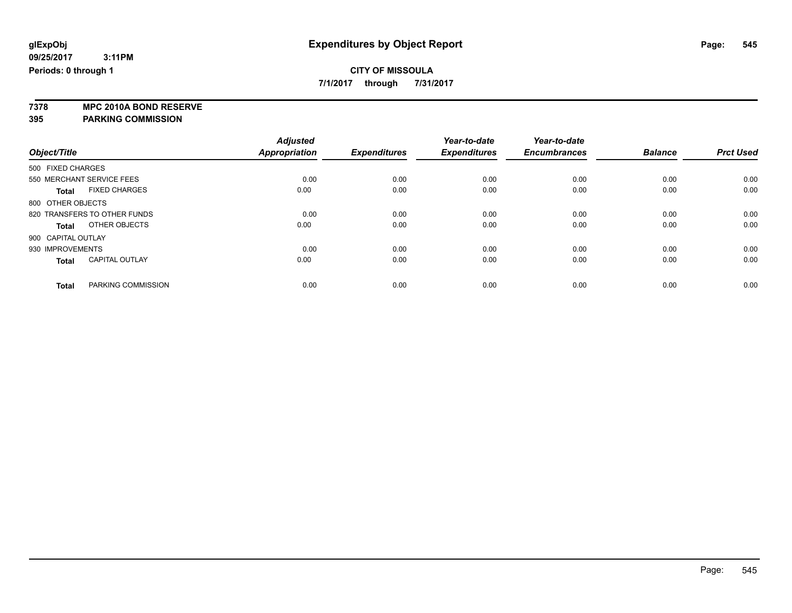**7/1/2017 through 7/31/2017**

**7378 MPC 2010A BOND RESERVE**

**395 PARKING COMMISSION**

|                                       | <b>Adjusted</b><br>Appropriation | <b>Expenditures</b> | Year-to-date<br><b>Expenditures</b> | Year-to-date<br><b>Encumbrances</b> | <b>Balance</b> | <b>Prct Used</b> |
|---------------------------------------|----------------------------------|---------------------|-------------------------------------|-------------------------------------|----------------|------------------|
| Object/Title                          |                                  |                     |                                     |                                     |                |                  |
| 500 FIXED CHARGES                     |                                  |                     |                                     |                                     |                |                  |
| 550 MERCHANT SERVICE FEES             | 0.00                             | 0.00                | 0.00                                | 0.00                                | 0.00           | 0.00             |
| <b>FIXED CHARGES</b><br><b>Total</b>  | 0.00                             | 0.00                | 0.00                                | 0.00                                | 0.00           | 0.00             |
| 800 OTHER OBJECTS                     |                                  |                     |                                     |                                     |                |                  |
| 820 TRANSFERS TO OTHER FUNDS          | 0.00                             | 0.00                | 0.00                                | 0.00                                | 0.00           | 0.00             |
| OTHER OBJECTS<br>Total                | 0.00                             | 0.00                | 0.00                                | 0.00                                | 0.00           | 0.00             |
| 900 CAPITAL OUTLAY                    |                                  |                     |                                     |                                     |                |                  |
| 930 IMPROVEMENTS                      | 0.00                             | 0.00                | 0.00                                | 0.00                                | 0.00           | 0.00             |
| <b>CAPITAL OUTLAY</b><br><b>Total</b> | 0.00                             | 0.00                | 0.00                                | 0.00                                | 0.00           | 0.00             |
|                                       |                                  |                     |                                     |                                     |                |                  |
| PARKING COMMISSION<br><b>Total</b>    | 0.00                             | 0.00                | 0.00                                | 0.00                                | 0.00           | 0.00             |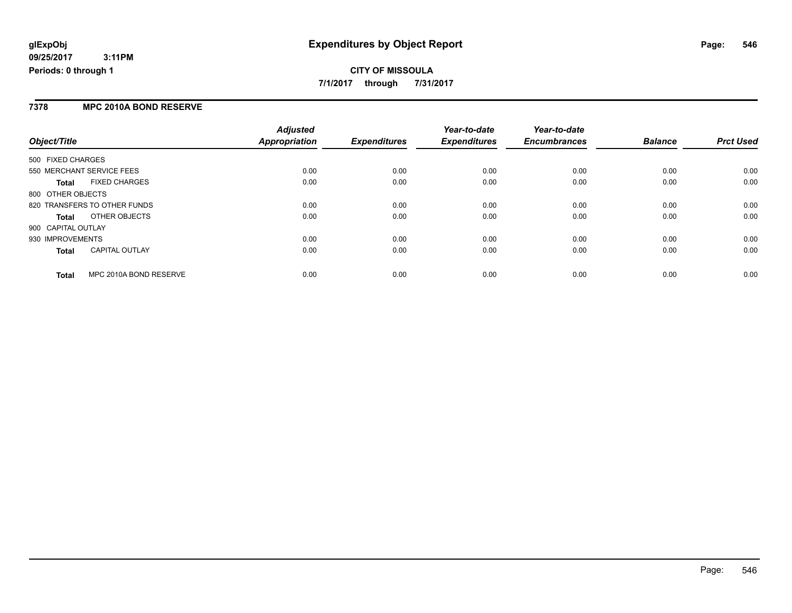#### **7378 MPC 2010A BOND RESERVE**

|                                        | <b>Adjusted</b> | <b>Expenditures</b> | Year-to-date<br><b>Expenditures</b> | Year-to-date<br><b>Encumbrances</b> | <b>Balance</b> | <b>Prct Used</b> |
|----------------------------------------|-----------------|---------------------|-------------------------------------|-------------------------------------|----------------|------------------|
| Object/Title                           | Appropriation   |                     |                                     |                                     |                |                  |
| 500 FIXED CHARGES                      |                 |                     |                                     |                                     |                |                  |
| 550 MERCHANT SERVICE FEES              | 0.00            | 0.00                | 0.00                                | 0.00                                | 0.00           | 0.00             |
| <b>FIXED CHARGES</b><br><b>Total</b>   | 0.00            | 0.00                | 0.00                                | 0.00                                | 0.00           | 0.00             |
| 800 OTHER OBJECTS                      |                 |                     |                                     |                                     |                |                  |
| 820 TRANSFERS TO OTHER FUNDS           | 0.00            | 0.00                | 0.00                                | 0.00                                | 0.00           | 0.00             |
| OTHER OBJECTS<br><b>Total</b>          | 0.00            | 0.00                | 0.00                                | 0.00                                | 0.00           | 0.00             |
| 900 CAPITAL OUTLAY                     |                 |                     |                                     |                                     |                |                  |
| 930 IMPROVEMENTS                       | 0.00            | 0.00                | 0.00                                | 0.00                                | 0.00           | 0.00             |
| <b>CAPITAL OUTLAY</b><br><b>Total</b>  | 0.00            | 0.00                | 0.00                                | 0.00                                | 0.00           | 0.00             |
| MPC 2010A BOND RESERVE<br><b>Total</b> | 0.00            | 0.00                | 0.00                                | 0.00                                | 0.00           | 0.00             |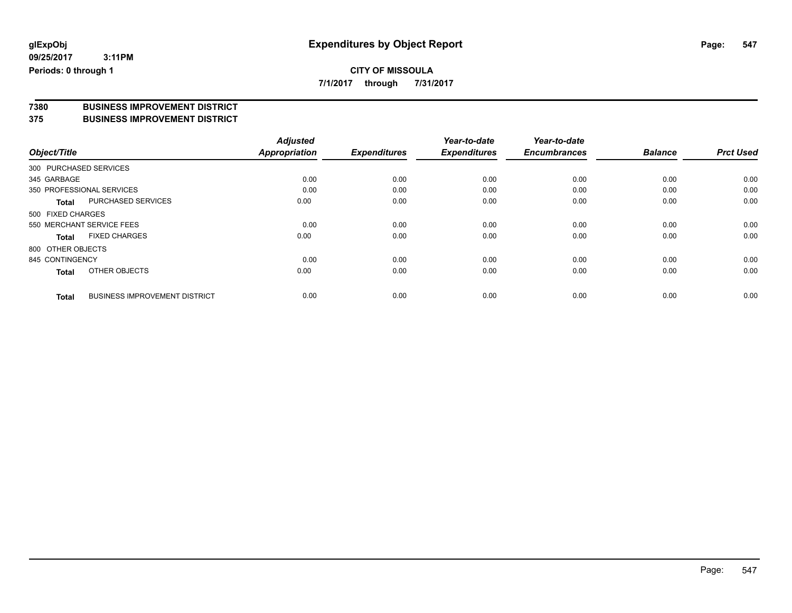**7/1/2017 through 7/31/2017**

# **7380 BUSINESS IMPROVEMENT DISTRICT**

**375 BUSINESS IMPROVEMENT DISTRICT**

| Object/Title           |                                      | <b>Adjusted</b><br><b>Appropriation</b> | <b>Expenditures</b> | Year-to-date<br><b>Expenditures</b> | Year-to-date<br><b>Encumbrances</b> | <b>Balance</b> | <b>Prct Used</b> |
|------------------------|--------------------------------------|-----------------------------------------|---------------------|-------------------------------------|-------------------------------------|----------------|------------------|
| 300 PURCHASED SERVICES |                                      |                                         |                     |                                     |                                     |                |                  |
| 345 GARBAGE            |                                      | 0.00                                    | 0.00                | 0.00                                | 0.00                                | 0.00           | 0.00             |
|                        | 350 PROFESSIONAL SERVICES            | 0.00                                    | 0.00                | 0.00                                | 0.00                                | 0.00           | 0.00             |
| <b>Total</b>           | <b>PURCHASED SERVICES</b>            | 0.00                                    | 0.00                | 0.00                                | 0.00                                | 0.00           | 0.00             |
| 500 FIXED CHARGES      |                                      |                                         |                     |                                     |                                     |                |                  |
|                        | 550 MERCHANT SERVICE FEES            | 0.00                                    | 0.00                | 0.00                                | 0.00                                | 0.00           | 0.00             |
| <b>Total</b>           | <b>FIXED CHARGES</b>                 | 0.00                                    | 0.00                | 0.00                                | 0.00                                | 0.00           | 0.00             |
| 800 OTHER OBJECTS      |                                      |                                         |                     |                                     |                                     |                |                  |
| 845 CONTINGENCY        |                                      | 0.00                                    | 0.00                | 0.00                                | 0.00                                | 0.00           | 0.00             |
| <b>Total</b>           | OTHER OBJECTS                        | 0.00                                    | 0.00                | 0.00                                | 0.00                                | 0.00           | 0.00             |
| <b>Total</b>           | <b>BUSINESS IMPROVEMENT DISTRICT</b> | 0.00                                    | 0.00                | 0.00                                | 0.00                                | 0.00           | 0.00             |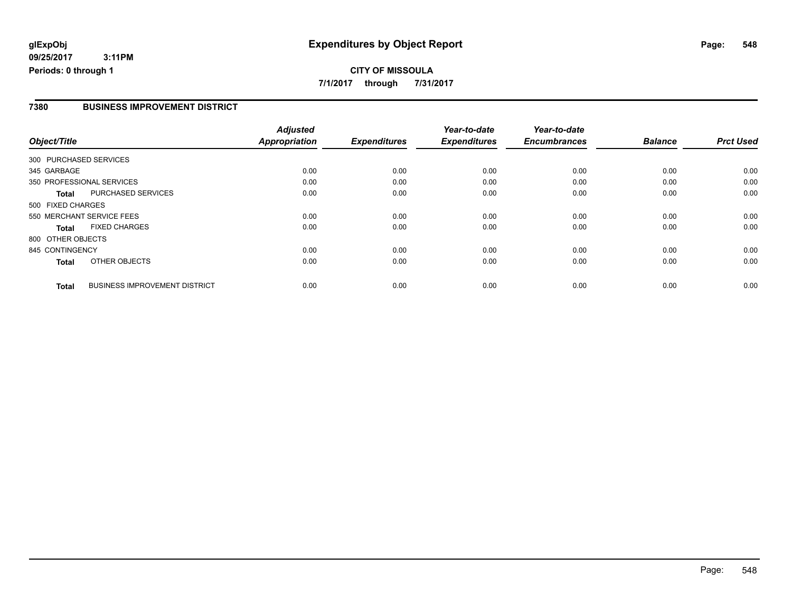#### **7380 BUSINESS IMPROVEMENT DISTRICT**

|                        |                                      | <b>Adjusted</b>      |                     | Year-to-date        | Year-to-date        |                |                  |
|------------------------|--------------------------------------|----------------------|---------------------|---------------------|---------------------|----------------|------------------|
| Object/Title           |                                      | <b>Appropriation</b> | <b>Expenditures</b> | <b>Expenditures</b> | <b>Encumbrances</b> | <b>Balance</b> | <b>Prct Used</b> |
| 300 PURCHASED SERVICES |                                      |                      |                     |                     |                     |                |                  |
| 345 GARBAGE            |                                      | 0.00                 | 0.00                | 0.00                | 0.00                | 0.00           | 0.00             |
|                        | 350 PROFESSIONAL SERVICES            | 0.00                 | 0.00                | 0.00                | 0.00                | 0.00           | 0.00             |
| <b>Total</b>           | PURCHASED SERVICES                   | 0.00                 | 0.00                | 0.00                | 0.00                | 0.00           | 0.00             |
| 500 FIXED CHARGES      |                                      |                      |                     |                     |                     |                |                  |
|                        | 550 MERCHANT SERVICE FEES            | 0.00                 | 0.00                | 0.00                | 0.00                | 0.00           | 0.00             |
| <b>Total</b>           | <b>FIXED CHARGES</b>                 | 0.00                 | 0.00                | 0.00                | 0.00                | 0.00           | 0.00             |
| 800 OTHER OBJECTS      |                                      |                      |                     |                     |                     |                |                  |
| 845 CONTINGENCY        |                                      | 0.00                 | 0.00                | 0.00                | 0.00                | 0.00           | 0.00             |
| <b>Total</b>           | OTHER OBJECTS                        | 0.00                 | 0.00                | 0.00                | 0.00                | 0.00           | 0.00             |
| <b>Total</b>           | <b>BUSINESS IMPROVEMENT DISTRICT</b> | 0.00                 | 0.00                | 0.00                | 0.00                | 0.00           | 0.00             |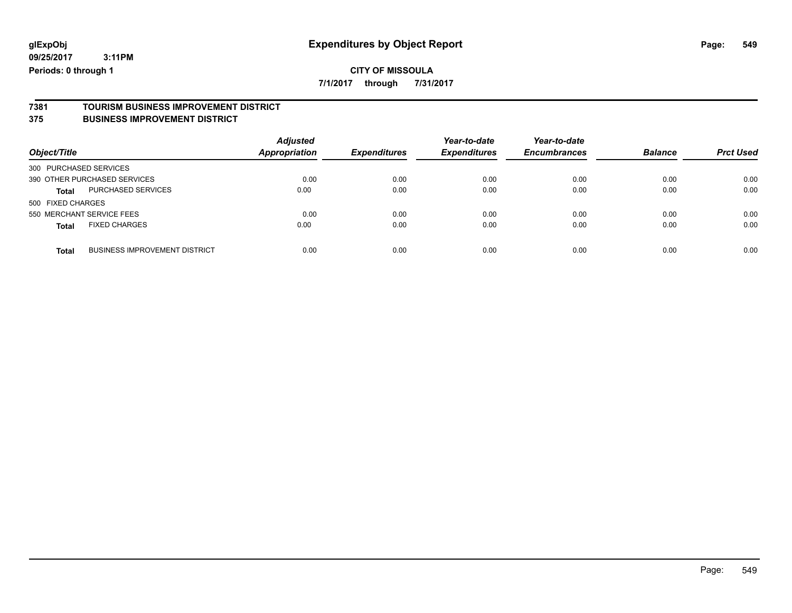**7/1/2017 through 7/31/2017**

# **7381 TOURISM BUSINESS IMPROVEMENT DISTRICT**

#### **375 BUSINESS IMPROVEMENT DISTRICT**

| Object/Title              |                                      | <b>Adjusted</b><br><b>Appropriation</b> | <b>Expenditures</b> | Year-to-date<br><b>Expenditures</b> | Year-to-date<br><b>Encumbrances</b> | <b>Balance</b> | <b>Prct Used</b> |
|---------------------------|--------------------------------------|-----------------------------------------|---------------------|-------------------------------------|-------------------------------------|----------------|------------------|
| 300 PURCHASED SERVICES    |                                      |                                         |                     |                                     |                                     |                |                  |
|                           | 390 OTHER PURCHASED SERVICES         | 0.00                                    | 0.00                | 0.00                                | 0.00                                | 0.00           | 0.00             |
| <b>Total</b>              | PURCHASED SERVICES                   | 0.00                                    | 0.00                | 0.00                                | 0.00                                | 0.00           | 0.00             |
| 500 FIXED CHARGES         |                                      |                                         |                     |                                     |                                     |                |                  |
| 550 MERCHANT SERVICE FEES |                                      | 0.00                                    | 0.00                | 0.00                                | 0.00                                | 0.00           | 0.00             |
| <b>Total</b>              | <b>FIXED CHARGES</b>                 | 0.00                                    | 0.00                | 0.00                                | 0.00                                | 0.00           | 0.00             |
| <b>Total</b>              | <b>BUSINESS IMPROVEMENT DISTRICT</b> | 0.00                                    | 0.00                | 0.00                                | 0.00                                | 0.00           | 0.00             |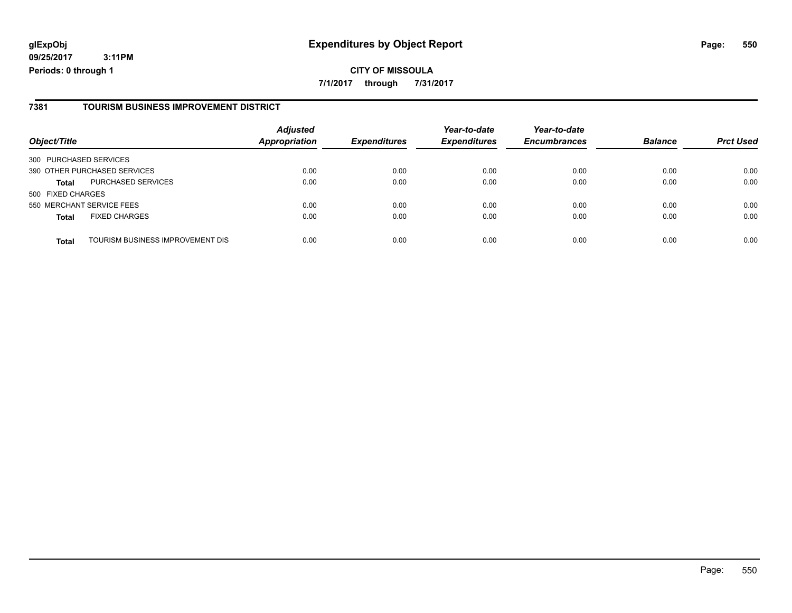**CITY OF MISSOULA 7/1/2017 through 7/31/2017**

#### **7381 TOURISM BUSINESS IMPROVEMENT DISTRICT**

|                                                  | <b>Adjusted</b>      |                     | Year-to-date        | Year-to-date        |                |                  |
|--------------------------------------------------|----------------------|---------------------|---------------------|---------------------|----------------|------------------|
| Object/Title                                     | <b>Appropriation</b> | <b>Expenditures</b> | <b>Expenditures</b> | <b>Encumbrances</b> | <b>Balance</b> | <b>Prct Used</b> |
| 300 PURCHASED SERVICES                           |                      |                     |                     |                     |                |                  |
| 390 OTHER PURCHASED SERVICES                     | 0.00                 | 0.00                | 0.00                | 0.00                | 0.00           | 0.00             |
| <b>PURCHASED SERVICES</b><br><b>Total</b>        | 0.00                 | 0.00                | 0.00                | 0.00                | 0.00           | 0.00             |
| 500 FIXED CHARGES                                |                      |                     |                     |                     |                |                  |
| 550 MERCHANT SERVICE FEES                        | 0.00                 | 0.00                | 0.00                | 0.00                | 0.00           | 0.00             |
| <b>FIXED CHARGES</b><br><b>Total</b>             | 0.00                 | 0.00                | 0.00                | 0.00                | 0.00           | 0.00             |
|                                                  |                      |                     |                     |                     |                |                  |
| TOURISM BUSINESS IMPROVEMENT DIS<br><b>Total</b> | 0.00                 | 0.00                | 0.00                | 0.00                | 0.00           | 0.00             |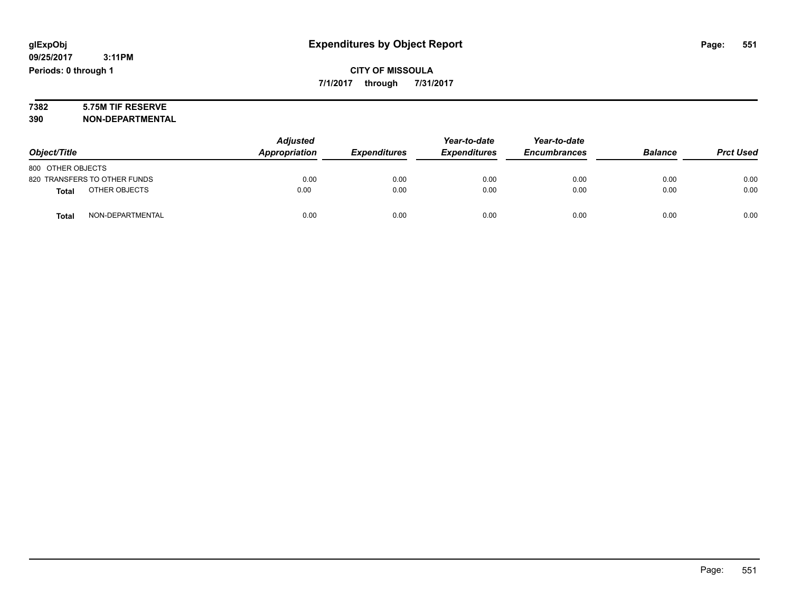# **7382 5.75M TIF RESERVE**

**390 NON-DEPARTMENTAL**

|                               | <b>Adjusted</b> |                     | Year-to-date        | Year-to-date        |                |                  |
|-------------------------------|-----------------|---------------------|---------------------|---------------------|----------------|------------------|
| Object/Title                  | Appropriation   | <b>Expenditures</b> | <b>Expenditures</b> | <b>Encumbrances</b> | <b>Balance</b> | <b>Prct Used</b> |
| 800 OTHER OBJECTS             |                 |                     |                     |                     |                |                  |
| 820 TRANSFERS TO OTHER FUNDS  | 0.00            | 0.00                | 0.00                | 0.00                | 0.00           | 0.00             |
| OTHER OBJECTS<br><b>Total</b> | 0.00            | 0.00                | 0.00                | 0.00                | 0.00           | 0.00             |
| NON-DEPARTMENTAL<br>Total     | 0.00            | 0.00                | 0.00                | 0.00                | 0.00           | 0.00             |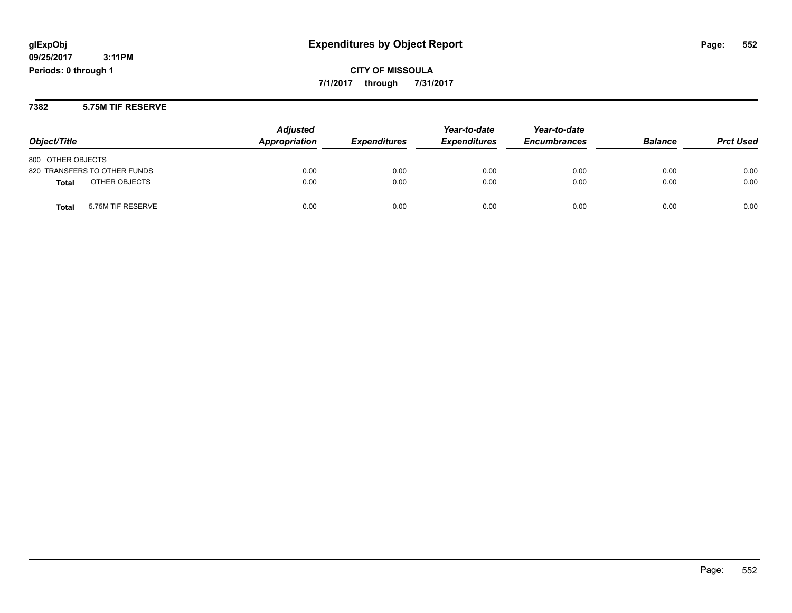**7382 5.75M TIF RESERVE**

|                                   | <b>Adjusted</b> |                            | Year-to-date        | Year-to-date        |                |                  |
|-----------------------------------|-----------------|----------------------------|---------------------|---------------------|----------------|------------------|
| Object/Title                      | Appropriation   | <i><b>Expenditures</b></i> | <b>Expenditures</b> | <b>Encumbrances</b> | <b>Balance</b> | <b>Prct Used</b> |
| 800 OTHER OBJECTS                 |                 |                            |                     |                     |                |                  |
| 820 TRANSFERS TO OTHER FUNDS      | 0.00            | 0.00                       | 0.00                | 0.00                | 0.00           | 0.00             |
| OTHER OBJECTS<br><b>Total</b>     | 0.00            | 0.00                       | 0.00                | 0.00                | 0.00           | 0.00             |
| 5.75M TIF RESERVE<br><b>Total</b> | 0.00            | 0.00                       | 0.00                | 0.00                | 0.00           | 0.00             |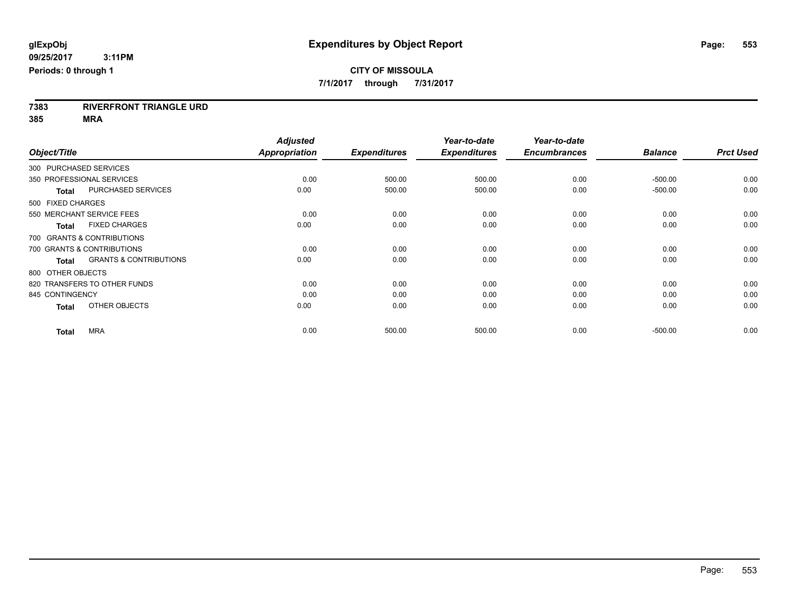**7/1/2017 through 7/31/2017**

**7383 RIVERFRONT TRIANGLE URD**

**385 MRA**

|                        |                                   | <b>Adjusted</b>      |                     | Year-to-date        | Year-to-date        |                |                  |
|------------------------|-----------------------------------|----------------------|---------------------|---------------------|---------------------|----------------|------------------|
| Object/Title           |                                   | <b>Appropriation</b> | <b>Expenditures</b> | <b>Expenditures</b> | <b>Encumbrances</b> | <b>Balance</b> | <b>Prct Used</b> |
| 300 PURCHASED SERVICES |                                   |                      |                     |                     |                     |                |                  |
|                        | 350 PROFESSIONAL SERVICES         | 0.00                 | 500.00              | 500.00              | 0.00                | $-500.00$      | 0.00             |
| <b>Total</b>           | PURCHASED SERVICES                | 0.00                 | 500.00              | 500.00              | 0.00                | $-500.00$      | 0.00             |
| 500 FIXED CHARGES      |                                   |                      |                     |                     |                     |                |                  |
|                        | 550 MERCHANT SERVICE FEES         | 0.00                 | 0.00                | 0.00                | 0.00                | 0.00           | 0.00             |
| Total                  | <b>FIXED CHARGES</b>              | 0.00                 | 0.00                | 0.00                | 0.00                | 0.00           | 0.00             |
|                        | 700 GRANTS & CONTRIBUTIONS        |                      |                     |                     |                     |                |                  |
|                        | 700 GRANTS & CONTRIBUTIONS        | 0.00                 | 0.00                | 0.00                | 0.00                | 0.00           | 0.00             |
| Total                  | <b>GRANTS &amp; CONTRIBUTIONS</b> | 0.00                 | 0.00                | 0.00                | 0.00                | 0.00           | 0.00             |
| 800 OTHER OBJECTS      |                                   |                      |                     |                     |                     |                |                  |
|                        | 820 TRANSFERS TO OTHER FUNDS      | 0.00                 | 0.00                | 0.00                | 0.00                | 0.00           | 0.00             |
| 845 CONTINGENCY        |                                   | 0.00                 | 0.00                | 0.00                | 0.00                | 0.00           | 0.00             |
| <b>Total</b>           | OTHER OBJECTS                     | 0.00                 | 0.00                | 0.00                | 0.00                | 0.00           | 0.00             |
| <b>Total</b>           | <b>MRA</b>                        | 0.00                 | 500.00              | 500.00              | 0.00                | $-500.00$      | 0.00             |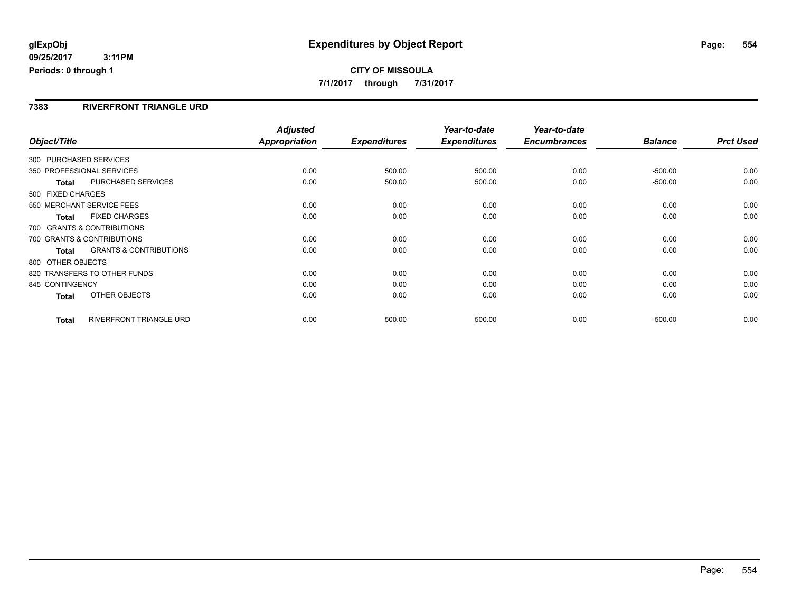#### **CITY OF MISSOULA 7/1/2017 through 7/31/2017**

#### **7383 RIVERFRONT TRIANGLE URD**

|                           |                                   | <b>Adjusted</b> |                     | Year-to-date        | Year-to-date        |                |                  |
|---------------------------|-----------------------------------|-----------------|---------------------|---------------------|---------------------|----------------|------------------|
| Object/Title              |                                   | Appropriation   | <b>Expenditures</b> | <b>Expenditures</b> | <b>Encumbrances</b> | <b>Balance</b> | <b>Prct Used</b> |
| 300 PURCHASED SERVICES    |                                   |                 |                     |                     |                     |                |                  |
| 350 PROFESSIONAL SERVICES |                                   | 0.00            | 500.00              | 500.00              | 0.00                | $-500.00$      | 0.00             |
| <b>Total</b>              | PURCHASED SERVICES                | 0.00            | 500.00              | 500.00              | 0.00                | $-500.00$      | 0.00             |
| 500 FIXED CHARGES         |                                   |                 |                     |                     |                     |                |                  |
|                           | 550 MERCHANT SERVICE FEES         | 0.00            | 0.00                | 0.00                | 0.00                | 0.00           | 0.00             |
| Total                     | <b>FIXED CHARGES</b>              | 0.00            | 0.00                | 0.00                | 0.00                | 0.00           | 0.00             |
|                           | 700 GRANTS & CONTRIBUTIONS        |                 |                     |                     |                     |                |                  |
|                           | 700 GRANTS & CONTRIBUTIONS        | 0.00            | 0.00                | 0.00                | 0.00                | 0.00           | 0.00             |
| <b>Total</b>              | <b>GRANTS &amp; CONTRIBUTIONS</b> | 0.00            | 0.00                | 0.00                | 0.00                | 0.00           | 0.00             |
| 800 OTHER OBJECTS         |                                   |                 |                     |                     |                     |                |                  |
|                           | 820 TRANSFERS TO OTHER FUNDS      | 0.00            | 0.00                | 0.00                | 0.00                | 0.00           | 0.00             |
| 845 CONTINGENCY           |                                   | 0.00            | 0.00                | 0.00                | 0.00                | 0.00           | 0.00             |
| <b>Total</b>              | OTHER OBJECTS                     | 0.00            | 0.00                | 0.00                | 0.00                | 0.00           | 0.00             |
| <b>Total</b>              | RIVERFRONT TRIANGLE URD           | 0.00            | 500.00              | 500.00              | 0.00                | $-500.00$      | 0.00             |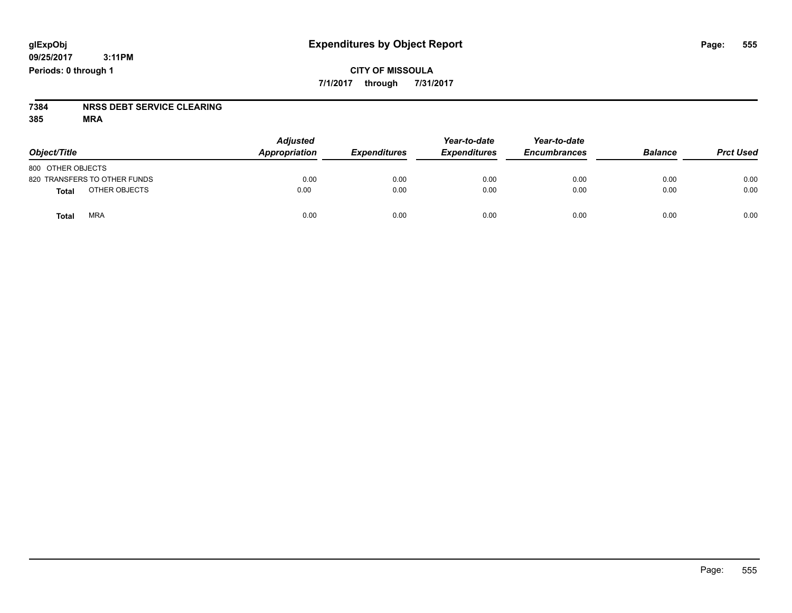#### **CITY OF MISSOULA 7/1/2017 through 7/31/2017**

# **7384 NRSS DEBT SERVICE CLEARING**

**385 MRA**

| Object/Title                  | <b>Adjusted</b><br>Appropriation | <b>Expenditures</b> | Year-to-date<br><b>Expenditures</b> | Year-to-date<br><b>Encumbrances</b> | <b>Balance</b> | <b>Prct Used</b> |
|-------------------------------|----------------------------------|---------------------|-------------------------------------|-------------------------------------|----------------|------------------|
| 800 OTHER OBJECTS             |                                  |                     |                                     |                                     |                |                  |
| 820 TRANSFERS TO OTHER FUNDS  | 0.00                             | 0.00                | 0.00                                | 0.00                                | 0.00           | 0.00             |
| OTHER OBJECTS<br><b>Total</b> | 0.00                             | 0.00                | 0.00                                | 0.00                                | 0.00           | 0.00             |
| <b>MRA</b><br>Total           | 0.00                             | 0.00                | 0.00                                | 0.00                                | 0.00           | 0.00             |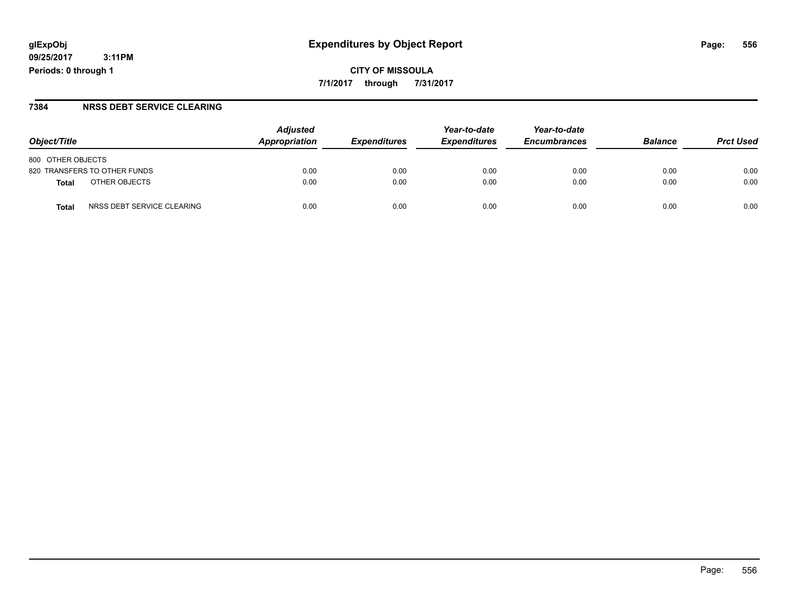**CITY OF MISSOULA 7/1/2017 through 7/31/2017**

#### **7384 NRSS DEBT SERVICE CLEARING**

|                                            | <b>Adjusted</b><br>Appropriation |                     | Year-to-date        | Year-to-date        | <b>Balance</b> |                  |
|--------------------------------------------|----------------------------------|---------------------|---------------------|---------------------|----------------|------------------|
| Object/Title                               |                                  | <b>Expenditures</b> | <b>Expenditures</b> | <b>Encumbrances</b> |                | <b>Prct Used</b> |
| 800 OTHER OBJECTS                          |                                  |                     |                     |                     |                |                  |
| 820 TRANSFERS TO OTHER FUNDS               | 0.00                             | 0.00                | 0.00                | 0.00                | 0.00           | 0.00             |
| OTHER OBJECTS<br>Total                     | 0.00                             | 0.00                | 0.00                | 0.00                | 0.00           | 0.00             |
| NRSS DEBT SERVICE CLEARING<br><b>Total</b> | 0.00                             | 0.00                | 0.00                | 0.00                | 0.00           | 0.00             |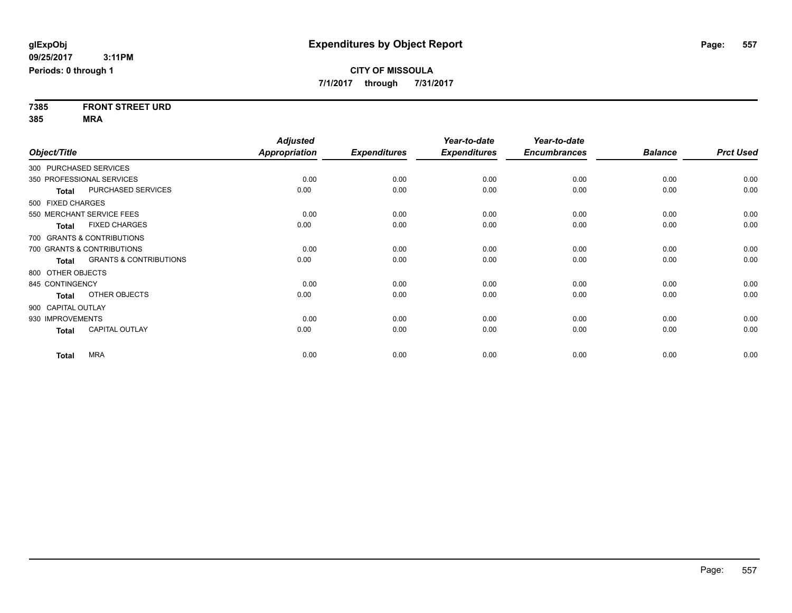**7385 FRONT STREET URD 385 MRA**

|                        |                                   | <b>Adjusted</b> |                     | Year-to-date        | Year-to-date        |                |                  |
|------------------------|-----------------------------------|-----------------|---------------------|---------------------|---------------------|----------------|------------------|
| Object/Title           |                                   | Appropriation   | <b>Expenditures</b> | <b>Expenditures</b> | <b>Encumbrances</b> | <b>Balance</b> | <b>Prct Used</b> |
| 300 PURCHASED SERVICES |                                   |                 |                     |                     |                     |                |                  |
|                        | 350 PROFESSIONAL SERVICES         | 0.00            | 0.00                | 0.00                | 0.00                | 0.00           | 0.00             |
| <b>Total</b>           | PURCHASED SERVICES                | 0.00            | 0.00                | 0.00                | 0.00                | 0.00           | 0.00             |
| 500 FIXED CHARGES      |                                   |                 |                     |                     |                     |                |                  |
|                        | 550 MERCHANT SERVICE FEES         | 0.00            | 0.00                | 0.00                | 0.00                | 0.00           | 0.00             |
| <b>Total</b>           | <b>FIXED CHARGES</b>              | 0.00            | 0.00                | 0.00                | 0.00                | 0.00           | 0.00             |
|                        | 700 GRANTS & CONTRIBUTIONS        |                 |                     |                     |                     |                |                  |
|                        | 700 GRANTS & CONTRIBUTIONS        | 0.00            | 0.00                | 0.00                | 0.00                | 0.00           | 0.00             |
| <b>Total</b>           | <b>GRANTS &amp; CONTRIBUTIONS</b> | 0.00            | 0.00                | 0.00                | 0.00                | 0.00           | 0.00             |
| 800 OTHER OBJECTS      |                                   |                 |                     |                     |                     |                |                  |
| 845 CONTINGENCY        |                                   | 0.00            | 0.00                | 0.00                | 0.00                | 0.00           | 0.00             |
| <b>Total</b>           | OTHER OBJECTS                     | 0.00            | 0.00                | 0.00                | 0.00                | 0.00           | 0.00             |
| 900 CAPITAL OUTLAY     |                                   |                 |                     |                     |                     |                |                  |
| 930 IMPROVEMENTS       |                                   | 0.00            | 0.00                | 0.00                | 0.00                | 0.00           | 0.00             |
| <b>Total</b>           | <b>CAPITAL OUTLAY</b>             | 0.00            | 0.00                | 0.00                | 0.00                | 0.00           | 0.00             |
| <b>Total</b>           | <b>MRA</b>                        | 0.00            | 0.00                | 0.00                | 0.00                | 0.00           | 0.00             |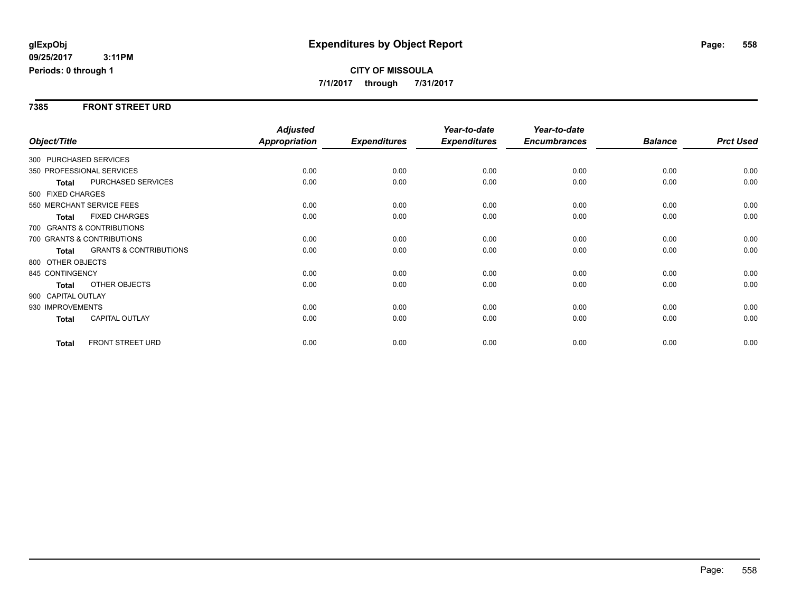**7385 FRONT STREET URD**

|                                                   | <b>Adjusted</b> |                     | Year-to-date        | Year-to-date        |                |                  |
|---------------------------------------------------|-----------------|---------------------|---------------------|---------------------|----------------|------------------|
| Object/Title                                      | Appropriation   | <b>Expenditures</b> | <b>Expenditures</b> | <b>Encumbrances</b> | <b>Balance</b> | <b>Prct Used</b> |
| 300 PURCHASED SERVICES                            |                 |                     |                     |                     |                |                  |
| 350 PROFESSIONAL SERVICES                         | 0.00            | 0.00                | 0.00                | 0.00                | 0.00           | 0.00             |
| PURCHASED SERVICES<br><b>Total</b>                | 0.00            | 0.00                | 0.00                | 0.00                | 0.00           | 0.00             |
| 500 FIXED CHARGES                                 |                 |                     |                     |                     |                |                  |
| 550 MERCHANT SERVICE FEES                         | 0.00            | 0.00                | 0.00                | 0.00                | 0.00           | 0.00             |
| <b>FIXED CHARGES</b><br><b>Total</b>              | 0.00            | 0.00                | 0.00                | 0.00                | 0.00           | 0.00             |
| 700 GRANTS & CONTRIBUTIONS                        |                 |                     |                     |                     |                |                  |
| 700 GRANTS & CONTRIBUTIONS                        | 0.00            | 0.00                | 0.00                | 0.00                | 0.00           | 0.00             |
| <b>GRANTS &amp; CONTRIBUTIONS</b><br><b>Total</b> | 0.00            | 0.00                | 0.00                | 0.00                | 0.00           | 0.00             |
| 800 OTHER OBJECTS                                 |                 |                     |                     |                     |                |                  |
| 845 CONTINGENCY                                   | 0.00            | 0.00                | 0.00                | 0.00                | 0.00           | 0.00             |
| OTHER OBJECTS<br><b>Total</b>                     | 0.00            | 0.00                | 0.00                | 0.00                | 0.00           | 0.00             |
| 900 CAPITAL OUTLAY                                |                 |                     |                     |                     |                |                  |
| 930 IMPROVEMENTS                                  | 0.00            | 0.00                | 0.00                | 0.00                | 0.00           | 0.00             |
| <b>CAPITAL OUTLAY</b><br><b>Total</b>             | 0.00            | 0.00                | 0.00                | 0.00                | 0.00           | 0.00             |
|                                                   |                 |                     |                     |                     |                |                  |
| <b>FRONT STREET URD</b><br><b>Total</b>           | 0.00            | 0.00                | 0.00                | 0.00                | 0.00           | 0.00             |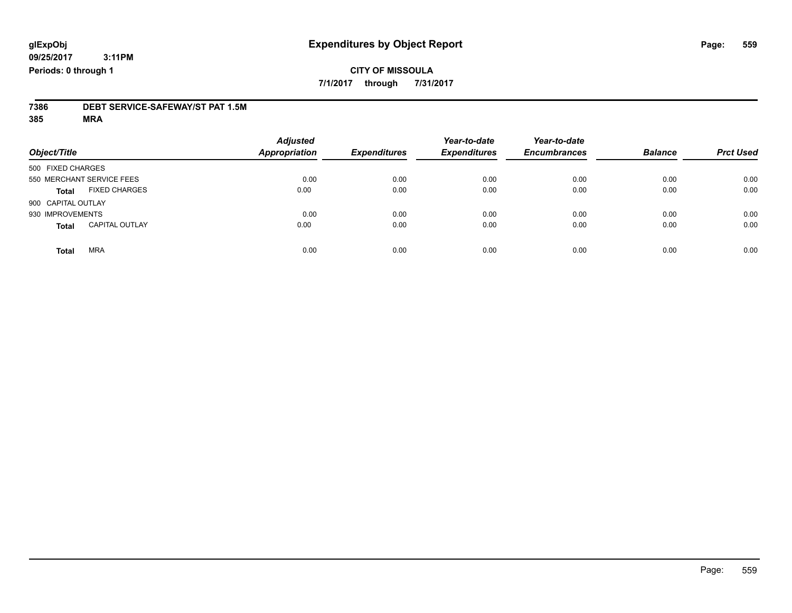#### **CITY OF MISSOULA 7/1/2017 through 7/31/2017**

# **7386 DEBT SERVICE-SAFEWAY/ST PAT 1.5M**

**385 MRA**

| Object/Title       |                           | <b>Adjusted</b><br><b>Appropriation</b> | <b>Expenditures</b> | Year-to-date<br><b>Expenditures</b> | Year-to-date<br><b>Encumbrances</b> | <b>Balance</b> | <b>Prct Used</b> |
|--------------------|---------------------------|-----------------------------------------|---------------------|-------------------------------------|-------------------------------------|----------------|------------------|
| 500 FIXED CHARGES  |                           |                                         |                     |                                     |                                     |                |                  |
|                    | 550 MERCHANT SERVICE FEES | 0.00                                    | 0.00                | 0.00                                | 0.00                                | 0.00           | 0.00             |
| <b>Total</b>       | <b>FIXED CHARGES</b>      | 0.00                                    | 0.00                | 0.00                                | 0.00                                | 0.00           | 0.00             |
| 900 CAPITAL OUTLAY |                           |                                         |                     |                                     |                                     |                |                  |
| 930 IMPROVEMENTS   |                           | 0.00                                    | 0.00                | 0.00                                | 0.00                                | 0.00           | 0.00             |
| <b>Total</b>       | <b>CAPITAL OUTLAY</b>     | 0.00                                    | 0.00                | 0.00                                | 0.00                                | 0.00           | 0.00             |
| <b>Total</b>       | <b>MRA</b>                | 0.00                                    | 0.00                | 0.00                                | 0.00                                | 0.00           | 0.00             |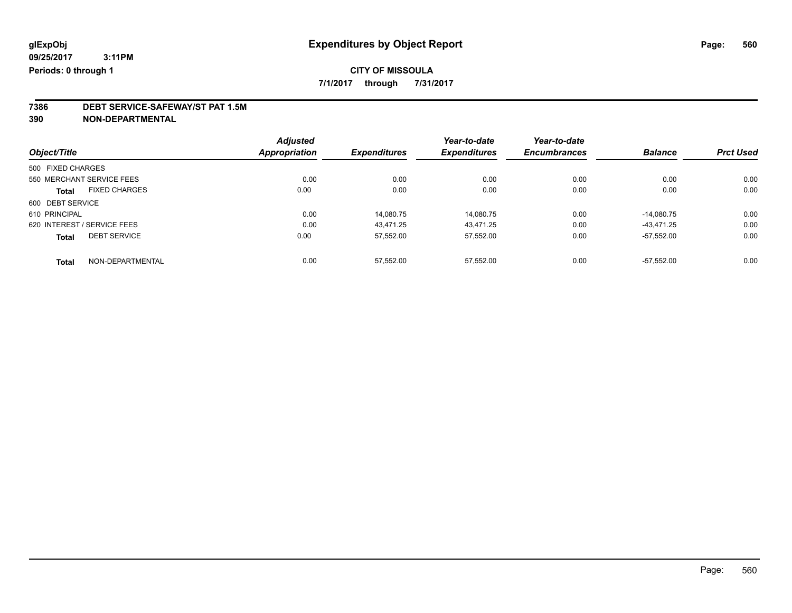**7/1/2017 through 7/31/2017**

### **7386 DEBT SERVICE-SAFEWAY/ST PAT 1.5M**

**390 NON-DEPARTMENTAL**

|                                      | <b>Adjusted</b>      |                     | Year-to-date        | Year-to-date        |                |                  |
|--------------------------------------|----------------------|---------------------|---------------------|---------------------|----------------|------------------|
| Object/Title                         | <b>Appropriation</b> | <b>Expenditures</b> | <b>Expenditures</b> | <b>Encumbrances</b> | <b>Balance</b> | <b>Prct Used</b> |
| 500 FIXED CHARGES                    |                      |                     |                     |                     |                |                  |
| 550 MERCHANT SERVICE FEES            | 0.00                 | 0.00                | 0.00                | 0.00                | 0.00           | 0.00             |
| <b>FIXED CHARGES</b><br><b>Total</b> | 0.00                 | 0.00                | 0.00                | 0.00                | 0.00           | 0.00             |
| 600 DEBT SERVICE                     |                      |                     |                     |                     |                |                  |
| 610 PRINCIPAL                        | 0.00                 | 14.080.75           | 14.080.75           | 0.00                | $-14.080.75$   | 0.00             |
| 620 INTEREST / SERVICE FEES          | 0.00                 | 43.471.25           | 43,471.25           | 0.00                | -43.471.25     | 0.00             |
| <b>DEBT SERVICE</b><br><b>Total</b>  | 0.00                 | 57,552.00           | 57,552.00           | 0.00                | $-57.552.00$   | 0.00             |
| NON-DEPARTMENTAL<br><b>Total</b>     | 0.00                 | 57.552.00           | 57.552.00           | 0.00                | $-57.552.00$   | 0.00             |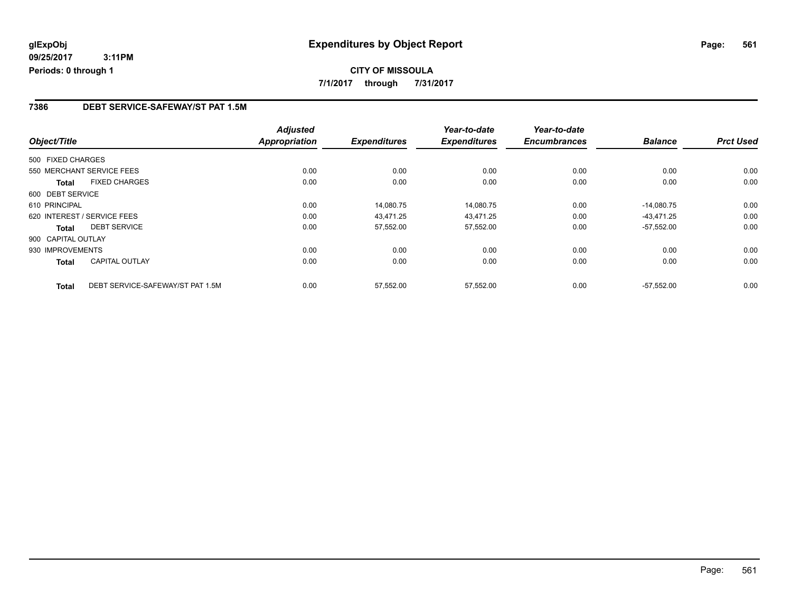#### **7386 DEBT SERVICE-SAFEWAY/ST PAT 1.5M**

|                    |                                  | <b>Adjusted</b>      |                     | Year-to-date        | Year-to-date        |                |                  |
|--------------------|----------------------------------|----------------------|---------------------|---------------------|---------------------|----------------|------------------|
| Object/Title       |                                  | <b>Appropriation</b> | <b>Expenditures</b> | <b>Expenditures</b> | <b>Encumbrances</b> | <b>Balance</b> | <b>Prct Used</b> |
| 500 FIXED CHARGES  |                                  |                      |                     |                     |                     |                |                  |
|                    | 550 MERCHANT SERVICE FEES        | 0.00                 | 0.00                | 0.00                | 0.00                | 0.00           | 0.00             |
| <b>Total</b>       | <b>FIXED CHARGES</b>             | 0.00                 | 0.00                | 0.00                | 0.00                | 0.00           | 0.00             |
| 600 DEBT SERVICE   |                                  |                      |                     |                     |                     |                |                  |
| 610 PRINCIPAL      |                                  | 0.00                 | 14,080.75           | 14,080.75           | 0.00                | $-14.080.75$   | 0.00             |
|                    | 620 INTEREST / SERVICE FEES      | 0.00                 | 43,471.25           | 43,471.25           | 0.00                | -43,471.25     | 0.00             |
| <b>Total</b>       | <b>DEBT SERVICE</b>              | 0.00                 | 57,552.00           | 57,552.00           | 0.00                | $-57,552.00$   | 0.00             |
| 900 CAPITAL OUTLAY |                                  |                      |                     |                     |                     |                |                  |
| 930 IMPROVEMENTS   |                                  | 0.00                 | 0.00                | 0.00                | 0.00                | 0.00           | 0.00             |
| Total              | <b>CAPITAL OUTLAY</b>            | 0.00                 | 0.00                | 0.00                | 0.00                | 0.00           | 0.00             |
| <b>Total</b>       | DEBT SERVICE-SAFEWAY/ST PAT 1.5M | 0.00                 | 57,552.00           | 57,552.00           | 0.00                | $-57.552.00$   | 0.00             |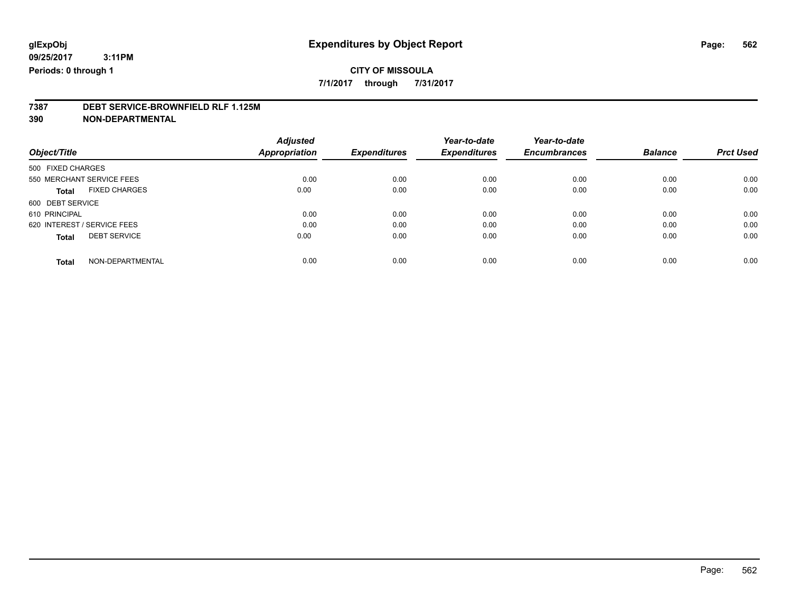**7/1/2017 through 7/31/2017**

### **7387 DEBT SERVICE-BROWNFIELD RLF 1.125M**

**390 NON-DEPARTMENTAL**

|                             |                      | <b>Adjusted</b>      |                     | Year-to-date        | Year-to-date        |                |                  |
|-----------------------------|----------------------|----------------------|---------------------|---------------------|---------------------|----------------|------------------|
| Object/Title                |                      | <b>Appropriation</b> | <b>Expenditures</b> | <b>Expenditures</b> | <b>Encumbrances</b> | <b>Balance</b> | <b>Prct Used</b> |
| 500 FIXED CHARGES           |                      |                      |                     |                     |                     |                |                  |
| 550 MERCHANT SERVICE FEES   |                      | 0.00                 | 0.00                | 0.00                | 0.00                | 0.00           | 0.00             |
| <b>Total</b>                | <b>FIXED CHARGES</b> | 0.00                 | 0.00                | 0.00                | 0.00                | 0.00           | 0.00             |
| 600 DEBT SERVICE            |                      |                      |                     |                     |                     |                |                  |
| 610 PRINCIPAL               |                      | 0.00                 | 0.00                | 0.00                | 0.00                | 0.00           | 0.00             |
| 620 INTEREST / SERVICE FEES |                      | 0.00                 | 0.00                | 0.00                | 0.00                | 0.00           | 0.00             |
| <b>Total</b>                | <b>DEBT SERVICE</b>  | 0.00                 | 0.00                | 0.00                | 0.00                | 0.00           | 0.00             |
| <b>Total</b>                | NON-DEPARTMENTAL     | 0.00                 | 0.00                | 0.00                | 0.00                | 0.00           | 0.00             |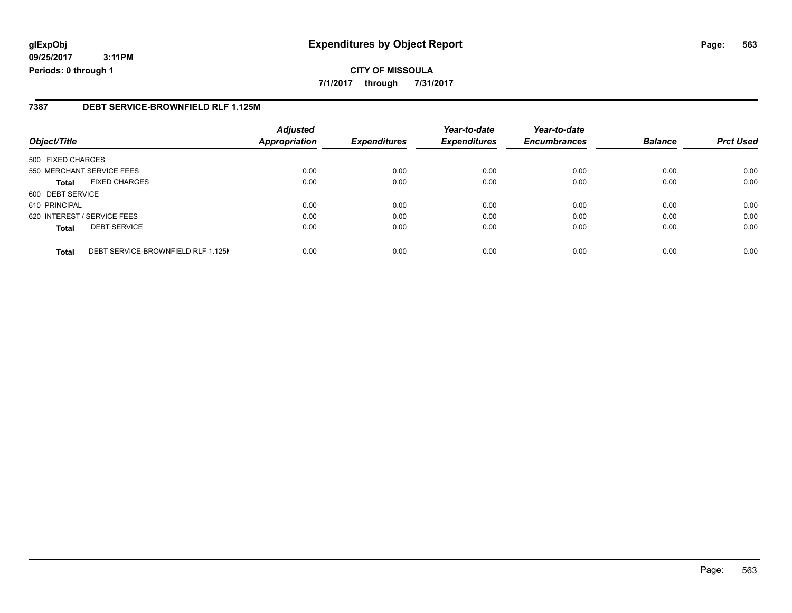### **glExpObj Expenditures by Object Report Page: 563**

**09/25/2017 3:11PM Periods: 0 through 1**

#### **7387 DEBT SERVICE-BROWNFIELD RLF 1.125M**

|                                                    | <b>Adjusted</b>      |                     | Year-to-date        | Year-to-date        |                |                  |
|----------------------------------------------------|----------------------|---------------------|---------------------|---------------------|----------------|------------------|
| Object/Title                                       | <b>Appropriation</b> | <b>Expenditures</b> | <b>Expenditures</b> | <b>Encumbrances</b> | <b>Balance</b> | <b>Prct Used</b> |
| 500 FIXED CHARGES                                  |                      |                     |                     |                     |                |                  |
| 550 MERCHANT SERVICE FEES                          | 0.00                 | 0.00                | 0.00                | 0.00                | 0.00           | 0.00             |
| <b>FIXED CHARGES</b><br><b>Total</b>               | 0.00                 | 0.00                | 0.00                | 0.00                | 0.00           | 0.00             |
| 600 DEBT SERVICE                                   |                      |                     |                     |                     |                |                  |
| 610 PRINCIPAL                                      | 0.00                 | 0.00                | 0.00                | 0.00                | 0.00           | 0.00             |
| 620 INTEREST / SERVICE FEES                        | 0.00                 | 0.00                | 0.00                | 0.00                | 0.00           | 0.00             |
| <b>DEBT SERVICE</b><br><b>Total</b>                | 0.00                 | 0.00                | 0.00                | 0.00                | 0.00           | 0.00             |
| DEBT SERVICE-BROWNFIELD RLF 1.125M<br><b>Total</b> | 0.00                 | 0.00                | 0.00                | 0.00                | 0.00           | 0.00             |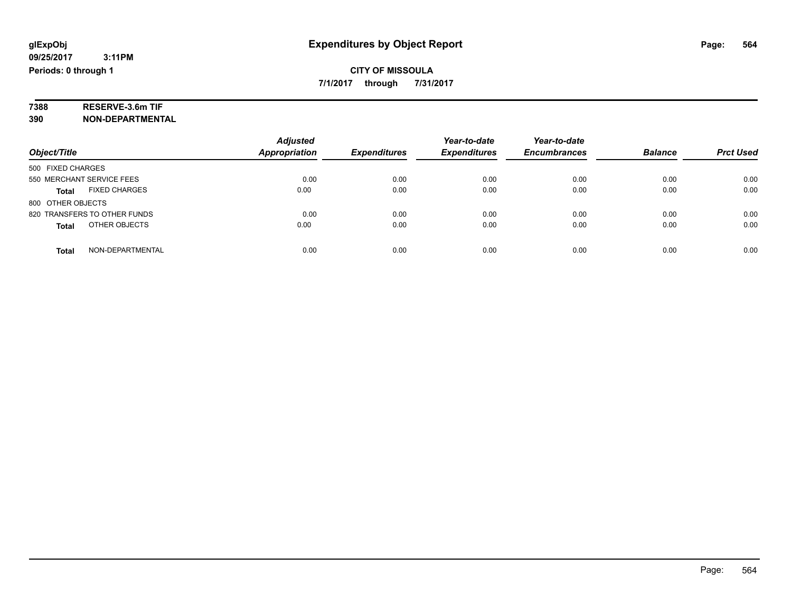**7/1/2017 through 7/31/2017**

# **7388 RESERVE-3.6m TIF**

**390 NON-DEPARTMENTAL**

|                                      | <b>Adjusted</b>      |                     | Year-to-date        | Year-to-date        |                |                  |
|--------------------------------------|----------------------|---------------------|---------------------|---------------------|----------------|------------------|
| Object/Title                         | <b>Appropriation</b> | <b>Expenditures</b> | <b>Expenditures</b> | <b>Encumbrances</b> | <b>Balance</b> | <b>Prct Used</b> |
| 500 FIXED CHARGES                    |                      |                     |                     |                     |                |                  |
| 550 MERCHANT SERVICE FEES            | 0.00                 | 0.00                | 0.00                | 0.00                | 0.00           | 0.00             |
| <b>FIXED CHARGES</b><br><b>Total</b> | 0.00                 | 0.00                | 0.00                | 0.00                | 0.00           | 0.00             |
| 800 OTHER OBJECTS                    |                      |                     |                     |                     |                |                  |
| 820 TRANSFERS TO OTHER FUNDS         | 0.00                 | 0.00                | 0.00                | 0.00                | 0.00           | 0.00             |
| OTHER OBJECTS<br><b>Total</b>        | 0.00                 | 0.00                | 0.00                | 0.00                | 0.00           | 0.00             |
| NON-DEPARTMENTAL<br><b>Total</b>     | 0.00                 | 0.00                | 0.00                | 0.00                | 0.00           | 0.00             |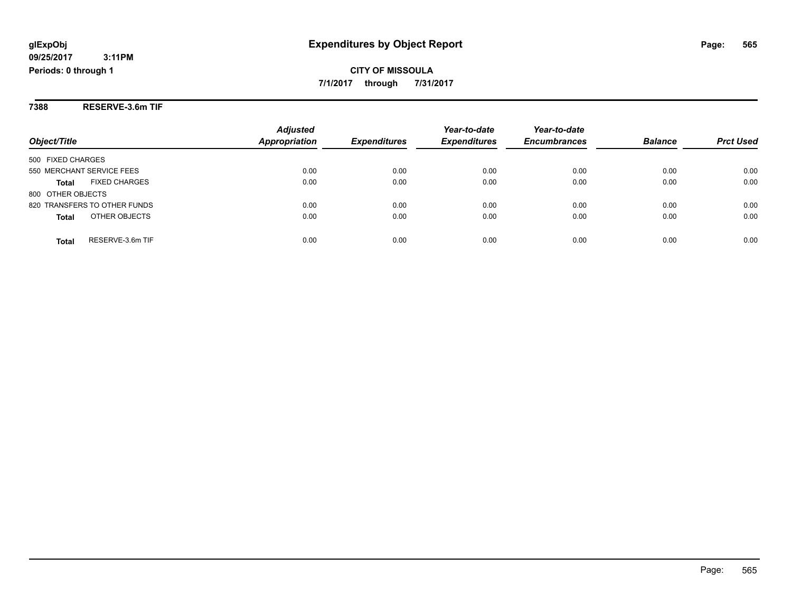**7388 RESERVE-3.6m TIF**

|                                      | <b>Adjusted</b>      |                     | Year-to-date        | Year-to-date        |                |                  |
|--------------------------------------|----------------------|---------------------|---------------------|---------------------|----------------|------------------|
| Object/Title                         | <b>Appropriation</b> | <b>Expenditures</b> | <b>Expenditures</b> | <b>Encumbrances</b> | <b>Balance</b> | <b>Prct Used</b> |
| 500 FIXED CHARGES                    |                      |                     |                     |                     |                |                  |
| 550 MERCHANT SERVICE FEES            | 0.00                 | 0.00                | 0.00                | 0.00                | 0.00           | 0.00             |
| <b>FIXED CHARGES</b><br><b>Total</b> | 0.00                 | 0.00                | 0.00                | 0.00                | 0.00           | 0.00             |
| 800 OTHER OBJECTS                    |                      |                     |                     |                     |                |                  |
| 820 TRANSFERS TO OTHER FUNDS         | 0.00                 | 0.00                | 0.00                | 0.00                | 0.00           | 0.00             |
| OTHER OBJECTS<br><b>Total</b>        | 0.00                 | 0.00                | 0.00                | 0.00                | 0.00           | 0.00             |
| RESERVE-3.6m TIF<br>Total            | 0.00                 | 0.00                | 0.00                | 0.00                | 0.00           | 0.00             |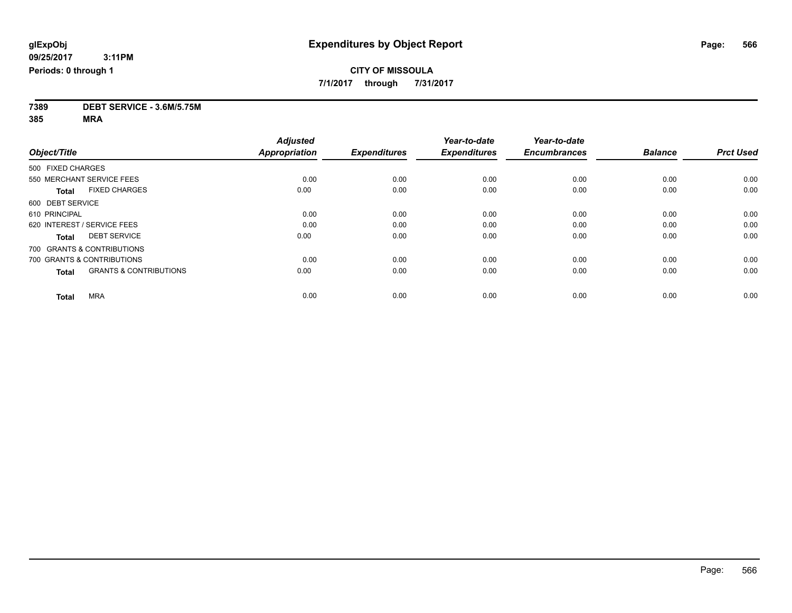**7/1/2017 through 7/31/2017**

**7389 DEBT SERVICE - 3.6M/5.75M**

**385 MRA**

| Object/Title                                      | <b>Adjusted</b><br><b>Appropriation</b> | <b>Expenditures</b> | Year-to-date<br><b>Expenditures</b> | Year-to-date<br><b>Encumbrances</b> | <b>Balance</b> | <b>Prct Used</b> |
|---------------------------------------------------|-----------------------------------------|---------------------|-------------------------------------|-------------------------------------|----------------|------------------|
|                                                   |                                         |                     |                                     |                                     |                |                  |
| 500 FIXED CHARGES                                 |                                         |                     |                                     |                                     |                |                  |
| 550 MERCHANT SERVICE FEES                         | 0.00                                    | 0.00                | 0.00                                | 0.00                                | 0.00           | 0.00             |
| <b>FIXED CHARGES</b><br><b>Total</b>              | 0.00                                    | 0.00                | 0.00                                | 0.00                                | 0.00           | 0.00             |
| 600 DEBT SERVICE                                  |                                         |                     |                                     |                                     |                |                  |
| 610 PRINCIPAL                                     | 0.00                                    | 0.00                | 0.00                                | 0.00                                | 0.00           | 0.00             |
| 620 INTEREST / SERVICE FEES                       | 0.00                                    | 0.00                | 0.00                                | 0.00                                | 0.00           | 0.00             |
| <b>DEBT SERVICE</b><br><b>Total</b>               | 0.00                                    | 0.00                | 0.00                                | 0.00                                | 0.00           | 0.00             |
| 700 GRANTS & CONTRIBUTIONS                        |                                         |                     |                                     |                                     |                |                  |
| 700 GRANTS & CONTRIBUTIONS                        | 0.00                                    | 0.00                | 0.00                                | 0.00                                | 0.00           | 0.00             |
| <b>GRANTS &amp; CONTRIBUTIONS</b><br><b>Total</b> | 0.00                                    | 0.00                | 0.00                                | 0.00                                | 0.00           | 0.00             |
|                                                   |                                         |                     |                                     |                                     |                |                  |
| <b>MRA</b><br><b>Total</b>                        | 0.00                                    | 0.00                | 0.00                                | 0.00                                | 0.00           | 0.00             |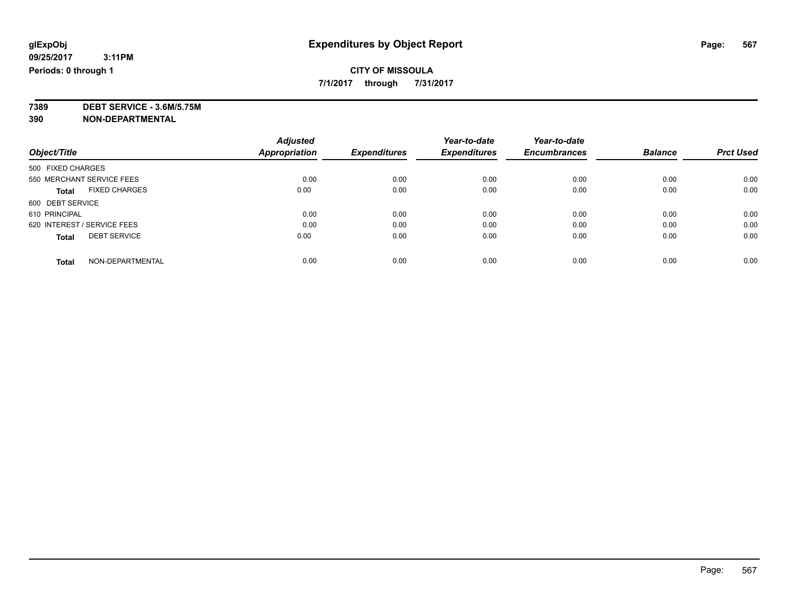**7/1/2017 through 7/31/2017**

**7389 DEBT SERVICE - 3.6M/5.75M**

**390 NON-DEPARTMENTAL**

|                                      | <b>Adjusted</b>      |                     | Year-to-date        | Year-to-date        |                |                  |
|--------------------------------------|----------------------|---------------------|---------------------|---------------------|----------------|------------------|
| Object/Title                         | <b>Appropriation</b> | <b>Expenditures</b> | <b>Expenditures</b> | <b>Encumbrances</b> | <b>Balance</b> | <b>Prct Used</b> |
| 500 FIXED CHARGES                    |                      |                     |                     |                     |                |                  |
| 550 MERCHANT SERVICE FEES            | 0.00                 | 0.00                | 0.00                | 0.00                | 0.00           | 0.00             |
| <b>FIXED CHARGES</b><br><b>Total</b> | 0.00                 | 0.00                | 0.00                | 0.00                | 0.00           | 0.00             |
| 600 DEBT SERVICE                     |                      |                     |                     |                     |                |                  |
| 610 PRINCIPAL                        | 0.00                 | 0.00                | 0.00                | 0.00                | 0.00           | 0.00             |
| 620 INTEREST / SERVICE FEES          | 0.00                 | 0.00                | 0.00                | 0.00                | 0.00           | 0.00             |
| <b>DEBT SERVICE</b><br><b>Total</b>  | 0.00                 | 0.00                | 0.00                | 0.00                | 0.00           | 0.00             |
| NON-DEPARTMENTAL<br><b>Total</b>     | 0.00                 | 0.00                | 0.00                | 0.00                | 0.00           | 0.00             |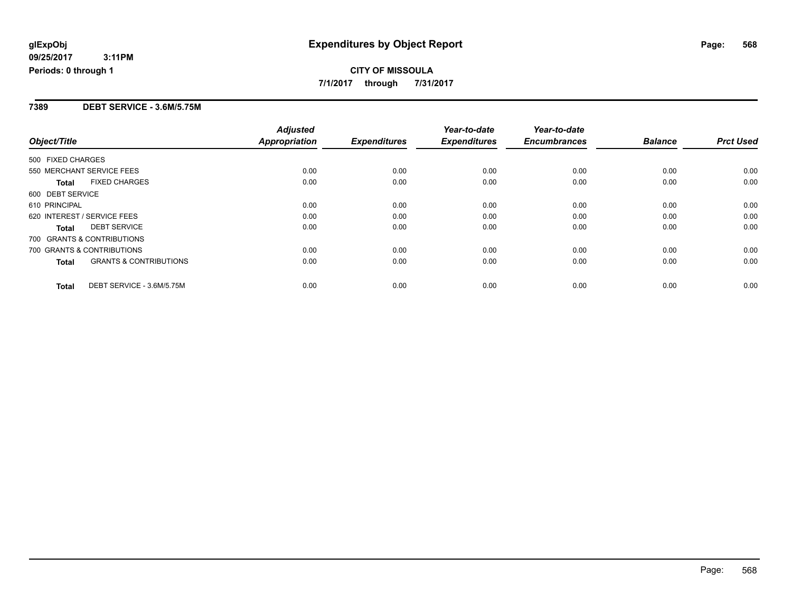#### **7389 DEBT SERVICE - 3.6M/5.75M**

|                                            | <b>Adjusted</b>      |                     | Year-to-date        | Year-to-date        |                |                  |
|--------------------------------------------|----------------------|---------------------|---------------------|---------------------|----------------|------------------|
| Object/Title                               | <b>Appropriation</b> | <b>Expenditures</b> | <b>Expenditures</b> | <b>Encumbrances</b> | <b>Balance</b> | <b>Prct Used</b> |
| 500 FIXED CHARGES                          |                      |                     |                     |                     |                |                  |
| 550 MERCHANT SERVICE FEES                  | 0.00                 | 0.00                | 0.00                | 0.00                | 0.00           | 0.00             |
| <b>FIXED CHARGES</b><br><b>Total</b>       | 0.00                 | 0.00                | 0.00                | 0.00                | 0.00           | 0.00             |
| 600 DEBT SERVICE                           |                      |                     |                     |                     |                |                  |
| 610 PRINCIPAL                              | 0.00                 | 0.00                | 0.00                | 0.00                | 0.00           | 0.00             |
| 620 INTEREST / SERVICE FEES                | 0.00                 | 0.00                | 0.00                | 0.00                | 0.00           | 0.00             |
| <b>DEBT SERVICE</b><br><b>Total</b>        | 0.00                 | 0.00                | 0.00                | 0.00                | 0.00           | 0.00             |
| 700 GRANTS & CONTRIBUTIONS                 |                      |                     |                     |                     |                |                  |
| 700 GRANTS & CONTRIBUTIONS                 | 0.00                 | 0.00                | 0.00                | 0.00                | 0.00           | 0.00             |
| <b>GRANTS &amp; CONTRIBUTIONS</b><br>Total | 0.00                 | 0.00                | 0.00                | 0.00                | 0.00           | 0.00             |
| DEBT SERVICE - 3.6M/5.75M<br><b>Total</b>  | 0.00                 | 0.00                | 0.00                | 0.00                | 0.00           | 0.00             |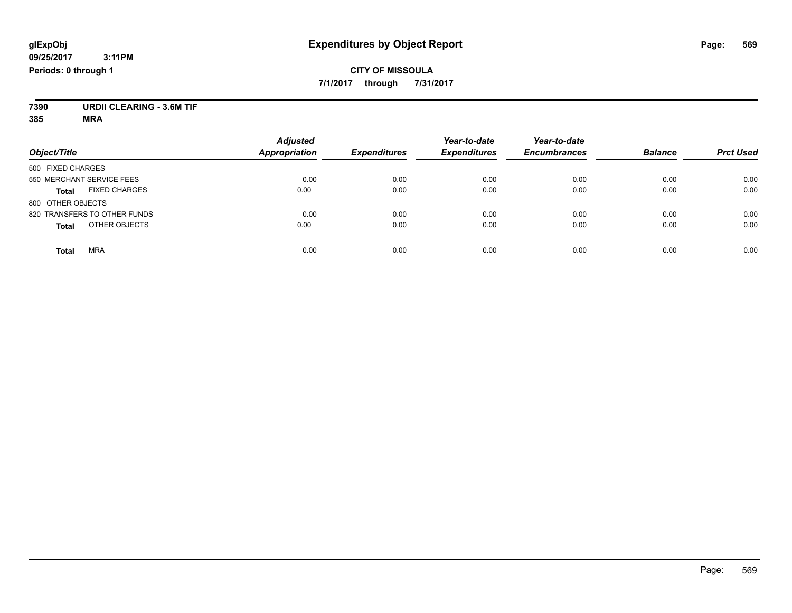#### **CITY OF MISSOULA 7/1/2017 through 7/31/2017**

**7390 URDII CLEARING - 3.6M TIF**

**385 MRA**

| Object/Title                         | <b>Adjusted</b><br><b>Appropriation</b> | <b>Expenditures</b> | Year-to-date<br><b>Expenditures</b> | Year-to-date<br><b>Encumbrances</b> | <b>Balance</b> | <b>Prct Used</b> |
|--------------------------------------|-----------------------------------------|---------------------|-------------------------------------|-------------------------------------|----------------|------------------|
| 500 FIXED CHARGES                    |                                         |                     |                                     |                                     |                |                  |
| 550 MERCHANT SERVICE FEES            | 0.00                                    | 0.00                | 0.00                                | 0.00                                | 0.00           | 0.00             |
| <b>FIXED CHARGES</b><br><b>Total</b> | 0.00                                    | 0.00                | 0.00                                | 0.00                                | 0.00           | 0.00             |
| 800 OTHER OBJECTS                    |                                         |                     |                                     |                                     |                |                  |
| 820 TRANSFERS TO OTHER FUNDS         | 0.00                                    | 0.00                | 0.00                                | 0.00                                | 0.00           | 0.00             |
| OTHER OBJECTS<br><b>Total</b>        | 0.00                                    | 0.00                | 0.00                                | 0.00                                | 0.00           | 0.00             |
|                                      |                                         |                     |                                     |                                     |                |                  |
| <b>MRA</b><br><b>Total</b>           | 0.00                                    | 0.00                | 0.00                                | 0.00                                | 0.00           | 0.00             |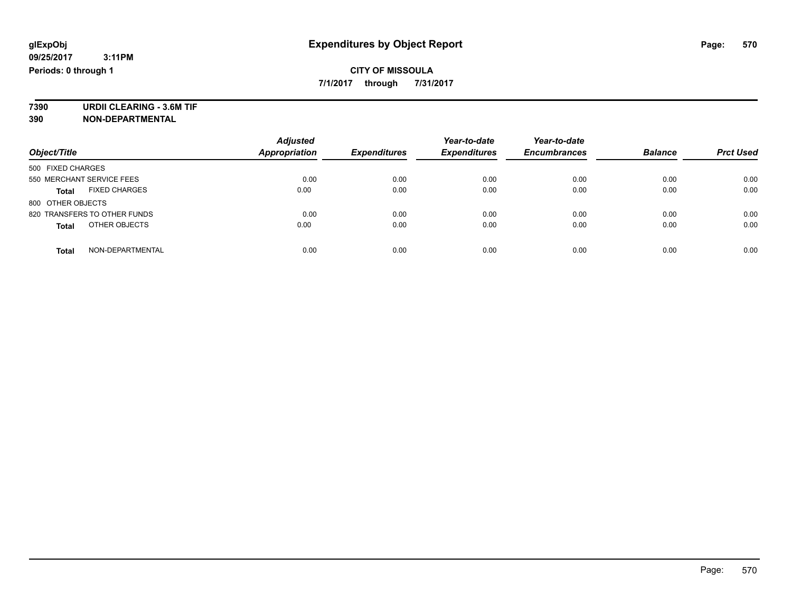**7/1/2017 through 7/31/2017**

**7390 URDII CLEARING - 3.6M TIF 390 NON-DEPARTMENTAL**

*Object/Title Adjusted Appropriation Expenditures Year-to-date Expenditures Year-to-date Encumbrances Balance Prct Used* 500 FIXED CHARGES 550 MERCHANT SERVICE FEES 0.00 0.00 0.00 0.00 0.00 0.00 **Total** FIXED CHARGES 0.00 0.00 0.00 0.00 0.00 0.00 800 OTHER OBJECTS 820 TRANSFERS TO OTHER FUNDS 0.00 0.00 0.00 0.00 0.00 0.00 **Total** OTHER OBJECTS 0.00 0.00 0.00 0.00 0.00 0.00 **Total** NON-DEPARTMENTAL 0.00 0.00 0.00 0.00 0.00 0.00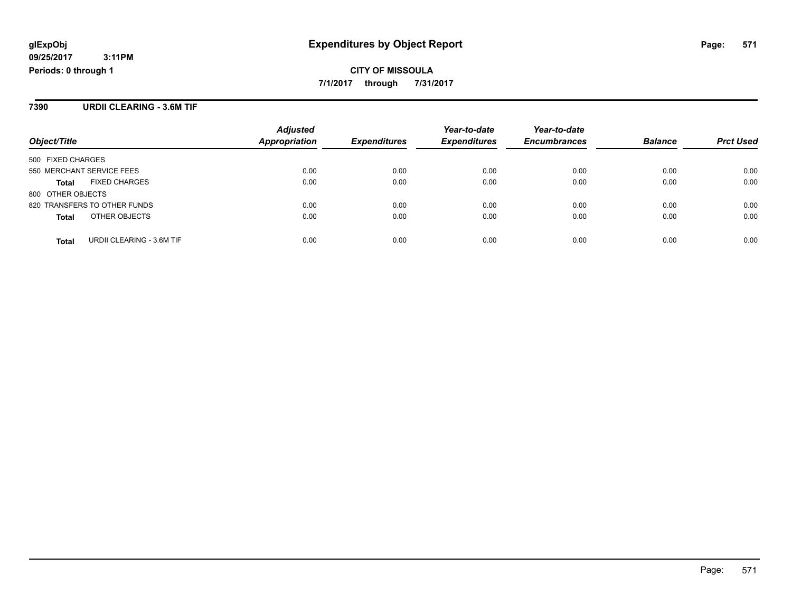#### **CITY OF MISSOULA 7/1/2017 through 7/31/2017**

#### **7390 URDII CLEARING - 3.6M TIF**

| Object/Title      |                              | <b>Adjusted</b><br><b>Appropriation</b> | <b>Expenditures</b> | Year-to-date<br><b>Expenditures</b> | Year-to-date<br><b>Encumbrances</b> | <b>Balance</b> | <b>Prct Used</b> |
|-------------------|------------------------------|-----------------------------------------|---------------------|-------------------------------------|-------------------------------------|----------------|------------------|
|                   |                              |                                         |                     |                                     |                                     |                |                  |
| 500 FIXED CHARGES |                              |                                         |                     |                                     |                                     |                |                  |
|                   | 550 MERCHANT SERVICE FEES    | 0.00                                    | 0.00                | 0.00                                | 0.00                                | 0.00           | 0.00             |
| <b>Total</b>      | <b>FIXED CHARGES</b>         | 0.00                                    | 0.00                | 0.00                                | 0.00                                | 0.00           | 0.00             |
| 800 OTHER OBJECTS |                              |                                         |                     |                                     |                                     |                |                  |
|                   | 820 TRANSFERS TO OTHER FUNDS | 0.00                                    | 0.00                | 0.00                                | 0.00                                | 0.00           | 0.00             |
| <b>Total</b>      | OTHER OBJECTS                | 0.00                                    | 0.00                | 0.00                                | 0.00                                | 0.00           | 0.00             |
| <b>Total</b>      | URDII CLEARING - 3.6M TIF    | 0.00                                    | 0.00                | 0.00                                | 0.00                                | 0.00           | 0.00             |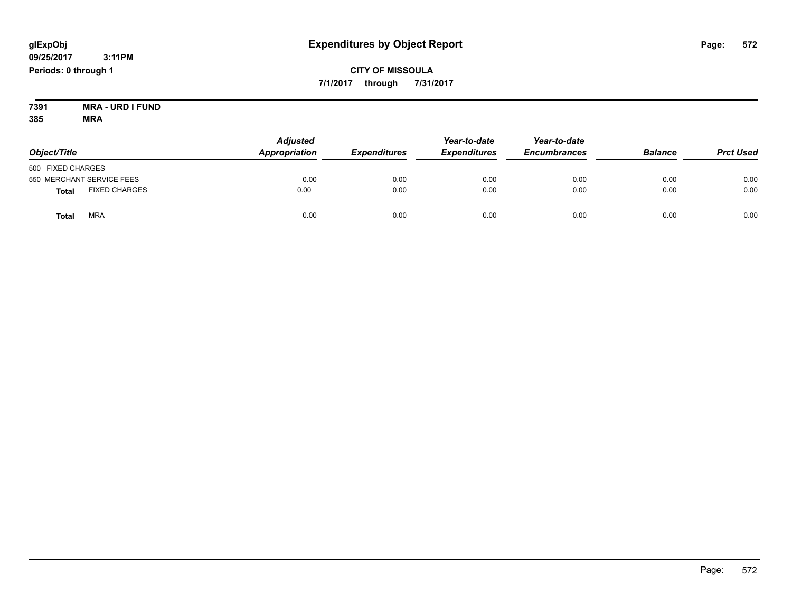**CITY OF MISSOULA 7/1/2017 through 7/31/2017**

**7391 MRA - URD I FUND 385 MRA**

| Object/Title      |                           | <b>Adjusted</b><br>Appropriation | <b>Expenditures</b> | Year-to-date<br><b>Expenditures</b> | Year-to-date<br><b>Encumbrances</b> | <b>Balance</b> | <b>Prct Used</b> |
|-------------------|---------------------------|----------------------------------|---------------------|-------------------------------------|-------------------------------------|----------------|------------------|
| 500 FIXED CHARGES |                           |                                  |                     |                                     |                                     |                |                  |
|                   | 550 MERCHANT SERVICE FEES | 0.00                             | 0.00                | 0.00                                | 0.00                                | 0.00           | 0.00             |
| <b>Total</b>      | <b>FIXED CHARGES</b>      | 0.00                             | 0.00                | 0.00                                | 0.00                                | 0.00           | 0.00             |
| <b>Total</b>      | <b>MRA</b>                | 0.00                             | 0.00                | 0.00                                | 0.00                                | 0.00           | 0.00             |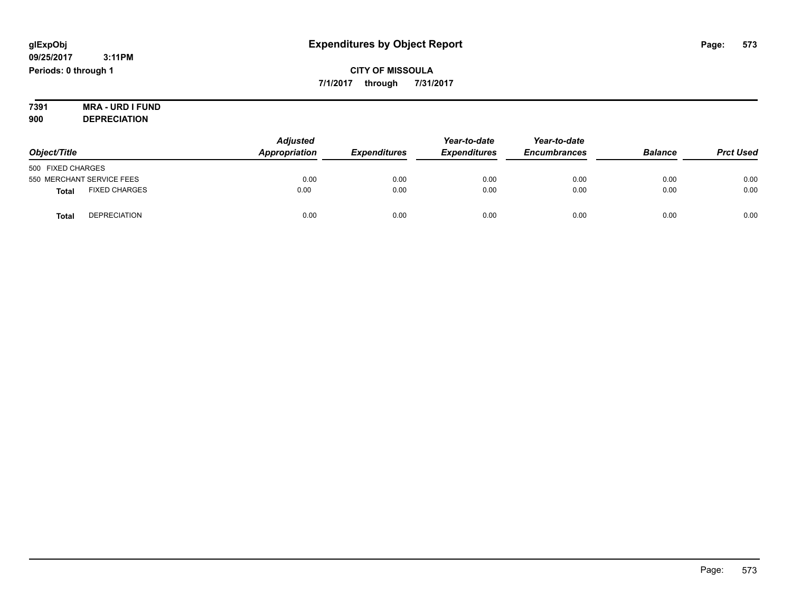**7391 MRA - URD I FUND 900 DEPRECIATION**

| Object/Title                         | <b>Adjusted</b><br>Appropriation | <b>Expenditures</b> | Year-to-date<br><b>Expenditures</b> | Year-to-date<br><b>Encumbrances</b> | <b>Balance</b> | <b>Prct Used</b> |
|--------------------------------------|----------------------------------|---------------------|-------------------------------------|-------------------------------------|----------------|------------------|
| 500 FIXED CHARGES                    |                                  |                     |                                     |                                     |                |                  |
| 550 MERCHANT SERVICE FEES            | 0.00                             | 0.00                | 0.00                                | 0.00                                | 0.00           | 0.00             |
| <b>FIXED CHARGES</b><br><b>Total</b> | 0.00                             | 0.00                | 0.00                                | 0.00                                | 0.00           | 0.00             |
| <b>DEPRECIATION</b><br><b>Total</b>  | 0.00                             | 0.00                | 0.00                                | 0.00                                | 0.00           | 0.00             |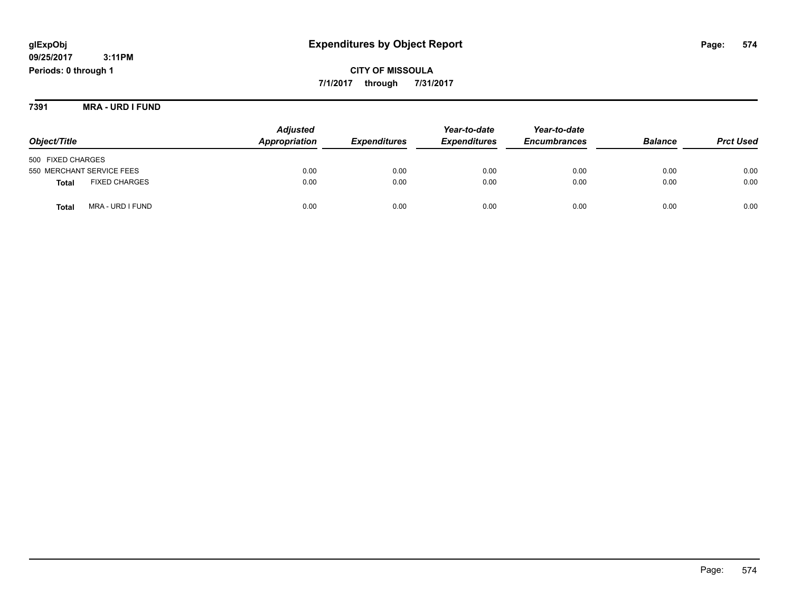**CITY OF MISSOULA 7/1/2017 through 7/31/2017**

**7391 MRA - URD I FUND**

|                                      | <b>Adjusted</b> |                            | Year-to-date        | Year-to-date        |                |                  |
|--------------------------------------|-----------------|----------------------------|---------------------|---------------------|----------------|------------------|
| Object/Title                         | Appropriation   | <i><b>Expenditures</b></i> | <b>Expenditures</b> | <b>Encumbrances</b> | <b>Balance</b> | <b>Prct Used</b> |
| 500 FIXED CHARGES                    |                 |                            |                     |                     |                |                  |
| 550 MERCHANT SERVICE FEES            | 0.00            | 0.00                       | 0.00                | 0.00                | 0.00           | 0.00             |
| <b>FIXED CHARGES</b><br><b>Total</b> | 0.00            | 0.00                       | 0.00                | 0.00                | 0.00           | 0.00             |
| MRA - URD I FUND<br>Total            | 0.00            | 0.00                       | 0.00                | 0.00                | 0.00           | 0.00             |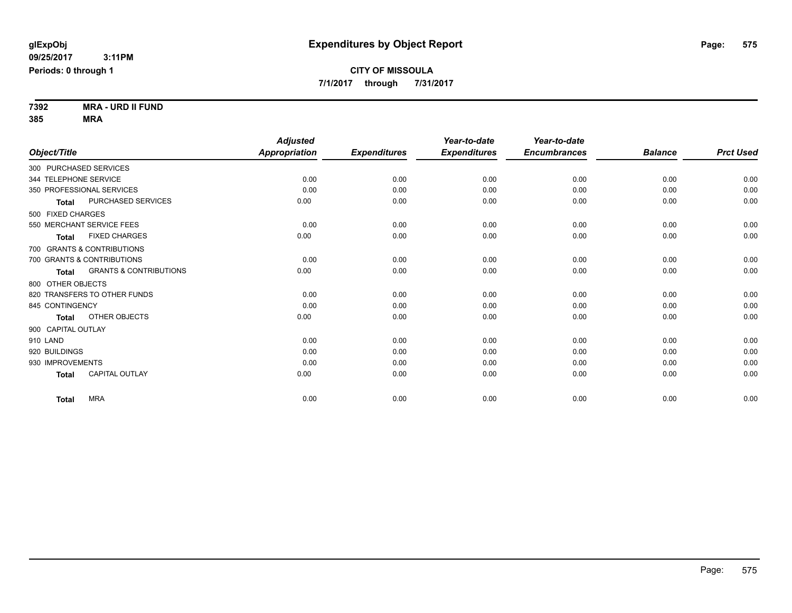**7392 MRA - URD II FUND 385 MRA**

| Object/Title                 |                                   | <b>Adjusted</b><br>Appropriation | <b>Expenditures</b> | Year-to-date<br><b>Expenditures</b> | Year-to-date<br><b>Encumbrances</b> | <b>Balance</b> | <b>Prct Used</b> |
|------------------------------|-----------------------------------|----------------------------------|---------------------|-------------------------------------|-------------------------------------|----------------|------------------|
| 300 PURCHASED SERVICES       |                                   |                                  |                     |                                     |                                     |                |                  |
|                              |                                   |                                  |                     |                                     |                                     |                |                  |
| 344 TELEPHONE SERVICE        |                                   | 0.00                             | 0.00                | 0.00                                | 0.00                                | 0.00           | 0.00             |
| 350 PROFESSIONAL SERVICES    |                                   | 0.00                             | 0.00                | 0.00                                | 0.00                                | 0.00           | 0.00             |
| <b>Total</b>                 | PURCHASED SERVICES                | 0.00                             | 0.00                | 0.00                                | 0.00                                | 0.00           | 0.00             |
| 500 FIXED CHARGES            |                                   |                                  |                     |                                     |                                     |                |                  |
| 550 MERCHANT SERVICE FEES    |                                   | 0.00                             | 0.00                | 0.00                                | 0.00                                | 0.00           | 0.00             |
| <b>Total</b>                 | <b>FIXED CHARGES</b>              | 0.00                             | 0.00                | 0.00                                | 0.00                                | 0.00           | 0.00             |
| 700 GRANTS & CONTRIBUTIONS   |                                   |                                  |                     |                                     |                                     |                |                  |
| 700 GRANTS & CONTRIBUTIONS   |                                   | 0.00                             | 0.00                | 0.00                                | 0.00                                | 0.00           | 0.00             |
| <b>Total</b>                 | <b>GRANTS &amp; CONTRIBUTIONS</b> | 0.00                             | 0.00                | 0.00                                | 0.00                                | 0.00           | 0.00             |
| 800 OTHER OBJECTS            |                                   |                                  |                     |                                     |                                     |                |                  |
| 820 TRANSFERS TO OTHER FUNDS |                                   | 0.00                             | 0.00                | 0.00                                | 0.00                                | 0.00           | 0.00             |
| 845 CONTINGENCY              |                                   | 0.00                             | 0.00                | 0.00                                | 0.00                                | 0.00           | 0.00             |
| <b>Total</b>                 | OTHER OBJECTS                     | 0.00                             | 0.00                | 0.00                                | 0.00                                | 0.00           | 0.00             |
| 900 CAPITAL OUTLAY           |                                   |                                  |                     |                                     |                                     |                |                  |
| 910 LAND                     |                                   | 0.00                             | 0.00                | 0.00                                | 0.00                                | 0.00           | 0.00             |
| 920 BUILDINGS                |                                   | 0.00                             | 0.00                | 0.00                                | 0.00                                | 0.00           | 0.00             |
| 930 IMPROVEMENTS             |                                   | 0.00                             | 0.00                | 0.00                                | 0.00                                | 0.00           | 0.00             |
| <b>Total</b>                 | CAPITAL OUTLAY                    | 0.00                             | 0.00                | 0.00                                | 0.00                                | 0.00           | 0.00             |
| <b>MRA</b><br><b>Total</b>   |                                   | 0.00                             | 0.00                | 0.00                                | 0.00                                | 0.00           | 0.00             |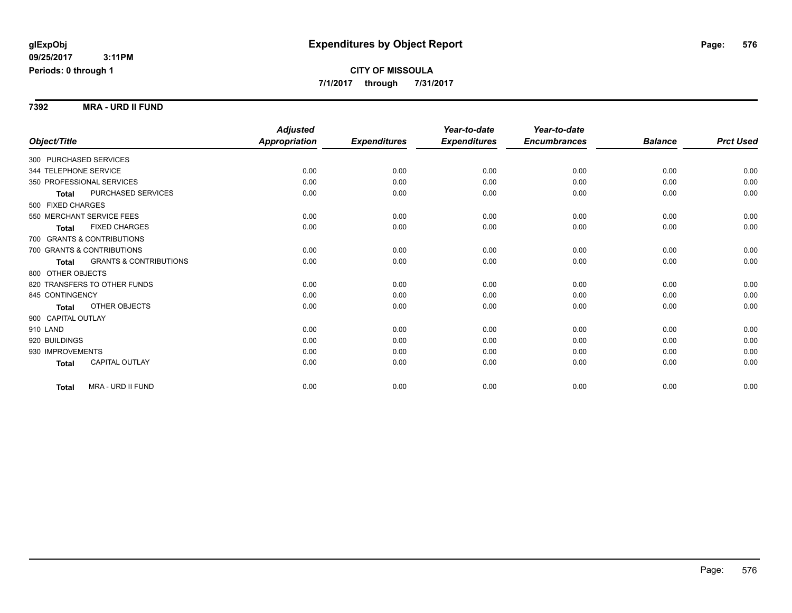**7392 MRA - URD II FUND**

|                                                   | <b>Adjusted</b>      |                     | Year-to-date        | Year-to-date        |                |                  |
|---------------------------------------------------|----------------------|---------------------|---------------------|---------------------|----------------|------------------|
| Object/Title                                      | <b>Appropriation</b> | <b>Expenditures</b> | <b>Expenditures</b> | <b>Encumbrances</b> | <b>Balance</b> | <b>Prct Used</b> |
| 300 PURCHASED SERVICES                            |                      |                     |                     |                     |                |                  |
| 344 TELEPHONE SERVICE                             | 0.00                 | 0.00                | 0.00                | 0.00                | 0.00           | 0.00             |
| 350 PROFESSIONAL SERVICES                         | 0.00                 | 0.00                | 0.00                | 0.00                | 0.00           | 0.00             |
| PURCHASED SERVICES<br><b>Total</b>                | 0.00                 | 0.00                | 0.00                | 0.00                | 0.00           | 0.00             |
| 500 FIXED CHARGES                                 |                      |                     |                     |                     |                |                  |
| 550 MERCHANT SERVICE FEES                         | 0.00                 | 0.00                | 0.00                | 0.00                | 0.00           | 0.00             |
| <b>FIXED CHARGES</b><br><b>Total</b>              | 0.00                 | 0.00                | 0.00                | 0.00                | 0.00           | 0.00             |
| 700 GRANTS & CONTRIBUTIONS                        |                      |                     |                     |                     |                |                  |
| 700 GRANTS & CONTRIBUTIONS                        | 0.00                 | 0.00                | 0.00                | 0.00                | 0.00           | 0.00             |
| <b>GRANTS &amp; CONTRIBUTIONS</b><br><b>Total</b> | 0.00                 | 0.00                | 0.00                | 0.00                | 0.00           | 0.00             |
| 800 OTHER OBJECTS                                 |                      |                     |                     |                     |                |                  |
| 820 TRANSFERS TO OTHER FUNDS                      | 0.00                 | 0.00                | 0.00                | 0.00                | 0.00           | 0.00             |
| 845 CONTINGENCY                                   | 0.00                 | 0.00                | 0.00                | 0.00                | 0.00           | 0.00             |
| OTHER OBJECTS<br><b>Total</b>                     | 0.00                 | 0.00                | 0.00                | 0.00                | 0.00           | 0.00             |
| 900 CAPITAL OUTLAY                                |                      |                     |                     |                     |                |                  |
| 910 LAND                                          | 0.00                 | 0.00                | 0.00                | 0.00                | 0.00           | 0.00             |
| 920 BUILDINGS                                     | 0.00                 | 0.00                | 0.00                | 0.00                | 0.00           | 0.00             |
| 930 IMPROVEMENTS                                  | 0.00                 | 0.00                | 0.00                | 0.00                | 0.00           | 0.00             |
| <b>CAPITAL OUTLAY</b><br><b>Total</b>             | 0.00                 | 0.00                | 0.00                | 0.00                | 0.00           | 0.00             |
| MRA - URD II FUND<br><b>Total</b>                 | 0.00                 | 0.00                | 0.00                | 0.00                | 0.00           | 0.00             |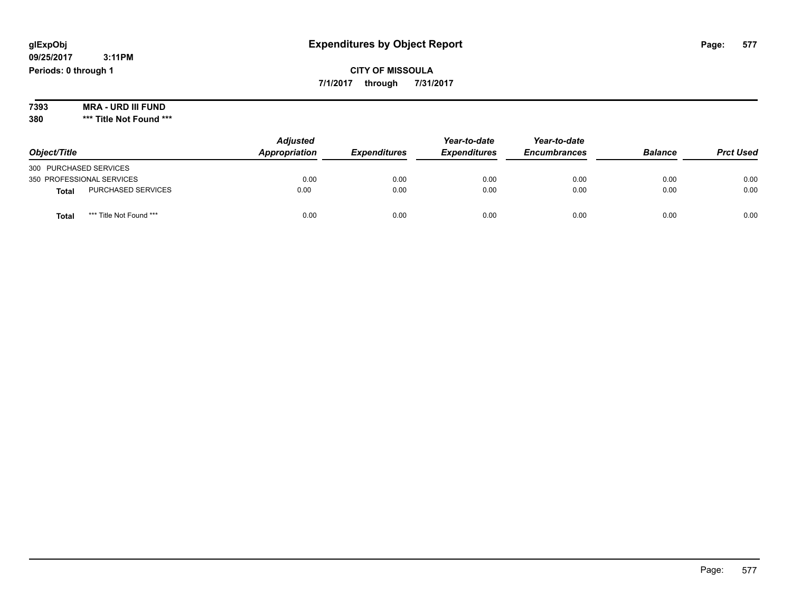**380 \*\*\* Title Not Found \*\*\***

| Object/Title           |                           | <b>Adjusted</b><br><b>Appropriation</b> | <b>Expenditures</b> | Year-to-date<br><b>Expenditures</b> | Year-to-date<br><b>Encumbrances</b> | <b>Balance</b> | <b>Prct Used</b> |
|------------------------|---------------------------|-----------------------------------------|---------------------|-------------------------------------|-------------------------------------|----------------|------------------|
| 300 PURCHASED SERVICES |                           |                                         |                     |                                     |                                     |                |                  |
|                        | 350 PROFESSIONAL SERVICES | 0.00                                    | 0.00                | 0.00                                | 0.00                                | 0.00           | 0.00             |
| Total                  | PURCHASED SERVICES        | 0.00                                    | 0.00                | 0.00                                | 0.00                                | 0.00           | 0.00             |
| <b>Total</b>           | *** Title Not Found ***   | 0.00                                    | 0.00                | 0.00                                | 0.00                                | 0.00           | 0.00             |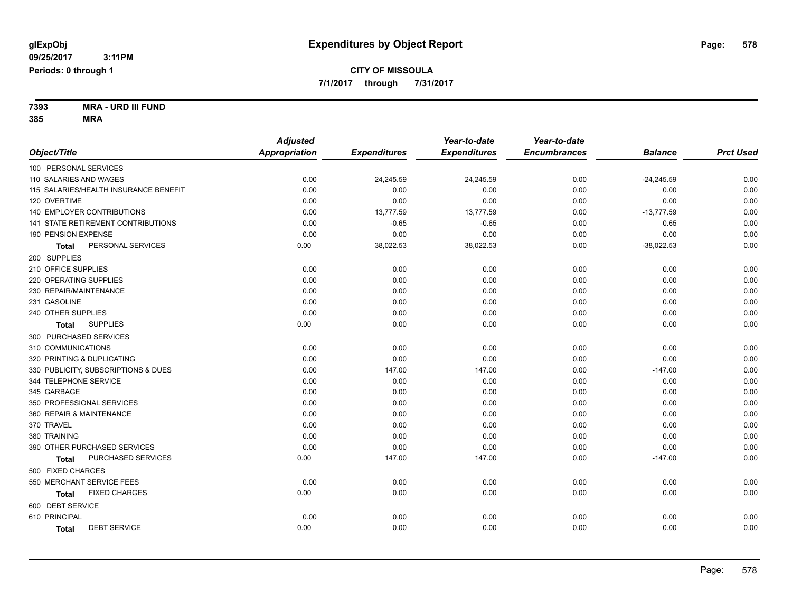# **CITY OF MISSOULA**

**7/1/2017 through 7/31/2017**

| 7393 | <b>MRA - URD III FUND</b> |  |
|------|---------------------------|--|
|      |                           |  |

|                                       | <b>Adjusted</b>      |                     | Year-to-date        | Year-to-date        |                |                  |
|---------------------------------------|----------------------|---------------------|---------------------|---------------------|----------------|------------------|
| Object/Title                          | <b>Appropriation</b> | <b>Expenditures</b> | <b>Expenditures</b> | <b>Encumbrances</b> | <b>Balance</b> | <b>Prct Used</b> |
| 100 PERSONAL SERVICES                 |                      |                     |                     |                     |                |                  |
| 110 SALARIES AND WAGES                | 0.00                 | 24,245.59           | 24,245.59           | 0.00                | $-24,245.59$   | 0.00             |
| 115 SALARIES/HEALTH INSURANCE BENEFIT | 0.00                 | 0.00                | 0.00                | 0.00                | 0.00           | 0.00             |
| 120 OVERTIME                          | 0.00                 | 0.00                | 0.00                | 0.00                | 0.00           | 0.00             |
| 140 EMPLOYER CONTRIBUTIONS            | 0.00                 | 13,777.59           | 13,777.59           | 0.00                | $-13,777.59$   | 0.00             |
| 141 STATE RETIREMENT CONTRIBUTIONS    | 0.00                 | $-0.65$             | $-0.65$             | 0.00                | 0.65           | 0.00             |
| 190 PENSION EXPENSE                   | 0.00                 | 0.00                | 0.00                | 0.00                | 0.00           | 0.00             |
| PERSONAL SERVICES<br><b>Total</b>     | 0.00                 | 38,022.53           | 38,022.53           | 0.00                | $-38,022.53$   | 0.00             |
| 200 SUPPLIES                          |                      |                     |                     |                     |                |                  |
| 210 OFFICE SUPPLIES                   | 0.00                 | 0.00                | 0.00                | 0.00                | 0.00           | 0.00             |
| 220 OPERATING SUPPLIES                | 0.00                 | 0.00                | 0.00                | 0.00                | 0.00           | 0.00             |
| 230 REPAIR/MAINTENANCE                | 0.00                 | 0.00                | 0.00                | 0.00                | 0.00           | 0.00             |
| 231 GASOLINE                          | 0.00                 | 0.00                | 0.00                | 0.00                | 0.00           | 0.00             |
| 240 OTHER SUPPLIES                    | 0.00                 | 0.00                | 0.00                | 0.00                | 0.00           | 0.00             |
| <b>SUPPLIES</b><br>Total              | 0.00                 | 0.00                | 0.00                | 0.00                | 0.00           | 0.00             |
| 300 PURCHASED SERVICES                |                      |                     |                     |                     |                |                  |
| 310 COMMUNICATIONS                    | 0.00                 | 0.00                | 0.00                | 0.00                | 0.00           | 0.00             |
| 320 PRINTING & DUPLICATING            | 0.00                 | 0.00                | 0.00                | 0.00                | 0.00           | 0.00             |
| 330 PUBLICITY, SUBSCRIPTIONS & DUES   | 0.00                 | 147.00              | 147.00              | 0.00                | $-147.00$      | 0.00             |
| 344 TELEPHONE SERVICE                 | 0.00                 | 0.00                | 0.00                | 0.00                | 0.00           | 0.00             |
| 345 GARBAGE                           | 0.00                 | 0.00                | 0.00                | 0.00                | 0.00           | 0.00             |
| 350 PROFESSIONAL SERVICES             | 0.00                 | 0.00                | 0.00                | 0.00                | 0.00           | 0.00             |
| 360 REPAIR & MAINTENANCE              | 0.00                 | 0.00                | 0.00                | 0.00                | 0.00           | 0.00             |
| 370 TRAVEL                            | 0.00                 | 0.00                | 0.00                | 0.00                | 0.00           | 0.00             |
| 380 TRAINING                          | 0.00                 | 0.00                | 0.00                | 0.00                | 0.00           | 0.00             |
| 390 OTHER PURCHASED SERVICES          | 0.00                 | 0.00                | 0.00                | 0.00                | 0.00           | 0.00             |
| PURCHASED SERVICES<br>Total           | 0.00                 | 147.00              | 147.00              | 0.00                | $-147.00$      | 0.00             |
| 500 FIXED CHARGES                     |                      |                     |                     |                     |                |                  |
| 550 MERCHANT SERVICE FEES             | 0.00                 | 0.00                | 0.00                | 0.00                | 0.00           | 0.00             |
| <b>FIXED CHARGES</b><br><b>Total</b>  | 0.00                 | 0.00                | 0.00                | 0.00                | 0.00           | 0.00             |
| 600 DEBT SERVICE                      |                      |                     |                     |                     |                |                  |
| 610 PRINCIPAL                         | 0.00                 | 0.00                | 0.00                | 0.00                | 0.00           | 0.00             |
| <b>DEBT SERVICE</b><br><b>Total</b>   | 0.00                 | 0.00                | 0.00                | 0.00                | 0.00           | 0.00             |
|                                       |                      |                     |                     |                     |                |                  |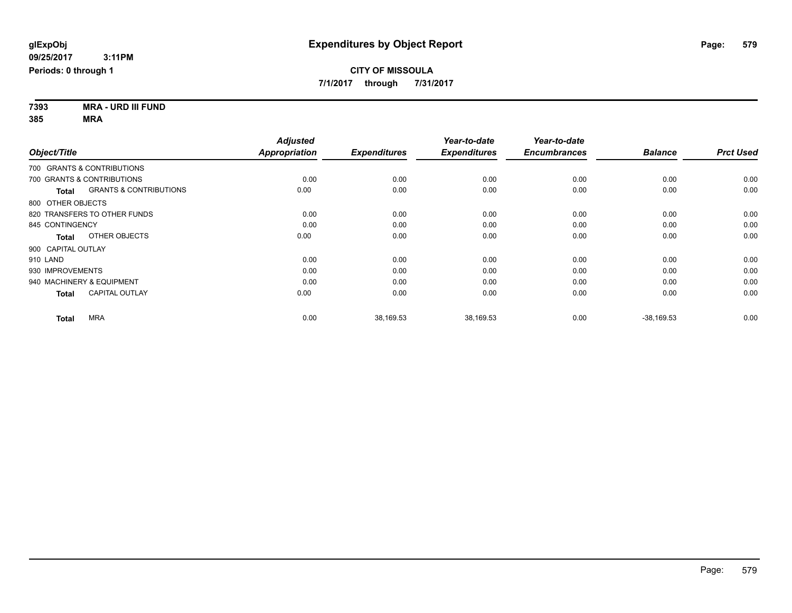**7393 MRA - URD III FUND 385 MRA**

|                                                   | <b>Adjusted</b> |                     | Year-to-date        | Year-to-date        |                |                  |
|---------------------------------------------------|-----------------|---------------------|---------------------|---------------------|----------------|------------------|
| Object/Title                                      | Appropriation   | <b>Expenditures</b> | <b>Expenditures</b> | <b>Encumbrances</b> | <b>Balance</b> | <b>Prct Used</b> |
| 700 GRANTS & CONTRIBUTIONS                        |                 |                     |                     |                     |                |                  |
| 700 GRANTS & CONTRIBUTIONS                        | 0.00            | 0.00                | 0.00                | 0.00                | 0.00           | 0.00             |
| <b>GRANTS &amp; CONTRIBUTIONS</b><br><b>Total</b> | 0.00            | 0.00                | 0.00                | 0.00                | 0.00           | 0.00             |
| 800 OTHER OBJECTS                                 |                 |                     |                     |                     |                |                  |
| 820 TRANSFERS TO OTHER FUNDS                      | 0.00            | 0.00                | 0.00                | 0.00                | 0.00           | 0.00             |
| 845 CONTINGENCY                                   | 0.00            | 0.00                | 0.00                | 0.00                | 0.00           | 0.00             |
| OTHER OBJECTS<br><b>Total</b>                     | 0.00            | 0.00                | 0.00                | 0.00                | 0.00           | 0.00             |
| 900 CAPITAL OUTLAY                                |                 |                     |                     |                     |                |                  |
| 910 LAND                                          | 0.00            | 0.00                | 0.00                | 0.00                | 0.00           | 0.00             |
| 930 IMPROVEMENTS                                  | 0.00            | 0.00                | 0.00                | 0.00                | 0.00           | 0.00             |
| 940 MACHINERY & EQUIPMENT                         | 0.00            | 0.00                | 0.00                | 0.00                | 0.00           | 0.00             |
| <b>CAPITAL OUTLAY</b><br><b>Total</b>             | 0.00            | 0.00                | 0.00                | 0.00                | 0.00           | 0.00             |
| <b>MRA</b><br><b>Total</b>                        | 0.00            | 38,169.53           | 38,169.53           | 0.00                | $-38,169.53$   | 0.00             |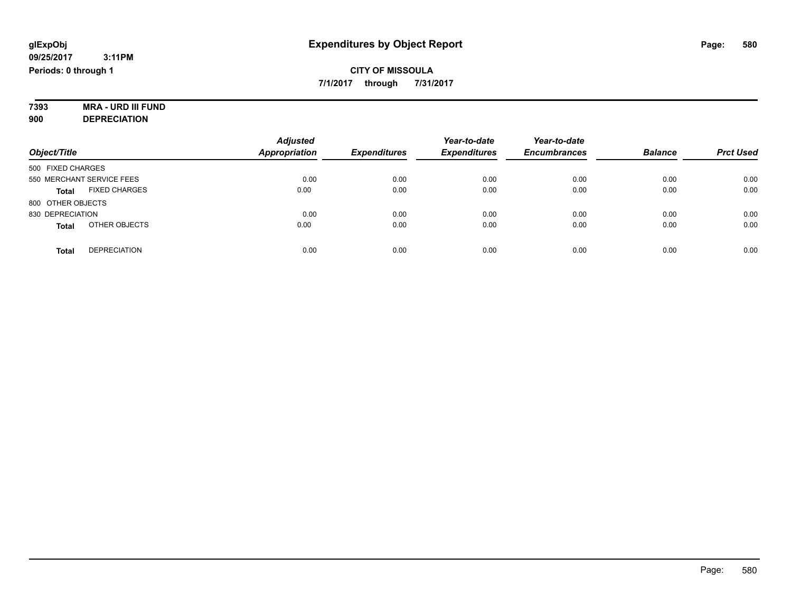#### **7393 MRA - URD III FUND 900 DEPRECIATION**

| Object/Title                         | <b>Adjusted</b><br><b>Appropriation</b> | <b>Expenditures</b> | Year-to-date<br><b>Expenditures</b> | Year-to-date<br><b>Encumbrances</b> | <b>Balance</b> | <b>Prct Used</b> |
|--------------------------------------|-----------------------------------------|---------------------|-------------------------------------|-------------------------------------|----------------|------------------|
| 500 FIXED CHARGES                    |                                         |                     |                                     |                                     |                |                  |
| 550 MERCHANT SERVICE FEES            | 0.00                                    | 0.00                | 0.00                                | 0.00                                | 0.00           | 0.00             |
| <b>FIXED CHARGES</b><br><b>Total</b> | 0.00                                    | 0.00                | 0.00                                | 0.00                                | 0.00           | 0.00             |
| 800 OTHER OBJECTS                    |                                         |                     |                                     |                                     |                |                  |
| 830 DEPRECIATION                     | 0.00                                    | 0.00                | 0.00                                | 0.00                                | 0.00           | 0.00             |
| OTHER OBJECTS<br><b>Total</b>        | 0.00                                    | 0.00                | 0.00                                | 0.00                                | 0.00           | 0.00             |
| <b>DEPRECIATION</b><br><b>Total</b>  | 0.00                                    | 0.00                | 0.00                                | 0.00                                | 0.00           | 0.00             |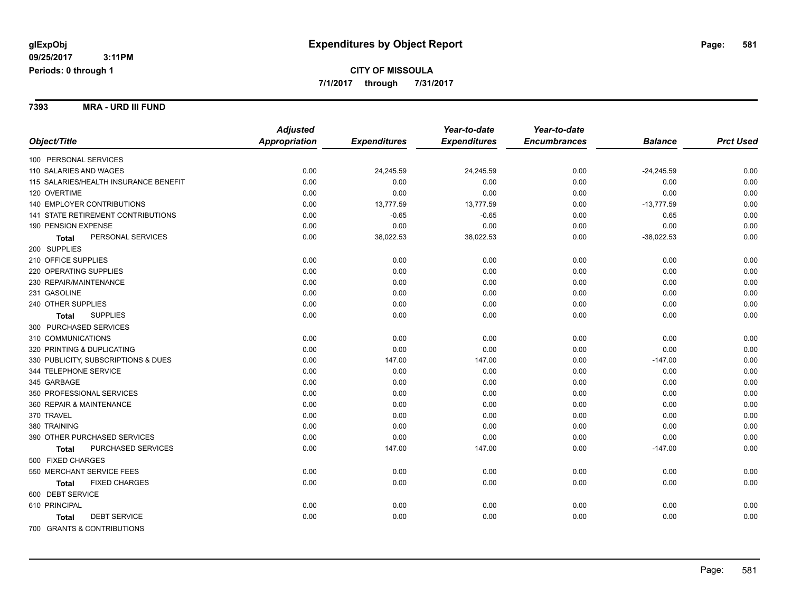**7393 MRA - URD III FUND**

|                                       | <b>Adjusted</b>      |                     | Year-to-date        | Year-to-date        |                |                  |
|---------------------------------------|----------------------|---------------------|---------------------|---------------------|----------------|------------------|
| Object/Title                          | <b>Appropriation</b> | <b>Expenditures</b> | <b>Expenditures</b> | <b>Encumbrances</b> | <b>Balance</b> | <b>Prct Used</b> |
| 100 PERSONAL SERVICES                 |                      |                     |                     |                     |                |                  |
| 110 SALARIES AND WAGES                | 0.00                 | 24,245.59           | 24,245.59           | 0.00                | $-24,245.59$   | 0.00             |
| 115 SALARIES/HEALTH INSURANCE BENEFIT | 0.00                 | 0.00                | 0.00                | 0.00                | 0.00           | 0.00             |
| 120 OVERTIME                          | 0.00                 | 0.00                | 0.00                | 0.00                | 0.00           | 0.00             |
| <b>140 EMPLOYER CONTRIBUTIONS</b>     | 0.00                 | 13,777.59           | 13,777.59           | 0.00                | $-13,777.59$   | 0.00             |
| 141 STATE RETIREMENT CONTRIBUTIONS    | 0.00                 | $-0.65$             | $-0.65$             | 0.00                | 0.65           | 0.00             |
| 190 PENSION EXPENSE                   | 0.00                 | 0.00                | 0.00                | 0.00                | 0.00           | 0.00             |
| PERSONAL SERVICES<br><b>Total</b>     | 0.00                 | 38,022.53           | 38,022.53           | 0.00                | $-38,022.53$   | 0.00             |
| 200 SUPPLIES                          |                      |                     |                     |                     |                |                  |
| 210 OFFICE SUPPLIES                   | 0.00                 | 0.00                | 0.00                | 0.00                | 0.00           | 0.00             |
| 220 OPERATING SUPPLIES                | 0.00                 | 0.00                | 0.00                | 0.00                | 0.00           | 0.00             |
| 230 REPAIR/MAINTENANCE                | 0.00                 | 0.00                | 0.00                | 0.00                | 0.00           | 0.00             |
| 231 GASOLINE                          | 0.00                 | 0.00                | 0.00                | 0.00                | 0.00           | 0.00             |
| 240 OTHER SUPPLIES                    | 0.00                 | 0.00                | 0.00                | 0.00                | 0.00           | 0.00             |
| <b>SUPPLIES</b><br><b>Total</b>       | 0.00                 | 0.00                | 0.00                | 0.00                | 0.00           | 0.00             |
| 300 PURCHASED SERVICES                |                      |                     |                     |                     |                |                  |
| 310 COMMUNICATIONS                    | 0.00                 | 0.00                | 0.00                | 0.00                | 0.00           | 0.00             |
| 320 PRINTING & DUPLICATING            | 0.00                 | 0.00                | 0.00                | 0.00                | 0.00           | 0.00             |
| 330 PUBLICITY, SUBSCRIPTIONS & DUES   | 0.00                 | 147.00              | 147.00              | 0.00                | $-147.00$      | 0.00             |
| 344 TELEPHONE SERVICE                 | 0.00                 | 0.00                | 0.00                | 0.00                | 0.00           | 0.00             |
| 345 GARBAGE                           | 0.00                 | 0.00                | 0.00                | 0.00                | 0.00           | 0.00             |
| 350 PROFESSIONAL SERVICES             | 0.00                 | 0.00                | 0.00                | 0.00                | 0.00           | 0.00             |
| 360 REPAIR & MAINTENANCE              | 0.00                 | 0.00                | 0.00                | 0.00                | 0.00           | 0.00             |
| 370 TRAVEL                            | 0.00                 | 0.00                | 0.00                | 0.00                | 0.00           | 0.00             |
| 380 TRAINING                          | 0.00                 | 0.00                | 0.00                | 0.00                | 0.00           | 0.00             |
| 390 OTHER PURCHASED SERVICES          | 0.00                 | 0.00                | 0.00                | 0.00                | 0.00           | 0.00             |
| PURCHASED SERVICES<br><b>Total</b>    | 0.00                 | 147.00              | 147.00              | 0.00                | $-147.00$      | 0.00             |
| 500 FIXED CHARGES                     |                      |                     |                     |                     |                |                  |
| 550 MERCHANT SERVICE FEES             | 0.00                 | 0.00                | 0.00                | 0.00                | 0.00           | 0.00             |
| <b>FIXED CHARGES</b><br>Total         | 0.00                 | 0.00                | 0.00                | 0.00                | 0.00           | 0.00             |
| 600 DEBT SERVICE                      |                      |                     |                     |                     |                |                  |
| 610 PRINCIPAL                         | 0.00                 | 0.00                | 0.00                | 0.00                | 0.00           | 0.00             |
| <b>DEBT SERVICE</b><br><b>Total</b>   | 0.00                 | 0.00                | 0.00                | 0.00                | 0.00           | 0.00             |
| 700 GRANTS & CONTRIBUTIONS            |                      |                     |                     |                     |                |                  |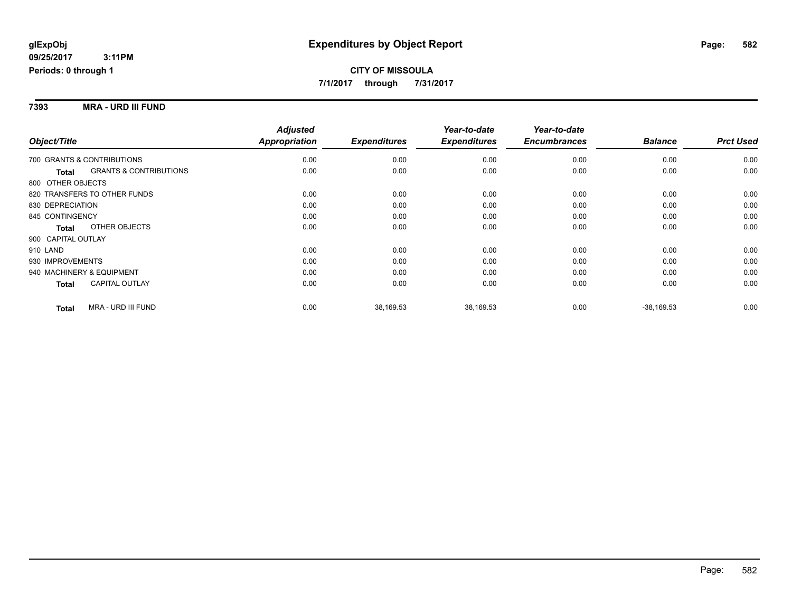#### **7393 MRA - URD III FUND**

|                    |                                   | <b>Adjusted</b>      |                     | Year-to-date        | Year-to-date        |                |                  |
|--------------------|-----------------------------------|----------------------|---------------------|---------------------|---------------------|----------------|------------------|
| Object/Title       |                                   | <b>Appropriation</b> | <b>Expenditures</b> | <b>Expenditures</b> | <b>Encumbrances</b> | <b>Balance</b> | <b>Prct Used</b> |
|                    | 700 GRANTS & CONTRIBUTIONS        | 0.00                 | 0.00                | 0.00                | 0.00                | 0.00           | 0.00             |
| <b>Total</b>       | <b>GRANTS &amp; CONTRIBUTIONS</b> | 0.00                 | 0.00                | 0.00                | 0.00                | 0.00           | 0.00             |
| 800 OTHER OBJECTS  |                                   |                      |                     |                     |                     |                |                  |
|                    | 820 TRANSFERS TO OTHER FUNDS      | 0.00                 | 0.00                | 0.00                | 0.00                | 0.00           | 0.00             |
| 830 DEPRECIATION   |                                   | 0.00                 | 0.00                | 0.00                | 0.00                | 0.00           | 0.00             |
| 845 CONTINGENCY    |                                   | 0.00                 | 0.00                | 0.00                | 0.00                | 0.00           | 0.00             |
| <b>Total</b>       | OTHER OBJECTS                     | 0.00                 | 0.00                | 0.00                | 0.00                | 0.00           | 0.00             |
| 900 CAPITAL OUTLAY |                                   |                      |                     |                     |                     |                |                  |
| 910 LAND           |                                   | 0.00                 | 0.00                | 0.00                | 0.00                | 0.00           | 0.00             |
| 930 IMPROVEMENTS   |                                   | 0.00                 | 0.00                | 0.00                | 0.00                | 0.00           | 0.00             |
|                    | 940 MACHINERY & EQUIPMENT         | 0.00                 | 0.00                | 0.00                | 0.00                | 0.00           | 0.00             |
| <b>Total</b>       | <b>CAPITAL OUTLAY</b>             | 0.00                 | 0.00                | 0.00                | 0.00                | 0.00           | 0.00             |
| <b>Total</b>       | MRA - URD III FUND                | 0.00                 | 38,169.53           | 38,169.53           | 0.00                | $-38,169.53$   | 0.00             |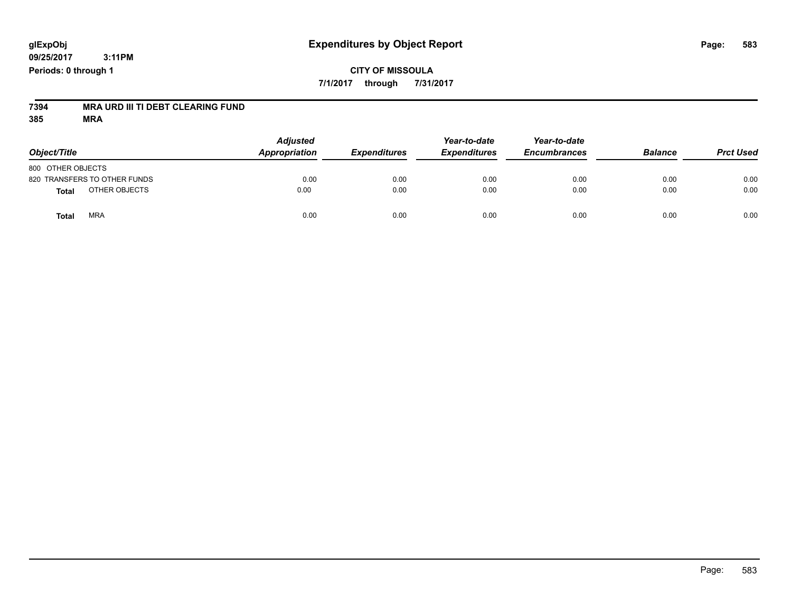## **CITY OF MISSOULA 7/1/2017 through 7/31/2017**

# **7394 MRA URD III TI DEBT CLEARING FUND**

| Object/Title                 | <b>Adjusted</b><br>Appropriation | <b>Expenditures</b> | Year-to-date<br><b>Expenditures</b> | Year-to-date<br><b>Encumbrances</b> | <b>Balance</b> | <b>Prct Used</b> |
|------------------------------|----------------------------------|---------------------|-------------------------------------|-------------------------------------|----------------|------------------|
| 800 OTHER OBJECTS            |                                  |                     |                                     |                                     |                |                  |
| 820 TRANSFERS TO OTHER FUNDS | 0.00                             | 0.00                | 0.00                                | 0.00                                | 0.00           | 0.00             |
| OTHER OBJECTS<br>Total       | 0.00                             | 0.00                | 0.00                                | 0.00                                | 0.00           | 0.00             |
| <b>MRA</b><br><b>Total</b>   | 0.00                             | 0.00                | 0.00                                | 0.00                                | 0.00           | 0.00             |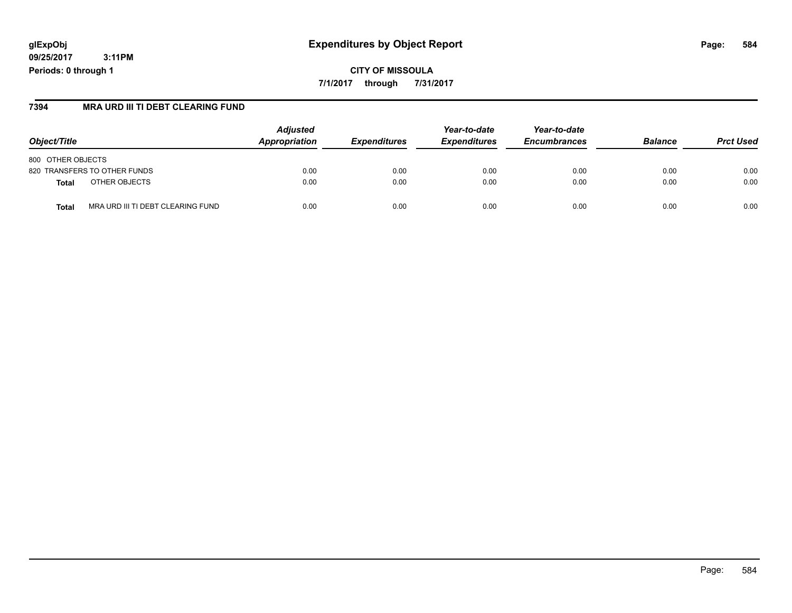## **glExpObj Expenditures by Object Report Page: 584**

**09/25/2017 3:11PM Periods: 0 through 1**

#### **7394 MRA URD III TI DEBT CLEARING FUND**

| Object/Title                               | <b>Adjusted</b><br>Appropriation | <i><b>Expenditures</b></i> | Year-to-date<br><b>Expenditures</b> | Year-to-date<br><b>Encumbrances</b> | <b>Balance</b> | <b>Prct Used</b> |
|--------------------------------------------|----------------------------------|----------------------------|-------------------------------------|-------------------------------------|----------------|------------------|
| 800 OTHER OBJECTS                          |                                  |                            |                                     |                                     |                |                  |
| 820 TRANSFERS TO OTHER FUNDS               | 0.00                             | 0.00                       | 0.00                                | 0.00                                | 0.00           | 0.00             |
| OTHER OBJECTS<br><b>Total</b>              | 0.00                             | 0.00                       | 0.00                                | 0.00                                | 0.00           | 0.00             |
| MRA URD III TI DEBT CLEARING FUND<br>Total | 0.00                             | 0.00                       | 0.00                                | 0.00                                | 0.00           | 0.00             |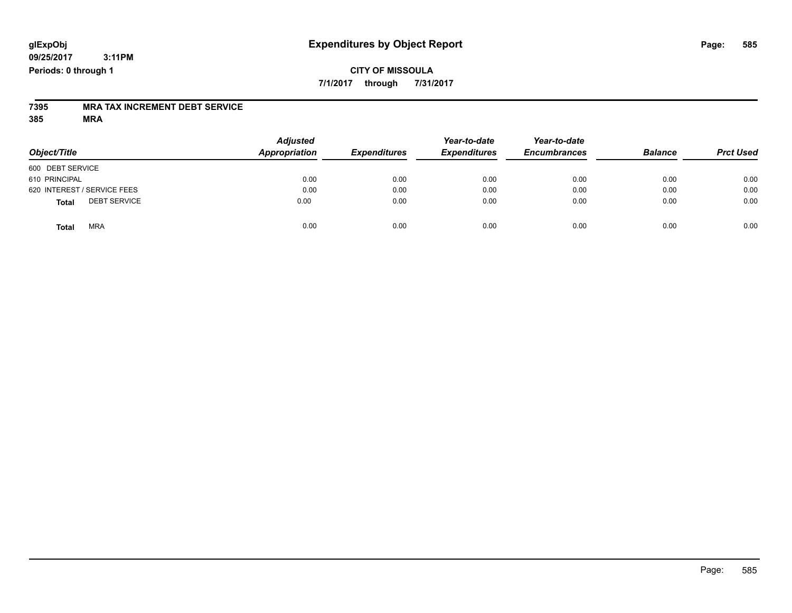## **CITY OF MISSOULA 7/1/2017 through 7/31/2017**

# **7395 MRA TAX INCREMENT DEBT SERVICE**

| Object/Title                        | <b>Adjusted</b><br>Appropriation | <b>Expenditures</b> | Year-to-date<br><b>Expenditures</b> | Year-to-date<br><b>Encumbrances</b> | <b>Balance</b> | <b>Prct Used</b> |
|-------------------------------------|----------------------------------|---------------------|-------------------------------------|-------------------------------------|----------------|------------------|
| 600 DEBT SERVICE                    |                                  |                     |                                     |                                     |                |                  |
| 610 PRINCIPAL                       | 0.00                             | 0.00                | 0.00                                | 0.00                                | 0.00           | 0.00             |
| 620 INTEREST / SERVICE FEES         | 0.00                             | 0.00                | 0.00                                | 0.00                                | 0.00           | 0.00             |
| <b>DEBT SERVICE</b><br><b>Total</b> | 0.00                             | 0.00                | 0.00                                | 0.00                                | 0.00           | 0.00             |
| <b>MRA</b><br><b>Total</b>          | 0.00                             | 0.00                | 0.00                                | 0.00                                | 0.00           | 0.00             |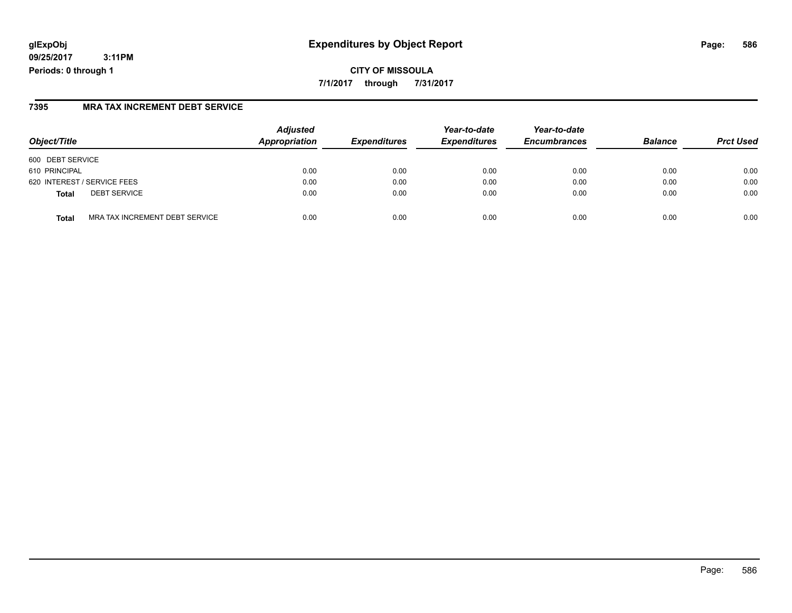# **glExpObj Expenditures by Object Report Page: 586**

**09/25/2017 3:11PM Periods: 0 through 1**

#### **7395 MRA TAX INCREMENT DEBT SERVICE**

| Object/Title                            | <b>Adjusted</b><br>Appropriation | <b>Expenditures</b> | Year-to-date<br><b>Expenditures</b> | Year-to-date<br><b>Encumbrances</b> | <b>Balance</b> | <b>Prct Used</b> |
|-----------------------------------------|----------------------------------|---------------------|-------------------------------------|-------------------------------------|----------------|------------------|
| 600 DEBT SERVICE                        |                                  |                     |                                     |                                     |                |                  |
| 610 PRINCIPAL                           | 0.00                             | 0.00                | 0.00                                | 0.00                                | 0.00           | 0.00             |
| 620 INTEREST / SERVICE FEES             | 0.00                             | 0.00                | 0.00                                | 0.00                                | 0.00           | 0.00             |
| <b>DEBT SERVICE</b><br>Total            | 0.00                             | 0.00                | 0.00                                | 0.00                                | 0.00           | 0.00             |
| MRA TAX INCREMENT DEBT SERVICE<br>Total | 0.00                             | 0.00                | 0.00                                | 0.00                                | 0.00           | 0.00             |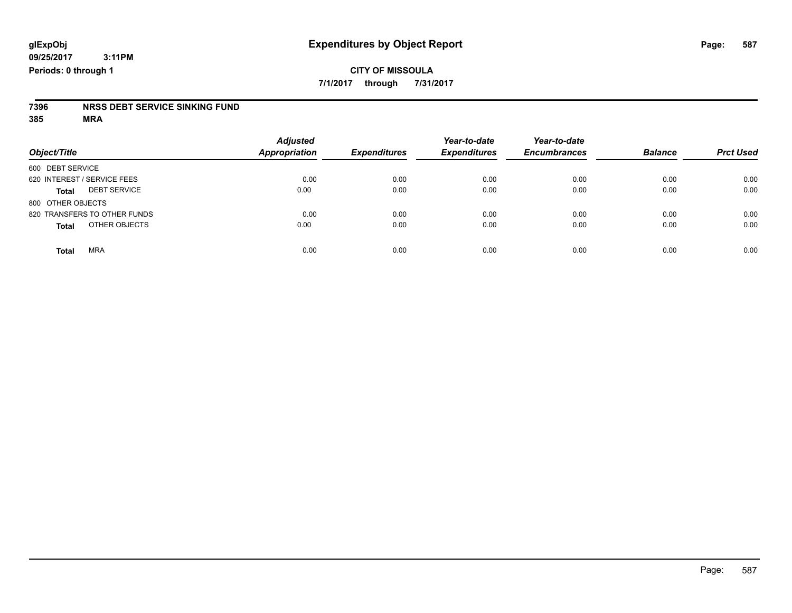# **7396 NRSS DEBT SERVICE SINKING FUND**

| Object/Title                        | <b>Adjusted</b><br><b>Appropriation</b> | <b>Expenditures</b> | Year-to-date<br><b>Expenditures</b> | Year-to-date<br><b>Encumbrances</b> | <b>Balance</b> | <b>Prct Used</b> |
|-------------------------------------|-----------------------------------------|---------------------|-------------------------------------|-------------------------------------|----------------|------------------|
| 600 DEBT SERVICE                    |                                         |                     |                                     |                                     |                |                  |
| 620 INTEREST / SERVICE FEES         | 0.00                                    | 0.00                | 0.00                                | 0.00                                | 0.00           | 0.00             |
| <b>DEBT SERVICE</b><br><b>Total</b> | 0.00                                    | 0.00                | 0.00                                | 0.00                                | 0.00           | 0.00             |
| 800 OTHER OBJECTS                   |                                         |                     |                                     |                                     |                |                  |
| 820 TRANSFERS TO OTHER FUNDS        | 0.00                                    | 0.00                | 0.00                                | 0.00                                | 0.00           | 0.00             |
| OTHER OBJECTS<br><b>Total</b>       | 0.00                                    | 0.00                | 0.00                                | 0.00                                | 0.00           | 0.00             |
| <b>MRA</b><br><b>Total</b>          | 0.00                                    | 0.00                | 0.00                                | 0.00                                | 0.00           | 0.00             |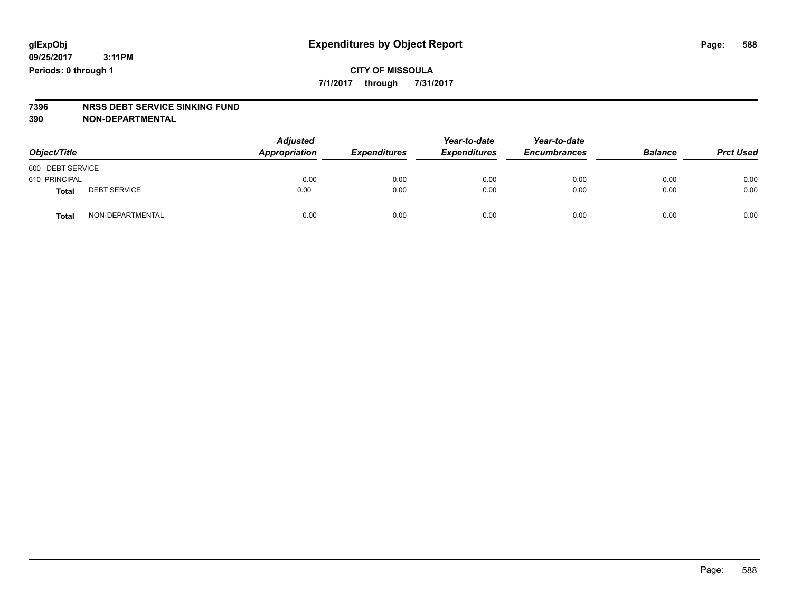**CITY OF MISSOULA 7/1/2017 through 7/31/2017**

# **7396 NRSS DEBT SERVICE SINKING FUND**

**390 NON-DEPARTMENTAL**

| Object/Title     |                     | <b>Adjusted</b><br>Appropriation | <b>Expenditures</b> | Year-to-date<br><b>Expenditures</b> | Year-to-date<br><b>Encumbrances</b> | <b>Balance</b> | <b>Prct Used</b> |
|------------------|---------------------|----------------------------------|---------------------|-------------------------------------|-------------------------------------|----------------|------------------|
| 600 DEBT SERVICE |                     |                                  |                     |                                     |                                     |                |                  |
| 610 PRINCIPAL    |                     | 0.00                             | 0.00                | 0.00                                | 0.00                                | 0.00           | 0.00             |
| Total            | <b>DEBT SERVICE</b> | 0.00                             | 0.00                | 0.00                                | 0.00                                | 0.00           | 0.00             |
| Total            | NON-DEPARTMENTAL    | 0.00                             | 0.00                | 0.00                                | 0.00                                | 0.00           | 0.00             |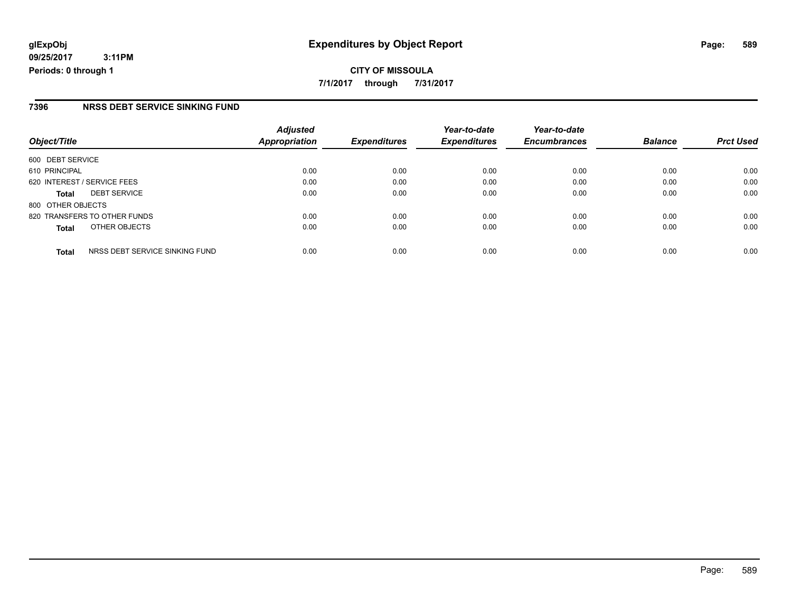#### **7396 NRSS DEBT SERVICE SINKING FUND**

|                                                | <b>Adjusted</b>      |                     | Year-to-date        | Year-to-date        |                |                  |
|------------------------------------------------|----------------------|---------------------|---------------------|---------------------|----------------|------------------|
| Object/Title                                   | <b>Appropriation</b> | <b>Expenditures</b> | <b>Expenditures</b> | <b>Encumbrances</b> | <b>Balance</b> | <b>Prct Used</b> |
| 600 DEBT SERVICE                               |                      |                     |                     |                     |                |                  |
| 610 PRINCIPAL                                  | 0.00                 | 0.00                | 0.00                | 0.00                | 0.00           | 0.00             |
| 620 INTEREST / SERVICE FEES                    | 0.00                 | 0.00                | 0.00                | 0.00                | 0.00           | 0.00             |
| <b>DEBT SERVICE</b><br><b>Total</b>            | 0.00                 | 0.00                | 0.00                | 0.00                | 0.00           | 0.00             |
| 800 OTHER OBJECTS                              |                      |                     |                     |                     |                |                  |
| 820 TRANSFERS TO OTHER FUNDS                   | 0.00                 | 0.00                | 0.00                | 0.00                | 0.00           | 0.00             |
| OTHER OBJECTS<br><b>Total</b>                  | 0.00                 | 0.00                | 0.00                | 0.00                | 0.00           | 0.00             |
| NRSS DEBT SERVICE SINKING FUND<br><b>Total</b> | 0.00                 | 0.00                | 0.00                | 0.00                | 0.00           | 0.00             |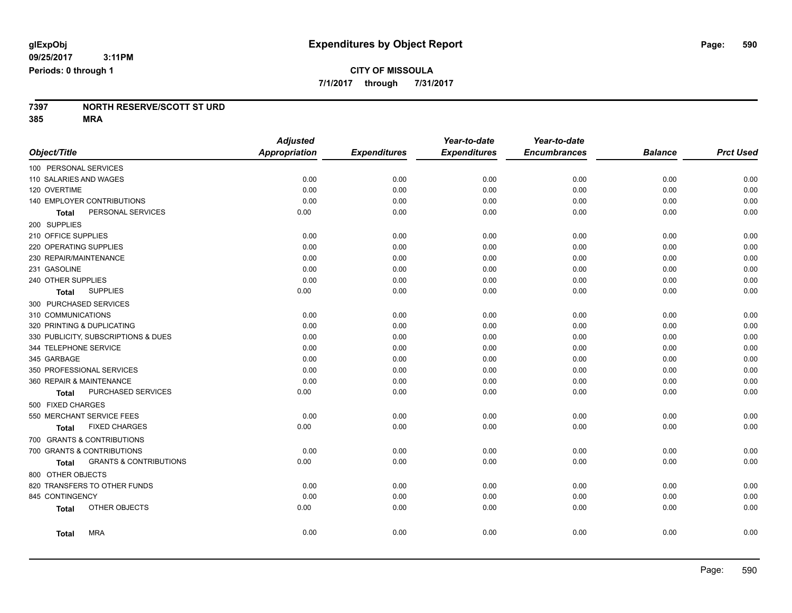# **CITY OF MISSOULA**

**7/1/2017 through 7/31/2017**

# **7397 NORTH RESERVE/SCOTT ST URD**

|                                                   | <b>Adjusted</b> |                     | Year-to-date        | Year-to-date        |                |                  |
|---------------------------------------------------|-----------------|---------------------|---------------------|---------------------|----------------|------------------|
| Object/Title                                      | Appropriation   | <b>Expenditures</b> | <b>Expenditures</b> | <b>Encumbrances</b> | <b>Balance</b> | <b>Prct Used</b> |
| 100 PERSONAL SERVICES                             |                 |                     |                     |                     |                |                  |
| 110 SALARIES AND WAGES                            | 0.00            | 0.00                | 0.00                | 0.00                | 0.00           | 0.00             |
| 120 OVERTIME                                      | 0.00            | 0.00                | 0.00                | 0.00                | 0.00           | 0.00             |
| 140 EMPLOYER CONTRIBUTIONS                        | 0.00            | 0.00                | 0.00                | 0.00                | 0.00           | 0.00             |
| PERSONAL SERVICES<br>Total                        | 0.00            | 0.00                | 0.00                | 0.00                | 0.00           | 0.00             |
| 200 SUPPLIES                                      |                 |                     |                     |                     |                |                  |
| 210 OFFICE SUPPLIES                               | 0.00            | 0.00                | 0.00                | 0.00                | 0.00           | 0.00             |
| 220 OPERATING SUPPLIES                            | 0.00            | 0.00                | 0.00                | 0.00                | 0.00           | 0.00             |
| 230 REPAIR/MAINTENANCE                            | 0.00            | 0.00                | 0.00                | 0.00                | 0.00           | 0.00             |
| 231 GASOLINE                                      | 0.00            | 0.00                | 0.00                | 0.00                | 0.00           | 0.00             |
| 240 OTHER SUPPLIES                                | 0.00            | 0.00                | 0.00                | 0.00                | 0.00           | 0.00             |
| <b>SUPPLIES</b><br>Total                          | 0.00            | 0.00                | 0.00                | 0.00                | 0.00           | 0.00             |
| 300 PURCHASED SERVICES                            |                 |                     |                     |                     |                |                  |
| 310 COMMUNICATIONS                                | 0.00            | 0.00                | 0.00                | 0.00                | 0.00           | 0.00             |
| 320 PRINTING & DUPLICATING                        | 0.00            | 0.00                | 0.00                | 0.00                | 0.00           | 0.00             |
| 330 PUBLICITY, SUBSCRIPTIONS & DUES               | 0.00            | 0.00                | 0.00                | 0.00                | 0.00           | 0.00             |
| 344 TELEPHONE SERVICE                             | 0.00            | 0.00                | 0.00                | 0.00                | 0.00           | 0.00             |
| 345 GARBAGE                                       | 0.00            | 0.00                | 0.00                | 0.00                | 0.00           | 0.00             |
| 350 PROFESSIONAL SERVICES                         | 0.00            | 0.00                | 0.00                | 0.00                | 0.00           | 0.00             |
| 360 REPAIR & MAINTENANCE                          | 0.00            | 0.00                | 0.00                | 0.00                | 0.00           | 0.00             |
| PURCHASED SERVICES<br><b>Total</b>                | 0.00            | 0.00                | 0.00                | 0.00                | 0.00           | 0.00             |
| 500 FIXED CHARGES                                 |                 |                     |                     |                     |                |                  |
| 550 MERCHANT SERVICE FEES                         | 0.00            | 0.00                | 0.00                | 0.00                | 0.00           | 0.00             |
| <b>FIXED CHARGES</b><br><b>Total</b>              | 0.00            | 0.00                | 0.00                | 0.00                | 0.00           | 0.00             |
| 700 GRANTS & CONTRIBUTIONS                        |                 |                     |                     |                     |                |                  |
| 700 GRANTS & CONTRIBUTIONS                        | 0.00            | 0.00                | 0.00                | 0.00                | 0.00           | 0.00             |
| <b>GRANTS &amp; CONTRIBUTIONS</b><br><b>Total</b> | 0.00            | 0.00                | 0.00                | 0.00                | 0.00           | 0.00             |
| 800 OTHER OBJECTS                                 |                 |                     |                     |                     |                |                  |
| 820 TRANSFERS TO OTHER FUNDS                      | 0.00            | 0.00                | 0.00                | 0.00                | 0.00           | 0.00             |
| 845 CONTINGENCY                                   | 0.00            | 0.00                | 0.00                | 0.00                | 0.00           | 0.00             |
| OTHER OBJECTS<br>Total                            | 0.00            | 0.00                | 0.00                | 0.00                | 0.00           | 0.00             |
| <b>MRA</b><br><b>Total</b>                        | 0.00            | 0.00                | 0.00                | 0.00                | 0.00           | 0.00             |
|                                                   |                 |                     |                     |                     |                |                  |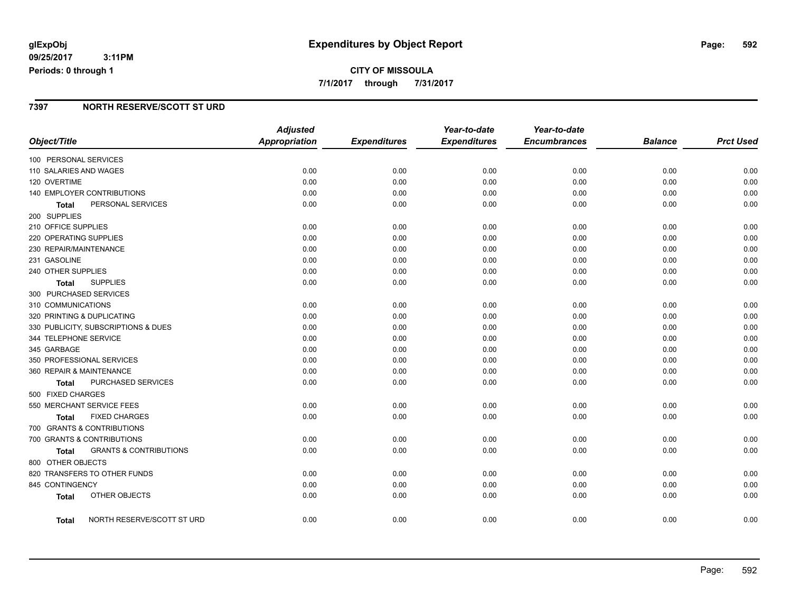# **CITY OF MISSOULA 7/1/2017 through 7/31/2017**

#### **7397 NORTH RESERVE/SCOTT ST URD**

|                          |                                     | <b>Adjusted</b>      |                     | Year-to-date        | Year-to-date        |                |                  |
|--------------------------|-------------------------------------|----------------------|---------------------|---------------------|---------------------|----------------|------------------|
| Object/Title             |                                     | <b>Appropriation</b> | <b>Expenditures</b> | <b>Expenditures</b> | <b>Encumbrances</b> | <b>Balance</b> | <b>Prct Used</b> |
| 100 PERSONAL SERVICES    |                                     |                      |                     |                     |                     |                |                  |
| 110 SALARIES AND WAGES   |                                     | 0.00                 | 0.00                | 0.00                | 0.00                | 0.00           | 0.00             |
| 120 OVERTIME             |                                     | 0.00                 | 0.00                | 0.00                | 0.00                | 0.00           | 0.00             |
|                          | 140 EMPLOYER CONTRIBUTIONS          | 0.00                 | 0.00                | 0.00                | 0.00                | 0.00           | 0.00             |
| Total                    | PERSONAL SERVICES                   | 0.00                 | 0.00                | 0.00                | 0.00                | 0.00           | 0.00             |
| 200 SUPPLIES             |                                     |                      |                     |                     |                     |                |                  |
| 210 OFFICE SUPPLIES      |                                     | 0.00                 | 0.00                | 0.00                | 0.00                | 0.00           | 0.00             |
| 220 OPERATING SUPPLIES   |                                     | 0.00                 | 0.00                | 0.00                | 0.00                | 0.00           | 0.00             |
| 230 REPAIR/MAINTENANCE   |                                     | 0.00                 | 0.00                | 0.00                | 0.00                | 0.00           | 0.00             |
| 231 GASOLINE             |                                     | 0.00                 | 0.00                | 0.00                | 0.00                | 0.00           | 0.00             |
| 240 OTHER SUPPLIES       |                                     | 0.00                 | 0.00                | 0.00                | 0.00                | 0.00           | 0.00             |
| Total                    | <b>SUPPLIES</b>                     | 0.00                 | 0.00                | 0.00                | 0.00                | 0.00           | 0.00             |
| 300 PURCHASED SERVICES   |                                     |                      |                     |                     |                     |                |                  |
| 310 COMMUNICATIONS       |                                     | 0.00                 | 0.00                | 0.00                | 0.00                | 0.00           | 0.00             |
|                          | 320 PRINTING & DUPLICATING          | 0.00                 | 0.00                | 0.00                | 0.00                | 0.00           | 0.00             |
|                          | 330 PUBLICITY, SUBSCRIPTIONS & DUES | 0.00                 | 0.00                | 0.00                | 0.00                | 0.00           | 0.00             |
| 344 TELEPHONE SERVICE    |                                     | 0.00                 | 0.00                | 0.00                | 0.00                | 0.00           | 0.00             |
| 345 GARBAGE              |                                     | 0.00                 | 0.00                | 0.00                | 0.00                | 0.00           | 0.00             |
|                          | 350 PROFESSIONAL SERVICES           | 0.00                 | 0.00                | 0.00                | 0.00                | 0.00           | 0.00             |
| 360 REPAIR & MAINTENANCE |                                     | 0.00                 | 0.00                | 0.00                | 0.00                | 0.00           | 0.00             |
| Total                    | PURCHASED SERVICES                  | 0.00                 | 0.00                | 0.00                | 0.00                | 0.00           | 0.00             |
| 500 FIXED CHARGES        |                                     |                      |                     |                     |                     |                |                  |
|                          | 550 MERCHANT SERVICE FEES           | 0.00                 | 0.00                | 0.00                | 0.00                | 0.00           | 0.00             |
| Total                    | <b>FIXED CHARGES</b>                | 0.00                 | 0.00                | 0.00                | 0.00                | 0.00           | 0.00             |
|                          | 700 GRANTS & CONTRIBUTIONS          |                      |                     |                     |                     |                |                  |
|                          | 700 GRANTS & CONTRIBUTIONS          | 0.00                 | 0.00                | 0.00                | 0.00                | 0.00           | 0.00             |
| Total                    | <b>GRANTS &amp; CONTRIBUTIONS</b>   | 0.00                 | 0.00                | 0.00                | 0.00                | 0.00           | 0.00             |
| 800 OTHER OBJECTS        |                                     |                      |                     |                     |                     |                |                  |
|                          | 820 TRANSFERS TO OTHER FUNDS        | 0.00                 | 0.00                | 0.00                | 0.00                | 0.00           | 0.00             |
| 845 CONTINGENCY          |                                     | 0.00                 | 0.00                | 0.00                | 0.00                | 0.00           | 0.00             |
| <b>Total</b>             | OTHER OBJECTS                       | 0.00                 | 0.00                | 0.00                | 0.00                | 0.00           | 0.00             |
| Total                    | NORTH RESERVE/SCOTT ST URD          | 0.00                 | 0.00                | 0.00                | 0.00                | 0.00           | 0.00             |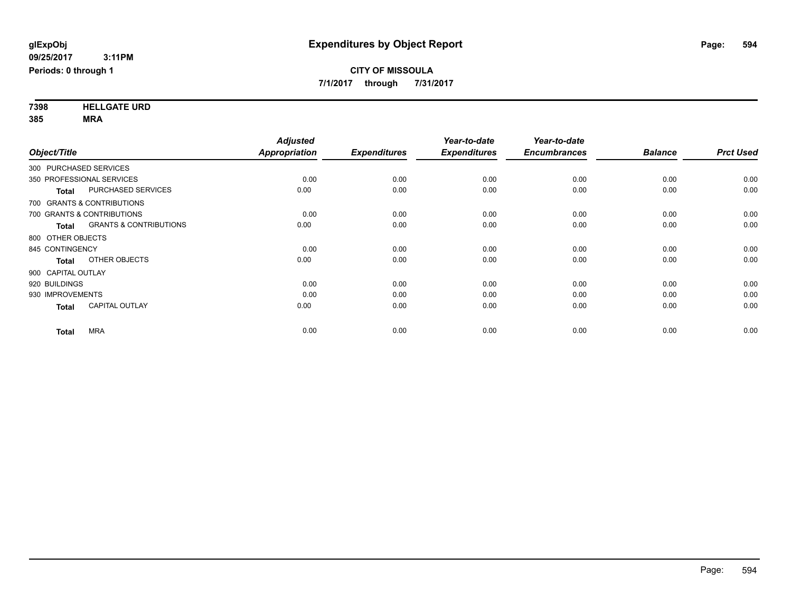**7398 HELLGATE URD 385 MRA**

| Object/Title           |                                   | <b>Adjusted</b><br>Appropriation | <b>Expenditures</b> | Year-to-date<br><b>Expenditures</b> | Year-to-date<br><b>Encumbrances</b> | <b>Balance</b> | <b>Prct Used</b> |
|------------------------|-----------------------------------|----------------------------------|---------------------|-------------------------------------|-------------------------------------|----------------|------------------|
| 300 PURCHASED SERVICES |                                   |                                  |                     |                                     |                                     |                |                  |
|                        | 350 PROFESSIONAL SERVICES         | 0.00                             | 0.00                | 0.00                                | 0.00                                | 0.00           | 0.00             |
| <b>Total</b>           | <b>PURCHASED SERVICES</b>         | 0.00                             | 0.00                | 0.00                                | 0.00                                | 0.00           | 0.00             |
|                        | 700 GRANTS & CONTRIBUTIONS        |                                  |                     |                                     |                                     |                |                  |
|                        | 700 GRANTS & CONTRIBUTIONS        | 0.00                             | 0.00                | 0.00                                | 0.00                                | 0.00           | 0.00             |
| <b>Total</b>           | <b>GRANTS &amp; CONTRIBUTIONS</b> | 0.00                             | 0.00                | 0.00                                | 0.00                                | 0.00           | 0.00             |
| 800 OTHER OBJECTS      |                                   |                                  |                     |                                     |                                     |                |                  |
| 845 CONTINGENCY        |                                   | 0.00                             | 0.00                | 0.00                                | 0.00                                | 0.00           | 0.00             |
| <b>Total</b>           | OTHER OBJECTS                     | 0.00                             | 0.00                | 0.00                                | 0.00                                | 0.00           | 0.00             |
| 900 CAPITAL OUTLAY     |                                   |                                  |                     |                                     |                                     |                |                  |
| 920 BUILDINGS          |                                   | 0.00                             | 0.00                | 0.00                                | 0.00                                | 0.00           | 0.00             |
| 930 IMPROVEMENTS       |                                   | 0.00                             | 0.00                | 0.00                                | 0.00                                | 0.00           | 0.00             |
| <b>Total</b>           | <b>CAPITAL OUTLAY</b>             | 0.00                             | 0.00                | 0.00                                | 0.00                                | 0.00           | 0.00             |
| <b>Total</b>           | <b>MRA</b>                        | 0.00                             | 0.00                | 0.00                                | 0.00                                | 0.00           | 0.00             |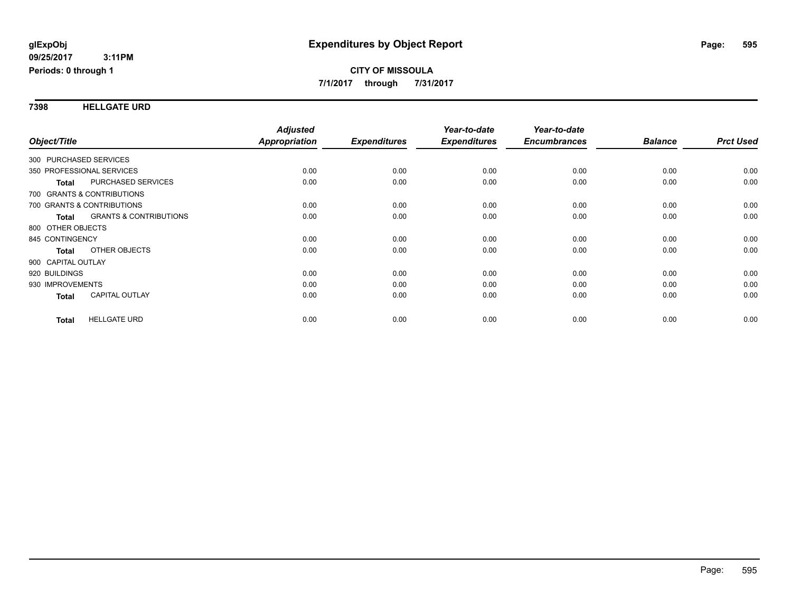**7398 HELLGATE URD**

|                                            | <b>Adjusted</b> |                     | Year-to-date        | Year-to-date        |                |                  |
|--------------------------------------------|-----------------|---------------------|---------------------|---------------------|----------------|------------------|
| Object/Title                               | Appropriation   | <b>Expenditures</b> | <b>Expenditures</b> | <b>Encumbrances</b> | <b>Balance</b> | <b>Prct Used</b> |
| 300 PURCHASED SERVICES                     |                 |                     |                     |                     |                |                  |
| 350 PROFESSIONAL SERVICES                  | 0.00            | 0.00                | 0.00                | 0.00                | 0.00           | 0.00             |
| PURCHASED SERVICES<br><b>Total</b>         | 0.00            | 0.00                | 0.00                | 0.00                | 0.00           | 0.00             |
| 700 GRANTS & CONTRIBUTIONS                 |                 |                     |                     |                     |                |                  |
| 700 GRANTS & CONTRIBUTIONS                 | 0.00            | 0.00                | 0.00                | 0.00                | 0.00           | 0.00             |
| <b>GRANTS &amp; CONTRIBUTIONS</b><br>Total | 0.00            | 0.00                | 0.00                | 0.00                | 0.00           | 0.00             |
| 800 OTHER OBJECTS                          |                 |                     |                     |                     |                |                  |
| 845 CONTINGENCY                            | 0.00            | 0.00                | 0.00                | 0.00                | 0.00           | 0.00             |
| OTHER OBJECTS<br><b>Total</b>              | 0.00            | 0.00                | 0.00                | 0.00                | 0.00           | 0.00             |
| 900 CAPITAL OUTLAY                         |                 |                     |                     |                     |                |                  |
| 920 BUILDINGS                              | 0.00            | 0.00                | 0.00                | 0.00                | 0.00           | 0.00             |
| 930 IMPROVEMENTS                           | 0.00            | 0.00                | 0.00                | 0.00                | 0.00           | 0.00             |
| CAPITAL OUTLAY<br>Total                    | 0.00            | 0.00                | 0.00                | 0.00                | 0.00           | 0.00             |
|                                            |                 |                     |                     |                     |                |                  |
| <b>HELLGATE URD</b><br><b>Total</b>        | 0.00            | 0.00                | 0.00                | 0.00                | 0.00           | 0.00             |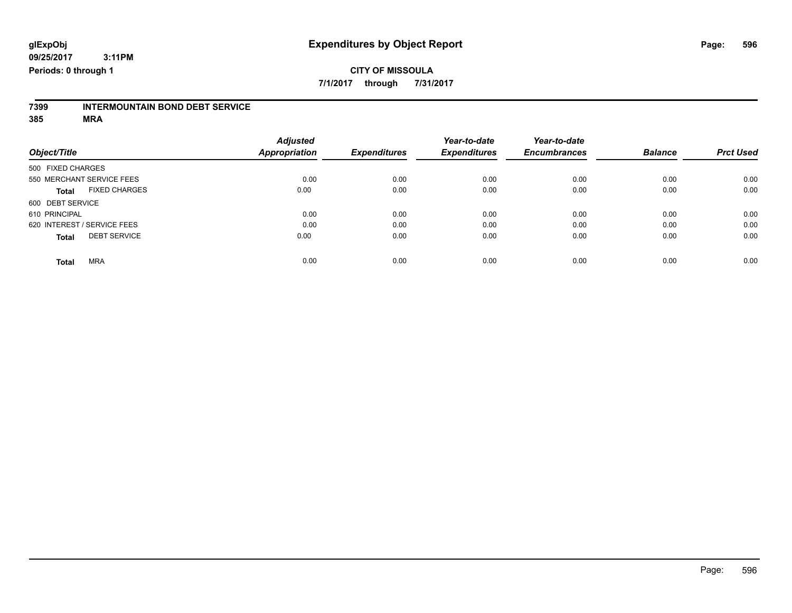## **CITY OF MISSOULA 7/1/2017 through 7/31/2017**

# **7399 INTERMOUNTAIN BOND DEBT SERVICE**

|                             |                      | <b>Adjusted</b>      |                     | Year-to-date        | Year-to-date        |                |                  |
|-----------------------------|----------------------|----------------------|---------------------|---------------------|---------------------|----------------|------------------|
| Object/Title                |                      | <b>Appropriation</b> | <b>Expenditures</b> | <b>Expenditures</b> | <b>Encumbrances</b> | <b>Balance</b> | <b>Prct Used</b> |
| 500 FIXED CHARGES           |                      |                      |                     |                     |                     |                |                  |
| 550 MERCHANT SERVICE FEES   |                      | 0.00                 | 0.00                | 0.00                | 0.00                | 0.00           | 0.00             |
| <b>Total</b>                | <b>FIXED CHARGES</b> | 0.00                 | 0.00                | 0.00                | 0.00                | 0.00           | 0.00             |
| 600 DEBT SERVICE            |                      |                      |                     |                     |                     |                |                  |
| 610 PRINCIPAL               |                      | 0.00                 | 0.00                | 0.00                | 0.00                | 0.00           | 0.00             |
| 620 INTEREST / SERVICE FEES |                      | 0.00                 | 0.00                | 0.00                | 0.00                | 0.00           | 0.00             |
| <b>Total</b>                | <b>DEBT SERVICE</b>  | 0.00                 | 0.00                | 0.00                | 0.00                | 0.00           | 0.00             |
| <b>MRA</b><br><b>Total</b>  |                      | 0.00                 | 0.00                | 0.00                | 0.00                | 0.00           | 0.00             |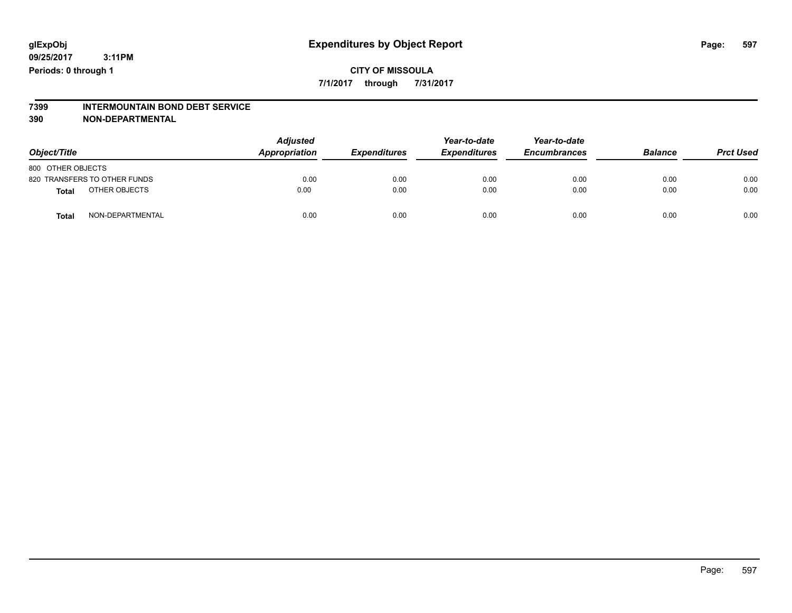## **CITY OF MISSOULA 7/1/2017 through 7/31/2017**

# **7399 INTERMOUNTAIN BOND DEBT SERVICE**

#### **390 NON-DEPARTMENTAL**

| Object/Title                     | <b>Adjusted</b><br>Appropriation | <b>Expenditures</b> | Year-to-date<br><b>Expenditures</b> | Year-to-date<br><b>Encumbrances</b> | <b>Balance</b> | <b>Prct Used</b> |
|----------------------------------|----------------------------------|---------------------|-------------------------------------|-------------------------------------|----------------|------------------|
| 800 OTHER OBJECTS                |                                  |                     |                                     |                                     |                |                  |
| 820 TRANSFERS TO OTHER FUNDS     | 0.00                             | 0.00                | 0.00                                | 0.00                                | 0.00           | 0.00             |
| OTHER OBJECTS<br>Total           | 0.00                             | 0.00                | 0.00                                | 0.00                                | 0.00           | 0.00             |
| NON-DEPARTMENTAL<br><b>Total</b> | 0.00                             | 0.00                | 0.00                                | 0.00                                | 0.00           | 0.00             |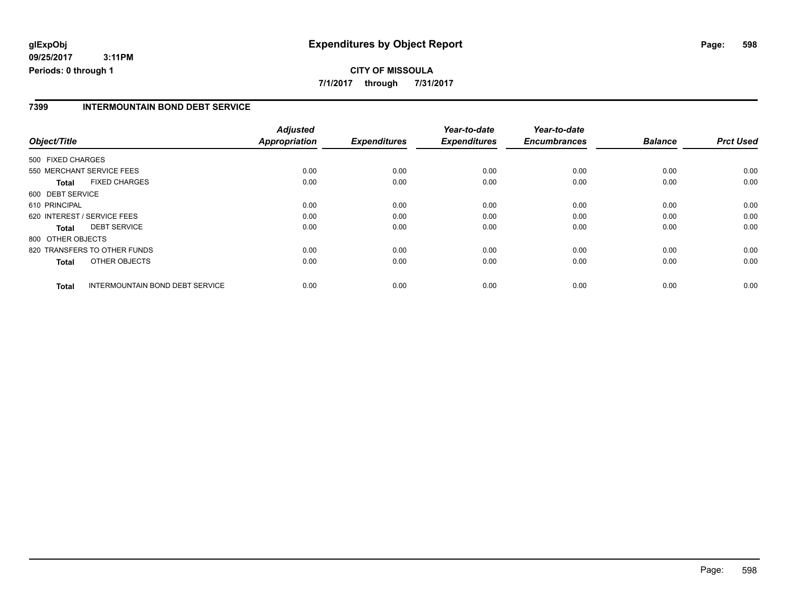# **CITY OF MISSOULA 7/1/2017 through 7/31/2017**

#### **7399 INTERMOUNTAIN BOND DEBT SERVICE**

|                   |                                 | <b>Adjusted</b>      |                     | Year-to-date        | Year-to-date        |                |                  |
|-------------------|---------------------------------|----------------------|---------------------|---------------------|---------------------|----------------|------------------|
| Object/Title      |                                 | <b>Appropriation</b> | <b>Expenditures</b> | <b>Expenditures</b> | <b>Encumbrances</b> | <b>Balance</b> | <b>Prct Used</b> |
| 500 FIXED CHARGES |                                 |                      |                     |                     |                     |                |                  |
|                   | 550 MERCHANT SERVICE FEES       | 0.00                 | 0.00                | 0.00                | 0.00                | 0.00           | 0.00             |
| <b>Total</b>      | <b>FIXED CHARGES</b>            | 0.00                 | 0.00                | 0.00                | 0.00                | 0.00           | 0.00             |
| 600 DEBT SERVICE  |                                 |                      |                     |                     |                     |                |                  |
| 610 PRINCIPAL     |                                 | 0.00                 | 0.00                | 0.00                | 0.00                | 0.00           | 0.00             |
|                   | 620 INTEREST / SERVICE FEES     | 0.00                 | 0.00                | 0.00                | 0.00                | 0.00           | 0.00             |
| <b>Total</b>      | <b>DEBT SERVICE</b>             | 0.00                 | 0.00                | 0.00                | 0.00                | 0.00           | 0.00             |
| 800 OTHER OBJECTS |                                 |                      |                     |                     |                     |                |                  |
|                   | 820 TRANSFERS TO OTHER FUNDS    | 0.00                 | 0.00                | 0.00                | 0.00                | 0.00           | 0.00             |
| <b>Total</b>      | OTHER OBJECTS                   | 0.00                 | 0.00                | 0.00                | 0.00                | 0.00           | 0.00             |
| <b>Total</b>      | INTERMOUNTAIN BOND DEBT SERVICE | 0.00                 | 0.00                | 0.00                | 0.00                | 0.00           | 0.00             |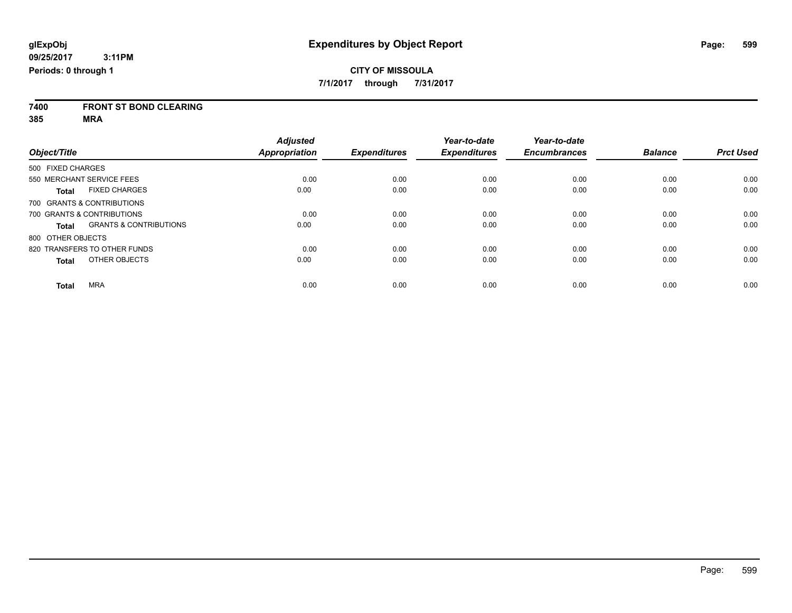**7400 FRONT ST BOND CLEARING**

|                                            | <b>Adjusted</b>      |                     | Year-to-date        | Year-to-date        |                |                  |
|--------------------------------------------|----------------------|---------------------|---------------------|---------------------|----------------|------------------|
| Object/Title                               | <b>Appropriation</b> | <b>Expenditures</b> | <b>Expenditures</b> | <b>Encumbrances</b> | <b>Balance</b> | <b>Prct Used</b> |
| 500 FIXED CHARGES                          |                      |                     |                     |                     |                |                  |
| 550 MERCHANT SERVICE FEES                  | 0.00                 | 0.00                | 0.00                | 0.00                | 0.00           | 0.00             |
| <b>FIXED CHARGES</b><br><b>Total</b>       | 0.00                 | 0.00                | 0.00                | 0.00                | 0.00           | 0.00             |
| 700 GRANTS & CONTRIBUTIONS                 |                      |                     |                     |                     |                |                  |
| 700 GRANTS & CONTRIBUTIONS                 | 0.00                 | 0.00                | 0.00                | 0.00                | 0.00           | 0.00             |
| <b>GRANTS &amp; CONTRIBUTIONS</b><br>Total | 0.00                 | 0.00                | 0.00                | 0.00                | 0.00           | 0.00             |
| 800 OTHER OBJECTS                          |                      |                     |                     |                     |                |                  |
| 820 TRANSFERS TO OTHER FUNDS               | 0.00                 | 0.00                | 0.00                | 0.00                | 0.00           | 0.00             |
| OTHER OBJECTS<br><b>Total</b>              | 0.00                 | 0.00                | 0.00                | 0.00                | 0.00           | 0.00             |
| MRA<br><b>Total</b>                        | 0.00                 | 0.00                | 0.00                | 0.00                | 0.00           | 0.00             |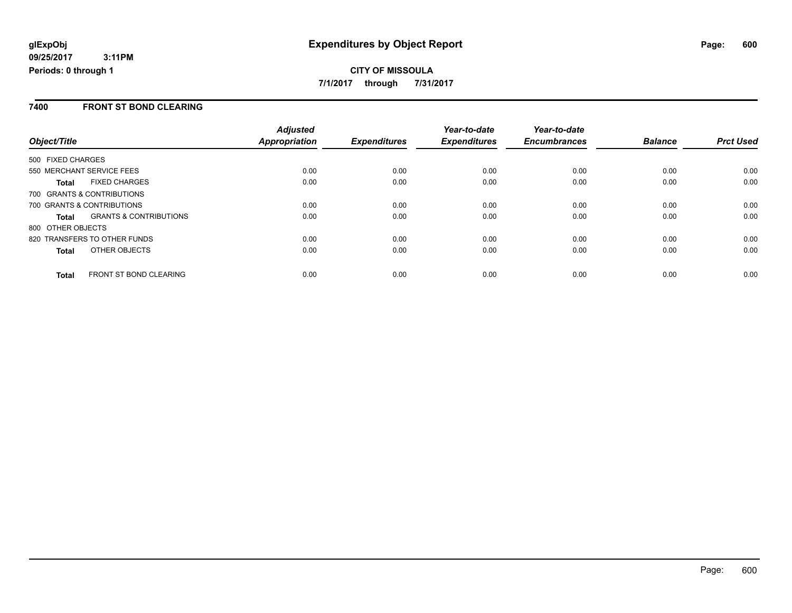#### **7400 FRONT ST BOND CLEARING**

|                                               | <b>Adjusted</b> |                     | Year-to-date        | Year-to-date        |                |                  |
|-----------------------------------------------|-----------------|---------------------|---------------------|---------------------|----------------|------------------|
| Object/Title                                  | Appropriation   | <b>Expenditures</b> | <b>Expenditures</b> | <b>Encumbrances</b> | <b>Balance</b> | <b>Prct Used</b> |
| 500 FIXED CHARGES                             |                 |                     |                     |                     |                |                  |
| 550 MERCHANT SERVICE FEES                     | 0.00            | 0.00                | 0.00                | 0.00                | 0.00           | 0.00             |
| <b>FIXED CHARGES</b><br>Total                 | 0.00            | 0.00                | 0.00                | 0.00                | 0.00           | 0.00             |
| 700 GRANTS & CONTRIBUTIONS                    |                 |                     |                     |                     |                |                  |
| 700 GRANTS & CONTRIBUTIONS                    | 0.00            | 0.00                | 0.00                | 0.00                | 0.00           | 0.00             |
| <b>GRANTS &amp; CONTRIBUTIONS</b><br>Total    | 0.00            | 0.00                | 0.00                | 0.00                | 0.00           | 0.00             |
| 800 OTHER OBJECTS                             |                 |                     |                     |                     |                |                  |
| 820 TRANSFERS TO OTHER FUNDS                  | 0.00            | 0.00                | 0.00                | 0.00                | 0.00           | 0.00             |
| <b>OTHER OBJECTS</b><br><b>Total</b>          | 0.00            | 0.00                | 0.00                | 0.00                | 0.00           | 0.00             |
| <b>FRONT ST BOND CLEARING</b><br><b>Total</b> | 0.00            | 0.00                | 0.00                | 0.00                | 0.00           | 0.00             |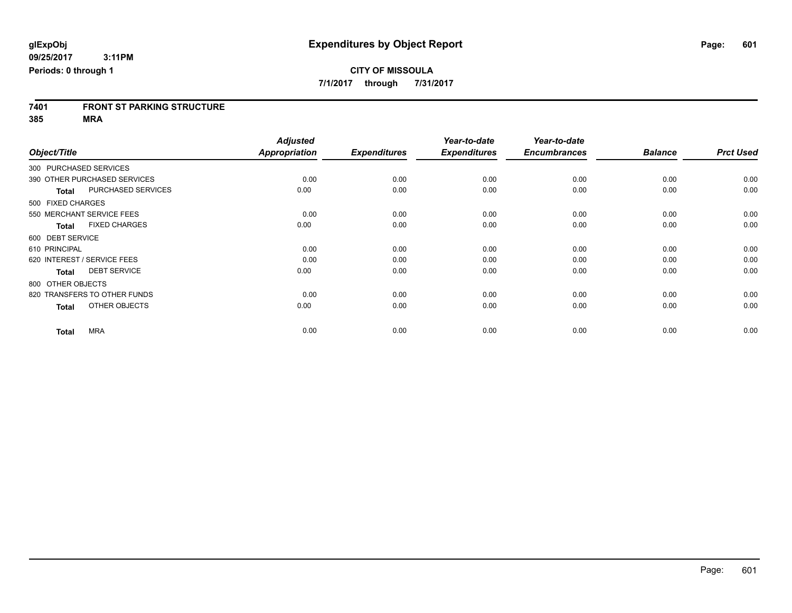# **7401 FRONT ST PARKING STRUCTURE**

|                                           | <b>Adjusted</b> |                     | Year-to-date        | Year-to-date        |                |                  |
|-------------------------------------------|-----------------|---------------------|---------------------|---------------------|----------------|------------------|
| Object/Title                              | Appropriation   | <b>Expenditures</b> | <b>Expenditures</b> | <b>Encumbrances</b> | <b>Balance</b> | <b>Prct Used</b> |
| 300 PURCHASED SERVICES                    |                 |                     |                     |                     |                |                  |
| 390 OTHER PURCHASED SERVICES              | 0.00            | 0.00                | 0.00                | 0.00                | 0.00           | 0.00             |
| <b>PURCHASED SERVICES</b><br><b>Total</b> | 0.00            | 0.00                | 0.00                | 0.00                | 0.00           | 0.00             |
| 500 FIXED CHARGES                         |                 |                     |                     |                     |                |                  |
| 550 MERCHANT SERVICE FEES                 | 0.00            | 0.00                | 0.00                | 0.00                | 0.00           | 0.00             |
| <b>FIXED CHARGES</b><br><b>Total</b>      | 0.00            | 0.00                | 0.00                | 0.00                | 0.00           | 0.00             |
| 600 DEBT SERVICE                          |                 |                     |                     |                     |                |                  |
| 610 PRINCIPAL                             | 0.00            | 0.00                | 0.00                | 0.00                | 0.00           | 0.00             |
| 620 INTEREST / SERVICE FEES               | 0.00            | 0.00                | 0.00                | 0.00                | 0.00           | 0.00             |
| <b>DEBT SERVICE</b><br><b>Total</b>       | 0.00            | 0.00                | 0.00                | 0.00                | 0.00           | 0.00             |
| 800 OTHER OBJECTS                         |                 |                     |                     |                     |                |                  |
| 820 TRANSFERS TO OTHER FUNDS              | 0.00            | 0.00                | 0.00                | 0.00                | 0.00           | 0.00             |
| OTHER OBJECTS<br><b>Total</b>             | 0.00            | 0.00                | 0.00                | 0.00                | 0.00           | 0.00             |
|                                           |                 |                     |                     |                     | 0.00           |                  |
| <b>MRA</b><br><b>Total</b>                | 0.00            | 0.00                | 0.00                | 0.00                |                | 0.00             |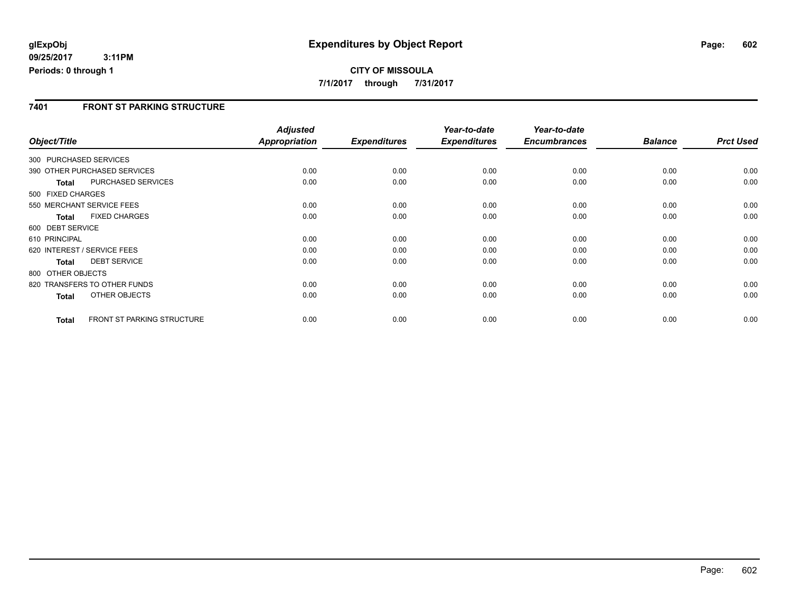# **CITY OF MISSOULA 7/1/2017 through 7/31/2017**

#### **7401 FRONT ST PARKING STRUCTURE**

|                        |                                   | <b>Adjusted</b>      |                     | Year-to-date        | Year-to-date        |                |                  |
|------------------------|-----------------------------------|----------------------|---------------------|---------------------|---------------------|----------------|------------------|
| Object/Title           |                                   | <b>Appropriation</b> | <b>Expenditures</b> | <b>Expenditures</b> | <b>Encumbrances</b> | <b>Balance</b> | <b>Prct Used</b> |
| 300 PURCHASED SERVICES |                                   |                      |                     |                     |                     |                |                  |
|                        | 390 OTHER PURCHASED SERVICES      | 0.00                 | 0.00                | 0.00                | 0.00                | 0.00           | 0.00             |
| <b>Total</b>           | <b>PURCHASED SERVICES</b>         | 0.00                 | 0.00                | 0.00                | 0.00                | 0.00           | 0.00             |
| 500 FIXED CHARGES      |                                   |                      |                     |                     |                     |                |                  |
|                        | 550 MERCHANT SERVICE FEES         | 0.00                 | 0.00                | 0.00                | 0.00                | 0.00           | 0.00             |
| <b>Total</b>           | <b>FIXED CHARGES</b>              | 0.00                 | 0.00                | 0.00                | 0.00                | 0.00           | 0.00             |
| 600 DEBT SERVICE       |                                   |                      |                     |                     |                     |                |                  |
| 610 PRINCIPAL          |                                   | 0.00                 | 0.00                | 0.00                | 0.00                | 0.00           | 0.00             |
|                        | 620 INTEREST / SERVICE FEES       | 0.00                 | 0.00                | 0.00                | 0.00                | 0.00           | 0.00             |
| <b>Total</b>           | <b>DEBT SERVICE</b>               | 0.00                 | 0.00                | 0.00                | 0.00                | 0.00           | 0.00             |
| 800 OTHER OBJECTS      |                                   |                      |                     |                     |                     |                |                  |
|                        | 820 TRANSFERS TO OTHER FUNDS      | 0.00                 | 0.00                | 0.00                | 0.00                | 0.00           | 0.00             |
| Total                  | OTHER OBJECTS                     | 0.00                 | 0.00                | 0.00                | 0.00                | 0.00           | 0.00             |
|                        |                                   |                      |                     |                     |                     |                |                  |
| <b>Total</b>           | <b>FRONT ST PARKING STRUCTURE</b> | 0.00                 | 0.00                | 0.00                | 0.00                | 0.00           | 0.00             |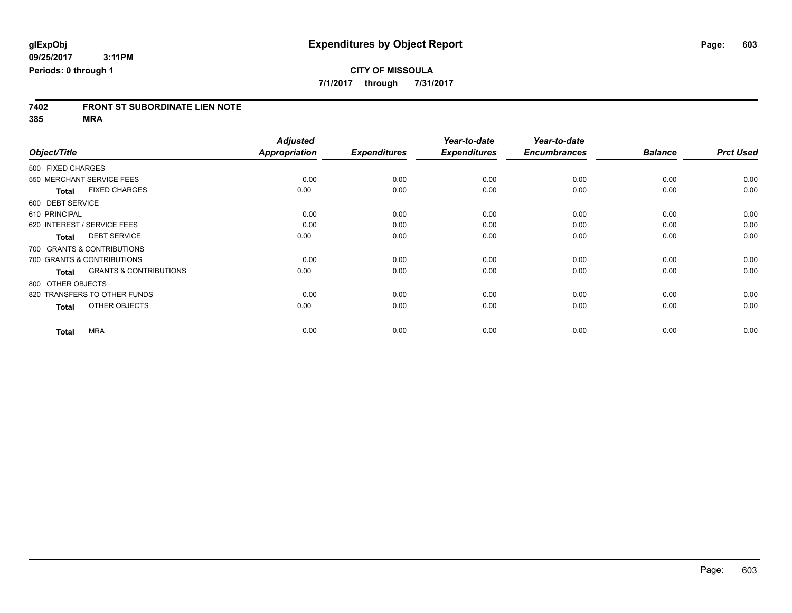# **7402 FRONT ST SUBORDINATE LIEN NOTE**

| Object/Title  |                                                   | <b>Adjusted</b><br>Appropriation | <b>Expenditures</b> | Year-to-date<br><b>Expenditures</b> | Year-to-date<br><b>Encumbrances</b> | <b>Balance</b> | <b>Prct Used</b> |
|---------------|---------------------------------------------------|----------------------------------|---------------------|-------------------------------------|-------------------------------------|----------------|------------------|
|               |                                                   |                                  |                     |                                     |                                     |                |                  |
|               | 500 FIXED CHARGES                                 |                                  |                     |                                     |                                     |                |                  |
|               | 550 MERCHANT SERVICE FEES                         | 0.00                             | 0.00                | 0.00                                | 0.00                                | 0.00           | 0.00             |
|               | <b>FIXED CHARGES</b><br><b>Total</b>              | 0.00                             | 0.00                | 0.00                                | 0.00                                | 0.00           | 0.00             |
|               | 600 DEBT SERVICE                                  |                                  |                     |                                     |                                     |                |                  |
| 610 PRINCIPAL |                                                   | 0.00                             | 0.00                | 0.00                                | 0.00                                | 0.00           | 0.00             |
|               | 620 INTEREST / SERVICE FEES                       | 0.00                             | 0.00                | 0.00                                | 0.00                                | 0.00           | 0.00             |
|               | <b>DEBT SERVICE</b><br><b>Total</b>               | 0.00                             | 0.00                | 0.00                                | 0.00                                | 0.00           | 0.00             |
|               | 700 GRANTS & CONTRIBUTIONS                        |                                  |                     |                                     |                                     |                |                  |
|               | 700 GRANTS & CONTRIBUTIONS                        | 0.00                             | 0.00                | 0.00                                | 0.00                                | 0.00           | 0.00             |
|               | <b>GRANTS &amp; CONTRIBUTIONS</b><br><b>Total</b> | 0.00                             | 0.00                | 0.00                                | 0.00                                | 0.00           | 0.00             |
|               | 800 OTHER OBJECTS                                 |                                  |                     |                                     |                                     |                |                  |
|               | 820 TRANSFERS TO OTHER FUNDS                      | 0.00                             | 0.00                | 0.00                                | 0.00                                | 0.00           | 0.00             |
|               | OTHER OBJECTS<br><b>Total</b>                     | 0.00                             | 0.00                | 0.00                                | 0.00                                | 0.00           | 0.00             |
|               | <b>MRA</b><br><b>Total</b>                        | 0.00                             | 0.00                | 0.00                                | 0.00                                | 0.00           | 0.00             |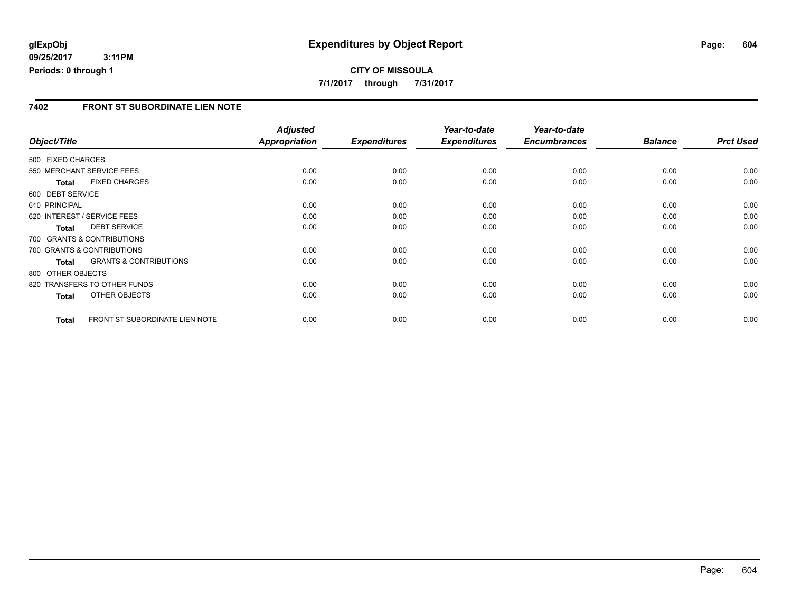# **CITY OF MISSOULA 7/1/2017 through 7/31/2017**

### **7402 FRONT ST SUBORDINATE LIEN NOTE**

|                   |                                   | <b>Adjusted</b>      |                     | Year-to-date        | Year-to-date        |                |                  |
|-------------------|-----------------------------------|----------------------|---------------------|---------------------|---------------------|----------------|------------------|
| Object/Title      |                                   | <b>Appropriation</b> | <b>Expenditures</b> | <b>Expenditures</b> | <b>Encumbrances</b> | <b>Balance</b> | <b>Prct Used</b> |
| 500 FIXED CHARGES |                                   |                      |                     |                     |                     |                |                  |
|                   | 550 MERCHANT SERVICE FEES         | 0.00                 | 0.00                | 0.00                | 0.00                | 0.00           | 0.00             |
| <b>Total</b>      | <b>FIXED CHARGES</b>              | 0.00                 | 0.00                | 0.00                | 0.00                | 0.00           | 0.00             |
| 600 DEBT SERVICE  |                                   |                      |                     |                     |                     |                |                  |
| 610 PRINCIPAL     |                                   | 0.00                 | 0.00                | 0.00                | 0.00                | 0.00           | 0.00             |
|                   | 620 INTEREST / SERVICE FEES       | 0.00                 | 0.00                | 0.00                | 0.00                | 0.00           | 0.00             |
| <b>Total</b>      | <b>DEBT SERVICE</b>               | 0.00                 | 0.00                | 0.00                | 0.00                | 0.00           | 0.00             |
|                   | 700 GRANTS & CONTRIBUTIONS        |                      |                     |                     |                     |                |                  |
|                   | 700 GRANTS & CONTRIBUTIONS        | 0.00                 | 0.00                | 0.00                | 0.00                | 0.00           | 0.00             |
| <b>Total</b>      | <b>GRANTS &amp; CONTRIBUTIONS</b> | 0.00                 | 0.00                | 0.00                | 0.00                | 0.00           | 0.00             |
| 800 OTHER OBJECTS |                                   |                      |                     |                     |                     |                |                  |
|                   | 820 TRANSFERS TO OTHER FUNDS      | 0.00                 | 0.00                | 0.00                | 0.00                | 0.00           | 0.00             |
| <b>Total</b>      | OTHER OBJECTS                     | 0.00                 | 0.00                | 0.00                | 0.00                | 0.00           | 0.00             |
| <b>Total</b>      | FRONT ST SUBORDINATE LIEN NOTE    | 0.00                 | 0.00                | 0.00                | 0.00                | 0.00           | 0.00             |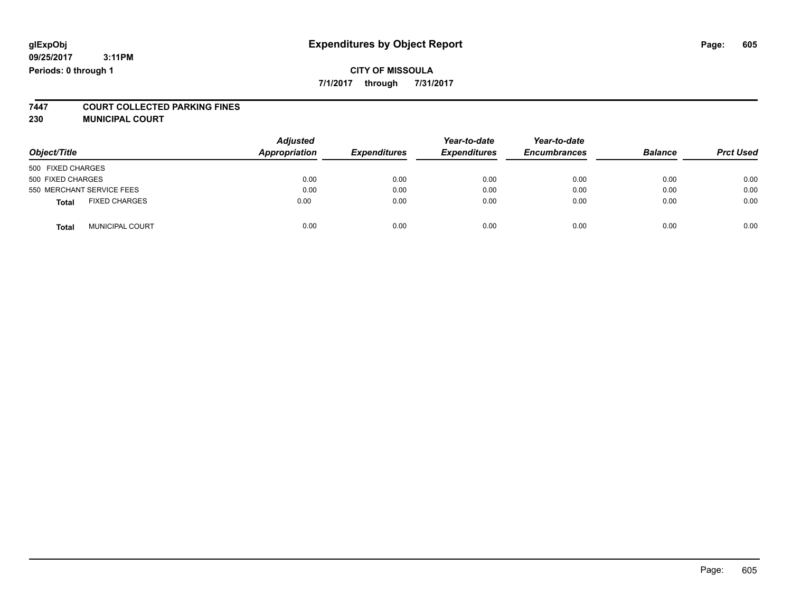# **CITY OF MISSOULA**

**7/1/2017 through 7/31/2017**

# **7447 COURT COLLECTED PARKING FINES**

**230 MUNICIPAL COURT**

| Object/Title                         | <b>Adjusted</b><br>Appropriation | <b>Expenditures</b> | Year-to-date<br><b>Expenditures</b> | Year-to-date<br><b>Encumbrances</b> | <b>Balance</b> | <b>Prct Used</b> |
|--------------------------------------|----------------------------------|---------------------|-------------------------------------|-------------------------------------|----------------|------------------|
| 500 FIXED CHARGES                    |                                  |                     |                                     |                                     |                |                  |
| 500 FIXED CHARGES                    | 0.00                             | 0.00                | 0.00                                | 0.00                                | 0.00           | 0.00             |
| 550 MERCHANT SERVICE FEES            | 0.00                             | 0.00                | 0.00                                | 0.00                                | 0.00           | 0.00             |
| <b>FIXED CHARGES</b><br><b>Total</b> | 0.00                             | 0.00                | 0.00                                | 0.00                                | 0.00           | 0.00             |
| MUNICIPAL COURT<br><b>Total</b>      | 0.00                             | 0.00                | 0.00                                | 0.00                                | 0.00           | 0.00             |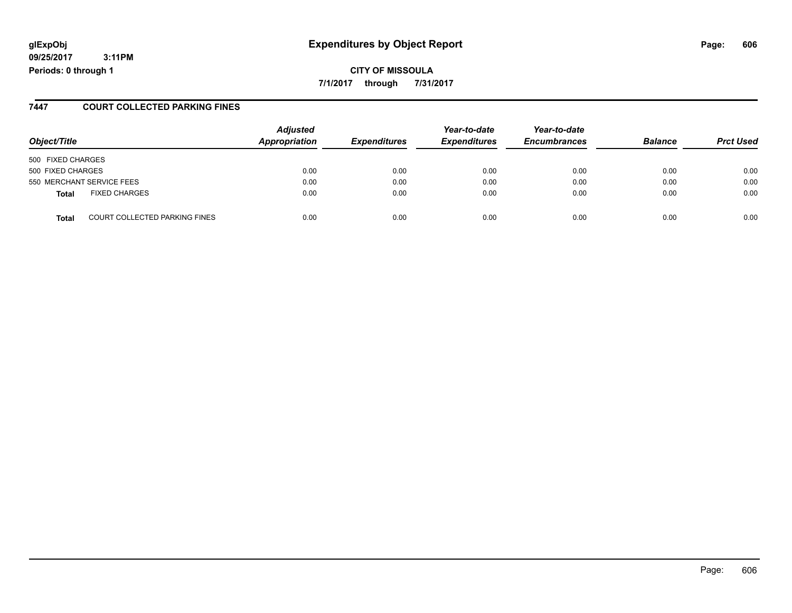# **glExpObj Expenditures by Object Report Page: 606**

**09/25/2017 3:11PM Periods: 0 through 1**

#### **7447 COURT COLLECTED PARKING FINES**

| Object/Title      |                                      | <b>Adjusted</b><br>Appropriation | <b>Expenditures</b> | Year-to-date<br><b>Expenditures</b> | Year-to-date<br><b>Encumbrances</b> | <b>Balance</b> | <b>Prct Used</b> |
|-------------------|--------------------------------------|----------------------------------|---------------------|-------------------------------------|-------------------------------------|----------------|------------------|
| 500 FIXED CHARGES |                                      |                                  |                     |                                     |                                     |                |                  |
| 500 FIXED CHARGES |                                      | 0.00                             | 0.00                | 0.00                                | 0.00                                | 0.00           | 0.00             |
|                   | 550 MERCHANT SERVICE FEES            | 0.00                             | 0.00                | 0.00                                | 0.00                                | 0.00           | 0.00             |
| <b>Total</b>      | <b>FIXED CHARGES</b>                 | 0.00                             | 0.00                | 0.00                                | 0.00                                | 0.00           | 0.00             |
| <b>Total</b>      | <b>COURT COLLECTED PARKING FINES</b> | 0.00                             | 0.00                | 0.00                                | 0.00                                | 0.00           | 0.00             |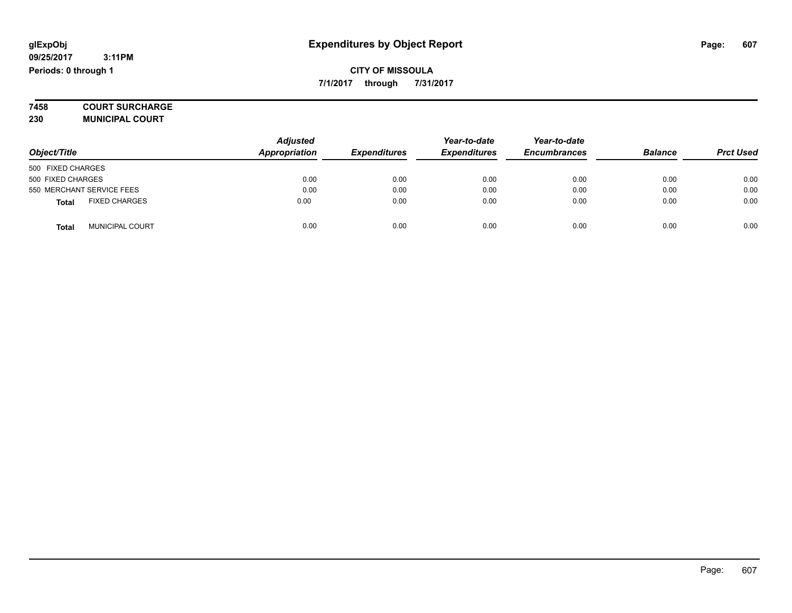**7458 COURT SURCHARGE**

**230 MUNICIPAL COURT**

|                                        | <b>Adjusted</b><br>Appropriation |                     | Year-to-date        | Year-to-date        | <b>Balance</b> | <b>Prct Used</b> |
|----------------------------------------|----------------------------------|---------------------|---------------------|---------------------|----------------|------------------|
| Object/Title                           |                                  | <b>Expenditures</b> | <b>Expenditures</b> | <b>Encumbrances</b> |                |                  |
| 500 FIXED CHARGES                      |                                  |                     |                     |                     |                |                  |
| 500 FIXED CHARGES                      | 0.00                             | 0.00                | 0.00                | 0.00                | 0.00           | 0.00             |
| 550 MERCHANT SERVICE FEES              | 0.00                             | 0.00                | 0.00                | 0.00                | 0.00           | 0.00             |
| <b>FIXED CHARGES</b><br><b>Total</b>   | 0.00                             | 0.00                | 0.00                | 0.00                | 0.00           | 0.00             |
| <b>MUNICIPAL COURT</b><br><b>Total</b> | 0.00                             | 0.00                | 0.00                | 0.00                | 0.00           | 0.00             |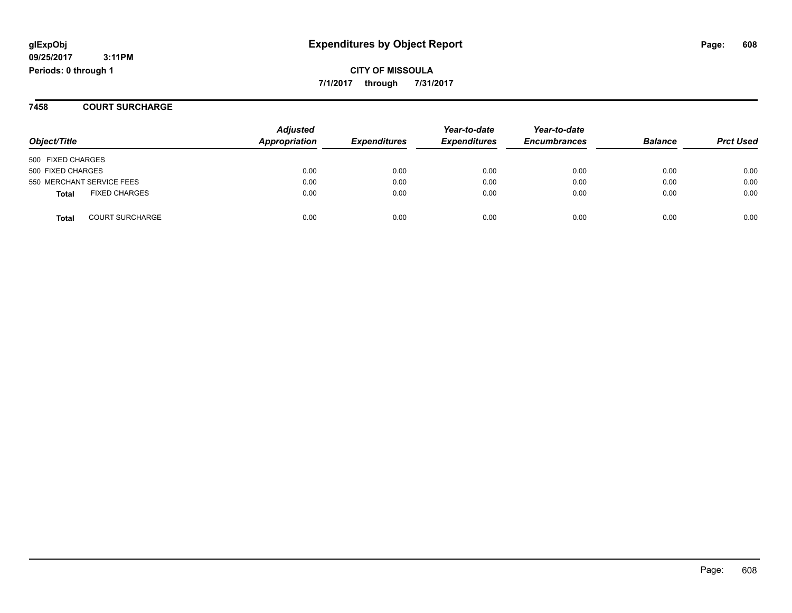**CITY OF MISSOULA 7/1/2017 through 7/31/2017**

**7458 COURT SURCHARGE**

| Object/Title                           | <b>Adjusted</b><br>Appropriation | <b>Expenditures</b> | Year-to-date<br><b>Expenditures</b> | Year-to-date<br><b>Encumbrances</b> | <b>Balance</b> | <b>Prct Used</b> |
|----------------------------------------|----------------------------------|---------------------|-------------------------------------|-------------------------------------|----------------|------------------|
| 500 FIXED CHARGES                      |                                  |                     |                                     |                                     |                |                  |
| 500 FIXED CHARGES                      | 0.00                             | 0.00                | 0.00                                | 0.00                                | 0.00           | 0.00             |
| 550 MERCHANT SERVICE FEES              | 0.00                             | 0.00                | 0.00                                | 0.00                                | 0.00           | 0.00             |
| <b>FIXED CHARGES</b><br><b>Total</b>   | 0.00                             | 0.00                | 0.00                                | 0.00                                | 0.00           | 0.00             |
| <b>COURT SURCHARGE</b><br><b>Total</b> | 0.00                             | 0.00                | 0.00                                | 0.00                                | 0.00           | 0.00             |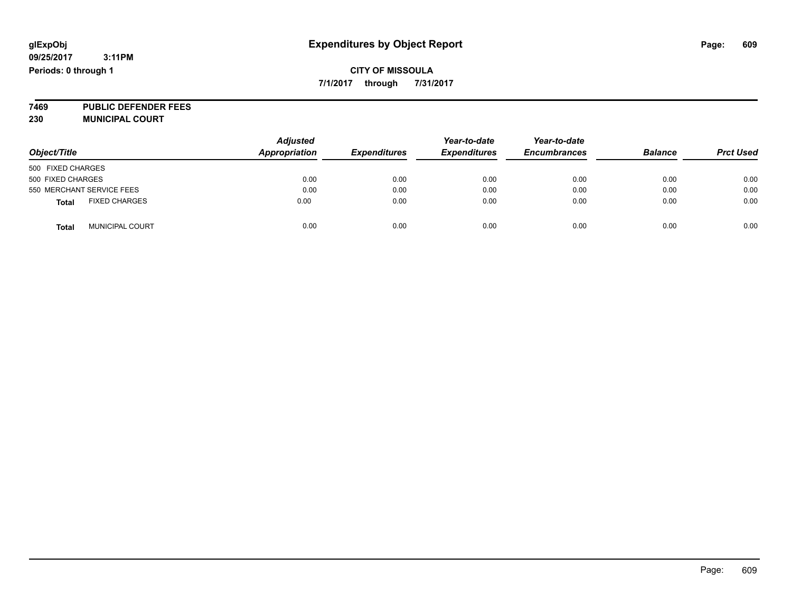# **CITY OF MISSOULA**

**7/1/2017 through 7/31/2017**

**7469 PUBLIC DEFENDER FEES 230 MUNICIPAL COURT**

| Object/Title                           | <b>Adjusted</b><br><b>Appropriation</b> | <b>Expenditures</b> | Year-to-date<br><b>Expenditures</b> | Year-to-date<br><b>Encumbrances</b> | <b>Balance</b> | <b>Prct Used</b> |
|----------------------------------------|-----------------------------------------|---------------------|-------------------------------------|-------------------------------------|----------------|------------------|
| 500 FIXED CHARGES                      |                                         |                     |                                     |                                     |                |                  |
| 500 FIXED CHARGES                      | 0.00                                    | 0.00                | 0.00                                | 0.00                                | 0.00           | 0.00             |
| 550 MERCHANT SERVICE FEES              | 0.00                                    | 0.00                | 0.00                                | 0.00                                | 0.00           | 0.00             |
| <b>FIXED CHARGES</b><br><b>Total</b>   | 0.00                                    | 0.00                | 0.00                                | 0.00                                | 0.00           | 0.00             |
| <b>MUNICIPAL COURT</b><br><b>Total</b> | 0.00                                    | 0.00                | 0.00                                | 0.00                                | 0.00           | 0.00             |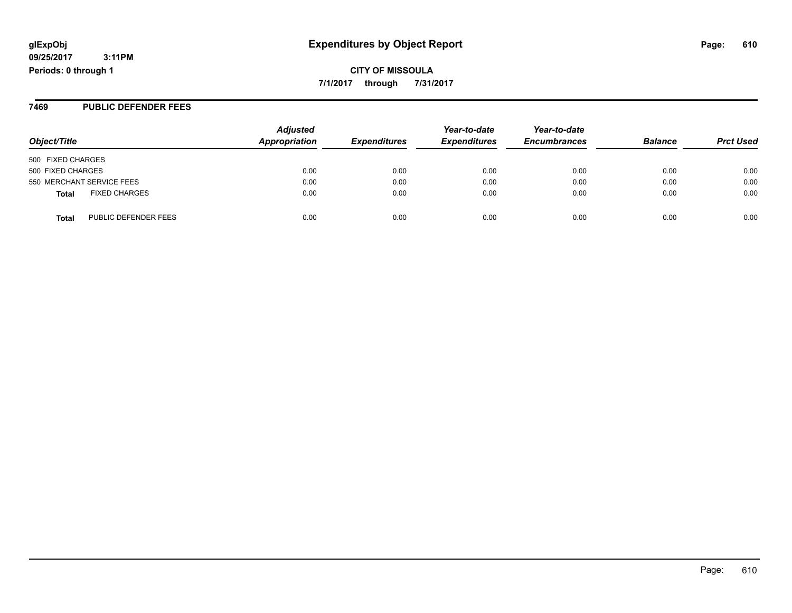**CITY OF MISSOULA 7/1/2017 through 7/31/2017**

**7469 PUBLIC DEFENDER FEES**

| Object/Title                         | <b>Adjusted</b><br><b>Appropriation</b> | <i><b>Expenditures</b></i> | Year-to-date<br><b>Expenditures</b> | Year-to-date<br><b>Encumbrances</b> | <b>Balance</b> | <b>Prct Used</b> |
|--------------------------------------|-----------------------------------------|----------------------------|-------------------------------------|-------------------------------------|----------------|------------------|
| 500 FIXED CHARGES                    |                                         |                            |                                     |                                     |                |                  |
| 500 FIXED CHARGES                    | 0.00                                    | 0.00                       | 0.00                                | 0.00                                | 0.00           | 0.00             |
| 550 MERCHANT SERVICE FEES            | 0.00                                    | 0.00                       | 0.00                                | 0.00                                | 0.00           | 0.00             |
| <b>FIXED CHARGES</b><br>Total        | 0.00                                    | 0.00                       | 0.00                                | 0.00                                | 0.00           | 0.00             |
| PUBLIC DEFENDER FEES<br><b>Total</b> | 0.00                                    | 0.00                       | 0.00                                | 0.00                                | 0.00           | 0.00             |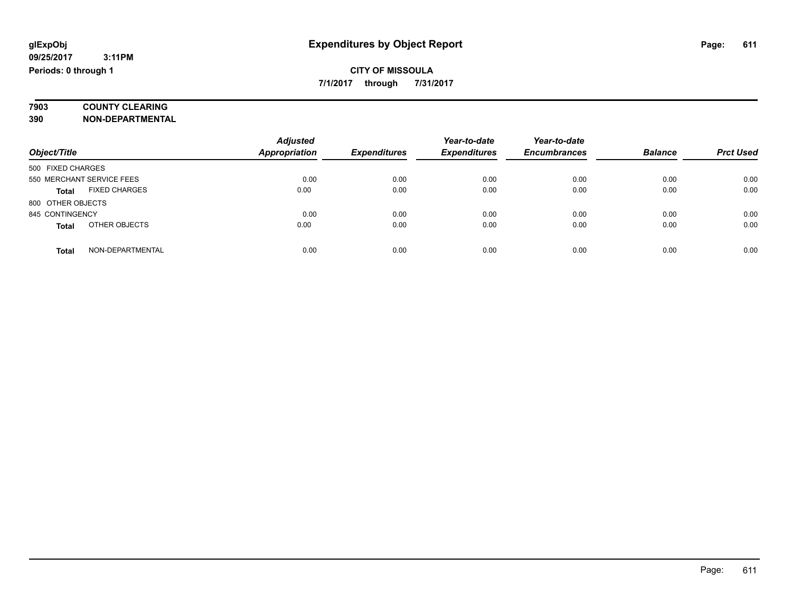**7903 COUNTY CLEARING**

**390 NON-DEPARTMENTAL**

|                                  | <b>Adjusted</b>      |                     | Year-to-date        | Year-to-date        |                |                  |
|----------------------------------|----------------------|---------------------|---------------------|---------------------|----------------|------------------|
| Object/Title                     | <b>Appropriation</b> | <b>Expenditures</b> | <b>Expenditures</b> | <b>Encumbrances</b> | <b>Balance</b> | <b>Prct Used</b> |
| 500 FIXED CHARGES                |                      |                     |                     |                     |                |                  |
| 550 MERCHANT SERVICE FEES        | 0.00                 | 0.00                | 0.00                | 0.00                | 0.00           | 0.00             |
| <b>FIXED CHARGES</b><br>Total    | 0.00                 | 0.00                | 0.00                | 0.00                | 0.00           | 0.00             |
| 800 OTHER OBJECTS                |                      |                     |                     |                     |                |                  |
| 845 CONTINGENCY                  | 0.00                 | 0.00                | 0.00                | 0.00                | 0.00           | 0.00             |
| OTHER OBJECTS<br><b>Total</b>    | 0.00                 | 0.00                | 0.00                | 0.00                | 0.00           | 0.00             |
| NON-DEPARTMENTAL<br><b>Total</b> | 0.00                 | 0.00                | 0.00                | 0.00                | 0.00           | 0.00             |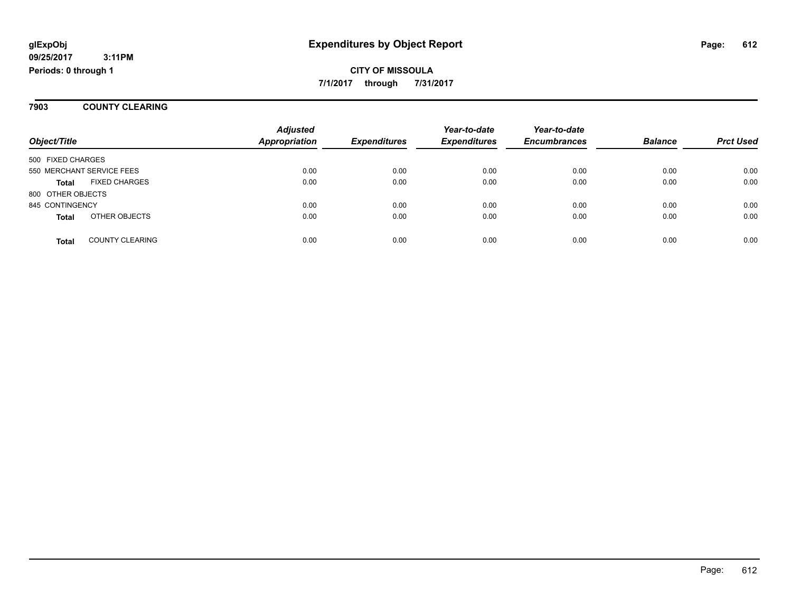#### **7903 COUNTY CLEARING**

|                   |                           | <b>Adjusted</b>      |                     | Year-to-date        | Year-to-date        |                |                  |
|-------------------|---------------------------|----------------------|---------------------|---------------------|---------------------|----------------|------------------|
| Object/Title      |                           | <b>Appropriation</b> | <b>Expenditures</b> | <b>Expenditures</b> | <b>Encumbrances</b> | <b>Balance</b> | <b>Prct Used</b> |
| 500 FIXED CHARGES |                           |                      |                     |                     |                     |                |                  |
|                   | 550 MERCHANT SERVICE FEES | 0.00                 | 0.00                | 0.00                | 0.00                | 0.00           | 0.00             |
| <b>Total</b>      | <b>FIXED CHARGES</b>      | 0.00                 | 0.00                | 0.00                | 0.00                | 0.00           | 0.00             |
| 800 OTHER OBJECTS |                           |                      |                     |                     |                     |                |                  |
| 845 CONTINGENCY   |                           | 0.00                 | 0.00                | 0.00                | 0.00                | 0.00           | 0.00             |
| <b>Total</b>      | OTHER OBJECTS             | 0.00                 | 0.00                | 0.00                | 0.00                | 0.00           | 0.00             |
| <b>Total</b>      | <b>COUNTY CLEARING</b>    | 0.00                 | 0.00                | 0.00                | 0.00                | 0.00           | 0.00             |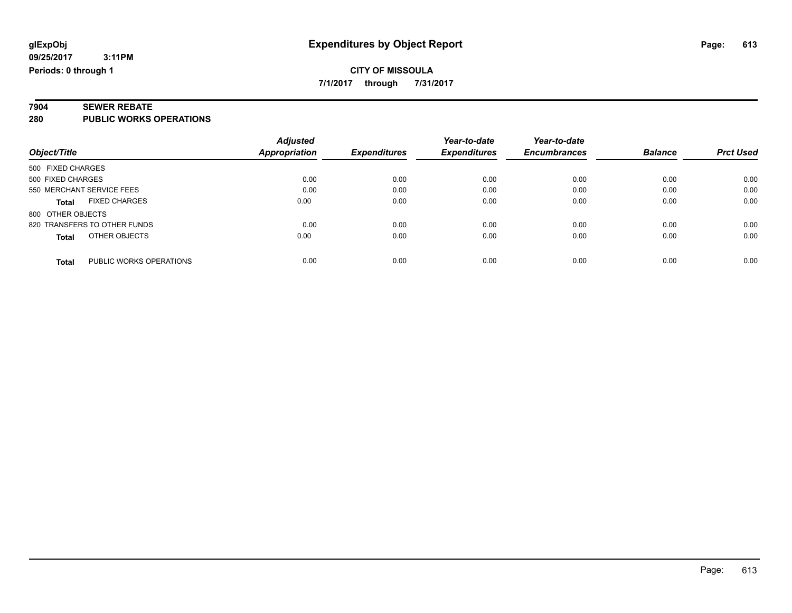# **7904 SEWER REBATE**

**280 PUBLIC WORKS OPERATIONS**

|                                         | <b>Adjusted</b>      |                     | Year-to-date        | Year-to-date        |                |                  |
|-----------------------------------------|----------------------|---------------------|---------------------|---------------------|----------------|------------------|
| Object/Title                            | <b>Appropriation</b> | <b>Expenditures</b> | <b>Expenditures</b> | <b>Encumbrances</b> | <b>Balance</b> | <b>Prct Used</b> |
| 500 FIXED CHARGES                       |                      |                     |                     |                     |                |                  |
| 500 FIXED CHARGES                       | 0.00                 | 0.00                | 0.00                | 0.00                | 0.00           | 0.00             |
| 550 MERCHANT SERVICE FEES               | 0.00                 | 0.00                | 0.00                | 0.00                | 0.00           | 0.00             |
| <b>FIXED CHARGES</b><br><b>Total</b>    | 0.00                 | 0.00                | 0.00                | 0.00                | 0.00           | 0.00             |
| 800 OTHER OBJECTS                       |                      |                     |                     |                     |                |                  |
| 820 TRANSFERS TO OTHER FUNDS            | 0.00                 | 0.00                | 0.00                | 0.00                | 0.00           | 0.00             |
| OTHER OBJECTS<br><b>Total</b>           | 0.00                 | 0.00                | 0.00                | 0.00                | 0.00           | 0.00             |
| PUBLIC WORKS OPERATIONS<br><b>Total</b> | 0.00                 | 0.00                | 0.00                | 0.00                | 0.00           | 0.00             |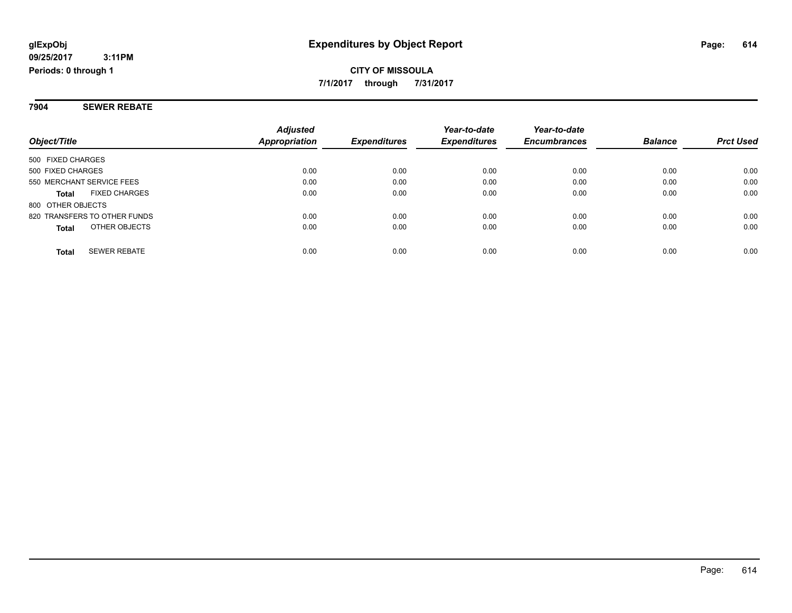**7904 SEWER REBATE**

|                                      | <b>Adjusted</b> |                     | Year-to-date        | Year-to-date        |                |                  |
|--------------------------------------|-----------------|---------------------|---------------------|---------------------|----------------|------------------|
| Object/Title                         | Appropriation   | <b>Expenditures</b> | <b>Expenditures</b> | <b>Encumbrances</b> | <b>Balance</b> | <b>Prct Used</b> |
| 500 FIXED CHARGES                    |                 |                     |                     |                     |                |                  |
| 500 FIXED CHARGES                    | 0.00            | 0.00                | 0.00                | 0.00                | 0.00           | 0.00             |
| 550 MERCHANT SERVICE FEES            | 0.00            | 0.00                | 0.00                | 0.00                | 0.00           | 0.00             |
| <b>FIXED CHARGES</b><br><b>Total</b> | 0.00            | 0.00                | 0.00                | 0.00                | 0.00           | 0.00             |
| 800 OTHER OBJECTS                    |                 |                     |                     |                     |                |                  |
| 820 TRANSFERS TO OTHER FUNDS         | 0.00            | 0.00                | 0.00                | 0.00                | 0.00           | 0.00             |
| OTHER OBJECTS<br><b>Total</b>        | 0.00            | 0.00                | 0.00                | 0.00                | 0.00           | 0.00             |
| <b>SEWER REBATE</b><br><b>Total</b>  | 0.00            | 0.00                | 0.00                | 0.00                | 0.00           | 0.00             |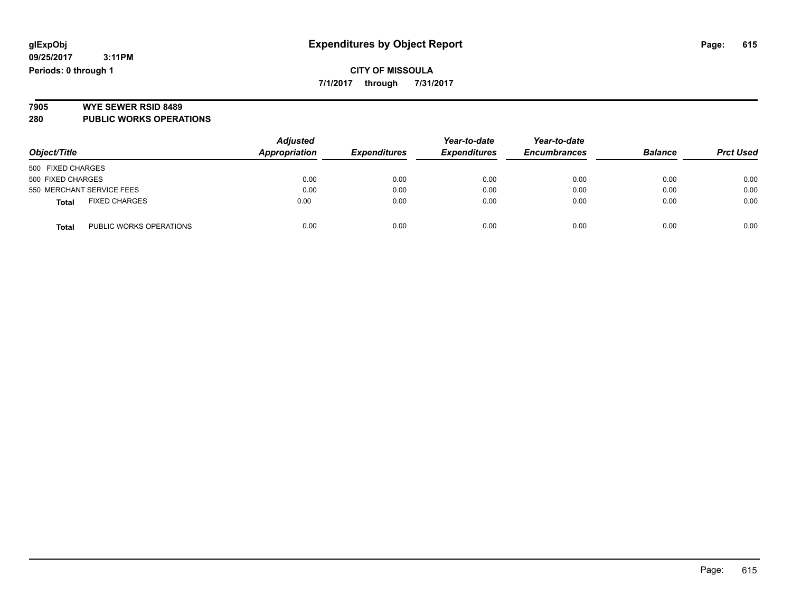**09/25/2017 3:11PM Periods: 0 through 1**

**7/1/2017 through 7/31/2017**

# **7905 WYE SEWER RSID 8489**

**280 PUBLIC WORKS OPERATIONS**

| Object/Title                            | <b>Adjusted</b><br>Appropriation | <b>Expenditures</b> | Year-to-date<br><b>Expenditures</b> | Year-to-date<br><b>Encumbrances</b> | <b>Balance</b> | <b>Prct Used</b> |
|-----------------------------------------|----------------------------------|---------------------|-------------------------------------|-------------------------------------|----------------|------------------|
| 500 FIXED CHARGES                       |                                  |                     |                                     |                                     |                |                  |
| 500 FIXED CHARGES                       | 0.00                             | 0.00                | 0.00                                | 0.00                                | 0.00           | 0.00             |
| 550 MERCHANT SERVICE FEES               | 0.00                             | 0.00                | 0.00                                | 0.00                                | 0.00           | 0.00             |
| <b>FIXED CHARGES</b><br><b>Total</b>    | 0.00                             | 0.00                | 0.00                                | 0.00                                | 0.00           | 0.00             |
| PUBLIC WORKS OPERATIONS<br><b>Total</b> | 0.00                             | 0.00                | 0.00                                | 0.00                                | 0.00           | 0.00             |

Page: 615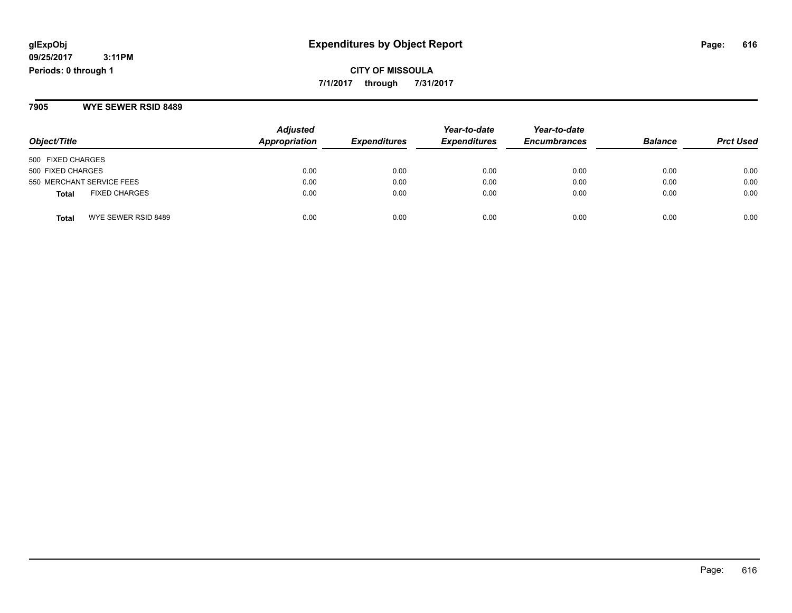**7905 WYE SEWER RSID 8489**

| Object/Title                         | <b>Adjusted</b><br>Appropriation | <b>Expenditures</b> | Year-to-date<br><b>Expenditures</b> | Year-to-date<br><b>Encumbrances</b> | <b>Balance</b> | <b>Prct Used</b> |
|--------------------------------------|----------------------------------|---------------------|-------------------------------------|-------------------------------------|----------------|------------------|
| 500 FIXED CHARGES                    |                                  |                     |                                     |                                     |                |                  |
| 500 FIXED CHARGES                    | 0.00                             | 0.00                | 0.00                                | 0.00                                | 0.00           | 0.00             |
| 550 MERCHANT SERVICE FEES            | 0.00                             | 0.00                | 0.00                                | 0.00                                | 0.00           | 0.00             |
| <b>FIXED CHARGES</b><br><b>Total</b> | 0.00                             | 0.00                | 0.00                                | 0.00                                | 0.00           | 0.00             |
| WYE SEWER RSID 8489<br><b>Total</b>  | 0.00                             | 0.00                | 0.00                                | 0.00                                | 0.00           | 0.00             |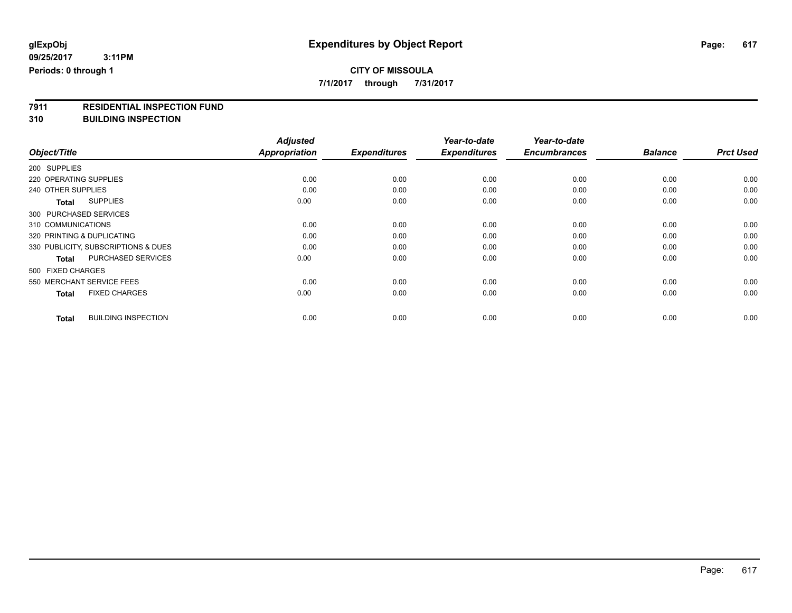### **CITY OF MISSOULA**

**7/1/2017 through 7/31/2017**

# **7911 RESIDENTIAL INSPECTION FUND**

**310 BUILDING INSPECTION**

|                                            | <b>Adjusted</b>      |                     | Year-to-date        | Year-to-date        |                |                  |
|--------------------------------------------|----------------------|---------------------|---------------------|---------------------|----------------|------------------|
| Object/Title                               | <b>Appropriation</b> | <b>Expenditures</b> | <b>Expenditures</b> | <b>Encumbrances</b> | <b>Balance</b> | <b>Prct Used</b> |
| 200 SUPPLIES                               |                      |                     |                     |                     |                |                  |
| 220 OPERATING SUPPLIES                     | 0.00                 | 0.00                | 0.00                | 0.00                | 0.00           | 0.00             |
| 240 OTHER SUPPLIES                         | 0.00                 | 0.00                | 0.00                | 0.00                | 0.00           | 0.00             |
| <b>SUPPLIES</b><br><b>Total</b>            | 0.00                 | 0.00                | 0.00                | 0.00                | 0.00           | 0.00             |
| 300 PURCHASED SERVICES                     |                      |                     |                     |                     |                |                  |
| 310 COMMUNICATIONS                         | 0.00                 | 0.00                | 0.00                | 0.00                | 0.00           | 0.00             |
| 320 PRINTING & DUPLICATING                 | 0.00                 | 0.00                | 0.00                | 0.00                | 0.00           | 0.00             |
| 330 PUBLICITY, SUBSCRIPTIONS & DUES        | 0.00                 | 0.00                | 0.00                | 0.00                | 0.00           | 0.00             |
| <b>PURCHASED SERVICES</b><br><b>Total</b>  | 0.00                 | 0.00                | 0.00                | 0.00                | 0.00           | 0.00             |
| 500 FIXED CHARGES                          |                      |                     |                     |                     |                |                  |
| 550 MERCHANT SERVICE FEES                  | 0.00                 | 0.00                | 0.00                | 0.00                | 0.00           | 0.00             |
| <b>FIXED CHARGES</b><br><b>Total</b>       | 0.00                 | 0.00                | 0.00                | 0.00                | 0.00           | 0.00             |
| <b>BUILDING INSPECTION</b><br><b>Total</b> | 0.00                 | 0.00                | 0.00                | 0.00                | 0.00           | 0.00             |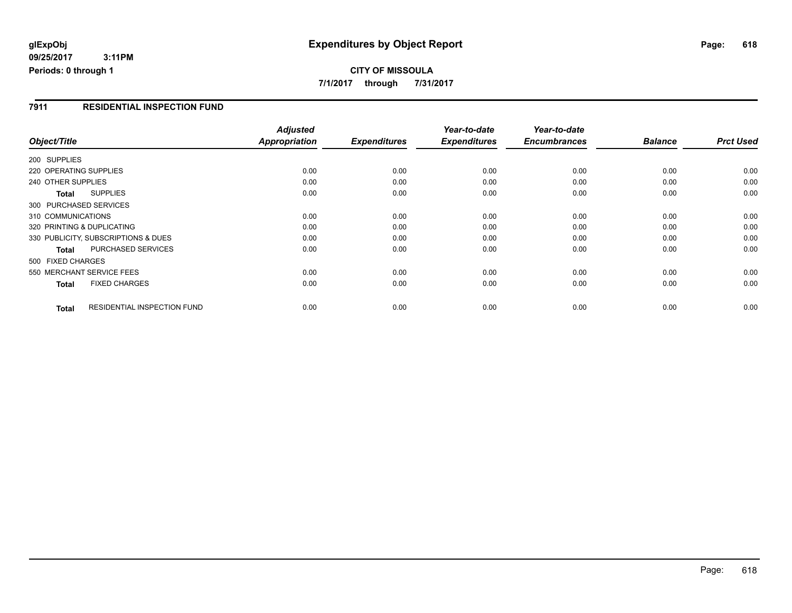**09/25/2017 3:11PM Periods: 0 through 1**

### **CITY OF MISSOULA 7/1/2017 through 7/31/2017**

#### **7911 RESIDENTIAL INSPECTION FUND**

|                                      |                                    | <b>Adjusted</b> |                     | Year-to-date        | Year-to-date        |                |                  |
|--------------------------------------|------------------------------------|-----------------|---------------------|---------------------|---------------------|----------------|------------------|
| Object/Title                         |                                    | Appropriation   | <b>Expenditures</b> | <b>Expenditures</b> | <b>Encumbrances</b> | <b>Balance</b> | <b>Prct Used</b> |
| 200 SUPPLIES                         |                                    |                 |                     |                     |                     |                |                  |
| 220 OPERATING SUPPLIES               |                                    | 0.00            | 0.00                | 0.00                | 0.00                | 0.00           | 0.00             |
| 240 OTHER SUPPLIES                   |                                    | 0.00            | 0.00                | 0.00                | 0.00                | 0.00           | 0.00             |
| <b>SUPPLIES</b><br><b>Total</b>      |                                    | 0.00            | 0.00                | 0.00                | 0.00                | 0.00           | 0.00             |
| 300 PURCHASED SERVICES               |                                    |                 |                     |                     |                     |                |                  |
| 310 COMMUNICATIONS                   |                                    | 0.00            | 0.00                | 0.00                | 0.00                | 0.00           | 0.00             |
| 320 PRINTING & DUPLICATING           |                                    | 0.00            | 0.00                | 0.00                | 0.00                | 0.00           | 0.00             |
| 330 PUBLICITY, SUBSCRIPTIONS & DUES  |                                    | 0.00            | 0.00                | 0.00                | 0.00                | 0.00           | 0.00             |
| <b>Total</b>                         | <b>PURCHASED SERVICES</b>          | 0.00            | 0.00                | 0.00                | 0.00                | 0.00           | 0.00             |
| 500 FIXED CHARGES                    |                                    |                 |                     |                     |                     |                |                  |
| 550 MERCHANT SERVICE FEES            |                                    | 0.00            | 0.00                | 0.00                | 0.00                | 0.00           | 0.00             |
| <b>FIXED CHARGES</b><br><b>Total</b> |                                    | 0.00            | 0.00                | 0.00                | 0.00                | 0.00           | 0.00             |
| Total                                | <b>RESIDENTIAL INSPECTION FUND</b> | 0.00            | 0.00                | 0.00                | 0.00                | 0.00           | 0.00             |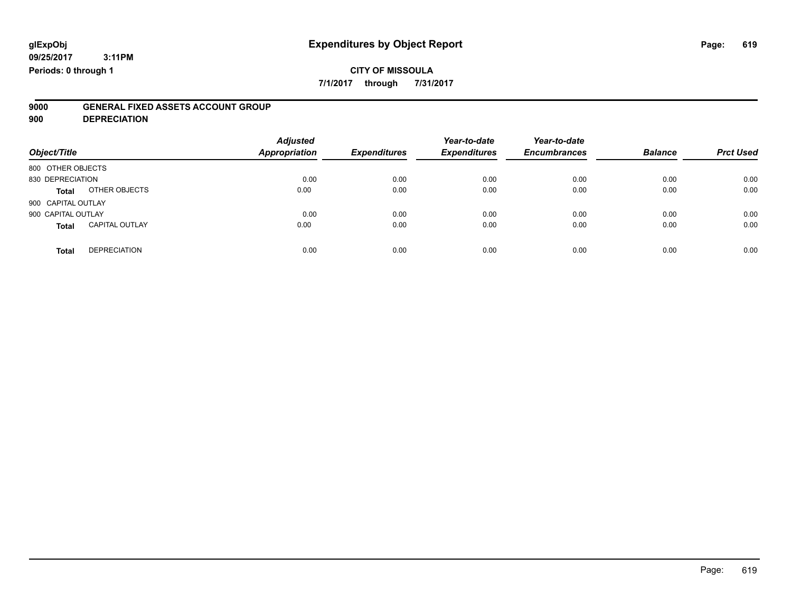### **CITY OF MISSOULA**

**7/1/2017 through 7/31/2017**

# **9000 GENERAL FIXED ASSETS ACCOUNT GROUP**

**900 DEPRECIATION**

| Object/Title       |                       | <b>Adjusted</b><br><b>Appropriation</b> | <b>Expenditures</b> | Year-to-date<br><b>Expenditures</b> | Year-to-date<br><b>Encumbrances</b> | <b>Balance</b> | <b>Prct Used</b> |
|--------------------|-----------------------|-----------------------------------------|---------------------|-------------------------------------|-------------------------------------|----------------|------------------|
| 800 OTHER OBJECTS  |                       |                                         |                     |                                     |                                     |                |                  |
| 830 DEPRECIATION   |                       | 0.00                                    | 0.00                | 0.00                                | 0.00                                | 0.00           | 0.00             |
| <b>Total</b>       | OTHER OBJECTS         | 0.00                                    | 0.00                | 0.00                                | 0.00                                | 0.00           | 0.00             |
| 900 CAPITAL OUTLAY |                       |                                         |                     |                                     |                                     |                |                  |
| 900 CAPITAL OUTLAY |                       | 0.00                                    | 0.00                | 0.00                                | 0.00                                | 0.00           | 0.00             |
| <b>Total</b>       | <b>CAPITAL OUTLAY</b> | 0.00                                    | 0.00                | 0.00                                | 0.00                                | 0.00           | 0.00             |
| <b>Total</b>       | <b>DEPRECIATION</b>   | 0.00                                    | 0.00                | 0.00                                | 0.00                                | 0.00           | 0.00             |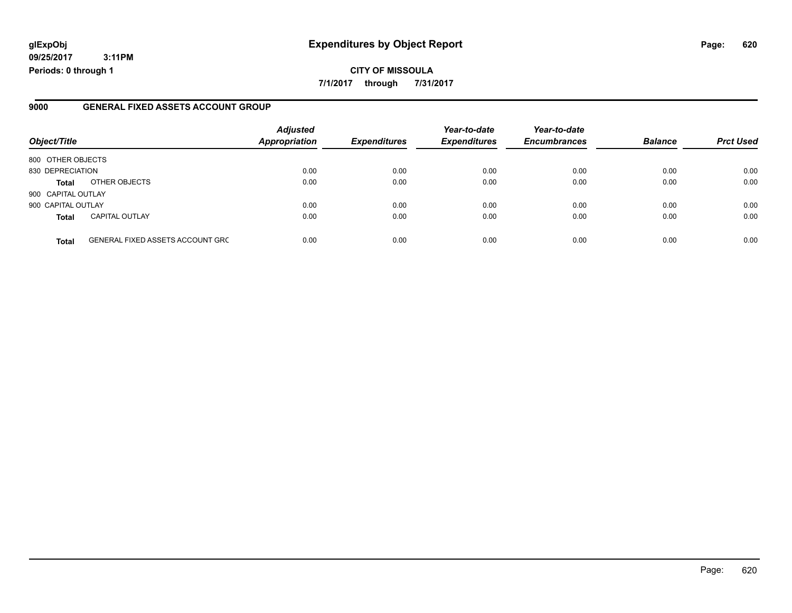### **glExpObj Expenditures by Object Report Page: 620**

**09/25/2017 3:11PM Periods: 0 through 1**

#### **9000 GENERAL FIXED ASSETS ACCOUNT GROUP**

| Object/Title       |                                         | <b>Adjusted</b><br><b>Appropriation</b> | <b>Expenditures</b> | Year-to-date<br><b>Expenditures</b> | Year-to-date<br><b>Encumbrances</b> | <b>Balance</b> | <b>Prct Used</b> |
|--------------------|-----------------------------------------|-----------------------------------------|---------------------|-------------------------------------|-------------------------------------|----------------|------------------|
| 800 OTHER OBJECTS  |                                         |                                         |                     |                                     |                                     |                |                  |
| 830 DEPRECIATION   |                                         | 0.00                                    | 0.00                | 0.00                                | 0.00                                | 0.00           | 0.00             |
| <b>Total</b>       | OTHER OBJECTS                           | 0.00                                    | 0.00                | 0.00                                | 0.00                                | 0.00           | 0.00             |
| 900 CAPITAL OUTLAY |                                         |                                         |                     |                                     |                                     |                |                  |
| 900 CAPITAL OUTLAY |                                         | 0.00                                    | 0.00                | 0.00                                | 0.00                                | 0.00           | 0.00             |
| <b>Total</b>       | <b>CAPITAL OUTLAY</b>                   | 0.00                                    | 0.00                | 0.00                                | 0.00                                | 0.00           | 0.00             |
| <b>Total</b>       | <b>GENERAL FIXED ASSETS ACCOUNT GRC</b> | 0.00                                    | 0.00                | 0.00                                | 0.00                                | 0.00           | 0.00             |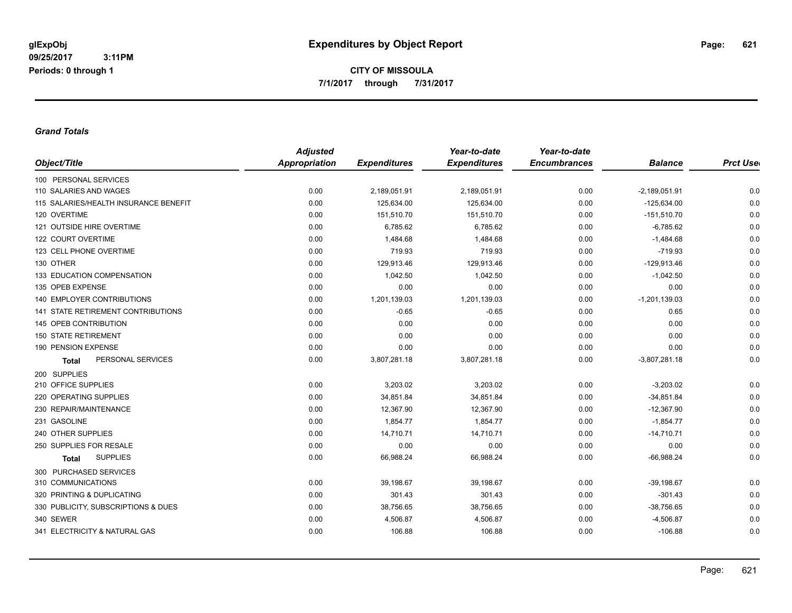#### *Grand Totals*

|                                       | <b>Adjusted</b> |                     | Year-to-date        | Year-to-date        |                 |                 |
|---------------------------------------|-----------------|---------------------|---------------------|---------------------|-----------------|-----------------|
| Object/Title                          | Appropriation   | <b>Expenditures</b> | <b>Expenditures</b> | <b>Encumbrances</b> | <b>Balance</b>  | <b>Prct Use</b> |
| 100 PERSONAL SERVICES                 |                 |                     |                     |                     |                 |                 |
| 110 SALARIES AND WAGES                | 0.00            | 2,189,051.91        | 2,189,051.91        | 0.00                | $-2,189,051.91$ | 0.0             |
| 115 SALARIES/HEALTH INSURANCE BENEFIT | 0.00            | 125,634.00          | 125,634.00          | 0.00                | $-125,634.00$   | 0.0             |
| 120 OVERTIME                          | 0.00            | 151,510.70          | 151,510.70          | 0.00                | $-151,510.70$   | 0.0             |
| 121 OUTSIDE HIRE OVERTIME             | 0.00            | 6,785.62            | 6,785.62            | 0.00                | $-6,785.62$     | 0.0             |
| 122 COURT OVERTIME                    | 0.00            | 1,484.68            | 1,484.68            | 0.00                | $-1,484.68$     | 0.0             |
| 123 CELL PHONE OVERTIME               | 0.00            | 719.93              | 719.93              | 0.00                | $-719.93$       | 0.0             |
| 130 OTHER                             | 0.00            | 129,913.46          | 129,913.46          | 0.00                | $-129,913.46$   | 0.0             |
| 133 EDUCATION COMPENSATION            | 0.00            | 1,042.50            | 1,042.50            | 0.00                | $-1,042.50$     | 0.0             |
| 135 OPEB EXPENSE                      | 0.00            | 0.00                | 0.00                | 0.00                | 0.00            | 0.0             |
| <b>140 EMPLOYER CONTRIBUTIONS</b>     | 0.00            | 1,201,139.03        | 1,201,139.03        | 0.00                | $-1,201,139.03$ | 0.0             |
| 141 STATE RETIREMENT CONTRIBUTIONS    | 0.00            | $-0.65$             | $-0.65$             | 0.00                | 0.65            | 0.0             |
| 145 OPEB CONTRIBUTION                 | 0.00            | 0.00                | 0.00                | 0.00                | 0.00            | 0.0             |
| <b>150 STATE RETIREMENT</b>           | 0.00            | 0.00                | 0.00                | 0.00                | 0.00            | 0.0             |
| 190 PENSION EXPENSE                   | 0.00            | 0.00                | 0.00                | 0.00                | 0.00            | 0.0             |
| PERSONAL SERVICES<br><b>Total</b>     | 0.00            | 3,807,281.18        | 3,807,281.18        | 0.00                | $-3,807,281.18$ | 0.0             |
| 200 SUPPLIES                          |                 |                     |                     |                     |                 |                 |
| 210 OFFICE SUPPLIES                   | 0.00            | 3,203.02            | 3,203.02            | 0.00                | $-3,203.02$     | 0.0             |
| 220 OPERATING SUPPLIES                | 0.00            | 34,851.84           | 34,851.84           | 0.00                | $-34,851.84$    | 0.0             |
| 230 REPAIR/MAINTENANCE                | 0.00            | 12,367.90           | 12,367.90           | 0.00                | $-12,367.90$    | 0.0             |
| 231 GASOLINE                          | 0.00            | 1,854.77            | 1,854.77            | 0.00                | $-1,854.77$     | 0.0             |
| 240 OTHER SUPPLIES                    | 0.00            | 14,710.71           | 14,710.71           | 0.00                | $-14,710.71$    | 0.0             |
| 250 SUPPLIES FOR RESALE               | 0.00            | 0.00                | 0.00                | 0.00                | 0.00            | 0.0             |
| <b>SUPPLIES</b><br><b>Total</b>       | 0.00            | 66,988.24           | 66,988.24           | 0.00                | $-66,988.24$    | 0.0             |
| 300 PURCHASED SERVICES                |                 |                     |                     |                     |                 |                 |
| 310 COMMUNICATIONS                    | 0.00            | 39,198.67           | 39,198.67           | 0.00                | $-39,198.67$    | 0.0             |
| 320 PRINTING & DUPLICATING            | 0.00            | 301.43              | 301.43              | 0.00                | $-301.43$       | 0.0             |
| 330 PUBLICITY, SUBSCRIPTIONS & DUES   | 0.00            | 38,756.65           | 38,756.65           | 0.00                | $-38,756.65$    | 0.0             |
| 340 SEWER                             | 0.00            | 4,506.87            | 4,506.87            | 0.00                | $-4,506.87$     | 0.0             |
| 341 ELECTRICITY & NATURAL GAS         | 0.00            | 106.88              | 106.88              | 0.00                | $-106.88$       | 0.0             |
|                                       |                 |                     |                     |                     |                 |                 |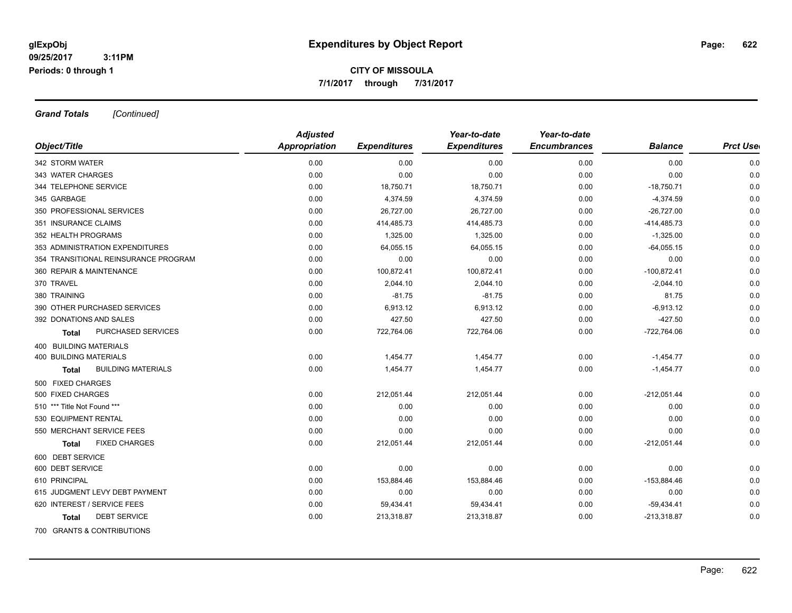*Grand Totals [Continued]*

|                                      | <b>Adjusted</b>      |                     | Year-to-date        | Year-to-date        |                |                 |
|--------------------------------------|----------------------|---------------------|---------------------|---------------------|----------------|-----------------|
| Object/Title                         | <b>Appropriation</b> | <b>Expenditures</b> | <b>Expenditures</b> | <b>Encumbrances</b> | <b>Balance</b> | <b>Prct Use</b> |
| 342 STORM WATER                      | 0.00                 | 0.00                | 0.00                | 0.00                | 0.00           | 0.0             |
| 343 WATER CHARGES                    | 0.00                 | 0.00                | 0.00                | 0.00                | 0.00           | 0.0             |
| 344 TELEPHONE SERVICE                | 0.00                 | 18,750.71           | 18,750.71           | 0.00                | $-18,750.71$   | 0.0             |
| 345 GARBAGE                          | 0.00                 | 4,374.59            | 4,374.59            | 0.00                | $-4,374.59$    | 0.0             |
| 350 PROFESSIONAL SERVICES            | 0.00                 | 26,727.00           | 26,727.00           | 0.00                | $-26,727.00$   | 0.0             |
| 351 INSURANCE CLAIMS                 | 0.00                 | 414,485.73          | 414,485.73          | 0.00                | $-414,485.73$  | 0.0             |
| 352 HEALTH PROGRAMS                  | 0.00                 | 1,325.00            | 1,325.00            | 0.00                | $-1,325.00$    | 0.0             |
| 353 ADMINISTRATION EXPENDITURES      | 0.00                 | 64,055.15           | 64,055.15           | 0.00                | $-64,055.15$   | 0.0             |
| 354 TRANSITIONAL REINSURANCE PROGRAM | 0.00                 | 0.00                | 0.00                | 0.00                | 0.00           | 0.0             |
| 360 REPAIR & MAINTENANCE             | 0.00                 | 100,872.41          | 100,872.41          | 0.00                | $-100,872.41$  | 0.0             |
| 370 TRAVEL                           | 0.00                 | 2,044.10            | 2,044.10            | 0.00                | $-2,044.10$    | 0.0             |
| 380 TRAINING                         | 0.00                 | $-81.75$            | $-81.75$            | 0.00                | 81.75          | 0.0             |
| 390 OTHER PURCHASED SERVICES         | 0.00                 | 6,913.12            | 6,913.12            | 0.00                | $-6,913.12$    | 0.0             |
| 392 DONATIONS AND SALES              | 0.00                 | 427.50              | 427.50              | 0.00                | $-427.50$      | 0.0             |
| PURCHASED SERVICES<br><b>Total</b>   | 0.00                 | 722,764.06          | 722,764.06          | 0.00                | $-722,764.06$  | 0.0             |
| 400 BUILDING MATERIALS               |                      |                     |                     |                     |                |                 |
| <b>400 BUILDING MATERIALS</b>        | 0.00                 | 1,454.77            | 1,454.77            | 0.00                | $-1,454.77$    | 0.0             |
| <b>BUILDING MATERIALS</b><br>Total   | 0.00                 | 1,454.77            | 1,454.77            | 0.00                | $-1,454.77$    | 0.0             |
| 500 FIXED CHARGES                    |                      |                     |                     |                     |                |                 |
| 500 FIXED CHARGES                    | 0.00                 | 212,051.44          | 212,051.44          | 0.00                | $-212,051.44$  | 0.0             |
| 510 *** Title Not Found ***          | 0.00                 | 0.00                | 0.00                | 0.00                | 0.00           | 0.0             |
| 530 EQUIPMENT RENTAL                 | 0.00                 | 0.00                | 0.00                | 0.00                | 0.00           | 0.0             |
| 550 MERCHANT SERVICE FEES            | 0.00                 | 0.00                | 0.00                | 0.00                | 0.00           | 0.0             |
| <b>FIXED CHARGES</b><br>Total        | 0.00                 | 212,051.44          | 212,051.44          | 0.00                | $-212,051.44$  | 0.0             |
| 600 DEBT SERVICE                     |                      |                     |                     |                     |                |                 |
| 600 DEBT SERVICE                     | 0.00                 | 0.00                | 0.00                | 0.00                | 0.00           | 0.0             |
| 610 PRINCIPAL                        | 0.00                 | 153,884.46          | 153,884.46          | 0.00                | $-153,884.46$  | 0.0             |
| 615 JUDGMENT LEVY DEBT PAYMENT       | 0.00                 | 0.00                | 0.00                | 0.00                | 0.00           | 0.0             |
| 620 INTEREST / SERVICE FEES          | 0.00                 | 59,434.41           | 59,434.41           | 0.00                | $-59,434.41$   | 0.0             |
| <b>DEBT SERVICE</b><br><b>Total</b>  | 0.00                 | 213,318.87          | 213,318.87          | 0.00                | $-213,318.87$  | 0.0             |
| 700 GRANTS & CONTRIBUTIONS           |                      |                     |                     |                     |                |                 |